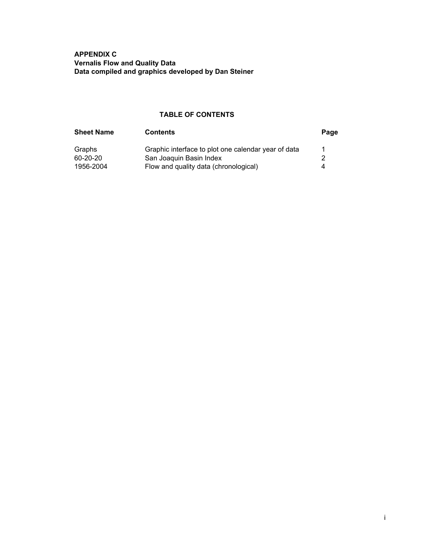APPENDIX C Vernalis Flow and Quality Data Data compiled and graphics developed by Dan Steiner

## TABLE OF CONTENTS

| <b>Sheet Name</b> | <b>Contents</b>                                     | Page |
|-------------------|-----------------------------------------------------|------|
| Graphs            | Graphic interface to plot one calendar year of data |      |
| 60-20-20          | San Joaquin Basin Index                             |      |
| 1956-2004         | Flow and quality data (chronological)               | 4    |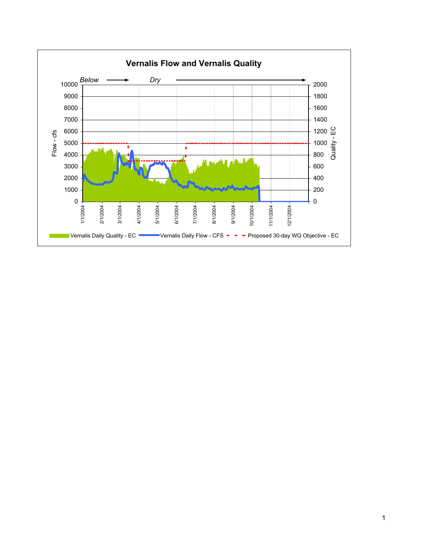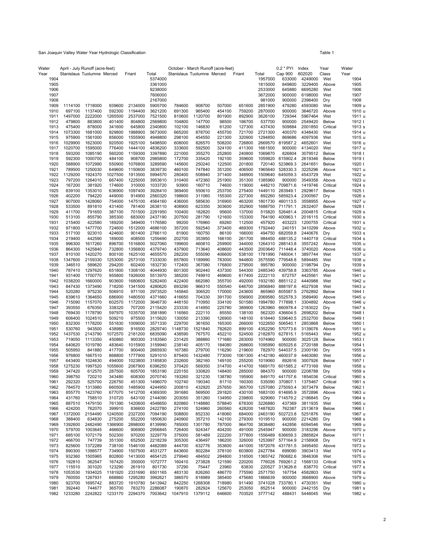| Water        |                   | April - July Runoff (acre-feet) |                   |                    |                    | October - March Runoff (acre-feet) |                   |                  |                   |                    | 0.2 * PYI            | Index              | Year                | Water            |
|--------------|-------------------|---------------------------------|-------------------|--------------------|--------------------|------------------------------------|-------------------|------------------|-------------------|--------------------|----------------------|--------------------|---------------------|------------------|
| Year         |                   | Stanislaus Tuolumne Merced      |                   | Friant             | Total              | Stanislaus Tuolumne Merced         |                   |                  | Friant            | Total              | Cap 900              | 602020             | Class               | Year             |
| 1904<br>1905 |                   |                                 |                   |                    | 5374000<br>3361000 |                                    |                   |                  |                   | 1957000<br>1815000 | 633000<br>849800     | 4249000<br>3229400 | Wet<br>Above        | 1904<br>1905     |
| 1906         |                   |                                 |                   |                    | 9238000            |                                    |                   |                  |                   | 2533000            | 645880               | 6695280            | Wet                 | 1906             |
| 1907         |                   |                                 |                   |                    | 7606000            |                                    |                   |                  |                   | 3672000            | 900000               | 6198000            | Wet                 | 1907             |
| 1908         |                   |                                 |                   |                    | 2167000            |                                    |                   |                  |                   | 981000             | 900000               | 2396400            | Dry                 | 1908             |
| 1909         | 1114100           | 1718000                         | 939600            | 2134000            | 5905700            | 784600                             | 908700            | 507000           | 651600            | 2851900            | 479280               | 4593080            | Wet                 | 1909 u           |
| 1910         | 697100            | 1137400                         | 592300            | 1194400            | 3621200            | 691300                             | 965400            | 454100           | 759200            | 2870000            | 900000               | 3646720            | Above               | 1910 u           |
| 1911         | 1497000           | 2222000                         | 1265500           | 2537000            | 7521500            | 810600                             | 1120700           | 801900           | 892900            | 3626100            | 729344               | 5967464            | Wet                 | 1911 u           |
| 1912         | 479800            | 883800                          | 401400            | 804800             | 2569800            | 104800                             | 147700            | 98500            | 186700            | 537700             | 900000               | 2549420            | <b>Below</b>        | 1912 t           |
| 1913         | 475400            | 878000                          | 341600            | 645800             | 2340800            | 102100                             | 146830            | 61200            | 127300            | 437430             | 509884               | 2001850            | Critical            | 1913 s           |
| 1914         | 1073300           | 1681000                         | 929800            | 1988900<br>1555900 | 5673000            | 665200                             | 878700            | 455700           | 721700            | 2721300            | 400370               | 4348430            | Wet                 | 1914 u           |
| 1915<br>1916 | 975900<br>1029900 | 1561000<br>1623000              | 856000<br>920500  | 1925100            | 4948800<br>5498500 | 298100<br>608000                   | 454550<br>826570  | 221300<br>508200 | 320900<br>726800  | 1294850<br>2669570 | 869686<br>819587.2   | 4097936<br>4652601 | Wet<br>Wet          | 1915 u<br>1916 u |
| 1917         | 1020700           | 1595000                         | 776400            | 1444100            | 4836200            | 333600                             | 592500            | 324100           | 411300            | 1661500            | 900000               | 4134020            | Wet                 | 1917 u           |
| 1918         | 593200            | 1085190                         | 560200            | 1159300            | 3397890            | 221000                             | 355270            | 252800           | 240800            | 1069870            | 826804               | 3079512            | <b>Below</b>        | 1918 t           |
| 1919         | 592300            | 1000700                         | 484100            | 908700             | 2985800            | 172700                             | 335420            | 192100           | 359600            | 1059820            | 615902.4             | 2619346            | <b>Below</b>        | 1919 t           |
| 1920         | 588900            | 1072990                         | 550900            | 1076800            | 3289590            | 145600                             | 250240            | 122500           | 201800            | 720140             | 523869.3             | 2641651            | <b>Below</b>        | 1920 t           |
| 1921         | 789500            | 1250030                         | 649600            | 1150600            | 3839730            | 460100                             | 747840            | 351200           | 406500            | 1965640            | 528330.3             | 3225296            | Above               | 1921 u           |
| 1922         | 1129200           | 1924370                         | 1027500           | 1913500            | 5994570            | 280400                             | 508940            | 371400           | 348900            | 1509640            | 645059.3             | 4543729            | Wet                 | 1922 u           |
| 1923         | 797200            | 1264010                         | 667400            | 1225000            | 3953610            | 310400                             | 472360            | 251900           | 351300            | 1385960            | 900000               | 3549358            | Above               | 1923 u           |
| 1924<br>1925 | 167200<br>839100  | 381920<br>1353010               | 174600<br>636900  | 310000<br>1097400  | 1033720<br>3926410 | 93900<br>369400                    | 160710<br>550610  | 74600<br>253700  | 119000<br>275400  | 448210<br>1449110  | 709871.6<br>283949.1 | 1419746<br>2929617 | Critical<br>Below   | 1924 s<br>1925 t |
| 1926         | 402200            | 794220                          | 449000            | 914900             | 2560320            | 198600                             | 311060            | 155300           | 227300            | 892260             | 585923.4             | 2300567            | Dry                 | 1926 s           |
| 1927         | 907000            | 1428060                         | 754000            | 1475100            | 4564160            | 436000                             | 585630            | 316900           | 463200            | 1801730            | 460113.5             | 3558955            | Above               | 1927 u           |
| 1928         | 533500            | 891810                          | 431400            | 781400             | 2638110            | 408900                             | 623350            | 303600           | 352900            | 1688750            | 711791.1             | 2632407            | <b>Below</b>        | 1928 t           |
| 1929         | 411700            | 791650                          | 387100            | 701500             | 2291950            | 100400                             | 182820            | 95600            | 137000            | 515820             | 526481.4             | 2004815            | Critical            | 1929 s           |
| 1930         | 513100            | 855790                          | 385300            | 683000             | 2437190            | 207500                             | 281790            | 121600           | 153300            | 764190             | 400963.1             | 2016115            | Critical            | 1930 s           |
| 1931         | 215400            | 422580                          | 189200            | 349400             | 1176580            | 99200                              | 176960            | 69260            | 112500            | 457920             | 403223               | 1200755            | Critical            | 1931 s           |
| 1932         | 971800            | 1477700                         | 724600            | 1512000            | 4686100            | 357200                             | 592540            | 373400           | 469300            | 1792440            | 240151               | 3410299            | Above               | 1932 u           |
| 1933         | 517100            | 923010                          | 424600            | 901400             | 2766110            | 81900                              | 160750            | 86100            | 166000            | 494750             | 682059.8             | 2440676            | Dry                 | 1933 s           |
| 1934<br>1935 | 219400<br>996300  | 442590<br>1617260               | 189000<br>896700  | 408500<br>1516800  | 1259490<br>5027060 | 202700<br>199600                   | 353950<br>460810  | 166100<br>259900 | 261700<br>344000  | 984450<br>1264310  | 488135.2<br>288143.8 | 1440719<br>3557242 | Critical            | 1934 s<br>1935 u |
| 1936         | 864300            | 1425840                         | 732800            | 1356800            | 4379740            | 437900                             | 713640            | 408600           | 443500            | 2003640            | 711448.4             | 3740020            | Above<br>Above      | 1936 u           |
| 1937         | 810100            | 1420270                         | 800100            | 1625100            | 4655570            | 282200                             | 555090            | 406600           | 538100            | 1781990            | 748004.1             | 3897744            | Wet                 | 1937 u           |
| 1938         | 1347600           | 2159330                         | 1253000           | 2573100            | 7333030            | 657800                             | 1189990           | 783000           | 944800            | 3575590            | 779548.8             | 5894485            | Wet                 | 1938 u           |
| 1939         | 346510            | 589620                          | 294200            | 602400             | 1832730            | 172400                             | 367080            | 176800           | 279500            | 995780             | 900000               | 2198794            | Dry                 | 1939 s           |
| 1940         | 787410            | 1297620                         | 651800            | 1308100            | 4044930            | 601300                             | 902440            | 437300           | 544300            | 2485340            | 439758.8             | 3363785            | Above               | 1940 u           |
| 1941         | 931400            | 1700770                         | 955800            | 1926000            | 5513970            | 385200                             | 749910            | 469600           | 617400            | 2222110            | 672757               | 4425561            | Wet                 | 1941 u           |
| 1942         | 1038200           | 1660000                         | 903600            | 1680600            | 5282400            | 422400                             | 662080            | 355700           | 492000            | 1932180            | 885112.2             | 4440988            | Wet                 | 1942 u           |
| 1943         | 847430            | 1373490                         | 718200            | 1341500            | 4280620            | 693290                             | 966310            | 550540           | 646700            | 2856840            | 888197.6             | 4027938            | Wet                 | 1943 u           |
| 1944         | 520280            | 975230                          | 506910            | 971100             | 2973520            | 145840                             | 306520            | 170000           | 243600            | 865960             | 805587.5             | 2762892            | <b>Below</b>        | 1944 t           |
| 1945<br>1946 | 839610<br>715090  | 1364650<br>1157070              | 686900<br>602570  | 1480500<br>1172000 | 4371660<br>3646730 | 416650<br>448150                   | 704330<br>710950  | 391700<br>334100 | 556900<br>501580  | 2069580<br>1994780 | 552578.3<br>717898.1 | 3589490<br>3304892 | Above<br>Above      | 1945 u<br>1946 u |
| 1947         | 393550            | 676350                          | 338320            | 707200             | 2115420            | 233330                             | 414950            | 225780           | 389900            | 1263960            | 660978.4             | 2183022            | Dry                 | 1947 s           |
| 1948         | 769430            | 1178790                         | 597970            | 1035700            | 3581890            | 116560                             | 222110            | 85550            | 138100            | 562320             | 436604.5             | 2698202            | <b>Below</b>        | 1948 t           |
| 1949         | 606400            | 1024510                         | 509210            | 975500             | 3115620            | 130050                             | 213390            | 126900           | 148100            | 618440             | 539640.5             | 2532700            | <b>Below</b>        | 1949 t           |
| 1950         | 832300            | 1178200                         | 551830            | 1009000            | 3571330            | 229700                             | 361650            | 165300           | 266000            | 1022650            | 506540.1             | 2853868            | <b>Below</b>        | 1950 t           |
| 1951         | 530760            | 943500                          | 438980            | 916500             | 2829740            | 1148730                            | 1521840           | 782620           | 899100            | 4352290            | 570773.6             | 3139076            | Above               | 1951 u           |
| 1952         | 1437530           | 2143790                         | 1072570           | 2181200            | 6835090            | 438590                             | 767570            | 452210           | 524500            | 2182870            | 627815.1             | 5165443            | Wet                 | 1952 u           |
| 1953         | 719050            | 1113350                         | 450860            | 900300             | 3183560            | 231420                             | 388860            | 171680           | 283000            | 1074960            | 900000               | 3025128            | <b>Below</b>        | 1953 t           |
| 1954         | 640620            | 1019780                         | 483640            | 1015900            | 3159940            | 238140                             | 405170            | 184080           | 268600            | 1095990            | 605025.6             | 2720188            | <b>Below</b>        | 1954 t           |
| 1955<br>1956 | 505950<br>976800  | 841880<br>1667510               | 417700<br>868800  | 900400<br>1777900  | 2665930<br>5291010 | 167380<br>875400                   | 279700<br>1432480 | 116290<br>773000 | 219600<br>1061300 | 782970<br>4142180  | 544037.5<br>460037.9 | 2300190<br>4463080 | Dry<br>Wet          | 1955 s<br>1956 u |
| 1957         | 643400            | 1024630                         | 494000            | 1023800            | 3185830            | 232600                             | 382160            | 149100           | 255200            | 1019060            | 892616               | 3007926            | <b>Below</b>        | 1957 t           |
| 1958         | 1275230           | 1997520                         | 1055600           | 2067900            | 6396250            | 370420                             | 569350            | 314700           | 414700            | 1669170            | 601585.2             | 4773169            | Wet                 | 1958 u           |
| 1959         | 347420            | 612570                          | 287500            | 605700             | 1853190            | 220150                             | 330820            | 148400           | 285000            | 984370             | 900000               | 2208788            | Dry                 | 1959 s           |
| 1960         | 398750            | 720210                          | 343480            | 608300             | 2070740            | 193260                             | 321230            | 138780           | 195900            |                    | 849170 441757.6      | 1854036            | Critical            | 1960 s           |
| 1961         | 292320            | 525700                          | 226750            | 451300             | 1496070            | 102740                             | 190340            | 81710            | 160300            |                    | 535090 370807.1      | 1375467            | Critical            | 1961 s           |
| 1962         | 784570            | 1313980                         | 660500            | 1485900            | 4244950            | 200810                             | 432920            | 257650           | 365700            |                    | 1257080 275093.4     | 3073479            | Below               | 1962 t           |
| 1963         | 855770            | 1423760                         | 677070            | 1412700            | 4369300            | 391680                             | 569500            | 291820           | 430100            | 1683100            | 614695.9             | 3572896            | Above               | 1963 u           |
| 1964         | 431760            | 758510                          | 310720            | 643100             | 2144090            | 203050                             | 351260            | 134950           | 239800            | 929060             | 714579.2             | 2186845            | Dry                 | 1964 s           |
| 1965         | 887510            | 1479150<br>762070               | 761390            | 1420600            | 4548650            | 820860                             | 1148880           | 578840           | 678300            | 3226880            | 437369               | 3811935            | Wet                 | 1965 u           |
| 1966<br>1967 | 424200<br>1372000 | 2154490                         | 399910<br>1240500 | 836600<br>2327200  | 2422780<br>7094190 | 274100<br>508800                   | 524960<br>852330  | 260560<br>418060 | 428200<br>684000  | 1487820<br>2463190 | 762387<br>502723.8   | 2513619<br>5251876 | <b>Below</b><br>Wet | 1966 t<br>1967 u |
| 1968         | 388400            | 634830                          | 275200            | 552200             | 1850630            | 240900                             | 357210            | 142100           | 279300            | 1019510            | 900000               | 2214280            | Dry                 | 1968 s           |
| 1969         | 1392600           | 2482490                         | 1366900           | 2898000            | 8139990            | 785000                             | 1301780           | 787000           | 964700            | 3838480            | 442856               | 6094546            | Wet                 | 1969 u           |
| 1970         | 579700            | 1003645                         | 466600            | 906900             | 2956845            | 726400                             | 924347            | 404200           | 491000            | 2545947            | 900000               | 3183296            | Above               | 1970 u           |
| 1971         | 685100            | 1072179                         | 502300            | 970200             | 3229779            | 375000                             | 581489            | 222200           | 377800            |                    | 1556489 636659.3     | 2885824            | <b>Below</b>        | 1971 t           |
| 1972         | 466700            | 747739                          | 351300            | 652500             | 2218239            | 305300                             | 436497            | 186200           | 326000            |                    | 1253997 577164.9     | 2158908            | Dry                 | 1972 s           |
| 1973         | 825600            | 1372289                         | 738100            | 1546100            | 4482089            | 444700                             | 632776            | 353600           | 441000            |                    | 1872076 431781.5     | 3495450            | Above               | 1973 u           |
| 1974         | 890300            | 1398577                         | 734900            | 1507500            | 4531277            | 643600                             | 802284            | 378100           | 603800            | 2427784            | 699090               | 3903413            | Wet                 | 1974 u           |
| 1975         | 932360            | 1505965                         | 802800            | 1413000            | 4654125            | 279940                             | 484502            | 284800           | 316500            |                    | 1365742 780682.6     | 3846306            | Wet                 | 1975 u           |
| 1976         | 192810            | 362547                          | 167420            | 350000             | 1072777            | 160410                             | 273828            | 121590           | 220200            | 776028             | 769261.2             | 1568133            | Critical            | 1976 s           |
| 1977<br>1978 | 115510<br>1053530 | 301020<br>1934025               | 123290<br>1181920 | 261910<br>2331690  | 801730<br>6501165  | 37290<br>483130                    | 75447<br>826260   | 23960<br>486770  | 83830<br>775590   | 220527<br>2571750  | 313626.6<br>167754   | 838770<br>4582803  | Critical<br>Wet     | 1977 s<br>1978 u |
| 1979         | 760550            | 1267931                         | 668860            | 1295280            | 3992621            | 386570                             | 618989            | 385400           | 475680            | 1866639            | 900000               | 3668900            | Above               | 1979 u           |
| 1980         | 923700            | 1695742                         | 883720            | 1910780            | 5413942            | 842250                             | 1268308           | 718980           | 911490            |                    | 3741028 733780.1     | 4730351            | Wet                 | 1980 u           |
| 1981         | 392440            | 744677                          | 365700            | 783270             | 2286087            | 190870                             | 282924            | 125670           | 253050            | 852514             | 900000               | 2442155            | Dry                 | 1981 s           |
| 1982         | 1233280           | 2242822                         | 1233170           | 2294370            | 7003642            | 1047910                            | 1379112           | 646600           | 703520            | 3777142            | 488431               | 5446045            | Wet                 | 1982 u           |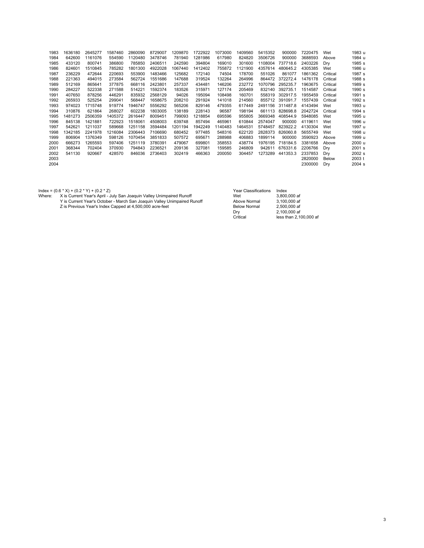| 1983 | 1636180 | 2645277 | 1587460 | 2860090 | 8729007 | 1209870 | 1722922 | 1073000 | 1409560 | 5415352 | 900000   | 7220475 | Wet      | 1983 u |
|------|---------|---------|---------|---------|---------|---------|---------|---------|---------|---------|----------|---------|----------|--------|
| 1984 | 642600  | 1161076 | 554590  | 1120480 | 3478746 | 781940  | 1281986 | 617980  | 824820  | 3506726 | 900000   | 3688593 | Above    | 1984 u |
| 1985 | 433120  | 800741  | 386800  | 785850  | 2406511 | 242590  | 394804  | 169010  | 301600  | 1108004 | 737718.6 | 2403226 | Dry      | 1985 s |
| 1986 | 824601  | 1510845 | 785282  | 1801300 | 4922028 | 1067440 | 1412402 | 755872  | 1121900 | 4357614 | 480645.2 | 4305385 | Wet      | 1986 u |
| 1987 | 236229  | 472644  | 220693  | 553900  | 1483466 | 125682  | 172140  | 74504   | 178700  | 551026  | 861077   | 1861362 | Critical | 1987 s |
| 1988 | 221363  | 494015  | 273584  | 562724  | 1551686 | 147688  | 319524  | 132264  | 264996  | 864472  | 372272.4 | 1476178 | Critical | 1988 s |
| 1989 | 512169  | 865641  | 377875  | 668116  | 2423801 | 257337  | 434481  | 146206  | 232772  | 1070796 | 295235.7 | 1963675 | Critical | 1989 s |
| 1990 | 284227  | 522338  | 271588  | 514221  | 1592374 | 183526  | 315971  | 127174  | 205469  | 832140  | 392735.1 | 1514587 | Critical | 1990 s |
| 1991 | 407650  | 878256  | 446291  | 835932  | 2568129 | 94026   | 195094  | 108498  | 160701  | 558319  | 302917.5 | 1955459 | Critical | 1991 s |
| 1992 | 265933  | 525254  | 299041  | 568447  | 1658675 | 208210  | 291924  | 141018  | 214560  | 855712  | 391091.7 | 1557439 | Critical | 1992 s |
| 1993 | 974023  | 1715748 | 919774  | 1946747 | 5556292 | 565206  | 829146  | 479355  | 617449  | 2491156 | 311487.8 | 4143494 | Wet      | 1993 u |
| 1994 | 310876  | 621864  | 268027  | 602238  | 1803005 | 138189  | 228143  | 96587   | 198194  | 661113  | 828698.8 | 2042724 | Critical | 1994 s |
| 1995 | 1481273 | 2506359 | 1405372 | 2616447 | 8009451 | 799093  | 1218854 | 695596  | 955805  | 3669348 | 408544.9 | 5948085 | Wet      | 1995 u |
| 1996 | 845138  | 1421881 | 722923  | 1518061 | 4508003 | 639748  | 857494  | 465961  | 610844  | 2574047 | 900000   | 4119611 | Wet      | 1996 u |
| 1997 | 542621  | 1211037 | 589668  | 1251158 | 3594484 | 1201194 | 1942249 | 1140483 | 1464531 | 5748457 | 823922.2 | 4130304 | Wet      | 1997 u |
| 1998 | 1342185 | 2241978 | 1216084 | 2306443 | 7106690 | 680452  | 977485  | 548316  | 622120  | 2828373 | 826060.8 | 5655749 | Wet      | 1998 u |
| 1999 | 806904  | 1376349 | 598126  | 1070454 | 3851833 | 507572  | 695671  | 288988  | 406883  | 1899114 | 900000   | 3590923 | Above    | 1999 u |
| 2000 | 666273  | 1265593 | 597406  | 1251119 | 3780391 | 479067  | 699801  | 358553  | 438774  | 1976195 | 718184.5 | 3381658 | Above    | 2000 u |
| 2001 | 368344  | 702404  | 370930  | 794843  | 2236521 | 209136  | 327081  | 159585  | 246809  | 942611  | 676331.6 | 2206766 | Dry      | 2001 s |
| 2002 | 541130  | 920667  | 428570  | 846036  | 2736403 | 302419  | 466363  | 200050  | 304457  | 1273289 | 441353.3 | 2337853 | Dry      | 2002 s |
| 2003 |         |         |         |         |         |         |         |         |         |         |          | 2820000 | Below    | 2003 t |
| 2004 |         |         |         |         |         |         |         |         |         |         |          | 2300000 | Dry      | 2004 s |
|      |         |         |         |         |         |         |         |         |         |         |          |         |          |        |

Index = (0.6 \* X) + (0.2 \* Z)<br>Where: Xis Current Year's April - July San Joaquin Valley Unimpaired Runoff (2 \* The comment Year's April - July San Joaquin Valley Unimpaired Runoff (2 \* The commal the state of the of the st

| <b>Year Classifications</b> | Index                  |
|-----------------------------|------------------------|
| Wet                         | 3.800,000 af           |
| Above Normal                | 3.100.000 af           |
| <b>Below Normal</b>         | 2.500,000 af           |
| Drv                         | 2.100,000 af           |
| Critical                    | less than 2.100,000 af |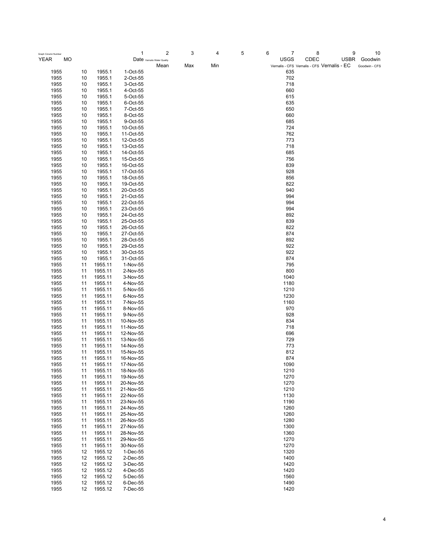| Graph Column Number<br>MO<br>YEAR |    |         | 1<br>Date Vernalis Water Quality | 2    | 3   | 4   | 5 | 6<br>$\overline{7}$<br><b>USGS</b> | 8<br>CDEC                                   | 9<br>10<br>USBR<br>Goodwin |
|-----------------------------------|----|---------|----------------------------------|------|-----|-----|---|------------------------------------|---------------------------------------------|----------------------------|
|                                   |    |         |                                  | Mean | Max | Min |   |                                    | Vernalis - CFS Vernalis - CFS Vernalis - EC | Goodwin - CFS              |
| 1955                              | 10 | 1955.1  | 1-Oct-55                         |      |     |     |   | 635                                |                                             |                            |
| 1955                              | 10 | 1955.1  | 2-Oct-55                         |      |     |     |   | 702                                |                                             |                            |
| 1955                              | 10 | 1955.1  | 3-Oct-55                         |      |     |     |   | 718                                |                                             |                            |
| 1955                              | 10 | 1955.1  | 4-Oct-55                         |      |     |     |   | 660                                |                                             |                            |
| 1955                              | 10 | 1955.1  | 5-Oct-55                         |      |     |     |   | 615                                |                                             |                            |
| 1955                              | 10 | 1955.1  | 6-Oct-55                         |      |     |     |   | 635                                |                                             |                            |
| 1955                              | 10 | 1955.1  | 7-Oct-55                         |      |     |     |   | 650                                |                                             |                            |
| 1955                              | 10 | 1955.1  | 8-Oct-55                         |      |     |     |   | 660                                |                                             |                            |
| 1955                              | 10 | 1955.1  | 9-Oct-55                         |      |     |     |   | 685                                |                                             |                            |
| 1955                              | 10 | 1955.1  | 10-Oct-55                        |      |     |     |   | 724                                |                                             |                            |
| 1955                              | 10 | 1955.1  | 11-Oct-55                        |      |     |     |   | 762                                |                                             |                            |
| 1955                              | 10 | 1955.1  | 12-Oct-55                        |      |     |     |   | 773                                |                                             |                            |
| 1955                              | 10 | 1955.1  | 13-Oct-55                        |      |     |     |   | 718                                |                                             |                            |
| 1955                              | 10 | 1955.1  | 14-Oct-55                        |      |     |     |   | 685                                |                                             |                            |
| 1955                              | 10 | 1955.1  | 15-Oct-55                        |      |     |     |   | 756                                |                                             |                            |
| 1955                              | 10 | 1955.1  | 16-Oct-55                        |      |     |     |   | 839                                |                                             |                            |
| 1955                              | 10 | 1955.1  | 17-Oct-55                        |      |     |     |   | 928                                |                                             |                            |
| 1955                              | 10 | 1955.1  | 18-Oct-55                        |      |     |     |   | 856                                |                                             |                            |
| 1955                              | 10 | 1955.1  | 19-Oct-55                        |      |     |     |   | 822                                |                                             |                            |
| 1955                              | 10 | 1955.1  | 20-Oct-55                        |      |     |     |   | 940                                |                                             |                            |
| 1955                              | 10 | 1955.1  | 21-Oct-55                        |      |     |     |   | 994                                |                                             |                            |
| 1955                              | 10 | 1955.1  | 22-Oct-55                        |      |     |     |   | 994                                |                                             |                            |
| 1955                              | 10 | 1955.1  | 23-Oct-55                        |      |     |     |   | 994                                |                                             |                            |
| 1955                              | 10 | 1955.1  | 24-Oct-55                        |      |     |     |   | 892                                |                                             |                            |
| 1955                              | 10 | 1955.1  | 25-Oct-55                        |      |     |     |   | 839                                |                                             |                            |
| 1955                              | 10 | 1955.1  | 26-Oct-55                        |      |     |     |   | 822                                |                                             |                            |
| 1955                              | 10 | 1955.1  | 27-Oct-55                        |      |     |     |   | 874                                |                                             |                            |
| 1955                              | 10 | 1955.1  | 28-Oct-55                        |      |     |     |   | 892                                |                                             |                            |
| 1955                              | 10 | 1955.1  | 29-Oct-55                        |      |     |     |   | 922                                |                                             |                            |
| 1955                              | 10 | 1955.1  | 30-Oct-55                        |      |     |     |   | 922                                |                                             |                            |
| 1955                              | 10 | 1955.1  | 31-Oct-55                        |      |     |     |   | 874                                |                                             |                            |
| 1955                              | 11 | 1955.11 | 1-Nov-55                         |      |     |     |   | 795                                |                                             |                            |
| 1955                              | 11 | 1955.11 | 2-Nov-55                         |      |     |     |   | 800                                |                                             |                            |
| 1955                              | 11 | 1955.11 | 3-Nov-55                         |      |     |     |   | 1040                               |                                             |                            |
| 1955                              | 11 | 1955.11 | 4-Nov-55                         |      |     |     |   | 1180                               |                                             |                            |
| 1955                              | 11 | 1955.11 | 5-Nov-55                         |      |     |     |   | 1210                               |                                             |                            |
| 1955                              | 11 | 1955.11 | 6-Nov-55                         |      |     |     |   | 1230                               |                                             |                            |
| 1955                              | 11 | 1955.11 | 7-Nov-55                         |      |     |     |   | 1160                               |                                             |                            |
| 1955                              | 11 | 1955.11 | 8-Nov-55                         |      |     |     |   | 970                                |                                             |                            |
| 1955                              | 11 | 1955.11 | 9-Nov-55                         |      |     |     |   | 928                                |                                             |                            |
| 1955                              | 11 | 1955.11 | 10-Nov-55                        |      |     |     |   | 834                                |                                             |                            |
| 1955                              | 11 | 1955.11 | 11-Nov-55                        |      |     |     |   | 718                                |                                             |                            |
| 1955                              | 11 | 1955.11 | 12-Nov-55                        |      |     |     |   | 696                                |                                             |                            |
| 1955                              | 11 | 1955.11 | 13-Nov-55                        |      |     |     |   | 729                                |                                             |                            |
| 1955                              | 11 | 1955.11 | 14-Nov-55                        |      |     |     |   | 773                                |                                             |                            |
| 1955                              | 11 | 1955.11 | 15-Nov-55                        |      |     |     |   | 812                                |                                             |                            |
| 1955                              | 11 | 1955.11 | 16-Nov-55                        |      |     |     |   | 874                                |                                             |                            |
| 1955                              | 11 | 1955.11 | 17-Nov-55                        |      |     |     |   | 1090                               |                                             |                            |
| 1955                              | 11 | 1955.11 | 18-Nov-55                        |      |     |     |   | 1210                               |                                             |                            |
| 1955                              | 11 | 1955.11 | 19-Nov-55                        |      |     |     |   | 1270                               |                                             |                            |
| 1955                              | 11 | 1955.11 | 20-Nov-55                        |      |     |     |   | 1270                               |                                             |                            |
| 1955                              | 11 | 1955.11 | 21-Nov-55                        |      |     |     |   | 1210                               |                                             |                            |
| 1955                              | 11 | 1955.11 | 22-Nov-55                        |      |     |     |   | 1130                               |                                             |                            |
| 1955                              | 11 | 1955.11 | 23-Nov-55                        |      |     |     |   | 1190                               |                                             |                            |
| 1955                              | 11 | 1955.11 | 24-Nov-55                        |      |     |     |   | 1260                               |                                             |                            |
| 1955                              | 11 | 1955.11 | 25-Nov-55                        |      |     |     |   | 1260                               |                                             |                            |
| 1955                              | 11 | 1955.11 | 26-Nov-55                        |      |     |     |   | 1280                               |                                             |                            |
| 1955                              | 11 | 1955.11 | 27-Nov-55                        |      |     |     |   | 1300                               |                                             |                            |
| 1955                              | 11 | 1955.11 | 28-Nov-55                        |      |     |     |   | 1360                               |                                             |                            |
| 1955                              | 11 | 1955.11 | 29-Nov-55                        |      |     |     |   | 1270                               |                                             |                            |
| 1955                              | 11 | 1955.11 | 30-Nov-55                        |      |     |     |   | 1270                               |                                             |                            |
| 1955                              | 12 | 1955.12 | 1-Dec-55                         |      |     |     |   | 1320                               |                                             |                            |
| 1955                              | 12 | 1955.12 | 2-Dec-55                         |      |     |     |   | 1400                               |                                             |                            |
| 1955                              | 12 | 1955.12 | 3-Dec-55                         |      |     |     |   | 1420                               |                                             |                            |
| 1955                              | 12 | 1955.12 | 4-Dec-55                         |      |     |     |   | 1420                               |                                             |                            |
| 1955                              | 12 | 1955.12 | 5-Dec-55                         |      |     |     |   | 1560                               |                                             |                            |
| 1955                              | 12 | 1955.12 | 6-Dec-55                         |      |     |     |   | 1490                               |                                             |                            |
| 1955                              | 12 | 1955.12 | 7-Dec-55                         |      |     |     |   | 1420                               |                                             |                            |
|                                   |    |         |                                  |      |     |     |   |                                    |                                             |                            |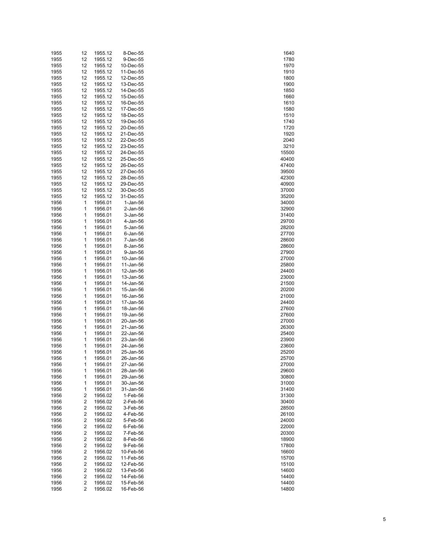| 1955 | 12 | 1955.12 | 8-Dec-55       | 1640  |
|------|----|---------|----------------|-------|
| 1955 | 12 | 1955.12 | 9-Dec-55       | 1780  |
| 1955 | 12 | 1955.12 | 10-Dec-55      | 1970  |
| 1955 | 12 | 1955.12 | 11-Dec-55      | 1910  |
|      |    |         |                |       |
| 1955 | 12 | 1955.12 | 12-Dec-55      | 1800  |
| 1955 | 12 | 1955.12 | 13-Dec-55      | 1900  |
| 1955 | 12 | 1955.12 | 14-Dec-55      | 1850  |
| 1955 | 12 | 1955.12 | 15-Dec-55      | 1660  |
| 1955 | 12 | 1955.12 | 16-Dec-55      | 1610  |
| 1955 | 12 | 1955.12 | 17-Dec-55      | 1580  |
| 1955 | 12 | 1955.12 | 18-Dec-55      | 1510  |
| 1955 | 12 | 1955.12 | 19-Dec-55      | 1740  |
| 1955 | 12 | 1955.12 | 20-Dec-55      | 1720  |
| 1955 | 12 | 1955.12 | 21-Dec-55      | 1920  |
|      |    |         |                |       |
| 1955 | 12 | 1955.12 | 22-Dec-55      | 2040  |
| 1955 | 12 | 1955.12 | 23-Dec-55      | 3210  |
| 1955 | 12 | 1955.12 | 24-Dec-55      | 15500 |
| 1955 | 12 | 1955.12 | 25-Dec-55      | 40400 |
| 1955 | 12 | 1955.12 | 26-Dec-55      | 47400 |
| 1955 | 12 | 1955.12 | 27-Dec-55      | 39500 |
| 1955 | 12 | 1955.12 | 28-Dec-55      | 42300 |
| 1955 | 12 | 1955.12 | 29-Dec-55      | 40900 |
| 1955 |    |         |                | 37000 |
|      | 12 | 1955.12 | 30-Dec-55      |       |
| 1955 | 12 | 1955.12 | 31-Dec-55      | 35200 |
| 1956 | 1  | 1956.01 | 1-Jan-56       | 34000 |
| 1956 | 1  | 1956.01 | 2-Jan-56       | 32900 |
| 1956 | 1  | 1956.01 | 3-Jan-56       | 31400 |
| 1956 | 1  | 1956.01 | 4-Jan-56       | 29700 |
| 1956 | 1  | 1956.01 | 5-Jan-56       | 28200 |
| 1956 | 1  | 1956.01 | $6$ -Jan- $56$ | 27700 |
| 1956 | 1  | 1956.01 | 7-Jan-56       | 28600 |
| 1956 | 1  | 1956.01 | 8-Jan-56       | 28600 |
|      |    |         |                |       |
| 1956 | 1  | 1956.01 | 9-Jan-56       | 27900 |
| 1956 | 1  | 1956.01 | 10-Jan-56      | 27000 |
| 1956 | 1  | 1956.01 | 11-Jan-56      | 25800 |
| 1956 | 1  | 1956.01 | 12-Jan-56      | 24400 |
| 1956 | 1  | 1956.01 | 13-Jan-56      | 23000 |
| 1956 | 1  | 1956.01 | 14-Jan-56      | 21500 |
| 1956 | 1  | 1956.01 | 15-Jan-56      | 20200 |
| 1956 | 1  | 1956.01 | 16-Jan-56      | 21000 |
|      |    |         |                |       |
| 1956 | 1  | 1956.01 | 17-Jan-56      | 24400 |
| 1956 | 1  | 1956.01 | 18-Jan-56      | 27600 |
| 1956 | 1  | 1956.01 | 19-Jan-56      | 27600 |
| 1956 | 1  | 1956.01 | 20-Jan-56      | 27000 |
| 1956 | 1  | 1956.01 | 21-Jan-56      | 26300 |
| 1956 | 1  | 1956.01 | 22-Jan-56      | 25400 |
| 1956 | 1  | 1956.01 | 23-Jan-56      | 23900 |
| 1956 | 1  | 1956.01 | 24-Jan-56      | 23600 |
| 1956 | 1  | 1956.01 | 25-Jan-56      | 25200 |
|      | 1  |         |                |       |
| 1956 |    | 1956.01 | 26-Jan-56      | 25700 |
| 1956 | 1  | 1956.01 | 27-Jan-56      | 27000 |
| 1956 | 1  | 1956.01 | 28-Jan-56      | 29600 |
| 1956 | 1  | 1956.01 | 29-Jan-56      | 30800 |
| 1956 | 1  | 1956.01 | 30-Jan-56      | 31000 |
| 1956 | 1  | 1956.01 | 31-Jan-56      | 31400 |
| 1956 | 2  | 1956.02 | 1-Feb-56       | 31300 |
| 1956 | 2  | 1956.02 | 2-Feb-56       | 30400 |
| 1956 | 2  | 1956.02 | 3-Feb-56       | 28500 |
|      |    |         |                |       |
| 1956 | 2  | 1956.02 | 4-Feb-56       | 26100 |
| 1956 | 2  | 1956.02 | 5-Feb-56       | 24000 |
| 1956 | 2  | 1956.02 | 6-Feb-56       | 22000 |
| 1956 | 2  | 1956.02 | 7-Feb-56       | 20300 |
| 1956 | 2  | 1956.02 | 8-Feb-56       | 18900 |
| 1956 | 2  | 1956.02 | 9-Feb-56       | 17800 |
| 1956 | 2  | 1956.02 | 10-Feb-56      | 16600 |
| 1956 | 2  | 1956.02 | 11-Feb-56      | 15700 |
|      |    |         |                |       |
| 1956 | 2  | 1956.02 | 12-Feb-56      | 15100 |
| 1956 | 2  | 1956.02 | 13-Feb-56      | 14600 |
| 1956 | 2  | 1956.02 | 14-Feb-56      | 14400 |
| 1956 | 2  | 1956.02 | 15-Feb-56      | 14400 |
| 1956 | 2  | 1956.02 | 16-Feb-56      | 14800 |

| 1780                           |
|--------------------------------|
| 1970                           |
| 1910                           |
| 1800                           |
| 1900                           |
| 1850                           |
|                                |
| 1660                           |
| 1610                           |
| 1580                           |
| 1510                           |
| 1<br>740                       |
| 1720                           |
| 1920                           |
| 2040                           |
| 3210                           |
|                                |
| 15500<br>40400                 |
|                                |
| 47400                          |
| 39500                          |
| 42300                          |
| -~~~<br>)900<br>40             |
| 37000                          |
|                                |
| 34000                          |
| 32900                          |
|                                |
| 31400                          |
| 29700                          |
| 28200                          |
| $\frac{1}{700}$<br>27          |
| 28600                          |
| -----<br>28600                 |
| 27900                          |
| 27000                          |
|                                |
| 25800                          |
| 24400                          |
| 23000                          |
| 21500                          |
| 20200                          |
| 21000                          |
| 24400                          |
|                                |
|                                |
| 27600                          |
| 27000                          |
| 26300                          |
|                                |
| 25400                          |
|                                |
| 23900                          |
| ----<br>3600<br>$\overline{2}$ |
|                                |
| 25200<br>25700                 |
| 27000                          |
| 29600                          |
| 30800                          |
| 31000                          |
|                                |
| 31400                          |
| 31300                          |
| 30400                          |
| 28500<br>)                     |
| 26100                          |
| -- - - -<br>24000<br>J         |
| 22000                          |
| 20300<br>)                     |
|                                |
| 18900<br>J                     |
| 1<br>7800                      |
| 16600                          |
| 15700<br>)                     |
| 15100                          |
| 14600                          |
| 14400                          |
| 14400<br>14800                 |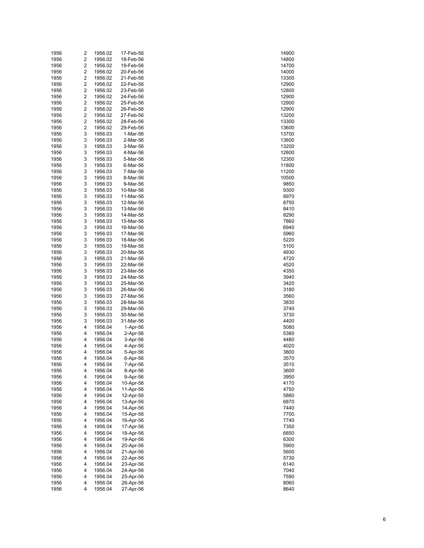| 1956 | 2 | 1956.02 | 17-Feb-56 | 14900 |
|------|---|---------|-----------|-------|
| 1956 | 2 | 1956.02 | 18-Feb-56 | 14800 |
| 1956 | 2 | 1956.02 | 19-Feb-56 | 14700 |
| 1956 | 2 | 1956.02 | 20-Feb-56 | 14000 |
| 1956 | 2 | 1956.02 | 21-Feb-56 | 13300 |
| 1956 | 2 | 1956.02 | 22-Feb-56 | 12900 |
| 1956 | 2 | 1956.02 | 23-Feb-56 | 12800 |
| 1956 | 2 |         |           | 12900 |
|      |   | 1956.02 | 24-Feb-56 |       |
| 1956 | 2 | 1956.02 | 25-Feb-56 | 12900 |
| 1956 | 2 | 1956.02 | 26-Feb-56 | 12900 |
| 1956 | 2 | 1956.02 | 27-Feb-56 | 13200 |
| 1956 | 2 | 1956.02 | 28-Feb-56 | 13300 |
| 1956 | 2 | 1956.02 | 29-Feb-56 | 13600 |
| 1956 | 3 | 1956.03 | 1-Mar-56  | 13700 |
| 1956 | 3 | 1956.03 | 2-Mar-56  | 13600 |
| 1956 | 3 | 1956.03 | 3-Mar-56  | 13200 |
| 1956 | 3 | 1956.03 | 4-Mar-56  | 12800 |
| 1956 | 3 | 1956.03 | 5-Mar-56  | 12300 |
| 1956 | 3 | 1956.03 | 6-Mar-56  | 11800 |
| 1956 | 3 | 1956.03 | 7-Mar-56  | 11200 |
| 1956 | 3 | 1956.03 | 8-Mar-56  | 10500 |
| 1956 | 3 | 1956.03 | 9-Mar-56  | 9850  |
| 1956 | 3 | 1956.03 | 10-Mar-56 | 9300  |
| 1956 | 3 | 1956.03 | 11-Mar-56 | 8970  |
|      |   |         |           |       |
| 1956 | 3 | 1956.03 | 12-Mar-56 | 8750  |
| 1956 | 3 | 1956.03 | 13-Mar-56 | 8410  |
| 1956 | 3 | 1956.03 | 14-Mar-56 | 8290  |
| 1956 | 3 | 1956.03 | 15-Mar-56 | 7860  |
| 1956 | 3 | 1956.03 | 16-Mar-56 | 6940  |
| 1956 | 3 | 1956.03 | 17-Mar-56 | 5960  |
| 1956 | 3 | 1956.03 | 18-Mar-56 | 5220  |
| 1956 | 3 | 1956.03 | 19-Mar-56 | 5100  |
| 1956 | 3 | 1956.03 | 20-Mar-56 | 4930  |
| 1956 | 3 | 1956.03 | 21-Mar-56 | 4720  |
| 1956 | 3 | 1956.03 | 22-Mar-56 | 4520  |
| 1956 | 3 | 1956.03 | 23-Mar-56 | 4350  |
| 1956 | 3 | 1956.03 | 24-Mar-56 | 3940  |
| 1956 | 3 | 1956.03 | 25-Mar-56 | 3420  |
| 1956 | 3 | 1956.03 | 26-Mar-56 | 3180  |
| 1956 | 3 | 1956.03 | 27-Mar-56 | 3560  |
| 1956 | 3 | 1956.03 | 28-Mar-56 | 3830  |
| 1956 | 3 | 1956.03 | 29-Mar-56 | 3740  |
| 1956 | 3 | 1956.03 | 30-Mar-56 | 3730  |
|      |   |         |           |       |
| 1956 | 3 | 1956.03 | 31-Mar-56 | 4400  |
| 1956 | 4 | 1956.04 | 1-Apr-56  | 5080  |
| 1956 | 4 | 1956.04 | 2-Apr-56  | 5380  |
| 1956 | 4 | 1956.04 | 3-Apr-56  | 4480  |
| 1956 | 4 | 1956.04 | 4-Apr-56  | 4020  |
| 1956 | 4 | 1956.04 | 5-Apr-56  | 3800  |
| 1956 | 4 | 1956.04 | 6-Apr-56  | 3570  |
| 1956 | 4 | 1956.04 | 7-Apr-56  | 3510  |
| 1956 | 4 | 1956.04 | 8-Apr-56  | 3600  |
| 1956 | 4 | 1956.04 | 9-Apr-56  | 3950  |
| 1956 | 4 | 1956.04 | 10-Apr-56 | 4170  |
| 1956 | 4 | 1956.04 | 11-Apr-56 | 4750  |
| 1956 | 4 | 1956.04 | 12-Apr-56 | 5880  |
| 1956 | 4 | 1956.04 | 13-Apr-56 | 6870  |
| 1956 | 4 | 1956.04 | 14-Apr-56 | 7440  |
| 1956 | 4 | 1956.04 | 15-Apr-56 | 7700  |
| 1956 | 4 | 1956.04 | 16-Apr-56 | 7740  |
| 1956 | 4 | 1956.04 | 17-Apr-56 | 7350  |
| 1956 | 4 | 1956.04 | 18-Apr-56 | 6850  |
| 1956 | 4 |         | 19-Apr-56 | 6300  |
|      |   | 1956.04 |           |       |
| 1956 | 4 | 1956.04 | 20-Apr-56 | 5900  |
| 1956 | 4 | 1956.04 | 21-Apr-56 | 5600  |
| 1956 | 4 | 1956.04 | 22-Apr-56 | 5730  |
| 1956 | 4 | 1956.04 | 23-Apr-56 | 6140  |
| 1956 | 4 | 1956.04 | 24-Apr-56 | 7040  |
| 1956 | 4 | 1956.04 | 25-Apr-56 | 7590  |
| 1956 | 4 | 1956.04 | 26-Apr-56 | 8060  |
| 1956 | 4 | 1956.04 | 27-Apr-56 | 8640  |

| 14900                        |
|------------------------------|
|                              |
| 14800                        |
| 14700                        |
| 14000                        |
| 3300<br>1                    |
| 12900                        |
| 2800<br>1                    |
| 1:<br>2900                   |
| 1<br>2900                    |
|                              |
| $\ddot{\phantom{a}}$<br>2900 |
| 1<br>3200                    |
| 3300<br>$\ddot{\phantom{1}}$ |
| 3600<br>1                    |
| $\ddot{\phantom{1}}$<br>3700 |
| 3600<br>1                    |
|                              |
| 13200                        |
| 1<br>2800                    |
| 2300<br>1                    |
| 11800                        |
| 11200                        |
| 10500                        |
|                              |
| 9850                         |
| 9300                         |
| 8970                         |
| 8750                         |
| 8410                         |
| 8290                         |
| 7860                         |
|                              |
| 6940                         |
| 5960                         |
| 220<br>5.                    |
| 5100                         |
| 4930                         |
| 4720                         |
|                              |
| 45<br>20                     |
| 4350                         |
| 3940                         |
| 3420                         |
| 3180                         |
| 3560                         |
| 3830                         |
|                              |
| 3740                         |
| 3730                         |
| 4400                         |
| 5080                         |
| 5380                         |
| 4480                         |
| 4020                         |
|                              |
| 3800                         |
| 3570                         |
| 3510                         |
| 3600                         |
| 3950                         |
| 4170                         |
|                              |
| 4750                         |
| 5880                         |
| 6870                         |
| 7440                         |
| 7700                         |
| 7740                         |
| 350                          |
| 7                            |
| 6850                         |
| 6300                         |
| 5900                         |
| 5600                         |
| 5730                         |
| 6140                         |
|                              |
| 7040                         |
| 7590                         |
| 8060                         |
| 8640                         |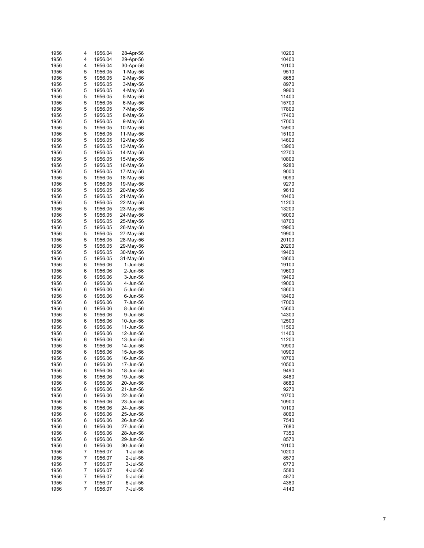| 1956         | 4              | 1956.04            | 28-Apr-56              | 10200          |
|--------------|----------------|--------------------|------------------------|----------------|
| 1956         | 4              | 1956.04            | 29-Apr-56              | 10400          |
| 1956         | 4              | 1956.04            | 30-Apr-56              | 10100          |
| 1956         | 5              | 1956.05            | $1-May-56$             | 9510           |
| 1956         | 5              | 1956.05            | $2-May-56$             | 8650           |
| 1956         | 5              | 1956.05            | 3-May-56               | 8970           |
| 1956         | 5              | 1956.05            | 4-May-56               | 9960           |
| 1956         | 5              | 1956.05            | 5-May-56               | 11400          |
| 1956         | 5              | 1956.05            | 6-May-56               | 15700          |
| 1956         | 5              | 1956.05            | 7-May-56               | 17800          |
| 1956         | 5              | 1956.05            | 8-May-56               | 17400          |
| 1956         | 5              | 1956.05            | 9-May-56               | 17000          |
| 1956         | 5              | 1956.05            | 10-May-56              | 15900          |
| 1956         | 5              | 1956.05            | 11-May-56              | 15100          |
| 1956         | 5              | 1956.05            | 12-May-56              | 14600          |
| 1956         | 5              | 1956.05            | 13-May-56              | 13900          |
| 1956         | 5              | 1956.05            | 14-May-56              | 12700          |
| 1956         | 5              | 1956.05            | 15-May-56              | 10800          |
| 1956         | 5              | 1956.05            | 16-May-56              | 9280           |
| 1956         | 5              | 1956.05            | 17-May-56              | 9000           |
| 1956         | 5              | 1956.05            | 18-May-56              | 9090           |
| 1956         | 5              | 1956.05            | 19-May-56              | 9270           |
| 1956         | 5              | 1956.05            | 20-May-56              | 9610           |
| 1956         | 5              | 1956.05            | 21-May-56              | 10400          |
| 1956         | 5              | 1956.05            | 22-May-56              | 11200          |
| 1956         | 5              | 1956.05            | 23-May-56              | 13200          |
| 1956         | 5              | 1956.05            | 24-May-56              | 16000          |
| 1956         | 5              | 1956.05            | 25-May-56              | 18700          |
| 1956         | 5              | 1956.05            | 26-May-56              | 19900          |
| 1956         | 5              | 1956.05            | 27-May-56              | 19900          |
| 1956         | 5              | 1956.05            | 28-May-56              | 20100          |
| 1956         | 5              | 1956.05            | 29-May-56              | 20200          |
| 1956         | 5              | 1956.05            | 30-May-56              | 19400          |
| 1956         | 5              | 1956.05            | 31-May-56              | 18600          |
| 1956         | 6              | 1956.06            | 1-Jun-56               | 19100          |
| 1956         | 6              | 1956.06            | 2-Jun-56               | 19600          |
| 1956         | 6              | 1956.06            | 3-Jun-56               | 19400          |
| 1956         | 6              | 1956.06            | 4-Jun-56               | 19000          |
| 1956         | 6              | 1956.06            | 5-Jun-56               | 18600          |
| 1956         | 6              | 1956.06            | 6-Jun-56               | 18400          |
| 1956         | 6              | 1956.06            | 7-Jun-56               | 17000          |
| 1956         | 6              | 1956.06            | 8-Jun-56               | 15600          |
| 1956         | 6              | 1956.06            | 9-Jun-56               | 14300          |
| 1956         | 6              | 1956.06            | 10-Jun-56              | 12500          |
| 1956         | 6              | 1956.06            | 11-Jun-56              | 11500          |
| 1956         | 6              | 1956.06            | 12-Jun-56              | 11400          |
| 1956         | 6              | 1956.06            | 13-Jun-56              | 11200          |
| 1956         | 6              | 1956.06            | 14-Jun-56              | 10900          |
| 1956         | 6              | 1956.06            | 15-Jun-56              | 10900          |
| 1956         | 6              | 1956.06            | 16-Jun-56              | 10700          |
| 1956         | 6              | 1956.06            | 17-Jun-56              | 10500          |
| 1956         | 6              | 1956.06            | 18-Jun-56              | 9490           |
| 1956         | 6              | 1956.06            | 19-Jun-56              | 8480           |
| 1956         | 6              | 1956.06            | 20-Jun-56              | 8680           |
| 1956         | 6              | 1956.06            | 21-Jun-56              | 9270           |
| 1956         | 6              | 1956.06            | 22-Jun-56              | 10700          |
| 1956         | 6              | 1956.06            | 23-Jun-56              | 10900          |
| 1956         | 6              | 1956.06            | 24-Jun-56              | 10100          |
| 1956         | 6              | 1956.06            | 25-Jun-56              | 8060           |
| 1956         | 6              | 1956.06            | 26-Jun-56              | 7540           |
| 1956         | 6              | 1956.06<br>1956.06 | 27-Jun-56              | 7680           |
| 1956         | 6              |                    | 28-Jun-56              | 7350           |
| 1956<br>1956 | 6              | 1956.06            | 29-Jun-56<br>30-Jun-56 | 8570           |
| 1956         | 6<br>7         | 1956.06<br>1956.07 | 1-Jul-56               | 10100<br>10200 |
| 1956         | $\overline{7}$ | 1956.07            | 2-Jul-56               | 8570           |
| 1956         | 7              | 1956.07            | 3-Jul-56               | 6770           |
| 1956         | 7              | 1956.07            | 4-Jul-56               | 5580           |
| 1956         | 7              | 1956.07            | 5-Jul-56               | 4870           |
| 1956         | $\overline{7}$ | 1956.07            | 6-Jul-56               | 4380           |
| 1956         | 7              | 1956.07            | 7-Jul-56               | 4140           |
|              |                |                    |                        |                |

| 10200        |
|--------------|
|              |
| 10400        |
|              |
| 10100        |
| 9510         |
|              |
| 8650         |
|              |
| 8970         |
|              |
| 9960         |
| 11400        |
|              |
| 15700        |
|              |
| 7800<br>1    |
| 17400        |
|              |
| 17000        |
|              |
| 15900        |
|              |
| 15100        |
| 14600        |
|              |
| 13900        |
|              |
| 12700        |
|              |
| 10800        |
| 9280         |
|              |
| 9000         |
|              |
| 9090         |
|              |
| 9270         |
| 9610         |
|              |
| 10400        |
|              |
| 11200        |
| 13200        |
|              |
| 16000        |
|              |
| 18700        |
| 19900        |
|              |
| 19900        |
|              |
| 20100        |
|              |
| 20200        |
| 19400        |
|              |
| 18600        |
|              |
| 19100        |
|              |
| 19600        |
| 19400        |
|              |
| 19000        |
|              |
| 18600        |
| 18400        |
|              |
| 17000        |
|              |
| 15600        |
| 14300        |
|              |
| 12500        |
|              |
| 11500        |
|              |
| 11400        |
| 11200        |
|              |
| 10900        |
|              |
| 10900        |
| l<br>17<br>I |
|              |
| 10500        |
|              |
| 9490         |
|              |
|              |
| 8480         |
|              |
| 8680         |
|              |
| 9270         |
| 10700        |
|              |
| 10900        |
|              |
| 10100        |
| 8060         |
|              |
| 7540         |
|              |
| 7680         |
| 7350         |
|              |
| 8570         |
|              |
| 10100        |
|              |
| 10200        |
|              |
| 8570         |
| 6770         |
| 5580         |
|              |
| 4870         |
|              |
| 4380<br>4140 |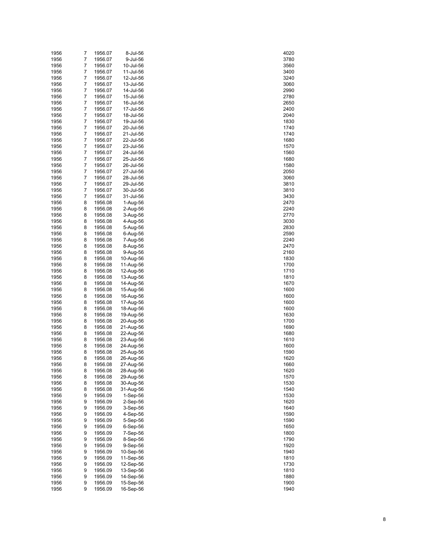| 7      | 1956.07                                                                                                                                                                                                                  | 8-Jul-56                                                                                                                                                                                                                                                                                                                                                                                                                                                                              | 4020                                                                                                                                                                                                                                                                                                                                                                                                                                                                                                                                                 |
|--------|--------------------------------------------------------------------------------------------------------------------------------------------------------------------------------------------------------------------------|---------------------------------------------------------------------------------------------------------------------------------------------------------------------------------------------------------------------------------------------------------------------------------------------------------------------------------------------------------------------------------------------------------------------------------------------------------------------------------------|------------------------------------------------------------------------------------------------------------------------------------------------------------------------------------------------------------------------------------------------------------------------------------------------------------------------------------------------------------------------------------------------------------------------------------------------------------------------------------------------------------------------------------------------------|
| 7      | 1956.07                                                                                                                                                                                                                  | 9-Jul-56                                                                                                                                                                                                                                                                                                                                                                                                                                                                              | 3780                                                                                                                                                                                                                                                                                                                                                                                                                                                                                                                                                 |
| 7      | 1956.07                                                                                                                                                                                                                  | 10-Jul-56                                                                                                                                                                                                                                                                                                                                                                                                                                                                             | 3560                                                                                                                                                                                                                                                                                                                                                                                                                                                                                                                                                 |
| 7      | 1956.07                                                                                                                                                                                                                  | 11-Jul-56                                                                                                                                                                                                                                                                                                                                                                                                                                                                             | 3400                                                                                                                                                                                                                                                                                                                                                                                                                                                                                                                                                 |
|        |                                                                                                                                                                                                                          |                                                                                                                                                                                                                                                                                                                                                                                                                                                                                       | 3240                                                                                                                                                                                                                                                                                                                                                                                                                                                                                                                                                 |
|        |                                                                                                                                                                                                                          |                                                                                                                                                                                                                                                                                                                                                                                                                                                                                       | 3060                                                                                                                                                                                                                                                                                                                                                                                                                                                                                                                                                 |
|        |                                                                                                                                                                                                                          |                                                                                                                                                                                                                                                                                                                                                                                                                                                                                       | 2990                                                                                                                                                                                                                                                                                                                                                                                                                                                                                                                                                 |
|        |                                                                                                                                                                                                                          |                                                                                                                                                                                                                                                                                                                                                                                                                                                                                       | 2780                                                                                                                                                                                                                                                                                                                                                                                                                                                                                                                                                 |
|        |                                                                                                                                                                                                                          |                                                                                                                                                                                                                                                                                                                                                                                                                                                                                       | 2650                                                                                                                                                                                                                                                                                                                                                                                                                                                                                                                                                 |
|        |                                                                                                                                                                                                                          |                                                                                                                                                                                                                                                                                                                                                                                                                                                                                       | 2400                                                                                                                                                                                                                                                                                                                                                                                                                                                                                                                                                 |
|        |                                                                                                                                                                                                                          |                                                                                                                                                                                                                                                                                                                                                                                                                                                                                       | 2040<br>1830                                                                                                                                                                                                                                                                                                                                                                                                                                                                                                                                         |
|        |                                                                                                                                                                                                                          |                                                                                                                                                                                                                                                                                                                                                                                                                                                                                       | 1740                                                                                                                                                                                                                                                                                                                                                                                                                                                                                                                                                 |
|        |                                                                                                                                                                                                                          |                                                                                                                                                                                                                                                                                                                                                                                                                                                                                       | 1740                                                                                                                                                                                                                                                                                                                                                                                                                                                                                                                                                 |
|        |                                                                                                                                                                                                                          |                                                                                                                                                                                                                                                                                                                                                                                                                                                                                       | 1680                                                                                                                                                                                                                                                                                                                                                                                                                                                                                                                                                 |
|        |                                                                                                                                                                                                                          |                                                                                                                                                                                                                                                                                                                                                                                                                                                                                       | 1570                                                                                                                                                                                                                                                                                                                                                                                                                                                                                                                                                 |
|        |                                                                                                                                                                                                                          |                                                                                                                                                                                                                                                                                                                                                                                                                                                                                       | 1560                                                                                                                                                                                                                                                                                                                                                                                                                                                                                                                                                 |
|        |                                                                                                                                                                                                                          |                                                                                                                                                                                                                                                                                                                                                                                                                                                                                       | 1680                                                                                                                                                                                                                                                                                                                                                                                                                                                                                                                                                 |
|        |                                                                                                                                                                                                                          |                                                                                                                                                                                                                                                                                                                                                                                                                                                                                       | 1580                                                                                                                                                                                                                                                                                                                                                                                                                                                                                                                                                 |
|        |                                                                                                                                                                                                                          |                                                                                                                                                                                                                                                                                                                                                                                                                                                                                       | 2050                                                                                                                                                                                                                                                                                                                                                                                                                                                                                                                                                 |
|        |                                                                                                                                                                                                                          |                                                                                                                                                                                                                                                                                                                                                                                                                                                                                       | 3060                                                                                                                                                                                                                                                                                                                                                                                                                                                                                                                                                 |
| 7      | 1956.07                                                                                                                                                                                                                  | 29-Jul-56                                                                                                                                                                                                                                                                                                                                                                                                                                                                             | 3810                                                                                                                                                                                                                                                                                                                                                                                                                                                                                                                                                 |
| 7      | 1956.07                                                                                                                                                                                                                  | 30-Jul-56                                                                                                                                                                                                                                                                                                                                                                                                                                                                             | 3810                                                                                                                                                                                                                                                                                                                                                                                                                                                                                                                                                 |
| 7      | 1956.07                                                                                                                                                                                                                  | 31-Jul-56                                                                                                                                                                                                                                                                                                                                                                                                                                                                             | 3430                                                                                                                                                                                                                                                                                                                                                                                                                                                                                                                                                 |
| 8      | 1956.08                                                                                                                                                                                                                  | 1-Aug-56                                                                                                                                                                                                                                                                                                                                                                                                                                                                              | 2470                                                                                                                                                                                                                                                                                                                                                                                                                                                                                                                                                 |
| 8      | 1956.08                                                                                                                                                                                                                  | $2-Auq-56$                                                                                                                                                                                                                                                                                                                                                                                                                                                                            | 2240                                                                                                                                                                                                                                                                                                                                                                                                                                                                                                                                                 |
| 8      | 1956.08                                                                                                                                                                                                                  | 3-Aug-56                                                                                                                                                                                                                                                                                                                                                                                                                                                                              | 2770                                                                                                                                                                                                                                                                                                                                                                                                                                                                                                                                                 |
| 8      | 1956.08                                                                                                                                                                                                                  | 4-Aug-56                                                                                                                                                                                                                                                                                                                                                                                                                                                                              | 3030                                                                                                                                                                                                                                                                                                                                                                                                                                                                                                                                                 |
| 8      | 1956.08                                                                                                                                                                                                                  | 5-Aug-56                                                                                                                                                                                                                                                                                                                                                                                                                                                                              | 2830                                                                                                                                                                                                                                                                                                                                                                                                                                                                                                                                                 |
|        |                                                                                                                                                                                                                          |                                                                                                                                                                                                                                                                                                                                                                                                                                                                                       | 2590                                                                                                                                                                                                                                                                                                                                                                                                                                                                                                                                                 |
|        |                                                                                                                                                                                                                          |                                                                                                                                                                                                                                                                                                                                                                                                                                                                                       | 2240                                                                                                                                                                                                                                                                                                                                                                                                                                                                                                                                                 |
|        |                                                                                                                                                                                                                          |                                                                                                                                                                                                                                                                                                                                                                                                                                                                                       | 2470                                                                                                                                                                                                                                                                                                                                                                                                                                                                                                                                                 |
|        |                                                                                                                                                                                                                          |                                                                                                                                                                                                                                                                                                                                                                                                                                                                                       | 2160                                                                                                                                                                                                                                                                                                                                                                                                                                                                                                                                                 |
|        |                                                                                                                                                                                                                          |                                                                                                                                                                                                                                                                                                                                                                                                                                                                                       | 1830                                                                                                                                                                                                                                                                                                                                                                                                                                                                                                                                                 |
|        |                                                                                                                                                                                                                          |                                                                                                                                                                                                                                                                                                                                                                                                                                                                                       | 1700                                                                                                                                                                                                                                                                                                                                                                                                                                                                                                                                                 |
|        |                                                                                                                                                                                                                          |                                                                                                                                                                                                                                                                                                                                                                                                                                                                                       | 1710                                                                                                                                                                                                                                                                                                                                                                                                                                                                                                                                                 |
|        |                                                                                                                                                                                                                          |                                                                                                                                                                                                                                                                                                                                                                                                                                                                                       | 1810<br>1670                                                                                                                                                                                                                                                                                                                                                                                                                                                                                                                                         |
|        |                                                                                                                                                                                                                          |                                                                                                                                                                                                                                                                                                                                                                                                                                                                                       | 1600                                                                                                                                                                                                                                                                                                                                                                                                                                                                                                                                                 |
|        |                                                                                                                                                                                                                          |                                                                                                                                                                                                                                                                                                                                                                                                                                                                                       | 1600                                                                                                                                                                                                                                                                                                                                                                                                                                                                                                                                                 |
|        |                                                                                                                                                                                                                          |                                                                                                                                                                                                                                                                                                                                                                                                                                                                                       | 1600                                                                                                                                                                                                                                                                                                                                                                                                                                                                                                                                                 |
|        |                                                                                                                                                                                                                          |                                                                                                                                                                                                                                                                                                                                                                                                                                                                                       | 1600                                                                                                                                                                                                                                                                                                                                                                                                                                                                                                                                                 |
|        |                                                                                                                                                                                                                          |                                                                                                                                                                                                                                                                                                                                                                                                                                                                                       | 1630                                                                                                                                                                                                                                                                                                                                                                                                                                                                                                                                                 |
|        |                                                                                                                                                                                                                          |                                                                                                                                                                                                                                                                                                                                                                                                                                                                                       | 1700                                                                                                                                                                                                                                                                                                                                                                                                                                                                                                                                                 |
|        |                                                                                                                                                                                                                          |                                                                                                                                                                                                                                                                                                                                                                                                                                                                                       | 1690                                                                                                                                                                                                                                                                                                                                                                                                                                                                                                                                                 |
|        |                                                                                                                                                                                                                          |                                                                                                                                                                                                                                                                                                                                                                                                                                                                                       | 1680                                                                                                                                                                                                                                                                                                                                                                                                                                                                                                                                                 |
| 8      | 1956.08                                                                                                                                                                                                                  | 23-Aug-56                                                                                                                                                                                                                                                                                                                                                                                                                                                                             | 1610                                                                                                                                                                                                                                                                                                                                                                                                                                                                                                                                                 |
| 8      | 1956.08                                                                                                                                                                                                                  | 24-Aug-56                                                                                                                                                                                                                                                                                                                                                                                                                                                                             | 1600                                                                                                                                                                                                                                                                                                                                                                                                                                                                                                                                                 |
| 8      | 1956.08                                                                                                                                                                                                                  | 25-Aug-56                                                                                                                                                                                                                                                                                                                                                                                                                                                                             | 1590                                                                                                                                                                                                                                                                                                                                                                                                                                                                                                                                                 |
| 8      | 1956.08                                                                                                                                                                                                                  | 26-Aug-56                                                                                                                                                                                                                                                                                                                                                                                                                                                                             | 1620                                                                                                                                                                                                                                                                                                                                                                                                                                                                                                                                                 |
| 8      | 1956.08                                                                                                                                                                                                                  | 27-Aug-56                                                                                                                                                                                                                                                                                                                                                                                                                                                                             | 1660                                                                                                                                                                                                                                                                                                                                                                                                                                                                                                                                                 |
| 8      | 1956.08                                                                                                                                                                                                                  | 28-Aug-56                                                                                                                                                                                                                                                                                                                                                                                                                                                                             | 1620                                                                                                                                                                                                                                                                                                                                                                                                                                                                                                                                                 |
| 8      | 1956.08                                                                                                                                                                                                                  | 29-Aug-56                                                                                                                                                                                                                                                                                                                                                                                                                                                                             | 1570                                                                                                                                                                                                                                                                                                                                                                                                                                                                                                                                                 |
|        | 1956.08                                                                                                                                                                                                                  | 30-Aug-56                                                                                                                                                                                                                                                                                                                                                                                                                                                                             | 1530                                                                                                                                                                                                                                                                                                                                                                                                                                                                                                                                                 |
|        |                                                                                                                                                                                                                          | 31-Aug-56                                                                                                                                                                                                                                                                                                                                                                                                                                                                             | 1540                                                                                                                                                                                                                                                                                                                                                                                                                                                                                                                                                 |
|        |                                                                                                                                                                                                                          |                                                                                                                                                                                                                                                                                                                                                                                                                                                                                       | 1530                                                                                                                                                                                                                                                                                                                                                                                                                                                                                                                                                 |
|        |                                                                                                                                                                                                                          |                                                                                                                                                                                                                                                                                                                                                                                                                                                                                       | 1620                                                                                                                                                                                                                                                                                                                                                                                                                                                                                                                                                 |
|        |                                                                                                                                                                                                                          |                                                                                                                                                                                                                                                                                                                                                                                                                                                                                       | 1640                                                                                                                                                                                                                                                                                                                                                                                                                                                                                                                                                 |
|        |                                                                                                                                                                                                                          |                                                                                                                                                                                                                                                                                                                                                                                                                                                                                       | 1590                                                                                                                                                                                                                                                                                                                                                                                                                                                                                                                                                 |
|        |                                                                                                                                                                                                                          |                                                                                                                                                                                                                                                                                                                                                                                                                                                                                       | 1590                                                                                                                                                                                                                                                                                                                                                                                                                                                                                                                                                 |
|        |                                                                                                                                                                                                                          |                                                                                                                                                                                                                                                                                                                                                                                                                                                                                       | 1650                                                                                                                                                                                                                                                                                                                                                                                                                                                                                                                                                 |
|        |                                                                                                                                                                                                                          |                                                                                                                                                                                                                                                                                                                                                                                                                                                                                       | 1800<br>1790                                                                                                                                                                                                                                                                                                                                                                                                                                                                                                                                         |
| 9      | 1956.09                                                                                                                                                                                                                  |                                                                                                                                                                                                                                                                                                                                                                                                                                                                                       | 1920                                                                                                                                                                                                                                                                                                                                                                                                                                                                                                                                                 |
|        | 1956.09                                                                                                                                                                                                                  | 9-Sep-56<br>10-Sep-56                                                                                                                                                                                                                                                                                                                                                                                                                                                                 | 1940                                                                                                                                                                                                                                                                                                                                                                                                                                                                                                                                                 |
|        |                                                                                                                                                                                                                          |                                                                                                                                                                                                                                                                                                                                                                                                                                                                                       | 1810                                                                                                                                                                                                                                                                                                                                                                                                                                                                                                                                                 |
| 9      |                                                                                                                                                                                                                          |                                                                                                                                                                                                                                                                                                                                                                                                                                                                                       |                                                                                                                                                                                                                                                                                                                                                                                                                                                                                                                                                      |
| 9      | 1956.09                                                                                                                                                                                                                  | 11-Sep-56                                                                                                                                                                                                                                                                                                                                                                                                                                                                             |                                                                                                                                                                                                                                                                                                                                                                                                                                                                                                                                                      |
| 9      | 1956.09                                                                                                                                                                                                                  | 12-Sep-56                                                                                                                                                                                                                                                                                                                                                                                                                                                                             | 1730                                                                                                                                                                                                                                                                                                                                                                                                                                                                                                                                                 |
| 9      | 1956.09                                                                                                                                                                                                                  | 13-Sep-56                                                                                                                                                                                                                                                                                                                                                                                                                                                                             | 1810                                                                                                                                                                                                                                                                                                                                                                                                                                                                                                                                                 |
| 9<br>9 | 1956.09<br>1956.09                                                                                                                                                                                                       | 14-Sep-56<br>15-Sep-56                                                                                                                                                                                                                                                                                                                                                                                                                                                                | 1880<br>1900                                                                                                                                                                                                                                                                                                                                                                                                                                                                                                                                         |
|        | 7<br>7<br>7<br>7<br>7<br>7<br>7<br>7<br>7<br>7<br>7<br>7<br>7<br>7<br>7<br>7<br>7<br>8<br>8<br>8<br>8<br>8<br>8<br>8<br>8<br>8<br>8<br>8<br>8<br>8<br>8<br>8<br>8<br>8<br>8<br>8<br>9<br>9<br>9<br>9<br>9<br>9<br>9<br>9 | 1956.07<br>1956.07<br>1956.07<br>1956.07<br>1956.07<br>1956.07<br>1956.07<br>1956.07<br>1956.07<br>1956.07<br>1956.07<br>1956.07<br>1956.07<br>1956.07<br>1956.07<br>1956.07<br>1956.07<br>1956.08<br>1956.08<br>1956.08<br>1956.08<br>1956.08<br>1956.08<br>1956.08<br>1956.08<br>1956.08<br>1956.08<br>1956.08<br>1956.08<br>1956.08<br>1956.08<br>1956.08<br>1956.08<br>1956.08<br>1956.08<br>1956.09<br>1956.09<br>1956.09<br>1956.09<br>1956.09<br>1956.09<br>1956.09<br>1956.09 | 12-Jul-56<br>13-Jul-56<br>14-Jul-56<br>15-Jul-56<br>16-Jul-56<br>17-Jul-56<br>18-Jul-56<br>19-Jul-56<br>20-Jul-56<br>21-Jul-56<br>22-Jul-56<br>23-Jul-56<br>24-Jul-56<br>25-Jul-56<br>26-Jul-56<br>27-Jul-56<br>28-Jul-56<br>6-Aug-56<br>7-Aug-56<br>8-Aug-56<br>9-Aug-56<br>10-Aug-56<br>11-Aug-56<br>12-Aug-56<br>13-Aug-56<br>14-Aug-56<br>15-Aug-56<br>16-Aug-56<br>17-Aug-56<br>18-Aug-56<br>19-Aug-56<br>20-Aug-56<br>21-Aug-56<br>22-Aug-56<br>$1-Sep-56$<br>2-Sep-56<br>3-Sep-56<br>4-Sep-56<br>5-Sep-56<br>6-Sep-56<br>7-Sep-56<br>8-Sep-56 |

| 4020<br>)         |  |
|-------------------|--|
| 3780              |  |
| 3560<br>)         |  |
| 3400              |  |
| 240<br>š,         |  |
| 3060              |  |
| 2990              |  |
| 2780              |  |
| 2650<br>)         |  |
| 2400              |  |
| 2040              |  |
| 1830              |  |
| 1<br>740          |  |
| 1740              |  |
| 1680<br>)         |  |
| 1570              |  |
| 1560              |  |
| 1680              |  |
| 1580              |  |
| 2050              |  |
| 3060              |  |
| 3810              |  |
| 3810              |  |
| ں<br>3430<br>7^7  |  |
| 2470              |  |
| 2240<br>2770      |  |
| 3030              |  |
| 2830<br>)         |  |
| 2590              |  |
| 240<br>)          |  |
| 2470              |  |
| 2160              |  |
| 1830              |  |
| 1<br>700          |  |
| 1710              |  |
| 1810<br>)         |  |
| 1670              |  |
| 1600<br>)         |  |
| 1600              |  |
| 1600<br>)         |  |
| 1600              |  |
| 1630<br>)         |  |
| 1700              |  |
| 1690<br>)         |  |
| 1680              |  |
| 1610<br>)         |  |
| 1600              |  |
| 1590<br>)         |  |
| 1620<br>)         |  |
| 1660              |  |
| 1620<br>1570      |  |
| 1530              |  |
| 1540<br>)         |  |
| 1530              |  |
| 1620<br>)         |  |
| 1640              |  |
| 1590<br>)         |  |
| 1590              |  |
| 1650<br>)         |  |
| 1800              |  |
| 790<br>1<br>)     |  |
| 1920              |  |
| 1940<br>)         |  |
| 1810              |  |
| 730<br>1<br>)     |  |
| 1810              |  |
| 1880<br>)         |  |
| 1900<br>1940<br>) |  |
|                   |  |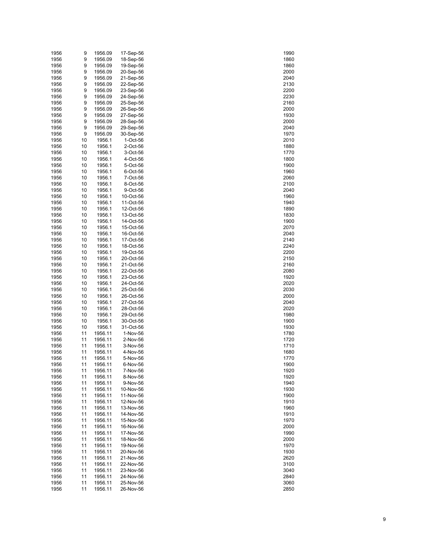| 1956 | 9  | 1956.09 | 17-Sep-56 | 1990 |
|------|----|---------|-----------|------|
| 1956 | 9  | 1956.09 | 18-Sep-56 | 1860 |
| 1956 | 9  | 1956.09 | 19-Sep-56 | 1860 |
| 1956 | 9  | 1956.09 | 20-Sep-56 | 2000 |
| 1956 | 9  | 1956.09 | 21-Sep-56 | 2040 |
| 1956 | 9  | 1956.09 | 22-Sep-56 | 2130 |
| 1956 | 9  | 1956.09 | 23-Sep-56 | 2200 |
|      |    |         |           |      |
| 1956 | 9  | 1956.09 | 24-Sep-56 | 2230 |
| 1956 | 9  | 1956.09 | 25-Sep-56 | 2160 |
| 1956 | 9  | 1956.09 | 26-Sep-56 | 2000 |
| 1956 | 9  | 1956.09 | 27-Sep-56 | 1930 |
| 1956 | 9  | 1956.09 | 28-Sep-56 | 2000 |
| 1956 | 9  | 1956.09 | 29-Sep-56 | 2040 |
| 1956 | 9  | 1956.09 | 30-Sep-56 | 1970 |
| 1956 | 10 | 1956.1  | 1-Oct-56  | 2010 |
| 1956 | 10 | 1956.1  | 2-Oct-56  | 1880 |
| 1956 | 10 | 1956.1  | 3-Oct-56  | 1770 |
| 1956 | 10 | 1956.1  | 4-Oct-56  | 1800 |
|      |    |         |           |      |
| 1956 | 10 | 1956.1  | 5-Oct-56  | 1900 |
| 1956 | 10 | 1956.1  | 6-Oct-56  | 1960 |
| 1956 | 10 | 1956.1  | 7-Oct-56  | 2060 |
| 1956 | 10 | 1956.1  | 8-Oct-56  | 2100 |
| 1956 | 10 | 1956.1  | 9-Oct-56  | 2040 |
| 1956 | 10 | 1956.1  | 10-Oct-56 | 1960 |
| 1956 | 10 | 1956.1  | 11-Oct-56 | 1940 |
| 1956 | 10 | 1956.1  | 12-Oct-56 | 1890 |
| 1956 | 10 | 1956.1  | 13-Oct-56 | 1830 |
| 1956 | 10 | 1956.1  | 14-Oct-56 | 1900 |
| 1956 | 10 | 1956.1  | 15-Oct-56 | 2070 |
| 1956 | 10 | 1956.1  | 16-Oct-56 | 2040 |
|      |    |         |           |      |
| 1956 | 10 | 1956.1  | 17-Oct-56 | 2140 |
| 1956 | 10 | 1956.1  | 18-Oct-56 | 2240 |
| 1956 | 10 | 1956.1  | 19-Oct-56 | 2200 |
| 1956 | 10 | 1956.1  | 20-Oct-56 | 2150 |
| 1956 | 10 | 1956.1  | 21-Oct-56 | 2160 |
| 1956 | 10 | 1956.1  | 22-Oct-56 | 2080 |
| 1956 | 10 | 1956.1  | 23-Oct-56 | 1920 |
| 1956 | 10 | 1956.1  | 24-Oct-56 | 2020 |
| 1956 | 10 | 1956.1  | 25-Oct-56 | 2030 |
| 1956 | 10 | 1956.1  | 26-Oct-56 | 2000 |
| 1956 | 10 | 1956.1  | 27-Oct-56 | 2040 |
| 1956 | 10 | 1956.1  | 28-Oct-56 | 2020 |
|      |    |         |           |      |
| 1956 | 10 | 1956.1  | 29-Oct-56 | 1980 |
| 1956 | 10 | 1956.1  | 30-Oct-56 | 1900 |
| 1956 | 10 | 1956.1  | 31-Oct-56 | 1930 |
| 1956 | 11 | 1956.11 | 1-Nov-56  | 1780 |
| 1956 | 11 | 1956.11 | 2-Nov-56  | 1720 |
| 1956 | 11 | 1956.11 | 3-Nov-56  | 1710 |
| 1956 | 11 | 1956.11 | 4-Nov-56  | 1680 |
| 1956 | 11 | 1956.11 | 5-Nov-56  | 1770 |
| 1956 | 11 | 1956.11 | 6-Nov-56  | 1900 |
| 1956 | 11 | 1956.11 | 7-Nov-56  | 1920 |
| 1956 | 11 | 1956.11 | 8-Nov-56  | 1920 |
| 1956 | 11 | 1956.11 | 9-Nov-56  | 1940 |
| 1956 | 11 | 1956.11 | 10-Nov-56 | 1930 |
|      |    |         |           |      |
| 1956 | 11 | 1956.11 | 11-Nov-56 | 1900 |
| 1956 | 11 | 1956.11 | 12-Nov-56 | 1910 |
| 1956 | 11 | 1956.11 | 13-Nov-56 | 1960 |
| 1956 | 11 | 1956.11 | 14-Nov-56 | 1910 |
| 1956 | 11 | 1956.11 | 15-Nov-56 | 1970 |
| 1956 | 11 | 1956.11 | 16-Nov-56 | 2000 |
| 1956 | 11 | 1956.11 | 17-Nov-56 | 1990 |
| 1956 | 11 | 1956.11 | 18-Nov-56 | 2000 |
| 1956 | 11 | 1956.11 | 19-Nov-56 | 1970 |
| 1956 | 11 | 1956.11 | 20-Nov-56 | 1930 |
| 1956 | 11 | 1956.11 | 21-Nov-56 | 2620 |
| 1956 | 11 | 1956.11 | 22-Nov-56 | 3100 |
|      |    |         |           |      |
| 1956 | 11 | 1956.11 | 23-Nov-56 | 3040 |
| 1956 | 11 | 1956.11 | 24-Nov-56 | 2840 |
| 1956 | 11 | 1956.11 | 25-Nov-56 | 3060 |
| 1956 | 11 | 1956.11 | 26-Nov-56 | 2850 |

| 1990         |  |
|--------------|--|
| 1860<br>1860 |  |
| 2000         |  |
| 2040<br>2130 |  |
| 2200         |  |
| 2230<br>2160 |  |
| 2000         |  |
| 1930<br>2000 |  |
| 2040         |  |
| 1970<br>2010 |  |
| 1880         |  |
| 1770<br>1800 |  |
| 1900         |  |
| 1960<br>2060 |  |
| 2100         |  |
| 2040<br>1960 |  |
| 1940         |  |
| 1890<br>1830 |  |
| 1900         |  |
| 2070<br>2040 |  |
| 2140         |  |
| 2240<br>2200 |  |
| 2150         |  |
| 2160<br>2080 |  |
| 1920         |  |
| 2020<br>2030 |  |
| 2000<br>2040 |  |
| 2020         |  |
| 1980<br>1900 |  |
| 1930         |  |
| 1780<br>1720 |  |
| 1710         |  |
| 1680<br>1770 |  |
| 1900         |  |
| 1920<br>1920 |  |
| 1940         |  |
| 1930<br>1900 |  |
| 1910         |  |
| 1960<br>1910 |  |
| 1970         |  |
| 2000<br>1990 |  |
| 2000         |  |
| 1970<br>1930 |  |
| 2620         |  |
| 3100<br>3040 |  |
| 2840         |  |
| 3060<br>2850 |  |
|              |  |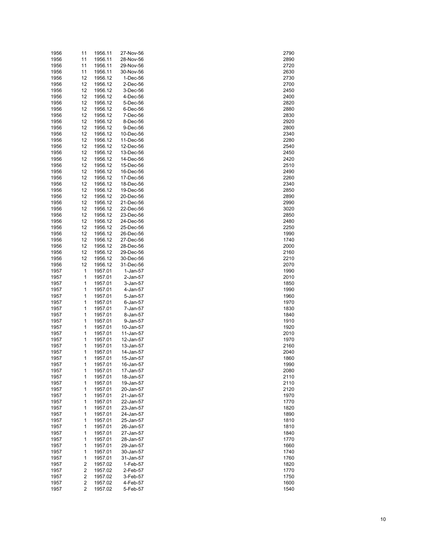| 1956 | 11             | 1956.11 | 27-Nov-56 | 2790 |
|------|----------------|---------|-----------|------|
| 1956 | 11             | 1956.11 | 28-Nov-56 | 2890 |
|      |                |         |           |      |
| 1956 | 11             | 1956.11 | 29-Nov-56 | 2720 |
| 1956 | 11             | 1956.11 | 30-Nov-56 | 2630 |
| 1956 | 12             | 1956.12 | 1-Dec-56  | 2730 |
| 1956 | 12             | 1956.12 | 2-Dec-56  | 2700 |
| 1956 | 12             | 1956.12 | 3-Dec-56  | 2450 |
| 1956 | 12             | 1956.12 | 4-Dec-56  | 2400 |
| 1956 | 12             | 1956.12 | 5-Dec-56  | 2820 |
|      |                |         |           |      |
| 1956 | 12             | 1956.12 | 6-Dec-56  | 2880 |
| 1956 | 12             | 1956.12 | 7-Dec-56  | 2830 |
| 1956 | 12             | 1956.12 | 8-Dec-56  | 2920 |
| 1956 | 12             | 1956.12 | 9-Dec-56  | 2800 |
| 1956 | 12             | 1956.12 | 10-Dec-56 | 2340 |
| 1956 | 12             | 1956.12 | 11-Dec-56 | 2280 |
| 1956 | 12             | 1956.12 | 12-Dec-56 | 2540 |
|      |                |         |           |      |
| 1956 | 12             | 1956.12 | 13-Dec-56 | 2450 |
| 1956 | 12             | 1956.12 | 14-Dec-56 | 2420 |
| 1956 | 12             | 1956.12 | 15-Dec-56 | 2510 |
| 1956 | 12             | 1956.12 | 16-Dec-56 | 2490 |
| 1956 | 12             | 1956.12 | 17-Dec-56 | 2260 |
| 1956 | 12             | 1956.12 | 18-Dec-56 | 2340 |
| 1956 | 12             | 1956.12 | 19-Dec-56 | 2850 |
|      |                |         |           |      |
| 1956 | 12             | 1956.12 | 20-Dec-56 | 2890 |
| 1956 | 12             | 1956.12 | 21-Dec-56 | 2990 |
| 1956 | 12             | 1956.12 | 22-Dec-56 | 3020 |
| 1956 | 12             | 1956.12 | 23-Dec-56 | 2850 |
| 1956 | 12             | 1956.12 | 24-Dec-56 | 2480 |
| 1956 | 12             | 1956.12 | 25-Dec-56 | 2250 |
| 1956 | 12             | 1956.12 | 26-Dec-56 | 1990 |
|      |                |         |           |      |
| 1956 | 12             | 1956.12 | 27-Dec-56 | 1740 |
| 1956 | 12             | 1956.12 | 28-Dec-56 | 2000 |
| 1956 | 12             | 1956.12 | 29-Dec-56 | 2160 |
| 1956 | 12             | 1956.12 | 30-Dec-56 | 2210 |
| 1956 | 12             | 1956.12 | 31-Dec-56 | 2070 |
| 1957 | 1              | 1957.01 | 1-Jan-57  | 1990 |
| 1957 | 1              | 1957.01 | 2-Jan-57  | 2010 |
|      | 1              |         |           |      |
| 1957 |                | 1957.01 | 3-Jan-57  | 1850 |
| 1957 | 1              | 1957.01 | 4-Jan-57  | 1990 |
| 1957 | 1              | 1957.01 | 5-Jan-57  | 1960 |
| 1957 | 1              | 1957.01 | 6-Jan-57  | 1970 |
| 1957 | 1              | 1957.01 | 7-Jan-57  | 1830 |
| 1957 | 1              | 1957.01 | 8-Jan-57  | 1840 |
| 1957 | 1              | 1957.01 | 9-Jan-57  | 1910 |
| 1957 | 1              | 1957.01 | 10-Jan-57 | 1920 |
| 1957 | 1              | 1957.01 | 11-Jan-57 | 2010 |
|      |                |         |           |      |
| 1957 | 1              | 1957.01 | 12-Jan-57 | 1970 |
| 1957 | 1              | 1957.01 | 13-Jan-57 | 2160 |
| 1957 | 1              | 1957.01 | 14-Jan-57 | 2040 |
| 1957 | 1              | 1957.01 | 15-Jan-57 | 1860 |
| 1957 | 1              | 1957.01 | 16-Jan-57 | 1990 |
| 1957 | 1              | 1957.01 | 17-Jan-57 | 2080 |
| 1957 | 1              | 1957.01 | 18-Jan-57 | 2110 |
|      | 1              |         |           |      |
| 1957 |                | 1957.01 | 19-Jan-57 | 2110 |
| 1957 | 1              | 1957.01 | 20-Jan-57 | 2120 |
| 1957 | 1              | 1957.01 | 21-Jan-57 | 1970 |
| 1957 | 1              | 1957.01 | 22-Jan-57 | 1770 |
| 1957 | 1              | 1957.01 | 23-Jan-57 | 1820 |
| 1957 | 1              | 1957.01 | 24-Jan-57 | 1890 |
| 1957 | 1              | 1957.01 | 25-Jan-57 | 1810 |
| 1957 | 1              | 1957.01 | 26-Jan-57 | 1810 |
|      |                |         |           |      |
| 1957 | 1              | 1957.01 | 27-Jan-57 | 1840 |
| 1957 | 1              | 1957.01 | 28-Jan-57 | 1770 |
| 1957 | 1              | 1957.01 | 29-Jan-57 | 1660 |
| 1957 | 1              | 1957.01 | 30-Jan-57 | 1740 |
| 1957 | 1              | 1957.01 | 31-Jan-57 | 1760 |
| 1957 | 2              | 1957.02 | 1-Feb-57  | 1820 |
| 1957 | $\overline{c}$ | 1957.02 | 2-Feb-57  | 1770 |
| 1957 | 2              | 1957.02 | 3-Feb-57  | 1750 |
|      |                |         |           |      |
| 1957 | $\overline{c}$ | 1957.02 | 4-Feb-57  | 1600 |
| 1957 | 2              | 1957.02 | 5-Feb-57  | 1540 |

| 2790<br>2890 |  |
|--------------|--|
|              |  |
|              |  |
|              |  |
| 27<br>20     |  |
| 2630         |  |
|              |  |
| 2730         |  |
| 2700         |  |
| 2450         |  |
|              |  |
| :400         |  |
| 2820         |  |
|              |  |
| 2880         |  |
| 2830         |  |
|              |  |
| 2920         |  |
| 2800         |  |
|              |  |
| 2340         |  |
| 280          |  |
| 2540         |  |
|              |  |
| 2450         |  |
| 2420         |  |
|              |  |
| 2510         |  |
| 2490         |  |
|              |  |
| 260          |  |
| 2340         |  |
|              |  |
| 2850         |  |
| 2890         |  |
| 2990         |  |
|              |  |
| 3020         |  |
| 2850         |  |
|              |  |
| 2480         |  |
| 2250         |  |
|              |  |
| 1990         |  |
| 1740         |  |
| 2000         |  |
|              |  |
| 2160         |  |
| 2210         |  |
|              |  |
| 2070         |  |
| 1990         |  |
|              |  |
| 2010         |  |
|              |  |
|              |  |
| 1850         |  |
| 1990         |  |
| 1960         |  |
|              |  |
| 1970         |  |
| 1830         |  |
|              |  |
| 1840         |  |
| 1910         |  |
| 19.          |  |
| 20           |  |
| 2010         |  |
|              |  |
| 1970         |  |
| 2160         |  |
| 2040         |  |
|              |  |
| 1860         |  |
| 1990         |  |
| 2080         |  |
|              |  |
| 2110         |  |
| 2110         |  |
|              |  |
| 21<br>20     |  |
| 1970         |  |
|              |  |
| 1770         |  |
| 1820         |  |
|              |  |
| 1890         |  |
| 1810         |  |
| 1810         |  |
|              |  |
| 1840         |  |
| 1770         |  |
|              |  |
| 1660         |  |
| 1740         |  |
| 1760         |  |
|              |  |
| 18<br>20     |  |
| 1770         |  |
|              |  |
| 1750         |  |
| 1600<br>1540 |  |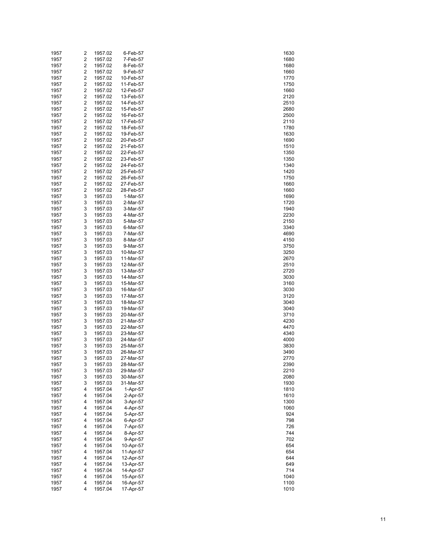| 1957 | 2 | 1957.02 | 6-Feb-57  | 1630 |
|------|---|---------|-----------|------|
| 1957 | 2 | 1957.02 | 7-Feb-57  | 1680 |
| 1957 | 2 | 1957.02 | 8-Feb-57  | 1680 |
| 1957 | 2 | 1957.02 | 9-Feb-57  | 1660 |
| 1957 | 2 | 1957.02 | 10-Feb-57 | 1770 |
| 1957 | 2 | 1957.02 | 11-Feb-57 | 1750 |
| 1957 | 2 | 1957.02 | 12-Feb-57 | 1660 |
|      |   |         |           |      |
| 1957 | 2 | 1957.02 | 13-Feb-57 | 2120 |
| 1957 | 2 | 1957.02 | 14-Feb-57 | 2510 |
| 1957 | 2 | 1957.02 | 15-Feb-57 | 2680 |
| 1957 | 2 | 1957.02 | 16-Feb-57 | 2500 |
| 1957 | 2 | 1957.02 | 17-Feb-57 | 2110 |
| 1957 | 2 | 1957.02 | 18-Feb-57 | 1780 |
| 1957 | 2 | 1957.02 | 19-Feb-57 | 1630 |
| 1957 | 2 | 1957.02 | 20-Feb-57 | 1690 |
| 1957 | 2 | 1957.02 | 21-Feb-57 | 1510 |
| 1957 | 2 | 1957.02 | 22-Feb-57 | 1350 |
| 1957 | 2 | 1957.02 | 23-Feb-57 | 1350 |
| 1957 | 2 | 1957.02 | 24-Feb-57 | 1340 |
| 1957 | 2 | 1957.02 | 25-Feb-57 | 1420 |
| 1957 | 2 | 1957.02 | 26-Feb-57 | 1750 |
|      |   |         |           |      |
| 1957 | 2 | 1957.02 | 27-Feb-57 | 1660 |
| 1957 | 2 | 1957.02 | 28-Feb-57 | 1660 |
| 1957 | 3 | 1957.03 | 1-Mar-57  | 1690 |
| 1957 | 3 | 1957.03 | 2-Mar-57  | 1720 |
| 1957 | 3 | 1957.03 | 3-Mar-57  | 1940 |
| 1957 | 3 | 1957.03 | 4-Mar-57  | 2230 |
| 1957 | 3 | 1957.03 | 5-Mar-57  | 2150 |
| 1957 | 3 | 1957.03 | 6-Mar-57  | 3340 |
| 1957 | 3 | 1957.03 | 7-Mar-57  | 4690 |
| 1957 | 3 | 1957.03 | 8-Mar-57  | 4150 |
| 1957 | 3 | 1957.03 | 9-Mar-57  | 3750 |
| 1957 | 3 | 1957.03 | 10-Mar-57 | 3250 |
| 1957 | 3 | 1957.03 | 11-Mar-57 | 2670 |
| 1957 | 3 | 1957.03 | 12-Mar-57 | 2510 |
|      |   |         |           |      |
| 1957 | 3 | 1957.03 | 13-Mar-57 | 2720 |
| 1957 | 3 | 1957.03 | 14-Mar-57 | 3030 |
| 1957 | 3 | 1957.03 | 15-Mar-57 | 3160 |
| 1957 | 3 | 1957.03 | 16-Mar-57 | 3030 |
| 1957 | 3 | 1957.03 | 17-Mar-57 | 3120 |
| 1957 | 3 | 1957.03 | 18-Mar-57 | 3040 |
| 1957 | 3 | 1957.03 | 19-Mar-57 | 3040 |
| 1957 | 3 | 1957.03 | 20-Mar-57 | 3710 |
| 1957 | 3 | 1957.03 | 21-Mar-57 | 4230 |
| 1957 | 3 | 1957.03 | 22-Mar-57 | 4470 |
| 1957 | 3 | 1957.03 | 23-Mar-57 | 4340 |
| 1957 | 3 | 1957.03 | 24-Mar-57 | 4000 |
| 1957 | 3 | 1957.03 | 25-Mar-57 | 3830 |
| 1957 | 3 | 1957.03 | 26-Mar-57 | 3490 |
| 1957 | 3 | 1957.03 | 27-Mar-57 | 2770 |
| 1957 | 3 | 1957.03 |           | 2390 |
|      |   |         | 28-Mar-57 |      |
| 1957 | 3 | 1957.03 | 29-Mar-57 | 2210 |
| 1957 | 3 | 1957.03 | 30-Mar-57 | 2080 |
| 1957 | 3 | 1957.03 | 31-Mar-57 | 1930 |
| 1957 | 4 | 1957.04 | 1-Apr-57  | 1810 |
| 1957 | 4 | 1957.04 | 2-Apr-57  | 1610 |
| 1957 | 4 | 1957.04 | 3-Apr-57  | 1300 |
| 1957 | 4 | 1957.04 | 4-Apr-57  | 1060 |
| 1957 | 4 | 1957.04 | 5-Apr-57  | 924  |
| 1957 | 4 | 1957.04 | 6-Apr-57  | 798  |
| 1957 | 4 | 1957.04 | 7-Apr-57  | 726  |
| 1957 | 4 | 1957.04 | 8-Apr-57  | 744  |
| 1957 | 4 | 1957.04 | 9-Apr-57  | 702  |
| 1957 | 4 | 1957.04 | 10-Apr-57 | 654  |
| 1957 | 4 | 1957.04 | 11-Apr-57 | 654  |
| 1957 | 4 | 1957.04 | 12-Apr-57 | 644  |
|      |   |         |           |      |
| 1957 | 4 | 1957.04 | 13-Apr-57 | 649  |
| 1957 | 4 | 1957.04 | 14-Apr-57 | 714  |
| 1957 | 4 | 1957.04 | 15-Apr-57 | 1040 |
| 1957 | 4 | 1957.04 | 16-Apr-57 | 1100 |
| 1957 | 4 | 1957.04 | 17-Apr-57 | 1010 |

| 1630         |  |
|--------------|--|
| 1680<br>1680 |  |
| 1660<br>1770 |  |
| 1750         |  |
| 1660<br>2120 |  |
| 2510         |  |
| 2680<br>2500 |  |
| 2110         |  |
| 1780<br>1630 |  |
| 1690         |  |
| 1510<br>1350 |  |
| 1350         |  |
| 1340<br>1420 |  |
| 1750         |  |
| 1660<br>1660 |  |
| 1690         |  |
| 1720<br>1940 |  |
| 2230<br>2150 |  |
| 3340         |  |
| 4690<br>4150 |  |
| 3750         |  |
| 3250<br>2670 |  |
| 2510         |  |
| 2720<br>3030 |  |
| 3160         |  |
| 3030<br>3120 |  |
| 3040<br>3040 |  |
| 3710         |  |
| 4230<br>4470 |  |
| 4340         |  |
| 4000<br>3830 |  |
| 3490         |  |
| 2770<br>2390 |  |
| 2210         |  |
| 2080<br>1930 |  |
| 1810<br>1610 |  |
| 1300         |  |
| 1060<br>924  |  |
| 798          |  |
| 726<br>744   |  |
| 702          |  |
| 654<br>654   |  |
| 644<br>649   |  |
| 714          |  |
| 1040<br>1100 |  |
| 1010         |  |
|              |  |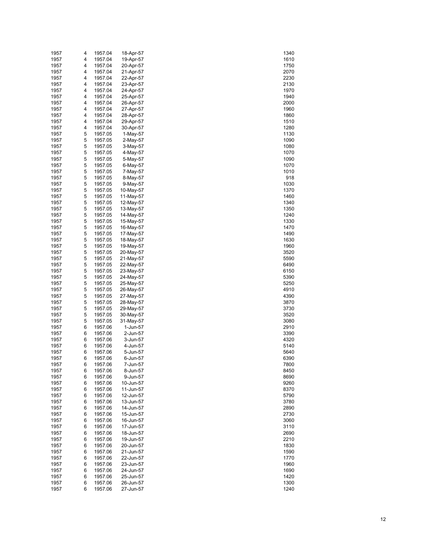| 1957 | 4 | 1957.04 | 18-Apr-57  | 1340 |
|------|---|---------|------------|------|
| 1957 | 4 | 1957.04 | 19-Apr-57  | 1610 |
| 1957 | 4 | 1957.04 | 20-Apr-57  | 1750 |
| 1957 | 4 | 1957.04 | 21-Apr-57  | 2070 |
| 1957 | 4 | 1957.04 | 22-Apr-57  | 2230 |
| 1957 | 4 | 1957.04 | 23-Apr-57  | 2130 |
|      |   |         |            |      |
| 1957 | 4 | 1957.04 | 24-Apr-57  | 1970 |
| 1957 | 4 | 1957.04 | 25-Apr-57  | 1940 |
| 1957 | 4 | 1957.04 | 26-Apr-57  | 2000 |
| 1957 | 4 | 1957.04 | 27-Apr-57  | 1960 |
| 1957 | 4 | 1957.04 | 28-Apr-57  | 1860 |
| 1957 | 4 | 1957.04 | 29-Apr-57  | 1510 |
| 1957 | 4 | 1957.04 | 30-Apr-57  | 1280 |
| 1957 | 5 | 1957.05 | $1-May-57$ | 1130 |
| 1957 | 5 | 1957.05 | 2-May-57   | 1090 |
| 1957 | 5 | 1957.05 | 3-May-57   | 1080 |
| 1957 | 5 | 1957.05 | 4-May-57   | 1070 |
| 1957 | 5 | 1957.05 | 5-May-57   |      |
|      |   |         |            | 1090 |
| 1957 | 5 | 1957.05 | 6-May-57   | 1070 |
| 1957 | 5 | 1957.05 | 7-May-57   | 1010 |
| 1957 | 5 | 1957.05 | 8-May-57   | 918  |
| 1957 | 5 | 1957.05 | 9-May-57   | 1030 |
| 1957 | 5 | 1957.05 | 10-May-57  | 1370 |
| 1957 | 5 | 1957.05 | 11-May-57  | 1460 |
| 1957 | 5 | 1957.05 | 12-May-57  | 1340 |
| 1957 | 5 | 1957.05 | 13-May-57  | 1350 |
| 1957 | 5 | 1957.05 | 14-May-57  | 1240 |
| 1957 | 5 | 1957.05 | 15-May-57  | 1330 |
| 1957 | 5 | 1957.05 | 16-May-57  | 1470 |
| 1957 | 5 | 1957.05 | 17-May-57  | 1490 |
|      |   |         |            |      |
| 1957 | 5 | 1957.05 | 18-May-57  | 1630 |
| 1957 | 5 | 1957.05 | 19-May-57  | 1960 |
| 1957 | 5 | 1957.05 | 20-May-57  | 3520 |
| 1957 | 5 | 1957.05 | 21-May-57  | 5590 |
| 1957 | 5 | 1957.05 | 22-May-57  | 6490 |
| 1957 | 5 | 1957.05 | 23-May-57  | 6150 |
| 1957 | 5 | 1957.05 | 24-May-57  | 5390 |
| 1957 | 5 | 1957.05 | 25-May-57  | 5250 |
| 1957 | 5 | 1957.05 | 26-May-57  | 4910 |
| 1957 | 5 | 1957.05 | 27-May-57  | 4390 |
| 1957 | 5 | 1957.05 | 28-May-57  | 3870 |
| 1957 | 5 | 1957.05 | 29-May-57  | 3730 |
| 1957 | 5 | 1957.05 |            | 3520 |
|      |   |         | 30-May-57  |      |
| 1957 | 5 | 1957.05 | 31-May-57  | 3080 |
| 1957 | 6 | 1957.06 | 1-Jun-57   | 2910 |
| 1957 | 6 | 1957.06 | 2-Jun-57   | 3390 |
| 1957 | 6 | 1957.06 | 3-Jun-57   | 4320 |
| 1957 | 6 | 1957.06 | 4-Jun-57   | 5140 |
| 1957 | 6 | 1957.06 | 5-Jun-57   | 5640 |
| 1957 | 6 | 1957.06 | 6-Jun-57   | 6390 |
| 1957 | 6 | 1957.06 | 7-Jun-57   | 7800 |
| 1957 | 6 | 1957.06 | 8-Jun-57   | 8450 |
| 1957 | 6 | 1957.06 | 9-Jun-57   | 8690 |
| 1957 | 6 | 1957.06 | 10-Jun-57  | 9260 |
| 1957 | 6 | 1957.06 | 11-Jun-57  | 8370 |
| 1957 | 6 | 1957.06 | 12-Jun-57  | 5790 |
|      |   |         |            |      |
| 1957 | 6 | 1957.06 | 13-Jun-57  | 3780 |
| 1957 | 6 | 1957.06 | 14-Jun-57  | 2890 |
| 1957 | 6 | 1957.06 | 15-Jun-57  | 2730 |
| 1957 | 6 | 1957.06 | 16-Jun-57  | 3060 |
| 1957 | 6 | 1957.06 | 17-Jun-57  | 3110 |
| 1957 | 6 | 1957.06 | 18-Jun-57  | 2690 |
| 1957 | 6 | 1957.06 | 19-Jun-57  | 2210 |
| 1957 | 6 | 1957.06 | 20-Jun-57  | 1830 |
| 1957 | 6 | 1957.06 | 21-Jun-57  | 1590 |
| 1957 | 6 | 1957.06 | 22-Jun-57  | 1770 |
| 1957 | 6 | 1957.06 | 23-Jun-57  | 1960 |
| 1957 | 6 | 1957.06 | 24-Jun-57  | 1690 |
|      |   |         |            | 1420 |
| 1957 | 6 | 1957.06 | 25-Jun-57  |      |
| 1957 | 6 | 1957.06 | 26-Jun-57  | 1300 |
| 1957 | 6 | 1957.06 | 27-Jun-57  | 1240 |

| 1340              |
|-------------------|
|                   |
| 1610              |
| 1750              |
|                   |
| 2070              |
| 2230              |
| 2130              |
| 1970              |
|                   |
| 1940              |
| 2000              |
| 1960              |
|                   |
| 1860              |
| 1510              |
| 1280              |
|                   |
| 1130              |
| 1090              |
| 1080              |
|                   |
| 1070              |
| 1090              |
| 1070              |
| 1010              |
|                   |
| 918               |
| 1030              |
| 370<br>1:         |
|                   |
| 1460              |
| 1:<br>340         |
| 350<br>$\ddagger$ |
|                   |
| 1240              |
| 1330              |
| 1470              |
|                   |
| 1490              |
| 1630              |
| 1960              |
| 3520              |
|                   |
| 5590              |
| 6490              |
| 6150              |
|                   |
| 5390              |
| 5250              |
| 4910              |
|                   |
| 4390              |
| 3870              |
| 3730              |
|                   |
| 3520              |
| 3080              |
|                   |
|                   |
| 2910              |
| 3390              |
| 4320              |
|                   |
| 5140              |
| 5640              |
| 390<br>Е<br>)     |
| 7800              |
|                   |
| 8450              |
| 8690              |
| 9260              |
|                   |
| 8370              |
| 5790              |
| 3780              |
| 2890              |
|                   |
| 2730              |
| 3060              |
| 3110              |
|                   |
| 2690              |
| 2210              |
| 1830              |
|                   |
| 1590              |
| 1770              |
| 1960              |
|                   |
| 1690              |
| 1420              |
| 300<br>1:<br>1240 |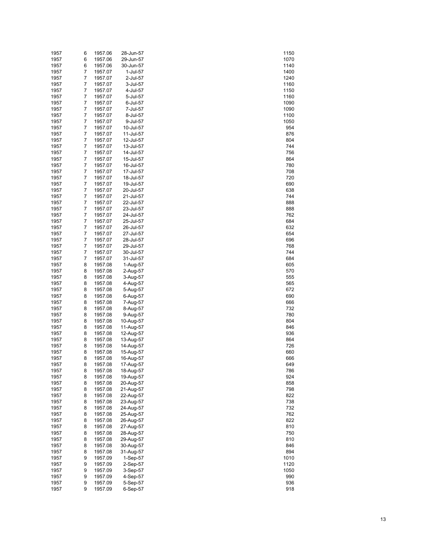| 1957 | 6              | 1957.06 | 28-Jun-57 | 1150 |
|------|----------------|---------|-----------|------|
| 1957 | 6              | 1957.06 | 29-Jun-57 | 1070 |
| 1957 | 6              | 1957.06 | 30-Jun-57 | 1140 |
| 1957 | 7              | 1957.07 | 1-Jul-57  | 1400 |
| 1957 | $\overline{7}$ | 1957.07 | 2-Jul-57  | 1240 |
| 1957 | 7              | 1957.07 | 3-Jul-57  | 1160 |
| 1957 | $\overline{7}$ | 1957.07 | 4-Jul-57  | 1150 |
| 1957 | 7              | 1957.07 | 5-Jul-57  | 1160 |
| 1957 | $\overline{7}$ | 1957.07 | 6-Jul-57  | 1090 |
| 1957 | 7              | 1957.07 | 7-Jul-57  | 1090 |
| 1957 | $\overline{7}$ | 1957.07 | 8-Jul-57  | 1100 |
| 1957 | 7              | 1957.07 | 9-Jul-57  | 1050 |
| 1957 | $\overline{7}$ | 1957.07 | 10-Jul-57 | 954  |
| 1957 | 7              | 1957.07 |           | 876  |
|      | $\overline{7}$ |         | 11-Jul-57 |      |
| 1957 |                | 1957.07 | 12-Jul-57 | 804  |
| 1957 | 7              | 1957.07 | 13-Jul-57 | 744  |
| 1957 | $\overline{7}$ | 1957.07 | 14-Jul-57 | 756  |
| 1957 | 7              | 1957.07 | 15-Jul-57 | 864  |
| 1957 | $\overline{7}$ | 1957.07 | 16-Jul-57 | 780  |
| 1957 | 7              | 1957.07 | 17-Jul-57 | 708  |
| 1957 | $\overline{7}$ | 1957.07 | 18-Jul-57 | 720  |
| 1957 | 7              | 1957.07 | 19-Jul-57 | 690  |
| 1957 | $\overline{7}$ | 1957.07 | 20-Jul-57 | 638  |
| 1957 | 7              | 1957.07 | 21-Jul-57 | 744  |
| 1957 | $\overline{7}$ | 1957.07 | 22-Jul-57 | 888  |
| 1957 | 7              | 1957.07 | 23-Jul-57 | 888  |
| 1957 | $\overline{7}$ | 1957.07 | 24-Jul-57 | 762  |
| 1957 | 7              | 1957.07 | 25-Jul-57 | 684  |
| 1957 | $\overline{7}$ | 1957.07 | 26-Jul-57 | 632  |
| 1957 | 7              | 1957.07 | 27-Jul-57 | 654  |
| 1957 | $\overline{7}$ | 1957.07 | 28-Jul-57 | 696  |
| 1957 | 7              | 1957.07 | 29-Jul-57 | 768  |
| 1957 | $\overline{7}$ | 1957.07 | 30-Jul-57 | 744  |
| 1957 | 7              | 1957.07 | 31-Jul-57 | 684  |
|      |                |         |           |      |
| 1957 | 8              | 1957.08 | 1-Aug-57  | 605  |
| 1957 | 8              | 1957.08 | 2-Aug-57  | 570  |
| 1957 | 8              | 1957.08 | 3-Aug-57  | 555  |
| 1957 | 8              | 1957.08 | 4-Aug-57  | 565  |
| 1957 | 8              | 1957.08 | 5-Aug-57  | 672  |
| 1957 | 8              | 1957.08 | 6-Aug-57  | 690  |
| 1957 | 8              | 1957.08 | 7-Aug-57  | 666  |
| 1957 | 8              | 1957.08 | 8-Aug-57  | 732  |
| 1957 | 8              | 1957.08 | 9-Aug-57  | 780  |
| 1957 | 8              | 1957.08 | 10-Aug-57 | 804  |
| 1957 | 8              | 1957.08 | 11-Aug-57 | 846  |
| 1957 | 8              | 1957.08 | 12-Aug-57 | 936  |
| 1957 | 8              | 1957.08 | 13-Aug-57 | 864  |
| 1957 | 8              | 1957.08 | 14-Aug-57 | 726  |
| 1957 | 8              | 1957.08 | 15-Aug-57 | 660  |
| 1957 | 8              | 1957.08 | 16-Aug-57 | 666  |
| 1957 | 8              | 1957.08 | 17-Aug-57 | 649  |
| 1957 | 8              | 1957.08 | 18-Aug-57 | 786  |
| 1957 | 8              | 1957.08 | 19-Aug-57 | 924  |
| 1957 | 8              | 1957.08 | 20-Aug-57 | 858  |
| 1957 | 8              | 1957.08 | 21-Aug-57 | 798  |
| 1957 | 8              | 1957.08 | 22-Aug-57 | 822  |
| 1957 | 8              | 1957.08 | 23-Aug-57 | 738  |
| 1957 | 8              | 1957.08 |           | 732  |
| 1957 | 8              | 1957.08 | 24-Aug-57 |      |
|      |                |         | 25-Aug-57 | 762  |
| 1957 | 8              | 1957.08 | 26-Aug-57 | 822  |
| 1957 | 8              | 1957.08 | 27-Aug-57 | 810  |
| 1957 | 8              | 1957.08 | 28-Aug-57 | 750  |
| 1957 | 8              | 1957.08 | 29-Aug-57 | 810  |
| 1957 | 8              | 1957.08 | 30-Aug-57 | 846  |
| 1957 | 8              | 1957.08 | 31-Aug-57 | 894  |
| 1957 | 9              | 1957.09 | 1-Sep-57  | 1010 |
| 1957 | 9              | 1957.09 | 2-Sep-57  | 1120 |
| 1957 | 9              | 1957.09 | 3-Sep-57  | 1050 |
| 1957 | 9              | 1957.09 | 4-Sep-57  | 990  |
| 1957 | 9              | 1957.09 | 5-Sep-57  | 936  |
| 1957 | 9              | 1957.09 | 6-Sep-57  | 918  |

| 1150                        |  |
|-----------------------------|--|
| 1070                        |  |
| 1140                        |  |
| 1400                        |  |
| 240<br>1.                   |  |
| 1160                        |  |
| 1150                        |  |
| 1160                        |  |
| 1090<br>1090                |  |
| 1100                        |  |
| 1050                        |  |
| 954                         |  |
| 876                         |  |
| 804                         |  |
| 744                         |  |
| 756                         |  |
| 864                         |  |
| 780                         |  |
| 708                         |  |
| 7<br>20                     |  |
| 690<br>638                  |  |
| 744                         |  |
| 888                         |  |
| 888                         |  |
| 762                         |  |
| 684                         |  |
| 63                          |  |
| 654                         |  |
| 696                         |  |
| 768                         |  |
| 744                         |  |
| 684                         |  |
| 605<br>570                  |  |
| 555                         |  |
| 565                         |  |
| 672                         |  |
| 690                         |  |
| 666                         |  |
| 732                         |  |
| 780                         |  |
| 804                         |  |
| 846                         |  |
| 936                         |  |
| 864                         |  |
| 726<br>660                  |  |
| 666                         |  |
| 649                         |  |
| 786                         |  |
| 924                         |  |
| 858                         |  |
| 798                         |  |
| 822                         |  |
| 7<br>38                     |  |
| 73:<br>2                    |  |
| 76<br>$\overline{c}$<br>822 |  |
| 810                         |  |
| 750                         |  |
| 810                         |  |
| 846                         |  |
| 894                         |  |
| 1010                        |  |
| 1120                        |  |
| 050<br>1                    |  |
| 990                         |  |
| 936                         |  |
| 918                         |  |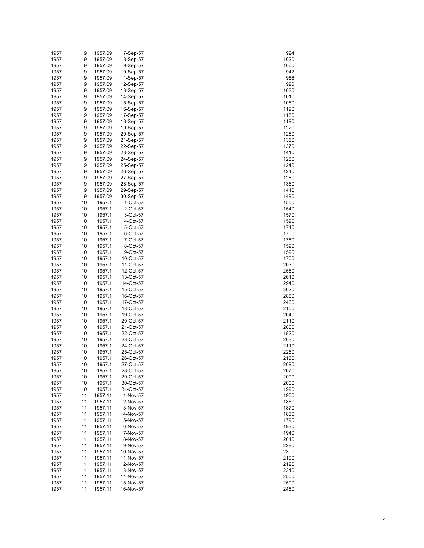| 1957 | 9  | 1957.09 | 7-Sep-57  | 924  |
|------|----|---------|-----------|------|
| 1957 | 9  | 1957.09 | 8-Sep-57  | 1020 |
| 1957 | 9  | 1957.09 | 9-Sep-57  | 1060 |
| 1957 | 9  | 1957.09 | 10-Sep-57 | 942  |
| 1957 | 9  | 1957.09 | 11-Sep-57 | 966  |
| 1957 | 9  | 1957.09 | 12-Sep-57 | 990  |
| 1957 | 9  |         |           |      |
|      |    | 1957.09 | 13-Sep-57 | 1030 |
| 1957 | 9  | 1957.09 | 14-Sep-57 | 1010 |
| 1957 | 9  | 1957.09 | 15-Sep-57 | 1050 |
| 1957 | 9  | 1957.09 | 16-Sep-57 | 1190 |
| 1957 | 9  | 1957.09 | 17-Sep-57 | 1160 |
| 1957 | 9  | 1957.09 | 18-Sep-57 | 1190 |
| 1957 | 9  | 1957.09 | 19-Sep-57 | 1220 |
| 1957 | 9  | 1957.09 | 20-Sep-57 | 1260 |
| 1957 | 9  | 1957.09 | 21-Sep-57 | 1350 |
| 1957 | 9  | 1957.09 | 22-Sep-57 | 1370 |
| 1957 | 9  | 1957.09 | 23-Sep-57 | 1410 |
| 1957 | 9  | 1957.09 | 24-Sep-57 | 1280 |
|      |    |         |           |      |
| 1957 | 9  | 1957.09 | 25-Sep-57 | 1240 |
| 1957 | 9  | 1957.09 | 26-Sep-57 | 1240 |
| 1957 | 9  | 1957.09 | 27-Sep-57 | 1280 |
| 1957 | 9  | 1957.09 | 28-Sep-57 | 1350 |
| 1957 | 9  | 1957.09 | 29-Sep-57 | 1410 |
| 1957 | 9  | 1957.09 | 30-Sep-57 | 1490 |
| 1957 | 10 | 1957.1  | 1-Oct-57  | 1550 |
| 1957 | 10 | 1957.1  | 2-Oct-57  | 1540 |
| 1957 | 10 | 1957.1  | 3-Oct-57  | 1570 |
| 1957 | 10 | 1957.1  | 4-Oct-57  | 1590 |
| 1957 | 10 | 1957.1  | 5-Oct-57  | 1740 |
| 1957 | 10 | 1957.1  | 6-Oct-57  | 1700 |
|      |    | 1957.1  |           |      |
| 1957 | 10 |         | 7-Oct-57  | 1780 |
| 1957 | 10 | 1957.1  | 8-Oct-57  | 1590 |
| 1957 | 10 | 1957.1  | 9-Oct-57  | 1590 |
| 1957 | 10 | 1957.1  | 10-Oct-57 | 1700 |
| 1957 | 10 | 1957.1  | 11-Oct-57 | 2030 |
| 1957 | 10 | 1957.1  | 12-Oct-57 | 2560 |
| 1957 | 10 | 1957.1  | 13-Oct-57 | 2610 |
| 1957 | 10 | 1957.1  | 14-Oct-57 | 2940 |
| 1957 | 10 | 1957.1  | 15-Oct-57 | 3020 |
| 1957 | 10 | 1957.1  | 16-Oct-57 | 2880 |
| 1957 | 10 | 1957.1  | 17-Oct-57 | 2460 |
| 1957 | 10 | 1957.1  | 18-Oct-57 | 2150 |
| 1957 | 10 | 1957.1  | 19-Oct-57 | 2040 |
|      |    | 1957.1  | 20-Oct-57 |      |
| 1957 | 10 |         |           | 2110 |
| 1957 | 10 | 1957.1  | 21-Oct-57 | 2000 |
| 1957 | 10 | 1957.1  | 22-Oct-57 | 1820 |
| 1957 | 10 | 1957.1  | 23-Oct-57 | 2030 |
| 1957 | 10 | 1957.1  | 24-Oct-57 | 2110 |
| 1957 | 10 | 1957.1  | 25-Oct-57 | 2250 |
| 1957 | 10 | 1957.1  | 26-Oct-57 | 2130 |
| 1957 | 10 | 1957.1  | 27-Oct-57 | 2090 |
| 1957 | 10 | 1957.1  | 28-Oct-57 | 2070 |
| 1957 | 10 | 1957.1  | 29-Oct-57 | 2090 |
| 1957 | 10 | 1957.1  | 30-Oct-57 | 2000 |
| 1957 | 10 | 1957.1  | 31-Oct-57 | 1990 |
| 1957 | 11 | 1957.11 | 1-Nov-57  | 1950 |
|      |    |         |           |      |
| 1957 | 11 | 1957.11 | 2-Nov-57  | 1850 |
| 1957 | 11 | 1957.11 | 3-Nov-57  | 1870 |
| 1957 | 11 | 1957.11 | 4-Nov-57  | 1830 |
| 1957 | 11 | 1957.11 | 5-Nov-57  | 1790 |
| 1957 | 11 | 1957.11 | 6-Nov-57  | 1930 |
| 1957 | 11 | 1957.11 | 7-Nov-57  | 1940 |
| 1957 | 11 | 1957.11 | 8-Nov-57  | 2010 |
| 1957 | 11 | 1957.11 | 9-Nov-57  | 2280 |
| 1957 | 11 | 1957.11 | 10-Nov-57 | 2300 |
| 1957 | 11 | 1957.11 | 11-Nov-57 | 2190 |
| 1957 | 11 | 1957.11 | 12-Nov-57 | 2120 |
| 1957 | 11 | 1957.11 | 13-Nov-57 | 2340 |
|      |    |         |           |      |
| 1957 | 11 | 1957.11 | 14-Nov-57 | 2500 |
| 1957 | 11 | 1957.11 | 15-Nov-57 | 2500 |
| 1957 | 11 | 1957.11 | 16-Nov-57 | 2460 |

| 924<br>1020                 |  |
|-----------------------------|--|
|                             |  |
|                             |  |
|                             |  |
|                             |  |
| 1060                        |  |
| 942                         |  |
|                             |  |
| 966                         |  |
|                             |  |
| 990                         |  |
| 1030                        |  |
|                             |  |
| 1010                        |  |
|                             |  |
| 1050                        |  |
| 1190                        |  |
|                             |  |
| 1160                        |  |
|                             |  |
| 1190                        |  |
|                             |  |
| 1220                        |  |
| 1.<br>260                   |  |
|                             |  |
| $\ddot{\phantom{1}}$<br>350 |  |
|                             |  |
| 1:<br>370                   |  |
|                             |  |
| 1410                        |  |
| 1.<br>280                   |  |
|                             |  |
| $\ddagger$<br>240           |  |
|                             |  |
| 1<br>240                    |  |
| 1280                        |  |
|                             |  |
| 350<br>1                    |  |
|                             |  |
| 1410                        |  |
| 1490                        |  |
|                             |  |
| 1550                        |  |
|                             |  |
| 1540                        |  |
| 1570                        |  |
|                             |  |
| 1590                        |  |
|                             |  |
| 1740                        |  |
| 1700                        |  |
|                             |  |
| 1780                        |  |
|                             |  |
| 1590                        |  |
|                             |  |
| 1590                        |  |
| 1700                        |  |
|                             |  |
| 2030                        |  |
|                             |  |
| 2560                        |  |
| 2610                        |  |
|                             |  |
| 2940                        |  |
|                             |  |
| 3020                        |  |
| 2880                        |  |
|                             |  |
| 2460                        |  |
|                             |  |
|                             |  |
| 2150                        |  |
|                             |  |
| 2040                        |  |
|                             |  |
| 2110                        |  |
| 2000                        |  |
|                             |  |
| 1820                        |  |
|                             |  |
| 2030                        |  |
| 2110                        |  |
|                             |  |
| 2250                        |  |
| 1                           |  |
|                             |  |
| 2090                        |  |
|                             |  |
| 2070                        |  |
| 2090                        |  |
|                             |  |
| 2000                        |  |
|                             |  |
| 1990                        |  |
| 1950                        |  |
|                             |  |
| 1850                        |  |
|                             |  |
| 1870                        |  |
|                             |  |
| 1830                        |  |
| 1790                        |  |
|                             |  |
| 1930                        |  |
| 1940                        |  |
|                             |  |
| 2010                        |  |
|                             |  |
| 2<br>280                    |  |
| 2300                        |  |
|                             |  |
| 2190                        |  |
|                             |  |
| 2120                        |  |
| 2340                        |  |
|                             |  |
| 2500                        |  |
|                             |  |
| 2500<br>2460                |  |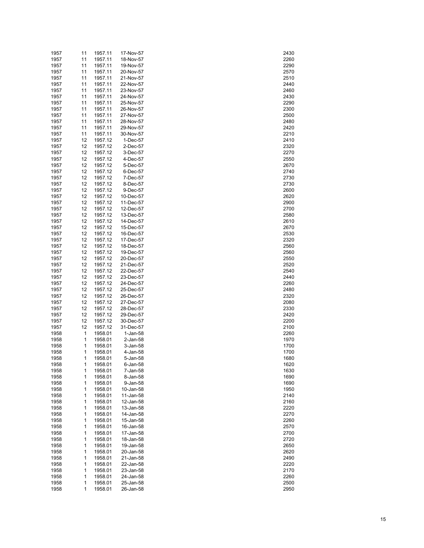| 1957 | 11 | 1957.11 | 17-Nov-57 | 2430 |
|------|----|---------|-----------|------|
| 1957 | 11 | 1957.11 | 18-Nov-57 | 2260 |
| 1957 | 11 | 1957.11 | 19-Nov-57 | 2290 |
| 1957 | 11 | 1957.11 | 20-Nov-57 | 2570 |
| 1957 | 11 | 1957.11 | 21-Nov-57 | 2510 |
|      |    |         |           |      |
| 1957 | 11 | 1957.11 | 22-Nov-57 | 2440 |
| 1957 | 11 | 1957.11 | 23-Nov-57 | 2460 |
| 1957 | 11 | 1957.11 | 24-Nov-57 | 2430 |
| 1957 | 11 | 1957.11 | 25-Nov-57 | 2290 |
| 1957 | 11 | 1957.11 | 26-Nov-57 | 2300 |
| 1957 | 11 | 1957.11 | 27-Nov-57 | 2500 |
| 1957 | 11 | 1957.11 | 28-Nov-57 | 2480 |
| 1957 | 11 | 1957.11 | 29-Nov-57 | 2420 |
| 1957 | 11 | 1957.11 | 30-Nov-57 | 2210 |
| 1957 | 12 | 1957.12 | 1-Dec-57  | 2410 |
|      |    |         |           |      |
| 1957 | 12 | 1957.12 | 2-Dec-57  | 2320 |
| 1957 | 12 | 1957.12 | 3-Dec-57  | 2270 |
| 1957 | 12 | 1957.12 | 4-Dec-57  | 2550 |
| 1957 | 12 | 1957.12 | 5-Dec-57  | 2670 |
| 1957 | 12 | 1957.12 | 6-Dec-57  | 2740 |
| 1957 | 12 | 1957.12 | 7-Dec-57  | 2730 |
| 1957 | 12 | 1957.12 | 8-Dec-57  | 2730 |
| 1957 | 12 | 1957.12 | 9-Dec-57  | 2600 |
| 1957 | 12 | 1957.12 | 10-Dec-57 | 2620 |
| 1957 | 12 | 1957.12 | 11-Dec-57 | 2900 |
|      |    |         |           |      |
| 1957 | 12 | 1957.12 | 12-Dec-57 | 2700 |
| 1957 | 12 | 1957.12 | 13-Dec-57 | 2580 |
| 1957 | 12 | 1957.12 | 14-Dec-57 | 2610 |
| 1957 | 12 | 1957.12 | 15-Dec-57 | 2670 |
| 1957 | 12 | 1957.12 | 16-Dec-57 | 2530 |
| 1957 | 12 | 1957.12 | 17-Dec-57 | 2320 |
| 1957 | 12 | 1957.12 | 18-Dec-57 | 2560 |
| 1957 | 12 | 1957.12 | 19-Dec-57 | 2560 |
| 1957 | 12 | 1957.12 | 20-Dec-57 | 2550 |
| 1957 | 12 | 1957.12 | 21-Dec-57 | 2520 |
|      |    |         |           |      |
| 1957 | 12 | 1957.12 | 22-Dec-57 | 2540 |
| 1957 | 12 | 1957.12 | 23-Dec-57 | 2440 |
| 1957 | 12 | 1957.12 | 24-Dec-57 | 2260 |
| 1957 | 12 | 1957.12 | 25-Dec-57 | 2480 |
| 1957 | 12 | 1957.12 | 26-Dec-57 | 2320 |
| 1957 | 12 | 1957.12 | 27-Dec-57 | 2080 |
| 1957 | 12 | 1957.12 | 28-Dec-57 | 2330 |
| 1957 | 12 | 1957.12 | 29-Dec-57 | 2420 |
| 1957 | 12 | 1957.12 | 30-Dec-57 | 2200 |
| 1957 | 12 | 1957.12 | 31-Dec-57 | 2100 |
| 1958 | 1  | 1958.01 | 1-Jan-58  | 2260 |
|      |    |         |           |      |
| 1958 | 1  | 1958.01 | 2-Jan-58  | 1970 |
| 1958 | 1  | 1958.01 | 3-Jan-58  | 1700 |
| 1958 | 1  | 1958.01 | 4-Jan-58  | 1700 |
| 1958 | 1  | 1958.01 | 5-Jan-58  | 1680 |
| 1958 | 1  | 1958.01 | 6-Jan-58  | 1620 |
| 1958 | 1  | 1958.01 | 7-Jan-58  | 1630 |
| 1958 | 1  | 1958.01 | 8-Jan-58  | 1690 |
| 1958 | 1  | 1958.01 | 9-Jan-58  | 1690 |
| 1958 | 1  | 1958.01 | 10-Jan-58 | 1950 |
|      | 1  | 1958.01 |           |      |
| 1958 |    |         | 11-Jan-58 | 2140 |
| 1958 | 1  | 1958.01 | 12-Jan-58 | 2160 |
| 1958 | 1  | 1958.01 | 13-Jan-58 | 2220 |
| 1958 | 1  | 1958.01 | 14-Jan-58 | 2270 |
| 1958 | 1  | 1958.01 | 15-Jan-58 | 2260 |
| 1958 | 1  | 1958.01 | 16-Jan-58 | 2570 |
| 1958 | 1  | 1958.01 | 17-Jan-58 | 2700 |
| 1958 | 1  | 1958.01 | 18-Jan-58 | 2720 |
| 1958 | 1  | 1958.01 | 19-Jan-58 | 2650 |
| 1958 | 1  | 1958.01 | 20-Jan-58 | 2620 |
|      |    |         |           |      |
| 1958 | 1  | 1958.01 | 21-Jan-58 | 2490 |
| 1958 | 1  | 1958.01 | 22-Jan-58 | 2220 |
| 1958 | 1  | 1958.01 | 23-Jan-58 | 2170 |
| 1958 | 1  | 1958.01 | 24-Jan-58 | 2260 |
| 1958 | 1  | 1958.01 | 25-Jan-58 | 2500 |
| 1958 | 1  | 1958.01 | 26-Jan-58 | 2950 |

| 430                  |  |
|----------------------|--|
|                      |  |
| 260                  |  |
| 290                  |  |
| 570                  |  |
| 510                  |  |
| 440                  |  |
|                      |  |
| 460                  |  |
| 430                  |  |
| 290                  |  |
| 300                  |  |
| 500                  |  |
|                      |  |
| 480                  |  |
| 4.<br>20             |  |
| 210                  |  |
| 410                  |  |
| 320                  |  |
|                      |  |
| 270                  |  |
| 550                  |  |
| :670                 |  |
| :740                 |  |
| $\overline{7}$<br>30 |  |
| 2730                 |  |
|                      |  |
| :600                 |  |
| '620                 |  |
| :900                 |  |
| :700                 |  |
| :580                 |  |
|                      |  |
| 610                  |  |
| :670                 |  |
| $\overline{5}$<br>30 |  |
| :320                 |  |
| :560                 |  |
|                      |  |
| :560                 |  |
| :550                 |  |
| 520                  |  |
| :540                 |  |
| 440                  |  |
|                      |  |
| 260                  |  |
| 480                  |  |
| 320                  |  |
| 080                  |  |
| 330                  |  |
|                      |  |
| 420                  |  |
| 200                  |  |
| :100                 |  |
| 2260                 |  |
|                      |  |
| 1970                 |  |
| 1700                 |  |
| 1700                 |  |
| 1680<br>)            |  |
| 1620                 |  |
| 1630                 |  |
| 1690                 |  |
|                      |  |
| 1690                 |  |
| 1950                 |  |
| :140                 |  |
| 160                  |  |
| 220                  |  |
|                      |  |
| 270                  |  |
| 260                  |  |
| 2570                 |  |
| 2700                 |  |
| 2720                 |  |
| 2650                 |  |
|                      |  |
| 2620                 |  |
| 2490                 |  |
| 220                  |  |
| 2170                 |  |
| 260                  |  |
|                      |  |
| 2500                 |  |
| 2950                 |  |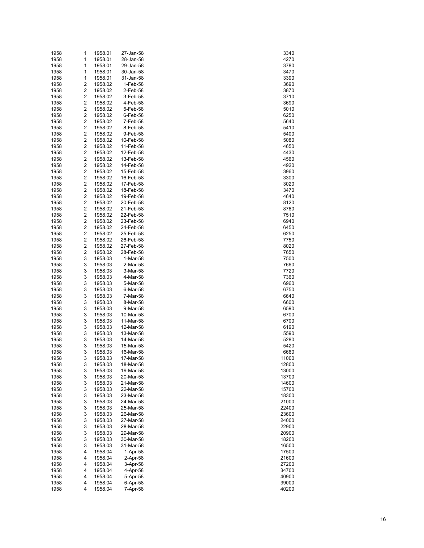| 1958 | 1              | 1958.01 | 27-Jan-58 | 3340  |
|------|----------------|---------|-----------|-------|
| 1958 | 1              | 1958.01 | 28-Jan-58 | 4270  |
| 1958 | 1              | 1958.01 | 29-Jan-58 | 3780  |
|      |                |         |           |       |
| 1958 | 1              | 1958.01 | 30-Jan-58 | 3470  |
| 1958 | 1              | 1958.01 | 31-Jan-58 | 3390  |
| 1958 | $\overline{c}$ | 1958.02 | 1-Feb-58  | 3690  |
| 1958 | $\overline{c}$ | 1958.02 | 2-Feb-58  | 3870  |
| 1958 | $\overline{c}$ | 1958.02 | 3-Feb-58  | 3710  |
| 1958 | 2              | 1958.02 | 4-Feb-58  | 3690  |
|      |                |         |           |       |
| 1958 | 2              | 1958.02 | 5-Feb-58  | 5010  |
| 1958 | 2              | 1958.02 | 6-Feb-58  | 6250  |
| 1958 | $\overline{c}$ | 1958.02 | 7-Feb-58  | 5640  |
| 1958 | 2              | 1958.02 | 8-Feb-58  | 5410  |
| 1958 | 2              | 1958.02 | 9-Feb-58  | 5400  |
| 1958 | 2              | 1958.02 | 10-Feb-58 | 5080  |
|      |                |         |           |       |
| 1958 | $\overline{c}$ | 1958.02 | 11-Feb-58 | 4650  |
| 1958 | 2              | 1958.02 | 12-Feb-58 | 4430  |
| 1958 | 2              | 1958.02 | 13-Feb-58 | 4560  |
| 1958 | 2              | 1958.02 | 14-Feb-58 | 4920  |
| 1958 | $\overline{c}$ | 1958.02 | 15-Feb-58 | 3960  |
| 1958 | 2              | 1958.02 | 16-Feb-58 | 3300  |
|      |                |         |           |       |
| 1958 | 2              | 1958.02 | 17-Feb-58 | 3020  |
| 1958 | $\overline{c}$ | 1958.02 | 18-Feb-58 | 3470  |
| 1958 | $\overline{c}$ | 1958.02 | 19-Feb-58 | 4640  |
| 1958 | 2              | 1958.02 | 20-Feb-58 | 8120  |
| 1958 | 2              | 1958.02 | 21-Feb-58 | 8760  |
| 1958 | $\overline{c}$ | 1958.02 | 22-Feb-58 | 7510  |
| 1958 | $\overline{c}$ |         |           |       |
|      |                | 1958.02 | 23-Feb-58 | 6940  |
| 1958 | 2              | 1958.02 | 24-Feb-58 | 6450  |
| 1958 | 2              | 1958.02 | 25-Feb-58 | 6250  |
| 1958 | 2              | 1958.02 | 26-Feb-58 | 7750  |
| 1958 | 2              | 1958.02 | 27-Feb-58 | 8020  |
| 1958 | 2              | 1958.02 | 28-Feb-58 | 7650  |
| 1958 | 3              | 1958.03 | 1-Mar-58  | 7500  |
|      |                |         |           |       |
| 1958 | 3              | 1958.03 | 2-Mar-58  | 7660  |
| 1958 | 3              | 1958.03 | 3-Mar-58  | 7720  |
| 1958 | 3              | 1958.03 | 4-Mar-58  | 7360  |
| 1958 | 3              | 1958.03 | 5-Mar-58  | 6960  |
| 1958 | 3              | 1958.03 | 6-Mar-58  | 6750  |
| 1958 | 3              | 1958.03 | 7-Mar-58  | 6640  |
| 1958 | 3              | 1958.03 | 8-Mar-58  | 6600  |
|      |                |         |           |       |
| 1958 | 3              | 1958.03 | 9-Mar-58  | 6590  |
| 1958 | 3              | 1958.03 | 10-Mar-58 | 6700  |
| 1958 | 3              | 1958.03 | 11-Mar-58 | 6700  |
| 1958 | 3              | 1958.03 | 12-Mar-58 | 6190  |
| 1958 | 3              | 1958.03 | 13-Mar-58 | 5590  |
| 1958 | 3              | 1958.03 | 14-Mar-58 | 5280  |
|      | 3              |         |           |       |
| 1958 |                | 1958.03 | 15-Mar-58 | 5420  |
| 1958 | 3              | 1958.03 | 16-Mar-58 | 6660  |
| 1958 | 3              | 1958.03 | 17-Mar-58 | 11000 |
| 1958 | 3              | 1958.03 | 18-Mar-58 | 12800 |
| 1958 | 3              | 1958.03 | 19-Mar-58 | 13000 |
| 1958 | 3              | 1958.03 | 20-Mar-58 | 13700 |
| 1958 | 3              | 1958.03 | 21-Mar-58 | 14600 |
|      |                |         |           |       |
| 1958 | 3              | 1958.03 | 22-Mar-58 | 15700 |
| 1958 | 3              | 1958.03 | 23-Mar-58 | 18300 |
| 1958 | 3              | 1958.03 | 24-Mar-58 | 21000 |
| 1958 | 3              | 1958.03 | 25-Mar-58 | 22400 |
| 1958 | 3              | 1958.03 | 26-Mar-58 | 23600 |
| 1958 | 3              | 1958.03 | 27-Mar-58 | 24000 |
|      |                |         |           |       |
| 1958 | 3              | 1958.03 | 28-Mar-58 | 22900 |
| 1958 | 3              | 1958.03 | 29-Mar-58 | 20900 |
| 1958 | 3              | 1958.03 | 30-Mar-58 | 18200 |
| 1958 | 3              | 1958.03 | 31-Mar-58 | 16500 |
| 1958 | 4              | 1958.04 | 1-Apr-58  | 17500 |
| 1958 | 4              | 1958.04 | 2-Apr-58  | 21600 |
|      |                |         |           |       |
| 1958 | 4              | 1958.04 | 3-Apr-58  | 27200 |
| 1958 | 4              | 1958.04 | 4-Apr-58  | 34700 |
| 1958 | 4              | 1958.04 | 5-Apr-58  | 40900 |
| 1958 | 4              | 1958.04 | 6-Apr-58  | 39000 |
| 1958 | 4              | 1958.04 | 7-Apr-58  | 40200 |
|      |                |         |           |       |

| 3340               |
|--------------------|
|                    |
| 4270               |
| 3780               |
| 3470               |
| 390                |
| 3690               |
| 3870               |
| 3710               |
| 3690               |
| 5010               |
|                    |
| 6250               |
| 5640               |
| 5410               |
| 5400               |
| 5080               |
| 4650               |
| 4430               |
| 4560               |
| 4920               |
| 3960               |
| 3300               |
|                    |
| 3020               |
| 3470               |
| 4640               |
| 8120               |
| 8760               |
| 7510               |
| 6940               |
| 6450               |
| 6250               |
| 7750               |
|                    |
| 8020               |
| 7650               |
| 7500               |
| 7660               |
| 7720               |
| 7360               |
| 6960               |
| 6750               |
| 6640               |
| 6600               |
| 6590               |
|                    |
| 6700               |
| 6700               |
| 6190               |
| 5590               |
| 5280               |
| 5420               |
| 6660               |
| 10<br>)(<br>X<br>) |
| 12800              |
| 13000              |
| 13700              |
| 14600              |
| 15700              |
|                    |
| 18300              |
| 21000              |
| 22400              |
| 23600              |
| 24000              |
| 22900              |
| 20900              |
| 18200              |
| 16500              |
| 17500              |
| 21600              |
|                    |
| 27200              |
| 34700              |
| 40900              |
| 39000              |
| 40200              |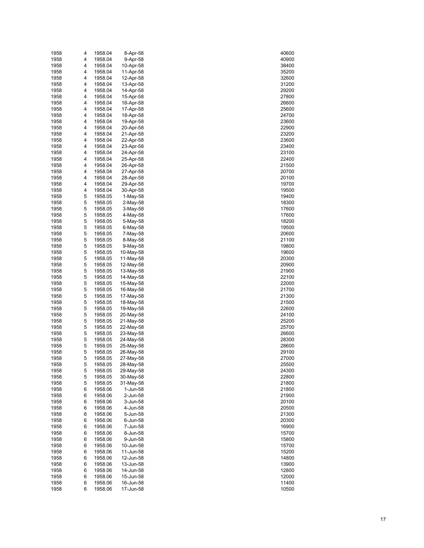| 1958 | 4 | 1958.04 | 8-Apr-58    | 40600 |
|------|---|---------|-------------|-------|
| 1958 | 4 | 1958.04 | 9-Apr-58    | 40900 |
| 1958 | 4 | 1958.04 | 10-Apr-58   | 38400 |
| 1958 | 4 | 1958.04 | 11-Apr-58   | 35200 |
| 1958 | 4 | 1958.04 | 12-Apr-58   | 32600 |
| 1958 | 4 | 1958.04 | 13-Apr-58   | 31200 |
| 1958 | 4 | 1958.04 | 14-Apr-58   | 29200 |
|      |   | 1958.04 |             |       |
| 1958 | 4 |         | 15-Apr-58   | 27800 |
| 1958 | 4 | 1958.04 | 16-Apr-58   | 26600 |
| 1958 | 4 | 1958.04 | 17-Apr-58   | 25600 |
| 1958 | 4 | 1958.04 | 18-Apr-58   | 24700 |
| 1958 | 4 | 1958.04 | 19-Apr-58   | 23600 |
| 1958 | 4 | 1958.04 | 20-Apr-58   | 22900 |
| 1958 | 4 | 1958.04 | 21-Apr-58   | 23200 |
| 1958 | 4 | 1958.04 | 22-Apr-58   | 23600 |
| 1958 | 4 | 1958.04 | 23-Apr-58   | 23400 |
| 1958 | 4 | 1958.04 | 24-Apr-58   | 23100 |
| 1958 | 4 | 1958.04 | 25-Apr-58   | 22400 |
| 1958 | 4 | 1958.04 | 26-Apr-58   | 21500 |
| 1958 | 4 | 1958.04 | 27-Apr-58   | 20700 |
|      |   |         |             |       |
| 1958 | 4 | 1958.04 | 28-Apr-58   | 20100 |
| 1958 | 4 | 1958.04 | 29-Apr-58   | 19700 |
| 1958 | 4 | 1958.04 | 30-Apr-58   | 19500 |
| 1958 | 5 | 1958.05 | $1-Mav-58$  | 19400 |
| 1958 | 5 | 1958.05 | $2-May-58$  | 18300 |
| 1958 | 5 | 1958.05 | $3-May-58$  | 17600 |
| 1958 | 5 | 1958.05 | 4-May-58    | 17600 |
| 1958 | 5 | 1958.05 | 5-May-58    | 18200 |
| 1958 | 5 | 1958.05 | $6$ -May-58 | 19500 |
| 1958 | 5 | 1958.05 | 7-May-58    | 20600 |
| 1958 | 5 | 1958.05 | 8-May-58    | 21100 |
| 1958 | 5 | 1958.05 | 9-May-58    | 19800 |
| 1958 | 5 | 1958.05 | 10-May-58   | 19600 |
|      | 5 |         |             |       |
| 1958 |   | 1958.05 | 11-May-58   | 20300 |
| 1958 | 5 | 1958.05 | 12-May-58   | 20900 |
| 1958 | 5 | 1958.05 | 13-May-58   | 21900 |
| 1958 | 5 | 1958.05 | 14-May-58   | 22100 |
| 1958 | 5 | 1958.05 | 15-May-58   | 22000 |
| 1958 | 5 | 1958.05 | 16-May-58   | 21700 |
| 1958 | 5 | 1958.05 | 17-May-58   | 21300 |
| 1958 | 5 | 1958.05 | 18-May-58   | 21500 |
| 1958 | 5 | 1958.05 | 19-May-58   | 22600 |
| 1958 | 5 | 1958.05 | 20-May-58   | 24100 |
| 1958 | 5 | 1958.05 | 21-May-58   | 25200 |
| 1958 | 5 | 1958.05 | 22-May-58   | 25700 |
| 1958 | 5 | 1958.05 | 23-May-58   | 26600 |
| 1958 | 5 | 1958.05 | 24-May-58   | 28300 |
| 1958 | 5 | 1958.05 | 25-May-58   | 28600 |
|      |   |         |             |       |
| 1958 | 5 | 1958.05 | 26-May-58   | 29100 |
| 1958 | 5 | 1958.05 | 27-May-58   | 27000 |
| 1958 | 5 | 1958.05 | 28-May-58   | 25500 |
| 1958 | 5 | 1958.05 | 29-May-58   | 24300 |
| 1958 | 5 | 1958.05 | 30-May-58   | 22800 |
| 1958 | 5 | 1958.05 | 31-May-58   | 21800 |
| 1958 | 6 | 1958.06 | 1-Jun-58    | 21800 |
| 1958 | 6 | 1958.06 | 2-Jun-58    | 21900 |
| 1958 | 6 | 1958.06 | 3-Jun-58    | 20100 |
| 1958 | 6 | 1958.06 | 4-Jun-58    | 20500 |
| 1958 | 6 | 1958.06 | 5-Jun-58    | 21300 |
| 1958 | 6 | 1958.06 | 6-Jun-58    | 20300 |
| 1958 | 6 | 1958.06 | 7-Jun-58    | 16900 |
| 1958 | 6 | 1958.06 | 8-Jun-58    | 15700 |
| 1958 | 6 | 1958.06 | 9-Jun-58    | 15800 |
|      |   |         |             |       |
| 1958 | 6 | 1958.06 | 10-Jun-58   | 15700 |
| 1958 | 6 | 1958.06 | 11-Jun-58   | 15200 |
| 1958 | 6 | 1958.06 | 12-Jun-58   | 14800 |
| 1958 | 6 | 1958.06 | 13-Jun-58   | 13900 |
| 1958 | 6 | 1958.06 | 14-Jun-58   | 12800 |
| 1958 | 6 | 1958.06 | 15-Jun-58   | 12000 |
| 1958 | 6 | 1958.06 | 16-Jun-58   | 11400 |
| 1958 | 6 | 1958.06 | 17-Jun-58   | 10500 |

| 40600        |
|--------------|
|              |
|              |
| 1090(<br>J   |
|              |
| 8400         |
| <b>15200</b> |
| 32600        |
|              |
| 31200        |
|              |
| 29200        |
| 27800        |
|              |
| 8600         |
| :5600        |
|              |
| 4700         |
|              |
| 23600        |
| 2900         |
|              |
| 3200         |
| 3600         |
|              |
| 3400         |
|              |
| 23100        |
| 2400         |
|              |
| 21500        |
| 20700        |
|              |
| 20100        |
| 19700        |
|              |
| 19500        |
|              |
| 19400        |
| 18300        |
|              |
| 7600<br>1    |
| 17600        |
|              |
| 18200        |
|              |
| 19500        |
| 20600        |
|              |
| 21100        |
| 19800        |
|              |
| 19600        |
|              |
| 0300         |
| 20900        |
|              |
| 1900         |
| 2100         |
|              |
|              |
|              |
| 2000         |
| 1700         |
|              |
| 1300         |
|              |
| 1500         |
| 2600         |
|              |
| 24100        |
| 5200         |
|              |
| 5700         |
| :6600        |
|              |
| 28300        |
| 28600        |
|              |
| 29100        |
|              |
|              |
| 25500        |
|              |
| 4300<br>j    |
|              |
| 22800        |
| 1800!        |
|              |
| 21800        |
| 1900!        |
|              |
| 20100        |
| 20500        |
|              |
| 21300        |
| 20300        |
|              |
| 16900        |
|              |
| 15700        |
| 15800        |
|              |
| 15700        |
|              |
| 15200        |
| 14800        |
|              |
| 13900        |
| 2800<br>1:   |
|              |
| 12000        |
| 11400        |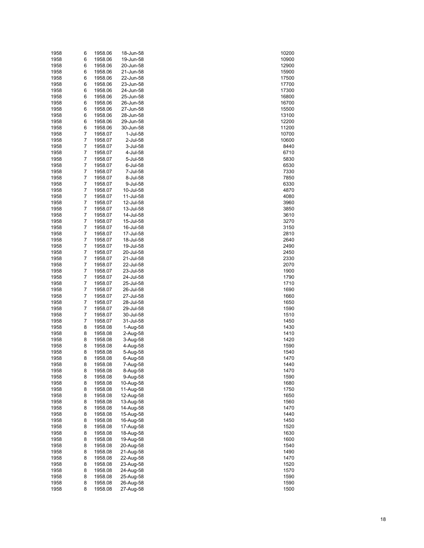| 1958 | 6              | 1958.06 | 18-Jun-58 | 10200 |
|------|----------------|---------|-----------|-------|
| 1958 | 6              | 1958.06 | 19-Jun-58 | 10900 |
| 1958 | 6              | 1958.06 | 20-Jun-58 | 12900 |
|      |                |         |           |       |
| 1958 | 6              | 1958.06 | 21-Jun-58 | 15900 |
| 1958 | 6              | 1958.06 | 22-Jun-58 | 17500 |
| 1958 | 6              | 1958.06 | 23-Jun-58 | 17700 |
| 1958 | 6              | 1958.06 | 24-Jun-58 | 17300 |
| 1958 | 6              | 1958.06 | 25-Jun-58 | 16800 |
| 1958 | 6              | 1958.06 | 26-Jun-58 | 16700 |
|      |                |         |           |       |
| 1958 | 6              | 1958.06 | 27-Jun-58 | 15500 |
| 1958 | 6              | 1958.06 | 28-Jun-58 | 13100 |
| 1958 | 6              | 1958.06 | 29-Jun-58 | 12200 |
| 1958 | 6              | 1958.06 | 30-Jun-58 | 11200 |
| 1958 | $\overline{7}$ | 1958.07 | 1-Jul-58  | 10700 |
| 1958 | 7              | 1958.07 | 2-Jul-58  | 10600 |
| 1958 | $\overline{7}$ | 1958.07 | 3-Jul-58  | 8440  |
|      | 7              |         |           |       |
| 1958 |                | 1958.07 | 4-Jul-58  | 6710  |
| 1958 | $\overline{7}$ | 1958.07 | 5-Jul-58  | 5830  |
| 1958 | 7              | 1958.07 | 6-Jul-58  | 6530  |
| 1958 | $\overline{7}$ | 1958.07 | 7-Jul-58  | 7330  |
| 1958 | 7              | 1958.07 | 8-Jul-58  | 7850  |
| 1958 | $\overline{7}$ | 1958.07 | 9-Jul-58  | 6330  |
| 1958 | 7              | 1958.07 | 10-Jul-58 | 4870  |
| 1958 | $\overline{7}$ |         |           |       |
|      |                | 1958.07 | 11-Jul-58 | 4080  |
| 1958 | 7              | 1958.07 | 12-Jul-58 | 3960  |
| 1958 | $\overline{7}$ | 1958.07 | 13-Jul-58 | 3850  |
| 1958 | 7              | 1958.07 | 14-Jul-58 | 3610  |
| 1958 | $\overline{7}$ | 1958.07 | 15-Jul-58 | 3270  |
| 1958 | 7              | 1958.07 | 16-Jul-58 | 3150  |
| 1958 | $\overline{7}$ | 1958.07 | 17-Jul-58 | 2810  |
| 1958 | 7              | 1958.07 | 18-Jul-58 | 2640  |
|      |                |         |           |       |
| 1958 | $\overline{7}$ | 1958.07 | 19-Jul-58 | 2490  |
| 1958 | 7              | 1958.07 | 20-Jul-58 | 2450  |
| 1958 | $\overline{7}$ | 1958.07 | 21-Jul-58 | 2330  |
| 1958 | 7              | 1958.07 | 22-Jul-58 | 2070  |
| 1958 | $\overline{7}$ | 1958.07 | 23-Jul-58 | 1900  |
| 1958 | 7              | 1958.07 | 24-Jul-58 | 1790  |
| 1958 | $\overline{7}$ | 1958.07 | 25-Jul-58 | 1710  |
|      |                |         |           |       |
| 1958 | 7              | 1958.07 | 26-Jul-58 | 1690  |
| 1958 | $\overline{7}$ | 1958.07 | 27-Jul-58 | 1660  |
| 1958 | 7              | 1958.07 | 28-Jul-58 | 1650  |
| 1958 | $\overline{7}$ | 1958.07 | 29-Jul-58 | 1590  |
| 1958 | 7              | 1958.07 | 30-Jul-58 | 1510  |
| 1958 | $\overline{7}$ | 1958.07 | 31-Jul-58 | 1450  |
| 1958 | 8              | 1958.08 | 1-Aug-58  | 1430  |
| 1958 |                | 1958.08 | 2-Aug-58  | 1410  |
|      | 8              |         |           |       |
| 1958 | 8              | 1958.08 | 3-Aug-58  | 1420  |
| 1958 | 8              | 1958.08 | 4-Aug-58  | 1590  |
| 1958 | 8              | 1958.08 | 5-Aug-58  | 1540  |
| 1958 | 8              | 1958.08 | 6-Aug-58  | 1470  |
| 1958 | 8              | 1958.08 | 7-Aug-58  | 1440  |
| 1958 | 8              | 1958.08 | 8-Aug-58  | 1470  |
| 1958 | 8              | 1958.08 | 9-Aug-58  | 1590  |
|      |                |         |           |       |
| 1958 | 8              | 1958.08 | 10-Aug-58 | 1680  |
| 1958 | 8              | 1958.08 | 11-Aug-58 | 1750  |
| 1958 | 8              | 1958.08 | 12-Aug-58 | 1650  |
| 1958 | 8              | 1958.08 | 13-Aug-58 | 1560  |
| 1958 | 8              | 1958.08 | 14-Aug-58 | 1470  |
| 1958 | 8              | 1958.08 | 15-Aug-58 | 1440  |
| 1958 | 8              | 1958.08 | 16-Aug-58 | 1450  |
|      |                | 1958.08 | 17-Aug-58 |       |
| 1958 | 8              |         |           | 1520  |
| 1958 | 8              | 1958.08 | 18-Aug-58 | 1630  |
| 1958 | 8              | 1958.08 | 19-Aug-58 | 1600  |
| 1958 | 8              | 1958.08 | 20-Aug-58 | 1540  |
| 1958 | 8              | 1958.08 | 21-Aug-58 | 1490  |
| 1958 | 8              | 1958.08 | 22-Aug-58 | 1470  |
| 1958 | 8              | 1958.08 | 23-Aug-58 | 1520  |
|      | 8              |         |           |       |
| 1958 |                | 1958.08 | 24-Aug-58 | 1570  |
| 1958 | 8              | 1958.08 | 25-Aug-58 | 1590  |
| 1958 | 8              | 1958.08 | 26-Aug-58 | 1590  |
| 1958 | 8              | 1958.08 | 27-Aug-58 | 1500  |

| 10200             |
|-------------------|
|                   |
| 10900             |
| 2900<br>1:        |
| 15900             |
| 17500             |
| 17700             |
| 17300             |
| 16800             |
|                   |
| 16700             |
| 15500             |
| 3100<br>1:        |
| 2200<br>1         |
| 11200             |
| 10700             |
|                   |
| 10600             |
| 8440              |
| 6710              |
| 5830              |
| 65<br>30          |
| 7330              |
|                   |
| 7850              |
| 6330              |
| 4870              |
| 4080              |
| 3960              |
| 3850              |
|                   |
| 3610              |
| 3270              |
| 3150              |
| 2810              |
| 2640              |
| 2490              |
|                   |
| 450               |
| 2330              |
| 2070              |
| 1900              |
| 1790              |
| 1710              |
|                   |
| 1690              |
| 1660              |
| 1650              |
|                   |
| 1590              |
|                   |
| 1510              |
| 1450              |
| 1430              |
| 1410              |
| 1420              |
| 1590              |
|                   |
| 1540<br>1470<br>) |
|                   |
| 1440              |
| 1470              |
| 1590              |
| 1680              |
| 1750              |
| 1650              |
|                   |
| 1560              |
| 1470              |
| 1440              |
| 1450              |
| 1520              |
| 1630              |
| 1600              |
|                   |
| 1540              |
| 1490              |
| 1470              |
| 1520              |
| 1570              |
| 1590              |
| 1590              |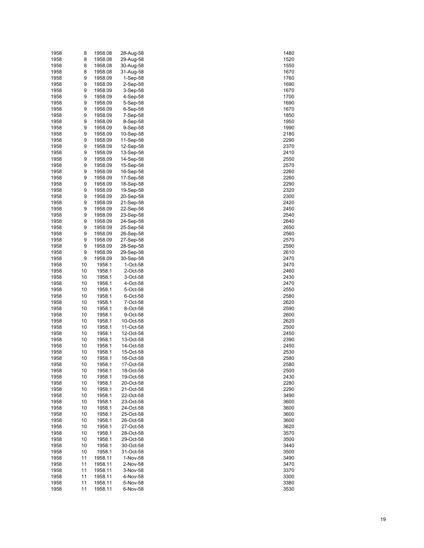| 1958 | 8  | 1958.08 | 28-Aug-58  | 1480 |
|------|----|---------|------------|------|
| 1958 | 8  | 1958.08 | 29-Aug-58  | 1520 |
| 1958 | 8  | 1958.08 | 30-Aug-58  | 1550 |
| 1958 | 8  | 1958.08 | 31-Aug-58  | 1670 |
| 1958 | 9  | 1958.09 | 1-Sep-58   | 1760 |
| 1958 | 9  | 1958.09 | $2-Sep-58$ | 1690 |
|      |    |         |            |      |
| 1958 | 9  | 1958.09 | 3-Sep-58   | 1670 |
| 1958 | 9  | 1958.09 | 4-Sep-58   | 1700 |
| 1958 | 9  | 1958.09 | 5-Sep-58   | 1690 |
| 1958 | 9  | 1958.09 | $6-Sep-58$ | 1670 |
| 1958 | 9  | 1958.09 | 7-Sep-58   | 1850 |
| 1958 | 9  | 1958.09 | 8-Sep-58   | 1950 |
| 1958 | 9  | 1958.09 | 9-Sep-58   | 1990 |
| 1958 | 9  | 1958.09 | 10-Sep-58  | 2180 |
| 1958 | 9  | 1958.09 | 11-Sep-58  | 2290 |
| 1958 | 9  | 1958.09 | 12-Sep-58  | 2370 |
| 1958 | 9  | 1958.09 | 13-Sep-58  | 2410 |
|      |    |         |            |      |
| 1958 | 9  | 1958.09 | 14-Sep-58  | 2550 |
| 1958 | 9  | 1958.09 | 15-Sep-58  | 2570 |
| 1958 | 9  | 1958.09 | 16-Sep-58  | 2260 |
| 1958 | 9  | 1958.09 | 17-Sep-58  | 2260 |
| 1958 | 9  | 1958.09 | 18-Sep-58  | 2290 |
| 1958 | 9  | 1958.09 | 19-Sep-58  | 2320 |
| 1958 | 9  | 1958.09 | 20-Sep-58  | 2300 |
| 1958 | 9  | 1958.09 | 21-Sep-58  | 2420 |
| 1958 | 9  | 1958.09 | 22-Sep-58  | 2450 |
| 1958 | 9  | 1958.09 | 23-Sep-58  | 2540 |
| 1958 | 9  | 1958.09 | 24-Sep-58  | 2640 |
| 1958 | 9  | 1958.09 | 25-Sep-58  | 2650 |
|      |    |         |            |      |
| 1958 | 9  | 1958.09 | 26-Sep-58  | 2560 |
| 1958 | 9  | 1958.09 | 27-Sep-58  | 2570 |
| 1958 | 9  | 1958.09 | 28-Sep-58  | 2590 |
| 1958 | 9  | 1958.09 | 29-Sep-58  | 2610 |
| 1958 | 9  | 1958.09 | 30-Sep-58  | 2470 |
| 1958 | 10 | 1958.1  | 1-Oct-58   | 2470 |
| 1958 | 10 | 1958.1  | 2-Oct-58   | 2460 |
| 1958 | 10 | 1958.1  | 3-Oct-58   | 2430 |
| 1958 | 10 | 1958.1  | 4-Oct-58   | 2470 |
| 1958 | 10 | 1958.1  | 5-Oct-58   | 2550 |
| 1958 | 10 | 1958.1  | 6-Oct-58   | 2580 |
| 1958 | 10 | 1958.1  | 7-Oct-58   | 2620 |
|      |    |         |            |      |
| 1958 | 10 | 1958.1  | 8-Oct-58   | 2590 |
| 1958 | 10 | 1958.1  | 9-Oct-58   | 2600 |
| 1958 | 10 | 1958.1  | 10-Oct-58  | 2620 |
| 1958 | 10 | 1958.1  | 11-Oct-58  | 2500 |
| 1958 | 10 | 1958.1  | 12-Oct-58  | 2450 |
| 1958 | 10 | 1958.1  | 13-Oct-58  | 2390 |
| 1958 | 10 | 1958.1  | 14-Oct-58  | 2450 |
| 1958 | 10 | 1958.1  | 15-Oct-58  | 2530 |
| 1958 | 10 | 1958.1  | 16-Oct-58  | 2580 |
| 1958 | 10 | 1958.1  | 17-Oct-58  | 2580 |
| 1958 | 10 | 1958.1  | 18-Oct-58  | 2500 |
| 1958 | 10 | 1958.1  | 19-Oct-58  | 2430 |
| 1958 | 10 | 1958.1  | 20-Oct-58  | 2280 |
|      |    | 1958.1  |            |      |
| 1958 | 10 |         | 21-Oct-58  | 2290 |
| 1958 | 10 | 1958.1  | 22-Oct-58  | 3490 |
| 1958 | 10 | 1958.1  | 23-Oct-58  | 3600 |
| 1958 | 10 | 1958.1  | 24-Oct-58  | 3600 |
| 1958 | 10 | 1958.1  | 25-Oct-58  | 3600 |
| 1958 | 10 | 1958.1  | 26-Oct-58  | 3600 |
| 1958 | 10 | 1958.1  | 27-Oct-58  | 3620 |
| 1958 | 10 | 1958.1  | 28-Oct-58  | 3570 |
| 1958 | 10 | 1958.1  | 29-Oct-58  | 3500 |
| 1958 | 10 | 1958.1  | 30-Oct-58  | 3440 |
| 1958 | 10 | 1958.1  | 31-Oct-58  | 3500 |
| 1958 | 11 | 1958.11 | 1-Nov-58   | 3490 |
| 1958 | 11 | 1958.11 | 2-Nov-58   | 3470 |
|      |    |         |            |      |
| 1958 | 11 | 1958.11 | 3-Nov-58   | 3370 |
| 1958 | 11 | 1958.11 | 4-Nov-58   | 3300 |
| 1958 | 11 | 1958.11 | 5-Nov-58   | 3380 |
| 1958 | 11 | 1958.11 | 6-Nov-58   | 3530 |

| 1480         |  |
|--------------|--|
|              |  |
| 1520         |  |
| 1550         |  |
| 1670         |  |
|              |  |
| 1760         |  |
| 1690         |  |
| 1670         |  |
|              |  |
| 1700         |  |
| 1690         |  |
| 1670         |  |
| 1850         |  |
|              |  |
| 1950         |  |
| 1990         |  |
| 2180         |  |
|              |  |
| 290          |  |
| 2370         |  |
| 2410         |  |
|              |  |
| :550         |  |
| 2570         |  |
| 260          |  |
| 260          |  |
|              |  |
| 290          |  |
| ì<br>320     |  |
| :300         |  |
|              |  |
| 2420         |  |
| 2450         |  |
| 2540         |  |
|              |  |
| 2640         |  |
| 2650         |  |
| 2560         |  |
|              |  |
| 2570         |  |
| 2590         |  |
| 2610         |  |
|              |  |
| 2470         |  |
| 2470         |  |
| 2460         |  |
| 2430         |  |
|              |  |
| 2470         |  |
| 2550         |  |
| 2580         |  |
| 2620         |  |
|              |  |
|              |  |
| 2590         |  |
|              |  |
| 2600         |  |
| 2620         |  |
| 2500         |  |
| 2450         |  |
|              |  |
| 390          |  |
| 2450         |  |
| 2530         |  |
|              |  |
| 2580         |  |
| 2580         |  |
| 2500         |  |
| 2430         |  |
|              |  |
| 2280         |  |
| 290<br>2     |  |
| 3490         |  |
|              |  |
| 3600         |  |
| 3600         |  |
| 3600         |  |
|              |  |
| 3600         |  |
| 3620         |  |
| 3570         |  |
|              |  |
| 3500         |  |
| 3440         |  |
| 3500         |  |
|              |  |
| 3490         |  |
| 3470         |  |
| 3370         |  |
| 3<br>300     |  |
|              |  |
| 3380<br>3530 |  |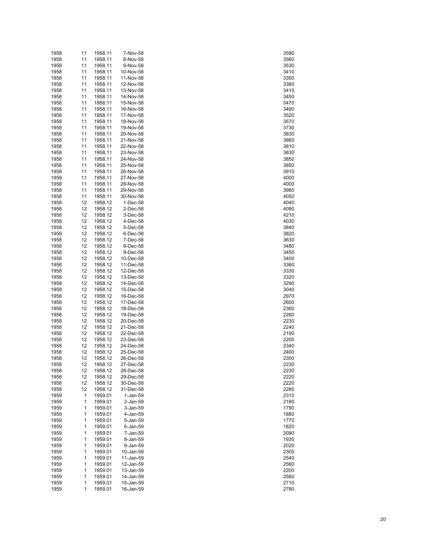| 1958 | 11 | 1958.11 | 7-Nov-58  | 3590 |
|------|----|---------|-----------|------|
| 1958 | 11 | 1958.11 | 8-Nov-58  | 3560 |
| 1958 | 11 | 1958.11 | 9-Nov-58  | 3530 |
| 1958 | 11 | 1958.11 | 10-Nov-58 | 3410 |
| 1958 | 11 | 1958.11 | 11-Nov-58 | 3350 |
| 1958 | 11 | 1958.11 | 12-Nov-58 | 3380 |
| 1958 | 11 | 1958.11 | 13-Nov-58 | 3410 |
| 1958 | 11 | 1958.11 | 14-Nov-58 | 3450 |
| 1958 | 11 | 1958.11 | 15-Nov-58 | 3470 |
| 1958 | 11 | 1958.11 | 16-Nov-58 | 3490 |
| 1958 | 11 | 1958.11 | 17-Nov-58 | 3520 |
| 1958 | 11 | 1958.11 | 18-Nov-58 | 3570 |
| 1958 | 11 | 1958.11 | 19-Nov-58 | 3730 |
| 1958 | 11 | 1958.11 | 20-Nov-58 | 3830 |
| 1958 | 11 | 1958.11 | 21-Nov-58 | 3860 |
| 1958 | 11 | 1958.11 | 22-Nov-58 | 3810 |
| 1958 | 11 | 1958.11 | 23-Nov-58 | 3830 |
| 1958 | 11 | 1958.11 | 24-Nov-58 | 3850 |
| 1958 | 11 | 1958.11 | 25-Nov-58 | 3850 |
| 1958 | 11 | 1958.11 | 26-Nov-58 | 3910 |
| 1958 | 11 | 1958.11 | 27-Nov-58 | 4000 |
| 1958 | 11 | 1958.11 | 28-Nov-58 | 4000 |
| 1958 | 11 | 1958.11 | 29-Nov-58 | 3980 |
| 1958 | 11 | 1958.11 | 30-Nov-58 | 4050 |
| 1958 | 12 | 1958.12 | 1-Dec-58  | 4040 |
| 1958 | 12 | 1958.12 | 2-Dec-58  | 4090 |
| 1958 | 12 | 1958.12 | 3-Dec-58  | 4210 |
| 1958 | 12 | 1958.12 | 4-Dec-58  | 4030 |
| 1958 | 12 | 1958.12 | 5-Dec-58  | 3840 |
| 1958 | 12 | 1958.12 | 6-Dec-58  | 3820 |
| 1958 | 12 | 1958.12 | 7-Dec-58  | 3630 |
| 1958 | 12 | 1958.12 | 8-Dec-58  | 3480 |
| 1958 | 12 | 1958.12 | 9-Dec-58  | 3450 |
| 1958 | 12 | 1958.12 | 10-Dec-58 | 3400 |
| 1958 | 12 | 1958.12 | 11-Dec-58 | 3360 |
| 1958 | 12 | 1958.12 | 12-Dec-58 | 3330 |
| 1958 | 12 | 1958.12 | 13-Dec-58 | 3320 |
| 1958 | 12 | 1958.12 | 14-Dec-58 | 3290 |
| 1958 | 12 | 1958.12 | 15-Dec-58 | 3040 |
| 1958 | 12 | 1958.12 | 16-Dec-58 | 2970 |
| 1958 | 12 | 1958.12 | 17-Dec-58 | 2600 |
| 1958 | 12 | 1958.12 | 18-Dec-58 | 2360 |
| 1958 | 12 | 1958.12 | 19-Dec-58 | 2260 |
| 1958 | 12 | 1958.12 | 20-Dec-58 | 2230 |
| 1958 | 12 | 1958.12 | 21-Dec-58 | 2240 |
| 1958 | 12 | 1958.12 | 22-Dec-58 | 2190 |
| 1958 | 12 | 1958.12 | 23-Dec-58 | 2200 |
| 1958 | 12 | 1958.12 | 24-Dec-58 | 2340 |
| 1958 | 12 | 1958.12 | 25-Dec-58 | 2400 |
| 1958 | 12 | 1958.12 | 26-Dec-58 | 2300 |
| 1958 | 12 | 1958.12 | 27-Dec-58 | 2230 |
| 1958 | 12 | 1958.12 | 28-Dec-58 | 2230 |
| 1958 | 12 | 1958.12 | 29-Dec-58 | 2220 |
| 1958 | 12 | 1958.12 | 30-Dec-58 | 2220 |
| 1958 | 12 | 1958.12 | 31-Dec-58 | 2280 |
| 1959 | 1  | 1959.01 | 1-Jan-59  | 2310 |
| 1959 | 1  | 1959.01 | 2-Jan-59  | 2180 |
| 1959 | 1  | 1959.01 | 3-Jan-59  | 1790 |
| 1959 | 1  | 1959.01 | 4-Jan-59  | 1880 |
| 1959 | 1  | 1959.01 | 5-Jan-59  | 1770 |
| 1959 | 1  | 1959.01 | 6-Jan-59  | 1820 |
| 1959 | 1  | 1959.01 | 7-Jan-59  | 2090 |
| 1959 | 1  | 1959.01 | 8-Jan-59  | 1930 |
| 1959 | 1  | 1959.01 | 9-Jan-59  | 2020 |
| 1959 | 1  | 1959.01 | 10-Jan-59 | 2300 |
| 1959 | 1  | 1959.01 | 11-Jan-59 | 2540 |
| 1959 | 1  | 1959.01 | 12-Jan-59 | 2560 |
| 1959 | 1  | 1959.01 | 13-Jan-59 | 2200 |
| 1959 | 1  | 1959.01 | 14-Jan-59 | 2580 |
| 1959 | 1  | 1959.01 | 15-Jan-59 | 2710 |
| 1959 | 1  | 1959.01 | 16-Jan-59 | 2780 |

| 3590<br>)      |  |
|----------------|--|
|                |  |
| 3560           |  |
| 3530<br>)      |  |
| 3410           |  |
|                |  |
| 350<br>້)      |  |
| 380            |  |
| 341(<br>)      |  |
| 3450           |  |
|                |  |
| 347(<br>)      |  |
| 3490<br>້)     |  |
| 3520<br>)      |  |
|                |  |
| 3570<br>້)     |  |
| 37:<br>30      |  |
| 3830           |  |
|                |  |
| 3860           |  |
| 3810           |  |
| 3830           |  |
|                |  |
| 3850           |  |
| 3850           |  |
| 3910           |  |
|                |  |
| 4000<br>້)     |  |
| 4000           |  |
| 3980<br>)      |  |
| 4050           |  |
|                |  |
| 4040           |  |
| 4090           |  |
| 421(<br>້)     |  |
|                |  |
| 4030           |  |
| 840            |  |
| 820            |  |
|                |  |
| 630            |  |
| 3480           |  |
| 450            |  |
|                |  |
| 3400           |  |
| 360<br>š.<br>) |  |
| 3330           |  |
|                |  |
| 320            |  |
| 3290           |  |
| 3040<br>)      |  |
| 2970           |  |
|                |  |
| 2600<br>)      |  |
| 360            |  |
| 260<br>)       |  |
|                |  |
| 230            |  |
| 240<br>)       |  |
| 190<br>້)      |  |
|                |  |
| 200<br>)       |  |
| 340<br>້)      |  |
| 2400<br>)      |  |
| 2300<br>)      |  |
|                |  |
| 230            |  |
| 230            |  |
| 220            |  |
|                |  |
| 220            |  |
| 280            |  |
| 310            |  |
| 2180           |  |
|                |  |
| 1790           |  |
| 1880           |  |
| 1770           |  |
|                |  |
| 1820           |  |
| 2090           |  |
| ۔۔۔<br>1930    |  |
| 2020           |  |
|                |  |
| 300            |  |
| 540            |  |
| 560            |  |
|                |  |
|                |  |
| 200            |  |
| 580            |  |
|                |  |
| 2710<br>780    |  |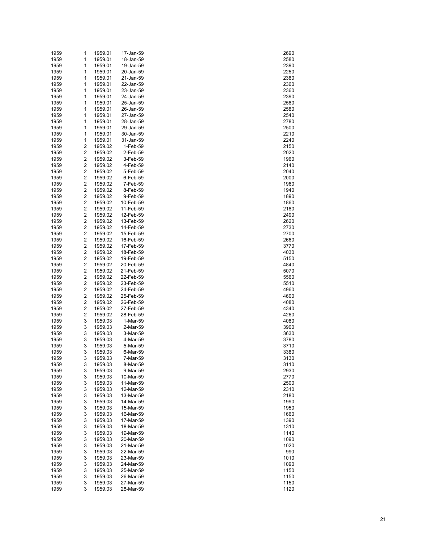| 1959 | 1                       | 1959.01 | 17-Jan-59 | 2690 |
|------|-------------------------|---------|-----------|------|
| 1959 | 1                       | 1959.01 | 18-Jan-59 | 2580 |
| 1959 | 1                       | 1959.01 | 19-Jan-59 | 2390 |
| 1959 | 1                       | 1959.01 | 20-Jan-59 | 2250 |
| 1959 | 1                       | 1959.01 | 21-Jan-59 | 2380 |
| 1959 | 1                       | 1959.01 | 22-Jan-59 | 2360 |
| 1959 | 1                       | 1959.01 | 23-Jan-59 | 2360 |
|      |                         |         |           |      |
| 1959 | 1                       | 1959.01 | 24-Jan-59 | 2390 |
| 1959 | 1                       | 1959.01 | 25-Jan-59 | 2580 |
| 1959 | 1                       | 1959.01 | 26-Jan-59 | 2580 |
| 1959 | 1                       | 1959.01 | 27-Jan-59 | 2540 |
| 1959 | 1                       | 1959.01 | 28-Jan-59 | 2780 |
| 1959 | 1                       | 1959.01 | 29-Jan-59 | 2500 |
| 1959 | 1                       | 1959.01 | 30-Jan-59 | 2210 |
| 1959 | 1                       | 1959.01 | 31-Jan-59 | 2240 |
| 1959 | 2                       | 1959.02 | 1-Feb-59  | 2150 |
| 1959 | 2                       | 1959.02 | 2-Feb-59  | 2020 |
| 1959 | 2                       | 1959.02 | 3-Feb-59  | 1960 |
| 1959 | 2                       | 1959.02 | 4-Feb-59  | 2140 |
| 1959 | 2                       | 1959.02 | 5-Feb-59  | 2040 |
| 1959 | 2                       |         |           | 2000 |
|      |                         | 1959.02 | 6-Feb-59  |      |
| 1959 | 2                       | 1959.02 | 7-Feb-59  | 1960 |
| 1959 | 2                       | 1959.02 | 8-Feb-59  | 1940 |
| 1959 | 2                       | 1959.02 | 9-Feb-59  | 1890 |
| 1959 | 2                       | 1959.02 | 10-Feb-59 | 1860 |
| 1959 | 2                       | 1959.02 | 11-Feb-59 | 2180 |
| 1959 | 2                       | 1959.02 | 12-Feb-59 | 2490 |
| 1959 | 2                       | 1959.02 | 13-Feb-59 | 2620 |
| 1959 | 2                       | 1959.02 | 14-Feb-59 | 2730 |
| 1959 | 2                       | 1959.02 | 15-Feb-59 | 2700 |
| 1959 | 2                       | 1959.02 | 16-Feb-59 | 2660 |
| 1959 | 2                       | 1959.02 | 17-Feb-59 | 3770 |
| 1959 | 2                       | 1959.02 | 18-Feb-59 | 4030 |
| 1959 | 2                       | 1959.02 | 19-Feb-59 | 5150 |
|      |                         |         |           |      |
| 1959 | 2                       | 1959.02 | 20-Feb-59 | 4840 |
| 1959 | 2                       | 1959.02 | 21-Feb-59 | 5070 |
| 1959 | 2                       | 1959.02 | 22-Feb-59 | 5560 |
| 1959 | 2                       | 1959.02 | 23-Feb-59 | 5510 |
| 1959 | 2                       | 1959.02 | 24-Feb-59 | 4960 |
| 1959 | 2                       | 1959.02 | 25-Feb-59 | 4600 |
| 1959 | $\overline{\mathbf{c}}$ | 1959.02 | 26-Feb-59 | 4080 |
| 1959 | 2                       | 1959.02 | 27-Feb-59 | 4340 |
| 1959 | 2                       | 1959.02 | 28-Feb-59 | 4260 |
| 1959 | 3                       | 1959.03 | 1-Mar-59  | 4080 |
| 1959 | 3                       | 1959.03 | 2-Mar-59  | 3900 |
| 1959 | 3                       | 1959.03 | 3-Mar-59  | 3630 |
| 1959 | 3                       | 1959.03 | 4-Mar-59  | 3780 |
| 1959 | 3                       | 1959.03 | 5-Mar-59  | 3710 |
| 1959 | 3                       | 1959.03 | 6-Mar-59  | 3380 |
|      |                         |         |           |      |
| 1959 | 3                       | 1959.03 | 7-Mar-59  | 3130 |
| 1959 | 3                       | 1959.03 | 8-Mar-59  | 3110 |
| 1959 | 3                       | 1959.03 | 9-Mar-59  | 2930 |
| 1959 | 3                       | 1959.03 | 10-Mar-59 | 2770 |
| 1959 | 3                       | 1959.03 | 11-Mar-59 | 2500 |
| 1959 | 3                       | 1959.03 | 12-Mar-59 | 2310 |
| 1959 | 3                       | 1959.03 | 13-Mar-59 | 2180 |
| 1959 | 3                       | 1959.03 | 14-Mar-59 | 1990 |
| 1959 | 3                       | 1959.03 | 15-Mar-59 | 1950 |
| 1959 | 3                       | 1959.03 | 16-Mar-59 | 1660 |
| 1959 | 3                       | 1959.03 | 17-Mar-59 | 1390 |
| 1959 | 3                       | 1959.03 | 18-Mar-59 | 1310 |
| 1959 | 3                       | 1959.03 | 19-Mar-59 | 1140 |
| 1959 | 3                       | 1959.03 | 20-Mar-59 | 1090 |
|      | 3                       |         | 21-Mar-59 |      |
| 1959 |                         | 1959.03 |           | 1020 |
| 1959 | 3                       | 1959.03 | 22-Mar-59 | 990  |
| 1959 | 3                       | 1959.03 | 23-Mar-59 | 1010 |
| 1959 | 3                       | 1959.03 | 24-Mar-59 | 1090 |
| 1959 | 3                       | 1959.03 | 25-Mar-59 | 1150 |
| 1959 | 3                       | 1959.03 | 26-Mar-59 | 1150 |
| 1959 | 3                       | 1959.03 | 27-Mar-59 | 1150 |
| 1959 | 3                       | 1959.03 | 28-Mar-59 | 1120 |

| 2690                            |    |
|---------------------------------|----|
| 580                             |    |
| 390                             |    |
| 250                             |    |
|                                 |    |
| 380                             |    |
| 360                             |    |
| 360                             |    |
| 390                             |    |
|                                 |    |
| :580                            |    |
| 580                             |    |
| :540                            |    |
|                                 |    |
| 2780                            |    |
| :500                            |    |
| 210                             |    |
|                                 |    |
| 240                             |    |
| 2150                            |    |
| 2020                            |    |
| 1960                            |    |
|                                 |    |
| 140؛                            |    |
| 2040                            |    |
| 2000                            |    |
|                                 |    |
| 1960                            |    |
| 1940                            |    |
| 1890                            |    |
|                                 |    |
| 1860                            |    |
| 180                             |    |
| 490؛                            |    |
|                                 |    |
| :620                            |    |
| $\overline{7}$                  | 30 |
| 2700                            |    |
|                                 |    |
| 2660                            |    |
| 3770                            |    |
| 4030                            |    |
| 5150                            |    |
|                                 |    |
| 4840                            |    |
| 5070                            |    |
| 5560                            |    |
|                                 |    |
| 5510                            |    |
| 4960                            |    |
| 4600                            |    |
|                                 |    |
| 4080                            |    |
| 4340                            |    |
| 4260                            |    |
| 4080                            |    |
|                                 |    |
| 3900                            |    |
| 8630                            |    |
| 3780                            |    |
|                                 |    |
| 3710                            |    |
| 3380                            |    |
| $\ddot{\phantom{a}}$<br>3<br>30 | )  |
|                                 |    |
| 3110                            |    |
| 2930                            |    |
| 2770                            |    |
| 2500                            |    |
|                                 |    |
| 310                             |    |
| 2180                            |    |
| 1990                            |    |
|                                 |    |
| 1950                            |    |
| 1660                            |    |
| 1390                            |    |
|                                 |    |
| 310<br>1                        |    |
| 1140                            |    |
| 1090                            |    |
|                                 |    |
| 1020                            |    |
| 990                             |    |
| 1010                            |    |
| 1090                            |    |
|                                 |    |
| 1150                            |    |
| 1150                            |    |
| 1150                            |    |
| 1120                            |    |
|                                 |    |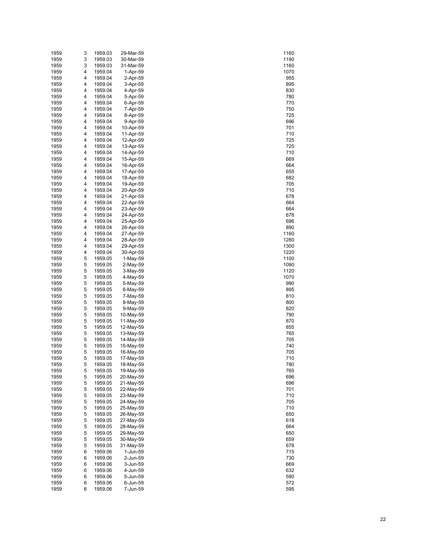| 1959         | 3      | 1959.03            | 29-Mar-59              | 1160         |
|--------------|--------|--------------------|------------------------|--------------|
| 1959         | 3      | 1959.03            | 30-Mar-59              | 1190         |
| 1959         | 3      | 1959.03            | 31-Mar-59              | 1160         |
| 1959         | 4      | 1959.04            | 1-Apr-59               | 1070         |
| 1959<br>1959 | 4<br>4 | 1959.04<br>1959.04 | 2-Apr-59<br>3-Apr-59   | 955<br>895   |
| 1959         | 4      | 1959.04            | 4-Apr-59               | 830          |
| 1959         | 4      | 1959.04            | 5-Apr-59               | 780          |
| 1959         | 4      | 1959.04            | 6-Apr-59               | 770          |
| 1959         | 4      | 1959.04            | 7-Apr-59               | 750          |
| 1959         | 4      | 1959.04            | 8-Apr-59               | 725          |
| 1959         | 4      | 1959.04            | 9-Apr-59               | 696          |
| 1959         | 4      | 1959.04            | 10-Apr-59              | 701          |
| 1959         | 4      | 1959.04            | 11-Apr-59              | 710          |
| 1959         | 4      | 1959.04            | 12-Apr-59              | 725          |
| 1959         | 4      | 1959.04            | 13-Apr-59              | 725          |
| 1959         | 4      | 1959.04            | 14-Apr-59              | 710          |
| 1959         | 4<br>4 | 1959.04            | 15-Apr-59              | 669          |
| 1959<br>1959 | 4      | 1959.04<br>1959.04 | 16-Apr-59<br>17-Apr-59 | 664<br>655   |
| 1959         | 4      | 1959.04            | 18-Apr-59              | 682          |
| 1959         | 4      | 1959.04            | 19-Apr-59              | 705          |
| 1959         | 4      | 1959.04            | 20-Apr-59              | 710          |
| 1959         | 4      | 1959.04            | 21-Apr-59              | 678          |
| 1959         | 4      | 1959.04            | 22-Apr-59              | 664          |
| 1959         | 4      | 1959.04            | 23-Apr-59              | 664          |
| 1959         | 4      | 1959.04            | 24-Apr-59              | 678          |
| 1959         | 4      | 1959.04            | 25-Apr-59              | 696          |
| 1959         | 4      | 1959.04            | 26-Apr-59              | 890          |
| 1959         | 4      | 1959.04            | 27-Apr-59              | 1160         |
| 1959         | 4      | 1959.04            | 28-Apr-59              | 1280         |
| 1959         | 4<br>4 | 1959.04            | 29-Apr-59              | 1300         |
| 1959<br>1959 | 5      | 1959.04<br>1959.05 | 30-Apr-59<br>1-May-59  | 1220<br>1100 |
| 1959         | 5      | 1959.05            | 2-May-59               | 1090         |
| 1959         | 5      | 1959.05            | 3-May-59               | 1120         |
| 1959         | 5      | 1959.05            | 4-May-59               | 1070         |
| 1959         | 5      | 1959.05            | 5-May-59               | 990          |
| 1959         | 5      | 1959.05            | 6-May-59               | 895          |
| 1959         | 5      | 1959.05            | 7-May-59               | 810          |
| 1959         | 5      | 1959.05            | 8-May-59               | 800          |
| 1959         | 5      | 1959.05            | 9-May-59               | 820          |
| 1959         | 5      | 1959.05            | 10-May-59              | 790          |
| 1959         | 5      | 1959.05            | 11-May-59              | 870          |
| 1959<br>1959 | 5<br>5 | 1959.05<br>1959.05 | 12-May-59<br>13-May-59 | 855<br>765   |
| 1959         | 5      | 1959.05            | 14-May-59              | 705          |
| 1959         | 5      | 1959.05            | 15-May-59              | 740          |
| 1959         | 5      | 1959.05            | 16-May-59              | 705          |
| 1959         | 5      | 1959.05            | 17-May-59              | 710          |
| 1959         | 5      | 1959.05            | 18-May-59              | 780          |
| 1959         | 5      | 1959.05            | 19-May-59              | 765          |
| 1959         | 5      | 1959.05            | 20-May-59              | 696          |
| 1959         | 5      | 1959.05            | 21-May-59              | 696          |
| 1959         | 5      | 1959.05            | 22-May-59              | 701          |
| 1959         | 5      | 1959.05            | 23-May-59              | 710          |
| 1959<br>1959 | 5<br>5 | 1959.05<br>1959.05 | 24-May-59<br>25-May-59 | 705<br>710   |
| 1959         | 5      | 1959.05            | 26-May-59              | 650          |
| 1959         | 5      | 1959.05            | 27-May-59              | 618          |
| 1959         | 5      | 1959.05            | 28-May-59              | 664          |
| 1959         | 5      | 1959.05            | 29-May-59              | 650          |
| 1959         | 5      | 1959.05            | 30-May-59              | 659          |
| 1959         | 5      | 1959.05            | 31-May-59              | 678          |
| 1959         | 6      | 1959.06            | 1-Jun-59               | 715          |
| 1959         | 6      | 1959.06            | 2-Jun-59               | 730          |
| 1959         | 6      | 1959.06            | 3-Jun-59               | 669          |
| 1959         | 6      | 1959.06            | 4-Jun-59               | 632          |
| 1959         | 6<br>6 | 1959.06            | 5-Jun-59               | 590          |
| 1959<br>1959 | 6      | 1959.06<br>1959.06 | 6-Jun-59<br>7-Jun-59   | 572<br>595   |
|              |        |                    |                        |              |

| 1160       |  |
|------------|--|
| 1190       |  |
| 1160       |  |
| 1070       |  |
| 955        |  |
| 895        |  |
| 830        |  |
| 780        |  |
| 770        |  |
| 750        |  |
| 725        |  |
| 696        |  |
| 701        |  |
| 710        |  |
| 725        |  |
| 725        |  |
| 710        |  |
| 669        |  |
| 664        |  |
| 655        |  |
| 682        |  |
| 705        |  |
| 710        |  |
| 678        |  |
| 664        |  |
| 664        |  |
| 678        |  |
| 696        |  |
| 890        |  |
| 1160       |  |
| 1280       |  |
| 1300       |  |
| 1220       |  |
| 1100       |  |
| 1090       |  |
| 1120       |  |
| 1070       |  |
| 990        |  |
| 895        |  |
| 810        |  |
| 800        |  |
| 820        |  |
| 790        |  |
| 870        |  |
| 855        |  |
| 76<br>5    |  |
| 705        |  |
| 740        |  |
| 705        |  |
| 10<br>١    |  |
| 780        |  |
| 765        |  |
| 696        |  |
| 696        |  |
| 701        |  |
| 710        |  |
| 705        |  |
| 710        |  |
| 650        |  |
| 618        |  |
| 664        |  |
| 650        |  |
| 659<br>۱   |  |
| 678<br>715 |  |
| 730        |  |
| 669        |  |
| J<br>632   |  |
| 590        |  |
| 572        |  |
| 595        |  |
|            |  |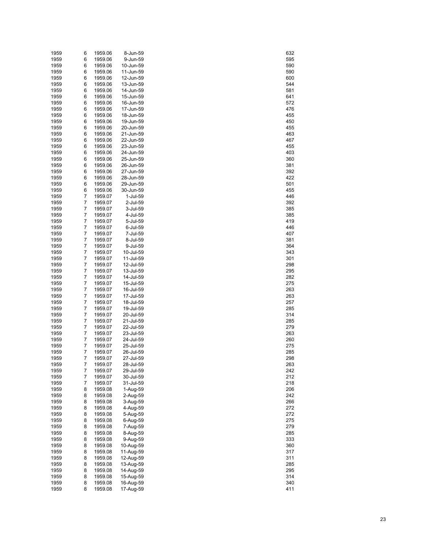| 1959 | 6 | 1959.06 | 8-Jun-59  | 632 |
|------|---|---------|-----------|-----|
| 1959 | 6 | 1959.06 | 9-Jun-59  | 595 |
| 1959 | 6 | 1959.06 | 10-Jun-59 | 590 |
| 1959 | 6 | 1959.06 | 11-Jun-59 | 590 |
| 1959 | 6 | 1959.06 | 12-Jun-59 | 600 |
| 1959 | 6 | 1959.06 | 13-Jun-59 | 544 |
| 1959 | 6 | 1959.06 | 14-Jun-59 | 581 |
| 1959 | 6 | 1959.06 | 15-Jun-59 | 641 |
| 1959 | 6 | 1959.06 | 16-Jun-59 | 572 |
| 1959 | 6 | 1959.06 | 17-Jun-59 | 476 |
| 1959 | 6 | 1959.06 | 18-Jun-59 | 455 |
| 1959 | 6 | 1959.06 | 19-Jun-59 | 450 |
| 1959 | 6 | 1959.06 | 20-Jun-59 | 455 |
| 1959 | 6 | 1959.06 | 21-Jun-59 | 463 |
| 1959 | 6 | 1959.06 | 22-Jun-59 | 467 |
| 1959 | 6 | 1959.06 | 23-Jun-59 | 455 |
| 1959 | 6 | 1959.06 | 24-Jun-59 | 403 |
| 1959 | 6 | 1959.06 | 25-Jun-59 | 360 |
| 1959 | 6 | 1959.06 | 26-Jun-59 | 381 |
| 1959 | 6 | 1959.06 | 27-Jun-59 | 392 |
| 1959 | 6 | 1959.06 | 28-Jun-59 | 422 |
| 1959 | 6 | 1959.06 | 29-Jun-59 | 501 |
| 1959 | 6 | 1959.06 | 30-Jun-59 | 455 |
| 1959 | 7 | 1959.07 | 1-Jul-59  | 446 |
| 1959 | 7 | 1959.07 | 2-Jul-59  | 392 |
| 1959 | 7 | 1959.07 | 3-Jul-59  | 385 |
| 1959 | 7 | 1959.07 | 4-Jul-59  | 385 |
| 1959 | 7 | 1959.07 | 5-Jul-59  | 419 |
| 1959 | 7 | 1959.07 | 6-Jul-59  | 446 |
| 1959 | 7 | 1959.07 | 7-Jul-59  | 407 |
| 1959 | 7 | 1959.07 | 8-Jul-59  | 381 |
| 1959 | 7 | 1959.07 | 9-Jul-59  | 364 |
| 1959 | 7 | 1959.07 | 10-Jul-59 | 343 |
| 1959 | 7 | 1959.07 | 11-Jul-59 | 301 |
| 1959 | 7 | 1959.07 | 12-Jul-59 | 298 |
| 1959 | 7 | 1959.07 | 13-Jul-59 | 295 |
| 1959 | 7 | 1959.07 | 14-Jul-59 | 282 |
| 1959 | 7 | 1959.07 | 15-Jul-59 | 275 |
| 1959 | 7 | 1959.07 | 16-Jul-59 | 263 |
| 1959 | 7 | 1959.07 | 17-Jul-59 | 263 |
| 1959 | 7 | 1959.07 | 18-Jul-59 | 257 |
| 1959 | 7 | 1959.07 | 19-Jul-59 | 285 |
| 1959 | 7 | 1959.07 | 20-Jul-59 | 314 |
| 1959 | 7 | 1959.07 | 21-Jul-59 | 285 |
| 1959 | 7 | 1959.07 | 22-Jul-59 | 279 |
| 1959 | 7 | 1959.07 | 23-Jul-59 | 263 |
| 1959 | 7 | 1959.07 | 24-Jul-59 | 260 |
| 1959 | 7 | 1959.07 | 25-Jul-59 | 275 |
| 1959 | 7 | 1959.07 | 26-Jul-59 | 285 |
| 1959 | 7 | 1959.07 | 27-Jul-59 | 298 |
| 1959 | 7 | 1959.07 | 28-Jul-59 | 263 |
| 1959 | 7 | 1959.07 | 29-Jul-59 | 242 |
| 1959 | 7 | 1959.07 | 30-Jul-59 | 212 |
| 1959 | 7 | 1959.07 | 31-Jul-59 | 218 |
| 1959 | 8 | 1959.08 | 1-Aug-59  | 206 |
| 1959 | 8 | 1959.08 | 2-Aug-59  | 242 |
| 1959 | 8 | 1959.08 | 3-Aug-59  | 266 |
| 1959 | 8 | 1959.08 | 4-Aug-59  | 272 |
| 1959 | 8 | 1959.08 | 5-Aug-59  | 272 |
| 1959 | 8 | 1959.08 | 6-Aug-59  | 275 |
| 1959 | 8 | 1959.08 | 7-Aug-59  | 279 |
| 1959 | 8 | 1959.08 | 8-Aug-59  | 285 |
| 1959 | 8 | 1959.08 | 9-Aug-59  | 333 |
| 1959 | 8 | 1959.08 | 10-Aug-59 | 360 |
| 1959 | 8 | 1959.08 | 11-Aug-59 | 317 |
| 1959 | 8 | 1959.08 | 12-Aug-59 | 311 |
| 1959 | 8 | 1959.08 | 13-Aug-59 | 285 |
| 1959 | 8 | 1959.08 | 14-Aug-59 | 295 |
| 1959 | 8 | 1959.08 | 15-Aug-59 | 314 |
| 1959 | 8 | 1959.08 | 16-Aug-59 | 340 |
| 1959 | 8 | 1959.08 | 17-Aug-59 | 411 |

| 632                                     |  |
|-----------------------------------------|--|
|                                         |  |
| 595                                     |  |
|                                         |  |
| 590                                     |  |
| ä<br>U<br>)                             |  |
|                                         |  |
| 500                                     |  |
|                                         |  |
| 44                                      |  |
| 581                                     |  |
|                                         |  |
| 34 <sup>1</sup><br>Е<br>1               |  |
|                                         |  |
| 57:                                     |  |
|                                         |  |
| 476<br>ì                                |  |
|                                         |  |
| 455                                     |  |
| 450                                     |  |
|                                         |  |
| 455                                     |  |
|                                         |  |
| 46                                      |  |
|                                         |  |
| 467                                     |  |
|                                         |  |
| 455                                     |  |
| 403                                     |  |
|                                         |  |
| 860                                     |  |
|                                         |  |
| 381                                     |  |
|                                         |  |
| 39.                                     |  |
| 42:                                     |  |
|                                         |  |
| 501                                     |  |
|                                         |  |
| 455                                     |  |
| 446                                     |  |
|                                         |  |
| 39:                                     |  |
|                                         |  |
| 385                                     |  |
|                                         |  |
| 385                                     |  |
|                                         |  |
| 419                                     |  |
| 446                                     |  |
|                                         |  |
| 407                                     |  |
|                                         |  |
| 381                                     |  |
|                                         |  |
| 864                                     |  |
| - .<br>343                              |  |
|                                         |  |
| 301                                     |  |
|                                         |  |
| 298                                     |  |
| 295                                     |  |
|                                         |  |
| 282                                     |  |
|                                         |  |
| 275                                     |  |
|                                         |  |
| 263                                     |  |
|                                         |  |
| 26                                      |  |
| 257                                     |  |
|                                         |  |
| 285                                     |  |
|                                         |  |
| 314                                     |  |
|                                         |  |
| 285                                     |  |
| $^{27}$<br>€                            |  |
|                                         |  |
| 26<br>ì                                 |  |
|                                         |  |
| 26<br>27<br>$\boldsymbol{\delta}$       |  |
|                                         |  |
| 7                                       |  |
|                                         |  |
| -<br>285                                |  |
|                                         |  |
|                                         |  |
| 63<br>42                                |  |
|                                         |  |
|                                         |  |
| 12                                      |  |
|                                         |  |
| 18                                      |  |
|                                         |  |
| 06                                      |  |
| 4:                                      |  |
|                                         |  |
| 266                                     |  |
|                                         |  |
|                                         |  |
|                                         |  |
| $\begin{array}{c} 7. \\ 7. \end{array}$ |  |
|                                         |  |
| 275<br>279                              |  |
|                                         |  |
|                                         |  |
| 285                                     |  |
| 333                                     |  |
|                                         |  |
| 860                                     |  |
|                                         |  |
| 317                                     |  |
| 311                                     |  |
|                                         |  |
|                                         |  |
|                                         |  |
| 285                                     |  |
|                                         |  |
| ---<br>295                              |  |
|                                         |  |
|                                         |  |
|                                         |  |
| 314<br>340<br>411                       |  |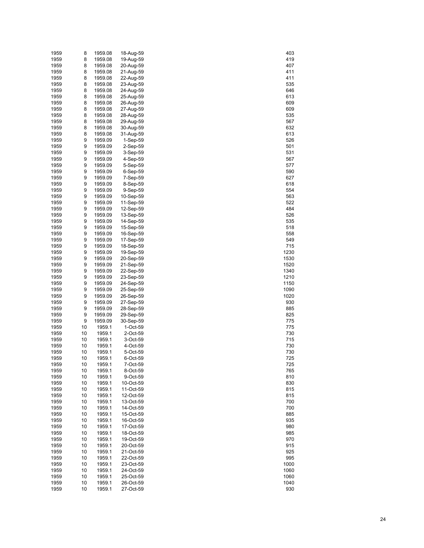| 1959 | 8  | 1959.08 | 18-Aug-59   | 403  |
|------|----|---------|-------------|------|
| 1959 | 8  | 1959.08 | 19-Aug-59   | 419  |
| 1959 | 8  | 1959.08 | 20-Aug-59   | 407  |
| 1959 | 8  | 1959.08 | 21-Aug-59   | 411  |
| 1959 | 8  | 1959.08 | 22-Aug-59   | 411  |
| 1959 | 8  | 1959.08 | 23-Aug-59   | 535  |
|      |    |         |             |      |
| 1959 | 8  | 1959.08 | 24-Aug-59   | 646  |
| 1959 | 8  | 1959.08 | 25-Aug-59   | 613  |
| 1959 | 8  | 1959.08 | 26-Aug-59   | 609  |
| 1959 | 8  | 1959.08 | 27-Aug-59   | 609  |
| 1959 | 8  | 1959.08 | 28-Aug-59   | 535  |
| 1959 | 8  | 1959.08 | 29-Aug-59   | 567  |
| 1959 | 8  | 1959.08 | 30-Aug-59   | 632  |
| 1959 | 8  | 1959.08 | 31-Aug-59   | 613  |
| 1959 | 9  | 1959.09 | 1-Sep-59    | 526  |
|      |    |         |             |      |
| 1959 | 9  | 1959.09 | 2-Sep-59    | 501  |
| 1959 | 9  | 1959.09 | 3-Sep-59    | 531  |
| 1959 | 9  | 1959.09 | 4-Sep-59    | 567  |
| 1959 | 9  | 1959.09 | 5-Sep-59    | 577  |
| 1959 | 9  | 1959.09 | $6-Sep-59$  | 590  |
| 1959 | 9  | 1959.09 | 7-Sep-59    | 627  |
| 1959 | 9  | 1959.09 | 8-Sep-59    | 618  |
| 1959 | 9  | 1959.09 | 9-Sep-59    | 554  |
| 1959 | 9  | 1959.09 | 10-Sep-59   | 563  |
| 1959 | 9  | 1959.09 | 11-Sep-59   | 522  |
|      | 9  |         | 12-Sep-59   | 484  |
| 1959 |    | 1959.09 |             |      |
| 1959 | 9  | 1959.09 | 13-Sep-59   | 526  |
| 1959 | 9  | 1959.09 | 14-Sep-59   | 535  |
| 1959 | 9  | 1959.09 | 15-Sep-59   | 518  |
| 1959 | 9  | 1959.09 | 16-Sep-59   | 558  |
| 1959 | 9  | 1959.09 | 17-Sep-59   | 549  |
| 1959 | 9  | 1959.09 | 18-Sep-59   | 715  |
| 1959 | 9  | 1959.09 | 19-Sep-59   | 1230 |
| 1959 | 9  | 1959.09 | 20-Sep-59   | 1530 |
| 1959 | 9  | 1959.09 | 21-Sep-59   | 1520 |
| 1959 | 9  | 1959.09 | 22-Sep-59   | 1340 |
|      |    |         |             |      |
| 1959 | 9  | 1959.09 | 23-Sep-59   | 1210 |
| 1959 | 9  | 1959.09 | 24-Sep-59   | 1150 |
| 1959 | 9  | 1959.09 | 25-Sep-59   | 1090 |
| 1959 | 9  | 1959.09 | 26-Sep-59   | 1020 |
| 1959 | 9  | 1959.09 | 27-Sep-59   | 930  |
| 1959 | 9  | 1959.09 | 28-Sep-59   | 885  |
| 1959 | 9  | 1959.09 | 29-Sep-59   | 825  |
| 1959 | 9  | 1959.09 | 30-Sep-59   | 775  |
| 1959 | 10 | 1959.1  | $1$ -Oct-59 | 775  |
| 1959 | 10 | 1959.1  | 2-Oct-59    | 730  |
| 1959 | 10 | 1959.1  | 3-Oct-59    | 715  |
|      |    |         |             |      |
| 1959 | 10 | 1959.1  | 4-Oct-59    | 730  |
| 1959 | 10 | 1959.1  | 5-Oct-59    | 730  |
| 1959 | 10 | 1959.1  | 6-Oct-59    | 725  |
| 1959 | 10 | 1959.1  | 7-Oct-59    | 725  |
| 1959 | 10 | 1959.1  | 8-Oct-59    | 765  |
| 1959 | 10 | 1959.1  | 9-Oct-59    | 810  |
| 1959 | 10 | 1959.1  | 10-Oct-59   | 830  |
| 1959 | 10 | 1959.1  | 11-Oct-59   | 815  |
| 1959 | 10 | 1959.1  | 12-Oct-59   | 815  |
| 1959 | 10 | 1959.1  | 13-Oct-59   | 700  |
|      |    |         |             |      |
| 1959 | 10 | 1959.1  | 14-Oct-59   | 700  |
| 1959 | 10 | 1959.1  | 15-Oct-59   | 885  |
| 1959 | 10 | 1959.1  | 16-Oct-59   | 935  |
| 1959 | 10 | 1959.1  | 17-Oct-59   | 980  |
| 1959 | 10 | 1959.1  | 18-Oct-59   | 985  |
| 1959 | 10 | 1959.1  | 19-Oct-59   | 970  |
| 1959 | 10 | 1959.1  | 20-Oct-59   | 915  |
| 1959 | 10 | 1959.1  | 21-Oct-59   | 925  |
| 1959 | 10 | 1959.1  | 22-Oct-59   | 995  |
| 1959 | 10 | 1959.1  | 23-Oct-59   | 1000 |
|      |    |         |             |      |
| 1959 | 10 | 1959.1  | 24-Oct-59   | 1060 |
| 1959 | 10 | 1959.1  | 25-Oct-59   | 1060 |
| 1959 | 10 | 1959.1  | 26-Oct-59   | 1040 |
| 1959 | 10 | 1959.1  | 27-Oct-59   | 930  |

| 403<br>419<br>ϡ              |
|------------------------------|
| 407<br>411                   |
| 411                          |
| 535<br>646                   |
| 613<br>609                   |
| 60<br>535                    |
| 567<br>632                   |
| 613<br>526                   |
| 501<br>531                   |
| 567<br>577                   |
| 590<br>627                   |
| 618<br>554                   |
| 563<br>52:                   |
| 484<br>526                   |
| 535<br>518                   |
| 558<br>549                   |
| 715<br>230<br>1              |
| 1530                         |
| 1520<br>1340<br>210<br>1     |
| 1150<br>1090                 |
| 020<br>1<br>930<br>Ś         |
| 885<br>825                   |
| 77<br>5<br>7<br>75           |
| 7<br>30<br>)<br>715          |
| 730<br>)<br>730              |
| 25<br>725                    |
| 765<br>810                   |
| 830<br>815                   |
| 815<br>700                   |
| 700<br>885                   |
| 935<br>ŗ<br>80               |
| 985<br>ŗ                     |
| 970<br>915                   |
| í<br>925<br>995              |
| 1000<br>1060                 |
| 1060<br>040<br>1<br>í<br>930 |
|                              |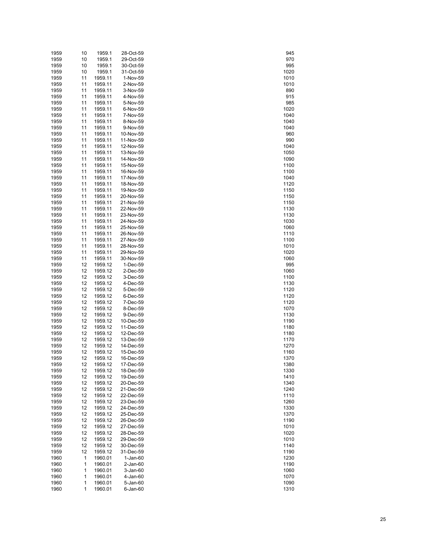| 1959 | 10 | 1959.1  | 28-Oct-59  | 945  |
|------|----|---------|------------|------|
| 1959 | 10 | 1959.1  | 29-Oct-59  | 970  |
| 1959 | 10 | 1959.1  | 30-Oct-59  | 995  |
|      |    |         |            |      |
| 1959 | 10 | 1959.1  | 31-Oct-59  | 1020 |
| 1959 | 11 | 1959.11 | 1-Nov-59   | 1010 |
| 1959 | 11 | 1959.11 | 2-Nov-59   | 1010 |
| 1959 | 11 | 1959.11 | 3-Nov-59   | 890  |
| 1959 | 11 | 1959.11 | 4-Nov-59   | 915  |
|      |    |         |            |      |
| 1959 | 11 | 1959.11 | 5-Nov-59   | 985  |
| 1959 | 11 | 1959.11 | 6-Nov-59   | 1020 |
| 1959 | 11 | 1959.11 | 7-Nov-59   | 1040 |
| 1959 | 11 | 1959.11 | 8-Nov-59   | 1040 |
| 1959 | 11 | 1959.11 | 9-Nov-59   | 1040 |
| 1959 | 11 | 1959.11 | 10-Nov-59  | 960  |
|      |    |         |            |      |
| 1959 | 11 | 1959.11 | 11-Nov-59  | 990  |
| 1959 | 11 | 1959.11 | 12-Nov-59  | 1040 |
| 1959 | 11 | 1959.11 | 13-Nov-59  | 1050 |
| 1959 | 11 | 1959.11 | 14-Nov-59  | 1090 |
| 1959 | 11 | 1959.11 | 15-Nov-59  | 1100 |
| 1959 | 11 | 1959.11 | 16-Nov-59  | 1100 |
|      |    |         |            |      |
| 1959 | 11 | 1959.11 | 17-Nov-59  | 1040 |
| 1959 | 11 | 1959.11 | 18-Nov-59  | 1120 |
| 1959 | 11 | 1959.11 | 19-Nov-59  | 1150 |
| 1959 | 11 | 1959.11 | 20-Nov-59  | 1150 |
| 1959 | 11 | 1959.11 | 21-Nov-59  | 1150 |
| 1959 | 11 | 1959.11 | 22-Nov-59  | 1130 |
|      |    |         |            |      |
| 1959 | 11 | 1959.11 | 23-Nov-59  | 1130 |
| 1959 | 11 | 1959.11 | 24-Nov-59  | 1030 |
| 1959 | 11 | 1959.11 | 25-Nov-59  | 1060 |
| 1959 | 11 | 1959.11 | 26-Nov-59  | 1110 |
| 1959 | 11 | 1959.11 | 27-Nov-59  | 1100 |
| 1959 | 11 | 1959.11 | 28-Nov-59  | 1010 |
|      |    |         |            |      |
| 1959 | 11 | 1959.11 | 29-Nov-59  | 1020 |
| 1959 | 11 | 1959.11 | 30-Nov-59  | 1060 |
| 1959 | 12 | 1959.12 | 1-Dec-59   | 995  |
| 1959 | 12 | 1959.12 | 2-Dec-59   | 1060 |
| 1959 | 12 | 1959.12 | 3-Dec-59   | 1100 |
| 1959 | 12 | 1959.12 | 4-Dec-59   | 1130 |
| 1959 | 12 |         |            |      |
|      |    | 1959.12 | 5-Dec-59   | 1120 |
| 1959 | 12 | 1959.12 | 6-Dec-59   | 1120 |
| 1959 | 12 | 1959.12 | 7-Dec-59   | 1120 |
| 1959 | 12 | 1959.12 | 8-Dec-59   | 1070 |
| 1959 | 12 | 1959.12 | 9-Dec-59   | 1130 |
| 1959 | 12 | 1959.12 | 10-Dec-59  | 1190 |
| 1959 | 12 |         |            |      |
|      |    | 1959.12 | 11-Dec-59  | 1180 |
| 1959 | 12 | 1959.12 | 12-Dec-59  | 1180 |
| 1959 | 12 | 1959.12 | 13-Dec-59  | 1170 |
| 1959 | 12 | 1959.12 | 14-Dec-59  | 1270 |
| 1959 | 12 | 1959.12 | 15-Dec-59  | 1160 |
| 1959 | 12 | 1959.12 | 16-Dec-59  | 1370 |
| 1959 | 12 | 1959.12 |            | 1380 |
|      |    |         | 17-Dec-59  |      |
| 1959 | 12 | 1959.12 | 18-Dec-59  | 1330 |
| 1959 | 12 | 1959.12 | 19-Dec-59  | 1410 |
| 1959 | 12 | 1959.12 | 20-Dec-59  | 1340 |
| 1959 | 12 | 1959.12 | 21-Dec-59  | 1240 |
| 1959 | 12 | 1959.12 | 22-Dec-59  | 1110 |
| 1959 | 12 | 1959.12 | 23-Dec-59  | 1260 |
|      |    |         |            |      |
| 1959 | 12 | 1959.12 | 24-Dec-59  | 1330 |
| 1959 | 12 | 1959.12 | 25-Dec-59  | 1370 |
| 1959 | 12 | 1959.12 | 26-Dec-59  | 1190 |
| 1959 | 12 | 1959.12 | 27-Dec-59  | 1010 |
| 1959 | 12 | 1959.12 | 28-Dec-59  | 1020 |
| 1959 | 12 | 1959.12 | 29-Dec-59  | 1010 |
|      |    |         |            |      |
| 1959 | 12 | 1959.12 | 30-Dec-59  | 1140 |
| 1959 | 12 | 1959.12 | 31-Dec-59  | 1190 |
| 1960 | 1  | 1960.01 | $1-Jan-60$ | 1230 |
| 1960 | 1  | 1960.01 | 2-Jan-60   | 1190 |
| 1960 | 1  | 1960.01 | 3-Jan-60   | 1060 |
| 1960 | 1  | 1960.01 | 4-Jan-60   | 1070 |
| 1960 | 1  | 1960.01 | 5-Jan-60   | 1090 |
|      |    |         |            |      |
| 1960 | 1  | 1960.01 | 6-Jan-60   | 1310 |

| 945                         |  |
|-----------------------------|--|
| 970                         |  |
| 995                         |  |
| 1020                        |  |
|                             |  |
| 1010                        |  |
| 1010                        |  |
| 890                         |  |
|                             |  |
| 915                         |  |
| 985                         |  |
| 1020                        |  |
|                             |  |
| 1040                        |  |
| 1040                        |  |
| 1040                        |  |
| 960                         |  |
|                             |  |
| 990                         |  |
| 1040                        |  |
| 1050                        |  |
|                             |  |
| 1090                        |  |
| 1100                        |  |
| 1100                        |  |
|                             |  |
| 1040                        |  |
| 1120                        |  |
| 1150                        |  |
|                             |  |
| 1150                        |  |
| 1150                        |  |
| 1130                        |  |
| 1130                        |  |
|                             |  |
| 1030                        |  |
| 1060                        |  |
| 1110                        |  |
|                             |  |
| 1100                        |  |
| 1010                        |  |
| 1020                        |  |
| 1060                        |  |
|                             |  |
| 995                         |  |
| 1060                        |  |
| 1100                        |  |
|                             |  |
| 1130                        |  |
| 1120<br>1120                |  |
|                             |  |
|                             |  |
| $\frac{1120}{1070}$         |  |
|                             |  |
| 1130                        |  |
| 1190                        |  |
|                             |  |
| 1180                        |  |
| 1180                        |  |
| 1170                        |  |
| 1270                        |  |
|                             |  |
| 1160                        |  |
| 7<br>1                      |  |
| 1380                        |  |
| 1330                        |  |
|                             |  |
| 1410                        |  |
| 1340                        |  |
|                             |  |
| 1240<br>1110                |  |
|                             |  |
| 1260                        |  |
| 1330                        |  |
|                             |  |
| 1370                        |  |
| 1190                        |  |
|                             |  |
|                             |  |
| 1010                        |  |
| 1020                        |  |
| 1010                        |  |
|                             |  |
| 1140                        |  |
| 1190                        |  |
| 230<br>$\ddot{\phantom{a}}$ |  |
| 1190                        |  |
| 1060                        |  |
|                             |  |
| 1070                        |  |
| 1090<br>1310                |  |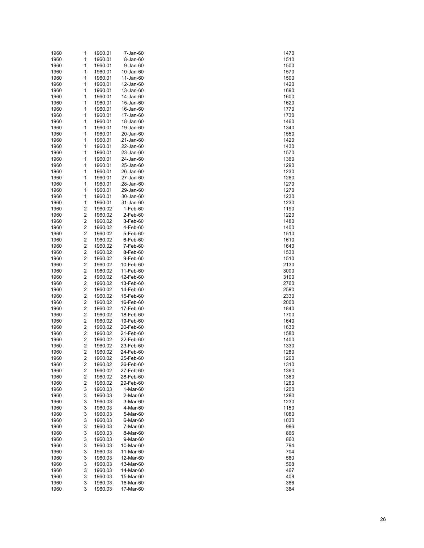| 1960 | 1                       | 1960.01 | 7-Jan-60  | 1470 |
|------|-------------------------|---------|-----------|------|
| 1960 | 1                       | 1960.01 | 8-Jan-60  | 1510 |
| 1960 | 1                       | 1960.01 | 9-Jan-60  | 1500 |
| 1960 | 1                       | 1960.01 | 10-Jan-60 | 1570 |
| 1960 | 1                       | 1960.01 | 11-Jan-60 | 1500 |
| 1960 | 1                       | 1960.01 | 12-Jan-60 | 1420 |
| 1960 | 1                       | 1960.01 | 13-Jan-60 | 1690 |
|      |                         |         |           |      |
| 1960 | 1                       | 1960.01 | 14-Jan-60 | 1600 |
| 1960 | 1                       | 1960.01 | 15-Jan-60 | 1620 |
| 1960 | 1                       | 1960.01 | 16-Jan-60 | 1770 |
| 1960 | 1                       | 1960.01 | 17-Jan-60 | 1730 |
| 1960 | 1                       | 1960.01 | 18-Jan-60 | 1460 |
| 1960 | 1                       | 1960.01 | 19-Jan-60 | 1340 |
| 1960 | 1                       | 1960.01 | 20-Jan-60 | 1550 |
| 1960 | 1                       | 1960.01 | 21-Jan-60 | 1420 |
| 1960 | 1                       | 1960.01 | 22-Jan-60 | 1430 |
| 1960 | 1                       | 1960.01 | 23-Jan-60 | 1570 |
| 1960 | 1                       | 1960.01 | 24-Jan-60 | 1360 |
|      |                         |         |           |      |
| 1960 | 1                       | 1960.01 | 25-Jan-60 | 1290 |
| 1960 | 1                       | 1960.01 | 26-Jan-60 | 1230 |
| 1960 | 1                       | 1960.01 | 27-Jan-60 | 1260 |
| 1960 | 1                       | 1960.01 | 28-Jan-60 | 1270 |
| 1960 | 1                       | 1960.01 | 29-Jan-60 | 1270 |
| 1960 | 1                       | 1960.01 | 30-Jan-60 | 1230 |
| 1960 | 1                       | 1960.01 | 31-Jan-60 | 1230 |
| 1960 | 2                       | 1960.02 | 1-Feb-60  | 1190 |
| 1960 | 2                       | 1960.02 | 2-Feb-60  | 1220 |
| 1960 | 2                       | 1960.02 | 3-Feb-60  | 1480 |
| 1960 | 2                       | 1960.02 | 4-Feb-60  | 1400 |
| 1960 | 2                       | 1960.02 | 5-Feb-60  | 1510 |
|      |                         |         |           |      |
| 1960 | 2                       | 1960.02 | 6-Feb-60  | 1610 |
| 1960 | 2                       | 1960.02 | 7-Feb-60  | 1640 |
| 1960 | 2                       | 1960.02 | 8-Feb-60  | 1530 |
| 1960 | 2                       | 1960.02 | 9-Feb-60  | 1510 |
| 1960 | 2                       | 1960.02 | 10-Feb-60 | 2130 |
| 1960 | 2                       | 1960.02 | 11-Feb-60 | 3000 |
| 1960 | 2                       | 1960.02 | 12-Feb-60 | 3100 |
| 1960 | 2                       | 1960.02 | 13-Feb-60 | 2760 |
| 1960 | 2                       | 1960.02 | 14-Feb-60 | 2590 |
| 1960 | 2                       | 1960.02 | 15-Feb-60 | 2330 |
| 1960 | 2                       | 1960.02 | 16-Feb-60 | 2000 |
| 1960 | 2                       | 1960.02 | 17-Feb-60 | 1840 |
| 1960 | 2                       | 1960.02 | 18-Feb-60 | 1700 |
|      |                         |         |           |      |
| 1960 | 2                       | 1960.02 | 19-Feb-60 | 1640 |
| 1960 | 2                       | 1960.02 | 20-Feb-60 | 1630 |
| 1960 | 2                       | 1960.02 | 21-Feb-60 | 1580 |
| 1960 | 2                       | 1960.02 | 22-Feb-60 | 1400 |
| 1960 | 2                       | 1960.02 | 23-Feb-60 | 1330 |
| 1960 | 2                       | 1960.02 | 24-Feb-60 | 1280 |
| 1960 | 2                       | 1960.02 | 25-Feb-60 | 1260 |
| 1960 | 2                       | 1960.02 | 26-Feb-60 | 1310 |
| 1960 | $\overline{\mathbf{c}}$ | 1960.02 | 27-Feb-60 | 1360 |
| 1960 | 2                       | 1960.02 | 28-Feb-60 | 1360 |
| 1960 | 2                       | 1960.02 | 29-Feb-60 | 1260 |
| 1960 | 3                       | 1960.03 | 1-Mar-60  | 1200 |
| 1960 | 3                       | 1960.03 | 2-Mar-60  | 1280 |
|      |                         |         |           |      |
| 1960 | 3                       | 1960.03 | 3-Mar-60  | 1230 |
| 1960 | 3                       | 1960.03 | 4-Mar-60  | 1150 |
| 1960 | 3                       | 1960.03 | 5-Mar-60  | 1080 |
| 1960 | 3                       | 1960.03 | 6-Mar-60  | 1030 |
| 1960 | 3                       | 1960.03 | 7-Mar-60  | 986  |
| 1960 | 3                       | 1960.03 | 8-Mar-60  | 866  |
| 1960 | 3                       | 1960.03 | 9-Mar-60  | 860  |
| 1960 | 3                       | 1960.03 | 10-Mar-60 | 794  |
| 1960 | 3                       | 1960.03 | 11-Mar-60 | 704  |
| 1960 | 3                       | 1960.03 | 12-Mar-60 | 580  |
| 1960 | 3                       | 1960.03 | 13-Mar-60 | 508  |
| 1960 | 3                       | 1960.03 | 14-Mar-60 | 467  |
| 1960 | 3                       | 1960.03 | 15-Mar-60 | 408  |
|      |                         |         |           |      |
| 1960 | 3                       | 1960.03 | 16-Mar-60 | 386  |
| 1960 | 3                       | 1960.03 | 17-Mar-60 | 364  |

| 1470                        |
|-----------------------------|
| 1510                        |
| 1500                        |
|                             |
| 1570                        |
| 1500                        |
| 1420                        |
|                             |
| 1690                        |
| 1600                        |
| 1620                        |
|                             |
| 1770                        |
| 1730                        |
| 1460                        |
|                             |
| 1<br>340                    |
| 1550                        |
| 14<br>20                    |
|                             |
| 1430                        |
| 1570                        |
| 1360                        |
|                             |
| 1.<br>290                   |
| 1230                        |
| 1.<br>260                   |
|                             |
| 1270                        |
| 1.<br>270                   |
| 1230                        |
|                             |
| 1.<br>230                   |
| 1190                        |
| 220<br>1.                   |
|                             |
| 1480                        |
| 1400                        |
| 1510                        |
|                             |
| 1610                        |
| 1640                        |
| 1530                        |
|                             |
| 1510                        |
|                             |
| 2130                        |
|                             |
| 3000                        |
| 3100                        |
| 2760                        |
| 2590                        |
|                             |
| 2330                        |
| 2000                        |
| 1840                        |
|                             |
| 1700                        |
| 1640                        |
| 1630                        |
|                             |
| 1580                        |
| 1400                        |
| 1330                        |
|                             |
| 1.                          |
| $\frac{1}{280}$<br>260<br>1 |
| 1310                        |
|                             |
| $\mathbf{1}$<br>360         |
| 360<br>1                    |
| 1260                        |
| 200<br>1.                   |
|                             |
| 1.<br>280                   |
| 230<br>1.                   |
| 1150                        |
|                             |
| 1080                        |
| 1030                        |
| 986                         |
| 866                         |
|                             |
| 860                         |
| 794                         |
| 704                         |
|                             |
| 580                         |
| 508                         |
| 467                         |
|                             |
| 408                         |
| 386<br>364                  |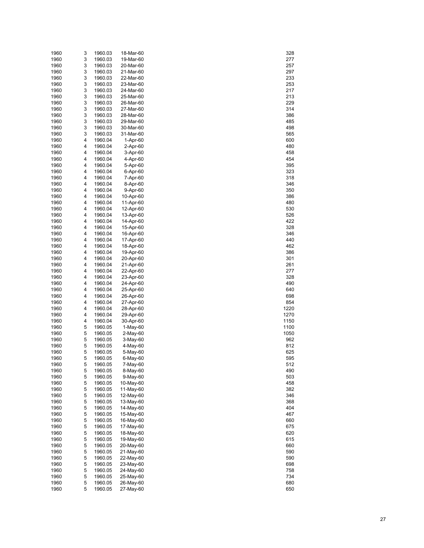| 1960 | 3 | 1960.03 | 18-Mar-60      | 328  |
|------|---|---------|----------------|------|
| 1960 | 3 | 1960.03 | 19-Mar-60      | 277  |
| 1960 | 3 | 1960.03 | 20-Mar-60      | 257  |
| 1960 | 3 | 1960.03 | 21-Mar-60      | 297  |
| 1960 | 3 | 1960.03 | 22-Mar-60      | 233  |
| 1960 | 3 | 1960.03 | 23-Mar-60      | 253  |
| 1960 | 3 | 1960.03 | 24-Mar-60      | 217  |
| 1960 | 3 | 1960.03 | 25-Mar-60      | 213  |
| 1960 | 3 | 1960.03 | 26-Mar-60      | 229  |
| 1960 | 3 | 1960.03 | 27-Mar-60      | 314  |
| 1960 | 3 | 1960.03 | 28-Mar-60      | 386  |
| 1960 | 3 | 1960.03 | 29-Mar-60      | 485  |
| 1960 | 3 | 1960.03 | 30-Mar-60      | 498  |
| 1960 | 3 | 1960.03 | 31-Mar-60      | 565  |
| 1960 | 4 | 1960.04 | 1-Apr-60       | 600  |
| 1960 | 4 | 1960.04 | 2-Apr-60       | 480  |
| 1960 | 4 | 1960.04 | 3-Apr-60       | 458  |
| 1960 | 4 | 1960.04 | 4-Apr-60       | 454  |
| 1960 | 4 | 1960.04 | 5-Apr-60       | 395  |
| 1960 | 4 | 1960.04 | 6-Apr-60       | 323  |
| 1960 | 4 | 1960.04 | 7-Apr-60       | 318  |
| 1960 | 4 | 1960.04 | 8-Apr-60       | 346  |
| 1960 | 4 | 1960.04 | 9-Apr-60       | 350  |
| 1960 | 4 | 1960.04 | 10-Apr-60      | 386  |
| 1960 | 4 | 1960.04 | 11-Apr-60      | 480  |
| 1960 | 4 | 1960.04 | 12-Apr-60      | 530  |
| 1960 | 4 | 1960.04 | 13-Apr-60      | 526  |
| 1960 | 4 | 1960.04 | 14-Apr-60      | 422  |
| 1960 | 4 | 1960.04 | 15-Apr-60      | 328  |
| 1960 | 4 | 1960.04 | 16-Apr-60      | 346  |
| 1960 | 4 | 1960.04 | 17-Apr-60      | 440  |
| 1960 | 4 | 1960.04 | 18-Apr-60      | 462  |
| 1960 | 4 | 1960.04 | 19-Apr-60      | 386  |
| 1960 | 4 | 1960.04 | 20-Apr-60      | 301  |
| 1960 | 4 | 1960.04 | 21-Apr-60      | 261  |
| 1960 | 4 | 1960.04 | 22-Apr-60      | 277  |
| 1960 | 4 | 1960.04 | 23-Apr-60      | 328  |
| 1960 | 4 | 1960.04 | 24-Apr-60      | 490  |
| 1960 | 4 | 1960.04 | 25-Apr-60      | 640  |
| 1960 | 4 | 1960.04 | 26-Apr-60      | 698  |
| 1960 | 4 | 1960.04 | 27-Apr-60      | 854  |
| 1960 | 4 | 1960.04 | 28-Apr-60      | 1220 |
| 1960 | 4 | 1960.04 | 29-Apr-60      | 1270 |
| 1960 | 4 | 1960.04 | 30-Apr-60      | 1150 |
| 1960 | 5 | 1960.05 | 1-May-60       | 1100 |
| 1960 | 5 | 1960.05 | 2-May-60       | 1050 |
| 1960 | 5 | 1960.05 | 3-May-60       | 962  |
| 1960 | 5 | 1960.05 | 4-May-60       | 812  |
| 1960 | 5 | 1960.05 | 5-May-60       | 625  |
| 1960 | 5 | 1960.05 | $6$ -May- $60$ | 595  |
| 1960 | 5 | 1960.05 | 7-May-60       | 512  |
| 1960 | 5 | 1960.05 | 8-May-60       | 490  |
| 1960 | 5 | 1960.05 | 9-May-60       | 503  |
| 1960 | 5 | 1960.05 | 10-May-60      | 458  |
| 1960 | 5 | 1960.05 | 11-May-60      | 382  |
| 1960 | 5 | 1960.05 | 12-May-60      | 346  |
| 1960 | 5 | 1960.05 | 13-May-60      | 368  |
| 1960 | 5 | 1960.05 | 14-May-60      | 404  |
| 1960 | 5 | 1960.05 | 15-May-60      | 467  |
| 1960 | 5 | 1960.05 | 16-May-60      | 660  |
| 1960 | 5 | 1960.05 | 17-May-60      | 675  |
| 1960 | 5 | 1960.05 | 18-May-60      | 620  |
| 1960 | 5 | 1960.05 | 19-May-60      | 615  |
| 1960 | 5 | 1960.05 | 20-May-60      | 660  |
| 1960 | 5 | 1960.05 | 21-May-60      | 590  |
| 1960 | 5 | 1960.05 | 22-May-60      | 590  |
| 1960 | 5 | 1960.05 | 23-May-60      | 698  |
| 1960 | 5 | 1960.05 | 24-May-60      | 758  |
| 1960 | 5 | 1960.05 | 25-May-60      | 734  |
| 1960 | 5 | 1960.05 | 26-May-60      | 680  |
| 1960 | 5 | 1960.05 | 27-May-60      | 650  |

| 328                           |  |
|-------------------------------|--|
| .77                           |  |
| 57                            |  |
| 297                           |  |
| 233                           |  |
| $25^{\circ}$                  |  |
| 217                           |  |
| 213<br>29                     |  |
| 314                           |  |
| 386                           |  |
| 485                           |  |
| 498                           |  |
| 565                           |  |
| 600                           |  |
| 480<br>458                    |  |
| 454                           |  |
| 395                           |  |
| 323                           |  |
| 318                           |  |
| 346                           |  |
| 350<br>386                    |  |
| 480                           |  |
| $\overline{\mathbf{5}}$<br>30 |  |
| 5<br>$\overline{26}$          |  |
| 42<br>ž                       |  |
| 328                           |  |
| 346                           |  |
| 440<br>462                    |  |
| 386                           |  |
| 301                           |  |
| $\frac{261}{1}$               |  |
| 277                           |  |
| 328                           |  |
| 490                           |  |
| 640<br>69<br>98               |  |
|                               |  |
| 854<br>1220<br>1270           |  |
|                               |  |
| 15 <sub>0</sub><br>1<br>ງ     |  |
| 100<br>1                      |  |
| 1050                          |  |
| 962<br>812<br>625             |  |
|                               |  |
| 5<br>I.<br>t                  |  |
| 512                           |  |
| 490                           |  |
| 503<br>458                    |  |
| 382                           |  |
| 346                           |  |
| 368                           |  |
| ---<br>404                    |  |
| 467                           |  |
| 660                           |  |
| 675<br>620                    |  |
| 615                           |  |
| 660                           |  |
| 590                           |  |
| 590                           |  |
| 698                           |  |
| 58<br>7<br>734                |  |
| 680                           |  |
| 650                           |  |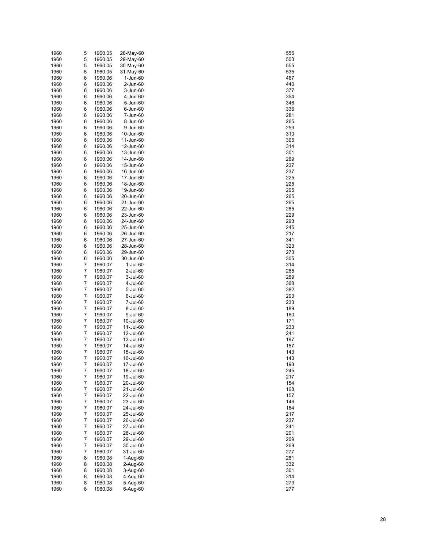| 1960         | 5      | 1960.05            | 28-May-60              | 555        |
|--------------|--------|--------------------|------------------------|------------|
| 1960         | 5      | 1960.05            | 29-May-60              | 503        |
| 1960         | 5      | 1960.05            | 30-May-60              | 555        |
| 1960         | 5      | 1960.05            | 31-May-60              | 535        |
| 1960         | 6      | 1960.06            | 1-Jun-60               | 467        |
| 1960         | 6      | 1960.06            | 2-Jun-60               | 440        |
| 1960         | 6      | 1960.06            | 3-Jun-60               | 377        |
| 1960         | 6      | 1960.06            | 4-Jun-60               | 354        |
| 1960         | 6      | 1960.06            | 5-Jun-60               | 346        |
| 1960         | 6      | 1960.06            | 6-Jun-60               | 336        |
| 1960         | 6      | 1960.06            | 7-Jun-60               | 281        |
| 1960         | 6      | 1960.06            | 8-Jun-60               | 265        |
| 1960         | 6      | 1960.06            | 9-Jun-60               | 253        |
| 1960         | 6      | 1960.06            | 10-Jun-60              | 310        |
| 1960         | 6      | 1960.06            | 11-Jun-60              | 305        |
| 1960         | 6      | 1960.06            | 12-Jun-60              | 314        |
| 1960         | 6      | 1960.06            | 13-Jun-60              | 301        |
| 1960         | 6      | 1960.06            | 14-Jun-60              | 269        |
| 1960         | 6      | 1960.06            | 15-Jun-60              | 237        |
| 1960         | 6      | 1960.06            | 16-Jun-60              | 237        |
| 1960         | 6      | 1960.06            | 17-Jun-60              | 225        |
| 1960         | 6      | 1960.06            | 18-Jun-60              | 225        |
| 1960         | 6      | 1960.06            | 19-Jun-60              | 205        |
| 1960         | 6      | 1960.06            | 20-Jun-60              | 265        |
| 1960         | 6      | 1960.06            | 21-Jun-60              | 265        |
| 1960         | 6      | 1960.06            | 22-Jun-60              | 285        |
| 1960         | 6      | 1960.06            | 23-Jun-60              | 229        |
| 1960         | 6      | 1960.06            | 24-Jun-60              | 293        |
| 1960         | 6      | 1960.06            | 25-Jun-60              | 245        |
| 1960         | 6      | 1960.06            | 26-Jun-60              | 217        |
| 1960         | 6      | 1960.06            | 27-Jun-60              | 341        |
| 1960         | 6      | 1960.06            | 28-Jun-60              | 323        |
| 1960         | 6      | 1960.06            | 29-Jun-60              | 273        |
| 1960         | 6      | 1960.06            | 30-Jun-60              | 305        |
| 1960         | 7      | 1960.07            | 1-Jul-60               | 314        |
| 1960         | 7      | 1960.07            | 2-Jul-60               | 285        |
| 1960         | 7      | 1960.07            | 3-Jul-60               | 289        |
| 1960         | 7      | 1960.07            | 4-Jul-60               | 368        |
| 1960         | 7      | 1960.07            | 5-Jul-60               | 382        |
| 1960         | 7      | 1960.07            | 6-Jul-60               | 293        |
| 1960         | 7      | 1960.07            | 7-Jul-60               | 233        |
| 1960         | 7      | 1960.07            | 8-Jul-60               | 189        |
| 1960         | 7      | 1960.07            | 9-Jul-60               | 160        |
| 1960         | 7      | 1960.07            | 10-Jul-60              | 171        |
| 1960         | 7      | 1960.07            | 11-Jul-60              | 233        |
| 1960         | 7      | 1960.07            | 12-Jul-60              | 241        |
| 1960         | 7      | 1960.07            | 13-Jul-60              | 197        |
| 1960         | 7      | 1960.07            | 14-Jul-60              | 157        |
| 1960         | 7      | 1960.07            | 15-Jul-60              | 143        |
| 1960         | 7      | 1960.07            | 16-Jul-60              | 143        |
| 1960<br>1960 | 7<br>7 | 1960.07<br>1960.07 | 17-Jul-60              | 193<br>245 |
|              |        |                    | 18-Jul-60<br>19-Jul-60 | 217        |
| 1960<br>1960 | 7<br>7 | 1960.07            |                        | 154        |
| 1960         | 7      | 1960.07<br>1960.07 | 20-Jul-60<br>21-Jul-60 | 168        |
| 1960         | 7      | 1960.07            | 22-Jul-60              | 157        |
| 1960         | 7      | 1960.07            | 23-Jul-60              | 146        |
| 1960         | 7      | 1960.07            | 24-Jul-60              | 164        |
| 1960         | 7      |                    |                        |            |
| 1960         | 7      | 1960.07<br>1960.07 | 25-Jul-60<br>26-Jul-60 | 217<br>237 |
| 1960         | 7      | 1960.07            | 27-Jul-60              | 241        |
| 1960         | 7      | 1960.07            | 28-Jul-60              | 201        |
| 1960         | 7      | 1960.07            | 29-Jul-60              | 209        |
| 1960         | 7      | 1960.07            | 30-Jul-60              | 269        |
| 1960         | 7      | 1960.07            | 31-Jul-60              | 277        |
| 1960         | 8      | 1960.08            | 1-Aug-60               | 281        |
| 1960         | 8      | 1960.08            | 2-Aug-60               | 332        |
| 1960         | 8      | 1960.08            | 3-Aug-60               | 301        |
| 1960         | 8      | 1960.08            | 4-Aug-60               | 314        |
| 1960         | 8      | 1960.08            | 5-Aug-60               | 273        |
| 1960         | 8      | 1960.08            | 6-Aug-60               | 277        |
|              |        |                    |                        |            |

| 555                           |  |
|-------------------------------|--|
|                               |  |
| 503                           |  |
|                               |  |
| 555                           |  |
| 5<br>35                       |  |
|                               |  |
| 467                           |  |
|                               |  |
| 440<br>)                      |  |
|                               |  |
| 377                           |  |
| 354                           |  |
|                               |  |
| 346                           |  |
|                               |  |
| 336                           |  |
|                               |  |
| 281                           |  |
| 265                           |  |
|                               |  |
| 253                           |  |
|                               |  |
| 310                           |  |
|                               |  |
| 305                           |  |
|                               |  |
| 314                           |  |
| 301                           |  |
|                               |  |
| 269                           |  |
|                               |  |
| 237                           |  |
|                               |  |
| 37                            |  |
|                               |  |
| 25                            |  |
| 25                            |  |
|                               |  |
| 205                           |  |
|                               |  |
| 265                           |  |
|                               |  |
| 265                           |  |
| 285                           |  |
|                               |  |
| $\overline{\mathbf{r}}$<br>29 |  |
|                               |  |
| 293                           |  |
|                               |  |
| 245                           |  |
|                               |  |
| 217                           |  |
| 341                           |  |
|                               |  |
| 32 <sup>2</sup><br>3          |  |
|                               |  |
| 273                           |  |
|                               |  |
| 30<br>)5                      |  |
|                               |  |
|                               |  |
| 314                           |  |
|                               |  |
| 285                           |  |
|                               |  |
| 289                           |  |
| 368                           |  |
|                               |  |
| 38:                           |  |
|                               |  |
| 29<br>3                       |  |
|                               |  |
| 233                           |  |
|                               |  |
| 189<br>€                      |  |
| 160                           |  |
|                               |  |
| 171                           |  |
|                               |  |
|                               |  |
|                               |  |
| 233<br>241                    |  |
|                               |  |
|                               |  |
|                               |  |
| 197<br>157                    |  |
| 143                           |  |
|                               |  |
| 4<br>1                        |  |
|                               |  |
| 193                           |  |
| 245                           |  |
|                               |  |
|                               |  |
| 217                           |  |
| 154                           |  |
|                               |  |
| 168                           |  |
|                               |  |
| 157                           |  |
| 146                           |  |
|                               |  |
| 164                           |  |
|                               |  |
| 217                           |  |
|                               |  |
| .<br>237                      |  |
|                               |  |
| 241                           |  |
| 201                           |  |
|                               |  |
| -<br>209                      |  |
|                               |  |
| 269                           |  |
|                               |  |
| 277                           |  |
|                               |  |
|                               |  |
| 281<br>332                    |  |
|                               |  |
| 301                           |  |
|                               |  |
|                               |  |
| 314<br>273<br>$\overline{7}$  |  |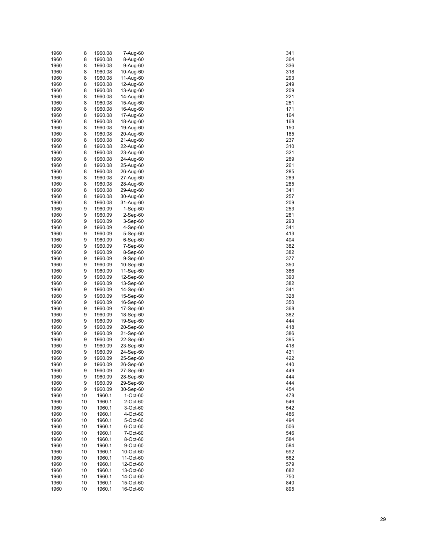| 1960 | 8  | 1960.08 | 7-Aug-60   | 341 |
|------|----|---------|------------|-----|
| 1960 | 8  | 1960.08 | 8-Aug-60   | 364 |
| 1960 | 8  | 1960.08 | 9-Aug-60   | 336 |
| 1960 | 8  | 1960.08 | 10-Aug-60  | 318 |
| 1960 | 8  | 1960.08 | 11-Aug-60  | 293 |
| 1960 | 8  | 1960.08 | 12-Aug-60  | 249 |
| 1960 | 8  | 1960.08 | 13-Aug-60  | 209 |
| 1960 | 8  | 1960.08 | 14-Aug-60  | 221 |
| 1960 | 8  | 1960.08 | 15-Aug-60  | 261 |
| 1960 | 8  | 1960.08 | 16-Aug-60  | 171 |
| 1960 | 8  | 1960.08 | 17-Aug-60  | 164 |
| 1960 | 8  | 1960.08 | 18-Aug-60  | 168 |
| 1960 | 8  | 1960.08 | 19-Aug-60  | 150 |
| 1960 | 8  | 1960.08 | 20-Aug-60  | 185 |
| 1960 | 8  | 1960.08 | 21-Aug-60  | 237 |
| 1960 | 8  | 1960.08 | 22-Aug-60  | 310 |
| 1960 | 8  | 1960.08 | 23-Aug-60  | 321 |
| 1960 | 8  | 1960.08 | 24-Aug-60  | 289 |
| 1960 | 8  | 1960.08 | 25-Aug-60  | 261 |
| 1960 | 8  | 1960.08 | 26-Aug-60  | 285 |
| 1960 | 8  | 1960.08 | 27-Aug-60  | 289 |
| 1960 | 8  | 1960.08 | 28-Aug-60  | 285 |
| 1960 | 8  | 1960.08 | 29-Aug-60  | 341 |
| 1960 | 8  | 1960.08 | 30-Aug-60  | 257 |
| 1960 | 8  | 1960.08 | 31-Aug-60  | 209 |
| 1960 | 9  | 1960.09 | $1-Sep-60$ | 253 |
| 1960 | 9  | 1960.09 | 2-Sep-60   | 281 |
| 1960 | 9  | 1960.09 | 3-Sep-60   | 293 |
| 1960 | 9  | 1960.09 | 4-Sep-60   | 341 |
| 1960 | 9  | 1960.09 | 5-Sep-60   | 413 |
| 1960 | 9  | 1960.09 | 6-Sep-60   | 404 |
| 1960 | 9  | 1960.09 | 7-Sep-60   | 382 |
| 1960 | 9  | 1960.09 | 8-Sep-60   | 382 |
| 1960 | 9  | 1960.09 | 9-Sep-60   | 377 |
| 1960 | 9  | 1960.09 | 10-Sep-60  | 350 |
| 1960 | 9  | 1960.09 | 11-Sep-60  | 386 |
| 1960 | 9  | 1960.09 | 12-Sep-60  | 390 |
| 1960 | 9  | 1960.09 | 13-Sep-60  | 382 |
| 1960 | 9  | 1960.09 | 14-Sep-60  | 341 |
| 1960 | 9  | 1960.09 | 15-Sep-60  | 328 |
| 1960 | 9  | 1960.09 | 16-Sep-60  | 350 |
| 1960 | 9  | 1960.09 | 17-Sep-60  | 368 |
| 1960 | 9  | 1960.09 | 18-Sep-60  | 382 |
| 1960 | 9  | 1960.09 | 19-Sep-60  | 444 |
| 1960 | 9  | 1960.09 | 20-Sep-60  | 418 |
| 1960 | 9  | 1960.09 | 21-Sep-60  | 386 |
| 1960 | 9  | 1960.09 | 22-Sep-60  | 395 |
| 1960 | 9  | 1960.09 | 23-Sep-60  | 418 |
| 1960 | 9  | 1960.09 | 24-Sep-60  | 431 |
| 1960 | 9  | 1960.09 | 25-Sep-60  | 422 |
| 1960 | 9  | 1960.09 | 26-Sep-60  | 440 |
| 1960 | 9  | 1960.09 | 27-Sep-60  | 449 |
| 1960 | 9  | 1960.09 | 28-Sep-60  | 444 |
| 1960 | 9  | 1960.09 | 29-Sep-60  | 444 |
| 1960 | 9  | 1960.09 | 30-Sep-60  | 454 |
| 1960 | 10 | 1960.1  | 1-Oct-60   | 478 |
| 1960 | 10 | 1960.1  | 2-Oct-60   | 546 |
| 1960 | 10 | 1960.1  | 3-Oct-60   | 542 |
| 1960 | 10 | 1960.1  | 4-Oct-60   | 486 |
| 1960 | 10 | 1960.1  | 5-Oct-60   | 494 |
| 1960 | 10 | 1960.1  | 6-Oct-60   | 506 |
| 1960 | 10 | 1960.1  | 7-Oct-60   | 546 |
| 1960 | 10 | 1960.1  | 8-Oct-60   | 584 |
| 1960 | 10 | 1960.1  | 9-Oct-60   | 584 |
| 1960 | 10 | 1960.1  | 10-Oct-60  | 592 |
| 1960 | 10 | 1960.1  | 11-Oct-60  | 562 |
| 1960 | 10 | 1960.1  | 12-Oct-60  | 579 |
| 1960 | 10 | 1960.1  | 13-Oct-60  | 682 |
| 1960 | 10 | 1960.1  | 14-Oct-60  | 750 |
| 1960 | 10 | 1960.1  | 15-Oct-60  | 840 |
| 1960 | 10 | 1960.1  | 16-Oct-60  | 895 |

| 341                |  |
|--------------------|--|
|                    |  |
| 364                |  |
| 336                |  |
| 318                |  |
|                    |  |
| 293                |  |
| 249                |  |
| 209                |  |
|                    |  |
| 21                 |  |
| 26<br>1            |  |
|                    |  |
| 171                |  |
| 164                |  |
|                    |  |
| 168                |  |
| 150                |  |
| 185                |  |
|                    |  |
| 37                 |  |
| 310                |  |
| 21                 |  |
|                    |  |
| :89                |  |
| 261                |  |
|                    |  |
| 285                |  |
| 289                |  |
| 85                 |  |
|                    |  |
| 341                |  |
| 257                |  |
| 209                |  |
|                    |  |
| 253                |  |
| 281                |  |
|                    |  |
| 293                |  |
| 341                |  |
| 413                |  |
|                    |  |
| 404                |  |
| $\overline{\bf 8}$ |  |
|                    |  |
| 88                 |  |
| 377                |  |
| 350                |  |
|                    |  |
| 886                |  |
| 890                |  |
| 82                 |  |
|                    |  |
| 341                |  |
| 28                 |  |
|                    |  |
| š<br>50            |  |
| 868                |  |
| 38                 |  |
|                    |  |
| 444                |  |
| 418                |  |
| 886                |  |
|                    |  |
| 395                |  |
| 418                |  |
| 4<br>31            |  |
|                    |  |
| 4                  |  |
| 440                |  |
| 449                |  |
|                    |  |
| 444                |  |
| 444                |  |
|                    |  |
| 454                |  |
| 478                |  |
| 546                |  |
|                    |  |
| 542                |  |
| 486                |  |
| 494                |  |
|                    |  |
| 506                |  |
| 546                |  |
|                    |  |
| 584                |  |
| 584                |  |
| 59<br>2            |  |
|                    |  |
| 562                |  |
| 579                |  |
| 682                |  |
|                    |  |
| 750                |  |
| 840                |  |
| 895                |  |
|                    |  |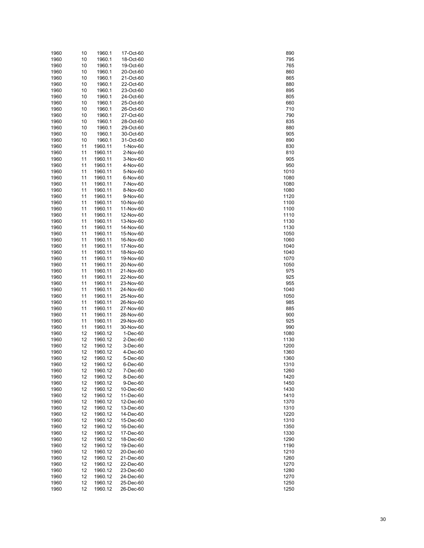| 1960         | 10       | 1960.1             | 17-Oct-60              | 890          |
|--------------|----------|--------------------|------------------------|--------------|
| 1960         | 10       | 1960.1             | 18-Oct-60              | 795          |
| 1960         | 10       | 1960.1             | 19-Oct-60              | 765          |
| 1960         | 10       | 1960.1             | 20-Oct-60              | 860          |
| 1960         | 10       | 1960.1             | 21-Oct-60              | 865          |
| 1960         | 10       | 1960.1             | 22-Oct-60              | 880          |
| 1960         | 10       | 1960.1             | 23-Oct-60              | 895          |
| 1960<br>1960 | 10<br>10 | 1960.1<br>1960.1   | 24-Oct-60<br>25-Oct-60 | 805<br>660   |
| 1960         | 10       | 1960.1             | 26-Oct-60              | 710          |
| 1960         | 10       | 1960.1             | 27-Oct-60              | 790          |
| 1960         | 10       | 1960.1             | 28-Oct-60              | 835          |
| 1960         | 10       | 1960.1             | 29-Oct-60              | 880          |
| 1960         | 10       | 1960.1             | 30-Oct-60              | 905          |
| 1960         | 10       | 1960.1             | 31-Oct-60              | 890          |
| 1960         | 11       | 1960.11            | 1-Nov-60               | 830          |
| 1960         | 11       | 1960.11            | 2-Nov-60               | 810          |
| 1960         | 11       | 1960.11            | 3-Nov-60               | 905          |
| 1960         | 11       | 1960.11            | 4-Nov-60               | 950          |
| 1960         | 11       | 1960.11            | 5-Nov-60               | 1010         |
| 1960         | 11       | 1960.11            | 6-Nov-60               | 1080         |
| 1960         | 11       | 1960.11            | 7-Nov-60               | 1080         |
| 1960         | 11       | 1960.11            | 8-Nov-60               | 1080         |
| 1960         | 11       | 1960.11            | 9-Nov-60               | 1120         |
| 1960<br>1960 | 11<br>11 | 1960.11<br>1960.11 | 10-Nov-60              | 1100<br>1100 |
| 1960         | 11       | 1960.11            | 11-Nov-60<br>12-Nov-60 | 1110         |
| 1960         | 11       | 1960.11            | 13-Nov-60              | 1130         |
| 1960         | 11       | 1960.11            | 14-Nov-60              | 1130         |
| 1960         | 11       | 1960.11            | 15-Nov-60              | 1050         |
| 1960         | 11       | 1960.11            | 16-Nov-60              | 1060         |
| 1960         | 11       | 1960.11            | 17-Nov-60              | 1040         |
| 1960         | 11       | 1960.11            | 18-Nov-60              | 1040         |
| 1960         | 11       | 1960.11            | 19-Nov-60              | 1070         |
| 1960         | 11       | 1960.11            | 20-Nov-60              | 1050         |
| 1960         | 11       | 1960.11            | 21-Nov-60              | 975          |
| 1960         | 11       | 1960.11            | 22-Nov-60              | 925          |
| 1960         | 11       | 1960.11            | 23-Nov-60              | 955          |
| 1960         | 11       | 1960.11            | 24-Nov-60              | 1040         |
| 1960<br>1960 | 11<br>11 | 1960.11<br>1960.11 | 25-Nov-60<br>26-Nov-60 | 1050<br>985  |
| 1960         | 11       | 1960.11            | 27-Nov-60              | 885          |
| 1960         | 11       | 1960.11            | 28-Nov-60              | 900          |
| 1960         | 11       | 1960.11            | 29-Nov-60              | 925          |
| 1960         | 11       | 1960.11            | 30-Nov-60              | 990          |
| 1960         | 12       | 1960.12            | 1-Dec-60               | 1080         |
| 1960         | 12       | 1960.12            | 2-Dec-60               | 1130         |
| 1960         | 12       | 1960.12            | 3-Dec-60               | 1200         |
| 1960         | 12       | 1960.12            | 4-Dec-60               | 1360         |
| 1960         | 12       | 1960.12            | 5-Dec-60               | 1360         |
| 1960         | 12       | 1960.12            | 6-Dec-60               | 1310         |
| 1960         | 12       | 1960.12            | 7-Dec-60               | 1260         |
| 1960         | 12       | 1960.12            | 8-Dec-60               | 1420         |
| 1960         | 12       | 1960.12            | 9-Dec-60               | 1450         |
| 1960<br>1960 | 12<br>12 | 1960.12<br>1960.12 | 10-Dec-60<br>11-Dec-60 | 1430<br>1410 |
| 1960         | 12       | 1960.12            | 12-Dec-60              | 1370         |
| 1960         | 12       | 1960.12            | 13-Dec-60              | 1310         |
| 1960         | 12       | 1960.12            | 14-Dec-60              | 1220         |
| 1960         | 12       | 1960.12            | 15-Dec-60              | 1310         |
| 1960         | 12       | 1960.12            | 16-Dec-60              | 1350         |
| 1960         | 12       | 1960.12            | 17-Dec-60              | 1330         |
| 1960         | 12       | 1960.12            | 18-Dec-60              | 1290         |
| 1960         | 12       | 1960.12            | 19-Dec-60              | 1190         |
| 1960         | 12       | 1960.12            | 20-Dec-60              | 1210         |
| 1960         | 12       | 1960.12            | 21-Dec-60              | 1260         |
| 1960         | 12       | 1960.12            | 22-Dec-60              | 1270         |
| 1960         | 12       | 1960.12            | 23-Dec-60              | 1280         |
| 1960         | 12       | 1960.12            | 24-Dec-60              | 1270         |
| 1960         | 12       | 1960.12            | 25-Dec-60              | 1250         |
| 1960         | 12       | 1960.12            | 26-Dec-60              | 1250         |

| 890                 |  |
|---------------------|--|
|                     |  |
| 795                 |  |
| 765                 |  |
| 860                 |  |
|                     |  |
| 865                 |  |
| 880                 |  |
|                     |  |
| 895                 |  |
| 805                 |  |
| 660                 |  |
|                     |  |
| 710                 |  |
| 790                 |  |
| 835                 |  |
|                     |  |
| 880                 |  |
| 905                 |  |
|                     |  |
| 890                 |  |
| 830                 |  |
| 810                 |  |
|                     |  |
| 905                 |  |
| 950                 |  |
|                     |  |
| 1010                |  |
| 1080                |  |
| 1080                |  |
|                     |  |
| 1080                |  |
| 1120                |  |
| 1100                |  |
|                     |  |
| 1100                |  |
| 1110                |  |
|                     |  |
| 1130                |  |
| 1130                |  |
|                     |  |
| 1050                |  |
| 1060                |  |
| 1040                |  |
|                     |  |
| 1040                |  |
| 1070                |  |
| 1050                |  |
|                     |  |
| 975                 |  |
| 925                 |  |
|                     |  |
| 955                 |  |
| 1040                |  |
| 1050                |  |
|                     |  |
| 985                 |  |
| 885                 |  |
|                     |  |
| 900                 |  |
| 925                 |  |
| 990                 |  |
|                     |  |
| 1080                |  |
| 1130                |  |
|                     |  |
| 200<br>1            |  |
| 360<br>1            |  |
| 360<br>1            |  |
|                     |  |
| 1310                |  |
| 1260                |  |
| 1420                |  |
|                     |  |
| 1450                |  |
| 1430                |  |
|                     |  |
| 1410                |  |
| 370<br>1            |  |
| 1310                |  |
|                     |  |
| 2<br>20<br>1        |  |
| 310<br>$\mathbf 1$  |  |
|                     |  |
| 350<br>1            |  |
| 330<br>1            |  |
| 1.<br>290           |  |
|                     |  |
| 1190                |  |
| 210<br>1.           |  |
| 1260                |  |
|                     |  |
| 1.<br>270           |  |
| $\mathbf{1}$<br>280 |  |
|                     |  |
| 1.<br>270           |  |
| 250<br>1.           |  |
| 1250                |  |
|                     |  |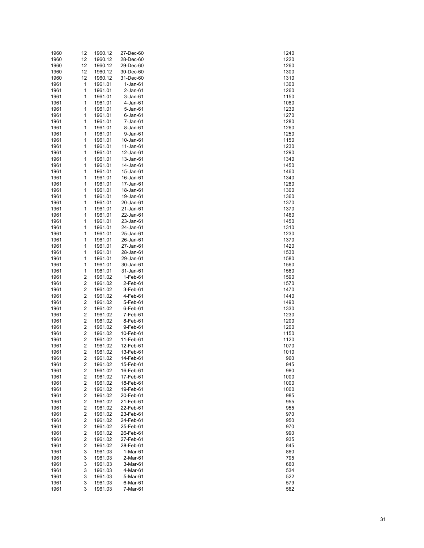| 1960 | 12                      | 1960.12 | 27-Dec-60      | 1240 |
|------|-------------------------|---------|----------------|------|
| 1960 | 12                      | 1960.12 | 28-Dec-60      | 1220 |
| 1960 | 12                      | 1960.12 | 29-Dec-60      | 1260 |
| 1960 | 12                      | 1960.12 | 30-Dec-60      | 1300 |
| 1960 | 12                      | 1960.12 | 31-Dec-60      | 1310 |
| 1961 | 1                       | 1961.01 | $1-Jan-61$     | 1300 |
| 1961 | 1                       | 1961.01 | $2$ -Jan-61    | 1260 |
|      |                         |         |                |      |
| 1961 | 1                       | 1961.01 | $3 - Jan-61$   | 1150 |
| 1961 | 1                       | 1961.01 | 4-Jan-61       | 1080 |
| 1961 | 1                       | 1961.01 | 5-Jan-61       | 1230 |
| 1961 | 1                       | 1961.01 | $6$ -Jan- $61$ | 1270 |
| 1961 | 1                       | 1961.01 | 7-Jan-61       | 1280 |
| 1961 | 1                       | 1961.01 | 8-Jan-61       | 1260 |
| 1961 | 1                       | 1961.01 | 9-Jan-61       | 1250 |
| 1961 | 1                       | 1961.01 | 10-Jan-61      | 1150 |
| 1961 | 1                       | 1961.01 | 11-Jan-61      | 1230 |
| 1961 | 1                       | 1961.01 | 12-Jan-61      | 1290 |
| 1961 | 1                       | 1961.01 | 13-Jan-61      | 1340 |
| 1961 | 1                       | 1961.01 | 14-Jan-61      | 1450 |
|      |                         |         |                |      |
| 1961 | 1                       | 1961.01 | 15-Jan-61      | 1460 |
| 1961 | 1                       | 1961.01 | 16-Jan-61      | 1340 |
| 1961 | 1                       | 1961.01 | 17-Jan-61      | 1280 |
| 1961 | 1                       | 1961.01 | 18-Jan-61      | 1300 |
| 1961 | 1                       | 1961.01 | 19-Jan-61      | 1360 |
| 1961 | 1                       | 1961.01 | 20-Jan-61      | 1370 |
| 1961 | 1                       | 1961.01 | 21-Jan-61      | 1370 |
| 1961 | 1                       | 1961.01 | 22-Jan-61      | 1460 |
| 1961 | 1                       | 1961.01 | 23-Jan-61      | 1450 |
| 1961 | 1                       | 1961.01 | 24-Jan-61      | 1310 |
| 1961 | 1                       | 1961.01 | 25-Jan-61      | 1230 |
| 1961 | 1                       | 1961.01 | 26-Jan-61      | 1370 |
| 1961 | 1                       | 1961.01 | 27-Jan-61      | 1420 |
|      |                         |         |                |      |
| 1961 | 1                       | 1961.01 | 28-Jan-61      | 1530 |
| 1961 | 1                       | 1961.01 | 29-Jan-61      | 1580 |
| 1961 | 1                       | 1961.01 | 30-Jan-61      | 1560 |
| 1961 | 1                       | 1961.01 | 31-Jan-61      | 1560 |
| 1961 | 2                       | 1961.02 | 1-Feb-61       | 1590 |
| 1961 | 2                       | 1961.02 | 2-Feb-61       | 1570 |
| 1961 | 2                       | 1961.02 | 3-Feb-61       | 1470 |
| 1961 | 2                       | 1961.02 | 4-Feb-61       | 1440 |
| 1961 | 2                       | 1961.02 | 5-Feb-61       | 1490 |
| 1961 | 2                       | 1961.02 | 6-Feb-61       | 1330 |
| 1961 | 2                       | 1961.02 | 7-Feb-61       | 1230 |
| 1961 | 2                       | 1961.02 | 8-Feb-61       | 1200 |
| 1961 | 2                       | 1961.02 | 9-Feb-61       | 1200 |
| 1961 | 2                       | 1961.02 | 10-Feb-61      | 1150 |
| 1961 | 2                       | 1961.02 |                | 1120 |
|      |                         |         | 11-Feb-61      |      |
| 1961 | 2                       | 1961.02 | 12-Feb-61      | 1070 |
| 1961 | $\overline{\mathbf{c}}$ | 1961.02 | 13-Feb-61      | 1010 |
| 1961 | 2                       | 1961.02 | 14-Feb-61      | 960  |
| 1961 | 2                       | 1961.02 | 15-Feb-61      | 945  |
| 1961 | 2                       | 1961.02 | 16-Feb-61      | 980  |
| 1961 | 2                       | 1961.02 | 17-Feb-61      | 1000 |
| 1961 | 2                       | 1961.02 | 18-Feb-61      | 1000 |
| 1961 | 2                       | 1961.02 | 19-Feb-61      | 1000 |
| 1961 | 2                       | 1961.02 | 20-Feb-61      | 985  |
| 1961 | 2                       | 1961.02 | 21-Feb-61      | 955  |
| 1961 | 2                       | 1961.02 | 22-Feb-61      | 955  |
| 1961 | 2                       | 1961.02 | 23-Feb-61      | 970  |
| 1961 | 2                       | 1961.02 | 24-Feb-61      | 950  |
| 1961 | 2                       | 1961.02 | 25-Feb-61      | 970  |
|      |                         | 1961.02 |                | 990  |
| 1961 | 2                       |         | 26-Feb-61      |      |
| 1961 | 2                       | 1961.02 | 27-Feb-61      | 935  |
| 1961 | 2                       | 1961.02 | 28-Feb-61      | 845  |
| 1961 | 3                       | 1961.03 | 1-Mar-61       | 860  |
| 1961 | 3                       | 1961.03 | 2-Mar-61       | 795  |
| 1961 | 3                       | 1961.03 | 3-Mar-61       | 660  |
| 1961 | 3                       | 1961.03 | 4-Mar-61       | 534  |
| 1961 | 3                       | 1961.03 | 5-Mar-61       | 522  |
| 1961 | 3                       | 1961.03 | 6-Mar-61       | 579  |
| 1961 | 3                       | 1961.03 | 7-Mar-61       | 562  |
|      |                         |         |                |      |

| 1240                 |
|----------------------|
| 1220                 |
| 1260                 |
| 1300                 |
| 1310                 |
| 1300                 |
| 1<br>260             |
| 1150                 |
| 1080                 |
| 1230                 |
| 1270                 |
| 1280                 |
| 1260                 |
| 1250                 |
| 1150<br>1230         |
| 1290                 |
| 1340                 |
| 1450                 |
| 1460                 |
| 1340                 |
| 1280                 |
| 1300                 |
| 1360                 |
| 1370                 |
| 1370                 |
| 1460                 |
| 1450                 |
| 1310                 |
| 1230                 |
| 1370                 |
| 1420                 |
| 1530                 |
| 1580                 |
| 1560                 |
| 1560                 |
| 1590                 |
| 1570                 |
| 1470                 |
| 1440                 |
| 1490                 |
| 1330                 |
| 1230                 |
| 1200                 |
| 1200                 |
| 1150                 |
| 1120                 |
| 1070                 |
| 1010                 |
| 960                  |
| ς<br>945             |
| 980                  |
| 1000<br>)            |
| 00<br>າ<br>10        |
| 000                  |
| 85<br>ć              |
| 955                  |
| 955                  |
| ć<br>970             |
| <b>150</b><br>ć<br>) |
| ć<br>97(<br>)        |
| 990                  |
| 35<br>ς              |
| 845                  |
| 860                  |
| 795                  |
| 660                  |
| 534                  |
| 522                  |
| 579<br>J             |
| 562                  |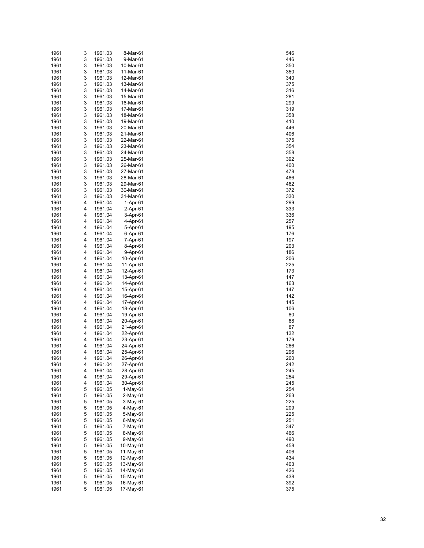| 1961 | 3 | 1961.03 | 8-Mar-61   | 546 |
|------|---|---------|------------|-----|
| 1961 | 3 | 1961.03 | 9-Mar-61   | 446 |
| 1961 | 3 | 1961.03 | 10-Mar-61  | 350 |
| 1961 | 3 | 1961.03 | 11-Mar-61  | 350 |
| 1961 | 3 | 1961.03 | 12-Mar-61  | 340 |
| 1961 | 3 | 1961.03 | 13-Mar-61  | 375 |
|      | 3 |         |            |     |
| 1961 |   | 1961.03 | 14-Mar-61  | 316 |
| 1961 | 3 | 1961.03 | 15-Mar-61  | 281 |
| 1961 | 3 | 1961.03 | 16-Mar-61  | 299 |
| 1961 | 3 | 1961.03 | 17-Mar-61  | 319 |
| 1961 | 3 | 1961.03 | 18-Mar-61  | 358 |
| 1961 | 3 | 1961.03 | 19-Mar-61  | 410 |
| 1961 | 3 | 1961.03 | 20-Mar-61  | 446 |
| 1961 | 3 | 1961.03 | 21-Mar-61  | 406 |
| 1961 | 3 | 1961.03 | 22-Mar-61  | 375 |
| 1961 | 3 | 1961.03 | 23-Mar-61  | 354 |
| 1961 | 3 | 1961.03 | 24-Mar-61  | 358 |
| 1961 | 3 | 1961.03 | 25-Mar-61  | 392 |
| 1961 | 3 | 1961.03 | 26-Mar-61  | 400 |
| 1961 | 3 | 1961.03 | 27-Mar-61  | 478 |
|      |   |         |            |     |
| 1961 | 3 | 1961.03 | 28-Mar-61  | 486 |
| 1961 | 3 | 1961.03 | 29-Mar-61  | 462 |
| 1961 | 3 | 1961.03 | 30-Mar-61  | 372 |
| 1961 | 3 | 1961.03 | 31-Mar-61  | 330 |
| 1961 | 4 | 1961.04 | $1-Apr-61$ | 299 |
| 1961 | 4 | 1961.04 | 2-Apr-61   | 333 |
| 1961 | 4 | 1961.04 | 3-Apr-61   | 336 |
| 1961 | 4 | 1961.04 | 4-Apr-61   | 257 |
| 1961 | 4 | 1961.04 | 5-Apr-61   | 195 |
| 1961 | 4 | 1961.04 | 6-Apr-61   | 176 |
| 1961 | 4 | 1961.04 | 7-Apr-61   | 197 |
| 1961 | 4 | 1961.04 | 8-Apr-61   | 203 |
| 1961 | 4 | 1961.04 | 9-Apr-61   | 186 |
| 1961 | 4 | 1961.04 | 10-Apr-61  | 206 |
| 1961 | 4 | 1961.04 |            | 225 |
|      |   |         | 11-Apr-61  |     |
| 1961 | 4 | 1961.04 | 12-Apr-61  | 173 |
| 1961 | 4 | 1961.04 | 13-Apr-61  | 147 |
| 1961 | 4 | 1961.04 | 14-Apr-61  | 163 |
| 1961 | 4 | 1961.04 | 15-Apr-61  | 147 |
| 1961 | 4 | 1961.04 | 16-Apr-61  | 142 |
| 1961 | 4 | 1961.04 | 17-Apr-61  | 145 |
| 1961 | 4 | 1961.04 | 18-Apr-61  | 106 |
| 1961 | 4 | 1961.04 | 19-Apr-61  | 80  |
| 1961 | 4 | 1961.04 | 20-Apr-61  | 68  |
| 1961 | 4 | 1961.04 | 21-Apr-61  | 87  |
| 1961 | 4 | 1961.04 | 22-Apr-61  | 132 |
| 1961 | 4 | 1961.04 | 23-Apr-61  | 179 |
| 1961 | 4 | 1961.04 | 24-Apr-61  | 266 |
| 1961 | 4 | 1961.04 | 25-Apr-61  | 296 |
| 1961 | 4 | 1961.04 | 26-Apr-61  | 260 |
| 1961 | 4 | 1961.04 | 27-Apr-61  | 242 |
|      | 4 |         |            | 245 |
| 1961 |   | 1961.04 | 28-Apr-61  |     |
| 1961 | 4 | 1961.04 | 29-Apr-61  | 254 |
| 1961 | 4 | 1961.04 | 30-Apr-61  | 245 |
| 1961 | 5 | 1961.05 | $1-May-61$ | 254 |
| 1961 | 5 | 1961.05 | 2-May-61   | 263 |
| 1961 | 5 | 1961.05 | 3-May-61   | 225 |
| 1961 | 5 | 1961.05 | 4-May-61   | 209 |
| 1961 | 5 | 1961.05 | 5-May-61   | 225 |
| 1961 | 5 | 1961.05 | 6-May-61   | 251 |
| 1961 | 5 | 1961.05 | 7-May-61   | 347 |
| 1961 | 5 | 1961.05 | 8-May-61   | 466 |
| 1961 | 5 | 1961.05 | 9-May-61   | 490 |
| 1961 | 5 | 1961.05 | 10-May-61  | 458 |
| 1961 | 5 | 1961.05 | 11-May-61  | 406 |
| 1961 | 5 | 1961.05 | 12-May-61  | 434 |
|      | 5 |         |            |     |
| 1961 |   | 1961.05 | 13-May-61  | 403 |
| 1961 | 5 | 1961.05 | 14-May-61  | 426 |
| 1961 | 5 | 1961.05 | 15-May-61  | 438 |
| 1961 | 5 | 1961.05 | 16-May-61  | 392 |
| 1961 | 5 | 1961.05 | 17-May-61  | 375 |

| 546        |  |
|------------|--|
| 446        |  |
| 350        |  |
| 350        |  |
| 340        |  |
| 375        |  |
| 316        |  |
| 281        |  |
| 299        |  |
| 319        |  |
| 358        |  |
| 410        |  |
| 446        |  |
| 406        |  |
| 375        |  |
| 354        |  |
| 358        |  |
| 392        |  |
| 400        |  |
| 478        |  |
| 486        |  |
| 462        |  |
| 372        |  |
| 330        |  |
| 299        |  |
| 333        |  |
| 336        |  |
| 257        |  |
| 195        |  |
| 176        |  |
| 197        |  |
| 203        |  |
| 186        |  |
| 206        |  |
| 225        |  |
| 173<br>147 |  |
| 163        |  |
| 147        |  |
| 142        |  |
| 145        |  |
| 106        |  |
| 80         |  |
| 68         |  |
| 87         |  |
| 132        |  |
| 179        |  |
| 266        |  |
| 296        |  |
| 260        |  |
| 242        |  |
| 245        |  |
| 254        |  |
| 245        |  |
| 254        |  |
| 263        |  |
| 25         |  |
| 209        |  |
| 225        |  |
| 251        |  |
| 347        |  |
| 466        |  |
| 490        |  |
| 458        |  |
| 406        |  |
| 434        |  |
| 403        |  |
| 426        |  |
| 438        |  |
| 392        |  |
| 375        |  |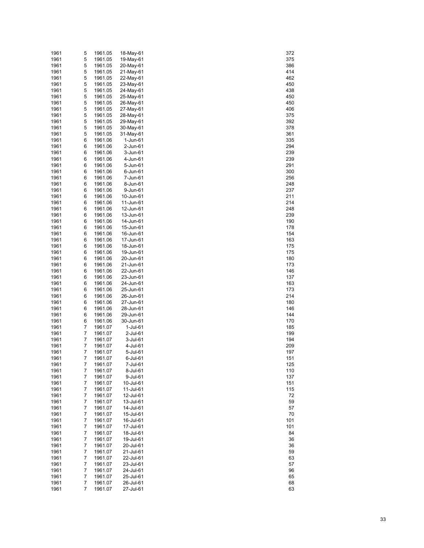| 1961         | 5      | 1961.05            | 18-May-61              | 372        |
|--------------|--------|--------------------|------------------------|------------|
| 1961         | 5      | 1961.05            | 19-May-61              | 375        |
| 1961         | 5      | 1961.05            | 20-May-61              | 386        |
| 1961         | 5      | 1961.05            | 21-May-61              | 414        |
| 1961         | 5      | 1961.05            | 22-May-61              | 462        |
| 1961         | 5      | 1961.05            | 23-May-61              | 450        |
| 1961         | 5      | 1961.05            | 24-May-61              | 438        |
| 1961         | 5      | 1961.05            | 25-May-61              | 450        |
| 1961         | 5<br>5 | 1961.05            | 26-May-61              | 450        |
| 1961<br>1961 | 5      | 1961.05<br>1961.05 | 27-May-61<br>28-May-61 | 406<br>375 |
| 1961         | 5      | 1961.05            | 29-May-61              | 392        |
| 1961         | 5      | 1961.05            | 30-May-61              | 378        |
| 1961         | 5      | 1961.05            | 31-May-61              | 361        |
| 1961         | 6      | 1961.06            | 1-Jun-61               | 335        |
| 1961         | 6      | 1961.06            | 2-Jun-61               | 294        |
| 1961         | 6      | 1961.06            | 3-Jun-61               | 239        |
| 1961         | 6      | 1961.06            | 4-Jun-61               | 239        |
| 1961         | 6      | 1961.06            | 5-Jun-61               | 291        |
| 1961         | 6      | 1961.06            | 6-Jun-61               | 300        |
| 1961         | 6      | 1961.06            | 7-Jun-61               | 256        |
| 1961         | 6      | 1961.06            | 8-Jun-61               | 248        |
| 1961         | 6      | 1961.06            | 9-Jun-61               | 237        |
| 1961         | 6      | 1961.06            | 10-Jun-61              | 211        |
| 1961         | 6      | 1961.06            | 11-Jun-61              | 214        |
| 1961<br>1961 | 6      | 1961.06            | 12-Jun-61              | 248        |
| 1961         | 6<br>6 | 1961.06<br>1961.06 | 13-Jun-61<br>14-Jun-61 | 239<br>190 |
| 1961         | 6      | 1961.06            | 15-Jun-61              | 178        |
| 1961         | 6      | 1961.06            | 16-Jun-61              | 154        |
| 1961         | 6      | 1961.06            | 17-Jun-61              | 163        |
| 1961         | 6      | 1961.06            | 18-Jun-61              | 175        |
| 1961         | 6      | 1961.06            | 19-Jun-61              | 175        |
| 1961         | 6      | 1961.06            | 20-Jun-61              | 180        |
| 1961         | 6      | 1961.06            | 21-Jun-61              | 173        |
| 1961         | 6      | 1961.06            | 22-Jun-61              | 146        |
| 1961         | 6      | 1961.06            | 23-Jun-61              | 137        |
| 1961         | 6      | 1961.06            | 24-Jun-61              | 163        |
| 1961         | 6      | 1961.06            | 25-Jun-61              | 173        |
| 1961         | 6      | 1961.06            | 26-Jun-61              | 214        |
| 1961         | 6      | 1961.06            | 27-Jun-61              | 180        |
| 1961<br>1961 | 6<br>6 | 1961.06<br>1961.06 | 28-Jun-61<br>29-Jun-61 | 146<br>144 |
| 1961         | 6      | 1961.06            | 30-Jun-61              | 170        |
| 1961         | 7      | 1961.07            | 1-Jul-61               | 185        |
| 1961         | 7      | 1961.07            | 2-Jul-61               | 199        |
| 1961         | 7      | 1961.07            | 3-Jul-61               | 194        |
| 1961         | 7      | 1961.07            | 4-Jul-61               | 209        |
| 1961         | 7      | 1961.07            | 5-Jul-61               | 197        |
| 1961         | 7      | 1961.07            | 6-Jul-61               | 151        |
| 1961         | 7      | 1961.07            | 7-Jul-61               | 125        |
| 1961         | 7      | 1961.07            | 8-Jul-61               | 110        |
| 1961         | 7      | 1961.07            | 9-Jul-61               | 137        |
| 1961         | 7      | 1961.07            | 10-Jul-61              | 151        |
| 1961         | 7      | 1961.07            | 11-Jul-61              | 115        |
| 1961         | 7      | 1961.07            | 12-Jul-61              | 72         |
| 1961<br>1961 | 7<br>7 | 1961.07<br>1961.07 | 13-Jul-61<br>14-Jul-61 | 59<br>57   |
| 1961         | 7      | 1961.07            | 15-Jul-61              | 70         |
| 1961         | 7      | 1961.07            | 16-Jul-61              | 101        |
| 1961         | 7      | 1961.07            | 17-Jul-61              | 101        |
| 1961         | 7      | 1961.07            | 18-Jul-61              | 84         |
| 1961         | 7      | 1961.07            | 19-Jul-61              | 36         |
| 1961         | 7      | 1961.07            | 20-Jul-61              | 36         |
| 1961         | 7      | 1961.07            | 21-Jul-61              | 59         |
| 1961         | 7      | 1961.07            | 22-Jul-61              | 63         |
| 1961         | 7      | 1961.07            | 23-Jul-61              | 57         |
| 1961         | 7      | 1961.07            | 24-Jul-61              | 96         |
| 1961         | 7      | 1961.07            | 25-Jul-61              | 65         |
| 1961         | 7      | 1961.07            | 26-Jul-61              | 68         |
| 1961         | 7      | 1961.07            | 27-Jul-61              | 63         |

| 37:<br>2           |  |
|--------------------|--|
|                    |  |
| 375                |  |
| 386                |  |
| 414                |  |
| 46.                |  |
| 450                |  |
| 438                |  |
|                    |  |
| 450                |  |
| 450                |  |
| 406                |  |
| 375                |  |
|                    |  |
| 392                |  |
| 378                |  |
| 861                |  |
| 335                |  |
| 294                |  |
|                    |  |
| 39<br>$\mathbf{z}$ |  |
| 239                |  |
| 291                |  |
| 300                |  |
| 256                |  |
|                    |  |
| 248                |  |
| 237                |  |
| 211                |  |
| 214                |  |
| 248                |  |
|                    |  |
| 239                |  |
| 190                |  |
| 178                |  |
| 154                |  |
| 163                |  |
|                    |  |
| 175                |  |
| 175                |  |
| 180                |  |
| 173                |  |
| 146                |  |
|                    |  |
| 137                |  |
| 163                |  |
| 173                |  |
| 214                |  |
| 180                |  |
|                    |  |
| 146                |  |
| 144                |  |
| 170                |  |
| 185                |  |
| 199                |  |
|                    |  |
| 194                |  |
| 209                |  |
| 197                |  |
| 15<br>1            |  |
| 125                |  |
|                    |  |
| 110                |  |
| 137                |  |
| 151                |  |
| 115                |  |
| 72                 |  |
|                    |  |
| 59                 |  |
| 57                 |  |
| 70                 |  |
| 101                |  |
| 101                |  |
|                    |  |
| 84                 |  |
| 36                 |  |
| 36                 |  |
| 59                 |  |
| 63                 |  |
|                    |  |
| 57                 |  |
| 96                 |  |
| 65                 |  |
| 68                 |  |
| 63                 |  |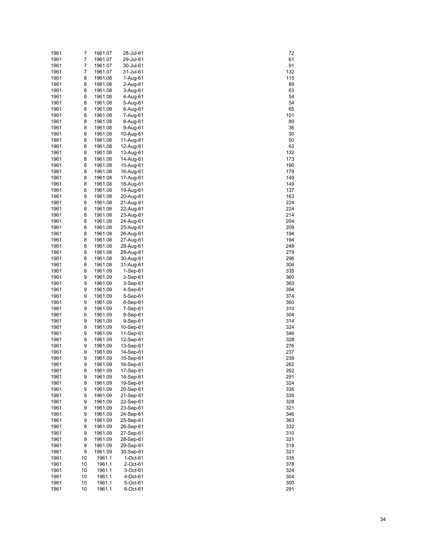| 1961 | 7  | 1961.07 | 28-Jul-61  | 72  |
|------|----|---------|------------|-----|
| 1961 | 7  | 1961.07 | 29-Jul-61  | 61  |
| 1961 | 7  | 1961.07 | 30-Jul-61  | 91  |
| 1961 | 7  | 1961.07 | 31-Jul-61  | 132 |
| 1961 | 8  | 1961.08 | 1-Aug-61   | 115 |
| 1961 | 8  | 1961.08 | 2-Aug-61   | 89  |
| 1961 | 8  | 1961.08 | 3-Aug-61   | 63  |
| 1961 | 8  | 1961.08 | 4-Aug-61   | 54  |
| 1961 | 8  | 1961.08 | 5-Aug-61   | 54  |
| 1961 | 8  | 1961.08 | 6-Aug-61   | 65  |
| 1961 | 8  | 1961.08 | 7-Aug-61   | 101 |
| 1961 | 8  | 1961.08 | 8-Aug-61   | 89  |
| 1961 | 8  | 1961.08 | 9-Aug-61   | 36  |
| 1961 | 8  | 1961.08 | 10-Aug-61  | 30  |
| 1961 | 8  | 1961.08 | 11-Aug-61  | 50  |
| 1961 | 8  | 1961.08 | 12-Aug-61  | 63  |
| 1961 | 8  | 1961.08 | 13-Aug-61  | 132 |
| 1961 | 8  | 1961.08 | 14-Aug-61  | 173 |
| 1961 | 8  | 1961.08 | 15-Aug-61  | 190 |
| 1961 | 8  | 1961.08 | 16-Aug-61  | 178 |
| 1961 | 8  | 1961.08 | 17-Aug-61  | 149 |
| 1961 | 8  | 1961.08 | 18-Aug-61  | 149 |
|      | 8  |         |            |     |
| 1961 |    | 1961.08 | 19-Aug-61  | 137 |
| 1961 | 8  | 1961.08 | 20-Aug-61  | 163 |
| 1961 | 8  | 1961.08 | 21-Aug-61  | 224 |
| 1961 | 8  | 1961.08 | 22-Aug-61  | 224 |
| 1961 | 8  | 1961.08 | 23-Aug-61  | 214 |
| 1961 | 8  | 1961.08 | 24-Aug-61  | 204 |
| 1961 | 8  | 1961.08 | 25-Aug-61  | 209 |
| 1961 | 8  | 1961.08 | 26-Aug-61  | 194 |
| 1961 | 8  | 1961.08 | 27-Aug-61  | 194 |
| 1961 | 8  | 1961.08 | 28-Aug-61  | 248 |
| 1961 | 8  | 1961.08 | 29-Aug-61  | 279 |
| 1961 | 8  | 1961.08 | 30-Aug-61  | 296 |
| 1961 | 8  | 1961.08 | 31-Aug-61  | 304 |
| 1961 | 9  | 1961.09 | 1-Sep-61   | 335 |
| 1961 | 9  | 1961.09 | 2-Sep-61   | 360 |
| 1961 | 9  | 1961.09 | $3-Sep-61$ | 363 |
| 1961 | 9  | 1961.09 | 4-Sep-61   | 394 |
| 1961 | 9  | 1961.09 | 5-Sep-61   | 374 |
| 1961 | 9  | 1961.09 | 6-Sep-61   | 360 |
| 1961 | 9  | 1961.09 | 7-Sep-61   | 310 |
| 1961 | 9  | 1961.09 | 8-Sep-61   | 304 |
| 1961 | 9  | 1961.09 | 9-Sep-61   | 314 |
| 1961 | 9  | 1961.09 | 10-Sep-61  | 324 |
| 1961 | 9  | 1961.09 | 11-Sep-61  | 346 |
| 1961 | 9  | 1961.09 | 12-Sep-61  | 328 |
| 1961 | 9  | 1961.09 | 13-Sep-61  | 276 |
| 1961 | 9  | 1961.09 | 14-Sep-61  | 237 |
| 1961 | 9  | 1961.09 | 15-Sep-61  | 239 |
| 1961 | 9  | 1961.09 | 16-Sep-61  | 262 |
| 1961 | 9  | 1961.09 | 17-Sep-61  | 262 |
| 1961 | 9  | 1961.09 | 18-Sep-61  | 291 |
| 1961 | 9  | 1961.09 | 19-Sep-61  | 324 |
| 1961 | 9  | 1961.09 | 20-Sep-61  | 335 |
| 1961 | 9  | 1961.09 | 21-Sep-61  | 335 |
| 1961 | 9  | 1961.09 | 22-Sep-61  | 328 |
| 1961 | 9  | 1961.09 | 23-Sep-61  | 321 |
| 1961 | 9  | 1961.09 | 24-Sep-61  | 346 |
| 1961 | 9  | 1961.09 | 25-Sep-61  | 363 |
| 1961 | 9  | 1961.09 | 26-Sep-61  | 332 |
| 1961 | 9  | 1961.09 | 27-Sep-61  | 310 |
| 1961 | 9  | 1961.09 | 28-Sep-61  | 321 |
| 1961 | 9  | 1961.09 | 29-Sep-61  | 318 |
| 1961 | 9  | 1961.09 | 30-Sep-61  | 321 |
| 1961 | 10 | 1961.1  | 1-Oct-61   | 335 |
| 1961 | 10 | 1961.1  | 2-Oct-61   | 378 |
| 1961 | 10 | 1961.1  | 3-Oct-61   | 324 |
| 1961 | 10 | 1961.1  | 4-Oct-61   | 304 |
| 1961 | 10 | 1961.1  | 5-Oct-61   | 300 |
| 1961 | 10 | 1961.1  | 6-Oct-61   | 291 |
|      |    |         |            |     |

| $\overline{r}$                  |  |
|---------------------------------|--|
| 61                              |  |
|                                 |  |
| 91                              |  |
| 132                             |  |
| 115                             |  |
| 89                              |  |
| 63                              |  |
| 54                              |  |
|                                 |  |
| 54                              |  |
| 65                              |  |
| 101                             |  |
| 89                              |  |
| 36                              |  |
| აა<br>30                        |  |
|                                 |  |
| 50                              |  |
| 63<br>132<br>173                |  |
|                                 |  |
|                                 |  |
|                                 |  |
| 190                             |  |
|                                 |  |
| 178<br>149                      |  |
| 149                             |  |
| 137                             |  |
|                                 |  |
| 163                             |  |
| $\frac{188}{224}$               |  |
| -<br>224                        |  |
| $\frac{2}{214}$                 |  |
|                                 |  |
| 204<br>209                      |  |
|                                 |  |
| 194                             |  |
|                                 |  |
|                                 |  |
| 194<br>194<br>248<br>279        |  |
|                                 |  |
| 296                             |  |
| 304                             |  |
| 335                             |  |
| 360                             |  |
|                                 |  |
| 363                             |  |
| ---<br>394                      |  |
| 374                             |  |
| 360                             |  |
| 310                             |  |
|                                 |  |
| 304                             |  |
| 314<br>324                      |  |
|                                 |  |
|                                 |  |
|                                 |  |
|                                 |  |
|                                 |  |
|                                 |  |
| 346<br>328<br>276<br>237<br>239 |  |
| 26:                             |  |
| 262                             |  |
| 291                             |  |
|                                 |  |
| 324                             |  |
| 35<br>š                         |  |
| 335                             |  |
| $\frac{28}{2}$                  |  |
| 321                             |  |
|                                 |  |
| 346                             |  |
| 363                             |  |
| 332                             |  |
|                                 |  |
| 310<br>321                      |  |
|                                 |  |
| 318                             |  |
| -<br>321                        |  |
|                                 |  |
| 335<br>378                      |  |
|                                 |  |
|                                 |  |
| 324                             |  |
| 304                             |  |
| 300<br>291                      |  |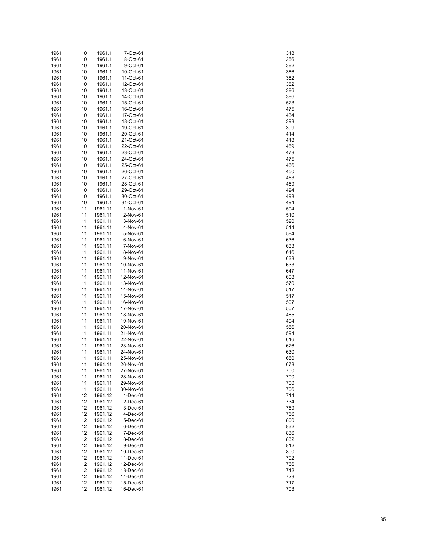| 1961         | 10       | 1961.1             | 7-Oct-61               | 318        |
|--------------|----------|--------------------|------------------------|------------|
| 1961         | 10       | 1961.1             | 8-Oct-61               | 356        |
| 1961         | 10       | 1961.1             | 9-Oct-61               | 382        |
| 1961         | 10       | 1961.1             | 10-Oct-61              | 386        |
| 1961         | 10       | 1961.1             | 11-Oct-61              | 382        |
| 1961         | 10       | 1961.1             | 12-Oct-61              | 382        |
| 1961         | 10       | 1961.1             | 13-Oct-61              | 386        |
| 1961         | 10       | 1961.1             | 14-Oct-61              | 386        |
| 1961         | 10       | 1961.1             | 15-Oct-61              | 523        |
| 1961         | 10       | 1961.1             | 16-Oct-61              | 475        |
| 1961<br>1961 | 10       | 1961.1<br>1961.1   | 17-Oct-61              | 434<br>393 |
| 1961         | 10<br>10 | 1961.1             | 18-Oct-61<br>19-Oct-61 | 399        |
| 1961         | 10       | 1961.1             | 20-Oct-61              | 414        |
| 1961         | 10       | 1961.1             | 21-Oct-61              | 418        |
| 1961         | 10       | 1961.1             | 22-Oct-61              | 459        |
| 1961         | 10       | 1961.1             | 23-Oct-61              | 478        |
| 1961         | 10       | 1961.1             | 24-Oct-61              | 475        |
| 1961         | 10       | 1961.1             | 25-Oct-61              | 466        |
| 1961         | 10       | 1961.1             | 26-Oct-61              | 450        |
| 1961         | 10       | 1961.1             | 27-Oct-61              | 453        |
| 1961         | 10       | 1961.1             | 28-Oct-61              | 469        |
| 1961         | 10       | 1961.1             | 29-Oct-61              | 494        |
| 1961         | 10       | 1961.1             | 30-Oct-61              | 498        |
| 1961         | 10       | 1961.1             | 31-Oct-61              | 494        |
| 1961         | 11       | 1961.11            | 1-Nov-61               | 504        |
| 1961         | 11       | 1961.11            | 2-Nov-61               | 510        |
| 1961         | 11       | 1961.11            | 3-Nov-61               | 520        |
| 1961         | 11       | 1961.11            | 4-Nov-61               | 514        |
| 1961         | 11       | 1961.11            | 5-Nov-61               | 584        |
| 1961         | 11       | 1961.11            | 6-Nov-61               | 636        |
| 1961         | 11       | 1961.11            | 7-Nov-61               | 633        |
| 1961         | 11       | 1961.11            | 8-Nov-61               | 616        |
| 1961         | 11       | 1961.11            | 9-Nov-61               | 633        |
| 1961<br>1961 | 11<br>11 | 1961.11<br>1961.11 | 10-Nov-61<br>11-Nov-61 | 633<br>647 |
| 1961         | 11       | 1961.11            | 12-Nov-61              | 608        |
| 1961         | 11       | 1961.11            | 13-Nov-61              | 570        |
| 1961         | 11       | 1961.11            | 14-Nov-61              | 517        |
| 1961         | 11       | 1961.11            | 15-Nov-61              | 517        |
| 1961         | 11       | 1961.11            | 16-Nov-61              | 507        |
| 1961         | 11       | 1961.11            | 17-Nov-61              | 507        |
| 1961         | 11       | 1961.11            | 18-Nov-61              | 485        |
| 1961         | 11       | 1961.11            | 19-Nov-61              | 494        |
| 1961         | 11       | 1961.11            | 20-Nov-61              | 556        |
| 1961         | 11       | 1961.11            | 21-Nov-61              | 594        |
| 1961         | 11       | 1961.11            | 22-Nov-61              | 616        |
| 1961         | 11       | 1961.11            | 23-Nov-61              | 626        |
| 1961         | 11       | 1961.11            | 24-Nov-61              | 630        |
| 1961         | 11       | 1961.11            | 25-Nov-61              | 650        |
| 1961         | 11       | 1961.11            | 26-Nov-61              | 678        |
| 1961         | 11       | 1961.11            | 27-Nov-61              | 700        |
| 1961         | 11       | 1961.11            | 28-Nov-61              | 700        |
| 1961         | 11       | 1961.11            | 29-Nov-61              | 700        |
| 1961         | 11       | 1961.11            | 30-Nov-61              | 706        |
| 1961         | 12       | 1961.12            | 1-Dec-61               | 714        |
| 1961         | 12       | 1961.12            | 2-Dec-61               | 734        |
| 1961<br>1961 | 12<br>12 | 1961.12<br>1961.12 | 3-Dec-61<br>4-Dec-61   | 759<br>766 |
| 1961         | 12       | 1961.12            | 5-Dec-61               | 800        |
| 1961         | 12       | 1961.12            | 6-Dec-61               | 832        |
| 1961         | 12       | 1961.12            | 7-Dec-61               | 836        |
| 1961         | 12       | 1961.12            | 8-Dec-61               | 832        |
| 1961         | 12       | 1961.12            | 9-Dec-61               | 812        |
| 1961         | 12       | 1961.12            | 10-Dec-61              | 800        |
| 1961         | 12       | 1961.12            | 11-Dec-61              | 792        |
| 1961         | 12       | 1961.12            | 12-Dec-61              | 766        |
| 1961         | 12       | 1961.12            | 13-Dec-61              | 742        |
| 1961         | 12       | 1961.12            | 14-Dec-61              | 728        |
| 1961         | 12       | 1961.12            | 15-Dec-61              | 717        |
| 1961         | 12       | 1961.12            | 16-Dec-61              | 703        |

| 318<br>356                        |  |
|-----------------------------------|--|
|                                   |  |
|                                   |  |
|                                   |  |
| 82                                |  |
| 886                               |  |
| 88                                |  |
|                                   |  |
| 88                                |  |
| 886                               |  |
| 386                               |  |
|                                   |  |
| 5<br>3                            |  |
| $5^{\circ}$<br>4                  |  |
|                                   |  |
| 434                               |  |
| 393                               |  |
|                                   |  |
| 399                               |  |
| 414                               |  |
| 418                               |  |
|                                   |  |
| 459                               |  |
| 478                               |  |
|                                   |  |
| 4<br>75                           |  |
| 466                               |  |
| 450                               |  |
|                                   |  |
| 453                               |  |
| 469                               |  |
|                                   |  |
| 494                               |  |
| 498                               |  |
| 494                               |  |
|                                   |  |
| 504                               |  |
| 510                               |  |
|                                   |  |
| 5<br>20                           |  |
| 514                               |  |
| 584                               |  |
|                                   |  |
| 6<br>36                           |  |
| 6:<br>33                          |  |
|                                   |  |
| 616                               |  |
| 6<br>$\overline{\mathbf{3}}$<br>3 |  |
|                                   |  |
| 633                               |  |
| 647                               |  |
| 608                               |  |
|                                   |  |
|                                   |  |
| 570                               |  |
|                                   |  |
| 517                               |  |
| 517                               |  |
|                                   |  |
| 507                               |  |
| 507                               |  |
|                                   |  |
| 485                               |  |
| 494                               |  |
| 556                               |  |
|                                   |  |
| 594                               |  |
| 616                               |  |
| 26<br>6                           |  |
|                                   |  |
| 630                               |  |
| i<br>S<br>ŀ<br>ŀ                  |  |
|                                   |  |
| 678                               |  |
| 700                               |  |
| 700                               |  |
|                                   |  |
| 700                               |  |
| 706                               |  |
|                                   |  |
| 714                               |  |
| 734                               |  |
| 759                               |  |
|                                   |  |
| 766                               |  |
| 800                               |  |
| 8<br>32                           |  |
|                                   |  |
| .<br>836                          |  |
| 2                                 |  |
|                                   |  |
| 83;<br>81;<br>$\overline{c}$      |  |
| 800                               |  |
| 792                               |  |
|                                   |  |
| 766                               |  |
| 742                               |  |
| $\overline{I}$<br>28              |  |
|                                   |  |
| , ∠o<br>717<br>703                |  |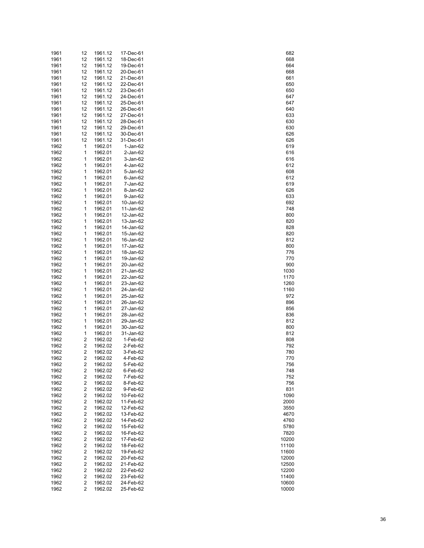| 1961 | 12 | 1961.12 | 17-Dec-61  | 682   |
|------|----|---------|------------|-------|
| 1961 | 12 | 1961.12 | 18-Dec-61  | 668   |
| 1961 | 12 | 1961.12 | 19-Dec-61  | 664   |
| 1961 | 12 | 1961.12 | 20-Dec-61  | 668   |
| 1961 | 12 | 1961.12 | 21-Dec-61  | 661   |
|      |    |         |            | 650   |
| 1961 | 12 | 1961.12 | 22-Dec-61  |       |
| 1961 | 12 | 1961.12 | 23-Dec-61  | 650   |
| 1961 | 12 | 1961.12 | 24-Dec-61  | 647   |
| 1961 | 12 | 1961.12 | 25-Dec-61  | 647   |
| 1961 | 12 | 1961.12 | 26-Dec-61  | 640   |
| 1961 | 12 | 1961.12 | 27-Dec-61  | 633   |
| 1961 | 12 | 1961.12 | 28-Dec-61  | 630   |
| 1961 | 12 | 1961.12 | 29-Dec-61  | 630   |
| 1961 | 12 | 1961.12 | 30-Dec-61  | 626   |
| 1961 | 12 | 1961.12 | 31-Dec-61  | 626   |
| 1962 | 1  | 1962.01 | $1-Jan-62$ | 619   |
| 1962 | 1  | 1962.01 | 2-Jan-62   | 616   |
|      |    |         |            |       |
| 1962 | 1  | 1962.01 | 3-Jan-62   | 616   |
| 1962 | 1  | 1962.01 | 4-Jan-62   | 612   |
| 1962 | 1  | 1962.01 | 5-Jan-62   | 608   |
| 1962 | 1  | 1962.01 | 6-Jan-62   | 612   |
| 1962 | 1  | 1962.01 | 7-Jan-62   | 619   |
| 1962 | 1  | 1962.01 | 8-Jan-62   | 626   |
| 1962 | 1  | 1962.01 | 9-Jan-62   | 633   |
| 1962 | 1  | 1962.01 | 10-Jan-62  | 692   |
| 1962 | 1  | 1962.01 | 11-Jan-62  | 748   |
| 1962 | 1  | 1962.01 | 12-Jan-62  | 800   |
| 1962 | 1  | 1962.01 | 13-Jan-62  | 820   |
| 1962 | 1  | 1962.01 | 14-Jan-62  | 828   |
|      |    |         |            |       |
| 1962 | 1  | 1962.01 | 15-Jan-62  | 820   |
| 1962 | 1  | 1962.01 | 16-Jan-62  | 812   |
| 1962 | 1  | 1962.01 | 17-Jan-62  | 800   |
| 1962 | 1  | 1962.01 | 18-Jan-62  | 776   |
| 1962 | 1  | 1962.01 | 19-Jan-62  | 770   |
| 1962 | 1  | 1962.01 | 20-Jan-62  | 900   |
| 1962 | 1  | 1962.01 | 21-Jan-62  | 1030  |
| 1962 | 1  | 1962.01 | 22-Jan-62  | 1170  |
| 1962 | 1  | 1962.01 | 23-Jan-62  | 1260  |
| 1962 | 1  | 1962.01 | 24-Jan-62  | 1160  |
| 1962 | 1  | 1962.01 | 25-Jan-62  | 972   |
| 1962 | 1  | 1962.01 | 26-Jan-62  | 896   |
|      |    |         |            |       |
| 1962 | 1  | 1962.01 | 27-Jan-62  | 856   |
| 1962 | 1  | 1962.01 | 28-Jan-62  | 836   |
| 1962 | 1  | 1962.01 | 29-Jan-62  | 812   |
| 1962 | 1  | 1962.01 | 30-Jan-62  | 800   |
| 1962 | 1  | 1962.01 | 31-Jan-62  | 812   |
| 1962 | 2  | 1962.02 | 1-Feb-62   | 808   |
| 1962 | 2  | 1962.02 | 2-Feb-62   | 792   |
| 1962 | 2  | 1962.02 | 3-Feb-62   | 780   |
| 1962 | 2  | 1962.02 | 4-Feb-62   | 770   |
| 1962 | 2  | 1962.02 | 5-Feb-62   | 756   |
| 1962 | 2  | 1962.02 | 6-Feb-62   | 748   |
| 1962 | 2  | 1962.02 | 7-Feb-62   | 752   |
| 1962 | 2  | 1962.02 | 8-Feb-62   | 756   |
|      |    |         |            |       |
| 1962 | 2  | 1962.02 | 9-Feb-62   | 831   |
| 1962 | 2  | 1962.02 | 10-Feb-62  | 1090  |
| 1962 | 2  | 1962.02 | 11-Feb-62  | 2000  |
| 1962 | 2  | 1962.02 | 12-Feb-62  | 3550  |
| 1962 | 2  | 1962.02 | 13-Feb-62  | 4670  |
| 1962 | 2  | 1962.02 | 14-Feb-62  | 4760  |
| 1962 | 2  | 1962.02 | 15-Feb-62  | 5780  |
| 1962 | 2  | 1962.02 | 16-Feb-62  | 7820  |
| 1962 | 2  | 1962.02 | 17-Feb-62  | 10200 |
| 1962 | 2  | 1962.02 | 18-Feb-62  | 11100 |
| 1962 | 2  | 1962.02 | 19-Feb-62  | 11600 |
| 1962 | 2  | 1962.02 | 20-Feb-62  | 12000 |
|      |    |         |            |       |
| 1962 | 2  | 1962.02 | 21-Feb-62  | 12500 |
| 1962 | 2  | 1962.02 | 22-Feb-62  | 12200 |
| 1962 | 2  | 1962.02 | 23-Feb-62  | 11400 |
| 1962 | 2  | 1962.02 | 24-Feb-62  | 10600 |
| 1962 | 2  | 1962.02 | 25-Feb-62  | 10000 |

|   |              |        | 682          |               |  |
|---|--------------|--------|--------------|---------------|--|
|   |              |        | 668<br>664   |               |  |
|   |              |        | 668          |               |  |
|   |              |        | 661<br>650   |               |  |
|   |              |        | 650          |               |  |
|   |              |        | 647<br>647   |               |  |
|   |              |        | 640          |               |  |
|   |              | 6      | 633          | 30            |  |
|   |              |        | 630          |               |  |
|   |              | 6<br>6 |              | 26<br>26      |  |
|   |              |        | 619          |               |  |
|   |              |        | 616<br>616   |               |  |
|   |              |        | 612          |               |  |
|   |              |        | 608<br>612   |               |  |
|   |              |        | 619          |               |  |
|   |              | 6      | 63           | 26            |  |
|   |              |        | 692          | 3             |  |
|   |              |        | 748<br>800   |               |  |
|   |              | 8      |              | 20            |  |
|   |              | 8      | 828          |               |  |
|   |              |        | 812          | 20            |  |
|   |              |        | 800<br>776   |               |  |
|   |              |        | 770          |               |  |
|   |              |        | 900<br>1030  |               |  |
|   |              |        | 1170         |               |  |
|   | 1<br>1       |        | 260<br>160   |               |  |
|   |              |        | 97           | 2             |  |
|   |              |        | 896<br>856   |               |  |
|   |              |        | 836          |               |  |
|   |              |        | 812<br>800   |               |  |
|   |              |        | 81.          |               |  |
|   |              |        | 808<br>792   |               |  |
|   |              |        | 780          |               |  |
|   |              |        | 7(<br>756    |               |  |
|   |              |        | 748          |               |  |
|   |              |        | 752<br>756   |               |  |
|   |              |        | 831          |               |  |
|   |              |        | 1090<br>2000 |               |  |
|   |              |        | 3550         |               |  |
|   | 4670<br>4760 |        |              |               |  |
|   | 5780         |        |              |               |  |
|   |              |        | 7820         | 10200         |  |
|   |              |        |              | 11100         |  |
| 1 |              |        |              | 11600<br>2000 |  |
|   |              |        |              | 12500         |  |
| 1 |              |        |              | 2200<br>11400 |  |
|   |              |        |              | 10600         |  |
|   |              |        |              | 10000         |  |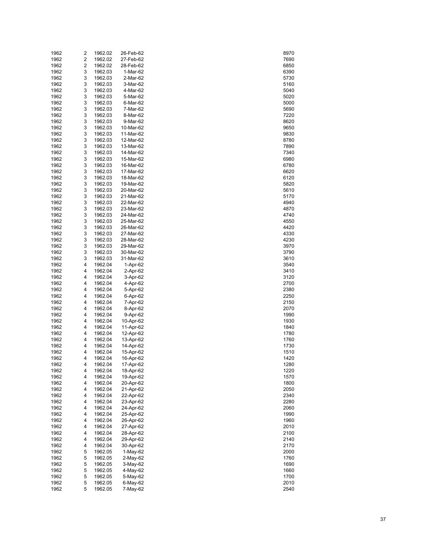| 1962 | 2 | 1962.02 | 26-Feb-62  | 8970 |
|------|---|---------|------------|------|
| 1962 | 2 | 1962.02 | 27-Feb-62  | 7690 |
| 1962 | 2 | 1962.02 | 28-Feb-62  | 6850 |
| 1962 | 3 | 1962.03 | 1-Mar-62   | 6390 |
| 1962 | 3 | 1962.03 | 2-Mar-62   | 5730 |
| 1962 | 3 | 1962.03 | 3-Mar-62   |      |
|      |   |         |            | 5160 |
| 1962 | 3 | 1962.03 | 4-Mar-62   | 5040 |
| 1962 | 3 | 1962.03 | 5-Mar-62   | 5020 |
| 1962 | 3 | 1962.03 | 6-Mar-62   | 5000 |
| 1962 | 3 | 1962.03 | 7-Mar-62   | 5690 |
| 1962 | 3 | 1962.03 | 8-Mar-62   | 7220 |
| 1962 | 3 | 1962.03 | 9-Mar-62   | 8620 |
| 1962 | 3 | 1962.03 | 10-Mar-62  | 9650 |
| 1962 | 3 | 1962.03 | 11-Mar-62  | 9830 |
| 1962 | 3 | 1962.03 | 12-Mar-62  | 8780 |
| 1962 | 3 | 1962.03 | 13-Mar-62  | 7890 |
| 1962 | 3 | 1962.03 | 14-Mar-62  | 7340 |
| 1962 | 3 | 1962.03 | 15-Mar-62  | 6980 |
| 1962 | 3 | 1962.03 | 16-Mar-62  | 6780 |
|      |   |         |            |      |
| 1962 | 3 | 1962.03 | 17-Mar-62  | 6620 |
| 1962 | 3 | 1962.03 | 18-Mar-62  | 6120 |
| 1962 | 3 | 1962.03 | 19-Mar-62  | 5820 |
| 1962 | 3 | 1962.03 | 20-Mar-62  | 5610 |
| 1962 | 3 | 1962.03 | 21-Mar-62  | 5170 |
| 1962 | 3 | 1962.03 | 22-Mar-62  | 4940 |
| 1962 | 3 | 1962.03 | 23-Mar-62  | 4870 |
| 1962 | 3 | 1962.03 | 24-Mar-62  | 4740 |
| 1962 | 3 | 1962.03 | 25-Mar-62  | 4550 |
| 1962 | 3 | 1962.03 | 26-Mar-62  | 4420 |
| 1962 | 3 | 1962.03 | 27-Mar-62  | 4330 |
| 1962 | 3 | 1962.03 | 28-Mar-62  | 4230 |
| 1962 | 3 | 1962.03 | 29-Mar-62  | 3970 |
| 1962 | 3 | 1962.03 | 30-Mar-62  | 3790 |
|      |   |         |            |      |
| 1962 | 3 | 1962.03 | 31-Mar-62  | 3610 |
| 1962 | 4 | 1962.04 | 1-Apr-62   | 3540 |
| 1962 | 4 | 1962.04 | 2-Apr-62   | 3410 |
| 1962 | 4 | 1962.04 | 3-Apr-62   | 3120 |
| 1962 | 4 | 1962.04 | 4-Apr-62   | 2700 |
| 1962 | 4 | 1962.04 | 5-Apr-62   | 2380 |
| 1962 | 4 | 1962.04 | 6-Apr-62   | 2250 |
| 1962 | 4 | 1962.04 | 7-Apr-62   | 2150 |
| 1962 | 4 | 1962.04 | 8-Apr-62   | 2070 |
| 1962 | 4 | 1962.04 | 9-Apr-62   | 1990 |
| 1962 | 4 | 1962.04 | 10-Apr-62  | 1930 |
| 1962 | 4 | 1962.04 | 11-Apr-62  | 1840 |
| 1962 | 4 | 1962.04 | 12-Apr-62  | 1780 |
| 1962 | 4 | 1962.04 | 13-Apr-62  | 1760 |
|      | 4 |         |            |      |
| 1962 |   | 1962.04 | 14-Apr-62  | 1730 |
| 1962 | 4 | 1962.04 | 15-Apr-62  | 1510 |
| 1962 | 4 | 1962.04 | 16-Apr-62  | 1420 |
| 1962 | 4 | 1962.04 | 17-Apr-62  | 1280 |
| 1962 | 4 | 1962.04 | 18-Apr-62  | 1220 |
| 1962 | 4 | 1962.04 | 19-Apr-62  | 1570 |
| 1962 | 4 | 1962.04 | 20-Apr-62  | 1800 |
| 1962 | 4 | 1962.04 | 21-Apr-62  | 2050 |
| 1962 | 4 | 1962.04 | 22-Apr-62  | 2340 |
| 1962 | 4 | 1962.04 | 23-Apr-62  | 2280 |
| 1962 | 4 | 1962.04 | 24-Apr-62  | 2060 |
| 1962 | 4 | 1962.04 | 25-Apr-62  | 1990 |
| 1962 | 4 | 1962.04 | 26-Apr-62  | 1960 |
| 1962 | 4 | 1962.04 | 27-Apr-62  | 2010 |
| 1962 | 4 |         | 28-Apr-62  |      |
|      |   | 1962.04 |            | 2100 |
| 1962 | 4 | 1962.04 | 29-Apr-62  | 2140 |
| 1962 | 4 | 1962.04 | 30-Apr-62  | 2170 |
| 1962 | 5 | 1962.05 | $1-May-62$ | 2000 |
| 1962 | 5 | 1962.05 | 2-May-62   | 1760 |
| 1962 | 5 | 1962.05 | $3-May-62$ | 1690 |
| 1962 | 5 | 1962.05 | 4-May-62   | 1660 |
| 1962 | 5 | 1962.05 | 5-May-62   | 1700 |
| 1962 | 5 | 1962.05 | 6-May-62   | 2010 |
| 1962 | 5 | 1962.05 | 7-May-62   | 2540 |

| 8970         |  |
|--------------|--|
| 7690         |  |
| 6850         |  |
|              |  |
| 6390         |  |
| 5730         |  |
| 5160         |  |
|              |  |
| 5040         |  |
| 5020         |  |
|              |  |
| 5000         |  |
| 5690         |  |
|              |  |
| 7220         |  |
| 8620         |  |
| 9650         |  |
|              |  |
| 9830         |  |
| 8780         |  |
|              |  |
| 7890         |  |
| 7340         |  |
| 6980         |  |
|              |  |
| 6780         |  |
| 6620         |  |
|              |  |
| 6120         |  |
| 5820         |  |
| 5610         |  |
|              |  |
| 5170         |  |
| 4940         |  |
|              |  |
| 4870         |  |
| 4740         |  |
| 4550         |  |
|              |  |
| 4420         |  |
| 4330         |  |
|              |  |
| 4230         |  |
| 3970         |  |
|              |  |
| 3790         |  |
| 3610         |  |
| 3540         |  |
|              |  |
| 3410         |  |
| 3120         |  |
|              |  |
| 2700         |  |
| 2380         |  |
| 2250         |  |
|              |  |
| 2150         |  |
| 2070         |  |
|              |  |
| 1990         |  |
| 1930         |  |
|              |  |
| 1840         |  |
| 1780         |  |
| 1760         |  |
|              |  |
| 1730         |  |
| 1510         |  |
| 20<br>14:    |  |
| )            |  |
| 1280         |  |
| 1220         |  |
|              |  |
| 1570         |  |
| 1800         |  |
| 2050         |  |
|              |  |
| 2340         |  |
| 2280         |  |
|              |  |
| 2060         |  |
| 1990         |  |
| 1960         |  |
|              |  |
| 2010         |  |
| 2100         |  |
|              |  |
| 2140         |  |
| 2170         |  |
|              |  |
| 2000         |  |
| 1760         |  |
| 1690         |  |
|              |  |
| 1660         |  |
| 1700         |  |
|              |  |
|              |  |
| 2010<br>2540 |  |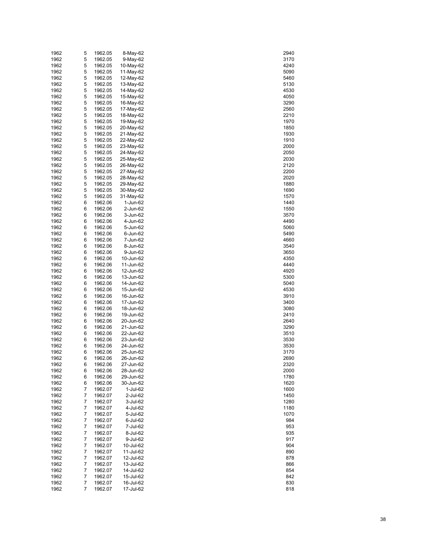| 1962 | 5 | 1962.05 | 8-May-62  | 2940 |
|------|---|---------|-----------|------|
| 1962 | 5 | 1962.05 | 9-May-62  | 3170 |
| 1962 | 5 | 1962.05 | 10-May-62 | 4240 |
| 1962 | 5 | 1962.05 | 11-May-62 | 5090 |
| 1962 | 5 | 1962.05 | 12-May-62 | 5460 |
| 1962 | 5 | 1962.05 | 13-May-62 | 5130 |
| 1962 | 5 | 1962.05 | 14-May-62 | 4530 |
|      |   |         |           |      |
| 1962 | 5 | 1962.05 | 15-May-62 | 4050 |
| 1962 | 5 | 1962.05 | 16-May-62 | 3290 |
| 1962 | 5 | 1962.05 | 17-May-62 | 2560 |
| 1962 | 5 | 1962.05 | 18-May-62 | 2210 |
| 1962 | 5 | 1962.05 | 19-May-62 | 1970 |
| 1962 | 5 | 1962.05 | 20-May-62 | 1850 |
| 1962 | 5 | 1962.05 | 21-May-62 | 1930 |
| 1962 | 5 | 1962.05 | 22-May-62 | 1910 |
| 1962 | 5 | 1962.05 | 23-May-62 | 2000 |
| 1962 | 5 | 1962.05 | 24-May-62 | 2050 |
| 1962 | 5 | 1962.05 | 25-May-62 | 2030 |
| 1962 | 5 | 1962.05 | 26-May-62 | 2120 |
| 1962 | 5 | 1962.05 | 27-May-62 | 2200 |
| 1962 | 5 | 1962.05 |           | 2020 |
|      |   |         | 28-May-62 |      |
| 1962 | 5 | 1962.05 | 29-May-62 | 1880 |
| 1962 | 5 | 1962.05 | 30-May-62 | 1690 |
| 1962 | 5 | 1962.05 | 31-May-62 | 1570 |
| 1962 | 6 | 1962.06 | 1-Jun-62  | 1440 |
| 1962 | 6 | 1962.06 | 2-Jun-62  | 1550 |
| 1962 | 6 | 1962.06 | 3-Jun-62  | 3570 |
| 1962 | 6 | 1962.06 | 4-Jun-62  | 4490 |
| 1962 | 6 | 1962.06 | 5-Jun-62  | 5060 |
| 1962 | 6 | 1962.06 | 6-Jun-62  | 5490 |
| 1962 | 6 | 1962.06 | 7-Jun-62  | 4660 |
| 1962 | 6 | 1962.06 | 8-Jun-62  | 3540 |
| 1962 | 6 | 1962.06 | 9-Jun-62  | 3650 |
| 1962 | 6 | 1962.06 | 10-Jun-62 | 4350 |
| 1962 | 6 | 1962.06 | 11-Jun-62 | 4440 |
| 1962 | 6 | 1962.06 |           | 4920 |
|      |   |         | 12-Jun-62 |      |
| 1962 | 6 | 1962.06 | 13-Jun-62 | 5300 |
| 1962 | 6 | 1962.06 | 14-Jun-62 | 5040 |
| 1962 | 6 | 1962.06 | 15-Jun-62 | 4530 |
| 1962 | 6 | 1962.06 | 16-Jun-62 | 3910 |
| 1962 | 6 | 1962.06 | 17-Jun-62 | 3400 |
| 1962 | 6 | 1962.06 | 18-Jun-62 | 3080 |
| 1962 | 6 | 1962.06 | 19-Jun-62 | 2410 |
| 1962 | 6 | 1962.06 | 20-Jun-62 | 2640 |
| 1962 | 6 | 1962.06 | 21-Jun-62 | 3290 |
| 1962 | 6 | 1962.06 | 22-Jun-62 | 3510 |
| 1962 | 6 | 1962.06 | 23-Jun-62 | 3530 |
| 1962 | 6 | 1962.06 | 24-Jun-62 | 3530 |
| 1962 | 6 | 1962.06 | 25-Jun-62 | 3170 |
| 1962 | 6 | 1962.06 | 26-Jun-62 | 2690 |
| 1962 | 6 | 1962.06 | 27-Jun-62 | 2320 |
| 1962 | 6 | 1962.06 | 28-Jun-62 | 2000 |
|      |   |         |           |      |
| 1962 | 6 | 1962.06 | 29-Jun-62 | 1780 |
| 1962 | 6 | 1962.06 | 30-Jun-62 | 1620 |
| 1962 | 7 | 1962.07 | 1-Jul-62  | 1600 |
| 1962 | 7 | 1962.07 | 2-Jul-62  | 1450 |
| 1962 | 7 | 1962.07 | 3-Jul-62  | 1280 |
| 1962 | 7 | 1962.07 | 4-Jul-62  | 1180 |
| 1962 | 7 | 1962.07 | 5-Jul-62  | 1070 |
| 1962 | 7 | 1962.07 | 6-Jul-62  | 984  |
| 1962 | 7 | 1962.07 | 7-Jul-62  | 953  |
| 1962 | 7 | 1962.07 | 8-Jul-62  | 935  |
| 1962 | 7 | 1962.07 | 9-Jul-62  | 917  |
| 1962 | 7 | 1962.07 | 10-Jul-62 | 904  |
| 1962 | 7 | 1962.07 | 11-Jul-62 | 890  |
| 1962 | 7 | 1962.07 | 12-Jul-62 | 878  |
| 1962 | 7 | 1962.07 | 13-Jul-62 | 866  |
|      |   |         |           |      |
| 1962 | 7 | 1962.07 | 14-Jul-62 | 854  |
| 1962 | 7 | 1962.07 | 15-Jul-62 | 842  |
| 1962 | 7 | 1962.07 | 16-Jul-62 | 830  |
| 1962 | 7 | 1962.07 | 17-Jul-62 | 818  |

| 2940       |
|------------|
|            |
| 3170       |
| 4240<br>)  |
| 5090       |
| 5460       |
| 5130       |
| 4530       |
|            |
| 4050       |
| 3290<br>້) |
| 2560       |
| 2210       |
| 1970       |
| 1850<br>)  |
|            |
| 1930       |
| 191(<br>)  |
| 2000       |
| 2050       |
| 2030       |
|            |
| 2120       |
| 2200       |
| 2020       |
| 1880       |
| 1690       |
|            |
| 1570       |
| 1440       |
| 1550       |
| 3570<br>j  |
| 4490       |
|            |
| 5060       |
| 5490       |
| 4660       |
| 3540       |
|            |
| 3650       |
| 4350       |
| 4440       |
| 4920       |
| 5300       |
| 5040       |
|            |
| 4530       |
| 3910       |
| 3400       |
| 3080       |
|            |
| 2410<br>້) |
| 2640       |
| 3290       |
| 3510       |
| 3530<br>)  |
|            |
| 3530       |
| 3170       |
| 2690       |
| 2320       |
| 2000       |
| 1780       |
|            |
| 1620       |
| 1600       |
| 1450       |
| 280<br>1   |
| 1180       |
|            |
| 1070       |
| 984        |
| 953        |
| 935        |
| 917        |
|            |
| 904        |
| 890        |
| 878        |
| 866        |
| 854        |
|            |
| 842        |
|            |
| 830        |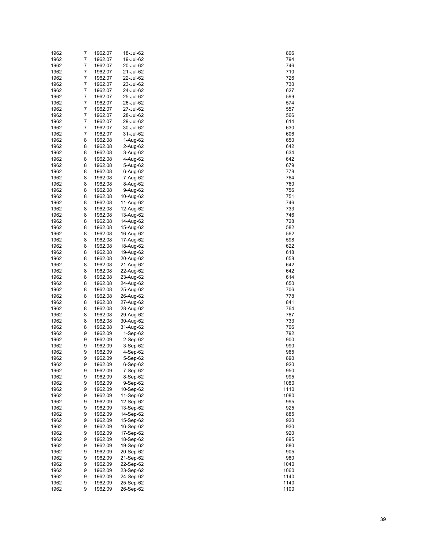| 1962         | 7      | 1962.07            | 18-Jul-62              | 806         |
|--------------|--------|--------------------|------------------------|-------------|
| 1962         | 7      | 1962.07            | 19-Jul-62              | 794         |
| 1962         | 7      | 1962.07            | 20-Jul-62              | 746         |
| 1962         | 7      | 1962.07            | 21-Jul-62              | 710         |
| 1962         | 7      | 1962.07            | 22-Jul-62              | 726         |
| 1962         | 7      | 1962.07            | 23-Jul-62              | 730         |
| 1962         | 7      | 1962.07            | 24-Jul-62              | 627         |
| 1962         | 7      | 1962.07            | 25-Jul-62              | 599         |
| 1962         | 7      | 1962.07            | 26-Jul-62              | 574         |
| 1962         | 7      | 1962.07            | 27-Jul-62              | 557         |
| 1962         | 7<br>7 | 1962.07            | 28-Jul-62              | 566         |
| 1962<br>1962 | 7      | 1962.07<br>1962.07 | 29-Jul-62<br>30-Jul-62 | 614<br>630  |
| 1962         | 7      | 1962.07            | 31-Jul-62              | 606         |
| 1962         | 8      | 1962.08            | 1-Aug-62               | 650         |
| 1962         | 8      | 1962.08            | 2-Aug-62               | 642         |
| 1962         | 8      | 1962.08            | 3-Aug-62               | 634         |
| 1962         | 8      | 1962.08            | 4-Aug-62               | 642         |
| 1962         | 8      | 1962.08            | 5-Aug-62               | 679         |
| 1962         | 8      | 1962.08            | 6-Aug-62               | 778         |
| 1962         | 8      | 1962.08            | 7-Aug-62               | 764         |
| 1962         | 8      | 1962.08            | 8-Aug-62               | 760         |
| 1962         | 8      | 1962.08            | 9-Aug-62               | 756         |
| 1962         | 8      | 1962.08            | 10-Aug-62              | 751         |
| 1962         | 8      | 1962.08            | 11-Aug-62              | 746         |
| 1962         | 8      | 1962.08            | 12-Aug-62              | 733         |
| 1962         | 8      | 1962.08            | 13-Aug-62              | 746         |
| 1962         | 8      | 1962.08            | 14-Aug-62              | 728         |
| 1962         | 8      | 1962.08            | 15-Aug-62              | 582         |
| 1962         | 8      | 1962.08            | 16-Aug-62              | 562         |
| 1962         | 8      | 1962.08            | 17-Aug-62              | 598         |
| 1962         | 8      | 1962.08            | 18-Aug-62              | 622         |
| 1962         | 8      | 1962.08            | 19-Aug-62              | 618         |
| 1962         | 8      | 1962.08            | 20-Aug-62              | 658         |
| 1962         | 8<br>8 | 1962.08            | 21-Aug-62              | 642         |
| 1962<br>1962 | 8      | 1962.08<br>1962.08 | 22-Aug-62<br>23-Aug-62 | 642<br>614  |
| 1962         | 8      | 1962.08            | 24-Aug-62              | 650         |
| 1962         | 8      | 1962.08            | 25-Aug-62              | 706         |
| 1962         | 8      | 1962.08            | 26-Aug-62              | 778         |
| 1962         | 8      | 1962.08            | 27-Aug-62              | 841         |
| 1962         | 8      | 1962.08            | 28-Aug-62              | 764         |
| 1962         | 8      | 1962.08            | 29-Aug-62              | 787         |
| 1962         | 8      | 1962.08            | 30-Aug-62              | 733         |
| 1962         | 8      | 1962.08            | 31-Aug-62              | 706         |
| 1962         | 9      | 1962.09            | 1-Sep-62               | 792         |
| 1962         | 9      | 1962.09            | 2-Sep-62               | 900         |
| 1962         | 9      | 1962.09            | 3-Sep-62               | 990         |
| 1962         | 9      | 1962.09            | 4-Sep-62               | 965         |
| 1962         | 9      | 1962.09            | 5-Sep-62               | 890         |
| 1962         | 9      | 1962.09            | 6-Sep-62               | 920         |
| 1962         | 9      | 1962.09            | 7-Sep-62               | 950         |
| 1962         | 9      | 1962.09            | 8-Sep-62               | 995         |
| 1962         | 9      | 1962.09            | 9-Sep-62               | 1080        |
| 1962         | 9      | 1962.09            | 10-Sep-62              | 1110        |
| 1962         | 9<br>9 | 1962.09            | 11-Sep-62              | 1080<br>995 |
| 1962<br>1962 | 9      | 1962.09<br>1962.09 | 12-Sep-62<br>13-Sep-62 | 925         |
| 1962         | 9      | 1962.09            | 14-Sep-62              | 885         |
| 1962         | 9      | 1962.09            | 15-Sep-62              | 920         |
| 1962         | 9      | 1962.09            | 16-Sep-62              | 930         |
| 1962         | 9      | 1962.09            | 17-Sep-62              | 920         |
| 1962         | 9      | 1962.09            | 18-Sep-62              | 895         |
| 1962         | 9      | 1962.09            | 19-Sep-62              | 880         |
| 1962         | 9      | 1962.09            | 20-Sep-62              | 905         |
| 1962         | 9      | 1962.09            | 21-Sep-62              | 980         |
| 1962         | 9      | 1962.09            | 22-Sep-62              | 1040        |
| 1962         | 9      | 1962.09            | 23-Sep-62              | 1060        |
| 1962         | 9      | 1962.09            | 24-Sep-62              | 1140        |
| 1962         | 9      | 1962.09            | 25-Sep-62              | 1140        |
| 1962         | 9      | 1962.09            | 26-Sep-62              | 1100        |

| 806                            |
|--------------------------------|
|                                |
| 794                            |
| 746                            |
| 710                            |
| $\overline{\mathcal{L}}$<br>26 |
| 730                            |
|                                |
| 627                            |
| 599                            |
| 574                            |
| 557                            |
| 566                            |
| 614                            |
|                                |
| 630                            |
| 606                            |
| 650                            |
| 642                            |
| 34<br>6                        |
|                                |
| 642                            |
| 679                            |
| 778                            |
| 764                            |
| 760                            |
|                                |
| 756                            |
| 751                            |
| 746                            |
| 733                            |
| 746                            |
|                                |
| 728                            |
| 582                            |
| 562                            |
| 598                            |
| 622                            |
|                                |
| 618                            |
| 658                            |
| 64                             |
| 642                            |
| 614                            |
|                                |
| 650                            |
| 706                            |
| 778                            |
| 841                            |
| 764                            |
|                                |
| 787                            |
| 733                            |
| 706                            |
| 792                            |
| 900                            |
|                                |
| 990                            |
| 965                            |
| 890                            |
| 920                            |
| 950                            |
| 995                            |
|                                |
| 1080                           |
| 1110                           |
| 1080                           |
| 995                            |
| 925                            |
|                                |
| 885                            |
| 920                            |
| 9<br>30                        |
| 920                            |
| 895                            |
|                                |
| 880                            |
| 905                            |
| 980                            |
| 1040                           |
| 1060                           |
|                                |
| 1140                           |
| 1140                           |
|                                |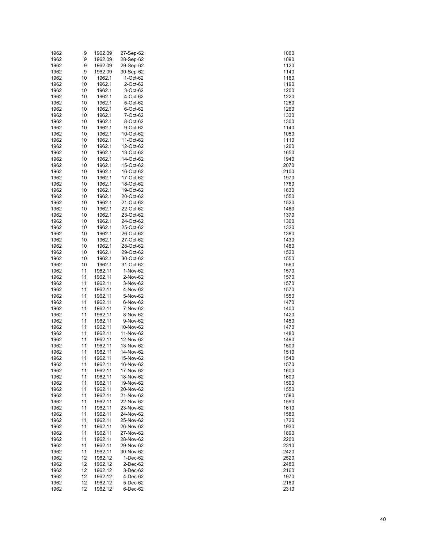| 1962 | 9  | 1962.09 | 27-Sep-62 | 1060 |
|------|----|---------|-----------|------|
| 1962 | 9  | 1962.09 | 28-Sep-62 | 1090 |
| 1962 | 9  | 1962.09 | 29-Sep-62 | 1120 |
| 1962 | 9  | 1962.09 | 30-Sep-62 | 1140 |
| 1962 | 10 | 1962.1  | 1-Oct-62  | 1160 |
| 1962 | 10 | 1962.1  | 2-Oct-62  | 1190 |
| 1962 | 10 | 1962.1  | 3-Oct-62  | 1200 |
| 1962 | 10 | 1962.1  | 4-Oct-62  | 1220 |
| 1962 | 10 | 1962.1  | 5-Oct-62  | 1260 |
| 1962 | 10 | 1962.1  | 6-Oct-62  | 1260 |
| 1962 | 10 | 1962.1  | 7-Oct-62  | 1330 |
| 1962 | 10 | 1962.1  | 8-Oct-62  | 1300 |
| 1962 | 10 | 1962.1  | 9-Oct-62  | 1140 |
| 1962 | 10 | 1962.1  | 10-Oct-62 | 1050 |
| 1962 | 10 | 1962.1  | 11-Oct-62 | 1110 |
| 1962 | 10 | 1962.1  | 12-Oct-62 | 1260 |
| 1962 | 10 | 1962.1  | 13-Oct-62 | 1650 |
| 1962 | 10 | 1962.1  | 14-Oct-62 | 1940 |
| 1962 | 10 | 1962.1  | 15-Oct-62 | 2070 |
| 1962 | 10 | 1962.1  | 16-Oct-62 | 2100 |
| 1962 | 10 | 1962.1  | 17-Oct-62 | 1970 |
| 1962 | 10 | 1962.1  | 18-Oct-62 | 1760 |
| 1962 | 10 | 1962.1  | 19-Oct-62 | 1630 |
| 1962 | 10 | 1962.1  | 20-Oct-62 | 1550 |
| 1962 | 10 | 1962.1  | 21-Oct-62 | 1520 |
| 1962 | 10 | 1962.1  | 22-Oct-62 | 1480 |
| 1962 | 10 | 1962.1  | 23-Oct-62 | 1370 |
| 1962 | 10 | 1962.1  | 24-Oct-62 | 1300 |
| 1962 | 10 | 1962.1  | 25-Oct-62 | 1320 |
| 1962 | 10 | 1962.1  | 26-Oct-62 | 1380 |
| 1962 | 10 | 1962.1  | 27-Oct-62 | 1430 |
| 1962 | 10 | 1962.1  | 28-Oct-62 | 1480 |
| 1962 | 10 | 1962.1  | 29-Oct-62 | 1520 |
| 1962 | 10 | 1962.1  | 30-Oct-62 | 1550 |
| 1962 | 10 | 1962.1  | 31-Oct-62 | 1560 |
| 1962 | 11 | 1962.11 | 1-Nov-62  | 1570 |
| 1962 | 11 | 1962.11 | 2-Nov-62  | 1570 |
| 1962 | 11 | 1962.11 | 3-Nov-62  | 1570 |
| 1962 | 11 | 1962.11 | 4-Nov-62  | 1570 |
| 1962 | 11 | 1962.11 | 5-Nov-62  | 1550 |
| 1962 | 11 | 1962.11 | 6-Nov-62  | 1470 |
| 1962 | 11 | 1962.11 | 7-Nov-62  | 1400 |
| 1962 | 11 | 1962.11 | 8-Nov-62  | 1420 |
| 1962 | 11 | 1962.11 | 9-Nov-62  | 1450 |
| 1962 | 11 | 1962.11 | 10-Nov-62 | 1470 |
| 1962 | 11 | 1962.11 | 11-Nov-62 | 1480 |
| 1962 | 11 | 1962.11 | 12-Nov-62 | 1490 |
| 1962 | 11 | 1962.11 | 13-Nov-62 | 1500 |
| 1962 | 11 | 1962.11 | 14-Nov-62 | 1510 |
| 1962 | 11 | 1962.11 | 15-Nov-62 | 1540 |
| 1962 | 11 | 1962.11 | 16-Nov-62 | 1570 |
| 1962 | 11 | 1962.11 | 17-Nov-62 | 1600 |
| 1962 | 11 | 1962.11 | 18-Nov-62 | 1600 |
| 1962 | 11 | 1962.11 | 19-Nov-62 | 1590 |
| 1962 | 11 | 1962.11 | 20-Nov-62 | 1550 |
| 1962 | 11 | 1962.11 | 21-Nov-62 | 1580 |
| 1962 | 11 | 1962.11 | 22-Nov-62 | 1590 |
| 1962 | 11 | 1962.11 | 23-Nov-62 | 1610 |
| 1962 | 11 | 1962.11 | 24-Nov-62 | 1580 |
| 1962 | 11 | 1962.11 | 25-Nov-62 | 1720 |
| 1962 | 11 | 1962.11 | 26-Nov-62 | 1930 |
| 1962 | 11 | 1962.11 | 27-Nov-62 | 1890 |
| 1962 | 11 | 1962.11 | 28-Nov-62 | 2200 |
| 1962 | 11 | 1962.11 | 29-Nov-62 | 2310 |
| 1962 | 11 | 1962.11 | 30-Nov-62 | 2420 |
| 1962 | 12 | 1962.12 | 1-Dec-62  | 2520 |
| 1962 | 12 | 1962.12 | 2-Dec-62  | 2480 |
| 1962 | 12 | 1962.12 | 3-Dec-62  | 2160 |
| 1962 | 12 | 1962.12 | 4-Dec-62  | 1970 |
| 1962 | 12 | 1962.12 | 5-Dec-62  | 2180 |
| 1962 | 12 | 1962.12 | 6-Dec-62  | 2310 |

| 1060              |  |
|-------------------|--|
|                   |  |
| 1090              |  |
| 1120              |  |
| 1140              |  |
| 1160              |  |
| 1190              |  |
| 1200              |  |
| 1220              |  |
| 1260              |  |
| 1260              |  |
| 330<br>$\ddagger$ |  |
| 1300              |  |
|                   |  |
| 1140              |  |
| 1050              |  |
| 1110              |  |
| 1260              |  |
| 1650              |  |
| 1940              |  |
| 2070              |  |
| 2100              |  |
| 1970              |  |
| 1760              |  |
| 1630              |  |
|                   |  |
| 1550              |  |
| 1520              |  |
| 1480              |  |
| 1:<br>370         |  |
| 300<br>$\ddagger$ |  |
| $\ddagger$<br>320 |  |
| 1380              |  |
| 1430              |  |
| 1480              |  |
| 1520              |  |
|                   |  |
| 1550              |  |
| 1560              |  |
| 1570              |  |
| 1570              |  |
| 1570              |  |
| 1570              |  |
| 1550              |  |
| 1470              |  |
| 1400              |  |
| 1420              |  |
| 1450              |  |
|                   |  |
| 1470              |  |
| 1480              |  |
| 1490              |  |
| 1500              |  |
| 1510              |  |
| 1540<br>)         |  |
| 1570              |  |
| 1600              |  |
| 1600              |  |
| 1590              |  |
|                   |  |
| 1550              |  |
| 1580              |  |
| 1590              |  |
| 1610              |  |
| 1580              |  |
| 1720              |  |
| 1930              |  |
| 1890              |  |
| 200<br>ľ          |  |
| 2310              |  |
| 2420              |  |
|                   |  |
| 2520              |  |
| 480               |  |
| 2160              |  |
| 1970              |  |
| 180               |  |
| 2310              |  |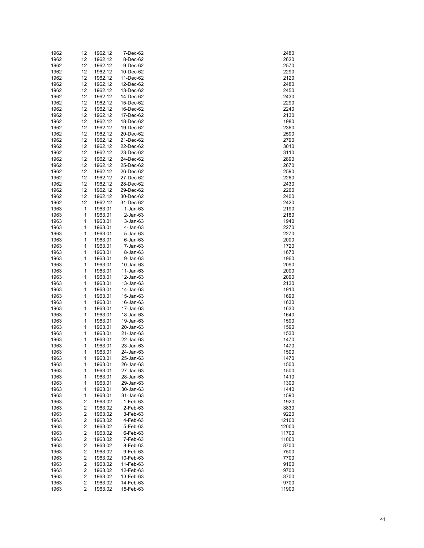| 1962 | 12                      | 1962.12 | 7-Dec-62       | 2480  |
|------|-------------------------|---------|----------------|-------|
| 1962 | 12                      | 1962.12 | 8-Dec-62       | 2620  |
| 1962 | 12                      | 1962.12 | 9-Dec-62       | 2570  |
| 1962 | 12                      | 1962.12 | 10-Dec-62      | 2290  |
| 1962 | 12                      | 1962.12 | 11-Dec-62      | 2120  |
| 1962 |                         |         |                | 2480  |
|      | 12                      | 1962.12 | 12-Dec-62      |       |
| 1962 | 12                      | 1962.12 | 13-Dec-62      | 2450  |
| 1962 | 12                      | 1962.12 | 14-Dec-62      | 2430  |
| 1962 | 12                      | 1962.12 | 15-Dec-62      | 2290  |
| 1962 | 12                      | 1962.12 | 16-Dec-62      | 2240  |
| 1962 | 12                      | 1962.12 | 17-Dec-62      | 2130  |
| 1962 | 12                      | 1962.12 | 18-Dec-62      | 1980  |
| 1962 | 12                      | 1962.12 | 19-Dec-62      | 2360  |
| 1962 | 12                      | 1962.12 | 20-Dec-62      | 2590  |
| 1962 | 12                      | 1962.12 | 21-Dec-62      | 2790  |
| 1962 | 12                      | 1962.12 | 22-Dec-62      | 3010  |
| 1962 |                         | 1962.12 |                |       |
|      | 12                      |         | 23-Dec-62      | 3110  |
| 1962 | 12                      | 1962.12 | 24-Dec-62      | 2890  |
| 1962 | 12                      | 1962.12 | 25-Dec-62      | 2670  |
| 1962 | 12                      | 1962.12 | 26-Dec-62      | 2590  |
| 1962 | 12                      | 1962.12 | 27-Dec-62      | 2260  |
| 1962 | 12                      | 1962.12 | 28-Dec-62      | 2430  |
| 1962 | 12                      | 1962.12 | 29-Dec-62      | 2260  |
| 1962 | 12                      | 1962.12 | 30-Dec-62      | 2400  |
| 1962 | 12                      | 1962.12 | 31-Dec-62      | 2420  |
| 1963 | 1                       | 1963.01 | $1-Jan-63$     | 2190  |
| 1963 | 1                       | 1963.01 | $2$ -Jan-63    | 2180  |
| 1963 |                         | 1963.01 |                | 1940  |
|      | 1                       |         | $3 - Jan-63$   |       |
| 1963 | 1                       | 1963.01 | 4-Jan-63       | 2270  |
| 1963 | 1                       | 1963.01 | 5-Jan-63       | 2270  |
| 1963 | 1                       | 1963.01 | $6$ -Jan- $63$ | 2000  |
| 1963 | 1                       | 1963.01 | 7-Jan-63       | 1720  |
| 1963 | 1                       | 1963.01 | 8-Jan-63       | 1670  |
| 1963 | 1                       | 1963.01 | 9-Jan-63       | 1960  |
| 1963 | 1                       | 1963.01 | 10-Jan-63      | 2090  |
| 1963 | 1                       | 1963.01 | 11-Jan-63      | 2000  |
| 1963 | 1                       | 1963.01 | 12-Jan-63      | 2090  |
| 1963 | 1                       | 1963.01 | 13-Jan-63      | 2130  |
| 1963 | 1                       | 1963.01 | 14-Jan-63      | 1910  |
|      |                         |         |                |       |
| 1963 | 1                       | 1963.01 | 15-Jan-63      | 1690  |
| 1963 | 1                       | 1963.01 | 16-Jan-63      | 1630  |
| 1963 | 1                       | 1963.01 | 17-Jan-63      | 1630  |
| 1963 | 1                       | 1963.01 | 18-Jan-63      | 1640  |
| 1963 | 1                       | 1963.01 | 19-Jan-63      | 1590  |
| 1963 | 1                       | 1963.01 | 20-Jan-63      | 1590  |
| 1963 | 1                       | 1963.01 | 21-Jan-63      | 1530  |
| 1963 | 1                       | 1963.01 | 22-Jan-63      | 1470  |
| 1963 | 1                       | 1963.01 | 23-Jan-63      | 1470  |
| 1963 | 1                       | 1963.01 | 24-Jan-63      | 1500  |
| 1963 | 1                       | 1963.01 | 25-Jan-63      | 1470  |
|      |                         |         |                |       |
| 1963 | 1                       | 1963.01 | 26-Jan-63      | 1500  |
| 1963 | 1                       | 1963.01 | 27-Jan-63      | 1500  |
| 1963 | 1                       | 1963.01 | 28-Jan-63      | 1410  |
| 1963 | 1                       | 1963.01 | 29-Jan-63      | 1300  |
| 1963 | 1                       | 1963.01 | 30-Jan-63      | 1440  |
| 1963 | 1                       | 1963.01 | 31-Jan-63      | 1590  |
| 1963 | 2                       | 1963.02 | 1-Feb-63       | 1920  |
| 1963 | 2                       | 1963.02 | 2-Feb-63       | 3830  |
| 1963 | $\overline{\mathbf{c}}$ | 1963.02 | 3-Feb-63       | 9220  |
| 1963 | 2                       | 1963.02 | 4-Feb-63       | 12100 |
| 1963 | 2                       | 1963.02 | 5-Feb-63       | 12000 |
| 1963 | 2                       | 1963.02 | 6-Feb-63       | 11700 |
|      |                         |         |                |       |
| 1963 | 2                       | 1963.02 | 7-Feb-63       | 11000 |
| 1963 | 2                       | 1963.02 | 8-Feb-63       | 8700  |
| 1963 | 2                       | 1963.02 | 9-Feb-63       | 7500  |
| 1963 | 2                       | 1963.02 | 10-Feb-63      | 7700  |
| 1963 | 2                       | 1963.02 | 11-Feb-63      | 9100  |
| 1963 | 2                       | 1963.02 | 12-Feb-63      | 9700  |
| 1963 | 2                       | 1963.02 | 13-Feb-63      | 8700  |
| 1963 | 2                       | 1963.02 | 14-Feb-63      | 9700  |
| 1963 | $\overline{c}$          | 1963.02 | 15-Feb-63      | 11900 |
|      |                         |         |                |       |

| 2480       |
|------------|
| 2620       |
|            |
| 2570       |
| 2290       |
| 2120       |
|            |
| 480        |
| 450'       |
|            |
| 2430       |
| 2290       |
| 2240       |
|            |
| 2130       |
| 1980       |
|            |
| 2360       |
| 2590       |
| 2790       |
|            |
| 3010       |
| 3110       |
|            |
| 2890       |
| 2670       |
| 2590       |
|            |
| 2260       |
| 2430       |
|            |
| 2260       |
| 2400       |
| 2420       |
|            |
| 2190       |
| 2180       |
|            |
| 1940       |
| 2270       |
|            |
| 2270       |
| 2000       |
| 1720       |
|            |
| 1670       |
| 1960       |
|            |
| 2090       |
| 2000       |
| 2090       |
|            |
| 2130       |
| 1910       |
|            |
| 1690       |
| 1630       |
| 1630       |
|            |
| 1640       |
| 1590       |
|            |
| 1590       |
| 1530       |
| 1470       |
|            |
| 1470       |
| 1500       |
| 1470<br>)  |
|            |
| 1500       |
| 1500       |
|            |
| 1410       |
| 1300       |
| 1440       |
|            |
| 1590       |
| 1920       |
|            |
| 3830       |
| <b>220</b> |
| 12100      |
|            |
| 2000<br>1  |
| 1700<br>1  |
|            |
| 1000<br>1  |
| 8700       |
| 7500       |
|            |
| 7700       |
| 9100<br>i  |
| 9700       |
|            |
| 8700       |
| 9700       |
| 11900      |
|            |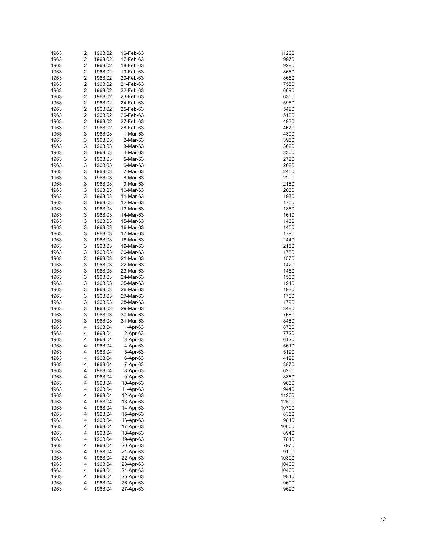| 1963         | 2      | 1963.02            | 16-Feb-63              | 11200         |
|--------------|--------|--------------------|------------------------|---------------|
| 1963         | 2      | 1963.02            | 17-Feb-63              | 9970          |
| 1963         | 2      | 1963.02            | 18-Feb-63              | 9280          |
| 1963         | 2      | 1963.02            | 19-Feb-63              | 8660          |
| 1963         | 2      | 1963.02            | 20-Feb-63              | 8650          |
| 1963         | 2      | 1963.02            | 21-Feb-63              | 7550          |
| 1963         | 2      | 1963.02            | 22-Feb-63              | 6690          |
| 1963         | 2      | 1963.02            | 23-Feb-63              | 6350          |
| 1963<br>1963 | 2<br>2 | 1963.02<br>1963.02 | 24-Feb-63<br>25-Feb-63 | 5950<br>5420  |
| 1963         | 2      | 1963.02            | 26-Feb-63              | 5100          |
| 1963         | 2      | 1963.02            | 27-Feb-63              | 4930          |
| 1963         | 2      | 1963.02            | 28-Feb-63              | 4670          |
| 1963         | 3      | 1963.03            | 1-Mar-63               | 4390          |
| 1963         | 3      | 1963.03            | 2-Mar-63               | 3950          |
| 1963         | 3      | 1963.03            | 3-Mar-63               | 3620          |
| 1963         | 3      | 1963.03            | 4-Mar-63               | 3300          |
| 1963         | 3      | 1963.03            | 5-Mar-63               | 2720          |
| 1963         | 3      | 1963.03            | 6-Mar-63               | 2620          |
| 1963         | 3      | 1963.03            | 7-Mar-63               | 2450          |
| 1963         | 3      | 1963.03            | 8-Mar-63               | 2290          |
| 1963         | 3      | 1963.03            | 9-Mar-63               | 2180          |
| 1963         | 3      | 1963.03            | 10-Mar-63              | 2060          |
| 1963         | 3      | 1963.03            | 11-Mar-63              | 1930          |
| 1963         | 3      | 1963.03            | 12-Mar-63              | 1750          |
| 1963         | 3      | 1963.03            | 13-Mar-63              | 1860          |
| 1963         | 3      | 1963.03            | 14-Mar-63              | 1610          |
| 1963         | 3      | 1963.03            | 15-Mar-63              | 1460          |
| 1963         | 3      | 1963.03            | 16-Mar-63              | 1450          |
| 1963         | 3      | 1963.03            | 17-Mar-63              | 1790          |
| 1963         | 3      | 1963.03            | 18-Mar-63              | 2440          |
| 1963         | 3      | 1963.03            | 19-Mar-63              | 2150          |
| 1963         | 3<br>3 | 1963.03            | 20-Mar-63              | 1780          |
| 1963<br>1963 | 3      | 1963.03<br>1963.03 | 21-Mar-63<br>22-Mar-63 | 1570<br>1420  |
| 1963         | 3      | 1963.03            | 23-Mar-63              | 1450          |
| 1963         | 3      | 1963.03            | 24-Mar-63              | 1560          |
| 1963         | 3      | 1963.03            | 25-Mar-63              | 1910          |
| 1963         | 3      | 1963.03            | 26-Mar-63              | 1930          |
| 1963         | 3      | 1963.03            | 27-Mar-63              | 1760          |
| 1963         | 3      | 1963.03            | 28-Mar-63              | 1790          |
| 1963         | 3      | 1963.03            | 29-Mar-63              | 3480          |
| 1963         | 3      | 1963.03            | 30-Mar-63              | 7680          |
| 1963         | 3      | 1963.03            | 31-Mar-63              | 8480          |
| 1963         | 4      | 1963.04            | $1-Apr-63$             | 8730          |
| 1963         | 4      | 1963.04            | $2-Apr-63$             | 7720          |
| 1963         | 4      | 1963.04            | 3-Apr-63               | 6120          |
| 1963         | 4      | 1963.04            | 4-Apr-63               | 5610          |
| 1963         | 4      | 1963.04            | 5-Apr-63               | 5190          |
| 1963         | 4      | 1963.04            | 6-Apr-63               | 4120          |
| 1963         | 4      | 1963.04            | 7-Apr-63               | 3870          |
| 1963         | 4      | 1963.04            | 8-Apr-63               | 6260          |
| 1963         | 4      | 1963.04            | 9-Apr-63               | 8360          |
| 1963         | 4      | 1963.04            | 10-Apr-63              | 9860          |
| 1963<br>1963 | 4<br>4 | 1963.04<br>1963.04 | 11-Apr-63<br>12-Apr-63 | 9440<br>11200 |
| 1963         | 4      | 1963.04            | 13-Apr-63              | 12500         |
| 1963         | 4      | 1963.04            | 14-Apr-63              | 10700         |
| 1963         | 4      | 1963.04            | 15-Apr-63              | 8350          |
| 1963         | 4      | 1963.04            | 16-Apr-63              | 9810          |
| 1963         | 4      | 1963.04            | 17-Apr-63              | 10600         |
| 1963         | 4      | 1963.04            | 18-Apr-63              | 8940          |
| 1963         | 4      | 1963.04            | 19-Apr-63              | 7810          |
| 1963         | 4      | 1963.04            | 20-Apr-63              | 7970          |
| 1963         | 4      | 1963.04            | 21-Apr-63              | 9100          |
| 1963         | 4      | 1963.04            | 22-Apr-63              | 10300         |
| 1963         | 4      | 1963.04            | 23-Apr-63              | 10400         |
| 1963         | 4      | 1963.04            | 24-Apr-63              | 10400         |
| 1963         | 4      | 1963.04            | 25-Apr-63              | 9840          |
| 1963         | 4      | 1963.04            | 26-Apr-63              | 9600          |
| 1963         | 4      | 1963.04            | 27-Apr-63              | 9690          |

| 1200<br>1                      |
|--------------------------------|
| 9970<br>ì                      |
| )280<br>ί                      |
| 8660                           |
| 8650                           |
| 7550                           |
| 6690                           |
| 6350                           |
| 5950                           |
| 5420                           |
| 5100                           |
| 4930                           |
| 4670                           |
| 4390                           |
| 3950                           |
| 3620                           |
| 3300                           |
| 720<br>$\overline{\mathbf{c}}$ |
| 2620                           |
| 2450                           |
| 2290                           |
| 2180                           |
| 2060                           |
| 1930                           |
| 1750                           |
| 1860                           |
| 1610                           |
| 1460                           |
| 1450                           |
| 1790                           |
| 2440                           |
| 2150                           |
| 1780                           |
| 1570                           |
| 1420                           |
| 1450                           |
| 1560                           |
| 1910                           |
| 1930                           |
| 1760                           |
| j<br>790<br>1                  |
| 3480                           |
| 7680                           |
| 8480<br>8730                   |
|                                |
| 7720                           |
| 6120<br>5610                   |
| 5190                           |
| l:<br>$\overline{2}$<br>4      |
| 3870                           |
| 6260                           |
| 8360                           |
| 9860                           |
| 9440                           |
| 11200                          |
| 2500<br>1                      |
| 0700<br>1                      |
| 8350                           |
| 9810                           |
| 0600<br>1                      |
| 8940                           |
| 7810                           |
| 7970                           |
| 9100<br>Ś                      |
| 0300<br>1                      |
| 0400<br>1                      |
| 0400<br>1                      |
| 9840                           |
| 9600                           |
| 9690                           |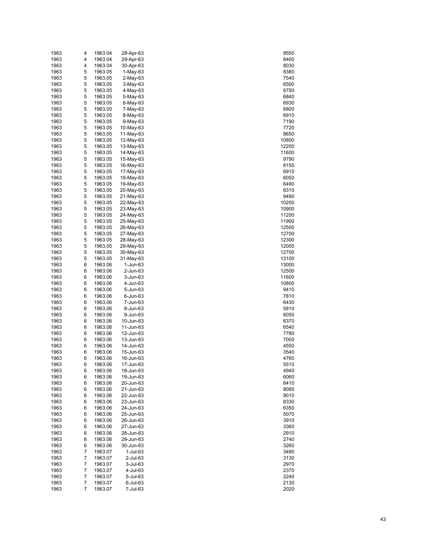| 1963 | 4              | 1963.04 | 28-Apr-63   | 9550  |
|------|----------------|---------|-------------|-------|
| 1963 | 4              | 1963.04 | 29-Apr-63   | 8400  |
| 1963 | 4              | 1963.04 | 30-Apr-63   | 8030  |
| 1963 | 5              | 1963.05 | $1-May-63$  | 8380  |
| 1963 | 5              | 1963.05 | 2-May-63    | 7540  |
| 1963 | 5              | 1963.05 | 3-May-63    | 6500  |
| 1963 | 5              | 1963.05 | 4-May-63    | 6750  |
|      |                |         |             |       |
| 1963 | 5              | 1963.05 | 5-May-63    | 6840  |
| 1963 | 5              | 1963.05 | $6$ -May-63 | 6930  |
| 1963 | 5              | 1963.05 | 7-May-63    | 6800  |
| 1963 | 5              | 1963.05 | 8-May-63    | 6910  |
| 1963 | 5              | 1963.05 | $9-May-63$  | 7190  |
| 1963 | 5              | 1963.05 | 10-May-63   | 7720  |
| 1963 | 5              | 1963.05 | $11-May-63$ | 8650  |
| 1963 | 5              | 1963.05 | 12-May-63   | 10800 |
| 1963 | 5              | 1963.05 | 13-May-63   | 12200 |
| 1963 | 5              | 1963.05 | 14-May-63   | 11600 |
| 1963 | 5              | 1963.05 | 15-May-63   | 9790  |
|      |                |         |             |       |
| 1963 | 5              | 1963.05 | 16-May-63   | 8150  |
| 1963 | 5              | 1963.05 | 17-May-63   | 6910  |
| 1963 | 5              | 1963.05 | 18-May-63   | 6050  |
| 1963 | 5              | 1963.05 | 19-May-63   | 6490  |
| 1963 | 5              | 1963.05 | 20-May-63   | 8310  |
| 1963 | 5              | 1963.05 | 21-May-63   | 9490  |
| 1963 | 5              | 1963.05 | 22-May-63   | 10200 |
| 1963 | 5              | 1963.05 | 23-May-63   | 10900 |
| 1963 | 5              | 1963.05 | 24-May-63   | 11200 |
| 1963 | 5              | 1963.05 | 25-May-63   | 11900 |
| 1963 | 5              | 1963.05 | 26-May-63   | 12500 |
| 1963 | 5              | 1963.05 | 27-May-63   | 12700 |
|      |                |         |             |       |
| 1963 | 5              | 1963.05 | 28-May-63   | 12300 |
| 1963 | 5              | 1963.05 | 29-May-63   | 12000 |
| 1963 | 5              | 1963.05 | 30-May-63   | 12700 |
| 1963 | 5              | 1963.05 | 31-May-63   | 13100 |
| 1963 | 6              | 1963.06 | 1-Jun-63    | 13000 |
| 1963 | 6              | 1963.06 | 2-Jun-63    | 12500 |
| 1963 | 6              | 1963.06 | 3-Jun-63    | 11600 |
| 1963 | 6              | 1963.06 | 4-Jun-63    | 10800 |
| 1963 | 6              | 1963.06 | 5-Jun-63    | 9410  |
| 1963 | 6              | 1963.06 | 6-Jun-63    | 7810  |
| 1963 | 6              | 1963.06 | 7-Jun-63    | 6430  |
| 1963 | 6              | 1963.06 | 8-Jun-63    | 5810  |
| 1963 | 6              | 1963.06 |             | 6050  |
|      |                |         | 9-Jun-63    |       |
| 1963 | 6              | 1963.06 | 10-Jun-63   | 6370  |
| 1963 | 6              | 1963.06 | 11-Jun-63   | 6540  |
| 1963 | 6              | 1963.06 | 12-Jun-63   | 7780  |
| 1963 | 6              | 1963.06 | 13-Jun-63   | 7000  |
| 1963 | 6              | 1963.06 | 14-Jun-63   | 4550  |
| 1963 | 6              | 1963.06 | 15-Jun-63   | 3540  |
| 1963 | 6              | 1963.06 | 16-Jun-63   | 4760  |
| 1963 | 6              | 1963.06 | 17-Jun-63   | 5510  |
| 1963 | 6              | 1963.06 | 18-Jun-63   | 4940  |
| 1963 | 6              | 1963.06 | 19-Jun-63   | 6060  |
| 1963 | 6              | 1963.06 | 20-Jun-63   | 6410  |
| 1963 | 6              | 1963.06 | 21-Jun-63   | 8080  |
| 1963 |                |         |             |       |
|      | 6              | 1963.06 | 22-Jun-63   | 9010  |
| 1963 | 6              | 1963.06 | 23-Jun-63   | 8330  |
| 1963 | 6              | 1963.06 | 24-Jun-63   | 6350  |
| 1963 | 6              | 1963.06 | 25-Jun-63   | 5070  |
| 1963 | 6              | 1963.06 | 26-Jun-63   | 3910  |
| 1963 | 6              | 1963.06 | 27-Jun-63   | 3360  |
| 1963 | 6              | 1963.06 | 28-Jun-63   | 2910  |
| 1963 | 6              | 1963.06 | 29-Jun-63   | 2740  |
| 1963 | 6              | 1963.06 | 30-Jun-63   | 3260  |
| 1963 | 7              | 1963.07 | 1-Jul-63    | 3490  |
| 1963 | $\overline{7}$ | 1963.07 | 2-Jul-63    | 3130  |
| 1963 | $\overline{7}$ | 1963.07 | 3-Jul-63    | 2970  |
| 1963 | $\overline{7}$ | 1963.07 | 4-Jul-63    | 2370  |
|      | 7              |         |             |       |
| 1963 |                | 1963.07 | 5-Jul-63    | 2240  |
| 1963 | $\overline{7}$ | 1963.07 | 6-Jul-63    | 2130  |
| 1963 | 7              | 1963.07 | 7-Jul-63    | 2020  |

| 9550                    |
|-------------------------|
| $rac{1}{8400}$<br>)     |
| 8030                    |
| 8380                    |
| 7540                    |
| 6500                    |
| 6750                    |
| 6840                    |
| 6930                    |
|                         |
| 6800                    |
| 6910                    |
| 7190                    |
| 7720                    |
| 8650                    |
| 10800                   |
| 12200                   |
| 11600                   |
| 9790                    |
| 8150                    |
|                         |
| 6910                    |
| 6050                    |
| 6490                    |
| 8310                    |
| 9490                    |
| 10200                   |
| 10900                   |
| 11200                   |
|                         |
| 11900                   |
|                         |
| 12500<br>12700<br>12300 |
|                         |
| 12000                   |
| 12700                   |
| 3100<br>1               |
| 13000                   |
| 12500                   |
| 11600                   |
|                         |
| 10800                   |
| 9410                    |
| 7810                    |
| 6430                    |
| 5810                    |
| 6050                    |
| 6370                    |
| 6540                    |
|                         |
| 7780                    |
| 7000                    |
| 4550<br>J               |
| 3540                    |
| Ļ<br>Ì<br>c<br>j        |
| 5510                    |
| ---<br>494(<br>້)       |
| 6060                    |
| 6410                    |
| 8080                    |
| 9010                    |
| 8330                    |
|                         |
| 6350                    |
| 5070                    |
| 3910<br>J               |
| 3360                    |
| 2910                    |
| 2740                    |
| 3260                    |
| 3490                    |
| J                       |
| 3130                    |
| 2970                    |
| 2370<br>j               |
| 240                     |
| 2130                    |
| 2020                    |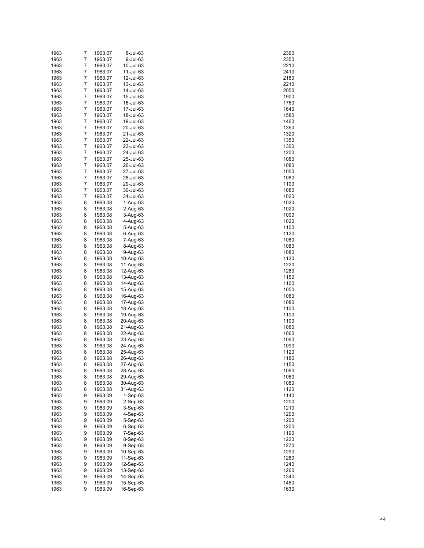| 1963 | 7 | 1963.07 | 8-Jul-63   | 2360 |
|------|---|---------|------------|------|
| 1963 | 7 | 1963.07 | 9-Jul-63   | 2350 |
| 1963 | 7 | 1963.07 | 10-Jul-63  | 2210 |
| 1963 | 7 | 1963.07 | 11-Jul-63  | 2410 |
| 1963 | 7 | 1963.07 | 12-Jul-63  | 2180 |
| 1963 | 7 | 1963.07 | 13-Jul-63  | 2210 |
| 1963 | 7 | 1963.07 | 14-Jul-63  | 2050 |
|      |   |         |            |      |
| 1963 | 7 | 1963.07 | 15-Jul-63  | 1900 |
| 1963 | 7 | 1963.07 | 16-Jul-63  | 1760 |
| 1963 | 7 | 1963.07 | 17-Jul-63  | 1640 |
| 1963 | 7 | 1963.07 | 18-Jul-63  | 1580 |
| 1963 | 7 | 1963.07 | 19-Jul-63  | 1460 |
| 1963 | 7 | 1963.07 | 20-Jul-63  | 1350 |
| 1963 | 7 | 1963.07 | 21-Jul-63  | 1320 |
| 1963 | 7 | 1963.07 | 22-Jul-63  | 1350 |
| 1963 | 7 | 1963.07 | 23-Jul-63  | 1300 |
| 1963 | 7 | 1963.07 | 24-Jul-63  | 1200 |
| 1963 | 7 | 1963.07 | 25-Jul-63  | 1080 |
|      | 7 |         |            |      |
| 1963 |   | 1963.07 | 26-Jul-63  | 1080 |
| 1963 | 7 | 1963.07 | 27-Jul-63  | 1050 |
| 1963 | 7 | 1963.07 | 28-Jul-63  | 1080 |
| 1963 | 7 | 1963.07 | 29-Jul-63  | 1100 |
| 1963 | 7 | 1963.07 | 30-Jul-63  | 1080 |
| 1963 | 7 | 1963.07 | 31-Jul-63  | 1020 |
| 1963 | 8 | 1963.08 | 1-Aug-63   | 1020 |
| 1963 | 8 | 1963.08 | $2-Auq-63$ | 1020 |
| 1963 | 8 | 1963.08 | 3-Aug-63   | 1000 |
| 1963 | 8 | 1963.08 | 4-Aug-63   | 1020 |
| 1963 | 8 | 1963.08 | 5-Aug-63   | 1100 |
| 1963 | 8 | 1963.08 | 6-Aug-63   | 1120 |
| 1963 | 8 | 1963.08 |            | 1080 |
|      |   |         | 7-Aug-63   |      |
| 1963 | 8 | 1963.08 | 8-Aug-63   | 1080 |
| 1963 | 8 | 1963.08 | 9-Aug-63   | 1080 |
| 1963 | 8 | 1963.08 | 10-Aug-63  | 1120 |
| 1963 | 8 | 1963.08 | 11-Aug-63  | 1220 |
| 1963 | 8 | 1963.08 | 12-Aug-63  | 1280 |
| 1963 | 8 | 1963.08 | 13-Aug-63  | 1150 |
| 1963 | 8 | 1963.08 | 14-Aug-63  | 1100 |
| 1963 | 8 | 1963.08 | 15-Aug-63  | 1050 |
| 1963 | 8 | 1963.08 | 16-Aug-63  | 1080 |
| 1963 | 8 | 1963.08 | 17-Aug-63  | 1080 |
| 1963 | 8 | 1963.08 | 18-Aug-63  | 1100 |
| 1963 | 8 | 1963.08 | 19-Aug-63  | 1100 |
| 1963 | 8 | 1963.08 | 20-Aug-63  |      |
|      |   |         |            | 1100 |
| 1963 | 8 | 1963.08 | 21-Aug-63  | 1080 |
| 1963 | 8 | 1963.08 | 22-Aug-63  | 1060 |
| 1963 | 8 | 1963.08 | 23-Aug-63  | 1060 |
| 1963 | 8 | 1963.08 | 24-Aug-63  | 1090 |
| 1963 | 8 | 1963.08 | 25-Aug-63  | 1120 |
| 1963 | 8 | 1963.08 | 26-Aug-63  | 1180 |
| 1963 | 8 | 1963.08 | 27-Aug-63  | 1150 |
| 1963 | 8 | 1963.08 | 28-Aug-63  | 1060 |
| 1963 | 8 | 1963.08 | 29-Aug-63  | 1060 |
| 1963 | 8 | 1963.08 | 30-Aug-63  | 1080 |
| 1963 | 8 | 1963.08 | 31-Aug-63  | 1120 |
| 1963 | 9 |         |            |      |
|      |   | 1963.09 | $1-Sep-63$ | 1140 |
| 1963 | 9 | 1963.09 | 2-Sep-63   | 1200 |
| 1963 | 9 | 1963.09 | $3-Sep-63$ | 1210 |
| 1963 | 9 | 1963.09 | 4-Sep-63   | 1200 |
| 1963 | 9 | 1963.09 | 5-Sep-63   | 1200 |
| 1963 | 9 | 1963.09 | $6-Sep-63$ | 1200 |
| 1963 | 9 | 1963.09 | $7-Sep-63$ | 1190 |
| 1963 | 9 | 1963.09 | 8-Sep-63   | 1220 |
| 1963 | 9 | 1963.09 | $9-Sep-63$ | 1270 |
| 1963 | 9 | 1963.09 | 10-Sep-63  | 1290 |
| 1963 | 9 | 1963.09 | 11-Sep-63  | 1280 |
| 1963 | 9 | 1963.09 | 12-Sep-63  | 1240 |
| 1963 | 9 | 1963.09 | 13-Sep-63  | 1260 |
|      | 9 |         |            |      |
| 1963 |   | 1963.09 | 14-Sep-63  | 1340 |
| 1963 | 9 | 1963.09 | 15-Sep-63  | 1450 |
| 1963 | 9 | 1963.09 | 16-Sep-63  | 1630 |

| 360                                    |
|----------------------------------------|
|                                        |
| 350                                    |
| 210<br>)                               |
| 410                                    |
| 180                                    |
|                                        |
| 210                                    |
| 2050<br>)                              |
| 1900                                   |
|                                        |
| 1760<br>)                              |
| 1640                                   |
| 1580<br>)                              |
| 1460                                   |
|                                        |
| 350<br>1<br>)                          |
| 1320                                   |
| 350<br>1<br>)                          |
|                                        |
| 1300                                   |
| 1200<br>)                              |
| 1080                                   |
| 1080<br>)                              |
|                                        |
| 1050                                   |
| 1080                                   |
| 1100                                   |
| j                                      |
| 1080                                   |
| 1020                                   |
| 1020<br>)                              |
| 1020                                   |
|                                        |
| 00 <sup>0</sup><br>$\mathfrak z$<br>10 |
| 1020                                   |
| 1100<br>$\mathfrak z$                  |
| 1120                                   |
|                                        |
| 1080<br>)                              |
| 1080                                   |
| 1080<br>$\mathbf{)}$                   |
|                                        |
| 1120                                   |
| 122<br>20<br>)                         |
| 1280                                   |
| )                                      |
| 115(                                   |
| 1100                                   |
| 1050<br>)                              |
| 1080                                   |
|                                        |
| 1080<br>)                              |
| 1100                                   |
| 11(<br>)(<br>)                         |
| 1100                                   |
|                                        |
| 1080<br>)                              |
| 1060                                   |
| 1060<br>)                              |
|                                        |
| 1090                                   |
| 112<br>)<br>20                         |
| 1180                                   |
| 1150                                   |
|                                        |
| 1060                                   |
| 1060<br>)                              |
| 1080                                   |
| 1120<br>)                              |
|                                        |
| 1140                                   |
| 1200<br>)                              |
| 1210                                   |
| 1200<br>)                              |
|                                        |
| 1200                                   |
| 1200<br>)                              |
| 1190                                   |
| 1220<br>)                              |
|                                        |
| 270<br>1:                              |
| 1290<br>)                              |
| 1280                                   |
|                                        |
| 240<br>12<br>)                         |
| 1260                                   |
| 1340<br>)                              |
| 1450                                   |
|                                        |
| 1630                                   |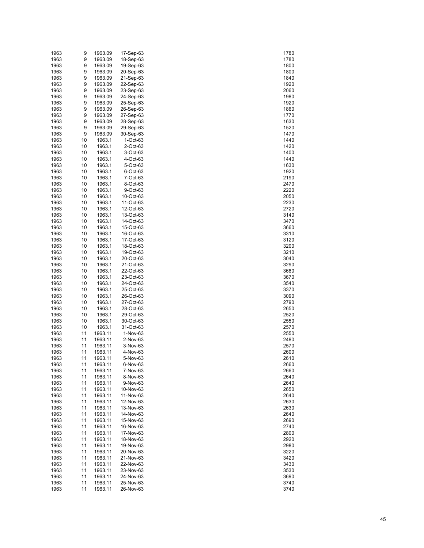| 1963 | 9  | 1963.09 | 17-Sep-63   | 1780 |
|------|----|---------|-------------|------|
| 1963 | 9  | 1963.09 | 18-Sep-63   | 1780 |
| 1963 | 9  | 1963.09 | 19-Sep-63   | 1800 |
|      |    |         |             |      |
| 1963 | 9  | 1963.09 | 20-Sep-63   | 1800 |
| 1963 | 9  | 1963.09 | 21-Sep-63   | 1840 |
| 1963 | 9  | 1963.09 | 22-Sep-63   | 1920 |
| 1963 | 9  | 1963.09 | 23-Sep-63   | 2060 |
| 1963 | 9  | 1963.09 | 24-Sep-63   | 1980 |
| 1963 | 9  | 1963.09 | 25-Sep-63   | 1920 |
|      |    |         |             |      |
| 1963 | 9  | 1963.09 | 26-Sep-63   | 1860 |
| 1963 | 9  | 1963.09 | 27-Sep-63   | 1770 |
| 1963 | 9  | 1963.09 | 28-Sep-63   | 1630 |
| 1963 | 9  | 1963.09 | 29-Sep-63   | 1520 |
| 1963 | 9  | 1963.09 | 30-Sep-63   | 1470 |
| 1963 | 10 | 1963.1  | $1$ -Oct-63 | 1440 |
| 1963 | 10 | 1963.1  | 2-Oct-63    | 1420 |
|      |    |         |             |      |
| 1963 | 10 | 1963.1  | 3-Oct-63    | 1400 |
| 1963 | 10 | 1963.1  | 4-Oct-63    | 1440 |
| 1963 | 10 | 1963.1  | 5-Oct-63    | 1630 |
| 1963 | 10 | 1963.1  | 6-Oct-63    | 1920 |
| 1963 | 10 | 1963.1  | 7-Oct-63    | 2190 |
| 1963 | 10 | 1963.1  | 8-Oct-63    | 2470 |
| 1963 | 10 | 1963.1  | 9-Oct-63    | 2220 |
|      |    |         |             |      |
| 1963 | 10 | 1963.1  | 10-Oct-63   | 2050 |
| 1963 | 10 | 1963.1  | 11-Oct-63   | 2230 |
| 1963 | 10 | 1963.1  | 12-Oct-63   | 2720 |
| 1963 | 10 | 1963.1  | 13-Oct-63   | 3140 |
| 1963 | 10 | 1963.1  | 14-Oct-63   | 3470 |
| 1963 | 10 | 1963.1  | 15-Oct-63   | 3660 |
|      |    |         |             |      |
| 1963 | 10 | 1963.1  | 16-Oct-63   | 3310 |
| 1963 | 10 | 1963.1  | 17-Oct-63   | 3120 |
| 1963 | 10 | 1963.1  | 18-Oct-63   | 3200 |
| 1963 | 10 | 1963.1  | 19-Oct-63   | 3210 |
| 1963 | 10 | 1963.1  | 20-Oct-63   | 3040 |
| 1963 | 10 | 1963.1  | 21-Oct-63   | 3290 |
| 1963 | 10 | 1963.1  | 22-Oct-63   | 3680 |
|      |    | 1963.1  |             | 3670 |
| 1963 | 10 |         | 23-Oct-63   |      |
| 1963 | 10 | 1963.1  | 24-Oct-63   | 3540 |
| 1963 | 10 | 1963.1  | 25-Oct-63   | 3370 |
| 1963 | 10 | 1963.1  | 26-Oct-63   | 3090 |
| 1963 | 10 | 1963.1  | 27-Oct-63   | 2790 |
| 1963 | 10 | 1963.1  | 28-Oct-63   | 2650 |
| 1963 | 10 | 1963.1  | 29-Oct-63   | 2520 |
|      |    |         | 30-Oct-63   | 2550 |
| 1963 | 10 | 1963.1  |             |      |
| 1963 | 10 | 1963.1  | 31-Oct-63   | 2570 |
| 1963 | 11 | 1963.11 | 1-Nov-63    | 2550 |
| 1963 | 11 | 1963.11 | 2-Nov-63    | 2480 |
| 1963 | 11 | 1963.11 | 3-Nov-63    | 2570 |
| 1963 | 11 | 1963.11 | 4-Nov-63    | 2600 |
| 1963 | 11 | 1963.11 | 5-Nov-63    | 2610 |
| 1963 | 11 | 1963.11 | 6-Nov-63    | 2660 |
|      |    |         |             |      |
| 1963 | 11 | 1963.11 | 7-Nov-63    | 2660 |
| 1963 | 11 | 1963.11 | 8-Nov-63    | 2640 |
| 1963 | 11 | 1963.11 | 9-Nov-63    | 2640 |
| 1963 | 11 | 1963.11 | 10-Nov-63   | 2650 |
| 1963 | 11 | 1963.11 | 11-Nov-63   | 2640 |
| 1963 | 11 | 1963.11 | 12-Nov-63   | 2630 |
| 1963 |    | 1963.11 |             |      |
|      | 11 |         | 13-Nov-63   | 2630 |
| 1963 | 11 | 1963.11 | 14-Nov-63   | 2640 |
| 1963 | 11 | 1963.11 | 15-Nov-63   | 2690 |
| 1963 | 11 | 1963.11 | 16-Nov-63   | 2740 |
| 1963 | 11 | 1963.11 | 17-Nov-63   | 2800 |
| 1963 | 11 | 1963.11 | 18-Nov-63   | 2920 |
| 1963 | 11 | 1963.11 | 19-Nov-63   | 2980 |
|      |    | 1963.11 |             |      |
| 1963 | 11 |         | 20-Nov-63   | 3220 |
| 1963 | 11 | 1963.11 | 21-Nov-63   | 3420 |
| 1963 | 11 | 1963.11 | 22-Nov-63   | 3430 |
| 1963 | 11 | 1963.11 | 23-Nov-63   | 3530 |
| 1963 | 11 | 1963.11 | 24-Nov-63   | 3690 |
| 1963 | 11 | 1963.11 | 25-Nov-63   | 3740 |
| 1963 | 11 | 1963.11 | 26-Nov-63   | 3740 |
|      |    |         |             |      |

| 1780<br>)                  |  |
|----------------------------|--|
|                            |  |
| 1780                       |  |
| 1800                       |  |
| )                          |  |
| 1800                       |  |
|                            |  |
| 1840                       |  |
|                            |  |
| 1920                       |  |
|                            |  |
| 2060                       |  |
| 1980                       |  |
|                            |  |
| 19:<br>20                  |  |
|                            |  |
| 1860                       |  |
|                            |  |
| 17<br>70                   |  |
| 1630                       |  |
|                            |  |
| 1520<br>J                  |  |
|                            |  |
| 1470                       |  |
|                            |  |
| 1440                       |  |
| 1420                       |  |
|                            |  |
| 1400                       |  |
|                            |  |
| 1440                       |  |
|                            |  |
| 1630                       |  |
| 1920                       |  |
|                            |  |
| 2190                       |  |
|                            |  |
| 2470                       |  |
|                            |  |
| 22<br>20                   |  |
| 2050                       |  |
|                            |  |
| 2230                       |  |
|                            |  |
| 2720                       |  |
|                            |  |
| 3140                       |  |
| 3470                       |  |
|                            |  |
| 3660                       |  |
|                            |  |
| 3310                       |  |
|                            |  |
| 3120                       |  |
| - .<br>3200                |  |
|                            |  |
|                            |  |
| 210<br>32                  |  |
| 3040                       |  |
|                            |  |
| 3290                       |  |
|                            |  |
| 3680                       |  |
| 3670<br>J                  |  |
|                            |  |
| 3540                       |  |
|                            |  |
| 3370                       |  |
|                            |  |
| 3090                       |  |
| $\overline{ }$<br>790      |  |
| )                          |  |
| 2650                       |  |
|                            |  |
| 25.<br>20                  |  |
|                            |  |
| 2550                       |  |
|                            |  |
| 2570                       |  |
| 2550                       |  |
|                            |  |
| 2480<br>)                  |  |
|                            |  |
| 2570                       |  |
|                            |  |
| $\mathfrak{c}$<br>260<br>) |  |
| 2610                       |  |
|                            |  |
| 2660<br>)                  |  |
|                            |  |
| 2660                       |  |
|                            |  |
| 2640<br>)                  |  |
| 2640                       |  |
|                            |  |
| 2650<br>)                  |  |
|                            |  |
| 2640                       |  |
| 2630                       |  |
| )                          |  |
|                            |  |
|                            |  |
| 2630                       |  |
|                            |  |
| 2640<br>)                  |  |
|                            |  |
| 2690                       |  |
| 740<br>$\overline{ }$<br>) |  |
|                            |  |
| 2800                       |  |
|                            |  |
| 2920<br>)                  |  |
|                            |  |
| 2980                       |  |
| 3220<br>)                  |  |
|                            |  |
| 34:<br>20                  |  |
|                            |  |
| 3430<br>)                  |  |
|                            |  |
| 3530                       |  |
| 3690<br>)                  |  |
|                            |  |
| 3740                       |  |
| 3740<br>)                  |  |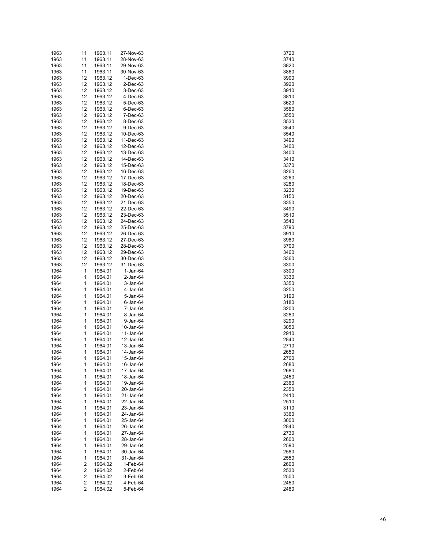| 1963 | 11                      | 1963.11 | 27-Nov-63  | 3720 |
|------|-------------------------|---------|------------|------|
| 1963 | 11                      | 1963.11 | 28-Nov-63  | 3740 |
| 1963 | 11                      | 1963.11 | 29-Nov-63  | 3820 |
| 1963 | 11                      | 1963.11 | 30-Nov-63  | 3860 |
| 1963 | 12                      | 1963.12 | $1-Dec-63$ | 3900 |
| 1963 | 12                      | 1963.12 | 2-Dec-63   | 3920 |
|      | 12                      |         |            |      |
| 1963 |                         | 1963.12 | 3-Dec-63   | 3910 |
| 1963 | 12                      | 1963.12 | 4-Dec-63   | 3810 |
| 1963 | 12                      | 1963.12 | 5-Dec-63   | 3620 |
| 1963 | 12                      | 1963.12 | 6-Dec-63   | 3560 |
| 1963 | 12                      | 1963.12 | 7-Dec-63   | 3550 |
| 1963 | 12                      | 1963.12 | 8-Dec-63   | 3530 |
| 1963 | 12                      | 1963.12 | 9-Dec-63   | 3540 |
| 1963 | 12                      | 1963.12 | 10-Dec-63  | 3540 |
| 1963 | 12                      | 1963.12 | 11-Dec-63  | 3490 |
| 1963 | 12                      | 1963.12 | 12-Dec-63  | 3400 |
| 1963 | 12                      | 1963.12 | 13-Dec-63  | 3400 |
| 1963 | 12                      | 1963.12 | 14-Dec-63  | 3410 |
| 1963 | 12                      | 1963.12 | 15-Dec-63  | 3370 |
| 1963 | 12                      | 1963.12 | 16-Dec-63  | 3260 |
|      | 12                      |         |            |      |
| 1963 |                         | 1963.12 | 17-Dec-63  | 3260 |
| 1963 | 12                      | 1963.12 | 18-Dec-63  | 3280 |
| 1963 | 12                      | 1963.12 | 19-Dec-63  | 3230 |
| 1963 | 12                      | 1963.12 | 20-Dec-63  | 3150 |
| 1963 | 12                      | 1963.12 | 21-Dec-63  | 3350 |
| 1963 | 12                      | 1963.12 | 22-Dec-63  | 3490 |
| 1963 | 12                      | 1963.12 | 23-Dec-63  | 3510 |
| 1963 | 12                      | 1963.12 | 24-Dec-63  | 3540 |
| 1963 | 12                      | 1963.12 | 25-Dec-63  | 3790 |
| 1963 | 12                      | 1963.12 | 26-Dec-63  | 3910 |
| 1963 | 12                      | 1963.12 | 27-Dec-63  | 3980 |
| 1963 | 12                      | 1963.12 | 28-Dec-63  | 3700 |
| 1963 | 12                      | 1963.12 | 29-Dec-63  | 3460 |
| 1963 | 12                      | 1963.12 | 30-Dec-63  | 3360 |
| 1963 | 12                      | 1963.12 | 31-Dec-63  | 3300 |
|      |                         |         |            |      |
| 1964 | 1                       | 1964.01 | $1-Jan-64$ | 3300 |
| 1964 | 1                       | 1964.01 | 2-Jan-64   | 3330 |
| 1964 | 1                       | 1964.01 | 3-Jan-64   | 3350 |
| 1964 | 1                       | 1964.01 | 4-Jan-64   | 3250 |
| 1964 | 1                       | 1964.01 | 5-Jan-64   | 3190 |
| 1964 | 1                       | 1964.01 | 6-Jan-64   | 3180 |
| 1964 | 1                       | 1964.01 | 7-Jan-64   | 3200 |
| 1964 | 1                       | 1964.01 | 8-Jan-64   | 3280 |
| 1964 | 1                       | 1964.01 | 9-Jan-64   | 3290 |
| 1964 | 1                       | 1964.01 | 10-Jan-64  | 3050 |
| 1964 | 1                       | 1964.01 | 11-Jan-64  | 2910 |
| 1964 | 1                       | 1964.01 | 12-Jan-64  | 2840 |
| 1964 | 1                       | 1964.01 | 13-Jan-64  | 2710 |
| 1964 | 1                       | 1964.01 | 14-Jan-64  | 2650 |
| 1964 | 1                       | 1964.01 | 15-Jan-64  | 2700 |
|      | 1                       |         |            | 2680 |
| 1964 | 1                       | 1964.01 | 16-Jan-64  |      |
| 1964 |                         | 1964.01 | 17-Jan-64  | 2680 |
| 1964 | 1                       | 1964.01 | 18-Jan-64  | 2450 |
| 1964 | 1                       | 1964.01 | 19-Jan-64  | 2360 |
| 1964 | 1                       | 1964.01 | 20-Jan-64  | 2350 |
| 1964 | 1                       | 1964.01 | 21-Jan-64  | 2410 |
| 1964 | 1                       | 1964.01 | 22-Jan-64  | 2510 |
| 1964 | 1                       | 1964.01 | 23-Jan-64  | 3110 |
| 1964 | 1                       | 1964.01 | 24-Jan-64  | 3360 |
| 1964 | 1                       | 1964.01 | 25-Jan-64  | 3000 |
| 1964 | 1                       | 1964.01 | 26-Jan-64  | 2840 |
| 1964 | 1                       | 1964.01 | 27-Jan-64  | 2730 |
| 1964 | 1                       | 1964.01 | 28-Jan-64  | 2600 |
| 1964 | 1                       | 1964.01 | 29-Jan-64  | 2590 |
| 1964 | 1                       | 1964.01 | 30-Jan-64  | 2580 |
| 1964 | 1                       | 1964.01 | 31-Jan-64  | 2550 |
|      |                         |         |            |      |
| 1964 | 2                       | 1964.02 | 1-Feb-64   | 2600 |
| 1964 | $\overline{\mathbf{c}}$ | 1964.02 | 2-Feb-64   | 2530 |
| 1964 | $\overline{\mathbf{c}}$ | 1964.02 | 3-Feb-64   | 2500 |
| 1964 | $\overline{\mathbf{c}}$ | 1964.02 | 4-Feb-64   | 2450 |
| 1964 | 2                       | 1964.02 | 5-Feb-64   | 2480 |

| 37.<br>20                      |  |
|--------------------------------|--|
|                                |  |
| 3740                           |  |
| 8820                           |  |
|                                |  |
| 8860                           |  |
| 3900                           |  |
|                                |  |
| 3920                           |  |
| 910                            |  |
|                                |  |
| 8810                           |  |
|                                |  |
| 8620                           |  |
| 3560                           |  |
|                                |  |
| 3550                           |  |
| 3530                           |  |
|                                |  |
| 3540                           |  |
|                                |  |
| 3540                           |  |
| 3490                           |  |
|                                |  |
| 3400                           |  |
| 3400                           |  |
|                                |  |
| 3410                           |  |
|                                |  |
| 3<br>370                       |  |
| 3260                           |  |
|                                |  |
| 3<br>260                       |  |
| $\overline{\mathbf{3}}$<br>280 |  |
|                                |  |
| 230<br>S                       |  |
|                                |  |
| 3150                           |  |
| 350<br>3.                      |  |
|                                |  |
| 3490                           |  |
| 3510                           |  |
|                                |  |
| 3540                           |  |
|                                |  |
| 3790                           |  |
| 3910                           |  |
|                                |  |
| 3980                           |  |
| 3700                           |  |
|                                |  |
| 3460                           |  |
|                                |  |
| 360                            |  |
| S<br>300                       |  |
|                                |  |
|                                |  |
|                                |  |
| 3300                           |  |
| S<br>330                       |  |
|                                |  |
| 350                            |  |
| 250<br>S                       |  |
|                                |  |
| 3190                           |  |
| 3180                           |  |
|                                |  |
| S.<br>200                      |  |
|                                |  |
| ś<br>280                       |  |
| 3290                           |  |
|                                |  |
| 3050                           |  |
| 2910                           |  |
|                                |  |
| 2840                           |  |
|                                |  |
| 2710                           |  |
| 2650                           |  |
| 700                            |  |
|                                |  |
| 2680                           |  |
|                                |  |
| 2680                           |  |
| 2450                           |  |
|                                |  |
| 2360                           |  |
| 350<br>2                       |  |
|                                |  |
| 2410                           |  |
| 2510                           |  |
|                                |  |
| 3110                           |  |
|                                |  |
| 3360                           |  |
| 3000                           |  |
|                                |  |
| 2840                           |  |
| 2730                           |  |
|                                |  |
| 2600                           |  |
|                                |  |
| 2590                           |  |
| 2580                           |  |
|                                |  |
| 2550                           |  |
| 2600                           |  |
|                                |  |
| 2530                           |  |
| 2500                           |  |
|                                |  |
| 2450<br>2480                   |  |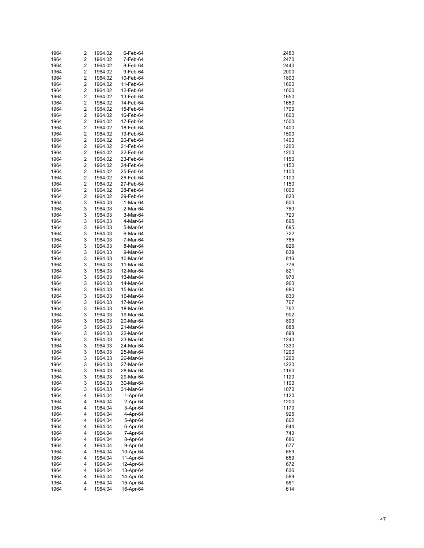| 1964 | 2                       | 1964.02 | 6-Feb-64  | 2480 |
|------|-------------------------|---------|-----------|------|
| 1964 | $\overline{\mathbf{c}}$ | 1964.02 | 7-Feb-64  | 2470 |
| 1964 | 2                       | 1964.02 | 8-Feb-64  | 2440 |
| 1964 | 2                       | 1964.02 | 9-Feb-64  | 2000 |
| 1964 | 2                       | 1964.02 | 10-Feb-64 | 1800 |
| 1964 | 2                       | 1964.02 | 11-Feb-64 | 1600 |
| 1964 | 2                       | 1964.02 | 12-Feb-64 | 1600 |
| 1964 | 2                       | 1964.02 | 13-Feb-64 | 1650 |
| 1964 | 2                       | 1964.02 | 14-Feb-64 | 1650 |
| 1964 | 2                       | 1964.02 | 15-Feb-64 | 1700 |
| 1964 | 2                       | 1964.02 | 16-Feb-64 | 1600 |
| 1964 | 2                       | 1964.02 | 17-Feb-64 | 1500 |
| 1964 | 2                       | 1964.02 | 18-Feb-64 | 1400 |
| 1964 | 2                       | 1964.02 | 19-Feb-64 | 1500 |
| 1964 | 2                       | 1964.02 | 20-Feb-64 | 1400 |
| 1964 | 2                       | 1964.02 | 21-Feb-64 | 1200 |
| 1964 | 2                       | 1964.02 | 22-Feb-64 | 1200 |
| 1964 | 2                       | 1964.02 | 23-Feb-64 | 1150 |
| 1964 | 2                       | 1964.02 | 24-Feb-64 | 1150 |
| 1964 | 2                       | 1964.02 | 25-Feb-64 | 1100 |
| 1964 | 2                       | 1964.02 | 26-Feb-64 | 1100 |
| 1964 | 2                       | 1964.02 | 27-Feb-64 | 1150 |
| 1964 | 2                       | 1964.02 | 28-Feb-64 | 1000 |
| 1964 | 2                       | 1964.02 | 29-Feb-64 | 820  |
| 1964 | 3                       | 1964.03 | 1-Mar-64  | 800  |
| 1964 | 3                       | 1964.03 | 2-Mar-64  | 760  |
| 1964 | 3                       | 1964.03 | 3-Mar-64  | 720  |
| 1964 | 3                       | 1964.03 | 4-Mar-64  | 695  |
| 1964 | 3                       | 1964.03 | 5-Mar-64  | 695  |
| 1964 | 3                       | 1964.03 | 6-Mar-64  | 722  |
| 1964 | 3                       | 1964.03 | 7-Mar-64  | 785  |
| 1964 | 3                       | 1964.03 | 8-Mar-64  | 826  |
| 1964 | 3                       | 1964.03 | 9-Mar-64  | 839  |
| 1964 | 3                       | 1964.03 | 10-Mar-64 | 816  |
| 1964 | 3                       | 1964.03 | 11-Mar-64 | 776  |
| 1964 | 3                       | 1964.03 | 12-Mar-64 | 821  |
| 1964 | 3                       | 1964.03 | 13-Mar-64 | 970  |
| 1964 | 3                       | 1964.03 | 14-Mar-64 | 960  |
| 1964 | 3                       | 1964.03 | 15-Mar-64 | 880  |
| 1964 | 3                       | 1964.03 | 16-Mar-64 | 830  |
| 1964 | 3                       | 1964.03 | 17-Mar-64 | 767  |
| 1964 | 3                       | 1964.03 | 18-Mar-64 | 762  |
| 1964 | 3                       | 1964.03 | 19-Mar-64 | 902  |
| 1964 | 3                       | 1964.03 | 20-Mar-64 | 893  |
| 1964 | 3                       | 1964.03 | 21-Mar-64 | 888  |
| 1964 | 3                       | 1964.03 | 22-Mar-64 | 898  |
| 1964 | 3                       | 1964.03 | 23-Mar-64 | 1240 |
| 1964 | 3                       | 1964.03 | 24-Mar-64 | 1330 |
| 1964 | 3                       | 1964.03 | 25-Mar-64 | 1290 |
| 1964 | 3                       | 1964.03 | 26-Mar-64 | 1260 |
| 1964 | 3                       | 1964.03 | 27-Mar-64 | 1220 |
| 1964 | 3                       | 1964.03 | 28-Mar-64 | 1160 |
| 1964 | 3                       | 1964.03 | 29-Mar-64 | 1120 |
| 1964 | 3                       | 1964.03 | 30-Mar-64 | 1100 |
| 1964 | 3                       | 1964.03 | 31-Mar-64 | 1070 |
| 1964 | 4                       | 1964.04 | 1-Apr-64  | 1120 |
| 1964 | 4                       | 1964.04 | 2-Apr-64  | 1200 |
| 1964 | 4                       | 1964.04 | 3-Apr-64  | 1170 |
| 1964 | 4                       | 1964.04 | 4-Apr-64  | 925  |
| 1964 | 4                       | 1964.04 | 5-Apr-64  | 862  |
| 1964 | 4                       | 1964.04 | 6-Apr-64  | 844  |
| 1964 | 4                       | 1964.04 | 7-Apr-64  | 740  |
| 1964 | 4                       | 1964.04 | 8-Apr-64  | 686  |
| 1964 | 4                       | 1964.04 | 9-Apr-64  | 677  |
| 1964 | 4                       | 1964.04 | 10-Apr-64 | 659  |
| 1964 | 4                       | 1964.04 | 11-Apr-64 | 659  |
| 1964 | 4                       | 1964.04 | 12-Apr-64 | 672  |
| 1964 | 4                       | 1964.04 | 13-Apr-64 | 636  |
| 1964 | 4                       | 1964.04 | 14-Apr-64 | 589  |
| 1964 | 4                       | 1964.04 | 15-Apr-64 | 561  |
| 1964 | 4                       | 1964.04 | 16-Apr-64 | 614  |

| 480                  |
|----------------------|
| 470                  |
| 44)<br>)<br>2000     |
| 1800<br>)            |
| 1600                 |
| 1600<br>)            |
| 1650                 |
| 1650<br>)<br>1700    |
| 1600<br>)            |
| 1500                 |
| 1400<br>)            |
| 1500<br>1400<br>)    |
| 1200                 |
| 1200<br>)            |
| 1150                 |
| 1150<br>)            |
| 1100<br>1100<br>)    |
| 1150                 |
| 1000<br>)            |
| 820                  |
| 800<br>)<br>760      |
| 7:<br>20             |
| 695                  |
| 695                  |
| 722<br>785           |
|                      |
| 826<br>839           |
| 816<br>776           |
| 821                  |
| u<br>970             |
| 960                  |
| 880<br>)             |
| 830                  |
| 767<br>762           |
| ЭO.<br>ί             |
| 893                  |
| 888                  |
| 898                  |
| 1<br>240<br>330<br>1 |
| 290<br>1<br>)        |
| 260<br>1             |
| 1220                 |
| 1160<br>1120<br>)    |
| 1100                 |
| 1070                 |
| 1120                 |
| 1200<br>1170         |
| 925                  |
| 862                  |
| 844                  |
| 740<br>686           |
| 677                  |
| 659                  |
| 659                  |
| 672<br>,<br>636      |
| 589                  |
| 561                  |
| 614                  |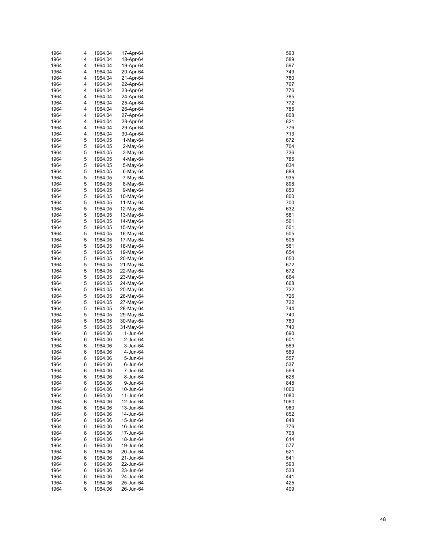| 1964         | 4      | 1964.04            | 17-Apr-64              | 593        |
|--------------|--------|--------------------|------------------------|------------|
| 1964         | 4      | 1964.04            | 18-Apr-64              | 589        |
| 1964         | 4      | 1964.04            | 19-Apr-64              | 597        |
| 1964         | 4      | 1964.04            | 20-Apr-64              | 749        |
| 1964         | 4      | 1964.04            | 21-Apr-64              | 780        |
| 1964         | 4      | 1964.04            | 22-Apr-64              | 767        |
| 1964<br>1964 | 4<br>4 | 1964.04<br>1964.04 | 23-Apr-64<br>24-Apr-64 | 776<br>785 |
| 1964         | 4      | 1964.04            | 25-Apr-64              | 772        |
| 1964         | 4      | 1964.04            | 26-Apr-64              | 785        |
| 1964         | 4      | 1964.04            | 27-Apr-64              | 808        |
| 1964         | 4      | 1964.04            | 28-Apr-64              | 821        |
| 1964         | 4      | 1964.04            | 29-Apr-64              | 776        |
| 1964         | 4      | 1964.04            | 30-Apr-64              | 713        |
| 1964         | 5      | 1964.05            | 1-May-64               | 672        |
| 1964         | 5      | 1964.05            | 2-May-64               | 704        |
| 1964         | 5      | 1964.05            | 3-May-64               | 736        |
| 1964         | 5      | 1964.05            | 4-May-64               | 785        |
| 1964         | 5      | 1964.05            | 5-May-64               | 834        |
| 1964         | 5      | 1964.05            | 6-May-64               | 888        |
| 1964         | 5      | 1964.05            | 7-May-64               | 935        |
| 1964         | 5<br>5 | 1964.05            | 8-May-64<br>9-May-64   | 898<br>850 |
| 1964<br>1964 | 5      | 1964.05<br>1964.05 | 10-May-64              | 800        |
| 1964         | 5      | 1964.05            | 11-May-64              | 700        |
| 1964         | 5      | 1964.05            | 12-May-64              | 632        |
| 1964         | 5      | 1964.05            | 13-May-64              | 581        |
| 1964         | 5      | 1964.05            | 14-May-64              | 561        |
| 1964         | 5      | 1964.05            | 15-May-64              | 501        |
| 1964         | 5      | 1964.05            | 16-May-64              | 505        |
| 1964         | 5      | 1964.05            | 17-May-64              | 505        |
| 1964         | 5      | 1964.05            | 18-May-64              | 561        |
| 1964         | 5      | 1964.05            | 19-May-64              | 654        |
| 1964         | 5      | 1964.05            | 20-May-64              | 650        |
| 1964         | 5<br>5 | 1964.05            | 21-May-64              | 672<br>672 |
| 1964<br>1964 | 5      | 1964.05<br>1964.05 | 22-May-64<br>23-May-64 | 664        |
| 1964         | 5      | 1964.05            | 24-May-64              | 668        |
| 1964         | 5      | 1964.05            | 25-May-64              | 722        |
| 1964         | 5      | 1964.05            | 26-May-64              | 726        |
| 1964         | 5      | 1964.05            | 27-May-64              | 722        |
| 1964         | 5      | 1964.05            | 28-May-64              | 744        |
| 1964         | 5      | 1964.05            | 29-May-64              | 740        |
| 1964         | 5      | 1964.05            | 30-May-64              | 780        |
| 1964         | 5      | 1964.05            | 31-May-64              | 740        |
| 1964         | 6      | 1964.06            | 1-Jun-64               | 690        |
| 1964         | 6      | 1964.06            | 2-Jun-64               | 601        |
| 1964<br>1964 | 6<br>6 | 1964.06<br>1964.06 | 3-Jun-64<br>4-Jun-64   | 589<br>569 |
| 1964         | 6      | 1964.06            | 5-Jun-64               | 557        |
| 1964         | 6      | 1964.06            | 6-Jun-64               | 537        |
| 1964         | 6      | 1964.06            | 7-Jun-64               | 569        |
| 1964         | 6      | 1964.06            | 8-Jun-64               | 628        |
| 1964         | 6      | 1964.06            | 9-Jun-64               | 848        |
| 1964         | 6      | 1964.06            | 10-Jun-64              | 1060       |
| 1964         | 6      | 1964.06            | 11-Jun-64              | 1080       |
| 1964         | 6      | 1964.06            | 12-Jun-64              | 1060       |
| 1964         | 6      | 1964.06            | 13-Jun-64              | 960        |
| 1964         | 6      | 1964.06            | 14-Jun-64              | 852        |
| 1964         | 6      | 1964.06            | 15-Jun-64              | 848        |
| 1964<br>1964 | 6<br>6 | 1964.06<br>1964.06 | 16-Jun-64<br>17-Jun-64 | 776<br>708 |
| 1964         | 6      | 1964.06            | 18-Jun-64              | 614        |
| 1964         | 6      | 1964.06            | 19-Jun-64              | 577        |
| 1964         | 6      | 1964.06            | 20-Jun-64              | 521        |
| 1964         | 6      | 1964.06            | 21-Jun-64              | 541        |
| 1964         | 6      | 1964.06            | 22-Jun-64              | 593        |
| 1964         | 6      | 1964.06            | 23-Jun-64              | 533        |
| 1964         | 6      | 1964.06            | 24-Jun-64              | 441        |
| 1964         | 6      | 1964.06            | 25-Jun-64              | 425        |
| 1964         | 6      | 1964.06            | 26-Jun-64              | 409        |

| 593                             |  |
|---------------------------------|--|
| 589                             |  |
| 597                             |  |
| 74<br>J                         |  |
| 780                             |  |
| 767                             |  |
| 776                             |  |
| 85                              |  |
| 77:                             |  |
| 785                             |  |
| )8<br>80                        |  |
| 821                             |  |
| 76                              |  |
| 713                             |  |
| 672                             |  |
|                                 |  |
| 7<br>)4<br>736                  |  |
| 785                             |  |
|                                 |  |
| 834                             |  |
| 888                             |  |
| 35                              |  |
| 898                             |  |
| 850<br>)                        |  |
| 800                             |  |
| 7<br>)(<br>)                    |  |
| 632                             |  |
| 581                             |  |
| 561                             |  |
| 50<br>)1                        |  |
| $\overline{5}$<br>50            |  |
| 505                             |  |
| 561                             |  |
| 654                             |  |
| 650<br>)                        |  |
| 67                              |  |
| 672                             |  |
| 664                             |  |
| 668                             |  |
| 22<br>7                         |  |
| 7:<br>26                        |  |
| 7:                              |  |
| 744                             |  |
| 740                             |  |
| J<br>780                        |  |
| '4(<br>)                        |  |
| $\overline{\phantom{a}}$<br>690 |  |
|                                 |  |
| $\overline{1}$<br>60            |  |
| 89<br>569                       |  |
| c                               |  |
| 57                              |  |
| 537                             |  |
| 569                             |  |
| 628                             |  |
| 848                             |  |
| 1060                            |  |
| 1080                            |  |
| 1060                            |  |
| 960                             |  |
| 852                             |  |
| 848<br>776                      |  |
|                                 |  |
| 708                             |  |
| 614                             |  |
| -<br>577                        |  |
| 521                             |  |
| 541                             |  |
| 593                             |  |
| 533                             |  |
| 441                             |  |
| 425                             |  |
| 409                             |  |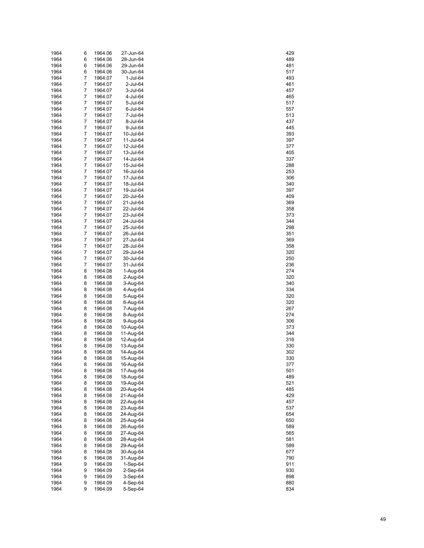| 1964 | 6 | 1964.06 | 27-Jun-64  | 429 |
|------|---|---------|------------|-----|
| 1964 | 6 | 1964.06 | 28-Jun-64  | 489 |
| 1964 | 6 | 1964.06 | 29-Jun-64  | 481 |
| 1964 | 6 | 1964.06 | 30-Jun-64  | 517 |
| 1964 | 7 | 1964.07 | 1-Jul-64   | 493 |
| 1964 | 7 | 1964.07 | 2-Jul-64   | 461 |
| 1964 | 7 | 1964.07 | 3-Jul-64   | 457 |
| 1964 | 7 | 1964.07 | 4-Jul-64   | 465 |
| 1964 | 7 | 1964.07 | 5-Jul-64   | 517 |
| 1964 | 7 | 1964.07 | 6-Jul-64   | 557 |
| 1964 | 7 | 1964.07 | 7-Jul-64   | 513 |
| 1964 | 7 | 1964.07 | 8-Jul-64   | 437 |
| 1964 | 7 | 1964.07 | 9-Jul-64   | 445 |
| 1964 | 7 | 1964.07 | 10-Jul-64  | 393 |
| 1964 | 7 | 1964.07 | 11-Jul-64  | 397 |
| 1964 | 7 | 1964.07 | 12-Jul-64  | 377 |
| 1964 | 7 | 1964.07 | 13-Jul-64  | 405 |
| 1964 | 7 | 1964.07 | 14-Jul-64  | 337 |
| 1964 | 7 | 1964.07 | 15-Jul-64  | 288 |
| 1964 | 7 | 1964.07 | 16-Jul-64  | 253 |
| 1964 | 7 | 1964.07 | 17-Jul-64  | 306 |
| 1964 | 7 | 1964.07 | 18-Jul-64  | 340 |
| 1964 | 7 | 1964.07 | 19-Jul-64  | 397 |
| 1964 | 7 | 1964.07 | 20-Jul-64  | 409 |
| 1964 | 7 | 1964.07 | 21-Jul-64  | 369 |
| 1964 | 7 | 1964.07 | 22-Jul-64  | 358 |
| 1964 | 7 | 1964.07 | 23-Jul-64  | 373 |
| 1964 | 7 | 1964.07 | 24-Jul-64  | 344 |
| 1964 | 7 | 1964.07 | 25-Jul-64  | 298 |
| 1964 | 7 | 1964.07 | 26-Jul-64  | 351 |
| 1964 | 7 | 1964.07 | 27-Jul-64  | 369 |
| 1964 | 7 | 1964.07 | 28-Jul-64  | 358 |
| 1964 | 7 | 1964.07 | 29-Jul-64  | 320 |
| 1964 | 7 | 1964.07 | 30-Jul-64  | 250 |
| 1964 | 7 | 1964.07 | 31-Jul-64  | 236 |
| 1964 | 8 | 1964.08 | 1-Aug-64   | 274 |
| 1964 | 8 | 1964.08 | 2-Aug-64   | 320 |
| 1964 | 8 | 1964.08 | 3-Aug-64   | 340 |
| 1964 | 8 | 1964.08 | 4-Aug-64   | 334 |
| 1964 | 8 | 1964.08 | 5-Aug-64   | 320 |
| 1964 | 8 | 1964.08 | 6-Aug-64   | 320 |
| 1964 | 8 | 1964.08 | 7-Aug-64   | 267 |
| 1964 | 8 | 1964.08 | 8-Aug-64   | 274 |
| 1964 | 8 | 1964.08 | 9-Aug-64   | 306 |
| 1964 | 8 | 1964.08 | 10-Aug-64  | 373 |
| 1964 | 8 | 1964.08 | 11-Aug-64  | 344 |
| 1964 | 8 | 1964.08 | 12-Aug-64  | 316 |
| 1964 | 8 | 1964.08 | 13-Aug-64  | 330 |
| 1964 | 8 | 1964.08 | 14-Aug-64  | 302 |
| 1964 | 8 | 1964.08 | 15-Aug-64  | 330 |
| 1964 | 8 | 1964.08 | 16-Aug-64  | 377 |
| 1964 | 8 | 1964.08 | 17-Aug-64  | 501 |
| 1964 | 8 | 1964.08 | 18-Aug-64  | 489 |
| 1964 | 8 | 1964.08 | 19-Aug-64  | 521 |
| 1964 | 8 | 1964.08 | 20-Aug-64  | 485 |
| 1964 | 8 | 1964.08 | 21-Aug-64  | 429 |
| 1964 | 8 | 1964.08 | 22-Aug-64  | 457 |
| 1964 | 8 | 1964.08 | 23-Aug-64  | 537 |
| 1964 | 8 | 1964.08 | 24-Aug-64  | 654 |
| 1964 | 8 | 1964.08 | 25-Aug-64  | 650 |
| 1964 | 8 | 1964.08 | 26-Aug-64  | 589 |
| 1964 | 8 | 1964.08 | 27-Aug-64  | 565 |
| 1964 | 8 | 1964.08 | 28-Aug-64  | 581 |
| 1964 | 8 | 1964.08 | 29-Aug-64  | 589 |
| 1964 | 8 | 1964.08 | 30-Aug-64  | 677 |
| 1964 | 8 | 1964.08 | 31-Aug-64  | 790 |
| 1964 | 9 | 1964.09 | 1-Sep-64   | 911 |
| 1964 | 9 | 1964.09 | $2-Sep-64$ | 930 |
| 1964 | 9 | 1964.09 | 3-Sep-64   | 898 |
| 1964 | 9 | 1964.09 | 4-Sep-64   | 880 |
| 1964 | 9 | 1964.09 | 5-Sep-64   | 834 |

| 429        |  |
|------------|--|
| 489        |  |
| 481        |  |
| 517        |  |
|            |  |
| 49<br>3    |  |
| 461        |  |
| 457        |  |
| 465        |  |
|            |  |
| 517        |  |
| 557        |  |
| 51         |  |
|            |  |
| 437        |  |
| 445        |  |
| 393        |  |
|            |  |
| 397        |  |
| 377        |  |
| 405        |  |
|            |  |
| 337        |  |
| 288        |  |
| 253        |  |
|            |  |
| 806        |  |
| 340        |  |
| 397        |  |
| 409        |  |
|            |  |
| 369        |  |
| 358        |  |
| 37<br>3    |  |
|            |  |
| 344        |  |
| 298        |  |
| 351        |  |
|            |  |
| 369        |  |
| 358        |  |
| 20         |  |
|            |  |
| 250        |  |
| 2<br>36    |  |
| 274        |  |
|            |  |
| S.<br>20   |  |
| 340        |  |
| 34<br>}    |  |
| 320        |  |
|            |  |
| 20         |  |
| 267        |  |
| 274        |  |
|            |  |
| 806        |  |
| 37         |  |
| 344        |  |
|            |  |
| 316        |  |
| 30         |  |
| 302        |  |
| 30         |  |
|            |  |
| 377        |  |
| 501        |  |
| 489        |  |
|            |  |
| 521        |  |
| 485        |  |
| 429        |  |
| 457        |  |
|            |  |
| 537        |  |
| 654        |  |
| 650        |  |
|            |  |
| 589        |  |
| 565        |  |
| 581        |  |
|            |  |
| 589        |  |
| 677        |  |
|            |  |
|            |  |
| 790        |  |
| 911        |  |
| 930        |  |
| 898        |  |
|            |  |
| 880<br>834 |  |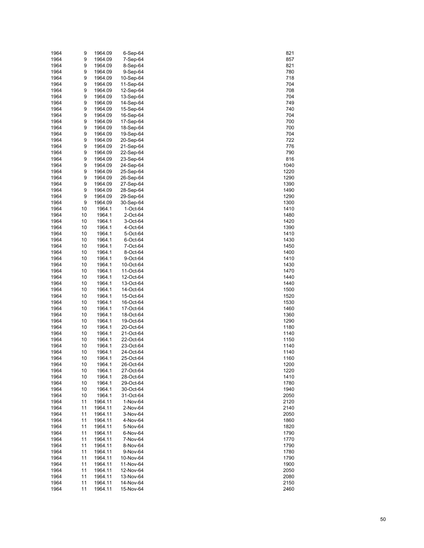| 1964 | 9        | 1964.09           | 6-Sep-64  | 821          |
|------|----------|-------------------|-----------|--------------|
| 1964 | 9        | 1964.09           | 7-Sep-64  | 857          |
| 1964 | 9        | 1964.09           | 8-Sep-64  | 821          |
| 1964 | 9        | 1964.09           | 9-Sep-64  | 780          |
| 1964 | 9        | 1964.09           | 10-Sep-64 | 718          |
| 1964 | 9        | 1964.09           | 11-Sep-64 | 704          |
|      |          |                   |           |              |
| 1964 | 9        | 1964.09           | 12-Sep-64 | 708          |
| 1964 | 9        | 1964.09           | 13-Sep-64 | 704          |
| 1964 | 9        | 1964.09           | 14-Sep-64 | 749          |
| 1964 | 9        | 1964.09           | 15-Sep-64 | 740          |
| 1964 | 9        | 1964.09           | 16-Sep-64 | 704          |
| 1964 | 9        | 1964.09           | 17-Sep-64 | 700          |
| 1964 | 9        | 1964.09           | 18-Sep-64 | 700          |
| 1964 | 9        | 1964.09           | 19-Sep-64 | 704          |
| 1964 | 9        | 1964.09           | 20-Sep-64 | 722          |
| 1964 | 9        | 1964.09           | 21-Sep-64 | 776          |
| 1964 | 9        | 1964.09           | 22-Sep-64 | 790          |
| 1964 | 9        | 1964.09           | 23-Sep-64 | 816          |
|      |          |                   |           |              |
| 1964 | 9        | 1964.09           | 24-Sep-64 | 1040         |
| 1964 | 9        | 1964.09           | 25-Sep-64 | 1220         |
| 1964 | 9        | 1964.09           | 26-Sep-64 | 1290         |
| 1964 | 9        | 1964.09           | 27-Sep-64 | 1390         |
| 1964 | 9        | 1964.09           | 28-Sep-64 | 1490         |
| 1964 | 9        | 1964.09           | 29-Sep-64 | 1290         |
| 1964 | 9        | 1964.09           | 30-Sep-64 | 1300         |
| 1964 | 10       | 1964.1            | 1-Oct-64  | 1410         |
| 1964 | 10       | 1964.1            | 2-Oct-64  | 1480         |
| 1964 | 10       | 1964.1            | 3-Oct-64  | 1420         |
| 1964 | 10       | 1964.1            | 4-Oct-64  | 1390         |
| 1964 | 10       | 1964.1            | 5-Oct-64  | 1410         |
|      |          | 1964.1            |           |              |
| 1964 | 10       |                   | 6-Oct-64  | 1430         |
| 1964 | 10       | 1964.1            | 7-Oct-64  | 1450         |
| 1964 | 10       | 1964.1            | 8-Oct-64  | 1400         |
| 1964 | 10       | 1964.1            | 9-Oct-64  | 1410         |
| 1964 | 10       | 1964.1            | 10-Oct-64 | 1430         |
| 1964 | 10       | 1964.1            | 11-Oct-64 | 1470         |
| 1964 | 10       | 1964.1            | 12-Oct-64 | 1440         |
| 1964 | 10       | 1964.1            | 13-Oct-64 | 1440         |
| 1964 | 10       | 1964.1            | 14-Oct-64 | 1500         |
| 1964 | 10       | 1964.1            | 15-Oct-64 | 1520         |
| 1964 | 10       | 1964.1            | 16-Oct-64 | 1530         |
| 1964 | 10       | 1964.1            | 17-Oct-64 | 1460         |
| 1964 | 10       | 1964.1            | 18-Oct-64 | 1360         |
|      |          |                   |           | 1290         |
| 1964 | 10       | 1964.1            | 19-Oct-64 |              |
| 1964 | 10       | 1964.1            | 20-Oct-64 | 1180         |
| 1964 | 10       | 1964.1            | 21-Oct-64 | 1140         |
| 1964 | 10       | 1964.1            | 22-Oct-64 | 1150         |
| 1964 | 10       | 1964.1            | 23-Oct-64 | 1140         |
| 1964 | 10       | 1964.1            | 24-Oct-64 | 1140         |
| 1964 | 10       | 1964.1            | 25-Oct-64 | 1160         |
| 1964 | 10       | 1964.1            | 26-Oct-64 | 1200         |
| 1964 | 10       | 1964.1            | 27-Oct-64 | 1220         |
| 1964 | 10       | 1964.1            | 28-Oct-64 | 1410         |
| 1964 | 10       | 1964.1            | 29-Oct-64 | 1780         |
| 1964 | 10       | 1964.1            | 30-Oct-64 | 1940         |
|      |          |                   |           |              |
| 1964 | 10<br>11 | 1964.1<br>1964.11 | 31-Oct-64 | 2050<br>2120 |
| 1964 |          |                   | 1-Nov-64  |              |
| 1964 | 11       | 1964.11           | 2-Nov-64  | 2140         |
| 1964 | 11       | 1964.11           | 3-Nov-64  | 2050         |
| 1964 | 11       | 1964.11           | 4-Nov-64  | 1860         |
| 1964 | 11       | 1964.11           | 5-Nov-64  | 1820         |
| 1964 | 11       | 1964.11           | 6-Nov-64  | 1790         |
| 1964 | 11       | 1964.11           | 7-Nov-64  | 1770         |
| 1964 | 11       | 1964.11           | 8-Nov-64  | 1790         |
| 1964 | 11       | 1964.11           | 9-Nov-64  | 1780         |
| 1964 | 11       | 1964.11           | 10-Nov-64 | 1790         |
| 1964 | 11       | 1964.11           | 11-Nov-64 | 1900         |
| 1964 | 11       | 1964.11           | 12-Nov-64 | 2050         |
| 1964 | 11       | 1964.11           | 13-Nov-64 | 2080         |
|      |          |                   |           |              |
| 1964 | 11       | 1964.11           | 14-Nov-64 | 2150         |
| 1964 | 11       | 1964.11           | 15-Nov-64 | 2460         |

| 821               |
|-------------------|
| 857               |
| 821               |
| 780               |
| 718               |
| 704               |
| 708               |
| 704               |
| 749               |
| 740               |
| 704               |
|                   |
| 700               |
| 700               |
| 704               |
| 7<br>22           |
| 776               |
| 790               |
| 816               |
| 1040              |
| 1220              |
| 290<br>1.         |
| $\ddagger$<br>390 |
| 1490              |
| 1290              |
| 300<br>1          |
| 1410              |
| 1480              |
| 1420              |
| 1390              |
| 1410              |
| 1430              |
| 1450              |
| 1400              |
| 1410              |
| 1430              |
| 1470              |
| 1440              |
| 1440              |
| 1500              |
| 1520              |
| 1530              |
| 1460              |
| 360<br>1          |
|                   |
| 290<br>1.<br>1180 |
|                   |
| 1140              |
| 1150              |
| 1140              |
| 1140              |
| 160<br>1          |
| 200<br>1:         |
| 1220              |
| 1410              |
| 1780              |
| 1940              |
| 2050              |
| 2120              |
| 2140              |
| 2050              |
| 1860              |
| 1820              |
| 1790              |
| 1770              |
| 1790              |
| 1780              |
| 1790              |
| 1900              |
| 2050              |
| 2080              |
| 2150              |
| 2460              |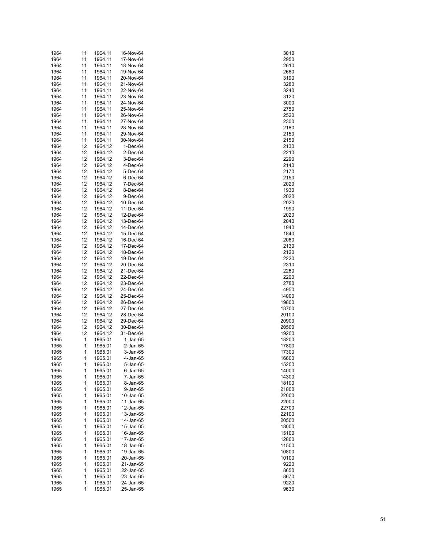| 1964         | 11       | 1964.11            | 16-Nov-64              | 3010           |
|--------------|----------|--------------------|------------------------|----------------|
| 1964         | 11       | 1964.11            | 17-Nov-64              | 2950           |
| 1964         | 11       | 1964.11            | 18-Nov-64              | 2610           |
| 1964         | 11       | 1964.11            | 19-Nov-64              | 2660           |
| 1964         | 11       | 1964.11            | 20-Nov-64              | 3190           |
| 1964         | 11       | 1964.11            | 21-Nov-64              | 3280           |
| 1964         | 11       | 1964.11            | 22-Nov-64              | 3240           |
| 1964         | 11       | 1964.11            | 23-Nov-64              | 3120           |
| 1964         | 11       | 1964.11            | 24-Nov-64              | 3000           |
| 1964<br>1964 | 11<br>11 | 1964.11<br>1964.11 | 25-Nov-64<br>26-Nov-64 | 2750<br>2520   |
| 1964         | 11       | 1964.11            | 27-Nov-64              | 2300           |
| 1964         | 11       | 1964.11            | 28-Nov-64              | 2180           |
| 1964         | 11       | 1964.11            | 29-Nov-64              | 2150           |
| 1964         | 11       | 1964.11            | 30-Nov-64              | 2150           |
| 1964         | 12       | 1964.12            | 1-Dec-64               | 2130           |
| 1964         | 12       | 1964.12            | 2-Dec-64               | 2210           |
| 1964         | 12       | 1964.12            | 3-Dec-64               | 2290           |
| 1964         | 12       | 1964.12            | 4-Dec-64               | 2140           |
| 1964         | 12       | 1964.12            | 5-Dec-64               | 2170           |
| 1964         | 12       | 1964.12            | 6-Dec-64               | 2150           |
| 1964         | 12       | 1964.12            | 7-Dec-64               | 2020           |
| 1964         | 12       | 1964.12            | 8-Dec-64               | 1930           |
| 1964         | 12       | 1964.12            | 9-Dec-64               | 2020           |
| 1964         | 12       | 1964.12            | 10-Dec-64              | 2020           |
| 1964         | 12       | 1964.12            | 11-Dec-64              | 1990           |
| 1964         | 12       | 1964.12            | 12-Dec-64              | 2020           |
| 1964         | 12       | 1964.12            | 13-Dec-64              | 2040           |
| 1964         | 12       | 1964.12            | 14-Dec-64              | 1940           |
| 1964         | 12       | 1964.12            | 15-Dec-64              | 1840           |
| 1964         | 12       | 1964.12            | 16-Dec-64              | 2060           |
| 1964         | 12       | 1964.12            | 17-Dec-64              | 2130           |
| 1964<br>1964 | 12<br>12 | 1964.12<br>1964.12 | 18-Dec-64<br>19-Dec-64 | 2120<br>2220   |
| 1964         | 12       | 1964.12            | 20-Dec-64              | 2310           |
| 1964         | 12       | 1964.12            | 21-Dec-64              | 2260           |
| 1964         | 12       | 1964.12            | 22-Dec-64              | 2200           |
| 1964         | 12       | 1964.12            | 23-Dec-64              | 2780           |
| 1964         | 12       | 1964.12            | 24-Dec-64              | 4950           |
| 1964         | 12       | 1964.12            | 25-Dec-64              | 14000          |
| 1964         | 12       | 1964.12            | 26-Dec-64              | 19800          |
| 1964         | 12       | 1964.12            | 27-Dec-64              | 18700          |
| 1964         | 12       | 1964.12            | 28-Dec-64              | 20100          |
| 1964         | 12       | 1964.12            | 29-Dec-64              | 20900          |
| 1964         | 12       | 1964.12            | 30-Dec-64              | 20500          |
| 1964         | 12       | 1964.12            | 31-Dec-64              | 19200          |
| 1965         | 1        | 1965.01            | $1-Jan-65$             | 18200          |
| 1965         | 1        | 1965.01            | 2-Jan-65               | 17800          |
| 1965         | 1        | 1965.01            | 3-Jan-65               | 17300          |
| 1965         | 1        | 1965.01            | 4-Jan-65               | 16600          |
| 1965         | 1        | 1965.01            | 5-Jan-65               | 15200          |
| 1965         | 1        | 1965.01            | $6$ -Jan- $65$         | 14000          |
| 1965         | 1        | 1965.01            | 7-Jan-65               | 14300          |
| 1965         | 1        | 1965.01            | 8-Jan-65               | 18100          |
| 1965         | 1        | 1965.01            | 9-Jan-65               | 21800          |
| 1965<br>1965 | 1<br>1   | 1965.01<br>1965.01 | 10-Jan-65<br>11-Jan-65 | 22000<br>22000 |
| 1965         | 1        | 1965.01            | 12-Jan-65              | 22700          |
| 1965         | 1        | 1965.01            | 13-Jan-65              | 22100          |
| 1965         | 1        | 1965.01            | 14-Jan-65              | 20500          |
| 1965         | 1        | 1965.01            | 15-Jan-65              | 18000          |
| 1965         | 1        | 1965.01            | 16-Jan-65              | 15100          |
| 1965         | 1        | 1965.01            | 17-Jan-65              | 12800          |
| 1965         | 1        | 1965.01            | 18-Jan-65              | 11500          |
| 1965         | 1        | 1965.01            | 19-Jan-65              | 10800          |
| 1965         | 1        | 1965.01            | 20-Jan-65              | 10100          |
| 1965         | 1        | 1965.01            | 21-Jan-65              | 9220           |
| 1965         | 1        | 1965.01            | 22-Jan-65              | 8650           |
| 1965         | 1        | 1965.01            | 23-Jan-65              | 8670           |
| 1965         | 1        | 1965.01            | 24-Jan-65              | 9220           |
| 1965         | 1        | 1965.01            | 25-Jan-65              | 9630           |

| 3010                |
|---------------------|
| 2950                |
| 2610<br>)           |
| 2660                |
| 3190<br>)           |
| 3280                |
| 3240                |
| 3120                |
| 300C<br>)           |
| 2750                |
| 2520<br>)           |
| 2300                |
| 2180<br>)           |
| 2150                |
| 2150                |
| )                   |
| 2130                |
| 210<br>)            |
| 2290                |
| 2140<br>)           |
| 2170                |
| 2150                |
| 2020                |
| 1930<br>)           |
| 2020                |
| 2020                |
| 1990                |
| 2020<br>)           |
| 2040                |
| 1940                |
| 1840                |
| 2060<br>)           |
| 2130                |
| 2120<br>2220        |
|                     |
| 231(<br>)           |
| $\frac{2260}{1}$    |
| 200<br>)            |
| 2780                |
| 4950<br>)           |
| 14000               |
| 19800<br>)          |
| 18700               |
| 20100<br>)          |
| 20900               |
| 20500<br>)          |
| 19200               |
| 18200<br>)          |
|                     |
| 17800               |
| 17300<br>)          |
| 6600<br>1           |
| 15200               |
| 14000               |
| 14300<br>)          |
| 18100               |
| 21800<br>)          |
| 22000               |
| 2000<br>)           |
| 2700                |
| 22100<br>)          |
| 20500               |
| -----<br>18000<br>) |
| 15100               |
| 12800<br>)          |
| 11500               |
| 10800<br>)          |
| 10100               |
| 9220                |
| 8650                |
| 8670<br>)           |
| 9220                |
| 9630                |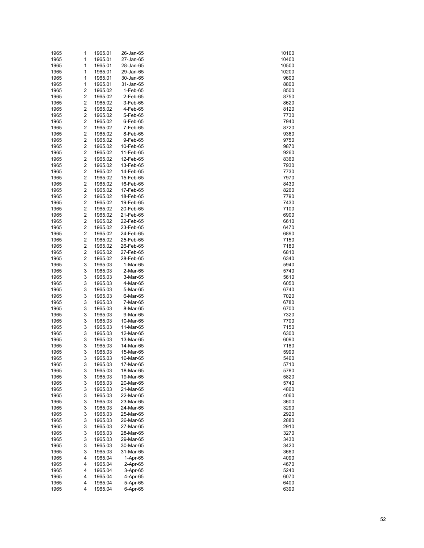| 1965         | 1                                | 1965.01            | 26-Jan-65              | 10100        |
|--------------|----------------------------------|--------------------|------------------------|--------------|
| 1965         | 1                                | 1965.01            | 27-Jan-65              | 10400        |
| 1965         | 1                                | 1965.01            | 28-Jan-65              | 10500        |
| 1965         | 1                                | 1965.01            | 29-Jan-65              | 10200        |
| 1965         | 1                                | 1965.01            | 30-Jan-65              | 9600         |
| 1965         | 1                                | 1965.01            | 31-Jan-65              | 8800         |
| 1965         | 2<br>$\overline{c}$              | 1965.02            | 1-Feb-65               | 8500         |
| 1965         | $\overline{\mathbf{c}}$          | 1965.02            | 2-Feb-65               | 8750         |
| 1965<br>1965 | $\overline{c}$                   | 1965.02<br>1965.02 | 3-Feb-65<br>4-Feb-65   | 8620<br>8120 |
| 1965         | $\overline{c}$                   | 1965.02            | 5-Feb-65               | 7730         |
| 1965         | $\overline{c}$                   | 1965.02            | 6-Feb-65               | 7940         |
| 1965         | $\overline{c}$                   | 1965.02            | 7-Feb-65               | 8720         |
| 1965         | $\overline{c}$                   | 1965.02            | 8-Feb-65               | 9360         |
| 1965         | $\overline{c}$                   | 1965.02            | 9-Feb-65               | 9750         |
| 1965         | $\overline{c}$                   | 1965.02            | 10-Feb-65              | 9870         |
| 1965         | $\overline{c}$                   | 1965.02            | 11-Feb-65              | 9260         |
| 1965         | $\overline{c}$                   | 1965.02            | 12-Feb-65              | 8360         |
| 1965         | $\overline{c}$                   | 1965.02            | 13-Feb-65              | 7930         |
| 1965         | $\overline{c}$                   | 1965.02            | 14-Feb-65              | 7730         |
| 1965         | $\overline{c}$                   | 1965.02            | 15-Feb-65              | 7970         |
| 1965         | $\overline{c}$                   | 1965.02            | 16-Feb-65              | 8430         |
| 1965         | $\overline{c}$                   | 1965.02            | 17-Feb-65              | 8260         |
| 1965         | $\overline{c}$                   | 1965.02            | 18-Feb-65              | 7790         |
| 1965         | $\overline{c}$                   | 1965.02            | 19-Feb-65              | 7430         |
| 1965         | $\overline{c}$<br>$\overline{c}$ | 1965.02<br>1965.02 | 20-Feb-65              | 7100<br>6900 |
| 1965<br>1965 | $\overline{c}$                   | 1965.02            | 21-Feb-65<br>22-Feb-65 | 6610         |
| 1965         | $\overline{c}$                   | 1965.02            | 23-Feb-65              | 6470         |
| 1965         | $\overline{c}$                   | 1965.02            | 24-Feb-65              | 6890         |
| 1965         | $\overline{c}$                   | 1965.02            | 25-Feb-65              | 7150         |
| 1965         | $\overline{c}$                   | 1965.02            | 26-Feb-65              | 7180         |
| 1965         | $\overline{c}$                   | 1965.02            | 27-Feb-65              | 6810         |
| 1965         | $\overline{c}$                   | 1965.02            | 28-Feb-65              | 6340         |
| 1965         | 3                                | 1965.03            | 1-Mar-65               | 5940         |
| 1965         | 3                                | 1965.03            | 2-Mar-65               | 5740         |
| 1965         | 3                                | 1965.03            | 3-Mar-65               | 5610         |
| 1965         | 3                                | 1965.03            | 4-Mar-65               | 6050         |
| 1965         | 3                                | 1965.03            | 5-Mar-65               | 6740         |
| 1965         | 3                                | 1965.03            | 6-Mar-65               | 7020         |
| 1965         | 3                                | 1965.03            | 7-Mar-65               | 6780         |
| 1965         | 3                                | 1965.03            | 8-Mar-65               | 6700         |
| 1965<br>1965 | 3<br>3                           | 1965.03<br>1965.03 | 9-Mar-65<br>10-Mar-65  | 7320<br>7700 |
| 1965         | 3                                | 1965.03            | 11-Mar-65              | 7150         |
| 1965         | 3                                | 1965.03            | 12-Mar-65              | 6300         |
| 1965         | 3                                | 1965.03            | 13-Mar-65              | 6090         |
| 1965         | 3                                | 1965.03            | 14-Mar-65              | 7180         |
| 1965         | 3                                | 1965.03            | 15-Mar-65              | 5990         |
| 1965         | 3                                | 1965.03            | 16-Mar-65              | 5460         |
| 1965         | 3                                | 1965.03            | 17-Mar-65              | 5710         |
| 1965         | 3                                | 1965.03            | 18-Mar-65              | 5780         |
| 1965         | 3                                | 1965.03            | 19-Mar-65              | 5820         |
| 1965         | 3                                | 1965.03            | 20-Mar-65              | 5740         |
| 1965         | 3                                | 1965.03            | 21-Mar-65              | 4860         |
| 1965         | 3                                | 1965.03            | 22-Mar-65              | 4060         |
| 1965         | 3                                | 1965.03            | 23-Mar-65              | 3600         |
| 1965         | 3                                | 1965.03            | 24-Mar-65              | 3290         |
| 1965         | 3                                | 1965.03            | 25-Mar-65              | 2920         |
| 1965<br>1965 | 3<br>3                           | 1965.03<br>1965.03 | 26-Mar-65<br>27-Mar-65 | 2880<br>2910 |
| 1965         | 3                                | 1965.03            | 28-Mar-65              | 3270         |
| 1965         | 3                                | 1965.03            | 29-Mar-65              | 3430         |
| 1965         | 3                                | 1965.03            | 30-Mar-65              | 3420         |
| 1965         | 3                                | 1965.03            | 31-Mar-65              | 3660         |
| 1965         | 4                                | 1965.04            | 1-Apr-65               | 4090         |
| 1965         | 4                                | 1965.04            | 2-Apr-65               | 4670         |
| 1965         | 4                                | 1965.04            | 3-Apr-65               | 5240         |
| 1965         | 4                                | 1965.04            | 4-Apr-65               | 6070         |
| 1965         | 4                                | 1965.04            | 5-Apr-65               | 6400         |
| 1965         | 4                                | 1965.04            | 6-Apr-65               | 6390         |

| 10100<br>10400           |  |
|--------------------------|--|
|                          |  |
|                          |  |
| 10500                    |  |
|                          |  |
| 10200                    |  |
| 9600                     |  |
|                          |  |
| 8800                     |  |
|                          |  |
| 8500                     |  |
|                          |  |
| 8750                     |  |
| $\overline{20}$<br>86    |  |
|                          |  |
| 81:<br>20                |  |
|                          |  |
| 7730                     |  |
| 7940                     |  |
|                          |  |
| 8720                     |  |
|                          |  |
| 9360                     |  |
| 9750                     |  |
|                          |  |
| 9870                     |  |
| 9260                     |  |
|                          |  |
| 8360                     |  |
|                          |  |
|                          |  |
| 7930<br>7730<br>-        |  |
|                          |  |
| 7970                     |  |
|                          |  |
| 8430                     |  |
| 8260<br>7790             |  |
|                          |  |
|                          |  |
|                          |  |
| 7430<br>-                |  |
| 7100                     |  |
|                          |  |
| 6900                     |  |
|                          |  |
| 6610                     |  |
| 6470                     |  |
|                          |  |
| 6890                     |  |
| 7150                     |  |
|                          |  |
| 7180                     |  |
|                          |  |
| 6810                     |  |
| 6340                     |  |
|                          |  |
| 5940                     |  |
|                          |  |
| 5740                     |  |
|                          |  |
| 5610                     |  |
| 6050                     |  |
|                          |  |
| 6740                     |  |
| $\mathbf{c}$<br>20<br>70 |  |
|                          |  |
| 6780                     |  |
|                          |  |
| 6700                     |  |
| 7320<br>--               |  |
|                          |  |
| 700                      |  |
| 7150                     |  |
|                          |  |
| 6300                     |  |
|                          |  |
| 6090                     |  |
| 7180<br>)                |  |
|                          |  |
| 5990                     |  |
|                          |  |
| 46<br>ò                  |  |
| 5710                     |  |
|                          |  |
| 5780                     |  |
| 5820                     |  |
|                          |  |
| 5740<br>)                |  |
|                          |  |
| 4860                     |  |
| .<br>4060<br>)           |  |
|                          |  |
| 3600                     |  |
| 3290<br>)                |  |
|                          |  |
| 2920                     |  |
|                          |  |
| 2880<br>)                |  |
| 2910<br>3270             |  |
|                          |  |
| $\overline{32}$          |  |
| 3430                     |  |
|                          |  |
| 342<br>20<br>)           |  |
|                          |  |
| 3660                     |  |
| 4090<br>)                |  |
|                          |  |
| 4670                     |  |
| 5240<br>)                |  |
|                          |  |
| 6070                     |  |
| 6400                     |  |
|                          |  |
| 6390                     |  |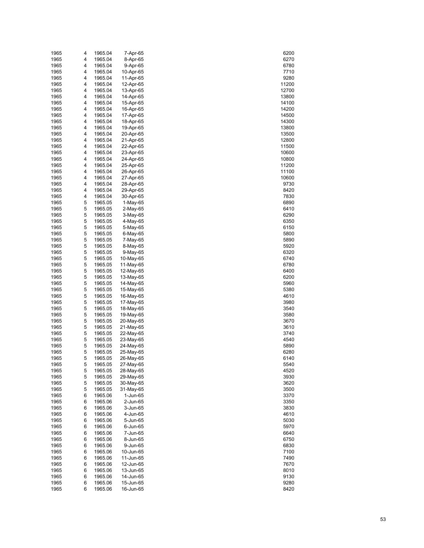| 1965         | 4      | 1965.04            | 7-Apr-65               | 6200           |
|--------------|--------|--------------------|------------------------|----------------|
| 1965         | 4      | 1965.04            | 8-Apr-65               | 6270           |
| 1965         | 4      | 1965.04            | 9-Apr-65               | 6780           |
| 1965<br>1965 | 4<br>4 | 1965.04<br>1965.04 | 10-Apr-65<br>11-Apr-65 | 7710<br>9280   |
| 1965         | 4      | 1965.04            | 12-Apr-65              | 11200          |
| 1965         | 4      | 1965.04            | 13-Apr-65              | 12700          |
| 1965         | 4      | 1965.04            | 14-Apr-65              | 13800          |
| 1965         | 4      | 1965.04            | 15-Apr-65              | 14100          |
| 1965         | 4      | 1965.04            | 16-Apr-65              | 14200          |
| 1965         | 4      | 1965.04            | 17-Apr-65              | 14500          |
| 1965         | 4      | 1965.04            | 18-Apr-65              | 14300          |
| 1965         | 4      | 1965.04            | 19-Apr-65              | 13800          |
| 1965         | 4      | 1965.04            | 20-Apr-65              | 13500          |
| 1965<br>1965 | 4<br>4 | 1965.04<br>1965.04 | 21-Apr-65<br>22-Apr-65 | 12800<br>11500 |
| 1965         | 4      | 1965.04            | 23-Apr-65              | 10600          |
| 1965         | 4      | 1965.04            | 24-Apr-65              | 10800          |
| 1965         | 4      | 1965.04            | 25-Apr-65              | 11200          |
| 1965         | 4      | 1965.04            | 26-Apr-65              | 11100          |
| 1965         | 4      | 1965.04            | 27-Apr-65              | 10600          |
| 1965         | 4      | 1965.04            | 28-Apr-65              | 9730           |
| 1965         | 4      | 1965.04            | 29-Apr-65              | 8420           |
| 1965         | 4<br>5 | 1965.04            | 30-Apr-65              | 7830           |
| 1965<br>1965 | 5      | 1965.05<br>1965.05 | 1-May-65<br>$2-May-65$ | 6890<br>6410   |
| 1965         | 5      | 1965.05            | 3-May-65               | 6290           |
| 1965         | 5      | 1965.05            | 4-May-65               | 6350           |
| 1965         | 5      | 1965.05            | 5-May-65               | 6150           |
| 1965         | 5      | 1965.05            | 6-May-65               | 5800           |
| 1965         | 5      | 1965.05            | 7-May-65               | 5890           |
| 1965         | 5      | 1965.05            | 8-May-65               | 5920           |
| 1965         | 5      | 1965.05            | 9-May-65               | 6320           |
| 1965<br>1965 | 5<br>5 | 1965.05<br>1965.05 | 10-May-65<br>11-May-65 | 6740<br>6780   |
| 1965         | 5      | 1965.05            | 12-May-65              | 6400           |
| 1965         | 5      | 1965.05            | 13-May-65              | 6200           |
| 1965         | 5      | 1965.05            | 14-May-65              | 5960           |
| 1965         | 5      | 1965.05            | 15-May-65              | 5380           |
| 1965         | 5      | 1965.05            | 16-May-65              | 4610           |
| 1965         | 5      | 1965.05            | 17-May-65              | 3980           |
| 1965         | 5      | 1965.05            | 18-May-65              | 3540           |
| 1965         | 5      | 1965.05<br>1965.05 | 19-May-65<br>20-May-65 | 3580           |
| 1965<br>1965 | 5<br>5 | 1965.05            | 21-May-65              | 3670<br>3610   |
| 1965         | 5      | 1965.05            | 22-May-65              | 3740           |
| 1965         | 5      | 1965.05            | 23-May-65              | 4540           |
| 1965         | 5      | 1965.05            | 24-May-65              | 5890           |
| 1965         | 5      | 1965.05            | 25-May-65              | 6280           |
| 1965         | 5      | 1965.05            | 26-May-65              | 6140           |
| 1965         | 5      | 1965.05            | 27-May-65              | 5540           |
| 1965         | 5      | 1965.05            | 28-May-65              | 4520           |
| 1965         | 5<br>5 | 1965.05<br>1965.05 | 29-May-65<br>30-May-65 | 3930<br>3620   |
| 1965<br>1965 | 5      | 1965.05            | 31-May-65              | 3500           |
| 1965         | 6      | 1965.06            | 1-Jun-65               | 3370           |
| 1965         | 6      | 1965.06            | 2-Jun-65               | 3350           |
| 1965         | 6      | 1965.06            | 3-Jun-65               | 3830           |
| 1965         | 6      | 1965.06            | 4-Jun-65               | 4610           |
| 1965         | 6      | 1965.06            | 5-Jun-65               | 5030           |
| 1965         | 6      | 1965.06            | 6-Jun-65               | 5970           |
| 1965         | 6      | 1965.06            | 7-Jun-65               | 6640           |
| 1965<br>1965 | 6<br>6 | 1965.06<br>1965.06 | 8-Jun-65<br>9-Jun-65   | 6750<br>6830   |
| 1965         | 6      | 1965.06            | 10-Jun-65              | 7100           |
| 1965         | 6      | 1965.06            | 11-Jun-65              | 7490           |
| 1965         | 6      | 1965.06            | 12-Jun-65              | 7670           |
| 1965         | 6      | 1965.06            | 13-Jun-65              | 8010           |
| 1965         | 6      | 1965.06            | 14-Jun-65              | 9130           |
| 1965         | 6      | 1965.06            | 15-Jun-65              | 9280           |
| 1965         | 6      | 1965.06            | 16-Jun-65              | 8420           |

| 6<br>200               |
|------------------------|
| 6270                   |
| 6780                   |
| 7710                   |
| 9.<br>280              |
| 11200                  |
| 2700<br>1              |
| 13800                  |
| 14100                  |
| 14200                  |
| 14500                  |
| 14300                  |
| 3800<br>1:             |
| 13500                  |
| 2800<br>1:             |
| 11500                  |
| 10600                  |
| 10800                  |
|                        |
| 11200<br>11100         |
|                        |
| 10600                  |
| 9730                   |
| 84<br>20               |
| 7830                   |
| 6890                   |
| 6410                   |
| 6<br>290               |
| 6350                   |
| 6150                   |
| 5800                   |
| 5890                   |
| 5920                   |
| 6320                   |
| 6740                   |
| 6780                   |
| 6400                   |
| 6<br>200               |
| 5960                   |
| 5380                   |
| 4610                   |
| 3980                   |
| 3540                   |
| 3580                   |
| 3670                   |
| 3610                   |
| 3740                   |
| 4540                   |
| 5890                   |
| 6280                   |
| 140                    |
| 6 <sup>1</sup><br>5540 |
| 4520                   |
| 30                     |
| 39                     |
| 3620                   |
| 3500                   |
| 3370                   |
| 3350                   |
| 3830                   |
| 4610                   |
| 5030                   |
| 5970                   |
| 6640                   |
| 6750                   |
| 6830                   |
| 7100                   |
| 7490                   |
| 7670                   |
| 8010                   |
| 9130                   |
| 9280                   |
| 8420                   |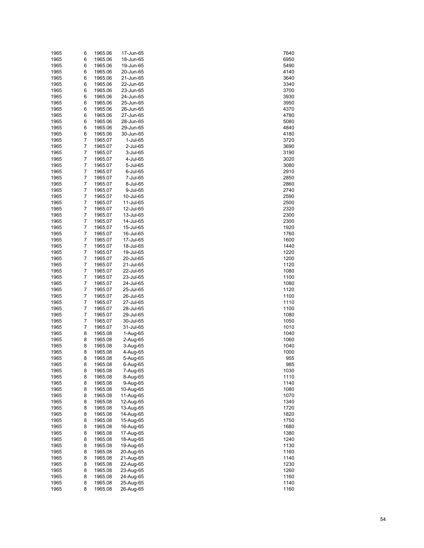| 1965 | 6              | 1965.06 | 17-Jun-65 | 7640 |
|------|----------------|---------|-----------|------|
| 1965 | 6              | 1965.06 | 18-Jun-65 | 6950 |
| 1965 | 6              | 1965.06 | 19-Jun-65 | 5490 |
|      |                |         |           |      |
| 1965 | 6              | 1965.06 | 20-Jun-65 | 4140 |
| 1965 | 6              | 1965.06 | 21-Jun-65 | 3640 |
| 1965 | 6              | 1965.06 | 22-Jun-65 | 3340 |
| 1965 | 6              | 1965.06 | 23-Jun-65 | 3700 |
| 1965 | 6              | 1965.06 | 24-Jun-65 | 3930 |
| 1965 | 6              | 1965.06 | 25-Jun-65 | 3950 |
|      |                |         |           |      |
| 1965 | 6              | 1965.06 | 26-Jun-65 | 4370 |
| 1965 | 6              | 1965.06 | 27-Jun-65 | 4780 |
| 1965 | 6              | 1965.06 | 28-Jun-65 | 5080 |
| 1965 | 6              | 1965.06 | 29-Jun-65 | 4840 |
| 1965 | 6              | 1965.06 | 30-Jun-65 | 4180 |
| 1965 | $\overline{7}$ | 1965.07 | 1-Jul-65  | 3720 |
| 1965 | $\overline{7}$ | 1965.07 | 2-Jul-65  | 3690 |
|      |                |         |           |      |
| 1965 | 7              | 1965.07 | 3-Jul-65  | 3190 |
| 1965 | $\overline{7}$ | 1965.07 | 4-Jul-65  | 3020 |
| 1965 | 7              | 1965.07 | 5-Jul-65  | 3080 |
| 1965 | $\overline{7}$ | 1965.07 | 6-Jul-65  | 2910 |
| 1965 | 7              | 1965.07 | 7-Jul-65  | 2850 |
| 1965 | $\overline{7}$ | 1965.07 | 8-Jul-65  | 2860 |
|      |                |         |           |      |
| 1965 | 7              | 1965.07 | 9-Jul-65  | 2740 |
| 1965 | $\overline{7}$ | 1965.07 | 10-Jul-65 | 2590 |
| 1965 | 7              | 1965.07 | 11-Jul-65 | 2500 |
| 1965 | $\overline{7}$ | 1965.07 | 12-Jul-65 | 2320 |
| 1965 | 7              | 1965.07 | 13-Jul-65 | 2300 |
| 1965 | $\overline{7}$ | 1965.07 | 14-Jul-65 | 2300 |
|      | 7              | 1965.07 | 15-Jul-65 |      |
| 1965 |                |         |           | 1920 |
| 1965 | $\overline{7}$ | 1965.07 | 16-Jul-65 | 1760 |
| 1965 | 7              | 1965.07 | 17-Jul-65 | 1600 |
| 1965 | $\overline{7}$ | 1965.07 | 18-Jul-65 | 1440 |
| 1965 | 7              | 1965.07 | 19-Jul-65 | 1220 |
| 1965 | $\overline{7}$ | 1965.07 | 20-Jul-65 | 1200 |
| 1965 | 7              | 1965.07 | 21-Jul-65 | 1120 |
|      |                |         |           |      |
| 1965 | $\overline{7}$ | 1965.07 | 22-Jul-65 | 1080 |
| 1965 | 7              | 1965.07 | 23-Jul-65 | 1100 |
| 1965 | $\overline{7}$ | 1965.07 | 24-Jul-65 | 1080 |
| 1965 | 7              | 1965.07 | 25-Jul-65 | 1120 |
| 1965 | $\overline{7}$ | 1965.07 | 26-Jul-65 | 1100 |
| 1965 | 7              | 1965.07 | 27-Jul-65 | 1110 |
| 1965 | $\overline{7}$ | 1965.07 |           | 1100 |
|      |                |         | 28-Jul-65 |      |
| 1965 | 7              | 1965.07 | 29-Jul-65 | 1080 |
| 1965 | $\overline{7}$ | 1965.07 | 30-Jul-65 | 1050 |
| 1965 | 7              | 1965.07 | 31-Jul-65 | 1010 |
| 1965 | 8              | 1965.08 | 1-Aug-65  | 1040 |
| 1965 | 8              | 1965.08 | 2-Aug-65  | 1060 |
| 1965 | 8              | 1965.08 | 3-Aug-65  | 1040 |
|      |                |         |           |      |
| 1965 | 8              | 1965.08 | 4-Aug-65  | 1000 |
| 1965 | 8              | 1965.08 | 5-Aug-65  | 955  |
| 1965 | 8              | 1965.08 | 6-Aug-65  | 985  |
| 1965 | 8              | 1965.08 | 7-Aug-65  | 1030 |
| 1965 | 8              | 1965.08 | 8-Aug-65  | 1110 |
| 1965 | 8              | 1965.08 | 9-Aug-65  | 1140 |
| 1965 | 8              | 1965.08 | 10-Aug-65 | 1080 |
|      |                |         |           |      |
| 1965 | 8              | 1965.08 | 11-Aug-65 | 1070 |
| 1965 | 8              | 1965.08 | 12-Aug-65 | 1340 |
| 1965 | 8              | 1965.08 | 13-Aug-65 | 1720 |
| 1965 | 8              | 1965.08 | 14-Aug-65 | 1820 |
| 1965 | 8              | 1965.08 | 15-Aug-65 | 1750 |
| 1965 | 8              | 1965.08 | 16-Aug-65 | 1680 |
| 1965 | 8              | 1965.08 | 17-Aug-65 | 1380 |
|      |                |         |           |      |
| 1965 | 8              | 1965.08 | 18-Aug-65 | 1240 |
| 1965 | 8              | 1965.08 | 19-Aug-65 | 1130 |
| 1965 | 8              | 1965.08 | 20-Aug-65 | 1160 |
| 1965 | 8              | 1965.08 | 21-Aug-65 | 1140 |
| 1965 | 8              | 1965.08 | 22-Aug-65 | 1230 |
| 1965 | 8              | 1965.08 | 23-Aug-65 | 1260 |
|      | 8              |         |           |      |
| 1965 |                | 1965.08 | 24-Aug-65 | 1160 |
| 1965 | 8              | 1965.08 | 25-Aug-65 | 1140 |
| 1965 | 8              | 1965.08 | 26-Aug-65 | 1160 |

| 7640<br>6950 |  |
|--------------|--|
|              |  |
|              |  |
|              |  |
| 5490         |  |
| 4140         |  |
| 3640         |  |
|              |  |
| 3340         |  |
| 3700         |  |
|              |  |
| 3930         |  |
| 3950         |  |
|              |  |
| 4370         |  |
| 4780         |  |
| 5080         |  |
|              |  |
| 4840         |  |
| 4180         |  |
|              |  |
| 3720         |  |
| 3690         |  |
|              |  |
| 3190         |  |
| 3020         |  |
|              |  |
| 3080         |  |
| 2910         |  |
| 2850         |  |
|              |  |
| 2860         |  |
| 2740         |  |
|              |  |
| 2590         |  |
| 2500         |  |
|              |  |
| 2320         |  |
| 300<br>2     |  |
| 2300         |  |
|              |  |
| 1920         |  |
| 1760         |  |
|              |  |
| 1600         |  |
| 1440         |  |
|              |  |
| 1.<br>220    |  |
| 1200         |  |
|              |  |
| 1120         |  |
| 1080         |  |
| 1100         |  |
|              |  |
|              |  |
| 1080         |  |
|              |  |
| 1120         |  |
| 1100         |  |
|              |  |
| 1110         |  |
| 1100         |  |
|              |  |
| 1080         |  |
| 1050         |  |
| 1010         |  |
|              |  |
| 1040         |  |
| 1060         |  |
|              |  |
| 1040         |  |
| 1000         |  |
|              |  |
| 955<br>,     |  |
| 985          |  |
| 1030         |  |
|              |  |
| 1110         |  |
| 1140         |  |
|              |  |
| 1080         |  |
| 1070         |  |
| 340<br>1     |  |
|              |  |
| 1720         |  |
| 1820         |  |
|              |  |
| 1750         |  |
| 1680         |  |
|              |  |
| 1380         |  |
| 240<br>1.    |  |
|              |  |
| 1130         |  |
| 1160         |  |
|              |  |
| 1140         |  |
| 230<br>1.    |  |
| 260<br>1:    |  |
|              |  |
| 1160         |  |
| 1140         |  |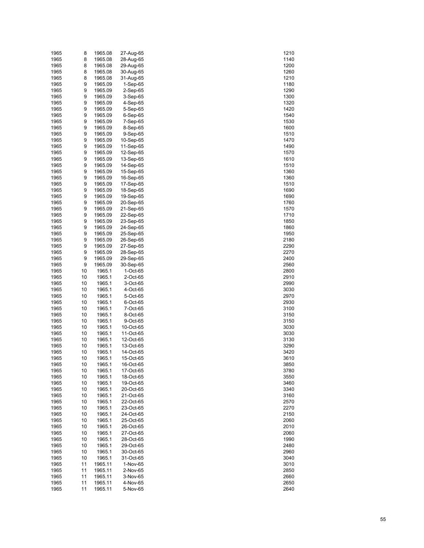| 1965 | 8  | 1965.08 | 27-Aug-65  | 1210 |
|------|----|---------|------------|------|
| 1965 | 8  | 1965.08 | 28-Aug-65  | 1140 |
| 1965 | 8  | 1965.08 | 29-Aug-65  | 1200 |
| 1965 | 8  | 1965.08 | 30-Aug-65  | 1260 |
| 1965 | 8  | 1965.08 | 31-Aug-65  | 1210 |
|      | 9  |         |            |      |
| 1965 |    | 1965.09 | $1-Sep-65$ | 1180 |
| 1965 | 9  | 1965.09 | 2-Sep-65   | 1290 |
| 1965 | 9  | 1965.09 | 3-Sep-65   | 1300 |
| 1965 | 9  | 1965.09 | 4-Sep-65   | 1320 |
| 1965 | 9  | 1965.09 | 5-Sep-65   | 1420 |
| 1965 | 9  | 1965.09 | 6-Sep-65   | 1540 |
| 1965 | 9  | 1965.09 | 7-Sep-65   | 1530 |
| 1965 | 9  | 1965.09 | 8-Sep-65   | 1600 |
| 1965 | 9  | 1965.09 | 9-Sep-65   | 1510 |
| 1965 | 9  | 1965.09 | 10-Sep-65  | 1470 |
| 1965 | 9  | 1965.09 | 11-Sep-65  | 1490 |
| 1965 | 9  | 1965.09 | 12-Sep-65  | 1570 |
|      |    |         |            |      |
| 1965 | 9  | 1965.09 | 13-Sep-65  | 1610 |
| 1965 | 9  | 1965.09 | 14-Sep-65  | 1510 |
| 1965 | 9  | 1965.09 | 15-Sep-65  | 1360 |
| 1965 | 9  | 1965.09 | 16-Sep-65  | 1360 |
| 1965 | 9  | 1965.09 | 17-Sep-65  | 1510 |
| 1965 | 9  | 1965.09 | 18-Sep-65  | 1690 |
| 1965 | 9  | 1965.09 | 19-Sep-65  | 1690 |
| 1965 | 9  | 1965.09 | 20-Sep-65  | 1760 |
| 1965 | 9  | 1965.09 | 21-Sep-65  | 1570 |
| 1965 | 9  | 1965.09 | 22-Sep-65  | 1710 |
| 1965 | 9  | 1965.09 | 23-Sep-65  | 1850 |
| 1965 | 9  | 1965.09 | 24-Sep-65  | 1860 |
|      |    |         |            |      |
| 1965 | 9  | 1965.09 | 25-Sep-65  | 1950 |
| 1965 | 9  | 1965.09 | 26-Sep-65  | 2180 |
| 1965 | 9  | 1965.09 | 27-Sep-65  | 2290 |
| 1965 | 9  | 1965.09 | 28-Sep-65  | 2270 |
| 1965 | 9  | 1965.09 | 29-Sep-65  | 2400 |
| 1965 | 9  | 1965.09 | 30-Sep-65  | 2560 |
| 1965 | 10 | 1965.1  | 1-Oct-65   | 2800 |
| 1965 | 10 | 1965.1  | 2-Oct-65   | 2910 |
| 1965 | 10 | 1965.1  | 3-Oct-65   | 2990 |
| 1965 | 10 | 1965.1  | 4-Oct-65   | 3030 |
| 1965 | 10 | 1965.1  | 5-Oct-65   | 2970 |
| 1965 | 10 | 1965.1  | 6-Oct-65   | 2930 |
|      |    |         |            |      |
| 1965 | 10 | 1965.1  | 7-Oct-65   | 3100 |
| 1965 | 10 | 1965.1  | 8-Oct-65   | 3150 |
| 1965 | 10 | 1965.1  | 9-Oct-65   | 3150 |
| 1965 | 10 | 1965.1  | 10-Oct-65  | 3030 |
| 1965 | 10 | 1965.1  | 11-Oct-65  | 3030 |
| 1965 | 10 | 1965.1  | 12-Oct-65  | 3130 |
| 1965 | 10 | 1965.1  | 13-Oct-65  | 3290 |
| 1965 | 10 | 1965.1  | 14-Oct-65  | 3420 |
| 1965 | 10 | 1965.1  | 15-Oct-65  | 3610 |
| 1965 | 10 | 1965.1  | 16-Oct-65  | 3850 |
| 1965 | 10 | 1965.1  | 17-Oct-65  | 3780 |
| 1965 | 10 | 1965.1  | 18-Oct-65  | 3550 |
| 1965 | 10 | 1965.1  | 19-Oct-65  | 3460 |
|      |    |         |            |      |
| 1965 | 10 | 1965.1  | 20-Oct-65  | 3340 |
| 1965 | 10 | 1965.1  | 21-Oct-65  | 3160 |
| 1965 | 10 | 1965.1  | 22-Oct-65  | 2570 |
| 1965 | 10 | 1965.1  | 23-Oct-65  | 2270 |
| 1965 | 10 | 1965.1  | 24-Oct-65  | 2150 |
| 1965 | 10 | 1965.1  | 25-Oct-65  | 2060 |
| 1965 | 10 | 1965.1  | 26-Oct-65  | 2010 |
| 1965 | 10 | 1965.1  | 27-Oct-65  | 2060 |
| 1965 | 10 | 1965.1  | 28-Oct-65  | 1990 |
| 1965 | 10 | 1965.1  | 29-Oct-65  | 2480 |
| 1965 | 10 | 1965.1  | 30-Oct-65  | 2960 |
| 1965 | 10 | 1965.1  | 31-Oct-65  | 3040 |
|      |    |         |            |      |
| 1965 | 11 | 1965.11 | 1-Nov-65   | 3010 |
| 1965 | 11 | 1965.11 | 2-Nov-65   | 2850 |
| 1965 | 11 | 1965.11 | 3-Nov-65   | 2660 |
| 1965 | 11 | 1965.11 | 4-Nov-65   | 2650 |
| 1965 | 11 | 1965.11 | 5-Nov-65   | 2640 |

| 1210                  |  |
|-----------------------|--|
|                       |  |
|                       |  |
| 1140                  |  |
| 1200                  |  |
|                       |  |
| 260<br>1:             |  |
| 1210                  |  |
|                       |  |
| 1180                  |  |
| 1290                  |  |
|                       |  |
| 300<br>1              |  |
|                       |  |
| 1320                  |  |
| 14:<br>20             |  |
|                       |  |
| 1540                  |  |
| 1530                  |  |
|                       |  |
| 1600                  |  |
| 1510                  |  |
|                       |  |
| 1470                  |  |
|                       |  |
| 1490                  |  |
| 1570                  |  |
|                       |  |
| 1610                  |  |
|                       |  |
| 1510                  |  |
| 1360                  |  |
| 1360                  |  |
|                       |  |
| 1510                  |  |
|                       |  |
| 1690                  |  |
| 1690                  |  |
|                       |  |
| 1760                  |  |
|                       |  |
| 1570                  |  |
| 1710                  |  |
|                       |  |
| 1850                  |  |
| 1860                  |  |
|                       |  |
| 1950                  |  |
| 2180                  |  |
|                       |  |
| 290<br>X,             |  |
|                       |  |
| 2270                  |  |
| 2400                  |  |
|                       |  |
| 2560                  |  |
|                       |  |
| 2800                  |  |
| 2910                  |  |
|                       |  |
| 2990                  |  |
|                       |  |
|                       |  |
|                       |  |
|                       |  |
| 3030<br>2970          |  |
| 2930                  |  |
|                       |  |
| 3100                  |  |
|                       |  |
| 3150                  |  |
| 3150                  |  |
|                       |  |
| 3030                  |  |
| $30^{\circ}$<br>30    |  |
|                       |  |
| 3130                  |  |
| 290<br>š,             |  |
|                       |  |
| 3420                  |  |
| 10<br>ĥ               |  |
|                       |  |
| 3850                  |  |
|                       |  |
| 3780                  |  |
| 3550                  |  |
| )                     |  |
| 3460                  |  |
| 3340                  |  |
| )                     |  |
| 3160                  |  |
|                       |  |
|                       |  |
| 2570<br>2270<br>ž,    |  |
| 2150                  |  |
|                       |  |
| 2060<br>)             |  |
|                       |  |
| 2010                  |  |
| -- - - -<br>2060<br>) |  |
|                       |  |
| 1990                  |  |
| 2480<br>)             |  |
|                       |  |
| 2960                  |  |
| 3040<br>)             |  |
|                       |  |
| - -<br>3010           |  |
| 2850<br>)             |  |
|                       |  |
| 2660                  |  |
| 2650<br>)             |  |
| 2640                  |  |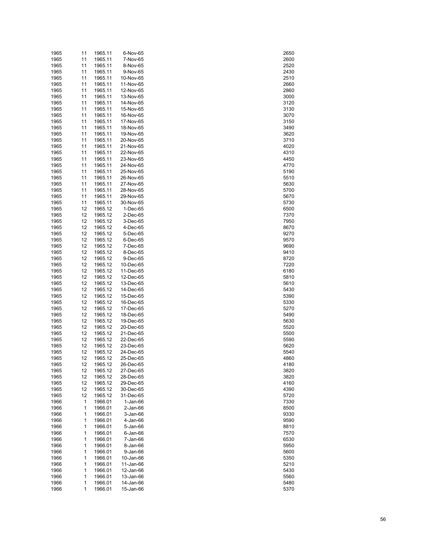| 11<br>11<br>11<br>11 | 1965.11                                                                                                                                                              | 6-Nov-65                                                                                                                                                                                                                                                                                                         | 2650                                                                                                                                                                                                                                                                                                                                                               |
|----------------------|----------------------------------------------------------------------------------------------------------------------------------------------------------------------|------------------------------------------------------------------------------------------------------------------------------------------------------------------------------------------------------------------------------------------------------------------------------------------------------------------|--------------------------------------------------------------------------------------------------------------------------------------------------------------------------------------------------------------------------------------------------------------------------------------------------------------------------------------------------------------------|
|                      |                                                                                                                                                                      | 7-Nov-65                                                                                                                                                                                                                                                                                                         | 2600                                                                                                                                                                                                                                                                                                                                                               |
|                      | 1965.11                                                                                                                                                              | 8-Nov-65                                                                                                                                                                                                                                                                                                         | 2520                                                                                                                                                                                                                                                                                                                                                               |
|                      | 1965.11                                                                                                                                                              | 9-Nov-65                                                                                                                                                                                                                                                                                                         | 2430                                                                                                                                                                                                                                                                                                                                                               |
|                      | 1965.11                                                                                                                                                              | 10-Nov-65                                                                                                                                                                                                                                                                                                        | 2510                                                                                                                                                                                                                                                                                                                                                               |
| 11                   | 1965.11                                                                                                                                                              | 11-Nov-65                                                                                                                                                                                                                                                                                                        | 2660                                                                                                                                                                                                                                                                                                                                                               |
| 11                   | 1965.11                                                                                                                                                              | 12-Nov-65                                                                                                                                                                                                                                                                                                        | 2860                                                                                                                                                                                                                                                                                                                                                               |
| 11                   | 1965.11                                                                                                                                                              | 13-Nov-65                                                                                                                                                                                                                                                                                                        | 3000                                                                                                                                                                                                                                                                                                                                                               |
|                      |                                                                                                                                                                      |                                                                                                                                                                                                                                                                                                                  |                                                                                                                                                                                                                                                                                                                                                                    |
| 11                   | 1965.11                                                                                                                                                              | 14-Nov-65                                                                                                                                                                                                                                                                                                        | 3120                                                                                                                                                                                                                                                                                                                                                               |
| 11                   | 1965.11                                                                                                                                                              | 15-Nov-65                                                                                                                                                                                                                                                                                                        | 3130                                                                                                                                                                                                                                                                                                                                                               |
|                      |                                                                                                                                                                      |                                                                                                                                                                                                                                                                                                                  | 3070                                                                                                                                                                                                                                                                                                                                                               |
|                      |                                                                                                                                                                      |                                                                                                                                                                                                                                                                                                                  | 3150                                                                                                                                                                                                                                                                                                                                                               |
|                      |                                                                                                                                                                      |                                                                                                                                                                                                                                                                                                                  | 3490                                                                                                                                                                                                                                                                                                                                                               |
| 11                   | 1965.11                                                                                                                                                              | 19-Nov-65                                                                                                                                                                                                                                                                                                        | 3620                                                                                                                                                                                                                                                                                                                                                               |
| 11                   | 1965.11                                                                                                                                                              | 20-Nov-65                                                                                                                                                                                                                                                                                                        | 3710                                                                                                                                                                                                                                                                                                                                                               |
| 11                   | 1965.11                                                                                                                                                              | 21-Nov-65                                                                                                                                                                                                                                                                                                        | 4020                                                                                                                                                                                                                                                                                                                                                               |
|                      |                                                                                                                                                                      |                                                                                                                                                                                                                                                                                                                  | 4310                                                                                                                                                                                                                                                                                                                                                               |
|                      |                                                                                                                                                                      |                                                                                                                                                                                                                                                                                                                  | 4450                                                                                                                                                                                                                                                                                                                                                               |
|                      |                                                                                                                                                                      |                                                                                                                                                                                                                                                                                                                  | 4770                                                                                                                                                                                                                                                                                                                                                               |
|                      |                                                                                                                                                                      |                                                                                                                                                                                                                                                                                                                  | 5190                                                                                                                                                                                                                                                                                                                                                               |
|                      |                                                                                                                                                                      |                                                                                                                                                                                                                                                                                                                  | 5510                                                                                                                                                                                                                                                                                                                                                               |
|                      |                                                                                                                                                                      |                                                                                                                                                                                                                                                                                                                  |                                                                                                                                                                                                                                                                                                                                                                    |
|                      |                                                                                                                                                                      |                                                                                                                                                                                                                                                                                                                  | 5630                                                                                                                                                                                                                                                                                                                                                               |
|                      |                                                                                                                                                                      |                                                                                                                                                                                                                                                                                                                  | 5700                                                                                                                                                                                                                                                                                                                                                               |
|                      |                                                                                                                                                                      |                                                                                                                                                                                                                                                                                                                  | 5670                                                                                                                                                                                                                                                                                                                                                               |
|                      |                                                                                                                                                                      |                                                                                                                                                                                                                                                                                                                  | 5730                                                                                                                                                                                                                                                                                                                                                               |
| 12                   | 1965.12                                                                                                                                                              | 1-Dec-65                                                                                                                                                                                                                                                                                                         | 6500                                                                                                                                                                                                                                                                                                                                                               |
| 12                   | 1965.12                                                                                                                                                              | $2$ -Dec-65                                                                                                                                                                                                                                                                                                      | 7370                                                                                                                                                                                                                                                                                                                                                               |
| 12                   | 1965.12                                                                                                                                                              | 3-Dec-65                                                                                                                                                                                                                                                                                                         | 7950                                                                                                                                                                                                                                                                                                                                                               |
|                      |                                                                                                                                                                      |                                                                                                                                                                                                                                                                                                                  | 8670                                                                                                                                                                                                                                                                                                                                                               |
|                      |                                                                                                                                                                      |                                                                                                                                                                                                                                                                                                                  | 9270                                                                                                                                                                                                                                                                                                                                                               |
|                      |                                                                                                                                                                      |                                                                                                                                                                                                                                                                                                                  | 9570                                                                                                                                                                                                                                                                                                                                                               |
|                      |                                                                                                                                                                      |                                                                                                                                                                                                                                                                                                                  | 9690                                                                                                                                                                                                                                                                                                                                                               |
|                      |                                                                                                                                                                      |                                                                                                                                                                                                                                                                                                                  | 9410                                                                                                                                                                                                                                                                                                                                                               |
|                      |                                                                                                                                                                      |                                                                                                                                                                                                                                                                                                                  |                                                                                                                                                                                                                                                                                                                                                                    |
|                      |                                                                                                                                                                      |                                                                                                                                                                                                                                                                                                                  | 8720                                                                                                                                                                                                                                                                                                                                                               |
|                      |                                                                                                                                                                      |                                                                                                                                                                                                                                                                                                                  | 7220                                                                                                                                                                                                                                                                                                                                                               |
|                      |                                                                                                                                                                      |                                                                                                                                                                                                                                                                                                                  | 6180                                                                                                                                                                                                                                                                                                                                                               |
|                      |                                                                                                                                                                      |                                                                                                                                                                                                                                                                                                                  | 5810                                                                                                                                                                                                                                                                                                                                                               |
|                      |                                                                                                                                                                      |                                                                                                                                                                                                                                                                                                                  | 5610                                                                                                                                                                                                                                                                                                                                                               |
|                      |                                                                                                                                                                      |                                                                                                                                                                                                                                                                                                                  | 5430                                                                                                                                                                                                                                                                                                                                                               |
| 12                   | 1965.12                                                                                                                                                              | 15-Dec-65                                                                                                                                                                                                                                                                                                        | 5390                                                                                                                                                                                                                                                                                                                                                               |
| 12                   | 1965.12                                                                                                                                                              | 16-Dec-65                                                                                                                                                                                                                                                                                                        | 5330                                                                                                                                                                                                                                                                                                                                                               |
| 12                   | 1965.12                                                                                                                                                              | 17-Dec-65                                                                                                                                                                                                                                                                                                        | 5270                                                                                                                                                                                                                                                                                                                                                               |
|                      |                                                                                                                                                                      |                                                                                                                                                                                                                                                                                                                  | 5490                                                                                                                                                                                                                                                                                                                                                               |
|                      |                                                                                                                                                                      |                                                                                                                                                                                                                                                                                                                  | 5630                                                                                                                                                                                                                                                                                                                                                               |
|                      |                                                                                                                                                                      |                                                                                                                                                                                                                                                                                                                  | 5520                                                                                                                                                                                                                                                                                                                                                               |
|                      |                                                                                                                                                                      |                                                                                                                                                                                                                                                                                                                  | 5500                                                                                                                                                                                                                                                                                                                                                               |
|                      |                                                                                                                                                                      |                                                                                                                                                                                                                                                                                                                  | 5590                                                                                                                                                                                                                                                                                                                                                               |
|                      |                                                                                                                                                                      |                                                                                                                                                                                                                                                                                                                  |                                                                                                                                                                                                                                                                                                                                                                    |
|                      | 1965.12                                                                                                                                                              | 23-Dec-65                                                                                                                                                                                                                                                                                                        | 5620                                                                                                                                                                                                                                                                                                                                                               |
| 12                   |                                                                                                                                                                      | 24-Dec-65                                                                                                                                                                                                                                                                                                        | 5540                                                                                                                                                                                                                                                                                                                                                               |
| 12                   | 1965.12                                                                                                                                                              |                                                                                                                                                                                                                                                                                                                  |                                                                                                                                                                                                                                                                                                                                                                    |
| 12                   | 1965.12                                                                                                                                                              | 25-Dec-65                                                                                                                                                                                                                                                                                                        | 4860                                                                                                                                                                                                                                                                                                                                                               |
| 12                   | 1965.12                                                                                                                                                              | 26-Dec-65                                                                                                                                                                                                                                                                                                        | 4180                                                                                                                                                                                                                                                                                                                                                               |
| 12                   | 1965.12                                                                                                                                                              | 27-Dec-65                                                                                                                                                                                                                                                                                                        | 3820                                                                                                                                                                                                                                                                                                                                                               |
| 12                   | 1965.12                                                                                                                                                              | 28-Dec-65                                                                                                                                                                                                                                                                                                        | 3820                                                                                                                                                                                                                                                                                                                                                               |
| 12                   | 1965.12                                                                                                                                                              | 29-Dec-65                                                                                                                                                                                                                                                                                                        | 4160                                                                                                                                                                                                                                                                                                                                                               |
| 12                   | 1965.12                                                                                                                                                              | 30-Dec-65                                                                                                                                                                                                                                                                                                        | 4390                                                                                                                                                                                                                                                                                                                                                               |
|                      |                                                                                                                                                                      | 31-Dec-65                                                                                                                                                                                                                                                                                                        |                                                                                                                                                                                                                                                                                                                                                                    |
| 12                   | 1965.12                                                                                                                                                              |                                                                                                                                                                                                                                                                                                                  | 5720                                                                                                                                                                                                                                                                                                                                                               |
| 1                    | 1966.01                                                                                                                                                              | $1-Jan-66$                                                                                                                                                                                                                                                                                                       | 7330                                                                                                                                                                                                                                                                                                                                                               |
| 1                    | 1966.01                                                                                                                                                              | 2-Jan-66                                                                                                                                                                                                                                                                                                         | 8500                                                                                                                                                                                                                                                                                                                                                               |
| 1                    | 1966.01                                                                                                                                                              | 3-Jan-66                                                                                                                                                                                                                                                                                                         | 9330                                                                                                                                                                                                                                                                                                                                                               |
| 1                    | 1966.01                                                                                                                                                              | 4-Jan-66                                                                                                                                                                                                                                                                                                         | 9590                                                                                                                                                                                                                                                                                                                                                               |
| 1                    | 1966.01                                                                                                                                                              | 5-Jan-66                                                                                                                                                                                                                                                                                                         | 8810                                                                                                                                                                                                                                                                                                                                                               |
| 1                    | 1966.01                                                                                                                                                              | 6-Jan-66                                                                                                                                                                                                                                                                                                         | 7570                                                                                                                                                                                                                                                                                                                                                               |
| 1                    | 1966.01                                                                                                                                                              | 7-Jan-66                                                                                                                                                                                                                                                                                                         | 6530                                                                                                                                                                                                                                                                                                                                                               |
| 1                    | 1966.01                                                                                                                                                              | 8-Jan-66                                                                                                                                                                                                                                                                                                         | 5950                                                                                                                                                                                                                                                                                                                                                               |
| 1                    | 1966.01                                                                                                                                                              | 9-Jan-66                                                                                                                                                                                                                                                                                                         | 5600                                                                                                                                                                                                                                                                                                                                                               |
| 1                    | 1966.01                                                                                                                                                              | 10-Jan-66                                                                                                                                                                                                                                                                                                        | 5350                                                                                                                                                                                                                                                                                                                                                               |
| 1                    | 1966.01                                                                                                                                                              | 11-Jan-66                                                                                                                                                                                                                                                                                                        | 5210                                                                                                                                                                                                                                                                                                                                                               |
| 1                    | 1966.01                                                                                                                                                              | 12-Jan-66                                                                                                                                                                                                                                                                                                        | 5430                                                                                                                                                                                                                                                                                                                                                               |
| 1                    | 1966.01                                                                                                                                                              | 13-Jan-66                                                                                                                                                                                                                                                                                                        | 5560                                                                                                                                                                                                                                                                                                                                                               |
| 1                    | 1966.01                                                                                                                                                              | 14-Jan-66                                                                                                                                                                                                                                                                                                        | 5480                                                                                                                                                                                                                                                                                                                                                               |
|                      | 11<br>11<br>11<br>11<br>11<br>11<br>11<br>11<br>11<br>11<br>11<br>11<br>12<br>12<br>12<br>12<br>12<br>12<br>12<br>12<br>12<br>12<br>12<br>12<br>12<br>12<br>12<br>12 | 1965.11<br>1965.11<br>1965.11<br>1965.11<br>1965.11<br>1965.11<br>1965.11<br>1965.11<br>1965.11<br>1965.11<br>1965.11<br>1965.11<br>1965.12<br>1965.12<br>1965.12<br>1965.12<br>1965.12<br>1965.12<br>1965.12<br>1965.12<br>1965.12<br>1965.12<br>1965.12<br>1965.12<br>1965.12<br>1965.12<br>1965.12<br>1965.12 | 16-Nov-65<br>17-Nov-65<br>18-Nov-65<br>22-Nov-65<br>23-Nov-65<br>24-Nov-65<br>25-Nov-65<br>26-Nov-65<br>27-Nov-65<br>28-Nov-65<br>29-Nov-65<br>30-Nov-65<br>4-Dec-65<br>5-Dec-65<br>6-Dec-65<br>7-Dec-65<br>8-Dec-65<br>9-Dec-65<br>10-Dec-65<br>11-Dec-65<br>12-Dec-65<br>13-Dec-65<br>14-Dec-65<br>18-Dec-65<br>19-Dec-65<br>20-Dec-65<br>21-Dec-65<br>22-Dec-65 |

| 2650<br>2600     |  |
|------------------|--|
|                  |  |
|                  |  |
| :520             |  |
|                  |  |
| 430              |  |
| :510             |  |
| 2660             |  |
|                  |  |
| 2860             |  |
| 3000             |  |
|                  |  |
| 31:<br>20        |  |
| 3130             |  |
|                  |  |
| 3070             |  |
| 3150             |  |
| 3490             |  |
|                  |  |
| 8620             |  |
| 3710             |  |
| 4020             |  |
|                  |  |
| 4310             |  |
| 4450             |  |
|                  |  |
| 4770             |  |
| 5190             |  |
| 5510             |  |
|                  |  |
| 5630             |  |
| 5700             |  |
|                  |  |
| 5670             |  |
| 5730             |  |
|                  |  |
| 6500             |  |
| 7370             |  |
| 7950             |  |
|                  |  |
| 8670             |  |
| 9270             |  |
|                  |  |
| 9570             |  |
| 9690             |  |
| 9410             |  |
|                  |  |
| 8720             |  |
| 220<br>7:        |  |
|                  |  |
| 6180             |  |
| 5810             |  |
| 5610             |  |
|                  |  |
| 5430             |  |
|                  |  |
|                  |  |
| 5390             |  |
| 5<br>330         |  |
|                  |  |
| 5270             |  |
| 5490             |  |
| 5630             |  |
|                  |  |
| 5520             |  |
| 5500             |  |
| 5590             |  |
|                  |  |
| 5620             |  |
| 5540             |  |
| 4860             |  |
|                  |  |
| 4180             |  |
| 3820             |  |
| 3820             |  |
|                  |  |
| 4160             |  |
| 4390             |  |
|                  |  |
| 5720             |  |
| 7330             |  |
|                  |  |
| 8500             |  |
| 9330             |  |
| 9590             |  |
|                  |  |
| 8810             |  |
| 7570             |  |
| 6530             |  |
|                  |  |
| 5950             |  |
| 5600             |  |
|                  |  |
| 5350             |  |
| 5210             |  |
| 5430             |  |
|                  |  |
| 5560             |  |
| 5480<br>5<br>370 |  |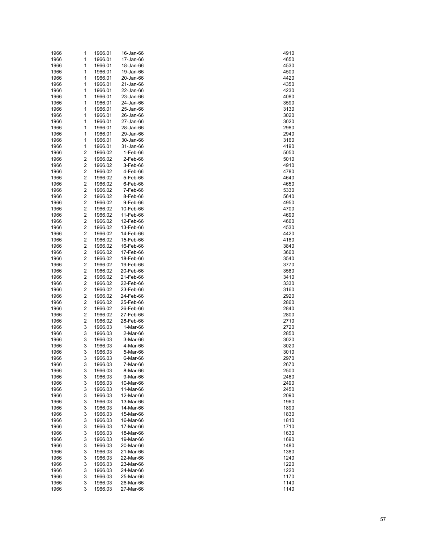| 1966 | 1                       | 1966.01 | 16-Jan-66 | 4910 |
|------|-------------------------|---------|-----------|------|
| 1966 | 1                       | 1966.01 | 17-Jan-66 | 4650 |
| 1966 | 1                       | 1966.01 | 18-Jan-66 | 4530 |
| 1966 | 1                       | 1966.01 | 19-Jan-66 | 4500 |
| 1966 | 1                       | 1966.01 | 20-Jan-66 | 4420 |
| 1966 | 1                       | 1966.01 | 21-Jan-66 | 4350 |
| 1966 | 1                       | 1966.01 | 22-Jan-66 | 4230 |
|      |                         |         |           |      |
| 1966 | 1                       | 1966.01 | 23-Jan-66 | 4080 |
| 1966 | 1                       | 1966.01 | 24-Jan-66 | 3590 |
| 1966 | 1                       | 1966.01 | 25-Jan-66 | 3130 |
| 1966 | 1                       | 1966.01 | 26-Jan-66 | 3020 |
| 1966 | 1                       | 1966.01 | 27-Jan-66 | 3020 |
| 1966 | 1                       | 1966.01 | 28-Jan-66 | 2980 |
| 1966 | 1                       | 1966.01 | 29-Jan-66 | 2940 |
| 1966 | 1                       | 1966.01 | 30-Jan-66 | 3160 |
| 1966 | 1                       | 1966.01 | 31-Jan-66 | 4190 |
| 1966 | 2                       | 1966.02 | 1-Feb-66  | 5050 |
| 1966 | 2                       | 1966.02 | 2-Feb-66  | 5010 |
|      | $\overline{\mathbf{c}}$ |         |           |      |
| 1966 |                         | 1966.02 | 3-Feb-66  | 4910 |
| 1966 | 2                       | 1966.02 | 4-Feb-66  | 4780 |
| 1966 | 2                       | 1966.02 | 5-Feb-66  | 4640 |
| 1966 | 2                       | 1966.02 | 6-Feb-66  | 4650 |
| 1966 | 2                       | 1966.02 | 7-Feb-66  | 5330 |
| 1966 | 2                       | 1966.02 | 8-Feb-66  | 5640 |
| 1966 | 2                       | 1966.02 | 9-Feb-66  | 4950 |
| 1966 | 2                       | 1966.02 | 10-Feb-66 | 4700 |
| 1966 | $\overline{\mathbf{c}}$ | 1966.02 | 11-Feb-66 | 4690 |
| 1966 | 2                       | 1966.02 | 12-Feb-66 | 4660 |
| 1966 | 2                       | 1966.02 | 13-Feb-66 | 4530 |
| 1966 | 2                       | 1966.02 | 14-Feb-66 | 4420 |
|      | $\overline{\mathbf{c}}$ |         |           |      |
| 1966 |                         | 1966.02 | 15-Feb-66 | 4180 |
| 1966 | 2                       | 1966.02 | 16-Feb-66 | 3840 |
| 1966 | 2                       | 1966.02 | 17-Feb-66 | 3660 |
| 1966 | 2                       | 1966.02 | 18-Feb-66 | 3540 |
| 1966 | $\overline{\mathbf{c}}$ | 1966.02 | 19-Feb-66 | 3770 |
| 1966 | 2                       | 1966.02 | 20-Feb-66 | 3580 |
| 1966 | 2                       | 1966.02 | 21-Feb-66 | 3410 |
| 1966 | 2                       | 1966.02 | 22-Feb-66 | 3330 |
| 1966 | $\overline{\mathbf{c}}$ | 1966.02 | 23-Feb-66 | 3160 |
| 1966 | 2                       | 1966.02 | 24-Feb-66 | 2920 |
| 1966 | 2                       | 1966.02 | 25-Feb-66 | 2860 |
| 1966 | 2                       | 1966.02 | 26-Feb-66 | 2840 |
| 1966 | 2                       | 1966.02 | 27-Feb-66 | 2800 |
|      | 2                       | 1966.02 |           |      |
| 1966 |                         |         | 28-Feb-66 | 2710 |
| 1966 | 3                       | 1966.03 | 1-Mar-66  | 2720 |
| 1966 | 3                       | 1966.03 | 2-Mar-66  | 2850 |
| 1966 | 3                       | 1966.03 | 3-Mar-66  | 3020 |
| 1966 | 3                       | 1966.03 | 4-Mar-66  | 3020 |
| 1966 | 3                       | 1966.03 | 5-Mar-66  | 3010 |
| 1966 | 3                       | 1966.03 | 6-Mar-66  | 2970 |
| 1966 | 3                       | 1966.03 | 7-Mar-66  | 2670 |
| 1966 | 3                       | 1966.03 | 8-Mar-66  | 2500 |
| 1966 | 3                       | 1966.03 | 9-Mar-66  | 2460 |
| 1966 | 3                       | 1966.03 | 10-Mar-66 | 2490 |
| 1966 | 3                       | 1966.03 | 11-Mar-66 | 2450 |
| 1966 | 3                       | 1966.03 | 12-Mar-66 | 2090 |
|      |                         |         |           |      |
| 1966 | 3                       | 1966.03 | 13-Mar-66 | 1960 |
| 1966 | 3                       | 1966.03 | 14-Mar-66 | 1890 |
| 1966 | 3                       | 1966.03 | 15-Mar-66 | 1830 |
| 1966 | 3                       | 1966.03 | 16-Mar-66 | 1810 |
| 1966 | 3                       | 1966.03 | 17-Mar-66 | 1710 |
| 1966 | 3                       | 1966.03 | 18-Mar-66 | 1630 |
| 1966 | 3                       | 1966.03 | 19-Mar-66 | 1690 |
| 1966 | 3                       | 1966.03 | 20-Mar-66 | 1480 |
| 1966 | 3                       | 1966.03 | 21-Mar-66 | 1380 |
| 1966 | 3                       | 1966.03 | 22-Mar-66 | 1240 |
| 1966 | 3                       | 1966.03 | 23-Mar-66 | 1220 |
| 1966 | 3                       | 1966.03 | 24-Mar-66 | 1220 |
|      | 3                       |         |           |      |
| 1966 |                         | 1966.03 | 25-Mar-66 | 1170 |
| 1966 | 3                       | 1966.03 | 26-Mar-66 | 1140 |
| 1966 | 3                       | 1966.03 | 27-Mar-66 | 1140 |

| 4910              |  |
|-------------------|--|
|                   |  |
| 4650              |  |
| 4530              |  |
| 4500              |  |
| 4420              |  |
| 4350              |  |
|                   |  |
| 4230              |  |
| 4080              |  |
| 3590              |  |
| 3130              |  |
| 3020              |  |
|                   |  |
| 3020              |  |
| 2980              |  |
| 2940              |  |
| 3160              |  |
| 4190              |  |
|                   |  |
| 5050              |  |
| 5010              |  |
| 4910              |  |
| 4780              |  |
| 4640              |  |
|                   |  |
| 4650              |  |
| 5330              |  |
| 5640              |  |
| 4950              |  |
| 4700              |  |
|                   |  |
| 4690              |  |
| 4660              |  |
| 45<br>30          |  |
| 4420              |  |
| 4180              |  |
|                   |  |
| 3840              |  |
| 3660              |  |
| 3540              |  |
| 3770              |  |
| 3580              |  |
|                   |  |
| 3410              |  |
| 330               |  |
| 3160              |  |
| 2920              |  |
|                   |  |
| :860              |  |
| 840               |  |
| 800               |  |
| 2710              |  |
| $\cdot$ 7:<br>20  |  |
| 850               |  |
|                   |  |
| 3020              |  |
| 3020              |  |
| 8010              |  |
| 29<br>Ί<br>7<br>) |  |
| 2670              |  |
|                   |  |
| 2500              |  |
| 2460              |  |
| 490               |  |
| 2450              |  |
| 2090              |  |
|                   |  |
| 1960              |  |
| 1890              |  |
| 1830              |  |
| 1810              |  |
| 1710              |  |
|                   |  |
| 1630              |  |
| 1690              |  |
| 1480              |  |
| 380<br>1:         |  |
| 1240              |  |
|                   |  |
| 1220              |  |
| 1220              |  |
|                   |  |
| 1170              |  |
| 1140              |  |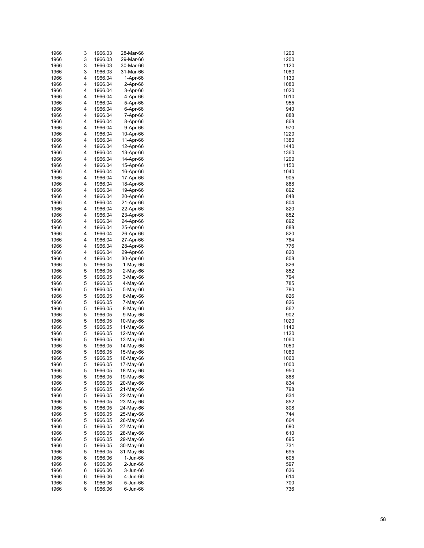| 1966 | 3 | 1966.03 | 28-Mar-66 | 1200 |
|------|---|---------|-----------|------|
| 1966 | 3 | 1966.03 | 29-Mar-66 | 1200 |
| 1966 | 3 | 1966.03 | 30-Mar-66 | 1120 |
| 1966 | 3 | 1966.03 | 31-Mar-66 | 1080 |
| 1966 | 4 | 1966.04 | 1-Apr-66  | 1130 |
| 1966 | 4 | 1966.04 | 2-Apr-66  | 1080 |
| 1966 | 4 | 1966.04 | 3-Apr-66  | 1020 |
| 1966 | 4 | 1966.04 | 4-Apr-66  | 1010 |
| 1966 | 4 | 1966.04 | 5-Apr-66  | 955  |
| 1966 | 4 | 1966.04 | 6-Apr-66  | 940  |
| 1966 | 4 | 1966.04 | 7-Apr-66  | 888  |
| 1966 | 4 | 1966.04 | 8-Apr-66  | 868  |
| 1966 | 4 | 1966.04 | 9-Apr-66  | 970  |
| 1966 | 4 | 1966.04 | 10-Apr-66 | 1220 |
| 1966 | 4 | 1966.04 | 11-Apr-66 | 1380 |
| 1966 | 4 | 1966.04 | 12-Apr-66 | 1440 |
| 1966 | 4 | 1966.04 | 13-Apr-66 | 1360 |
| 1966 | 4 | 1966.04 | 14-Apr-66 | 1200 |
| 1966 | 4 | 1966.04 | 15-Apr-66 | 1150 |
| 1966 | 4 | 1966.04 | 16-Apr-66 | 1040 |
| 1966 | 4 | 1966.04 | 17-Apr-66 | 905  |
| 1966 | 4 | 1966.04 | 18-Apr-66 | 888  |
| 1966 | 4 | 1966.04 | 19-Apr-66 | 892  |
| 1966 | 4 | 1966.04 | 20-Apr-66 | 848  |
| 1966 | 4 | 1966.04 | 21-Apr-66 | 804  |
| 1966 | 4 | 1966.04 | 22-Apr-66 | 820  |
| 1966 | 4 | 1966.04 | 23-Apr-66 | 852  |
| 1966 | 4 | 1966.04 | 24-Apr-66 | 892  |
| 1966 | 4 | 1966.04 | 25-Apr-66 | 888  |
| 1966 | 4 | 1966.04 | 26-Apr-66 | 820  |
| 1966 | 4 | 1966.04 | 27-Apr-66 | 784  |
| 1966 | 4 | 1966.04 | 28-Apr-66 | 776  |
| 1966 | 4 | 1966.04 | 29-Apr-66 | 820  |
| 1966 | 4 | 1966.04 | 30-Apr-66 | 808  |
| 1966 | 5 | 1966.05 | 1-May-66  | 826  |
| 1966 | 5 | 1966.05 | 2-May-66  | 852  |
| 1966 | 5 | 1966.05 | 3-May-66  | 794  |
| 1966 | 5 | 1966.05 | 4-May-66  | 785  |
| 1966 | 5 | 1966.05 | 5-May-66  | 780  |
| 1966 | 5 | 1966.05 | 6-May-66  | 826  |
| 1966 | 5 | 1966.05 | 7-May-66  | 826  |
| 1966 | 5 | 1966.05 | 8-May-66  | 862  |
| 1966 | 5 | 1966.05 | 9-May-66  | 902  |
| 1966 | 5 | 1966.05 | 10-May-66 | 1020 |
| 1966 | 5 | 1966.05 | 11-May-66 | 1140 |
| 1966 | 5 | 1966.05 | 12-May-66 | 1120 |
| 1966 | 5 | 1966.05 | 13-May-66 | 1060 |
| 1966 | 5 | 1966.05 | 14-May-66 | 1050 |
| 1966 | 5 | 1966.05 | 15-May-66 | 1060 |
| 1966 | 5 | 1966.05 | 16-May-66 | 1060 |
| 1966 | 5 | 1966.05 | 17-May-66 | 1000 |
| 1966 | 5 | 1966.05 | 18-May-66 | 950  |
| 1966 | 5 | 1966.05 | 19-May-66 | 888  |
| 1966 | 5 | 1966.05 | 20-May-66 | 834  |
| 1966 | 5 | 1966.05 | 21-May-66 | 798  |
| 1966 | 5 | 1966.05 | 22-May-66 | 834  |
| 1966 | 5 | 1966.05 | 23-May-66 | 852  |
| 1966 | 5 | 1966.05 | 24-May-66 | 808  |
| 1966 | 5 | 1966.05 | 25-May-66 | 744  |
| 1966 | 5 | 1966.05 | 26-May-66 | 664  |
| 1966 | 5 | 1966.05 | 27-May-66 | 690  |
| 1966 | 5 | 1966.05 | 28-May-66 | 610  |
| 1966 | 5 | 1966.05 | 29-May-66 | 695  |
| 1966 | 5 | 1966.05 | 30-May-66 | 731  |
| 1966 | 5 | 1966.05 | 31-May-66 | 695  |
| 1966 | 6 | 1966.06 | 1-Jun-66  | 605  |
| 1966 | 6 | 1966.06 | 2-Jun-66  | 597  |
| 1966 | 6 | 1966.06 | 3-Jun-66  | 636  |
| 1966 | 6 | 1966.06 | 4-Jun-66  | 614  |
| 1966 | 6 | 1966.06 | 5-Jun-66  | 700  |
| 1966 | 6 | 1966.06 | 6-Jun-66  | 736  |

| 1200             |
|------------------|
| 200<br>1:        |
| 1120             |
| 1080             |
| 1130             |
| 1080             |
| 1020<br>1010     |
| 955              |
| 940              |
| 888              |
| 868              |
| 970              |
| 1220             |
| 1<br>380         |
| 1440<br>360<br>1 |
| 1200             |
| 1150             |
| 1040             |
| 905              |
| 888              |
| 892              |
| 848              |
| 804<br>820       |
| 85<br>2          |
| 892              |
| 888              |
| 820              |
| 784              |
| 776              |
| 820              |
| 808              |
| 826<br>852       |
| 794              |
| 785              |
| 780              |
| 826              |
| 8<br>26          |
| 862              |
| 902<br>1020      |
| 1140             |
| 1120             |
| 1060             |
| 1050             |
| 1060             |
| 1060             |
| 1000             |
| 950              |
| 888<br>834       |
| 798              |
| 834              |
| 85<br>2          |
| 808              |
| 744              |
| 664              |
| 690              |
| 610<br>695       |
| 731              |
| 695              |
| 605              |
| 597              |
| 636              |
| 614              |
| 700<br>7<br>36   |
|                  |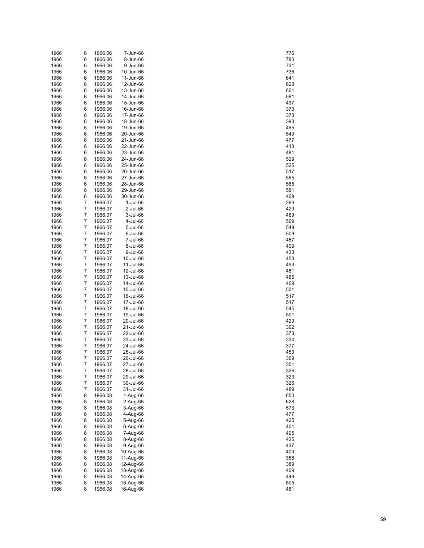| 1966         | 6      | 1966.06            | 7-Jun-66               | 776        |
|--------------|--------|--------------------|------------------------|------------|
| 1966         | 6      | 1966.06            | 8-Jun-66               | 780        |
| 1966         | 6      | 1966.06            | 9-Jun-66               | 731        |
| 1966         | 6      | 1966.06            | 10-Jun-66              | 736        |
| 1966         | 6      | 1966.06            | 11-Jun-66              | 641        |
| 1966         | 6      | 1966.06            | 12-Jun-66              | 628        |
| 1966         | 6      | 1966.06            | 13-Jun-66              | 601        |
| 1966         | 6      | 1966.06            | 14-Jun-66              | 581        |
| 1966         | 6      | 1966.06            | 15-Jun-66              | 437        |
| 1966         | 6      | 1966.06            | 16-Jun-66              | 373        |
| 1966         | 6      | 1966.06            | 17-Jun-66              | 373        |
| 1966         | 6      | 1966.06            | 18-Jun-66              | 393        |
| 1966         | 6      | 1966.06            | 19-Jun-66              | 465        |
| 1966         | 6      | 1966.06            | 20-Jun-66              | 549        |
| 1966         | 6      | 1966.06            | 21-Jun-66              | 477        |
| 1966         | 6      | 1966.06            | 22-Jun-66              | 413        |
| 1966         | 6      | 1966.06            | 23-Jun-66              | 481        |
| 1966         | 6      | 1966.06            | 24-Jun-66              | 529        |
| 1966         | 6      | 1966.06            | 25-Jun-66              | 525        |
| 1966         | 6      | 1966.06            | 26-Jun-66              | 517        |
| 1966         | 6      | 1966.06            | 27-Jun-66              | 565        |
| 1966         | 6      | 1966.06            | 28-Jun-66              | 585        |
| 1966         | 6      | 1966.06            | 29-Jun-66              | 581        |
| 1966         | 6      | 1966.06            | 30-Jun-66              | 469        |
| 1966         | 7      | 1966.07            | 1-Jul-66               | 393        |
| 1966         | 7      | 1966.07            | 2-Jul-66               | 429        |
| 1966         | 7      | 1966.07            | 3-Jul-66               | 469        |
| 1966         | 7      | 1966.07            | 4-Jul-66               | 509        |
| 1966         | 7      | 1966.07            | 5-Jul-66               | 549        |
| 1966         | 7      | 1966.07            | 6-Jul-66               | 509        |
| 1966         | 7      | 1966.07            | 7-Jul-66               | 457        |
| 1966         | 7      | 1966.07            | 8-Jul-66               | 409        |
| 1966         | 7      | 1966.07            | 9-Jul-66               | 433        |
| 1966         | 7      | 1966.07            | 10-Jul-66              | 453        |
| 1966         | 7      | 1966.07            | 11-Jul-66              | 493        |
| 1966         | 7      | 1966.07            | 12-Jul-66              | 481        |
| 1966         | 7      | 1966.07            | 13-Jul-66              | 485        |
| 1966         | 7      | 1966.07            | 14-Jul-66              | 469        |
| 1966         | 7      | 1966.07            | 15-Jul-66              | 501        |
| 1966         | 7      | 1966.07            | 16-Jul-66              | 517        |
| 1966         | 7      | 1966.07            | 17-Jul-66              | 517        |
| 1966         | 7      | 1966.07            | 18-Jul-66              | 545        |
| 1966         | 7      | 1966.07            | 19-Jul-66              | 501        |
| 1966         | 7      | 1966.07            | 20-Jul-66              | 429        |
| 1966         | 7<br>7 | 1966.07            | 21-Jul-66<br>22-Jul-66 | 362        |
| 1966         | 7      | 1966.07<br>1966.07 |                        | 373<br>334 |
| 1966         | 7      |                    | 23-Jul-66              | 377        |
| 1966<br>1966 | 7      | 1966.07<br>1966.07 | 24-Jul-66<br>25-Jul-66 | 453        |
| 1966         | 7      | 1966.07            | 26-Jul-66              | 369        |
| 1966         | 7      | 1966.07            | 27-Jul-66              | 351        |
| 1966         | 7      | 1966.07            | 28-Jul-66              | 326        |
| 1966         | 7      | 1966.07            | 29-Jul-66              | 323        |
| 1966         | 7      | 1966.07            | 30-Jul-66              | 326        |
| 1966         | 7      | 1966.07            | 31-Jul-66              | 489        |
| 1966         | 8      | 1966.08            | 1-Aug-66               | 650        |
| 1966         | 8      | 1966.08            | 2-Aug-66               | 628        |
| 1966         | 8      | 1966.08            | 3-Aug-66               | 573        |
| 1966         | 8      | 1966.08            | 4-Aug-66               | 477        |
| 1966         | 8      | 1966.08            | 5-Aug-66               | 425        |
| 1966         | 8      | 1966.08            | 6-Aug-66               | 401        |
| 1966         | 8      | 1966.08            | 7-Aug-66               | 405        |
| 1966         | 8      | 1966.08            | 8-Aug-66               | 425        |
| 1966         | 8      | 1966.08            | 9-Aug-66               | 437        |
| 1966         | 8      | 1966.08            | 10-Aug-66              | 409        |
| 1966         | 8      | 1966.08            | 11-Aug-66              | 358        |
| 1966         | 8      | 1966.08            | 12-Aug-66              | 389        |
| 1966         | 8      | 1966.08            | 13-Aug-66              | 409        |
| 1966         | 8      | 1966.08            | 14-Aug-66              | 449        |
| 1966         | 8      | 1966.08            | 15-Aug-66              | 505        |
| 1966         | 8      | 1966.08            | 16-Aug-66              | 481        |

| 776        |  |
|------------|--|
| 780        |  |
| 7<br>31    |  |
| 736        |  |
| 641        |  |
| 628        |  |
| 601        |  |
| 581        |  |
| 4.<br>37   |  |
| 373        |  |
| 37.<br>3   |  |
| 393        |  |
| 465        |  |
| 549        |  |
| 477        |  |
| 413        |  |
| 481        |  |
| 529        |  |
| 5:<br>25   |  |
| ب<br>517   |  |
| 565        |  |
| 585        |  |
| 581        |  |
| 469        |  |
| 393        |  |
| 429        |  |
| 469        |  |
| 509        |  |
| 549        |  |
| 509        |  |
| 457        |  |
| 409        |  |
| 433        |  |
| 453        |  |
| 493        |  |
| 481        |  |
| 485        |  |
| 469        |  |
| 501        |  |
| 517        |  |
| 517        |  |
| 545        |  |
| 501        |  |
| 429        |  |
| 36:        |  |
| 373        |  |
| 334        |  |
| 377        |  |
| 453<br>Ŝ   |  |
| 369        |  |
| 351        |  |
| 326        |  |
| 323        |  |
| 326        |  |
| 489        |  |
| 650        |  |
| 628        |  |
| 573        |  |
| -<br>477   |  |
| 425        |  |
| 401<br>405 |  |
|            |  |
| 425        |  |
| 437        |  |
| 409        |  |
| 358<br>389 |  |
| 409        |  |
| 449        |  |
| 505        |  |
| 481        |  |
|            |  |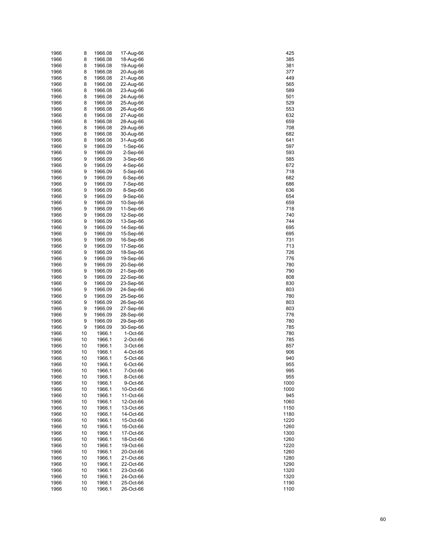| 1966 | 8  | 1966.08 | 17-Aug-66  | 425  |
|------|----|---------|------------|------|
| 1966 | 8  | 1966.08 | 18-Aug-66  | 385  |
| 1966 | 8  | 1966.08 | 19-Aug-66  | 381  |
| 1966 | 8  | 1966.08 | 20-Aug-66  | 377  |
| 1966 | 8  | 1966.08 | 21-Aug-66  | 449  |
| 1966 | 8  | 1966.08 | 22-Aug-66  | 565  |
| 1966 | 8  | 1966.08 |            | 589  |
|      |    |         | 23-Aug-66  |      |
| 1966 | 8  | 1966.08 | 24-Aug-66  | 501  |
| 1966 | 8  | 1966.08 | 25-Aug-66  | 529  |
| 1966 | 8  | 1966.08 | 26-Aug-66  | 553  |
| 1966 | 8  | 1966.08 | 27-Aug-66  | 632  |
| 1966 | 8  | 1966.08 | 28-Aug-66  | 659  |
| 1966 | 8  | 1966.08 | 29-Aug-66  | 708  |
| 1966 | 8  | 1966.08 | 30-Aug-66  | 682  |
| 1966 | 8  | 1966.08 | 31-Aug-66  | 641  |
| 1966 | 9  | 1966.09 | $1-Sep-66$ | 597  |
| 1966 | 9  | 1966.09 | 2-Sep-66   | 593  |
| 1966 | 9  | 1966.09 | $3-Sep-66$ | 585  |
|      |    |         |            |      |
| 1966 | 9  | 1966.09 | 4-Sep-66   | 672  |
| 1966 | 9  | 1966.09 | 5-Sep-66   | 718  |
| 1966 | 9  | 1966.09 | 6-Sep-66   | 682  |
| 1966 | 9  | 1966.09 | 7-Sep-66   | 686  |
| 1966 | 9  | 1966.09 | 8-Sep-66   | 636  |
| 1966 | 9  | 1966.09 | 9-Sep-66   | 654  |
| 1966 | 9  | 1966.09 | 10-Sep-66  | 659  |
| 1966 | 9  | 1966.09 | 11-Sep-66  | 718  |
| 1966 | 9  | 1966.09 | 12-Sep-66  | 740  |
| 1966 | 9  | 1966.09 | 13-Sep-66  | 744  |
| 1966 | 9  | 1966.09 | 14-Sep-66  | 695  |
| 1966 | 9  | 1966.09 | 15-Sep-66  | 695  |
|      |    |         |            |      |
| 1966 | 9  | 1966.09 | 16-Sep-66  | 731  |
| 1966 | 9  | 1966.09 | 17-Sep-66  | 713  |
| 1966 | 9  | 1966.09 | 18-Sep-66  | 726  |
| 1966 | 9  | 1966.09 | 19-Sep-66  | 776  |
| 1966 | 9  | 1966.09 | 20-Sep-66  | 780  |
| 1966 | 9  | 1966.09 | 21-Sep-66  | 790  |
| 1966 | 9  | 1966.09 | 22-Sep-66  | 808  |
| 1966 | 9  | 1966.09 | 23-Sep-66  | 830  |
| 1966 | 9  | 1966.09 | 24-Sep-66  | 803  |
| 1966 | 9  | 1966.09 | 25-Sep-66  | 780  |
| 1966 | 9  | 1966.09 | 26-Sep-66  | 803  |
| 1966 | 9  | 1966.09 | 27-Sep-66  | 803  |
| 1966 | 9  | 1966.09 | 28-Sep-66  | 776  |
|      | 9  | 1966.09 | 29-Sep-66  | 780  |
| 1966 |    |         |            |      |
| 1966 | 9  | 1966.09 | 30-Sep-66  | 785  |
| 1966 | 10 | 1966.1  | 1-Oct-66   | 780  |
| 1966 | 10 | 1966.1  | 2-Oct-66   | 785  |
| 1966 | 10 | 1966.1  | 3-Oct-66   | 857  |
| 1966 | 10 | 1966.1  | 4-Oct-66   | 906  |
| 1966 | 10 | 1966.1  | 5-Oct-66   | 940  |
| 1966 | 10 | 1966.1  | 6-Oct-66   | 955  |
| 1966 | 10 | 1966.1  | 7-Oct-66   | 995  |
| 1966 | 10 | 1966.1  | 8-Oct-66   | 955  |
| 1966 | 10 | 1966.1  | 9-Oct-66   | 1000 |
| 1966 | 10 | 1966.1  | 10-Oct-66  | 1000 |
| 1966 | 10 | 1966.1  | 11-Oct-66  | 945  |
|      |    |         |            |      |
| 1966 | 10 | 1966.1  | 12-Oct-66  | 1060 |
| 1966 | 10 | 1966.1  | 13-Oct-66  | 1150 |
| 1966 | 10 | 1966.1  | 14-Oct-66  | 1180 |
| 1966 | 10 | 1966.1  | 15-Oct-66  | 1220 |
| 1966 | 10 | 1966.1  | 16-Oct-66  | 1260 |
| 1966 | 10 | 1966.1  | 17-Oct-66  | 1300 |
| 1966 | 10 | 1966.1  | 18-Oct-66  | 1260 |
| 1966 | 10 | 1966.1  | 19-Oct-66  | 1220 |
| 1966 | 10 | 1966.1  | 20-Oct-66  | 1260 |
| 1966 | 10 | 1966.1  | 21-Oct-66  | 1280 |
| 1966 | 10 | 1966.1  | 22-Oct-66  | 1290 |
| 1966 | 10 | 1966.1  | 23-Oct-66  | 1320 |
|      |    |         |            |      |
| 1966 | 10 | 1966.1  | 24-Oct-66  | 1320 |
| 1966 | 10 | 1966.1  | 25-Oct-66  | 1190 |
| 1966 | 10 | 1966.1  | 26-Oct-66  | 1100 |

| 425          |  |
|--------------|--|
| 385          |  |
| 381          |  |
| 377          |  |
| €<br>449     |  |
| 565          |  |
| 589          |  |
| 501          |  |
| 5.<br>29     |  |
| 55           |  |
| 6<br>3.      |  |
| 659          |  |
| 708          |  |
| 68:          |  |
| 641          |  |
| 597          |  |
| 59<br>93     |  |
| 585          |  |
| 67:          |  |
| 718          |  |
| 68:          |  |
| 686          |  |
| 36           |  |
| 654          |  |
| 659          |  |
| 718          |  |
| 740          |  |
| 744          |  |
| 95<br>69     |  |
| 695          |  |
| 31<br>7      |  |
| 71<br>3      |  |
| 726          |  |
| 776          |  |
| 780          |  |
| 790          |  |
| 808          |  |
| 30<br>8      |  |
| 803          |  |
| 780          |  |
| 80           |  |
| 80<br>з      |  |
| 776          |  |
| 780          |  |
| 785          |  |
| 780<br>785   |  |
| 857          |  |
| 906          |  |
| 41<br>ί<br>) |  |
| 955          |  |
| ---<br>995   |  |
| 955          |  |
| 1000         |  |
| 1000         |  |
| 945          |  |
| 1060         |  |
| 1150         |  |
| 1180         |  |
| 1220         |  |
| 1260         |  |
| 1300         |  |
| 1260         |  |
| 1220         |  |
| 1260         |  |
| 1280         |  |
| 1290         |  |
| 320<br>1:    |  |
| 320<br>1     |  |
| 1190         |  |
| 1100         |  |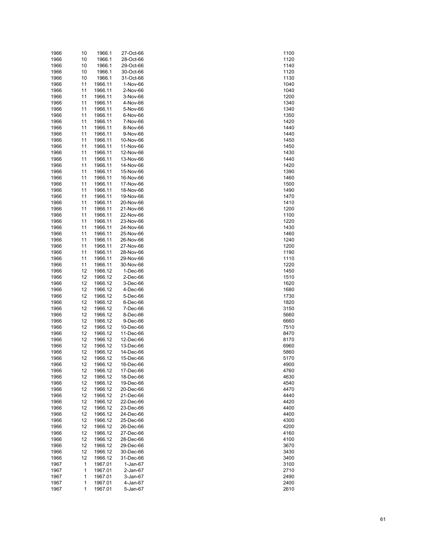| 1966 | 10 | 1966.1  | 27-Oct-66  | 1100 |
|------|----|---------|------------|------|
| 1966 | 10 | 1966.1  | 28-Oct-66  | 1120 |
| 1966 | 10 | 1966.1  | 29-Oct-66  | 1140 |
| 1966 | 10 | 1966.1  | 30-Oct-66  | 1120 |
| 1966 | 10 | 1966.1  | 31-Oct-66  | 1130 |
| 1966 | 11 | 1966.11 | 1-Nov-66   | 1040 |
|      |    |         |            |      |
| 1966 | 11 | 1966.11 | 2-Nov-66   | 1040 |
| 1966 | 11 | 1966.11 | 3-Nov-66   | 1200 |
| 1966 | 11 | 1966.11 | 4-Nov-66   | 1340 |
| 1966 | 11 | 1966.11 | 5-Nov-66   | 1340 |
| 1966 | 11 | 1966.11 | 6-Nov-66   | 1350 |
| 1966 | 11 | 1966.11 | 7-Nov-66   | 1420 |
| 1966 | 11 | 1966.11 | 8-Nov-66   | 1440 |
| 1966 | 11 | 1966.11 | 9-Nov-66   | 1440 |
| 1966 | 11 | 1966.11 | 10-Nov-66  | 1450 |
| 1966 | 11 | 1966.11 | 11-Nov-66  | 1450 |
| 1966 | 11 | 1966.11 | 12-Nov-66  | 1430 |
| 1966 | 11 | 1966.11 | 13-Nov-66  | 1440 |
|      |    |         |            |      |
| 1966 | 11 | 1966.11 | 14-Nov-66  | 1420 |
| 1966 | 11 | 1966.11 | 15-Nov-66  | 1390 |
| 1966 | 11 | 1966.11 | 16-Nov-66  | 1460 |
| 1966 | 11 | 1966.11 | 17-Nov-66  | 1500 |
| 1966 | 11 | 1966.11 | 18-Nov-66  | 1490 |
| 1966 | 11 | 1966.11 | 19-Nov-66  | 1470 |
| 1966 | 11 | 1966.11 | 20-Nov-66  | 1410 |
| 1966 | 11 | 1966.11 | 21-Nov-66  | 1200 |
| 1966 | 11 | 1966.11 | 22-Nov-66  | 1100 |
| 1966 | 11 | 1966.11 | 23-Nov-66  | 1220 |
| 1966 | 11 | 1966.11 | 24-Nov-66  | 1430 |
| 1966 | 11 | 1966.11 | 25-Nov-66  | 1460 |
|      |    |         |            |      |
| 1966 | 11 | 1966.11 | 26-Nov-66  | 1240 |
| 1966 | 11 | 1966.11 | 27-Nov-66  | 1200 |
| 1966 | 11 | 1966.11 | 28-Nov-66  | 1190 |
| 1966 | 11 | 1966.11 | 29-Nov-66  | 1110 |
| 1966 | 11 | 1966.11 | 30-Nov-66  | 1220 |
| 1966 | 12 | 1966.12 | $1-Dec-66$ | 1450 |
| 1966 | 12 | 1966.12 | 2-Dec-66   | 1510 |
| 1966 | 12 | 1966.12 | 3-Dec-66   | 1620 |
| 1966 | 12 | 1966.12 | 4-Dec-66   | 1680 |
| 1966 | 12 | 1966.12 | 5-Dec-66   | 1730 |
| 1966 | 12 | 1966.12 | 6-Dec-66   | 1820 |
| 1966 | 12 | 1966.12 | 7-Dec-66   | 3150 |
| 1966 | 12 | 1966.12 | 8-Dec-66   | 5660 |
|      |    |         |            |      |
| 1966 | 12 | 1966.12 | 9-Dec-66   | 6660 |
| 1966 | 12 | 1966.12 | 10-Dec-66  | 7510 |
| 1966 | 12 | 1966.12 | 11-Dec-66  | 8470 |
| 1966 | 12 | 1966.12 | 12-Dec-66  | 8170 |
| 1966 | 12 | 1966.12 | 13-Dec-66  | 6960 |
| 1966 | 12 | 1966.12 | 14-Dec-66  | 5860 |
| 1966 | 12 | 1966.12 | 15-Dec-66  | 5170 |
| 1966 | 12 | 1966.12 | 16-Dec-66  | 4900 |
| 1966 | 12 | 1966.12 | 17-Dec-66  | 4760 |
| 1966 | 12 | 1966.12 | 18-Dec-66  | 4630 |
| 1966 | 12 | 1966.12 | 19-Dec-66  | 4540 |
| 1966 | 12 | 1966.12 | 20-Dec-66  | 4470 |
| 1966 | 12 | 1966.12 | 21-Dec-66  | 4440 |
|      |    |         |            | 4420 |
| 1966 | 12 | 1966.12 | 22-Dec-66  |      |
| 1966 | 12 | 1966.12 | 23-Dec-66  | 4400 |
| 1966 | 12 | 1966.12 | 24-Dec-66  | 4400 |
| 1966 | 12 | 1966.12 | 25-Dec-66  | 4300 |
| 1966 | 12 | 1966.12 | 26-Dec-66  | 4200 |
| 1966 | 12 | 1966.12 | 27-Dec-66  | 4160 |
| 1966 | 12 | 1966.12 | 28-Dec-66  | 4100 |
| 1966 | 12 | 1966.12 | 29-Dec-66  | 3670 |
| 1966 | 12 | 1966.12 | 30-Dec-66  | 3430 |
| 1966 | 12 | 1966.12 | 31-Dec-66  | 3400 |
| 1967 | 1  | 1967.01 | $1-Jan-67$ | 3100 |
| 1967 | 1  | 1967.01 | 2-Jan-67   | 2710 |
| 1967 | 1  | 1967.01 | 3-Jan-67   | 2490 |
| 1967 |    | 1967.01 |            |      |
|      | 1  |         | 4-Jan-67   | 2400 |
| 1967 | 1  | 1967.01 | 5-Jan-67   | 2610 |

| 1100      |
|-----------|
|           |
| 1120      |
| 1140      |
| 1120      |
| 1130      |
| 1040      |
| 1040      |
| 1200      |
| 340<br>1: |
| 1340      |
|           |
| 350<br>1: |
| 1420      |
| 1440      |
| 1440      |
| 1450      |
| 1450      |
| 1430      |
| 1440      |
| 1420      |
|           |
| 1390      |
| 1460      |
| 1500      |
| 1490      |
| 1470      |
| 1410      |
| 1200      |
| 1100      |
| 1220      |
| 1430      |
|           |
| 1460      |
| 1240      |
| 1200      |
| 1190      |
| 1110      |
| 1220      |
| 1450      |
| 1510      |
| 1620      |
|           |
| 1680      |
| 1730      |
| 1820      |
| 3150      |
| 5660      |
| 6660      |
| 7510      |
| 8470      |
| 8170      |
| 6960      |
|           |
| 5860      |
| 5170<br>) |
| 4900      |
| 4760      |
| 4630      |
| 4540      |
| 4470      |
| 4440      |
| 4420      |
| 4400      |
|           |
| 4400      |
| 4300      |
| 4200      |
| 4160      |
| 4100      |
| 3670      |
| 3430      |
| 3400      |
| 3100      |
| 2710      |
|           |
| 2490      |
| 2400      |
| 2610      |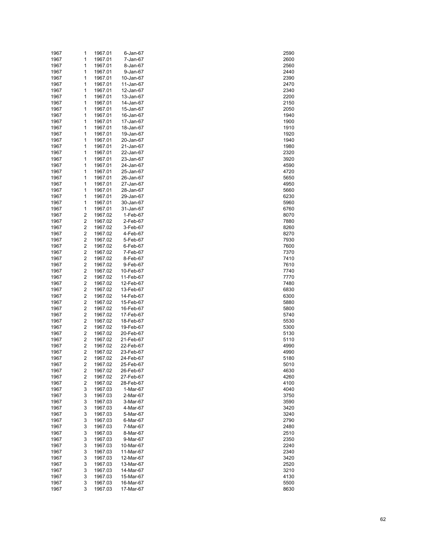| 1967 | 1 | 1967.01 | 6-Jan-67  | 2590 |
|------|---|---------|-----------|------|
| 1967 | 1 | 1967.01 | 7-Jan-67  | 2600 |
| 1967 | 1 | 1967.01 | 8-Jan-67  | 2560 |
| 1967 | 1 | 1967.01 | 9-Jan-67  | 2440 |
| 1967 | 1 | 1967.01 | 10-Jan-67 | 2390 |
| 1967 | 1 | 1967.01 | 11-Jan-67 | 2470 |
| 1967 | 1 | 1967.01 | 12-Jan-67 | 2340 |
| 1967 | 1 | 1967.01 | 13-Jan-67 | 2200 |
| 1967 | 1 | 1967.01 | 14-Jan-67 | 2150 |
| 1967 | 1 | 1967.01 | 15-Jan-67 | 2050 |
| 1967 | 1 | 1967.01 | 16-Jan-67 | 1940 |
| 1967 | 1 | 1967.01 | 17-Jan-67 | 1900 |
| 1967 | 1 | 1967.01 | 18-Jan-67 | 1910 |
| 1967 | 1 | 1967.01 | 19-Jan-67 | 1920 |
| 1967 | 1 | 1967.01 | 20-Jan-67 | 1940 |
| 1967 | 1 | 1967.01 | 21-Jan-67 | 1980 |
| 1967 | 1 | 1967.01 | 22-Jan-67 | 2320 |
| 1967 | 1 | 1967.01 | 23-Jan-67 | 3920 |
| 1967 | 1 | 1967.01 | 24-Jan-67 | 4590 |
| 1967 | 1 | 1967.01 | 25-Jan-67 | 4720 |
| 1967 | 1 | 1967.01 | 26-Jan-67 | 5650 |
| 1967 | 1 | 1967.01 | 27-Jan-67 | 4950 |
| 1967 | 1 | 1967.01 | 28-Jan-67 | 5660 |
| 1967 | 1 | 1967.01 | 29-Jan-67 | 6230 |
| 1967 | 1 | 1967.01 | 30-Jan-67 | 5960 |
| 1967 | 1 | 1967.01 | 31-Jan-67 | 6760 |
| 1967 | 2 | 1967.02 | 1-Feb-67  | 8070 |
| 1967 | 2 | 1967.02 | 2-Feb-67  | 7880 |
| 1967 | 2 | 1967.02 | 3-Feb-67  | 8260 |
| 1967 | 2 | 1967.02 | 4-Feb-67  | 8270 |
| 1967 | 2 | 1967.02 | 5-Feb-67  | 7930 |
| 1967 | 2 | 1967.02 | 6-Feb-67  | 7600 |
| 1967 | 2 | 1967.02 | 7-Feb-67  | 7370 |
| 1967 | 2 | 1967.02 | 8-Feb-67  | 7410 |
| 1967 | 2 | 1967.02 | 9-Feb-67  | 7610 |
| 1967 | 2 | 1967.02 | 10-Feb-67 | 7740 |
| 1967 | 2 | 1967.02 | 11-Feb-67 | 7770 |
| 1967 | 2 | 1967.02 | 12-Feb-67 | 7480 |
| 1967 | 2 | 1967.02 | 13-Feb-67 | 6830 |
| 1967 | 2 | 1967.02 | 14-Feb-67 | 6300 |
| 1967 | 2 | 1967.02 | 15-Feb-67 | 5880 |
| 1967 | 2 | 1967.02 | 16-Feb-67 | 5800 |
| 1967 | 2 | 1967.02 | 17-Feb-67 | 5740 |
| 1967 | 2 | 1967.02 | 18-Feb-67 | 5530 |
| 1967 | 2 | 1967.02 | 19-Feb-67 | 5300 |
| 1967 | 2 | 1967.02 | 20-Feb-67 | 5130 |
| 1967 | 2 | 1967.02 | 21-Feb-67 | 5110 |
| 1967 | 2 | 1967.02 | 22-Feb-67 | 4990 |
| 1967 | 2 | 1967.02 | 23-Feb-67 | 4990 |
| 1967 | 2 | 1967.02 | 24-Feb-67 | 5180 |
| 1967 | 2 | 1967.02 | 25-Feb-67 | 5010 |
| 1967 | 2 | 1967.02 | 26-Feb-67 | 4630 |
| 1967 | 2 | 1967.02 | 27-Feb-67 | 4260 |
| 1967 | 2 | 1967.02 | 28-Feb-67 | 4100 |
| 1967 | 3 | 1967.03 | 1-Mar-67  | 4040 |
| 1967 | 3 | 1967.03 | 2-Mar-67  | 3750 |
| 1967 | 3 | 1967.03 | 3-Mar-67  | 3590 |
| 1967 | 3 | 1967.03 | 4-Mar-67  | 3420 |
| 1967 | 3 | 1967.03 | 5-Mar-67  | 3240 |
| 1967 | 3 | 1967.03 | 6-Mar-67  | 2790 |
| 1967 | 3 | 1967.03 | 7-Mar-67  | 2480 |
| 1967 | 3 | 1967.03 | 8-Mar-67  | 2510 |
| 1967 | 3 | 1967.03 | 9-Mar-67  | 2350 |
| 1967 | 3 | 1967.03 | 10-Mar-67 | 2240 |
| 1967 | 3 | 1967.03 | 11-Mar-67 | 2340 |
| 1967 | 3 | 1967.03 | 12-Mar-67 | 3420 |
| 1967 | 3 | 1967.03 | 13-Mar-67 | 2520 |
| 1967 | 3 | 1967.03 | 14-Mar-67 | 3210 |
| 1967 | 3 | 1967.03 | 15-Mar-67 | 4130 |
| 1967 | 3 | 1967.03 | 16-Mar-67 | 5500 |
| 1967 | 3 | 1967.03 | 17-Mar-67 | 8630 |

| 2590         |  |
|--------------|--|
| 2600         |  |
|              |  |
| 560          |  |
| 440          |  |
| 390          |  |
| 2470         |  |
| 340          |  |
| 200          |  |
| <b>150</b>   |  |
|              |  |
| 2050         |  |
| 1940         |  |
| 1900         |  |
| 1910         |  |
| 1920         |  |
| 1940         |  |
|              |  |
| 1980         |  |
| 2320         |  |
| 3920         |  |
| 4590         |  |
| 4720         |  |
| 5650         |  |
| 4950         |  |
|              |  |
| 5660         |  |
| 6230         |  |
| 5960         |  |
| 6760         |  |
| 8070         |  |
| 7880         |  |
| 8260         |  |
|              |  |
| 8270         |  |
| 7930         |  |
| 7600         |  |
| 737(<br>)    |  |
| 7410         |  |
| 7610         |  |
|              |  |
| 7740         |  |
| 7770         |  |
| 7480         |  |
| 6830         |  |
| 6300         |  |
| 5880         |  |
| 5800         |  |
|              |  |
| 5740         |  |
| 5530         |  |
| 5300         |  |
| 5130         |  |
| 511(<br>້)   |  |
| 4990         |  |
|              |  |
| 4990         |  |
| 5180<br>)    |  |
|              |  |
| 5010         |  |
| 4630         |  |
| 4260         |  |
|              |  |
| 4100         |  |
| 4040         |  |
| 3750         |  |
| 3590         |  |
| 3420         |  |
| 3240         |  |
|              |  |
| 2790         |  |
| 480          |  |
| 510          |  |
| 350          |  |
| 240          |  |
| 2340         |  |
| 3420         |  |
|              |  |
| 2520         |  |
| 3210         |  |
| 4130         |  |
| 5500<br>8630 |  |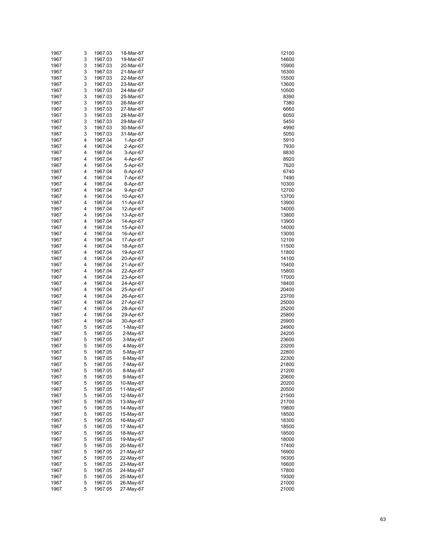| 1967 | 3 | 1967.03 | 18-Mar-67 | 12100 |
|------|---|---------|-----------|-------|
| 1967 | 3 | 1967.03 | 19-Mar-67 | 14600 |
| 1967 | 3 | 1967.03 | 20-Mar-67 | 15900 |
| 1967 | 3 | 1967.03 | 21-Mar-67 | 16300 |
| 1967 | 3 | 1967.03 | 22-Mar-67 | 15500 |
| 1967 | 3 | 1967.03 | 23-Mar-67 | 13600 |
|      |   |         |           |       |
| 1967 | 3 | 1967.03 | 24-Mar-67 | 10500 |
| 1967 | 3 | 1967.03 | 25-Mar-67 | 8390  |
| 1967 | 3 | 1967.03 | 26-Mar-67 | 7380  |
| 1967 | 3 | 1967.03 | 27-Mar-67 | 6660  |
| 1967 | 3 | 1967.03 | 28-Mar-67 | 6050  |
| 1967 | 3 | 1967.03 | 29-Mar-67 | 5450  |
| 1967 | 3 | 1967.03 | 30-Mar-67 | 4990  |
| 1967 | 3 | 1967.03 | 31-Mar-67 | 5050  |
| 1967 | 4 | 1967.04 | 1-Apr-67  | 5910  |
| 1967 | 4 | 1967.04 | 2-Apr-67  | 7930  |
|      | 4 |         |           |       |
| 1967 |   | 1967.04 | 3-Apr-67  | 8830  |
| 1967 | 4 | 1967.04 | 4-Apr-67  | 8920  |
| 1967 | 4 | 1967.04 | 5-Apr-67  | 7620  |
| 1967 | 4 | 1967.04 | 6-Apr-67  | 6740  |
| 1967 | 4 | 1967.04 | 7-Apr-67  | 7490  |
| 1967 | 4 | 1967.04 | 8-Apr-67  | 10300 |
| 1967 | 4 | 1967.04 | 9-Apr-67  | 12700 |
| 1967 | 4 | 1967.04 | 10-Apr-67 | 13700 |
| 1967 | 4 | 1967.04 | 11-Apr-67 | 13900 |
| 1967 | 4 | 1967.04 | 12-Apr-67 | 14000 |
|      | 4 | 1967.04 |           |       |
| 1967 |   |         | 13-Apr-67 | 13800 |
| 1967 | 4 | 1967.04 | 14-Apr-67 | 13900 |
| 1967 | 4 | 1967.04 | 15-Apr-67 | 14000 |
| 1967 | 4 | 1967.04 | 16-Apr-67 | 13000 |
| 1967 | 4 | 1967.04 | 17-Apr-67 | 12100 |
| 1967 | 4 | 1967.04 | 18-Apr-67 | 11500 |
| 1967 | 4 | 1967.04 | 19-Apr-67 | 11800 |
| 1967 | 4 | 1967.04 | 20-Apr-67 | 14100 |
| 1967 | 4 | 1967.04 | 21-Apr-67 | 15400 |
| 1967 | 4 | 1967.04 | 22-Apr-67 | 15800 |
| 1967 | 4 | 1967.04 | 23-Apr-67 | 17000 |
| 1967 | 4 | 1967.04 | 24-Apr-67 | 18400 |
|      |   |         |           |       |
| 1967 | 4 | 1967.04 | 25-Apr-67 | 20400 |
| 1967 | 4 | 1967.04 | 26-Apr-67 | 23700 |
| 1967 | 4 | 1967.04 | 27-Apr-67 | 25000 |
| 1967 | 4 | 1967.04 | 28-Apr-67 | 25200 |
| 1967 | 4 | 1967.04 | 29-Apr-67 | 25800 |
| 1967 | 4 | 1967.04 | 30-Apr-67 | 25900 |
| 1967 | 5 | 1967.05 | 1-May-67  | 24900 |
| 1967 | 5 | 1967.05 | 2-May-67  | 24200 |
| 1967 | 5 | 1967.05 | 3-May-67  | 23600 |
| 1967 | 5 | 1967.05 | 4-May-67  | 23200 |
|      |   |         |           |       |
| 1967 | 5 | 1967.05 | 5-May-67  | 22800 |
| 1967 | 5 | 1967.05 | 6-May-67  | 22300 |
| 1967 | 5 | 1967.05 | 7-May-67  | 21800 |
| 1967 | 5 | 1967.05 | 8-May-67  | 21200 |
| 1967 | 5 | 1967.05 | 9-May-67  | 20600 |
| 1967 | 5 | 1967.05 | 10-May-67 | 20200 |
| 1967 | 5 | 1967.05 | 11-May-67 | 20500 |
| 1967 | 5 | 1967.05 | 12-May-67 | 21500 |
| 1967 | 5 | 1967.05 | 13-May-67 | 21700 |
| 1967 | 5 | 1967.05 | 14-May-67 | 19800 |
| 1967 | 5 | 1967.05 | 15-May-67 | 18500 |
| 1967 | 5 | 1967.05 | 16-May-67 | 18300 |
|      |   |         |           |       |
| 1967 | 5 | 1967.05 | 17-May-67 | 18500 |
| 1967 | 5 | 1967.05 | 18-May-67 | 18500 |
| 1967 | 5 | 1967.05 | 19-May-67 | 18000 |
| 1967 | 5 | 1967.05 | 20-May-67 | 17400 |
| 1967 | 5 | 1967.05 | 21-May-67 | 16900 |
| 1967 | 5 | 1967.05 | 22-May-67 | 16300 |
| 1967 | 5 | 1967.05 | 23-May-67 | 16600 |
| 1967 | 5 | 1967.05 | 24-May-67 | 17800 |
| 1967 | 5 | 1967.05 | 25-May-67 | 19300 |
| 1967 | 5 | 1967.05 | 26-May-67 | 21000 |
|      |   |         |           |       |
| 1967 | 5 | 1967.05 | 27-May-67 | 21000 |

| 12100          |
|----------------|
| 14600          |
|                |
| 15900          |
| 16300          |
| 15500          |
| 13600          |
| 10500          |
| 8390           |
|                |
| 7380           |
| 6660           |
| 6050           |
| 5450           |
| 4990           |
| 5050           |
| 5910           |
|                |
| 7930           |
| 8830           |
| 8920           |
| 7620           |
| 6740           |
| 7490           |
|                |
| 10300          |
| 12700          |
| 13700          |
| 3900<br>1:     |
| 14000          |
| 3800<br>1:     |
| 13900          |
|                |
| 14000          |
| 13000          |
| 12100          |
| 11500          |
| 11800          |
| 14100          |
|                |
| 15400          |
| 15800          |
| 17000          |
| 18400          |
| :0400          |
| 23700          |
| :5000          |
| 5200           |
|                |
| :5800          |
| 15900          |
| 4900           |
| 24200          |
| :3600          |
| 23200          |
|                |
| 22800          |
| 2300<br>)      |
| 21800          |
| 1200           |
| 0600           |
| 20200          |
| 20500          |
| 21500          |
|                |
| 21700          |
| 19800          |
| 18500          |
| 18300          |
| 18500          |
| 18500          |
|                |
| 18000          |
| 17400          |
| 16900          |
| 16300          |
| 16600          |
| 17800          |
|                |
|                |
| 19300          |
| 21000<br>21000 |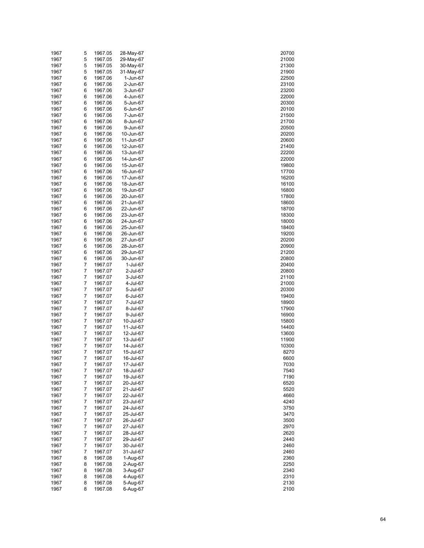| 1967         | 5              | 1967.05            | 28-May-67              | 20700          |
|--------------|----------------|--------------------|------------------------|----------------|
| 1967         | 5              | 1967.05            | 29-May-67              | 21000          |
| 1967         | 5              | 1967.05            | 30-May-67              | 21300          |
| 1967         | 5              | 1967.05            | 31-May-67              | 21900          |
| 1967         | 6              | 1967.06            | 1-Jun-67               | 22500          |
| 1967         | 6              | 1967.06            | 2-Jun-67               | 23100          |
| 1967         | 6              | 1967.06            | 3-Jun-67               | 23200          |
| 1967         | 6              | 1967.06            | 4-Jun-67               | 22000          |
| 1967         | 6              | 1967.06            | 5-Jun-67               | 20300          |
| 1967<br>1967 | 6              | 1967.06<br>1967.06 | 6-Jun-67               | 20100          |
| 1967         | 6<br>6         | 1967.06            | 7-Jun-67<br>8-Jun-67   | 21500<br>21700 |
| 1967         | 6              | 1967.06            | 9-Jun-67               | 20500          |
| 1967         | 6              | 1967.06            | 10-Jun-67              | 20200          |
| 1967         | 6              | 1967.06            | 11-Jun-67              | 20600          |
| 1967         | 6              | 1967.06            | 12-Jun-67              | 21400          |
| 1967         | 6              | 1967.06            | 13-Jun-67              | 22200          |
| 1967         | 6              | 1967.06            | 14-Jun-67              | 22000          |
| 1967         | 6              | 1967.06            | 15-Jun-67              | 19800          |
| 1967         | 6              | 1967.06            | 16-Jun-67              | 17700          |
| 1967         | 6              | 1967.06            | 17-Jun-67              | 16200          |
| 1967         | 6              | 1967.06            | 18-Jun-67              | 16100          |
| 1967         | 6              | 1967.06            | 19-Jun-67              | 16800          |
| 1967         | 6              | 1967.06            | 20-Jun-67              | 17800          |
| 1967         | 6              | 1967.06            | 21-Jun-67              | 18600          |
| 1967         | 6              | 1967.06            | 22-Jun-67              | 18700          |
| 1967         | 6              | 1967.06            | 23-Jun-67              | 18300          |
| 1967         | 6              | 1967.06            | 24-Jun-67              | 18000          |
| 1967         | 6              | 1967.06            | 25-Jun-67              | 18400          |
| 1967         | 6              | 1967.06            | 26-Jun-67              | 19200          |
| 1967         | 6              | 1967.06            | 27-Jun-67              | 20200          |
| 1967         | 6              | 1967.06            | 28-Jun-67              | 20900          |
| 1967<br>1967 | 6              | 1967.06<br>1967.06 | 29-Jun-67              | 21200          |
| 1967         | 6<br>7         | 1967.07            | 30-Jun-67<br>1-Jul-67  | 20800<br>20400 |
| 1967         | 7              | 1967.07            | 2-Jul-67               | 20800          |
| 1967         | 7              | 1967.07            | 3-Jul-67               | 21100          |
| 1967         | 7              | 1967.07            | 4-Jul-67               | 21000          |
| 1967         | 7              | 1967.07            | 5-Jul-67               | 20300          |
| 1967         | 7              | 1967.07            | 6-Jul-67               | 19400          |
| 1967         | 7              | 1967.07            | 7-Jul-67               | 18900          |
| 1967         | 7              | 1967.07            | 8-Jul-67               | 17900          |
| 1967         | 7              | 1967.07            | 9-Jul-67               | 16900          |
| 1967         | 7              | 1967.07            | 10-Jul-67              | 15800          |
| 1967         | 7              | 1967.07            | 11-Jul-67              | 14400          |
| 1967         | 7              | 1967.07            | 12-Jul-67              | 13600          |
| 1967         | 7              | 1967.07            | 13-Jul-67              | 11900          |
| 1967         | 7              | 1967.07            | 14-Jul-67              | 10300          |
| 1967         | $\overline{7}$ | 1967.07            | 15-Jul-67              | 8270           |
| 1967         | 7              | 1967.07            | 16-Jul-67              | 6600           |
| 1967         | 7              | 1967.07            | 17-Jul-67              | 7030           |
| 1967         | 7              | 1967.07            | 18-Jul-67              | 7540           |
| 1967         | 7              | 1967.07            | 19-Jul-67              | 7190           |
| 1967         | 7<br>7         | 1967.07            | 20-Jul-67<br>21-Jul-67 | 6520           |
| 1967         |                | 1967.07            |                        | 5520           |
| 1967<br>1967 | 7<br>7         | 1967.07<br>1967.07 | 22-Jul-67<br>23-Jul-67 | 4660<br>4240   |
| 1967         | 7              | 1967.07            | 24-Jul-67              | 3750           |
| 1967         | $\overline{7}$ | 1967.07            | 25-Jul-67              | 3470           |
| 1967         | 7              | 1967.07            | 26-Jul-67              | 3500           |
| 1967         | 7              | 1967.07            | 27-Jul-67              | 2970           |
| 1967         | 7              | 1967.07            | 28-Jul-67              | 2620           |
| 1967         | $\overline{7}$ | 1967.07            | 29-Jul-67              | 2440           |
| 1967         | 7              | 1967.07            | 30-Jul-67              | 2460           |
| 1967         | 7              | 1967.07            | 31-Jul-67              | 2460           |
| 1967         | 8              | 1967.08            | 1-Aug-67               | 2360           |
| 1967         | 8              | 1967.08            | 2-Aug-67               | 2250           |
| 1967         | 8              | 1967.08            | 3-Aug-67               | 2340           |
| 1967         | 8              | 1967.08            | 4-Aug-67               | 2310           |
| 1967         | 8              | 1967.08            | 5-Aug-67               | 2130           |
| 1967         | 8              | 1967.08            | 6-Aug-67               | 2100           |

| 20700<br>21000            |
|---------------------------|
|                           |
|                           |
|                           |
| 21300                     |
|                           |
| 21900                     |
|                           |
| 22500                     |
| $\frac{23100}{ }$         |
|                           |
| $\frac{23200}{5}$         |
|                           |
| 22000                     |
| 20300<br>20300            |
|                           |
|                           |
| 20100                     |
| 21500                     |
|                           |
| 21700                     |
|                           |
| -<br>20500                |
| 20200                     |
|                           |
| 20600                     |
|                           |
| 21400                     |
|                           |
| $\frac{22200}{22000}$     |
|                           |
|                           |
| 19800                     |
|                           |
| 17700                     |
|                           |
| 16200                     |
| 16100                     |
|                           |
| 16800                     |
|                           |
| -----<br>17800            |
|                           |
| 18600                     |
| 18700                     |
|                           |
| 18300                     |
|                           |
|                           |
|                           |
| 18400                     |
| 19200                     |
|                           |
|                           |
| 20200                     |
| 20900                     |
|                           |
| 21200                     |
|                           |
| -----<br>20800            |
| ر.<br>20400               |
|                           |
| 20800                     |
|                           |
| 21100                     |
|                           |
|                           |
|                           |
| 21000                     |
|                           |
| 20300                     |
|                           |
| 19400                     |
|                           |
| 18900                     |
| 17900                     |
|                           |
| 16900                     |
| <br>15800                 |
|                           |
| 14400                     |
|                           |
| 13600                     |
|                           |
| 11900                     |
| 10300                     |
|                           |
| 8270                      |
| )<br>6<br>6               |
|                           |
| 7030                      |
|                           |
| 7540<br>)                 |
|                           |
| 7190                      |
|                           |
| 65<br>$\overline{2}$<br>) |
|                           |
| 5520                      |
| 4660<br>)                 |
|                           |
| 4240                      |
|                           |
| 3750<br>)                 |
|                           |
| 3470                      |
| 3500<br>)                 |
|                           |
| 2970                      |
|                           |
| 2620<br>)                 |
|                           |
| 2440                      |
| 2460<br>)                 |
|                           |
| 2460                      |
|                           |
| 2360<br>)                 |
|                           |
| 250<br><sup>2</sup>       |
| 2340<br>)                 |
|                           |
|                           |
| 2310                      |
| 2130<br>2100              |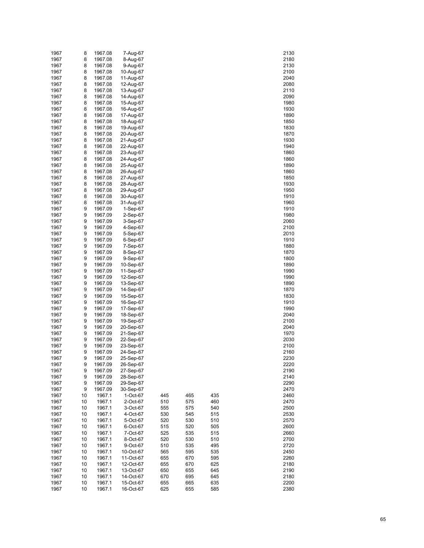| 1967 | 8  | 1967.08 | 7-Aug-67  |     |     |     | 2130 |
|------|----|---------|-----------|-----|-----|-----|------|
| 1967 | 8  | 1967.08 | 8-Aug-67  |     |     |     | 2180 |
| 1967 | 8  | 1967.08 | 9-Aug-67  |     |     |     | 2130 |
| 1967 | 8  | 1967.08 | 10-Aug-67 |     |     |     | 2100 |
| 1967 | 8  | 1967.08 | 11-Aug-67 |     |     |     | 2040 |
| 1967 | 8  | 1967.08 | 12-Aug-67 |     |     |     | 2080 |
|      |    |         |           |     |     |     |      |
| 1967 | 8  | 1967.08 | 13-Aug-67 |     |     |     | 2110 |
| 1967 | 8  | 1967.08 | 14-Aug-67 |     |     |     | 2090 |
| 1967 | 8  | 1967.08 | 15-Aug-67 |     |     |     | 1980 |
| 1967 | 8  | 1967.08 | 16-Aug-67 |     |     |     | 1930 |
| 1967 | 8  | 1967.08 | 17-Aug-67 |     |     |     | 1890 |
| 1967 | 8  | 1967.08 | 18-Aug-67 |     |     |     | 1850 |
| 1967 | 8  | 1967.08 | 19-Aug-67 |     |     |     | 1830 |
| 1967 | 8  | 1967.08 | 20-Aug-67 |     |     |     | 1870 |
| 1967 | 8  | 1967.08 | 21-Aug-67 |     |     |     | 1930 |
| 1967 | 8  | 1967.08 | 22-Aug-67 |     |     |     | 1940 |
| 1967 | 8  | 1967.08 | 23-Aug-67 |     |     |     | 1860 |
| 1967 | 8  | 1967.08 | 24-Aug-67 |     |     |     | 1860 |
| 1967 | 8  | 1967.08 | 25-Aug-67 |     |     |     | 1890 |
|      |    |         |           |     |     |     |      |
| 1967 | 8  | 1967.08 | 26-Aug-67 |     |     |     | 1860 |
| 1967 | 8  | 1967.08 | 27-Aug-67 |     |     |     | 1850 |
| 1967 | 8  | 1967.08 | 28-Aug-67 |     |     |     | 1930 |
| 1967 | 8  | 1967.08 | 29-Aug-67 |     |     |     | 1950 |
| 1967 | 8  | 1967.08 | 30-Aug-67 |     |     |     | 1910 |
| 1967 | 8  | 1967.08 | 31-Aug-67 |     |     |     | 1960 |
| 1967 | 9  | 1967.09 | 1-Sep-67  |     |     |     | 1910 |
| 1967 | 9  | 1967.09 | 2-Sep-67  |     |     |     | 1980 |
| 1967 | 9  | 1967.09 | 3-Sep-67  |     |     |     | 2060 |
| 1967 | 9  | 1967.09 | 4-Sep-67  |     |     |     | 2100 |
| 1967 | 9  | 1967.09 | 5-Sep-67  |     |     |     | 2010 |
| 1967 | 9  | 1967.09 | 6-Sep-67  |     |     |     | 1910 |
| 1967 | 9  | 1967.09 | 7-Sep-67  |     |     |     | 1880 |
| 1967 | 9  | 1967.09 |           |     |     |     | 1870 |
|      |    |         | 8-Sep-67  |     |     |     |      |
| 1967 | 9  | 1967.09 | 9-Sep-67  |     |     |     | 1800 |
| 1967 | 9  | 1967.09 | 10-Sep-67 |     |     |     | 1890 |
| 1967 | 9  | 1967.09 | 11-Sep-67 |     |     |     | 1990 |
| 1967 | 9  | 1967.09 | 12-Sep-67 |     |     |     | 1990 |
| 1967 | 9  | 1967.09 | 13-Sep-67 |     |     |     | 1890 |
| 1967 | 9  | 1967.09 | 14-Sep-67 |     |     |     | 1870 |
| 1967 | 9  | 1967.09 | 15-Sep-67 |     |     |     | 1830 |
| 1967 | 9  | 1967.09 | 16-Sep-67 |     |     |     | 1910 |
| 1967 | 9  | 1967.09 | 17-Sep-67 |     |     |     | 1990 |
| 1967 | 9  | 1967.09 | 18-Sep-67 |     |     |     | 2040 |
| 1967 | 9  | 1967.09 | 19-Sep-67 |     |     |     | 2100 |
| 1967 | 9  | 1967.09 | 20-Sep-67 |     |     |     | 2040 |
| 1967 | 9  | 1967.09 | 21-Sep-67 |     |     |     | 1970 |
| 1967 | 9  | 1967.09 | 22-Sep-67 |     |     |     | 2030 |
| 1967 | 9  | 1967.09 | 23-Sep-67 |     |     |     | 2100 |
|      |    | 1967.09 |           |     |     |     |      |
| 1967 | 9  |         | 24-Sep-67 |     |     |     | 2160 |
| 1967 | 9  | 1967.09 | 25-Sep-67 |     |     |     | 2230 |
| 1967 | 9  | 1967.09 | 26-Sep-67 |     |     |     | 2220 |
| 1967 | 9  | 1967.09 | 27-Sep-67 |     |     |     | 2190 |
| 1967 | 9  | 1967.09 | 28-Sep-67 |     |     |     | 2140 |
| 1967 | 9  | 1967.09 | 29-Sep-67 |     |     |     | 2290 |
| 1967 | 9  | 1967.09 | 30-Sep-67 |     |     |     | 2470 |
| 1967 | 10 | 1967.1  | 1-Oct-67  | 445 | 465 | 435 | 2460 |
| 1967 | 10 | 1967.1  | 2-Oct-67  | 510 | 575 | 460 | 2470 |
| 1967 | 10 | 1967.1  | 3-Oct-67  | 555 | 575 | 540 | 2500 |
| 1967 | 10 | 1967.1  | 4-Oct-67  | 530 | 545 | 515 | 2530 |
| 1967 | 10 | 1967.1  | 5-Oct-67  | 520 | 530 | 510 | 2570 |
| 1967 | 10 | 1967.1  | 6-Oct-67  | 515 | 520 | 505 | 2600 |
| 1967 | 10 | 1967.1  | 7-Oct-67  | 525 | 535 | 515 | 2660 |
| 1967 | 10 | 1967.1  | 8-Oct-67  | 520 | 530 | 510 | 2700 |
|      |    |         | 9-Oct-67  |     |     |     |      |
| 1967 | 10 | 1967.1  |           | 510 | 535 | 495 | 2720 |
| 1967 | 10 | 1967.1  | 10-Oct-67 | 565 | 595 | 535 | 2450 |
| 1967 | 10 | 1967.1  | 11-Oct-67 | 655 | 670 | 595 | 2260 |
| 1967 | 10 | 1967.1  | 12-Oct-67 | 655 | 670 | 625 | 2180 |
| 1967 | 10 | 1967.1  | 13-Oct-67 | 650 | 655 | 645 | 2190 |
| 1967 | 10 | 1967.1  | 14-Oct-67 | 670 | 695 | 645 | 2180 |
| 1967 | 10 | 1967.1  | 15-Oct-67 | 655 | 665 | 635 | 2200 |
| 1967 | 10 | 1967.1  | 16-Oct-67 | 625 | 655 | 585 | 2380 |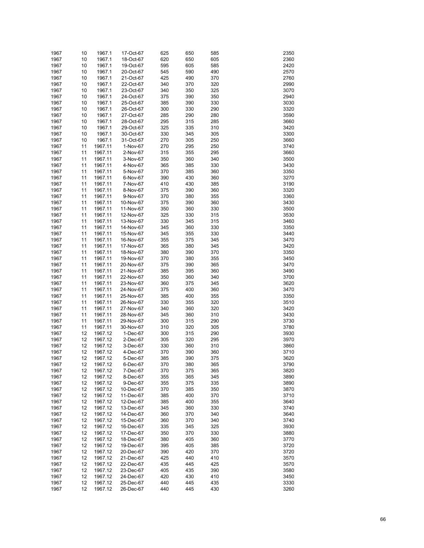| 1967 | 10 | 1967.1  | 17-Oct-67 | 625 | 650 | 585 | 2350 |
|------|----|---------|-----------|-----|-----|-----|------|
| 1967 | 10 | 1967.1  | 18-Oct-67 | 620 | 650 | 605 | 2360 |
| 1967 | 10 | 1967.1  | 19-Oct-67 | 595 | 605 | 585 | 2420 |
| 1967 | 10 | 1967.1  | 20-Oct-67 | 545 | 590 | 490 | 2570 |
|      |    |         |           | 425 | 490 |     | 2760 |
| 1967 | 10 | 1967.1  | 21-Oct-67 |     |     | 370 |      |
| 1967 | 10 | 1967.1  | 22-Oct-67 | 340 | 370 | 320 | 2990 |
| 1967 | 10 | 1967.1  | 23-Oct-67 | 340 | 350 | 325 | 3070 |
| 1967 | 10 | 1967.1  | 24-Oct-67 | 375 | 390 | 350 | 2940 |
| 1967 | 10 | 1967.1  | 25-Oct-67 | 385 | 390 | 330 | 3030 |
| 1967 | 10 | 1967.1  | 26-Oct-67 | 300 | 330 | 290 | 3320 |
| 1967 | 10 | 1967.1  | 27-Oct-67 | 285 | 290 | 280 | 3590 |
| 1967 | 10 | 1967.1  | 28-Oct-67 | 295 | 315 | 285 | 3660 |
| 1967 | 10 | 1967.1  | 29-Oct-67 | 325 | 335 | 310 | 3420 |
| 1967 | 10 | 1967.1  | 30-Oct-67 | 330 | 345 | 305 | 3300 |
| 1967 | 10 | 1967.1  | 31-Oct-67 | 270 | 305 | 250 | 3660 |
| 1967 | 11 | 1967.11 | 1-Nov-67  | 270 | 295 | 250 | 3740 |
| 1967 | 11 | 1967.11 | 2-Nov-67  | 315 | 355 | 295 | 3660 |
| 1967 | 11 | 1967.11 | 3-Nov-67  | 350 | 360 | 340 | 3500 |
| 1967 | 11 | 1967.11 | 4-Nov-67  | 365 | 385 | 330 | 3430 |
| 1967 | 11 | 1967.11 | 5-Nov-67  | 370 | 385 | 360 | 3350 |
| 1967 | 11 | 1967.11 | 6-Nov-67  | 390 | 430 | 360 | 3270 |
|      |    | 1967.11 | 7-Nov-67  |     |     |     | 3190 |
| 1967 | 11 |         |           | 410 | 430 | 385 |      |
| 1967 | 11 | 1967.11 | 8-Nov-67  | 375 | 390 | 360 | 3320 |
| 1967 | 11 | 1967.11 | 9-Nov-67  | 370 | 380 | 355 | 3360 |
| 1967 | 11 | 1967.11 | 10-Nov-67 | 375 | 390 | 360 | 3430 |
| 1967 | 11 | 1967.11 | 11-Nov-67 | 350 | 360 | 330 | 3500 |
| 1967 | 11 | 1967.11 | 12-Nov-67 | 325 | 330 | 315 | 3530 |
| 1967 | 11 | 1967.11 | 13-Nov-67 | 330 | 345 | 315 | 3460 |
| 1967 | 11 | 1967.11 | 14-Nov-67 | 345 | 360 | 330 | 3350 |
| 1967 | 11 | 1967.11 | 15-Nov-67 | 345 | 355 | 330 | 3440 |
| 1967 | 11 | 1967.11 | 16-Nov-67 | 355 | 375 | 345 | 3470 |
| 1967 | 11 | 1967.11 | 17-Nov-67 | 365 | 380 | 345 | 3420 |
| 1967 | 11 | 1967.11 | 18-Nov-67 | 380 | 390 | 370 | 3350 |
| 1967 | 11 | 1967.11 | 19-Nov-67 | 370 | 380 | 355 | 3450 |
| 1967 | 11 | 1967.11 | 20-Nov-67 | 375 | 390 | 365 | 3470 |
| 1967 | 11 | 1967.11 | 21-Nov-67 | 385 | 395 | 360 | 3490 |
| 1967 | 11 | 1967.11 | 22-Nov-67 | 350 | 360 | 340 | 3700 |
|      |    |         |           |     |     |     | 3620 |
| 1967 | 11 | 1967.11 | 23-Nov-67 | 360 | 375 | 345 |      |
| 1967 | 11 | 1967.11 | 24-Nov-67 | 375 | 400 | 360 | 3470 |
| 1967 | 11 | 1967.11 | 25-Nov-67 | 385 | 400 | 355 | 3350 |
| 1967 | 11 | 1967.11 | 26-Nov-67 | 330 | 355 | 320 | 3510 |
| 1967 | 11 | 1967.11 | 27-Nov-67 | 340 | 360 | 320 | 3420 |
| 1967 | 11 | 1967.11 | 28-Nov-67 | 345 | 360 | 310 | 3430 |
| 1967 | 11 | 1967.11 | 29-Nov-67 | 300 | 315 | 290 | 3730 |
| 1967 | 11 | 1967.11 | 30-Nov-67 | 310 | 320 | 305 | 3780 |
| 1967 | 12 | 1967.12 | 1-Dec-67  | 300 | 315 | 290 | 3930 |
| 1967 | 12 | 1967.12 | 2-Dec-67  | 305 | 320 | 295 | 3970 |
| 1967 | 12 | 1967.12 | 3-Dec-67  | 330 | 360 | 310 | 3860 |
| 1967 | 12 | 1967.12 | 4-Dec-67  | 370 | 390 | 360 | 3710 |
| 1967 | 12 | 1967.12 | 5-Dec-67  | 385 | 390 | 375 | 3620 |
| 1967 | 12 | 1967.12 | 6-Dec-67  | 370 | 380 | 365 | 3790 |
| 1967 | 12 | 1967.12 | 7-Dec-67  | 370 | 375 | 365 | 3820 |
| 1967 | 12 | 1967.12 | 8-Dec-67  | 355 | 365 | 345 | 3890 |
| 1967 | 12 | 1967.12 | 9-Dec-67  | 355 | 375 | 335 | 3890 |
| 1967 | 12 |         |           | 370 | 385 | 350 | 3870 |
|      |    | 1967.12 | 10-Dec-67 |     |     |     |      |
| 1967 | 12 | 1967.12 | 11-Dec-67 | 385 | 400 | 370 | 3710 |
| 1967 | 12 | 1967.12 | 12-Dec-67 | 385 | 400 | 355 | 3640 |
| 1967 | 12 | 1967.12 | 13-Dec-67 | 345 | 360 | 330 | 3740 |
| 1967 | 12 | 1967.12 | 14-Dec-67 | 360 | 370 | 340 | 3640 |
| 1967 | 12 | 1967.12 | 15-Dec-67 | 360 | 370 | 340 | 3740 |
| 1967 | 12 | 1967.12 | 16-Dec-67 | 335 | 345 | 325 | 3930 |
| 1967 | 12 | 1967.12 | 17-Dec-67 | 350 | 370 | 330 | 3880 |
| 1967 | 12 | 1967.12 | 18-Dec-67 | 380 | 405 | 360 | 3770 |
| 1967 | 12 | 1967.12 | 19-Dec-67 | 395 | 405 | 385 | 3720 |
| 1967 | 12 | 1967.12 | 20-Dec-67 | 390 | 420 | 370 | 3720 |
| 1967 | 12 | 1967.12 | 21-Dec-67 | 425 | 440 | 410 | 3570 |
| 1967 | 12 | 1967.12 | 22-Dec-67 | 435 | 445 | 425 | 3570 |
| 1967 | 12 | 1967.12 | 23-Dec-67 | 405 | 435 | 390 | 3580 |
| 1967 | 12 | 1967.12 | 24-Dec-67 | 420 | 430 | 410 | 3450 |
| 1967 | 12 | 1967.12 | 25-Dec-67 | 440 | 445 | 435 | 3330 |
| 1967 | 12 | 1967.12 | 26-Dec-67 | 440 | 445 | 430 | 3260 |
|      |    |         |           |     |     |     |      |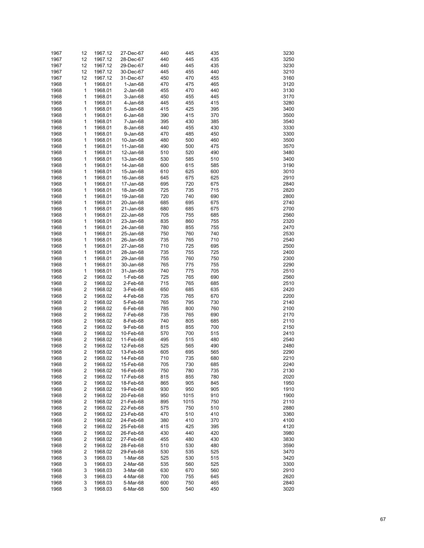| 1967 | 12                      | 1967.12 | 27-Dec-67   | 440 | 445  | 435 | 3230 |
|------|-------------------------|---------|-------------|-----|------|-----|------|
| 1967 | 12                      | 1967.12 | 28-Dec-67   | 440 | 445  | 435 | 3250 |
| 1967 | 12                      | 1967.12 | 29-Dec-67   | 440 | 445  | 435 | 3230 |
| 1967 | 12                      | 1967.12 | 30-Dec-67   | 445 | 455  | 440 | 3210 |
| 1967 | 12                      | 1967.12 | 31-Dec-67   | 450 | 470  | 455 | 3160 |
| 1968 | 1                       | 1968.01 | 1-Jan-68    | 470 | 475  | 465 | 3120 |
| 1968 | 1                       | 1968.01 | $2$ -Jan-68 | 455 | 470  | 440 | 3130 |
| 1968 | 1                       | 1968.01 | 3-Jan-68    | 450 | 455  | 445 | 3170 |
| 1968 | 1                       | 1968.01 | 4-Jan-68    | 445 | 455  | 415 | 3280 |
| 1968 | 1                       | 1968.01 | 5-Jan-68    | 415 | 425  | 395 | 3400 |
| 1968 | 1                       | 1968.01 | 6-Jan-68    | 390 | 415  | 370 | 3500 |
| 1968 | 1                       | 1968.01 | 7-Jan-68    | 395 | 430  | 385 | 3540 |
| 1968 | 1                       | 1968.01 | 8-Jan-68    | 440 | 455  | 430 | 3330 |
| 1968 | 1                       | 1968.01 | 9-Jan-68    | 470 | 485  | 450 | 3300 |
| 1968 | 1                       | 1968.01 | 10-Jan-68   | 480 | 500  | 460 | 3500 |
| 1968 | 1                       | 1968.01 | 11-Jan-68   | 490 | 500  | 475 | 3570 |
| 1968 | 1                       | 1968.01 | 12-Jan-68   | 510 | 520  | 490 | 3480 |
| 1968 | 1                       | 1968.01 | 13-Jan-68   | 530 | 585  | 510 | 3400 |
| 1968 | 1                       | 1968.01 | 14-Jan-68   | 600 | 615  | 585 | 3190 |
| 1968 | 1                       | 1968.01 | 15-Jan-68   | 610 | 625  | 600 | 3010 |
| 1968 | 1                       | 1968.01 | 16-Jan-68   | 645 | 675  | 625 | 2910 |
| 1968 | 1                       | 1968.01 | 17-Jan-68   | 695 | 720  | 675 | 2840 |
|      | 1                       |         |             |     | 735  |     |      |
| 1968 | 1                       | 1968.01 | 18-Jan-68   | 725 |      | 715 | 2820 |
| 1968 |                         | 1968.01 | 19-Jan-68   | 720 | 740  | 690 | 2800 |
| 1968 | 1                       | 1968.01 | 20-Jan-68   | 685 | 695  | 675 | 2740 |
| 1968 | 1                       | 1968.01 | 21-Jan-68   | 680 | 685  | 675 | 2700 |
| 1968 | 1                       | 1968.01 | 22-Jan-68   | 705 | 755  | 685 | 2560 |
| 1968 | 1                       | 1968.01 | 23-Jan-68   | 835 | 860  | 755 | 2320 |
| 1968 | 1                       | 1968.01 | 24-Jan-68   | 780 | 855  | 755 | 2470 |
| 1968 | 1                       | 1968.01 | 25-Jan-68   | 750 | 760  | 740 | 2530 |
| 1968 | 1                       | 1968.01 | 26-Jan-68   | 735 | 765  | 710 | 2540 |
| 1968 | 1                       | 1968.01 | 27-Jan-68   | 710 | 725  | 695 | 2500 |
| 1968 | 1                       | 1968.01 | 28-Jan-68   | 735 | 755  | 725 | 2400 |
| 1968 | 1                       | 1968.01 | 29-Jan-68   | 755 | 760  | 750 | 2300 |
| 1968 | 1                       | 1968.01 | 30-Jan-68   | 765 | 775  | 755 | 2290 |
| 1968 | 1                       | 1968.01 | 31-Jan-68   | 740 | 775  | 705 | 2510 |
| 1968 | $\overline{\mathbf{c}}$ | 1968.02 | 1-Feb-68    | 725 | 765  | 690 | 2560 |
| 1968 | $\overline{\mathbf{c}}$ | 1968.02 | 2-Feb-68    | 715 | 765  | 685 | 2510 |
| 1968 | $\boldsymbol{2}$        | 1968.02 | 3-Feb-68    | 650 | 685  | 635 | 2420 |
| 1968 | $\boldsymbol{2}$        | 1968.02 | 4-Feb-68    | 735 | 765  | 670 | 2200 |
| 1968 | $\boldsymbol{2}$        | 1968.02 | 5-Feb-68    | 765 | 795  | 730 | 2140 |
| 1968 | $\overline{\mathbf{c}}$ | 1968.02 | 6-Feb-68    | 785 | 800  | 760 | 2100 |
| 1968 | $\boldsymbol{2}$        | 1968.02 | 7-Feb-68    | 735 | 765  | 690 | 2170 |
| 1968 | $\boldsymbol{2}$        | 1968.02 | 8-Feb-68    | 740 | 805  | 685 | 2110 |
| 1968 | $\boldsymbol{2}$        | 1968.02 | 9-Feb-68    | 815 | 855  | 700 | 2150 |
| 1968 | $\overline{\mathbf{c}}$ | 1968.02 | 10-Feb-68   | 570 | 700  | 515 | 2410 |
| 1968 | $\boldsymbol{2}$        | 1968.02 | 11-Feb-68   | 495 | 515  | 480 | 2540 |
| 1968 | $\overline{\mathbf{c}}$ | 1968.02 | 12-Feb-68   | 525 | 565  | 490 | 2480 |
| 1968 | 2                       | 1968.02 | 13-Feb-68   | 605 | 695  | 565 | 2290 |
| 1968 | 2                       | 1968.02 | 14-Feb-68   | 710 | 735  | 680 | 2210 |
| 1968 | $\overline{\mathbf{c}}$ | 1968.02 | 15-Feb-68   | 705 | 730  | 685 | 2240 |
| 1968 | 2                       | 1968.02 | 16-Feb-68   | 750 | 780  | 735 | 2130 |
| 1968 | $\overline{c}$          | 1968.02 | 17-Feb-68   | 815 | 855  | 780 | 2020 |
| 1968 | $\boldsymbol{2}$        | 1968.02 | 18-Feb-68   | 865 | 905  | 845 | 1950 |
| 1968 | $\boldsymbol{2}$        | 1968.02 | 19-Feb-68   | 930 | 950  | 905 | 1910 |
| 1968 | $\boldsymbol{2}$        | 1968.02 | 20-Feb-68   | 950 | 1015 | 910 | 1900 |
| 1968 | $\boldsymbol{2}$        | 1968.02 | 21-Feb-68   | 895 | 1015 | 750 | 2110 |
| 1968 | $\boldsymbol{2}$        | 1968.02 | 22-Feb-68   | 575 | 750  | 510 | 2880 |
| 1968 | $\boldsymbol{2}$        | 1968.02 | 23-Feb-68   | 470 | 510  | 410 | 3360 |
| 1968 | $\boldsymbol{2}$        | 1968.02 | 24-Feb-68   | 380 | 410  | 370 | 4100 |
| 1968 | $\boldsymbol{2}$        | 1968.02 | 25-Feb-68   | 415 | 425  | 395 | 4120 |
| 1968 | $\boldsymbol{2}$        | 1968.02 | 26-Feb-68   | 430 | 440  | 420 | 3980 |
| 1968 | $\boldsymbol{2}$        | 1968.02 | 27-Feb-68   | 455 | 480  | 430 | 3830 |
| 1968 | $\boldsymbol{2}$        | 1968.02 | 28-Feb-68   | 510 | 530  | 480 | 3590 |
| 1968 | $\overline{c}$          | 1968.02 | 29-Feb-68   | 530 | 535  | 525 | 3470 |
| 1968 | 3                       | 1968.03 |             | 525 | 530  | 515 | 3420 |
|      |                         |         | 1-Mar-68    |     |      |     |      |
| 1968 | 3                       | 1968.03 | 2-Mar-68    | 535 | 560  | 525 | 3300 |
| 1968 | 3                       | 1968.03 | 3-Mar-68    | 630 | 670  | 560 | 2910 |
| 1968 | 3                       | 1968.03 | 4-Mar-68    | 700 | 755  | 645 | 2620 |
| 1968 | 3                       | 1968.03 | 5-Mar-68    | 600 | 750  | 465 | 2840 |
| 1968 | 3                       | 1968.03 | 6-Mar-68    | 500 | 540  | 450 | 3020 |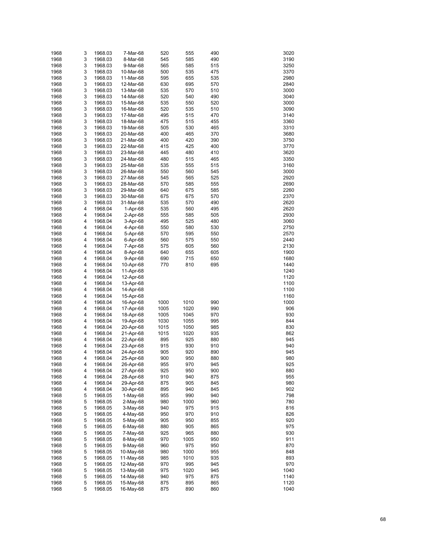| 1968 | 3 | 1968.03 | 7-Mar-68  | 520  | 555  | 490 | 3020         |
|------|---|---------|-----------|------|------|-----|--------------|
| 1968 | 3 | 1968.03 | 8-Mar-68  | 545  | 585  | 490 | 3190         |
| 1968 | 3 | 1968.03 | 9-Mar-68  | 565  | 585  | 515 | 3250         |
| 1968 | 3 | 1968.03 | 10-Mar-68 | 500  | 535  | 475 | 3370         |
|      | 3 |         |           |      |      |     |              |
| 1968 |   | 1968.03 | 11-Mar-68 | 595  | 655  | 535 | 2980         |
| 1968 | 3 | 1968.03 | 12-Mar-68 | 630  | 695  | 570 | 2840         |
| 1968 | 3 | 1968.03 | 13-Mar-68 | 535  | 570  | 510 | 3000         |
| 1968 | 3 | 1968.03 | 14-Mar-68 | 520  | 540  | 490 | 3040         |
| 1968 | 3 | 1968.03 | 15-Mar-68 | 535  | 550  | 520 | 3000         |
| 1968 | 3 | 1968.03 | 16-Mar-68 | 520  | 535  | 510 | 3090         |
| 1968 | 3 | 1968.03 | 17-Mar-68 | 495  | 515  | 470 | 3140         |
| 1968 | 3 | 1968.03 | 18-Mar-68 | 475  | 515  | 455 | 3360         |
| 1968 | 3 | 1968.03 | 19-Mar-68 | 505  | 530  | 465 | 3310         |
| 1968 | 3 | 1968.03 | 20-Mar-68 | 400  | 465  | 370 | 3680         |
| 1968 | 3 | 1968.03 | 21-Mar-68 | 400  | 420  | 390 | 3750         |
| 1968 | 3 | 1968.03 | 22-Mar-68 | 415  | 425  | 400 | 3770         |
| 1968 | 3 | 1968.03 | 23-Mar-68 | 445  | 480  | 410 | 3620         |
| 1968 | 3 | 1968.03 | 24-Mar-68 | 480  | 515  | 465 | 3350         |
| 1968 | 3 | 1968.03 | 25-Mar-68 | 535  | 555  | 515 | 3160         |
| 1968 | 3 | 1968.03 | 26-Mar-68 | 550  | 560  | 545 | 3000         |
|      | 3 |         |           |      |      |     |              |
| 1968 |   | 1968.03 | 27-Mar-68 | 545  | 565  | 525 | 2920<br>2690 |
| 1968 | 3 | 1968.03 | 28-Mar-68 | 570  | 585  | 555 |              |
| 1968 | 3 | 1968.03 | 29-Mar-68 | 640  | 675  | 585 | 2260         |
| 1968 | 3 | 1968.03 | 30-Mar-68 | 675  | 675  | 570 | 2370         |
| 1968 | 3 | 1968.03 | 31-Mar-68 | 535  | 570  | 490 | 2620         |
| 1968 | 4 | 1968.04 | 1-Apr-68  | 535  | 560  | 495 | 2620         |
| 1968 | 4 | 1968.04 | 2-Apr-68  | 555  | 585  | 505 | 2930         |
| 1968 | 4 | 1968.04 | 3-Apr-68  | 495  | 525  | 480 | 3060         |
| 1968 | 4 | 1968.04 | 4-Apr-68  | 550  | 580  | 530 | 2750         |
| 1968 | 4 | 1968.04 | 5-Apr-68  | 570  | 595  | 550 | 2570         |
| 1968 | 4 | 1968.04 | 6-Apr-68  | 560  | 575  | 550 | 2440         |
| 1968 | 4 | 1968.04 | 7-Apr-68  | 575  | 605  | 560 | 2130         |
| 1968 | 4 | 1968.04 | 8-Apr-68  | 640  | 655  | 605 | 1900         |
| 1968 | 4 | 1968.04 | 9-Apr-68  | 690  | 715  | 650 | 1680         |
| 1968 | 4 | 1968.04 | 10-Apr-68 | 770  | 810  | 695 | 1440         |
|      | 4 |         |           |      |      |     |              |
| 1968 |   | 1968.04 | 11-Apr-68 |      |      |     | 1240         |
| 1968 | 4 | 1968.04 | 12-Apr-68 |      |      |     | 1120         |
| 1968 | 4 | 1968.04 | 13-Apr-68 |      |      |     | 1100         |
| 1968 | 4 | 1968.04 | 14-Apr-68 |      |      |     | 1100         |
| 1968 | 4 | 1968.04 | 15-Apr-68 |      |      |     | 1160         |
| 1968 | 4 | 1968.04 | 16-Apr-68 | 1000 | 1010 | 990 | 1000         |
| 1968 | 4 | 1968.04 | 17-Apr-68 | 1005 | 1020 | 990 | 906          |
| 1968 | 4 | 1968.04 | 18-Apr-68 | 1005 | 1045 | 970 | 930          |
| 1968 | 4 | 1968.04 | 19-Apr-68 | 1030 | 1055 | 995 | 844          |
| 1968 | 4 | 1968.04 | 20-Apr-68 | 1015 | 1050 | 985 | 830          |
| 1968 | 4 | 1968.04 | 21-Apr-68 | 1015 | 1020 | 935 | 862          |
| 1968 | 4 | 1968.04 | 22-Apr-68 | 895  | 925  | 880 | 945          |
| 1968 | 4 | 1968.04 | 23-Apr-68 | 915  | 930  | 910 | 940          |
| 1968 | 4 | 1968.04 | 24-Apr-68 | 905  | 920  | 890 | 945          |
| 1968 | 4 | 1968.04 | 25-Apr-68 | 900  | 950  | 880 | 980          |
| 1968 | 4 | 1968.04 | 26-Apr-68 | 955  | 970  | 945 | 925          |
| 1968 | 4 | 1968.04 |           | 925  | 950  | 900 | 880          |
|      |   |         | 27-Apr-68 |      |      |     |              |
| 1968 | 4 | 1968.04 | 28-Apr-68 | 910  | 940  | 875 | 955          |
| 1968 | 4 | 1968.04 | 29-Apr-68 | 875  | 905  | 845 | 980          |
| 1968 | 4 | 1968.04 | 30-Apr-68 | 895  | 940  | 845 | 902          |
| 1968 | 5 | 1968.05 | 1-May-68  | 955  | 990  | 940 | 798          |
| 1968 | 5 | 1968.05 | 2-May-68  | 980  | 1000 | 960 | 780          |
| 1968 | 5 | 1968.05 | 3-May-68  | 940  | 975  | 915 | 816          |
| 1968 | 5 | 1968.05 | 4-May-68  | 950  | 970  | 910 | 826          |
| 1968 | 5 | 1968.05 | 5-May-68  | 905  | 950  | 855 | 920          |
| 1968 | 5 | 1968.05 | 6-May-68  | 880  | 905  | 865 | 975          |
| 1968 | 5 | 1968.05 | 7-May-68  | 925  | 965  | 880 | 930          |
| 1968 | 5 | 1968.05 | 8-May-68  | 970  | 1005 | 950 | 911          |
| 1968 | 5 | 1968.05 | 9-May-68  | 960  | 975  | 950 | 870          |
| 1968 | 5 | 1968.05 | 10-May-68 | 980  | 1000 | 955 | 848          |
| 1968 | 5 | 1968.05 | 11-May-68 | 985  | 1010 | 935 | 893          |
| 1968 | 5 | 1968.05 | 12-May-68 | 970  | 995  | 945 | 970          |
| 1968 | 5 | 1968.05 | 13-May-68 | 975  | 1020 | 945 | 1040         |
| 1968 | 5 |         |           |      | 975  |     | 1140         |
|      |   | 1968.05 | 14-May-68 | 940  |      | 875 |              |
| 1968 | 5 | 1968.05 | 15-May-68 | 875  | 895  | 865 | 1120         |
| 1968 | 5 | 1968.05 | 16-May-68 | 875  | 890  | 860 | 1040         |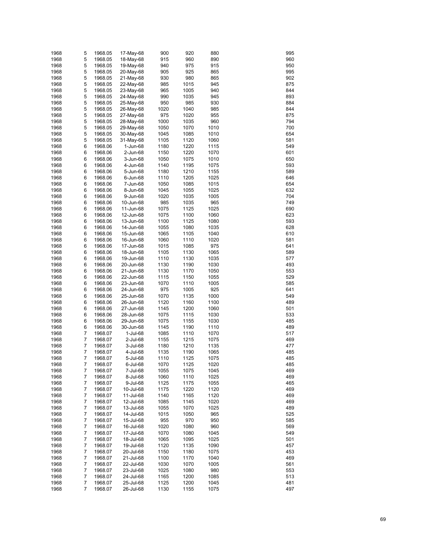| 1968         | 5      | 1968.05            | 17-May-68              | 900          | 920          | 880          | 995        |
|--------------|--------|--------------------|------------------------|--------------|--------------|--------------|------------|
| 1968         | 5      | 1968.05            | 18-May-68              | 915          | 960          | 890          | 960        |
| 1968         | 5      | 1968.05            | 19-May-68              | 940          | 975          | 915          | 950        |
| 1968         | 5      | 1968.05            | 20-May-68              | 905          | 925          | 865          | 995        |
| 1968         | 5      | 1968.05            | 21-May-68              | 930          | 980          | 865          | 902        |
| 1968         | 5      | 1968.05            | 22-May-68              | 985          | 1015         | 945          | 875        |
| 1968         | 5      | 1968.05            | 23-May-68              | 965          | 1005         | 940          | 844        |
| 1968         | 5      | 1968.05            | 24-May-68              | 990          | 1035         | 945          | 893        |
| 1968         | 5      | 1968.05            | 25-May-68              | 950          | 985          | 930          | 884        |
| 1968         | 5      | 1968.05            | 26-May-68              | 1020         | 1040         | 985          | 844        |
| 1968         | 5      | 1968.05            | 27-May-68              | 975          | 1020         | 955          | 875        |
| 1968         | 5      | 1968.05            | 28-May-68              | 1000         | 1035         | 960          | 794        |
| 1968         | 5      | 1968.05            | 29-May-68              | 1050         | 1070         | 1010         | 700        |
| 1968         | 5      | 1968.05            | 30-May-68              | 1045         | 1085         | 1010         | 654        |
| 1968         | 5      | 1968.05            | 31-May-68              | 1105         | 1120         | 1060         | 581        |
| 1968         | 6      | 1968.06            | 1-Jun-68               | 1180         | 1220         | 1115         | 549        |
| 1968         | 6      | 1968.06            | 2-Jun-68               | 1150         | 1220         | 1070         | 601        |
| 1968         | 6      | 1968.06            | 3-Jun-68               | 1050         | 1075         | 1010         | 650        |
| 1968<br>1968 | 6<br>6 | 1968.06<br>1968.06 | 4-Jun-68<br>5-Jun-68   | 1140<br>1180 | 1195<br>1210 | 1075<br>1155 | 593<br>589 |
| 1968         | 6      | 1968.06            | 6-Jun-68               | 1110         | 1205         | 1025         | 646        |
| 1968         | 6      | 1968.06            | 7-Jun-68               | 1050         | 1085         | 1015         | 654        |
| 1968         | 6      | 1968.06            | 8-Jun-68               | 1045         | 1055         | 1025         | 632        |
| 1968         | 6      | 1968.06            | 9-Jun-68               | 1020         | 1035         | 1005         | 704        |
| 1968         | 6      | 1968.06            | 10-Jun-68              | 985          | 1035         | 965          | 749        |
| 1968         | 6      | 1968.06            | 11-Jun-68              | 1075         | 1125         | 1025         | 690        |
| 1968         | 6      | 1968.06            | 12-Jun-68              | 1075         | 1100         | 1060         | 623        |
| 1968         | 6      | 1968.06            | 13-Jun-68              | 1100         | 1125         | 1080         | 593        |
| 1968         | 6      | 1968.06            | 14-Jun-68              | 1055         | 1080         | 1035         | 628        |
| 1968         | 6      | 1968.06            | 15-Jun-68              | 1065         | 1105         | 1040         | 610        |
| 1968         | 6      | 1968.06            | 16-Jun-68              | 1060         | 1110         | 1020         | 581        |
| 1968         | 6      | 1968.06            | 17-Jun-68              | 1015         | 1085         | 975          | 641        |
| 1968         | 6      | 1968.06            | 18-Jun-68              | 1105         | 1130         | 1065         | 589        |
| 1968         | 6      | 1968.06            | 19-Jun-68              | 1110         | 1130         | 1035         | 577        |
| 1968         | 6      | 1968.06            | 20-Jun-68              | 1130         | 1190         | 1030         | 493        |
| 1968         | 6      | 1968.06            | 21-Jun-68              | 1130         | 1170         | 1050         | 553        |
| 1968         | 6      | 1968.06            | 22-Jun-68              | 1115         | 1150         | 1055         | 529        |
| 1968         | 6      | 1968.06            | 23-Jun-68              | 1070         | 1110         | 1005         | 585        |
| 1968         | 6      | 1968.06            | 24-Jun-68              | 975          | 1005         | 925          | 641        |
| 1968<br>1968 | 6<br>6 | 1968.06<br>1968.06 | 25-Jun-68              | 1070<br>1120 | 1135<br>1160 | 1000<br>1100 | 549<br>489 |
| 1968         | 6      | 1968.06            | 26-Jun-68<br>27-Jun-68 | 1145         | 1200         | 1060         | 501        |
| 1968         | 6      | 1968.06            | 28-Jun-68              | 1075         | 1115         | 1030         | 533        |
| 1968         | 6      | 1968.06            | 29-Jun-68              | 1075         | 1155         | 1030         | 485        |
| 1968         | 6      | 1968.06            | 30-Jun-68              | 1145         | 1190         | 1110         | 489        |
| 1968         | 7      | 1968.07            | 1-Jul-68               | 1085         | 1110         | 1070         | 517        |
| 1968         | 7      | 1968.07            | 2-Jul-68               | 1155         | 1215         | 1075         | 469        |
| 1968         | 7      | 1968.07            | 3-Jul-68               | 1180         | 1210         | 1135         | 477        |
| 1968         | 7      | 1968.07            | 4-Jul-68               | 1135         | 1190         | 1065         | 485        |
| 1968         | 7      | 1968.07            | 5-Jul-68               | 1110         | 1125         | 1075         | 485        |
| 1968         | 7      | 1968.07            | 6-Jul-68               | 1070         | 1125         | 1020         | 485        |
| 1968         | 7      | 1968.07            | 7-Jul-68               | 1055         | 1075         | 1045         | 469        |
| 1968         | 7      | 1968.07            | 8-Jul-68               | 1060         | 1110         | 1025         | 469        |
| 1968         | 7      | 1968.07            | 9-Jul-68               | 1125         | 1175         | 1055         | 465        |
| 1968         | 7      | 1968.07            | 10-Jul-68              | 1175         | 1220         | 1120         | 469        |
| 1968         | 7      | 1968.07            | 11-Jul-68              | 1140         | 1165         | 1120         | 469        |
| 1968         | 7      | 1968.07            | 12-Jul-68              | 1085         | 1145         | 1020         | 469        |
| 1968         | 7      | 1968.07            | 13-Jul-68              | 1055         | 1070         | 1025         | 489        |
| 1968         | 7      | 1968.07            | 14-Jul-68              | 1015         | 1050         | 965          | 525        |
| 1968         | 7      | 1968.07            | 15-Jul-68              | 955          | 970          | 950          | 585        |
| 1968<br>1968 | 7<br>7 | 1968.07<br>1968.07 | 16-Jul-68<br>17-Jul-68 | 1020         | 1080<br>1080 | 960<br>1045  | 569        |
| 1968         | 7      | 1968.07            | 18-Jul-68              | 1070<br>1065 | 1095         | 1025         | 549<br>501 |
| 1968         | 7      | 1968.07            | 19-Jul-68              | 1120         | 1135         | 1090         | 457        |
| 1968         | 7      | 1968.07            | 20-Jul-68              | 1150         | 1180         | 1075         | 453        |
| 1968         | 7      | 1968.07            | 21-Jul-68              | 1100         | 1170         | 1040         | 469        |
| 1968         | 7      | 1968.07            | 22-Jul-68              | 1030         | 1070         | 1005         | 561        |
| 1968         | 7      | 1968.07            | 23-Jul-68              | 1025         | 1080         | 980          | 553        |
| 1968         | 7      | 1968.07            | 24-Jul-68              | 1165         | 1200         | 1085         | 513        |
| 1968         | 7      | 1968.07            | 25-Jul-68              | 1125         | 1200         | 1045         | 481        |
| 1968         | 7      | 1968.07            | 26-Jul-68              | 1130         | 1155         | 1075         | 497        |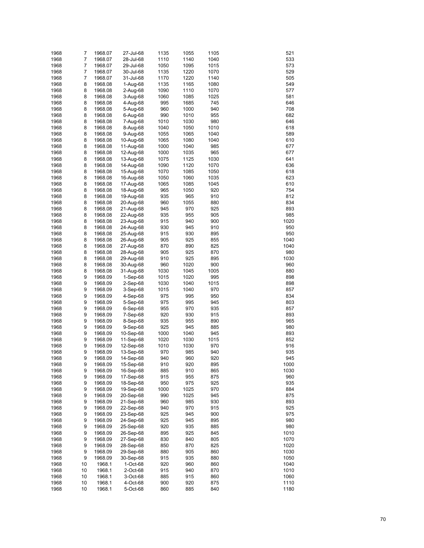| 1968         | 7      | 1968.07 | 27-Jul-68  | 1135 | 1055 | 1105 | 521  |
|--------------|--------|---------|------------|------|------|------|------|
| 1968         | 7      | 1968.07 | 28-Jul-68  | 1110 | 1140 | 1040 | 533  |
| 1968         | 7      | 1968.07 | 29-Jul-68  | 1050 | 1095 | 1015 | 573  |
| 1968         | 7      | 1968.07 | 30-Jul-68  | 1135 | 1220 | 1070 | 529  |
| 1968         | 7      | 1968.07 | 31-Jul-68  | 1170 | 1220 | 1140 | 505  |
| 1968         | 8      | 1968.08 | 1-Aug-68   | 1135 | 1165 | 1080 | 549  |
| 1968         | 8      | 1968.08 | $2-Auq-68$ | 1090 | 1110 | 1070 | 577  |
| 1968         | 8      | 1968.08 | 3-Aug-68   | 1060 | 1085 | 1025 | 581  |
| 1968         | 8      | 1968.08 | 4-Aug-68   | 995  | 1685 | 745  | 646  |
| 1968         | 8      | 1968.08 | 5-Aug-68   | 960  | 1000 | 940  | 708  |
| 1968         | 8      | 1968.08 | 6-Aug-68   | 990  | 1010 | 955  | 682  |
| 1968         | 8      | 1968.08 | 7-Aug-68   | 1010 | 1030 | 980  | 646  |
| 1968         | 8      | 1968.08 | 8-Aug-68   | 1040 | 1050 | 1010 | 618  |
| 1968         | 8      | 1968.08 | 9-Aug-68   | 1055 | 1065 | 1040 | 589  |
| 1968         | 8      | 1968.08 | 10-Aug-68  | 1065 | 1080 | 1040 | 610  |
| 1968         | 8      | 1968.08 | 11-Aug-68  | 1000 | 1040 | 985  | 677  |
| 1968         | 8      | 1968.08 | 12-Aug-68  | 1000 | 1035 | 965  | 677  |
| 1968         | 8      | 1968.08 | 13-Aug-68  | 1075 | 1125 | 1030 | 641  |
| 1968         | 8      | 1968.08 | 14-Aug-68  | 1090 | 1120 | 1070 | 636  |
| 1968         | 8      | 1968.08 | 15-Aug-68  | 1070 | 1085 | 1050 | 618  |
| 1968         | 8      | 1968.08 | 16-Aug-68  | 1050 | 1060 | 1035 | 623  |
| 1968         | 8      | 1968.08 | 17-Aug-68  | 1065 | 1085 | 1045 | 610  |
| 1968         | 8      | 1968.08 | 18-Aug-68  | 965  | 1050 | 920  | 754  |
| 1968         | 8      | 1968.08 | 19-Aug-68  | 935  | 965  | 910  | 812  |
| 1968         | 8      | 1968.08 | 20-Aug-68  | 960  | 1055 | 880  | 834  |
| 1968         | 8      |         |            | 945  | 970  | 925  | 893  |
| 1968         |        | 1968.08 | 21-Aug-68  | 935  | 955  | 905  | 985  |
| 1968         | 8<br>8 | 1968.08 | 22-Aug-68  | 915  | 940  | 900  | 1020 |
|              |        | 1968.08 | 23-Aug-68  |      |      |      |      |
| 1968<br>1968 | 8      | 1968.08 | 24-Aug-68  | 930  | 945  | 910  | 950  |
|              | 8      | 1968.08 | 25-Aug-68  | 915  | 930  | 895  | 950  |
| 1968         | 8      | 1968.08 | 26-Aug-68  | 905  | 925  | 855  | 1040 |
| 1968         | 8      | 1968.08 | 27-Aug-68  | 870  | 890  | 825  | 1040 |
| 1968         | 8      | 1968.08 | 28-Aug-68  | 905  | 925  | 870  | 980  |
| 1968         | 8      | 1968.08 | 29-Aug-68  | 910  | 925  | 895  | 1030 |
| 1968         | 8      | 1968.08 | 30-Aug-68  | 960  | 1020 | 900  | 960  |
| 1968         | 8      | 1968.08 | 31-Aug-68  | 1030 | 1045 | 1005 | 880  |
| 1968         | 9      | 1968.09 | $1-Sep-68$ | 1015 | 1020 | 995  | 898  |
| 1968         | 9      | 1968.09 | $2-Sep-68$ | 1030 | 1040 | 1015 | 898  |
| 1968         | 9      | 1968.09 | $3-Sep-68$ | 1015 | 1040 | 970  | 857  |
| 1968         | 9      | 1968.09 | $4-Sep-68$ | 975  | 995  | 950  | 834  |
| 1968         | 9      | 1968.09 | 5-Sep-68   | 975  | 995  | 945  | 803  |
| 1968         | 9      | 1968.09 | $6-Sep-68$ | 955  | 970  | 935  | 857  |
| 1968         | 9      | 1968.09 | 7-Sep-68   | 920  | 930  | 915  | 893  |
| 1968         | 9      | 1968.09 | 8-Sep-68   | 935  | 955  | 890  | 965  |
| 1968         | 9      | 1968.09 | 9-Sep-68   | 925  | 945  | 885  | 980  |
| 1968         | 9      | 1968.09 | 10-Sep-68  | 1000 | 1040 | 945  | 893  |
| 1968         | 9      | 1968.09 | 11-Sep-68  | 1020 | 1030 | 1015 | 852  |
| 1968         | 9      | 1968.09 | 12-Sep-68  | 1010 | 1030 | 970  | 916  |
| 1968         | 9      | 1968.09 | 13-Sep-68  | 970  | 985  | 940  | 935  |
| 1968         | 9      | 1968.09 | 14-Sep-68  | 940  | 960  | 920  | 945  |
| 1968         | 9      | 1968.09 | 15-Sep-68  | 910  | 920  | 895  | 1000 |
| 1968         | 9      | 1968.09 | 16-Sep-68  | 885  | 910  | 865  | 1030 |
| 1968         | 9      | 1968.09 | 17-Sep-68  | 915  | 955  | 875  | 960  |
| 1968         | 9      | 1968.09 | 18-Sep-68  | 950  | 975  | 925  | 935  |
| 1968         | 9      | 1968.09 | 19-Sep-68  | 1000 | 1025 | 970  | 884  |
| 1968         | 9      | 1968.09 | 20-Sep-68  | 990  | 1025 | 945  | 875  |
| 1968         | 9      | 1968.09 | 21-Sep-68  | 960  | 985  | 930  | 893  |
| 1968         | 9      | 1968.09 | 22-Sep-68  | 940  | 970  | 915  | 925  |
| 1968         | 9      | 1968.09 | 23-Sep-68  | 925  | 945  | 900  | 975  |
| 1968         | 9      | 1968.09 | 24-Sep-68  | 925  | 945  | 895  | 980  |
| 1968         | 9      | 1968.09 | 25-Sep-68  | 920  | 935  | 885  | 980  |
| 1968         | 9      | 1968.09 | 26-Sep-68  | 895  | 925  | 845  | 1010 |
| 1968         | 9      | 1968.09 | 27-Sep-68  | 830  | 840  | 805  | 1070 |
| 1968         | 9      | 1968.09 | 28-Sep-68  | 850  | 870  | 825  | 1020 |
| 1968         | 9      | 1968.09 | 29-Sep-68  | 880  | 905  | 860  | 1030 |
| 1968         | 9      | 1968.09 | 30-Sep-68  | 915  | 935  | 880  | 1050 |
| 1968         | 10     | 1968.1  | 1-Oct-68   | 920  | 960  | 860  | 1040 |
| 1968         | 10     | 1968.1  | 2-Oct-68   | 915  | 940  | 870  | 1010 |
| 1968         | 10     | 1968.1  | 3-Oct-68   | 885  | 915  | 860  | 1060 |
| 1968         | 10     | 1968.1  | 4-Oct-68   | 900  | 920  | 875  | 1110 |
| 1968         | 10     | 1968.1  | 5-Oct-68   | 860  | 885  | 840  | 1180 |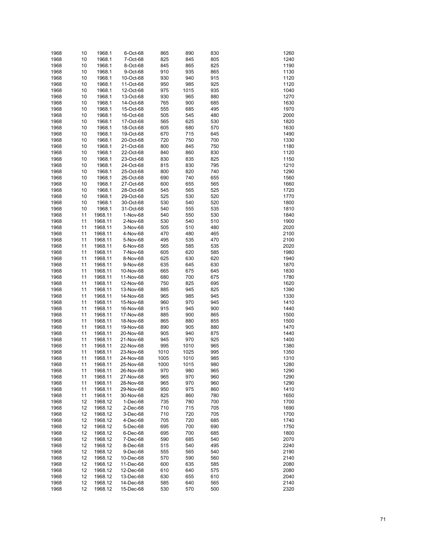| 1968 | 10 | 1968.1           | 6-Oct-68  | 865  | 890  | 830 | 1260 |
|------|----|------------------|-----------|------|------|-----|------|
| 1968 | 10 | 1968.1           | 7-Oct-68  | 825  | 845  | 805 | 1240 |
| 1968 | 10 | 1968.1           | 8-Oct-68  | 845  | 865  | 825 | 1190 |
| 1968 | 10 | 1968.1           | 9-Oct-68  | 910  | 935  | 865 | 1130 |
| 1968 | 10 | 1968.1           | 10-Oct-68 | 930  | 940  | 915 | 1120 |
| 1968 | 10 | 1968.1           | 11-Oct-68 | 950  | 985  | 925 | 1120 |
| 1968 | 10 | 1968.1           | 12-Oct-68 | 975  | 1015 | 935 | 1040 |
| 1968 | 10 | 1968.1           | 13-Oct-68 | 930  | 965  | 880 | 1270 |
| 1968 | 10 | 1968.1           | 14-Oct-68 | 765  | 900  | 685 | 1630 |
| 1968 | 10 | 1968.1           | 15-Oct-68 | 555  | 685  | 495 | 1970 |
| 1968 | 10 | 1968.1           | 16-Oct-68 | 505  | 545  | 480 | 2000 |
| 1968 | 10 | 1968.1           | 17-Oct-68 | 565  | 625  | 530 | 1820 |
| 1968 | 10 | 1968.1           | 18-Oct-68 | 605  | 680  | 570 | 1630 |
| 1968 | 10 | 1968.1           | 19-Oct-68 | 670  | 715  | 645 | 1490 |
| 1968 | 10 | 1968.1           | 20-Oct-68 | 720  | 750  | 700 | 1330 |
| 1968 | 10 | 1968.1           | 21-Oct-68 | 800  | 845  | 750 | 1180 |
| 1968 | 10 | 1968.1           | 22-Oct-68 | 840  | 860  | 830 | 1120 |
| 1968 | 10 | 1968.1           | 23-Oct-68 | 830  | 835  | 825 | 1150 |
| 1968 | 10 | 1968.1           | 24-Oct-68 | 815  | 830  | 795 | 1210 |
| 1968 | 10 | 1968.1           | 25-Oct-68 | 800  | 820  | 740 | 1290 |
| 1968 | 10 | 1968.1           | 26-Oct-68 | 690  | 740  | 655 | 1560 |
| 1968 | 10 | 1968.1           | 27-Oct-68 | 600  | 655  | 565 | 1660 |
| 1968 | 10 | 1968.1           |           | 545  | 565  | 525 | 1720 |
| 1968 | 10 | 1968.1           | 28-Oct-68 | 525  | 530  | 520 | 1770 |
|      |    |                  | 29-Oct-68 |      |      |     |      |
| 1968 | 10 | 1968.1<br>1968.1 | 30-Oct-68 | 530  | 540  | 520 | 1800 |
| 1968 | 10 |                  | 31-Oct-68 | 540  | 555  | 535 | 1810 |
| 1968 | 11 | 1968.11          | 1-Nov-68  | 540  | 550  | 530 | 1840 |
| 1968 | 11 | 1968.11          | 2-Nov-68  | 530  | 540  | 510 | 1900 |
| 1968 | 11 | 1968.11          | 3-Nov-68  | 505  | 510  | 480 | 2020 |
| 1968 | 11 | 1968.11          | 4-Nov-68  | 470  | 480  | 465 | 2100 |
| 1968 | 11 | 1968.11          | 5-Nov-68  | 495  | 535  | 470 | 2100 |
| 1968 | 11 | 1968.11          | 6-Nov-68  | 565  | 585  | 535 | 2020 |
| 1968 | 11 | 1968.11          | 7-Nov-68  | 605  | 620  | 585 | 1980 |
| 1968 | 11 | 1968.11          | 8-Nov-68  | 625  | 630  | 620 | 1940 |
| 1968 | 11 | 1968.11          | 9-Nov-68  | 635  | 645  | 630 | 1870 |
| 1968 | 11 | 1968.11          | 10-Nov-68 | 665  | 675  | 645 | 1830 |
| 1968 | 11 | 1968.11          | 11-Nov-68 | 680  | 700  | 675 | 1780 |
| 1968 | 11 | 1968.11          | 12-Nov-68 | 750  | 825  | 695 | 1620 |
| 1968 | 11 | 1968.11          | 13-Nov-68 | 885  | 945  | 825 | 1390 |
| 1968 | 11 | 1968.11          | 14-Nov-68 | 965  | 985  | 945 | 1330 |
| 1968 | 11 | 1968.11          | 15-Nov-68 | 960  | 970  | 945 | 1410 |
| 1968 | 11 | 1968.11          | 16-Nov-68 | 915  | 945  | 900 | 1440 |
| 1968 | 11 | 1968.11          | 17-Nov-68 | 885  | 900  | 865 | 1500 |
| 1968 | 11 | 1968.11          | 18-Nov-68 | 865  | 880  | 855 | 1500 |
| 1968 | 11 | 1968.11          | 19-Nov-68 | 890  | 905  | 880 | 1470 |
| 1968 | 11 | 1968.11          | 20-Nov-68 | 905  | 940  | 875 | 1440 |
| 1968 | 11 | 1968.11          | 21-Nov-68 | 945  | 970  | 925 | 1400 |
| 1968 | 11 | 1968.11          | 22-Nov-68 | 995  | 1010 | 965 | 1380 |
| 1968 | 11 | 1968.11          | 23-Nov-68 | 1010 | 1025 | 995 | 1350 |
| 1968 | 11 | 1968.11          | 24-Nov-68 | 1005 | 1010 | 985 | 1310 |
| 1968 | 11 | 1968.11          | 25-Nov-68 | 1000 | 1015 | 980 | 1280 |
| 1968 | 11 | 1968.11          | 26-Nov-68 | 970  | 980  | 965 | 1290 |
| 1968 | 11 | 1968.11          | 27-Nov-68 | 965  | 970  | 960 | 1290 |
| 1968 | 11 | 1968.11          | 28-Nov-68 | 965  | 970  | 960 | 1290 |
| 1968 | 11 | 1968.11          | 29-Nov-68 | 950  | 975  | 860 | 1410 |
| 1968 | 11 | 1968.11          | 30-Nov-68 | 825  | 860  | 780 | 1650 |
| 1968 | 12 | 1968.12          | 1-Dec-68  | 735  | 780  | 700 | 1700 |
| 1968 | 12 | 1968.12          | 2-Dec-68  | 710  | 715  | 705 | 1690 |
| 1968 | 12 | 1968.12          | 3-Dec-68  | 710  | 720  | 705 | 1700 |
| 1968 | 12 | 1968.12          | 4-Dec-68  | 705  | 720  | 685 | 1740 |
| 1968 | 12 | 1968.12          | 5-Dec-68  | 695  | 700  | 690 | 1750 |
| 1968 | 12 | 1968.12          | 6-Dec-68  | 695  | 700  | 685 | 1800 |
| 1968 | 12 | 1968.12          | 7-Dec-68  | 590  | 685  | 540 | 2070 |
| 1968 | 12 | 1968.12          | 8-Dec-68  | 515  | 540  | 495 | 2240 |
| 1968 | 12 | 1968.12          | 9-Dec-68  | 555  | 565  | 540 | 2190 |
| 1968 | 12 | 1968.12          | 10-Dec-68 | 570  | 590  | 560 | 2140 |
| 1968 | 12 | 1968.12          | 11-Dec-68 | 600  | 635  | 585 | 2080 |
| 1968 | 12 | 1968.12          | 12-Dec-68 | 610  | 640  | 575 | 2080 |
| 1968 | 12 | 1968.12          | 13-Dec-68 | 630  | 655  | 610 | 2040 |
| 1968 | 12 | 1968.12          | 14-Dec-68 | 585  | 640  | 565 | 2140 |
| 1968 | 12 | 1968.12          | 15-Dec-68 | 530  | 570  | 500 | 2320 |
|      |    |                  |           |      |      |     |      |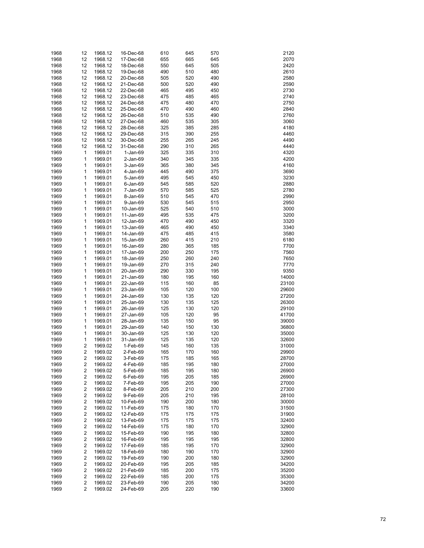| 1968 | 12             | 1968.12 | 16-Dec-68 | 610 | 645 | 570 | 2120  |
|------|----------------|---------|-----------|-----|-----|-----|-------|
| 1968 | 12             | 1968.12 | 17-Dec-68 | 655 | 665 | 645 | 2070  |
| 1968 | 12             | 1968.12 | 18-Dec-68 | 550 | 645 | 505 | 2420  |
| 1968 | 12             | 1968.12 | 19-Dec-68 | 490 | 510 | 480 | 2610  |
| 1968 | 12             | 1968.12 | 20-Dec-68 | 505 | 520 | 490 | 2580  |
| 1968 | 12             | 1968.12 | 21-Dec-68 | 500 | 520 | 490 | 2590  |
| 1968 | 12             | 1968.12 | 22-Dec-68 | 465 | 495 | 450 | 2730  |
| 1968 | 12             | 1968.12 | 23-Dec-68 | 475 | 485 | 465 | 2740  |
| 1968 | 12             | 1968.12 | 24-Dec-68 | 475 | 480 | 470 | 2750  |
| 1968 | 12             | 1968.12 | 25-Dec-68 | 470 | 490 | 460 | 2840  |
| 1968 | 12             | 1968.12 | 26-Dec-68 | 510 | 535 | 490 | 2760  |
| 1968 | 12             | 1968.12 | 27-Dec-68 | 460 | 535 | 305 | 3060  |
| 1968 | 12             | 1968.12 | 28-Dec-68 | 325 | 385 | 285 | 4180  |
| 1968 | 12             | 1968.12 | 29-Dec-68 | 315 | 390 | 255 | 4460  |
| 1968 | 12             | 1968.12 | 30-Dec-68 | 255 | 265 | 245 | 4490  |
| 1968 | 12             | 1968.12 | 31-Dec-68 | 290 | 310 | 265 | 4440  |
| 1969 | 1              | 1969.01 | 1-Jan-69  | 325 | 335 | 310 | 4320  |
| 1969 | 1              | 1969.01 | 2-Jan-69  | 340 | 345 | 335 | 4200  |
| 1969 | 1              | 1969.01 | 3-Jan-69  | 365 | 380 | 345 | 4160  |
| 1969 | 1              | 1969.01 | 4-Jan-69  | 445 | 490 | 375 | 3690  |
| 1969 | 1              | 1969.01 | 5-Jan-69  | 495 | 545 | 450 | 3230  |
| 1969 | 1              | 1969.01 | 6-Jan-69  | 545 | 585 | 520 | 2880  |
| 1969 | 1              | 1969.01 | 7-Jan-69  | 570 | 585 | 525 | 2780  |
| 1969 | 1              | 1969.01 | 8-Jan-69  | 510 | 545 | 470 | 2990  |
| 1969 | 1              | 1969.01 | 9-Jan-69  | 530 | 545 | 515 | 2950  |
| 1969 | 1              | 1969.01 | 10-Jan-69 | 525 | 540 | 510 | 3000  |
| 1969 | 1              | 1969.01 | 11-Jan-69 | 495 | 535 | 475 | 3200  |
| 1969 | 1              | 1969.01 | 12-Jan-69 | 470 | 490 | 450 | 3320  |
| 1969 | 1              | 1969.01 | 13-Jan-69 | 465 | 490 | 450 | 3340  |
| 1969 | 1              | 1969.01 | 14-Jan-69 | 475 | 485 | 415 | 3580  |
| 1969 | 1              | 1969.01 | 15-Jan-69 | 260 | 415 | 210 | 6180  |
| 1969 | 1              | 1969.01 | 16-Jan-69 | 280 | 365 | 185 | 7700  |
| 1969 | 1              | 1969.01 | 17-Jan-69 | 200 | 250 | 175 | 7560  |
| 1969 | 1              | 1969.01 | 18-Jan-69 | 250 | 260 | 240 | 7650  |
| 1969 | 1              | 1969.01 | 19-Jan-69 | 270 | 315 | 240 | 7770  |
| 1969 | 1              | 1969.01 | 20-Jan-69 | 290 | 330 | 195 | 9350  |
| 1969 | 1              | 1969.01 | 21-Jan-69 | 180 | 195 | 160 | 14000 |
| 1969 | 1              | 1969.01 | 22-Jan-69 | 115 | 160 | 85  | 23100 |
| 1969 | 1              | 1969.01 | 23-Jan-69 | 105 | 120 | 100 | 29600 |
| 1969 | 1              | 1969.01 | 24-Jan-69 | 130 | 135 | 120 | 27200 |
| 1969 | 1              | 1969.01 | 25-Jan-69 | 130 | 135 | 125 | 26300 |
| 1969 | 1              | 1969.01 | 26-Jan-69 | 125 | 130 | 120 | 29100 |
| 1969 | 1              | 1969.01 | 27-Jan-69 | 105 | 120 | 95  | 41700 |
| 1969 | 1              | 1969.01 | 28-Jan-69 | 135 | 150 | 95  | 39000 |
| 1969 | 1              | 1969.01 | 29-Jan-69 | 140 | 150 | 130 | 36800 |
| 1969 | 1              | 1969.01 | 30-Jan-69 | 125 | 130 | 120 | 35000 |
| 1969 | 1              | 1969.01 | 31-Jan-69 | 125 | 135 | 120 | 32600 |
| 1969 | 2              | 1969.02 | 1-Feb-69  | 145 | 160 | 135 | 31000 |
| 1969 | 2              | 1969.02 | 2-Feb-69  | 165 | 170 | 160 | 29900 |
| 1969 | $\overline{2}$ | 1969.02 | 3-Feb-69  | 175 | 185 | 165 | 28700 |
| 1969 | 2              | 1969.02 | 4-Feb-69  | 185 | 195 | 180 | 27000 |
| 1969 | 2              | 1969.02 | 5-Feb-69  | 185 | 195 | 180 | 26900 |
| 1969 | 2              | 1969.02 | 6-Feb-69  | 195 | 205 | 185 | 26900 |
| 1969 | 2              | 1969.02 | 7-Feb-69  | 195 | 205 | 190 | 27000 |
| 1969 | 2              | 1969.02 | 8-Feb-69  | 205 | 210 | 200 | 27300 |
| 1969 | 2              | 1969.02 | 9-Feb-69  | 205 | 210 | 195 | 28100 |
| 1969 | 2              | 1969.02 | 10-Feb-69 | 190 | 200 | 180 | 30000 |
| 1969 | 2              | 1969.02 | 11-Feb-69 | 175 | 180 | 170 | 31500 |
| 1969 | 2              | 1969.02 | 12-Feb-69 | 175 | 175 | 175 | 31900 |
| 1969 | 2              | 1969.02 | 13-Feb-69 | 175 | 175 | 175 | 32400 |
| 1969 | 2              | 1969.02 | 14-Feb-69 | 175 | 180 | 170 | 32900 |
| 1969 | 2              | 1969.02 | 15-Feb-69 | 190 | 195 | 180 | 32800 |
| 1969 | 2              | 1969.02 | 16-Feb-69 | 195 | 195 | 195 | 32800 |
| 1969 | 2              | 1969.02 | 17-Feb-69 | 185 | 195 | 170 | 32900 |
| 1969 | 2              | 1969.02 | 18-Feb-69 | 180 | 190 | 170 | 32900 |
| 1969 | 2              | 1969.02 | 19-Feb-69 | 190 | 200 | 180 | 32900 |
| 1969 | 2              | 1969.02 | 20-Feb-69 | 195 | 205 | 185 | 34200 |
| 1969 | 2              | 1969.02 | 21-Feb-69 | 185 | 200 | 175 | 35200 |
| 1969 | 2              | 1969.02 | 22-Feb-69 | 185 | 200 | 175 | 35300 |
| 1969 | 2              | 1969.02 | 23-Feb-69 | 190 | 205 | 180 | 34200 |
| 1969 | 2              | 1969.02 | 24-Feb-69 | 205 | 220 | 190 | 33600 |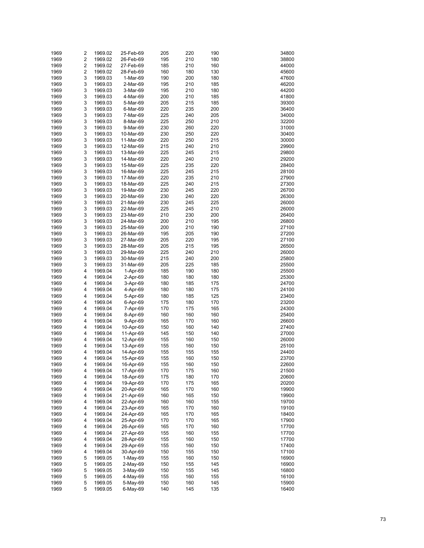| 1969 | 2                       | 1969.02 | 25-Feb-69 | 205 | 220 | 190 | 34800 |
|------|-------------------------|---------|-----------|-----|-----|-----|-------|
| 1969 | $\overline{\mathbf{c}}$ | 1969.02 | 26-Feb-69 | 195 | 210 | 180 | 38800 |
|      | $\overline{\mathbf{c}}$ |         |           |     | 210 | 160 |       |
| 1969 |                         | 1969.02 | 27-Feb-69 | 185 |     |     | 44000 |
| 1969 | $\overline{\mathbf{c}}$ | 1969.02 | 28-Feb-69 | 160 | 180 | 130 | 45600 |
| 1969 | 3                       | 1969.03 | 1-Mar-69  | 190 | 200 | 180 | 47600 |
| 1969 | 3                       | 1969.03 | 2-Mar-69  | 195 | 210 | 185 | 46200 |
| 1969 | 3                       | 1969.03 | 3-Mar-69  | 195 | 210 | 180 | 44200 |
| 1969 | 3                       | 1969.03 | 4-Mar-69  | 200 | 210 | 185 | 41800 |
| 1969 | 3                       | 1969.03 | 5-Mar-69  | 205 | 215 | 185 | 39300 |
| 1969 | 3                       | 1969.03 | 6-Mar-69  | 220 | 235 | 200 | 36400 |
| 1969 | 3                       | 1969.03 | 7-Mar-69  | 225 | 240 | 205 | 34000 |
| 1969 | 3                       | 1969.03 | 8-Mar-69  | 225 | 250 | 210 | 32200 |
| 1969 | 3                       | 1969.03 | 9-Mar-69  | 230 | 260 | 220 | 31000 |
|      | 3                       |         | 10-Mar-69 | 230 | 250 |     | 30400 |
| 1969 |                         | 1969.03 |           |     |     | 220 |       |
| 1969 | 3                       | 1969.03 | 11-Mar-69 | 220 | 250 | 215 | 30000 |
| 1969 | 3                       | 1969.03 | 12-Mar-69 | 215 | 240 | 210 | 29900 |
| 1969 | 3                       | 1969.03 | 13-Mar-69 | 225 | 245 | 215 | 29800 |
| 1969 | 3                       | 1969.03 | 14-Mar-69 | 220 | 240 | 210 | 29200 |
| 1969 | 3                       | 1969.03 | 15-Mar-69 | 225 | 235 | 220 | 28400 |
| 1969 | 3                       | 1969.03 | 16-Mar-69 | 225 | 245 | 215 | 28100 |
| 1969 | 3                       | 1969.03 | 17-Mar-69 | 220 | 235 | 210 | 27900 |
| 1969 | 3                       | 1969.03 | 18-Mar-69 | 225 | 240 | 215 | 27300 |
| 1969 | 3                       | 1969.03 | 19-Mar-69 | 230 | 245 | 220 | 26700 |
| 1969 | 3                       | 1969.03 | 20-Mar-69 | 230 | 240 | 220 | 26300 |
|      | 3                       |         |           |     |     |     |       |
| 1969 |                         | 1969.03 | 21-Mar-69 | 230 | 245 | 225 | 26000 |
| 1969 | 3                       | 1969.03 | 22-Mar-69 | 225 | 245 | 210 | 26000 |
| 1969 | 3                       | 1969.03 | 23-Mar-69 | 210 | 230 | 200 | 26400 |
| 1969 | 3                       | 1969.03 | 24-Mar-69 | 200 | 210 | 195 | 26800 |
| 1969 | 3                       | 1969.03 | 25-Mar-69 | 200 | 210 | 190 | 27100 |
| 1969 | 3                       | 1969.03 | 26-Mar-69 | 195 | 205 | 190 | 27200 |
| 1969 | 3                       | 1969.03 | 27-Mar-69 | 205 | 220 | 195 | 27100 |
| 1969 | 3                       | 1969.03 | 28-Mar-69 | 205 | 215 | 195 | 26500 |
| 1969 | 3                       | 1969.03 | 29-Mar-69 | 225 | 240 | 210 | 26000 |
| 1969 | 3                       | 1969.03 | 30-Mar-69 | 215 | 240 | 200 | 25800 |
| 1969 | 3                       | 1969.03 | 31-Mar-69 | 205 | 225 | 185 | 25500 |
|      | 4                       |         |           |     | 190 |     |       |
| 1969 |                         | 1969.04 | 1-Apr-69  | 185 |     | 180 | 25500 |
| 1969 | 4                       | 1969.04 | 2-Apr-69  | 180 | 180 | 180 | 25300 |
| 1969 | 4                       | 1969.04 | 3-Apr-69  | 180 | 185 | 175 | 24700 |
| 1969 | 4                       | 1969.04 | 4-Apr-69  | 180 | 180 | 175 | 24100 |
| 1969 | 4                       | 1969.04 | 5-Apr-69  | 180 | 185 | 125 | 23400 |
| 1969 | 4                       | 1969.04 | 6-Apr-69  | 175 | 180 | 170 | 23200 |
| 1969 | 4                       | 1969.04 | 7-Apr-69  | 170 | 175 | 165 | 24300 |
| 1969 | 4                       | 1969.04 | 8-Apr-69  | 160 | 160 | 160 | 25400 |
| 1969 | 4                       | 1969.04 | 9-Apr-69  | 165 | 170 | 160 | 26600 |
| 1969 | 4                       | 1969.04 | 10-Apr-69 | 150 | 160 | 140 | 27400 |
| 1969 | 4                       | 1969.04 | 11-Apr-69 | 145 | 150 | 140 | 27000 |
|      | 4                       |         |           |     |     |     |       |
| 1969 |                         | 1969.04 | 12-Apr-69 | 155 | 160 | 150 | 26000 |
| 1969 | 4                       | 1969.04 | 13-Apr-69 | 155 | 160 | 150 | 25100 |
| 1969 | 4                       | 1969.04 | 14-Apr-69 | 155 | 155 | 155 | 24400 |
| 1969 | 4                       | 1969.04 | 15-Apr-69 | 155 | 160 | 150 | 23700 |
| 1969 | 4                       | 1969.04 | 16-Apr-69 | 155 | 160 | 150 | 22600 |
| 1969 | 4                       | 1969.04 | 17-Apr-69 | 170 | 175 | 160 | 21500 |
| 1969 | 4                       | 1969.04 | 18-Apr-69 | 175 | 180 | 170 | 20600 |
| 1969 | 4                       | 1969.04 | 19-Apr-69 | 170 | 175 | 165 | 20200 |
| 1969 | 4                       | 1969.04 | 20-Apr-69 | 165 | 170 | 160 | 19900 |
| 1969 | 4                       | 1969.04 | 21-Apr-69 | 160 | 165 | 150 | 19900 |
| 1969 | 4                       | 1969.04 | 22-Apr-69 | 160 | 160 | 155 | 19700 |
|      |                         |         |           |     |     |     |       |
| 1969 | 4                       | 1969.04 | 23-Apr-69 | 165 | 170 | 160 | 19100 |
| 1969 | 4                       | 1969.04 | 24-Apr-69 | 165 | 170 | 165 | 18400 |
| 1969 | 4                       | 1969.04 | 25-Apr-69 | 170 | 170 | 165 | 17900 |
| 1969 | 4                       | 1969.04 | 26-Apr-69 | 165 | 170 | 160 | 17700 |
| 1969 | 4                       | 1969.04 | 27-Apr-69 | 155 | 160 | 155 | 17700 |
| 1969 | 4                       | 1969.04 | 28-Apr-69 | 155 | 160 | 150 | 17700 |
| 1969 | 4                       | 1969.04 | 29-Apr-69 | 155 | 160 | 150 | 17400 |
| 1969 | 4                       | 1969.04 | 30-Apr-69 | 150 | 155 | 150 | 17100 |
| 1969 | 5                       | 1969.05 | 1-May-69  | 155 | 160 | 150 | 16900 |
| 1969 | 5                       | 1969.05 | 2-May-69  | 150 | 155 | 145 | 16900 |
| 1969 | 5                       | 1969.05 | 3-May-69  | 150 | 155 | 145 | 16800 |
|      | 5                       |         |           |     |     |     |       |
| 1969 |                         | 1969.05 | 4-May-69  | 155 | 160 | 155 | 16100 |
| 1969 | 5                       | 1969.05 | 5-May-69  | 150 | 160 | 145 | 15900 |
| 1969 | 5                       | 1969.05 | 6-May-69  | 140 | 145 | 135 | 16400 |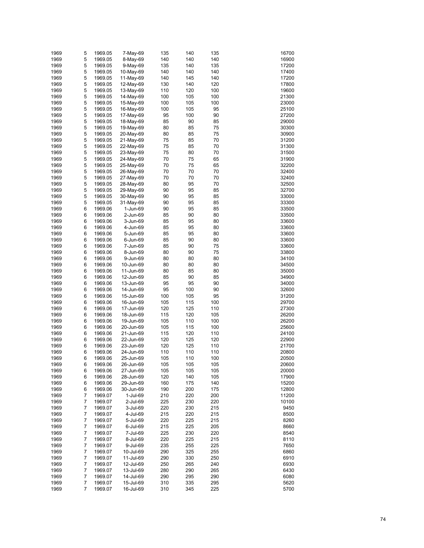| 1969         | 5                   | 1969.05            | 7-May-69               | 135        | 140        | 135        | 16700        |
|--------------|---------------------|--------------------|------------------------|------------|------------|------------|--------------|
|              |                     |                    |                        |            |            |            |              |
| 1969         | 5                   | 1969.05            | 8-May-69               | 140        | 140        | 140        | 16900        |
| 1969         | 5                   | 1969.05            | 9-May-69               | 135        | 140        | 135        | 17200        |
| 1969         | 5                   | 1969.05            | 10-May-69              | 140        | 140        | 140        | 17400        |
| 1969         | 5                   | 1969.05            | 11-May-69              | 140        | 145        | 140        | 17200        |
| 1969         | 5                   | 1969.05            | 12-May-69              | 130        | 140        | 120        | 17800        |
| 1969         | 5                   | 1969.05            | 13-May-69              | 110        | 120        | 100        | 19600        |
|              |                     |                    |                        |            |            |            |              |
| 1969         | 5                   | 1969.05            | 14-May-69              | 100        | 105        | 100        | 21300        |
| 1969         | 5                   | 1969.05            | 15-May-69              | 100        | 105        | 100        | 23000        |
| 1969         | 5                   | 1969.05            | 16-May-69              | 100        | 105        | 95         | 25100        |
| 1969         | 5                   | 1969.05            | 17-May-69              | 95         | 100        | 90         | 27200        |
| 1969         | 5                   | 1969.05            | 18-May-69              | 85         | 90         | 85         | 29000        |
| 1969         | 5                   |                    |                        | 80         | 85         | 75         | 30300        |
|              |                     | 1969.05            | 19-May-69              |            |            |            |              |
| 1969         | 5                   | 1969.05            | 20-May-69              | 80         | 85         | 75         | 30900        |
| 1969         | 5                   | 1969.05            | 21-May-69              | 75         | 85         | 70         | 31200        |
| 1969         | 5                   | 1969.05            | 22-May-69              | 75         | 85         | 70         | 31300        |
| 1969         | 5                   | 1969.05            | 23-May-69              | 75         | 80         | 70         | 31500        |
| 1969         | 5                   | 1969.05            | 24-May-69              | 70         | 75         | 65         | 31900        |
| 1969         | 5                   | 1969.05            | 25-May-69              | 70         | 75         | 65         | 32200        |
|              |                     |                    |                        |            |            |            |              |
| 1969         | 5                   | 1969.05            | 26-May-69              | 70         | 70         | 70         | 32400        |
| 1969         | 5                   | 1969.05            | 27-May-69              | 70         | 70         | 70         | 32400        |
| 1969         | 5                   | 1969.05            | 28-May-69              | 80         | 95         | 70         | 32500        |
| 1969         | 5                   | 1969.05            | 29-May-69              | 90         | 95         | 85         | 32700        |
| 1969         | 5                   | 1969.05            | 30-May-69              | 90         | 95         | 85         | 33000        |
| 1969         | 5                   | 1969.05            | 31-May-69              | 90         | 95         | 85         | 33300        |
|              |                     |                    |                        |            |            |            |              |
| 1969         | 6                   | 1969.06            | 1-Jun-69               | 90         | 95         | 85         | 33500        |
| 1969         | 6                   | 1969.06            | 2-Jun-69               | 85         | 90         | 80         | 33500        |
| 1969         | 6                   | 1969.06            | 3-Jun-69               | 85         | 95         | 80         | 33600        |
| 1969         | 6                   | 1969.06            | 4-Jun-69               | 85         | 95         | 80         | 33600        |
| 1969         | 6                   | 1969.06            | 5-Jun-69               | 85         | 95         | 80         | 33600        |
|              | 6                   | 1969.06            |                        | 85         | 90         | 80         | 33600        |
| 1969         |                     |                    | 6-Jun-69               |            |            |            |              |
| 1969         | 6                   | 1969.06            | 7-Jun-69               | 85         | 90         | 75         | 33600        |
| 1969         | 6                   | 1969.06            | 8-Jun-69               | 80         | 90         | 75         | 33800        |
| 1969         | 6                   | 1969.06            | 9-Jun-69               | 80         | 80         | 80         | 34100        |
| 1969         | 6                   | 1969.06            | 10-Jun-69              | 80         | 80         | 80         | 34500        |
| 1969         | 6                   | 1969.06            | 11-Jun-69              | 80         | 85         | 80         | 35000        |
| 1969         | 6                   | 1969.06            | 12-Jun-69              | 85         | 90         | 85         | 34900        |
|              |                     |                    |                        |            |            |            |              |
| 1969         | 6                   | 1969.06            | 13-Jun-69              | 95         | 95         | 90         | 34000        |
| 1969         | 6                   | 1969.06            | 14-Jun-69              | 95         | 100        | 90         | 32600        |
| 1969         | 6                   | 1969.06            | 15-Jun-69              | 100        | 105        | 95         | 31200        |
| 1969         | 6                   | 1969.06            | 16-Jun-69              | 105        | 115        | 100        | 29700        |
| 1969         | 6                   | 1969.06            | 17-Jun-69              | 120        | 125        | 110        | 27300        |
| 1969         | 6                   | 1969.06            | 18-Jun-69              | 115        | 120        | 105        | 26200        |
|              |                     |                    |                        |            |            |            |              |
| 1969         | 6                   | 1969.06            | 19-Jun-69              | 105        | 110        | 100        | 26200        |
| 1969         | 6                   | 1969.06            | 20-Jun-69              | 105        | 115        | 100        | 25600        |
| 1969         | 6                   | 1969.06            | 21-Jun-69              | 115        | 120        | 110        | 24100        |
| 1969         | 6                   | 1969.06            | 22-Jun-69              | 120        | 125        | 120        | 22900        |
| 1969         | 6                   | 1969.06            | 23-Jun-69              | 120        | 125        | 110        | 21700        |
| 1969         | 6                   | 1969.06            | 24-Jun-69              | 110        | 110        | 110        | 20800        |
|              |                     |                    |                        |            |            |            |              |
| 1969         | 6                   | 1969.06            | 25-Jun-69              | 105        | 110        | 100        | 20500        |
| 1969         | 6                   | 1969.06            | 26-Jun-69              | 105        | 105        | 105        | 20600        |
| 1969         | 6                   | 1969.06            | 27-Jun-69              | 105        | 105        | 105        | 20000        |
| 1969         | 6                   | 1969.06            | 28-Jun-69              | 120        | 140        | 105        | 17900        |
| 1969         | 6                   | 1969.06            | 29-Jun-69              | 160        | 175        | 140        | 15200        |
| 1969         | 6                   | 1969.06            | 30-Jun-69              | 190        | 200        | 175        | 12800        |
|              |                     |                    |                        |            |            |            |              |
| 1969         | $\overline{7}$      | 1969.07            | 1-Jul-69               | 210        | 220        | 200        | 11200        |
| 1969         | $\overline{7}$      | 1969.07            | 2-Jul-69               | 225        | 230        | 220        | 10100        |
| 1969         | $\overline{7}$      | 1969.07            | 3-Jul-69               | 220        | 230        | 215        | 9450         |
| 1969         | $\overline{7}$      | 1969.07            | 4-Jul-69               | 215        | 220        | 215        | 8500         |
| 1969         | $\overline{7}$      | 1969.07            | 5-Jul-69               | 220        | 225        | 215        | 8260         |
| 1969         | $\overline{7}$      | 1969.07            | 6-Jul-69               | 215        | 225        | 205        | 8660         |
|              | $\overline{7}$      |                    |                        |            |            |            |              |
| 1969         |                     | 1969.07            | 7-Jul-69               | 225        | 230        | 220        | 8540         |
| 1969         | $\overline{7}$      | 1969.07            | 8-Jul-69               | 220        | 225        | 215        | 8110         |
| 1969         | $\overline{7}$      | 1969.07            | 9-Jul-69               | 235        | 255        | 225        | 7650         |
| 1969         | $\overline{7}$      | 1969.07            | 10-Jul-69              | 290        | 325        | 255        | 6860         |
| 1969         | $\overline{7}$      | 1969.07            | 11-Jul-69              | 290        | 330        | 250        | 6910         |
| 1969         | $\overline{7}$      | 1969.07            | 12-Jul-69              | 250        | 265        | 240        | 6930         |
|              | $\overline{7}$      |                    |                        |            | 290        |            | 6430         |
| 1969         |                     | 1969.07            | 13-Jul-69              | 280        |            | 265        |              |
|              |                     |                    |                        |            |            |            |              |
| 1969         | $\overline{7}$      | 1969.07            | 14-Jul-69              | 290        | 295        | 290        | 6080         |
| 1969<br>1969 | $\overline{7}$<br>7 | 1969.07<br>1969.07 | 15-Jul-69<br>16-Jul-69 | 310<br>310 | 335<br>345 | 295<br>225 | 5620<br>5700 |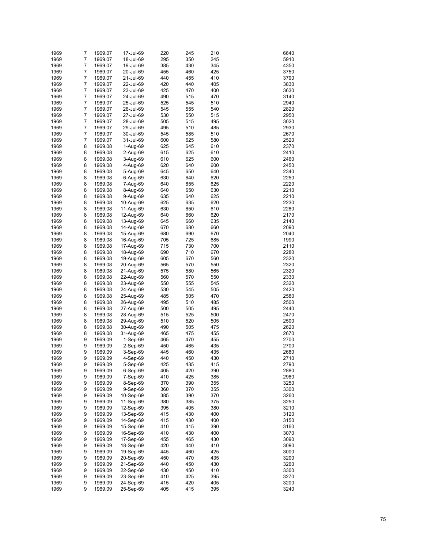| 1969 | 7              | 1969.07 | 17-Jul-69  | 220 | 245 | 210 | 6640 |
|------|----------------|---------|------------|-----|-----|-----|------|
| 1969 | $\overline{7}$ | 1969.07 | 18-Jul-69  | 295 | 350 | 245 | 5910 |
|      | 7              |         |            |     |     |     |      |
| 1969 |                | 1969.07 | 19-Jul-69  | 385 | 430 | 345 | 4350 |
| 1969 | 7              | 1969.07 | 20-Jul-69  | 455 | 460 | 425 | 3750 |
| 1969 | 7              | 1969.07 | 21-Jul-69  | 440 | 455 | 410 | 3790 |
| 1969 | 7              | 1969.07 | 22-Jul-69  | 420 | 440 | 405 | 3830 |
| 1969 | 7              | 1969.07 | 23-Jul-69  | 425 | 470 | 400 | 3630 |
| 1969 | $\overline{7}$ | 1969.07 | 24-Jul-69  | 490 | 515 | 470 | 3140 |
| 1969 | 7              | 1969.07 | 25-Jul-69  | 525 | 545 | 510 | 2940 |
| 1969 | $\overline{7}$ | 1969.07 | 26-Jul-69  | 545 | 555 | 540 | 2820 |
| 1969 | 7              | 1969.07 | 27-Jul-69  | 530 | 550 | 515 | 2950 |
| 1969 | $\overline{7}$ | 1969.07 | 28-Jul-69  | 505 | 515 | 495 | 3020 |
| 1969 | 7              | 1969.07 | 29-Jul-69  | 495 | 510 | 485 | 2930 |
| 1969 | $\overline{7}$ | 1969.07 |            | 545 | 585 | 510 | 2670 |
|      |                |         | 30-Jul-69  |     |     |     |      |
| 1969 | 7              | 1969.07 | 31-Jul-69  | 600 | 625 | 580 | 2520 |
| 1969 | 8              | 1969.08 | 1-Aug-69   | 625 | 645 | 610 | 2370 |
| 1969 | 8              | 1969.08 | 2-Aug-69   | 615 | 625 | 610 | 2410 |
| 1969 | 8              | 1969.08 | 3-Aug-69   | 610 | 625 | 600 | 2460 |
| 1969 | 8              | 1969.08 | 4-Aug-69   | 620 | 640 | 600 | 2450 |
| 1969 | 8              | 1969.08 | 5-Aug-69   | 645 | 650 | 640 | 2340 |
| 1969 | 8              | 1969.08 | 6-Aug-69   | 630 | 640 | 620 | 2250 |
| 1969 | 8              | 1969.08 | 7-Aug-69   | 640 | 655 | 625 | 2220 |
| 1969 | 8              | 1969.08 | 8-Aug-69   | 640 | 650 | 630 | 2210 |
| 1969 | 8              | 1969.08 | 9-Aug-69   | 635 | 640 | 625 | 2210 |
| 1969 | 8              | 1969.08 | 10-Aug-69  | 625 | 635 | 620 | 2230 |
| 1969 | 8              | 1969.08 | 11-Aug-69  | 630 | 650 | 610 | 2280 |
|      |                |         |            |     |     |     |      |
| 1969 | 8              | 1969.08 | 12-Aug-69  | 640 | 660 | 620 | 2170 |
| 1969 | 8              | 1969.08 | 13-Aug-69  | 645 | 660 | 635 | 2140 |
| 1969 | 8              | 1969.08 | 14-Aug-69  | 670 | 680 | 660 | 2090 |
| 1969 | 8              | 1969.08 | 15-Aug-69  | 680 | 690 | 670 | 2040 |
| 1969 | 8              | 1969.08 | 16-Aug-69  | 705 | 725 | 685 | 1990 |
| 1969 | 8              | 1969.08 | 17-Aug-69  | 715 | 730 | 700 | 2110 |
| 1969 | 8              | 1969.08 | 18-Aug-69  | 690 | 710 | 670 | 2280 |
| 1969 | 8              | 1969.08 | 19-Aug-69  | 605 | 670 | 560 | 2320 |
| 1969 | 8              | 1969.08 | 20-Aug-69  | 565 | 570 | 550 | 2320 |
| 1969 | 8              | 1969.08 | 21-Aug-69  | 575 | 580 | 565 | 2320 |
| 1969 | 8              | 1969.08 | 22-Aug-69  | 560 | 570 | 550 | 2330 |
|      |                |         |            |     |     |     |      |
| 1969 | 8              | 1969.08 | 23-Aug-69  | 550 | 555 | 545 | 2320 |
| 1969 | 8              | 1969.08 | 24-Aug-69  | 530 | 545 | 505 | 2420 |
| 1969 | 8              | 1969.08 | 25-Aug-69  | 485 | 505 | 470 | 2580 |
| 1969 | 8              | 1969.08 | 26-Aug-69  | 495 | 510 | 485 | 2500 |
| 1969 | 8              | 1969.08 | 27-Aug-69  | 500 | 505 | 495 | 2440 |
| 1969 | 8              | 1969.08 | 28-Aug-69  | 515 | 525 | 500 | 2470 |
| 1969 | 8              | 1969.08 | 29-Aug-69  | 510 | 520 | 505 | 2500 |
| 1969 | 8              | 1969.08 | 30-Aug-69  | 490 | 505 | 475 | 2620 |
| 1969 | 8              | 1969.08 | 31-Aug-69  | 465 | 475 | 455 | 2670 |
| 1969 | 9              | 1969.09 | $1-Sep-69$ | 465 | 470 | 455 | 2700 |
| 1969 | 9              | 1969.09 | 2-Sep-69   | 450 | 465 | 435 | 2700 |
| 1969 | 9              | 1969.09 | 3-Sep-69   | 445 | 460 | 435 | 2680 |
| 1969 | 9              | 1969.09 |            | 440 | 450 | 430 | 2710 |
|      |                |         | 4-Sep-69   |     |     |     |      |
| 1969 | 9              | 1969.09 | 5-Sep-69   | 425 | 435 | 415 | 2790 |
| 1969 | 9              | 1969.09 | 6-Sep-69   | 405 | 420 | 390 | 2880 |
| 1969 | 9              | 1969.09 | 7-Sep-69   | 410 | 425 | 385 | 2980 |
| 1969 | 9              | 1969.09 | 8-Sep-69   | 370 | 390 | 355 | 3250 |
| 1969 | 9              | 1969.09 | 9-Sep-69   | 360 | 370 | 355 | 3300 |
| 1969 | 9              | 1969.09 | 10-Sep-69  | 385 | 390 | 370 | 3260 |
| 1969 | 9              | 1969.09 | 11-Sep-69  | 380 | 385 | 375 | 3250 |
| 1969 | 9              | 1969.09 | 12-Sep-69  | 395 | 405 | 380 | 3210 |
| 1969 | 9              | 1969.09 | 13-Sep-69  | 415 | 430 | 400 | 3120 |
| 1969 | 9              | 1969.09 | 14-Sep-69  | 415 | 430 | 400 | 3150 |
| 1969 | 9              | 1969.09 | 15-Sep-69  | 410 | 415 | 390 | 3160 |
| 1969 | 9              | 1969.09 | 16-Sep-69  | 410 | 430 | 400 | 3070 |
| 1969 | 9              | 1969.09 | 17-Sep-69  | 455 | 465 | 430 | 3090 |
|      |                |         |            |     |     |     |      |
| 1969 | 9              | 1969.09 | 18-Sep-69  | 420 | 440 | 410 | 3090 |
| 1969 | 9              | 1969.09 | 19-Sep-69  | 445 | 460 | 425 | 3000 |
| 1969 | 9              | 1969.09 | 20-Sep-69  | 450 | 470 | 435 | 3200 |
| 1969 | 9              | 1969.09 | 21-Sep-69  | 440 | 450 | 430 | 3260 |
| 1969 | 9              | 1969.09 | 22-Sep-69  | 430 | 450 | 410 | 3300 |
| 1969 | 9              | 1969.09 | 23-Sep-69  | 410 | 425 | 395 | 3270 |
| 1969 | 9              | 1969.09 | 24-Sep-69  | 415 | 420 | 405 | 3200 |
| 1969 | 9              | 1969.09 | 25-Sep-69  | 405 | 415 | 395 | 3240 |
|      |                |         |            |     |     |     |      |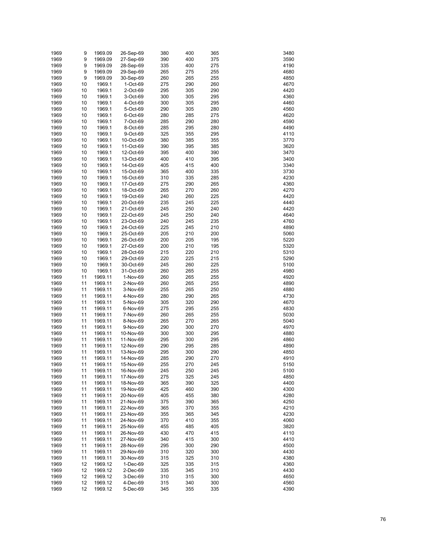| 1969 | 9  | 1969.09 | 26-Sep-69 | 380 | 400 | 365 | 3480 |
|------|----|---------|-----------|-----|-----|-----|------|
| 1969 | 9  | 1969.09 | 27-Sep-69 | 390 | 400 | 375 | 3590 |
| 1969 | 9  | 1969.09 | 28-Sep-69 | 335 | 400 | 275 | 4190 |
| 1969 | 9  | 1969.09 | 29-Sep-69 | 265 | 275 | 255 | 4680 |
| 1969 | 9  | 1969.09 | 30-Sep-69 | 260 | 265 | 255 | 4850 |
| 1969 | 10 | 1969.1  | 1-Oct-69  | 275 | 290 | 260 | 4670 |
| 1969 | 10 | 1969.1  | 2-Oct-69  | 295 | 305 | 290 | 4420 |
| 1969 | 10 | 1969.1  | 3-Oct-69  | 300 | 305 | 295 | 4360 |
| 1969 | 10 | 1969.1  | 4-Oct-69  | 300 | 305 | 295 | 4460 |
| 1969 | 10 | 1969.1  | 5-Oct-69  | 290 | 305 | 280 | 4560 |
| 1969 | 10 | 1969.1  | 6-Oct-69  | 280 | 285 | 275 | 4620 |
| 1969 | 10 | 1969.1  | 7-Oct-69  | 285 | 290 | 280 | 4590 |
| 1969 | 10 | 1969.1  | 8-Oct-69  | 285 | 295 | 280 | 4490 |
| 1969 | 10 | 1969.1  | 9-Oct-69  | 325 | 355 | 295 | 4110 |
| 1969 | 10 | 1969.1  | 10-Oct-69 | 380 | 385 | 355 | 3770 |
| 1969 | 10 | 1969.1  | 11-Oct-69 | 390 | 395 | 385 | 3620 |
| 1969 | 10 | 1969.1  | 12-Oct-69 | 395 | 400 | 390 | 3470 |
| 1969 | 10 | 1969.1  | 13-Oct-69 | 400 | 410 | 395 | 3400 |
| 1969 | 10 | 1969.1  | 14-Oct-69 | 405 | 415 | 400 | 3340 |
| 1969 | 10 | 1969.1  | 15-Oct-69 | 365 | 400 | 335 | 3730 |
| 1969 | 10 | 1969.1  | 16-Oct-69 | 310 | 335 | 285 | 4230 |
| 1969 | 10 | 1969.1  | 17-Oct-69 | 275 | 290 | 265 | 4360 |
| 1969 | 10 | 1969.1  | 18-Oct-69 | 265 | 270 | 260 | 4270 |
| 1969 | 10 | 1969.1  | 19-Oct-69 | 240 | 260 | 225 | 4420 |
| 1969 | 10 | 1969.1  | 20-Oct-69 | 235 | 245 | 225 | 4440 |
| 1969 | 10 | 1969.1  | 21-Oct-69 | 245 | 250 | 240 | 4420 |
| 1969 | 10 | 1969.1  | 22-Oct-69 | 245 | 250 | 240 | 4640 |
| 1969 | 10 | 1969.1  | 23-Oct-69 | 240 | 245 | 235 | 4760 |
| 1969 | 10 | 1969.1  | 24-Oct-69 | 225 | 245 | 210 | 4890 |
| 1969 | 10 | 1969.1  | 25-Oct-69 | 205 | 210 | 200 | 5060 |
| 1969 | 10 | 1969.1  | 26-Oct-69 | 200 | 205 | 195 | 5220 |
| 1969 | 10 | 1969.1  | 27-Oct-69 | 200 | 210 | 195 | 5320 |
| 1969 | 10 | 1969.1  | 28-Oct-69 | 215 | 220 | 210 | 5310 |
| 1969 | 10 | 1969.1  | 29-Oct-69 | 220 | 225 | 215 | 5290 |
| 1969 | 10 | 1969.1  | 30-Oct-69 | 245 | 260 | 225 | 5100 |
| 1969 | 10 | 1969.1  | 31-Oct-69 | 260 | 265 | 255 | 4980 |
| 1969 | 11 | 1969.11 | 1-Nov-69  | 260 | 265 | 255 | 4920 |
| 1969 | 11 | 1969.11 | 2-Nov-69  | 260 | 265 | 255 | 4890 |
| 1969 | 11 | 1969.11 | 3-Nov-69  | 255 | 265 | 250 | 4880 |
| 1969 | 11 | 1969.11 | 4-Nov-69  | 280 | 290 | 265 | 4730 |
| 1969 | 11 | 1969.11 | 5-Nov-69  | 305 | 320 | 290 | 4670 |
| 1969 | 11 | 1969.11 | 6-Nov-69  | 275 | 295 | 255 | 4830 |
| 1969 | 11 | 1969.11 | 7-Nov-69  | 260 | 265 | 255 | 5030 |
| 1969 | 11 | 1969.11 | 8-Nov-69  | 265 | 270 | 265 | 5040 |
| 1969 | 11 | 1969.11 | 9-Nov-69  | 290 | 300 | 270 | 4970 |
| 1969 | 11 | 1969.11 | 10-Nov-69 | 300 | 300 | 295 | 4880 |
| 1969 | 11 | 1969.11 | 11-Nov-69 | 295 | 300 | 295 | 4860 |
| 1969 | 11 | 1969.11 | 12-Nov-69 | 290 | 295 | 285 | 4890 |
| 1969 | 11 | 1969.11 | 13-Nov-69 | 295 | 300 | 290 | 4850 |
| 1969 | 11 | 1969.11 | 14-Nov-69 | 285 | 290 | 270 | 4910 |
| 1969 | 11 | 1969.11 | 15-Nov-69 | 255 | 270 | 245 | 5150 |
| 1969 | 11 | 1969.11 | 16-Nov-69 | 245 | 250 | 245 | 5100 |
| 1969 | 11 | 1969.11 | 17-Nov-69 | 275 | 325 | 245 | 4850 |
| 1969 | 11 | 1969.11 | 18-Nov-69 | 365 | 390 | 325 | 4400 |
| 1969 | 11 | 1969.11 | 19-Nov-69 | 425 | 460 | 390 | 4300 |
| 1969 | 11 | 1969.11 | 20-Nov-69 | 405 | 455 | 380 | 4280 |
| 1969 | 11 | 1969.11 | 21-Nov-69 | 375 | 390 | 365 | 4250 |
| 1969 | 11 | 1969.11 | 22-Nov-69 | 365 | 370 | 355 | 4210 |
| 1969 | 11 | 1969.11 | 23-Nov-69 | 355 | 365 | 345 | 4230 |
| 1969 | 11 | 1969.11 | 24-Nov-69 | 370 | 410 | 355 | 4060 |
| 1969 | 11 | 1969.11 | 25-Nov-69 | 455 | 485 | 405 | 3820 |
| 1969 | 11 | 1969.11 | 26-Nov-69 | 430 | 470 | 415 | 4110 |
| 1969 | 11 | 1969.11 | 27-Nov-69 | 340 | 415 | 300 | 4410 |
| 1969 | 11 | 1969.11 | 28-Nov-69 | 295 | 300 | 290 | 4500 |
| 1969 | 11 | 1969.11 | 29-Nov-69 | 310 | 320 | 300 | 4430 |
| 1969 | 11 | 1969.11 | 30-Nov-69 | 315 | 325 | 310 | 4380 |
| 1969 | 12 | 1969.12 | 1-Dec-69  | 325 | 335 | 315 | 4360 |
| 1969 | 12 | 1969.12 | 2-Dec-69  | 335 | 345 | 310 | 4430 |
| 1969 | 12 | 1969.12 | 3-Dec-69  | 310 | 315 | 300 | 4650 |
| 1969 | 12 | 1969.12 | 4-Dec-69  | 315 | 340 | 300 | 4560 |
| 1969 | 12 | 1969.12 | 5-Dec-69  | 345 | 355 | 335 | 4390 |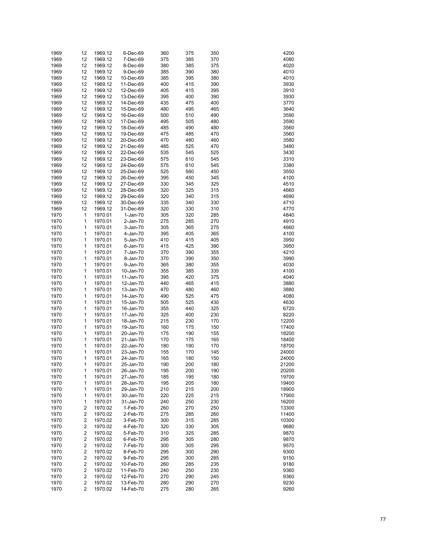| 1969 | 12 | 1969.12 | 6-Dec-69   | 360 | 375 | 350 | 4200  |
|------|----|---------|------------|-----|-----|-----|-------|
| 1969 | 12 | 1969.12 | 7-Dec-69   | 375 | 385 | 370 | 4080  |
| 1969 | 12 | 1969.12 | 8-Dec-69   | 380 | 385 | 375 | 4020  |
| 1969 | 12 | 1969.12 | 9-Dec-69   | 385 | 390 | 380 | 4010  |
| 1969 | 12 | 1969.12 | 10-Dec-69  | 385 | 395 | 380 | 4010  |
| 1969 | 12 | 1969.12 | 11-Dec-69  | 400 | 415 | 390 | 3930  |
| 1969 | 12 | 1969.12 | 12-Dec-69  | 405 | 415 | 395 | 3910  |
| 1969 | 12 | 1969.12 | 13-Dec-69  | 395 | 400 | 390 | 3930  |
| 1969 | 12 | 1969.12 | 14-Dec-69  | 435 | 475 | 400 | 3770  |
| 1969 | 12 | 1969.12 | 15-Dec-69  | 480 | 495 | 465 | 3640  |
| 1969 | 12 | 1969.12 |            | 500 | 510 | 490 | 3590  |
|      |    |         | 16-Dec-69  |     |     |     |       |
| 1969 | 12 | 1969.12 | 17-Dec-69  | 495 | 505 | 480 | 3590  |
| 1969 | 12 | 1969.12 | 18-Dec-69  | 485 | 490 | 480 | 3560  |
| 1969 | 12 | 1969.12 | 19-Dec-69  | 475 | 485 | 470 | 3560  |
| 1969 | 12 | 1969.12 | 20-Dec-69  | 470 | 480 | 460 | 3580  |
| 1969 | 12 | 1969.12 | 21-Dec-69  | 485 | 525 | 470 | 3480  |
| 1969 | 12 | 1969.12 | 22-Dec-69  | 535 | 545 | 525 | 3430  |
| 1969 | 12 | 1969.12 | 23-Dec-69  | 575 | 610 | 545 | 3310  |
| 1969 | 12 | 1969.12 | 24-Dec-69  | 575 | 610 | 545 | 3380  |
| 1969 | 12 | 1969.12 | 25-Dec-69  | 525 | 560 | 450 | 3550  |
| 1969 | 12 | 1969.12 | 26-Dec-69  | 395 | 450 | 345 | 4100  |
| 1969 | 12 | 1969.12 | 27-Dec-69  | 330 | 345 | 325 | 4510  |
| 1969 | 12 | 1969.12 | 28-Dec-69  | 320 | 325 | 315 | 4660  |
| 1969 | 12 | 1969.12 | 29-Dec-69  | 320 | 340 | 315 | 4690  |
| 1969 | 12 | 1969.12 | 30-Dec-69  | 335 | 340 | 330 | 4710  |
| 1969 | 12 | 1969.12 | 31-Dec-69  | 320 | 330 | 310 | 4770  |
| 1970 | 1  | 1970.01 | $1-Jan-70$ | 305 | 320 | 285 | 4840  |
| 1970 | 1  | 1970.01 | 2-Jan-70   | 275 | 285 | 270 | 4910  |
| 1970 | 1  | 1970.01 | 3-Jan-70   | 305 | 365 | 275 | 4660  |
| 1970 | 1  | 1970.01 | 4-Jan-70   | 395 | 405 | 365 | 4100  |
| 1970 | 1  | 1970.01 | 5-Jan-70   | 410 | 415 | 405 | 3950  |
| 1970 | 1  | 1970.01 | 6-Jan-70   | 415 | 425 | 390 | 3950  |
| 1970 | 1  | 1970.01 | 7-Jan-70   | 370 | 390 | 355 | 4210  |
| 1970 | 1  | 1970.01 | 8-Jan-70   | 370 | 390 | 350 | 3990  |
| 1970 | 1  | 1970.01 | 9-Jan-70   | 365 | 380 | 355 | 4030  |
| 1970 | 1  | 1970.01 | 10-Jan-70  | 355 | 385 | 335 | 4100  |
| 1970 | 1  | 1970.01 | 11-Jan-70  | 395 | 420 | 375 | 4040  |
| 1970 | 1  | 1970.01 | 12-Jan-70  | 440 | 465 | 415 | 3880  |
| 1970 | 1  | 1970.01 | 13-Jan-70  | 470 | 480 | 460 | 3880  |
| 1970 | 1  | 1970.01 | 14-Jan-70  | 490 | 525 | 475 | 4080  |
| 1970 | 1  | 1970.01 | 15-Jan-70  | 505 | 525 | 430 | 4630  |
| 1970 | 1  | 1970.01 | 16-Jan-70  | 355 | 440 | 325 | 6720  |
| 1970 | 1  | 1970.01 | 17-Jan-70  | 325 | 400 | 230 | 8220  |
| 1970 | 1  | 1970.01 | 18-Jan-70  | 215 | 230 | 170 | 12200 |
| 1970 | 1  | 1970.01 | 19-Jan-70  | 160 | 175 | 150 | 17400 |
| 1970 | 1  | 1970.01 | 20-Jan-70  | 175 | 190 | 155 | 18200 |
| 1970 | 1  | 1970.01 | 21-Jan-70  | 170 | 175 | 165 | 18400 |
| 1970 | 1  | 1970.01 | 22-Jan-70  | 180 | 190 | 170 | 18700 |
| 1970 | 1  | 1970.01 | 23-Jan-70  | 155 | 170 | 145 | 24000 |
| 1970 | 1  | 1970.01 | 24-Jan-70  | 165 | 180 | 150 | 24000 |
| 1970 | 1  | 1970.01 | 25-Jan-70  | 190 | 200 | 180 | 21200 |
| 1970 | 1  | 1970.01 | 26-Jan-70  | 195 | 200 | 190 | 20200 |
| 1970 | 1  | 1970.01 | 27-Jan-70  | 185 | 195 | 180 | 19700 |
| 1970 | 1  | 1970.01 | 28-Jan-70  | 195 | 205 | 180 | 19400 |
| 1970 | 1  | 1970.01 | 29-Jan-70  | 210 | 215 | 200 | 18900 |
| 1970 | 1  | 1970.01 | 30-Jan-70  | 220 | 225 | 215 | 17900 |
| 1970 | 1  | 1970.01 | 31-Jan-70  | 240 | 250 | 230 | 16200 |
| 1970 | 2  | 1970.02 | 1-Feb-70   | 260 | 270 | 250 | 13300 |
| 1970 | 2  | 1970.02 | 2-Feb-70   | 275 | 285 | 260 | 11400 |
| 1970 | 2  | 1970.02 | 3-Feb-70   | 300 | 315 | 285 | 10300 |
| 1970 | 2  | 1970.02 | 4-Feb-70   | 320 | 330 | 305 | 9680  |
| 1970 | 2  | 1970.02 | 5-Feb-70   | 310 | 325 | 285 | 9870  |
| 1970 | 2  | 1970.02 | 6-Feb-70   | 295 | 305 | 280 | 9870  |
| 1970 | 2  | 1970.02 | 7-Feb-70   | 300 | 305 | 295 | 9570  |
| 1970 | 2  | 1970.02 | 8-Feb-70   | 295 | 300 | 290 | 9300  |
| 1970 | 2  | 1970.02 | 9-Feb-70   | 295 | 300 | 285 | 9150  |
| 1970 | 2  | 1970.02 | 10-Feb-70  | 260 | 285 | 235 | 9180  |
| 1970 | 2  | 1970.02 | 11-Feb-70  | 240 | 250 | 230 | 9360  |
| 1970 | 2  | 1970.02 | 12-Feb-70  | 270 | 290 | 245 | 9360  |
| 1970 | 2  | 1970.02 | 13-Feb-70  | 280 | 290 | 270 | 9230  |
| 1970 | 2  | 1970.02 | 14-Feb-70  | 275 | 280 | 265 | 9260  |
|      |    |         |            |     |     |     |       |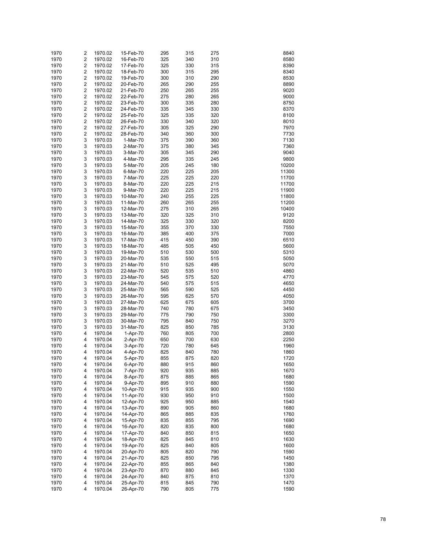| 1970 | 2                       | 1970.02 | 15-Feb-70 | 295 | 315 | 275 | 8840  |
|------|-------------------------|---------|-----------|-----|-----|-----|-------|
| 1970 | $\overline{\mathbf{c}}$ | 1970.02 | 16-Feb-70 | 325 | 340 | 310 | 8580  |
|      |                         |         |           |     |     |     |       |
| 1970 | $\overline{\mathbf{c}}$ | 1970.02 | 17-Feb-70 | 325 | 330 | 315 | 8390  |
| 1970 | $\overline{\mathbf{c}}$ | 1970.02 | 18-Feb-70 | 300 | 315 | 295 | 8340  |
| 1970 | $\overline{\mathbf{c}}$ | 1970.02 | 19-Feb-70 | 300 | 310 | 290 | 8530  |
| 1970 | $\overline{\mathbf{c}}$ | 1970.02 | 20-Feb-70 | 265 | 290 | 255 | 8890  |
| 1970 | $\overline{\mathbf{c}}$ | 1970.02 | 21-Feb-70 | 250 | 265 | 255 | 9020  |
| 1970 | $\overline{\mathbf{c}}$ | 1970.02 | 22-Feb-70 | 275 | 280 | 265 | 9000  |
| 1970 | $\overline{\mathbf{c}}$ | 1970.02 | 23-Feb-70 | 300 | 335 | 280 | 8750  |
| 1970 | $\overline{\mathbf{c}}$ | 1970.02 | 24-Feb-70 | 335 | 345 | 330 | 8370  |
|      |                         |         |           |     |     |     |       |
| 1970 | $\overline{\mathbf{c}}$ | 1970.02 | 25-Feb-70 | 325 | 335 | 320 | 8100  |
| 1970 | $\overline{\mathbf{c}}$ | 1970.02 | 26-Feb-70 | 330 | 340 | 320 | 8010  |
| 1970 | $\overline{\mathbf{c}}$ | 1970.02 | 27-Feb-70 | 305 | 325 | 290 | 7970  |
| 1970 | $\overline{\mathbf{c}}$ | 1970.02 | 28-Feb-70 | 340 | 360 | 300 | 7730  |
| 1970 | 3                       | 1970.03 | 1-Mar-70  | 375 | 390 | 360 | 7130  |
| 1970 | 3                       | 1970.03 | 2-Mar-70  | 375 | 380 | 345 | 7360  |
| 1970 | 3                       | 1970.03 | 3-Mar-70  | 305 | 345 | 290 | 9040  |
| 1970 | 3                       | 1970.03 | 4-Mar-70  | 295 | 335 | 245 | 9800  |
| 1970 | 3                       | 1970.03 | 5-Mar-70  | 205 | 245 | 180 | 10200 |
| 1970 | 3                       | 1970.03 | 6-Mar-70  | 220 | 225 | 205 | 11300 |
|      |                         |         |           |     |     |     |       |
| 1970 | 3                       | 1970.03 | 7-Mar-70  | 225 | 225 | 220 | 11700 |
| 1970 | 3                       | 1970.03 | 8-Mar-70  | 220 | 225 | 215 | 11700 |
| 1970 | 3                       | 1970.03 | 9-Mar-70  | 220 | 225 | 215 | 11900 |
| 1970 | 3                       | 1970.03 | 10-Mar-70 | 240 | 255 | 225 | 11800 |
| 1970 | 3                       | 1970.03 | 11-Mar-70 | 260 | 265 | 255 | 11200 |
| 1970 | 3                       | 1970.03 | 12-Mar-70 | 275 | 310 | 265 | 10400 |
| 1970 | 3                       | 1970.03 | 13-Mar-70 | 320 | 325 | 310 | 9120  |
| 1970 | 3                       | 1970.03 | 14-Mar-70 | 325 | 330 | 320 | 8200  |
| 1970 | 3                       | 1970.03 | 15-Mar-70 | 355 | 370 | 330 | 7550  |
| 1970 | 3                       | 1970.03 | 16-Mar-70 | 385 | 400 | 375 | 7000  |
| 1970 | 3                       | 1970.03 | 17-Mar-70 | 415 | 450 | 390 | 6510  |
| 1970 | 3                       | 1970.03 | 18-Mar-70 | 485 | 505 | 450 | 5600  |
|      |                         |         |           |     |     |     |       |
| 1970 | 3                       | 1970.03 | 19-Mar-70 | 510 | 530 | 500 | 5310  |
| 1970 | 3                       | 1970.03 | 20-Mar-70 | 535 | 550 | 515 | 5050  |
| 1970 | 3                       | 1970.03 | 21-Mar-70 | 510 | 525 | 495 | 5070  |
| 1970 | 3                       | 1970.03 | 22-Mar-70 | 520 | 535 | 510 | 4860  |
| 1970 | 3                       | 1970.03 | 23-Mar-70 | 545 | 575 | 520 | 4770  |
| 1970 | 3                       | 1970.03 | 24-Mar-70 | 540 | 575 | 515 | 4650  |
| 1970 | 3                       | 1970.03 | 25-Mar-70 | 565 | 590 | 525 | 4450  |
| 1970 | 3                       | 1970.03 | 26-Mar-70 | 595 | 625 | 570 | 4050  |
| 1970 | 3                       | 1970.03 | 27-Mar-70 | 625 | 675 | 605 | 3700  |
| 1970 | 3                       | 1970.03 | 28-Mar-70 | 740 | 780 | 675 | 3450  |
| 1970 | 3                       | 1970.03 | 29-Mar-70 | 775 | 790 | 750 | 3300  |
| 1970 | 3                       | 1970.03 | 30-Mar-70 | 795 | 840 | 750 | 3270  |
| 1970 | 3                       | 1970.03 | 31-Mar-70 | 825 | 850 | 785 | 3130  |
| 1970 | 4                       | 1970.04 | 1-Apr-70  | 760 | 805 | 700 | 2800  |
| 1970 | 4                       | 1970.04 | 2-Apr-70  | 650 | 700 | 630 | 2250  |
|      |                         |         |           |     |     |     |       |
| 1970 | 4                       | 1970.04 | 3-Apr-70  | 720 | 780 | 645 | 1960  |
| 1970 | 4                       | 1970.04 | 4-Apr-70  | 825 | 840 | 780 | 1860  |
| 1970 | 4                       | 1970.04 | 5-Apr-70  | 855 | 875 | 820 | 1720  |
| 1970 | 4                       | 1970.04 | 6-Apr-70  | 880 | 915 | 860 | 1650  |
| 1970 | 4                       | 1970.04 | 7-Apr-70  | 920 | 935 | 885 | 1670  |
| 1970 | 4                       | 1970.04 | 8-Apr-70  | 875 | 885 | 865 | 1680  |
| 1970 | 4                       | 1970.04 | 9-Apr-70  | 895 | 910 | 880 | 1590  |
| 1970 | 4                       | 1970.04 | 10-Apr-70 | 915 | 935 | 900 | 1550  |
| 1970 | 4                       | 1970.04 | 11-Apr-70 | 930 | 950 | 910 | 1500  |
| 1970 | 4                       | 1970.04 | 12-Apr-70 | 925 | 950 | 885 | 1540  |
| 1970 | 4                       | 1970.04 | 13-Apr-70 | 890 | 905 | 860 | 1680  |
| 1970 | 4                       | 1970.04 | 14-Apr-70 | 865 | 885 | 835 | 1760  |
| 1970 | 4                       | 1970.04 | 15-Apr-70 | 835 | 855 | 795 | 1690  |
| 1970 | 4                       | 1970.04 | 16-Apr-70 | 820 | 835 | 800 | 1680  |
|      |                         |         |           |     |     |     |       |
| 1970 | 4                       | 1970.04 | 17-Apr-70 | 840 | 850 | 815 | 1650  |
| 1970 | 4                       | 1970.04 | 18-Apr-70 | 825 | 845 | 810 | 1630  |
| 1970 | 4                       | 1970.04 | 19-Apr-70 | 825 | 840 | 805 | 1600  |
| 1970 | 4                       | 1970.04 | 20-Apr-70 | 805 | 820 | 790 | 1590  |
| 1970 | 4                       | 1970.04 | 21-Apr-70 | 825 | 850 | 795 | 1450  |
| 1970 | 4                       | 1970.04 | 22-Apr-70 | 855 | 865 | 840 | 1380  |
| 1970 | 4                       | 1970.04 | 23-Apr-70 | 870 | 880 | 845 | 1330  |
| 1970 | 4                       | 1970.04 | 24-Apr-70 | 840 | 875 | 810 | 1370  |
| 1970 | 4                       | 1970.04 | 25-Apr-70 | 815 | 845 | 790 | 1470  |
| 1970 | 4                       | 1970.04 | 26-Apr-70 | 790 | 805 | 775 | 1590  |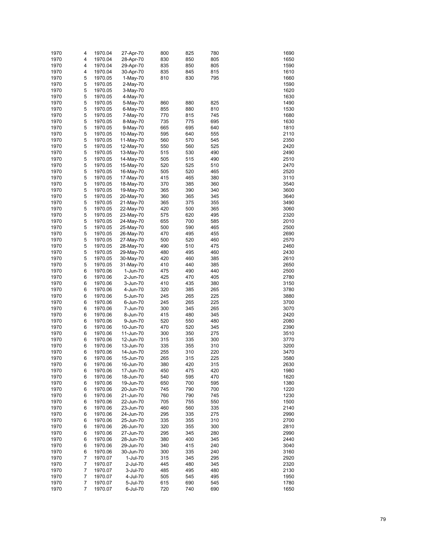| 1970 | 4 | 1970.04 | 27-Apr-70  | 800 | 825 | 780 | 1690 |
|------|---|---------|------------|-----|-----|-----|------|
| 1970 | 4 | 1970.04 | 28-Apr-70  | 830 | 850 | 805 | 1650 |
| 1970 | 4 | 1970.04 | 29-Apr-70  | 835 | 850 | 805 | 1590 |
| 1970 | 4 | 1970.04 | 30-Apr-70  | 835 | 845 | 815 | 1610 |
| 1970 | 5 | 1970.05 | $1-May-70$ | 810 | 830 | 795 | 1660 |
|      |   |         |            |     |     |     |      |
| 1970 | 5 | 1970.05 | 2-May-70   |     |     |     | 1590 |
| 1970 | 5 | 1970.05 | 3-May-70   |     |     |     | 1620 |
| 1970 | 5 | 1970.05 | 4-May-70   |     |     |     | 1630 |
| 1970 | 5 | 1970.05 | 5-May-70   | 860 | 880 | 825 | 1490 |
| 1970 | 5 | 1970.05 | 6-May-70   | 855 | 880 | 810 | 1530 |
| 1970 | 5 | 1970.05 | 7-May-70   | 770 | 815 | 745 | 1680 |
| 1970 | 5 | 1970.05 | 8-May-70   | 735 | 775 | 695 | 1630 |
| 1970 | 5 | 1970.05 | 9-May-70   | 665 | 695 | 640 | 1810 |
| 1970 | 5 | 1970.05 | 10-May-70  | 595 | 640 | 555 | 2110 |
| 1970 | 5 | 1970.05 | 11-May-70  | 560 | 570 | 545 | 2350 |
| 1970 | 5 | 1970.05 | 12-May-70  | 550 | 560 | 525 | 2420 |
| 1970 | 5 | 1970.05 | 13-May-70  | 515 | 530 | 490 | 2490 |
| 1970 | 5 | 1970.05 | 14-May-70  | 505 | 515 | 490 | 2510 |
| 1970 | 5 | 1970.05 | 15-May-70  | 520 | 525 | 510 | 2470 |
| 1970 | 5 | 1970.05 | 16-May-70  | 505 | 520 | 465 | 2520 |
| 1970 | 5 | 1970.05 | 17-May-70  | 415 | 465 | 380 | 3110 |
| 1970 | 5 | 1970.05 |            | 370 | 385 | 360 | 3540 |
|      | 5 |         | 18-May-70  |     |     |     |      |
| 1970 |   | 1970.05 | 19-May-70  | 365 | 390 | 340 | 3600 |
| 1970 | 5 | 1970.05 | 20-May-70  | 360 | 365 | 345 | 3640 |
| 1970 | 5 | 1970.05 | 21-May-70  | 365 | 375 | 355 | 3490 |
| 1970 | 5 | 1970.05 | 22-May-70  | 420 | 500 | 365 | 3060 |
| 1970 | 5 | 1970.05 | 23-May-70  | 575 | 620 | 495 | 2320 |
| 1970 | 5 | 1970.05 | 24-May-70  | 655 | 700 | 585 | 2010 |
| 1970 | 5 | 1970.05 | 25-May-70  | 500 | 590 | 465 | 2500 |
| 1970 | 5 | 1970.05 | 26-May-70  | 470 | 495 | 455 | 2690 |
| 1970 | 5 | 1970.05 | 27-May-70  | 500 | 520 | 460 | 2570 |
| 1970 | 5 | 1970.05 | 28-May-70  | 490 | 510 | 475 | 2460 |
| 1970 | 5 | 1970.05 | 29-May-70  | 480 | 495 | 460 | 2430 |
| 1970 | 5 | 1970.05 | 30-May-70  | 420 | 460 | 385 | 2610 |
| 1970 | 5 | 1970.05 | 31-May-70  | 410 | 440 | 385 | 2650 |
| 1970 | 6 | 1970.06 | 1-Jun-70   | 475 | 490 | 440 | 2500 |
| 1970 | 6 | 1970.06 | 2-Jun-70   | 425 | 470 | 405 | 2780 |
| 1970 | 6 | 1970.06 | 3-Jun-70   | 410 | 435 | 380 | 3150 |
| 1970 | 6 | 1970.06 | 4-Jun-70   | 320 | 385 | 265 | 3780 |
| 1970 | 6 | 1970.06 | 5-Jun-70   | 245 | 265 | 225 | 3880 |
|      |   |         |            |     |     |     |      |
| 1970 | 6 | 1970.06 | 6-Jun-70   | 245 | 265 | 225 | 3700 |
| 1970 | 6 | 1970.06 | 7-Jun-70   | 300 | 345 | 265 | 3070 |
| 1970 | 6 | 1970.06 | 8-Jun-70   | 415 | 480 | 345 | 2420 |
| 1970 | 6 | 1970.06 | 9-Jun-70   | 520 | 550 | 480 | 2080 |
| 1970 | 6 | 1970.06 | 10-Jun-70  | 470 | 520 | 345 | 2390 |
| 1970 | 6 | 1970.06 | 11-Jun-70  | 300 | 350 | 275 | 3510 |
| 1970 | 6 | 1970.06 | 12-Jun-70  | 315 | 335 | 300 | 3770 |
| 1970 | 6 | 1970.06 | 13-Jun-70  | 335 | 355 | 310 | 3200 |
| 1970 | 6 | 1970.06 | 14-Jun-70  | 255 | 310 | 220 | 3470 |
| 1970 | 6 | 1970.06 | 15-Jun-70  | 265 | 315 | 225 | 3580 |
| 1970 | 6 | 1970.06 | 16-Jun-70  | 380 | 420 | 315 | 2630 |
| 1970 | 6 | 1970.06 | 17-Jun-70  | 450 | 475 | 420 | 1980 |
| 1970 | 6 | 1970.06 | 18-Jun-70  | 540 | 595 | 470 | 1620 |
| 1970 | 6 | 1970.06 | 19-Jun-70  | 650 | 700 | 595 | 1380 |
| 1970 | 6 | 1970.06 | 20-Jun-70  | 745 | 790 | 700 | 1220 |
| 1970 | 6 | 1970.06 | 21-Jun-70  | 760 | 790 | 745 | 1230 |
| 1970 | 6 | 1970.06 | 22-Jun-70  | 705 | 755 | 550 | 1500 |
| 1970 | 6 | 1970.06 | 23-Jun-70  | 460 | 560 | 335 | 2140 |
|      |   |         |            |     |     |     |      |
| 1970 | 6 | 1970.06 | 24-Jun-70  | 295 | 335 | 275 | 2990 |
| 1970 | 6 | 1970.06 | 25-Jun-70  | 335 | 355 | 310 | 2700 |
| 1970 | 6 | 1970.06 | 26-Jun-70  | 320 | 355 | 300 | 2810 |
| 1970 | 6 | 1970.06 | 27-Jun-70  | 295 | 345 | 280 | 2990 |
| 1970 | 6 | 1970.06 | 28-Jun-70  | 380 | 400 | 345 | 2440 |
| 1970 | 6 | 1970.06 | 29-Jun-70  | 340 | 415 | 240 | 3040 |
| 1970 | 6 | 1970.06 | 30-Jun-70  | 300 | 335 | 240 | 3160 |
| 1970 | 7 | 1970.07 | 1-Jul-70   | 315 | 345 | 295 | 2920 |
| 1970 | 7 | 1970.07 | 2-Jul-70   | 445 | 480 | 345 | 2320 |
| 1970 | 7 | 1970.07 | 3-Jul-70   | 485 | 495 | 480 | 2130 |
| 1970 | 7 | 1970.07 | 4-Jul-70   | 505 | 545 | 495 | 1950 |
| 1970 | 7 | 1970.07 | 5-Jul-70   | 615 | 690 | 545 | 1780 |
| 1970 | 7 | 1970.07 | 6-Jul-70   | 720 | 740 | 690 | 1650 |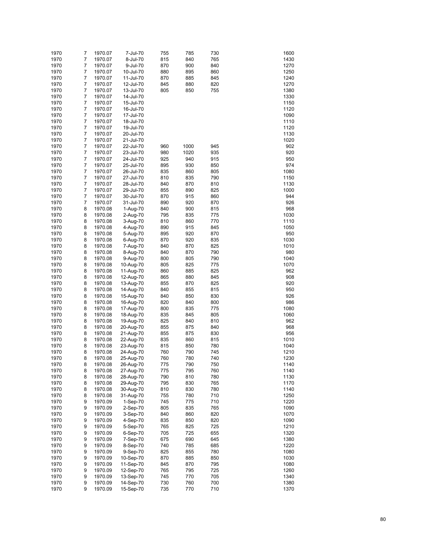| 1970 | 7              | 1970.07 | 7-Jul-70   | 755 | 785  | 730 | 1600 |
|------|----------------|---------|------------|-----|------|-----|------|
| 1970 | 7              | 1970.07 | 8-Jul-70   | 815 | 840  | 765 | 1430 |
| 1970 | 7              | 1970.07 | 9-Jul-70   | 870 | 900  | 840 | 1270 |
| 1970 | 7              | 1970.07 | 10-Jul-70  | 880 | 895  | 860 | 1250 |
| 1970 | 7              | 1970.07 | 11-Jul-70  | 870 | 885  | 845 | 1240 |
|      | 7              |         |            |     |      |     | 1270 |
| 1970 |                | 1970.07 | 12-Jul-70  | 845 | 880  | 820 |      |
| 1970 | 7              | 1970.07 | 13-Jul-70  | 805 | 850  | 755 | 1380 |
| 1970 | 7              | 1970.07 | 14-Jul-70  |     |      |     | 1330 |
| 1970 | 7              | 1970.07 | 15-Jul-70  |     |      |     | 1150 |
| 1970 | 7              | 1970.07 | 16-Jul-70  |     |      |     | 1120 |
| 1970 | 7              | 1970.07 | 17-Jul-70  |     |      |     | 1090 |
| 1970 | 7              | 1970.07 | 18-Jul-70  |     |      |     | 1110 |
| 1970 | 7              | 1970.07 | 19-Jul-70  |     |      |     | 1120 |
| 1970 | 7              | 1970.07 | 20-Jul-70  |     |      |     | 1130 |
| 1970 | 7              | 1970.07 | 21-Jul-70  |     |      |     | 1020 |
| 1970 | 7              | 1970.07 | 22-Jul-70  | 960 | 1000 | 945 | 902  |
| 1970 | 7              | 1970.07 | 23-Jul-70  | 980 | 1020 | 935 | 920  |
| 1970 | $\overline{7}$ | 1970.07 | 24-Jul-70  | 925 | 940  | 915 | 950  |
| 1970 | 7              | 1970.07 | 25-Jul-70  | 895 | 930  | 850 | 974  |
| 1970 | 7              | 1970.07 | 26-Jul-70  | 835 | 860  | 805 | 1080 |
| 1970 | 7              | 1970.07 | 27-Jul-70  | 810 | 835  | 790 | 1150 |
|      | $\overline{7}$ |         |            | 840 | 870  | 810 | 1130 |
| 1970 |                | 1970.07 | 28-Jul-70  |     |      |     |      |
| 1970 | 7              | 1970.07 | 29-Jul-70  | 855 | 890  | 825 | 1000 |
| 1970 | 7              | 1970.07 | 30-Jul-70  | 870 | 915  | 860 | 944  |
| 1970 | 7              | 1970.07 | 31-Jul-70  | 890 | 920  | 870 | 926  |
| 1970 | 8              | 1970.08 | 1-Aug-70   | 840 | 900  | 815 | 968  |
| 1970 | 8              | 1970.08 | 2-Aug-70   | 795 | 835  | 775 | 1030 |
| 1970 | 8              | 1970.08 | 3-Aug-70   | 810 | 860  | 770 | 1110 |
| 1970 | 8              | 1970.08 | 4-Aug-70   | 890 | 915  | 845 | 1050 |
| 1970 | 8              | 1970.08 | 5-Aug-70   | 895 | 920  | 870 | 950  |
| 1970 | 8              | 1970.08 | 6-Aug-70   | 870 | 920  | 835 | 1030 |
| 1970 | 8              | 1970.08 | 7-Aug-70   | 840 | 870  | 825 | 1010 |
| 1970 | 8              | 1970.08 | 8-Aug-70   | 840 | 870  | 790 | 980  |
| 1970 | 8              | 1970.08 | 9-Aug-70   | 800 | 805  | 790 | 1040 |
| 1970 | 8              | 1970.08 | 10-Aug-70  | 805 | 825  | 775 | 1070 |
| 1970 | 8              | 1970.08 | 11-Aug-70  | 860 | 885  | 825 | 962  |
| 1970 | 8              | 1970.08 | 12-Aug-70  | 865 | 880  | 845 | 908  |
| 1970 | 8              | 1970.08 | 13-Aug-70  | 855 | 870  | 825 | 920  |
| 1970 | 8              | 1970.08 | 14-Aug-70  | 840 | 855  | 815 | 950  |
|      | 8              |         |            | 840 | 850  | 830 | 926  |
| 1970 |                | 1970.08 | 15-Aug-70  |     |      |     |      |
| 1970 | 8              | 1970.08 | 16-Aug-70  | 820 | 840  | 800 | 986  |
| 1970 | 8              | 1970.08 | 17-Aug-70  | 800 | 835  | 775 | 1080 |
| 1970 | 8              | 1970.08 | 18-Aug-70  | 835 | 845  | 805 | 1060 |
| 1970 | 8              | 1970.08 | 19-Aug-70  | 825 | 840  | 810 | 962  |
| 1970 | 8              | 1970.08 | 20-Aug-70  | 855 | 875  | 840 | 968  |
| 1970 | 8              | 1970.08 | 21-Aug-70  | 855 | 875  | 830 | 956  |
| 1970 | 8              | 1970.08 | 22-Aug-70  | 835 | 860  | 815 | 1010 |
| 1970 | 8              | 1970.08 | 23-Aug-70  | 815 | 850  | 780 | 1040 |
| 1970 | 8              | 1970.08 | 24-Aug-70  | 760 | 790  | 745 | 1210 |
| 1970 | 8              | 1970.08 | 25-Aug-70  | 760 | 780  | 740 | 1230 |
| 1970 | 8              | 1970.08 | 26-Aug-70  | 775 | 790  | 750 | 1140 |
| 1970 | 8              | 1970.08 | 27-Aug-70  | 775 | 795  | 760 | 1140 |
| 1970 | 8              | 1970.08 | 28-Aug-70  | 790 | 810  | 780 | 1130 |
| 1970 | 8              | 1970.08 | 29-Aug-70  | 795 | 830  | 765 | 1170 |
| 1970 | 8              | 1970.08 | 30-Aug-70  | 810 | 830  | 780 | 1140 |
| 1970 | 8              | 1970.08 | 31-Aug-70  | 755 | 780  | 710 | 1250 |
| 1970 | 9              | 1970.09 | $1-Sep-70$ | 745 | 775  | 710 | 1220 |
| 1970 | 9              | 1970.09 | 2-Sep-70   | 805 | 835  | 765 | 1090 |
|      |                |         |            |     |      |     |      |
| 1970 | 9              | 1970.09 | 3-Sep-70   | 840 | 860  | 820 | 1070 |
| 1970 | 9              | 1970.09 | 4-Sep-70   | 835 | 850  | 820 | 1090 |
| 1970 | 9              | 1970.09 | 5-Sep-70   | 765 | 825  | 725 | 1210 |
| 1970 | 9              | 1970.09 | 6-Sep-70   | 705 | 725  | 655 | 1320 |
| 1970 | 9              | 1970.09 | 7-Sep-70   | 675 | 690  | 645 | 1380 |
| 1970 | 9              | 1970.09 | 8-Sep-70   | 740 | 785  | 685 | 1220 |
| 1970 | 9              | 1970.09 | 9-Sep-70   | 825 | 855  | 780 | 1080 |
| 1970 | 9              | 1970.09 | 10-Sep-70  | 870 | 885  | 850 | 1030 |
| 1970 | 9              | 1970.09 | 11-Sep-70  | 845 | 870  | 795 | 1080 |
| 1970 | 9              | 1970.09 | 12-Sep-70  | 765 | 795  | 725 | 1260 |
| 1970 | 9              | 1970.09 | 13-Sep-70  | 745 | 770  | 705 | 1340 |
| 1970 | 9              | 1970.09 | 14-Sep-70  | 730 | 760  | 700 | 1380 |
| 1970 | 9              | 1970.09 | 15-Sep-70  | 735 | 770  | 710 | 1370 |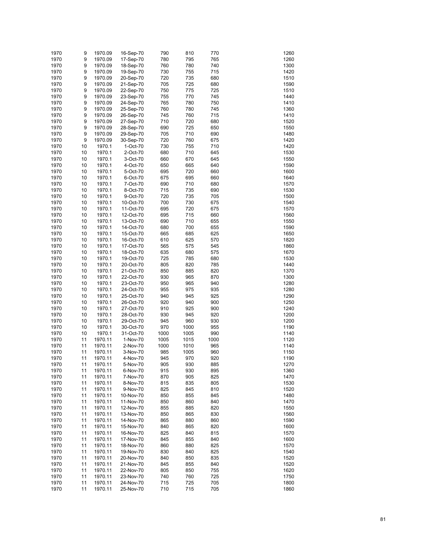| 1970 | 9  | 1970.09 | 16-Sep-70 | 790        | 810  | 770  | 1260 |
|------|----|---------|-----------|------------|------|------|------|
| 1970 | 9  | 1970.09 | 17-Sep-70 | 780        | 795  | 765  | 1260 |
| 1970 | 9  | 1970.09 | 18-Sep-70 | 760        | 780  | 740  | 1300 |
| 1970 | 9  | 1970.09 | 19-Sep-70 | 730        | 755  | 715  | 1420 |
| 1970 | 9  | 1970.09 | 20-Sep-70 | 720        | 735  | 680  | 1510 |
| 1970 | 9  | 1970.09 | 21-Sep-70 | 705        | 725  | 680  | 1590 |
| 1970 | 9  | 1970.09 | 22-Sep-70 | 750        | 775  | 725  | 1510 |
| 1970 | 9  | 1970.09 | 23-Sep-70 | 755        | 770  | 745  | 1440 |
| 1970 | 9  | 1970.09 | 24-Sep-70 | 765        | 780  | 750  | 1410 |
| 1970 | 9  | 1970.09 | 25-Sep-70 | 760        | 780  | 745  | 1360 |
| 1970 | 9  | 1970.09 | 26-Sep-70 | 745        | 760  | 715  | 1410 |
| 1970 | 9  | 1970.09 | 27-Sep-70 | 710        | 720  | 680  | 1520 |
| 1970 | 9  | 1970.09 | 28-Sep-70 | 690        | 725  | 650  | 1550 |
| 1970 | 9  | 1970.09 | 29-Sep-70 | 705        | 710  | 690  | 1480 |
| 1970 | 9  | 1970.09 | 30-Sep-70 | 720        | 760  | 675  | 1420 |
| 1970 | 10 | 1970.1  | 1-Oct-70  | 730        | 755  | 710  | 1420 |
| 1970 | 10 | 1970.1  | 2-Oct-70  | 680        | 710  | 645  | 1530 |
| 1970 | 10 | 1970.1  | 3-Oct-70  | 660        | 670  | 645  | 1550 |
| 1970 | 10 | 1970.1  | 4-Oct-70  | 650        | 665  | 640  | 1590 |
| 1970 | 10 | 1970.1  | 5-Oct-70  | 695        | 720  | 660  | 1600 |
| 1970 | 10 | 1970.1  | 6-Oct-70  | 675        | 695  | 660  | 1640 |
| 1970 | 10 | 1970.1  | 7-Oct-70  | 690        | 710  | 680  | 1570 |
| 1970 | 10 | 1970.1  | 8-Oct-70  | 715        | 735  | 690  | 1530 |
| 1970 | 10 | 1970.1  | 9-Oct-70  | 720        | 735  | 705  | 1500 |
| 1970 | 10 | 1970.1  | 10-Oct-70 | 700        | 730  | 675  | 1540 |
|      |    |         |           |            | 720  |      | 1570 |
| 1970 | 10 | 1970.1  | 11-Oct-70 | 695<br>695 | 715  | 675  |      |
| 1970 | 10 | 1970.1  | 12-Oct-70 |            |      | 660  | 1560 |
| 1970 | 10 | 1970.1  | 13-Oct-70 | 690        | 710  | 655  | 1550 |
| 1970 | 10 | 1970.1  | 14-Oct-70 | 680        | 700  | 655  | 1590 |
| 1970 | 10 | 1970.1  | 15-Oct-70 | 665        | 685  | 625  | 1650 |
| 1970 | 10 | 1970.1  | 16-Oct-70 | 610        | 625  | 570  | 1820 |
| 1970 | 10 | 1970.1  | 17-Oct-70 | 565        | 575  | 545  | 1860 |
| 1970 | 10 | 1970.1  | 18-Oct-70 | 635        | 680  | 575  | 1670 |
| 1970 | 10 | 1970.1  | 19-Oct-70 | 725        | 785  | 680  | 1530 |
| 1970 | 10 | 1970.1  | 20-Oct-70 | 805        | 820  | 785  | 1440 |
| 1970 | 10 | 1970.1  | 21-Oct-70 | 850        | 885  | 820  | 1370 |
| 1970 | 10 | 1970.1  | 22-Oct-70 | 930        | 965  | 870  | 1300 |
| 1970 | 10 | 1970.1  | 23-Oct-70 | 950        | 965  | 940  | 1280 |
| 1970 | 10 | 1970.1  | 24-Oct-70 | 955        | 975  | 935  | 1280 |
| 1970 | 10 | 1970.1  | 25-Oct-70 | 940        | 945  | 925  | 1290 |
| 1970 | 10 | 1970.1  | 26-Oct-70 | 920        | 940  | 900  | 1250 |
| 1970 | 10 | 1970.1  | 27-Oct-70 | 910        | 925  | 900  | 1240 |
| 1970 | 10 | 1970.1  | 28-Oct-70 | 930        | 945  | 920  | 1200 |
| 1970 | 10 | 1970.1  | 29-Oct-70 | 945        | 960  | 930  | 1200 |
| 1970 | 10 | 1970.1  | 30-Oct-70 | 970        | 1000 | 955  | 1190 |
| 1970 | 10 | 1970.1  | 31-Oct-70 | 1000       | 1005 | 990  | 1140 |
| 1970 | 11 | 1970.11 | 1-Nov-70  | 1005       | 1015 | 1000 | 1120 |
| 1970 | 11 | 1970.11 | 2-Nov-70  | 1000       | 1010 | 965  | 1140 |
| 1970 | 11 | 1970.11 | 3-Nov-70  | 985        | 1005 | 960  | 1150 |
| 1970 | 11 | 1970.11 | 4-Nov-70  | 945        | 970  | 920  | 1190 |
| 1970 | 11 | 1970.11 | 5-Nov-70  | 905        | 930  | 885  | 1270 |
| 1970 | 11 | 1970.11 | 6-Nov-70  | 915        | 930  | 895  | 1360 |
| 1970 | 11 | 1970.11 | 7-Nov-70  | 870        | 905  | 825  | 1470 |
| 1970 | 11 | 1970.11 | 8-Nov-70  | 815        | 835  | 805  | 1530 |
| 1970 | 11 | 1970.11 | 9-Nov-70  | 825        | 845  | 810  | 1520 |
| 1970 | 11 | 1970.11 | 10-Nov-70 | 850        | 855  | 845  | 1480 |
| 1970 | 11 | 1970.11 | 11-Nov-70 | 850        | 860  | 840  | 1470 |
| 1970 | 11 | 1970.11 | 12-Nov-70 | 855        | 885  | 820  | 1550 |
| 1970 | 11 | 1970.11 | 13-Nov-70 | 850        | 865  | 830  | 1560 |
| 1970 | 11 | 1970.11 | 14-Nov-70 | 865        | 880  | 860  | 1590 |
| 1970 | 11 | 1970.11 | 15-Nov-70 | 840        | 865  | 820  | 1600 |
| 1970 | 11 | 1970.11 | 16-Nov-70 | 825        | 840  | 815  | 1570 |
| 1970 | 11 | 1970.11 | 17-Nov-70 | 845        | 855  | 840  | 1600 |
| 1970 | 11 | 1970.11 | 18-Nov-70 | 860        | 880  | 825  | 1570 |
| 1970 | 11 | 1970.11 | 19-Nov-70 | 830        | 840  | 825  | 1540 |
| 1970 | 11 | 1970.11 | 20-Nov-70 | 840        | 850  | 835  | 1520 |
| 1970 | 11 | 1970.11 | 21-Nov-70 | 845        | 855  | 840  | 1520 |
| 1970 | 11 | 1970.11 | 22-Nov-70 | 805        | 850  | 755  | 1620 |
| 1970 | 11 | 1970.11 | 23-Nov-70 | 740        | 760  | 725  | 1750 |
| 1970 | 11 | 1970.11 | 24-Nov-70 | 715        | 725  | 705  | 1800 |
| 1970 | 11 | 1970.11 | 25-Nov-70 | 710        | 715  | 705  | 1860 |
|      |    |         |           |            |      |      |      |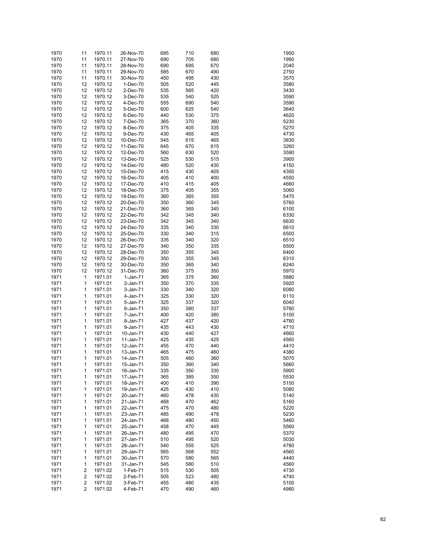| 1970         | 11                      | 1970.11            | 26-Nov-70              | 695        | 710        | 680        | 1950         |
|--------------|-------------------------|--------------------|------------------------|------------|------------|------------|--------------|
| 1970         | 11                      | 1970.11            | 27-Nov-70              | 690        | 705        | 680        | 1990         |
| 1970         | 11                      | 1970.11            | 28-Nov-70              | 690        | 695        | 670        | 2040         |
| 1970         | 11                      | 1970.11            | 29-Nov-70              | 585        | 670        | 490        | 2750         |
| 1970         | 11                      | 1970.11            | 30-Nov-70              | 450        | 495        | 430        | 3570         |
| 1970         | 12                      | 1970.12            | 1-Dec-70               | 505        | 520        | 445        | 3580         |
| 1970         | 12                      | 1970.12            | 2-Dec-70               | 535        | 565        | 420        | 3430         |
| 1970         | 12                      | 1970.12            | 3-Dec-70               | 535        | 540        | 525        | 3590         |
| 1970         | 12                      | 1970.12            | 4-Dec-70               | 555        | 690        | 540        | 3590         |
| 1970         | 12                      | 1970.12            | 5-Dec-70               | 600        | 625        | 540        | 3640         |
| 1970         | 12                      | 1970.12            | 6-Dec-70               | 440        | 530        | 375        | 4620         |
| 1970         | 12                      | 1970.12            | 7-Dec-70               | 365        | 370        | 360        | 5230         |
| 1970         | 12                      | 1970.12            | 8-Dec-70               | 375        | 405        | 335        | 5270         |
| 1970         | 12                      | 1970.12            | 9-Dec-70               | 430        | 465        | 405        | 4730         |
| 1970         | 12                      | 1970.12            | 10-Dec-70              | 545        | 615        | 465        | 3830         |
| 1970<br>1970 | 12<br>12                | 1970.12<br>1970.12 | 11-Dec-70<br>12-Dec-70 | 645<br>560 | 670<br>630 | 615<br>520 | 3260<br>3590 |
| 1970         | 12                      | 1970.12            | 13-Dec-70              | 525        | 530        | 515        | 3900         |
| 1970         | 12                      | 1970.12            | 14-Dec-70              | 480        | 520        | 430        | 4150         |
| 1970         | 12                      | 1970.12            | 15-Dec-70              | 415        | 430        | 405        | 4350         |
| 1970         | 12                      | 1970.12            | 16-Dec-70              | 405        | 410        | 400        | 4550         |
| 1970         | 12                      | 1970.12            | 17-Dec-70              | 410        | 415        | 405        | 4660         |
| 1970         | 12                      | 1970.12            | 18-Dec-70              | 375        | 405        | 355        | 5060         |
| 1970         | 12                      | 1970.12            | 19-Dec-70              | 360        | 365        | 355        | 5470         |
| 1970         | 12                      | 1970.12            | 20-Dec-70              | 350        | 360        | 345        | 5760         |
| 1970         | 12                      | 1970.12            | 21-Dec-70              | 360        | 365        | 345        | 6100         |
| 1970         | 12                      | 1970.12            | 22-Dec-70              | 342        | 345        | 340        | 6330         |
| 1970         | 12                      | 1970.12            | 23-Dec-70              | 342        | 345        | 340        | 6630         |
| 1970         | 12                      | 1970.12            | 24-Dec-70              | 335        | 340        | 330        | 6610         |
| 1970         | 12                      | 1970.12            | 25-Dec-70              | 330        | 340        | 315        | 6500         |
| 1970         | 12                      | 1970.12            | 26-Dec-70              | 335        | 340        | 320        | 6510         |
| 1970         | 12                      | 1970.12            | 27-Dec-70              | 340        | 350        | 335        | 6500         |
| 1970         | 12                      | 1970.12            | 28-Dec-70              | 350        | 355        | 345        | 6400         |
| 1970         | 12                      | 1970.12            | 29-Dec-70              | 350        | 355        | 345        | 6310         |
| 1970         | 12                      | 1970.12            | 30-Dec-70              | 350        | 365        | 340        | 6240         |
| 1970         | 12                      | 1970.12            | 31-Dec-70              | 360        | 375        | 350        | 5970         |
| 1971         | 1                       | 1971.01            | $1-Jan-71$             | 365        | 375        | 360        | 5880         |
| 1971         | 1                       | 1971.01            | 2-Jan-71               | 350        | 370        | 335        | 5920         |
| 1971         | 1                       | 1971.01            | 3-Jan-71               | 330        | 340        | 320        | 6080         |
| 1971         | 1                       | 1971.01            | 4-Jan-71               | 325        | 330        | 320        | 6110         |
| 1971         | 1                       | 1971.01            | 5-Jan-71               | 325        | 337        | 320        | 6040         |
| 1971         | 1                       | 1971.01            | 6-Jan-71               | 350        | 380        | 337        | 5780         |
| 1971         | 1                       | 1971.01            | 7-Jan-71               | 400        | 420        | 380        | 5100         |
| 1971         | 1                       | 1971.01            | 8-Jan-71               | 427        | 437        | 420        | 4780         |
| 1971         | 1                       | 1971.01            | 9-Jan-71               | 435        | 443        | 430        | 4710         |
| 1971         | 1                       | 1971.01            | 10-Jan-71              | 430        | 440        | 427        | 4660         |
| 1971         | 1                       | 1971.01            | 11-Jan-71              | 425        | 435        | 425        | 4560<br>4410 |
| 1971<br>1971 | 1<br>1                  | 1971.01<br>1971.01 | 12-Jan-71<br>13-Jan-71 | 455<br>465 | 470<br>475 | 440<br>460 | 4380         |
| 1971         | 1                       | 1971.01            | 14-Jan-71              | 505        | 460        | 360        | 5070         |
| 1971         | 1                       | 1971.01            | 15-Jan-71              | 350        | 360        | 340        | 5660         |
| 1971         | 1                       | 1971.01            | 16-Jan-71              | 335        | 350        | 330        | 5900         |
| 1971         | 1                       | 1971.01            | 17-Jan-71              | 365        | 385        | 350        | 5530         |
| 1971         | 1                       | 1971.01            | 18-Jan-71              | 400        | 410        | 390        | 5150         |
| 1971         | 1                       | 1971.01            | 19-Jan-71              | 425        | 430        | 410        | 5080         |
| 1971         | 1                       | 1971.01            | 20-Jan-71              | 460        | 478        | 430        | 5140         |
| 1971         | 1                       | 1971.01            | 21-Jan-71              | 468        | 470        | 462        | 5160         |
| 1971         | 1                       | 1971.01            | 22-Jan-71              | 475        | 470        | 480        | 5220         |
| 1971         | 1                       | 1971.01            | 23-Jan-71              | 485        | 490        | 478        | 5230         |
| 1971         | 1                       | 1971.01            | 24-Jan-71              | 468        | 480        | 450        | 5460         |
| 1971         | 1                       | 1971.01            | 25-Jan-71              | 458        | 470        | 445        | 5560         |
| 1971         | 1                       | 1971.01            | 26-Jan-71              | 480        | 495        | 470        | 5370         |
| 1971         | 1                       | 1971.01            | 27-Jan-71              | 510        | 495        | 520        | 5030         |
| 1971         | 1                       | 1971.01            | 28-Jan-71              | 540        | 555        | 525        | 4780         |
| 1971         | 1                       | 1971.01            | 29-Jan-71              | 565        | 568        | 552        | 4560         |
| 1971         | 1                       | 1971.01            | 30-Jan-71              | 570        | 580        | 565        | 4440         |
| 1971         | 1                       | 1971.01            | 31-Jan-71              | 545        | 580        | 510        | 4560         |
| 1971         | 2                       | 1971.02            | 1-Feb-71               | 515        | 530        | 505        | 4730         |
| 1971         | 2                       | 1971.02            | 2-Feb-71               | 505        | 523        | 480        | 4740         |
| 1971         | 2                       | 1971.02            | 3-Feb-71               | 455        | 480        | 435        | 5100         |
| 1971         | $\overline{\mathbf{c}}$ | 1971.02            | 4-Feb-71               | 470        | 490        | 460        | 4980         |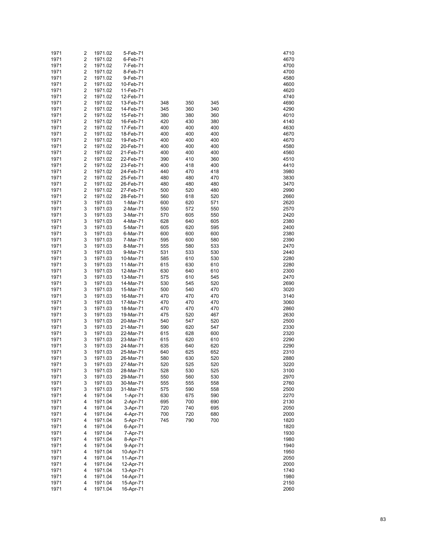| 1971         | 2      | 1971.02            | 5-Feb-71               |            |            |            | 4710         |
|--------------|--------|--------------------|------------------------|------------|------------|------------|--------------|
| 1971         | 2      | 1971.02            | 6-Feb-71               |            |            |            | 4670         |
| 1971         | 2      | 1971.02            | 7-Feb-71               |            |            |            | 4700         |
| 1971         | 2      | 1971.02            | 8-Feb-71               |            |            |            | 4700         |
| 1971         | 2      | 1971.02            | 9-Feb-71               |            |            |            | 4580         |
| 1971         | 2      | 1971.02            | 10-Feb-71              |            |            |            | 4600         |
| 1971         | 2      | 1971.02            | 11-Feb-71              |            |            |            | 4620         |
| 1971         | 2      | 1971.02            | 12-Feb-71              |            |            |            | 4740         |
| 1971         | 2      | 1971.02            | 13-Feb-71              | 348        | 350        | 345        | 4690         |
| 1971         | 2      | 1971.02            | 14-Feb-71              | 345        | 360        | 340        | 4290         |
| 1971         | 2      | 1971.02            | 15-Feb-71              | 380        | 380        | 360        | 4010         |
| 1971         | 2      | 1971.02            | 16-Feb-71              | 420        | 430        | 380        | 4140         |
| 1971         | 2      | 1971.02            | 17-Feb-71              | 400        | 400        | 400        | 4630         |
| 1971<br>1971 | 2<br>2 | 1971.02<br>1971.02 | 18-Feb-71              | 400<br>400 | 400<br>400 | 400<br>400 | 4670<br>4670 |
| 1971         | 2      | 1971.02            | 19-Feb-71<br>20-Feb-71 | 400        | 400        | 400        | 4580         |
| 1971         | 2      | 1971.02            | 21-Feb-71              | 400        | 400        | 400        | 4560         |
| 1971         | 2      | 1971.02            | 22-Feb-71              | 390        | 410        | 360        | 4510         |
| 1971         | 2      | 1971.02            | 23-Feb-71              | 400        | 418        | 400        | 4410         |
| 1971         | 2      | 1971.02            | 24-Feb-71              | 440        | 470        | 418        | 3980         |
| 1971         | 2      | 1971.02            | 25-Feb-71              | 480        | 480        | 470        | 3830         |
| 1971         | 2      | 1971.02            | 26-Feb-71              | 480        | 480        | 480        | 3470         |
| 1971         | 2      | 1971.02            | 27-Feb-71              | 500        | 520        | 480        | 2990         |
| 1971         | 2      | 1971.02            | 28-Feb-71              | 560        | 618        | 520        | 2660         |
| 1971         | 3      | 1971.03            | 1-Mar-71               | 600        | 620        | 571        | 2620         |
| 1971         | 3      | 1971.03            | 2-Mar-71               | 550        | 572        | 550        | 2570         |
| 1971         | 3      | 1971.03            | 3-Mar-71               | 570        | 605        | 550        | 2420         |
| 1971         | 3      | 1971.03            | 4-Mar-71               | 628        | 640        | 605        | 2380         |
| 1971         | 3      | 1971.03            | 5-Mar-71               | 605        | 620        | 595        | 2400         |
| 1971         | 3      | 1971.03            | 6-Mar-71               | 600        | 600        | 600        | 2380         |
| 1971         | 3      | 1971.03            | 7-Mar-71               | 595        | 600        | 580        | 2390         |
| 1971         | 3      | 1971.03            | 8-Mar-71               | 555        | 580        | 533        | 2470         |
| 1971         | 3      | 1971.03            | 9-Mar-71               | 531        | 533        | 530        | 2440         |
| 1971         | 3      | 1971.03            | 10-Mar-71              | 585        | 610        | 530        | 2280         |
| 1971         | 3      | 1971.03            | 11-Mar-71              | 615        | 630        | 610        | 2280         |
| 1971<br>1971 | 3<br>3 | 1971.03<br>1971.03 | 12-Mar-71<br>13-Mar-71 | 630<br>575 | 640<br>610 | 610<br>545 | 2300<br>2470 |
| 1971         | 3      | 1971.03            | 14-Mar-71              | 530        | 545        | 520        | 2690         |
| 1971         | 3      | 1971.03            | 15-Mar-71              | 500        | 540        | 470        | 3020         |
| 1971         | 3      | 1971.03            | 16-Mar-71              | 470        | 470        | 470        | 3140         |
| 1971         | 3      | 1971.03            | 17-Mar-71              | 470        | 470        | 470        | 3060         |
| 1971         | 3      | 1971.03            | 18-Mar-71              | 470        | 470        | 470        | 2860         |
| 1971         | 3      | 1971.03            | 19-Mar-71              | 475        | 520        | 467        | 2630         |
| 1971         | 3      | 1971.03            | 20-Mar-71              | 540        | 547        | 520        | 2500         |
| 1971         | 3      | 1971.03            | 21-Mar-71              | 590        | 620        | 547        | 2330         |
| 1971         | 3      | 1971.03            | 22-Mar-71              | 615        | 628        | 600        | 2320         |
| 1971         | 3      | 1971.03            | 23-Mar-71              | 615        | 620        | 610        | 2290         |
| 1971         | 3      | 1971.03            | 24-Mar-71              | 635        | 640        | 620        | 2290         |
| 1971         | 3      | 1971.03            | 25-Mar-71              | 640        | 625        | 652        | 2310         |
| 1971         | 3      | 1971.03            | 26-Mar-71              | 580        | 630        | 520        | 2880         |
| 1971         | 3      | 1971.03            | 27-Mar-71              | 520        | 525        | 520        | 3220         |
| 1971         | 3      | 1971.03            | 28-Mar-71              | 528        | 530        | 525        | 3100         |
| 1971         | 3      | 1971.03            | 29-Mar-71              | 550        | 560        | 530        | 2970         |
| 1971         | 3      | 1971.03            | 30-Mar-71              | 555        | 555        | 558        | 2760         |
| 1971         | 3      | 1971.03            | 31-Mar-71              | 575        | 590        | 558        | 2500         |
| 1971         | 4      | 1971.04            | 1-Apr-71               | 630        | 675        | 590        | 2270         |
| 1971<br>1971 | 4<br>4 | 1971.04<br>1971.04 | 2-Apr-71<br>3-Apr-71   | 695        | 700<br>740 | 690<br>695 | 2130<br>2050 |
| 1971         | 4      | 1971.04            | 4-Apr-71               | 720<br>700 | 720        | 680        | 2000         |
| 1971         | 4      | 1971.04            | 5-Apr-71               | 745        | 790        | 700        | 1820         |
| 1971         | 4      | 1971.04            | 6-Apr-71               |            |            |            | 1820         |
| 1971         | 4      | 1971.04            | 7-Apr-71               |            |            |            | 1930         |
| 1971         | 4      | 1971.04            | 8-Apr-71               |            |            |            | 1980         |
| 1971         | 4      | 1971.04            | 9-Apr-71               |            |            |            | 1940         |
| 1971         | 4      | 1971.04            | 10-Apr-71              |            |            |            | 1950         |
| 1971         | 4      | 1971.04            | 11-Apr-71              |            |            |            | 2050         |
| 1971         | 4      | 1971.04            | 12-Apr-71              |            |            |            | 2000         |
| 1971         | 4      | 1971.04            | 13-Apr-71              |            |            |            | 1740         |
| 1971         | 4      | 1971.04            | 14-Apr-71              |            |            |            | 1980         |
| 1971         | 4      | 1971.04            | 15-Apr-71              |            |            |            | 2150         |
| 1971         | 4      | 1971.04            | 16-Apr-71              |            |            |            | 2060         |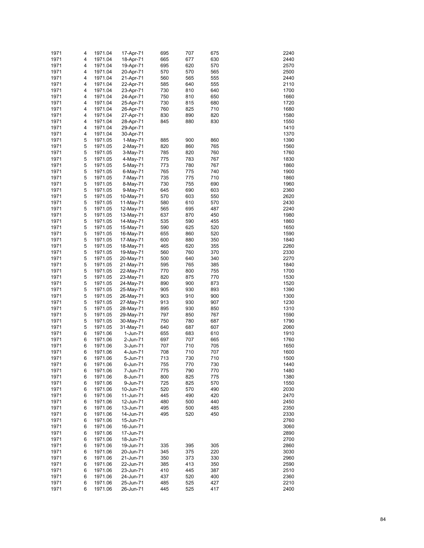| 1971         | 4      | 1971.04            | 17-Apr-71              | 695        | 707        | 675        | 2240         |
|--------------|--------|--------------------|------------------------|------------|------------|------------|--------------|
| 1971         | 4      | 1971.04            | 18-Apr-71              | 665        | 677        | 630        | 2440         |
| 1971         | 4      | 1971.04            | 19-Apr-71              | 695        | 620        | 570        | 2570         |
| 1971         | 4      | 1971.04            | 20-Apr-71              | 570        | 570        | 565        | 2500         |
| 1971         | 4      | 1971.04            | 21-Apr-71              | 560        | 565        | 555        | 2440         |
| 1971         | 4      | 1971.04            | 22-Apr-71              | 585        | 640        | 555        | 2110         |
| 1971         | 4      | 1971.04            | 23-Apr-71              | 730        | 810        | 640        | 1700         |
| 1971         | 4      | 1971.04            | 24-Apr-71              | 750        | 810        | 650        | 1660         |
| 1971         | 4      | 1971.04            | 25-Apr-71              | 730        | 815        | 680        | 1720         |
| 1971         | 4      | 1971.04            | 26-Apr-71              | 760        | 825        | 710        | 1680         |
| 1971         | 4      | 1971.04            | 27-Apr-71              | 830        | 890        | 820        | 1580         |
| 1971         | 4      | 1971.04            | 28-Apr-71              | 845        | 880        | 830        | 1550         |
| 1971         | 4      | 1971.04            | 29-Apr-71              |            |            |            | 1410         |
| 1971         | 4      | 1971.04            | 30-Apr-71              |            |            |            | 1370         |
| 1971         | 5      | 1971.05            | $1-May-71$             | 885        | 900        | 860        | 1390         |
| 1971         | 5      | 1971.05            | 2-May-71               | 820        | 860        | 765        | 1560         |
| 1971         | 5      | 1971.05            | $3-May-71$             | 785        | 820        | 760        | 1760         |
| 1971         | 5      | 1971.05            | 4-May-71               | 775        | 783        | 767        | 1830         |
| 1971         | 5      | 1971.05            | 5-May-71               | 773        | 780        | 767        | 1860         |
| 1971         | 5      | 1971.05            | 6-May-71               | 765        | 775        | 740        | 1900         |
| 1971<br>1971 | 5<br>5 | 1971.05            | 7-May-71               | 735        | 775        | 710        | 1860         |
|              | 5      | 1971.05            | 8-May-71               | 730        | 755        | 690        | 1960         |
| 1971<br>1971 | 5      | 1971.05<br>1971.05 | 9-May-71               | 645<br>570 | 690<br>603 | 603<br>550 | 2360<br>2620 |
| 1971         | 5      | 1971.05            | 10-May-71<br>11-May-71 | 580        | 610        | 570        | 2430         |
| 1971         | 5      | 1971.05            | 12-May-71              | 565        | 695        | 487        | 2240         |
| 1971         | 5      | 1971.05            | 13-May-71              | 637        | 870        | 450        | 1980         |
| 1971         | 5      | 1971.05            | 14-May-71              | 535        | 590        | 455        | 1860         |
| 1971         | 5      | 1971.05            | 15-May-71              | 590        | 625        | 520        | 1650         |
| 1971         | 5      | 1971.05            | 16-May-71              | 655        | 860        | 520        | 1590         |
| 1971         | 5      | 1971.05            | 17-May-71              | 600        | 880        | 350        | 1840         |
| 1971         | 5      | 1971.05            | 18-May-71              | 465        | 620        | 355        | 2260         |
| 1971         | 5      | 1971.05            | 19-May-71              | 560        | 760        | 370        | 2330         |
| 1971         | 5      | 1971.05            | 20-May-71              | 500        | 640        | 340        | 2270         |
| 1971         | 5      | 1971.05            | 21-May-71              | 595        | 765        | 385        | 1840         |
| 1971         | 5      | 1971.05            | 22-May-71              | 770        | 800        | 755        | 1700         |
| 1971         | 5      | 1971.05            | 23-May-71              | 820        | 875        | 770        | 1530         |
| 1971         | 5      | 1971.05            | 24-May-71              | 890        | 900        | 873        | 1520         |
| 1971         | 5      | 1971.05            | 25-May-71              | 905        | 930        | 893        | 1390         |
| 1971         | 5      | 1971.05            | 26-May-71              | 903        | 910        | 900        | 1300         |
| 1971         | 5      | 1971.05            | 27-May-71              | 913        | 930        | 907        | 1230         |
| 1971         | 5      | 1971.05            | 28-May-71              | 895        | 930        | 850        | 1310         |
| 1971         | 5      | 1971.05            | 29-May-71              | 797        | 850        | 767        | 1590         |
| 1971         | 5      | 1971.05            | 30-May-71              | 750        | 780        | 687        | 1790         |
| 1971         | 5      | 1971.05            | 31-May-71              | 640        | 687        | 607        | 2060         |
| 1971         | 6      | 1971.06            | 1-Jun-71               | 655        | 683        | 610        | 1910         |
| 1971<br>1971 | 6<br>6 | 1971.06<br>1971.06 | 2-Jun-71               | 697<br>707 | 707<br>710 | 665<br>705 | 1760<br>1650 |
| 1971         | 6      | 1971.06            | 3-Jun-71<br>4-Jun-71   | 708        | 710        | 707        | 1600         |
| 1971         | 6      | 1971.06            | 5-Jun-71               | 713        | 730        | 710        | 1500         |
| 1971         | 6      | 1971.06            | 6-Jun-71               | 755        | 770        | 730        | 1440         |
| 1971         | 6      | 1971.06            | 7-Jun-71               | 775        | 790        | 770        | 1480         |
| 1971         | 6      | 1971.06            | 8-Jun-71               | 800        | 825        | 775        | 1380         |
| 1971         | 6      | 1971.06            | 9-Jun-71               | 725        | 825        | 570        | 1550         |
| 1971         | 6      | 1971.06            | 10-Jun-71              | 520        | 570        | 490        | 2030         |
| 1971         | 6      | 1971.06            | 11-Jun-71              | 445        | 490        | 420        | 2470         |
| 1971         | 6      | 1971.06            | 12-Jun-71              | 480        | 500        | 440        | 2450         |
| 1971         | 6      | 1971.06            | 13-Jun-71              | 495        | 500        | 485        | 2350         |
| 1971         | 6      | 1971.06            | 14-Jun-71              | 495        | 520        | 450        | 2330         |
| 1971         | 6      | 1971.06            | 15-Jun-71              |            |            |            | 2760         |
| 1971         | 6      | 1971.06            | 16-Jun-71              |            |            |            | 3060         |
| 1971         | 6      | 1971.06            | 17-Jun-71              |            |            |            | 2890         |
| 1971         | 6      | 1971.06            | 18-Jun-71              |            |            |            | 2700         |
| 1971         | 6      | 1971.06            | 19-Jun-71              | 335        | 395        | 305        | 2860         |
| 1971         | 6      | 1971.06            | 20-Jun-71              | 345        | 375        | 220        | 3030         |
| 1971         | 6      | 1971.06            | 21-Jun-71              | 350        | 373        | 330        | 2960         |
| 1971         | 6      | 1971.06            | 22-Jun-71              | 385        | 413        | 350        | 2590         |
| 1971         | 6      | 1971.06            | 23-Jun-71              | 410        | 445        | 387        | 2510         |
| 1971         | 6      | 1971.06            | 24-Jun-71              | 437        | 520        | 400        | 2360         |
| 1971<br>1971 | 6<br>6 | 1971.06<br>1971.06 | 25-Jun-71              | 485        | 525        | 427<br>417 | 2210<br>2400 |
|              |        |                    | 26-Jun-71              | 445        | 525        |            |              |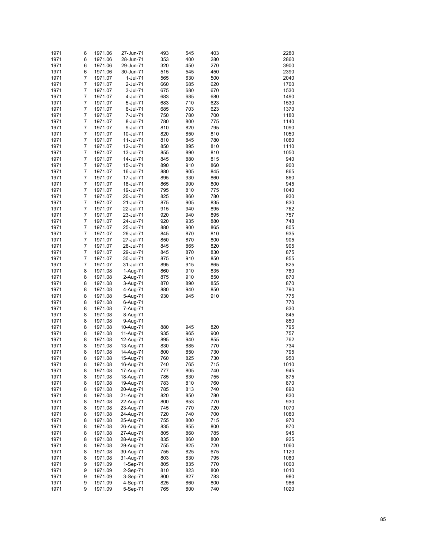| 1971         | 6      | 1971.06            | 27-Jun-71              | 493        | 545        | 403        | 2280         |
|--------------|--------|--------------------|------------------------|------------|------------|------------|--------------|
| 1971         | 6      | 1971.06            | 28-Jun-71              | 353        | 400        | 280        | 2860         |
| 1971         | 6      | 1971.06            | 29-Jun-71              | 320        | 450        | 270        | 3900         |
| 1971         | 6      | 1971.06            | 30-Jun-71              | 515        | 545        | 450        | 2390         |
| 1971         | 7      | 1971.07            | 1-Jul-71               | 565        | 630        | 500        | 2040         |
| 1971         | 7      | 1971.07            | 2-Jul-71               | 660        | 685        | 620        | 1700         |
| 1971         | 7      | 1971.07            | 3-Jul-71               | 675        | 680        | 670        | 1530         |
| 1971         | 7      | 1971.07            | 4-Jul-71               | 683        | 685        | 680        | 1490         |
| 1971         | 7      | 1971.07            | 5-Jul-71               | 683        | 710        | 623        | 1530         |
| 1971         | 7      | 1971.07            | 6-Jul-71               | 685        | 703        | 623        | 1370         |
| 1971         | 7      | 1971.07            | 7-Jul-71               | 750        | 780        | 700        | 1180         |
| 1971         | 7      | 1971.07            | 8-Jul-71               | 780        | 800        | 775        | 1140         |
| 1971         | 7      | 1971.07            | 9-Jul-71               | 810        | 820        | 795        | 1090         |
| 1971         | 7      | 1971.07            | 10-Jul-71              | 820        | 850        | 810        | 1050         |
| 1971         | 7      | 1971.07            | 11-Jul-71              | 810        | 845        | 780        | 1080         |
| 1971         | 7      | 1971.07            | 12-Jul-71              | 850        | 895        | 810        | 1110         |
| 1971         | 7      | 1971.07            | 13-Jul-71              | 855        | 890        | 810        | 1050         |
| 1971         | 7<br>7 | 1971.07            | 14-Jul-71              | 845        | 880        | 815        | 940          |
| 1971<br>1971 | 7      | 1971.07<br>1971.07 | 15-Jul-71<br>16-Jul-71 | 890<br>880 | 910<br>905 | 860<br>845 | 900<br>865   |
| 1971         | 7      | 1971.07            | 17-Jul-71              | 895        | 930        | 860        | 860          |
| 1971         | 7      | 1971.07            | 18-Jul-71              | 865        | 900        | 800        | 945          |
| 1971         | 7      | 1971.07            | 19-Jul-71              | 795        | 810        | 775        | 1040         |
| 1971         | 7      | 1971.07            | 20-Jul-71              | 825        | 860        | 780        | 930          |
| 1971         | 7      | 1971.07            | 21-Jul-71              | 875        | 905        | 835        | 830          |
| 1971         | 7      | 1971.07            | 22-Jul-71              | 915        | 940        | 895        | 762          |
| 1971         | 7      | 1971.07            | 23-Jul-71              | 920        | 940        | 895        | 757          |
| 1971         | 7      | 1971.07            | 24-Jul-71              | 920        | 935        | 880        | 748          |
| 1971         | 7      | 1971.07            | 25-Jul-71              | 880        | 900        | 865        | 805          |
| 1971         | 7      | 1971.07            | 26-Jul-71              | 845        | 870        | 810        | 935          |
| 1971         | 7      | 1971.07            | 27-Jul-71              | 850        | 870        | 800        | 905          |
| 1971         | 7      | 1971.07            | 28-Jul-71              | 845        | 865        | 820        | 905          |
| 1971         | 7      | 1971.07            | 29-Jul-71              | 845        | 870        | 830        | 875          |
| 1971         | 7      | 1971.07            | 30-Jul-71              | 875        | 910        | 850        | 855          |
| 1971         | 7      | 1971.07            | 31-Jul-71              | 895        | 915        | 865        | 825          |
| 1971         | 8      | 1971.08            | 1-Aug-71               | 860        | 910        | 835        | 780          |
| 1971         | 8      | 1971.08            | 2-Aug-71               | 875        | 910        | 850        | 870          |
| 1971<br>1971 | 8<br>8 | 1971.08            | 3-Aug-71               | 870<br>880 | 890<br>940 | 855<br>850 | 870<br>790   |
| 1971         | 8      | 1971.08<br>1971.08 | 4-Aug-71<br>5-Aug-71   | 930        | 945        | 910        | 775          |
| 1971         | 8      | 1971.08            | 6-Aug-71               |            |            |            | 770          |
| 1971         | 8      | 1971.08            | 7-Aug-71               |            |            |            | 830          |
| 1971         | 8      | 1971.08            | 8-Aug-71               |            |            |            | 845          |
| 1971         | 8      | 1971.08            | 9-Aug-71               |            |            |            | 850          |
| 1971         | 8      | 1971.08            | 10-Aug-71              | 880        | 945        | 820        | 795          |
| 1971         | 8      | 1971.08            | 11-Aug-71              | 935        | 965        | 900        | 757          |
| 1971         | 8      | 1971.08            | 12-Aug-71              | 895        | 940        | 855        | 762          |
| 1971         | 8      | 1971.08            | 13-Aug-71              | 830        | 885        | 770        | 734          |
| 1971         | 8      | 1971.08            | 14-Aug-71              | 800        | 850        | 730        | 795          |
| 1971         | 8      | 1971.08            | 15-Aug-71              | 760        | 825        | 730        | 950          |
| 1971         | 8      | 1971.08            | 16-Aug-71              | 740        | 765        | 715        | 1010         |
| 1971         | 8      | 1971.08            | 17-Aug-71              | 777        | 805        | 740        | 945          |
| 1971         | 8      | 1971.08            | 18-Aug-71              | 785        | 830        | 755        | 875          |
| 1971         | 8      | 1971.08            | 19-Aug-71              | 783        | 810        | 760        | 870          |
| 1971         | 8      | 1971.08            | 20-Aug-71              | 785        | 813        | 740        | 890          |
| 1971         | 8      | 1971.08            | 21-Aug-71              | 820        | 850        | 780        | 830          |
| 1971         | 8      | 1971.08            | 22-Aug-71              | 800        | 853        | 770        | 930          |
| 1971<br>1971 | 8<br>8 | 1971.08<br>1971.08 | 23-Aug-71<br>24-Aug-71 | 745<br>720 | 770<br>740 | 720<br>700 | 1070<br>1080 |
| 1971         | 8      | 1971.08            | 25-Aug-71              | 755        | 800        | 715        | 970          |
| 1971         | 8      | 1971.08            | 26-Aug-71              | 835        | 855        | 800        | 870          |
| 1971         | 8      | 1971.08            | 27-Aug-71              | 805        | 860        | 785        | 945          |
| 1971         | 8      | 1971.08            | 28-Aug-71              | 835        | 860        | 800        | 925          |
| 1971         | 8      | 1971.08            | 29-Aug-71              | 755        | 825        | 720        | 1060         |
| 1971         | 8      | 1971.08            | 30-Aug-71              | 755        | 825        | 675        | 1120         |
| 1971         | 8      | 1971.08            | 31-Aug-71              | 803        | 830        | 795        | 1080         |
| 1971         | 9      | 1971.09            | 1-Sep-71               | 805        | 835        | 770        | 1000         |
| 1971         | 9      | 1971.09            | 2-Sep-71               | 810        | 823        | 800        | 1010         |
| 1971         | 9      | 1971.09            | 3-Sep-71               | 800        | 827        | 783        | 980          |
| 1971         | 9      | 1971.09            | 4-Sep-71               | 825        | 860        | 800        | 986          |
| 1971         | 9      | 1971.09            | 5-Sep-71               | 765        | 800        | 740        | 1020         |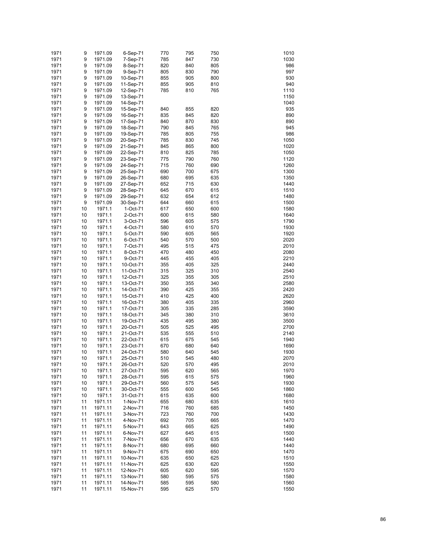| 1971 | 9  | 1971.09 | 6-Sep-71  | 770 | 795 | 750 | 1010 |
|------|----|---------|-----------|-----|-----|-----|------|
|      |    |         |           |     |     |     |      |
| 1971 | 9  | 1971.09 | 7-Sep-71  | 785 | 847 | 730 | 1030 |
| 1971 | 9  | 1971.09 | 8-Sep-71  | 820 | 840 | 805 | 986  |
| 1971 | 9  | 1971.09 | 9-Sep-71  | 805 | 830 | 790 | 997  |
| 1971 | 9  | 1971.09 | 10-Sep-71 | 855 | 905 | 800 | 930  |
| 1971 | 9  | 1971.09 | 11-Sep-71 | 855 | 905 | 810 | 940  |
|      |    |         |           |     |     |     |      |
| 1971 | 9  | 1971.09 | 12-Sep-71 | 785 | 810 | 765 | 1110 |
| 1971 | 9  | 1971.09 | 13-Sep-71 |     |     |     | 1150 |
| 1971 | 9  | 1971.09 | 14-Sep-71 |     |     |     | 1040 |
| 1971 | 9  | 1971.09 | 15-Sep-71 | 840 | 855 | 820 | 935  |
| 1971 | 9  |         |           | 835 |     |     | 890  |
|      |    | 1971.09 | 16-Sep-71 |     | 845 | 820 |      |
| 1971 | 9  | 1971.09 | 17-Sep-71 | 840 | 870 | 830 | 890  |
| 1971 | 9  | 1971.09 | 18-Sep-71 | 790 | 845 | 765 | 945  |
| 1971 | 9  | 1971.09 | 19-Sep-71 | 785 | 805 | 755 | 986  |
| 1971 | 9  | 1971.09 | 20-Sep-71 | 785 | 830 | 745 | 1050 |
| 1971 | 9  |         | 21-Sep-71 | 845 |     |     | 1020 |
|      |    | 1971.09 |           |     | 865 | 800 |      |
| 1971 | 9  | 1971.09 | 22-Sep-71 | 810 | 825 | 785 | 1050 |
| 1971 | 9  | 1971.09 | 23-Sep-71 | 775 | 790 | 760 | 1120 |
| 1971 | 9  | 1971.09 | 24-Sep-71 | 715 | 760 | 690 | 1260 |
| 1971 | 9  | 1971.09 | 25-Sep-71 | 690 | 700 | 675 | 1300 |
| 1971 | 9  |         |           |     |     |     | 1350 |
|      |    | 1971.09 | 26-Sep-71 | 680 | 695 | 635 |      |
| 1971 | 9  | 1971.09 | 27-Sep-71 | 652 | 715 | 630 | 1440 |
| 1971 | 9  | 1971.09 | 28-Sep-71 | 645 | 670 | 615 | 1510 |
| 1971 | 9  | 1971.09 | 29-Sep-71 | 632 | 654 | 612 | 1480 |
| 1971 | 9  | 1971.09 | 30-Sep-71 | 644 | 660 | 615 | 1500 |
|      |    |         |           |     |     |     |      |
| 1971 | 10 | 1971.1  | 1-Oct-71  | 617 | 650 | 600 | 1580 |
| 1971 | 10 | 1971.1  | 2-Oct-71  | 600 | 615 | 580 | 1640 |
| 1971 | 10 | 1971.1  | 3-Oct-71  | 596 | 605 | 575 | 1790 |
| 1971 | 10 | 1971.1  | 4-Oct-71  | 580 | 610 | 570 | 1930 |
| 1971 | 10 | 1971.1  | 5-Oct-71  | 590 | 605 | 565 | 1920 |
|      |    |         |           |     |     |     |      |
| 1971 | 10 | 1971.1  | 6-Oct-71  | 540 | 570 | 500 | 2020 |
| 1971 | 10 | 1971.1  | 7-Oct-71  | 495 | 515 | 475 | 2010 |
| 1971 | 10 | 1971.1  | 8-Oct-71  | 470 | 480 | 450 | 2080 |
| 1971 | 10 | 1971.1  | 9-Oct-71  | 445 | 455 | 405 | 2210 |
| 1971 | 10 | 1971.1  | 10-Oct-71 | 355 | 405 | 325 | 2440 |
|      |    |         |           |     |     |     |      |
| 1971 | 10 | 1971.1  | 11-Oct-71 | 315 | 325 | 310 | 2540 |
| 1971 | 10 | 1971.1  | 12-Oct-71 | 325 | 355 | 305 | 2510 |
| 1971 | 10 | 1971.1  | 13-Oct-71 | 350 | 355 | 340 | 2580 |
| 1971 | 10 | 1971.1  | 14-Oct-71 | 390 | 425 | 355 | 2420 |
| 1971 | 10 | 1971.1  | 15-Oct-71 | 410 | 425 | 400 | 2620 |
|      |    |         |           |     |     |     |      |
| 1971 | 10 | 1971.1  | 16-Oct-71 | 380 | 405 | 335 | 2960 |
| 1971 | 10 | 1971.1  | 17-Oct-71 | 305 | 335 | 285 | 3590 |
| 1971 | 10 | 1971.1  | 18-Oct-71 | 345 | 380 | 310 | 3610 |
| 1971 | 10 | 1971.1  | 19-Oct-71 | 435 | 495 | 380 | 3500 |
| 1971 | 10 | 1971.1  | 20-Oct-71 | 505 | 525 | 495 | 2700 |
|      |    | 1971.1  |           |     |     |     |      |
| 1971 | 10 |         | 21-Oct-71 | 535 | 555 | 510 | 2140 |
| 1971 | 10 | 1971.1  | 22-Oct-71 | 615 | 675 | 545 | 1940 |
| 1971 | 10 | 1971.1  | 23-Oct-71 | 670 | 680 | 640 | 1690 |
| 1971 | 10 | 1971.1  | 24-Oct-71 | 580 | 640 | 545 | 1930 |
| 1971 | 10 | 1971.1  | 25-Oct-71 | 510 | 545 | 480 | 2070 |
|      |    | 1971.1  |           | 520 | 570 | 495 | 2010 |
| 1971 | 10 |         | 26-Oct-71 |     |     |     |      |
| 1971 | 10 | 1971.1  | 27-Oct-71 | 595 | 620 | 565 | 1970 |
| 1971 | 10 | 1971.1  | 28-Oct-71 | 595 | 615 | 575 | 1960 |
| 1971 | 10 | 1971.1  | 29-Oct-71 | 560 | 575 | 545 | 1930 |
| 1971 | 10 | 1971.1  | 30-Oct-71 | 555 | 600 | 545 | 1860 |
| 1971 | 10 | 1971.1  |           | 615 | 635 | 600 | 1680 |
|      |    |         | 31-Oct-71 |     |     |     |      |
| 1971 | 11 | 1971.11 | 1-Nov-71  | 655 | 680 | 635 | 1610 |
| 1971 | 11 | 1971.11 | 2-Nov-71  | 716 | 760 | 685 | 1450 |
| 1971 | 11 | 1971.11 | 3-Nov-71  | 723 | 760 | 700 | 1430 |
| 1971 | 11 | 1971.11 | 4-Nov-71  | 692 | 705 | 665 | 1470 |
| 1971 | 11 | 1971.11 | 5-Nov-71  | 643 | 665 | 625 | 1490 |
|      |    |         |           |     |     |     |      |
| 1971 | 11 | 1971.11 | 6-Nov-71  | 627 | 645 | 615 | 1500 |
| 1971 | 11 | 1971.11 | 7-Nov-71  | 656 | 670 | 635 | 1440 |
| 1971 | 11 | 1971.11 | 8-Nov-71  | 680 | 695 | 660 | 1440 |
| 1971 | 11 | 1971.11 | 9-Nov-71  | 675 | 690 | 650 | 1470 |
| 1971 | 11 | 1971.11 | 10-Nov-71 | 635 | 650 | 625 | 1510 |
|      |    |         |           |     |     |     |      |
| 1971 | 11 | 1971.11 | 11-Nov-71 | 625 | 630 | 620 | 1550 |
| 1971 | 11 | 1971.11 | 12-Nov-71 | 605 | 620 | 595 | 1570 |
| 1971 | 11 | 1971.11 | 13-Nov-71 | 580 | 595 | 575 | 1580 |
| 1971 | 11 | 1971.11 | 14-Nov-71 | 585 | 595 | 580 | 1560 |
| 1971 | 11 | 1971.11 | 15-Nov-71 | 595 | 625 | 570 | 1550 |
|      |    |         |           |     |     |     |      |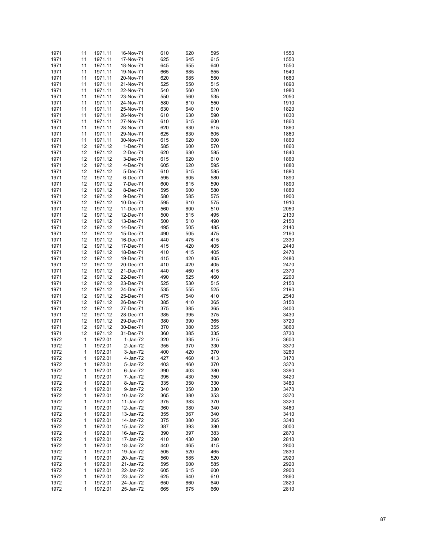| 1971 | 11           | 1971.11 | 16-Nov-71 | 610 | 620 | 595 | 1550 |
|------|--------------|---------|-----------|-----|-----|-----|------|
| 1971 | 11           | 1971.11 | 17-Nov-71 | 625 | 645 | 615 | 1550 |
| 1971 | 11           | 1971.11 | 18-Nov-71 | 645 | 655 | 640 | 1550 |
| 1971 | 11           | 1971.11 | 19-Nov-71 | 665 | 685 | 655 | 1540 |
| 1971 | 11           | 1971.11 | 20-Nov-71 | 620 | 685 | 550 | 1660 |
| 1971 | 11           | 1971.11 | 21-Nov-71 | 525 | 550 | 515 | 1890 |
| 1971 | 11           | 1971.11 | 22-Nov-71 | 540 | 560 | 520 | 1980 |
| 1971 | 11           | 1971.11 | 23-Nov-71 | 550 | 560 | 535 | 2050 |
| 1971 | 11           | 1971.11 | 24-Nov-71 | 580 | 610 | 550 | 1910 |
| 1971 | 11           | 1971.11 | 25-Nov-71 | 630 | 640 | 610 | 1820 |
| 1971 | 11           | 1971.11 | 26-Nov-71 | 610 | 630 | 590 | 1830 |
| 1971 | 11           | 1971.11 | 27-Nov-71 | 610 | 615 | 600 | 1860 |
| 1971 | 11           | 1971.11 | 28-Nov-71 | 620 | 630 | 615 | 1860 |
| 1971 | 11           | 1971.11 | 29-Nov-71 | 625 | 630 | 605 | 1860 |
| 1971 | 11           | 1971.11 | 30-Nov-71 | 615 | 620 | 600 | 1860 |
| 1971 | 12           | 1971.12 | 1-Dec-71  | 585 | 600 | 570 | 1860 |
| 1971 | 12           | 1971.12 | 2-Dec-71  | 620 | 630 | 585 | 1840 |
| 1971 | 12           | 1971.12 | 3-Dec-71  | 615 | 620 | 610 | 1860 |
| 1971 | 12           | 1971.12 | 4-Dec-71  | 605 | 620 | 595 | 1880 |
| 1971 | 12           | 1971.12 | 5-Dec-71  | 610 | 615 | 585 | 1880 |
| 1971 | 12           | 1971.12 | 6-Dec-71  | 595 | 605 | 580 | 1890 |
| 1971 | 12           | 1971.12 | 7-Dec-71  | 600 | 615 | 590 | 1890 |
| 1971 | 12           | 1971.12 | 8-Dec-71  | 595 | 600 | 580 | 1880 |
| 1971 | 12           | 1971.12 | 9-Dec-71  | 580 | 585 | 575 | 1900 |
| 1971 | 12           | 1971.12 | 10-Dec-71 | 595 | 610 | 575 | 1910 |
| 1971 | 12           | 1971.12 | 11-Dec-71 | 560 | 600 | 510 | 2050 |
| 1971 | 12           | 1971.12 | 12-Dec-71 | 500 | 515 | 495 | 2130 |
| 1971 | 12           | 1971.12 | 13-Dec-71 | 500 | 510 | 490 | 2150 |
| 1971 | 12           | 1971.12 | 14-Dec-71 | 495 | 505 | 485 | 2140 |
| 1971 | 12           | 1971.12 | 15-Dec-71 | 490 | 505 | 475 | 2160 |
| 1971 | 12           | 1971.12 | 16-Dec-71 | 440 | 475 | 415 | 2330 |
| 1971 | 12           | 1971.12 | 17-Dec-71 | 415 | 420 | 405 | 2440 |
| 1971 | 12           | 1971.12 | 18-Dec-71 | 410 | 415 | 405 | 2470 |
| 1971 | 12           | 1971.12 | 19-Dec-71 | 415 | 420 | 405 | 2480 |
| 1971 | 12           | 1971.12 | 20-Dec-71 | 410 | 420 | 405 | 2470 |
| 1971 | 12           | 1971.12 | 21-Dec-71 | 440 | 460 | 415 | 2370 |
| 1971 | 12           | 1971.12 | 22-Dec-71 | 490 | 525 | 460 | 2200 |
| 1971 | 12           | 1971.12 | 23-Dec-71 | 525 | 530 | 515 | 2150 |
| 1971 | 12           | 1971.12 | 24-Dec-71 | 535 | 555 | 525 | 2190 |
| 1971 | 12           | 1971.12 | 25-Dec-71 | 475 | 540 | 410 | 2540 |
| 1971 | 12           | 1971.12 | 26-Dec-71 | 385 | 410 | 365 | 3150 |
| 1971 | 12           | 1971.12 | 27-Dec-71 | 375 | 385 | 365 | 3400 |
| 1971 | 12           | 1971.12 | 28-Dec-71 | 385 | 395 | 375 | 3430 |
| 1971 | 12           | 1971.12 | 29-Dec-71 | 380 | 390 | 365 | 3720 |
| 1971 | 12           | 1971.12 | 30-Dec-71 | 370 | 380 | 355 | 3860 |
| 1971 | 12           | 1971.12 | 31-Dec-71 | 360 | 385 | 335 | 3730 |
| 1972 | $\mathbf{1}$ | 1972.01 | 1-Jan-72  | 320 | 335 | 315 | 3600 |
| 1972 | 1            | 1972.01 | 2-Jan-72  | 355 | 370 | 330 | 3370 |
| 1972 | 1            | 1972.01 | 3-Jan-72  | 400 | 420 | 370 | 3260 |
| 1972 | 1            | 1972.01 | 4-Jan-72  | 427 | 460 | 413 | 3170 |
| 1972 | 1            | 1972.01 | 5-Jan-72  | 403 | 460 | 370 | 3370 |
| 1972 | 1            | 1972.01 | 6-Jan-72  | 390 | 403 | 380 | 3390 |
| 1972 | 1            | 1972.01 | 7-Jan-72  | 395 | 430 | 350 | 3420 |
| 1972 | 1            | 1972.01 | 8-Jan-72  | 335 | 350 | 330 | 3480 |
| 1972 | 1            | 1972.01 | 9-Jan-72  | 340 | 350 | 330 | 3470 |
| 1972 | 1            | 1972.01 | 10-Jan-72 | 365 | 380 | 353 | 3370 |
| 1972 | 1            | 1972.01 | 11-Jan-72 | 375 | 383 | 370 | 3320 |
| 1972 | 1            | 1972.01 | 12-Jan-72 | 360 | 380 | 340 | 3460 |
| 1972 | 1            | 1972.01 | 13-Jan-72 | 355 | 367 | 340 | 3410 |
| 1972 | 1            | 1972.01 | 14-Jan-72 | 375 | 380 | 365 | 3340 |
| 1972 | 1            | 1972.01 | 15-Jan-72 | 387 | 393 | 380 | 3000 |
| 1972 | 1            | 1972.01 | 16-Jan-72 | 390 | 397 | 383 | 2870 |
| 1972 | 1            | 1972.01 | 17-Jan-72 | 410 | 430 | 390 | 2810 |
| 1972 | 1            | 1972.01 | 18-Jan-72 | 440 | 465 | 415 | 2800 |
| 1972 | 1            | 1972.01 | 19-Jan-72 | 505 | 520 | 465 | 2830 |
| 1972 | 1            | 1972.01 | 20-Jan-72 | 560 | 585 | 520 | 2920 |
| 1972 | 1            | 1972.01 | 21-Jan-72 | 595 | 600 | 585 | 2920 |
| 1972 | 1            | 1972.01 | 22-Jan-72 | 605 | 615 | 600 | 2900 |
| 1972 | $\mathbf{1}$ | 1972.01 | 23-Jan-72 | 625 | 640 | 610 | 2860 |
| 1972 | 1            | 1972.01 | 24-Jan-72 | 650 | 660 | 640 | 2820 |
| 1972 | 1            | 1972.01 | 25-Jan-72 | 665 | 675 | 660 | 2810 |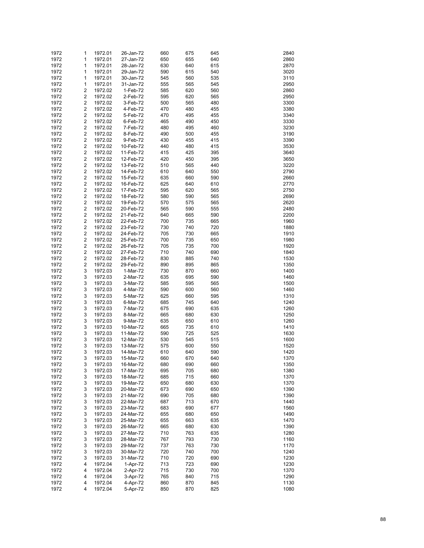| 1972         | 1                       | 1972.01            | 26-Jan-72              | 660        | 675        | 645        | 2840         |
|--------------|-------------------------|--------------------|------------------------|------------|------------|------------|--------------|
| 1972         | 1                       | 1972.01            | 27-Jan-72              | 650        | 655        | 640        | 2860         |
| 1972         | 1                       | 1972.01            | 28-Jan-72              | 630        | 640        | 615        | 2870         |
| 1972         | 1                       | 1972.01            | 29-Jan-72              | 590        | 615        | 540        | 3020         |
| 1972         | 1                       | 1972.01            | 30-Jan-72              | 545        | 560        | 535        | 3110         |
| 1972         | 1                       | 1972.01            | 31-Jan-72              | 555        | 565        | 545        | 2950         |
| 1972         | 2                       | 1972.02            | 1-Feb-72               | 585        | 620        | 560        | 2860         |
| 1972         | 2                       | 1972.02            | 2-Feb-72               | 595        | 620        | 565        | 2950         |
| 1972         | 2                       | 1972.02            | 3-Feb-72               | 500        | 565        | 480        | 3300         |
| 1972         | 2                       | 1972.02            | 4-Feb-72               | 470        | 480        | 455        | 3380         |
| 1972         | 2                       | 1972.02            | 5-Feb-72               | 470        | 495        | 455        | 3340         |
| 1972         | 2                       | 1972.02            | 6-Feb-72               | 465        | 490        | 450        | 3330         |
| 1972         | 2                       | 1972.02            | 7-Feb-72               | 480        | 495        | 460        | 3230         |
| 1972         | 2                       | 1972.02            | 8-Feb-72               | 490        | 500        | 455        | 3190         |
| 1972         | 2                       | 1972.02            | 9-Feb-72               | 430        | 455        | 415        | 3390         |
| 1972         | 2                       | 1972.02            | 10-Feb-72              | 440        | 480        | 415        | 3530         |
| 1972         | 2                       | 1972.02            | 11-Feb-72              | 415        | 425        | 395        | 3640         |
| 1972         | 2                       | 1972.02            | 12-Feb-72              | 420        | 450        | 395        | 3650         |
| 1972         | 2                       | 1972.02            | 13-Feb-72              | 510        | 565        | 440        | 3220         |
| 1972         | 2                       | 1972.02            | 14-Feb-72              | 610        | 640        | 550        | 2790         |
| 1972         | 2<br>2                  | 1972.02            | 15-Feb-72              | 635        | 660        | 590        | 2660         |
| 1972<br>1972 | 2                       | 1972.02<br>1972.02 | 16-Feb-72<br>17-Feb-72 | 625<br>595 | 640<br>620 | 610<br>565 | 2770<br>2750 |
| 1972         | 2                       | 1972.02            | 18-Feb-72              | 580        | 590        | 565        | 2690         |
| 1972         | 2                       | 1972.02            | 19-Feb-72              | 570        | 575        | 565        | 2620         |
| 1972         | 2                       | 1972.02            | 20-Feb-72              | 565        | 590        | 555        | 2480         |
| 1972         | 2                       | 1972.02            | 21-Feb-72              | 640        | 665        | 590        | 2200         |
| 1972         | 2                       | 1972.02            | 22-Feb-72              | 700        | 735        | 665        | 1960         |
| 1972         | 2                       | 1972.02            | 23-Feb-72              | 730        | 740        | 720        | 1880         |
| 1972         | 2                       | 1972.02            | 24-Feb-72              | 705        | 730        | 665        | 1910         |
| 1972         | $\overline{\mathbf{c}}$ | 1972.02            | 25-Feb-72              | 700        | 735        | 650        | 1980         |
| 1972         | 2                       | 1972.02            | 26-Feb-72              | 705        | 735        | 700        | 1920         |
| 1972         | 2                       | 1972.02            | 27-Feb-72              | 710        | 740        | 690        | 1840         |
| 1972         | $\overline{\mathbf{c}}$ | 1972.02            | 28-Feb-72              | 830        | 885        | 740        | 1530         |
| 1972         | $\overline{\mathbf{c}}$ | 1972.02            | 29-Feb-72              | 890        | 895        | 865        | 1350         |
| 1972         | 3                       | 1972.03            | 1-Mar-72               | 730        | 870        | 660        | 1400         |
| 1972         | 3                       | 1972.03            | 2-Mar-72               | 635        | 695        | 590        | 1460         |
| 1972         | 3                       | 1972.03            | 3-Mar-72               | 585        | 595        | 565        | 1500         |
| 1972         | 3                       | 1972.03            | 4-Mar-72               | 590        | 600        | 560        | 1460         |
| 1972         | 3                       | 1972.03            | 5-Mar-72               | 625        | 660        | 595        | 1310         |
| 1972         | 3                       | 1972.03            | 6-Mar-72               | 685        | 745        | 640        | 1240         |
| 1972         | 3                       | 1972.03            | 7-Mar-72               | 675        | 690        | 635        | 1260         |
| 1972         | 3                       | 1972.03            | 8-Mar-72               | 665        | 680        | 630        | 1250         |
| 1972         | 3                       | 1972.03            | 9-Mar-72               | 635        | 650        | 610        | 1260         |
| 1972         | 3                       | 1972.03            | 10-Mar-72              | 665        | 735        | 610        | 1410         |
| 1972         | 3                       | 1972.03            | 11-Mar-72              | 590        | 725        | 525        | 1630         |
| 1972         | 3                       | 1972.03            | 12-Mar-72              | 530        | 545        | 515        | 1600         |
| 1972         | 3<br>3                  | 1972.03            | 13-Mar-72<br>14-Mar-72 | 575        | 600        | 550        | 1520         |
| 1972<br>1972 | 3                       | 1972.03<br>1972.03 | 15-Mar-72              | 610<br>660 | 640<br>670 | 590<br>640 | 1420<br>1370 |
| 1972         | 3                       | 1972.03            | 16-Mar-72              | 680        | 690        | 660        | 1350         |
| 1972         | 3                       | 1972.03            | 17-Mar-72              | 695        | 705        | 680        | 1380         |
| 1972         | 3                       | 1972.03            | 18-Mar-72              | 685        | 715        | 660        | 1370         |
| 1972         | 3                       | 1972.03            | 19-Mar-72              | 650        | 680        | 630        | 1370         |
| 1972         | 3                       | 1972.03            | 20-Mar-72              | 673        | 690        | 650        | 1390         |
| 1972         | 3                       | 1972.03            | 21-Mar-72              | 690        | 705        | 680        | 1390         |
| 1972         | 3                       | 1972.03            | 22-Mar-72              | 687        | 713        | 670        | 1440         |
| 1972         | 3                       | 1972.03            | 23-Mar-72              | 683        | 690        | 677        | 1560         |
| 1972         | 3                       | 1972.03            | 24-Mar-72              | 655        | 680        | 650        | 1490         |
| 1972         | 3                       | 1972.03            | 25-Mar-72              | 655        | 663        | 635        | 1470         |
| 1972         | 3                       | 1972.03            | 26-Mar-72              | 665        | 680        | 630        | 1390         |
| 1972         | 3                       | 1972.03            | 27-Mar-72              | 710        | 763        | 635        | 1280         |
| 1972         | 3                       | 1972.03            | 28-Mar-72              | 767        | 793        | 730        | 1160         |
| 1972         | 3                       | 1972.03            | 29-Mar-72              | 737        | 763        | 730        | 1170         |
| 1972         | 3                       | 1972.03            | 30-Mar-72              | 720        | 740        | 700        | 1240         |
| 1972         | 3                       | 1972.03            | 31-Mar-72              | 710        | 720        | 690        | 1230         |
| 1972         | 4                       | 1972.04            | 1-Apr-72               | 713        | 723        | 690        | 1230         |
| 1972         | 4                       | 1972.04            | 2-Apr-72               | 715        | 730        | 700        | 1370         |
| 1972         | 4                       | 1972.04            | 3-Apr-72               | 765        | 840        | 715        | 1290         |
| 1972<br>1972 | 4<br>4                  | 1972.04<br>1972.04 | 4-Apr-72<br>5-Apr-72   | 860<br>850 | 870<br>870 | 845<br>825 | 1130<br>1080 |
|              |                         |                    |                        |            |            |            |              |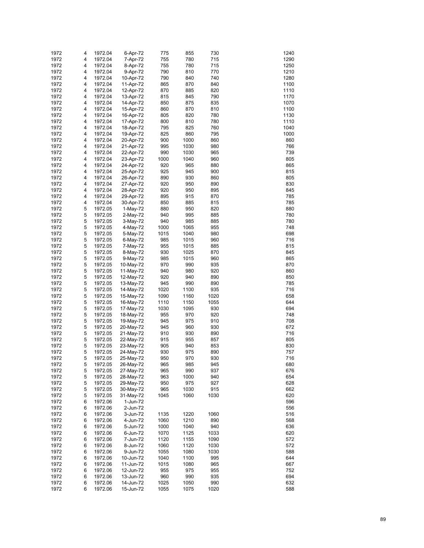| 1972 | 4 | 1972.04 | 6-Apr-72  | 775  | 855  | 730  | 1240 |
|------|---|---------|-----------|------|------|------|------|
| 1972 | 4 | 1972.04 | 7-Apr-72  | 755  | 780  | 715  | 1290 |
| 1972 | 4 | 1972.04 | 8-Apr-72  | 755  | 780  | 715  | 1250 |
|      |   |         |           |      |      |      | 1210 |
| 1972 | 4 | 1972.04 | 9-Apr-72  | 790  | 810  | 770  |      |
| 1972 | 4 | 1972.04 | 10-Apr-72 | 790  | 840  | 740  | 1280 |
| 1972 | 4 | 1972.04 | 11-Apr-72 | 865  | 870  | 840  | 1100 |
| 1972 | 4 | 1972.04 | 12-Apr-72 | 870  | 885  | 820  | 1110 |
| 1972 | 4 | 1972.04 | 13-Apr-72 | 815  | 845  | 790  | 1170 |
| 1972 | 4 | 1972.04 | 14-Apr-72 | 850  | 875  | 835  | 1070 |
| 1972 | 4 | 1972.04 | 15-Apr-72 | 860  | 870  | 810  | 1100 |
| 1972 | 4 | 1972.04 | 16-Apr-72 | 805  | 820  | 780  | 1130 |
| 1972 | 4 | 1972.04 | 17-Apr-72 | 800  | 810  | 780  | 1110 |
| 1972 | 4 | 1972.04 | 18-Apr-72 | 795  | 825  | 760  | 1040 |
| 1972 | 4 | 1972.04 | 19-Apr-72 | 825  | 860  | 795  | 1000 |
| 1972 | 4 | 1972.04 | 20-Apr-72 | 900  | 1000 | 860  | 860  |
|      | 4 |         | 21-Apr-72 | 995  |      | 980  | 766  |
| 1972 |   | 1972.04 |           |      | 1030 |      |      |
| 1972 | 4 | 1972.04 | 22-Apr-72 | 990  | 1030 | 965  | 739  |
| 1972 | 4 | 1972.04 | 23-Apr-72 | 1000 | 1040 | 960  | 805  |
| 1972 | 4 | 1972.04 | 24-Apr-72 | 920  | 965  | 880  | 865  |
| 1972 | 4 | 1972.04 | 25-Apr-72 | 925  | 945  | 900  | 815  |
| 1972 | 4 | 1972.04 | 26-Apr-72 | 890  | 930  | 860  | 805  |
| 1972 | 4 | 1972.04 | 27-Apr-72 | 920  | 950  | 890  | 830  |
| 1972 | 4 | 1972.04 | 28-Apr-72 | 920  | 950  | 895  | 845  |
| 1972 | 4 | 1972.04 | 29-Apr-72 | 895  | 915  | 870  | 785  |
| 1972 | 4 | 1972.04 | 30-Apr-72 | 850  | 885  | 815  | 785  |
| 1972 | 5 | 1972.05 | 1-May-72  | 880  | 950  | 820  | 880  |
| 1972 | 5 | 1972.05 | 2-May-72  | 940  | 995  | 885  | 780  |
| 1972 | 5 | 1972.05 |           | 940  | 985  | 885  | 780  |
|      |   |         | 3-May-72  |      |      |      |      |
| 1972 | 5 | 1972.05 | 4-May-72  | 1000 | 1065 | 955  | 748  |
| 1972 | 5 | 1972.05 | 5-May-72  | 1015 | 1040 | 980  | 698  |
| 1972 | 5 | 1972.05 | 6-May-72  | 985  | 1015 | 960  | 716  |
| 1972 | 5 | 1972.05 | 7-May-72  | 955  | 1015 | 885  | 815  |
| 1972 | 5 | 1972.05 | 8-May-72  | 930  | 1025 | 870  | 845  |
| 1972 | 5 | 1972.05 | 9-May-72  | 985  | 1015 | 960  | 865  |
| 1972 | 5 | 1972.05 | 10-May-72 | 970  | 990  | 935  | 870  |
| 1972 | 5 | 1972.05 | 11-May-72 | 940  | 980  | 920  | 860  |
| 1972 | 5 | 1972.05 | 12-May-72 | 920  | 940  | 890  | 850  |
| 1972 | 5 | 1972.05 | 13-May-72 | 945  | 990  | 890  | 785  |
| 1972 | 5 | 1972.05 | 14-May-72 | 1020 | 1100 | 935  | 716  |
| 1972 | 5 | 1972.05 | 15-May-72 | 1090 | 1160 | 1020 | 658  |
|      | 5 |         |           |      |      |      | 644  |
| 1972 |   | 1972.05 | 16-May-72 | 1110 | 1150 | 1055 |      |
| 1972 | 5 | 1972.05 | 17-May-72 | 1030 | 1095 | 930  | 694  |
| 1972 | 5 | 1972.05 | 18-May-72 | 955  | 970  | 920  | 748  |
| 1972 | 5 | 1972.05 | 19-May-72 | 945  | 975  | 910  | 708  |
| 1972 | 5 | 1972.05 | 20-May-72 | 945  | 960  | 930  | 672  |
| 1972 | 5 | 1972.05 | 21-May-72 | 910  | 930  | 890  | 716  |
| 1972 | 5 | 1972.05 | 22-May-72 | 915  | 955  | 857  | 805  |
| 1972 | 5 | 1972.05 | 23-May-72 | 905  | 940  | 853  | 830  |
| 1972 | 5 | 1972.05 | 24-May-72 | 930  | 975  | 890  | 757  |
| 1972 | 5 | 1972.05 | 25-May-72 | 950  | 970  | 930  | 716  |
| 1972 | 5 | 1972.05 | 26-May-72 | 965  | 985  | 945  | 680  |
| 1972 | 5 | 1972.05 | 27-May-72 | 965  | 990  | 937  | 676  |
| 1972 | 5 | 1972.05 | 28-May-72 | 963  | 1000 | 940  | 654  |
|      | 5 |         |           |      | 975  | 927  | 628  |
| 1972 |   | 1972.05 | 29-May-72 | 950  |      |      |      |
| 1972 | 5 | 1972.05 | 30-May-72 | 965  | 1030 | 915  | 662  |
| 1972 | 5 | 1972.05 | 31-May-72 | 1045 | 1060 | 1030 | 620  |
| 1972 | 6 | 1972.06 | 1-Jun-72  |      |      |      | 596  |
| 1972 | 6 | 1972.06 | 2-Jun-72  |      |      |      | 556  |
| 1972 | 6 | 1972.06 | 3-Jun-72  | 1135 | 1220 | 1060 | 516  |
| 1972 | 6 | 1972.06 | 4-Jun-72  | 1060 | 1210 | 890  | 568  |
| 1972 | 6 | 1972.06 | 5-Jun-72  | 1000 | 1040 | 940  | 636  |
| 1972 | 6 | 1972.06 | 6-Jun-72  | 1070 | 1125 | 1033 | 620  |
| 1972 | 6 | 1972.06 | 7-Jun-72  | 1120 | 1155 | 1090 | 572  |
| 1972 | 6 | 1972.06 | 8-Jun-72  | 1060 | 1120 | 1030 | 572  |
| 1972 | 6 | 1972.06 | 9-Jun-72  | 1055 | 1080 | 1030 | 588  |
| 1972 | 6 | 1972.06 | 10-Jun-72 | 1040 | 1100 | 995  | 644  |
| 1972 | 6 | 1972.06 | 11-Jun-72 | 1015 | 1080 | 965  | 667  |
|      |   |         |           |      |      |      |      |
| 1972 | 6 | 1972.06 | 12-Jun-72 | 955  | 975  | 955  | 752  |
| 1972 | 6 | 1972.06 | 13-Jun-72 | 960  | 990  | 935  | 694  |
| 1972 | 6 | 1972.06 | 14-Jun-72 | 1025 | 1050 | 990  | 632  |
| 1972 | 6 | 1972.06 | 15-Jun-72 | 1055 | 1075 | 1020 | 588  |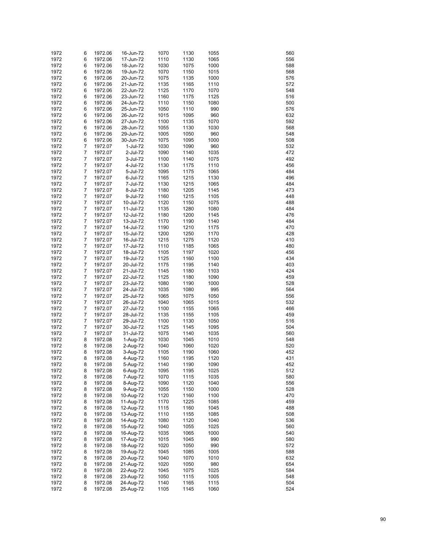| 1972 | 6              | 1972.06 | 16-Jun-72 | 1070 | 1130 | 1055 | 560 |
|------|----------------|---------|-----------|------|------|------|-----|
| 1972 | 6              | 1972.06 | 17-Jun-72 | 1110 | 1130 | 1065 | 556 |
| 1972 | 6              | 1972.06 | 18-Jun-72 | 1030 | 1075 | 1000 | 588 |
| 1972 | 6              | 1972.06 | 19-Jun-72 | 1070 | 1150 | 1015 | 568 |
| 1972 | 6              | 1972.06 | 20-Jun-72 | 1075 | 1135 | 1000 | 576 |
| 1972 | 6              | 1972.06 | 21-Jun-72 | 1135 | 1165 | 1110 | 572 |
| 1972 | 6              | 1972.06 | 22-Jun-72 | 1125 | 1170 | 1070 | 548 |
| 1972 | 6              | 1972.06 | 23-Jun-72 | 1160 | 1175 | 1125 | 516 |
| 1972 | 6              | 1972.06 | 24-Jun-72 | 1110 | 1150 | 1080 | 500 |
| 1972 | 6              | 1972.06 | 25-Jun-72 | 1050 | 1110 | 990  | 576 |
| 1972 | 6              | 1972.06 | 26-Jun-72 | 1015 | 1095 | 960  | 632 |
| 1972 | 6              | 1972.06 | 27-Jun-72 | 1100 | 1135 | 1070 | 592 |
| 1972 | 6              | 1972.06 | 28-Jun-72 | 1055 | 1130 | 1030 | 568 |
| 1972 | 6              | 1972.06 | 29-Jun-72 | 1005 | 1050 | 960  | 548 |
| 1972 | 6              | 1972.06 | 30-Jun-72 | 1075 | 1095 | 1000 | 508 |
| 1972 | 7              | 1972.07 | 1-Jul-72  | 1030 | 1090 | 960  | 532 |
| 1972 | 7              | 1972.07 | 2-Jul-72  | 1090 | 1140 | 1035 | 472 |
| 1972 | 7              | 1972.07 | 3-Jul-72  | 1100 | 1140 | 1075 | 492 |
| 1972 | $\overline{7}$ | 1972.07 | 4-Jul-72  | 1130 | 1175 | 1110 | 456 |
| 1972 | 7              | 1972.07 | 5-Jul-72  | 1095 | 1175 | 1065 | 484 |
| 1972 | 7              | 1972.07 | 6-Jul-72  | 1165 | 1215 | 1130 | 496 |
| 1972 | 7              | 1972.07 | 7-Jul-72  | 1130 | 1215 | 1065 | 484 |
| 1972 | $\overline{7}$ | 1972.07 | 8-Jul-72  | 1180 | 1205 | 1145 | 473 |
| 1972 | 7              | 1972.07 | 9-Jul-72  | 1160 | 1215 | 1105 | 448 |
| 1972 | 7              | 1972.07 | 10-Jul-72 | 1120 | 1150 | 1075 | 488 |
| 1972 | 7              | 1972.07 | 11-Jul-72 | 1135 | 1280 | 1080 | 484 |
| 1972 | $\overline{7}$ | 1972.07 | 12-Jul-72 | 1180 | 1200 | 1145 | 476 |
| 1972 | 7              | 1972.07 | 13-Jul-72 | 1170 | 1190 | 1140 | 484 |
| 1972 | 7              | 1972.07 | 14-Jul-72 | 1190 | 1210 | 1175 | 470 |
| 1972 | 7              | 1972.07 | 15-Jul-72 | 1200 | 1250 | 1170 | 428 |
| 1972 | $\overline{7}$ | 1972.07 | 16-Jul-72 | 1215 | 1275 | 1120 | 410 |
| 1972 | 7              | 1972.07 | 17-Jul-72 | 1110 | 1185 | 1065 | 480 |
| 1972 | 7              | 1972.07 | 18-Jul-72 | 1105 | 1197 | 1020 | 456 |
| 1972 | 7              | 1972.07 | 19-Jul-72 | 1125 | 1160 | 1100 | 434 |
| 1972 | $\overline{7}$ | 1972.07 | 20-Jul-72 | 1175 | 1195 | 1140 | 403 |
| 1972 | 7              | 1972.07 | 21-Jul-72 | 1145 | 1180 | 1103 | 424 |
| 1972 | 7              | 1972.07 | 22-Jul-72 | 1125 | 1180 | 1090 | 459 |
| 1972 | 7              | 1972.07 | 23-Jul-72 | 1080 | 1190 | 1000 | 528 |
| 1972 | $\overline{7}$ | 1972.07 | 24-Jul-72 | 1035 | 1080 | 995  | 564 |
| 1972 | 7              | 1972.07 | 25-Jul-72 | 1065 | 1075 | 1050 | 556 |
| 1972 | $\overline{7}$ | 1972.07 | 26-Jul-72 | 1040 | 1065 | 1015 | 532 |
| 1972 | 7              | 1972.07 | 27-Jul-72 | 1100 | 1155 | 1065 | 466 |
| 1972 | 7              | 1972.07 | 28-Jul-72 | 1135 | 1155 | 1105 | 459 |
| 1972 | 7              | 1972.07 | 29-Jul-72 | 1100 | 1130 | 1050 | 516 |
| 1972 | 7              | 1972.07 | 30-Jul-72 | 1125 | 1145 | 1095 | 504 |
| 1972 | 7              | 1972.07 | 31-Jul-72 | 1075 | 1140 | 1035 | 560 |
| 1972 | 8              | 1972.08 | 1-Aug-72  | 1030 | 1045 | 1010 | 548 |
| 1972 | 8              | 1972.08 | 2-Aug-72  | 1040 | 1060 | 1020 | 520 |
| 1972 | 8              | 1972.08 | 3-Aug-72  | 1105 | 1190 | 1060 | 452 |
| 1972 | 8              | 1972.08 | 4-Aug-72  | 1160 | 1195 | 1120 | 431 |
| 1972 | 8              | 1972.08 | 5-Aug-72  | 1140 | 1190 | 1090 | 452 |
| 1972 | 8              | 1972.08 | 6-Aug-72  | 1095 | 1195 | 1025 | 512 |
| 1972 | 8              | 1972.08 | 7-Aug-72  | 1070 | 1115 | 1035 | 580 |
| 1972 | 8              | 1972.08 | 8-Aug-72  | 1090 | 1120 | 1040 | 556 |
| 1972 | 8              | 1972.08 | 9-Aug-72  | 1055 | 1150 | 1000 | 528 |
| 1972 | 8              | 1972.08 | 10-Aug-72 | 1120 | 1160 | 1100 | 470 |
| 1972 | 8              | 1972.08 | 11-Aug-72 | 1170 | 1225 | 1085 | 459 |
| 1972 | 8              | 1972.08 | 12-Aug-72 | 1115 | 1160 | 1045 | 488 |
| 1972 | 8              | 1972.08 | 13-Aug-72 | 1110 | 1155 | 1085 | 508 |
| 1972 | 8              | 1972.08 | 14-Aug-72 | 1080 | 1120 | 1040 | 536 |
| 1972 | 8              | 1972.08 | 15-Aug-72 | 1040 | 1055 | 1025 | 560 |
| 1972 | 8              | 1972.08 | 16-Aug-72 | 1035 | 1065 | 1000 | 540 |
| 1972 | 8              | 1972.08 | 17-Aug-72 | 1015 | 1045 | 990  | 580 |
| 1972 | 8              | 1972.08 | 18-Aug-72 | 1020 | 1050 | 990  | 572 |
| 1972 | 8              | 1972.08 | 19-Aug-72 | 1045 | 1085 | 1005 | 588 |
| 1972 | 8              | 1972.08 | 20-Aug-72 | 1040 | 1070 | 1010 | 632 |
| 1972 | 8              | 1972.08 | 21-Aug-72 | 1020 | 1050 | 980  | 654 |
| 1972 | 8              | 1972.08 | 22-Aug-72 | 1045 | 1075 | 1025 | 584 |
| 1972 | 8              | 1972.08 | 23-Aug-72 | 1050 | 1115 | 1005 | 548 |
| 1972 | 8              | 1972.08 | 24-Aug-72 | 1140 | 1165 | 1115 | 504 |
| 1972 | 8              | 1972.08 | 25-Aug-72 | 1105 | 1145 | 1060 | 524 |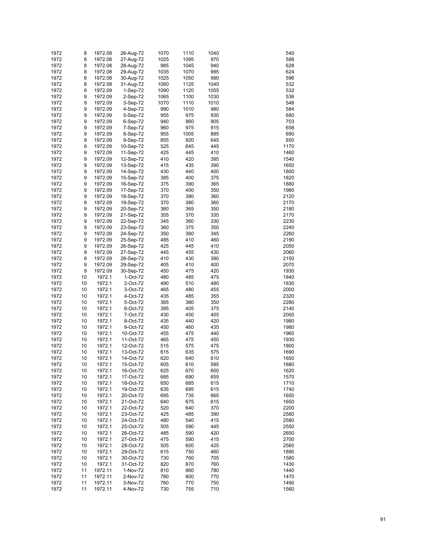| 1972 | 8  | 1972.08 | 26-Aug-72            | 1070 | 1110 | 1040 | 540  |
|------|----|---------|----------------------|------|------|------|------|
| 1972 | 8  | 1972.08 | 27-Aug-72            | 1025 | 1095 | 970  | 588  |
| 1972 | 8  | 1972.08 | 28-Aug-72            | 985  | 1045 | 940  | 628  |
| 1972 | 8  | 1972.08 | 29-Aug-72            | 1035 | 1070 | 995  | 624  |
| 1972 | 8  | 1972.08 | 30-Aug-72            | 1025 | 1050 | 990  | 596  |
| 1972 | 8  | 1972.08 | 31-Aug-72            | 1080 | 1125 | 1040 | 532  |
| 1972 | 9  | 1972.09 | 1-Sep-72             | 1090 | 1120 | 1055 | 532  |
| 1972 | 9  | 1972.09 | 2-Sep-72             | 1065 | 1100 | 1030 | 536  |
| 1972 | 9  | 1972.09 | 3-Sep-72             | 1070 | 1110 | 1010 | 548  |
| 1972 | 9  | 1972.09 | 4-Sep-72             | 990  | 1010 | 980  | 584  |
| 1972 | 9  |         |                      | 955  | 975  | 930  | 680  |
|      | 9  | 1972.09 | 5-Sep-72<br>6-Sep-72 | 940  |      |      | 703  |
| 1972 |    | 1972.09 |                      |      | 960  | 905  |      |
| 1972 | 9  | 1972.09 | 7-Sep-72             | 960  | 975  | 915  | 658  |
| 1972 | 9  | 1972.09 | 8-Sep-72             | 955  | 1005 | 895  | 690  |
| 1972 | 9  | 1972.09 | 9-Sep-72             | 855  | 920  | 645  | 850  |
| 1972 | 9  | 1972.09 | 10-Sep-72            | 525  | 645  | 445  | 1170 |
| 1972 | 9  | 1972.09 | 11-Sep-72            | 425  | 445  | 410  | 1460 |
| 1972 | 9  | 1972.09 | 12-Sep-72            | 410  | 420  | 395  | 1540 |
| 1972 | 9  | 1972.09 | 13-Sep-72            | 415  | 435  | 390  | 1650 |
| 1972 | 9  | 1972.09 | 14-Sep-72            | 430  | 440  | 400  | 1800 |
| 1972 | 9  | 1972.09 | 15-Sep-72            | 385  | 400  | 375  | 1820 |
| 1972 | 9  | 1972.09 | 16-Sep-72            | 375  | 390  | 365  | 1880 |
| 1972 | 9  | 1972.09 | 17-Sep-72            | 370  | 400  | 350  | 1980 |
| 1972 | 9  | 1972.09 | 18-Sep-72            | 370  | 380  | 360  | 2120 |
| 1972 | 9  | 1972.09 | 19-Sep-72            | 370  | 380  | 360  | 2170 |
| 1972 | 9  | 1972.09 | 20-Sep-72            | 360  | 365  | 350  | 2180 |
| 1972 | 9  | 1972.09 | 21-Sep-72            | 355  | 370  | 335  | 2170 |
| 1972 | 9  | 1972.09 | 22-Sep-72            | 345  | 360  | 330  | 2230 |
| 1972 | 9  | 1972.09 | 23-Sep-72            | 360  | 375  | 350  | 2240 |
| 1972 | 9  | 1972.09 | 24-Sep-72            | 350  | 360  | 345  | 2260 |
| 1972 | 9  | 1972.09 | 25-Sep-72            | 485  | 410  | 460  | 2190 |
| 1972 | 9  | 1972.09 | 26-Sep-72            | 425  | 445  | 410  | 2050 |
| 1972 | 9  | 1972.09 | 27-Sep-72            | 445  | 455  | 430  | 2060 |
| 1972 | 9  | 1972.09 | 28-Sep-72            | 410  | 430  | 390  | 2150 |
| 1972 | 9  | 1972.09 | 29-Sep-72            | 405  | 410  | 400  | 2070 |
| 1972 | 9  | 1972.09 | 30-Sep-72            | 450  | 475  | 420  | 1930 |
| 1972 | 10 | 1972.1  | 1-Oct-72             | 480  | 485  | 475  | 1840 |
| 1972 | 10 | 1972.1  | 2-Oct-72             | 490  | 510  | 480  | 1830 |
| 1972 | 10 | 1972.1  | 3-Oct-72             | 465  | 480  | 455  | 2000 |
| 1972 | 10 | 1972.1  | 4-Oct-72             | 435  | 485  | 355  | 2320 |
| 1972 | 10 | 1972.1  | 5-Oct-72             | 365  | 380  | 350  | 2280 |
| 1972 | 10 | 1972.1  | 6-Oct-72             | 395  | 405  | 375  | 2140 |
| 1972 | 10 | 1972.1  | 7-Oct-72             | 430  | 450  | 405  | 2000 |
| 1972 | 10 | 1972.1  | 8-Oct-72             | 435  | 440  | 420  | 1980 |
| 1972 | 10 | 1972.1  | 9-Oct-72             | 450  | 460  | 435  | 1980 |
| 1972 | 10 | 1972.1  | 10-Oct-72            | 455  | 475  | 440  | 1960 |
| 1972 | 10 | 1972.1  | 11-Oct-72            | 465  | 475  | 450  | 1930 |
| 1972 | 10 | 1972.1  | 12-Oct-72            | 515  | 575  | 475  | 1800 |
| 1972 | 10 | 1972.1  | 13-Oct-72            | 615  | 635  | 575  | 1690 |
| 1972 | 10 | 1972.1  | 14-Oct-72            | 620  | 640  | 610  | 1650 |
| 1972 | 10 | 1972.1  | 15-Oct-72            | 605  | 610  | 595  | 1680 |
| 1972 | 10 | 1972.1  | 16-Oct-72            | 625  | 670  | 600  | 1620 |
| 1972 | 10 | 1972.1  | 17-Oct-72            | 685  | 690  | 655  | 1570 |
| 1972 | 10 | 1972.1  | 18-Oct-72            | 650  | 685  | 615  | 1710 |
| 1972 | 10 | 1972.1  | 19-Oct-72            | 635  | 695  | 615  | 1740 |
| 1972 | 10 | 1972.1  | 20-Oct-72            | 695  | 735  | 665  | 1650 |
| 1972 | 10 | 1972.1  | 21-Oct-72            | 640  | 675  | 615  | 1650 |
| 1972 | 10 | 1972.1  | 22-Oct-72            | 520  | 640  | 370  | 2200 |
| 1972 | 10 | 1972.1  | 23-Oct-72            | 425  | 485  | 390  | 2580 |
| 1972 | 10 | 1972.1  | 24-Oct-72            | 480  | 540  | 415  | 2580 |
| 1972 | 10 | 1972.1  | 25-Oct-72            | 505  | 590  | 445  | 2550 |
| 1972 | 10 | 1972.1  | 26-Oct-72            | 485  | 590  | 420  | 2650 |
| 1972 | 10 | 1972.1  | 27-Oct-72            | 475  | 590  | 415  | 2700 |
| 1972 | 10 | 1972.1  | 28-Oct-72            | 505  | 600  | 425  | 2560 |
| 1972 | 10 | 1972.1  | 29-Oct-72            | 615  | 750  | 460  | 1890 |
| 1972 | 10 | 1972.1  | 30-Oct-72            | 730  | 760  | 705  | 1580 |
| 1972 | 10 | 1972.1  | 31-Oct-72            | 820  | 870  | 760  | 1430 |
| 1972 | 11 | 1972.11 | 1-Nov-72             | 810  | 860  | 780  | 1440 |
| 1972 | 11 | 1972.11 | 2-Nov-72             | 780  | 800  | 770  | 1470 |
| 1972 | 11 | 1972.11 | 3-Nov-72             | 760  | 770  | 750  | 1490 |
| 1972 | 11 | 1972.11 | 4-Nov-72             | 730  | 755  | 710  | 1560 |
|      |    |         |                      |      |      |      |      |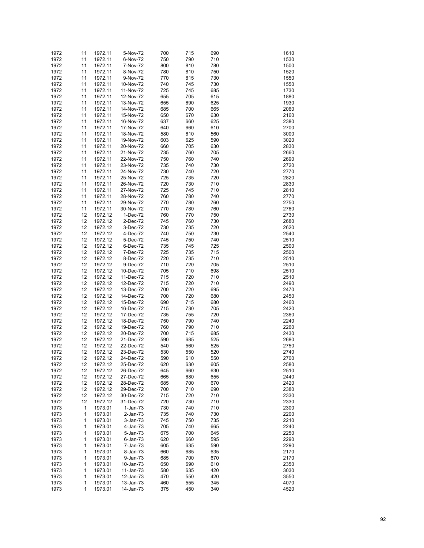| 1972         | 11       | 1972.11            | 5-Nov-72               | 700        | 715        | 690        | 1610         |
|--------------|----------|--------------------|------------------------|------------|------------|------------|--------------|
| 1972         | 11       | 1972.11            | 6-Nov-72               | 750        | 790        | 710        | 1530         |
| 1972         | 11       | 1972.11            | 7-Nov-72               | 800        | 810        | 780        | 1500         |
| 1972         | 11       | 1972.11            | 8-Nov-72               | 780        | 810        | 750        | 1520         |
| 1972         | 11       | 1972.11            | 9-Nov-72               | 770        | 815        | 730        | 1550         |
| 1972         | 11       | 1972.11            | 10-Nov-72              | 740        | 745        | 730        | 1550         |
| 1972         | 11       | 1972.11            | 11-Nov-72              | 725        | 745        | 685        | 1730         |
| 1972         | 11       | 1972.11            | 12-Nov-72              | 655        | 705        | 615        | 1880         |
| 1972         | 11       | 1972.11            | 13-Nov-72              | 655        | 690        | 625        | 1930         |
| 1972         | 11       | 1972.11            | 14-Nov-72              | 685        | 700        | 665        | 2060         |
| 1972         | 11       | 1972.11            | 15-Nov-72              | 650        | 670        | 630        | 2160         |
| 1972         | 11       | 1972.11            | 16-Nov-72              | 637        | 660        | 625        | 2380         |
| 1972         | 11       | 1972.11            | 17-Nov-72              | 640        | 660        | 610        | 2700         |
| 1972         | 11       | 1972.11            | 18-Nov-72              | 580        | 610        | 560        | 3000         |
| 1972         | 11       | 1972.11            | 19-Nov-72              | 603        | 625        | 590        | 3020         |
| 1972         | 11       | 1972.11            | 20-Nov-72              | 660        | 705        | 630        | 2830         |
| 1972         | 11       | 1972.11            | 21-Nov-72              | 735        | 760        | 705        | 2660         |
| 1972         | 11       | 1972.11            | 22-Nov-72              | 750        | 760        | 740        | 2690         |
| 1972         | 11       | 1972.11            | 23-Nov-72              | 735        | 740        | 730        | 2720         |
| 1972         | 11       | 1972.11            | 24-Nov-72              | 730        | 740        | 720        | 2770         |
| 1972         | 11       | 1972.11            | 25-Nov-72              | 725        | 735        | 720        | 2820         |
| 1972         | 11       | 1972.11            | 26-Nov-72              | 720        | 730        | 710        | 2830         |
| 1972         | 11       | 1972.11            | 27-Nov-72              | 725        | 745        | 710        | 2810         |
| 1972         | 11       | 1972.11            | 28-Nov-72              | 760        | 780        | 740        | 2770         |
| 1972<br>1972 | 11<br>11 | 1972.11<br>1972.11 | 29-Nov-72<br>30-Nov-72 | 770<br>770 | 780<br>780 | 760<br>760 | 2750<br>2760 |
| 1972         | 12       | 1972.12            |                        | 760        | 770        | 750        | 2730         |
| 1972         | 12       | 1972.12            | 1-Dec-72<br>2-Dec-72   | 745        | 760        | 730        | 2680         |
| 1972         | 12       | 1972.12            | 3-Dec-72               | 730        | 735        | 720        | 2620         |
| 1972         | 12       | 1972.12            | 4-Dec-72               | 740        | 750        | 730        | 2540         |
| 1972         | 12       | 1972.12            | 5-Dec-72               | 745        | 750        | 740        | 2510         |
| 1972         | 12       | 1972.12            | 6-Dec-72               | 735        | 745        | 725        | 2500         |
| 1972         | 12       | 1972.12            | 7-Dec-72               | 725        | 735        | 715        | 2500         |
| 1972         | 12       | 1972.12            | 8-Dec-72               | 720        | 735        | 710        | 2510         |
| 1972         | 12       | 1972.12            | 9-Dec-72               | 710        | 720        | 705        | 2510         |
| 1972         | 12       | 1972.12            | 10-Dec-72              | 705        | 710        | 698        | 2510         |
| 1972         | 12       | 1972.12            | 11-Dec-72              | 715        | 720        | 710        | 2510         |
| 1972         | 12       | 1972.12            | 12-Dec-72              | 715        | 720        | 710        | 2490         |
| 1972         | 12       | 1972.12            | 13-Dec-72              | 700        | 720        | 695        | 2470         |
| 1972         | 12       | 1972.12            | 14-Dec-72              | 700        | 720        | 680        | 2450         |
| 1972         | 12       | 1972.12            | 15-Dec-72              | 690        | 715        | 680        | 2460         |
| 1972         | 12       | 1972.12            | 16-Dec-72              | 715        | 730        | 705        | 2420         |
| 1972         | 12       | 1972.12            | 17-Dec-72              | 735        | 755        | 720        | 2360         |
| 1972         | 12       | 1972.12            | 18-Dec-72              | 750        | 790        | 740        | 2240         |
| 1972         | 12       | 1972.12            | 19-Dec-72              | 760        | 790        | 710        | 2260         |
| 1972         | 12       | 1972.12            | 20-Dec-72              | 700        | 715        | 685        | 2430         |
| 1972         | 12       | 1972.12            | 21-Dec-72              | 590        | 685        | 525        | 2680         |
| 1972         | 12       | 1972.12            | 22-Dec-72              | 540        | 560        | 525        | 2750         |
| 1972         | 12       | 1972.12            | 23-Dec-72              | 530        | 550        | 520        | 2740         |
| 1972         | 12       | 1972.12            | 24-Dec-72              | 590        | 610        | 550        | 2700         |
| 1972         | 12       | 1972.12            | 25-Dec-72              | 620        | 630        | 605        | 2580         |
| 1972         | 12       | 1972.12<br>1972.12 | 26-Dec-72              | 645        | 660        | 630        | 2510         |
| 1972<br>1972 | 12       | 1972.12            | 27-Dec-72              | 665        | 680<br>700 | 655        | 2440<br>2420 |
| 1972         | 12<br>12 | 1972.12            | 28-Dec-72<br>29-Dec-72 | 685<br>700 | 710        | 670<br>690 | 2380         |
| 1972         | 12       | 1972.12            | 30-Dec-72              | 715        | 720        | 710        | 2330         |
| 1972         | 12       | 1972.12            | 31-Dec-72              | 720        | 730        | 710        | 2330         |
| 1973         | 1        | 1973.01            | $1-Jan-73$             | 730        | 740        | 710        | 2300         |
| 1973         | 1        | 1973.01            | 2-Jan-73               | 735        | 740        | 730        | 2200         |
| 1973         | 1        | 1973.01            | 3-Jan-73               | 745        | 750        | 735        | 2210         |
| 1973         | 1        | 1973.01            | 4-Jan-73               | 705        | 740        | 665        | 2240         |
| 1973         | 1        | 1973.01            | 5-Jan-73               | 675        | 700        | 645        | 2250         |
| 1973         | 1        | 1973.01            | $6$ -Jan-73            | 620        | 660        | 595        | 2290         |
| 1973         | 1        | 1973.01            | 7-Jan-73               | 605        | 635        | 590        | 2290         |
| 1973         | 1        | 1973.01            | 8-Jan-73               | 660        | 685        | 635        | 2170         |
| 1973         | 1        | 1973.01            | 9-Jan-73               | 685        | 700        | 670        | 2170         |
| 1973         | 1        | 1973.01            | 10-Jan-73              | 650        | 690        | 610        | 2350         |
| 1973         | 1        | 1973.01            | 11-Jan-73              | 580        | 635        | 420        | 3030         |
| 1973         | 1        | 1973.01            | 12-Jan-73              | 470        | 550        | 420        | 3550         |
| 1973         | 1        | 1973.01            | 13-Jan-73              | 460        | 555        | 345        | 4070         |
| 1973         | 1        | 1973.01            | 14-Jan-73              | 375        | 450        | 340        | 4520         |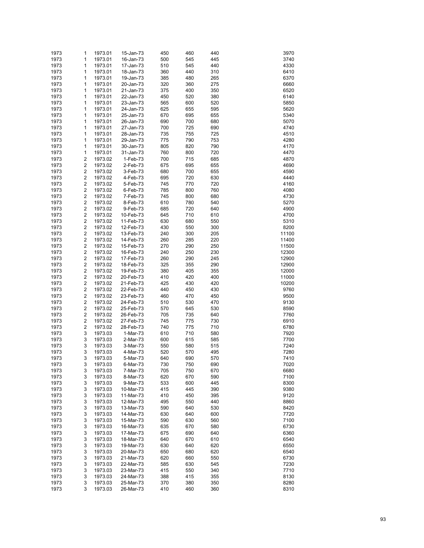| 1973         | 1                                                  | 1973.01            | 15-Jan-73             | 450        | 460        | 440        | 3970         |
|--------------|----------------------------------------------------|--------------------|-----------------------|------------|------------|------------|--------------|
| 1973         | 1                                                  | 1973.01            | 16-Jan-73             | 500        | 545        | 445        | 3740         |
| 1973         | 1                                                  | 1973.01            | 17-Jan-73             | 510        | 545        | 440        | 4330         |
| 1973         | 1                                                  | 1973.01            | 18-Jan-73             | 360        | 440        | 310        | 6410         |
| 1973         | 1                                                  | 1973.01            | 19-Jan-73             | 385        | 480        | 265        | 6370         |
| 1973         | 1                                                  | 1973.01            | 20-Jan-73             | 320        | 360        | 275        | 6660         |
| 1973         | 1                                                  | 1973.01            | 21-Jan-73             | 375        | 400        | 350        | 6520         |
| 1973         | 1                                                  | 1973.01            | 22-Jan-73             | 450        | 520        | 380        | 6140         |
| 1973         | 1                                                  | 1973.01            | 23-Jan-73             | 565        | 600        | 520        | 5850         |
| 1973         | 1                                                  | 1973.01            | 24-Jan-73             | 625        | 655        | 595        | 5620         |
| 1973         | 1                                                  | 1973.01            | 25-Jan-73             | 670        | 695        | 655        | 5340         |
| 1973         | 1                                                  | 1973.01            | 26-Jan-73             | 690        | 700        | 680        | 5070         |
| 1973         | 1                                                  | 1973.01            | 27-Jan-73             | 700        | 725        | 690        | 4740         |
| 1973         | 1                                                  | 1973.01            | 28-Jan-73             | 735        | 755        | 725        | 4510         |
| 1973         | 1                                                  | 1973.01            | 29-Jan-73             | 775        | 790        | 753        | 4280         |
| 1973         | 1                                                  | 1973.01            | 30-Jan-73             | 805        | 820        | 790        | 4170         |
| 1973         | 1                                                  | 1973.01            | 31-Jan-73             | 760        | 800        | 720        | 4470         |
| 1973         | 2                                                  | 1973.02            | 1-Feb-73              | 700        | 715        | 685        | 4870         |
| 1973         | $\overline{\mathbf{c}}$                            | 1973.02            | 2-Feb-73              | 675        | 695        | 655        | 4690         |
| 1973         | $\overline{\mathbf{c}}$                            | 1973.02            | 3-Feb-73              | 680        | 700        | 655        | 4590         |
| 1973         | $\overline{\mathbf{c}}$                            | 1973.02            | 4-Feb-73              | 695        | 720        | 630        | 4440         |
| 1973         | $\overline{\mathbf{c}}$                            | 1973.02            | 5-Feb-73              | 745        | 770        | 720        | 4160         |
| 1973         | $\overline{\mathbf{c}}$                            | 1973.02            | 6-Feb-73              | 785        | 800        | 760        | 4080         |
| 1973         | $\overline{\mathbf{c}}$                            | 1973.02            | 7-Feb-73              | 745        | 800        | 680        | 4730         |
| 1973         | $\overline{\mathbf{c}}$                            | 1973.02            | 8-Feb-73              | 610        | 780        | 540        | 5270         |
| 1973         | $\overline{\mathbf{c}}$                            | 1973.02            | 9-Feb-73              | 685        | 720        | 640        | 4900         |
| 1973         | $\overline{\mathbf{c}}$                            | 1973.02            | 10-Feb-73             | 645        | 710        | 610        | 4700         |
| 1973         | $\overline{\mathbf{c}}$                            | 1973.02            | 11-Feb-73             | 630        | 680        | 550        | 5310         |
| 1973         | $\overline{\mathbf{c}}$                            | 1973.02            | 12-Feb-73             | 430        | 550        | 300        | 8200         |
| 1973         | $\overline{\mathbf{c}}$                            | 1973.02            | 13-Feb-73             | 240        | 300        | 205        | 11100        |
| 1973         | $\overline{\mathbf{c}}$                            | 1973.02            | 14-Feb-73             | 260        | 285        | 220        | 11400        |
| 1973         | $\overline{\mathbf{c}}$                            | 1973.02            | 15-Feb-73             | 270        | 290        | 250        | 11500        |
| 1973         | $\overline{\mathbf{c}}$                            | 1973.02            | 16-Feb-73             | 240        | 250        | 230        | 12300        |
| 1973         | $\overline{\mathbf{c}}$                            | 1973.02            | 17-Feb-73             | 260        | 290        | 245        | 12900        |
| 1973         | $\overline{\mathbf{c}}$                            | 1973.02            | 18-Feb-73             | 325        | 355        | 290        | 12900        |
| 1973         | $\overline{\mathbf{c}}$                            | 1973.02            | 19-Feb-73             | 380        | 405        | 355        | 12000        |
| 1973         | $\overline{\mathbf{c}}$                            | 1973.02            | 20-Feb-73             | 410        | 420        | 400        | 11000        |
| 1973         | $\overline{\mathbf{c}}$                            | 1973.02            | 21-Feb-73             | 425        | 430        | 420        | 10200        |
| 1973         | $\overline{\mathbf{c}}$                            | 1973.02            | 22-Feb-73             | 440        | 450        | 430        | 9760         |
| 1973         | $\overline{\mathbf{c}}$                            | 1973.02            | 23-Feb-73             | 460        | 470        | 450        | 9500         |
| 1973         | $\overline{\mathbf{c}}$<br>$\overline{\mathbf{c}}$ | 1973.02            | 24-Feb-73             | 510        | 530        | 470        | 9130         |
| 1973         | $\overline{\mathbf{c}}$                            | 1973.02            | 25-Feb-73             | 570        | 645        | 530        | 8590         |
| 1973         | $\overline{\mathbf{c}}$                            | 1973.02            | 26-Feb-73             | 705<br>745 | 735        | 640        | 7760         |
| 1973         | $\overline{\mathbf{c}}$                            | 1973.02            | 27-Feb-73             |            | 775        | 730        | 6910         |
| 1973<br>1973 | 3                                                  | 1973.02<br>1973.03 | 28-Feb-73<br>1-Mar-73 | 740<br>610 | 775<br>710 | 710<br>580 | 6780<br>7920 |
| 1973         | 3                                                  | 1973.03            | 2-Mar-73              | 600        | 615        | 585        | 7700         |
| 1973         | 3                                                  | 1973.03            | 3-Mar-73              | 550        | 580        | 515        | 7240         |
| 1973         | 3                                                  | 1973.03            | 4-Mar-73              | 520        | 570        | 495        | 7280         |
| 1973         | 3                                                  | 1973.03            | 5-Mar-73              | 640        | 690        | 570        | 7410         |
| 1973         | 3                                                  | 1973.03            | 6-Mar-73              | 730        | 750        | 690        | 7020         |
| 1973         | 3                                                  | 1973.03            | 7-Mar-73              | 705        | 750        | 670        | 6680         |
| 1973         | 3                                                  | 1973.03            | 8-Mar-73              | 620        | 670        | 590        | 7100         |
| 1973         | 3                                                  | 1973.03            | 9-Mar-73              | 533        | 600        | 445        | 8300         |
| 1973         | 3                                                  | 1973.03            | 10-Mar-73             | 415        | 445        | 390        | 9380         |
| 1973         | 3                                                  | 1973.03            | 11-Mar-73             | 410        | 450        | 395        | 9120         |
| 1973         | 3                                                  | 1973.03            | 12-Mar-73             | 495        | 550        | 440        | 8860         |
| 1973         | 3                                                  | 1973.03            | 13-Mar-73             | 590        | 640        | 530        | 8420         |
| 1973         | 3                                                  | 1973.03            | 14-Mar-73             | 630        | 640        | 600        | 7720         |
| 1973         | 3                                                  | 1973.03            | 15-Mar-73             | 590        | 630        | 560        | 7100         |
| 1973         | 3                                                  | 1973.03            | 16-Mar-73             | 635        | 670        | 580        | 6730         |
| 1973         | 3                                                  | 1973.03            | 17-Mar-73             | 675        | 690        | 640        | 6360         |
| 1973         | 3                                                  | 1973.03            | 18-Mar-73             | 640        | 670        | 610        | 6540         |
| 1973         | 3                                                  | 1973.03            | 19-Mar-73             | 630        | 640        | 620        | 6550         |
| 1973         | 3                                                  | 1973.03            | 20-Mar-73             | 650        | 680        | 620        | 6540         |
| 1973         | 3                                                  | 1973.03            | 21-Mar-73             | 620        | 660        | 550        | 6730         |
| 1973         | 3                                                  | 1973.03            | 22-Mar-73             | 585        | 630        | 545        | 7230         |
| 1973         | 3                                                  | 1973.03            | 23-Mar-73             | 415        | 550        | 340        | 7710         |
| 1973         | 3                                                  | 1973.03            | 24-Mar-73             | 388        | 415        | 355        | 8130         |
| 1973         | 3                                                  | 1973.03            | 25-Mar-73             | 370        | 380        | 350        | 8280         |
| 1973         | 3                                                  | 1973.03            | 26-Mar-73             | 410        | 460        | 360        | 8310         |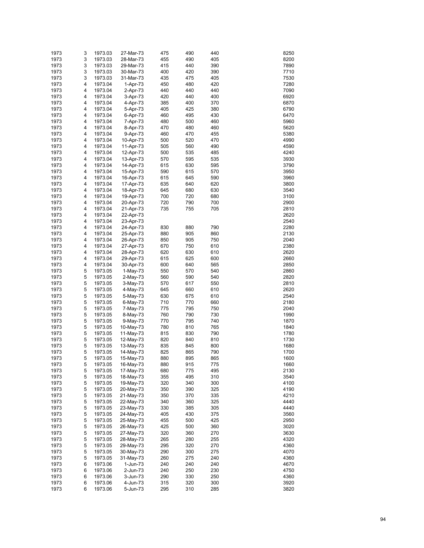| 1973 | 3 | 1973.03 | 27-Mar-73  | 475 | 490 | 440 | 8250 |
|------|---|---------|------------|-----|-----|-----|------|
| 1973 | 3 | 1973.03 | 28-Mar-73  | 455 | 490 | 405 | 8200 |
| 1973 | 3 | 1973.03 | 29-Mar-73  | 415 | 440 | 390 | 7890 |
|      |   |         |            |     |     |     |      |
| 1973 | 3 | 1973.03 | 30-Mar-73  | 400 | 420 | 390 | 7710 |
| 1973 | 3 | 1973.03 | 31-Mar-73  | 435 | 475 | 405 | 7530 |
| 1973 | 4 | 1973.04 | 1-Apr-73   | 450 | 480 | 420 | 7280 |
| 1973 | 4 | 1973.04 | 2-Apr-73   | 440 | 440 | 440 | 7090 |
| 1973 | 4 | 1973.04 | 3-Apr-73   | 420 | 440 | 400 | 6920 |
| 1973 | 4 | 1973.04 | 4-Apr-73   | 385 | 400 | 370 | 6870 |
| 1973 | 4 | 1973.04 | 5-Apr-73   | 405 | 425 | 380 | 6790 |
| 1973 | 4 | 1973.04 | 6-Apr-73   | 460 | 495 | 430 | 6470 |
| 1973 | 4 | 1973.04 | 7-Apr-73   | 480 | 500 | 460 | 5960 |
| 1973 | 4 | 1973.04 | 8-Apr-73   | 470 | 480 | 460 | 5620 |
| 1973 | 4 | 1973.04 | 9-Apr-73   | 460 | 470 | 455 | 5380 |
|      |   |         |            |     |     |     |      |
| 1973 | 4 | 1973.04 | 10-Apr-73  | 500 | 520 | 470 | 4990 |
| 1973 | 4 | 1973.04 | 11-Apr-73  | 505 | 560 | 490 | 4590 |
| 1973 | 4 | 1973.04 | 12-Apr-73  | 500 | 535 | 485 | 4240 |
| 1973 | 4 | 1973.04 | 13-Apr-73  | 570 | 595 | 535 | 3930 |
| 1973 | 4 | 1973.04 | 14-Apr-73  | 615 | 630 | 595 | 3790 |
| 1973 | 4 | 1973.04 | 15-Apr-73  | 590 | 615 | 570 | 3950 |
| 1973 | 4 | 1973.04 | 16-Apr-73  | 615 | 645 | 590 | 3960 |
| 1973 | 4 | 1973.04 | 17-Apr-73  | 635 | 640 | 620 | 3800 |
| 1973 | 4 | 1973.04 | 18-Apr-73  | 645 | 680 | 630 | 3540 |
| 1973 | 4 | 1973.04 | 19-Apr-73  | 700 | 720 | 680 | 3100 |
| 1973 | 4 | 1973.04 | 20-Apr-73  | 720 | 790 | 700 | 2900 |
|      |   |         |            |     |     |     |      |
| 1973 | 4 | 1973.04 | 21-Apr-73  | 735 | 755 | 705 | 2810 |
| 1973 | 4 | 1973.04 | 22-Apr-73  |     |     |     | 2620 |
| 1973 | 4 | 1973.04 | 23-Apr-73  |     |     |     | 2540 |
| 1973 | 4 | 1973.04 | 24-Apr-73  | 830 | 880 | 790 | 2280 |
| 1973 | 4 | 1973.04 | 25-Apr-73  | 880 | 905 | 860 | 2130 |
| 1973 | 4 | 1973.04 | 26-Apr-73  | 850 | 905 | 750 | 2040 |
| 1973 | 4 | 1973.04 | 27-Apr-73  | 670 | 750 | 610 | 2380 |
| 1973 | 4 | 1973.04 | 28-Apr-73  | 620 | 630 | 610 | 2620 |
| 1973 | 4 | 1973.04 | 29-Apr-73  | 615 | 625 | 600 | 2660 |
| 1973 | 4 | 1973.04 | 30-Apr-73  | 600 | 640 | 565 | 2850 |
|      | 5 |         |            | 550 | 570 |     |      |
| 1973 |   | 1973.05 | 1-May-73   |     |     | 540 | 2860 |
| 1973 | 5 | 1973.05 | 2-May-73   | 560 | 590 | 540 | 2820 |
| 1973 | 5 | 1973.05 | 3-May-73   | 570 | 617 | 550 | 2810 |
| 1973 | 5 | 1973.05 | 4-May-73   | 645 | 660 | 610 | 2620 |
| 1973 | 5 | 1973.05 | 5-May-73   | 630 | 675 | 610 | 2540 |
| 1973 | 5 | 1973.05 | 6-May-73   | 710 | 770 | 660 | 2180 |
| 1973 | 5 | 1973.05 | 7-May-73   | 775 | 795 | 750 | 2040 |
| 1973 | 5 | 1973.05 | 8-May-73   | 760 | 790 | 730 | 1990 |
| 1973 | 5 | 1973.05 | $9-May-73$ | 770 | 795 | 740 | 1870 |
| 1973 | 5 | 1973.05 | 10-May-73  | 780 | 810 | 765 | 1840 |
| 1973 | 5 | 1973.05 |            |     | 830 | 790 | 1780 |
|      |   |         | 11-May-73  | 815 |     |     |      |
| 1973 | 5 | 1973.05 | 12-May-73  | 820 | 840 | 810 | 1730 |
| 1973 | 5 | 1973.05 | 13-May-73  | 835 | 845 | 800 | 1680 |
| 1973 | 5 | 1973.05 | 14-May-73  | 825 | 865 | 790 | 1700 |
| 1973 | 5 | 1973.05 | 15-May-73  | 880 | 895 | 865 | 1600 |
| 1973 | 5 | 1973.05 | 16-May-73  | 880 | 915 | 775 | 1660 |
| 1973 | 5 | 1973.05 | 17-May-73  | 680 | 775 | 495 | 2130 |
| 1973 | 5 | 1973.05 | 18-May-73  | 355 | 495 | 310 | 3540 |
| 1973 | 5 | 1973.05 | 19-May-73  | 320 | 340 | 300 | 4100 |
| 1973 | 5 | 1973.05 | 20-May-73  | 350 | 390 | 325 | 4190 |
| 1973 | 5 | 1973.05 | 21-May-73  | 350 | 370 | 335 | 4210 |
|      |   | 1973.05 |            |     |     |     |      |
| 1973 | 5 |         | 22-May-73  | 340 | 360 | 325 | 4440 |
| 1973 | 5 | 1973.05 | 23-May-73  | 330 | 385 | 305 | 4440 |
| 1973 | 5 | 1973.05 | 24-May-73  | 405 | 430 | 375 | 3560 |
| 1973 | 5 | 1973.05 | 25-May-73  | 455 | 500 | 425 | 2950 |
| 1973 | 5 | 1973.05 | 26-May-73  | 425 | 500 | 360 | 3020 |
| 1973 | 5 | 1973.05 | 27-May-73  | 320 | 360 | 270 | 3630 |
| 1973 | 5 | 1973.05 | 28-May-73  | 265 | 280 | 255 | 4320 |
| 1973 | 5 | 1973.05 | 29-May-73  | 295 | 320 | 270 | 4360 |
| 1973 | 5 | 1973.05 | 30-May-73  | 290 | 300 | 275 | 4070 |
| 1973 | 5 | 1973.05 | 31-May-73  | 260 | 275 | 240 | 4360 |
|      |   |         |            |     |     |     |      |
| 1973 | 6 | 1973.06 | 1-Jun-73   | 240 | 240 | 240 | 4670 |
| 1973 | 6 | 1973.06 | 2-Jun-73   | 240 | 250 | 230 | 4750 |
| 1973 | 6 | 1973.06 | 3-Jun-73   | 290 | 330 | 250 | 4360 |
| 1973 | 6 | 1973.06 | 4-Jun-73   | 315 | 320 | 300 | 3920 |
| 1973 | 6 | 1973.06 | 5-Jun-73   | 295 | 310 | 285 | 3820 |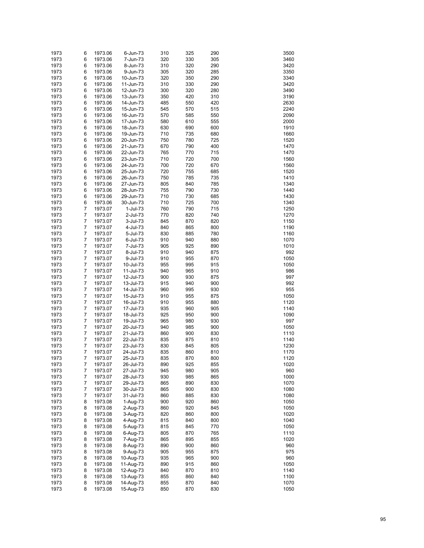| 1973 | 6              | 1973.06 | 6-Jun-73               | 310 | 325 | 290 | 3500 |
|------|----------------|---------|------------------------|-----|-----|-----|------|
| 1973 | 6              | 1973.06 | 7-Jun-73               | 320 | 330 | 305 | 3460 |
| 1973 | 6              | 1973.06 | 8-Jun-73               | 310 | 320 | 290 | 3420 |
| 1973 | 6              | 1973.06 | 9-Jun-73               | 305 | 320 | 285 | 3350 |
| 1973 | 6              | 1973.06 | 10-Jun-73              | 320 | 350 | 290 | 3340 |
| 1973 | 6              | 1973.06 | 11-Jun-73              | 310 | 330 | 290 | 3420 |
|      |                |         | 12-Jun-73              |     | 320 |     |      |
| 1973 | 6              | 1973.06 |                        | 300 |     | 280 | 3490 |
| 1973 | 6              | 1973.06 | 13-Jun-73              | 350 | 420 | 310 | 3190 |
| 1973 | 6              | 1973.06 | 14-Jun-73              | 485 | 550 | 420 | 2630 |
| 1973 | 6              | 1973.06 | 15-Jun-73              | 545 | 570 | 515 | 2240 |
| 1973 | 6              | 1973.06 | 16-Jun-73              | 570 | 585 | 550 | 2090 |
| 1973 | 6              | 1973.06 | 17-Jun-73              | 580 | 610 | 555 | 2000 |
| 1973 | 6              | 1973.06 | 18-Jun-73              | 630 | 690 | 600 | 1910 |
| 1973 | 6              | 1973.06 | 19-Jun-73              | 710 | 735 | 680 | 1660 |
| 1973 | 6              | 1973.06 | 20-Jun-73              | 750 | 780 | 725 | 1520 |
| 1973 | 6              | 1973.06 | 21-Jun-73              | 670 | 790 | 400 | 1470 |
| 1973 | 6              | 1973.06 | 22-Jun-73              | 765 | 770 | 715 | 1470 |
| 1973 | 6              | 1973.06 | 23-Jun-73              | 710 | 720 | 700 | 1560 |
| 1973 | 6              | 1973.06 | 24-Jun-73              | 700 | 720 | 670 | 1560 |
| 1973 | 6              | 1973.06 | 25-Jun-73              | 720 | 755 | 685 | 1520 |
| 1973 | 6              | 1973.06 | 26-Jun-73              | 750 | 785 | 735 | 1410 |
| 1973 | 6              | 1973.06 | 27-Jun-73              | 805 | 840 | 785 | 1340 |
| 1973 | 6              | 1973.06 | 28-Jun-73              | 755 | 790 | 730 | 1440 |
| 1973 | 6              | 1973.06 | 29-Jun-73              | 710 | 730 | 685 | 1430 |
| 1973 | 6              | 1973.06 | 30-Jun-73              | 710 | 725 | 700 | 1340 |
| 1973 | 7              | 1973.07 | $1-Jul-73$             | 760 | 790 | 715 | 1250 |
| 1973 | $\overline{7}$ | 1973.07 | 2-Jul-73               | 770 | 820 | 740 | 1270 |
| 1973 | $\overline{7}$ | 1973.07 | 3-Jul-73               | 845 | 870 | 820 | 1150 |
| 1973 | $\overline{7}$ | 1973.07 | 4-Jul-73               | 840 | 865 | 800 | 1190 |
| 1973 | $\overline{7}$ | 1973.07 | 5-Jul-73               | 830 | 885 | 780 | 1160 |
| 1973 | $\overline{7}$ | 1973.07 | 6-Jul-73               | 910 | 940 | 880 | 1070 |
| 1973 | $\overline{7}$ | 1973.07 | 7-Jul-73               | 905 | 925 | 890 | 1010 |
| 1973 | $\overline{7}$ | 1973.07 | 8-Jul-73               | 910 | 940 | 875 | 992  |
| 1973 | $\overline{7}$ | 1973.07 | 9-Jul-73               | 910 | 955 | 870 | 1050 |
| 1973 | $\overline{7}$ | 1973.07 | 10-Jul-73              | 955 | 995 | 915 | 1050 |
| 1973 | $\overline{7}$ | 1973.07 | 11-Jul-73              | 940 | 965 | 910 | 986  |
| 1973 | $\overline{7}$ | 1973.07 | 12-Jul-73              | 900 | 930 | 875 | 997  |
| 1973 | $\overline{7}$ | 1973.07 | 13-Jul-73              | 915 | 940 | 900 | 992  |
| 1973 | $\overline{7}$ | 1973.07 | 14-Jul-73              | 960 | 995 | 930 | 955  |
| 1973 | $\overline{7}$ | 1973.07 | 15-Jul-73              | 910 | 955 | 875 | 1050 |
| 1973 | $\overline{7}$ | 1973.07 | 16-Jul-73              | 910 | 955 | 880 | 1120 |
| 1973 | $\overline{7}$ | 1973.07 | 17-Jul-73              | 935 | 960 | 905 | 1140 |
| 1973 | $\overline{7}$ | 1973.07 | 18-Jul-73              | 925 | 950 | 900 | 1090 |
| 1973 | $\overline{7}$ | 1973.07 | 19-Jul-73              | 965 | 980 | 930 | 997  |
| 1973 | $\overline{7}$ | 1973.07 | 20-Jul-73              | 940 | 985 | 900 | 1050 |
| 1973 | $\overline{7}$ | 1973.07 | 21-Jul-73              | 860 | 900 | 830 | 1110 |
| 1973 | $\overline{7}$ | 1973.07 | 22-Jul-73              | 835 | 875 | 810 | 1140 |
| 1973 | $\overline{7}$ | 1973.07 | 23-Jul-73              | 830 | 845 | 805 | 1230 |
| 1973 | 7              | 1973.07 | 24-Jul-73              | 835 | 860 | 810 | 1170 |
| 1973 | 7              | 1973.07 | 25-Jul-73              | 835 | 870 | 800 | 1120 |
| 1973 | 7              | 1973.07 | 26-Jul-73              | 890 | 925 | 855 | 1020 |
| 1973 | 7              | 1973.07 | 27-Jul-73              | 945 | 980 | 905 | 960  |
| 1973 | 7              | 1973.07 | 28-Jul-73              | 930 | 985 | 865 | 1000 |
| 1973 | 7              | 1973.07 | 29-Jul-73              | 865 | 890 | 830 | 1070 |
| 1973 | 7              | 1973.07 | 30-Jul-73              | 865 | 900 | 830 | 1080 |
| 1973 | 7              | 1973.07 | 31-Jul-73              | 860 | 885 | 830 | 1080 |
| 1973 | 8              | 1973.08 | 1-Aug-73               | 900 | 920 | 860 | 1050 |
| 1973 | 8              | 1973.08 | 2-Aug-73               | 860 | 920 | 845 | 1050 |
| 1973 | 8              | 1973.08 | 3-Aug-73               | 820 | 860 | 800 | 1020 |
| 1973 | 8              | 1973.08 |                        | 815 | 840 | 800 | 1040 |
| 1973 | 8              | 1973.08 | 4-Aug-73<br>5-Aug-73   | 815 | 845 | 770 | 1050 |
| 1973 | 8              | 1973.08 | 6-Aug-73               | 805 | 870 | 765 | 1110 |
| 1973 | 8              | 1973.08 | 7-Aug-73               | 865 | 895 | 855 | 1020 |
| 1973 | 8              | 1973.08 | 8-Aug-73               | 890 | 900 | 860 | 960  |
| 1973 | 8              | 1973.08 | 9-Aug-73               | 905 | 955 | 875 | 975  |
| 1973 | 8              | 1973.08 |                        | 935 | 965 | 900 | 960  |
| 1973 | 8              | 1973.08 | 10-Aug-73<br>11-Aug-73 | 890 | 915 | 860 | 1050 |
| 1973 | 8              | 1973.08 | 12-Aug-73              | 840 | 870 | 810 | 1140 |
| 1973 | 8              | 1973.08 | 13-Aug-73              | 855 | 860 | 840 | 1100 |
| 1973 | 8              | 1973.08 | 14-Aug-73              | 855 | 870 | 840 | 1070 |
| 1973 | 8              | 1973.08 | 15-Aug-73              | 850 | 870 | 830 | 1050 |
|      |                |         |                        |     |     |     |      |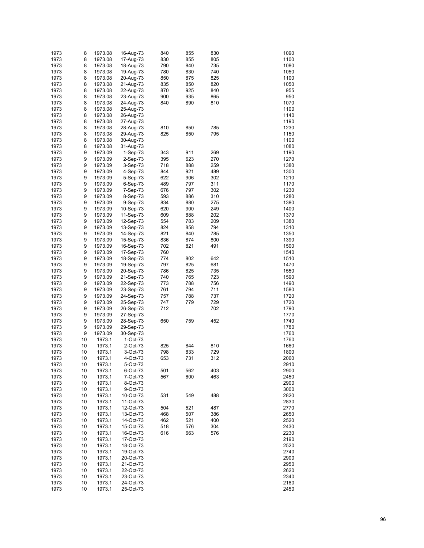| 1973 | 8  | 1973.08 | 16-Aug-73   | 840 | 855 | 830 | 1090 |
|------|----|---------|-------------|-----|-----|-----|------|
| 1973 | 8  | 1973.08 | 17-Aug-73   | 830 | 855 | 805 | 1100 |
| 1973 | 8  | 1973.08 | 18-Aug-73   | 790 | 840 | 735 | 1080 |
| 1973 | 8  | 1973.08 | 19-Aug-73   | 780 | 830 | 740 | 1050 |
|      |    |         |             |     |     |     |      |
| 1973 | 8  | 1973.08 | 20-Aug-73   | 850 | 875 | 825 | 1100 |
| 1973 | 8  | 1973.08 | 21-Aug-73   | 835 | 850 | 820 | 1050 |
| 1973 | 8  | 1973.08 | 22-Aug-73   | 870 | 925 | 840 | 955  |
| 1973 | 8  | 1973.08 | 23-Aug-73   | 900 | 935 | 865 | 950  |
| 1973 | 8  | 1973.08 | 24-Aug-73   | 840 | 890 | 810 | 1070 |
| 1973 | 8  | 1973.08 | 25-Aug-73   |     |     |     | 1100 |
| 1973 | 8  | 1973.08 | 26-Aug-73   |     |     |     | 1140 |
| 1973 | 8  | 1973.08 | 27-Aug-73   |     |     |     | 1190 |
| 1973 | 8  | 1973.08 | 28-Aug-73   | 810 | 850 | 785 | 1230 |
| 1973 | 8  | 1973.08 | 29-Aug-73   | 825 | 850 | 795 | 1150 |
| 1973 | 8  | 1973.08 | 30-Aug-73   |     |     |     | 1100 |
| 1973 | 8  | 1973.08 | 31-Aug-73   |     |     |     | 1080 |
| 1973 | 9  | 1973.09 | $1-Sep-73$  | 343 | 911 | 269 | 1190 |
|      |    |         |             |     |     |     |      |
| 1973 | 9  | 1973.09 | 2-Sep-73    | 395 | 623 | 270 | 1270 |
| 1973 | 9  | 1973.09 | 3-Sep-73    | 718 | 888 | 259 | 1380 |
| 1973 | 9  | 1973.09 | 4-Sep-73    | 844 | 921 | 489 | 1300 |
| 1973 | 9  | 1973.09 | 5-Sep-73    | 622 | 906 | 302 | 1210 |
| 1973 | 9  | 1973.09 | 6-Sep-73    | 489 | 797 | 311 | 1170 |
| 1973 | 9  | 1973.09 | 7-Sep-73    | 676 | 797 | 302 | 1230 |
| 1973 | 9  | 1973.09 | 8-Sep-73    | 593 | 886 | 310 | 1280 |
| 1973 | 9  | 1973.09 | 9-Sep-73    | 834 | 880 | 275 | 1380 |
| 1973 | 9  | 1973.09 | 10-Sep-73   | 620 | 900 | 249 | 1400 |
| 1973 | 9  | 1973.09 | 11-Sep-73   | 609 | 888 | 202 | 1370 |
| 1973 | 9  |         |             | 554 | 783 | 209 | 1380 |
|      |    | 1973.09 | 12-Sep-73   |     |     |     |      |
| 1973 | 9  | 1973.09 | 13-Sep-73   | 824 | 858 | 794 | 1310 |
| 1973 | 9  | 1973.09 | 14-Sep-73   | 821 | 840 | 785 | 1350 |
| 1973 | 9  | 1973.09 | 15-Sep-73   | 836 | 874 | 800 | 1390 |
| 1973 | 9  | 1973.09 | 16-Sep-73   | 702 | 821 | 491 | 1500 |
| 1973 | 9  | 1973.09 | 17-Sep-73   | 760 |     |     | 1540 |
| 1973 | 9  | 1973.09 | 18-Sep-73   | 774 | 802 | 642 | 1510 |
| 1973 | 9  | 1973.09 | 19-Sep-73   | 797 | 825 | 681 | 1470 |
| 1973 | 9  | 1973.09 | 20-Sep-73   | 786 | 825 | 735 | 1550 |
| 1973 | 9  | 1973.09 | 21-Sep-73   | 740 | 765 | 723 | 1590 |
| 1973 | 9  | 1973.09 | 22-Sep-73   | 773 | 788 | 756 | 1490 |
| 1973 | 9  | 1973.09 | 23-Sep-73   | 761 | 794 | 711 | 1580 |
|      |    |         |             | 757 | 788 | 737 | 1720 |
| 1973 | 9  | 1973.09 | 24-Sep-73   |     |     |     |      |
| 1973 | 9  | 1973.09 | 25-Sep-73   | 747 | 779 | 729 | 1720 |
| 1973 | 9  | 1973.09 | 26-Sep-73   | 712 |     | 702 | 1790 |
| 1973 | 9  | 1973.09 | 27-Sep-73   |     |     |     | 1770 |
| 1973 | 9  | 1973.09 | 28-Sep-73   | 650 | 759 | 452 | 1740 |
| 1973 | 9  | 1973.09 | 29-Sep-73   |     |     |     | 1780 |
| 1973 | 9  | 1973.09 | 30-Sep-73   |     |     |     | 1760 |
| 1973 | 10 | 1973.1  | 1-Oct-73    |     |     |     | 1760 |
| 1973 | 10 | 1973.1  | 2-Oct-73    | 825 | 844 | 810 | 1660 |
| 1973 | 10 | 1973.1  | 3-Oct-73    | 798 | 833 | 729 | 1800 |
| 1973 | 10 | 1973.1  | $4$ -Oct-73 | 653 | 731 | 312 | 2060 |
| 1973 | 10 | 1973.1  | 5-Oct-73    |     |     |     | 2910 |
| 1973 | 10 | 1973.1  |             | 501 |     | 403 | 2900 |
|      |    |         | 6-Oct-73    |     | 562 |     |      |
| 1973 | 10 | 1973.1  | 7-Oct-73    | 567 | 600 | 463 | 2450 |
| 1973 | 10 | 1973.1  | 8-Oct-73    |     |     |     | 2900 |
| 1973 | 10 | 1973.1  | 9-Oct-73    |     |     |     | 3000 |
| 1973 | 10 | 1973.1  | 10-Oct-73   | 531 | 549 | 488 | 2820 |
| 1973 | 10 | 1973.1  | 11-Oct-73   |     |     |     | 2830 |
| 1973 | 10 | 1973.1  | 12-Oct-73   | 504 | 521 | 487 | 2770 |
| 1973 | 10 | 1973.1  | 13-Oct-73   | 468 | 507 | 386 | 2650 |
| 1973 | 10 | 1973.1  | 14-Oct-73   | 462 | 521 | 400 | 2520 |
| 1973 | 10 | 1973.1  | 15-Oct-73   | 518 | 576 | 304 | 2430 |
| 1973 | 10 | 1973.1  | 16-Oct-73   | 616 | 663 | 576 | 2230 |
| 1973 |    |         |             |     |     |     |      |
|      | 10 | 1973.1  | 17-Oct-73   |     |     |     | 2190 |
| 1973 | 10 | 1973.1  | 18-Oct-73   |     |     |     | 2520 |
| 1973 | 10 | 1973.1  | 19-Oct-73   |     |     |     | 2740 |
| 1973 | 10 | 1973.1  | 20-Oct-73   |     |     |     | 2900 |
| 1973 | 10 | 1973.1  | 21-Oct-73   |     |     |     | 2950 |
| 1973 | 10 | 1973.1  | 22-Oct-73   |     |     |     | 2620 |
| 1973 | 10 | 1973.1  | 23-Oct-73   |     |     |     | 2340 |
| 1973 | 10 | 1973.1  | 24-Oct-73   |     |     |     | 2180 |
| 1973 | 10 | 1973.1  | 25-Oct-73   |     |     |     | 2450 |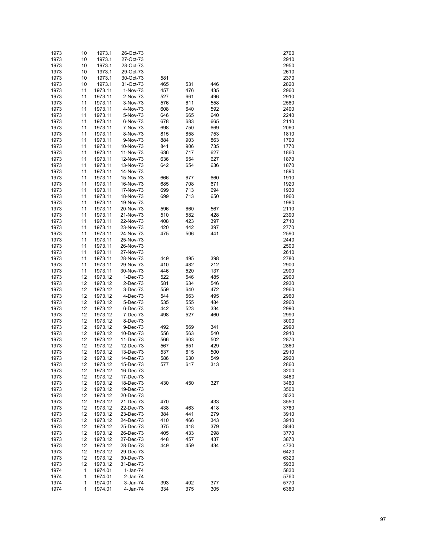| 1973         | 10       | 1973.1             | 26-Oct-73              |            |            |            | 2700         |
|--------------|----------|--------------------|------------------------|------------|------------|------------|--------------|
| 1973         | 10       | 1973.1             | 27-Oct-73              |            |            |            | 2910         |
| 1973         | 10       | 1973.1             | 28-Oct-73              |            |            |            | 2950         |
| 1973         | 10       | 1973.1             | 29-Oct-73              |            |            |            | 2610         |
| 1973         | 10       | 1973.1             | 30-Oct-73              | 581        |            |            | 2370         |
| 1973         | 10       | 1973.1             | 31-Oct-73              | 465        | 531        | 446        | 2820         |
| 1973         | 11       | 1973.11            | 1-Nov-73               | 457        | 476        | 435        | 2960         |
| 1973<br>1973 | 11<br>11 | 1973.11<br>1973.11 | 2-Nov-73<br>3-Nov-73   | 527<br>576 | 661<br>611 | 496<br>558 | 2910<br>2580 |
| 1973         | 11       | 1973.11            | 4-Nov-73               | 608        | 640        | 592        | 2400         |
| 1973         | 11       | 1973.11            | 5-Nov-73               | 646        | 665        | 640        | 2240         |
| 1973         | 11       | 1973.11            | 6-Nov-73               | 678        | 683        | 665        | 2110         |
| 1973         | 11       | 1973.11            | 7-Nov-73               | 698        | 750        | 669        | 2060         |
| 1973         | 11       | 1973.11            | 8-Nov-73               | 815        | 858        | 753        | 1810         |
| 1973         | 11       | 1973.11            | 9-Nov-73               | 884        | 903        | 863        | 1700         |
| 1973         | 11       | 1973.11            | 10-Nov-73              | 841        | 906        | 735        | 1770         |
| 1973         | 11       | 1973.11            | 11-Nov-73              | 636        | 717        | 627        | 1860         |
| 1973         | 11       | 1973.11            | 12-Nov-73              | 636        | 654        | 627        | 1870         |
| 1973         | 11       | 1973.11            | 13-Nov-73              | 642        | 654        | 636        | 1870         |
| 1973         | 11       | 1973.11            | 14-Nov-73              |            |            |            | 1890         |
| 1973         | 11       | 1973.11            | 15-Nov-73              | 666        | 677        | 660        | 1910         |
| 1973         | 11       | 1973.11            | 16-Nov-73              | 685        | 708        | 671        | 1920         |
| 1973         | 11       | 1973.11            | 17-Nov-73              | 699        | 713        | 694        | 1930         |
| 1973         | 11       | 1973.11            | 18-Nov-73              | 699        | 713        | 650        | 1960         |
| 1973<br>1973 | 11<br>11 | 1973.11<br>1973.11 | 19-Nov-73<br>20-Nov-73 | 596        | 660        | 567        | 1980<br>2110 |
| 1973         | 11       | 1973.11            | 21-Nov-73              | 510        | 582        | 428        | 2390         |
| 1973         | 11       | 1973.11            | 22-Nov-73              | 408        | 423        | 397        | 2710         |
| 1973         | 11       | 1973.11            | 23-Nov-73              | 420        | 442        | 397        | 2770         |
| 1973         | 11       | 1973.11            | 24-Nov-73              | 475        | 506        | 441        | 2590         |
| 1973         | 11       | 1973.11            | 25-Nov-73              |            |            |            | 2440         |
| 1973         | 11       | 1973.11            | 26-Nov-73              |            |            |            | 2500         |
| 1973         | 11       | 1973.11            | 27-Nov-73              |            |            |            | 2610         |
| 1973         | 11       | 1973.11            | 28-Nov-73              | 449        | 495        | 398        | 2780         |
| 1973         | 11       | 1973.11            | 29-Nov-73              | 410        | 482        | 212        | 2900         |
| 1973         | 11       | 1973.11            | 30-Nov-73              | 446        | 520        | 137        | 2900         |
| 1973         | 12       | 1973.12            | 1-Dec-73               | 522        | 546        | 485        | 2900         |
| 1973         | 12       | 1973.12            | 2-Dec-73               | 581        | 634        | 546        | 2930         |
| 1973         | 12       | 1973.12            | 3-Dec-73               | 559        | 640        | 472        | 2960         |
| 1973         | 12       | 1973.12            | 4-Dec-73               | 544        | 563        | 495        | 2960         |
| 1973<br>1973 | 12<br>12 | 1973.12<br>1973.12 | 5-Dec-73<br>6-Dec-73   | 535<br>442 | 555<br>523 | 484<br>334 | 2960<br>2990 |
| 1973         | 12       | 1973.12            | 7-Dec-73               | 498        | 527        | 460        | 2990         |
| 1973         | 12       | 1973.12            | 8-Dec-73               |            |            |            | 3000         |
| 1973         | 12       | 1973.12            | 9-Dec-73               | 492        | 569        | 341        | 2990         |
| 1973         | 12       | 1973.12            | 10-Dec-73              | 556        | 563        | 540        | 2910         |
| 1973         | 12       | 1973.12            | 11-Dec-73              | 566        | 603        | 502        | 2870         |
| 1973         | 12       | 1973.12            | 12-Dec-73              | 567        | 651        | 429        | 2860         |
| 1973         | 12       | 1973.12            | 13-Dec-73              | 537        | 615        | 500        | 2910         |
| 1973         | 12       | 1973.12            | 14-Dec-73              | 586        | 630        | 549        | 2920         |
| 1973         | 12       | 1973.12            | 15-Dec-73              | 577        | 617        | 313        | 2860         |
| 1973         | 12       | 1973.12            | 16-Dec-73              |            |            |            | 3200         |
| 1973         | 12       | 1973.12            | 17-Dec-73              |            |            |            | 3460         |
| 1973         | 12       | 1973.12            | 18-Dec-73              | 430        | 450        | 327        | 3460         |
| 1973         | 12       | 1973.12            | 19-Dec-73              |            |            |            | 3500         |
| 1973<br>1973 | 12<br>12 | 1973.12            | 20-Dec-73              |            |            |            | 3520         |
| 1973         | 12       | 1973.12<br>1973.12 | 21-Dec-73<br>22-Dec-73 | 470<br>438 | 463        | 433<br>418 | 3550<br>3780 |
| 1973         | 12       | 1973.12            | 23-Dec-73              | 384        | 441        | 279        | 3910         |
| 1973         | 12       | 1973.12            | 24-Dec-73              | 410        | 466        | 343        | 3910         |
| 1973         | 12       | 1973.12            | 25-Dec-73              | 375        | 418        | 379        | 3840         |
| 1973         | 12       | 1973.12            | 26-Dec-73              | 405        | 433        | 298        | 3770         |
| 1973         | 12       | 1973.12            | 27-Dec-73              | 448        | 457        | 437        | 3870         |
| 1973         | 12       | 1973.12            | 28-Dec-73              | 449        | 459        | 434        | 4730         |
| 1973         | 12       | 1973.12            | 29-Dec-73              |            |            |            | 6420         |
| 1973         | 12       | 1973.12            | 30-Dec-73              |            |            |            | 6320         |
| 1973         | 12       | 1973.12            | 31-Dec-73              |            |            |            | 5930         |
| 1974         | 1        | 1974.01            | 1-Jan-74               |            |            |            | 5830         |
| 1974         | 1        | 1974.01            | 2-Jan-74               |            |            |            | 5760         |
| 1974         | 1        | 1974.01            | 3-Jan-74               | 393        | 402        | 377        | 5770         |
| 1974         | 1        | 1974.01            | 4-Jan-74               | 334        | 375        | 305        | 6360         |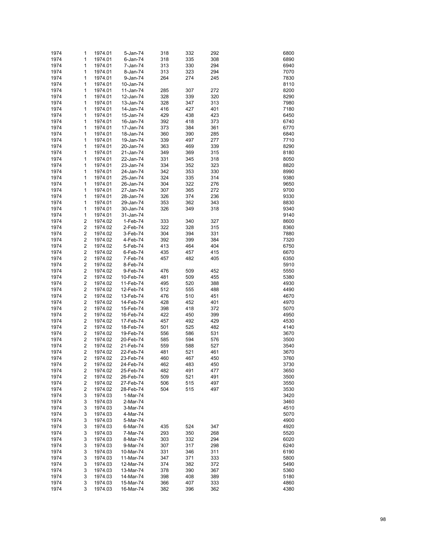| 1974         | 1      | 1974.01            | 5-Jan-74               | 318        | 332        | 292        | 6800         |
|--------------|--------|--------------------|------------------------|------------|------------|------------|--------------|
| 1974         | 1      | 1974.01            | 6-Jan-74               | 318        | 335        | 308        | 6890         |
| 1974         | 1      | 1974.01            | 7-Jan-74               | 313        | 330        | 294        | 6940         |
| 1974         | 1      | 1974.01            | 8-Jan-74               | 313        | 323        | 294        | 7070         |
| 1974         | 1      | 1974.01            | 9-Jan-74               | 264        | 274        | 245        | 7830         |
| 1974         | 1      | 1974.01            | 10-Jan-74              |            |            |            | 8110         |
| 1974         | 1      | 1974.01            | 11-Jan-74              | 285        | 307        | 272        | 8200         |
| 1974         | 1      | 1974.01            | 12-Jan-74              | 328        | 339        | 320        | 8290         |
| 1974         | 1      | 1974.01            | 13-Jan-74              | 328        | 347        | 313        | 7980         |
| 1974         | 1      | 1974.01            | 14-Jan-74              | 416        | 427        | 401        | 7180         |
| 1974         | 1      | 1974.01            | 15-Jan-74              | 429        | 438        | 423        | 6450         |
| 1974         | 1      | 1974.01            | 16-Jan-74              | 392        | 418        | 373        | 6740         |
| 1974         | 1      | 1974.01            | 17-Jan-74              | 373        | 384        | 361        | 6770         |
| 1974         | 1      | 1974.01            | 18-Jan-74              | 360        | 390        | 285        | 6840         |
| 1974         | 1      | 1974.01            | 19-Jan-74              | 339        | 497        | 277        | 7710         |
| 1974         | 1      | 1974.01            | 20-Jan-74              | 363        | 469        | 339        | 8290         |
| 1974         | 1      | 1974.01            | 21-Jan-74              | 349        | 369        | 315        | 8180         |
| 1974         | 1      | 1974.01            | 22-Jan-74              | 331        | 345        | 318        | 8050         |
| 1974         | 1      | 1974.01            | 23-Jan-74              | 334        | 352        | 323        | 8820         |
| 1974         | 1      | 1974.01            | 24-Jan-74              | 342        | 353        | 330        | 8990         |
| 1974         | 1      | 1974.01            | 25-Jan-74              | 324        | 335        | 314        | 9380         |
| 1974<br>1974 | 1<br>1 | 1974.01<br>1974.01 | 26-Jan-74<br>27-Jan-74 | 304<br>307 | 322<br>365 | 276<br>272 | 9650<br>9700 |
| 1974         | 1      | 1974.01            | 28-Jan-74              | 326        | 374        | 236        | 9330         |
| 1974         | 1      | 1974.01            | 29-Jan-74              | 353        | 362        | 343        | 8830         |
| 1974         | 1      | 1974.01            | 30-Jan-74              | 326        | 349        | 318        | 9340         |
| 1974         | 1      | 1974.01            | 31-Jan-74              |            |            |            | 9140         |
| 1974         | 2      | 1974.02            | 1-Feb-74               | 333        | 340        | 327        | 8600         |
| 1974         | 2      | 1974.02            | 2-Feb-74               | 322        | 328        | 315        | 8360         |
| 1974         | 2      | 1974.02            | 3-Feb-74               | 304        | 394        | 331        | 7880         |
| 1974         | 2      | 1974.02            | 4-Feb-74               | 392        | 399        | 384        | 7320         |
| 1974         | 2      | 1974.02            | 5-Feb-74               | 413        | 464        | 404        | 6750         |
| 1974         | 2      | 1974.02            | 6-Feb-74               | 435        | 457        | 415        | 6670         |
| 1974         | 2      | 1974.02            | 7-Feb-74               | 457        | 482        | 405        | 6350         |
| 1974         | 2      | 1974.02            | 8-Feb-74               |            |            |            | 5910         |
| 1974         | 2      | 1974.02            | 9-Feb-74               | 476        | 509        | 452        | 5550         |
| 1974         | 2      | 1974.02            | 10-Feb-74              | 481        | 509        | 455        | 5380         |
| 1974         | 2      | 1974.02            | 11-Feb-74              | 495        | 520        | 388        | 4930         |
| 1974         | 2      | 1974.02            | 12-Feb-74              | 512        | 555        | 488        | 4490         |
| 1974         | 2      | 1974.02            | 13-Feb-74              | 476        | 510        | 451        | 4670         |
| 1974         | 2      | 1974.02            | 14-Feb-74              | 428        | 452        | 401        | 4970         |
| 1974         | 2      | 1974.02            | 15-Feb-74              | 398        | 418        | 372        | 5070         |
| 1974         | 2      | 1974.02            | 16-Feb-74              | 422        | 450        | 399        | 4950         |
| 1974         | 2      | 1974.02            | 17-Feb-74              | 457        | 492        | 429        | 4530         |
| 1974         | 2      | 1974.02            | 18-Feb-74              | 501        | 525        | 482        | 4140         |
| 1974         | 2      | 1974.02            | 19-Feb-74              | 556        | 586        | 531        | 3670         |
| 1974         | 2      | 1974.02            | 20-Feb-74              | 585        | 594        | 576        | 3500         |
| 1974         | 2<br>2 | 1974.02<br>1974.02 | 21-Feb-74              | 559<br>481 | 588        | 527        | 3540         |
| 1974<br>1974 | 2      | 1974.02            | 22-Feb-74<br>23-Feb-74 | 460        | 521<br>467 | 461<br>450 | 3670<br>3760 |
| 1974         | 2      | 1974.02            | 24-Feb-74              | 462        | 483        | 450        | 3730         |
| 1974         | 2      | 1974.02            | 25-Feb-74              | 482        | 491        | 477        | 3650         |
| 1974         | 2      | 1974.02            | 26-Feb-74              | 509        | 521        | 491        | 3500         |
| 1974         | 2      | 1974.02            | 27-Feb-74              | 506        | 515        | 497        | 3550         |
| 1974         | 2      | 1974.02            | 28-Feb-74              | 504        | 515        | 497        | 3530         |
| 1974         | 3      | 1974.03            | 1-Mar-74               |            |            |            | 3420         |
| 1974         | 3      | 1974.03            | 2-Mar-74               |            |            |            | 3460         |
| 1974         | 3      | 1974.03            | 3-Mar-74               |            |            |            | 4510         |
| 1974         | 3      | 1974.03            | 4-Mar-74               |            |            |            | 5070         |
| 1974         | 3      | 1974.03            | 5-Mar-74               |            |            |            | 4900         |
| 1974         | 3      | 1974.03            | 6-Mar-74               | 435        | 524        | 347        | 4920         |
| 1974         | 3      | 1974.03            | 7-Mar-74               | 293        | 350        | 268        | 5520         |
| 1974         | 3      | 1974.03            | 8-Mar-74               | 303        | 332        | 294        | 6020         |
| 1974         | 3      | 1974.03            | 9-Mar-74               | 307        | 317        | 298        | 6240         |
| 1974         | 3      | 1974.03            | 10-Mar-74              | 331        | 346        | 311        | 6190         |
| 1974         | 3      | 1974.03            | 11-Mar-74              | 347        | 371        | 333        | 5800         |
| 1974         | 3      | 1974.03            | 12-Mar-74              | 374        | 382        | 372        | 5490         |
| 1974         | 3      | 1974.03            | 13-Mar-74              | 378        | 390        | 367        | 5360         |
| 1974         | 3<br>3 | 1974.03            | 14-Mar-74              | 398        | 408        | 389        | 5180         |
| 1974<br>1974 | 3      | 1974.03<br>1974.03 | 15-Mar-74<br>16-Mar-74 | 366<br>382 | 407<br>396 | 333<br>362 | 4860<br>4380 |
|              |        |                    |                        |            |            |            |              |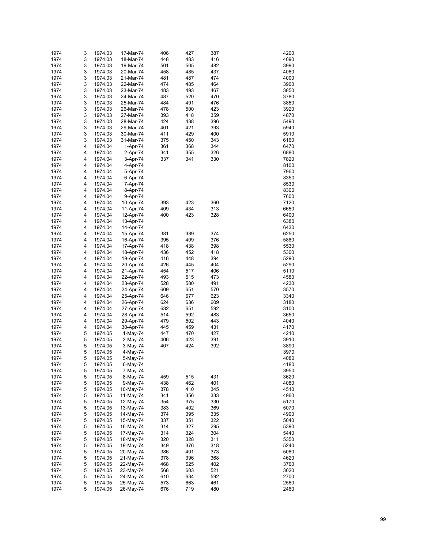| 1974         | 3      | 1974.03            | 17-Mar-74              | 406        | 427        | 387        | 4200         |
|--------------|--------|--------------------|------------------------|------------|------------|------------|--------------|
| 1974         | 3      | 1974.03            | 18-Mar-74              | 448        | 483        | 416        | 4090         |
| 1974         | 3      | 1974.03            | 19-Mar-74              | 501        | 505        | 482        | 3990         |
| 1974         | 3      | 1974.03            | 20-Mar-74              | 458        | 485        | 437        | 4060         |
| 1974         | 3      | 1974.03            | 21-Mar-74              | 481        | 487        | 474        | 4000         |
| 1974         | 3      | 1974.03            | 22-Mar-74              | 474        | 485        | 464        | 3900         |
| 1974         | 3      | 1974.03            | 23-Mar-74              | 483        | 493        | 467        | 3850         |
| 1974         | 3      | 1974.03            | 24-Mar-74              | 487        | 520        | 470        | 3780         |
| 1974         | 3      | 1974.03            | 25-Mar-74              | 484        | 491        | 476        | 3850         |
| 1974         | 3      | 1974.03            | 26-Mar-74              | 478        | 500        | 423        | 3920         |
| 1974         | 3      | 1974.03            | 27-Mar-74              | 393        | 418        | 359        | 4870         |
| 1974         | 3      | 1974.03            | 28-Mar-74              | 424        | 438        | 396        | 5490         |
| 1974         | 3      | 1974.03            | 29-Mar-74              | 401        | 421        | 393        | 5940         |
| 1974         | 3      | 1974.03            | 30-Mar-74              | 411        | 429        | 400        | 5910         |
| 1974         | 3      | 1974.03            | 31-Mar-74              | 375        | 450        | 343        | 6160         |
| 1974         | 4      | 1974.04            | 1-Apr-74               | 361        | 368        | 344        | 6470         |
| 1974         | 4      | 1974.04            | 2-Apr-74               | 341        | 355        | 326        | 6880         |
| 1974         | 4      | 1974.04            | 3-Apr-74               | 337        | 341        | 330        | 7820         |
| 1974         | 4      | 1974.04            | 4-Apr-74               |            |            |            | 8100         |
| 1974         | 4      | 1974.04            | 5-Apr-74               |            |            |            | 7960         |
| 1974         | 4      | 1974.04            | 6-Apr-74               |            |            |            | 8350         |
| 1974         | 4      | 1974.04            | 7-Apr-74               |            |            |            | 8530         |
| 1974         | 4      | 1974.04            | 8-Apr-74               |            |            |            | 8300         |
| 1974         | 4      | 1974.04            | 9-Apr-74               |            |            |            | 7600         |
| 1974         | 4      | 1974.04            | 10-Apr-74              | 393        | 423        | 360        | 7120         |
| 1974         | 4      | 1974.04            | 11-Apr-74              | 409        | 434        | 313        | 6650         |
| 1974         | 4      | 1974.04            | 12-Apr-74              | 400        | 423        | 328        | 6400         |
| 1974         | 4      | 1974.04            | 13-Apr-74              |            |            |            | 6380         |
| 1974         | 4      | 1974.04            | 14-Apr-74              |            |            |            | 6430         |
| 1974         | 4      | 1974.04            | 15-Apr-74              | 381        | 389        | 374        | 6250         |
| 1974         | 4      | 1974.04            | 16-Apr-74              | 395        | 409        | 376        | 5880         |
| 1974         | 4      | 1974.04            | 17-Apr-74              | 418        | 438        | 398        | 5530         |
| 1974         | 4      | 1974.04            | 18-Apr-74              | 436        | 452        | 418        | 5300         |
| 1974         | 4      | 1974.04            | 19-Apr-74              | 416        | 448        | 394        | 5290         |
| 1974         | 4      | 1974.04            | 20-Apr-74              | 426        | 445        | 404        | 5290         |
| 1974         | 4      | 1974.04            | 21-Apr-74              | 454        | 517        | 406        | 5110         |
| 1974         | 4      | 1974.04            | 22-Apr-74              | 493        | 515        | 473        | 4580         |
| 1974         | 4      | 1974.04            | 23-Apr-74              | 528        | 580        | 491        | 4230         |
| 1974         | 4      | 1974.04            | 24-Apr-74              | 609        | 651        | 570        | 3570         |
| 1974         | 4      | 1974.04            | 25-Apr-74              | 646        | 677        | 623        | 3340         |
| 1974         | 4      | 1974.04            | 26-Apr-74              | 624        | 636        | 609        | 3180         |
| 1974         | 4      | 1974.04            | 27-Apr-74              | 632        | 651        | 592        | 3100         |
| 1974         | 4      | 1974.04            | 28-Apr-74              | 514        | 592        | 483        | 3650         |
| 1974         | 4      | 1974.04            | 29-Apr-74              | 479        | 502        | 443        | 4040         |
| 1974         | 4      | 1974.04            | 30-Apr-74              | 445        | 459        | 431        | 4170         |
| 1974         | 5      | 1974.05            | 1-May-74               | 447        | 470        | 427        | 4210         |
| 1974         | 5      | 1974.05            | $2-May-74$             | 406        | 423        | 391        | 3910         |
| 1974         | 5      | 1974.05            | 3-May-74               | 407        | 424        | 392        | 3890         |
| 1974         | 5      | 1974.05            | 4-May-74               |            |            |            | 3970         |
| 1974         | 5      | 1974.05            | 5-May-74               |            |            |            | 4080         |
| 1974         | 5      | 1974.05            | 6-May-74               |            |            |            | 4180         |
| 1974         | 5      | 1974.05            | 7-May-74               |            |            |            | 3950         |
| 1974         | 5<br>5 | 1974.05            | 8-May-74               | 459        | 515        | 431<br>401 | 3620<br>4080 |
| 1974         | 5      | 1974.05            | 9-May-74               | 438        | 462        | 345        | 4510         |
| 1974<br>1974 | 5      | 1974.05<br>1974.05 | 10-May-74              | 378<br>341 | 410<br>356 | 333        | 4960         |
| 1974         | 5      | 1974.05            | 11-May-74<br>12-May-74 | 354        | 375        | 330        | 5170         |
| 1974         | 5      | 1974.05            | 13-May-74              | 383        | 402        | 369        | 5070         |
| 1974         | 5      | 1974.05            | 14-May-74              | 374        | 395        | 335        | 4900         |
| 1974         | 5      | 1974.05            |                        | 337        | 351        | 322        | 5040         |
| 1974         | 5      | 1974.05            | 15-May-74<br>16-May-74 | 314        | 327        | 295        | 5390         |
| 1974         | 5      | 1974.05            | 17-May-74              | 314        | 324        | 304        | 5440         |
| 1974         | 5      | 1974.05            | 18-May-74              | 320        | 328        | 311        | 5350         |
| 1974         | 5      | 1974.05            | 19-May-74              | 349        | 376        | 318        | 5240         |
| 1974         | 5      | 1974.05            | 20-May-74              | 386        | 401        | 373        | 5080         |
| 1974         | 5      | 1974.05            | 21-May-74              | 378        | 396        | 368        | 4620         |
| 1974         | 5      | 1974.05            | 22-May-74              | 468        | 525        | 402        | 3760         |
| 1974         | 5      | 1974.05            | 23-May-74              | 568        | 603        | 521        | 3020         |
| 1974         | 5      | 1974.05            | 24-May-74              | 610        | 634        | 592        | 2700         |
| 1974         | 5      | 1974.05            | 25-May-74              | 573        | 663        | 461        | 2560         |
| 1974         | 5      | 1974.05            | 26-May-74              | 676        | 719        | 480        | 2460         |
|              |        |                    |                        |            |            |            |              |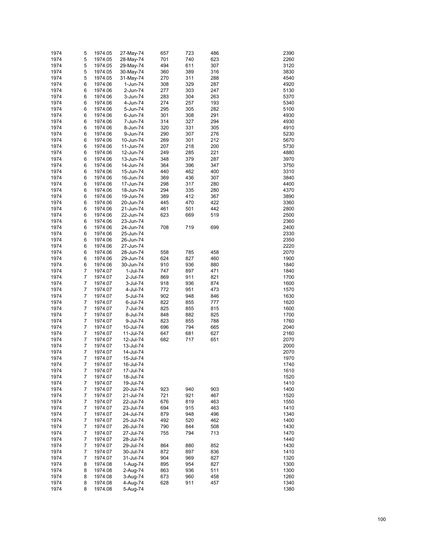| 1974 | 5              | 1974.05 | 27-May-74 | 657 | 723 | 486 | 2390 |
|------|----------------|---------|-----------|-----|-----|-----|------|
| 1974 | 5              | 1974.05 | 28-May-74 | 701 | 740 | 623 | 2260 |
|      |                |         |           |     |     |     |      |
| 1974 | 5              | 1974.05 | 29-May-74 | 494 | 611 | 307 | 3120 |
| 1974 | 5              | 1974.05 | 30-May-74 | 360 | 389 | 316 | 3830 |
| 1974 | 5              | 1974.05 | 31-May-74 | 270 | 311 | 288 | 4540 |
| 1974 | 6              | 1974.06 | 1-Jun-74  | 308 | 329 | 287 | 4920 |
| 1974 | 6              | 1974.06 | 2-Jun-74  | 277 | 303 | 247 | 5130 |
| 1974 | 6              | 1974.06 | 3-Jun-74  | 283 | 304 | 263 | 5370 |
| 1974 | 6              | 1974.06 | 4-Jun-74  | 274 | 257 | 193 | 5340 |
|      | 6              |         |           |     |     |     | 5100 |
| 1974 |                | 1974.06 | 5-Jun-74  | 295 | 305 | 282 |      |
| 1974 | 6              | 1974.06 | 6-Jun-74  | 301 | 308 | 291 | 4930 |
| 1974 | 6              | 1974.06 | 7-Jun-74  | 314 | 327 | 294 | 4930 |
| 1974 | 6              | 1974.06 | 8-Jun-74  | 320 | 331 | 305 | 4910 |
| 1974 | 6              | 1974.06 | 9-Jun-74  | 290 | 307 | 276 | 5230 |
| 1974 | 6              | 1974.06 | 10-Jun-74 | 269 | 301 | 212 | 5670 |
| 1974 | 6              | 1974.06 | 11-Jun-74 | 207 | 218 | 200 | 5730 |
| 1974 | 6              | 1974.06 | 12-Jun-74 | 249 | 285 | 221 | 4880 |
| 1974 | 6              | 1974.06 | 13-Jun-74 | 348 | 379 | 287 | 3970 |
|      |                |         |           |     |     |     |      |
| 1974 | 6              | 1974.06 | 14-Jun-74 | 364 | 396 | 347 | 3750 |
| 1974 | 6              | 1974.06 | 15-Jun-74 | 440 | 462 | 400 | 3310 |
| 1974 | 6              | 1974.06 | 16-Jun-74 | 369 | 436 | 307 | 3840 |
| 1974 | 6              | 1974.06 | 17-Jun-74 | 298 | 317 | 280 | 4400 |
| 1974 | 6              | 1974.06 | 18-Jun-74 | 294 | 335 | 280 | 4370 |
| 1974 | 6              | 1974.06 | 19-Jun-74 | 389 | 412 | 367 | 3890 |
| 1974 | 6              | 1974.06 | 20-Jun-74 | 445 | 470 | 422 | 3360 |
| 1974 | 6              | 1974.06 | 21-Jun-74 | 461 | 501 | 442 | 2800 |
|      |                |         |           |     |     |     |      |
| 1974 | 6              | 1974.06 | 22-Jun-74 | 623 | 669 | 519 | 2500 |
| 1974 | 6              | 1974.06 | 23-Jun-74 |     |     |     | 2360 |
| 1974 | 6              | 1974.06 | 24-Jun-74 | 708 | 719 | 699 | 2400 |
| 1974 | 6              | 1974.06 | 25-Jun-74 |     |     |     | 2330 |
| 1974 | 6              | 1974.06 | 26-Jun-74 |     |     |     | 2350 |
| 1974 | 6              | 1974.06 | 27-Jun-74 |     |     |     | 2220 |
| 1974 | 6              | 1974.06 | 28-Jun-74 | 558 | 785 | 458 | 2070 |
| 1974 | 6              | 1974.06 | 29-Jun-74 | 624 | 827 | 460 | 1900 |
|      |                |         |           |     |     |     |      |
| 1974 | 6              | 1974.06 | 30-Jun-74 | 910 | 936 | 880 | 1840 |
| 1974 | 7              | 1974.07 | 1-Jul-74  | 747 | 897 | 471 | 1840 |
| 1974 | 7              | 1974.07 | 2-Jul-74  | 869 | 911 | 821 | 1700 |
| 1974 | 7              | 1974.07 | 3-Jul-74  | 918 | 936 | 874 | 1600 |
| 1974 | 7              | 1974.07 | 4-Jul-74  | 772 | 951 | 473 | 1570 |
| 1974 | 7              | 1974.07 | 5-Jul-74  | 902 | 948 | 846 | 1630 |
| 1974 | 7              | 1974.07 | 6-Jul-74  | 822 | 855 | 777 | 1620 |
| 1974 | 7              | 1974.07 | 7-Jul-74  | 825 | 855 | 815 | 1600 |
| 1974 | 7              | 1974.07 | 8-Jul-74  | 848 | 882 | 825 | 1700 |
| 1974 | 7              | 1974.07 |           | 823 | 855 | 788 | 1760 |
|      |                |         | 9-Jul-74  |     |     |     |      |
| 1974 | 7              | 1974.07 | 10-Jul-74 | 696 | 794 | 665 | 2040 |
| 1974 | $\overline{7}$ | 1974.07 | 11-Jul-74 | 647 | 681 | 627 | 2160 |
| 1974 | $\overline{7}$ | 1974.07 | 12-Jul-74 | 682 | 717 | 651 | 2070 |
| 1974 | 7              | 1974.07 | 13-Jul-74 |     |     |     | 2000 |
| 1974 | 7              | 1974.07 | 14-Jul-74 |     |     |     | 2070 |
| 1974 | 7              | 1974.07 | 15-Jul-74 |     |     |     | 1970 |
| 1974 | 7              | 1974.07 | 16-Jul-74 |     |     |     | 1740 |
| 1974 | 7              | 1974.07 | 17-Jul-74 |     |     |     | 1610 |
| 1974 | 7              | 1974.07 | 18-Jul-74 |     |     |     | 1520 |
|      |                |         |           |     |     |     |      |
| 1974 | 7              | 1974.07 | 19-Jul-74 |     |     |     | 1410 |
| 1974 | 7              | 1974.07 | 20-Jul-74 | 923 | 940 | 903 | 1400 |
| 1974 | 7              | 1974.07 | 21-Jul-74 | 721 | 921 | 467 | 1520 |
| 1974 | 7              | 1974.07 | 22-Jul-74 | 676 | 819 | 463 | 1550 |
| 1974 | 7              | 1974.07 | 23-Jul-74 | 694 | 915 | 463 | 1410 |
| 1974 | 7              | 1974.07 | 24-Jul-74 | 879 | 948 | 496 | 1340 |
| 1974 | 7              | 1974.07 | 25-Jul-74 | 492 | 520 | 462 | 1400 |
| 1974 | 7              | 1974.07 | 26-Jul-74 | 790 | 844 | 508 | 1430 |
| 1974 | 7              | 1974.07 | 27-Jul-74 | 755 | 794 | 713 | 1470 |
|      |                |         |           |     |     |     |      |
| 1974 | 7              | 1974.07 | 28-Jul-74 |     |     |     | 1440 |
| 1974 | 7              | 1974.07 | 29-Jul-74 | 864 | 880 | 852 | 1430 |
| 1974 | 7              | 1974.07 | 30-Jul-74 | 872 | 897 | 836 | 1410 |
| 1974 | 7              | 1974.07 | 31-Jul-74 | 904 | 969 | 827 | 1320 |
| 1974 | 8              | 1974.08 | 1-Aug-74  | 895 | 954 | 827 | 1300 |
| 1974 | 8              | 1974.08 | 2-Aug-74  | 863 | 936 | 511 | 1300 |
| 1974 | 8              | 1974.08 | 3-Aug-74  | 673 | 960 | 458 | 1260 |
| 1974 | 8              | 1974.08 | 4-Aug-74  | 628 | 911 | 457 | 1340 |
| 1974 | 8              | 1974.08 | 5-Aug-74  |     |     |     | 1380 |
|      |                |         |           |     |     |     |      |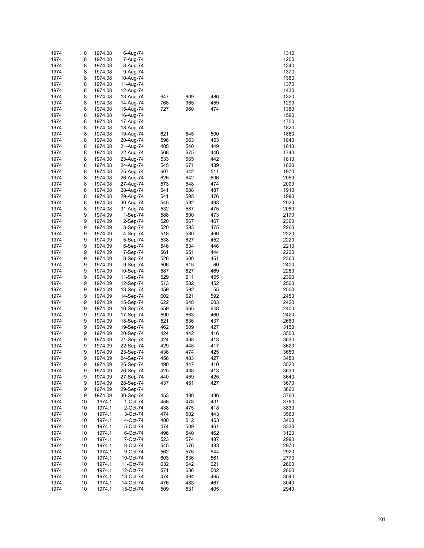| 1974         | 8      | 1974.08            | 6-Aug-74               |            |            |            | 1310         |
|--------------|--------|--------------------|------------------------|------------|------------|------------|--------------|
| 1974         | 8      | 1974.08            | 7-Aug-74               |            |            |            | 1260         |
| 1974         | 8      | 1974.08            | 8-Aug-74               |            |            |            | 1340         |
| 1974         | 8      | 1974.08            | 9-Aug-74               |            |            |            | 1370         |
| 1974         | 8      | 1974.08            | 10-Aug-74              |            |            |            | 1380         |
| 1974         | 8      | 1974.08            | 11-Aug-74              |            |            |            | 1370         |
| 1974         | 8      | 1974.08            | 12-Aug-74              |            |            |            | 1430         |
| 1974         | 8      | 1974.08            | 13-Aug-74              | 647        | 909        | 486        | 1320         |
| 1974         | 8      | 1974.08            | 14-Aug-74              | 768        | 965        | 459        | 1290         |
| 1974         | 8      | 1974.08            | 15-Aug-74              | 727        | 960        | 474        | 1380         |
| 1974         | 8      | 1974.08            | 16-Aug-74              |            |            |            | 1590         |
| 1974         | 8      | 1974.08            | 17-Aug-74              |            |            |            | 1700         |
| 1974         | 8      | 1974.08            | 18-Aug-74              |            |            |            | 1820         |
| 1974         | 8      | 1974.08            | 19-Aug-74              | 621        | 645        | 500        | 1880         |
| 1974<br>1974 | 8<br>8 | 1974.08<br>1974.08 | 20-Aug-74              | 596<br>485 | 663<br>540 | 453<br>449 | 1840<br>1810 |
| 1974         | 8      | 1974.08            | 21-Aug-74<br>22-Aug-74 | 568        | 675        | 446        | 1740         |
| 1974         | 8      | 1974.08            | 23-Aug-74              | 533        | 665        | 442        | 1810         |
| 1974         | 8      | 1974.08            | 24-Aug-74              | 545        | 671        | 439        | 1820         |
| 1974         | 8      | 1974.08            | 25-Aug-74              | 607        | 642        | 511        | 1970         |
| 1974         | 8      | 1974.08            | 26-Aug-74              | 626        | 642        | 606        | 2050         |
| 1974         | 8      | 1974.08            | 27-Aug-74              | 573        | 648        | 474        | 2000         |
| 1974         | 8      | 1974.08            | 28-Aug-74              | 541        | 588        | 487        | 1910         |
| 1974         | 8      | 1974.08            | 29-Aug-74              | 541        | 595        | 476        | 1990         |
| 1974         | 8      | 1974.08            | 30-Aug-74              | 545        | 592        | 493        | 2020         |
| 1974         | 8      | 1974.08            | 31-Aug-74              | 532        | 587        | 475        | 2080         |
| 1974         | 9      | 1974.09            | $1-Sep-74$             | 588        | 600        | 473        | 2170         |
| 1974         | 9      | 1974.09            | 2-Sep-74               | 520        | 567        | 467        | 2300         |
| 1974         | 9      | 1974.09            | 3-Sep-74               | 520        | 593        | 475        | 2260         |
| 1974         | 9      | 1974.09            | 4-Sep-74               | 518        | 580        | 466        | 2220         |
| 1974         | 9      | 1974.09            | 5-Sep-74               | 538        | 627        | 452        | 2220         |
| 1974         | 9      | 1974.09            | 6-Sep-74               | 546        | 634        | 446        | 2210         |
| 1974         | 9      | 1974.09            | 7-Sep-74               | 561        | 651        | 444        | 2220         |
| 1974         | 9      | 1974.09            | 8-Sep-74               | 528        | 600        | 451        | 2360         |
| 1974         | 9      | 1974.09            | 9-Sep-74               | 506        | 615        | 60         | 2400         |
| 1974         | 9      | 1974.09            | 10-Sep-74              | 587        | 627        | 469        | 2280         |
| 1974         | 9      | 1974.09            | 11-Sep-74              | 529        | 611        | 455        | 2390         |
| 1974         | 9      | 1974.09            | 12-Sep-74              | 513        | 582        | 452        | 2560         |
| 1974         | 9      | 1974.09            | 13-Sep-74              | 459        | 592        | 55         | 2500         |
| 1974         | 9      | 1974.09            | 14-Sep-74              | 602        | 621        | 592        | 2450         |
| 1974         | 9      | 1974.09            | 15-Sep-74              | 622        | 648        | 603        | 2420         |
| 1974         | 9      | 1974.09            | 16-Sep-74              | 659        | 665        | 648        | 2400         |
| 1974         | 9      | 1974.09            | 17-Sep-74              | 590        | 663        | 460        | 2420         |
| 1974         | 9      | 1974.09            | 18-Sep-74              | 521        | 636        | 437        | 2680         |
| 1974         | 9      | 1974.09            | 19-Sep-74              | 462        | 509        | 427        | 3150         |
| 1974         | 9      | 1974.09            | 20-Sep-74              | 424        | 442        | 416        | 3500         |
| 1974         | 9      | 1974.09            | 21-Sep-74              | 424        | 438        | 413        | 3630         |
| 1974         | 9      | 1974.09            | 22-Sep-74              | 429        | 445        | 417        | 3620         |
| 1974         | 9      | 1974.09            | 23-Sep-74              | 436        | 474        | 425        | 3650         |
| 1974         | 9      | 1974.09            | 24-Sep-74              | 456        | 483        | 427        | 3480         |
| 1974         | 9      | 1974.09<br>1974.09 | 25-Sep-74              | 490        | 447        | 410        | 3520<br>3630 |
| 1974<br>1974 | 9<br>9 | 1974.09            | 26-Sep-74<br>27-Sep-74 | 425<br>440 | 438<br>459 | 413<br>425 | 3640         |
| 1974         | 9      | 1974.09            | 28-Sep-74              | 437        | 451        | 427        | 3670         |
| 1974         | 9      | 1974.09            | 29-Sep-74              |            |            |            | 3660         |
| 1974         | 9      | 1974.09            | 30-Sep-74              | 453        | 480        | 436        | 3760         |
| 1974         | 10     | 1974.1             | 1-Oct-74               | 458        | 478        | 431        | 3760         |
| 1974         | 10     | 1974.1             | 2-Oct-74               | 438        | 475        | 418        | 3830         |
| 1974         | 10     | 1974.1             | 3-Oct-74               | 474        | 502        | 443        | 3560         |
| 1974         | 10     | 1974.1             | 4-Oct-74               | 480        | 512        | 453        | 3400         |
| 1974         | 10     | 1974.1             | 5-Oct-74               | 474        | 509        | 461        | 3330         |
| 1974         | 10     | 1974.1             | 6-Oct-74               | 496        | 540        | 462        | 3120         |
| 1974         | 10     | 1974.1             | 7-Oct-74               | 523        | 574        | 487        | 2990         |
| 1974         | 10     | 1974.1             | 8-Oct-74               | 545        | 576        | 483        | 2970         |
| 1974         | 10     | 1974.1             | 9-Oct-74               | 562        | 576        | 544        | 2920         |
| 1974         | 10     | 1974.1             | 10-Oct-74              | 603        | 636        | 561        | 2770         |
| 1974         | 10     | 1974.1             | 11-Oct-74              | 632        | 642        | 621        | 2600         |
| 1974         | 10     | 1974.1             | 12-Oct-74              | 571        | 636        | 502        | 2860         |
| 1974         | 10     | 1974.1             | 13-Oct-74              | 474        | 494        | 465        | 3040         |
| 1974         | 10     | 1974.1             | 14-Oct-74              | 476        | 488        | 467        | 3040         |
| 1974         | 10     | 1974.1             | 15-Oct-74              | 509        | 531        | 405        | 2940         |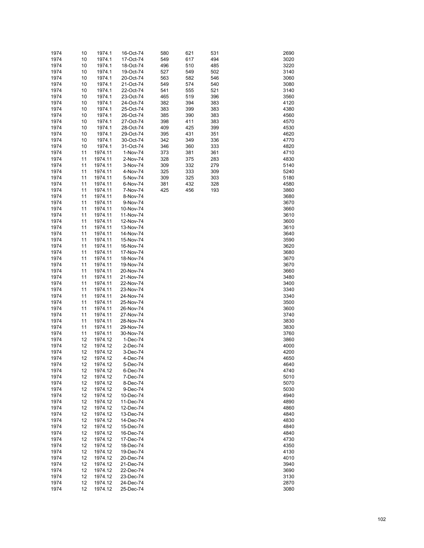| 1974         | 10       | 1974.1             | 16-Oct-74              | 580        | 621        | 531        | 2690         |
|--------------|----------|--------------------|------------------------|------------|------------|------------|--------------|
| 1974         | 10       | 1974.1             | 17-Oct-74              | 549        | 617        | 494        | 3020         |
| 1974         | 10       | 1974.1             | 18-Oct-74              | 496        | 510        | 485        | 3220         |
| 1974         | 10       | 1974.1             | 19-Oct-74              | 527        | 549        | 502        | 3140         |
| 1974         | 10       | 1974.1             | 20-Oct-74              | 563        | 582        | 546        | 3060         |
| 1974         | 10       | 1974.1             | 21-Oct-74              | 549        | 574        | 540        | 3080         |
| 1974         | 10       | 1974.1             | 22-Oct-74              | 541        | 555        | 521        | 3140         |
| 1974         | 10       | 1974.1             | 23-Oct-74              | 465        | 519        | 396        | 3560         |
| 1974<br>1974 | 10<br>10 | 1974.1<br>1974.1   | 24-Oct-74<br>25-Oct-74 | 382<br>383 | 394<br>399 | 383<br>383 | 4120<br>4380 |
| 1974         | 10       | 1974.1             | 26-Oct-74              | 385        | 390        | 383        | 4560         |
| 1974         | 10       | 1974.1             | 27-Oct-74              | 398        | 411        | 383        | 4570         |
| 1974         | 10       | 1974.1             | 28-Oct-74              | 409        | 425        | 399        | 4530         |
| 1974         | 10       | 1974.1             | 29-Oct-74              | 395        | 431        | 351        | 4620         |
| 1974         | 10       | 1974.1             | 30-Oct-74              | 342        | 349        | 336        | 4770         |
| 1974         | 10       | 1974.1             | 31-Oct-74              | 346        | 360        | 333        | 4820         |
| 1974         | 11       | 1974.11            | 1-Nov-74               | 373        | 381        | 361        | 4710         |
| 1974         | 11       | 1974.11            | 2-Nov-74               | 328        | 375        | 283        | 4830         |
| 1974         | 11       | 1974.11            | 3-Nov-74               | 309        | 332        | 279        | 5140         |
| 1974         | 11       | 1974.11            | 4-Nov-74               | 325        | 333        | 309        | 5240         |
| 1974         | 11       | 1974.11            | 5-Nov-74               | 309        | 325        | 303        | 5180         |
| 1974         | 11       | 1974.11            | 6-Nov-74               | 381        | 432        | 328        | 4580         |
| 1974         | 11       | 1974.11            | 7-Nov-74               | 425        | 456        | 193        | 3860         |
| 1974         | 11       | 1974.11            | 8-Nov-74               |            |            |            | 3680         |
| 1974         | 11       | 1974.11            | 9-Nov-74               |            |            |            | 3670         |
| 1974         | 11       | 1974.11            | 10-Nov-74              |            |            |            | 3660         |
| 1974<br>1974 | 11<br>11 | 1974.11<br>1974.11 | 11-Nov-74<br>12-Nov-74 |            |            |            | 3610<br>3600 |
| 1974         | 11       | 1974.11            | 13-Nov-74              |            |            |            | 3610         |
| 1974         | 11       | 1974.11            | 14-Nov-74              |            |            |            | 3640         |
| 1974         | 11       | 1974.11            | 15-Nov-74              |            |            |            | 3590         |
| 1974         | 11       | 1974.11            | 16-Nov-74              |            |            |            | 3620         |
| 1974         | 11       | 1974.11            | 17-Nov-74              |            |            |            | 3680         |
| 1974         | 11       | 1974.11            | 18-Nov-74              |            |            |            | 3670         |
| 1974         | 11       | 1974.11            | 19-Nov-74              |            |            |            | 3670         |
| 1974         | 11       | 1974.11            | 20-Nov-74              |            |            |            | 3660         |
| 1974         | 11       | 1974.11            | 21-Nov-74              |            |            |            | 3480         |
| 1974         | 11       | 1974.11            | 22-Nov-74              |            |            |            | 3400         |
| 1974         | 11       | 1974.11            | 23-Nov-74              |            |            |            | 3340         |
| 1974         | 11       | 1974.11            | 24-Nov-74              |            |            |            | 3340         |
| 1974         | 11<br>11 | 1974.11            | 25-Nov-74              |            |            |            | 3500         |
| 1974<br>1974 | 11       | 1974.11<br>1974.11 | 26-Nov-74<br>27-Nov-74 |            |            |            | 3600<br>3740 |
| 1974         | 11       | 1974.11            | 28-Nov-74              |            |            |            | 3830         |
| 1974         | 11       | 1974.11            | 29-Nov-74              |            |            |            | 3830         |
| 1974         | 11       | 1974.11            | 30-Nov-74              |            |            |            | 3760         |
| 1974         | 12       | 1974.12            | 1-Dec-74               |            |            |            | 3860         |
| 1974         | 12       | 1974.12            | 2-Dec-74               |            |            |            | 4000         |
| 1974         | 12       | 1974.12            | 3-Dec-74               |            |            |            | 4200         |
| 1974         | 12       | 1974.12            | 4-Dec-74               |            |            |            | 4650         |
| 1974         | 12       | 1974.12            | 5-Dec-74               |            |            |            | 4640         |
| 1974         | 12       | 1974.12            | 6-Dec-74               |            |            |            | 4740         |
| 1974         | 12       | 1974.12            | 7-Dec-74               |            |            |            | 5010         |
| 1974         | 12       | 1974.12            | 8-Dec-74               |            |            |            | 5070         |
| 1974         | 12       | 1974.12            | 9-Dec-74               |            |            |            | 5030         |
| 1974         | 12       | 1974.12            | 10-Dec-74              |            |            |            | 4940         |
| 1974<br>1974 | 12<br>12 | 1974.12<br>1974.12 | 11-Dec-74<br>12-Dec-74 |            |            |            | 4890<br>4860 |
| 1974         | 12       | 1974.12            | 13-Dec-74              |            |            |            | 4840         |
| 1974         | 12       | 1974.12            | 14-Dec-74              |            |            |            | 4830         |
| 1974         | 12       | 1974.12            | 15-Dec-74              |            |            |            | 4840         |
| 1974         | 12       | 1974.12            | 16-Dec-74              |            |            |            | 4840         |
| 1974         | 12       | 1974.12            | 17-Dec-74              |            |            |            | 4730         |
| 1974         | 12       | 1974.12            | 18-Dec-74              |            |            |            | 4350         |
| 1974         | 12       | 1974.12            | 19-Dec-74              |            |            |            | 4130         |
| 1974         | 12       | 1974.12            | 20-Dec-74              |            |            |            | 4010         |
| 1974         | 12       | 1974.12            | 21-Dec-74              |            |            |            | 3940         |
| 1974         | 12       | 1974.12            | 22-Dec-74              |            |            |            | 3690         |
| 1974         | 12       | 1974.12            | 23-Dec-74              |            |            |            | 3130         |
| 1974         | 12       | 1974.12            | 24-Dec-74              |            |            |            | 2870         |
| 1974         | 12       | 1974.12            | 25-Dec-74              |            |            |            | 3080         |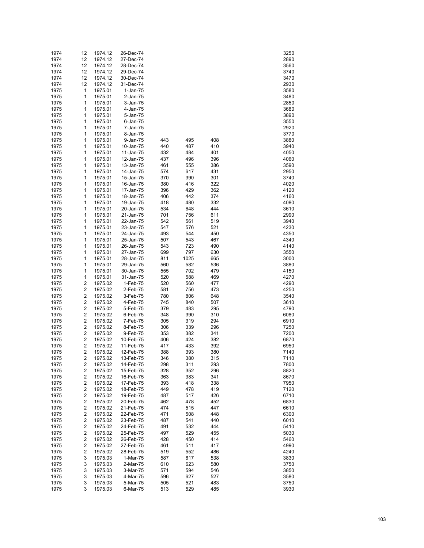| 1974         | 12                      | 1974.12            | 26-Dec-74              |            |            |            | 3250         |
|--------------|-------------------------|--------------------|------------------------|------------|------------|------------|--------------|
| 1974         | 12                      | 1974.12            | 27-Dec-74              |            |            |            | 2890         |
| 1974         | 12                      | 1974.12            | 28-Dec-74              |            |            |            | 3560         |
| 1974         | 12                      | 1974.12            | 29-Dec-74              |            |            |            | 3740         |
| 1974         | 12                      | 1974.12            | 30-Dec-74              |            |            |            | 3470         |
| 1974         | 12                      | 1974.12            | 31-Dec-74              |            |            |            | 2930         |
| 1975         | 1                       | 1975.01            | $1-Jan-75$             |            |            |            | 3580         |
| 1975         | 1                       | 1975.01            | 2-Jan-75               |            |            |            | 3480         |
| 1975         | 1                       | 1975.01            | 3-Jan-75               |            |            |            | 2850         |
| 1975         | 1                       | 1975.01            | 4-Jan-75               |            |            |            | 3680         |
| 1975         | 1                       | 1975.01            | 5-Jan-75               |            |            |            | 3890         |
| 1975         | 1                       | 1975.01            | 6-Jan-75               |            |            |            | 3550         |
| 1975         | 1                       | 1975.01            | 7-Jan-75               |            |            |            | 2920         |
| 1975         | 1                       | 1975.01            | 8-Jan-75               |            |            |            | 3770         |
| 1975         | 1                       | 1975.01            | 9-Jan-75               | 443        | 495        | 408        | 3880         |
| 1975         | 1                       | 1975.01            | 10-Jan-75              | 440        | 487        | 410        | 3940         |
| 1975         | 1                       | 1975.01            | 11-Jan-75              | 432        | 484        | 401        | 4050         |
| 1975         | 1                       | 1975.01            | 12-Jan-75              | 437        | 496        | 396        | 4060         |
| 1975         | 1<br>1                  | 1975.01            | 13-Jan-75              | 461        | 555        | 386        | 3590<br>2950 |
| 1975<br>1975 | 1                       | 1975.01<br>1975.01 | 14-Jan-75<br>15-Jan-75 | 574<br>370 | 617<br>390 | 431<br>301 | 3740         |
| 1975         | 1                       | 1975.01            |                        | 380        | 416        | 322        | 4020         |
| 1975         | 1                       | 1975.01            | 16-Jan-75<br>17-Jan-75 | 396        | 429        | 362        | 4120         |
| 1975         | 1                       | 1975.01            | 18-Jan-75              | 406        | 442        | 374        | 4160         |
| 1975         | 1                       | 1975.01            | 19-Jan-75              | 418        | 480        | 332        | 4080         |
| 1975         | 1                       | 1975.01            | 20-Jan-75              | 534        | 648        | 444        | 3610         |
| 1975         | 1                       | 1975.01            | 21-Jan-75              | 701        | 756        | 611        | 2990         |
| 1975         | 1                       | 1975.01            | 22-Jan-75              | 542        | 561        | 519        | 3940         |
| 1975         | 1                       | 1975.01            | 23-Jan-75              | 547        | 576        | 521        | 4230         |
| 1975         | 1                       | 1975.01            | 24-Jan-75              | 493        | 544        | 450        | 4350         |
| 1975         | 1                       | 1975.01            | 25-Jan-75              | 507        | 543        | 467        | 4340         |
| 1975         | 1                       | 1975.01            | 26-Jan-75              | 543        | 723        | 490        | 4140         |
| 1975         | 1                       | 1975.01            | 27-Jan-75              | 699        | 797        | 630        | 3550         |
| 1975         | 1                       | 1975.01            | 28-Jan-75              | 811        | 1025       | 665        | 3000         |
| 1975         | 1                       | 1975.01            | 29-Jan-75              | 560        | 582        | 536        | 3880         |
| 1975         | 1                       | 1975.01            | 30-Jan-75              | 555        | 702        | 479        | 4150         |
| 1975         | $\mathbf{1}$            | 1975.01            | 31-Jan-75              | 520        | 588        | 469        | 4270         |
| 1975         | $\overline{\mathbf{c}}$ | 1975.02            | 1-Feb-75               | 520        | 560        | 477        | 4290         |
| 1975         | $\overline{\mathbf{c}}$ | 1975.02            | 2-Feb-75               | 581        | 756        | 473        | 4250         |
| 1975         | $\overline{\mathbf{c}}$ | 1975.02            | 3-Feb-75               | 780        | 806        | 648        | 3540         |
| 1975         | $\overline{\mathbf{c}}$ | 1975.02            | 4-Feb-75               | 745        | 840        | 507        | 3610         |
| 1975         | $\overline{\mathbf{c}}$ | 1975.02            | 5-Feb-75               | 379        | 483        | 295        | 4790         |
| 1975         | $\overline{\mathbf{c}}$ | 1975.02            | 6-Feb-75               | 348        | 390        | 310        | 6080         |
| 1975         | $\overline{\mathbf{c}}$ | 1975.02            | 7-Feb-75               | 305        | 319        | 294        | 6910         |
| 1975         | $\overline{\mathbf{c}}$ | 1975.02            | 8-Feb-75               | 306        | 339        | 296        | 7250         |
| 1975         | $\overline{\mathbf{c}}$ | 1975.02            | 9-Feb-75               | 353        | 382        | 341        | 7200         |
| 1975         | $\overline{\mathbf{c}}$ | 1975.02            | 10-Feb-75              | 406        | 424        | 382        | 6870         |
| 1975         | 2                       | 1975.02            | 11-Feb-75              | 417        | 433        | 392        | 6950         |
| 1975         | 2                       | 1975.02            | 12-Feb-75              | 388        | 393        | 380        | 7140         |
| 1975         | 2                       | 1975.02            | 13-Feb-75              | 346        | 380        | 315        | 7110         |
| 1975         | 2                       | 1975.02            | 14-Feb-75              | 298        | 311        | 293        | 7800         |
| 1975         | $\overline{\mathbf{c}}$ | 1975.02            | 15-Feb-75              | 328        | 352        | 296        | 8820         |
| 1975         | $\overline{\mathbf{c}}$ | 1975.02            | 16-Feb-75              | 363        | 383        | 341        | 8670         |
| 1975         | 2                       | 1975.02            | 17-Feb-75              | 393        | 418        | 338        | 7950         |
| 1975         | $\overline{\mathbf{c}}$ | 1975.02            | 18-Feb-75              | 449        | 478        | 419        | 7120         |
| 1975         | $\overline{\mathbf{c}}$ | 1975.02            | 19-Feb-75              | 487        | 517        | 426        | 6710         |
| 1975         | $\overline{\mathbf{c}}$ | 1975.02            | 20-Feb-75              | 462        | 478        | 452        | 6830         |
| 1975         | 2                       | 1975.02            | 21-Feb-75              | 474        | 515        | 447        | 6610         |
| 1975         | $\overline{\mathbf{c}}$ | 1975.02            | 22-Feb-75              | 471        | 508        | 448        | 6300         |
| 1975         | $\overline{\mathbf{c}}$ | 1975.02            | 23-Feb-75              | 487        | 541        | 440        | 6010         |
| 1975         | $\overline{\mathbf{c}}$ | 1975.02            | 24-Feb-75              | 491        | 532        | 444        | 5410         |
| 1975         | 2                       | 1975.02            | 25-Feb-75              | 497        | 529        | 455        | 5030         |
| 1975         | $\overline{\mathbf{c}}$ | 1975.02            | 26-Feb-75              | 428        | 450        | 414        | 5460         |
| 1975         | $\overline{\mathbf{c}}$ | 1975.02            | 27-Feb-75              | 461        | 511        | 417        | 4990         |
| 1975         | $\overline{\mathbf{c}}$ | 1975.02            | 28-Feb-75              | 519        | 552        | 486        | 4240         |
| 1975         | 3                       | 1975.03            | 1-Mar-75               | 587        | 617        | 538        | 3830         |
| 1975         | 3                       | 1975.03            | 2-Mar-75               | 610        | 623        | 580        | 3750         |
| 1975         | 3                       | 1975.03            | 3-Mar-75               | 571        | 594        | 546        | 3850         |
| 1975         | 3                       | 1975.03            | 4-Mar-75               | 596        | 627        | 527        | 3580         |
| 1975         | 3                       | 1975.03            | 5-Mar-75               | 505        | 521        | 483        | 3750         |
| 1975         | 3                       | 1975.03            | 6-Mar-75               | 513        | 529        | 485        | 3930         |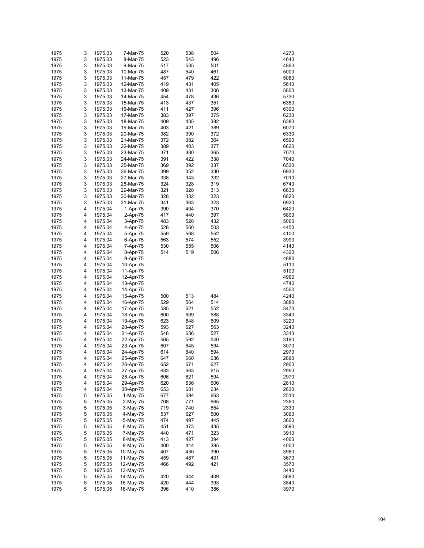| 1975 | 3 | 1975.03 | 7-Mar-75  | 520 | 538 | 504 | 4270 |
|------|---|---------|-----------|-----|-----|-----|------|
| 1975 | 3 |         | 8-Mar-75  | 523 | 543 | 496 | 4640 |
|      |   | 1975.03 |           |     |     |     |      |
| 1975 | 3 | 1975.03 | 9-Mar-75  | 517 | 535 | 501 | 4860 |
| 1975 | 3 | 1975.03 | 10-Mar-75 | 487 | 540 | 461 | 5000 |
| 1975 | 3 | 1975.03 | 11-Mar-75 | 457 | 479 | 422 | 5060 |
| 1975 | 3 | 1975.03 | 12-Mar-75 | 419 | 431 | 405 | 5610 |
| 1975 | 3 | 1975.03 | 13-Mar-75 | 409 | 431 | 306 | 5800 |
| 1975 | 3 | 1975.03 | 14-Mar-75 | 454 | 478 | 436 | 5730 |
| 1975 | 3 | 1975.03 | 15-Mar-75 | 413 | 437 | 351 | 6350 |
| 1975 | 3 | 1975.03 | 16-Mar-75 | 411 | 427 | 396 | 6300 |
| 1975 | 3 | 1975.03 | 17-Mar-75 | 383 | 397 | 375 | 6230 |
| 1975 | 3 | 1975.03 | 18-Mar-75 | 409 | 435 | 382 | 6380 |
|      | 3 |         |           |     |     |     |      |
| 1975 |   | 1975.03 | 19-Mar-75 | 403 | 421 | 389 | 6070 |
| 1975 | 3 | 1975.03 | 20-Mar-75 | 382 | 390 | 372 | 6330 |
| 1975 | 3 | 1975.03 | 21-Mar-75 | 372 | 382 | 364 | 6590 |
| 1975 | 3 | 1975.03 | 22-Mar-75 | 389 | 403 | 377 | 6620 |
| 1975 | 3 | 1975.03 | 23-Mar-75 | 371 | 380 | 365 | 7070 |
| 1975 | 3 | 1975.03 | 24-Mar-75 | 391 | 422 | 338 | 7040 |
| 1975 | 3 | 1975.03 | 25-Mar-75 | 369 | 392 | 337 | 6530 |
| 1975 | 3 | 1975.03 | 26-Mar-75 | 399 | 352 | 330 | 6930 |
| 1975 | 3 | 1975.03 | 27-Mar-75 | 338 | 343 | 332 | 7010 |
| 1975 | 3 | 1975.03 | 28-Mar-75 | 324 | 328 | 319 | 6740 |
| 1975 | 3 | 1975.03 | 29-Mar-75 | 321 | 328 | 313 | 6630 |
| 1975 | 3 |         |           | 328 |     |     | 6820 |
|      |   | 1975.03 | 30-Mar-75 |     | 332 | 323 |      |
| 1975 | 3 | 1975.03 | 31-Mar-75 | 341 | 363 | 323 | 6920 |
| 1975 | 4 | 1975.04 | 1-Apr-75  | 390 | 404 | 370 | 6420 |
| 1975 | 4 | 1975.04 | 2-Apr-75  | 417 | 440 | 397 | 5800 |
| 1975 | 4 | 1975.04 | 3-Apr-75  | 483 | 528 | 432 | 5060 |
| 1975 | 4 | 1975.04 | 4-Apr-75  | 528 | 560 | 503 | 4450 |
| 1975 | 4 | 1975.04 | 5-Apr-75  | 559 | 568 | 552 | 4100 |
| 1975 | 4 | 1975.04 | 6-Apr-75  | 563 | 574 | 552 | 3990 |
| 1975 | 4 | 1975.04 | 7-Apr-75  | 530 | 555 | 506 | 4140 |
| 1975 | 4 | 1975.04 | 8-Apr-75  | 514 | 519 | 506 | 4320 |
| 1975 | 4 | 1975.04 | 9-Apr-75  |     |     |     | 4880 |
|      | 4 |         |           |     |     |     |      |
| 1975 |   | 1975.04 | 10-Apr-75 |     |     |     | 5110 |
| 1975 | 4 | 1975.04 | 11-Apr-75 |     |     |     | 5100 |
| 1975 | 4 | 1975.04 | 12-Apr-75 |     |     |     | 4960 |
| 1975 | 4 | 1975.04 | 13-Apr-75 |     |     |     | 4740 |
| 1975 | 4 | 1975.04 | 14-Apr-75 |     |     |     | 4560 |
| 1975 | 4 | 1975.04 | 15-Apr-75 | 500 | 513 | 484 | 4240 |
| 1975 | 4 | 1975.04 | 16-Apr-75 | 529 | 564 | 514 | 3880 |
| 1975 | 4 | 1975.04 | 17-Apr-75 | 585 | 621 | 552 | 3470 |
| 1975 | 4 | 1975.04 | 18-Apr-75 | 600 | 609 | 588 | 3340 |
| 1975 | 4 | 1975.04 | 19-Apr-75 | 623 | 648 | 609 | 3220 |
| 1975 | 4 | 1975.04 | 20-Apr-75 | 593 | 627 | 563 | 3240 |
| 1975 | 4 | 1975.04 |           | 546 | 636 | 527 | 3310 |
|      |   |         | 21-Apr-75 |     |     |     |      |
| 1975 | 4 | 1975.04 | 22-Apr-75 | 565 | 592 | 540 | 3190 |
| 1975 | 4 | 1975.04 | 23-Apr-75 | 607 | 645 | 594 | 3070 |
| 1975 | 4 | 1975.04 | 24-Apr-75 | 614 | 640 | 594 | 2970 |
| 1975 | 4 | 1975.04 | 25-Apr-75 | 647 | 660 | 636 | 2890 |
| 1975 | 4 | 1975.04 | 26-Apr-75 | 652 | 671 | 627 | 2900 |
| 1975 | 4 | 1975.04 | 27-Apr-75 | 633 | 663 | 615 | 2950 |
| 1975 | 4 | 1975.04 | 28-Apr-75 | 606 | 621 | 594 | 2970 |
| 1975 | 4 | 1975.04 | 29-Apr-75 | 620 | 636 | 606 | 2810 |
| 1975 | 4 | 1975.04 | 30-Apr-75 | 653 | 681 | 634 | 2630 |
| 1975 | 5 | 1975.05 | 1-May-75  | 677 | 694 | 663 | 2510 |
|      |   |         |           |     |     |     | 2360 |
| 1975 | 5 | 1975.05 | 2-May-75  | 708 | 771 | 665 |      |
| 1975 | 5 | 1975.05 | 3-May-75  | 719 | 740 | 654 | 2330 |
| 1975 | 5 | 1975.05 | 4-May-75  | 537 | 627 | 500 | 3090 |
| 1975 | 5 | 1975.05 | 5-May-75  | 474 | 497 | 445 | 3660 |
| 1975 | 5 | 1975.05 | 6-May-75  | 451 | 473 | 435 | 3690 |
| 1975 | 5 | 1975.05 | 7-May-75  | 440 | 471 | 323 | 3910 |
| 1975 | 5 | 1975.05 | 8-May-75  | 413 | 427 | 394 | 4060 |
| 1975 | 5 | 1975.05 | 9-May-75  | 400 | 414 | 385 | 4000 |
| 1975 | 5 | 1975.05 | 10-May-75 | 407 | 430 | 390 | 3960 |
| 1975 | 5 | 1975.05 | 11-May-75 | 459 | 487 | 431 | 3670 |
| 1975 | 5 | 1975.05 | 12-May-75 | 466 | 492 | 421 | 3570 |
| 1975 | 5 | 1975.05 | 13-May-75 |     |     |     | 3440 |
|      |   |         |           |     |     |     |      |
| 1975 | 5 | 1975.05 | 14-May-75 | 420 | 444 | 409 | 3690 |
| 1975 | 5 | 1975.05 | 15-May-75 | 420 | 444 | 393 | 3840 |
| 1975 | 5 | 1975.05 | 16-May-75 | 396 | 410 | 386 | 3970 |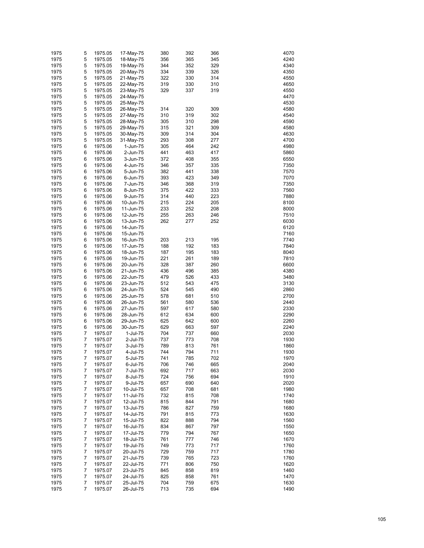| 5<br>1975<br>1975.05<br>356<br>365<br>345<br>4240<br>18-May-75<br>5<br>1975<br>1975.05<br>344<br>352<br>329<br>4340<br>19-May-75<br>5<br>334<br>339<br>4350<br>1975<br>1975.05<br>20-May-75<br>326<br>5<br>322<br>330<br>314<br>4550<br>1975<br>1975.05<br>21-May-75<br>5<br>1975<br>1975.05<br>319<br>330<br>310<br>4650<br>22-May-75<br>5<br>1975<br>1975.05<br>329<br>337<br>319<br>4550<br>23-May-75<br>5<br>1975<br>4470<br>1975.05<br>24-May-75<br>5<br>1975<br>4530<br>1975.05<br>25-May-75<br>5<br>1975<br>1975.05<br>314<br>320<br>309<br>4580<br>26-May-75<br>5<br>1975<br>310<br>319<br>302<br>4540<br>1975.05<br>27-May-75<br>5<br>1975<br>305<br>310<br>298<br>4590<br>1975.05<br>28-May-75<br>5<br>1975<br>315<br>321<br>309<br>4580<br>1975.05<br>29-May-75<br>5<br>1975<br>1975.05<br>309<br>314<br>4630<br>30-May-75<br>304<br>5<br>1975<br>293<br>308<br>277<br>4700<br>1975.05<br>31-May-75<br>1975<br>6<br>305<br>464<br>242<br>4980<br>1975.06<br>1-Jun-75<br>1975<br>6<br>1975.06<br>441<br>463<br>417<br>5860<br>2-Jun-75<br>1975<br>6<br>1975.06<br>372<br>408<br>355<br>6550<br>3-Jun-75<br>1975<br>6<br>346<br>357<br>335<br>7350<br>1975.06<br>4-Jun-75<br>1975<br>6<br>382<br>441<br>338<br>7570<br>1975.06<br>5-Jun-75<br>1975<br>6<br>1975.06<br>393<br>423<br>349<br>7070<br>6-Jun-75<br>1975<br>6<br>1975.06<br>346<br>368<br>7350<br>7-Jun-75<br>319<br>1975<br>6<br>375<br>422<br>333<br>7560<br>1975.06<br>8-Jun-75<br>1975<br>6<br>314<br>440<br>7880<br>1975.06<br>9-Jun-75<br>223<br>1975<br>6<br>1975.06<br>215<br>224<br>205<br>8100<br>10-Jun-75<br>1975<br>6<br>1975.06<br>233<br>252<br>208<br>8000<br>11-Jun-75<br>1975<br>6<br>255<br>263<br>246<br>7510<br>1975.06<br>12-Jun-75<br>1975<br>6<br>262<br>277<br>252<br>6030<br>1975.06<br>13-Jun-75<br>1975<br>6<br>1975.06<br>6120<br>14-Jun-75<br>1975<br>6<br>1975.06<br>7160<br>15-Jun-75<br>1975<br>6<br>203<br>213<br>195<br>7740<br>1975.06<br>16-Jun-75<br>1975<br>6<br>188<br>192<br>183<br>7840<br>1975.06<br>17-Jun-75<br>1975<br>6<br>1975.06<br>187<br>195<br>183<br>8040<br>18-Jun-75<br>1975<br>6<br>1975.06<br>221<br>261<br>189<br>7810<br>19-Jun-75<br>6<br>328<br>387<br>260<br>6600<br>1975<br>1975.06<br>20-Jun-75<br>1975<br>6<br>436<br>496<br>385<br>4380<br>1975.06<br>21-Jun-75<br>1975<br>6<br>1975.06<br>479<br>526<br>433<br>3480<br>22-Jun-75<br>1975<br>6<br>1975.06<br>512<br>543<br>475<br>3130<br>23-Jun-75<br>6<br>524<br>545<br>490<br>2860<br>1975<br>1975.06<br>24-Jun-75<br>1975<br>6<br>681<br>510<br>2700<br>1975.06<br>25-Jun-75<br>578<br>1975<br>6<br>561<br>580<br>536<br>2440<br>1975.06<br>26-Jun-75<br>1975<br>6<br>1975.06<br>597<br>617<br>580<br>2330<br>27-Jun-75<br>6<br>612<br>634<br>2290<br>1975<br>1975.06<br>28-Jun-75<br>600<br>1975<br>6<br>625<br>642<br>2260<br>1975.06<br>29-Jun-75<br>600<br>1975<br>6<br>629<br>663<br>597<br>2240<br>1975.06<br>30-Jun-75<br>1975<br>7<br>1975.07<br>704<br>737<br>2030<br>1-Jul-75<br>660<br>$\overline{7}$<br>1975<br>737<br>773<br>708<br>1930<br>1975.07<br>2-Jul-75<br>$\overline{7}$<br>1975<br>789<br>813<br>761<br>1860<br>1975.07<br>3-Jul-75<br>1975<br>7<br>744<br>794<br>711<br>1930<br>1975.07<br>4-Jul-75<br>1975<br>7<br>1975.07<br>741<br>785<br>702<br>1970<br>5-Jul-75<br>7<br>1975<br>1975.07<br>6-Jul-75<br>706<br>746<br>665<br>2040<br>1975<br>7<br>692<br>717<br>663<br>2030<br>1975.07<br>7-Jul-75<br>1975<br>7<br>724<br>756<br>694<br>1910<br>1975.07<br>8-Jul-75<br>1975<br>7<br>657<br>690<br>2020<br>1975.07<br>9-Jul-75<br>640<br>1975<br>7<br>657<br>708<br>681<br>1980<br>1975.07<br>10-Jul-75<br>1975<br>7<br>732<br>815<br>708<br>1740<br>1975.07<br>11-Jul-75<br>1975<br>7<br>1975.07<br>815<br>844<br>791<br>1680<br>12-Jul-75<br>1975<br>7<br>786<br>827<br>759<br>1680<br>1975.07<br>13-Jul-75<br>1975<br>7<br>1975.07<br>791<br>815<br>773<br>1630<br>14-Jul-75<br>1975<br>7<br>1975.07<br>822<br>888<br>794<br>1560<br>15-Jul-75<br>1975<br>7<br>1975.07<br>834<br>867<br>797<br>1550<br>16-Jul-75<br>1975<br>7<br>779<br>794<br>767<br>1650<br>1975.07<br>17-Jul-75<br>1975<br>7<br>761<br>777<br>746<br>1670<br>1975.07<br>18-Jul-75<br>1975<br>7<br>1975.07<br>749<br>773<br>717<br>1760<br>19-Jul-75<br>1975<br>7<br>729<br>759<br>717<br>1780<br>1975.07<br>20-Jul-75<br>1975<br>7<br>739<br>765<br>1760<br>1975.07<br>21-Jul-75<br>723<br>1975<br>7<br>771<br>806<br>750<br>1620<br>1975.07<br>22-Jul-75<br>1975<br>7<br>858<br>1460<br>1975.07<br>23-Jul-75<br>845<br>819<br>1975<br>7<br>825<br>858<br>1470<br>1975.07<br>24-Jul-75<br>761<br>1975<br>7<br>704<br>759<br>1630<br>1975.07<br>25-Jul-75<br>675<br>1975<br>7<br>1975.07<br>713<br>735<br>694<br>1490<br>26-Jul-75 | 1975 | 5 | 1975.05 | 17-May-75 | 380 | 392 | 366 | 4070 |
|------------------------------------------------------------------------------------------------------------------------------------------------------------------------------------------------------------------------------------------------------------------------------------------------------------------------------------------------------------------------------------------------------------------------------------------------------------------------------------------------------------------------------------------------------------------------------------------------------------------------------------------------------------------------------------------------------------------------------------------------------------------------------------------------------------------------------------------------------------------------------------------------------------------------------------------------------------------------------------------------------------------------------------------------------------------------------------------------------------------------------------------------------------------------------------------------------------------------------------------------------------------------------------------------------------------------------------------------------------------------------------------------------------------------------------------------------------------------------------------------------------------------------------------------------------------------------------------------------------------------------------------------------------------------------------------------------------------------------------------------------------------------------------------------------------------------------------------------------------------------------------------------------------------------------------------------------------------------------------------------------------------------------------------------------------------------------------------------------------------------------------------------------------------------------------------------------------------------------------------------------------------------------------------------------------------------------------------------------------------------------------------------------------------------------------------------------------------------------------------------------------------------------------------------------------------------------------------------------------------------------------------------------------------------------------------------------------------------------------------------------------------------------------------------------------------------------------------------------------------------------------------------------------------------------------------------------------------------------------------------------------------------------------------------------------------------------------------------------------------------------------------------------------------------------------------------------------------------------------------------------------------------------------------------------------------------------------------------------------------------------------------------------------------------------------------------------------------------------------------------------------------------------------------------------------------------------------------------------------------------------------------------------------------------------------------------------------------------------------------------------------------------------------------------------------------------------------------------------------------------------------------------------------------------------------------------------------------------------------------------------------------------------------------------------------------------------------------------------------------------------------------------------------------------------------------------------------------------------------------------------------------------------------------------------------------------------------------------------------------------------------------------------------------------------------------------------------------------------------------------------------------------------------------------------------------------------------------------------------------------------------------------------------------------------------------------------------------------------|------|---|---------|-----------|-----|-----|-----|------|
|                                                                                                                                                                                                                                                                                                                                                                                                                                                                                                                                                                                                                                                                                                                                                                                                                                                                                                                                                                                                                                                                                                                                                                                                                                                                                                                                                                                                                                                                                                                                                                                                                                                                                                                                                                                                                                                                                                                                                                                                                                                                                                                                                                                                                                                                                                                                                                                                                                                                                                                                                                                                                                                                                                                                                                                                                                                                                                                                                                                                                                                                                                                                                                                                                                                                                                                                                                                                                                                                                                                                                                                                                                                                                                                                                                                                                                                                                                                                                                                                                                                                                                                                                                                                                                                                                                                                                                                                                                                                                                                                                                                                                                                                                                                              |      |   |         |           |     |     |     |      |
|                                                                                                                                                                                                                                                                                                                                                                                                                                                                                                                                                                                                                                                                                                                                                                                                                                                                                                                                                                                                                                                                                                                                                                                                                                                                                                                                                                                                                                                                                                                                                                                                                                                                                                                                                                                                                                                                                                                                                                                                                                                                                                                                                                                                                                                                                                                                                                                                                                                                                                                                                                                                                                                                                                                                                                                                                                                                                                                                                                                                                                                                                                                                                                                                                                                                                                                                                                                                                                                                                                                                                                                                                                                                                                                                                                                                                                                                                                                                                                                                                                                                                                                                                                                                                                                                                                                                                                                                                                                                                                                                                                                                                                                                                                                              |      |   |         |           |     |     |     |      |
|                                                                                                                                                                                                                                                                                                                                                                                                                                                                                                                                                                                                                                                                                                                                                                                                                                                                                                                                                                                                                                                                                                                                                                                                                                                                                                                                                                                                                                                                                                                                                                                                                                                                                                                                                                                                                                                                                                                                                                                                                                                                                                                                                                                                                                                                                                                                                                                                                                                                                                                                                                                                                                                                                                                                                                                                                                                                                                                                                                                                                                                                                                                                                                                                                                                                                                                                                                                                                                                                                                                                                                                                                                                                                                                                                                                                                                                                                                                                                                                                                                                                                                                                                                                                                                                                                                                                                                                                                                                                                                                                                                                                                                                                                                                              |      |   |         |           |     |     |     |      |
|                                                                                                                                                                                                                                                                                                                                                                                                                                                                                                                                                                                                                                                                                                                                                                                                                                                                                                                                                                                                                                                                                                                                                                                                                                                                                                                                                                                                                                                                                                                                                                                                                                                                                                                                                                                                                                                                                                                                                                                                                                                                                                                                                                                                                                                                                                                                                                                                                                                                                                                                                                                                                                                                                                                                                                                                                                                                                                                                                                                                                                                                                                                                                                                                                                                                                                                                                                                                                                                                                                                                                                                                                                                                                                                                                                                                                                                                                                                                                                                                                                                                                                                                                                                                                                                                                                                                                                                                                                                                                                                                                                                                                                                                                                                              |      |   |         |           |     |     |     |      |
|                                                                                                                                                                                                                                                                                                                                                                                                                                                                                                                                                                                                                                                                                                                                                                                                                                                                                                                                                                                                                                                                                                                                                                                                                                                                                                                                                                                                                                                                                                                                                                                                                                                                                                                                                                                                                                                                                                                                                                                                                                                                                                                                                                                                                                                                                                                                                                                                                                                                                                                                                                                                                                                                                                                                                                                                                                                                                                                                                                                                                                                                                                                                                                                                                                                                                                                                                                                                                                                                                                                                                                                                                                                                                                                                                                                                                                                                                                                                                                                                                                                                                                                                                                                                                                                                                                                                                                                                                                                                                                                                                                                                                                                                                                                              |      |   |         |           |     |     |     |      |
|                                                                                                                                                                                                                                                                                                                                                                                                                                                                                                                                                                                                                                                                                                                                                                                                                                                                                                                                                                                                                                                                                                                                                                                                                                                                                                                                                                                                                                                                                                                                                                                                                                                                                                                                                                                                                                                                                                                                                                                                                                                                                                                                                                                                                                                                                                                                                                                                                                                                                                                                                                                                                                                                                                                                                                                                                                                                                                                                                                                                                                                                                                                                                                                                                                                                                                                                                                                                                                                                                                                                                                                                                                                                                                                                                                                                                                                                                                                                                                                                                                                                                                                                                                                                                                                                                                                                                                                                                                                                                                                                                                                                                                                                                                                              |      |   |         |           |     |     |     |      |
|                                                                                                                                                                                                                                                                                                                                                                                                                                                                                                                                                                                                                                                                                                                                                                                                                                                                                                                                                                                                                                                                                                                                                                                                                                                                                                                                                                                                                                                                                                                                                                                                                                                                                                                                                                                                                                                                                                                                                                                                                                                                                                                                                                                                                                                                                                                                                                                                                                                                                                                                                                                                                                                                                                                                                                                                                                                                                                                                                                                                                                                                                                                                                                                                                                                                                                                                                                                                                                                                                                                                                                                                                                                                                                                                                                                                                                                                                                                                                                                                                                                                                                                                                                                                                                                                                                                                                                                                                                                                                                                                                                                                                                                                                                                              |      |   |         |           |     |     |     |      |
|                                                                                                                                                                                                                                                                                                                                                                                                                                                                                                                                                                                                                                                                                                                                                                                                                                                                                                                                                                                                                                                                                                                                                                                                                                                                                                                                                                                                                                                                                                                                                                                                                                                                                                                                                                                                                                                                                                                                                                                                                                                                                                                                                                                                                                                                                                                                                                                                                                                                                                                                                                                                                                                                                                                                                                                                                                                                                                                                                                                                                                                                                                                                                                                                                                                                                                                                                                                                                                                                                                                                                                                                                                                                                                                                                                                                                                                                                                                                                                                                                                                                                                                                                                                                                                                                                                                                                                                                                                                                                                                                                                                                                                                                                                                              |      |   |         |           |     |     |     |      |
|                                                                                                                                                                                                                                                                                                                                                                                                                                                                                                                                                                                                                                                                                                                                                                                                                                                                                                                                                                                                                                                                                                                                                                                                                                                                                                                                                                                                                                                                                                                                                                                                                                                                                                                                                                                                                                                                                                                                                                                                                                                                                                                                                                                                                                                                                                                                                                                                                                                                                                                                                                                                                                                                                                                                                                                                                                                                                                                                                                                                                                                                                                                                                                                                                                                                                                                                                                                                                                                                                                                                                                                                                                                                                                                                                                                                                                                                                                                                                                                                                                                                                                                                                                                                                                                                                                                                                                                                                                                                                                                                                                                                                                                                                                                              |      |   |         |           |     |     |     |      |
|                                                                                                                                                                                                                                                                                                                                                                                                                                                                                                                                                                                                                                                                                                                                                                                                                                                                                                                                                                                                                                                                                                                                                                                                                                                                                                                                                                                                                                                                                                                                                                                                                                                                                                                                                                                                                                                                                                                                                                                                                                                                                                                                                                                                                                                                                                                                                                                                                                                                                                                                                                                                                                                                                                                                                                                                                                                                                                                                                                                                                                                                                                                                                                                                                                                                                                                                                                                                                                                                                                                                                                                                                                                                                                                                                                                                                                                                                                                                                                                                                                                                                                                                                                                                                                                                                                                                                                                                                                                                                                                                                                                                                                                                                                                              |      |   |         |           |     |     |     |      |
|                                                                                                                                                                                                                                                                                                                                                                                                                                                                                                                                                                                                                                                                                                                                                                                                                                                                                                                                                                                                                                                                                                                                                                                                                                                                                                                                                                                                                                                                                                                                                                                                                                                                                                                                                                                                                                                                                                                                                                                                                                                                                                                                                                                                                                                                                                                                                                                                                                                                                                                                                                                                                                                                                                                                                                                                                                                                                                                                                                                                                                                                                                                                                                                                                                                                                                                                                                                                                                                                                                                                                                                                                                                                                                                                                                                                                                                                                                                                                                                                                                                                                                                                                                                                                                                                                                                                                                                                                                                                                                                                                                                                                                                                                                                              |      |   |         |           |     |     |     |      |
|                                                                                                                                                                                                                                                                                                                                                                                                                                                                                                                                                                                                                                                                                                                                                                                                                                                                                                                                                                                                                                                                                                                                                                                                                                                                                                                                                                                                                                                                                                                                                                                                                                                                                                                                                                                                                                                                                                                                                                                                                                                                                                                                                                                                                                                                                                                                                                                                                                                                                                                                                                                                                                                                                                                                                                                                                                                                                                                                                                                                                                                                                                                                                                                                                                                                                                                                                                                                                                                                                                                                                                                                                                                                                                                                                                                                                                                                                                                                                                                                                                                                                                                                                                                                                                                                                                                                                                                                                                                                                                                                                                                                                                                                                                                              |      |   |         |           |     |     |     |      |
|                                                                                                                                                                                                                                                                                                                                                                                                                                                                                                                                                                                                                                                                                                                                                                                                                                                                                                                                                                                                                                                                                                                                                                                                                                                                                                                                                                                                                                                                                                                                                                                                                                                                                                                                                                                                                                                                                                                                                                                                                                                                                                                                                                                                                                                                                                                                                                                                                                                                                                                                                                                                                                                                                                                                                                                                                                                                                                                                                                                                                                                                                                                                                                                                                                                                                                                                                                                                                                                                                                                                                                                                                                                                                                                                                                                                                                                                                                                                                                                                                                                                                                                                                                                                                                                                                                                                                                                                                                                                                                                                                                                                                                                                                                                              |      |   |         |           |     |     |     |      |
|                                                                                                                                                                                                                                                                                                                                                                                                                                                                                                                                                                                                                                                                                                                                                                                                                                                                                                                                                                                                                                                                                                                                                                                                                                                                                                                                                                                                                                                                                                                                                                                                                                                                                                                                                                                                                                                                                                                                                                                                                                                                                                                                                                                                                                                                                                                                                                                                                                                                                                                                                                                                                                                                                                                                                                                                                                                                                                                                                                                                                                                                                                                                                                                                                                                                                                                                                                                                                                                                                                                                                                                                                                                                                                                                                                                                                                                                                                                                                                                                                                                                                                                                                                                                                                                                                                                                                                                                                                                                                                                                                                                                                                                                                                                              |      |   |         |           |     |     |     |      |
|                                                                                                                                                                                                                                                                                                                                                                                                                                                                                                                                                                                                                                                                                                                                                                                                                                                                                                                                                                                                                                                                                                                                                                                                                                                                                                                                                                                                                                                                                                                                                                                                                                                                                                                                                                                                                                                                                                                                                                                                                                                                                                                                                                                                                                                                                                                                                                                                                                                                                                                                                                                                                                                                                                                                                                                                                                                                                                                                                                                                                                                                                                                                                                                                                                                                                                                                                                                                                                                                                                                                                                                                                                                                                                                                                                                                                                                                                                                                                                                                                                                                                                                                                                                                                                                                                                                                                                                                                                                                                                                                                                                                                                                                                                                              |      |   |         |           |     |     |     |      |
|                                                                                                                                                                                                                                                                                                                                                                                                                                                                                                                                                                                                                                                                                                                                                                                                                                                                                                                                                                                                                                                                                                                                                                                                                                                                                                                                                                                                                                                                                                                                                                                                                                                                                                                                                                                                                                                                                                                                                                                                                                                                                                                                                                                                                                                                                                                                                                                                                                                                                                                                                                                                                                                                                                                                                                                                                                                                                                                                                                                                                                                                                                                                                                                                                                                                                                                                                                                                                                                                                                                                                                                                                                                                                                                                                                                                                                                                                                                                                                                                                                                                                                                                                                                                                                                                                                                                                                                                                                                                                                                                                                                                                                                                                                                              |      |   |         |           |     |     |     |      |
|                                                                                                                                                                                                                                                                                                                                                                                                                                                                                                                                                                                                                                                                                                                                                                                                                                                                                                                                                                                                                                                                                                                                                                                                                                                                                                                                                                                                                                                                                                                                                                                                                                                                                                                                                                                                                                                                                                                                                                                                                                                                                                                                                                                                                                                                                                                                                                                                                                                                                                                                                                                                                                                                                                                                                                                                                                                                                                                                                                                                                                                                                                                                                                                                                                                                                                                                                                                                                                                                                                                                                                                                                                                                                                                                                                                                                                                                                                                                                                                                                                                                                                                                                                                                                                                                                                                                                                                                                                                                                                                                                                                                                                                                                                                              |      |   |         |           |     |     |     |      |
|                                                                                                                                                                                                                                                                                                                                                                                                                                                                                                                                                                                                                                                                                                                                                                                                                                                                                                                                                                                                                                                                                                                                                                                                                                                                                                                                                                                                                                                                                                                                                                                                                                                                                                                                                                                                                                                                                                                                                                                                                                                                                                                                                                                                                                                                                                                                                                                                                                                                                                                                                                                                                                                                                                                                                                                                                                                                                                                                                                                                                                                                                                                                                                                                                                                                                                                                                                                                                                                                                                                                                                                                                                                                                                                                                                                                                                                                                                                                                                                                                                                                                                                                                                                                                                                                                                                                                                                                                                                                                                                                                                                                                                                                                                                              |      |   |         |           |     |     |     |      |
|                                                                                                                                                                                                                                                                                                                                                                                                                                                                                                                                                                                                                                                                                                                                                                                                                                                                                                                                                                                                                                                                                                                                                                                                                                                                                                                                                                                                                                                                                                                                                                                                                                                                                                                                                                                                                                                                                                                                                                                                                                                                                                                                                                                                                                                                                                                                                                                                                                                                                                                                                                                                                                                                                                                                                                                                                                                                                                                                                                                                                                                                                                                                                                                                                                                                                                                                                                                                                                                                                                                                                                                                                                                                                                                                                                                                                                                                                                                                                                                                                                                                                                                                                                                                                                                                                                                                                                                                                                                                                                                                                                                                                                                                                                                              |      |   |         |           |     |     |     |      |
|                                                                                                                                                                                                                                                                                                                                                                                                                                                                                                                                                                                                                                                                                                                                                                                                                                                                                                                                                                                                                                                                                                                                                                                                                                                                                                                                                                                                                                                                                                                                                                                                                                                                                                                                                                                                                                                                                                                                                                                                                                                                                                                                                                                                                                                                                                                                                                                                                                                                                                                                                                                                                                                                                                                                                                                                                                                                                                                                                                                                                                                                                                                                                                                                                                                                                                                                                                                                                                                                                                                                                                                                                                                                                                                                                                                                                                                                                                                                                                                                                                                                                                                                                                                                                                                                                                                                                                                                                                                                                                                                                                                                                                                                                                                              |      |   |         |           |     |     |     |      |
|                                                                                                                                                                                                                                                                                                                                                                                                                                                                                                                                                                                                                                                                                                                                                                                                                                                                                                                                                                                                                                                                                                                                                                                                                                                                                                                                                                                                                                                                                                                                                                                                                                                                                                                                                                                                                                                                                                                                                                                                                                                                                                                                                                                                                                                                                                                                                                                                                                                                                                                                                                                                                                                                                                                                                                                                                                                                                                                                                                                                                                                                                                                                                                                                                                                                                                                                                                                                                                                                                                                                                                                                                                                                                                                                                                                                                                                                                                                                                                                                                                                                                                                                                                                                                                                                                                                                                                                                                                                                                                                                                                                                                                                                                                                              |      |   |         |           |     |     |     |      |
|                                                                                                                                                                                                                                                                                                                                                                                                                                                                                                                                                                                                                                                                                                                                                                                                                                                                                                                                                                                                                                                                                                                                                                                                                                                                                                                                                                                                                                                                                                                                                                                                                                                                                                                                                                                                                                                                                                                                                                                                                                                                                                                                                                                                                                                                                                                                                                                                                                                                                                                                                                                                                                                                                                                                                                                                                                                                                                                                                                                                                                                                                                                                                                                                                                                                                                                                                                                                                                                                                                                                                                                                                                                                                                                                                                                                                                                                                                                                                                                                                                                                                                                                                                                                                                                                                                                                                                                                                                                                                                                                                                                                                                                                                                                              |      |   |         |           |     |     |     |      |
|                                                                                                                                                                                                                                                                                                                                                                                                                                                                                                                                                                                                                                                                                                                                                                                                                                                                                                                                                                                                                                                                                                                                                                                                                                                                                                                                                                                                                                                                                                                                                                                                                                                                                                                                                                                                                                                                                                                                                                                                                                                                                                                                                                                                                                                                                                                                                                                                                                                                                                                                                                                                                                                                                                                                                                                                                                                                                                                                                                                                                                                                                                                                                                                                                                                                                                                                                                                                                                                                                                                                                                                                                                                                                                                                                                                                                                                                                                                                                                                                                                                                                                                                                                                                                                                                                                                                                                                                                                                                                                                                                                                                                                                                                                                              |      |   |         |           |     |     |     |      |
|                                                                                                                                                                                                                                                                                                                                                                                                                                                                                                                                                                                                                                                                                                                                                                                                                                                                                                                                                                                                                                                                                                                                                                                                                                                                                                                                                                                                                                                                                                                                                                                                                                                                                                                                                                                                                                                                                                                                                                                                                                                                                                                                                                                                                                                                                                                                                                                                                                                                                                                                                                                                                                                                                                                                                                                                                                                                                                                                                                                                                                                                                                                                                                                                                                                                                                                                                                                                                                                                                                                                                                                                                                                                                                                                                                                                                                                                                                                                                                                                                                                                                                                                                                                                                                                                                                                                                                                                                                                                                                                                                                                                                                                                                                                              |      |   |         |           |     |     |     |      |
|                                                                                                                                                                                                                                                                                                                                                                                                                                                                                                                                                                                                                                                                                                                                                                                                                                                                                                                                                                                                                                                                                                                                                                                                                                                                                                                                                                                                                                                                                                                                                                                                                                                                                                                                                                                                                                                                                                                                                                                                                                                                                                                                                                                                                                                                                                                                                                                                                                                                                                                                                                                                                                                                                                                                                                                                                                                                                                                                                                                                                                                                                                                                                                                                                                                                                                                                                                                                                                                                                                                                                                                                                                                                                                                                                                                                                                                                                                                                                                                                                                                                                                                                                                                                                                                                                                                                                                                                                                                                                                                                                                                                                                                                                                                              |      |   |         |           |     |     |     |      |
|                                                                                                                                                                                                                                                                                                                                                                                                                                                                                                                                                                                                                                                                                                                                                                                                                                                                                                                                                                                                                                                                                                                                                                                                                                                                                                                                                                                                                                                                                                                                                                                                                                                                                                                                                                                                                                                                                                                                                                                                                                                                                                                                                                                                                                                                                                                                                                                                                                                                                                                                                                                                                                                                                                                                                                                                                                                                                                                                                                                                                                                                                                                                                                                                                                                                                                                                                                                                                                                                                                                                                                                                                                                                                                                                                                                                                                                                                                                                                                                                                                                                                                                                                                                                                                                                                                                                                                                                                                                                                                                                                                                                                                                                                                                              |      |   |         |           |     |     |     |      |
|                                                                                                                                                                                                                                                                                                                                                                                                                                                                                                                                                                                                                                                                                                                                                                                                                                                                                                                                                                                                                                                                                                                                                                                                                                                                                                                                                                                                                                                                                                                                                                                                                                                                                                                                                                                                                                                                                                                                                                                                                                                                                                                                                                                                                                                                                                                                                                                                                                                                                                                                                                                                                                                                                                                                                                                                                                                                                                                                                                                                                                                                                                                                                                                                                                                                                                                                                                                                                                                                                                                                                                                                                                                                                                                                                                                                                                                                                                                                                                                                                                                                                                                                                                                                                                                                                                                                                                                                                                                                                                                                                                                                                                                                                                                              |      |   |         |           |     |     |     |      |
|                                                                                                                                                                                                                                                                                                                                                                                                                                                                                                                                                                                                                                                                                                                                                                                                                                                                                                                                                                                                                                                                                                                                                                                                                                                                                                                                                                                                                                                                                                                                                                                                                                                                                                                                                                                                                                                                                                                                                                                                                                                                                                                                                                                                                                                                                                                                                                                                                                                                                                                                                                                                                                                                                                                                                                                                                                                                                                                                                                                                                                                                                                                                                                                                                                                                                                                                                                                                                                                                                                                                                                                                                                                                                                                                                                                                                                                                                                                                                                                                                                                                                                                                                                                                                                                                                                                                                                                                                                                                                                                                                                                                                                                                                                                              |      |   |         |           |     |     |     |      |
|                                                                                                                                                                                                                                                                                                                                                                                                                                                                                                                                                                                                                                                                                                                                                                                                                                                                                                                                                                                                                                                                                                                                                                                                                                                                                                                                                                                                                                                                                                                                                                                                                                                                                                                                                                                                                                                                                                                                                                                                                                                                                                                                                                                                                                                                                                                                                                                                                                                                                                                                                                                                                                                                                                                                                                                                                                                                                                                                                                                                                                                                                                                                                                                                                                                                                                                                                                                                                                                                                                                                                                                                                                                                                                                                                                                                                                                                                                                                                                                                                                                                                                                                                                                                                                                                                                                                                                                                                                                                                                                                                                                                                                                                                                                              |      |   |         |           |     |     |     |      |
|                                                                                                                                                                                                                                                                                                                                                                                                                                                                                                                                                                                                                                                                                                                                                                                                                                                                                                                                                                                                                                                                                                                                                                                                                                                                                                                                                                                                                                                                                                                                                                                                                                                                                                                                                                                                                                                                                                                                                                                                                                                                                                                                                                                                                                                                                                                                                                                                                                                                                                                                                                                                                                                                                                                                                                                                                                                                                                                                                                                                                                                                                                                                                                                                                                                                                                                                                                                                                                                                                                                                                                                                                                                                                                                                                                                                                                                                                                                                                                                                                                                                                                                                                                                                                                                                                                                                                                                                                                                                                                                                                                                                                                                                                                                              |      |   |         |           |     |     |     |      |
|                                                                                                                                                                                                                                                                                                                                                                                                                                                                                                                                                                                                                                                                                                                                                                                                                                                                                                                                                                                                                                                                                                                                                                                                                                                                                                                                                                                                                                                                                                                                                                                                                                                                                                                                                                                                                                                                                                                                                                                                                                                                                                                                                                                                                                                                                                                                                                                                                                                                                                                                                                                                                                                                                                                                                                                                                                                                                                                                                                                                                                                                                                                                                                                                                                                                                                                                                                                                                                                                                                                                                                                                                                                                                                                                                                                                                                                                                                                                                                                                                                                                                                                                                                                                                                                                                                                                                                                                                                                                                                                                                                                                                                                                                                                              |      |   |         |           |     |     |     |      |
|                                                                                                                                                                                                                                                                                                                                                                                                                                                                                                                                                                                                                                                                                                                                                                                                                                                                                                                                                                                                                                                                                                                                                                                                                                                                                                                                                                                                                                                                                                                                                                                                                                                                                                                                                                                                                                                                                                                                                                                                                                                                                                                                                                                                                                                                                                                                                                                                                                                                                                                                                                                                                                                                                                                                                                                                                                                                                                                                                                                                                                                                                                                                                                                                                                                                                                                                                                                                                                                                                                                                                                                                                                                                                                                                                                                                                                                                                                                                                                                                                                                                                                                                                                                                                                                                                                                                                                                                                                                                                                                                                                                                                                                                                                                              |      |   |         |           |     |     |     |      |
|                                                                                                                                                                                                                                                                                                                                                                                                                                                                                                                                                                                                                                                                                                                                                                                                                                                                                                                                                                                                                                                                                                                                                                                                                                                                                                                                                                                                                                                                                                                                                                                                                                                                                                                                                                                                                                                                                                                                                                                                                                                                                                                                                                                                                                                                                                                                                                                                                                                                                                                                                                                                                                                                                                                                                                                                                                                                                                                                                                                                                                                                                                                                                                                                                                                                                                                                                                                                                                                                                                                                                                                                                                                                                                                                                                                                                                                                                                                                                                                                                                                                                                                                                                                                                                                                                                                                                                                                                                                                                                                                                                                                                                                                                                                              |      |   |         |           |     |     |     |      |
|                                                                                                                                                                                                                                                                                                                                                                                                                                                                                                                                                                                                                                                                                                                                                                                                                                                                                                                                                                                                                                                                                                                                                                                                                                                                                                                                                                                                                                                                                                                                                                                                                                                                                                                                                                                                                                                                                                                                                                                                                                                                                                                                                                                                                                                                                                                                                                                                                                                                                                                                                                                                                                                                                                                                                                                                                                                                                                                                                                                                                                                                                                                                                                                                                                                                                                                                                                                                                                                                                                                                                                                                                                                                                                                                                                                                                                                                                                                                                                                                                                                                                                                                                                                                                                                                                                                                                                                                                                                                                                                                                                                                                                                                                                                              |      |   |         |           |     |     |     |      |
|                                                                                                                                                                                                                                                                                                                                                                                                                                                                                                                                                                                                                                                                                                                                                                                                                                                                                                                                                                                                                                                                                                                                                                                                                                                                                                                                                                                                                                                                                                                                                                                                                                                                                                                                                                                                                                                                                                                                                                                                                                                                                                                                                                                                                                                                                                                                                                                                                                                                                                                                                                                                                                                                                                                                                                                                                                                                                                                                                                                                                                                                                                                                                                                                                                                                                                                                                                                                                                                                                                                                                                                                                                                                                                                                                                                                                                                                                                                                                                                                                                                                                                                                                                                                                                                                                                                                                                                                                                                                                                                                                                                                                                                                                                                              |      |   |         |           |     |     |     |      |
|                                                                                                                                                                                                                                                                                                                                                                                                                                                                                                                                                                                                                                                                                                                                                                                                                                                                                                                                                                                                                                                                                                                                                                                                                                                                                                                                                                                                                                                                                                                                                                                                                                                                                                                                                                                                                                                                                                                                                                                                                                                                                                                                                                                                                                                                                                                                                                                                                                                                                                                                                                                                                                                                                                                                                                                                                                                                                                                                                                                                                                                                                                                                                                                                                                                                                                                                                                                                                                                                                                                                                                                                                                                                                                                                                                                                                                                                                                                                                                                                                                                                                                                                                                                                                                                                                                                                                                                                                                                                                                                                                                                                                                                                                                                              |      |   |         |           |     |     |     |      |
|                                                                                                                                                                                                                                                                                                                                                                                                                                                                                                                                                                                                                                                                                                                                                                                                                                                                                                                                                                                                                                                                                                                                                                                                                                                                                                                                                                                                                                                                                                                                                                                                                                                                                                                                                                                                                                                                                                                                                                                                                                                                                                                                                                                                                                                                                                                                                                                                                                                                                                                                                                                                                                                                                                                                                                                                                                                                                                                                                                                                                                                                                                                                                                                                                                                                                                                                                                                                                                                                                                                                                                                                                                                                                                                                                                                                                                                                                                                                                                                                                                                                                                                                                                                                                                                                                                                                                                                                                                                                                                                                                                                                                                                                                                                              |      |   |         |           |     |     |     |      |
|                                                                                                                                                                                                                                                                                                                                                                                                                                                                                                                                                                                                                                                                                                                                                                                                                                                                                                                                                                                                                                                                                                                                                                                                                                                                                                                                                                                                                                                                                                                                                                                                                                                                                                                                                                                                                                                                                                                                                                                                                                                                                                                                                                                                                                                                                                                                                                                                                                                                                                                                                                                                                                                                                                                                                                                                                                                                                                                                                                                                                                                                                                                                                                                                                                                                                                                                                                                                                                                                                                                                                                                                                                                                                                                                                                                                                                                                                                                                                                                                                                                                                                                                                                                                                                                                                                                                                                                                                                                                                                                                                                                                                                                                                                                              |      |   |         |           |     |     |     |      |
|                                                                                                                                                                                                                                                                                                                                                                                                                                                                                                                                                                                                                                                                                                                                                                                                                                                                                                                                                                                                                                                                                                                                                                                                                                                                                                                                                                                                                                                                                                                                                                                                                                                                                                                                                                                                                                                                                                                                                                                                                                                                                                                                                                                                                                                                                                                                                                                                                                                                                                                                                                                                                                                                                                                                                                                                                                                                                                                                                                                                                                                                                                                                                                                                                                                                                                                                                                                                                                                                                                                                                                                                                                                                                                                                                                                                                                                                                                                                                                                                                                                                                                                                                                                                                                                                                                                                                                                                                                                                                                                                                                                                                                                                                                                              |      |   |         |           |     |     |     |      |
|                                                                                                                                                                                                                                                                                                                                                                                                                                                                                                                                                                                                                                                                                                                                                                                                                                                                                                                                                                                                                                                                                                                                                                                                                                                                                                                                                                                                                                                                                                                                                                                                                                                                                                                                                                                                                                                                                                                                                                                                                                                                                                                                                                                                                                                                                                                                                                                                                                                                                                                                                                                                                                                                                                                                                                                                                                                                                                                                                                                                                                                                                                                                                                                                                                                                                                                                                                                                                                                                                                                                                                                                                                                                                                                                                                                                                                                                                                                                                                                                                                                                                                                                                                                                                                                                                                                                                                                                                                                                                                                                                                                                                                                                                                                              |      |   |         |           |     |     |     |      |
|                                                                                                                                                                                                                                                                                                                                                                                                                                                                                                                                                                                                                                                                                                                                                                                                                                                                                                                                                                                                                                                                                                                                                                                                                                                                                                                                                                                                                                                                                                                                                                                                                                                                                                                                                                                                                                                                                                                                                                                                                                                                                                                                                                                                                                                                                                                                                                                                                                                                                                                                                                                                                                                                                                                                                                                                                                                                                                                                                                                                                                                                                                                                                                                                                                                                                                                                                                                                                                                                                                                                                                                                                                                                                                                                                                                                                                                                                                                                                                                                                                                                                                                                                                                                                                                                                                                                                                                                                                                                                                                                                                                                                                                                                                                              |      |   |         |           |     |     |     |      |
|                                                                                                                                                                                                                                                                                                                                                                                                                                                                                                                                                                                                                                                                                                                                                                                                                                                                                                                                                                                                                                                                                                                                                                                                                                                                                                                                                                                                                                                                                                                                                                                                                                                                                                                                                                                                                                                                                                                                                                                                                                                                                                                                                                                                                                                                                                                                                                                                                                                                                                                                                                                                                                                                                                                                                                                                                                                                                                                                                                                                                                                                                                                                                                                                                                                                                                                                                                                                                                                                                                                                                                                                                                                                                                                                                                                                                                                                                                                                                                                                                                                                                                                                                                                                                                                                                                                                                                                                                                                                                                                                                                                                                                                                                                                              |      |   |         |           |     |     |     |      |
|                                                                                                                                                                                                                                                                                                                                                                                                                                                                                                                                                                                                                                                                                                                                                                                                                                                                                                                                                                                                                                                                                                                                                                                                                                                                                                                                                                                                                                                                                                                                                                                                                                                                                                                                                                                                                                                                                                                                                                                                                                                                                                                                                                                                                                                                                                                                                                                                                                                                                                                                                                                                                                                                                                                                                                                                                                                                                                                                                                                                                                                                                                                                                                                                                                                                                                                                                                                                                                                                                                                                                                                                                                                                                                                                                                                                                                                                                                                                                                                                                                                                                                                                                                                                                                                                                                                                                                                                                                                                                                                                                                                                                                                                                                                              |      |   |         |           |     |     |     |      |
|                                                                                                                                                                                                                                                                                                                                                                                                                                                                                                                                                                                                                                                                                                                                                                                                                                                                                                                                                                                                                                                                                                                                                                                                                                                                                                                                                                                                                                                                                                                                                                                                                                                                                                                                                                                                                                                                                                                                                                                                                                                                                                                                                                                                                                                                                                                                                                                                                                                                                                                                                                                                                                                                                                                                                                                                                                                                                                                                                                                                                                                                                                                                                                                                                                                                                                                                                                                                                                                                                                                                                                                                                                                                                                                                                                                                                                                                                                                                                                                                                                                                                                                                                                                                                                                                                                                                                                                                                                                                                                                                                                                                                                                                                                                              |      |   |         |           |     |     |     |      |
|                                                                                                                                                                                                                                                                                                                                                                                                                                                                                                                                                                                                                                                                                                                                                                                                                                                                                                                                                                                                                                                                                                                                                                                                                                                                                                                                                                                                                                                                                                                                                                                                                                                                                                                                                                                                                                                                                                                                                                                                                                                                                                                                                                                                                                                                                                                                                                                                                                                                                                                                                                                                                                                                                                                                                                                                                                                                                                                                                                                                                                                                                                                                                                                                                                                                                                                                                                                                                                                                                                                                                                                                                                                                                                                                                                                                                                                                                                                                                                                                                                                                                                                                                                                                                                                                                                                                                                                                                                                                                                                                                                                                                                                                                                                              |      |   |         |           |     |     |     |      |
|                                                                                                                                                                                                                                                                                                                                                                                                                                                                                                                                                                                                                                                                                                                                                                                                                                                                                                                                                                                                                                                                                                                                                                                                                                                                                                                                                                                                                                                                                                                                                                                                                                                                                                                                                                                                                                                                                                                                                                                                                                                                                                                                                                                                                                                                                                                                                                                                                                                                                                                                                                                                                                                                                                                                                                                                                                                                                                                                                                                                                                                                                                                                                                                                                                                                                                                                                                                                                                                                                                                                                                                                                                                                                                                                                                                                                                                                                                                                                                                                                                                                                                                                                                                                                                                                                                                                                                                                                                                                                                                                                                                                                                                                                                                              |      |   |         |           |     |     |     |      |
|                                                                                                                                                                                                                                                                                                                                                                                                                                                                                                                                                                                                                                                                                                                                                                                                                                                                                                                                                                                                                                                                                                                                                                                                                                                                                                                                                                                                                                                                                                                                                                                                                                                                                                                                                                                                                                                                                                                                                                                                                                                                                                                                                                                                                                                                                                                                                                                                                                                                                                                                                                                                                                                                                                                                                                                                                                                                                                                                                                                                                                                                                                                                                                                                                                                                                                                                                                                                                                                                                                                                                                                                                                                                                                                                                                                                                                                                                                                                                                                                                                                                                                                                                                                                                                                                                                                                                                                                                                                                                                                                                                                                                                                                                                                              |      |   |         |           |     |     |     |      |
|                                                                                                                                                                                                                                                                                                                                                                                                                                                                                                                                                                                                                                                                                                                                                                                                                                                                                                                                                                                                                                                                                                                                                                                                                                                                                                                                                                                                                                                                                                                                                                                                                                                                                                                                                                                                                                                                                                                                                                                                                                                                                                                                                                                                                                                                                                                                                                                                                                                                                                                                                                                                                                                                                                                                                                                                                                                                                                                                                                                                                                                                                                                                                                                                                                                                                                                                                                                                                                                                                                                                                                                                                                                                                                                                                                                                                                                                                                                                                                                                                                                                                                                                                                                                                                                                                                                                                                                                                                                                                                                                                                                                                                                                                                                              |      |   |         |           |     |     |     |      |
|                                                                                                                                                                                                                                                                                                                                                                                                                                                                                                                                                                                                                                                                                                                                                                                                                                                                                                                                                                                                                                                                                                                                                                                                                                                                                                                                                                                                                                                                                                                                                                                                                                                                                                                                                                                                                                                                                                                                                                                                                                                                                                                                                                                                                                                                                                                                                                                                                                                                                                                                                                                                                                                                                                                                                                                                                                                                                                                                                                                                                                                                                                                                                                                                                                                                                                                                                                                                                                                                                                                                                                                                                                                                                                                                                                                                                                                                                                                                                                                                                                                                                                                                                                                                                                                                                                                                                                                                                                                                                                                                                                                                                                                                                                                              |      |   |         |           |     |     |     |      |
|                                                                                                                                                                                                                                                                                                                                                                                                                                                                                                                                                                                                                                                                                                                                                                                                                                                                                                                                                                                                                                                                                                                                                                                                                                                                                                                                                                                                                                                                                                                                                                                                                                                                                                                                                                                                                                                                                                                                                                                                                                                                                                                                                                                                                                                                                                                                                                                                                                                                                                                                                                                                                                                                                                                                                                                                                                                                                                                                                                                                                                                                                                                                                                                                                                                                                                                                                                                                                                                                                                                                                                                                                                                                                                                                                                                                                                                                                                                                                                                                                                                                                                                                                                                                                                                                                                                                                                                                                                                                                                                                                                                                                                                                                                                              |      |   |         |           |     |     |     |      |
|                                                                                                                                                                                                                                                                                                                                                                                                                                                                                                                                                                                                                                                                                                                                                                                                                                                                                                                                                                                                                                                                                                                                                                                                                                                                                                                                                                                                                                                                                                                                                                                                                                                                                                                                                                                                                                                                                                                                                                                                                                                                                                                                                                                                                                                                                                                                                                                                                                                                                                                                                                                                                                                                                                                                                                                                                                                                                                                                                                                                                                                                                                                                                                                                                                                                                                                                                                                                                                                                                                                                                                                                                                                                                                                                                                                                                                                                                                                                                                                                                                                                                                                                                                                                                                                                                                                                                                                                                                                                                                                                                                                                                                                                                                                              |      |   |         |           |     |     |     |      |
|                                                                                                                                                                                                                                                                                                                                                                                                                                                                                                                                                                                                                                                                                                                                                                                                                                                                                                                                                                                                                                                                                                                                                                                                                                                                                                                                                                                                                                                                                                                                                                                                                                                                                                                                                                                                                                                                                                                                                                                                                                                                                                                                                                                                                                                                                                                                                                                                                                                                                                                                                                                                                                                                                                                                                                                                                                                                                                                                                                                                                                                                                                                                                                                                                                                                                                                                                                                                                                                                                                                                                                                                                                                                                                                                                                                                                                                                                                                                                                                                                                                                                                                                                                                                                                                                                                                                                                                                                                                                                                                                                                                                                                                                                                                              |      |   |         |           |     |     |     |      |
|                                                                                                                                                                                                                                                                                                                                                                                                                                                                                                                                                                                                                                                                                                                                                                                                                                                                                                                                                                                                                                                                                                                                                                                                                                                                                                                                                                                                                                                                                                                                                                                                                                                                                                                                                                                                                                                                                                                                                                                                                                                                                                                                                                                                                                                                                                                                                                                                                                                                                                                                                                                                                                                                                                                                                                                                                                                                                                                                                                                                                                                                                                                                                                                                                                                                                                                                                                                                                                                                                                                                                                                                                                                                                                                                                                                                                                                                                                                                                                                                                                                                                                                                                                                                                                                                                                                                                                                                                                                                                                                                                                                                                                                                                                                              |      |   |         |           |     |     |     |      |
|                                                                                                                                                                                                                                                                                                                                                                                                                                                                                                                                                                                                                                                                                                                                                                                                                                                                                                                                                                                                                                                                                                                                                                                                                                                                                                                                                                                                                                                                                                                                                                                                                                                                                                                                                                                                                                                                                                                                                                                                                                                                                                                                                                                                                                                                                                                                                                                                                                                                                                                                                                                                                                                                                                                                                                                                                                                                                                                                                                                                                                                                                                                                                                                                                                                                                                                                                                                                                                                                                                                                                                                                                                                                                                                                                                                                                                                                                                                                                                                                                                                                                                                                                                                                                                                                                                                                                                                                                                                                                                                                                                                                                                                                                                                              |      |   |         |           |     |     |     |      |
|                                                                                                                                                                                                                                                                                                                                                                                                                                                                                                                                                                                                                                                                                                                                                                                                                                                                                                                                                                                                                                                                                                                                                                                                                                                                                                                                                                                                                                                                                                                                                                                                                                                                                                                                                                                                                                                                                                                                                                                                                                                                                                                                                                                                                                                                                                                                                                                                                                                                                                                                                                                                                                                                                                                                                                                                                                                                                                                                                                                                                                                                                                                                                                                                                                                                                                                                                                                                                                                                                                                                                                                                                                                                                                                                                                                                                                                                                                                                                                                                                                                                                                                                                                                                                                                                                                                                                                                                                                                                                                                                                                                                                                                                                                                              |      |   |         |           |     |     |     |      |
|                                                                                                                                                                                                                                                                                                                                                                                                                                                                                                                                                                                                                                                                                                                                                                                                                                                                                                                                                                                                                                                                                                                                                                                                                                                                                                                                                                                                                                                                                                                                                                                                                                                                                                                                                                                                                                                                                                                                                                                                                                                                                                                                                                                                                                                                                                                                                                                                                                                                                                                                                                                                                                                                                                                                                                                                                                                                                                                                                                                                                                                                                                                                                                                                                                                                                                                                                                                                                                                                                                                                                                                                                                                                                                                                                                                                                                                                                                                                                                                                                                                                                                                                                                                                                                                                                                                                                                                                                                                                                                                                                                                                                                                                                                                              |      |   |         |           |     |     |     |      |
|                                                                                                                                                                                                                                                                                                                                                                                                                                                                                                                                                                                                                                                                                                                                                                                                                                                                                                                                                                                                                                                                                                                                                                                                                                                                                                                                                                                                                                                                                                                                                                                                                                                                                                                                                                                                                                                                                                                                                                                                                                                                                                                                                                                                                                                                                                                                                                                                                                                                                                                                                                                                                                                                                                                                                                                                                                                                                                                                                                                                                                                                                                                                                                                                                                                                                                                                                                                                                                                                                                                                                                                                                                                                                                                                                                                                                                                                                                                                                                                                                                                                                                                                                                                                                                                                                                                                                                                                                                                                                                                                                                                                                                                                                                                              |      |   |         |           |     |     |     |      |
|                                                                                                                                                                                                                                                                                                                                                                                                                                                                                                                                                                                                                                                                                                                                                                                                                                                                                                                                                                                                                                                                                                                                                                                                                                                                                                                                                                                                                                                                                                                                                                                                                                                                                                                                                                                                                                                                                                                                                                                                                                                                                                                                                                                                                                                                                                                                                                                                                                                                                                                                                                                                                                                                                                                                                                                                                                                                                                                                                                                                                                                                                                                                                                                                                                                                                                                                                                                                                                                                                                                                                                                                                                                                                                                                                                                                                                                                                                                                                                                                                                                                                                                                                                                                                                                                                                                                                                                                                                                                                                                                                                                                                                                                                                                              |      |   |         |           |     |     |     |      |
|                                                                                                                                                                                                                                                                                                                                                                                                                                                                                                                                                                                                                                                                                                                                                                                                                                                                                                                                                                                                                                                                                                                                                                                                                                                                                                                                                                                                                                                                                                                                                                                                                                                                                                                                                                                                                                                                                                                                                                                                                                                                                                                                                                                                                                                                                                                                                                                                                                                                                                                                                                                                                                                                                                                                                                                                                                                                                                                                                                                                                                                                                                                                                                                                                                                                                                                                                                                                                                                                                                                                                                                                                                                                                                                                                                                                                                                                                                                                                                                                                                                                                                                                                                                                                                                                                                                                                                                                                                                                                                                                                                                                                                                                                                                              |      |   |         |           |     |     |     |      |
|                                                                                                                                                                                                                                                                                                                                                                                                                                                                                                                                                                                                                                                                                                                                                                                                                                                                                                                                                                                                                                                                                                                                                                                                                                                                                                                                                                                                                                                                                                                                                                                                                                                                                                                                                                                                                                                                                                                                                                                                                                                                                                                                                                                                                                                                                                                                                                                                                                                                                                                                                                                                                                                                                                                                                                                                                                                                                                                                                                                                                                                                                                                                                                                                                                                                                                                                                                                                                                                                                                                                                                                                                                                                                                                                                                                                                                                                                                                                                                                                                                                                                                                                                                                                                                                                                                                                                                                                                                                                                                                                                                                                                                                                                                                              |      |   |         |           |     |     |     |      |
|                                                                                                                                                                                                                                                                                                                                                                                                                                                                                                                                                                                                                                                                                                                                                                                                                                                                                                                                                                                                                                                                                                                                                                                                                                                                                                                                                                                                                                                                                                                                                                                                                                                                                                                                                                                                                                                                                                                                                                                                                                                                                                                                                                                                                                                                                                                                                                                                                                                                                                                                                                                                                                                                                                                                                                                                                                                                                                                                                                                                                                                                                                                                                                                                                                                                                                                                                                                                                                                                                                                                                                                                                                                                                                                                                                                                                                                                                                                                                                                                                                                                                                                                                                                                                                                                                                                                                                                                                                                                                                                                                                                                                                                                                                                              |      |   |         |           |     |     |     |      |
|                                                                                                                                                                                                                                                                                                                                                                                                                                                                                                                                                                                                                                                                                                                                                                                                                                                                                                                                                                                                                                                                                                                                                                                                                                                                                                                                                                                                                                                                                                                                                                                                                                                                                                                                                                                                                                                                                                                                                                                                                                                                                                                                                                                                                                                                                                                                                                                                                                                                                                                                                                                                                                                                                                                                                                                                                                                                                                                                                                                                                                                                                                                                                                                                                                                                                                                                                                                                                                                                                                                                                                                                                                                                                                                                                                                                                                                                                                                                                                                                                                                                                                                                                                                                                                                                                                                                                                                                                                                                                                                                                                                                                                                                                                                              |      |   |         |           |     |     |     |      |
|                                                                                                                                                                                                                                                                                                                                                                                                                                                                                                                                                                                                                                                                                                                                                                                                                                                                                                                                                                                                                                                                                                                                                                                                                                                                                                                                                                                                                                                                                                                                                                                                                                                                                                                                                                                                                                                                                                                                                                                                                                                                                                                                                                                                                                                                                                                                                                                                                                                                                                                                                                                                                                                                                                                                                                                                                                                                                                                                                                                                                                                                                                                                                                                                                                                                                                                                                                                                                                                                                                                                                                                                                                                                                                                                                                                                                                                                                                                                                                                                                                                                                                                                                                                                                                                                                                                                                                                                                                                                                                                                                                                                                                                                                                                              |      |   |         |           |     |     |     |      |
|                                                                                                                                                                                                                                                                                                                                                                                                                                                                                                                                                                                                                                                                                                                                                                                                                                                                                                                                                                                                                                                                                                                                                                                                                                                                                                                                                                                                                                                                                                                                                                                                                                                                                                                                                                                                                                                                                                                                                                                                                                                                                                                                                                                                                                                                                                                                                                                                                                                                                                                                                                                                                                                                                                                                                                                                                                                                                                                                                                                                                                                                                                                                                                                                                                                                                                                                                                                                                                                                                                                                                                                                                                                                                                                                                                                                                                                                                                                                                                                                                                                                                                                                                                                                                                                                                                                                                                                                                                                                                                                                                                                                                                                                                                                              |      |   |         |           |     |     |     |      |
|                                                                                                                                                                                                                                                                                                                                                                                                                                                                                                                                                                                                                                                                                                                                                                                                                                                                                                                                                                                                                                                                                                                                                                                                                                                                                                                                                                                                                                                                                                                                                                                                                                                                                                                                                                                                                                                                                                                                                                                                                                                                                                                                                                                                                                                                                                                                                                                                                                                                                                                                                                                                                                                                                                                                                                                                                                                                                                                                                                                                                                                                                                                                                                                                                                                                                                                                                                                                                                                                                                                                                                                                                                                                                                                                                                                                                                                                                                                                                                                                                                                                                                                                                                                                                                                                                                                                                                                                                                                                                                                                                                                                                                                                                                                              |      |   |         |           |     |     |     |      |
|                                                                                                                                                                                                                                                                                                                                                                                                                                                                                                                                                                                                                                                                                                                                                                                                                                                                                                                                                                                                                                                                                                                                                                                                                                                                                                                                                                                                                                                                                                                                                                                                                                                                                                                                                                                                                                                                                                                                                                                                                                                                                                                                                                                                                                                                                                                                                                                                                                                                                                                                                                                                                                                                                                                                                                                                                                                                                                                                                                                                                                                                                                                                                                                                                                                                                                                                                                                                                                                                                                                                                                                                                                                                                                                                                                                                                                                                                                                                                                                                                                                                                                                                                                                                                                                                                                                                                                                                                                                                                                                                                                                                                                                                                                                              |      |   |         |           |     |     |     |      |
|                                                                                                                                                                                                                                                                                                                                                                                                                                                                                                                                                                                                                                                                                                                                                                                                                                                                                                                                                                                                                                                                                                                                                                                                                                                                                                                                                                                                                                                                                                                                                                                                                                                                                                                                                                                                                                                                                                                                                                                                                                                                                                                                                                                                                                                                                                                                                                                                                                                                                                                                                                                                                                                                                                                                                                                                                                                                                                                                                                                                                                                                                                                                                                                                                                                                                                                                                                                                                                                                                                                                                                                                                                                                                                                                                                                                                                                                                                                                                                                                                                                                                                                                                                                                                                                                                                                                                                                                                                                                                                                                                                                                                                                                                                                              |      |   |         |           |     |     |     |      |
|                                                                                                                                                                                                                                                                                                                                                                                                                                                                                                                                                                                                                                                                                                                                                                                                                                                                                                                                                                                                                                                                                                                                                                                                                                                                                                                                                                                                                                                                                                                                                                                                                                                                                                                                                                                                                                                                                                                                                                                                                                                                                                                                                                                                                                                                                                                                                                                                                                                                                                                                                                                                                                                                                                                                                                                                                                                                                                                                                                                                                                                                                                                                                                                                                                                                                                                                                                                                                                                                                                                                                                                                                                                                                                                                                                                                                                                                                                                                                                                                                                                                                                                                                                                                                                                                                                                                                                                                                                                                                                                                                                                                                                                                                                                              |      |   |         |           |     |     |     |      |
|                                                                                                                                                                                                                                                                                                                                                                                                                                                                                                                                                                                                                                                                                                                                                                                                                                                                                                                                                                                                                                                                                                                                                                                                                                                                                                                                                                                                                                                                                                                                                                                                                                                                                                                                                                                                                                                                                                                                                                                                                                                                                                                                                                                                                                                                                                                                                                                                                                                                                                                                                                                                                                                                                                                                                                                                                                                                                                                                                                                                                                                                                                                                                                                                                                                                                                                                                                                                                                                                                                                                                                                                                                                                                                                                                                                                                                                                                                                                                                                                                                                                                                                                                                                                                                                                                                                                                                                                                                                                                                                                                                                                                                                                                                                              |      |   |         |           |     |     |     |      |
|                                                                                                                                                                                                                                                                                                                                                                                                                                                                                                                                                                                                                                                                                                                                                                                                                                                                                                                                                                                                                                                                                                                                                                                                                                                                                                                                                                                                                                                                                                                                                                                                                                                                                                                                                                                                                                                                                                                                                                                                                                                                                                                                                                                                                                                                                                                                                                                                                                                                                                                                                                                                                                                                                                                                                                                                                                                                                                                                                                                                                                                                                                                                                                                                                                                                                                                                                                                                                                                                                                                                                                                                                                                                                                                                                                                                                                                                                                                                                                                                                                                                                                                                                                                                                                                                                                                                                                                                                                                                                                                                                                                                                                                                                                                              |      |   |         |           |     |     |     |      |
|                                                                                                                                                                                                                                                                                                                                                                                                                                                                                                                                                                                                                                                                                                                                                                                                                                                                                                                                                                                                                                                                                                                                                                                                                                                                                                                                                                                                                                                                                                                                                                                                                                                                                                                                                                                                                                                                                                                                                                                                                                                                                                                                                                                                                                                                                                                                                                                                                                                                                                                                                                                                                                                                                                                                                                                                                                                                                                                                                                                                                                                                                                                                                                                                                                                                                                                                                                                                                                                                                                                                                                                                                                                                                                                                                                                                                                                                                                                                                                                                                                                                                                                                                                                                                                                                                                                                                                                                                                                                                                                                                                                                                                                                                                                              |      |   |         |           |     |     |     |      |
|                                                                                                                                                                                                                                                                                                                                                                                                                                                                                                                                                                                                                                                                                                                                                                                                                                                                                                                                                                                                                                                                                                                                                                                                                                                                                                                                                                                                                                                                                                                                                                                                                                                                                                                                                                                                                                                                                                                                                                                                                                                                                                                                                                                                                                                                                                                                                                                                                                                                                                                                                                                                                                                                                                                                                                                                                                                                                                                                                                                                                                                                                                                                                                                                                                                                                                                                                                                                                                                                                                                                                                                                                                                                                                                                                                                                                                                                                                                                                                                                                                                                                                                                                                                                                                                                                                                                                                                                                                                                                                                                                                                                                                                                                                                              |      |   |         |           |     |     |     |      |
|                                                                                                                                                                                                                                                                                                                                                                                                                                                                                                                                                                                                                                                                                                                                                                                                                                                                                                                                                                                                                                                                                                                                                                                                                                                                                                                                                                                                                                                                                                                                                                                                                                                                                                                                                                                                                                                                                                                                                                                                                                                                                                                                                                                                                                                                                                                                                                                                                                                                                                                                                                                                                                                                                                                                                                                                                                                                                                                                                                                                                                                                                                                                                                                                                                                                                                                                                                                                                                                                                                                                                                                                                                                                                                                                                                                                                                                                                                                                                                                                                                                                                                                                                                                                                                                                                                                                                                                                                                                                                                                                                                                                                                                                                                                              |      |   |         |           |     |     |     |      |
|                                                                                                                                                                                                                                                                                                                                                                                                                                                                                                                                                                                                                                                                                                                                                                                                                                                                                                                                                                                                                                                                                                                                                                                                                                                                                                                                                                                                                                                                                                                                                                                                                                                                                                                                                                                                                                                                                                                                                                                                                                                                                                                                                                                                                                                                                                                                                                                                                                                                                                                                                                                                                                                                                                                                                                                                                                                                                                                                                                                                                                                                                                                                                                                                                                                                                                                                                                                                                                                                                                                                                                                                                                                                                                                                                                                                                                                                                                                                                                                                                                                                                                                                                                                                                                                                                                                                                                                                                                                                                                                                                                                                                                                                                                                              |      |   |         |           |     |     |     |      |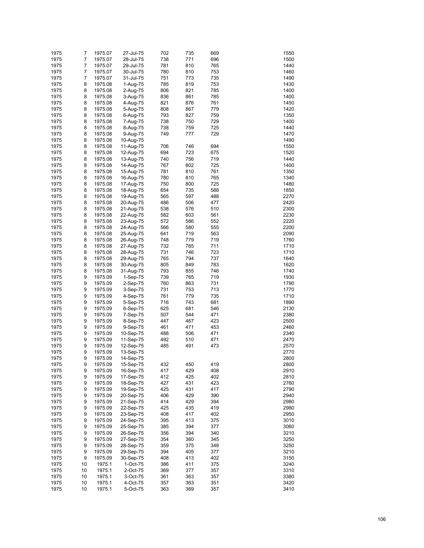| 1975 | 7  | 1975.07 | 27-Jul-75 | 702 | 735 | 669 | 1550 |
|------|----|---------|-----------|-----|-----|-----|------|
| 1975 | 7  | 1975.07 | 28-Jul-75 | 738 | 771 | 696 | 1500 |
|      |    |         |           |     |     |     |      |
| 1975 | 7  | 1975.07 | 29-Jul-75 | 781 | 810 | 765 | 1440 |
| 1975 | 7  | 1975.07 | 30-Jul-75 | 780 | 810 | 753 | 1460 |
| 1975 | 7  | 1975.07 | 31-Jul-75 | 751 | 773 | 735 | 1490 |
| 1975 | 8  | 1975.08 | 1-Aug-75  | 785 | 819 | 753 | 1430 |
| 1975 | 8  | 1975.08 | 2-Aug-75  | 806 | 821 | 785 | 1400 |
| 1975 | 8  | 1975.08 | 3-Aug-75  | 836 | 861 | 785 | 1400 |
| 1975 | 8  | 1975.08 | 4-Aug-75  | 821 | 876 | 761 | 1450 |
| 1975 | 8  | 1975.08 | 5-Aug-75  | 808 | 867 | 779 | 1420 |
| 1975 | 8  | 1975.08 | 6-Aug-75  | 793 | 827 | 759 | 1350 |
| 1975 | 8  | 1975.08 | 7-Aug-75  | 738 | 750 | 729 | 1400 |
| 1975 | 8  | 1975.08 | 8-Aug-75  | 738 | 759 | 725 | 1440 |
|      |    |         |           |     |     |     |      |
| 1975 | 8  | 1975.08 | 9-Aug-75  | 749 | 777 | 729 | 1470 |
| 1975 | 8  | 1975.08 | 10-Aug-75 |     |     |     | 1490 |
| 1975 | 8  | 1975.08 | 11-Aug-75 | 706 | 746 | 694 | 1550 |
| 1975 | 8  | 1975.08 | 12-Aug-75 | 694 | 723 | 675 | 1520 |
| 1975 | 8  | 1975.08 | 13-Aug-75 | 740 | 756 | 719 | 1440 |
| 1975 | 8  | 1975.08 | 14-Aug-75 | 767 | 802 | 725 | 1400 |
| 1975 | 8  | 1975.08 | 15-Aug-75 | 781 | 810 | 761 | 1350 |
| 1975 | 8  | 1975.08 | 16-Aug-75 | 780 | 810 | 765 | 1340 |
| 1975 | 8  | 1975.08 | 17-Aug-75 | 750 | 800 | 725 | 1480 |
| 1975 | 8  | 1975.08 | 18-Aug-75 | 654 | 735 | 588 | 1850 |
| 1975 | 8  | 1975.08 |           | 565 | 597 | 488 | 2270 |
|      |    |         | 19-Aug-75 |     |     |     |      |
| 1975 | 8  | 1975.08 | 20-Aug-75 | 486 | 506 | 477 | 2420 |
| 1975 | 8  | 1975.08 | 21-Aug-75 | 538 | 576 | 510 | 2300 |
| 1975 | 8  | 1975.08 | 22-Aug-75 | 582 | 603 | 561 | 2230 |
| 1975 | 8  | 1975.08 | 23-Aug-75 | 572 | 586 | 552 | 2220 |
| 1975 | 8  | 1975.08 | 24-Aug-75 | 566 | 580 | 555 | 2200 |
| 1975 | 8  | 1975.08 | 25-Aug-75 | 641 | 719 | 563 | 2090 |
| 1975 | 8  | 1975.08 | 26-Aug-75 | 748 | 779 | 719 | 1760 |
| 1975 | 8  | 1975.08 | 27-Aug-75 | 732 | 765 | 711 | 1710 |
| 1975 | 8  | 1975.08 | 28-Aug-75 | 731 | 746 | 723 | 1710 |
| 1975 | 8  |         |           | 765 | 794 | 737 | 1640 |
|      |    | 1975.08 | 29-Aug-75 |     |     |     |      |
| 1975 | 8  | 1975.08 | 30-Aug-75 | 805 | 849 | 783 | 1620 |
| 1975 | 8  | 1975.08 | 31-Aug-75 | 793 | 855 | 746 | 1740 |
| 1975 | 9  | 1975.09 | 1-Sep-75  | 739 | 765 | 719 | 1930 |
| 1975 | 9  | 1975.09 | 2-Sep-75  | 760 | 863 | 731 | 1790 |
| 1975 | 9  | 1975.09 | 3-Sep-75  | 731 | 753 | 713 | 1770 |
| 1975 | 9  | 1975.09 | 4-Sep-75  | 761 | 779 | 735 | 1710 |
| 1975 | 9  | 1975.09 | 5-Sep-75  | 716 | 743 | 681 | 1890 |
| 1975 | 9  | 1975.09 | 6-Sep-75  | 625 | 681 | 546 | 2130 |
| 1975 | 9  | 1975.09 | 7-Sep-75  | 507 | 544 | 471 | 2380 |
| 1975 | 9  | 1975.09 | 8-Sep-75  | 447 | 467 | 423 | 2500 |
| 1975 | 9  | 1975.09 |           | 461 | 471 | 453 | 2460 |
|      |    |         | 9-Sep-75  |     |     |     |      |
| 1975 | 9  | 1975.09 | 10-Sep-75 | 488 | 506 | 471 | 2340 |
| 1975 | 9  | 1975.09 | 11-Sep-75 | 492 | 510 | 471 | 2470 |
| 1975 | 9  | 1975.09 | 12-Sep-75 | 485 | 491 | 473 | 2570 |
| 1975 | 9  | 1975.09 | 13-Sep-75 |     |     |     | 2770 |
| 1975 | 9  | 1975.09 | 14-Sep-75 |     |     |     | 2800 |
| 1975 | 9  | 1975.09 | 15-Sep-75 | 432 | 450 | 419 | 2800 |
| 1975 | 9  | 1975.09 | 16-Sep-75 | 417 | 429 | 408 | 2910 |
| 1975 | 9  | 1975.09 | 17-Sep-75 | 412 | 425 | 402 | 2810 |
| 1975 | 9  | 1975.09 | 18-Sep-75 | 427 | 431 | 423 | 2760 |
| 1975 | 9  | 1975.09 | 19-Sep-75 | 425 | 431 | 417 | 2790 |
|      |    |         |           |     |     |     |      |
| 1975 | 9  | 1975.09 | 20-Sep-75 | 406 | 429 | 390 | 2940 |
| 1975 | 9  | 1975.09 | 21-Sep-75 | 414 | 429 | 394 | 2980 |
| 1975 | 9  | 1975.09 | 22-Sep-75 | 425 | 435 | 419 | 2980 |
| 1975 | 9  | 1975.09 | 23-Sep-75 | 408 | 417 | 402 | 2950 |
| 1975 | 9  | 1975.09 | 24-Sep-75 | 395 | 413 | 375 | 3010 |
| 1975 | 9  | 1975.09 | 25-Sep-75 | 385 | 394 | 377 | 3060 |
| 1975 | 9  | 1975.09 | 26-Sep-75 | 356 | 394 | 340 | 3210 |
| 1975 | 9  | 1975.09 | 27-Sep-75 | 354 | 360 | 345 | 3250 |
| 1975 | 9  | 1975.09 | 28-Sep-75 | 359 | 375 | 348 | 3250 |
| 1975 | 9  |         |           | 394 | 405 |     | 3210 |
|      |    | 1975.09 | 29-Sep-75 |     |     | 377 |      |
| 1975 | 9  | 1975.09 | 30-Sep-75 | 408 | 413 | 402 | 3150 |
| 1975 | 10 | 1975.1  | 1-Oct-75  | 386 | 411 | 375 | 3240 |
| 1975 | 10 | 1975.1  | 2-Oct-75  | 369 | 377 | 357 | 3310 |
| 1975 | 10 | 1975.1  | 3-Oct-75  | 361 | 363 | 357 | 3380 |
| 1975 | 10 | 1975.1  | 4-Oct-75  | 357 | 363 | 351 | 3420 |
| 1975 | 10 | 1975.1  | 5-Oct-75  | 363 | 369 | 357 | 3410 |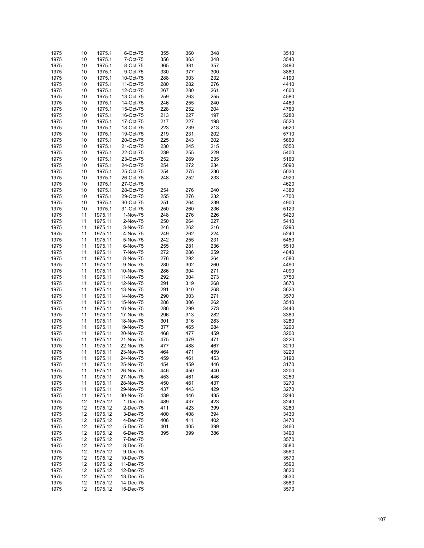| 1975 | 10 | 1975.1  | 6-Oct-75  | 355 | 360 | 348 | 3510 |
|------|----|---------|-----------|-----|-----|-----|------|
|      |    |         | 7-Oct-75  |     |     |     | 3540 |
| 1975 | 10 | 1975.1  |           | 356 | 363 | 348 |      |
| 1975 | 10 | 1975.1  | 8-Oct-75  | 365 | 381 | 357 | 3490 |
| 1975 | 10 | 1975.1  | 9-Oct-75  | 330 | 377 | 300 | 3880 |
| 1975 | 10 | 1975.1  | 10-Oct-75 | 288 | 303 | 232 | 4190 |
| 1975 | 10 | 1975.1  | 11-Oct-75 | 280 | 282 | 276 | 4410 |
| 1975 | 10 | 1975.1  | 12-Oct-75 | 267 | 280 | 261 | 4600 |
| 1975 | 10 | 1975.1  | 13-Oct-75 | 259 | 263 | 255 | 4580 |
| 1975 | 10 | 1975.1  | 14-Oct-75 | 246 | 255 | 240 | 4460 |
|      |    |         |           |     |     |     | 4760 |
| 1975 | 10 | 1975.1  | 15-Oct-75 | 228 | 252 | 204 |      |
| 1975 | 10 | 1975.1  | 16-Oct-75 | 213 | 227 | 197 | 5280 |
| 1975 | 10 | 1975.1  | 17-Oct-75 | 217 | 227 | 198 | 5520 |
| 1975 | 10 | 1975.1  | 18-Oct-75 | 223 | 239 | 213 | 5620 |
| 1975 | 10 | 1975.1  | 19-Oct-75 | 219 | 231 | 202 | 5710 |
| 1975 | 10 | 1975.1  | 20-Oct-75 | 225 | 243 | 202 | 5660 |
| 1975 | 10 | 1975.1  | 21-Oct-75 | 230 | 245 | 215 | 5550 |
| 1975 | 10 | 1975.1  | 22-Oct-75 | 239 | 255 | 229 | 5400 |
| 1975 | 10 | 1975.1  | 23-Oct-75 | 252 | 269 | 235 | 5160 |
| 1975 | 10 | 1975.1  | 24-Oct-75 | 254 | 272 | 234 | 5090 |
|      |    |         |           |     |     |     |      |
| 1975 | 10 | 1975.1  | 25-Oct-75 | 254 | 275 | 236 | 5030 |
| 1975 | 10 | 1975.1  | 26-Oct-75 | 248 | 252 | 233 | 4920 |
| 1975 | 10 | 1975.1  | 27-Oct-75 |     |     |     | 4620 |
| 1975 | 10 | 1975.1  | 28-Oct-75 | 254 | 276 | 240 | 4380 |
| 1975 | 10 | 1975.1  | 29-Oct-75 | 255 | 276 | 232 | 4700 |
| 1975 | 10 | 1975.1  | 30-Oct-75 | 251 | 264 | 239 | 4900 |
| 1975 | 10 | 1975.1  | 31-Oct-75 | 250 | 260 | 236 | 5120 |
| 1975 | 11 | 1975.11 | 1-Nov-75  | 248 | 276 | 226 | 5420 |
| 1975 | 11 | 1975.11 | 2-Nov-75  | 250 | 264 | 227 | 5410 |
|      |    |         | 3-Nov-75  |     |     |     | 5290 |
| 1975 | 11 | 1975.11 |           | 246 | 262 | 216 |      |
| 1975 | 11 | 1975.11 | 4-Nov-75  | 249 | 262 | 224 | 5240 |
| 1975 | 11 | 1975.11 | 5-Nov-75  | 242 | 255 | 231 | 5450 |
| 1975 | 11 | 1975.11 | 6-Nov-75  | 255 | 281 | 236 | 5510 |
| 1975 | 11 | 1975.11 | 7-Nov-75  | 272 | 286 | 259 | 4840 |
| 1975 | 11 | 1975.11 | 8-Nov-75  | 276 | 292 | 264 | 4580 |
| 1975 | 11 | 1975.11 | 9-Nov-75  | 280 | 302 | 260 | 4490 |
| 1975 | 11 | 1975.11 | 10-Nov-75 | 286 | 304 | 271 | 4090 |
| 1975 | 11 | 1975.11 | 11-Nov-75 | 292 | 304 | 273 | 3750 |
| 1975 | 11 | 1975.11 | 12-Nov-75 | 291 | 319 | 268 | 3670 |
| 1975 | 11 | 1975.11 | 13-Nov-75 | 291 | 310 | 268 | 3620 |
| 1975 | 11 | 1975.11 | 14-Nov-75 | 290 | 303 | 271 | 3570 |
| 1975 | 11 | 1975.11 |           | 286 | 306 | 262 | 3510 |
|      |    |         | 15-Nov-75 |     |     |     |      |
| 1975 | 11 | 1975.11 | 16-Nov-75 | 286 | 299 | 273 | 3440 |
| 1975 | 11 | 1975.11 | 17-Nov-75 | 296 | 313 | 282 | 3380 |
| 1975 | 11 | 1975.11 | 18-Nov-75 | 301 | 316 | 283 | 3280 |
| 1975 | 11 | 1975.11 | 19-Nov-75 | 377 | 465 | 284 | 3200 |
| 1975 | 11 | 1975.11 | 20-Nov-75 | 468 | 477 | 459 | 3200 |
| 1975 | 11 | 1975.11 | 21-Nov-75 | 475 | 479 | 471 | 3220 |
| 1975 | 11 | 1975.11 | 22-Nov-75 | 477 | 488 | 467 | 3210 |
| 1975 | 11 | 1975.11 | 23-Nov-75 | 464 | 471 | 459 | 3220 |
| 1975 | 11 | 1975.11 | 24-Nov-75 | 459 | 461 | 453 | 3190 |
| 1975 | 11 | 1975.11 | 25-Nov-75 | 454 | 459 | 446 | 3170 |
|      |    |         |           |     |     |     |      |
| 1975 | 11 | 1975.11 | 26-Nov-75 | 446 | 450 | 440 | 3200 |
| 1975 | 11 | 1975.11 | 27-Nov-75 | 453 | 461 | 446 | 3250 |
| 1975 | 11 | 1975.11 | 28-Nov-75 | 450 | 461 | 437 | 3270 |
| 1975 | 11 | 1975.11 | 29-Nov-75 | 437 | 443 | 429 | 3270 |
| 1975 | 11 | 1975.11 | 30-Nov-75 | 439 | 446 | 435 | 3240 |
| 1975 | 12 | 1975.12 | 1-Dec-75  | 489 | 437 | 423 | 3240 |
| 1975 | 12 | 1975.12 | 2-Dec-75  | 411 | 423 | 399 | 3280 |
| 1975 | 12 | 1975.12 | 3-Dec-75  | 400 | 408 | 394 | 3430 |
| 1975 | 12 | 1975.12 | 4-Dec-75  | 406 | 411 | 402 | 3470 |
| 1975 | 12 | 1975.12 | 5-Dec-75  | 401 | 405 | 399 | 3460 |
| 1975 | 12 |         | 6-Dec-75  |     |     |     | 3490 |
|      |    | 1975.12 |           | 395 | 399 | 386 |      |
| 1975 | 12 | 1975.12 | 7-Dec-75  |     |     |     | 3570 |
| 1975 | 12 | 1975.12 | 8-Dec-75  |     |     |     | 3580 |
| 1975 | 12 | 1975.12 | 9-Dec-75  |     |     |     | 3560 |
| 1975 | 12 | 1975.12 | 10-Dec-75 |     |     |     | 3570 |
| 1975 | 12 | 1975.12 | 11-Dec-75 |     |     |     | 3590 |
| 1975 | 12 | 1975.12 | 12-Dec-75 |     |     |     | 3620 |
| 1975 | 12 | 1975.12 | 13-Dec-75 |     |     |     | 3630 |
| 1975 | 12 | 1975.12 | 14-Dec-75 |     |     |     | 3580 |
| 1975 | 12 | 1975.12 | 15-Dec-75 |     |     |     | 3570 |
|      |    |         |           |     |     |     |      |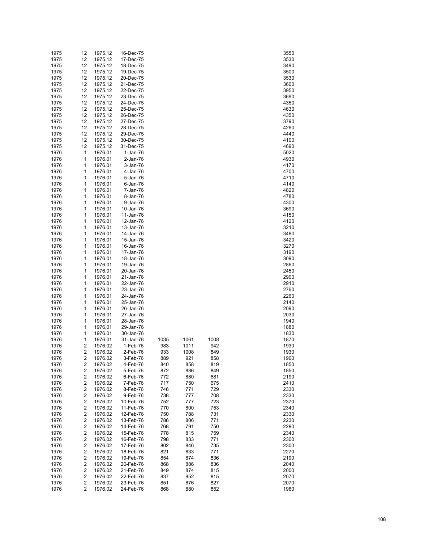| 1975 | 12                      | 1975.12 | 16-Dec-75 |      |      |      | 3550 |
|------|-------------------------|---------|-----------|------|------|------|------|
| 1975 | 12                      | 1975.12 | 17-Dec-75 |      |      |      | 3530 |
| 1975 | 12                      | 1975.12 | 18-Dec-75 |      |      |      | 3490 |
| 1975 | 12                      | 1975.12 | 19-Dec-75 |      |      |      | 3500 |
| 1975 | 12                      | 1975.12 | 20-Dec-75 |      |      |      | 3530 |
| 1975 | 12                      | 1975.12 | 21-Dec-75 |      |      |      | 3600 |
| 1975 | 12                      | 1975.12 | 22-Dec-75 |      |      |      | 3950 |
| 1975 | 12                      | 1975.12 | 23-Dec-75 |      |      |      | 3690 |
| 1975 | 12                      | 1975.12 | 24-Dec-75 |      |      |      | 4350 |
| 1975 | 12                      | 1975.12 | 25-Dec-75 |      |      |      | 4630 |
| 1975 | 12                      | 1975.12 | 26-Dec-75 |      |      |      | 4350 |
| 1975 | 12                      | 1975.12 | 27-Dec-75 |      |      |      | 3790 |
| 1975 | 12                      | 1975.12 | 28-Dec-75 |      |      |      | 4260 |
| 1975 | 12                      | 1975.12 | 29-Dec-75 |      |      |      | 4440 |
| 1975 | 12                      | 1975.12 | 30-Dec-75 |      |      |      | 4100 |
| 1975 | 12                      | 1975.12 | 31-Dec-75 |      |      |      | 4690 |
| 1976 | 1                       | 1976.01 | 1-Jan-76  |      |      |      | 5020 |
| 1976 | 1                       | 1976.01 | 2-Jan-76  |      |      |      | 4930 |
| 1976 | 1                       | 1976.01 | 3-Jan-76  |      |      |      | 4170 |
| 1976 | 1                       | 1976.01 | 4-Jan-76  |      |      |      | 4700 |
| 1976 | 1                       | 1976.01 | 5-Jan-76  |      |      |      | 4710 |
| 1976 | 1                       | 1976.01 | 6-Jan-76  |      |      |      | 4140 |
| 1976 | 1                       | 1976.01 | 7-Jan-76  |      |      |      | 4820 |
| 1976 | 1                       | 1976.01 | 8-Jan-76  |      |      |      | 4780 |
| 1976 | 1                       | 1976.01 | 9-Jan-76  |      |      |      | 4300 |
| 1976 | 1                       | 1976.01 | 10-Jan-76 |      |      |      | 3690 |
|      | 1                       | 1976.01 |           |      |      |      | 4150 |
| 1976 | 1                       |         | 11-Jan-76 |      |      |      |      |
| 1976 |                         | 1976.01 | 12-Jan-76 |      |      |      | 4120 |
| 1976 | 1                       | 1976.01 | 13-Jan-76 |      |      |      | 3210 |
| 1976 | 1                       | 1976.01 | 14-Jan-76 |      |      |      | 3480 |
| 1976 | 1                       | 1976.01 | 15-Jan-76 |      |      |      | 3420 |
| 1976 | 1                       | 1976.01 | 16-Jan-76 |      |      |      | 3270 |
| 1976 | 1                       | 1976.01 | 17-Jan-76 |      |      |      | 3190 |
| 1976 | 1                       | 1976.01 | 18-Jan-76 |      |      |      | 3090 |
| 1976 | 1                       | 1976.01 | 19-Jan-76 |      |      |      | 2860 |
| 1976 | 1                       | 1976.01 | 20-Jan-76 |      |      |      | 2450 |
| 1976 | 1                       | 1976.01 | 21-Jan-76 |      |      |      | 2900 |
| 1976 | 1                       | 1976.01 | 22-Jan-76 |      |      |      | 2910 |
| 1976 | 1                       | 1976.01 | 23-Jan-76 |      |      |      | 2760 |
| 1976 | 1                       | 1976.01 | 24-Jan-76 |      |      |      | 2260 |
| 1976 | 1                       | 1976.01 | 25-Jan-76 |      |      |      | 2140 |
| 1976 | 1                       | 1976.01 | 26-Jan-76 |      |      |      | 2090 |
| 1976 | 1                       | 1976.01 | 27-Jan-76 |      |      |      | 2030 |
| 1976 | 1                       | 1976.01 | 28-Jan-76 |      |      |      | 1940 |
| 1976 | 1                       | 1976.01 | 29-Jan-76 |      |      |      | 1880 |
| 1976 | 1                       | 1976.01 | 30-Jan-76 |      |      |      | 1830 |
| 1976 | 1                       | 1976.01 | 31-Jan-76 | 1035 | 1061 | 1008 | 1870 |
| 1976 | 2                       | 1976.02 | 1-Feb-76  | 983  | 1011 | 942  | 1930 |
| 1976 | $\overline{\mathbf{c}}$ | 1976.02 | 2-Feb-76  | 933  | 1008 | 849  | 1930 |
| 1976 | 2                       | 1976.02 | 3-Feb-76  | 889  | 921  | 858  | 1900 |
| 1976 | 2                       | 1976.02 | 4-Feb-76  | 840  | 858  | 819  | 1850 |
| 1976 | $\overline{\mathbf{c}}$ | 1976.02 | 5-Feb-76  | 872  | 886  | 849  | 1850 |
| 1976 | $\overline{\mathbf{c}}$ | 1976.02 | 6-Feb-76  | 772  | 880  | 681  | 2190 |
| 1976 | $\overline{\mathbf{c}}$ | 1976.02 | 7-Feb-76  | 717  | 750  | 675  | 2410 |
| 1976 | $\overline{c}$          | 1976.02 | 8-Feb-76  | 746  | 771  | 729  | 2330 |
| 1976 | $\overline{c}$          | 1976.02 | 9-Feb-76  | 738  | 777  | 708  | 2330 |
| 1976 | $\overline{c}$          | 1976.02 | 10-Feb-76 | 752  | 777  | 723  | 2370 |
| 1976 | $\overline{c}$          | 1976.02 | 11-Feb-76 | 770  | 800  | 753  | 2340 |
| 1976 | $\overline{c}$          | 1976.02 | 12-Feb-76 | 750  | 788  | 731  | 2330 |
| 1976 | $\overline{c}$          | 1976.02 | 13-Feb-76 | 786  | 806  | 771  | 2230 |
| 1976 | $\overline{c}$          | 1976.02 | 14-Feb-76 | 768  | 791  | 750  | 2290 |
| 1976 | $\overline{c}$          | 1976.02 | 15-Feb-76 | 778  | 815  | 759  | 2340 |
| 1976 | $\overline{c}$          | 1976.02 | 16-Feb-76 | 798  | 833  | 771  | 2300 |
| 1976 | $\overline{c}$          | 1976.02 | 17-Feb-76 | 802  | 846  | 735  | 2300 |
| 1976 | $\overline{c}$          | 1976.02 | 18-Feb-76 | 821  | 833  | 771  | 2270 |
| 1976 | $\overline{c}$          | 1976.02 | 19-Feb-76 | 854  | 874  | 836  | 2190 |
| 1976 | $\overline{c}$          | 1976.02 | 20-Feb-76 | 868  | 886  | 836  | 2040 |
| 1976 | $\overline{c}$          | 1976.02 | 21-Feb-76 | 849  | 874  | 815  | 2000 |
| 1976 | $\overline{c}$          | 1976.02 | 22-Feb-76 | 837  | 852  | 815  | 2070 |
| 1976 | 2                       | 1976.02 | 23-Feb-76 | 851  | 876  | 827  | 2070 |
| 1976 | 2                       | 1976.02 | 24-Feb-76 | 868  | 880  | 852  | 1960 |
|      |                         |         |           |      |      |      |      |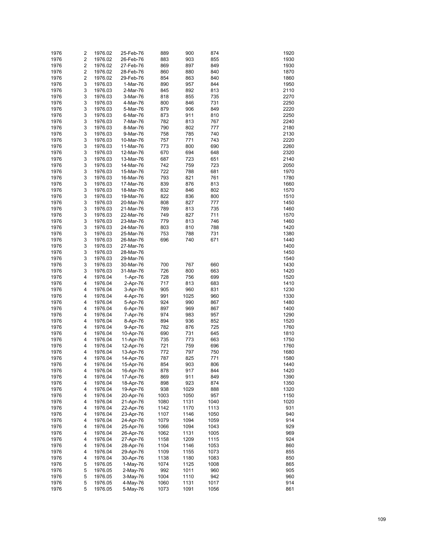| 1976 | 2                       | 1976.02 | 25-Feb-76 | 889  | 900  | 874  | 1920 |
|------|-------------------------|---------|-----------|------|------|------|------|
| 1976 | $\overline{\mathbf{c}}$ | 1976.02 | 26-Feb-76 | 883  | 903  | 855  | 1930 |
|      |                         |         |           |      |      |      |      |
| 1976 | $\overline{\mathbf{c}}$ | 1976.02 | 27-Feb-76 | 869  | 897  | 849  | 1930 |
| 1976 | $\overline{\mathbf{c}}$ | 1976.02 | 28-Feb-76 | 860  | 880  | 840  | 1870 |
| 1976 | $\overline{\mathbf{c}}$ | 1976.02 | 29-Feb-76 | 854  | 863  | 840  | 1860 |
| 1976 | 3                       | 1976.03 | 1-Mar-76  | 890  | 957  | 844  | 1950 |
| 1976 | 3                       | 1976.03 | 2-Mar-76  | 845  | 892  | 813  | 2110 |
| 1976 | 3                       | 1976.03 | 3-Mar-76  | 818  | 855  | 735  | 2270 |
| 1976 | 3                       | 1976.03 | 4-Mar-76  | 800  | 846  | 731  | 2250 |
| 1976 | 3                       | 1976.03 | 5-Mar-76  | 879  | 906  | 849  | 2220 |
| 1976 | 3                       | 1976.03 | 6-Mar-76  | 873  | 911  | 810  | 2250 |
| 1976 | 3                       | 1976.03 | 7-Mar-76  | 782  | 813  | 767  | 2240 |
|      | 3                       |         |           |      |      |      | 2180 |
| 1976 |                         | 1976.03 | 8-Mar-76  | 790  | 802  | 777  |      |
| 1976 | 3                       | 1976.03 | 9-Mar-76  | 758  | 785  | 740  | 2130 |
| 1976 | 3                       | 1976.03 | 10-Mar-76 | 757  | 771  | 743  | 2220 |
| 1976 | 3                       | 1976.03 | 11-Mar-76 | 773  | 800  | 690  | 2260 |
| 1976 | 3                       | 1976.03 | 12-Mar-76 | 670  | 694  | 648  | 2320 |
| 1976 | 3                       | 1976.03 | 13-Mar-76 | 687  | 723  | 651  | 2140 |
| 1976 | 3                       | 1976.03 | 14-Mar-76 | 742  | 759  | 723  | 2050 |
| 1976 | 3                       | 1976.03 | 15-Mar-76 | 722  | 788  | 681  | 1970 |
| 1976 | 3                       | 1976.03 | 16-Mar-76 | 793  | 821  | 761  | 1780 |
| 1976 | 3                       | 1976.03 | 17-Mar-76 | 839  | 876  | 813  | 1660 |
|      |                         |         |           |      |      |      |      |
| 1976 | 3                       | 1976.03 | 18-Mar-76 | 832  | 846  | 802  | 1570 |
| 1976 | 3                       | 1976.03 | 19-Mar-76 | 822  | 836  | 800  | 1510 |
| 1976 | 3                       | 1976.03 | 20-Mar-76 | 808  | 827  | 777  | 1450 |
| 1976 | 3                       | 1976.03 | 21-Mar-76 | 789  | 813  | 735  | 1460 |
| 1976 | 3                       | 1976.03 | 22-Mar-76 | 749  | 827  | 711  | 1570 |
| 1976 | 3                       | 1976.03 | 23-Mar-76 | 779  | 813  | 746  | 1460 |
| 1976 | 3                       | 1976.03 | 24-Mar-76 | 803  | 810  | 788  | 1420 |
| 1976 | 3                       | 1976.03 | 25-Mar-76 | 753  | 788  | 731  | 1380 |
| 1976 | 3                       | 1976.03 | 26-Mar-76 | 696  | 740  | 671  | 1440 |
| 1976 | 3                       | 1976.03 | 27-Mar-76 |      |      |      | 1400 |
|      | 3                       |         |           |      |      |      |      |
| 1976 |                         | 1976.03 | 28-Mar-76 |      |      |      | 1450 |
| 1976 | 3                       | 1976.03 | 29-Mar-76 |      |      |      | 1540 |
| 1976 | 3                       | 1976.03 | 30-Mar-76 | 700  | 767  | 660  | 1430 |
| 1976 | 3                       | 1976.03 | 31-Mar-76 | 726  | 800  | 663  | 1420 |
| 1976 | 4                       | 1976.04 | 1-Apr-76  | 728  | 756  | 699  | 1520 |
| 1976 | 4                       | 1976.04 | 2-Apr-76  | 717  | 813  | 683  | 1410 |
| 1976 | 4                       | 1976.04 | 3-Apr-76  | 905  | 960  | 831  | 1230 |
| 1976 | 4                       | 1976.04 | 4-Apr-76  | 991  | 1025 | 960  | 1330 |
| 1976 | 4                       | 1976.04 | 5-Apr-76  | 924  | 990  | 867  | 1480 |
| 1976 | 4                       | 1976.04 | 6-Apr-76  | 897  | 969  | 867  | 1400 |
| 1976 | 4                       | 1976.04 | 7-Apr-76  | 974  | 983  | 957  | 1290 |
| 1976 | 4                       | 1976.04 | 8-Apr-76  | 894  | 936  | 852  | 1520 |
| 1976 | 4                       | 1976.04 | 9-Apr-76  | 782  | 876  | 725  | 1760 |
|      |                         |         |           |      |      |      |      |
| 1976 | 4                       | 1976.04 | 10-Apr-76 | 690  | 731  | 645  | 1810 |
| 1976 | 4                       | 1976.04 | 11-Apr-76 | 735  | 773  | 663  | 1750 |
| 1976 | 4                       | 1976.04 | 12-Apr-76 | 721  | 759  | 696  | 1760 |
| 1976 | 4                       | 1976.04 | 13-Apr-76 | 772  | 797  | 750  | 1680 |
| 1976 | 4                       | 1976.04 | 14-Apr-76 | 787  | 825  | 771  | 1580 |
| 1976 | 4                       | 1976.04 | 15-Apr-76 | 854  | 903  | 806  | 1440 |
| 1976 | 4                       | 1976.04 | 16-Apr-76 | 878  | 917  | 844  | 1420 |
| 1976 | 4                       | 1976.04 | 17-Apr-76 | 869  | 911  | 849  | 1390 |
| 1976 | 4                       | 1976.04 | 18-Apr-76 | 898  | 923  | 874  | 1350 |
| 1976 | 4                       |         |           | 938  | 1029 | 888  | 1320 |
|      |                         | 1976.04 | 19-Apr-76 |      |      |      |      |
| 1976 | 4                       | 1976.04 | 20-Apr-76 | 1003 | 1050 | 957  | 1150 |
| 1976 | 4                       | 1976.04 | 21-Apr-76 | 1080 | 1131 | 1040 | 1020 |
| 1976 | 4                       | 1976.04 | 22-Apr-76 | 1142 | 1170 | 1113 | 931  |
| 1976 | 4                       | 1976.04 | 23-Apr-76 | 1107 | 1146 | 1050 | 940  |
| 1976 | 4                       | 1976.04 | 24-Apr-76 | 1079 | 1094 | 1059 | 914  |
| 1976 | 4                       | 1976.04 | 25-Apr-76 | 1066 | 1094 | 1043 | 929  |
| 1976 | 4                       | 1976.04 | 26-Apr-76 | 1062 | 1131 | 1005 | 969  |
| 1976 | 4                       | 1976.04 | 27-Apr-76 | 1158 | 1209 | 1115 | 924  |
| 1976 | 4                       | 1976.04 | 28-Apr-76 | 1104 | 1146 | 1053 | 860  |
| 1976 | 4                       | 1976.04 | 29-Apr-76 | 1109 | 1155 | 1073 | 855  |
| 1976 | 4                       | 1976.04 | 30-Apr-76 | 1138 | 1180 | 1083 | 850  |
| 1976 | 5                       | 1976.05 | 1-May-76  | 1074 | 1125 | 1008 | 865  |
|      |                         |         |           |      |      |      |      |
| 1976 | 5                       | 1976.05 | 2-May-76  | 992  | 1011 | 960  | 905  |
| 1976 | 5                       | 1976.05 | 3-May-76  | 1004 | 1110 | 942  | 960  |
| 1976 | 5                       | 1976.05 | 4-May-76  | 1060 | 1131 | 1017 | 914  |
| 1976 | 5                       | 1976.05 | 5-May-76  | 1073 | 1091 | 1056 | 861  |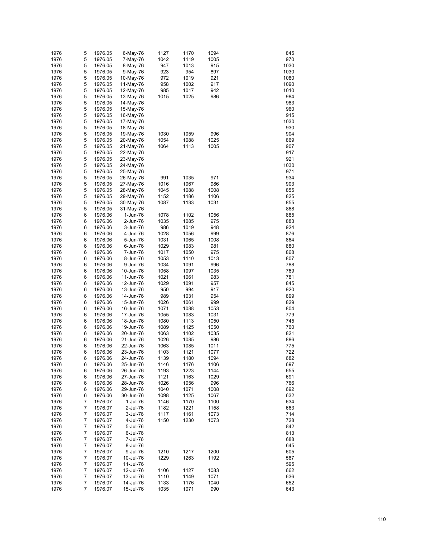| 1976 | 5 | 1976.05 | 6-May-76  | 1127 | 1170 | 1094 | 845  |
|------|---|---------|-----------|------|------|------|------|
| 1976 | 5 | 1976.05 | 7-May-76  | 1042 | 1119 | 1005 | 970  |
| 1976 | 5 | 1976.05 | 8-May-76  | 947  | 1013 | 915  | 1030 |
| 1976 | 5 | 1976.05 | 9-May-76  | 923  | 954  | 897  | 1030 |
| 1976 | 5 | 1976.05 | 10-May-76 | 972  | 1019 | 921  | 1080 |
|      |   |         |           |      |      | 917  |      |
| 1976 | 5 | 1976.05 | 11-May-76 | 958  | 1002 |      | 1090 |
| 1976 | 5 | 1976.05 | 12-May-76 | 985  | 1017 | 942  | 1010 |
| 1976 | 5 | 1976.05 | 13-May-76 | 1015 | 1025 | 986  | 984  |
| 1976 | 5 | 1976.05 | 14-May-76 |      |      |      | 983  |
| 1976 | 5 | 1976.05 | 15-May-76 |      |      |      | 960  |
| 1976 | 5 | 1976.05 | 16-May-76 |      |      |      | 915  |
| 1976 | 5 | 1976.05 | 17-May-76 |      |      |      | 1030 |
| 1976 | 5 | 1976.05 | 18-May-76 |      |      |      | 930  |
| 1976 | 5 | 1976.05 | 19-May-76 | 1030 | 1059 | 996  | 904  |
| 1976 | 5 | 1976.05 | 20-May-76 | 1054 | 1088 | 1025 | 869  |
| 1976 | 5 | 1976.05 | 21-May-76 | 1064 | 1113 | 1005 | 907  |
| 1976 | 5 | 1976.05 | 22-May-76 |      |      |      | 917  |
| 1976 | 5 | 1976.05 | 23-May-76 |      |      |      | 921  |
| 1976 | 5 | 1976.05 | 24-May-76 |      |      |      | 1030 |
| 1976 | 5 | 1976.05 | 25-May-76 |      |      |      | 971  |
| 1976 | 5 | 1976.05 | 26-May-76 | 991  | 1035 | 971  | 934  |
|      |   |         |           |      |      |      |      |
| 1976 | 5 | 1976.05 | 27-May-76 | 1016 | 1067 | 986  | 903  |
| 1976 | 5 | 1976.05 | 28-May-76 | 1045 | 1088 | 1008 | 855  |
| 1976 | 5 | 1976.05 | 29-May-76 | 1152 | 1186 | 1106 | 825  |
| 1976 | 5 | 1976.05 | 30-May-76 | 1087 | 1133 | 1031 | 855  |
| 1976 | 5 | 1976.05 | 31-May-76 |      |      |      | 868  |
| 1976 | 6 | 1976.06 | 1-Jun-76  | 1078 | 1102 | 1056 | 885  |
| 1976 | 6 | 1976.06 | 2-Jun-76  | 1035 | 1085 | 975  | 883  |
| 1976 | 6 | 1976.06 | 3-Jun-76  | 986  | 1019 | 948  | 924  |
| 1976 | 6 | 1976.06 | 4-Jun-76  | 1028 | 1056 | 999  | 876  |
| 1976 | 6 | 1976.06 | 5-Jun-76  | 1031 | 1065 | 1008 | 864  |
| 1976 | 6 | 1976.06 | 6-Jun-76  | 1029 | 1083 | 981  | 880  |
| 1976 | 6 | 1976.06 | 7-Jun-76  | 1017 | 1050 | 975  | 868  |
| 1976 | 6 | 1976.06 | 8-Jun-76  | 1053 | 1110 | 1013 | 807  |
| 1976 | 6 | 1976.06 | 9-Jun-76  | 1034 | 1091 | 996  | 788  |
| 1976 | 6 | 1976.06 | 10-Jun-76 | 1058 | 1097 | 1035 | 769  |
|      | 6 |         |           | 1021 | 1061 | 983  | 781  |
| 1976 |   | 1976.06 | 11-Jun-76 |      |      |      |      |
| 1976 | 6 | 1976.06 | 12-Jun-76 | 1029 | 1091 | 957  | 845  |
| 1976 | 6 | 1976.06 | 13-Jun-76 | 950  | 994  | 917  | 920  |
| 1976 | 6 | 1976.06 | 14-Jun-76 | 989  | 1031 | 954  | 899  |
| 1976 | 6 | 1976.06 | 15-Jun-76 | 1026 | 1061 | 999  | 829  |
| 1976 | 6 | 1976.06 | 16-Jun-76 | 1071 | 1088 | 1053 | 804  |
| 1976 | 6 | 1976.06 | 17-Jun-76 | 1055 | 1083 | 1031 | 779  |
| 1976 | 6 | 1976.06 | 18-Jun-76 | 1080 | 1113 | 1050 | 745  |
| 1976 | 6 | 1976.06 | 19-Jun-76 | 1089 | 1125 | 1050 | 760  |
| 1976 | 6 | 1976.06 | 20-Jun-76 | 1063 | 1102 | 1035 | 821  |
| 1976 | 6 | 1976.06 | 21-Jun-76 | 1026 | 1085 | 986  | 886  |
| 1976 | 6 | 1976.06 | 22-Jun-76 | 1063 | 1085 | 1011 | 775  |
| 1976 | 6 | 1976.06 | 23-Jun-76 | 1103 | 1121 | 1077 | 722  |
| 1976 | 6 | 1976.06 | 24-Jun-76 | 1139 | 1180 | 1094 | 682  |
| 1976 | 6 | 1976.06 | 25-Jun-76 | 1146 | 1176 | 1106 | 697  |
| 1976 | 6 | 1976.06 | 26-Jun-76 | 1193 | 1223 | 1144 | 655  |
| 1976 | 6 | 1976.06 | 27-Jun-76 | 1121 | 1163 | 1029 | 691  |
| 1976 | 6 | 1976.06 | 28-Jun-76 | 1026 | 1056 | 996  | 766  |
| 1976 | 6 | 1976.06 | 29-Jun-76 | 1040 | 1071 | 1008 | 692  |
|      |   |         |           |      |      |      |      |
| 1976 | 6 | 1976.06 | 30-Jun-76 | 1098 | 1125 | 1067 | 632  |
| 1976 | 7 | 1976.07 | 1-Jul-76  | 1146 | 1170 | 1100 | 634  |
| 1976 | 7 | 1976.07 | 2-Jul-76  | 1182 | 1221 | 1158 | 663  |
| 1976 | 7 | 1976.07 | 3-Jul-76  | 1117 | 1161 | 1073 | 714  |
| 1976 | 7 | 1976.07 | 4-Jul-76  | 1150 | 1230 | 1073 | 728  |
| 1976 | 7 | 1976.07 | 5-Jul-76  |      |      |      | 842  |
| 1976 | 7 | 1976.07 | 6-Jul-76  |      |      |      | 813  |
| 1976 | 7 | 1976.07 | 7-Jul-76  |      |      |      | 688  |
| 1976 | 7 | 1976.07 | 8-Jul-76  |      |      |      | 645  |
| 1976 | 7 | 1976.07 | 9-Jul-76  | 1210 | 1217 | 1200 | 605  |
| 1976 | 7 | 1976.07 | 10-Jul-76 | 1229 | 1263 | 1192 | 587  |
| 1976 | 7 | 1976.07 | 11-Jul-76 |      |      |      | 595  |
| 1976 | 7 | 1976.07 | 12-Jul-76 | 1106 | 1127 | 1083 | 662  |
| 1976 | 7 | 1976.07 | 13-Jul-76 | 1110 | 1149 | 1071 | 636  |
| 1976 | 7 | 1976.07 | 14-Jul-76 | 1133 | 1176 | 1040 | 652  |
| 1976 | 7 | 1976.07 | 15-Jul-76 | 1035 | 1071 | 990  | 643  |
|      |   |         |           |      |      |      |      |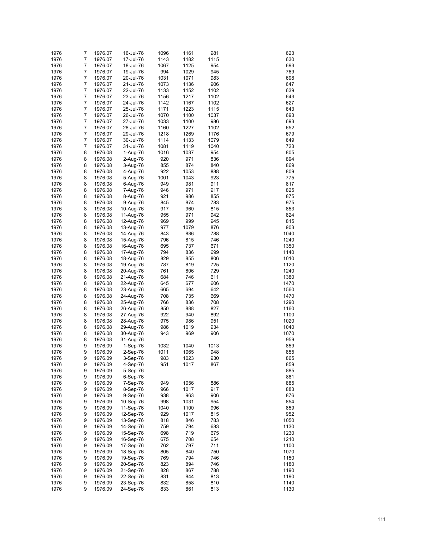| 1976 | 7              | 1976.07 | 16-Jul-76 | 1096 | 1161 | 981  | 623  |
|------|----------------|---------|-----------|------|------|------|------|
| 1976 | $\overline{7}$ | 1976.07 | 17-Jul-76 | 1143 | 1182 | 1115 | 630  |
|      |                |         |           |      |      |      |      |
| 1976 | 7              | 1976.07 | 18-Jul-76 | 1067 | 1125 | 954  | 693  |
| 1976 | 7              | 1976.07 | 19-Jul-76 | 994  | 1029 | 945  | 769  |
| 1976 | 7              | 1976.07 | 20-Jul-76 | 1031 | 1071 | 983  | 698  |
| 1976 | 7              | 1976.07 | 21-Jul-76 | 1073 | 1136 | 906  | 647  |
| 1976 | 7              | 1976.07 | 22-Jul-76 | 1133 | 1152 | 1102 | 639  |
| 1976 | 7              | 1976.07 | 23-Jul-76 | 1156 | 1217 | 1102 | 643  |
| 1976 | 7              | 1976.07 | 24-Jul-76 | 1142 | 1167 | 1102 | 627  |
| 1976 | 7              | 1976.07 | 25-Jul-76 | 1171 | 1223 | 1115 | 643  |
| 1976 | 7              | 1976.07 | 26-Jul-76 | 1070 | 1100 | 1037 | 693  |
| 1976 | 7              | 1976.07 | 27-Jul-76 | 1033 | 1100 | 986  | 693  |
| 1976 | 7              | 1976.07 | 28-Jul-76 | 1160 | 1227 | 1102 | 652  |
| 1976 | 7              | 1976.07 |           | 1218 | 1269 | 1176 | 679  |
|      |                |         | 29-Jul-76 |      |      |      |      |
| 1976 | 7              | 1976.07 | 30-Jul-76 | 1114 | 1133 | 1079 | 649  |
| 1976 | 7              | 1976.07 | 31-Jul-76 | 1081 | 1119 | 1040 | 723  |
| 1976 | 8              | 1976.08 | 1-Aug-76  | 1016 | 1037 | 954  | 805  |
| 1976 | 8              | 1976.08 | 2-Aug-76  | 920  | 971  | 836  | 894  |
| 1976 | 8              | 1976.08 | 3-Aug-76  | 855  | 874  | 840  | 869  |
| 1976 | 8              | 1976.08 | 4-Aug-76  | 922  | 1053 | 888  | 809  |
| 1976 | 8              | 1976.08 | 5-Aug-76  | 1001 | 1043 | 923  | 775  |
| 1976 | 8              | 1976.08 | 6-Aug-76  | 949  | 981  | 911  | 817  |
| 1976 | 8              | 1976.08 | 7-Aug-76  | 946  | 971  | 917  | 825  |
| 1976 | 8              | 1976.08 | 8-Aug-76  | 921  | 986  | 855  | 875  |
| 1976 | 8              | 1976.08 | 9-Aug-76  | 845  | 874  | 783  | 975  |
|      |                | 1976.08 |           |      |      |      |      |
| 1976 | 8              |         | 10-Aug-76 | 917  | 960  | 815  | 853  |
| 1976 | 8              | 1976.08 | 11-Aug-76 | 955  | 971  | 942  | 824  |
| 1976 | 8              | 1976.08 | 12-Aug-76 | 969  | 999  | 945  | 815  |
| 1976 | 8              | 1976.08 | 13-Aug-76 | 977  | 1079 | 876  | 903  |
| 1976 | 8              | 1976.08 | 14-Aug-76 | 843  | 886  | 788  | 1040 |
| 1976 | 8              | 1976.08 | 15-Aug-76 | 796  | 815  | 746  | 1240 |
| 1976 | 8              | 1976.08 | 16-Aug-76 | 695  | 737  | 671  | 1350 |
| 1976 | 8              | 1976.08 | 17-Aug-76 | 794  | 836  | 699  | 1140 |
| 1976 | 8              | 1976.08 | 18-Aug-76 | 829  | 855  | 806  | 1010 |
| 1976 | 8              | 1976.08 | 19-Aug-76 | 787  | 819  | 725  | 1120 |
| 1976 | 8              | 1976.08 | 20-Aug-76 | 761  | 806  | 729  | 1240 |
|      | 8              |         |           | 684  | 746  | 611  | 1380 |
| 1976 |                | 1976.08 | 21-Aug-76 |      |      |      |      |
| 1976 | 8              | 1976.08 | 22-Aug-76 | 645  | 677  | 606  | 1470 |
| 1976 | 8              | 1976.08 | 23-Aug-76 | 665  | 694  | 642  | 1560 |
| 1976 | 8              | 1976.08 | 24-Aug-76 | 708  | 735  | 669  | 1470 |
| 1976 | 8              | 1976.08 | 25-Aug-76 | 766  | 836  | 708  | 1290 |
| 1976 | 8              | 1976.08 | 26-Aug-76 | 850  | 888  | 827  | 1160 |
| 1976 | 8              | 1976.08 | 27-Aug-76 | 922  | 940  | 892  | 1100 |
| 1976 | 8              | 1976.08 | 28-Aug-76 | 975  | 986  | 951  | 1020 |
| 1976 | 8              | 1976.08 | 29-Aug-76 | 986  | 1019 | 934  | 1040 |
| 1976 | 8              | 1976.08 | 30-Aug-76 | 943  | 969  | 906  | 1070 |
| 1976 | 8              | 1976.08 | 31-Aug-76 |      |      |      | 959  |
|      |                |         |           |      |      |      |      |
| 1976 | 9              | 1976.09 | 1-Sep-76  | 1032 | 1040 | 1013 | 859  |
| 1976 | 9              | 1976.09 | 2-Sep-76  | 1011 | 1065 | 948  | 855  |
| 1976 | 9              | 1976.09 | 3-Sep-76  | 983  | 1023 | 930  | 865  |
| 1976 | 9              | 1976.09 | 4-Sep-76  | 951  | 1017 | 867  | 859  |
| 1976 | 9              | 1976.09 | 5-Sep-76  |      |      |      | 885  |
| 1976 | 9              | 1976.09 | 6-Sep-76  |      |      |      | 881  |
| 1976 | 9              | 1976.09 | 7-Sep-76  | 949  | 1056 | 886  | 885  |
| 1976 | 9              | 1976.09 | 8-Sep-76  | 966  | 1017 | 917  | 883  |
| 1976 | 9              | 1976.09 | 9-Sep-76  | 938  | 963  | 906  | 876  |
| 1976 | 9              | 1976.09 | 10-Sep-76 | 998  | 1031 | 954  | 854  |
| 1976 | 9              | 1976.09 | 11-Sep-76 | 1040 | 1100 | 996  | 859  |
|      |                |         |           |      |      |      |      |
| 1976 | 9              | 1976.09 | 12-Sep-76 | 929  | 1017 | 815  | 952  |
| 1976 | 9              | 1976.09 | 13-Sep-76 | 818  | 846  | 783  | 1050 |
| 1976 | 9              | 1976.09 | 14-Sep-76 | 759  | 794  | 683  | 1130 |
| 1976 | 9              | 1976.09 | 15-Sep-76 | 698  | 719  | 675  | 1230 |
| 1976 | 9              | 1976.09 | 16-Sep-76 | 675  | 708  | 654  | 1210 |
| 1976 | 9              | 1976.09 | 17-Sep-76 | 762  | 797  | 711  | 1100 |
| 1976 | 9              | 1976.09 | 18-Sep-76 | 805  | 840  | 750  | 1070 |
| 1976 | 9              | 1976.09 | 19-Sep-76 | 769  | 794  | 746  | 1150 |
| 1976 | 9              | 1976.09 | 20-Sep-76 | 823  | 894  | 746  | 1180 |
| 1976 | 9              | 1976.09 | 21-Sep-76 | 828  | 867  | 788  | 1190 |
| 1976 | 9              | 1976.09 | 22-Sep-76 | 831  | 844  | 813  | 1190 |
| 1976 | 9              |         |           | 832  | 858  | 810  | 1140 |
|      |                | 1976.09 | 23-Sep-76 |      |      |      |      |
| 1976 | 9              | 1976.09 | 24-Sep-76 | 833  | 861  | 813  | 1130 |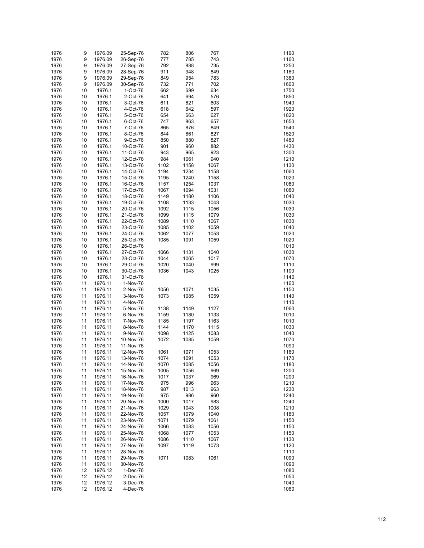| 1976 | 9  | 1976.09 | 25-Sep-76              | 782  | 806  | 767  | 1190 |
|------|----|---------|------------------------|------|------|------|------|
| 1976 | 9  | 1976.09 | 26-Sep-76              | 777  | 785  | 743  | 1160 |
| 1976 | 9  | 1976.09 | 27-Sep-76              | 792  | 888  | 735  | 1250 |
| 1976 | 9  | 1976.09 | 28-Sep-76              | 911  | 948  | 849  | 1160 |
| 1976 | 9  | 1976.09 | 29-Sep-76              | 849  | 954  | 783  | 1360 |
| 1976 | 9  | 1976.09 | 30-Sep-76              | 732  | 771  | 702  | 1600 |
| 1976 | 10 | 1976.1  | 1-Oct-76               | 662  | 699  | 634  | 1750 |
| 1976 | 10 | 1976.1  | 2-Oct-76               | 641  | 694  | 576  | 1850 |
| 1976 | 10 | 1976.1  | 3-Oct-76               | 611  | 621  | 603  | 1940 |
| 1976 | 10 | 1976.1  | 4-Oct-76               | 618  | 642  | 597  | 1920 |
| 1976 | 10 | 1976.1  | 5-Oct-76               | 654  | 663  | 627  | 1820 |
| 1976 | 10 | 1976.1  | 6-Oct-76               | 747  | 863  | 657  | 1650 |
| 1976 | 10 | 1976.1  | 7-Oct-76               | 865  | 876  | 849  | 1540 |
| 1976 | 10 | 1976.1  | 8-Oct-76               | 844  | 861  | 827  | 1520 |
| 1976 | 10 | 1976.1  | 9-Oct-76               | 850  | 880  | 827  | 1480 |
|      |    | 1976.1  |                        |      |      |      | 1430 |
| 1976 | 10 |         | 10-Oct-76              | 901  | 960  | 882  |      |
| 1976 | 10 | 1976.1  | 11-Oct-76              | 943  | 965  | 923  | 1300 |
| 1976 | 10 | 1976.1  | 12-Oct-76              | 984  | 1061 | 940  | 1210 |
| 1976 | 10 | 1976.1  | 13-Oct-76              | 1102 | 1158 | 1067 | 1130 |
| 1976 | 10 | 1976.1  | 14-Oct-76              | 1194 | 1234 | 1158 | 1060 |
| 1976 | 10 | 1976.1  | 15-Oct-76              | 1195 | 1240 | 1158 | 1020 |
| 1976 | 10 | 1976.1  | 16-Oct-76              | 1157 | 1254 | 1037 | 1080 |
| 1976 | 10 | 1976.1  | 17-Oct-76              | 1067 | 1094 | 1031 | 1080 |
| 1976 | 10 | 1976.1  | 18-Oct-76              | 1149 | 1180 | 1106 | 1040 |
| 1976 | 10 | 1976.1  | 19-Oct-76              | 1108 | 1133 | 1043 | 1030 |
| 1976 | 10 | 1976.1  | 20-Oct-76              | 1092 | 1115 | 1056 | 1030 |
| 1976 | 10 | 1976.1  | 21-Oct-76              | 1099 | 1115 | 1079 | 1030 |
| 1976 | 10 | 1976.1  | 22-Oct-76              | 1089 | 1110 | 1067 | 1030 |
| 1976 | 10 | 1976.1  | 23-Oct-76              | 1085 | 1102 | 1059 | 1040 |
| 1976 | 10 | 1976.1  | 24-Oct-76              | 1062 | 1077 | 1053 | 1020 |
| 1976 | 10 | 1976.1  | 25-Oct-76              | 1085 | 1091 | 1059 | 1020 |
| 1976 | 10 | 1976.1  | 26-Oct-76              |      |      |      | 1010 |
| 1976 | 10 | 1976.1  | 27-Oct-76              | 1066 | 1131 | 1040 | 1030 |
| 1976 | 10 | 1976.1  | 28-Oct-76              | 1044 | 1065 | 1017 | 1070 |
| 1976 | 10 | 1976.1  | 29-Oct-76              | 1020 | 1040 | 999  | 1110 |
| 1976 | 10 | 1976.1  | 30-Oct-76              | 1036 | 1043 | 1025 | 1100 |
| 1976 | 10 | 1976.1  | 31-Oct-76              |      |      |      | 1140 |
| 1976 | 11 | 1976.11 | 1-Nov-76               |      |      |      | 1160 |
| 1976 | 11 | 1976.11 | 2-Nov-76               | 1056 | 1071 | 1035 | 1150 |
| 1976 | 11 | 1976.11 | 3-Nov-76               | 1073 | 1085 | 1059 | 1140 |
| 1976 | 11 | 1976.11 | 4-Nov-76               |      |      |      | 1110 |
| 1976 | 11 | 1976.11 | 5-Nov-76               | 1138 | 1149 | 1127 | 1060 |
| 1976 | 11 | 1976.11 | 6-Nov-76               | 1159 | 1180 | 1133 | 1010 |
| 1976 | 11 | 1976.11 | 7-Nov-76               | 1185 | 1197 | 1163 | 1010 |
| 1976 | 11 | 1976.11 | 8-Nov-76               | 1144 | 1170 | 1115 | 1030 |
| 1976 | 11 | 1976.11 | 9-Nov-76               | 1098 | 1125 | 1083 | 1040 |
| 1976 | 11 | 1976.11 | 10-Nov-76              | 1072 | 1085 | 1059 | 1070 |
| 1976 | 11 | 1976.11 | 11-Nov-76              |      |      |      | 1090 |
| 1976 | 11 | 1976.11 | 12-Nov-76              | 1061 | 1071 | 1053 | 1160 |
| 1976 | 11 | 1976.11 | 13-Nov-76              | 1074 | 1091 | 1053 | 1170 |
| 1976 | 11 | 1976.11 | 14-Nov-76              | 1070 | 1085 | 1056 | 1180 |
| 1976 | 11 | 1976.11 | 15-Nov-76              | 1005 | 1056 | 969  | 1200 |
| 1976 | 11 | 1976.11 | 16-Nov-76              | 1017 | 1037 | 969  | 1200 |
| 1976 | 11 | 1976.11 | 17-Nov-76              | 975  | 996  | 963  | 1210 |
| 1976 | 11 | 1976.11 | 18-Nov-76              | 987  | 1013 | 963  | 1230 |
| 1976 | 11 | 1976.11 |                        | 975  | 986  | 960  | 1240 |
| 1976 | 11 | 1976.11 | 19-Nov-76<br>20-Nov-76 | 1000 | 1017 | 983  | 1240 |
|      |    |         |                        |      |      |      | 1210 |
| 1976 | 11 | 1976.11 | 21-Nov-76              | 1029 | 1043 | 1008 |      |
| 1976 | 11 | 1976.11 | 22-Nov-76              | 1057 | 1079 | 1040 | 1180 |
| 1976 | 11 | 1976.11 | 23-Nov-76              | 1071 | 1079 | 1061 | 1150 |
| 1976 | 11 | 1976.11 | 24-Nov-76              | 1066 | 1083 | 1056 | 1150 |
| 1976 | 11 | 1976.11 | 25-Nov-76              | 1068 | 1077 | 1053 | 1150 |
| 1976 | 11 | 1976.11 | 26-Nov-76              | 1086 | 1110 | 1067 | 1130 |
| 1976 | 11 | 1976.11 | 27-Nov-76              | 1097 | 1119 | 1073 | 1120 |
| 1976 | 11 | 1976.11 | 28-Nov-76              |      |      |      | 1110 |
| 1976 | 11 | 1976.11 | 29-Nov-76              | 1071 | 1083 | 1061 | 1090 |
| 1976 | 11 | 1976.11 | 30-Nov-76              |      |      |      | 1090 |
| 1976 | 12 | 1976.12 | 1-Dec-76               |      |      |      | 1080 |
| 1976 | 12 | 1976.12 | 2-Dec-76               |      |      |      | 1050 |
| 1976 | 12 | 1976.12 | 3-Dec-76               |      |      |      | 1040 |
| 1976 | 12 | 1976.12 | 4-Dec-76               |      |      |      | 1060 |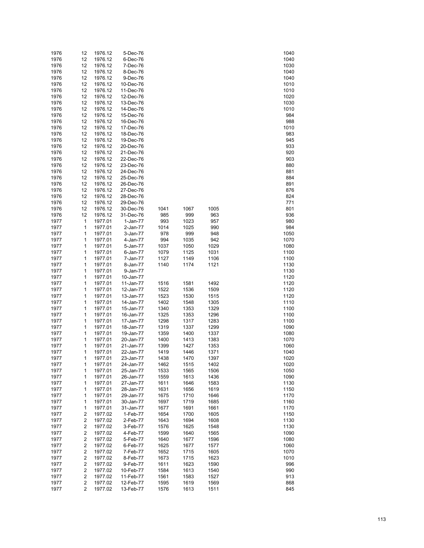| 1976         | 12                               | 1976.12            | 5-Dec-76               |              |              |              | 1040         |
|--------------|----------------------------------|--------------------|------------------------|--------------|--------------|--------------|--------------|
|              | 12                               | 1976.12            | 6-Dec-76               |              |              |              | 1040         |
| 1976         | 12                               | 1976.12            | 7-Dec-76               |              |              |              | 1030         |
| 1976         | 12                               | 1976.12            | 8-Dec-76               |              |              |              | 1040         |
| 1976         | 12                               | 1976.12            | 9-Dec-76               |              |              |              | 1040         |
| 1976         | 12                               | 1976.12            | 10-Dec-76              |              |              |              | 1010         |
| 1976         | 12                               | 1976.12            | 11-Dec-76              |              |              |              | 1010         |
| 1976         | 12                               | 1976.12            | 12-Dec-76              |              |              |              | 1020         |
| 1976         | 12                               | 1976.12            | 13-Dec-76              |              |              |              | 1030         |
| 1976         | 12                               | 1976.12            | 14-Dec-76              |              |              |              | 1010         |
| 1976         | 12                               | 1976.12            | 15-Dec-76              |              |              |              | 984          |
| 1976         | 12                               | 1976.12            | 16-Dec-76              |              |              |              | 988          |
| 1976         | 12                               | 1976.12            | 17-Dec-76              |              |              |              | 1010         |
| 1976         | 12                               | 1976.12            | 18-Dec-76              |              |              |              | 983          |
| 1976         | 12                               | 1976.12            | 19-Dec-76              |              |              |              | 945          |
| 1976         | 12                               | 1976.12            | 20-Dec-76              |              |              |              | 933          |
| 1976         | 12                               | 1976.12            | 21-Dec-76              |              |              |              | 920          |
| 1976         | 12                               | 1976.12            | 22-Dec-76              |              |              |              | 903          |
| 1976         | 12                               | 1976.12            | 23-Dec-76              |              |              |              | 880          |
| 1976         | 12                               | 1976.12            | 24-Dec-76              |              |              |              | 881          |
| 1976         | 12                               | 1976.12            | 25-Dec-76              |              |              |              | 884          |
| 1976         | 12                               | 1976.12            | 26-Dec-76              |              |              |              | 891          |
| 1976         | 12                               | 1976.12            | 27-Dec-76              |              |              |              | 876          |
| 1976         | 12                               | 1976.12            | 28-Dec-76              |              |              |              | 824          |
| 1976         | 12                               | 1976.12            | 29-Dec-76              |              |              |              | 771          |
| 1976         | 12                               | 1976.12            | 30-Dec-76              | 1041         | 1067         | 1005         | 801          |
| 1976         | 12                               | 1976.12            | 31-Dec-76              | 985          | 999          | 963          | 936          |
| 1977         | 1                                | 1977.01            | 1-Jan-77               | 993          | 1023         | 957          | 980          |
| 1977         | 1                                | 1977.01            | 2-Jan-77               | 1014         | 1025         | 990          | 984          |
| 1977         | 1                                | 1977.01            | 3-Jan-77               | 978          | 999          | 948          | 1050         |
| 1977         | 1                                | 1977.01            | 4-Jan-77               | 994          | 1035         | 942          | 1070         |
| 1977         | 1                                | 1977.01            | 5-Jan-77               | 1037         | 1050         | 1029         | 1080         |
| 1977         | 1                                | 1977.01            | 6-Jan-77               | 1079         | 1125         | 1031         | 1100         |
| 1977         | 1                                | 1977.01            | 7-Jan-77               | 1127         | 1149         | 1106         | 1100         |
| 1977         | 1                                | 1977.01            | 8-Jan-77               | 1140         | 1174         | 1121         | 1130         |
| 1977<br>1977 | 1<br>1                           | 1977.01            | 9-Jan-77               |              |              |              | 1130         |
|              | 1                                | 1977.01<br>1977.01 | 10-Jan-77              |              |              | 1492         | 1120         |
| 1977<br>1977 | 1                                | 1977.01            | 11-Jan-77<br>12-Jan-77 | 1516<br>1522 | 1581<br>1536 | 1509         | 1120<br>1120 |
| 1977         | 1                                | 1977.01            | 13-Jan-77              | 1523         | 1530         | 1515         | 1120         |
| 1977         | 1                                | 1977.01            | 14-Jan-77              | 1402         | 1548         | 1305         | 1110         |
| 1977         | 1                                | 1977.01            | 15-Jan-77              | 1340         | 1353         | 1329         | 1100         |
| 1977         | 1                                | 1977.01            | 16-Jan-77              | 1325         | 1353         | 1296         | 1100         |
| 1977         | 1                                | 1977.01            | 17-Jan-77              | 1298         | 1317         | 1283         | 1100         |
| 1977         | 1                                | 1977.01            | 18-Jan-77              | 1319         | 1337         | 1299         | 1090         |
| 1977         | 1                                | 1977.01            | 19-Jan-77              | 1359         | 1400         | 1337         | 1080         |
| 1977         | 1                                | 1977.01            | 20-Jan-77              | 1400         | 1413         | 1383         | 1070         |
| 1977         | 1                                | 1977.01            | 21-Jan-77              | 1399         | 1427         | 1353         | 1060         |
| 1977         | 1                                | 1977.01            | 22-Jan-77              | 1419         | 1446         | 1371         | 1040         |
| 1977         | 1                                | 1977.01            | 23-Jan-77              | 1438         | 1470         | 1397         | 1020         |
| 1977         | 1                                | 1977.01            | 24-Jan-77              | 1462         | 1515         | 1402         | 1020         |
| 1977         | 1                                | 1977.01            | 25-Jan-77              | 1533         | 1565         | 1506         | 1050         |
| 1977         | 1                                | 1977.01            | 26-Jan-77              | 1559         | 1613         | 1436         | 1090         |
| 1977         | 1                                | 1977.01            | 27-Jan-77              | 1611         | 1646         | 1583         | 1130         |
| 1977         | 1                                | 1977.01            | 28-Jan-77              | 1631         | 1656         | 1619         | 1150         |
| 1977         | 1                                | 1977.01            | 29-Jan-77              | 1675         | 1710         | 1646         | 1170         |
| 1977         | 1                                | 1977.01            | 30-Jan-77              | 1697         | 1719         | 1685         | 1160         |
|              | 1                                | 1977.01            | 31-Jan-77              | 1677         | 1691         | 1661         | 1170         |
|              |                                  | 1977.02            | 1-Feb-77               | 1654         | 1700         | 1605         | 1150         |
| 1977         |                                  |                    |                        |              | 1694         | 1608         |              |
| 1977         | 2                                |                    |                        |              |              |              |              |
| 1977<br>1977 | $\overline{c}$<br>$\overline{c}$ | 1977.02<br>1977.02 | 2-Feb-77<br>3-Feb-77   | 1643<br>1576 | 1625         | 1548         | 1130<br>1130 |
| 1977         | 2                                | 1977.02            | 4-Feb-77               | 1599         | 1640         | 1565         | 1090         |
| 1977         |                                  |                    |                        | 1640         |              |              | 1080         |
| 1977         | $\overline{c}$<br>2              | 1977.02<br>1977.02 | 5-Feb-77<br>6-Feb-77   | 1625         | 1677<br>1677 | 1596<br>1577 | 1060         |
| 1977         | $\overline{c}$                   | 1977.02            | 7-Feb-77               | 1652         | 1715         | 1605         | 1070         |
| 1977         | 2                                | 1977.02            | 8-Feb-77               | 1673         | 1715         | 1623         | 1010         |
| 1977         | $\overline{c}$                   | 1977.02            | 9-Feb-77               | 1611         | 1623         | 1590         | 996          |
| 1977         | 2                                | 1977.02            | 10-Feb-77              | 1584         | 1613         | 1540         | 990          |
| 1977         | 2                                | 1977.02            | 11-Feb-77              | 1561         | 1583         | 1527         | 913          |
| 1977         | 2                                | 1977.02            | 12-Feb-77              | 1595         | 1619         | 1569         | 868          |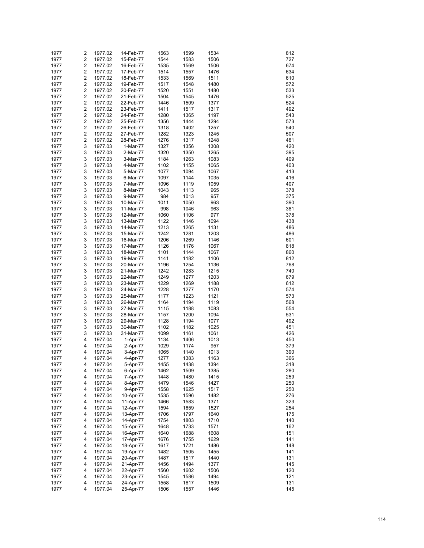| 1977 | 2                       | 1977.02 | 14-Feb-77 | 1563 | 1599 | 1534 | 812 |
|------|-------------------------|---------|-----------|------|------|------|-----|
|      |                         |         |           |      |      |      |     |
| 1977 | $\overline{\mathbf{c}}$ | 1977.02 | 15-Feb-77 | 1544 | 1583 | 1506 | 727 |
| 1977 | $\overline{\mathbf{c}}$ | 1977.02 | 16-Feb-77 | 1535 | 1569 | 1506 | 674 |
| 1977 | $\overline{c}$          | 1977.02 | 17-Feb-77 | 1514 | 1557 | 1476 | 634 |
| 1977 | $\overline{\mathbf{c}}$ | 1977.02 | 18-Feb-77 | 1533 | 1569 | 1511 | 610 |
| 1977 | $\overline{c}$          | 1977.02 | 19-Feb-77 | 1517 | 1548 | 1480 | 572 |
|      | $\overline{\mathbf{c}}$ | 1977.02 |           |      | 1551 | 1480 |     |
| 1977 |                         |         | 20-Feb-77 | 1520 |      |      | 533 |
| 1977 | $\overline{c}$          | 1977.02 | 21-Feb-77 | 1504 | 1545 | 1476 | 525 |
| 1977 | $\overline{\mathbf{c}}$ | 1977.02 | 22-Feb-77 | 1446 | 1509 | 1377 | 524 |
| 1977 | $\overline{c}$          | 1977.02 | 23-Feb-77 | 1411 | 1517 | 1317 | 492 |
| 1977 | $\overline{\mathbf{c}}$ | 1977.02 | 24-Feb-77 | 1280 | 1365 | 1197 | 543 |
| 1977 | $\overline{c}$          |         | 25-Feb-77 | 1356 | 1444 | 1294 | 573 |
|      |                         | 1977.02 |           |      |      |      |     |
| 1977 | $\overline{\mathbf{c}}$ | 1977.02 | 26-Feb-77 | 1318 | 1402 | 1257 | 540 |
| 1977 | $\overline{c}$          | 1977.02 | 27-Feb-77 | 1282 | 1323 | 1245 | 507 |
| 1977 | $\overline{\mathbf{c}}$ | 1977.02 | 28-Feb-77 | 1276 | 1317 | 1248 | 481 |
| 1977 | 3                       | 1977.03 | 1-Mar-77  | 1327 | 1356 | 1308 | 420 |
| 1977 | 3                       | 1977.03 | 2-Mar-77  | 1320 | 1350 | 1265 | 395 |
|      |                         |         |           |      |      |      |     |
| 1977 | 3                       | 1977.03 | 3-Mar-77  | 1184 | 1263 | 1083 | 409 |
| 1977 | 3                       | 1977.03 | 4-Mar-77  | 1102 | 1155 | 1065 | 403 |
| 1977 | 3                       | 1977.03 | 5-Mar-77  | 1077 | 1094 | 1067 | 413 |
| 1977 | 3                       | 1977.03 | 6-Mar-77  | 1097 | 1144 | 1035 | 416 |
| 1977 | 3                       | 1977.03 | 7-Mar-77  | 1096 | 1119 | 1059 | 407 |
| 1977 | 3                       | 1977.03 | 8-Mar-77  | 1043 | 1113 | 965  | 378 |
|      |                         |         |           |      |      |      |     |
| 1977 | 3                       | 1977.03 | 9-Mar-77  | 984  | 1013 | 957  | 375 |
| 1977 | 3                       | 1977.03 | 10-Mar-77 | 1011 | 1050 | 963  | 390 |
| 1977 | 3                       | 1977.03 | 11-Mar-77 | 998  | 1046 | 963  | 381 |
| 1977 | 3                       | 1977.03 | 12-Mar-77 | 1060 | 1106 | 977  | 378 |
| 1977 | 3                       | 1977.03 | 13-Mar-77 | 1122 | 1146 | 1094 | 438 |
|      |                         |         |           |      |      |      |     |
| 1977 | 3                       | 1977.03 | 14-Mar-77 | 1213 | 1265 | 1131 | 486 |
| 1977 | 3                       | 1977.03 | 15-Mar-77 | 1242 | 1281 | 1203 | 486 |
| 1977 | 3                       | 1977.03 | 16-Mar-77 | 1206 | 1269 | 1146 | 601 |
| 1977 | 3                       | 1977.03 | 17-Mar-77 | 1126 | 1176 | 1067 | 818 |
| 1977 | 3                       | 1977.03 | 18-Mar-77 | 1101 | 1144 | 1067 | 860 |
|      |                         |         |           |      |      |      |     |
| 1977 | 3                       | 1977.03 | 19-Mar-77 | 1141 | 1182 | 1106 | 812 |
| 1977 | 3                       | 1977.03 | 20-Mar-77 | 1196 | 1254 | 1136 | 768 |
| 1977 | 3                       | 1977.03 | 21-Mar-77 | 1242 | 1283 | 1215 | 740 |
| 1977 | 3                       | 1977.03 | 22-Mar-77 | 1249 | 1277 | 1203 | 679 |
| 1977 | 3                       | 1977.03 | 23-Mar-77 | 1229 | 1269 | 1188 | 612 |
| 1977 | 3                       | 1977.03 | 24-Mar-77 | 1228 | 1277 | 1170 | 574 |
|      |                         |         |           |      |      |      |     |
| 1977 | 3                       | 1977.03 | 25-Mar-77 | 1177 | 1223 | 1121 | 573 |
| 1977 | 3                       | 1977.03 | 26-Mar-77 | 1164 | 1194 | 1119 | 568 |
| 1977 | 3                       | 1977.03 | 27-Mar-77 | 1115 | 1188 | 1083 | 554 |
| 1977 | 3                       | 1977.03 | 28-Mar-77 | 1157 | 1200 | 1094 | 531 |
| 1977 | 3                       | 1977.03 | 29-Mar-77 | 1128 | 1194 | 1077 | 492 |
|      |                         |         |           |      |      |      |     |
| 1977 | 3                       | 1977.03 | 30-Mar-77 | 1102 | 1182 | 1025 | 451 |
| 1977 | 3                       | 1977.03 | 31-Mar-77 | 1099 | 1161 | 1061 | 426 |
| 1977 | 4                       | 1977.04 | 1-Apr-77  | 1134 | 1406 | 1013 | 450 |
| 1977 | 4                       | 1977.04 | 2-Apr-77  | 1029 | 1174 | 957  | 379 |
| 1977 | 4                       | 1977.04 | 3-Apr-77  | 1065 | 1140 | 1013 | 390 |
| 1977 | 4                       |         |           | 1277 |      |      | 366 |
|      |                         | 1977.04 | 4-Apr-77  |      | 1383 | 1163 |     |
| 1977 | 4                       | 1977.04 | 5-Apr-77  | 1455 | 1438 | 1394 | 318 |
| 1977 | 4                       | 1977.04 | 6-Apr-77  | 1462 | 1509 | 1385 | 280 |
| 1977 | 4                       | 1977.04 | 7-Apr-77  | 1448 | 1480 | 1415 | 259 |
| 1977 | 4                       | 1977.04 | 8-Apr-77  | 1479 | 1546 | 1427 | 250 |
| 1977 | 4                       | 1977.04 | 9-Apr-77  | 1558 | 1625 | 1517 | 250 |
|      |                         |         |           |      |      |      |     |
| 1977 | 4                       | 1977.04 | 10-Apr-77 | 1535 | 1596 | 1482 | 276 |
| 1977 | 4                       | 1977.04 | 11-Apr-77 | 1466 | 1583 | 1371 | 323 |
| 1977 | 4                       | 1977.04 | 12-Apr-77 | 1594 | 1659 | 1527 | 254 |
| 1977 | 4                       | 1977.04 | 13-Apr-77 | 1706 | 1797 | 1640 | 175 |
| 1977 | 4                       | 1977.04 | 14-Apr-77 | 1754 | 1803 | 1710 | 140 |
| 1977 | 4                       | 1977.04 | 15-Apr-77 | 1648 | 1733 | 1571 | 162 |
|      |                         |         |           |      |      |      |     |
| 1977 | 4                       | 1977.04 | 16-Apr-77 | 1640 | 1688 | 1608 | 151 |
| 1977 | 4                       | 1977.04 | 17-Apr-77 | 1676 | 1755 | 1629 | 141 |
| 1977 | 4                       | 1977.04 | 18-Apr-77 | 1617 | 1721 | 1486 | 148 |
| 1977 | 4                       | 1977.04 | 19-Apr-77 | 1482 | 1505 | 1455 | 141 |
| 1977 | 4                       | 1977.04 | 20-Apr-77 | 1487 | 1517 | 1440 | 131 |
| 1977 |                         |         |           | 1456 | 1494 |      | 145 |
|      | 4                       | 1977.04 | 21-Apr-77 |      |      | 1377 |     |
| 1977 | 4                       | 1977.04 | 22-Apr-77 | 1560 | 1602 | 1506 | 120 |
| 1977 | 4                       | 1977.04 | 23-Apr-77 | 1545 | 1586 | 1494 | 121 |
| 1977 | 4                       | 1977.04 | 24-Apr-77 | 1558 | 1617 | 1509 | 131 |
| 1977 | 4                       | 1977.04 | 25-Apr-77 | 1506 | 1557 | 1446 | 145 |
|      |                         |         |           |      |      |      |     |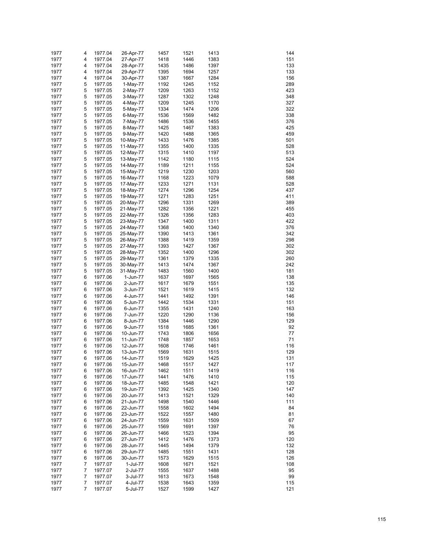|      | 4 |         |           |      |      |      |     |
|------|---|---------|-----------|------|------|------|-----|
| 1977 |   | 1977.04 | 26-Apr-77 | 1457 | 1521 | 1413 | 144 |
| 1977 | 4 | 1977.04 | 27-Apr-77 | 1418 | 1446 | 1383 | 151 |
| 1977 | 4 | 1977.04 | 28-Apr-77 | 1435 | 1486 | 1397 | 133 |
| 1977 | 4 | 1977.04 | 29-Apr-77 | 1395 | 1694 | 1257 | 133 |
|      |   |         |           |      |      |      |     |
| 1977 | 4 | 1977.04 | 30-Apr-77 | 1387 | 1667 | 1284 | 156 |
| 1977 | 5 | 1977.05 | 1-May-77  | 1192 | 1245 | 1152 | 289 |
| 1977 | 5 | 1977.05 | 2-May-77  | 1209 | 1263 | 1152 | 423 |
|      | 5 |         |           |      |      |      |     |
| 1977 |   | 1977.05 | 3-May-77  | 1287 | 1302 | 1248 | 348 |
| 1977 | 5 | 1977.05 | 4-May-77  | 1209 | 1245 | 1170 | 327 |
| 1977 | 5 | 1977.05 | 5-May-77  | 1334 | 1474 | 1206 | 322 |
| 1977 | 5 | 1977.05 |           | 1536 | 1569 | 1482 | 338 |
|      |   |         | 6-May-77  |      |      |      |     |
| 1977 | 5 | 1977.05 | 7-May-77  | 1486 | 1536 | 1455 | 376 |
| 1977 | 5 | 1977.05 | 8-May-77  | 1425 | 1467 | 1383 | 425 |
| 1977 | 5 | 1977.05 | 9-May-77  | 1420 | 1488 | 1365 | 459 |
| 1977 | 5 |         |           |      |      |      |     |
|      |   | 1977.05 | 10-May-77 | 1433 | 1476 | 1385 | 501 |
| 1977 | 5 | 1977.05 | 11-May-77 | 1355 | 1400 | 1335 | 528 |
| 1977 | 5 | 1977.05 | 12-May-77 | 1315 | 1410 | 1197 | 513 |
| 1977 | 5 | 1977.05 | 13-May-77 | 1142 | 1180 | 1115 | 524 |
|      |   |         |           |      |      |      |     |
| 1977 | 5 | 1977.05 | 14-May-77 | 1189 | 1211 | 1155 | 524 |
| 1977 | 5 | 1977.05 | 15-May-77 | 1219 | 1230 | 1203 | 560 |
| 1977 | 5 | 1977.05 | 16-May-77 | 1168 | 1223 | 1079 | 588 |
| 1977 | 5 | 1977.05 | 17-May-77 | 1233 | 1271 | 1131 | 528 |
|      |   |         |           |      |      |      |     |
| 1977 | 5 | 1977.05 | 18-May-77 | 1274 | 1296 | 1254 | 437 |
| 1977 | 5 | 1977.05 | 19-May-77 | 1271 | 1283 | 1251 | 411 |
| 1977 | 5 | 1977.05 | 20-May-77 | 1296 | 1331 | 1269 | 389 |
|      | 5 |         |           |      |      |      |     |
| 1977 |   | 1977.05 | 21-May-77 | 1282 | 1356 | 1221 | 455 |
| 1977 | 5 | 1977.05 | 22-May-77 | 1326 | 1356 | 1283 | 403 |
| 1977 | 5 | 1977.05 | 23-May-77 | 1347 | 1400 | 1311 | 422 |
| 1977 | 5 | 1977.05 | 24-May-77 | 1368 | 1400 | 1340 | 376 |
|      |   |         |           |      |      |      |     |
| 1977 | 5 | 1977.05 | 25-May-77 | 1390 | 1413 | 1361 | 342 |
| 1977 | 5 | 1977.05 | 26-May-77 | 1388 | 1419 | 1359 | 298 |
| 1977 | 5 | 1977.05 | 27-May-77 | 1393 | 1427 | 1367 | 302 |
| 1977 | 5 |         |           |      |      |      |     |
|      |   | 1977.05 | 28-May-77 | 1352 | 1400 | 1296 | 302 |
| 1977 | 5 | 1977.05 | 29-May-77 | 1361 | 1379 | 1335 | 260 |
| 1977 | 5 | 1977.05 | 30-May-77 | 1413 | 1474 | 1367 | 242 |
| 1977 | 5 | 1977.05 | 31-May-77 | 1483 | 1560 | 1400 | 181 |
|      |   |         |           |      |      |      |     |
| 1977 | 6 | 1977.06 | 1-Jun-77  | 1637 | 1697 | 1565 | 138 |
| 1977 | 6 | 1977.06 | 2-Jun-77  | 1617 | 1679 | 1551 | 135 |
| 1977 | 6 | 1977.06 | 3-Jun-77  | 1521 | 1619 | 1415 | 132 |
| 1977 | 6 | 1977.06 | 4-Jun-77  | 1441 | 1492 | 1391 | 146 |
|      |   |         |           |      |      |      |     |
| 1977 | 6 | 1977.06 | 5-Jun-77  | 1442 | 1534 | 1331 | 151 |
| 1977 | 6 | 1977.06 | 6-Jun-77  | 1355 | 1431 | 1240 | 163 |
| 1977 | 6 | 1977.06 | 7-Jun-77  | 1220 | 1290 | 1136 | 156 |
| 1977 | 6 |         |           |      |      | 1290 | 129 |
|      |   | 1977.06 | 8-Jun-77  | 1384 | 1446 |      |     |
| 1977 | 6 | 1977.06 | 9-Jun-77  | 1518 | 1685 | 1361 | 92  |
| 1977 | 6 | 1977.06 | 10-Jun-77 | 1743 | 1806 | 1656 | 77  |
| 1977 | 6 | 1977.06 | 11-Jun-77 | 1748 | 1857 | 1653 | 71  |
|      |   |         |           |      |      |      |     |
| 1977 | 6 | 1977.06 | 12-Jun-77 | 1608 | 1746 | 1461 | 116 |
| 1977 | 6 | 1977.06 | 13-Jun-77 | 1569 | 1631 | 1515 | 129 |
| 1977 | 6 | 1977.06 | 14-Jun-77 | 1519 | 1629 | 1425 | 131 |
| 1977 | 6 | 1977.06 | 15-Jun-77 | 1468 | 1517 | 1427 | 117 |
|      |   |         |           |      |      |      |     |
| 1977 | 6 | 1977.06 | 16-Jun-77 | 1462 | 1511 | 1419 | 116 |
| 1977 | 6 | 1977.06 | 17-Jun-77 | 1441 | 1476 | 1410 | 115 |
| 1977 | 6 | 1977.06 | 18-Jun-77 | 1485 | 1548 | 1421 | 120 |
| 1977 | 6 | 1977.06 | 19-Jun-77 | 1392 | 1425 | 1340 | 147 |
|      |   |         |           |      |      |      |     |
| 1977 | 6 | 1977.06 | 20-Jun-77 | 1413 | 1521 | 1329 | 140 |
| 1977 | 6 | 1977.06 | 21-Jun-77 | 1498 | 1540 | 1446 | 111 |
| 1977 | 6 | 1977.06 | 22-Jun-77 | 1558 | 1602 | 1494 | 84  |
| 1977 | 6 | 1977.06 | 23-Jun-77 | 1522 | 1557 | 1480 | 81  |
|      |   | 1977.06 |           |      |      |      |     |
| 1977 | 6 |         | 24-Jun-77 | 1559 | 1631 | 1509 | 67  |
| 1977 | 6 | 1977.06 | 25-Jun-77 | 1569 | 1691 | 1397 | 76  |
| 1977 | 6 | 1977.06 | 26-Jun-77 | 1466 | 1523 | 1394 | 95  |
| 1977 | 6 | 1977.06 | 27-Jun-77 | 1412 | 1476 | 1373 | 120 |
|      |   |         |           |      |      |      |     |
| 1977 | 6 | 1977.06 | 28-Jun-77 | 1445 | 1494 | 1379 | 132 |
| 1977 | 6 | 1977.06 | 29-Jun-77 | 1485 | 1551 | 1431 | 128 |
| 1977 | 6 | 1977.06 | 30-Jun-77 | 1573 | 1629 | 1515 | 126 |
| 1977 | 7 | 1977.07 | 1-Jul-77  | 1608 | 1671 | 1521 | 108 |
|      |   |         |           |      |      |      |     |
| 1977 | 7 | 1977.07 | 2-Jul-77  | 1555 | 1637 | 1488 | 95  |
| 1977 | 7 | 1977.07 | 3-Jul-77  | 1613 | 1673 | 1548 | 99  |
| 1977 | 7 | 1977.07 | 4-Jul-77  | 1538 | 1643 | 1359 | 115 |
| 1977 | 7 | 1977.07 | 5-Jul-77  | 1527 | 1599 | 1427 | 121 |
|      |   |         |           |      |      |      |     |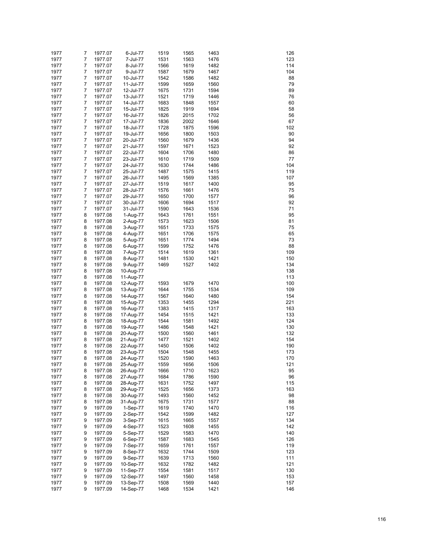| 1977 | 7 | 1977.07 | 6-Jul-77  | 1519 | 1565 | 1463 | 126 |
|------|---|---------|-----------|------|------|------|-----|
| 1977 | 7 | 1977.07 | 7-Jul-77  | 1531 | 1563 | 1476 | 123 |
| 1977 | 7 | 1977.07 | 8-Jul-77  | 1566 | 1619 | 1482 | 114 |
|      |   |         |           |      |      |      |     |
| 1977 | 7 | 1977.07 | 9-Jul-77  | 1587 | 1679 | 1467 | 104 |
| 1977 | 7 | 1977.07 | 10-Jul-77 | 1542 | 1586 | 1482 | 88  |
| 1977 | 7 | 1977.07 | 11-Jul-77 | 1599 | 1659 | 1560 | 79  |
|      |   |         |           |      |      |      |     |
| 1977 | 7 | 1977.07 | 12-Jul-77 | 1675 | 1731 | 1594 | 89  |
| 1977 | 7 | 1977.07 | 13-Jul-77 | 1521 | 1719 | 1446 | 76  |
|      |   |         |           |      |      |      |     |
| 1977 | 7 | 1977.07 | 14-Jul-77 | 1683 | 1848 | 1557 | 60  |
| 1977 | 7 | 1977.07 | 15-Jul-77 | 1825 | 1919 | 1694 | 58  |
| 1977 | 7 | 1977.07 | 16-Jul-77 | 1826 | 2015 | 1702 | 56  |
|      |   |         |           |      |      |      |     |
| 1977 | 7 | 1977.07 | 17-Jul-77 | 1836 | 2002 | 1646 | 67  |
| 1977 | 7 | 1977.07 | 18-Jul-77 | 1728 | 1875 | 1596 | 102 |
| 1977 | 7 | 1977.07 | 19-Jul-77 | 1656 | 1800 | 1503 | 90  |
|      |   |         |           |      |      |      |     |
| 1977 | 7 | 1977.07 | 20-Jul-77 | 1560 | 1679 | 1436 | 94  |
| 1977 | 7 | 1977.07 | 21-Jul-77 | 1597 | 1671 | 1523 | 92  |
| 1977 | 7 | 1977.07 | 22-Jul-77 | 1604 | 1706 | 1480 | 86  |
|      |   |         |           |      |      |      |     |
| 1977 | 7 | 1977.07 | 23-Jul-77 | 1610 | 1719 | 1509 | 77  |
| 1977 | 7 | 1977.07 | 24-Jul-77 | 1630 | 1744 | 1486 | 104 |
| 1977 | 7 | 1977.07 | 25-Jul-77 | 1487 | 1575 | 1415 | 119 |
|      |   |         |           |      |      |      |     |
| 1977 | 7 | 1977.07 | 26-Jul-77 | 1495 | 1569 | 1385 | 107 |
| 1977 | 7 | 1977.07 | 27-Jul-77 | 1519 | 1617 | 1400 | 95  |
| 1977 | 7 | 1977.07 |           | 1576 | 1661 | 1476 | 75  |
|      |   |         | 28-Jul-77 |      |      |      |     |
| 1977 | 7 | 1977.07 | 29-Jul-77 | 1650 | 1700 | 1577 | 96  |
| 1977 | 7 | 1977.07 | 30-Jul-77 | 1606 | 1694 | 1517 | 92  |
|      |   |         |           |      |      |      |     |
| 1977 | 7 | 1977.07 | 31-Jul-77 | 1590 | 1643 | 1536 | 71  |
| 1977 | 8 | 1977.08 | 1-Aug-77  | 1643 | 1761 | 1551 | 95  |
| 1977 | 8 | 1977.08 | 2-Aug-77  | 1573 | 1623 | 1506 | 81  |
|      |   |         |           |      |      |      |     |
| 1977 | 8 | 1977.08 | 3-Aug-77  | 1651 | 1733 | 1575 | 75  |
| 1977 | 8 | 1977.08 | 4-Aug-77  | 1651 | 1706 | 1575 | 65  |
| 1977 | 8 | 1977.08 |           | 1651 | 1774 | 1494 | 73  |
|      |   |         | 5-Aug-77  |      |      |      |     |
| 1977 | 8 | 1977.08 | 6-Aug-77  | 1599 | 1752 | 1476 | 88  |
| 1977 | 8 | 1977.08 | 7-Aug-77  | 1514 | 1619 | 1361 | 109 |
|      |   |         |           |      |      |      |     |
| 1977 | 8 | 1977.08 | 8-Aug-77  | 1481 | 1530 | 1421 | 150 |
| 1977 | 8 | 1977.08 | 9-Aug-77  | 1469 | 1527 | 1402 | 134 |
| 1977 | 8 | 1977.08 | 10-Aug-77 |      |      |      | 138 |
|      |   |         |           |      |      |      |     |
| 1977 | 8 | 1977.08 | 11-Aug-77 |      |      |      | 113 |
| 1977 | 8 | 1977.08 | 12-Aug-77 | 1593 | 1679 | 1470 | 100 |
| 1977 | 8 | 1977.08 | 13-Aug-77 | 1644 | 1755 | 1534 | 109 |
|      |   |         |           |      |      |      |     |
| 1977 | 8 | 1977.08 | 14-Aug-77 | 1567 | 1640 | 1480 | 154 |
| 1977 | 8 | 1977.08 | 15-Aug-77 | 1353 | 1455 | 1294 | 221 |
| 1977 | 8 | 1977.08 |           | 1383 | 1415 | 1317 | 163 |
|      |   |         | 16-Aug-77 |      |      |      |     |
| 1977 | 8 | 1977.08 | 17-Aug-77 | 1454 | 1515 | 1421 | 133 |
| 1977 | 8 | 1977.08 | 18-Aug-77 | 1544 | 1581 | 1492 | 124 |
|      |   |         |           |      |      |      |     |
| 1977 | 8 | 1977.08 | 19-Aug-77 | 1486 | 1548 | 1421 | 130 |
| 1977 | 8 | 1977.08 | 20-Aug-77 | 1500 | 1560 | 1461 | 132 |
| 1977 | 8 | 1977.08 | 21-Aug-77 | 1477 | 1521 | 1402 | 154 |
|      |   |         |           |      |      |      |     |
| 1977 | 8 | 1977.08 | 22-Aug-77 | 1450 | 1506 | 1402 | 190 |
| 1977 | 8 | 1977.08 | 23-Aug-77 | 1504 | 1548 | 1455 | 173 |
| 1977 | 8 | 1977.08 | 24-Aug-77 | 1520 | 1590 | 1463 | 170 |
|      |   |         |           |      |      |      |     |
| 1977 | 8 | 1977.08 | 25-Aug-77 | 1559 | 1656 | 1506 | 121 |
| 1977 | 8 | 1977.08 | 26-Aug-77 | 1666 | 1710 | 1623 | 95  |
| 1977 | 8 | 1977.08 | 27-Aug-77 | 1684 | 1786 | 1590 | 96  |
|      |   |         |           |      |      |      |     |
| 1977 | 8 | 1977.08 | 28-Aug-77 | 1631 | 1752 | 1497 | 115 |
| 1977 | 8 | 1977.08 | 29-Aug-77 | 1525 | 1656 | 1373 | 163 |
| 1977 | 8 | 1977.08 | 30-Aug-77 | 1493 | 1560 | 1452 | 98  |
|      |   |         |           |      |      |      |     |
| 1977 | 8 | 1977.08 | 31-Aug-77 | 1675 | 1731 | 1577 | 88  |
| 1977 | 9 | 1977.09 | 1-Sep-77  | 1619 | 1740 | 1470 | 116 |
| 1977 | 9 | 1977.09 | 2-Sep-77  | 1542 | 1599 | 1482 | 127 |
|      |   |         |           |      |      |      |     |
| 1977 | 9 | 1977.09 | 3-Sep-77  | 1615 | 1665 | 1557 | 134 |
| 1977 | 9 | 1977.09 | 4-Sep-77  | 1523 | 1608 | 1455 | 142 |
| 1977 | 9 |         |           | 1529 | 1583 | 1470 | 140 |
|      |   | 1977.09 | 5-Sep-77  |      |      |      |     |
| 1977 | 9 | 1977.09 | 6-Sep-77  | 1587 | 1683 | 1545 | 126 |
| 1977 | 9 | 1977.09 | 7-Sep-77  | 1659 | 1761 | 1557 | 119 |
|      |   |         |           |      |      |      |     |
| 1977 | 9 | 1977.09 | 8-Sep-77  | 1632 | 1744 | 1509 | 123 |
| 1977 | 9 | 1977.09 | 9-Sep-77  | 1639 | 1713 | 1560 | 111 |
| 1977 | 9 | 1977.09 | 10-Sep-77 | 1632 | 1782 | 1482 | 121 |
|      |   |         |           |      |      |      |     |
| 1977 | 9 | 1977.09 | 11-Sep-77 | 1554 | 1581 | 1517 | 130 |
| 1977 | 9 | 1977.09 | 12-Sep-77 | 1497 | 1560 | 1458 | 153 |
| 1977 | 9 | 1977.09 | 13-Sep-77 | 1508 | 1569 | 1440 | 157 |
|      |   |         |           |      |      |      |     |
| 1977 | 9 | 1977.09 | 14-Sep-77 | 1468 | 1534 | 1421 | 146 |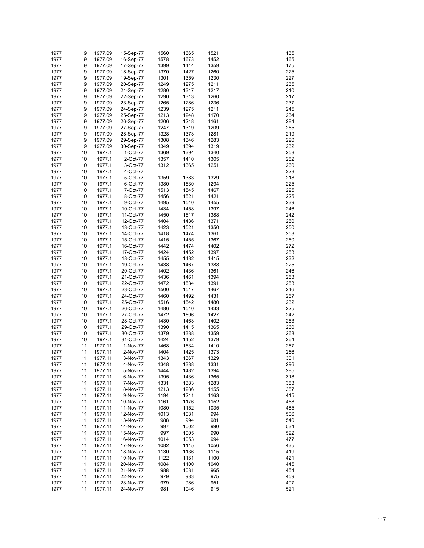| 1977 | 9  | 1977.09 | 15-Sep-77 | 1560 | 1665 | 1521 | 135 |
|------|----|---------|-----------|------|------|------|-----|
|      |    |         |           |      |      |      |     |
| 1977 | 9  | 1977.09 | 16-Sep-77 | 1578 | 1673 | 1452 | 165 |
| 1977 | 9  | 1977.09 | 17-Sep-77 | 1399 | 1444 | 1359 | 175 |
| 1977 | 9  | 1977.09 | 18-Sep-77 | 1370 | 1427 | 1260 | 225 |
| 1977 | 9  | 1977.09 | 19-Sep-77 | 1301 | 1359 | 1230 | 227 |
| 1977 | 9  | 1977.09 | 20-Sep-77 | 1249 | 1275 | 1211 | 235 |
| 1977 | 9  | 1977.09 | 21-Sep-77 | 1280 | 1317 | 1217 | 210 |
|      |    |         |           |      |      |      |     |
| 1977 | 9  | 1977.09 | 22-Sep-77 | 1290 | 1313 | 1260 | 217 |
| 1977 | 9  | 1977.09 | 23-Sep-77 | 1265 | 1286 | 1236 | 237 |
| 1977 | 9  | 1977.09 | 24-Sep-77 | 1239 | 1275 | 1211 | 245 |
| 1977 | 9  | 1977.09 | 25-Sep-77 | 1213 | 1248 | 1170 | 234 |
| 1977 | 9  | 1977.09 | 26-Sep-77 | 1206 | 1248 | 1161 | 284 |
|      |    |         |           |      |      |      |     |
| 1977 | 9  | 1977.09 | 27-Sep-77 | 1247 | 1319 | 1209 | 255 |
| 1977 | 9  | 1977.09 | 28-Sep-77 | 1328 | 1373 | 1281 | 219 |
| 1977 | 9  | 1977.09 | 29-Sep-77 | 1308 | 1346 | 1283 | 220 |
| 1977 | 9  | 1977.09 | 30-Sep-77 | 1349 | 1394 | 1319 | 232 |
| 1977 | 10 | 1977.1  | 1-Oct-77  | 1369 | 1394 | 1340 | 258 |
|      |    |         |           |      |      |      |     |
| 1977 | 10 | 1977.1  | 2-Oct-77  | 1357 | 1410 | 1305 | 282 |
| 1977 | 10 | 1977.1  | 3-Oct-77  | 1312 | 1365 | 1251 | 260 |
| 1977 | 10 | 1977.1  | 4-Oct-77  |      |      |      | 228 |
| 1977 | 10 | 1977.1  | 5-Oct-77  | 1359 | 1383 | 1329 | 218 |
| 1977 | 10 | 1977.1  | 6-Oct-77  | 1380 | 1530 | 1294 | 225 |
|      |    |         |           |      |      |      |     |
| 1977 | 10 | 1977.1  | 7-Oct-77  | 1513 | 1545 | 1467 | 225 |
| 1977 | 10 | 1977.1  | 8-Oct-77  | 1456 | 1521 | 1421 | 225 |
| 1977 | 10 | 1977.1  | 9-Oct-77  | 1495 | 1540 | 1455 | 239 |
| 1977 | 10 | 1977.1  | 10-Oct-77 | 1434 | 1458 | 1397 | 246 |
| 1977 | 10 | 1977.1  | 11-Oct-77 | 1450 | 1517 | 1388 | 242 |
|      |    |         |           |      |      |      | 250 |
| 1977 | 10 | 1977.1  | 12-Oct-77 | 1404 | 1436 | 1371 |     |
| 1977 | 10 | 1977.1  | 13-Oct-77 | 1423 | 1521 | 1350 | 250 |
| 1977 | 10 | 1977.1  | 14-Oct-77 | 1418 | 1474 | 1361 | 253 |
| 1977 | 10 | 1977.1  | 15-Oct-77 | 1415 | 1455 | 1367 | 250 |
| 1977 | 10 | 1977.1  | 16-Oct-77 | 1442 | 1474 | 1402 | 272 |
| 1977 |    | 1977.1  |           |      | 1452 | 1397 |     |
|      | 10 |         | 17-Oct-77 | 1424 |      |      | 253 |
| 1977 | 10 | 1977.1  | 18-Oct-77 | 1455 | 1482 | 1415 | 232 |
| 1977 | 10 | 1977.1  | 19-Oct-77 | 1438 | 1467 | 1388 | 225 |
| 1977 | 10 | 1977.1  | 20-Oct-77 | 1402 | 1436 | 1361 | 246 |
| 1977 | 10 | 1977.1  | 21-Oct-77 | 1436 | 1461 | 1394 | 253 |
| 1977 | 10 | 1977.1  | 22-Oct-77 | 1472 | 1534 | 1391 | 253 |
|      |    |         |           |      |      |      |     |
| 1977 | 10 | 1977.1  | 23-Oct-77 | 1500 | 1517 | 1467 | 246 |
| 1977 | 10 | 1977.1  | 24-Oct-77 | 1460 | 1492 | 1431 | 257 |
| 1977 | 10 | 1977.1  | 25-Oct-77 | 1516 | 1542 | 1480 | 232 |
| 1977 | 10 | 1977.1  | 26-Oct-77 | 1486 | 1540 | 1433 | 225 |
| 1977 | 10 | 1977.1  | 27-Oct-77 | 1472 | 1506 | 1427 | 242 |
|      |    |         |           |      |      |      |     |
| 1977 | 10 | 1977.1  | 28-Oct-77 | 1430 | 1463 | 1402 | 253 |
| 1977 | 10 | 1977.1  | 29-Oct-77 | 1390 | 1415 | 1365 | 260 |
| 1977 | 10 | 1977.1  | 30-Oct-77 | 1379 | 1388 | 1359 | 268 |
| 1977 | 10 | 1977.1  | 31-Oct-77 | 1424 | 1452 | 1379 | 264 |
| 1977 | 11 | 1977.11 | 1-Nov-77  | 1468 | 1534 | 1410 | 257 |
|      |    |         |           |      |      |      |     |
| 1977 | 11 | 1977.11 | 2-Nov-77  | 1404 | 1425 | 1373 | 266 |
| 1977 | 11 | 1977.11 | 3-Nov-77  | 1343 | 1367 | 1329 | 301 |
| 1977 | 11 | 1977.11 | 4-Nov-77  | 1348 | 1388 | 1331 | 296 |
| 1977 | 11 | 1977.11 | 5-Nov-77  | 1444 | 1482 | 1394 | 285 |
| 1977 | 11 | 1977.11 | 6-Nov-77  | 1395 | 1436 | 1365 | 318 |
|      |    |         |           |      |      |      |     |
| 1977 | 11 | 1977.11 | 7-Nov-77  | 1331 | 1383 | 1283 | 383 |
| 1977 | 11 | 1977.11 | 8-Nov-77  | 1213 | 1286 | 1155 | 387 |
| 1977 | 11 | 1977.11 | 9-Nov-77  | 1194 | 1211 | 1163 | 415 |
| 1977 | 11 | 1977.11 | 10-Nov-77 | 1161 | 1176 | 1152 | 458 |
| 1977 | 11 | 1977.11 | 11-Nov-77 | 1080 | 1152 | 1035 | 485 |
|      |    |         |           |      |      |      |     |
| 1977 | 11 | 1977.11 | 12-Nov-77 | 1013 | 1031 | 994  | 506 |
| 1977 | 11 | 1977.11 | 13-Nov-77 | 988  | 994  | 981  | 540 |
| 1977 | 11 | 1977.11 | 14-Nov-77 | 997  | 1002 | 990  | 534 |
| 1977 | 11 | 1977.11 | 15-Nov-77 | 997  | 1005 | 990  | 522 |
| 1977 | 11 | 1977.11 | 16-Nov-77 | 1014 | 1053 | 994  | 477 |
| 1977 | 11 | 1977.11 | 17-Nov-77 | 1082 | 1115 | 1056 | 435 |
|      |    |         |           |      |      |      |     |
| 1977 | 11 | 1977.11 | 18-Nov-77 | 1130 | 1136 | 1115 | 419 |
| 1977 | 11 | 1977.11 | 19-Nov-77 | 1122 | 1131 | 1100 | 421 |
| 1977 | 11 | 1977.11 | 20-Nov-77 | 1084 | 1100 | 1040 | 445 |
| 1977 | 11 | 1977.11 | 21-Nov-77 | 988  | 1031 | 965  | 454 |
| 1977 | 11 | 1977.11 | 22-Nov-77 | 979  | 983  | 975  | 459 |
|      |    |         |           |      |      |      |     |
| 1977 | 11 | 1977.11 | 23-Nov-77 | 979  | 986  | 951  | 497 |
| 1977 | 11 | 1977.11 | 24-Nov-77 | 981  | 1046 | 915  | 521 |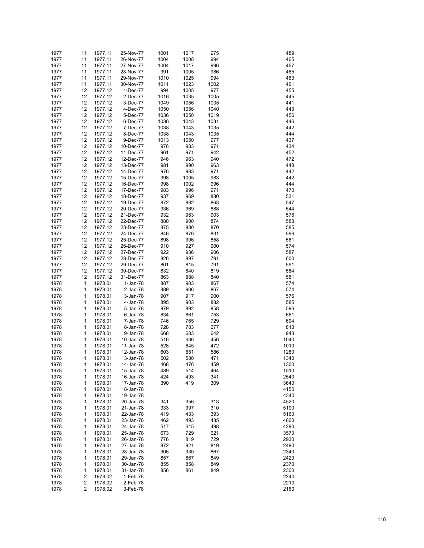| 1977 | 11 | 1977.11 | 25-Nov-77 | 1001 | 1017 | 975  | 489  |
|------|----|---------|-----------|------|------|------|------|
| 1977 | 11 | 1977.11 | 26-Nov-77 | 1004 | 1008 | 994  | 465  |
| 1977 | 11 | 1977.11 | 27-Nov-77 | 1004 | 1017 | 996  | 467  |
| 1977 | 11 | 1977.11 | 28-Nov-77 | 991  | 1005 | 986  | 465  |
| 1977 | 11 | 1977.11 | 29-Nov-77 | 1010 | 1025 | 994  | 463  |
| 1977 | 11 | 1977.11 | 30-Nov-77 | 1011 | 1023 | 1002 | 461  |
| 1977 | 12 | 1977.12 | 1-Dec-77  | 994  | 1005 | 977  | 455  |
| 1977 | 12 | 1977.12 | 2-Dec-77  | 1016 | 1035 | 1005 | 445  |
| 1977 | 12 | 1977.12 | 3-Dec-77  | 1049 | 1056 | 1035 | 441  |
| 1977 | 12 | 1977.12 | 4-Dec-77  | 1050 | 1056 | 1040 | 443  |
| 1977 | 12 | 1977.12 | 5-Dec-77  | 1036 | 1050 | 1019 | 456  |
| 1977 | 12 | 1977.12 | 6-Dec-77  | 1036 | 1043 | 1031 | 446  |
| 1977 | 12 | 1977.12 | 7-Dec-77  | 1038 | 1043 | 1035 | 442  |
| 1977 | 12 | 1977.12 | 8-Dec-77  | 1038 | 1043 | 1035 | 444  |
| 1977 | 12 | 1977.12 | 9-Dec-77  | 1013 | 1050 | 977  | 437  |
| 1977 | 12 | 1977.12 | 10-Dec-77 | 976  | 983  | 971  | 434  |
| 1977 | 12 | 1977.12 | 11-Dec-77 | 961  | 971  | 942  | 452  |
| 1977 | 12 | 1977.12 | 12-Dec-77 | 946  | 963  | 940  | 472  |
| 1977 | 12 | 1977.12 | 13-Dec-77 | 981  | 990  | 963  | 448  |
| 1977 | 12 | 1977.12 | 14-Dec-77 | 976  | 983  | 971  | 442  |
| 1977 | 12 | 1977.12 | 15-Dec-77 | 998  | 1005 | 983  | 442  |
| 1977 | 12 | 1977.12 | 16-Dec-77 | 998  | 1002 | 996  | 444  |
| 1977 | 12 | 1977.12 | 17-Dec-77 | 983  | 996  | 971  | 470  |
| 1977 | 12 | 1977.12 | 18-Dec-77 | 937  | 969  | 880  | 531  |
| 1977 | 12 | 1977.12 | 19-Dec-77 | 872  | 882  | 863  | 547  |
| 1977 | 12 | 1977.12 | 20-Dec-77 | 936  | 969  | 888  | 544  |
| 1977 | 12 | 1977.12 | 21-Dec-77 | 932  | 963  | 903  | 576  |
| 1977 | 12 | 1977.12 | 22-Dec-77 | 880  | 900  | 874  | 588  |
| 1977 | 12 | 1977.12 | 23-Dec-77 | 875  | 880  | 870  | 585  |
| 1977 | 12 | 1977.12 | 24-Dec-77 | 846  | 876  | 831  | 596  |
| 1977 | 12 | 1977.12 | 25-Dec-77 | 898  | 906  | 858  | 581  |
| 1977 | 12 | 1977.12 | 26-Dec-77 | 910  | 927  | 900  | 574  |
| 1977 | 12 | 1977.12 | 27-Dec-77 | 922  | 936  | 906  | 587  |
| 1977 | 12 | 1977.12 | 28-Dec-77 | 826  | 897  | 791  | 600  |
| 1977 | 12 | 1977.12 | 29-Dec-77 | 801  | 815  | 791  | 591  |
| 1977 | 12 | 1977.12 | 30-Dec-77 | 832  | 840  | 819  | 584  |
| 1977 | 12 | 1977.12 | 31-Dec-77 | 863  | 888  | 840  | 581  |
| 1978 | 1  | 1978.01 | 1-Jan-78  | 887  | 903  | 867  | 574  |
| 1978 | 1  | 1978.01 | 2-Jan-78  | 889  | 906  | 867  | 574  |
| 1978 | 1  | 1978.01 | 3-Jan-78  | 907  | 917  | 900  | 576  |
| 1978 | 1  | 1978.01 | 4-Jan-78  | 895  | 903  | 882  | 585  |
| 1978 | 1  | 1978.01 | 5-Jan-78  | 879  | 892  | 858  | 596  |
| 1978 | 1  | 1978.01 | 6-Jan-78  | 834  | 861  | 753  | 661  |
| 1978 | 1  | 1978.01 | 7-Jan-78  | 746  | 765  | 729  | 694  |
| 1978 | 1  | 1978.01 | 8-Jan-78  | 728  | 783  | 677  | 813  |
| 1978 | 1  | 1978.01 | 9-Jan-78  | 668  | 683  | 642  | 943  |
| 1978 | 1  | 1978.01 | 10-Jan-78 | 516  | 636  | 456  | 1040 |
| 1978 | 1  | 1978.01 | 11-Jan-78 | 528  | 645  | 472  | 1010 |
| 1978 | 1  | 1978.01 | 12-Jan-78 | 603  | 651  | 586  | 1280 |
| 1978 | 1  | 1978.01 | 13-Jan-78 | 502  | 580  | 471  | 1340 |
| 1978 | 1  | 1978.01 | 14-Jan-78 | 468  | 476  | 459  | 1300 |
| 1978 | 1  | 1978.01 | 15-Jan-78 | 489  | 514  | 464  | 1510 |
| 1978 | 1  | 1978.01 | 16-Jan-78 | 424  | 493  | 341  | 2540 |
| 1978 | 1  | 1978.01 | 17-Jan-78 | 390  | 419  | 309  | 3640 |
| 1978 | 1  | 1978.01 | 18-Jan-78 |      |      |      | 4150 |
| 1978 | 1  | 1978.01 | 19-Jan-78 |      |      |      | 4340 |
| 1978 | 1  | 1978.01 | 20-Jan-78 | 341  | 356  | 313  | 4520 |
| 1978 | 1  | 1978.01 | 21-Jan-78 | 333  | 397  | 310  | 5190 |
| 1978 | 1  | 1978.01 | 22-Jan-78 | 419  | 433  | 393  | 5160 |
| 1978 | 1  | 1978.01 | 23-Jan-78 | 462  | 493  | 435  | 4800 |
| 1978 | 1  | 1978.01 | 24-Jan-78 | 517  | 615  | 498  | 4290 |
| 1978 | 1  | 1978.01 | 25-Jan-78 | 673  | 729  | 621  | 3570 |
| 1978 | 1  | 1978.01 | 26-Jan-78 | 776  | 819  | 729  | 2930 |
| 1978 | 1  | 1978.01 | 27-Jan-78 | 872  | 921  | 819  | 2490 |
| 1978 | 1  | 1978.01 | 28-Jan-78 | 905  | 930  | 867  | 2340 |
| 1978 | 1  | 1978.01 | 29-Jan-78 | 857  | 867  | 849  | 2420 |
| 1978 | 1  | 1978.01 | 30-Jan-78 | 855  | 858  | 849  | 2370 |
| 1978 | 1  | 1978.01 | 31-Jan-78 | 856  | 861  | 849  | 2300 |
| 1978 | 2  | 1978.02 | 1-Feb-78  |      |      |      | 2240 |
| 1978 | 2  | 1978.02 | 2-Feb-78  |      |      |      | 2210 |
| 1978 | 2  | 1978.02 | 3-Feb-78  |      |      |      | 2160 |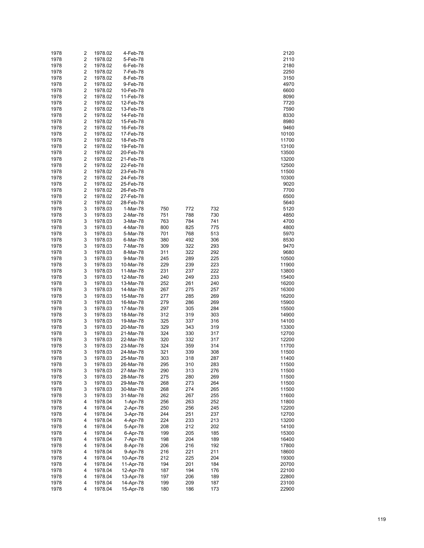| 1978         | 2                   | 1978.02            | 4-Feb-78               |            |            |            | 2120           |
|--------------|---------------------|--------------------|------------------------|------------|------------|------------|----------------|
| 1978         | 2                   | 1978.02            | 5-Feb-78               |            |            |            | 2110           |
| 1978         | $\overline{c}$      | 1978.02            | 6-Feb-78               |            |            |            | 2180           |
| 1978         | 2                   | 1978.02            | 7-Feb-78               |            |            |            | 2250           |
| 1978         | $\overline{c}$      | 1978.02            | 8-Feb-78               |            |            |            | 3150           |
| 1978         | 2                   | 1978.02            | 9-Feb-78               |            |            |            | 4970           |
| 1978         | $\overline{c}$      | 1978.02            | 10-Feb-78              |            |            |            | 6600           |
| 1978         | 2                   | 1978.02            | 11-Feb-78              |            |            |            | 8090           |
| 1978         | $\overline{c}$      | 1978.02            | 12-Feb-78              |            |            |            | 7720           |
| 1978         | 2                   | 1978.02            | 13-Feb-78              |            |            |            | 7590           |
| 1978         | $\overline{c}$      | 1978.02            | 14-Feb-78              |            |            |            | 8330           |
| 1978         | 2                   | 1978.02            | 15-Feb-78              |            |            |            | 8980           |
| 1978         | $\overline{c}$      | 1978.02            | 16-Feb-78              |            |            |            | 9460           |
| 1978         | 2                   | 1978.02            | 17-Feb-78              |            |            |            | 10100          |
| 1978         | $\overline{c}$      | 1978.02            | 18-Feb-78              |            |            |            | 11700          |
| 1978<br>1978 | 2<br>$\overline{c}$ | 1978.02            | 19-Feb-78              |            |            |            | 13100          |
|              | 2                   | 1978.02<br>1978.02 | 20-Feb-78              |            |            |            | 13500          |
| 1978<br>1978 | $\overline{c}$      | 1978.02            | 21-Feb-78<br>22-Feb-78 |            |            |            | 13200<br>12500 |
| 1978         | 2                   | 1978.02            | 23-Feb-78              |            |            |            | 11500          |
| 1978         | $\overline{c}$      | 1978.02            | 24-Feb-78              |            |            |            | 10300          |
| 1978         | 2                   | 1978.02            | 25-Feb-78              |            |            |            | 9020           |
| 1978         | $\overline{c}$      | 1978.02            | 26-Feb-78              |            |            |            | 7700           |
| 1978         | 2                   | 1978.02            | 27-Feb-78              |            |            |            | 6500           |
| 1978         | $\overline{c}$      | 1978.02            | 28-Feb-78              |            |            |            | 5640           |
| 1978         | 3                   | 1978.03            | 1-Mar-78               | 750        | 772        | 732        | 5120           |
| 1978         | 3                   | 1978.03            | 2-Mar-78               | 751        | 788        | 730        | 4850           |
| 1978         | 3                   | 1978.03            | 3-Mar-78               | 763        | 784        | 741        | 4700           |
| 1978         | 3                   | 1978.03            | 4-Mar-78               | 800        | 825        | 775        | 4800           |
| 1978         | 3                   | 1978.03            | 5-Mar-78               | 701        | 768        | 513        | 5970           |
| 1978         | 3                   | 1978.03            | 6-Mar-78               | 380        | 492        | 306        | 8530           |
| 1978         | 3                   | 1978.03            | 7-Mar-78               | 309        | 322        | 293        | 9470           |
| 1978         | 3                   | 1978.03            | 8-Mar-78               | 311        | 322        | 292        | 9680           |
| 1978         | 3                   | 1978.03            | 9-Mar-78               | 245        | 289        | 225        | 10500          |
| 1978         | 3                   | 1978.03            | 10-Mar-78              | 229        | 239        | 223        | 11900          |
| 1978         | 3                   | 1978.03            | 11-Mar-78              | 231        | 237        | 222        | 13800          |
| 1978         | 3                   | 1978.03            | 12-Mar-78              | 240        | 249        | 233        | 15400          |
| 1978         | 3                   | 1978.03            | 13-Mar-78              | 252        | 261        | 240        | 16200          |
| 1978         | 3                   | 1978.03            | 14-Mar-78              | 267        | 275        | 257        | 16300          |
| 1978         | 3                   | 1978.03            | 15-Mar-78              | 277        | 285        | 269        | 16200          |
| 1978         | 3                   | 1978.03            | 16-Mar-78              | 279        | 286        | 269        | 15900          |
| 1978         | 3                   | 1978.03            | 17-Mar-78              | 297        | 305        | 284        | 15500          |
| 1978         | 3                   | 1978.03            | 18-Mar-78              | 312        | 319        | 303        | 14900          |
| 1978         | 3                   | 1978.03            | 19-Mar-78              | 325        | 337        | 316        | 14100          |
| 1978         | 3                   | 1978.03            | 20-Mar-78              | 329        | 343        | 319        | 13300          |
| 1978         | 3                   | 1978.03            | 21-Mar-78              | 324        | 330        | 317        | 12700          |
| 1978         | 3                   | 1978.03            | 22-Mar-78              | 320        | 332        | 317        | 12200          |
| 1978         | 3                   | 1978.03            | 23-Mar-78              | 324        | 359        | 314        | 11700          |
| 1978         | 3                   | 1978.03            | 24-Mar-78              | 321        | 339        | 308        | 11500          |
| 1978         | 3                   | 1978.03            | 25-Mar-78              | 303        | 318        | 287        | 11400          |
| 1978         | 3                   | 1978.03            | 26-Mar-78              | 295        | 310        | 283        | 11500          |
| 1978         | 3                   | 1978.03            | 27-Mar-78              | 290        | 313        | 276        | 11500          |
| 1978         | 3                   | 1978.03            | 28-Mar-78              | 275        | 280        | 269        | 11500          |
| 1978         | 3                   | 1978.03            | 29-Mar-78              | 268        | 273        | 264        | 11500          |
| 1978         | 3                   | 1978.03            | 30-Mar-78              | 268        | 274        | 265        | 11500          |
| 1978         | 3<br>4              | 1978.03            | 31-Mar-78              | 262<br>256 | 267        | 255<br>252 | 11600          |
| 1978<br>1978 | 4                   | 1978.04<br>1978.04 | 1-Apr-78<br>2-Apr-78   | 250        | 263<br>256 | 245        | 11800<br>12200 |
| 1978         | 4                   | 1978.04            | 3-Apr-78               | 244        | 251        | 237        | 12700          |
| 1978         | 4                   | 1978.04            | 4-Apr-78               | 224        | 233        | 213        | 13200          |
| 1978         | 4                   | 1978.04            | 5-Apr-78               | 208        | 212        | 202        | 14100          |
| 1978         | 4                   | 1978.04            | 6-Apr-78               | 199        | 205        | 185        | 15300          |
| 1978         | 4                   | 1978.04            | 7-Apr-78               | 198        | 204        | 189        | 16400          |
| 1978         | 4                   | 1978.04            | 8-Apr-78               | 206        | 216        | 192        | 17800          |
| 1978         | 4                   | 1978.04            | 9-Apr-78               | 216        | 221        | 211        | 18600          |
| 1978         | 4                   | 1978.04            | 10-Apr-78              | 212        | 225        | 204        | 19300          |
| 1978         | 4                   | 1978.04            | 11-Apr-78              | 194        | 201        | 184        | 20700          |
| 1978         | 4                   | 1978.04            | 12-Apr-78              | 187        | 194        | 176        | 22100          |
| 1978         | 4                   | 1978.04            | 13-Apr-78              | 197        | 206        | 189        | 22800          |
| 1978         | 4                   | 1978.04            | 14-Apr-78              | 199        | 209        | 187        | 23100          |
| 1978         | 4                   | 1978.04            | 15-Apr-78              | 180        | 186        | 173        | 22900          |
|              |                     |                    |                        |            |            |            |                |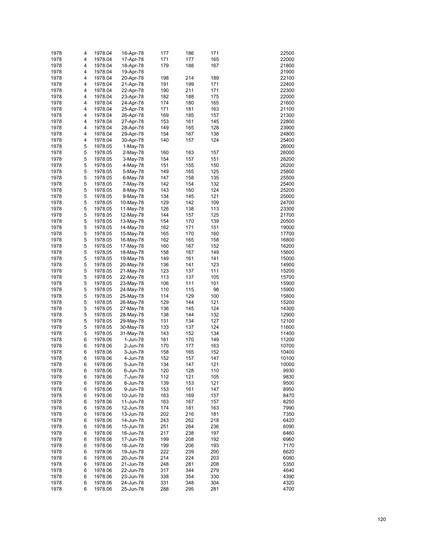| 1978 | 4 | 1978.04 | 16-Apr-78 | 177 | 186 | 171 | 22500 |
|------|---|---------|-----------|-----|-----|-----|-------|
|      |   |         |           |     |     |     |       |
| 1978 | 4 | 1978.04 | 17-Apr-78 | 171 | 177 | 165 | 22000 |
| 1978 | 4 | 1978.04 | 18-Apr-78 | 179 | 188 | 167 | 21800 |
| 1978 | 4 | 1978.04 | 19-Apr-78 |     |     |     | 21900 |
| 1978 | 4 | 1978.04 | 20-Apr-78 | 198 | 214 | 189 | 22100 |
| 1978 | 4 | 1978.04 | 21-Apr-78 | 191 | 199 | 171 | 22400 |
|      |   |         |           |     |     |     |       |
| 1978 | 4 | 1978.04 | 22-Apr-78 | 190 | 211 | 171 | 22300 |
| 1978 | 4 | 1978.04 | 23-Apr-78 | 182 | 188 | 175 | 22000 |
| 1978 | 4 | 1978.04 | 24-Apr-78 | 174 | 180 | 165 | 21600 |
| 1978 | 4 | 1978.04 | 25-Apr-78 | 171 | 181 | 163 | 21100 |
| 1978 | 4 | 1978.04 | 26-Apr-78 | 169 | 185 | 157 | 21300 |
|      |   |         |           |     |     |     |       |
| 1978 | 4 | 1978.04 | 27-Apr-78 | 153 | 161 | 145 | 22800 |
| 1978 | 4 | 1978.04 | 28-Apr-78 | 149 | 165 | 128 | 23900 |
| 1978 | 4 | 1978.04 | 29-Apr-78 | 154 | 167 | 138 | 24800 |
| 1978 | 4 | 1978.04 | 30-Apr-78 | 140 | 157 | 124 | 25400 |
| 1978 | 5 | 1978.05 | 1-May-78  |     |     |     | 26000 |
|      |   |         |           |     |     |     |       |
| 1978 | 5 | 1978.05 | 2-May-78  | 160 | 163 | 157 | 26000 |
| 1978 | 5 | 1978.05 | 3-May-78  | 154 | 157 | 151 | 26200 |
| 1978 | 5 | 1978.05 | 4-May-78  | 151 | 155 | 150 | 26200 |
| 1978 | 5 | 1978.05 | 5-May-78  | 149 | 165 | 125 | 25800 |
| 1978 | 5 | 1978.05 | 6-May-78  | 147 | 158 | 135 | 25500 |
|      |   |         |           |     |     |     |       |
| 1978 | 5 | 1978.05 | 7-May-78  | 142 | 154 | 132 | 25400 |
| 1978 | 5 | 1978.05 | 8-May-78  | 143 | 160 | 124 | 25200 |
| 1978 | 5 | 1978.05 | 9-May-78  | 134 | 145 | 121 | 25000 |
| 1978 | 5 | 1978.05 | 10-May-78 | 129 | 142 | 109 | 24700 |
| 1978 | 5 | 1978.05 | 11-May-78 | 126 | 138 | 113 | 23300 |
|      |   |         |           |     |     |     |       |
| 1978 | 5 | 1978.05 | 12-May-78 | 144 | 157 | 125 | 21700 |
| 1978 | 5 | 1978.05 | 13-May-78 | 154 | 170 | 139 | 20500 |
| 1978 | 5 | 1978.05 | 14-May-78 | 162 | 171 | 151 | 19000 |
| 1978 | 5 | 1978.05 | 15-May-78 | 165 | 170 | 160 | 17700 |
| 1978 | 5 | 1978.05 | 16-May-78 | 162 | 165 | 158 | 16800 |
| 1978 | 5 |         |           | 160 | 167 | 152 | 16200 |
|      |   | 1978.05 | 17-May-78 |     |     |     |       |
| 1978 | 5 | 1978.05 | 18-May-78 | 158 | 167 | 149 | 15600 |
| 1978 | 5 | 1978.05 | 19-May-78 | 149 | 161 | 141 | 15000 |
| 1978 | 5 | 1978.05 | 20-May-78 | 136 | 141 | 123 | 14900 |
| 1978 | 5 | 1978.05 | 21-May-78 | 123 | 137 | 111 | 15200 |
| 1978 | 5 | 1978.05 |           | 113 | 137 | 105 | 15700 |
|      |   |         | 22-May-78 |     |     |     |       |
| 1978 | 5 | 1978.05 | 23-May-78 | 106 | 111 | 101 | 15900 |
| 1978 | 5 | 1978.05 | 24-May-78 | 110 | 115 | 98  | 15900 |
| 1978 | 5 | 1978.05 | 25-May-78 | 114 | 129 | 100 | 15800 |
| 1978 | 5 | 1978.05 | 26-May-78 | 129 | 144 | 121 | 15200 |
| 1978 | 5 | 1978.05 | 27-May-78 | 136 | 145 | 124 | 14300 |
|      |   |         |           |     |     |     |       |
| 1978 | 5 | 1978.05 | 28-May-78 | 138 | 144 | 132 | 12900 |
| 1978 | 5 | 1978.05 | 29-May-78 | 131 | 134 | 127 | 12100 |
| 1978 | 5 | 1978.05 | 30-May-78 | 133 | 137 | 124 | 11600 |
| 1978 | 5 | 1978.05 | 31-May-78 | 143 | 152 | 134 | 11400 |
| 1978 | 6 | 1978.06 | 1-Jun-78  | 161 | 170 | 149 | 11200 |
|      |   |         |           |     |     |     |       |
| 1978 | 6 | 1978.06 | 2-Jun-78  | 170 | 177 | 163 | 10700 |
| 1978 | 6 | 1978.06 | 3-Jun-78  | 158 | 165 | 152 | 10400 |
| 1978 | 6 | 1978.06 | 4-Jun-78  | 152 | 157 | 147 | 10100 |
| 1978 | 6 | 1978.06 | 5-Jun-78  | 134 | 147 | 121 | 10000 |
| 1978 | 6 | 1978.06 | 6-Jun-78  | 120 | 128 | 110 | 9930  |
|      |   |         |           |     |     |     |       |
| 1978 | 6 | 1978.06 | 7-Jun-78  | 112 | 121 | 105 | 9830  |
| 1978 | 6 | 1978.06 | 8-Jun-78  | 139 | 153 | 121 | 9500  |
| 1978 | 6 | 1978.06 | 9-Jun-78  | 153 | 161 | 147 | 8950  |
| 1978 | 6 | 1978.06 | 10-Jun-78 | 163 | 169 | 157 | 8470  |
| 1978 | 6 | 1978.06 | 11-Jun-78 | 163 | 167 | 157 | 8250  |
|      |   |         |           |     |     |     |       |
| 1978 | 6 | 1978.06 | 12-Jun-78 | 174 | 181 | 163 | 7990  |
| 1978 | 6 | 1978.06 | 13-Jun-78 | 202 | 216 | 181 | 7350  |
| 1978 | 6 | 1978.06 | 14-Jun-78 | 243 | 262 | 218 | 6420  |
| 1978 | 6 | 1978.06 | 15-Jun-78 | 251 | 264 | 236 | 6090  |
| 1978 | 6 | 1978.06 | 16-Jun-78 | 217 | 238 | 197 | 6460  |
|      |   |         |           |     |     |     |       |
| 1978 | 6 | 1978.06 | 17-Jun-78 | 199 | 208 | 192 | 6960  |
| 1978 | 6 | 1978.06 | 18-Jun-78 | 199 | 206 | 193 | 7170  |
| 1978 | 6 | 1978.06 | 19-Jun-78 | 222 | 239 | 200 | 6620  |
| 1978 | 6 | 1978.06 | 20-Jun-78 | 214 | 224 | 203 | 6080  |
| 1978 | 6 | 1978.06 | 21-Jun-78 | 248 | 281 | 208 | 5350  |
| 1978 | 6 | 1978.06 | 22-Jun-78 | 317 | 344 | 279 | 4640  |
|      |   |         |           |     |     |     |       |
| 1978 | 6 | 1978.06 | 23-Jun-78 | 338 | 354 | 330 | 4390  |
| 1978 | 6 | 1978.06 | 24-Jun-78 | 331 | 348 | 304 | 4320  |
| 1978 | 6 | 1978.06 | 25-Jun-78 | 288 | 295 | 281 | 4700  |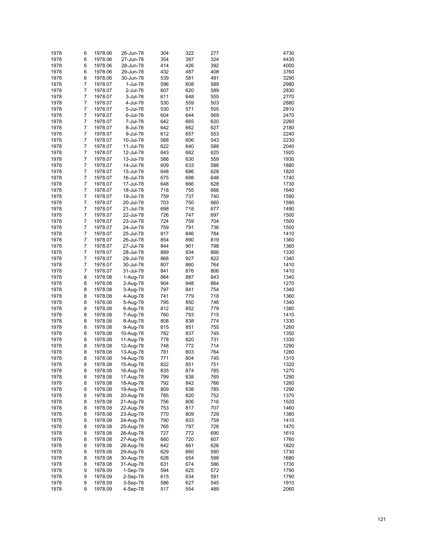| 1978 | 6 | 1978.06 | 26-Jun-78 | 304 | 322 | 277 | 4730 |
|------|---|---------|-----------|-----|-----|-----|------|
| 1978 | 6 | 1978.06 | 27-Jun-78 | 354 | 387 | 324 | 4430 |
| 1978 | 6 | 1978.06 | 28-Jun-78 | 414 | 426 | 392 | 4000 |
| 1978 | 6 | 1978.06 | 29-Jun-78 | 432 | 487 | 408 | 3760 |
| 1978 | 6 |         |           |     |     | 491 |      |
|      |   | 1978.06 | 30-Jun-78 | 539 | 581 |     | 3290 |
| 1978 | 7 | 1978.07 | 1-Jul-78  | 596 | 608 | 589 | 2980 |
| 1978 | 7 | 1978.07 | 2-Jul-78  | 607 | 620 | 589 | 2830 |
| 1978 | 7 | 1978.07 | 3-Jul-78  | 611 | 648 | 555 | 2770 |
| 1978 | 7 | 1978.07 | 4-Jul-78  | 530 | 559 | 503 | 2880 |
| 1978 | 7 | 1978.07 | 5-Jul-78  | 530 | 571 | 505 | 2810 |
| 1978 | 7 | 1978.07 | 6-Jul-78  | 604 | 644 | 569 | 2470 |
| 1978 | 7 | 1978.07 | 7-Jul-78  | 642 | 665 | 620 | 2260 |
| 1978 | 7 | 1978.07 | 8-Jul-78  | 642 | 662 | 627 | 2180 |
| 1978 | 7 | 1978.07 | 9-Jul-78  | 612 | 657 | 553 | 2240 |
| 1978 | 7 | 1978.07 | 10-Jul-78 | 568 | 606 | 543 | 2230 |
| 1978 | 7 | 1978.07 | 11-Jul-78 | 622 | 640 | 588 | 2040 |
| 1978 | 7 | 1978.07 | 12-Jul-78 | 643 | 662 | 625 | 1920 |
| 1978 | 7 | 1978.07 | 13-Jul-78 | 588 | 630 | 559 | 1930 |
| 1978 | 7 | 1978.07 | 14-Jul-78 | 609 | 633 | 586 | 1880 |
| 1978 | 7 | 1978.07 | 15-Jul-78 | 648 | 686 | 628 | 1820 |
|      | 7 |         |           |     | 698 |     |      |
| 1978 |   | 1978.07 | 16-Jul-78 | 675 |     | 648 | 1740 |
| 1978 | 7 | 1978.07 | 17-Jul-78 | 648 | 666 | 628 | 1730 |
| 1978 | 7 | 1978.07 | 18-Jul-78 | 718 | 755 | 666 | 1640 |
| 1978 | 7 | 1978.07 | 19-Jul-78 | 759 | 737 | 740 | 1590 |
| 1978 | 7 | 1978.07 | 20-Jul-78 | 703 | 750 | 660 | 1590 |
| 1978 | 7 | 1978.07 | 21-Jul-78 | 698 | 718 | 677 | 1490 |
| 1978 | 7 | 1978.07 | 22-Jul-78 | 726 | 747 | 697 | 1500 |
| 1978 | 7 | 1978.07 | 23-Jul-78 | 724 | 759 | 704 | 1500 |
| 1978 | 7 | 1978.07 | 24-Jul-78 | 759 | 791 | 736 | 1500 |
| 1978 | 7 | 1978.07 | 25-Jul-78 | 817 | 846 | 784 | 1410 |
| 1978 | 7 | 1978.07 | 26-Jul-78 | 854 | 890 | 819 | 1360 |
| 1978 | 7 | 1978.07 | 27-Jul-78 | 844 | 901 | 798 | 1360 |
| 1978 | 7 | 1978.07 | 28-Jul-78 | 889 | 934 | 866 | 1330 |
| 1978 | 7 | 1978.07 | 29-Jul-78 | 868 | 927 | 822 | 1340 |
| 1978 | 7 | 1978.07 | 30-Jul-78 | 807 | 860 | 764 | 1410 |
|      | 7 |         |           |     |     |     |      |
| 1978 |   | 1978.07 | 31-Jul-78 | 841 | 876 | 806 | 1410 |
| 1978 | 8 | 1978.08 | 1-Aug-78  | 864 | 887 | 843 | 1340 |
| 1978 | 8 | 1978.08 | 2-Aug-78  | 904 | 948 | 864 | 1270 |
| 1978 | 8 | 1978.08 | 3-Aug-78  | 797 | 841 | 754 | 1340 |
| 1978 | 8 | 1978.08 | 4-Aug-78  | 741 | 779 | 718 | 1360 |
| 1978 | 8 | 1978.08 | 5-Aug-78  | 795 | 850 | 746 | 1340 |
| 1978 | 8 | 1978.08 | 6-Aug-78  | 812 | 852 | 779 | 1380 |
| 1978 | 8 | 1978.08 | 7-Aug-78  | 760 | 793 | 715 | 1410 |
| 1978 | 8 | 1978.08 | 8-Aug-78  | 808 | 838 | 774 | 1330 |
| 1978 | 8 | 1978.08 | 9-Aug-78  | 815 | 851 | 755 | 1260 |
| 1978 | 8 | 1978.08 | 10-Aug-78 | 782 | 837 | 745 | 1350 |
| 1978 | 8 | 1978.08 | 11-Aug-78 | 778 | 820 | 731 | 1330 |
| 1978 | 8 | 1978.08 | 12-Aug-78 | 748 | 772 | 714 | 1290 |
| 1978 | 8 | 1978.08 | 13-Aug-78 | 781 | 803 | 764 | 1280 |
| 1978 | 8 | 1978.08 | 14-Aug-78 | 771 | 804 | 745 | 1310 |
| 1978 | 8 | 1978.08 | 15-Aug-78 | 822 | 851 | 751 | 1320 |
| 1978 | 8 | 1978.08 | 16-Aug-78 | 835 | 874 | 785 | 1270 |
|      |   |         |           |     |     |     |      |
| 1978 | 8 | 1978.08 | 17-Aug-78 | 799 | 838 | 765 | 1290 |
| 1978 | 8 | 1978.08 | 18-Aug-78 | 792 | 842 | 766 | 1260 |
| 1978 | 8 | 1978.08 | 19-Aug-78 | 809 | 838 | 785 | 1290 |
| 1978 | 8 | 1978.08 | 20-Aug-78 | 785 | 820 | 752 | 1370 |
| 1978 | 8 | 1978.08 | 21-Aug-78 | 756 | 806 | 716 | 1520 |
| 1978 | 8 | 1978.08 | 22-Aug-78 | 753 | 817 | 707 | 1460 |
| 1978 | 8 | 1978.08 | 23-Aug-78 | 770 | 809 | 729 | 1380 |
| 1978 | 8 | 1978.08 | 24-Aug-78 | 790 | 833 | 759 | 1410 |
| 1978 | 8 | 1978.08 | 25-Aug-78 | 765 | 797 | 726 | 1470 |
| 1978 | 8 | 1978.08 | 26-Aug-78 | 727 | 772 | 690 | 1610 |
| 1978 | 8 | 1978.08 | 27-Aug-78 | 660 | 720 | 607 | 1760 |
| 1978 | 8 | 1978.08 | 28-Aug-78 | 642 | 661 | 626 | 1820 |
| 1978 | 8 | 1978.08 | 29-Aug-78 | 629 | 660 | 590 | 1730 |
| 1978 | 8 | 1978.08 | 30-Aug-78 | 628 | 654 | 598 | 1680 |
| 1978 | 8 | 1978.08 | 31-Aug-78 | 631 | 674 | 586 | 1730 |
| 1978 | 9 | 1978.09 | 1-Sep-78  | 594 | 625 | 572 | 1790 |
| 1978 | 9 | 1978.09 |           |     | 634 | 591 | 1790 |
|      |   |         | 2-Sep-78  | 615 |     |     |      |
| 1978 | 9 | 1978.09 | 3-Sep-78  | 586 | 627 | 545 | 1910 |
| 1978 | 9 | 1978.09 | 4-Sep-78  | 517 | 554 | 489 | 2060 |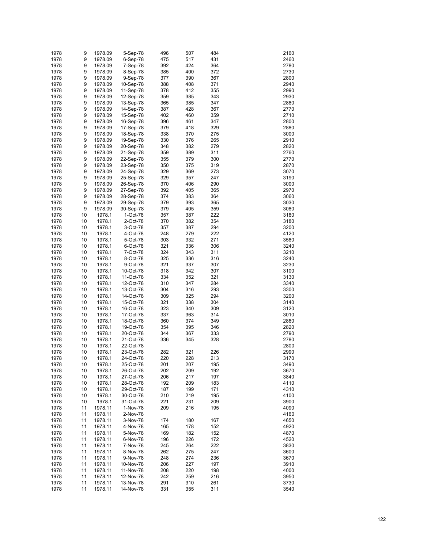| 1978 | 9  | 1978.09 | 5-Sep-78  | 496 | 507 | 484 | 2160 |
|------|----|---------|-----------|-----|-----|-----|------|
| 1978 | 9  | 1978.09 | 6-Sep-78  | 475 | 517 | 431 | 2460 |
| 1978 | 9  | 1978.09 | 7-Sep-78  | 392 | 424 | 364 | 2780 |
| 1978 | 9  | 1978.09 | 8-Sep-78  | 385 | 400 | 372 | 2730 |
| 1978 | 9  | 1978.09 | 9-Sep-78  | 377 | 390 | 367 | 2800 |
| 1978 | 9  | 1978.09 | 10-Sep-78 | 388 | 408 | 371 | 2940 |
| 1978 | 9  | 1978.09 | 11-Sep-78 | 378 | 412 | 355 | 2990 |
| 1978 | 9  | 1978.09 | 12-Sep-78 | 359 | 385 | 343 | 2930 |
| 1978 | 9  | 1978.09 | 13-Sep-78 | 365 | 385 | 347 | 2880 |
| 1978 | 9  | 1978.09 | 14-Sep-78 | 387 | 428 | 367 | 2770 |
| 1978 | 9  | 1978.09 | 15-Sep-78 | 402 | 460 | 359 | 2710 |
| 1978 | 9  | 1978.09 | 16-Sep-78 | 396 | 461 | 347 | 2800 |
| 1978 | 9  | 1978.09 | 17-Sep-78 | 379 | 418 | 329 | 2880 |
| 1978 | 9  | 1978.09 | 18-Sep-78 | 338 | 370 | 275 | 3000 |
| 1978 | 9  | 1978.09 | 19-Sep-78 | 330 | 376 | 265 | 2910 |
| 1978 | 9  | 1978.09 | 20-Sep-78 | 348 | 382 | 279 | 2820 |
| 1978 | 9  | 1978.09 | 21-Sep-78 | 359 | 389 | 311 | 2760 |
| 1978 | 9  | 1978.09 | 22-Sep-78 | 355 | 379 | 300 | 2770 |
| 1978 | 9  | 1978.09 | 23-Sep-78 | 350 | 375 | 319 | 2870 |
| 1978 | 9  | 1978.09 | 24-Sep-78 | 329 | 369 | 273 | 3070 |
| 1978 | 9  | 1978.09 | 25-Sep-78 | 329 | 357 | 247 | 3190 |
| 1978 | 9  | 1978.09 | 26-Sep-78 | 370 | 406 | 290 | 3000 |
| 1978 | 9  | 1978.09 | 27-Sep-78 | 392 | 405 | 365 | 2970 |
| 1978 | 9  | 1978.09 | 28-Sep-78 | 374 | 383 | 364 | 3060 |
| 1978 | 9  | 1978.09 | 29-Sep-78 | 379 | 393 | 365 | 3030 |
| 1978 | 9  | 1978.09 | 30-Sep-78 | 379 | 405 | 359 | 3080 |
| 1978 | 10 | 1978.1  | 1-Oct-78  | 357 | 387 | 222 | 3180 |
| 1978 | 10 | 1978.1  | 2-Oct-78  | 370 | 382 | 354 | 3180 |
| 1978 | 10 | 1978.1  | 3-Oct-78  | 357 | 387 | 294 | 3200 |
| 1978 | 10 | 1978.1  | 4-Oct-78  | 248 | 279 | 222 | 4120 |
| 1978 | 10 | 1978.1  | 5-Oct-78  | 303 | 332 | 271 | 3580 |
| 1978 | 10 | 1978.1  | 6-Oct-78  | 321 | 336 | 306 | 3240 |
| 1978 | 10 | 1978.1  | 7-Oct-78  | 324 | 343 | 311 | 3210 |
| 1978 | 10 | 1978.1  | 8-Oct-78  | 325 | 336 | 316 | 3240 |
| 1978 | 10 | 1978.1  | 9-Oct-78  | 321 | 337 | 307 | 3230 |
| 1978 | 10 | 1978.1  | 10-Oct-78 | 318 | 342 | 307 | 3100 |
| 1978 | 10 | 1978.1  | 11-Oct-78 | 334 | 352 | 321 | 3130 |
| 1978 | 10 | 1978.1  | 12-Oct-78 | 310 | 347 | 284 | 3340 |
| 1978 | 10 | 1978.1  | 13-Oct-78 | 304 | 316 | 293 | 3300 |
| 1978 | 10 | 1978.1  | 14-Oct-78 | 309 | 325 | 294 | 3200 |
| 1978 | 10 | 1978.1  | 15-Oct-78 | 321 | 338 | 304 | 3140 |
| 1978 | 10 | 1978.1  | 16-Oct-78 | 323 | 340 | 309 | 3120 |
| 1978 | 10 | 1978.1  | 17-Oct-78 | 337 | 363 | 314 | 3010 |
| 1978 | 10 | 1978.1  | 18-Oct-78 | 360 | 374 | 349 | 2860 |
| 1978 | 10 | 1978.1  | 19-Oct-78 | 354 | 395 | 346 | 2820 |
| 1978 | 10 | 1978.1  | 20-Oct-78 | 344 | 367 | 333 | 2790 |
| 1978 | 10 | 1978.1  | 21-Oct-78 | 336 | 345 | 328 | 2780 |
| 1978 | 10 | 1978.1  | 22-Oct-78 |     |     |     | 2800 |
| 1978 | 10 | 1978.1  | 23-Oct-78 | 282 | 321 | 226 | 2990 |
| 1978 | 10 | 1978.1  | 24-Oct-78 | 220 | 228 | 213 | 3170 |
| 1978 | 10 | 1978.1  | 25-Oct-78 | 201 | 207 | 195 | 3490 |
| 1978 | 10 | 1978.1  | 26-Oct-78 | 202 | 209 | 192 | 3670 |
| 1978 | 10 | 1978.1  | 27-Oct-78 | 206 | 217 | 197 | 3840 |
| 1978 | 10 | 1978.1  | 28-Oct-78 | 192 | 209 | 183 | 4110 |
| 1978 | 10 | 1978.1  | 29-Oct-78 | 187 | 199 | 171 | 4310 |
| 1978 | 10 | 1978.1  | 30-Oct-78 | 210 | 219 | 195 | 4100 |
| 1978 | 10 | 1978.1  | 31-Oct-78 | 221 | 231 | 209 | 3900 |
| 1978 | 11 | 1978.11 | 1-Nov-78  | 209 | 216 | 195 | 4090 |
| 1978 | 11 | 1978.11 | 2-Nov-78  |     |     |     | 4160 |
| 1978 | 11 | 1978.11 | 3-Nov-78  | 174 | 180 | 167 | 4650 |
| 1978 | 11 | 1978.11 | 4-Nov-78  | 165 | 178 | 152 | 4920 |
| 1978 | 11 | 1978.11 | 5-Nov-78  | 169 | 182 | 152 | 4870 |
| 1978 | 11 | 1978.11 | 6-Nov-78  | 196 | 226 | 172 | 4520 |
| 1978 | 11 | 1978.11 | 7-Nov-78  | 245 | 264 | 222 | 3830 |
| 1978 | 11 | 1978.11 | 8-Nov-78  | 262 | 275 | 247 | 3600 |
| 1978 | 11 | 1978.11 | 9-Nov-78  | 248 | 274 | 236 | 3670 |
| 1978 | 11 | 1978.11 | 10-Nov-78 | 206 | 227 | 197 | 3910 |
| 1978 | 11 | 1978.11 | 11-Nov-78 | 208 | 220 | 198 | 4000 |
| 1978 | 11 | 1978.11 | 12-Nov-78 | 242 | 259 | 216 | 3950 |
| 1978 | 11 | 1978.11 | 13-Nov-78 | 291 | 310 | 261 | 3730 |
| 1978 | 11 | 1978.11 | 14-Nov-78 | 331 | 355 | 311 | 3540 |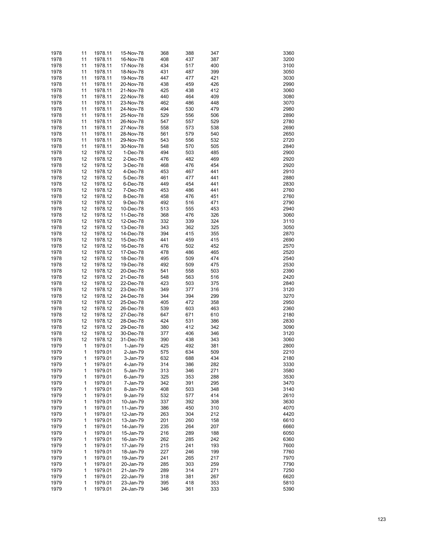| 1978 | 11           | 1978.11 | 15-Nov-78 | 368 | 388 | 347 | 3360 |
|------|--------------|---------|-----------|-----|-----|-----|------|
| 1978 | 11           | 1978.11 | 16-Nov-78 | 408 | 437 | 387 | 3200 |
| 1978 | 11           | 1978.11 | 17-Nov-78 | 434 | 517 | 400 | 3100 |
|      |              |         |           |     |     |     |      |
| 1978 | 11           | 1978.11 | 18-Nov-78 | 431 | 487 | 399 | 3050 |
| 1978 | 11           | 1978.11 | 19-Nov-78 | 447 | 477 | 421 | 3030 |
| 1978 | 11           | 1978.11 | 20-Nov-78 | 438 | 459 | 426 | 2990 |
| 1978 | 11           | 1978.11 | 21-Nov-78 | 425 | 438 | 412 | 3060 |
| 1978 | 11           | 1978.11 | 22-Nov-78 | 440 | 464 | 409 | 3080 |
| 1978 | 11           | 1978.11 | 23-Nov-78 | 462 | 486 | 448 | 3070 |
| 1978 | 11           | 1978.11 | 24-Nov-78 | 494 | 530 | 479 | 2980 |
| 1978 | 11           | 1978.11 | 25-Nov-78 | 529 | 556 | 506 | 2890 |
| 1978 | 11           | 1978.11 | 26-Nov-78 | 547 | 557 | 529 | 2780 |
| 1978 | 11           | 1978.11 | 27-Nov-78 | 558 | 573 | 538 | 2690 |
| 1978 | 11           | 1978.11 | 28-Nov-78 | 561 | 579 | 540 | 2650 |
| 1978 | 11           | 1978.11 | 29-Nov-78 | 543 | 556 | 532 | 2720 |
| 1978 | 11           | 1978.11 | 30-Nov-78 | 548 | 570 | 505 | 2840 |
| 1978 | 12           | 1978.12 | 1-Dec-78  | 494 | 503 | 485 | 2900 |
|      |              |         |           |     |     |     | 2920 |
| 1978 | 12           | 1978.12 | 2-Dec-78  | 476 | 482 | 469 |      |
| 1978 | 12           | 1978.12 | 3-Dec-78  | 468 | 476 | 454 | 2920 |
| 1978 | 12           | 1978.12 | 4-Dec-78  | 453 | 467 | 441 | 2910 |
| 1978 | 12           | 1978.12 | 5-Dec-78  | 461 | 477 | 441 | 2880 |
| 1978 | 12           | 1978.12 | 6-Dec-78  | 449 | 454 | 441 | 2830 |
| 1978 | 12           | 1978.12 | 7-Dec-78  | 453 | 486 | 441 | 2760 |
| 1978 | 12           | 1978.12 | 8-Dec-78  | 458 | 476 | 451 | 2760 |
| 1978 | 12           | 1978.12 | 9-Dec-78  | 492 | 516 | 471 | 2790 |
| 1978 | 12           | 1978.12 | 10-Dec-78 | 513 | 555 | 453 | 2940 |
| 1978 | 12           | 1978.12 | 11-Dec-78 | 368 | 476 | 326 | 3060 |
| 1978 | 12           | 1978.12 | 12-Dec-78 | 332 | 339 | 324 | 3110 |
| 1978 | 12           | 1978.12 | 13-Dec-78 | 343 | 362 | 325 | 3050 |
| 1978 | 12           | 1978.12 | 14-Dec-78 | 394 | 415 | 355 | 2870 |
|      |              |         |           |     |     |     |      |
| 1978 | 12           | 1978.12 | 15-Dec-78 | 441 | 459 | 415 | 2690 |
| 1978 | 12           | 1978.12 | 16-Dec-78 | 476 | 502 | 452 | 2570 |
| 1978 | 12           | 1978.12 | 17-Dec-78 | 478 | 486 | 465 | 2520 |
| 1978 | 12           | 1978.12 | 18-Dec-78 | 495 | 509 | 474 | 2540 |
| 1978 | 12           | 1978.12 | 19-Dec-78 | 492 | 509 | 475 | 2530 |
| 1978 | 12           | 1978.12 | 20-Dec-78 | 541 | 558 | 503 | 2390 |
| 1978 | 12           | 1978.12 | 21-Dec-78 | 548 | 563 | 516 | 2420 |
| 1978 | 12           | 1978.12 | 22-Dec-78 | 423 | 503 | 375 | 2840 |
| 1978 | 12           | 1978.12 | 23-Dec-78 | 349 | 377 | 316 | 3120 |
| 1978 | 12           | 1978.12 | 24-Dec-78 | 344 | 394 | 299 | 3270 |
| 1978 | 12           | 1978.12 | 25-Dec-78 | 405 | 472 | 358 | 2950 |
| 1978 | 12           | 1978.12 | 26-Dec-78 | 539 | 603 | 463 | 2360 |
| 1978 | 12           | 1978.12 | 27-Dec-78 | 647 | 671 | 610 | 2180 |
| 1978 | 12           | 1978.12 | 28-Dec-78 | 424 | 531 | 386 | 2830 |
|      |              |         |           |     |     |     |      |
| 1978 | 12           | 1978.12 | 29-Dec-78 | 380 | 412 | 342 | 3090 |
| 1978 | 12           | 1978.12 | 30-Dec-78 | 377 | 406 | 346 | 3120 |
| 1978 | 12           | 1978.12 | 31-Dec-78 | 390 | 438 | 343 | 3060 |
| 1979 | 1            | 1979.01 | 1-Jan-79  | 425 | 492 | 381 | 2800 |
| 1979 | $\mathbf{1}$ | 1979.01 | 2-Jan-79  | 575 | 634 | 509 | 2210 |
| 1979 | 1            | 1979.01 | 3-Jan-79  | 632 | 688 | 434 | 2180 |
| 1979 | 1            | 1979.01 | 4-Jan-79  | 314 | 386 | 282 | 3330 |
| 1979 | 1            | 1979.01 | 5-Jan-79  | 313 | 346 | 271 | 3580 |
| 1979 | 1            | 1979.01 | 6-Jan-79  | 325 | 353 | 288 | 3530 |
| 1979 | 1            | 1979.01 | 7-Jan-79  | 342 | 391 | 295 | 3470 |
| 1979 | 1            | 1979.01 | 8-Jan-79  | 408 | 503 | 348 | 3140 |
| 1979 | 1            | 1979.01 | 9-Jan-79  | 532 | 577 | 414 | 2610 |
| 1979 | 1            | 1979.01 | 10-Jan-79 | 337 | 392 | 308 | 3630 |
| 1979 | 1            | 1979.01 | 11-Jan-79 | 386 | 450 | 310 | 4070 |
|      |              |         |           |     |     |     |      |
| 1979 | 1            | 1979.01 | 12-Jan-79 | 263 | 304 | 212 | 4420 |
| 1979 | 1            | 1979.01 | 13-Jan-79 | 201 | 260 | 158 | 6610 |
| 1979 | 1            | 1979.01 | 14-Jan-79 | 235 | 264 | 207 | 6660 |
| 1979 | 1            | 1979.01 | 15-Jan-79 | 216 | 289 | 188 | 6050 |
| 1979 | 1            | 1979.01 | 16-Jan-79 | 262 | 285 | 242 | 6360 |
| 1979 | 1            | 1979.01 | 17-Jan-79 | 215 | 241 | 193 | 7600 |
| 1979 | 1            | 1979.01 | 18-Jan-79 | 227 | 246 | 199 | 7760 |
| 1979 | 1            | 1979.01 | 19-Jan-79 | 241 | 265 | 217 | 7970 |
| 1979 | 1            | 1979.01 | 20-Jan-79 | 285 | 303 | 259 | 7790 |
| 1979 | 1            | 1979.01 | 21-Jan-79 | 289 | 314 | 271 | 7250 |
| 1979 | 1            | 1979.01 | 22-Jan-79 | 318 | 381 | 267 | 6620 |
| 1979 | 1            | 1979.01 | 23-Jan-79 | 395 | 418 | 353 | 5810 |
| 1979 | 1            | 1979.01 | 24-Jan-79 | 346 | 361 | 333 | 5390 |
|      |              |         |           |     |     |     |      |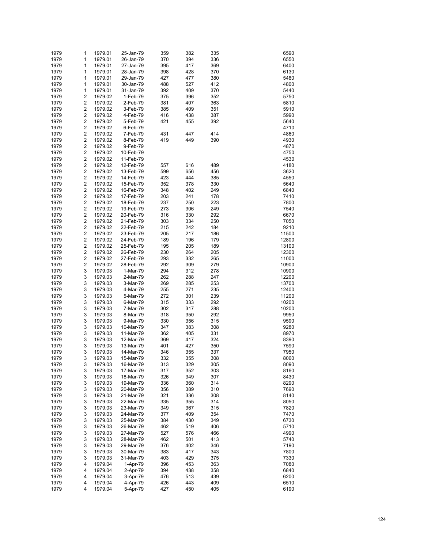| 1979 | 1                       | 1979.01 | 25-Jan-79 | 359 | 382 | 335 | 6590  |
|------|-------------------------|---------|-----------|-----|-----|-----|-------|
| 1979 | 1                       | 1979.01 | 26-Jan-79 | 370 | 394 | 336 | 6550  |
| 1979 | 1                       | 1979.01 | 27-Jan-79 | 395 | 417 | 369 | 6400  |
| 1979 | 1                       | 1979.01 | 28-Jan-79 | 398 | 428 | 370 | 6130  |
| 1979 | 1                       | 1979.01 | 29-Jan-79 | 427 | 477 | 380 | 5480  |
| 1979 | 1                       | 1979.01 | 30-Jan-79 | 488 | 527 | 412 | 4800  |
| 1979 | 1                       | 1979.01 | 31-Jan-79 | 392 | 409 | 370 | 5440  |
| 1979 | 2                       | 1979.02 | 1-Feb-79  | 375 | 396 | 352 | 5750  |
| 1979 | $\overline{\mathbf{c}}$ | 1979.02 | 2-Feb-79  | 381 | 407 | 363 | 5810  |
| 1979 | $\overline{\mathbf{c}}$ | 1979.02 | 3-Feb-79  | 385 | 409 | 351 | 5910  |
| 1979 | $\overline{\mathbf{c}}$ | 1979.02 | 4-Feb-79  | 416 | 438 | 387 | 5990  |
| 1979 | $\overline{\mathbf{c}}$ | 1979.02 | 5-Feb-79  | 421 | 455 | 392 | 5640  |
| 1979 | $\overline{\mathbf{c}}$ | 1979.02 | 6-Feb-79  |     |     |     | 4710  |
| 1979 | $\overline{\mathbf{c}}$ | 1979.02 | 7-Feb-79  | 431 | 447 | 414 | 4860  |
| 1979 | $\overline{\mathbf{c}}$ | 1979.02 | 8-Feb-79  | 419 | 449 | 390 | 4930  |
| 1979 | $\overline{\mathbf{c}}$ | 1979.02 | 9-Feb-79  |     |     |     | 4870  |
| 1979 | $\overline{\mathbf{c}}$ | 1979.02 | 10-Feb-79 |     |     |     | 4750  |
| 1979 | $\overline{\mathbf{c}}$ | 1979.02 | 11-Feb-79 |     |     |     | 4530  |
| 1979 | $\overline{\mathbf{c}}$ | 1979.02 | 12-Feb-79 | 557 | 616 | 489 | 4180  |
| 1979 | $\overline{\mathbf{c}}$ | 1979.02 | 13-Feb-79 | 599 | 656 | 456 | 3620  |
| 1979 | $\overline{\mathbf{c}}$ | 1979.02 | 14-Feb-79 | 423 | 444 | 385 | 4550  |
| 1979 | $\overline{\mathbf{c}}$ | 1979.02 | 15-Feb-79 | 352 | 378 | 330 | 5640  |
| 1979 | $\overline{\mathbf{c}}$ | 1979.02 | 16-Feb-79 | 348 | 402 | 249 | 6840  |
| 1979 | $\overline{\mathbf{c}}$ | 1979.02 | 17-Feb-79 | 203 | 241 | 178 | 7410  |
| 1979 | $\overline{\mathbf{c}}$ | 1979.02 | 18-Feb-79 | 237 | 250 | 223 | 7800  |
| 1979 | $\overline{\mathbf{c}}$ | 1979.02 | 19-Feb-79 | 273 | 306 | 249 | 7540  |
| 1979 | $\overline{\mathbf{c}}$ | 1979.02 | 20-Feb-79 | 316 | 330 | 292 | 6670  |
| 1979 | $\overline{\mathbf{c}}$ | 1979.02 | 21-Feb-79 | 303 | 334 | 250 | 7050  |
| 1979 | $\overline{\mathbf{c}}$ | 1979.02 | 22-Feb-79 | 215 | 242 | 184 | 9210  |
| 1979 | $\overline{\mathbf{c}}$ | 1979.02 | 23-Feb-79 | 205 | 217 | 186 | 11500 |
| 1979 | $\overline{\mathbf{c}}$ | 1979.02 | 24-Feb-79 | 189 | 196 | 179 | 12800 |
| 1979 | $\overline{\mathbf{c}}$ | 1979.02 | 25-Feb-79 | 195 | 205 | 189 | 13100 |
| 1979 | $\overline{\mathbf{c}}$ | 1979.02 | 26-Feb-79 | 230 | 264 | 205 | 12300 |
| 1979 | $\overline{\mathbf{c}}$ | 1979.02 | 27-Feb-79 | 293 | 332 | 265 | 11000 |
| 1979 | $\overline{\mathbf{c}}$ | 1979.02 | 28-Feb-79 | 292 | 309 | 279 | 10900 |
| 1979 | 3                       | 1979.03 | 1-Mar-79  | 294 | 312 | 278 | 10900 |
| 1979 | 3                       | 1979.03 | 2-Mar-79  | 262 | 288 | 247 | 12200 |
| 1979 | 3                       | 1979.03 | 3-Mar-79  | 269 | 285 | 253 | 13700 |
| 1979 | 3                       | 1979.03 | 4-Mar-79  | 255 | 271 | 235 | 12400 |
| 1979 | 3                       | 1979.03 | 5-Mar-79  | 272 | 301 | 239 | 11200 |
| 1979 | 3                       | 1979.03 | 6-Mar-79  | 315 | 333 | 292 | 10200 |
| 1979 | 3                       | 1979.03 | 7-Mar-79  | 302 | 317 | 288 | 10200 |
| 1979 | 3                       | 1979.03 | 8-Mar-79  | 318 | 350 | 292 | 9950  |
| 1979 | 3                       | 1979.03 | 9-Mar-79  | 330 | 356 | 315 | 9590  |
| 1979 | 3                       | 1979.03 | 10-Mar-79 | 347 | 383 | 308 | 9280  |
| 1979 | 3                       | 1979.03 | 11-Mar-79 | 362 | 405 | 331 | 8970  |
| 1979 | 3                       | 1979.03 | 12-Mar-79 | 369 | 417 | 324 | 8390  |
| 1979 | 3                       | 1979.03 | 13-Mar-79 | 401 | 427 | 350 | 7590  |
| 1979 | 3                       | 1979.03 | 14-Mar-79 | 346 | 355 | 337 | 7950  |
| 1979 | 3                       | 1979.03 | 15-Mar-79 | 332 | 355 | 308 | 8060  |
| 1979 | 3                       | 1979.03 | 16-Mar-79 | 313 | 329 | 305 | 8090  |
| 1979 | 3                       | 1979.03 | 17-Mar-79 | 317 | 352 | 303 | 8160  |
| 1979 | 3                       | 1979.03 | 18-Mar-79 | 326 | 349 | 307 | 8430  |
| 1979 | 3                       | 1979.03 | 19-Mar-79 | 336 | 360 | 314 | 8290  |
| 1979 | 3                       | 1979.03 | 20-Mar-79 | 356 | 389 | 310 | 7690  |
| 1979 | 3                       | 1979.03 | 21-Mar-79 | 321 | 336 | 308 | 8140  |
| 1979 | 3                       | 1979.03 | 22-Mar-79 | 335 | 355 | 314 | 8050  |
| 1979 | 3                       | 1979.03 | 23-Mar-79 | 349 | 367 | 315 | 7820  |
| 1979 | 3                       | 1979.03 | 24-Mar-79 | 377 | 409 | 354 | 7470  |
| 1979 | 3                       | 1979.03 | 25-Mar-79 | 384 | 430 | 349 | 6730  |
| 1979 | 3                       | 1979.03 | 26-Mar-79 | 462 | 519 | 406 | 5710  |
| 1979 | 3                       | 1979.03 | 27-Mar-79 | 527 | 576 | 466 | 4990  |
| 1979 | 3                       | 1979.03 | 28-Mar-79 | 462 | 501 | 413 | 5740  |
| 1979 | 3                       | 1979.03 | 29-Mar-79 | 376 | 402 | 346 | 7190  |
| 1979 | 3                       | 1979.03 | 30-Mar-79 | 383 | 417 | 343 | 7800  |
| 1979 | 3                       | 1979.03 | 31-Mar-79 | 403 | 429 | 375 | 7330  |
| 1979 | 4                       | 1979.04 | 1-Apr-79  | 396 | 453 | 363 | 7080  |
| 1979 | 4                       | 1979.04 | 2-Apr-79  | 394 | 438 | 358 | 6840  |
| 1979 | 4                       | 1979.04 | 3-Apr-79  | 476 | 513 | 439 | 6200  |
| 1979 | 4                       | 1979.04 | 4-Apr-79  | 426 | 443 | 409 | 6510  |
| 1979 | 4                       | 1979.04 | 5-Apr-79  | 427 | 450 | 405 | 6190  |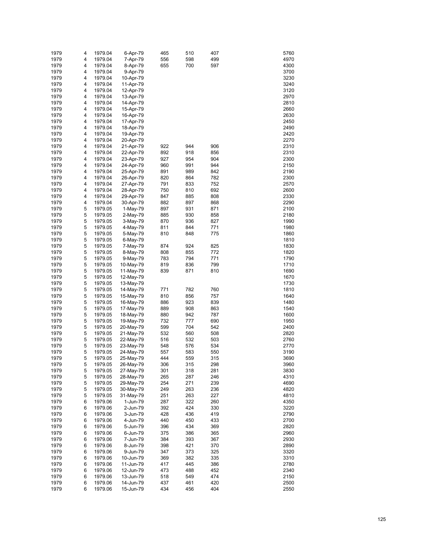| 1979 | 4 | 1979.04 | 6-Apr-79  | 465 | 510 | 407 | 5760 |
|------|---|---------|-----------|-----|-----|-----|------|
| 1979 | 4 | 1979.04 | 7-Apr-79  | 556 | 598 | 499 | 4970 |
| 1979 | 4 | 1979.04 | 8-Apr-79  | 655 | 700 | 597 | 4300 |
| 1979 | 4 | 1979.04 | 9-Apr-79  |     |     |     | 3700 |
| 1979 | 4 | 1979.04 | 10-Apr-79 |     |     |     | 3230 |
| 1979 | 4 | 1979.04 |           |     |     |     | 3240 |
| 1979 |   |         | 11-Apr-79 |     |     |     |      |
|      | 4 | 1979.04 | 12-Apr-79 |     |     |     | 3120 |
| 1979 | 4 | 1979.04 | 13-Apr-79 |     |     |     | 2970 |
| 1979 | 4 | 1979.04 | 14-Apr-79 |     |     |     | 2810 |
| 1979 | 4 | 1979.04 | 15-Apr-79 |     |     |     | 2660 |
| 1979 | 4 | 1979.04 | 16-Apr-79 |     |     |     | 2630 |
| 1979 | 4 | 1979.04 | 17-Apr-79 |     |     |     | 2450 |
| 1979 | 4 | 1979.04 | 18-Apr-79 |     |     |     | 2490 |
| 1979 | 4 | 1979.04 | 19-Apr-79 |     |     |     | 2420 |
| 1979 | 4 | 1979.04 | 20-Apr-79 |     |     |     | 2270 |
| 1979 | 4 | 1979.04 | 21-Apr-79 | 922 | 944 | 906 | 2310 |
| 1979 | 4 | 1979.04 | 22-Apr-79 | 892 | 918 | 856 | 2310 |
| 1979 | 4 | 1979.04 | 23-Apr-79 | 927 | 954 | 904 | 2300 |
| 1979 | 4 | 1979.04 |           | 960 | 991 | 944 | 2150 |
|      |   |         | 24-Apr-79 |     |     |     |      |
| 1979 | 4 | 1979.04 | 25-Apr-79 | 891 | 989 | 842 | 2190 |
| 1979 | 4 | 1979.04 | 26-Apr-79 | 820 | 864 | 782 | 2300 |
| 1979 | 4 | 1979.04 | 27-Apr-79 | 791 | 833 | 752 | 2570 |
| 1979 | 4 | 1979.04 | 28-Apr-79 | 750 | 810 | 692 | 2600 |
| 1979 | 4 | 1979.04 | 29-Apr-79 | 847 | 885 | 808 | 2330 |
| 1979 | 4 | 1979.04 | 30-Apr-79 | 882 | 897 | 868 | 2290 |
| 1979 | 5 | 1979.05 | 1-May-79  | 897 | 931 | 871 | 2100 |
| 1979 | 5 | 1979.05 | 2-May-79  | 885 | 930 | 858 | 2180 |
| 1979 | 5 | 1979.05 | 3-May-79  | 870 | 936 | 827 | 1990 |
| 1979 | 5 | 1979.05 | 4-May-79  | 811 | 844 | 771 | 1980 |
| 1979 | 5 | 1979.05 | 5-May-79  | 810 | 848 | 775 | 1860 |
| 1979 | 5 | 1979.05 |           |     |     |     | 1810 |
|      |   |         | 6-May-79  |     |     |     |      |
| 1979 | 5 | 1979.05 | 7-May-79  | 874 | 924 | 825 | 1830 |
| 1979 | 5 | 1979.05 | 8-May-79  | 808 | 855 | 772 | 1820 |
| 1979 | 5 | 1979.05 | 9-May-79  | 783 | 794 | 771 | 1790 |
| 1979 | 5 | 1979.05 | 10-May-79 | 819 | 836 | 799 | 1710 |
| 1979 | 5 | 1979.05 | 11-May-79 | 839 | 871 | 810 | 1690 |
| 1979 | 5 | 1979.05 | 12-May-79 |     |     |     | 1670 |
| 1979 | 5 | 1979.05 | 13-May-79 |     |     |     | 1730 |
| 1979 | 5 | 1979.05 | 14-May-79 | 771 | 782 | 760 | 1810 |
| 1979 | 5 | 1979.05 | 15-May-79 | 810 | 856 | 757 | 1640 |
| 1979 | 5 | 1979.05 | 16-May-79 | 886 | 923 | 839 | 1480 |
| 1979 | 5 | 1979.05 | 17-May-79 | 889 | 908 | 863 | 1540 |
| 1979 | 5 | 1979.05 | 18-May-79 | 880 | 942 | 787 | 1600 |
| 1979 | 5 | 1979.05 | 19-May-79 | 732 | 777 | 690 | 1950 |
| 1979 | 5 | 1979.05 |           | 599 | 704 | 542 | 2400 |
|      |   |         | 20-May-79 |     |     |     |      |
| 1979 | 5 | 1979.05 | 21-May-79 | 532 | 560 | 508 | 2820 |
| 1979 | 5 | 1979.05 | 22-May-79 | 516 | 532 | 503 | 2760 |
| 1979 | 5 | 1979.05 | 23-May-79 | 548 | 576 | 534 | 2770 |
| 1979 | 5 | 1979.05 | 24-May-79 | 557 | 583 | 550 | 3190 |
| 1979 | 5 | 1979.05 | 25-May-79 | 444 | 559 | 315 | 3690 |
| 1979 | 5 | 1979.05 | 26-May-79 | 306 | 315 | 298 | 3960 |
| 1979 | 5 | 1979.05 | 27-May-79 | 301 | 318 | 281 | 3830 |
| 1979 | 5 | 1979.05 | 28-May-79 | 265 | 287 | 246 | 4310 |
| 1979 | 5 | 1979.05 | 29-May-79 | 254 | 271 | 239 | 4690 |
| 1979 | 5 | 1979.05 | 30-May-79 | 249 | 263 | 236 | 4820 |
| 1979 | 5 | 1979.05 | 31-May-79 | 251 | 263 | 227 | 4810 |
| 1979 | 6 | 1979.06 | 1-Jun-79  | 287 | 322 | 260 | 4350 |
| 1979 | 6 | 1979.06 | 2-Jun-79  | 392 | 424 | 330 | 3220 |
| 1979 | 6 | 1979.06 |           | 428 | 436 | 419 | 2790 |
|      |   |         | 3-Jun-79  |     |     |     |      |
| 1979 | 6 | 1979.06 | 4-Jun-79  | 440 | 450 | 433 | 2700 |
| 1979 | 6 | 1979.06 | 5-Jun-79  | 396 | 434 | 369 | 2820 |
| 1979 | 6 | 1979.06 | 6-Jun-79  | 375 | 386 | 365 | 2960 |
| 1979 | 6 | 1979.06 | 7-Jun-79  | 384 | 393 | 367 | 2930 |
| 1979 | 6 | 1979.06 | 8-Jun-79  | 398 | 421 | 370 | 2890 |
| 1979 | 6 | 1979.06 | 9-Jun-79  | 347 | 373 | 325 | 3320 |
| 1979 | 6 | 1979.06 | 10-Jun-79 | 369 | 382 | 335 | 3310 |
| 1979 | 6 | 1979.06 | 11-Jun-79 | 417 | 445 | 386 | 2780 |
| 1979 | 6 | 1979.06 | 12-Jun-79 | 473 | 488 | 452 | 2340 |
| 1979 | 6 | 1979.06 | 13-Jun-79 | 518 | 549 | 474 | 2150 |
| 1979 | 6 | 1979.06 | 14-Jun-79 | 437 | 461 | 420 | 2500 |
| 1979 | 6 | 1979.06 | 15-Jun-79 | 434 | 456 | 404 | 2550 |
|      |   |         |           |     |     |     |      |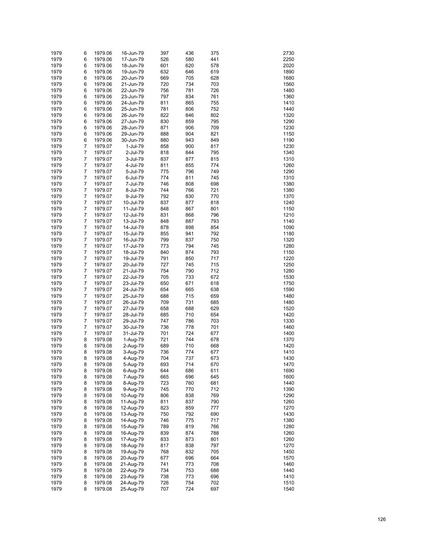| 1979 | 6              | 1979.06 | 16-Jun-79 | 397 | 436 | 375 | 2730 |
|------|----------------|---------|-----------|-----|-----|-----|------|
| 1979 | 6              | 1979.06 | 17-Jun-79 | 526 | 580 | 441 | 2250 |
|      |                |         |           |     |     |     |      |
| 1979 | 6              | 1979.06 | 18-Jun-79 | 601 | 620 | 578 | 2020 |
| 1979 | 6              | 1979.06 | 19-Jun-79 | 632 | 646 | 619 | 1890 |
| 1979 | 6              | 1979.06 | 20-Jun-79 | 669 | 705 | 628 | 1680 |
| 1979 | 6              | 1979.06 | 21-Jun-79 | 720 | 734 | 703 | 1560 |
| 1979 | 6              | 1979.06 | 22-Jun-79 | 756 | 781 | 726 | 1480 |
| 1979 | 6              | 1979.06 | 23-Jun-79 | 797 | 834 | 761 | 1360 |
| 1979 | 6              | 1979.06 | 24-Jun-79 | 811 | 865 | 755 | 1410 |
| 1979 | 6              | 1979.06 | 25-Jun-79 | 781 | 806 | 752 | 1440 |
|      |                |         |           |     |     |     |      |
| 1979 | 6              | 1979.06 | 26-Jun-79 | 822 | 846 | 802 | 1320 |
| 1979 | 6              | 1979.06 | 27-Jun-79 | 830 | 859 | 795 | 1290 |
| 1979 | 6              | 1979.06 | 28-Jun-79 | 871 | 906 | 709 | 1230 |
| 1979 | 6              | 1979.06 | 29-Jun-79 | 888 | 904 | 821 | 1150 |
| 1979 | 6              | 1979.06 | 30-Jun-79 | 880 | 943 | 849 | 1190 |
| 1979 | 7              | 1979.07 | 1-Jul-79  | 858 | 900 | 817 | 1230 |
| 1979 | 7              | 1979.07 | 2-Jul-79  | 818 | 844 | 795 | 1340 |
| 1979 | 7              | 1979.07 | 3-Jul-79  | 837 | 877 | 815 | 1310 |
| 1979 | 7              | 1979.07 | 4-Jul-79  | 811 | 855 | 774 | 1260 |
|      |                |         |           |     |     |     |      |
| 1979 | 7              | 1979.07 | 5-Jul-79  | 775 | 796 | 749 | 1290 |
| 1979 | 7              | 1979.07 | 6-Jul-79  | 774 | 811 | 745 | 1310 |
| 1979 | 7              | 1979.07 | 7-Jul-79  | 746 | 808 | 698 | 1380 |
| 1979 | 7              | 1979.07 | 8-Jul-79  | 744 | 766 | 721 | 1380 |
| 1979 | 7              | 1979.07 | 9-Jul-79  | 792 | 830 | 770 | 1370 |
| 1979 | 7              | 1979.07 | 10-Jul-79 | 837 | 877 | 818 | 1240 |
| 1979 | 7              | 1979.07 | 11-Jul-79 | 848 | 867 | 801 | 1150 |
| 1979 | 7              | 1979.07 | 12-Jul-79 | 831 | 868 | 796 | 1210 |
| 1979 | 7              | 1979.07 | 13-Jul-79 | 848 | 887 | 793 | 1140 |
|      |                | 1979.07 |           |     |     |     |      |
| 1979 | 7              |         | 14-Jul-79 | 878 | 898 | 854 | 1090 |
| 1979 | 7              | 1979.07 | 15-Jul-79 | 855 | 941 | 792 | 1180 |
| 1979 | 7              | 1979.07 | 16-Jul-79 | 799 | 837 | 750 | 1320 |
| 1979 | 7              | 1979.07 | 17-Jul-79 | 773 | 794 | 745 | 1280 |
| 1979 | 7              | 1979.07 | 18-Jul-79 | 840 | 874 | 793 | 1150 |
| 1979 | 7              | 1979.07 | 19-Jul-79 | 791 | 850 | 717 | 1220 |
| 1979 | 7              | 1979.07 | 20-Jul-79 | 727 | 745 | 715 | 1250 |
| 1979 | 7              | 1979.07 | 21-Jul-79 | 754 | 790 | 712 | 1280 |
| 1979 | 7              | 1979.07 | 22-Jul-79 | 705 | 733 | 672 | 1530 |
| 1979 | 7              | 1979.07 | 23-Jul-79 | 650 | 671 | 618 | 1750 |
| 1979 | 7              | 1979.07 | 24-Jul-79 | 654 | 665 | 638 | 1590 |
| 1979 | 7              | 1979.07 | 25-Jul-79 | 688 | 715 | 659 | 1480 |
| 1979 | 7              | 1979.07 | 26-Jul-79 | 709 | 731 | 685 | 1480 |
|      |                |         |           |     |     |     |      |
| 1979 | 7              | 1979.07 | 27-Jul-79 | 658 | 688 | 629 | 1520 |
| 1979 | 7              | 1979.07 | 28-Jul-79 | 685 | 710 | 654 | 1420 |
| 1979 | 7              | 1979.07 | 29-Jul-79 | 747 | 786 | 703 | 1330 |
| 1979 | 7              | 1979.07 | 30-Jul-79 | 736 | 778 | 701 | 1460 |
| 1979 | $\overline{7}$ | 1979.07 | 31-Jul-79 | 701 | 724 | 677 | 1400 |
| 1979 | 8              | 1979.08 | 1-Aug-79  | 721 | 744 | 678 | 1370 |
| 1979 | 8              | 1979.08 | 2-Aug-79  | 689 | 710 | 668 | 1420 |
| 1979 | 8              | 1979.08 | 3-Aug-79  | 736 | 774 | 677 | 1410 |
| 1979 | 8              | 1979.08 | 4-Aug-79  | 704 | 737 | 673 | 1430 |
| 1979 | 8              | 1979.08 | 5-Aug-79  | 693 | 714 | 670 | 1470 |
|      |                |         |           |     |     |     |      |
| 1979 | 8              | 1979.08 | 6-Aug-79  | 644 | 686 | 611 | 1690 |
| 1979 | 8              | 1979.08 | 7-Aug-79  | 665 | 696 | 645 | 1600 |
| 1979 | 8              | 1979.08 | 8-Aug-79  | 723 | 760 | 681 | 1440 |
| 1979 | 8              | 1979.08 | 9-Aug-79  | 745 | 770 | 712 | 1390 |
| 1979 | 8              | 1979.08 | 10-Aug-79 | 806 | 838 | 769 | 1290 |
| 1979 | 8              | 1979.08 | 11-Aug-79 | 811 | 837 | 790 | 1260 |
| 1979 | 8              | 1979.08 | 12-Aug-79 | 823 | 859 | 777 | 1270 |
| 1979 | 8              | 1979.08 | 13-Aug-79 | 750 | 792 | 690 | 1430 |
| 1979 | 8              | 1979.08 | 14-Aug-79 | 746 | 775 | 717 | 1380 |
| 1979 | 8              | 1979.08 | 15-Aug-79 | 789 | 819 | 766 | 1280 |
| 1979 | 8              | 1979.08 | 16-Aug-79 | 839 | 874 | 788 | 1260 |
|      |                |         |           |     |     |     |      |
| 1979 | 8              | 1979.08 | 17-Aug-79 | 833 | 873 | 801 | 1260 |
| 1979 | 8              | 1979.08 | 18-Aug-79 | 817 | 838 | 797 | 1270 |
| 1979 | 8              | 1979.08 | 19-Aug-79 | 768 | 832 | 705 | 1450 |
| 1979 | 8              | 1979.08 | 20-Aug-79 | 677 | 696 | 664 | 1570 |
| 1979 | 8              | 1979.08 | 21-Aug-79 | 741 | 773 | 708 | 1460 |
| 1979 | 8              | 1979.08 | 22-Aug-79 | 734 | 753 | 688 | 1440 |
| 1979 | 8              | 1979.08 | 23-Aug-79 | 738 | 773 | 696 | 1410 |
| 1979 | 8              | 1979.08 | 24-Aug-79 | 726 | 754 | 702 | 1510 |
| 1979 | 8              | 1979.08 | 25-Aug-79 | 707 | 724 | 697 | 1540 |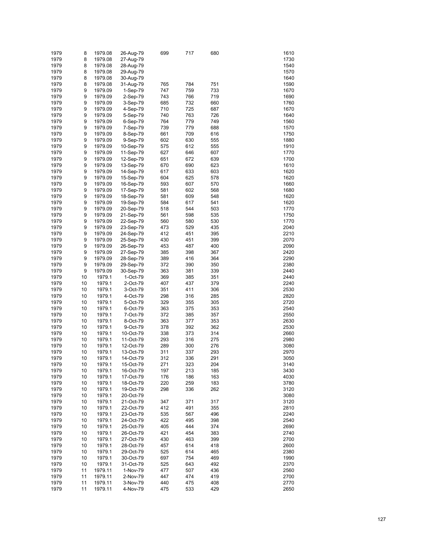| 1979 | 8  | 1979.08 | 26-Aug-79 | 699 | 717 | 680 | 1610 |
|------|----|---------|-----------|-----|-----|-----|------|
| 1979 | 8  | 1979.08 | 27-Aug-79 |     |     |     | 1730 |
| 1979 | 8  | 1979.08 | 28-Aug-79 |     |     |     | 1540 |
| 1979 | 8  | 1979.08 | 29-Aug-79 |     |     |     | 1570 |
|      |    |         |           |     |     |     |      |
| 1979 | 8  | 1979.08 | 30-Aug-79 |     |     |     | 1640 |
| 1979 | 8  | 1979.08 | 31-Aug-79 | 765 | 784 | 751 | 1590 |
| 1979 | 9  | 1979.09 | 1-Sep-79  | 747 | 759 | 733 | 1670 |
| 1979 | 9  | 1979.09 | 2-Sep-79  | 743 | 766 | 719 | 1690 |
| 1979 | 9  | 1979.09 | 3-Sep-79  | 685 | 732 | 660 | 1760 |
| 1979 | 9  | 1979.09 | 4-Sep-79  | 710 | 725 | 687 | 1670 |
| 1979 | 9  | 1979.09 | 5-Sep-79  | 740 | 763 | 726 | 1640 |
| 1979 | 9  | 1979.09 | 6-Sep-79  | 764 | 779 | 749 | 1560 |
| 1979 | 9  | 1979.09 | 7-Sep-79  | 739 | 779 | 688 | 1570 |
|      | 9  | 1979.09 |           |     | 709 |     | 1750 |
| 1979 |    |         | 8-Sep-79  | 661 |     | 616 |      |
| 1979 | 9  | 1979.09 | 9-Sep-79  | 602 | 630 | 555 | 1880 |
| 1979 | 9  | 1979.09 | 10-Sep-79 | 575 | 612 | 555 | 1910 |
| 1979 | 9  | 1979.09 | 11-Sep-79 | 627 | 646 | 607 | 1770 |
| 1979 | 9  | 1979.09 | 12-Sep-79 | 651 | 672 | 639 | 1700 |
| 1979 | 9  | 1979.09 | 13-Sep-79 | 670 | 690 | 623 | 1610 |
| 1979 | 9  | 1979.09 | 14-Sep-79 | 617 | 633 | 603 | 1620 |
| 1979 | 9  | 1979.09 | 15-Sep-79 | 604 | 625 | 578 | 1620 |
| 1979 | 9  | 1979.09 | 16-Sep-79 | 593 | 607 | 570 | 1660 |
| 1979 | 9  | 1979.09 | 17-Sep-79 | 581 | 602 | 568 | 1680 |
| 1979 | 9  | 1979.09 | 18-Sep-79 | 581 | 609 | 548 | 1620 |
| 1979 | 9  | 1979.09 |           | 584 | 617 | 541 | 1620 |
|      |    |         | 19-Sep-79 |     |     |     |      |
| 1979 | 9  | 1979.09 | 20-Sep-79 | 518 | 544 | 503 | 1770 |
| 1979 | 9  | 1979.09 | 21-Sep-79 | 561 | 598 | 535 | 1750 |
| 1979 | 9  | 1979.09 | 22-Sep-79 | 560 | 580 | 530 | 1770 |
| 1979 | 9  | 1979.09 | 23-Sep-79 | 473 | 529 | 435 | 2040 |
| 1979 | 9  | 1979.09 | 24-Sep-79 | 412 | 451 | 395 | 2210 |
| 1979 | 9  | 1979.09 | 25-Sep-79 | 430 | 451 | 399 | 2070 |
| 1979 | 9  | 1979.09 | 26-Sep-79 | 453 | 487 | 400 | 2090 |
| 1979 | 9  | 1979.09 | 27-Sep-79 | 385 | 398 | 367 | 2420 |
| 1979 | 9  | 1979.09 | 28-Sep-79 | 389 | 416 | 364 | 2290 |
| 1979 | 9  | 1979.09 | 29-Sep-79 | 372 | 390 | 350 | 2380 |
|      |    |         |           |     |     |     |      |
| 1979 | 9  | 1979.09 | 30-Sep-79 | 363 | 381 | 339 | 2440 |
| 1979 | 10 | 1979.1  | 1-Oct-79  | 369 | 385 | 351 | 2440 |
| 1979 | 10 | 1979.1  | 2-Oct-79  | 407 | 437 | 379 | 2240 |
| 1979 | 10 | 1979.1  | 3-Oct-79  | 351 | 411 | 306 | 2530 |
| 1979 | 10 | 1979.1  | 4-Oct-79  | 298 | 316 | 285 | 2820 |
| 1979 | 10 | 1979.1  | 5-Oct-79  | 329 | 355 | 305 | 2720 |
| 1979 | 10 | 1979.1  | 6-Oct-79  | 363 | 375 | 353 | 2540 |
| 1979 | 10 | 1979.1  | 7-Oct-79  | 372 | 385 | 357 | 2550 |
| 1979 | 10 | 1979.1  | 8-Oct-79  | 363 | 377 | 353 | 2630 |
| 1979 | 10 | 1979.1  | 9-Oct-79  | 378 | 392 | 362 | 2530 |
| 1979 | 10 | 1979.1  | 10-Oct-79 | 338 | 373 | 314 | 2660 |
|      |    |         |           |     |     |     |      |
| 1979 | 10 | 1979.1  | 11-Oct-79 | 293 | 316 | 275 | 2980 |
| 1979 | 10 | 1979.1  | 12-Oct-79 | 289 | 300 | 276 | 3080 |
| 1979 | 10 | 1979.1  | 13-Oct-79 | 311 | 337 | 293 | 2970 |
| 1979 | 10 | 1979.1  | 14-Oct-79 | 312 | 336 | 291 | 3050 |
| 1979 | 10 | 1979.1  | 15-Oct-79 | 271 | 323 | 204 | 3140 |
| 1979 | 10 | 1979.1  | 16-Oct-79 | 197 | 213 | 185 | 3430 |
| 1979 | 10 | 1979.1  | 17-Oct-79 | 176 | 186 | 163 | 4030 |
| 1979 | 10 | 1979.1  | 18-Oct-79 | 220 | 259 | 183 | 3780 |
| 1979 | 10 | 1979.1  | 19-Oct-79 | 298 | 336 | 262 | 3120 |
|      |    |         |           |     |     |     |      |
| 1979 | 10 | 1979.1  | 20-Oct-79 |     |     |     | 3080 |
| 1979 | 10 | 1979.1  | 21-Oct-79 | 347 | 371 | 317 | 3120 |
| 1979 | 10 | 1979.1  | 22-Oct-79 | 412 | 491 | 355 | 2810 |
| 1979 | 10 | 1979.1  | 23-Oct-79 | 535 | 567 | 496 | 2240 |
| 1979 | 10 | 1979.1  | 24-Oct-79 | 422 | 495 | 398 | 2540 |
| 1979 | 10 | 1979.1  | 25-Oct-79 | 405 | 444 | 374 | 2690 |
| 1979 | 10 | 1979.1  | 26-Oct-79 | 421 | 454 | 383 | 2740 |
| 1979 | 10 | 1979.1  | 27-Oct-79 | 430 | 463 | 399 | 2700 |
| 1979 | 10 | 1979.1  | 28-Oct-79 | 457 | 614 | 418 | 2600 |
| 1979 | 10 | 1979.1  | 29-Oct-79 | 525 | 614 | 465 | 2380 |
| 1979 | 10 | 1979.1  |           |     |     |     | 1990 |
|      |    |         | 30-Oct-79 | 697 | 754 | 469 |      |
| 1979 | 10 | 1979.1  | 31-Oct-79 | 525 | 643 | 492 | 2370 |
| 1979 | 11 | 1979.11 | 1-Nov-79  | 477 | 507 | 436 | 2560 |
| 1979 | 11 | 1979.11 | 2-Nov-79  | 447 | 474 | 419 | 2700 |
| 1979 | 11 | 1979.11 | 3-Nov-79  | 440 | 475 | 408 | 2770 |
| 1979 | 11 | 1979.11 | 4-Nov-79  | 475 | 533 | 429 | 2650 |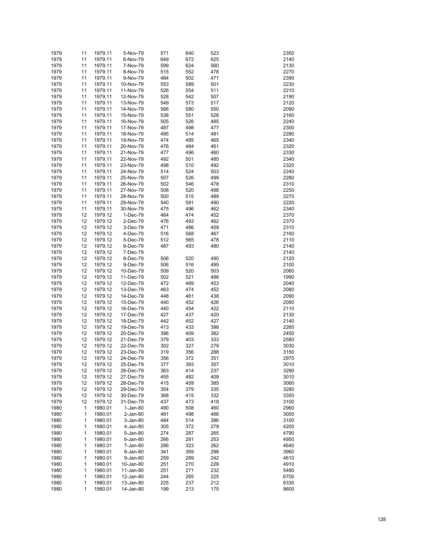| 1979 | 11 | 1979.11 | 5-Nov-79  | 571 | 640 | 523 | 2350 |
|------|----|---------|-----------|-----|-----|-----|------|
| 1979 | 11 | 1979.11 | 6-Nov-79  | 649 | 672 | 625 | 2140 |
| 1979 | 11 | 1979.11 | 7-Nov-79  | 599 | 624 | 560 | 2130 |
| 1979 | 11 | 1979.11 | 8-Nov-79  | 515 | 552 | 478 | 2270 |
| 1979 | 11 | 1979.11 | 9-Nov-79  | 484 | 502 | 471 | 2390 |
| 1979 | 11 | 1979.11 | 10-Nov-79 | 553 | 589 | 501 | 2230 |
| 1979 | 11 | 1979.11 | 11-Nov-79 | 526 | 554 | 511 | 2210 |
| 1979 | 11 | 1979.11 | 12-Nov-79 | 528 | 542 | 507 | 2190 |
| 1979 | 11 | 1979.11 | 13-Nov-79 | 549 | 573 | 517 | 2120 |
| 1979 | 11 | 1979.11 | 14-Nov-79 | 566 | 580 | 550 | 2090 |
| 1979 | 11 | 1979.11 | 15-Nov-79 | 538 | 551 | 526 | 2160 |
| 1979 | 11 | 1979.11 | 16-Nov-79 | 505 | 526 | 485 | 2240 |
| 1979 | 11 | 1979.11 | 17-Nov-79 | 487 | 498 | 477 | 2300 |
| 1979 | 11 | 1979.11 | 18-Nov-79 | 495 | 514 | 481 | 2280 |
| 1979 | 11 | 1979.11 | 19-Nov-79 | 474 | 485 | 465 | 2340 |
| 1979 | 11 | 1979.11 | 20-Nov-79 | 476 | 484 | 461 | 2320 |
| 1979 | 11 | 1979.11 | 21-Nov-79 | 477 | 496 | 460 | 2330 |
| 1979 | 11 | 1979.11 | 22-Nov-79 | 492 | 501 | 485 | 2340 |
| 1979 | 11 | 1979.11 | 23-Nov-79 | 498 | 510 | 492 | 2320 |
| 1979 | 11 | 1979.11 | 24-Nov-79 | 514 | 524 | 503 | 2240 |
| 1979 | 11 | 1979.11 | 25-Nov-79 | 507 | 526 | 499 | 2280 |
| 1979 | 11 | 1979.11 | 26-Nov-79 | 502 | 546 | 478 | 2310 |
| 1979 | 11 | 1979.11 | 27-Nov-79 | 508 | 520 | 498 | 2250 |
| 1979 | 11 | 1979.11 | 28-Nov-79 | 500 | 515 | 489 | 2270 |
| 1979 | 11 | 1979.11 |           | 540 | 591 | 490 | 2220 |
|      |    | 1979.11 | 29-Nov-79 |     | 496 |     |      |
| 1979 | 11 |         | 30-Nov-79 | 475 |     | 462 | 2340 |
| 1979 | 12 | 1979.12 | 1-Dec-79  | 464 | 474 | 452 | 2370 |
| 1979 | 12 | 1979.12 | 2-Dec-79  | 476 | 493 | 462 | 2370 |
| 1979 | 12 | 1979.12 | 3-Dec-79  | 471 | 486 | 459 | 2310 |
| 1979 | 12 | 1979.12 | 4-Dec-79  | 516 | 568 | 467 | 2160 |
| 1979 | 12 | 1979.12 | 5-Dec-79  | 512 | 565 | 478 | 2110 |
| 1979 | 12 | 1979.12 | 6-Dec-79  | 487 | 493 | 480 | 2140 |
| 1979 | 12 | 1979.12 | 7-Dec-79  |     |     |     | 2140 |
| 1979 | 12 | 1979.12 | 8-Dec-79  | 506 | 520 | 490 | 2120 |
| 1979 | 12 | 1979.12 | 9-Dec-79  | 506 | 516 | 495 | 2100 |
| 1979 | 12 | 1979.12 | 10-Dec-79 | 509 | 520 | 503 | 2060 |
| 1979 | 12 | 1979.12 | 11-Dec-79 | 502 | 521 | 486 | 1990 |
| 1979 | 12 | 1979.12 | 12-Dec-79 | 472 | 489 | 453 | 2040 |
| 1979 | 12 | 1979.12 | 13-Dec-79 | 463 | 474 | 452 | 2080 |
| 1979 | 12 | 1979.12 | 14-Dec-79 | 448 | 461 | 438 | 2090 |
| 1979 | 12 | 1979.12 | 15-Dec-79 | 440 | 452 | 426 | 2090 |
| 1979 | 12 | 1979.12 | 16-Dec-79 | 440 | 454 | 422 | 2110 |
| 1979 | 12 | 1979.12 | 17-Dec-79 | 427 | 437 | 420 | 2130 |
| 1979 | 12 | 1979.12 | 18-Dec-79 | 442 | 452 | 427 | 2140 |
| 1979 | 12 | 1979.12 | 19-Dec-79 | 413 | 433 | 398 | 2260 |
| 1979 | 12 | 1979.12 | 20-Dec-79 | 396 | 409 | 382 | 2450 |
| 1979 | 12 | 1979.12 | 21-Dec-79 | 379 | 403 | 333 | 2580 |
| 1979 | 12 | 1979.12 | 22-Dec-79 | 302 | 327 | 279 | 3030 |
| 1979 | 12 | 1979.12 | 23-Dec-79 | 319 | 356 | 288 | 3150 |
| 1979 | 12 | 1979.12 | 24-Dec-79 | 356 | 372 | 351 | 2970 |
| 1979 | 12 | 1979.12 | 25-Dec-79 | 377 | 393 | 357 | 3010 |
| 1979 | 12 | 1979.12 | 26-Dec-79 | 363 | 414 | 237 | 3290 |
| 1979 | 12 | 1979.12 | 27-Dec-79 | 455 | 482 | 409 | 3010 |
| 1979 | 12 | 1979.12 | 28-Dec-79 | 415 | 459 | 385 | 3060 |
| 1979 | 12 | 1979.12 | 29-Dec-79 | 354 | 379 | 335 | 3280 |
| 1979 | 12 | 1979.12 | 30-Dec-79 | 368 | 415 | 332 | 3350 |
| 1979 | 12 | 1979.12 | 31-Dec-79 | 437 | 473 | 418 | 3100 |
| 1980 | 1  | 1980.01 | 1-Jan-80  | 490 | 508 | 460 | 2960 |
| 1980 | 1  | 1980.01 | 2-Jan-80  | 481 | 498 | 466 | 3000 |
| 1980 | 1  | 1980.01 | 3-Jan-80  | 484 | 514 | 386 | 3100 |
| 1980 | 1  | 1980.01 | 4-Jan-80  | 305 | 372 | 279 | 4200 |
| 1980 | 1  | 1980.01 | 5-Jan-80  | 274 | 287 | 265 | 4790 |
| 1980 | 1  | 1980.01 | 6-Jan-80  | 266 | 281 | 253 | 4950 |
| 1980 | 1  | 1980.01 | 7-Jan-80  | 286 | 323 | 262 | 4640 |
| 1980 | 1  | 1980.01 | 8-Jan-80  | 341 | 369 | 298 | 3960 |
| 1980 | 1  | 1980.01 | 9-Jan-80  | 259 | 289 | 242 | 4610 |
| 1980 | 1  | 1980.01 | 10-Jan-80 | 251 | 270 | 228 | 4910 |
| 1980 | 1  | 1980.01 | 11-Jan-80 | 251 | 271 | 232 | 5490 |
| 1980 | 1  | 1980.01 | 12-Jan-80 | 244 | 265 | 225 | 6700 |
| 1980 | 1  | 1980.01 | 13-Jan-80 | 225 | 237 | 212 | 8330 |
| 1980 | 1  | 1980.01 | 14-Jan-80 | 199 | 213 | 175 | 9600 |
|      |    |         |           |     |     |     |      |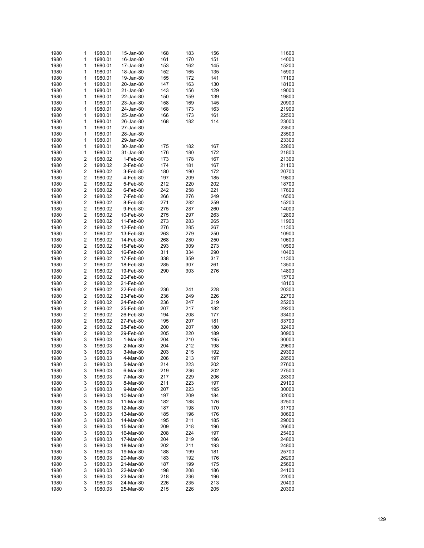| 1980 | $\mathbf{1}$            | 1980.01 | 15-Jan-80 | 168 | 183 | 156 | 11600 |
|------|-------------------------|---------|-----------|-----|-----|-----|-------|
| 1980 | 1                       | 1980.01 | 16-Jan-80 | 161 | 170 | 151 | 14000 |
| 1980 | $\mathbf{1}$            | 1980.01 | 17-Jan-80 | 153 | 162 | 145 | 15200 |
|      |                         |         |           |     |     |     | 15900 |
| 1980 | 1                       | 1980.01 | 18-Jan-80 | 152 | 165 | 135 |       |
| 1980 | 1                       | 1980.01 | 19-Jan-80 | 155 | 172 | 141 | 17100 |
| 1980 | 1                       | 1980.01 | 20-Jan-80 | 147 | 163 | 130 | 18100 |
| 1980 | $\mathbf{1}$            | 1980.01 | 21-Jan-80 | 143 | 156 | 129 | 19000 |
|      |                         |         |           |     |     |     |       |
| 1980 | 1                       | 1980.01 | 22-Jan-80 | 150 | 159 | 139 | 19800 |
| 1980 | $\mathbf{1}$            | 1980.01 | 23-Jan-80 | 158 | 169 | 145 | 20900 |
| 1980 | 1                       | 1980.01 | 24-Jan-80 | 168 | 173 | 163 | 21900 |
|      |                         |         |           |     |     |     |       |
| 1980 | $\mathbf{1}$            | 1980.01 | 25-Jan-80 | 166 | 173 | 161 | 22500 |
| 1980 | 1                       | 1980.01 | 26-Jan-80 | 168 | 182 | 114 | 23000 |
| 1980 | $\mathbf{1}$            | 1980.01 | 27-Jan-80 |     |     |     | 23500 |
|      |                         |         |           |     |     |     |       |
| 1980 | 1                       | 1980.01 | 28-Jan-80 |     |     |     | 23500 |
| 1980 | $\mathbf{1}$            | 1980.01 | 29-Jan-80 |     |     |     | 23300 |
| 1980 | 1                       | 1980.01 | 30-Jan-80 | 175 | 182 | 167 | 22800 |
| 1980 | $\mathbf{1}$            | 1980.01 | 31-Jan-80 | 176 | 180 | 172 | 21800 |
|      |                         |         |           |     |     |     |       |
| 1980 | 2                       | 1980.02 | 1-Feb-80  | 173 | 178 | 167 | 21300 |
| 1980 | $\overline{\mathbf{c}}$ | 1980.02 | 2-Feb-80  | 174 | 181 | 167 | 21100 |
| 1980 | $\overline{\mathbf{c}}$ | 1980.02 | 3-Feb-80  | 180 | 190 | 172 | 20700 |
|      |                         |         |           |     |     |     |       |
| 1980 | $\overline{\mathbf{c}}$ | 1980.02 | 4-Feb-80  | 197 | 209 | 185 | 19800 |
| 1980 | $\overline{\mathbf{c}}$ | 1980.02 | 5-Feb-80  | 212 | 220 | 202 | 18700 |
| 1980 | $\overline{\mathbf{c}}$ | 1980.02 | 6-Feb-80  | 242 | 258 | 221 | 17600 |
| 1980 | $\overline{\mathbf{c}}$ | 1980.02 | 7-Feb-80  | 266 | 276 | 249 | 16500 |
|      |                         |         |           |     |     |     |       |
| 1980 | $\overline{\mathbf{c}}$ | 1980.02 | 8-Feb-80  | 271 | 282 | 259 | 15200 |
| 1980 | $\overline{\mathbf{c}}$ | 1980.02 | 9-Feb-80  | 275 | 287 | 260 | 14000 |
| 1980 | $\overline{\mathbf{c}}$ | 1980.02 | 10-Feb-80 | 275 | 297 | 263 | 12800 |
| 1980 | $\overline{\mathbf{c}}$ | 1980.02 | 11-Feb-80 | 273 | 283 | 265 | 11900 |
|      |                         |         |           |     |     |     |       |
| 1980 | $\overline{\mathbf{c}}$ | 1980.02 | 12-Feb-80 | 276 | 285 | 267 | 11300 |
| 1980 | $\overline{\mathbf{c}}$ | 1980.02 | 13-Feb-80 | 263 | 279 | 250 | 10900 |
| 1980 | $\overline{\mathbf{c}}$ | 1980.02 | 14-Feb-80 | 268 | 280 | 250 | 10600 |
|      | $\overline{\mathbf{c}}$ | 1980.02 |           |     |     |     | 10500 |
| 1980 |                         |         | 15-Feb-80 | 293 | 309 | 273 |       |
| 1980 | $\overline{\mathbf{c}}$ | 1980.02 | 16-Feb-80 | 311 | 334 | 290 | 10400 |
| 1980 | $\overline{\mathbf{c}}$ | 1980.02 | 17-Feb-80 | 338 | 359 | 317 | 11300 |
| 1980 | $\overline{\mathbf{c}}$ | 1980.02 | 18-Feb-80 | 285 | 307 | 261 | 13500 |
|      | $\overline{\mathbf{c}}$ |         |           |     |     |     | 14800 |
| 1980 |                         | 1980.02 | 19-Feb-80 | 290 | 303 | 276 |       |
| 1980 | $\overline{\mathbf{c}}$ | 1980.02 | 20-Feb-80 |     |     |     | 15700 |
| 1980 | $\overline{\mathbf{c}}$ | 1980.02 | 21-Feb-80 |     |     |     | 18100 |
| 1980 | $\overline{\mathbf{c}}$ | 1980.02 | 22-Feb-80 | 236 | 241 | 228 | 20300 |
|      |                         |         |           |     |     |     |       |
| 1980 | $\overline{\mathbf{c}}$ | 1980.02 | 23-Feb-80 | 236 | 249 | 226 | 22700 |
| 1980 | $\overline{\mathbf{c}}$ | 1980.02 | 24-Feb-80 | 236 | 247 | 219 | 25200 |
| 1980 | $\overline{\mathbf{c}}$ | 1980.02 | 25-Feb-80 | 207 | 217 | 182 | 29200 |
| 1980 | $\overline{\mathbf{c}}$ | 1980.02 | 26-Feb-80 | 194 | 208 | 177 | 33400 |
|      |                         |         |           |     |     |     |       |
| 1980 | $\overline{\mathbf{c}}$ | 1980.02 | 27-Feb-80 | 195 | 207 | 181 | 33700 |
| 1980 | $\overline{\mathbf{c}}$ | 1980.02 | 28-Feb-80 | 200 | 207 | 180 | 32400 |
| 1980 | $\overline{\mathbf{c}}$ | 1980.02 | 29-Feb-80 | 205 | 220 | 189 | 30900 |
|      | 3                       |         | 1-Mar-80  |     | 210 |     | 30000 |
| 1980 |                         | 1980.03 |           | 204 |     | 195 |       |
| 1980 | 3                       | 1980.03 | 2-Mar-80  | 204 | 212 | 198 | 29600 |
| 1980 | 3                       | 1980.03 | 3-Mar-80  | 203 | 215 | 192 | 29300 |
| 1980 | 3                       | 1980.03 | 4-Mar-80  | 206 | 213 | 197 | 28500 |
|      |                         |         |           |     |     |     |       |
| 1980 | 3                       | 1980.03 | 5-Mar-80  | 214 | 223 | 202 | 27600 |
| 1980 | 3                       | 1980.03 | 6-Mar-80  | 219 | 236 | 202 | 27500 |
| 1980 | 3                       | 1980.03 | 7-Mar-80  | 217 | 229 | 206 | 28300 |
| 1980 | 3                       | 1980.03 | 8-Mar-80  | 211 | 223 | 197 | 29100 |
|      |                         |         |           |     |     |     |       |
| 1980 | 3                       | 1980.03 | 9-Mar-80  | 207 | 223 | 195 | 30000 |
| 1980 | 3                       | 1980.03 | 10-Mar-80 | 197 | 209 | 184 | 32000 |
| 1980 | 3                       | 1980.03 | 11-Mar-80 | 182 | 188 | 176 | 32500 |
| 1980 | 3                       | 1980.03 | 12-Mar-80 | 187 | 198 | 170 | 31700 |
|      |                         |         |           |     |     |     |       |
| 1980 | 3                       | 1980.03 | 13-Mar-80 | 185 | 196 | 176 | 30600 |
| 1980 | 3                       | 1980.03 | 14-Mar-80 | 195 | 211 | 185 | 29000 |
| 1980 | 3                       | 1980.03 | 15-Mar-80 | 209 | 218 | 196 | 26600 |
| 1980 | 3                       | 1980.03 | 16-Mar-80 | 208 | 224 | 197 | 25400 |
|      |                         |         |           |     |     |     |       |
| 1980 | 3                       | 1980.03 | 17-Mar-80 | 204 | 219 | 196 | 24800 |
| 1980 | 3                       | 1980.03 | 18-Mar-80 | 202 | 211 | 193 | 24800 |
| 1980 | 3                       | 1980.03 | 19-Mar-80 | 188 | 199 | 181 | 25700 |
| 1980 | 3                       | 1980.03 | 20-Mar-80 | 183 | 192 | 176 | 26200 |
|      |                         |         |           |     |     |     |       |
| 1980 | 3                       | 1980.03 | 21-Mar-80 | 187 | 199 | 175 | 25600 |
| 1980 | 3                       | 1980.03 | 22-Mar-80 | 198 | 208 | 186 | 24100 |
| 1980 | 3                       | 1980.03 | 23-Mar-80 | 218 | 236 | 196 | 22000 |
| 1980 | 3                       | 1980.03 | 24-Mar-80 | 226 | 235 | 213 | 20400 |
|      |                         |         |           |     |     |     |       |
| 1980 | 3                       | 1980.03 | 25-Mar-80 | 215 | 226 | 205 | 20300 |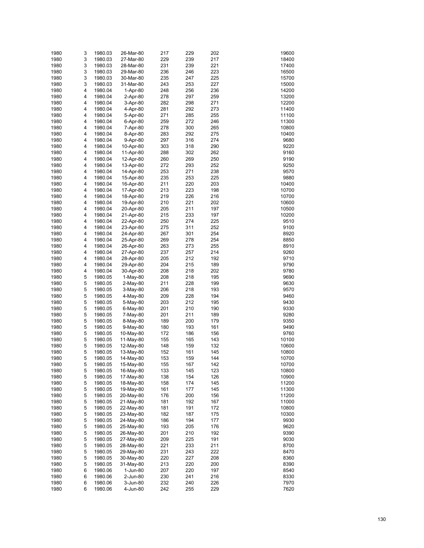| 1980 | 3 | 1980.03            | 26-Mar-80  | 217 | 229 | 202 | 19600 |
|------|---|--------------------|------------|-----|-----|-----|-------|
| 1980 | 3 | 1980.03            | 27-Mar-80  | 229 | 239 | 217 | 18400 |
| 1980 | 3 | 1980.03            | 28-Mar-80  | 231 | 239 | 221 | 17400 |
| 1980 | 3 | 1980.03            | 29-Mar-80  | 236 | 246 | 223 | 16500 |
| 1980 | 3 | 1980.03            | 30-Mar-80  | 235 | 247 | 225 | 15700 |
|      |   |                    |            |     |     |     |       |
| 1980 | 3 | 1980.03            | 31-Mar-80  | 243 | 253 | 227 | 15000 |
| 1980 | 4 | 1980.04            | 1-Apr-80   | 248 | 256 | 236 | 14200 |
| 1980 | 4 | 1980.04            | 2-Apr-80   | 278 | 297 | 259 | 13200 |
| 1980 | 4 | 1980.04            | 3-Apr-80   | 282 | 298 | 271 | 12200 |
| 1980 | 4 | 1980.04            | 4-Apr-80   | 281 | 292 | 273 | 11400 |
| 1980 | 4 | 1980.04            | 5-Apr-80   | 271 | 285 | 255 | 11100 |
| 1980 | 4 | 1980.04            | 6-Apr-80   | 259 | 272 | 246 | 11300 |
| 1980 | 4 | 1980.04            | 7-Apr-80   | 278 | 300 | 265 | 10800 |
| 1980 | 4 | 1980.04            | 8-Apr-80   | 283 | 292 | 275 | 10400 |
| 1980 | 4 | 1980.04            | 9-Apr-80   | 297 | 316 | 274 | 9680  |
| 1980 | 4 | 1980.04            | 10-Apr-80  | 303 | 318 | 290 | 9220  |
| 1980 | 4 | 1980.04            | 11-Apr-80  | 288 | 302 | 262 | 9160  |
| 1980 | 4 | 1980.04            | 12-Apr-80  | 260 | 269 | 250 | 9190  |
| 1980 | 4 | 1980.04            | 13-Apr-80  | 272 | 293 | 252 | 9250  |
| 1980 | 4 | 1980.04            | 14-Apr-80  | 253 | 271 | 238 | 9570  |
| 1980 | 4 | 1980.04            | 15-Apr-80  | 235 | 253 | 225 | 9880  |
| 1980 | 4 | 1980.04            | 16-Apr-80  | 211 | 220 | 203 | 10400 |
|      |   |                    |            |     |     |     |       |
| 1980 | 4 | 1980.04            | 17-Apr-80  | 213 | 223 | 198 | 10700 |
| 1980 | 4 | 1980.04            | 18-Apr-80  | 219 | 226 | 216 | 10700 |
| 1980 | 4 | 1980.04            | 19-Apr-80  | 210 | 221 | 202 | 10600 |
| 1980 | 4 | 1980.04            | 20-Apr-80  | 205 | 211 | 197 | 10500 |
| 1980 | 4 | 1980.04            | 21-Apr-80  | 215 | 233 | 197 | 10200 |
| 1980 | 4 | 1980.04            | 22-Apr-80  | 250 | 274 | 225 | 9510  |
| 1980 | 4 | 1980.04            | 23-Apr-80  | 275 | 311 | 252 | 9100  |
| 1980 | 4 | 1980.04            | 24-Apr-80  | 267 | 301 | 254 | 8920  |
| 1980 | 4 | 1980.04            | 25-Apr-80  | 269 | 278 | 254 | 8850  |
| 1980 | 4 | 1980.04            | 26-Apr-80  | 263 | 273 | 255 | 8910  |
| 1980 | 4 | 1980.04            | 27-Apr-80  | 237 | 257 | 214 | 9260  |
| 1980 | 4 | 1980.04            | 28-Apr-80  | 205 | 212 | 192 | 9710  |
| 1980 | 4 | 1980.04            | 29-Apr-80  | 204 | 215 | 189 | 9790  |
| 1980 | 4 | 1980.04            | 30-Apr-80  | 208 | 218 | 202 | 9780  |
| 1980 | 5 | 1980.05            | $1-May-80$ | 208 | 218 | 195 | 9690  |
| 1980 | 5 | 1980.05            | 2-May-80   | 211 | 228 | 199 | 9630  |
| 1980 | 5 | 1980.05            | $3-May-80$ | 206 | 218 | 193 | 9570  |
|      | 5 |                    |            |     | 228 |     |       |
| 1980 |   | 1980.05            | 4-May-80   | 209 |     | 194 | 9460  |
| 1980 | 5 | 1980.05            | 5-May-80   | 203 | 212 | 195 | 9430  |
| 1980 | 5 | 1980.05            | 6-May-80   | 201 | 210 | 190 | 9330  |
| 1980 | 5 | 1980.05            | 7-May-80   | 201 | 211 | 189 | 9280  |
| 1980 | 5 | 1980.05            | 8-May-80   | 189 | 200 | 179 | 9350  |
| 1980 | 5 | 1980.05            | 9-May-80   | 180 | 193 | 161 | 9490  |
| 1980 | 5 | 1980.05            | 10-May-80  | 172 | 186 | 156 | 9760  |
| 1980 | 5 | 1980.05            | 11-May-80  | 155 | 165 | 143 | 10100 |
| 1980 | 5 | 1980.05            | 12-May-80  | 148 | 159 | 132 | 10600 |
| 1980 | 5 | 1980.05            | 13-May-80  | 152 | 161 | 145 | 10800 |
| 1980 | 5 | 1980.05            | 14-May-80  | 153 | 159 | 144 | 10700 |
| 1980 | 5 | 1980.05            | 15-May-80  | 155 | 167 | 142 | 10700 |
| 1980 | 5 | 1980.05            | 16-May-80  | 133 | 145 | 123 | 10800 |
| 1980 | 5 | 1980.05            | 17-May-80  | 138 | 154 | 126 | 10900 |
| 1980 | 5 | 1980.05            | 18-May-80  | 158 | 174 | 145 | 11200 |
| 1980 | 5 | 1980.05            | 19-May-80  | 161 | 177 | 145 | 11300 |
| 1980 | 5 | 1980.05            | 20-May-80  | 176 | 200 | 156 | 11200 |
| 1980 | 5 | 1980.05            | 21-May-80  | 181 | 192 | 167 | 11000 |
| 1980 | 5 | 1980.05            | 22-May-80  | 181 | 191 | 172 | 10800 |
|      |   |                    |            |     |     |     |       |
| 1980 | 5 | 1980.05<br>1980.05 | 23-May-80  | 182 | 187 | 175 | 10300 |
| 1980 | 5 |                    | 24-May-80  | 186 | 194 | 177 | 9930  |
| 1980 | 5 | 1980.05            | 25-May-80  | 193 | 205 | 176 | 9620  |
| 1980 | 5 | 1980.05            | 26-May-80  | 201 | 210 | 192 | 9390  |
| 1980 | 5 | 1980.05            | 27-May-80  | 209 | 225 | 191 | 9030  |
| 1980 | 5 | 1980.05            | 28-May-80  | 221 | 233 | 211 | 8700  |
| 1980 | 5 | 1980.05            | 29-May-80  | 231 | 243 | 222 | 8470  |
| 1980 | 5 | 1980.05            | 30-May-80  | 220 | 227 | 208 | 8360  |
| 1980 | 5 | 1980.05            | 31-May-80  | 213 | 220 | 200 | 8390  |
| 1980 | 6 | 1980.06            | 1-Jun-80   | 207 | 220 | 197 | 8540  |
| 1980 | 6 | 1980.06            | 2-Jun-80   | 230 | 241 | 216 | 8330  |
| 1980 | 6 | 1980.06            | 3-Jun-80   | 232 | 240 | 226 | 7970  |
| 1980 | 6 | 1980.06            | 4-Jun-80   | 242 | 255 | 229 | 7620  |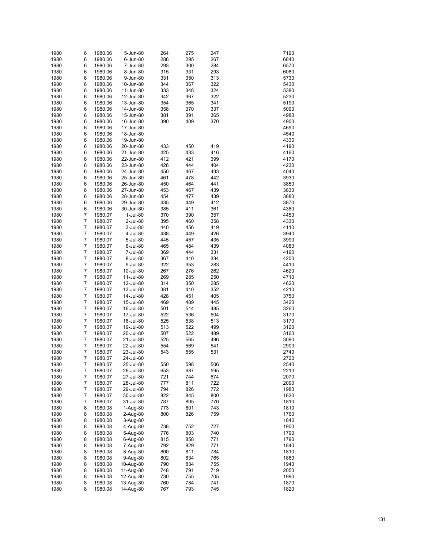| 1980 | 6              | 1980.06 | 5-Jun-80             | 264 | 275 | 247 | 7190 |
|------|----------------|---------|----------------------|-----|-----|-----|------|
| 1980 | 6              | 1980.06 | 6-Jun-80             | 286 | 295 | 267 | 6840 |
| 1980 | 6              | 1980.06 | 7-Jun-80             | 293 | 300 | 284 | 6570 |
| 1980 | 6              | 1980.06 | 8-Jun-80             | 315 | 331 | 293 | 6080 |
| 1980 | 6              | 1980.06 | 9-Jun-80             | 331 | 350 | 313 | 5730 |
| 1980 | 6              | 1980.06 | 10-Jun-80            | 344 | 367 | 322 | 5430 |
| 1980 | 6              | 1980.06 | 11-Jun-80            | 333 | 348 | 324 | 5380 |
| 1980 | 6              | 1980.06 | 12-Jun-80            | 342 | 367 | 322 | 5230 |
| 1980 | 6              | 1980.06 | 13-Jun-80            | 354 | 365 | 341 | 5190 |
| 1980 | 6              | 1980.06 | 14-Jun-80            | 358 | 370 | 337 | 5090 |
| 1980 | 6              | 1980.06 | 15-Jun-80            | 381 | 391 | 365 | 4980 |
| 1980 | 6              | 1980.06 | 16-Jun-80            | 390 | 409 | 370 | 4900 |
| 1980 | 6              | 1980.06 | 17-Jun-80            |     |     |     | 4690 |
| 1980 | 6              | 1980.06 | 18-Jun-80            |     |     |     | 4540 |
| 1980 | 6              | 1980.06 | 19-Jun-80            |     |     |     | 4330 |
| 1980 | 6              | 1980.06 | 20-Jun-80            | 433 | 450 | 419 | 4190 |
| 1980 | 6              | 1980.06 | 21-Jun-80            | 425 | 433 | 416 | 4160 |
| 1980 | 6              | 1980.06 | 22-Jun-80            | 412 | 421 | 399 | 4170 |
| 1980 | 6              | 1980.06 | 23-Jun-80            | 426 | 444 | 404 | 4230 |
| 1980 | 6              | 1980.06 | 24-Jun-80            | 450 | 467 | 433 | 4040 |
| 1980 | 6              | 1980.06 | 25-Jun-80            | 461 | 478 | 442 | 3930 |
| 1980 | 6              | 1980.06 | 26-Jun-80            | 450 | 464 | 441 | 3850 |
| 1980 | 6              | 1980.06 | 27-Jun-80            | 453 | 467 | 439 | 3830 |
| 1980 | 6              | 1980.06 | 28-Jun-80            | 454 | 477 | 439 | 3880 |
| 1980 | 6              | 1980.06 | 29-Jun-80            | 435 | 449 | 412 | 3870 |
| 1980 | 6              | 1980.06 | 30-Jun-80            | 385 | 411 | 361 | 4380 |
| 1980 | $\overline{7}$ | 1980.07 | 1-Jul-80             | 370 | 390 | 357 | 4450 |
| 1980 | $\overline{7}$ | 1980.07 | 2-Jul-80             | 395 | 460 | 358 | 4330 |
| 1980 | $\overline{7}$ | 1980.07 |                      | 440 | 456 | 419 | 4110 |
| 1980 | $\overline{7}$ |         | 3-Jul-80<br>4-Jul-80 | 438 | 449 | 426 | 3940 |
| 1980 | $\overline{7}$ | 1980.07 |                      | 445 | 457 | 435 | 3990 |
|      | $\overline{7}$ | 1980.07 | 5-Jul-80             |     |     |     |      |
| 1980 | $\overline{7}$ | 1980.07 | 6-Jul-80             | 465 | 484 | 439 | 4080 |
| 1980 | $\overline{7}$ | 1980.07 | 7-Jul-80             | 369 | 444 | 331 | 4190 |
| 1980 |                | 1980.07 | 8-Jul-80             | 367 | 410 | 334 | 4200 |
| 1980 | $\overline{7}$ | 1980.07 | 9-Jul-80             | 322 | 353 | 283 | 4410 |
| 1980 | $\overline{7}$ | 1980.07 | 10-Jul-80            | 267 | 276 | 262 | 4620 |
| 1980 | $\overline{7}$ | 1980.07 | 11-Jul-80            | 269 | 285 | 250 | 4710 |
| 1980 | $\overline{7}$ | 1980.07 | 12-Jul-80            | 314 | 350 | 285 | 4620 |
| 1980 | $\overline{7}$ | 1980.07 | 13-Jul-80            | 381 | 410 | 352 | 4210 |
| 1980 | $\overline{7}$ | 1980.07 | 14-Jul-80            | 428 | 451 | 405 | 3750 |
| 1980 | $\overline{7}$ | 1980.07 | 15-Jul-80            | 469 | 489 | 445 | 3420 |
| 1980 | $\overline{7}$ | 1980.07 | 16-Jul-80            | 501 | 514 | 485 | 3260 |
| 1980 | $\overline{7}$ | 1980.07 | 17-Jul-80            | 522 | 536 | 504 | 3170 |
| 1980 | 7              | 1980.07 | 18-Jul-80            | 525 | 538 | 513 | 3170 |
| 1980 | $\overline{7}$ | 1980.07 | 19-Jul-80            | 513 | 522 | 499 | 3120 |
| 1980 | $\overline{7}$ | 1980.07 | 20-Jul-80            | 507 | 522 | 489 | 3160 |
| 1980 | $\overline{7}$ | 1980.07 | 21-Jul-80            | 525 | 565 | 496 | 3090 |
| 1980 | $\overline{7}$ | 1980.07 | 22-Jul-80            | 554 | 569 | 541 | 2900 |
| 1980 | $\overline{7}$ | 1980.07 | 23-Jul-80            | 543 | 555 | 531 | 2740 |
| 1980 | 7              | 1980.07 | 24-Jul-80            |     |     |     | 2720 |
| 1980 | $\overline{7}$ | 1980.07 | 25-Jul-80            | 550 | 598 | 506 | 2540 |
| 1980 | $\overline{7}$ | 1980.07 | 26-Jul-80            | 653 | 687 | 595 | 2210 |
| 1980 | 7              | 1980.07 | 27-Jul-80            | 721 | 744 | 674 | 2070 |
| 1980 | $\overline{7}$ | 1980.07 | 28-Jul-80            | 777 | 811 | 722 | 2090 |
| 1980 | 7              | 1980.07 | 29-Jul-80            | 794 | 826 | 772 | 1980 |
| 1980 | $\overline{7}$ | 1980.07 | 30-Jul-80            | 822 | 845 | 800 | 1830 |
| 1980 | 7              | 1980.07 | 31-Jul-80            | 787 | 805 | 770 | 1810 |
| 1980 | 8              | 1980.08 | 1-Aug-80             | 773 | 801 | 743 | 1810 |
| 1980 | 8              | 1980.08 | 2-Aug-80             | 800 | 826 | 759 | 1760 |
| 1980 | 8              | 1980.08 | 3-Aug-80             |     |     |     | 1840 |
| 1980 | 8              | 1980.08 | 4-Aug-80             | 738 | 752 | 727 | 1900 |
| 1980 | 8              | 1980.08 | 5-Aug-80             | 776 | 803 | 740 | 1790 |
| 1980 | 8              | 1980.08 | 6-Aug-80             | 815 | 858 | 771 | 1790 |
| 1980 | 8              | 1980.08 | 7-Aug-80             | 792 | 829 | 771 | 1840 |
| 1980 | 8              | 1980.08 | 8-Aug-80             | 800 | 811 | 784 | 1810 |
| 1980 | 8              | 1980.08 | 9-Aug-80             | 802 | 834 | 765 | 1860 |
| 1980 | 8              | 1980.08 | 10-Aug-80            | 790 | 834 | 755 | 1940 |
| 1980 | 8              | 1980.08 | 11-Aug-80            | 748 | 791 | 719 | 2050 |
| 1980 | 8              | 1980.08 | 12-Aug-80            | 730 | 755 | 705 | 1990 |
| 1980 | 8              | 1980.08 | 13-Aug-80            | 760 | 784 | 741 | 1870 |
| 1980 | 8              | 1980.08 | 14-Aug-80            | 767 | 793 | 745 | 1820 |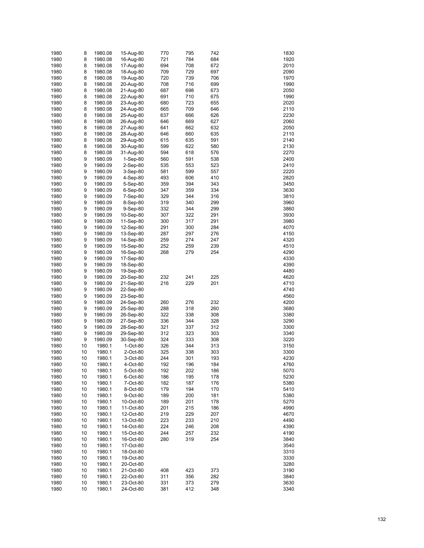| 1980 | 8  | 1980.08 | 15-Aug-80  | 770 | 795 | 742 | 1830 |
|------|----|---------|------------|-----|-----|-----|------|
| 1980 | 8  | 1980.08 | 16-Aug-80  | 721 | 784 | 684 | 1920 |
| 1980 | 8  | 1980.08 | 17-Aug-80  | 694 | 708 | 672 | 2010 |
| 1980 | 8  | 1980.08 | 18-Aug-80  | 709 | 729 | 697 | 2090 |
| 1980 | 8  | 1980.08 | 19-Aug-80  | 720 | 739 | 706 | 1970 |
| 1980 | 8  | 1980.08 | 20-Aug-80  | 708 | 716 | 699 | 1990 |
| 1980 | 8  | 1980.08 | 21-Aug-80  | 687 | 698 | 673 | 2050 |
| 1980 | 8  | 1980.08 | 22-Aug-80  | 691 | 710 | 675 | 1990 |
| 1980 | 8  | 1980.08 | 23-Aug-80  | 680 | 723 | 655 | 2020 |
| 1980 | 8  | 1980.08 | 24-Aug-80  | 665 | 709 | 646 | 2110 |
| 1980 | 8  | 1980.08 | 25-Aug-80  | 637 | 666 | 626 | 2230 |
| 1980 | 8  | 1980.08 | 26-Aug-80  | 646 | 669 | 627 | 2060 |
| 1980 | 8  | 1980.08 | 27-Aug-80  | 641 | 662 | 632 | 2050 |
| 1980 | 8  | 1980.08 | 28-Aug-80  | 646 | 660 | 635 | 2110 |
| 1980 | 8  | 1980.08 | 29-Aug-80  | 615 | 635 | 591 | 2140 |
| 1980 | 8  | 1980.08 | 30-Aug-80  | 599 | 622 | 580 | 2130 |
| 1980 | 8  | 1980.08 | 31-Aug-80  | 594 | 618 | 576 | 2270 |
| 1980 | 9  | 1980.09 | $1-Sep-80$ | 560 | 591 | 538 | 2400 |
| 1980 | 9  | 1980.09 | 2-Sep-80   | 535 | 553 | 523 | 2410 |
| 1980 | 9  | 1980.09 | 3-Sep-80   | 581 | 599 | 557 | 2220 |
| 1980 | 9  | 1980.09 | 4-Sep-80   | 493 | 606 | 410 | 2820 |
| 1980 | 9  | 1980.09 | 5-Sep-80   | 359 | 394 | 343 | 3450 |
| 1980 | 9  | 1980.09 | $6-Sep-80$ | 347 | 359 | 334 | 3630 |
| 1980 | 9  | 1980.09 | 7-Sep-80   | 329 | 344 | 316 | 3810 |
| 1980 | 9  | 1980.09 | 8-Sep-80   | 319 | 340 | 299 | 3960 |
| 1980 | 9  | 1980.09 | 9-Sep-80   | 332 | 344 | 299 | 3860 |
| 1980 | 9  | 1980.09 | 10-Sep-80  | 307 | 322 | 291 | 3930 |
| 1980 | 9  | 1980.09 | 11-Sep-80  | 300 | 317 | 291 | 3980 |
| 1980 | 9  | 1980.09 | 12-Sep-80  | 291 | 300 | 284 | 4070 |
| 1980 | 9  | 1980.09 | 13-Sep-80  | 287 | 297 | 276 | 4150 |
| 1980 | 9  | 1980.09 | 14-Sep-80  | 259 | 274 | 247 | 4320 |
| 1980 | 9  | 1980.09 | 15-Sep-80  | 252 | 259 | 239 | 4510 |
| 1980 | 9  | 1980.09 | 16-Sep-80  | 268 | 279 | 254 | 4290 |
| 1980 | 9  | 1980.09 | 17-Sep-80  |     |     |     | 4330 |
| 1980 | 9  | 1980.09 | 18-Sep-80  |     |     |     | 4390 |
| 1980 | 9  | 1980.09 | 19-Sep-80  |     |     |     | 4480 |
| 1980 | 9  | 1980.09 | 20-Sep-80  | 232 | 241 | 225 | 4620 |
| 1980 | 9  | 1980.09 | 21-Sep-80  | 216 | 229 | 201 | 4710 |
| 1980 | 9  | 1980.09 | 22-Sep-80  |     |     |     | 4740 |
| 1980 | 9  | 1980.09 | 23-Sep-80  |     |     |     | 4560 |
| 1980 | 9  | 1980.09 | 24-Sep-80  | 260 | 276 | 232 | 4200 |
| 1980 | 9  | 1980.09 | 25-Sep-80  | 288 | 318 | 260 | 3680 |
| 1980 | 9  | 1980.09 | 26-Sep-80  | 322 | 338 | 308 | 3380 |
| 1980 | 9  | 1980.09 | 27-Sep-80  | 336 | 344 | 328 | 3290 |
| 1980 | 9  | 1980.09 | 28-Sep-80  | 321 | 337 | 312 | 3300 |
| 1980 | 9  | 1980.09 | 29-Sep-80  | 312 | 323 | 303 | 3340 |
| 1980 | 9  | 1980.09 | 30-Sep-80  | 324 | 333 | 308 | 3220 |
| 1980 | 10 | 1980.1  | 1-Oct-80   | 326 | 344 | 313 | 3150 |
| 1980 | 10 | 1980.1  | 2-Oct-80   | 325 | 338 | 303 | 3300 |
| 1980 | 10 | 1980.1  | 3-Oct-80   | 244 | 301 | 193 | 4230 |
| 1980 | 10 | 1980.1  | 4-Oct-80   | 192 | 196 | 184 | 4760 |
| 1980 | 10 | 1980.1  | 5-Oct-80   | 192 | 202 | 186 | 5070 |
| 1980 | 10 | 1980.1  | 6-Oct-80   | 186 | 195 | 178 | 5230 |
| 1980 | 10 | 1980.1  | 7-Oct-80   | 182 | 187 | 176 | 5380 |
| 1980 | 10 | 1980.1  | 8-Oct-80   | 179 | 194 | 170 | 5410 |
| 1980 | 10 | 1980.1  | 9-Oct-80   | 189 | 200 | 181 | 5380 |
| 1980 | 10 | 1980.1  | 10-Oct-80  | 189 | 201 | 178 | 5270 |
| 1980 | 10 | 1980.1  | 11-Oct-80  | 201 | 215 | 186 | 4990 |
| 1980 | 10 | 1980.1  | 12-Oct-80  | 219 | 229 | 207 | 4670 |
| 1980 | 10 | 1980.1  | 13-Oct-80  | 223 | 233 | 210 | 4490 |
| 1980 | 10 | 1980.1  | 14-Oct-80  | 224 | 246 | 208 | 4390 |
| 1980 | 10 | 1980.1  | 15-Oct-80  | 244 | 257 | 232 | 4190 |
| 1980 | 10 | 1980.1  | 16-Oct-80  | 280 | 319 | 254 | 3840 |
| 1980 | 10 | 1980.1  | 17-Oct-80  |     |     |     | 3540 |
| 1980 | 10 | 1980.1  | 18-Oct-80  |     |     |     | 3310 |
| 1980 | 10 | 1980.1  | 19-Oct-80  |     |     |     | 3330 |
| 1980 | 10 | 1980.1  | 20-Oct-80  |     |     |     | 3280 |
| 1980 | 10 | 1980.1  | 21-Oct-80  | 408 | 423 | 373 | 3190 |
| 1980 | 10 | 1980.1  | 22-Oct-80  | 311 | 356 | 282 | 3840 |
| 1980 | 10 | 1980.1  | 23-Oct-80  | 331 | 373 | 279 | 3630 |
| 1980 | 10 | 1980.1  | 24-Oct-80  | 381 | 412 | 348 | 3340 |
|      |    |         |            |     |     |     |      |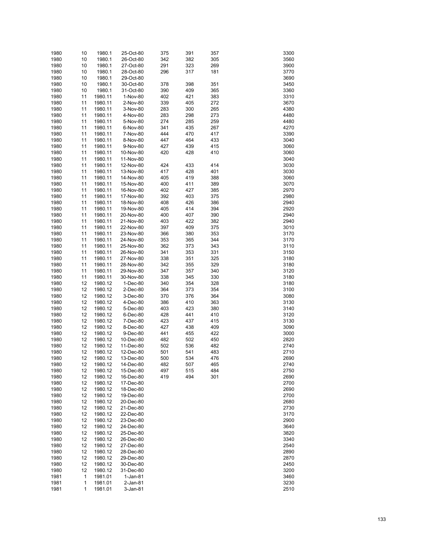| 1980 | 10 | 1980.1  | 25-Oct-80  | 375 | 391 | 357 | 3300 |
|------|----|---------|------------|-----|-----|-----|------|
| 1980 | 10 | 1980.1  | 26-Oct-80  | 342 | 382 | 305 | 3560 |
| 1980 | 10 | 1980.1  | 27-Oct-80  | 291 | 323 | 269 | 3900 |
|      |    |         |            |     |     |     |      |
| 1980 | 10 | 1980.1  | 28-Oct-80  | 296 | 317 | 181 | 3770 |
| 1980 | 10 | 1980.1  | 29-Oct-80  |     |     |     | 3690 |
| 1980 | 10 | 1980.1  | 30-Oct-80  | 378 | 398 | 351 | 3450 |
| 1980 | 10 | 1980.1  | 31-Oct-80  | 390 | 409 | 365 | 3360 |
| 1980 | 11 | 1980.11 | 1-Nov-80   | 402 | 421 | 383 | 3310 |
| 1980 | 11 | 1980.11 | 2-Nov-80   | 339 | 405 | 272 | 3670 |
| 1980 | 11 | 1980.11 | 3-Nov-80   | 283 | 300 | 265 | 4380 |
| 1980 | 11 | 1980.11 | 4-Nov-80   | 283 | 298 | 273 | 4480 |
| 1980 | 11 | 1980.11 | 5-Nov-80   | 274 | 285 | 259 | 4480 |
| 1980 | 11 | 1980.11 | 6-Nov-80   | 341 | 435 | 267 | 4270 |
| 1980 | 11 | 1980.11 | 7-Nov-80   | 444 | 470 | 417 | 3390 |
| 1980 | 11 | 1980.11 | 8-Nov-80   | 447 | 464 | 433 | 3040 |
| 1980 | 11 | 1980.11 |            | 427 | 439 | 415 | 3060 |
|      |    |         | 9-Nov-80   |     |     |     |      |
| 1980 | 11 | 1980.11 | 10-Nov-80  | 420 | 428 | 410 | 3060 |
| 1980 | 11 | 1980.11 | 11-Nov-80  |     |     |     | 3040 |
| 1980 | 11 | 1980.11 | 12-Nov-80  | 424 | 433 | 414 | 3030 |
| 1980 | 11 | 1980.11 | 13-Nov-80  | 417 | 428 | 401 | 3030 |
| 1980 | 11 | 1980.11 | 14-Nov-80  | 405 | 419 | 388 | 3060 |
| 1980 | 11 | 1980.11 | 15-Nov-80  | 400 | 411 | 389 | 3070 |
| 1980 | 11 | 1980.11 | 16-Nov-80  | 402 | 427 | 385 | 2970 |
| 1980 | 11 | 1980.11 | 17-Nov-80  | 392 | 403 | 375 | 2980 |
| 1980 | 11 | 1980.11 | 18-Nov-80  | 408 | 426 | 386 | 2940 |
| 1980 | 11 | 1980.11 | 19-Nov-80  | 405 | 414 | 394 | 2920 |
| 1980 | 11 | 1980.11 | 20-Nov-80  | 400 | 407 | 390 | 2940 |
| 1980 | 11 | 1980.11 | 21-Nov-80  | 403 | 422 | 382 | 2940 |
|      |    |         |            |     |     |     |      |
| 1980 | 11 | 1980.11 | 22-Nov-80  | 397 | 409 | 375 | 3010 |
| 1980 | 11 | 1980.11 | 23-Nov-80  | 366 | 380 | 353 | 3170 |
| 1980 | 11 | 1980.11 | 24-Nov-80  | 353 | 365 | 344 | 3170 |
| 1980 | 11 | 1980.11 | 25-Nov-80  | 362 | 373 | 343 | 3110 |
| 1980 | 11 | 1980.11 | 26-Nov-80  | 341 | 353 | 331 | 3150 |
| 1980 | 11 | 1980.11 | 27-Nov-80  | 338 | 351 | 325 | 3180 |
| 1980 | 11 | 1980.11 | 28-Nov-80  | 342 | 355 | 329 | 3180 |
| 1980 | 11 | 1980.11 | 29-Nov-80  | 347 | 357 | 340 | 3120 |
| 1980 | 11 | 1980.11 | 30-Nov-80  | 338 | 345 | 330 | 3180 |
| 1980 | 12 | 1980.12 | 1-Dec-80   | 340 | 354 | 328 | 3180 |
| 1980 | 12 | 1980.12 | 2-Dec-80   | 364 | 373 | 354 | 3100 |
| 1980 | 12 | 1980.12 | 3-Dec-80   | 370 | 376 | 364 | 3080 |
| 1980 | 12 | 1980.12 | 4-Dec-80   | 386 | 410 | 363 | 3130 |
|      |    |         |            |     |     |     |      |
| 1980 | 12 | 1980.12 | 5-Dec-80   | 403 | 423 | 380 | 3140 |
| 1980 | 12 | 1980.12 | 6-Dec-80   | 428 | 441 | 410 | 3120 |
| 1980 | 12 | 1980.12 | 7-Dec-80   | 423 | 437 | 415 | 3130 |
| 1980 | 12 | 1980.12 | 8-Dec-80   | 427 | 438 | 409 | 3090 |
| 1980 | 12 | 1980.12 | 9-Dec-80   | 441 | 455 | 422 | 3000 |
| 1980 | 12 | 1980.12 | 10-Dec-80  | 482 | 502 | 450 | 2820 |
| 1980 | 12 | 1980.12 | 11-Dec-80  | 502 | 536 | 482 | 2740 |
| 1980 | 12 | 1980.12 | 12-Dec-80  | 501 | 541 | 483 | 2710 |
| 1980 | 12 | 1980.12 | 13-Dec-80  | 500 | 534 | 476 | 2690 |
| 1980 | 12 | 1980.12 | 14-Dec-80  | 482 | 507 | 465 | 2740 |
| 1980 | 12 | 1980.12 | 15-Dec-80  | 497 | 515 | 484 | 2750 |
| 1980 | 12 | 1980.12 | 16-Dec-80  | 419 | 494 | 301 | 2690 |
|      |    |         |            |     |     |     |      |
| 1980 | 12 | 1980.12 | 17-Dec-80  |     |     |     | 2700 |
| 1980 | 12 | 1980.12 | 18-Dec-80  |     |     |     | 2690 |
| 1980 | 12 | 1980.12 | 19-Dec-80  |     |     |     | 2700 |
| 1980 | 12 | 1980.12 | 20-Dec-80  |     |     |     | 2680 |
| 1980 | 12 | 1980.12 | 21-Dec-80  |     |     |     | 2730 |
| 1980 | 12 | 1980.12 | 22-Dec-80  |     |     |     | 3170 |
| 1980 | 12 | 1980.12 | 23-Dec-80  |     |     |     | 2900 |
| 1980 | 12 | 1980.12 | 24-Dec-80  |     |     |     | 3640 |
| 1980 | 12 | 1980.12 | 25-Dec-80  |     |     |     | 3820 |
| 1980 | 12 | 1980.12 | 26-Dec-80  |     |     |     | 3340 |
| 1980 | 12 | 1980.12 | 27-Dec-80  |     |     |     | 2540 |
| 1980 | 12 | 1980.12 | 28-Dec-80  |     |     |     | 2890 |
| 1980 | 12 | 1980.12 | 29-Dec-80  |     |     |     | 2870 |
|      |    |         |            |     |     |     | 2450 |
| 1980 | 12 | 1980.12 | 30-Dec-80  |     |     |     |      |
| 1980 | 12 | 1980.12 | 31-Dec-80  |     |     |     | 3200 |
| 1981 | 1  | 1981.01 | $1-Jan-81$ |     |     |     | 3460 |
| 1981 | 1  | 1981.01 | 2-Jan-81   |     |     |     | 3230 |
| 1981 | 1  | 1981.01 | 3-Jan-81   |     |     |     | 2510 |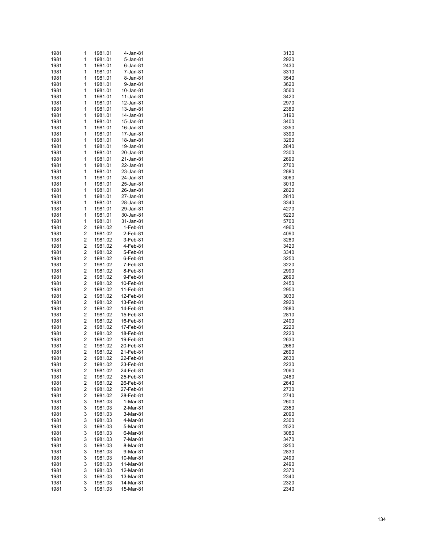| 1981 | 1 | 1981.01 | 4-Jan-81  | 3130 |
|------|---|---------|-----------|------|
| 1981 | 1 | 1981.01 | 5-Jan-81  | 2920 |
| 1981 | 1 | 1981.01 | 6-Jan-81  | 2430 |
| 1981 | 1 | 1981.01 | 7-Jan-81  | 3310 |
| 1981 | 1 | 1981.01 | 8-Jan-81  | 3540 |
| 1981 | 1 | 1981.01 | 9-Jan-81  | 3620 |
| 1981 | 1 | 1981.01 | 10-Jan-81 | 3560 |
|      |   |         |           |      |
| 1981 | 1 | 1981.01 | 11-Jan-81 | 3420 |
| 1981 | 1 | 1981.01 | 12-Jan-81 | 2970 |
| 1981 | 1 | 1981.01 | 13-Jan-81 | 2380 |
| 1981 | 1 | 1981.01 | 14-Jan-81 | 3190 |
| 1981 | 1 | 1981.01 | 15-Jan-81 | 3400 |
| 1981 | 1 | 1981.01 | 16-Jan-81 | 3350 |
| 1981 | 1 | 1981.01 | 17-Jan-81 | 3390 |
| 1981 | 1 | 1981.01 | 18-Jan-81 | 3260 |
| 1981 | 1 | 1981.01 | 19-Jan-81 | 2840 |
| 1981 | 1 | 1981.01 | 20-Jan-81 | 2300 |
| 1981 | 1 | 1981.01 | 21-Jan-81 | 2690 |
| 1981 | 1 | 1981.01 | 22-Jan-81 | 2760 |
| 1981 | 1 | 1981.01 | 23-Jan-81 | 2880 |
| 1981 | 1 | 1981.01 | 24-Jan-81 | 3060 |
|      |   |         |           |      |
| 1981 | 1 | 1981.01 | 25-Jan-81 | 3010 |
| 1981 | 1 | 1981.01 | 26-Jan-81 | 2820 |
| 1981 | 1 | 1981.01 | 27-Jan-81 | 2810 |
| 1981 | 1 | 1981.01 | 28-Jan-81 | 3340 |
| 1981 | 1 | 1981.01 | 29-Jan-81 | 4270 |
| 1981 | 1 | 1981.01 | 30-Jan-81 | 5220 |
| 1981 | 1 | 1981.01 | 31-Jan-81 | 5700 |
| 1981 | 2 | 1981.02 | 1-Feb-81  | 4960 |
| 1981 | 2 | 1981.02 | 2-Feb-81  | 4090 |
| 1981 | 2 | 1981.02 | 3-Feb-81  | 3280 |
| 1981 | 2 | 1981.02 | 4-Feb-81  | 3420 |
| 1981 | 2 | 1981.02 | 5-Feb-81  | 3340 |
| 1981 | 2 | 1981.02 | 6-Feb-81  | 3250 |
| 1981 | 2 | 1981.02 | 7-Feb-81  | 3220 |
|      | 2 |         |           | 2990 |
| 1981 |   | 1981.02 | 8-Feb-81  |      |
| 1981 | 2 | 1981.02 | 9-Feb-81  | 2690 |
| 1981 | 2 | 1981.02 | 10-Feb-81 | 2450 |
| 1981 | 2 | 1981.02 | 11-Feb-81 | 2950 |
| 1981 | 2 | 1981.02 | 12-Feb-81 | 3030 |
| 1981 | 2 | 1981.02 | 13-Feb-81 | 2920 |
| 1981 | 2 | 1981.02 | 14-Feb-81 | 2880 |
| 1981 | 2 | 1981.02 | 15-Feb-81 | 2810 |
| 1981 | 2 | 1981.02 | 16-Feb-81 | 2400 |
| 1981 | 2 | 1981.02 | 17-Feb-81 | 2220 |
| 1981 | 2 | 1981.02 | 18-Feb-81 | 2220 |
| 1981 | 2 | 1981.02 | 19-Feb-81 | 2630 |
| 1981 | 2 | 1981.02 | 20-Feb-81 | 2660 |
| 1981 | 2 | 1981.02 | 21-Feb-81 | 2690 |
| 1981 | 2 | 1981.02 | 22-Feb-81 | 2630 |
| 1981 | 2 | 1981.02 | 23-Feb-81 | 2230 |
| 1981 | 2 | 1981.02 | 24-Feb-81 | 2060 |
|      |   | 1981.02 |           |      |
| 1981 | 2 |         | 25-Feb-81 | 2480 |
| 1981 | 2 | 1981.02 | 26-Feb-81 | 2640 |
| 1981 | 2 | 1981.02 | 27-Feb-81 | 2730 |
| 1981 | 2 | 1981.02 | 28-Feb-81 | 2740 |
| 1981 | 3 | 1981.03 | 1-Mar-81  | 2600 |
| 1981 | 3 | 1981.03 | 2-Mar-81  | 2350 |
| 1981 | 3 | 1981.03 | 3-Mar-81  | 2090 |
| 1981 | 3 | 1981.03 | 4-Mar-81  | 2300 |
| 1981 | 3 | 1981.03 | 5-Mar-81  | 2520 |
| 1981 | 3 | 1981.03 | 6-Mar-81  | 3080 |
| 1981 | 3 | 1981.03 | 7-Mar-81  | 3470 |
| 1981 | 3 | 1981.03 | 8-Mar-81  | 3250 |
| 1981 | 3 | 1981.03 | 9-Mar-81  | 2830 |
| 1981 | 3 | 1981.03 | 10-Mar-81 | 2490 |
|      | 3 | 1981.03 | 11-Mar-81 | 2490 |
| 1981 |   |         |           |      |
| 1981 | 3 | 1981.03 | 12-Mar-81 | 2370 |
| 1981 | 3 | 1981.03 | 13-Mar-81 | 2340 |
| 1981 | 3 | 1981.03 | 14-Mar-81 | 2320 |
| 1981 | 3 | 1981.03 | 15-Mar-81 | 2340 |

| 3130      |  |
|-----------|--|
| 2920      |  |
|           |  |
| 2430      |  |
| 310       |  |
|           |  |
| 3540      |  |
| 8620      |  |
|           |  |
| 3560      |  |
|           |  |
| 3420      |  |
| 2970      |  |
|           |  |
| 2380      |  |
| 3190      |  |
|           |  |
| 3400      |  |
| 350       |  |
| };        |  |
| 390<br>}; |  |
|           |  |
| 3260      |  |
| 2840      |  |
|           |  |
| 2300      |  |
|           |  |
| 2690      |  |
| 2760      |  |
|           |  |
| 2880      |  |
| 3060      |  |
|           |  |
| 3010      |  |
|           |  |
| 2820      |  |
| 2810      |  |
|           |  |
| 340<br>3  |  |
| 4270      |  |
|           |  |
| 5220      |  |
|           |  |
| 5700      |  |
| 4960      |  |
|           |  |
| 4090      |  |
| 3280      |  |
|           |  |
| 3420      |  |
|           |  |
| 3340      |  |
| 3250      |  |
|           |  |
| 3220      |  |
| 2990      |  |
|           |  |
| 2690      |  |
| 2450      |  |
|           |  |
| 2950      |  |
|           |  |
| 3030      |  |
| 2920      |  |
|           |  |
| 2880      |  |
|           |  |
| 2810      |  |
| 2400      |  |
|           |  |
| 220       |  |
| 220       |  |
|           |  |
| 2630      |  |
| 2660      |  |
|           |  |
| 2690      |  |
| 2630<br>) |  |
|           |  |
| 2230      |  |
| 2060      |  |
|           |  |
| 2480      |  |
|           |  |
| 2640      |  |
| 27:<br>30 |  |
|           |  |
| 2740      |  |
| 2600      |  |
|           |  |
| 2350      |  |
|           |  |
| 2090      |  |
| 2300      |  |
|           |  |
| 2520      |  |
| 3080      |  |
|           |  |
| 3470      |  |
| 3250      |  |
|           |  |
| 2830      |  |
|           |  |
| 2490      |  |
| 2490      |  |
|           |  |
|           |  |
| 2370      |  |
|           |  |
| 340       |  |
| 2320      |  |
| 2340      |  |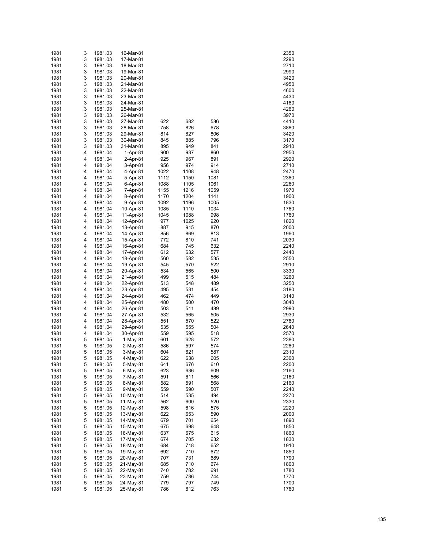| 1981         | 3      | 1981.03            | 16-Mar-81              |              |              |              | 2350         |
|--------------|--------|--------------------|------------------------|--------------|--------------|--------------|--------------|
| 1981         | 3      | 1981.03            | 17-Mar-81              |              |              |              | 2290         |
| 1981         | 3      | 1981.03            | 18-Mar-81              |              |              |              | 2710         |
| 1981         | 3      | 1981.03            | 19-Mar-81              |              |              |              | 2990         |
| 1981         | 3      | 1981.03            | 20-Mar-81              |              |              |              | 3420         |
| 1981         | 3<br>3 | 1981.03            | 21-Mar-81              |              |              |              | 4950         |
| 1981<br>1981 | 3      | 1981.03<br>1981.03 | 22-Mar-81<br>23-Mar-81 |              |              |              | 4600<br>4430 |
| 1981         | 3      | 1981.03            | 24-Mar-81              |              |              |              | 4180         |
| 1981         | 3      | 1981.03            | 25-Mar-81              |              |              |              | 4260         |
| 1981         | 3      | 1981.03            | 26-Mar-81              |              |              |              | 3970         |
| 1981         | 3      | 1981.03            | 27-Mar-81              | 622          | 682          | 586          | 4410         |
| 1981         | 3      | 1981.03            | 28-Mar-81              | 758          | 826          | 678          | 3880         |
| 1981         | 3      | 1981.03            | 29-Mar-81              | 814          | 827          | 806          | 3420         |
| 1981         | 3      | 1981.03            | 30-Mar-81              | 845          | 885          | 796          | 3170         |
| 1981         | 3      | 1981.03            | 31-Mar-81              | 895          | 949          | 841          | 2910         |
| 1981         | 4      | 1981.04            | 1-Apr-81               | 900          | 937          | 860          | 2950         |
| 1981         | 4      | 1981.04            | 2-Apr-81               | 925          | 967          | 891          | 2920         |
| 1981         | 4      | 1981.04            | 3-Apr-81               | 956          | 974          | 914          | 2710         |
| 1981         | 4      | 1981.04            | 4-Apr-81               | 1022         | 1108         | 948          | 2470         |
| 1981         | 4      | 1981.04            | 5-Apr-81               | 1112         | 1150         | 1081         | 2380         |
| 1981<br>1981 | 4<br>4 | 1981.04<br>1981.04 | 6-Apr-81<br>7-Apr-81   | 1088<br>1155 | 1105<br>1216 | 1061<br>1059 | 2260<br>1970 |
| 1981         | 4      | 1981.04            | 8-Apr-81               | 1170         | 1204         | 1141         | 1900         |
| 1981         | 4      | 1981.04            | 9-Apr-81               | 1092         | 1196         | 1005         | 1830         |
| 1981         | 4      | 1981.04            | 10-Apr-81              | 1085         | 1110         | 1034         | 1760         |
| 1981         | 4      | 1981.04            | 11-Apr-81              | 1045         | 1088         | 998          | 1760         |
| 1981         | 4      | 1981.04            | 12-Apr-81              | 977          | 1025         | 920          | 1820         |
| 1981         | 4      | 1981.04            | 13-Apr-81              | 887          | 915          | 870          | 2000         |
| 1981         | 4      | 1981.04            | 14-Apr-81              | 856          | 869          | 813          | 1960         |
| 1981         | 4      | 1981.04            | 15-Apr-81              | 772          | 810          | 741          | 2030         |
| 1981         | 4      | 1981.04            | 16-Apr-81              | 684          | 745          | 632          | 2240         |
| 1981         | 4      | 1981.04            | 17-Apr-81              | 612          | 632          | 577          | 2440         |
| 1981         | 4      | 1981.04            | 18-Apr-81              | 560          | 582          | 535          | 2550         |
| 1981         | 4      | 1981.04            | 19-Apr-81              | 545          | 570          | 522          | 2910         |
| 1981<br>1981 | 4<br>4 | 1981.04<br>1981.04 | 20-Apr-81<br>21-Apr-81 | 534<br>499   | 565<br>515   | 500<br>484   | 3330<br>3260 |
| 1981         | 4      | 1981.04            | 22-Apr-81              | 513          | 548          | 489          | 3250         |
| 1981         | 4      | 1981.04            | 23-Apr-81              | 495          | 531          | 454          | 3180         |
| 1981         | 4      | 1981.04            | 24-Apr-81              | 462          | 474          | 449          | 3140         |
| 1981         | 4      | 1981.04            | 25-Apr-81              | 480          | 500          | 470          | 3040         |
| 1981         | 4      | 1981.04            | 26-Apr-81              | 503          | 511          | 489          | 2990         |
| 1981         | 4      | 1981.04            | 27-Apr-81              | 532          | 565          | 505          | 2930         |
| 1981         | 4      | 1981.04            | 28-Apr-81              | 551          | 570          | 522          | 2780         |
| 1981         | 4      | 1981.04            | 29-Apr-81              | 535          | 555          | 504          | 2640         |
| 1981         | 4      | 1981.04            | 30-Apr-81              | 559          | 595          | 518          | 2570         |
| 1981         | 5      | 1981.05            | $1-May-81$             | 601          | 628          | 572          | 2380         |
| 1981         | 5      | 1981.05            | 2-May-81               | 586          | 597          | 574          | 2280         |
| 1981         | 5      | 1981.05            | 3-May-81               | 604          | 621          | 587          | 2310         |
| 1981<br>1981 | 5<br>5 | 1981.05<br>1981.05 | 4-May-81<br>5-May-81   | 622<br>641   | 638<br>676   | 605<br>610   | 2300<br>2200 |
| 1981         | 5      | 1981.05            | 6-May-81               | 623          | 636          | 609          | 2160         |
| 1981         | 5      | 1981.05            | 7-May-81               | 591          | 611          | 566          | 2160         |
| 1981         | 5      | 1981.05            | 8-May-81               | 582          | 591          | 568          | 2160         |
| 1981         | 5      | 1981.05            | 9-May-81               | 559          | 590          | 507          | 2240         |
| 1981         | 5      | 1981.05            | 10-May-81              | 514          | 535          | 494          | 2270         |
| 1981         | 5      | 1981.05            | 11-May-81              | 562          | 600          | 520          | 2330         |
| 1981         | 5      | 1981.05            | 12-May-81              | 598          | 616          | 575          | 2220         |
| 1981         | 5      | 1981.05            | 13-May-81              | 622          | 653          | 590          | 2000         |
| 1981         | 5      | 1981.05            | 14-May-81              | 679          | 701          | 654          | 1890         |
| 1981         | 5      | 1981.05            | 15-May-81              | 675          | 698          | 648          | 1850         |
| 1981         | 5      | 1981.05            | 16-May-81              | 637          | 675          | 615          | 1860         |
| 1981         | 5      | 1981.05            | 17-May-81              | 674          | 705          | 632          | 1830         |
| 1981<br>1981 | 5<br>5 | 1981.05<br>1981.05 | 18-May-81<br>19-May-81 | 684<br>692   | 718<br>710   | 652<br>672   | 1910<br>1850 |
| 1981         | 5      | 1981.05            | 20-May-81              | 707          | 731          | 689          | 1790         |
| 1981         | 5      | 1981.05            | 21-May-81              | 685          | 710          | 674          | 1800         |
| 1981         | 5      | 1981.05            | 22-May-81              | 740          | 782          | 691          | 1780         |
| 1981         | 5      | 1981.05            | 23-May-81              | 759          | 786          | 744          | 1770         |
| 1981         | 5      | 1981.05            | 24-May-81              | 779          | 797          | 749          | 1700         |
| 1981         | 5      | 1981.05            | 25-May-81              | 786          | 812          | 763          | 1760         |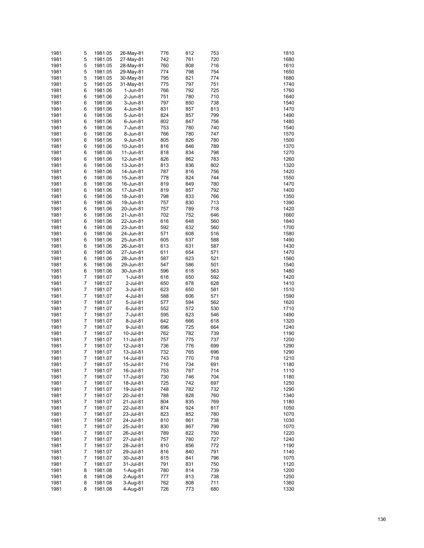| 1981 | 5 | 1981.05 | 26-May-81 | 776 | 812 | 753 | 1810 |
|------|---|---------|-----------|-----|-----|-----|------|
|      |   |         |           |     |     |     |      |
| 1981 | 5 | 1981.05 | 27-May-81 | 742 | 761 | 720 | 1680 |
| 1981 | 5 | 1981.05 | 28-May-81 | 760 | 808 | 716 | 1610 |
| 1981 | 5 | 1981.05 | 29-May-81 | 774 | 798 | 754 | 1650 |
| 1981 | 5 | 1981.05 | 30-May-81 | 795 | 821 | 774 | 1680 |
| 1981 | 5 | 1981.05 | 31-May-81 | 775 | 797 | 751 | 1740 |
| 1981 | 6 |         | 1-Jun-81  | 766 | 792 | 725 | 1760 |
|      |   | 1981.06 |           |     |     |     |      |
| 1981 | 6 | 1981.06 | 2-Jun-81  | 751 | 780 | 710 | 1640 |
| 1981 | 6 | 1981.06 | 3-Jun-81  | 797 | 850 | 738 | 1540 |
| 1981 | 6 | 1981.06 | 4-Jun-81  | 831 | 857 | 813 | 1470 |
| 1981 | 6 | 1981.06 | 5-Jun-81  | 824 | 857 | 799 | 1490 |
| 1981 | 6 | 1981.06 | 6-Jun-81  | 802 | 847 | 756 | 1480 |
|      |   |         |           |     |     |     |      |
| 1981 | 6 | 1981.06 | 7-Jun-81  | 753 | 780 | 740 | 1540 |
| 1981 | 6 | 1981.06 | 8-Jun-81  | 766 | 780 | 747 | 1570 |
| 1981 | 6 | 1981.06 | 9-Jun-81  | 805 | 826 | 780 | 1500 |
| 1981 | 6 | 1981.06 | 10-Jun-81 | 816 | 846 | 789 | 1370 |
| 1981 | 6 | 1981.06 | 11-Jun-81 | 818 | 834 | 798 | 1270 |
| 1981 | 6 | 1981.06 | 12-Jun-81 | 826 | 862 | 783 | 1260 |
|      |   |         |           |     |     |     |      |
| 1981 | 6 | 1981.06 | 13-Jun-81 | 813 | 836 | 802 | 1320 |
| 1981 | 6 | 1981.06 | 14-Jun-81 | 787 | 816 | 756 | 1420 |
| 1981 | 6 | 1981.06 | 15-Jun-81 | 778 | 824 | 744 | 1550 |
| 1981 | 6 | 1981.06 | 16-Jun-81 | 819 | 849 | 780 | 1470 |
| 1981 | 6 | 1981.06 | 17-Jun-81 | 819 | 857 | 792 | 1400 |
|      |   |         |           |     |     |     |      |
| 1981 | 6 | 1981.06 | 18-Jun-81 | 798 | 833 | 766 | 1350 |
| 1981 | 6 | 1981.06 | 19-Jun-81 | 757 | 830 | 713 | 1390 |
| 1981 | 6 | 1981.06 | 20-Jun-81 | 757 | 789 | 718 | 1420 |
| 1981 | 6 | 1981.06 | 21-Jun-81 | 702 | 752 | 646 | 1660 |
| 1981 | 6 | 1981.06 | 22-Jun-81 | 616 | 648 | 560 | 1840 |
| 1981 | 6 |         | 23-Jun-81 | 592 | 632 | 560 | 1700 |
|      |   | 1981.06 |           |     |     |     |      |
| 1981 | 6 | 1981.06 | 24-Jun-81 | 571 | 608 | 516 | 1580 |
| 1981 | 6 | 1981.06 | 25-Jun-81 | 605 | 637 | 588 | 1490 |
| 1981 | 6 | 1981.06 | 26-Jun-81 | 613 | 631 | 587 | 1430 |
| 1981 | 6 | 1981.06 | 27-Jun-81 | 611 | 654 | 571 | 1470 |
| 1981 | 6 | 1981.06 | 28-Jun-81 | 587 | 623 | 521 | 1560 |
|      |   |         |           |     |     |     |      |
| 1981 | 6 | 1981.06 | 29-Jun-81 | 547 | 586 | 501 | 1540 |
| 1981 | 6 | 1981.06 | 30-Jun-81 | 596 | 618 | 563 | 1480 |
| 1981 | 7 | 1981.07 | 1-Jul-81  | 616 | 650 | 592 | 1420 |
| 1981 | 7 | 1981.07 | 2-Jul-81  | 650 | 678 | 628 | 1410 |
| 1981 | 7 | 1981.07 | 3-Jul-81  | 623 | 650 | 581 | 1510 |
|      |   |         |           |     |     |     |      |
| 1981 | 7 | 1981.07 | 4-Jul-81  | 588 | 606 | 571 | 1590 |
| 1981 | 7 | 1981.07 | 5-Jul-81  | 577 | 594 | 562 | 1620 |
| 1981 | 7 | 1981.07 | 6-Jul-81  | 552 | 572 | 530 | 1710 |
| 1981 | 7 | 1981.07 | 7-Jul-81  | 595 | 623 | 546 | 1490 |
| 1981 | 7 | 1981.07 | 8-Jul-81  | 642 | 666 | 618 | 1320 |
| 1981 | 7 | 1981.07 | 9-Jul-81  | 696 | 725 | 664 | 1240 |
|      |   |         |           |     |     |     |      |
| 1981 | 7 | 1981.07 | 10-Jul-81 | 762 | 782 | 739 | 1190 |
| 1981 | 7 | 1981.07 | 11-Jul-81 | 757 | 775 | 737 | 1200 |
| 1981 | 7 | 1981.07 | 12-Jul-81 | 736 | 776 | 699 | 1290 |
| 1981 | 7 | 1981.07 | 13-Jul-81 | 732 | 765 | 696 | 1290 |
| 1981 | 7 | 1981.07 | 14-Jul-81 | 743 | 770 | 718 | 1210 |
|      |   |         |           |     |     |     |      |
| 1981 | 7 | 1981.07 | 15-Jul-81 | 716 | 734 | 691 | 1180 |
| 1981 | 7 | 1981.07 | 16-Jul-81 | 753 | 787 | 714 | 1110 |
| 1981 | 7 | 1981.07 | 17-Jul-81 | 730 | 746 | 704 | 1180 |
| 1981 | 7 | 1981.07 | 18-Jul-81 | 725 | 742 | 697 | 1250 |
| 1981 | 7 | 1981.07 | 19-Jul-81 | 748 | 782 | 732 | 1290 |
| 1981 | 7 |         |           | 788 | 828 | 760 | 1340 |
|      |   | 1981.07 | 20-Jul-81 |     |     |     |      |
| 1981 | 7 | 1981.07 | 21-Jul-81 | 804 | 835 | 769 | 1180 |
| 1981 | 7 | 1981.07 | 22-Jul-81 | 874 | 924 | 817 | 1050 |
| 1981 | 7 | 1981.07 | 23-Jul-81 | 823 | 852 | 780 | 1070 |
| 1981 | 7 | 1981.07 | 24-Jul-81 | 810 | 861 | 738 | 1030 |
| 1981 | 7 | 1981.07 | 25-Jul-81 | 830 | 867 | 799 | 1070 |
|      |   |         |           |     |     |     |      |
| 1981 | 7 | 1981.07 | 26-Jul-81 | 789 | 822 | 750 | 1220 |
| 1981 | 7 | 1981.07 | 27-Jul-81 | 757 | 780 | 727 | 1240 |
| 1981 | 7 | 1981.07 | 28-Jul-81 | 810 | 856 | 772 | 1190 |
| 1981 | 7 | 1981.07 | 29-Jul-81 | 816 | 840 | 791 | 1140 |
| 1981 | 7 | 1981.07 | 30-Jul-81 | 815 | 841 | 796 | 1070 |
| 1981 | 7 |         |           | 791 | 831 | 750 | 1120 |
|      |   | 1981.07 | 31-Jul-81 |     |     |     |      |
| 1981 | 8 | 1981.08 | 1-Aug-81  | 780 | 814 | 739 | 1200 |
| 1981 | 8 | 1981.08 | 2-Aug-81  | 777 | 813 | 738 | 1250 |
| 1981 | 8 | 1981.08 | 3-Aug-81  | 762 | 808 | 711 | 1360 |
| 1981 | 8 | 1981.08 | 4-Aug-81  | 726 | 773 | 680 | 1330 |
|      |   |         |           |     |     |     |      |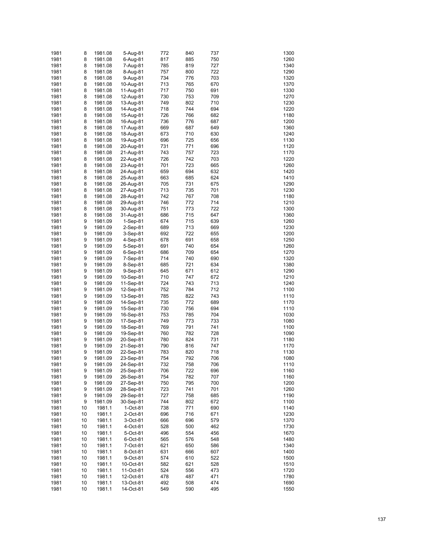| 1981 | 8  | 1981.08 | 5-Aug-81   | 772 | 840 | 737 | 1300 |
|------|----|---------|------------|-----|-----|-----|------|
| 1981 | 8  | 1981.08 | 6-Aug-81   | 817 | 885 | 750 | 1260 |
| 1981 | 8  | 1981.08 | 7-Aug-81   | 785 | 819 | 727 | 1340 |
| 1981 | 8  | 1981.08 | 8-Aug-81   | 757 | 800 | 722 | 1290 |
| 1981 | 8  | 1981.08 | 9-Aug-81   | 734 | 776 | 703 | 1320 |
|      |    |         |            |     |     |     |      |
| 1981 | 8  | 1981.08 | 10-Aug-81  | 713 | 765 | 670 | 1370 |
| 1981 | 8  | 1981.08 | 11-Aug-81  | 717 | 750 | 691 | 1330 |
| 1981 | 8  | 1981.08 | 12-Aug-81  | 730 | 753 | 709 | 1270 |
| 1981 | 8  | 1981.08 | 13-Aug-81  | 749 | 802 | 710 | 1230 |
| 1981 | 8  | 1981.08 | 14-Aug-81  | 718 | 744 | 694 | 1220 |
| 1981 | 8  | 1981.08 | 15-Aug-81  | 726 | 766 | 682 | 1180 |
| 1981 | 8  | 1981.08 | 16-Aug-81  | 736 | 776 | 687 | 1200 |
| 1981 | 8  | 1981.08 | 17-Aug-81  | 669 | 687 | 649 | 1360 |
| 1981 | 8  | 1981.08 | 18-Aug-81  | 673 | 710 | 630 | 1240 |
| 1981 | 8  | 1981.08 | 19-Aug-81  | 696 | 725 | 656 | 1130 |
| 1981 | 8  | 1981.08 | 20-Aug-81  | 731 | 771 | 696 | 1120 |
| 1981 | 8  | 1981.08 | 21-Aug-81  | 743 | 757 | 723 | 1170 |
| 1981 | 8  | 1981.08 | 22-Aug-81  | 726 | 742 | 703 | 1220 |
|      |    |         |            |     | 723 |     |      |
| 1981 | 8  | 1981.08 | 23-Aug-81  | 701 |     | 665 | 1260 |
| 1981 | 8  | 1981.08 | 24-Aug-81  | 659 | 694 | 632 | 1420 |
| 1981 | 8  | 1981.08 | 25-Aug-81  | 663 | 685 | 624 | 1410 |
| 1981 | 8  | 1981.08 | 26-Aug-81  | 705 | 731 | 675 | 1290 |
| 1981 | 8  | 1981.08 | 27-Aug-81  | 713 | 735 | 701 | 1230 |
| 1981 | 8  | 1981.08 | 28-Aug-81  | 742 | 767 | 708 | 1180 |
| 1981 | 8  | 1981.08 | 29-Aug-81  | 746 | 772 | 714 | 1210 |
| 1981 | 8  | 1981.08 | 30-Aug-81  | 751 | 773 | 722 | 1300 |
| 1981 | 8  | 1981.08 | 31-Aug-81  | 686 | 715 | 647 | 1360 |
| 1981 | 9  | 1981.09 | $1-Sep-81$ | 674 | 715 | 639 | 1260 |
| 1981 | 9  | 1981.09 | 2-Sep-81   | 689 | 713 | 669 | 1230 |
| 1981 | 9  | 1981.09 | 3-Sep-81   | 692 | 722 | 655 | 1200 |
| 1981 | 9  | 1981.09 | 4-Sep-81   | 678 | 691 | 658 | 1250 |
|      |    |         |            |     |     |     |      |
| 1981 | 9  | 1981.09 | 5-Sep-81   | 691 | 740 | 654 | 1260 |
| 1981 | 9  | 1981.09 | $6-Sep-81$ | 686 | 709 | 654 | 1270 |
| 1981 | 9  | 1981.09 | 7-Sep-81   | 714 | 740 | 690 | 1320 |
| 1981 | 9  | 1981.09 | 8-Sep-81   | 685 | 721 | 634 | 1380 |
| 1981 | 9  | 1981.09 | 9-Sep-81   | 645 | 671 | 612 | 1290 |
| 1981 | 9  | 1981.09 | 10-Sep-81  | 710 | 747 | 672 | 1210 |
| 1981 | 9  | 1981.09 | 11-Sep-81  | 724 | 743 | 713 | 1240 |
| 1981 | 9  | 1981.09 | 12-Sep-81  | 752 | 784 | 712 | 1100 |
| 1981 | 9  | 1981.09 | 13-Sep-81  | 785 | 822 | 743 | 1110 |
| 1981 | 9  | 1981.09 | 14-Sep-81  | 735 | 772 | 689 | 1170 |
| 1981 | 9  | 1981.09 | 15-Sep-81  | 730 | 756 | 694 | 1110 |
| 1981 | 9  | 1981.09 | 16-Sep-81  | 753 | 785 | 704 | 1030 |
| 1981 | 9  | 1981.09 | 17-Sep-81  | 749 | 773 | 733 | 1080 |
| 1981 | 9  | 1981.09 | 18-Sep-81  | 769 | 791 | 741 | 1100 |
|      |    |         |            |     |     |     |      |
| 1981 | 9  | 1981.09 | 19-Sep-81  | 760 | 782 | 728 | 1090 |
| 1981 | 9  | 1981.09 | 20-Sep-81  | 780 | 824 | 731 | 1180 |
| 1981 | 9  | 1981.09 | 21-Sep-81  | 790 | 816 | 747 | 1170 |
| 1981 | 9  | 1981.09 | 22-Sep-81  | 783 | 820 | 718 | 1130 |
| 1981 | 9  | 1981.09 | 23-Sep-81  | 754 | 792 | 706 | 1080 |
| 1981 | 9  | 1981.09 | 24-Sep-81  | 732 | 758 | 706 | 1110 |
| 1981 | 9  | 1981.09 | 25-Sep-81  | 706 | 722 | 696 | 1160 |
| 1981 | 9  | 1981.09 | 26-Sep-81  | 754 | 782 | 707 | 1160 |
| 1981 | 9  | 1981.09 | 27-Sep-81  | 750 | 795 | 700 | 1200 |
| 1981 | 9  | 1981.09 | 28-Sep-81  | 723 | 741 | 701 | 1260 |
| 1981 | 9  | 1981.09 | 29-Sep-81  | 727 | 758 | 685 | 1190 |
| 1981 | 9  | 1981.09 | 30-Sep-81  | 744 | 802 | 672 | 1100 |
| 1981 | 10 | 1981.1  | 1-Oct-81   | 738 | 771 | 690 | 1140 |
|      |    |         |            |     |     |     |      |
| 1981 | 10 | 1981.1  | 2-Oct-81   | 696 | 716 | 671 | 1230 |
| 1981 | 10 | 1981.1  | 3-Oct-81   | 666 | 696 | 579 | 1370 |
| 1981 | 10 | 1981.1  | 4-Oct-81   | 528 | 500 | 462 | 1730 |
| 1981 | 10 | 1981.1  | 5-Oct-81   | 496 | 554 | 456 | 1670 |
| 1981 | 10 | 1981.1  | 6-Oct-81   | 565 | 576 | 548 | 1480 |
| 1981 | 10 | 1981.1  | 7-Oct-81   | 621 | 650 | 586 | 1340 |
| 1981 | 10 | 1981.1  | 8-Oct-81   | 631 | 666 | 607 | 1400 |
| 1981 | 10 | 1981.1  | 9-Oct-81   | 574 | 610 | 522 | 1500 |
| 1981 | 10 | 1981.1  | 10-Oct-81  | 582 | 621 | 528 | 1510 |
| 1981 | 10 | 1981.1  | 11-Oct-81  | 524 | 556 | 473 | 1720 |
| 1981 | 10 | 1981.1  | 12-Oct-81  | 478 | 487 | 471 | 1780 |
| 1981 | 10 | 1981.1  | 13-Oct-81  | 492 | 508 | 474 | 1690 |
| 1981 | 10 | 1981.1  | 14-Oct-81  | 549 | 590 | 495 | 1550 |
|      |    |         |            |     |     |     |      |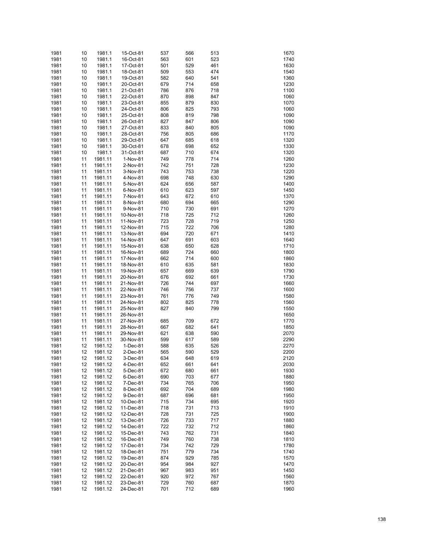| 1981 | 10 | 1981.1  | 15-Oct-81 | 537 | 566 | 513 | 1670 |
|------|----|---------|-----------|-----|-----|-----|------|
| 1981 | 10 | 1981.1  | 16-Oct-81 | 563 | 601 | 523 | 1740 |
| 1981 |    |         |           | 501 | 529 |     | 1630 |
|      | 10 | 1981.1  | 17-Oct-81 |     |     | 461 |      |
| 1981 | 10 | 1981.1  | 18-Oct-81 | 509 | 553 | 474 | 1540 |
| 1981 | 10 | 1981.1  | 19-Oct-81 | 582 | 640 | 541 | 1360 |
| 1981 | 10 | 1981.1  | 20-Oct-81 | 679 | 714 | 658 | 1230 |
| 1981 | 10 | 1981.1  | 21-Oct-81 | 786 | 876 | 718 | 1100 |
| 1981 | 10 | 1981.1  | 22-Oct-81 | 870 | 898 | 847 | 1060 |
| 1981 | 10 | 1981.1  | 23-Oct-81 | 855 | 879 | 830 | 1070 |
| 1981 | 10 | 1981.1  | 24-Oct-81 | 806 | 825 | 793 | 1060 |
| 1981 | 10 | 1981.1  | 25-Oct-81 | 808 | 819 | 798 | 1090 |
| 1981 | 10 | 1981.1  | 26-Oct-81 | 827 | 847 | 806 | 1090 |
| 1981 | 10 | 1981.1  | 27-Oct-81 | 833 | 840 | 805 | 1090 |
| 1981 | 10 | 1981.1  | 28-Oct-81 | 756 | 805 | 686 | 1170 |
|      |    |         |           |     |     |     |      |
| 1981 | 10 | 1981.1  | 29-Oct-81 | 647 | 685 | 618 | 1320 |
| 1981 | 10 | 1981.1  | 30-Oct-81 | 678 | 698 | 652 | 1330 |
| 1981 | 10 | 1981.1  | 31-Oct-81 | 687 | 710 | 674 | 1320 |
| 1981 | 11 | 1981.11 | 1-Nov-81  | 749 | 778 | 714 | 1260 |
| 1981 | 11 | 1981.11 | 2-Nov-81  | 742 | 751 | 728 | 1230 |
| 1981 | 11 | 1981.11 | 3-Nov-81  | 743 | 753 | 738 | 1220 |
| 1981 | 11 | 1981.11 | 4-Nov-81  | 698 | 748 | 630 | 1290 |
| 1981 | 11 | 1981.11 | 5-Nov-81  | 624 | 656 | 587 | 1400 |
| 1981 | 11 | 1981.11 | 6-Nov-81  | 610 | 623 | 597 | 1450 |
| 1981 | 11 | 1981.11 | 7-Nov-81  | 643 | 672 | 610 | 1370 |
| 1981 | 11 | 1981.11 | 8-Nov-81  | 680 | 694 | 665 | 1290 |
|      |    |         |           |     |     |     |      |
| 1981 | 11 | 1981.11 | 9-Nov-81  | 710 | 730 | 691 | 1270 |
| 1981 | 11 | 1981.11 | 10-Nov-81 | 718 | 725 | 712 | 1260 |
| 1981 | 11 | 1981.11 | 11-Nov-81 | 723 | 728 | 719 | 1250 |
| 1981 | 11 | 1981.11 | 12-Nov-81 | 715 | 722 | 706 | 1280 |
| 1981 | 11 | 1981.11 | 13-Nov-81 | 694 | 720 | 671 | 1410 |
| 1981 | 11 | 1981.11 | 14-Nov-81 | 647 | 691 | 603 | 1640 |
| 1981 | 11 | 1981.11 | 15-Nov-81 | 638 | 650 | 628 | 1710 |
| 1981 | 11 | 1981.11 | 16-Nov-81 | 689 | 724 | 660 | 1800 |
| 1981 | 11 | 1981.11 | 17-Nov-81 | 662 | 714 | 600 | 1860 |
| 1981 | 11 | 1981.11 | 18-Nov-81 | 610 | 635 | 581 | 1830 |
| 1981 | 11 | 1981.11 | 19-Nov-81 | 657 | 669 | 639 | 1790 |
|      |    |         |           |     |     |     |      |
| 1981 | 11 | 1981.11 | 20-Nov-81 | 676 | 692 | 661 | 1730 |
| 1981 | 11 | 1981.11 | 21-Nov-81 | 726 | 744 | 697 | 1660 |
| 1981 | 11 | 1981.11 | 22-Nov-81 | 746 | 756 | 737 | 1600 |
| 1981 | 11 | 1981.11 | 23-Nov-81 | 761 | 776 | 749 | 1580 |
| 1981 | 11 | 1981.11 | 24-Nov-81 | 802 | 825 | 778 | 1560 |
| 1981 | 11 | 1981.11 | 25-Nov-81 | 827 | 840 | 799 | 1550 |
| 1981 | 11 | 1981.11 | 26-Nov-81 |     |     |     | 1650 |
| 1981 | 11 | 1981.11 | 27-Nov-81 | 685 | 709 | 672 | 1770 |
| 1981 | 11 | 1981.11 | 28-Nov-81 | 667 | 682 | 641 | 1850 |
| 1981 | 11 | 1981.11 | 29-Nov-81 | 621 | 638 | 590 | 2070 |
| 1981 | 11 | 1981.11 | 30-Nov-81 | 599 | 617 | 589 | 2290 |
|      |    |         |           |     |     |     |      |
| 1981 | 12 | 1981.12 | 1-Dec-81  | 588 | 635 | 526 | 2270 |
| 1981 | 12 | 1981.12 | 2-Dec-81  | 565 | 590 | 529 | 2200 |
| 1981 | 12 | 1981.12 | 3-Dec-81  | 634 | 648 | 619 | 2120 |
| 1981 | 12 | 1981.12 | 4-Dec-81  | 652 | 661 | 641 | 2030 |
| 1981 | 12 | 1981.12 | 5-Dec-81  | 672 | 680 | 661 | 1930 |
| 1981 | 12 | 1981.12 | 6-Dec-81  | 690 | 703 | 677 | 1880 |
| 1981 | 12 | 1981.12 | 7-Dec-81  | 734 | 765 | 706 | 1950 |
| 1981 | 12 | 1981.12 | 8-Dec-81  | 692 | 704 | 689 | 1980 |
| 1981 | 12 | 1981.12 | 9-Dec-81  | 687 | 696 | 681 | 1950 |
| 1981 | 12 | 1981.12 | 10-Dec-81 | 715 | 734 | 695 | 1920 |
|      |    |         |           |     |     |     |      |
| 1981 | 12 | 1981.12 | 11-Dec-81 | 718 | 731 | 713 | 1910 |
| 1981 | 12 | 1981.12 | 12-Dec-81 | 728 | 731 | 725 | 1900 |
| 1981 | 12 | 1981.12 | 13-Dec-81 | 726 | 733 | 717 | 1880 |
| 1981 | 12 | 1981.12 | 14-Dec-81 | 722 | 732 | 712 | 1860 |
| 1981 | 12 | 1981.12 | 15-Dec-81 | 743 | 762 | 731 | 1840 |
| 1981 | 12 | 1981.12 | 16-Dec-81 | 749 | 760 | 738 | 1810 |
| 1981 | 12 | 1981.12 | 17-Dec-81 | 734 | 742 | 729 | 1780 |
| 1981 | 12 | 1981.12 | 18-Dec-81 | 751 | 779 | 734 | 1740 |
| 1981 | 12 | 1981.12 | 19-Dec-81 | 874 | 929 | 785 | 1570 |
| 1981 | 12 | 1981.12 | 20-Dec-81 | 954 | 984 | 927 | 1470 |
| 1981 | 12 |         |           | 967 | 983 | 951 | 1450 |
|      |    | 1981.12 | 21-Dec-81 |     |     |     |      |
| 1981 | 12 | 1981.12 | 22-Dec-81 | 920 | 972 | 767 | 1560 |
| 1981 | 12 | 1981.12 | 23-Dec-81 | 729 | 760 | 687 | 1870 |
| 1981 | 12 | 1981.12 | 24-Dec-81 | 701 | 712 | 689 | 1960 |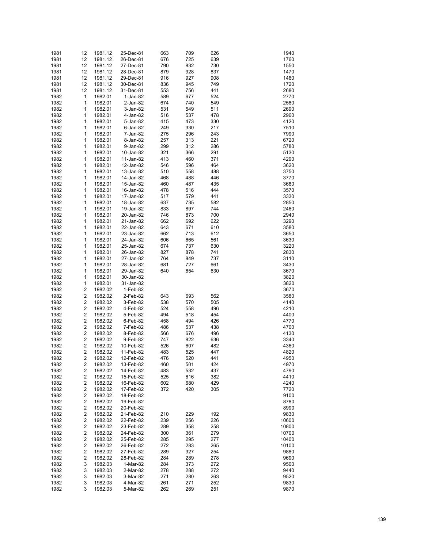| 1981 | 12                      | 1981.12 | 25-Dec-81 | 663 | 709 | 626 | 1940  |
|------|-------------------------|---------|-----------|-----|-----|-----|-------|
| 1981 | 12                      | 1981.12 | 26-Dec-81 | 676 | 725 | 639 | 1760  |
| 1981 | 12                      | 1981.12 | 27-Dec-81 | 790 | 832 | 730 | 1550  |
| 1981 | 12                      | 1981.12 | 28-Dec-81 | 879 | 928 | 837 | 1470  |
| 1981 | 12                      | 1981.12 | 29-Dec-81 | 916 | 927 | 908 | 1460  |
|      |                         |         |           |     |     |     |       |
| 1981 | 12                      | 1981.12 | 30-Dec-81 | 836 | 945 | 749 | 1720  |
| 1981 | 12                      | 1981.12 | 31-Dec-81 | 553 | 756 | 441 | 2680  |
| 1982 | 1                       | 1982.01 | 1-Jan-82  | 589 | 677 | 524 | 2770  |
| 1982 | 1                       | 1982.01 | 2-Jan-82  | 674 | 740 | 549 | 2580  |
| 1982 | 1                       | 1982.01 | 3-Jan-82  | 531 | 549 | 511 | 2690  |
| 1982 | 1                       | 1982.01 | 4-Jan-82  | 516 | 537 | 478 | 2960  |
| 1982 | 1                       | 1982.01 | 5-Jan-82  | 415 | 473 | 330 | 4120  |
| 1982 | 1                       | 1982.01 | 6-Jan-82  | 249 | 330 | 217 | 7510  |
| 1982 | 1                       | 1982.01 | 7-Jan-82  | 275 | 296 | 243 | 7990  |
| 1982 | 1                       | 1982.01 | 8-Jan-82  | 257 | 313 | 221 | 6720  |
| 1982 | 1                       | 1982.01 | 9-Jan-82  | 299 | 312 | 286 | 5780  |
| 1982 | 1                       | 1982.01 | 10-Jan-82 | 321 | 366 | 291 | 5130  |
| 1982 | 1                       | 1982.01 | 11-Jan-82 | 413 | 460 | 371 | 4290  |
| 1982 | 1                       | 1982.01 | 12-Jan-82 | 546 | 596 | 464 | 3620  |
| 1982 | 1                       | 1982.01 | 13-Jan-82 | 510 | 558 | 488 | 3750  |
| 1982 | 1                       | 1982.01 | 14-Jan-82 | 468 | 488 | 446 | 3770  |
| 1982 | 1                       | 1982.01 |           | 460 | 487 | 435 | 3680  |
|      |                         |         | 15-Jan-82 |     |     |     |       |
| 1982 | 1                       | 1982.01 | 16-Jan-82 | 478 | 516 | 444 | 3570  |
| 1982 | 1                       | 1982.01 | 17-Jan-82 | 517 | 579 | 441 | 3330  |
| 1982 | 1                       | 1982.01 | 18-Jan-82 | 637 | 735 | 582 | 2850  |
| 1982 | 1                       | 1982.01 | 19-Jan-82 | 833 | 897 | 744 | 2460  |
| 1982 | 1                       | 1982.01 | 20-Jan-82 | 746 | 873 | 700 | 2940  |
| 1982 | 1                       | 1982.01 | 21-Jan-82 | 662 | 692 | 622 | 3290  |
| 1982 | 1                       | 1982.01 | 22-Jan-82 | 643 | 671 | 610 | 3580  |
| 1982 | 1                       | 1982.01 | 23-Jan-82 | 662 | 713 | 612 | 3650  |
| 1982 | 1                       | 1982.01 | 24-Jan-82 | 606 | 665 | 561 | 3630  |
| 1982 | 1                       | 1982.01 | 25-Jan-82 | 674 | 737 | 630 | 3220  |
| 1982 | 1                       | 1982.01 | 26-Jan-82 | 827 | 878 | 741 | 2830  |
| 1982 | 1                       | 1982.01 | 27-Jan-82 | 764 | 849 | 737 | 3110  |
| 1982 | 1                       | 1982.01 | 28-Jan-82 | 681 | 727 | 661 | 3430  |
| 1982 | 1                       | 1982.01 | 29-Jan-82 | 640 | 654 | 630 | 3670  |
| 1982 | 1                       | 1982.01 | 30-Jan-82 |     |     |     | 3820  |
| 1982 | 1                       | 1982.01 | 31-Jan-82 |     |     |     | 3820  |
| 1982 | 2                       |         |           |     |     |     | 3670  |
|      |                         | 1982.02 | 1-Feb-82  |     |     |     |       |
| 1982 | $\overline{\mathbf{c}}$ | 1982.02 | 2-Feb-82  | 643 | 693 | 562 | 3580  |
| 1982 | $\overline{\mathbf{c}}$ | 1982.02 | 3-Feb-82  | 538 | 570 | 505 | 4140  |
| 1982 | $\overline{\mathbf{c}}$ | 1982.02 | 4-Feb-82  | 524 | 558 | 496 | 4210  |
| 1982 | $\overline{\mathbf{c}}$ | 1982.02 | 5-Feb-82  | 494 | 518 | 454 | 4400  |
| 1982 | 2                       | 1982.02 | 6-Feb-82  | 458 | 494 | 426 | 4770  |
| 1982 | $\overline{\mathbf{c}}$ | 1982.02 | 7-Feb-82  | 486 | 537 | 438 | 4700  |
| 1982 | $\overline{\mathbf{c}}$ | 1982.02 | 8-Feb-82  | 566 | 676 | 496 | 4130  |
| 1982 | 2                       | 1982.02 | 9-Feb-82  | 747 | 822 | 636 | 3340  |
| 1982 | $\overline{\mathbf{c}}$ | 1982.02 | 10-Feb-82 | 526 | 607 | 482 | 4360  |
| 1982 | 2                       | 1982.02 | 11-Feb-82 | 483 | 525 | 447 | 4820  |
| 1982 | 2                       | 1982.02 | 12-Feb-82 | 476 | 520 | 441 | 4950  |
| 1982 | 2                       | 1982.02 | 13-Feb-82 | 460 | 501 | 424 | 4970  |
| 1982 | 2                       | 1982.02 | 14-Feb-82 | 483 | 532 | 437 | 4790  |
| 1982 | 2                       | 1982.02 | 15-Feb-82 | 525 | 616 | 382 | 4410  |
| 1982 | 2                       | 1982.02 | 16-Feb-82 | 602 | 680 | 429 | 4240  |
| 1982 | 2                       | 1982.02 | 17-Feb-82 | 372 | 420 | 305 | 7720  |
| 1982 | 2                       | 1982.02 | 18-Feb-82 |     |     |     | 9100  |
| 1982 | 2                       | 1982.02 | 19-Feb-82 |     |     |     | 8780  |
|      |                         |         |           |     |     |     |       |
| 1982 | 2                       | 1982.02 | 20-Feb-82 |     |     |     | 8990  |
| 1982 | 2                       | 1982.02 | 21-Feb-82 | 210 | 229 | 192 | 9830  |
| 1982 | 2                       | 1982.02 | 22-Feb-82 | 239 | 256 | 226 | 10600 |
| 1982 | 2                       | 1982.02 | 23-Feb-82 | 289 | 358 | 258 | 10800 |
| 1982 | 2                       | 1982.02 | 24-Feb-82 | 300 | 361 | 279 | 10700 |
| 1982 | 2                       | 1982.02 | 25-Feb-82 | 285 | 295 | 277 | 10400 |
| 1982 | 2                       | 1982.02 | 26-Feb-82 | 272 | 283 | 265 | 10100 |
| 1982 | 2                       | 1982.02 | 27-Feb-82 | 289 | 327 | 254 | 9880  |
| 1982 | 2                       | 1982.02 | 28-Feb-82 | 284 | 289 | 278 | 9690  |
| 1982 | 3                       | 1982.03 | 1-Mar-82  | 284 | 373 | 272 | 9500  |
| 1982 | 3                       | 1982.03 | 2-Mar-82  | 278 | 288 | 272 | 9440  |
| 1982 | 3                       | 1982.03 | 3-Mar-82  | 271 | 280 | 263 | 9520  |
| 1982 | 3                       | 1982.03 | 4-Mar-82  | 261 | 271 | 252 | 9830  |
| 1982 | 3                       | 1982.03 | 5-Mar-82  | 262 | 269 | 251 | 9870  |
|      |                         |         |           |     |     |     |       |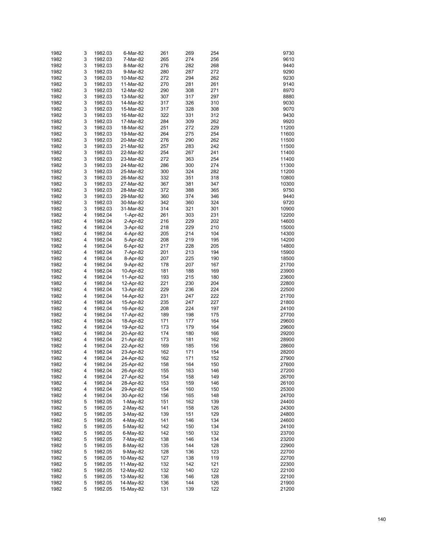| 1982 | 3 | 1982.03 | 6-Mar-82   | 261 | 269 | 254 | 9730  |
|------|---|---------|------------|-----|-----|-----|-------|
| 1982 | 3 | 1982.03 | 7-Mar-82   | 265 | 274 | 256 | 9610  |
| 1982 | 3 | 1982.03 | 8-Mar-82   | 276 | 282 | 268 | 9440  |
| 1982 | 3 | 1982.03 | 9-Mar-82   | 280 | 287 | 272 | 9290  |
| 1982 | 3 | 1982.03 | 10-Mar-82  | 272 | 294 | 262 | 9230  |
| 1982 | 3 | 1982.03 | 11-Mar-82  | 270 | 281 | 261 | 9140  |
| 1982 | 3 | 1982.03 | 12-Mar-82  | 290 | 308 | 271 | 8970  |
| 1982 | 3 | 1982.03 | 13-Mar-82  | 307 | 317 | 297 | 8880  |
| 1982 | 3 | 1982.03 | 14-Mar-82  | 317 | 326 | 310 | 9030  |
| 1982 | 3 | 1982.03 | 15-Mar-82  | 317 | 328 | 308 | 9070  |
| 1982 | 3 | 1982.03 | 16-Mar-82  | 322 | 331 | 312 | 9430  |
| 1982 | 3 | 1982.03 | 17-Mar-82  | 284 | 309 | 262 | 9920  |
| 1982 | 3 | 1982.03 | 18-Mar-82  | 251 | 272 | 229 | 11200 |
| 1982 | 3 | 1982.03 | 19-Mar-82  | 264 | 275 | 254 | 11600 |
| 1982 | 3 | 1982.03 | 20-Mar-82  | 276 | 290 | 262 | 11500 |
| 1982 | 3 | 1982.03 | 21-Mar-82  | 257 | 283 | 242 | 11500 |
| 1982 | 3 | 1982.03 | 22-Mar-82  | 254 | 267 | 241 | 11400 |
| 1982 | 3 | 1982.03 | 23-Mar-82  | 272 | 363 | 254 | 11400 |
| 1982 | 3 | 1982.03 | 24-Mar-82  | 286 | 300 | 274 | 11300 |
| 1982 | 3 | 1982.03 | 25-Mar-82  | 300 | 324 | 282 | 11200 |
| 1982 | 3 | 1982.03 | 26-Mar-82  | 332 | 351 | 318 | 10800 |
| 1982 | 3 | 1982.03 | 27-Mar-82  | 367 | 381 | 347 | 10300 |
| 1982 | 3 | 1982.03 | 28-Mar-82  | 372 | 388 | 365 | 9750  |
| 1982 | 3 | 1982.03 | 29-Mar-82  | 360 | 374 | 346 | 9440  |
| 1982 | 3 | 1982.03 | 30-Mar-82  | 342 | 360 | 324 | 9720  |
| 1982 | 3 | 1982.03 | 31-Mar-82  | 314 | 321 | 301 | 10900 |
| 1982 | 4 | 1982.04 | 1-Apr-82   | 261 | 303 | 231 | 12200 |
| 1982 | 4 | 1982.04 | 2-Apr-82   | 216 | 229 | 202 | 14600 |
| 1982 | 4 | 1982.04 | 3-Apr-82   | 218 | 229 | 210 | 15000 |
| 1982 | 4 | 1982.04 | 4-Apr-82   | 205 | 214 | 104 | 14300 |
| 1982 | 4 | 1982.04 | 5-Apr-82   | 208 | 219 | 195 | 14200 |
| 1982 | 4 | 1982.04 | 6-Apr-82   | 217 | 228 | 205 | 14800 |
| 1982 | 4 | 1982.04 | 7-Apr-82   | 201 | 213 | 194 | 15900 |
| 1982 | 4 | 1982.04 | 8-Apr-82   | 207 | 225 | 190 | 18500 |
| 1982 | 4 | 1982.04 | 9-Apr-82   | 178 | 207 | 167 | 21700 |
| 1982 | 4 | 1982.04 | 10-Apr-82  | 181 | 188 | 169 | 23900 |
| 1982 | 4 | 1982.04 | 11-Apr-82  | 193 | 215 | 180 | 23600 |
| 1982 | 4 | 1982.04 | 12-Apr-82  | 221 | 230 | 204 | 22800 |
| 1982 | 4 | 1982.04 | 13-Apr-82  | 229 | 236 | 224 | 22500 |
| 1982 | 4 | 1982.04 | 14-Apr-82  | 231 | 247 | 222 | 21700 |
| 1982 | 4 | 1982.04 | 15-Apr-82  | 235 | 247 | 227 | 21800 |
| 1982 | 4 | 1982.04 | 16-Apr-82  | 208 | 224 | 197 | 24100 |
| 1982 | 4 | 1982.04 | 17-Apr-82  | 189 | 198 | 175 | 27700 |
| 1982 | 4 | 1982.04 | 18-Apr-82  | 171 | 177 | 164 | 29600 |
| 1982 | 4 | 1982.04 | 19-Apr-82  | 173 | 179 | 164 | 29600 |
| 1982 | 4 | 1982.04 | 20-Apr-82  | 174 | 180 | 166 | 29200 |
| 1982 | 4 | 1982.04 | 21-Apr-82  | 173 | 181 | 162 | 28900 |
| 1982 | 4 | 1982.04 | 22-Apr-82  | 169 | 185 | 156 | 28600 |
| 1982 | 4 | 1982.04 | 23-Apr-82  | 162 | 171 | 154 | 28200 |
| 1982 | 4 | 1982.04 | 24-Apr-82  | 162 | 171 | 152 | 27900 |
| 1982 | 4 | 1982.04 | 25-Apr-82  | 158 | 164 | 150 | 27600 |
| 1982 | 4 | 1982.04 | 26-Apr-82  | 155 | 163 | 146 | 27200 |
| 1982 | 4 | 1982.04 | 27-Apr-82  | 154 | 158 | 149 | 26700 |
| 1982 | 4 | 1982.04 | 28-Apr-82  | 153 | 159 | 146 | 26100 |
| 1982 | 4 | 1982.04 | 29-Apr-82  | 154 | 160 | 150 | 25300 |
| 1982 | 4 | 1982.04 | 30-Apr-82  | 156 | 165 | 148 | 24700 |
| 1982 | 5 | 1982.05 | $1-May-82$ | 151 | 162 | 139 | 24400 |
| 1982 | 5 | 1982.05 | 2-May-82   | 141 | 158 | 126 | 24300 |
| 1982 | 5 | 1982.05 | $3-May-82$ | 139 | 151 | 129 | 24800 |
| 1982 | 5 | 1982.05 | 4-May-82   | 141 | 146 | 134 | 24600 |
| 1982 | 5 | 1982.05 | 5-May-82   | 142 | 150 | 134 | 24100 |
| 1982 | 5 | 1982.05 | 6-May-82   | 142 | 150 | 132 | 23700 |
| 1982 | 5 | 1982.05 | 7-May-82   | 138 | 146 | 134 | 23200 |
| 1982 | 5 | 1982.05 | 8-May-82   | 135 | 144 | 128 | 22900 |
| 1982 | 5 | 1982.05 | 9-May-82   | 128 | 136 | 123 | 22700 |
| 1982 | 5 | 1982.05 | 10-May-82  | 127 | 138 | 119 | 22700 |
| 1982 | 5 | 1982.05 | 11-May-82  | 132 | 142 | 121 | 22300 |
| 1982 | 5 | 1982.05 | 12-May-82  | 132 | 140 | 122 | 22100 |
| 1982 | 5 | 1982.05 | 13-May-82  | 136 | 146 | 128 | 22100 |
| 1982 | 5 | 1982.05 | 14-May-82  | 136 | 144 | 126 | 21900 |
| 1982 | 5 | 1982.05 | 15-May-82  | 131 | 139 | 122 | 21200 |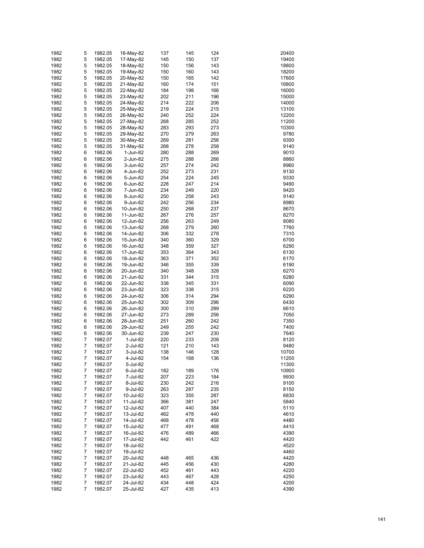| 1982 | 5 | 1982.05 | 16-May-82 | 137 | 145 | 124 | 20400 |
|------|---|---------|-----------|-----|-----|-----|-------|
| 1982 | 5 | 1982.05 | 17-May-82 | 145 | 150 | 137 | 19400 |
| 1982 | 5 | 1982.05 | 18-May-82 | 150 | 156 | 143 | 18800 |
| 1982 | 5 | 1982.05 | 19-May-82 | 150 | 160 | 143 | 18200 |
| 1982 | 5 | 1982.05 | 20-May-82 | 150 | 165 | 142 | 17600 |
| 1982 | 5 | 1982.05 | 21-May-82 | 160 | 174 | 151 | 16800 |
| 1982 | 5 | 1982.05 | 22-May-82 | 184 | 198 | 166 | 16000 |
|      | 5 |         |           |     |     |     |       |
| 1982 |   | 1982.05 | 23-May-82 | 202 | 211 | 196 | 15000 |
| 1982 | 5 | 1982.05 | 24-May-82 | 214 | 222 | 206 | 14000 |
| 1982 | 5 | 1982.05 | 25-May-82 | 219 | 224 | 215 | 13100 |
| 1982 | 5 | 1982.05 | 26-May-82 | 240 | 252 | 224 | 12200 |
| 1982 | 5 | 1982.05 | 27-May-82 | 268 | 285 | 252 | 11200 |
| 1982 | 5 | 1982.05 | 28-May-82 | 283 | 293 | 273 | 10300 |
| 1982 | 5 | 1982.05 | 29-May-82 | 270 | 279 | 263 | 9780  |
| 1982 | 5 | 1982.05 | 30-May-82 | 269 | 281 | 256 | 9350  |
| 1982 | 5 | 1982.05 | 31-May-82 | 268 | 278 | 258 | 9140  |
| 1982 | 6 | 1982.06 | 1-Jun-82  | 280 | 288 | 269 | 9010  |
| 1982 | 6 | 1982.06 | 2-Jun-82  | 275 | 288 | 266 | 8860  |
| 1982 | 6 | 1982.06 | 3-Jun-82  | 257 | 274 | 242 | 8960  |
| 1982 | 6 | 1982.06 | 4-Jun-82  | 252 | 273 | 231 | 9130  |
| 1982 | 6 | 1982.06 | 5-Jun-82  | 254 | 224 | 245 | 9330  |
| 1982 | 6 | 1982.06 | 6-Jun-82  | 228 | 247 | 214 | 9490  |
| 1982 | 6 | 1982.06 | 7-Jun-82  | 234 | 249 | 220 | 9420  |
| 1982 | 6 | 1982.06 | 8-Jun-82  | 250 | 258 | 243 | 9140  |
| 1982 | 6 | 1982.06 | 9-Jun-82  | 242 | 256 | 234 | 8980  |
| 1982 | 6 | 1982.06 | 10-Jun-82 | 250 | 268 | 237 | 8670  |
| 1982 | 6 | 1982.06 | 11-Jun-82 | 267 | 276 | 257 | 8270  |
| 1982 | 6 | 1982.06 | 12-Jun-82 | 256 | 263 | 249 | 8080  |
| 1982 | 6 | 1982.06 | 13-Jun-82 | 268 | 279 | 260 | 7760  |
| 1982 | 6 | 1982.06 | 14-Jun-82 | 306 | 332 | 278 | 7310  |
| 1982 | 6 | 1982.06 | 15-Jun-82 | 340 | 360 | 329 | 6700  |
| 1982 | 6 | 1982.06 | 16-Jun-82 | 348 | 359 | 327 | 6290  |
| 1982 | 6 |         |           | 353 | 364 | 343 | 6130  |
|      |   | 1982.06 | 17-Jun-82 |     |     |     |       |
| 1982 | 6 | 1982.06 | 18-Jun-82 | 363 | 371 | 352 | 6170  |
| 1982 | 6 | 1982.06 | 19-Jun-82 | 346 | 355 | 339 | 6190  |
| 1982 | 6 | 1982.06 | 20-Jun-82 | 340 | 348 | 328 | 6270  |
| 1982 | 6 | 1982.06 | 21-Jun-82 | 331 | 344 | 315 | 6280  |
| 1982 | 6 | 1982.06 | 22-Jun-82 | 338 | 345 | 331 | 6090  |
| 1982 | 6 | 1982.06 | 23-Jun-82 | 323 | 338 | 315 | 6220  |
| 1982 | 6 | 1982.06 | 24-Jun-82 | 306 | 314 | 294 | 6290  |
| 1982 | 6 | 1982.06 | 25-Jun-82 | 302 | 309 | 296 | 6430  |
| 1982 | 6 | 1982.06 | 26-Jun-82 | 300 | 310 | 289 | 6610  |
| 1982 | 6 | 1982.06 | 27-Jun-82 | 273 | 289 | 256 | 7050  |
| 1982 | 6 | 1982.06 | 28-Jun-82 | 251 | 260 | 242 | 7350  |
| 1982 | 6 | 1982.06 | 29-Jun-82 | 249 | 255 | 242 | 7400  |
| 1982 | 6 | 1982.06 | 30-Jun-82 | 239 | 247 | 230 | 7640  |
| 1982 | 7 | 1982.07 | 1-Jul-82  | 220 | 233 | 208 | 8120  |
| 1982 | 7 | 1982.07 | 2-Jul-82  | 121 | 210 | 143 | 9480  |
| 1982 | 7 | 1982.07 | 3-Jul-82  | 138 | 146 | 128 | 10700 |
| 1982 | 7 | 1982.07 | 4-Jul-82  | 154 | 168 | 136 | 11200 |
| 1982 | 7 | 1982.07 | 5-Jul-82  |     |     |     | 11300 |
| 1982 | 7 | 1982.07 | 6-Jul-82  | 182 | 189 | 176 | 10900 |
| 1982 | 7 | 1982.07 | 7-Jul-82  | 207 | 223 | 184 | 9930  |
| 1982 | 7 | 1982.07 | 8-Jul-82  | 230 | 242 | 216 | 9100  |
| 1982 | 7 | 1982.07 | 9-Jul-82  | 263 | 287 | 235 | 8150  |
| 1982 | 7 | 1982.07 | 10-Jul-82 | 323 | 355 | 287 | 6830  |
| 1982 | 7 | 1982.07 | 11-Jul-82 | 366 | 381 | 247 | 5840  |
| 1982 | 7 | 1982.07 | 12-Jul-82 | 407 | 440 | 384 | 5110  |
| 1982 | 7 | 1982.07 | 13-Jul-82 | 462 | 478 | 440 | 4610  |
| 1982 | 7 | 1982.07 | 14-Jul-82 | 468 | 478 | 456 | 4480  |
| 1982 | 7 | 1982.07 | 15-Jul-82 | 477 | 491 | 468 | 4410  |
| 1982 | 7 | 1982.07 | 16-Jul-82 | 476 | 489 | 466 | 4390  |
| 1982 | 7 | 1982.07 | 17-Jul-82 | 442 | 461 | 422 | 4420  |
| 1982 | 7 | 1982.07 | 18-Jul-82 |     |     |     | 4520  |
| 1982 | 7 | 1982.07 | 19-Jul-82 |     |     |     | 4460  |
| 1982 | 7 | 1982.07 | 20-Jul-82 | 448 | 465 | 436 | 4420  |
| 1982 | 7 | 1982.07 | 21-Jul-82 | 445 | 456 | 430 | 4280  |
| 1982 | 7 | 1982.07 | 22-Jul-82 | 452 | 461 | 443 | 4220  |
| 1982 | 7 | 1982.07 | 23-Jul-82 | 443 | 467 | 428 | 4250  |
| 1982 | 7 | 1982.07 | 24-Jul-82 | 434 | 448 | 424 | 4200  |
| 1982 | 7 | 1982.07 | 25-Jul-82 | 427 | 435 | 413 | 4390  |
|      |   |         |           |     |     |     |       |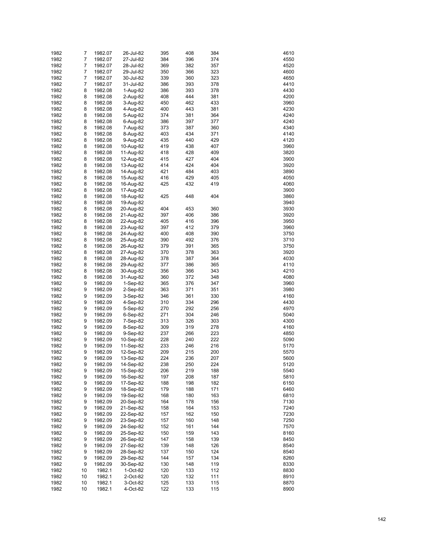| 1982 | 7  | 1982.07 | 26-Jul-82  | 395 | 408 | 384 | 4610 |
|------|----|---------|------------|-----|-----|-----|------|
| 1982 | 7  | 1982.07 | 27-Jul-82  | 384 | 396 | 374 | 4550 |
| 1982 | 7  | 1982.07 | 28-Jul-82  | 369 | 382 | 357 | 4520 |
| 1982 | 7  | 1982.07 | 29-Jul-82  | 350 | 366 | 323 | 4600 |
| 1982 | 7  | 1982.07 | 30-Jul-82  | 339 | 360 | 323 | 4650 |
|      |    |         |            |     |     |     |      |
| 1982 | 7  | 1982.07 | 31-Jul-82  | 386 | 393 | 378 | 4410 |
| 1982 | 8  | 1982.08 | 1-Aug-82   | 386 | 393 | 378 | 4430 |
| 1982 | 8  | 1982.08 | 2-Aug-82   | 408 | 444 | 381 | 4200 |
| 1982 | 8  | 1982.08 | 3-Aug-82   | 450 | 462 | 433 | 3960 |
| 1982 | 8  | 1982.08 | 4-Aug-82   | 400 | 443 | 381 | 4230 |
| 1982 | 8  | 1982.08 | 5-Aug-82   | 374 | 381 | 364 | 4240 |
| 1982 | 8  | 1982.08 | 6-Aug-82   | 386 | 397 | 377 | 4240 |
| 1982 | 8  | 1982.08 | 7-Aug-82   | 373 | 387 | 360 | 4340 |
| 1982 | 8  | 1982.08 | 8-Aug-82   | 403 | 434 | 371 | 4140 |
| 1982 | 8  | 1982.08 | 9-Aug-82   | 435 | 440 | 429 | 4120 |
| 1982 | 8  | 1982.08 | 10-Aug-82  | 419 | 438 | 407 | 3960 |
| 1982 | 8  | 1982.08 | 11-Aug-82  | 418 | 428 | 409 | 3820 |
| 1982 | 8  | 1982.08 | 12-Aug-82  | 415 | 427 | 404 | 3900 |
| 1982 | 8  | 1982.08 | 13-Aug-82  | 414 | 424 | 404 | 3920 |
| 1982 | 8  | 1982.08 | 14-Aug-82  | 421 | 484 | 403 | 3890 |
| 1982 | 8  |         | 15-Aug-82  | 416 | 429 | 405 | 4050 |
|      |    | 1982.08 |            | 425 | 432 | 419 |      |
| 1982 | 8  | 1982.08 | 16-Aug-82  |     |     |     | 4060 |
| 1982 | 8  | 1982.08 | 17-Aug-82  |     |     |     | 3900 |
| 1982 | 8  | 1982.08 | 18-Aug-82  | 425 | 448 | 404 | 3860 |
| 1982 | 8  | 1982.08 | 19-Aug-82  |     |     |     | 3940 |
| 1982 | 8  | 1982.08 | 20-Aug-82  | 404 | 453 | 360 | 3930 |
| 1982 | 8  | 1982.08 | 21-Aug-82  | 397 | 406 | 386 | 3920 |
| 1982 | 8  | 1982.08 | 22-Aug-82  | 405 | 416 | 396 | 3950 |
| 1982 | 8  | 1982.08 | 23-Aug-82  | 397 | 412 | 379 | 3960 |
| 1982 | 8  | 1982.08 | 24-Aug-82  | 400 | 408 | 390 | 3750 |
| 1982 | 8  | 1982.08 | 25-Aug-82  | 390 | 492 | 376 | 3710 |
| 1982 | 8  | 1982.08 | 26-Aug-82  | 379 | 391 | 365 | 3750 |
| 1982 | 8  | 1982.08 | 27-Aug-82  | 370 | 378 | 363 | 3920 |
| 1982 | 8  | 1982.08 | 28-Aug-82  | 378 | 387 | 364 | 4030 |
| 1982 | 8  | 1982.08 | 29-Aug-82  | 377 | 386 | 365 | 4110 |
| 1982 | 8  | 1982.08 | 30-Aug-82  | 356 | 366 | 343 | 4210 |
| 1982 | 8  | 1982.08 | 31-Aug-82  | 360 | 372 | 348 | 4080 |
| 1982 | 9  |         |            |     | 376 |     | 3960 |
|      |    | 1982.09 | $1-Sep-82$ | 365 |     | 347 |      |
| 1982 | 9  | 1982.09 | 2-Sep-82   | 363 | 371 | 351 | 3980 |
| 1982 | 9  | 1982.09 | 3-Sep-82   | 346 | 361 | 330 | 4160 |
| 1982 | 9  | 1982.09 | 4-Sep-82   | 310 | 334 | 296 | 4430 |
| 1982 | 9  | 1982.09 | 5-Sep-82   | 270 | 292 | 256 | 4970 |
| 1982 | 9  | 1982.09 | $6-Sep-82$ | 271 | 304 | 246 | 5040 |
| 1982 | 9  | 1982.09 | 7-Sep-82   | 313 | 326 | 303 | 4300 |
| 1982 | 9  | 1982.09 | 8-Sep-82   | 309 | 319 | 278 | 4160 |
| 1982 | 9  | 1982.09 | 9-Sep-82   | 237 | 266 | 223 | 4850 |
| 1982 | 9  | 1982.09 | 10-Sep-82  | 228 | 240 | 222 | 5090 |
| 1982 | 9  | 1982.09 | 11-Sep-82  | 233 | 246 | 216 | 5170 |
| 1982 | 9  | 1982.09 | 12-Sep-82  | 209 | 215 | 200 | 5570 |
| 1982 | 9  | 1982.09 | 13-Sep-82  | 224 | 236 | 207 | 5600 |
| 1982 | 9  | 1982.09 | 14-Sep-82  | 238 | 250 | 224 | 5120 |
| 1982 | 9  | 1982.09 | 15-Sep-82  | 206 | 219 | 188 | 5540 |
| 1982 | 9  | 1982.09 | 16-Sep-82  | 197 | 208 | 187 | 5810 |
| 1982 | 9  | 1982.09 | 17-Sep-82  | 188 | 198 | 182 | 6150 |
| 1982 | 9  | 1982.09 | 18-Sep-82  | 179 | 188 | 171 | 6460 |
| 1982 | 9  | 1982.09 |            | 168 | 180 | 163 | 6810 |
|      |    |         | 19-Sep-82  |     |     |     |      |
| 1982 | 9  | 1982.09 | 20-Sep-82  | 164 | 178 | 156 | 7130 |
| 1982 | 9  | 1982.09 | 21-Sep-82  | 158 | 164 | 153 | 7240 |
| 1982 | 9  | 1982.09 | 22-Sep-82  | 157 | 162 | 150 | 7230 |
| 1982 | 9  | 1982.09 | 23-Sep-82  | 157 | 160 | 148 | 7250 |
| 1982 | 9  | 1982.09 | 24-Sep-82  | 152 | 161 | 144 | 7570 |
| 1982 | 9  | 1982.09 | 25-Sep-82  | 150 | 159 | 143 | 8160 |
| 1982 | 9  | 1982.09 | 26-Sep-82  | 147 | 158 | 139 | 8450 |
| 1982 | 9  | 1982.09 | 27-Sep-82  | 139 | 148 | 126 | 8540 |
| 1982 | 9  | 1982.09 | 28-Sep-82  | 137 | 150 | 124 | 8540 |
| 1982 | 9  | 1982.09 | 29-Sep-82  | 144 | 157 | 134 | 8260 |
| 1982 | 9  | 1982.09 | 30-Sep-82  | 130 | 148 | 119 | 8330 |
| 1982 | 10 | 1982.1  | 1-Oct-82   | 120 | 133 | 112 | 8830 |
| 1982 | 10 | 1982.1  | 2-Oct-82   | 120 | 132 | 111 | 8910 |
| 1982 | 10 | 1982.1  | 3-Oct-82   | 125 | 133 | 115 | 8870 |
| 1982 | 10 | 1982.1  | 4-Oct-82   | 122 | 133 | 115 | 8900 |
|      |    |         |            |     |     |     |      |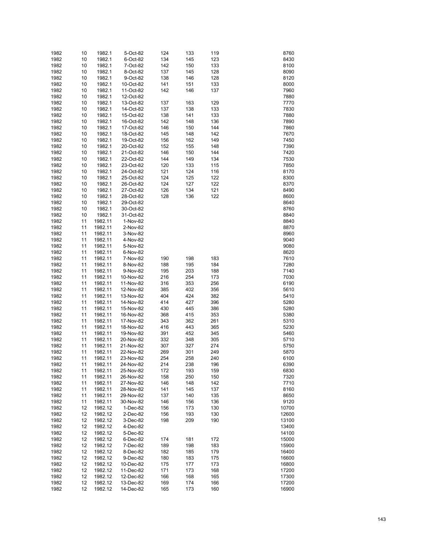| 1982 | 10 | 1982.1  | 5-Oct-82  | 124 | 133 | 119 | 8760  |
|------|----|---------|-----------|-----|-----|-----|-------|
|      |    |         |           |     |     |     |       |
| 1982 | 10 | 1982.1  | 6-Oct-82  | 134 | 145 | 123 | 8430  |
| 1982 | 10 | 1982.1  | 7-Oct-82  | 142 | 150 | 133 | 8100  |
| 1982 | 10 | 1982.1  | 8-Oct-82  | 137 | 145 | 128 | 8090  |
| 1982 | 10 | 1982.1  | 9-Oct-82  | 138 | 146 | 128 | 8120  |
| 1982 | 10 | 1982.1  | 10-Oct-82 | 141 | 151 | 133 | 8000  |
| 1982 | 10 | 1982.1  | 11-Oct-82 | 142 | 146 | 137 | 7960  |
|      |    |         |           |     |     |     |       |
| 1982 | 10 | 1982.1  | 12-Oct-82 |     |     |     | 7880  |
| 1982 | 10 | 1982.1  | 13-Oct-82 | 137 | 163 | 129 | 7770  |
| 1982 | 10 | 1982.1  | 14-Oct-82 | 137 | 138 | 133 | 7830  |
| 1982 | 10 | 1982.1  | 15-Oct-82 | 138 | 141 | 133 | 7880  |
| 1982 | 10 | 1982.1  | 16-Oct-82 | 142 | 148 | 136 | 7890  |
|      |    |         |           |     |     |     |       |
| 1982 | 10 | 1982.1  | 17-Oct-82 | 146 | 150 | 144 | 7860  |
| 1982 | 10 | 1982.1  | 18-Oct-82 | 145 | 148 | 142 | 7670  |
| 1982 | 10 | 1982.1  | 19-Oct-82 | 156 | 162 | 149 | 7450  |
| 1982 | 10 | 1982.1  | 20-Oct-82 | 152 | 155 | 148 | 7390  |
| 1982 | 10 | 1982.1  | 21-Oct-82 | 146 | 150 | 144 | 7420  |
|      |    |         |           |     |     |     |       |
| 1982 | 10 | 1982.1  | 22-Oct-82 | 144 | 149 | 134 | 7530  |
| 1982 | 10 | 1982.1  | 23-Oct-82 | 120 | 133 | 115 | 7850  |
| 1982 | 10 | 1982.1  | 24-Oct-82 | 121 | 124 | 116 | 8170  |
| 1982 | 10 | 1982.1  | 25-Oct-82 | 124 | 125 | 122 | 8300  |
| 1982 | 10 | 1982.1  | 26-Oct-82 | 124 | 127 | 122 | 8370  |
|      |    |         |           |     |     |     |       |
| 1982 | 10 | 1982.1  | 27-Oct-82 | 126 | 134 | 121 | 8490  |
| 1982 | 10 | 1982.1  | 28-Oct-82 | 128 | 136 | 122 | 8600  |
| 1982 | 10 | 1982.1  | 29-Oct-82 |     |     |     | 8640  |
| 1982 | 10 | 1982.1  | 30-Oct-82 |     |     |     | 8760  |
| 1982 | 10 | 1982.1  | 31-Oct-82 |     |     |     | 8840  |
| 1982 | 11 | 1982.11 |           |     |     |     | 8840  |
|      |    |         | 1-Nov-82  |     |     |     |       |
| 1982 | 11 | 1982.11 | 2-Nov-82  |     |     |     | 8870  |
| 1982 | 11 | 1982.11 | 3-Nov-82  |     |     |     | 8960  |
| 1982 | 11 | 1982.11 | 4-Nov-82  |     |     |     | 9040  |
| 1982 | 11 | 1982.11 | 5-Nov-82  |     |     |     | 9080  |
| 1982 | 11 | 1982.11 | 6-Nov-82  |     |     |     | 8620  |
|      |    |         |           |     |     |     |       |
| 1982 | 11 | 1982.11 | 7-Nov-82  | 190 | 198 | 183 | 7610  |
| 1982 | 11 | 1982.11 | 8-Nov-82  | 188 | 195 | 184 | 7280  |
| 1982 | 11 | 1982.11 | 9-Nov-82  | 195 | 203 | 188 | 7140  |
| 1982 | 11 | 1982.11 | 10-Nov-82 | 216 | 254 | 173 | 7030  |
| 1982 | 11 | 1982.11 | 11-Nov-82 | 316 | 353 | 256 | 6190  |
|      |    |         |           |     |     |     |       |
| 1982 | 11 | 1982.11 | 12-Nov-82 | 385 | 402 | 356 | 5610  |
| 1982 | 11 | 1982.11 | 13-Nov-82 | 404 | 424 | 382 | 5410  |
| 1982 | 11 | 1982.11 | 14-Nov-82 | 414 | 427 | 396 | 5280  |
| 1982 | 11 | 1982.11 | 15-Nov-82 | 430 | 445 | 386 | 5280  |
| 1982 | 11 | 1982.11 | 16-Nov-82 | 368 | 415 | 353 | 5380  |
|      |    | 1982.11 |           |     |     |     |       |
| 1982 | 11 |         | 17-Nov-82 | 343 | 362 | 261 | 5310  |
| 1982 | 11 | 1982.11 | 18-Nov-82 | 416 | 443 | 365 | 5230  |
| 1982 | 11 | 1982.11 | 19-Nov-82 | 391 | 452 | 345 | 5460  |
| 1982 | 11 | 1982.11 | 20-Nov-82 | 332 | 348 | 305 | 5710  |
| 1982 | 11 | 1982.11 | 21-Nov-82 | 307 | 327 | 274 | 5750  |
| 1982 | 11 | 1982.11 | 22-Nov-82 | 269 | 301 | 249 | 5870  |
|      |    |         |           |     |     |     |       |
| 1982 | 11 | 1982.11 | 23-Nov-82 | 254 | 258 | 240 | 6100  |
| 1982 | 11 | 1982.11 | 24-Nov-82 | 214 | 238 | 196 | 6390  |
| 1982 | 11 | 1982.11 | 25-Nov-82 | 172 | 193 | 159 | 6830  |
| 1982 | 11 | 1982.11 | 26-Nov-82 | 158 | 250 | 150 | 7320  |
| 1982 | 11 | 1982.11 | 27-Nov-82 | 146 | 148 | 142 | 7710  |
|      |    |         |           |     |     |     |       |
| 1982 | 11 | 1982.11 | 28-Nov-82 | 141 | 145 | 137 | 8160  |
| 1982 | 11 | 1982.11 | 29-Nov-82 | 137 | 140 | 135 | 8650  |
| 1982 | 11 | 1982.11 | 30-Nov-82 | 146 | 156 | 136 | 9120  |
| 1982 | 12 | 1982.12 | 1-Dec-82  | 156 | 173 | 130 | 10700 |
| 1982 | 12 | 1982.12 | 2-Dec-82  | 156 | 193 | 130 | 12600 |
| 1982 | 12 | 1982.12 |           | 198 | 209 | 190 | 13100 |
|      |    |         | 3-Dec-82  |     |     |     |       |
| 1982 | 12 | 1982.12 | 4-Dec-82  |     |     |     | 13400 |
| 1982 | 12 | 1982.12 | 5-Dec-82  |     |     |     | 14100 |
| 1982 | 12 | 1982.12 | 6-Dec-82  | 174 | 181 | 172 | 15000 |
| 1982 | 12 | 1982.12 | 7-Dec-82  | 189 | 198 | 183 | 15900 |
| 1982 | 12 | 1982.12 | 8-Dec-82  | 182 | 185 | 179 | 16400 |
|      |    |         |           |     |     |     |       |
| 1982 | 12 | 1982.12 | 9-Dec-82  | 180 | 183 | 175 | 16600 |
| 1982 | 12 | 1982.12 | 10-Dec-82 | 175 | 177 | 173 | 16800 |
| 1982 | 12 | 1982.12 | 11-Dec-82 | 171 | 173 | 168 | 17200 |
| 1982 | 12 | 1982.12 | 12-Dec-82 | 166 | 168 | 165 | 17300 |
| 1982 | 12 | 1982.12 | 13-Dec-82 | 169 | 174 | 166 | 17200 |
|      |    |         |           |     |     |     |       |
| 1982 | 12 | 1982.12 | 14-Dec-82 | 165 | 173 | 160 | 16900 |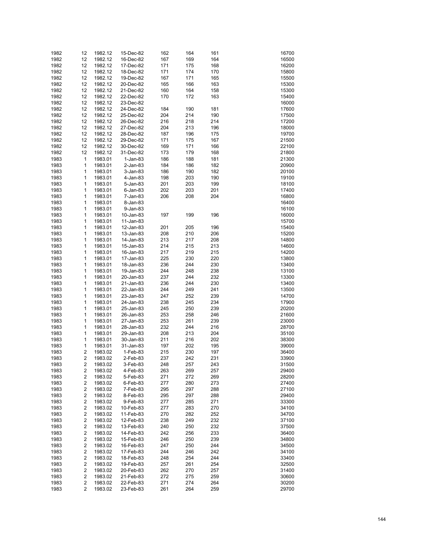| 1982 | 12 | 1982.12 | 15-Dec-82   | 162 | 164 | 161 | 16700 |
|------|----|---------|-------------|-----|-----|-----|-------|
| 1982 | 12 | 1982.12 | 16-Dec-82   | 167 | 169 | 164 | 16500 |
| 1982 | 12 | 1982.12 | 17-Dec-82   | 171 | 175 | 168 | 16200 |
|      |    |         |             |     |     |     |       |
| 1982 | 12 | 1982.12 | 18-Dec-82   | 171 | 174 | 170 | 15800 |
| 1982 | 12 | 1982.12 | 19-Dec-82   | 167 | 171 | 165 | 15500 |
| 1982 | 12 | 1982.12 | 20-Dec-82   | 165 | 166 | 163 | 15300 |
| 1982 | 12 | 1982.12 | 21-Dec-82   | 160 | 164 | 158 | 15300 |
| 1982 | 12 | 1982.12 | 22-Dec-82   | 170 | 172 | 163 | 15400 |
| 1982 | 12 | 1982.12 | 23-Dec-82   |     |     |     | 16000 |
| 1982 | 12 | 1982.12 | 24-Dec-82   | 184 | 190 | 181 | 17600 |
| 1982 | 12 | 1982.12 | 25-Dec-82   | 204 | 214 | 190 | 17500 |
| 1982 | 12 | 1982.12 | 26-Dec-82   | 216 | 218 | 214 | 17200 |
| 1982 | 12 | 1982.12 | 27-Dec-82   | 204 | 213 | 196 | 18000 |
| 1982 | 12 | 1982.12 | 28-Dec-82   | 187 | 196 | 175 | 19700 |
| 1982 | 12 | 1982.12 | 29-Dec-82   | 171 | 175 | 167 | 21500 |
| 1982 | 12 | 1982.12 |             | 169 | 171 | 166 | 22100 |
|      |    |         | 30-Dec-82   |     |     |     |       |
| 1982 | 12 | 1982.12 | 31-Dec-82   | 173 | 179 | 168 | 21800 |
| 1983 | 1  | 1983.01 | 1-Jan-83    | 186 | 188 | 181 | 21300 |
| 1983 | 1  | 1983.01 | 2-Jan-83    | 184 | 186 | 182 | 20900 |
| 1983 | 1  | 1983.01 | $3$ -Jan-83 | 186 | 190 | 182 | 20100 |
| 1983 | 1  | 1983.01 | 4-Jan-83    | 198 | 203 | 190 | 19100 |
| 1983 | 1  | 1983.01 | 5-Jan-83    | 201 | 203 | 199 | 18100 |
| 1983 | 1  | 1983.01 | $6$ -Jan-83 | 202 | 203 | 201 | 17400 |
| 1983 | 1  | 1983.01 | 7-Jan-83    | 206 | 208 | 204 | 16800 |
| 1983 | 1  | 1983.01 | 8-Jan-83    |     |     |     | 16400 |
| 1983 | 1  | 1983.01 | 9-Jan-83    |     |     |     | 16100 |
|      |    |         |             |     |     |     |       |
| 1983 | 1  | 1983.01 | 10-Jan-83   | 197 | 199 | 196 | 16000 |
| 1983 | 1  | 1983.01 | 11-Jan-83   |     |     |     | 15700 |
| 1983 | 1  | 1983.01 | 12-Jan-83   | 201 | 205 | 196 | 15400 |
| 1983 | 1  | 1983.01 | 13-Jan-83   | 208 | 210 | 206 | 15200 |
| 1983 | 1  | 1983.01 | 14-Jan-83   | 213 | 217 | 208 | 14800 |
| 1983 | 1  | 1983.01 | 15-Jan-83   | 214 | 215 | 213 | 14600 |
| 1983 | 1  | 1983.01 | 16-Jan-83   | 217 | 219 | 215 | 14200 |
| 1983 | 1  | 1983.01 | 17-Jan-83   | 225 | 230 | 220 | 13800 |
| 1983 | 1  | 1983.01 | 18-Jan-83   | 236 | 244 | 230 | 13400 |
| 1983 | 1  | 1983.01 | 19-Jan-83   | 244 | 248 | 238 | 13100 |
| 1983 | 1  | 1983.01 | 20-Jan-83   | 237 | 244 | 232 | 13300 |
| 1983 | 1  | 1983.01 | 21-Jan-83   | 236 | 244 | 230 | 13400 |
|      |    |         |             |     |     |     |       |
| 1983 | 1  | 1983.01 | 22-Jan-83   | 244 | 249 | 241 | 13500 |
| 1983 | 1  | 1983.01 | 23-Jan-83   | 247 | 252 | 239 | 14700 |
| 1983 | 1  | 1983.01 | 24-Jan-83   | 238 | 245 | 234 | 17900 |
| 1983 | 1  | 1983.01 | 25-Jan-83   | 245 | 250 | 239 | 20200 |
| 1983 | 1  | 1983.01 | 26-Jan-83   | 253 | 258 | 246 | 21600 |
| 1983 | 1  | 1983.01 | 27-Jan-83   | 253 | 261 | 239 | 23000 |
| 1983 | 1  | 1983.01 | 28-Jan-83   | 232 | 244 | 216 | 28700 |
| 1983 | 1  | 1983.01 | 29-Jan-83   | 208 | 213 | 204 | 35100 |
| 1983 | 1  | 1983.01 | 30-Jan-83   | 211 | 216 | 202 | 38300 |
| 1983 | 1  | 1983.01 | 31-Jan-83   | 197 | 202 | 195 | 39000 |
| 1983 | 2  | 1983.02 | 1-Feb-83    | 215 | 230 | 197 | 36400 |
| 1983 | 2  | 1983.02 | 2-Feb-83    | 237 | 242 | 231 | 33900 |
|      |    |         |             |     |     |     |       |
| 1983 | 2  | 1983.02 | 3-Feb-83    | 248 | 257 | 243 | 31500 |
| 1983 | 2  | 1983.02 | 4-Feb-83    | 263 | 269 | 257 | 29400 |
| 1983 | 2  | 1983.02 | 5-Feb-83    | 271 | 272 | 269 | 28200 |
| 1983 | 2  | 1983.02 | 6-Feb-83    | 277 | 280 | 273 | 27400 |
| 1983 | 2  | 1983.02 | 7-Feb-83    | 295 | 297 | 288 | 27100 |
| 1983 | 2  | 1983.02 | 8-Feb-83    | 295 | 297 | 288 | 29400 |
| 1983 | 2  | 1983.02 | 9-Feb-83    | 277 | 285 | 271 | 33300 |
| 1983 | 2  | 1983.02 | 10-Feb-83   | 277 | 283 | 270 | 34100 |
| 1983 | 2  | 1983.02 | 11-Feb-83   | 270 | 282 | 252 | 34700 |
| 1983 | 2  | 1983.02 | 12-Feb-83   | 238 | 249 | 232 | 37100 |
| 1983 | 2  | 1983.02 | 13-Feb-83   | 240 | 250 | 232 | 37500 |
| 1983 | 2  | 1983.02 | 14-Feb-83   | 242 | 256 | 233 | 36400 |
|      |    |         |             |     |     |     |       |
| 1983 | 2  | 1983.02 | 15-Feb-83   | 246 | 250 | 239 | 34800 |
| 1983 | 2  | 1983.02 | 16-Feb-83   | 247 | 250 | 244 | 34500 |
| 1983 | 2  | 1983.02 | 17-Feb-83   | 244 | 246 | 242 | 34100 |
| 1983 | 2  | 1983.02 | 18-Feb-83   | 248 | 254 | 244 | 33400 |
| 1983 | 2  | 1983.02 | 19-Feb-83   | 257 | 261 | 254 | 32500 |
| 1983 | 2  | 1983.02 | 20-Feb-83   | 262 | 270 | 257 | 31400 |
| 1983 | 2  | 1983.02 | 21-Feb-83   | 272 | 275 | 259 | 30600 |
| 1983 | 2  | 1983.02 | 22-Feb-83   | 271 | 274 | 264 | 30200 |
| 1983 | 2  | 1983.02 | 23-Feb-83   | 261 | 264 | 259 | 29700 |
|      |    |         |             |     |     |     |       |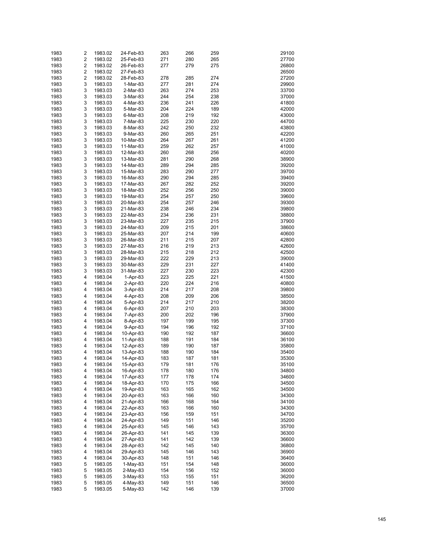| 1983 | 2                       | 1983.02 | 24-Feb-83  | 263 | 266 | 259 | 29100 |
|------|-------------------------|---------|------------|-----|-----|-----|-------|
| 1983 | 2                       | 1983.02 | 25-Feb-83  | 271 | 280 | 265 | 27700 |
|      | $\overline{\mathbf{c}}$ |         |            |     |     |     |       |
| 1983 |                         | 1983.02 | 26-Feb-83  | 277 | 279 | 275 | 26800 |
| 1983 | $\overline{\mathbf{c}}$ | 1983.02 | 27-Feb-83  |     |     |     | 26500 |
| 1983 | $\overline{\mathbf{c}}$ | 1983.02 | 28-Feb-83  | 278 | 285 | 274 | 27200 |
| 1983 | 3                       | 1983.03 | 1-Mar-83   | 277 | 281 | 274 | 29900 |
| 1983 | 3                       | 1983.03 | 2-Mar-83   | 263 | 274 | 253 | 33700 |
| 1983 | 3                       | 1983.03 | 3-Mar-83   | 244 | 254 | 238 | 37000 |
| 1983 | 3                       | 1983.03 | 4-Mar-83   | 236 | 241 | 226 | 41800 |
| 1983 | 3                       | 1983.03 | 5-Mar-83   | 204 | 224 | 189 | 42000 |
| 1983 | 3                       | 1983.03 | 6-Mar-83   | 208 | 219 | 192 | 43000 |
| 1983 | 3                       | 1983.03 | 7-Mar-83   | 225 | 230 | 220 | 44700 |
| 1983 | 3                       | 1983.03 | 8-Mar-83   | 242 | 250 | 232 | 43800 |
| 1983 | 3                       | 1983.03 |            | 260 | 265 | 251 | 42200 |
|      |                         |         | 9-Mar-83   |     |     |     |       |
| 1983 | 3                       | 1983.03 | 10-Mar-83  | 264 | 267 | 261 | 41200 |
| 1983 | 3                       | 1983.03 | 11-Mar-83  | 259 | 262 | 257 | 41000 |
| 1983 | 3                       | 1983.03 | 12-Mar-83  | 260 | 268 | 256 | 40200 |
| 1983 | 3                       | 1983.03 | 13-Mar-83  | 281 | 290 | 268 | 38900 |
| 1983 | 3                       | 1983.03 | 14-Mar-83  | 289 | 294 | 285 | 39200 |
| 1983 | 3                       | 1983.03 | 15-Mar-83  | 283 | 290 | 277 | 39700 |
| 1983 | 3                       | 1983.03 | 16-Mar-83  | 290 | 294 | 285 | 39400 |
| 1983 | 3                       | 1983.03 | 17-Mar-83  | 267 | 282 | 252 | 39200 |
| 1983 | 3                       | 1983.03 | 18-Mar-83  | 252 | 256 | 250 | 39000 |
| 1983 | 3                       | 1983.03 | 19-Mar-83  | 254 | 257 | 250 | 39600 |
| 1983 | 3                       | 1983.03 |            | 254 | 257 | 246 | 39300 |
|      |                         |         | 20-Mar-83  |     |     |     |       |
| 1983 | 3                       | 1983.03 | 21-Mar-83  | 238 | 246 | 234 | 39800 |
| 1983 | 3                       | 1983.03 | 22-Mar-83  | 234 | 236 | 231 | 38800 |
| 1983 | 3                       | 1983.03 | 23-Mar-83  | 227 | 235 | 215 | 37900 |
| 1983 | 3                       | 1983.03 | 24-Mar-83  | 209 | 215 | 201 | 38600 |
| 1983 | 3                       | 1983.03 | 25-Mar-83  | 207 | 214 | 199 | 40600 |
| 1983 | 3                       | 1983.03 | 26-Mar-83  | 211 | 215 | 207 | 42800 |
| 1983 | 3                       | 1983.03 | 27-Mar-83  | 216 | 219 | 213 | 42600 |
| 1983 | 3                       | 1983.03 | 28-Mar-83  | 215 | 218 | 212 | 42500 |
| 1983 | 3                       | 1983.03 | 29-Mar-83  | 222 | 229 | 213 | 39000 |
| 1983 | 3                       | 1983.03 | 30-Mar-83  | 229 | 231 | 227 | 41400 |
| 1983 | 3                       | 1983.03 | 31-Mar-83  | 227 | 230 | 223 | 42300 |
|      |                         |         |            |     |     |     |       |
| 1983 | 4                       | 1983.04 | $1-Apr-83$ | 223 | 225 | 221 | 41500 |
| 1983 | 4                       | 1983.04 | 2-Apr-83   | 220 | 224 | 216 | 40800 |
| 1983 | 4                       | 1983.04 | 3-Apr-83   | 214 | 217 | 208 | 39800 |
| 1983 | 4                       | 1983.04 | 4-Apr-83   | 208 | 209 | 206 | 38500 |
| 1983 | 4                       | 1983.04 | 5-Apr-83   | 214 | 217 | 210 | 38200 |
| 1983 | 4                       | 1983.04 | 6-Apr-83   | 207 | 210 | 203 | 38300 |
| 1983 | 4                       | 1983.04 | 7-Apr-83   | 200 | 202 | 196 | 37900 |
| 1983 | 4                       | 1983.04 | 8-Apr-83   | 197 | 199 | 195 | 37300 |
| 1983 | 4                       | 1983.04 | 9-Apr-83   | 194 | 196 | 192 | 37100 |
| 1983 | 4                       | 1983.04 | 10-Apr-83  | 190 | 192 | 187 | 36600 |
| 1983 | 4                       | 1983.04 | 11-Apr-83  | 188 | 191 | 184 | 36100 |
|      |                         |         |            |     |     |     |       |
| 1983 | 4                       | 1983.04 | 12-Apr-83  | 189 | 190 | 187 | 35800 |
| 1983 | 4                       | 1983.04 | 13-Apr-83  | 188 | 190 | 184 | 35400 |
| 1983 | 4                       | 1983.04 | 14-Apr-83  | 183 | 187 | 181 | 35300 |
| 1983 | 4                       | 1983.04 | 15-Apr-83  | 179 | 181 | 176 | 35100 |
| 1983 | 4                       | 1983.04 | 16-Apr-83  | 178 | 180 | 176 | 34800 |
| 1983 | 4                       | 1983.04 | 17-Apr-83  | 177 | 178 | 174 | 34600 |
| 1983 | 4                       | 1983.04 | 18-Apr-83  | 170 | 175 | 166 | 34500 |
| 1983 | 4                       | 1983.04 | 19-Apr-83  | 163 | 165 | 162 | 34500 |
| 1983 | 4                       | 1983.04 | 20-Apr-83  | 163 | 166 | 160 | 34300 |
| 1983 | 4                       | 1983.04 | 21-Apr-83  | 166 | 168 | 164 | 34100 |
|      |                         |         |            |     |     |     |       |
| 1983 | 4                       | 1983.04 | 22-Apr-83  | 163 | 166 | 160 | 34300 |
| 1983 | 4                       | 1983.04 | 23-Apr-83  | 156 | 159 | 151 | 34700 |
| 1983 | 4                       | 1983.04 | 24-Apr-83  | 149 | 151 | 146 | 35200 |
| 1983 | 4                       | 1983.04 | 25-Apr-83  | 145 | 146 | 143 | 35700 |
| 1983 | 4                       | 1983.04 | 26-Apr-83  | 141 | 145 | 139 | 36300 |
| 1983 | 4                       | 1983.04 | 27-Apr-83  | 141 | 142 | 139 | 36600 |
| 1983 | 4                       | 1983.04 | 28-Apr-83  | 142 | 145 | 140 | 36800 |
| 1983 | 4                       | 1983.04 | 29-Apr-83  | 145 | 146 | 143 | 36900 |
| 1983 | 4                       | 1983.04 | 30-Apr-83  | 148 | 151 | 146 | 36400 |
| 1983 | 5                       | 1983.05 | $1-May-83$ | 151 | 154 | 148 | 36000 |
| 1983 | 5                       | 1983.05 | 2-May-83   | 154 | 156 | 152 | 36000 |
|      | 5                       |         |            |     |     |     |       |
| 1983 |                         | 1983.05 | 3-May-83   | 153 | 155 | 151 | 36200 |
| 1983 | 5                       | 1983.05 | 4-May-83   | 149 | 151 | 146 | 36500 |
| 1983 | 5                       | 1983.05 | 5-May-83   | 142 | 146 | 139 | 37000 |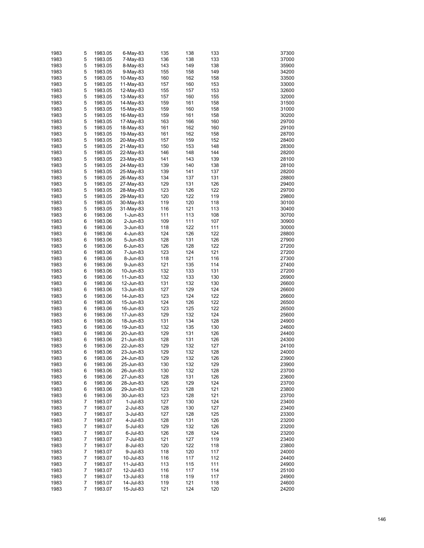| 1983 | 5 | 1983.05 | 6-May-83  | 135 | 138 | 133 | 37300 |
|------|---|---------|-----------|-----|-----|-----|-------|
| 1983 | 5 | 1983.05 | 7-May-83  | 136 | 138 | 133 | 37000 |
|      |   |         |           |     |     |     |       |
| 1983 | 5 | 1983.05 | 8-May-83  | 143 | 149 | 138 | 35900 |
| 1983 | 5 | 1983.05 | 9-May-83  | 155 | 158 | 149 | 34200 |
| 1983 | 5 | 1983.05 | 10-May-83 | 160 | 162 | 158 | 33500 |
| 1983 | 5 | 1983.05 | 11-May-83 | 157 | 160 | 153 | 33000 |
| 1983 | 5 | 1983.05 | 12-May-83 | 155 | 157 | 153 | 32600 |
| 1983 | 5 | 1983.05 | 13-May-83 | 157 | 160 | 155 | 32000 |
| 1983 | 5 | 1983.05 | 14-May-83 | 159 | 161 | 158 | 31500 |
| 1983 | 5 | 1983.05 | 15-May-83 | 159 | 160 | 158 | 31000 |
| 1983 | 5 | 1983.05 | 16-May-83 | 159 | 161 | 158 | 30200 |
| 1983 | 5 | 1983.05 | 17-May-83 | 163 | 166 | 160 | 29700 |
| 1983 | 5 | 1983.05 | 18-May-83 | 161 | 162 | 160 | 29100 |
| 1983 | 5 |         |           |     | 162 |     |       |
|      |   | 1983.05 | 19-May-83 | 161 |     | 158 | 28700 |
| 1983 | 5 | 1983.05 | 20-May-83 | 157 | 159 | 152 | 28400 |
| 1983 | 5 | 1983.05 | 21-May-83 | 150 | 153 | 148 | 28300 |
| 1983 | 5 | 1983.05 | 22-May-83 | 146 | 148 | 144 | 28200 |
| 1983 | 5 | 1983.05 | 23-May-83 | 141 | 143 | 139 | 28100 |
| 1983 | 5 | 1983.05 | 24-May-83 | 139 | 140 | 138 | 28100 |
| 1983 | 5 | 1983.05 | 25-May-83 | 139 | 141 | 137 | 28200 |
| 1983 | 5 | 1983.05 | 26-May-83 | 134 | 137 | 131 | 28800 |
| 1983 | 5 | 1983.05 | 27-May-83 | 129 | 131 | 126 | 29400 |
| 1983 | 5 | 1983.05 | 28-May-83 | 123 | 126 | 122 | 29700 |
| 1983 | 5 | 1983.05 | 29-May-83 | 120 | 122 | 119 | 29800 |
|      | 5 |         |           |     |     |     |       |
| 1983 |   | 1983.05 | 30-May-83 | 119 | 120 | 118 | 30100 |
| 1983 | 5 | 1983.05 | 31-May-83 | 116 | 121 | 113 | 30400 |
| 1983 | 6 | 1983.06 | 1-Jun-83  | 111 | 113 | 108 | 30700 |
| 1983 | 6 | 1983.06 | 2-Jun-83  | 109 | 111 | 107 | 30900 |
| 1983 | 6 | 1983.06 | 3-Jun-83  | 118 | 122 | 111 | 30000 |
| 1983 | 6 | 1983.06 | 4-Jun-83  | 124 | 126 | 122 | 28800 |
| 1983 | 6 | 1983.06 | 5-Jun-83  | 128 | 131 | 126 | 27900 |
| 1983 | 6 | 1983.06 | 6-Jun-83  | 126 | 128 | 122 | 27200 |
| 1983 | 6 | 1983.06 | 7-Jun-83  | 123 | 124 | 121 | 27200 |
| 1983 | 6 | 1983.06 | 8-Jun-83  | 118 | 121 | 116 | 27300 |
| 1983 | 6 | 1983.06 | 9-Jun-83  | 121 | 135 | 114 | 27400 |
| 1983 | 6 |         |           |     | 133 |     |       |
|      |   | 1983.06 | 10-Jun-83 | 132 |     | 131 | 27200 |
| 1983 | 6 | 1983.06 | 11-Jun-83 | 132 | 133 | 130 | 26900 |
| 1983 | 6 | 1983.06 | 12-Jun-83 | 131 | 132 | 130 | 26600 |
| 1983 | 6 | 1983.06 | 13-Jun-83 | 127 | 129 | 124 | 26600 |
| 1983 | 6 | 1983.06 | 14-Jun-83 | 123 | 124 | 122 | 26600 |
| 1983 | 6 | 1983.06 | 15-Jun-83 | 124 | 126 | 122 | 26500 |
| 1983 | 6 | 1983.06 | 16-Jun-83 | 123 | 125 | 122 | 26500 |
| 1983 | 6 | 1983.06 | 17-Jun-83 | 129 | 132 | 124 | 25600 |
| 1983 | 6 | 1983.06 | 18-Jun-83 | 131 | 134 | 128 | 24900 |
| 1983 | 6 | 1983.06 | 19-Jun-83 | 132 | 135 | 130 | 24600 |
| 1983 | 6 | 1983.06 | 20-Jun-83 | 129 | 131 | 126 | 24400 |
|      | 6 |         |           |     |     |     |       |
| 1983 |   | 1983.06 | 21-Jun-83 | 128 | 131 | 126 | 24300 |
| 1983 | 6 | 1983.06 | 22-Jun-83 | 129 | 132 | 127 | 24100 |
| 1983 | 6 | 1983.06 | 23-Jun-83 | 129 | 132 | 128 | 24000 |
| 1983 | 6 | 1983.06 | 24-Jun-83 | 129 | 132 | 126 | 23900 |
| 1983 | 6 | 1983.06 | 25-Jun-83 | 130 | 132 | 129 | 23900 |
| 1983 | 6 | 1983.06 | 26-Jun-83 | 130 | 132 | 128 | 23700 |
| 1983 | 6 | 1983.06 | 27-Jun-83 | 128 | 131 | 126 | 23600 |
| 1983 | 6 | 1983.06 | 28-Jun-83 | 126 | 129 | 124 | 23700 |
| 1983 | 6 | 1983.06 | 29-Jun-83 | 123 | 128 | 121 | 23800 |
| 1983 | 6 | 1983.06 | 30-Jun-83 | 123 | 128 | 121 | 23700 |
| 1983 | 7 | 1983.07 | 1-Jul-83  | 127 | 130 | 124 | 23400 |
|      |   |         |           |     |     |     |       |
| 1983 | 7 | 1983.07 | 2-Jul-83  | 128 | 130 | 127 | 23400 |
| 1983 | 7 | 1983.07 | 3-Jul-83  | 127 | 128 | 125 | 23300 |
| 1983 | 7 | 1983.07 | 4-Jul-83  | 128 | 131 | 126 | 23200 |
| 1983 | 7 | 1983.07 | 5-Jul-83  | 129 | 132 | 126 | 23200 |
| 1983 | 7 | 1983.07 | 6-Jul-83  | 126 | 128 | 124 | 23200 |
| 1983 | 7 | 1983.07 | 7-Jul-83  | 121 | 127 | 119 | 23400 |
| 1983 | 7 | 1983.07 | 8-Jul-83  | 120 | 122 | 118 | 23800 |
| 1983 | 7 | 1983.07 | 9-Jul-83  | 118 | 120 | 117 | 24000 |
| 1983 | 7 | 1983.07 | 10-Jul-83 | 116 | 117 | 112 | 24400 |
| 1983 | 7 | 1983.07 | 11-Jul-83 | 113 | 115 | 111 | 24900 |
| 1983 | 7 | 1983.07 |           | 116 | 117 | 114 | 25100 |
|      |   |         | 12-Jul-83 |     |     |     |       |
| 1983 | 7 | 1983.07 | 13-Jul-83 | 118 | 119 | 117 | 24900 |
| 1983 | 7 | 1983.07 | 14-Jul-83 | 119 | 121 | 118 | 24600 |
| 1983 | 7 | 1983.07 | 15-Jul-83 | 121 | 124 | 120 | 24200 |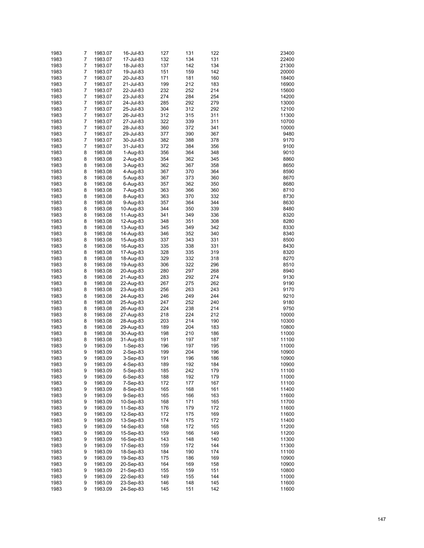| 1983 | 7              | 1983.07 | 16-Jul-83  | 127 | 131 | 122 | 23400 |
|------|----------------|---------|------------|-----|-----|-----|-------|
| 1983 | 7              | 1983.07 | 17-Jul-83  | 132 | 134 | 131 | 22400 |
| 1983 | 7              |         |            | 137 | 142 | 134 | 21300 |
|      |                | 1983.07 | 18-Jul-83  |     |     |     |       |
| 1983 | 7              | 1983.07 | 19-Jul-83  | 151 | 159 | 142 | 20000 |
| 1983 | 7              | 1983.07 | 20-Jul-83  | 171 | 181 | 160 | 18400 |
| 1983 | 7              | 1983.07 | 21-Jul-83  | 199 | 212 | 183 | 16900 |
| 1983 | $\overline{7}$ | 1983.07 | 22-Jul-83  | 232 | 252 | 214 | 15600 |
| 1983 | 7              | 1983.07 | 23-Jul-83  | 274 | 284 | 254 | 14200 |
| 1983 | $\overline{7}$ | 1983.07 | 24-Jul-83  | 285 | 292 | 279 | 13000 |
| 1983 | 7              | 1983.07 | 25-Jul-83  | 304 | 312 | 292 | 12100 |
| 1983 | $\overline{7}$ | 1983.07 | 26-Jul-83  | 312 | 315 | 311 | 11300 |
| 1983 | 7              | 1983.07 | 27-Jul-83  | 322 | 339 | 311 | 10700 |
| 1983 | $\overline{7}$ | 1983.07 | 28-Jul-83  | 360 | 372 | 341 | 10000 |
| 1983 | $\overline{7}$ | 1983.07 | 29-Jul-83  | 377 | 390 | 367 | 9480  |
| 1983 | $\overline{7}$ | 1983.07 | 30-Jul-83  | 382 | 388 | 378 | 9170  |
| 1983 | 7              | 1983.07 | 31-Jul-83  | 372 | 384 | 356 | 9100  |
|      |                |         |            |     |     |     |       |
| 1983 | 8              | 1983.08 | 1-Aug-83   | 356 | 364 | 348 | 9010  |
| 1983 | 8              | 1983.08 | 2-Aug-83   | 354 | 362 | 345 | 8860  |
| 1983 | 8              | 1983.08 | 3-Aug-83   | 362 | 367 | 358 | 8650  |
| 1983 | 8              | 1983.08 | 4-Aug-83   | 367 | 370 | 364 | 8590  |
| 1983 | 8              | 1983.08 | 5-Aug-83   | 367 | 373 | 360 | 8670  |
| 1983 | 8              | 1983.08 | 6-Aug-83   | 357 | 362 | 350 | 8680  |
| 1983 | 8              | 1983.08 | 7-Aug-83   | 363 | 366 | 360 | 8710  |
| 1983 | 8              | 1983.08 | 8-Aug-83   | 363 | 370 | 332 | 8730  |
| 1983 | 8              | 1983.08 | 9-Aug-83   | 357 | 364 | 344 | 8630  |
| 1983 | 8              | 1983.08 | 10-Aug-83  | 344 | 350 | 339 | 8480  |
| 1983 | 8              | 1983.08 | 11-Aug-83  | 341 | 349 | 336 | 8320  |
| 1983 | 8              | 1983.08 | 12-Aug-83  | 348 | 351 | 308 | 8280  |
| 1983 | 8              |         | 13-Aug-83  | 345 | 349 | 342 | 8330  |
|      |                | 1983.08 |            |     |     |     |       |
| 1983 | 8              | 1983.08 | 14-Aug-83  | 346 | 352 | 340 | 8340  |
| 1983 | 8              | 1983.08 | 15-Aug-83  | 337 | 343 | 331 | 8500  |
| 1983 | 8              | 1983.08 | 16-Aug-83  | 335 | 338 | 331 | 8430  |
| 1983 | 8              | 1983.08 | 17-Aug-83  | 328 | 335 | 319 | 8320  |
| 1983 | 8              | 1983.08 | 18-Aug-83  | 329 | 332 | 318 | 8270  |
| 1983 | 8              | 1983.08 | 19-Aug-83  | 306 | 322 | 296 | 8510  |
| 1983 | 8              | 1983.08 | 20-Aug-83  | 280 | 297 | 268 | 8940  |
| 1983 | 8              | 1983.08 | 21-Aug-83  | 283 | 292 | 274 | 9130  |
| 1983 | 8              | 1983.08 | 22-Aug-83  | 267 | 275 | 262 | 9190  |
| 1983 | 8              | 1983.08 | 23-Aug-83  | 256 | 263 | 243 | 9170  |
| 1983 | 8              | 1983.08 | 24-Aug-83  | 246 | 249 | 244 | 9210  |
| 1983 | 8              | 1983.08 | 25-Aug-83  | 247 | 252 | 240 | 9180  |
|      |                |         |            | 224 | 238 |     |       |
| 1983 | 8              | 1983.08 | 26-Aug-83  |     |     | 214 | 9750  |
| 1983 | 8              | 1983.08 | 27-Aug-83  | 218 | 224 | 212 | 10000 |
| 1983 | 8              | 1983.08 | 28-Aug-83  | 203 | 214 | 190 | 10300 |
| 1983 | 8              | 1983.08 | 29-Aug-83  | 189 | 204 | 183 | 10800 |
| 1983 | 8              | 1983.08 | 30-Aug-83  | 198 | 210 | 186 | 11000 |
| 1983 | 8              | 1983.08 | 31-Aug-83  | 191 | 197 | 187 | 11100 |
| 1983 | 9              | 1983.09 | $1-Sep-83$ | 196 | 197 | 195 | 11000 |
| 1983 | 9              | 1983.09 | $2-Sep-83$ | 199 | 204 | 196 | 10900 |
| 1983 | 9              | 1983.09 | 3-Sep-83   | 191 | 196 | 186 | 10900 |
| 1983 | 9              | 1983.09 | 4-Sep-83   | 189 | 192 | 184 | 10900 |
| 1983 | 9              | 1983.09 | 5-Sep-83   | 185 | 242 | 179 | 11100 |
| 1983 | 9              | 1983.09 | 6-Sep-83   | 188 | 192 | 179 | 11000 |
| 1983 | 9              | 1983.09 | 7-Sep-83   | 172 | 177 | 167 | 11100 |
| 1983 | 9              | 1983.09 | 8-Sep-83   | 165 | 168 | 161 | 11400 |
|      |                |         |            |     |     |     |       |
| 1983 | 9              | 1983.09 | 9-Sep-83   | 165 | 166 | 163 | 11600 |
| 1983 | 9              | 1983.09 | 10-Sep-83  | 168 | 171 | 165 | 11700 |
| 1983 | 9              | 1983.09 | 11-Sep-83  | 176 | 179 | 172 | 11600 |
| 1983 | 9              | 1983.09 | 12-Sep-83  | 172 | 175 | 169 | 11600 |
| 1983 | 9              | 1983.09 | 13-Sep-83  | 174 | 175 | 172 | 11400 |
| 1983 | 9              | 1983.09 | 14-Sep-83  | 168 | 172 | 165 | 11200 |
| 1983 | 9              | 1983.09 | 15-Sep-83  | 159 | 166 | 149 | 11200 |
| 1983 | 9              | 1983.09 | 16-Sep-83  | 143 | 148 | 140 | 11300 |
| 1983 | 9              | 1983.09 | 17-Sep-83  | 159 | 172 | 144 | 11300 |
| 1983 | 9              | 1983.09 | 18-Sep-83  | 184 | 190 | 174 | 11100 |
| 1983 | 9              | 1983.09 | 19-Sep-83  | 175 | 186 | 169 | 10900 |
| 1983 | 9              | 1983.09 | 20-Sep-83  | 164 | 169 | 158 | 10900 |
| 1983 | 9              | 1983.09 | 21-Sep-83  | 155 | 159 | 151 | 10800 |
| 1983 | 9              | 1983.09 | 22-Sep-83  | 149 | 155 | 144 | 11000 |
| 1983 | 9              | 1983.09 |            |     | 148 | 145 | 11600 |
|      |                |         | 23-Sep-83  | 146 |     |     |       |
| 1983 | 9              | 1983.09 | 24-Sep-83  | 145 | 151 | 142 | 11600 |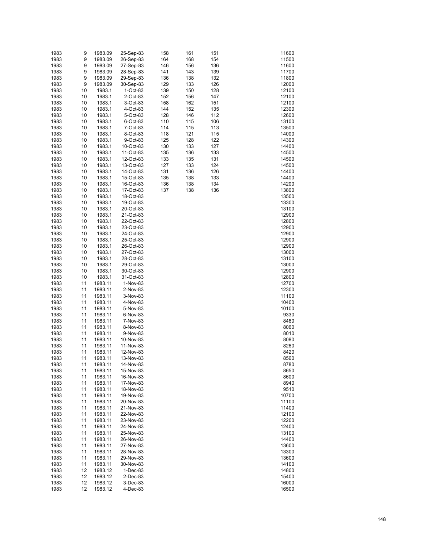| 1983         | 9        | 1983.09            | 25-Sep-83              | 158        | 161        | 151        | 11600          |
|--------------|----------|--------------------|------------------------|------------|------------|------------|----------------|
| 1983         | 9        | 1983.09            | 26-Sep-83              | 164        | 168        | 154        | 11500          |
| 1983         | 9        | 1983.09            | 27-Sep-83              | 146        | 156        | 136        | 11600          |
| 1983         | 9        | 1983.09            | 28-Sep-83              | 141        | 143        | 139        | 11700          |
| 1983         | 9        | 1983.09            | 29-Sep-83              | 136        | 138        | 132        | 11800          |
| 1983         | 9        | 1983.09            | 30-Sep-83              | 129        | 133        | 126        | 12000          |
| 1983         | 10       | 1983.1             | $1$ -Oct-83            | 139        | 150        | 128        | 12100          |
| 1983         | 10       | 1983.1             | 2-Oct-83               | 152        | 156        | 147        | 12100          |
| 1983         | 10       | 1983.1             | 3-Oct-83               | 158        | 162        | 151        | 12100          |
| 1983         | 10       | 1983.1             | 4-Oct-83               | 144        | 152        | 135        | 12300          |
| 1983<br>1983 | 10<br>10 | 1983.1<br>1983.1   | 5-Oct-83               | 128<br>110 | 146<br>115 | 112<br>106 | 12600<br>13100 |
| 1983         | 10       | 1983.1             | 6-Oct-83<br>7-Oct-83   | 114        | 115        | 113        | 13500          |
| 1983         | 10       | 1983.1             | 8-Oct-83               | 118        | 121        | 115        | 14000          |
| 1983         | 10       | 1983.1             | 9-Oct-83               | 125        | 128        | 122        | 14300          |
| 1983         | 10       | 1983.1             | 10-Oct-83              | 130        | 133        | 127        | 14400          |
| 1983         | 10       | 1983.1             | 11-Oct-83              | 135        | 136        | 133        | 14500          |
| 1983         | 10       | 1983.1             | 12-Oct-83              | 133        | 135        | 131        | 14500          |
| 1983         | 10       | 1983.1             | 13-Oct-83              | 127        | 133        | 124        | 14500          |
| 1983         | 10       | 1983.1             | 14-Oct-83              | 131        | 136        | 126        | 14400          |
| 1983         | 10       | 1983.1             | 15-Oct-83              | 135        | 138        | 133        | 14400          |
| 1983         | 10       | 1983.1             | 16-Oct-83              | 136        | 138        | 134        | 14200          |
| 1983         | 10       | 1983.1             | 17-Oct-83              | 137        | 138        | 136        | 13800          |
| 1983         | 10       | 1983.1             | 18-Oct-83              |            |            |            | 13500          |
| 1983         | 10       | 1983.1             | 19-Oct-83              |            |            |            | 13300          |
| 1983         | 10       | 1983.1             | 20-Oct-83              |            |            |            | 13100          |
| 1983         | 10       | 1983.1             | 21-Oct-83              |            |            |            | 12900          |
| 1983         | 10       | 1983.1             | 22-Oct-83              |            |            |            | 12800          |
| 1983         | 10       | 1983.1             | 23-Oct-83              |            |            |            | 12900          |
| 1983         | 10       | 1983.1             | 24-Oct-83              |            |            |            | 12900          |
| 1983         | 10       | 1983.1             | 25-Oct-83              |            |            |            | 12900          |
| 1983<br>1983 | 10<br>10 | 1983.1<br>1983.1   | 26-Oct-83              |            |            |            | 12900<br>13000 |
| 1983         | 10       | 1983.1             | 27-Oct-83<br>28-Oct-83 |            |            |            | 13100          |
| 1983         | 10       | 1983.1             | 29-Oct-83              |            |            |            | 13000          |
| 1983         | 10       | 1983.1             | 30-Oct-83              |            |            |            | 12900          |
| 1983         | 10       | 1983.1             | 31-Oct-83              |            |            |            | 12800          |
| 1983         | 11       | 1983.11            | 1-Nov-83               |            |            |            | 12700          |
| 1983         | 11       | 1983.11            | 2-Nov-83               |            |            |            | 12300          |
| 1983         | 11       | 1983.11            | 3-Nov-83               |            |            |            | 11100          |
| 1983         | 11       | 1983.11            | 4-Nov-83               |            |            |            | 10400          |
| 1983         | 11       | 1983.11            | 5-Nov-83               |            |            |            | 10100          |
| 1983         | 11       | 1983.11            | 6-Nov-83               |            |            |            | 9330           |
| 1983         | 11       | 1983.11            | 7-Nov-83               |            |            |            | 8460           |
| 1983         | 11       | 1983.11            | 8-Nov-83               |            |            |            | 8060           |
| 1983         | 11       | 1983.11            | 9-Nov-83               |            |            |            | 8010           |
| 1983         | 11       | 1983.11            | 10-Nov-83              |            |            |            | 8080           |
| 1983         | 11       | 1983.11            | 11-Nov-83              |            |            |            | 8260           |
| 1983         | 11       | 1983.11            | 12-Nov-83              |            |            |            | 8420           |
| 1983         | 11       | 1983.11            | 13-Nov-83              |            |            |            | 8560           |
| 1983         | 11       | 1983.11            | 14-Nov-83              |            |            |            | 8780           |
| 1983<br>1983 | 11<br>11 | 1983.11<br>1983.11 | 15-Nov-83<br>16-Nov-83 |            |            |            | 8650<br>8600   |
| 1983         | 11       | 1983.11            | 17-Nov-83              |            |            |            | 8940           |
| 1983         | 11       | 1983.11            | 18-Nov-83              |            |            |            | 9510           |
| 1983         | 11       | 1983.11            | 19-Nov-83              |            |            |            | 10700          |
| 1983         | 11       | 1983.11            | 20-Nov-83              |            |            |            | 11100          |
| 1983         | 11       | 1983.11            | 21-Nov-83              |            |            |            | 11400          |
| 1983         | 11       | 1983.11            | 22-Nov-83              |            |            |            | 12100          |
| 1983         | 11       | 1983.11            | 23-Nov-83              |            |            |            | 12200          |
| 1983         | 11       | 1983.11            | 24-Nov-83              |            |            |            | 12400          |
| 1983         | 11       | 1983.11            | 25-Nov-83              |            |            |            | 13100          |
| 1983         | 11       | 1983.11            | 26-Nov-83              |            |            |            | 14400          |
| 1983         | 11       | 1983.11            | 27-Nov-83              |            |            |            | 13600          |
| 1983         | 11       | 1983.11            | 28-Nov-83              |            |            |            | 13300          |
| 1983         | 11       | 1983.11            | 29-Nov-83              |            |            |            | 13600          |
| 1983         | 11       | 1983.11            | 30-Nov-83              |            |            |            | 14100          |
| 1983         | 12       | 1983.12            | 1-Dec-83               |            |            |            | 14800          |
| 1983         | 12       | 1983.12            | 2-Dec-83               |            |            |            | 15400          |
| 1983         | 12       | 1983.12            | 3-Dec-83               |            |            |            | 16000          |
| 1983         | 12       | 1983.12            | 4-Dec-83               |            |            |            | 16500          |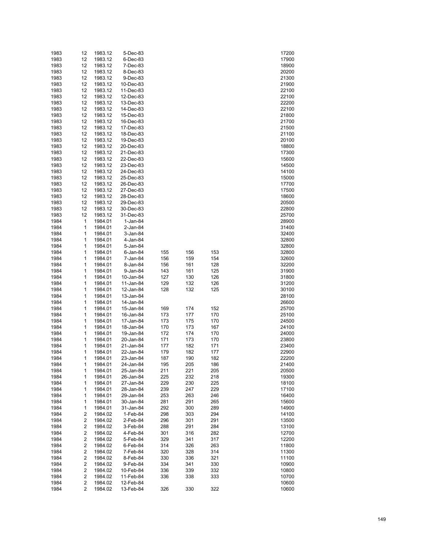| 1983         | 12                                        | 1983.12            | 5-Dec-83               |            |            |            | 17200          |
|--------------|-------------------------------------------|--------------------|------------------------|------------|------------|------------|----------------|
| 1983         | 12                                        | 1983.12            | 6-Dec-83               |            |            |            | 17900          |
| 1983         | 12                                        | 1983.12            | 7-Dec-83               |            |            |            | 18900          |
| 1983         | 12                                        | 1983.12            | 8-Dec-83               |            |            |            | 20200          |
| 1983         | 12                                        | 1983.12            | 9-Dec-83               |            |            |            | 21300          |
| 1983         | 12                                        | 1983.12            | 10-Dec-83              |            |            |            | 21900          |
| 1983         | 12                                        | 1983.12            | 11-Dec-83              |            |            |            | 22100          |
| 1983         | 12                                        | 1983.12            | 12-Dec-83              |            |            |            | 22100          |
| 1983         | 12                                        | 1983.12            | 13-Dec-83              |            |            |            | 22200          |
| 1983         | 12                                        | 1983.12            | 14-Dec-83              |            |            |            | 22100          |
| 1983         | 12                                        | 1983.12            | 15-Dec-83              |            |            |            | 21800          |
| 1983         | 12                                        | 1983.12            | 16-Dec-83              |            |            |            | 21700          |
| 1983<br>1983 | 12<br>12                                  | 1983.12<br>1983.12 | 17-Dec-83              |            |            |            | 21500<br>21100 |
| 1983         | 12                                        | 1983.12            | 18-Dec-83<br>19-Dec-83 |            |            |            | 20100          |
| 1983         | 12                                        | 1983.12            | 20-Dec-83              |            |            |            | 18800          |
| 1983         | 12                                        | 1983.12            | 21-Dec-83              |            |            |            | 17300          |
| 1983         | 12                                        | 1983.12            | 22-Dec-83              |            |            |            | 15600          |
| 1983         | 12                                        | 1983.12            | 23-Dec-83              |            |            |            | 14500          |
| 1983         | 12                                        | 1983.12            | 24-Dec-83              |            |            |            | 14100          |
| 1983         | 12                                        | 1983.12            | 25-Dec-83              |            |            |            | 15000          |
| 1983         | 12                                        | 1983.12            | 26-Dec-83              |            |            |            | 17700          |
| 1983         | 12                                        | 1983.12            | 27-Dec-83              |            |            |            | 17500          |
| 1983         | 12                                        | 1983.12            | 28-Dec-83              |            |            |            | 18600          |
| 1983         | 12                                        | 1983.12            | 29-Dec-83              |            |            |            | 20500          |
| 1983         | 12                                        | 1983.12            | 30-Dec-83              |            |            |            | 22800          |
| 1983         | 12                                        | 1983.12            | 31-Dec-83              |            |            |            | 25700          |
| 1984         | 1                                         | 1984.01            | $1-Jan-84$             |            |            |            | 28900          |
| 1984         | 1                                         | 1984.01            | 2-Jan-84               |            |            |            | 31400          |
| 1984         | 1                                         | 1984.01            | 3-Jan-84               |            |            |            | 32400          |
| 1984         | 1                                         | 1984.01            | 4-Jan-84               |            |            |            | 32800          |
| 1984         | 1                                         | 1984.01            | 5-Jan-84               |            |            |            | 32800          |
| 1984         | 1                                         | 1984.01            | 6-Jan-84               | 155        | 156        | 153        | 32800          |
| 1984         | 1                                         | 1984.01            | 7-Jan-84               | 156        | 159        | 154        | 32600          |
| 1984         | 1                                         | 1984.01            | 8-Jan-84               | 156        | 161        | 128        | 32200          |
| 1984         | 1                                         | 1984.01            | 9-Jan-84               | 143        | 161        | 125        | 31900          |
| 1984         | 1                                         | 1984.01            | 10-Jan-84              | 127        | 130        | 126        | 31800          |
| 1984         | 1                                         | 1984.01            | 11-Jan-84              | 129        | 132        | 126        | 31200          |
| 1984         | 1                                         | 1984.01            | 12-Jan-84              | 128        | 132        | 125        | 30100          |
| 1984         | 1                                         | 1984.01            | 13-Jan-84              |            |            |            | 28100          |
| 1984<br>1984 | 1<br>1                                    | 1984.01<br>1984.01 | 14-Jan-84<br>15-Jan-84 |            | 174        | 152        | 26600<br>25700 |
| 1984         | 1                                         | 1984.01            | 16-Jan-84              | 169<br>173 | 177        | 170        | 25100          |
| 1984         | 1                                         | 1984.01            | 17-Jan-84              | 173        | 175        | 170        | 24500          |
| 1984         | 1                                         | 1984.01            | 18-Jan-84              | 170        | 173        | 167        | 24100          |
| 1984         | 1                                         | 1984.01            | 19-Jan-84              | 172        | 174        | 170        | 24000          |
| 1984         | 1                                         | 1984.01            | 20-Jan-84              | 171        | 173        | 170        | 23800          |
| 1984         | 1                                         | 1984.01            | 21-Jan-84              | 177        | 182        | 171        | 23400          |
| 1984         | 1                                         | 1984.01            | 22-Jan-84              | 179        | 182        | 177        | 22900          |
| 1984         | 1                                         | 1984.01            | 23-Jan-84              | 187        | 190        | 182        | 22200          |
| 1984         | 1                                         | 1984.01            | 24-Jan-84              | 195        | 205        | 186        | 21400          |
| 1984         | 1                                         | 1984.01            | 25-Jan-84              | 211        | 221        | 205        | 20500          |
| 1984         | 1                                         | 1984.01            | 26-Jan-84              | 225        | 232        | 218        | 19300          |
| 1984         | 1                                         | 1984.01            | 27-Jan-84              | 229        | 230        | 225        | 18100          |
| 1984         | 1                                         | 1984.01            | 28-Jan-84              | 239        | 247        | 229        | 17100          |
| 1984         | 1                                         | 1984.01            | 29-Jan-84              | 253        | 263        | 246        | 16400          |
| 1984         | 1                                         | 1984.01            | 30-Jan-84              | 281        | 291        | 265        | 15600          |
| 1984         | 1                                         | 1984.01            | 31-Jan-84              | 292        | 300        | 289        | 14900          |
| 1984         | $\overline{\mathbf{c}}$                   | 1984.02            | 1-Feb-84               | 298        | 303        | 294        | 14100          |
| 1984         | $\overline{\mathbf{c}}$                   | 1984.02            | 2-Feb-84               | 296        | 301        | 291        | 13500          |
| 1984         | $\overline{c}$                            | 1984.02            | 3-Feb-84               | 288        | 291        | 284        | 13100          |
| 1984         | $\overline{\mathbf{c}}$                   | 1984.02            | 4-Feb-84               | 301        | 316        | 282        | 12700          |
| 1984         | $\overline{c}$                            | 1984.02            | 5-Feb-84               | 329        | 341        | 317        | 12200          |
| 1984         | $\overline{\mathbf{c}}$                   | 1984.02            | 6-Feb-84               | 314        | 326        | 263        | 11800          |
| 1984         | $\overline{c}$                            | 1984.02            | 7-Feb-84               | 320        | 328        | 314        | 11300          |
| 1984         | $\overline{\mathbf{c}}$<br>$\overline{c}$ | 1984.02            | 8-Feb-84               | 330        | 336        | 321        | 11100          |
| 1984<br>1984 | $\overline{c}$                            | 1984.02<br>1984.02 | 9-Feb-84<br>10-Feb-84  | 334<br>336 | 341<br>339 | 330<br>332 | 10900<br>10800 |
| 1984         | $\overline{c}$                            | 1984.02            | 11-Feb-84              | 336        | 338        | 333        | 10700          |
| 1984         | $\overline{\mathbf{c}}$                   | 1984.02            | 12-Feb-84              |            |            |            | 10600          |
| 1984         | 2                                         | 1984.02            | 13-Feb-84              | 326        | 330        | 322        | 10600          |
|              |                                           |                    |                        |            |            |            |                |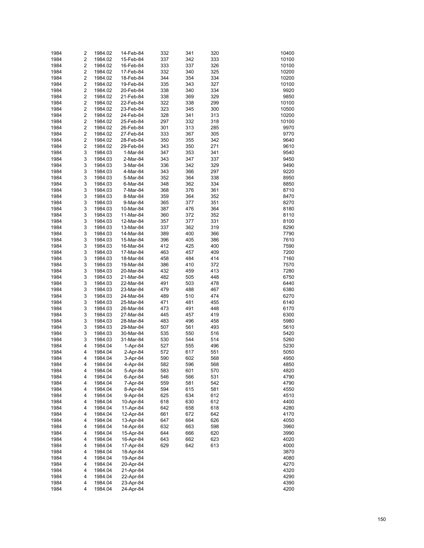| 1984 | 2                       | 1984.02 | 14-Feb-84 | 332 | 341 | 320 | 10400 |
|------|-------------------------|---------|-----------|-----|-----|-----|-------|
| 1984 | $\overline{\mathbf{c}}$ | 1984.02 | 15-Feb-84 | 337 | 342 | 333 | 10100 |
|      |                         |         |           |     |     |     |       |
| 1984 | $\overline{2}$          | 1984.02 | 16-Feb-84 | 333 | 337 | 326 | 10100 |
| 1984 | $\overline{\mathbf{c}}$ | 1984.02 | 17-Feb-84 | 332 | 340 | 325 | 10200 |
| 1984 | $\overline{\mathbf{c}}$ | 1984.02 | 18-Feb-84 | 344 | 354 | 334 | 10200 |
| 1984 | $\overline{\mathbf{c}}$ | 1984.02 | 19-Feb-84 | 335 | 343 | 327 | 10100 |
| 1984 | $\overline{\mathbf{c}}$ | 1984.02 | 20-Feb-84 | 338 | 340 | 334 | 9920  |
| 1984 | $\overline{\mathbf{c}}$ | 1984.02 | 21-Feb-84 | 338 | 369 | 329 | 9850  |
| 1984 | $\overline{\mathbf{c}}$ | 1984.02 | 22-Feb-84 | 322 | 338 | 299 | 10100 |
| 1984 | $\overline{\mathbf{c}}$ | 1984.02 | 23-Feb-84 | 323 | 345 | 300 | 10500 |
| 1984 | $\overline{\mathbf{c}}$ | 1984.02 | 24-Feb-84 | 328 | 341 | 313 | 10200 |
| 1984 | $\overline{\mathbf{c}}$ | 1984.02 | 25-Feb-84 | 297 | 332 | 318 | 10100 |
| 1984 | $\overline{\mathbf{c}}$ | 1984.02 | 26-Feb-84 | 301 | 313 | 285 | 9970  |
| 1984 |                         |         |           |     |     |     | 9770  |
|      | $\overline{\mathbf{c}}$ | 1984.02 | 27-Feb-84 | 333 | 367 | 305 |       |
| 1984 | $\overline{\mathbf{c}}$ | 1984.02 | 28-Feb-84 | 350 | 355 | 342 | 9640  |
| 1984 | $\overline{\mathbf{c}}$ | 1984.02 | 29-Feb-84 | 343 | 350 | 271 | 9610  |
| 1984 | 3                       | 1984.03 | 1-Mar-84  | 347 | 353 | 341 | 9540  |
| 1984 | 3                       | 1984.03 | 2-Mar-84  | 343 | 347 | 337 | 9450  |
| 1984 | 3                       | 1984.03 | 3-Mar-84  | 336 | 342 | 329 | 9490  |
| 1984 | 3                       | 1984.03 | 4-Mar-84  | 343 | 366 | 297 | 9220  |
| 1984 | 3                       | 1984.03 | 5-Mar-84  | 352 | 364 | 338 | 8950  |
| 1984 | 3                       | 1984.03 | 6-Mar-84  | 348 | 362 | 334 | 8850  |
| 1984 | 3                       | 1984.03 | 7-Mar-84  | 368 | 376 | 361 | 8710  |
| 1984 | 3                       |         |           |     |     |     |       |
|      |                         | 1984.03 | 8-Mar-84  | 359 | 364 | 352 | 8470  |
| 1984 | 3                       | 1984.03 | 9-Mar-84  | 365 | 377 | 351 | 8270  |
| 1984 | 3                       | 1984.03 | 10-Mar-84 | 387 | 476 | 364 | 8180  |
| 1984 | 3                       | 1984.03 | 11-Mar-84 | 360 | 372 | 352 | 8110  |
| 1984 | 3                       | 1984.03 | 12-Mar-84 | 357 | 377 | 331 | 8100  |
| 1984 | 3                       | 1984.03 | 13-Mar-84 | 337 | 362 | 319 | 8290  |
| 1984 | 3                       | 1984.03 | 14-Mar-84 | 389 | 400 | 366 | 7790  |
| 1984 | 3                       | 1984.03 | 15-Mar-84 | 396 | 405 | 386 | 7610  |
| 1984 | 3                       | 1984.03 | 16-Mar-84 | 412 | 425 | 400 | 7590  |
| 1984 | 3                       | 1984.03 | 17-Mar-84 | 463 | 457 | 409 | 7200  |
| 1984 | 3                       | 1984.03 | 18-Mar-84 | 458 | 484 | 414 | 7160  |
| 1984 | 3                       |         |           |     |     |     |       |
|      |                         | 1984.03 | 19-Mar-84 | 386 | 410 | 372 | 7570  |
| 1984 | 3                       | 1984.03 | 20-Mar-84 | 432 | 459 | 413 | 7280  |
| 1984 | 3                       | 1984.03 | 21-Mar-84 | 482 | 505 | 448 | 6750  |
| 1984 | 3                       | 1984.03 | 22-Mar-84 | 491 | 503 | 478 | 6440  |
| 1984 | 3                       | 1984.03 | 23-Mar-84 | 479 | 488 | 467 | 6380  |
| 1984 | 3                       | 1984.03 | 24-Mar-84 | 489 | 510 | 474 | 6270  |
| 1984 | 3                       | 1984.03 | 25-Mar-84 | 471 | 481 | 455 | 6140  |
| 1984 | 3                       | 1984.03 | 26-Mar-84 | 473 | 491 | 448 | 6170  |
| 1984 | 3                       | 1984.03 | 27-Mar-84 | 445 | 457 | 419 | 6300  |
| 1984 | 3                       | 1984.03 | 28-Mar-84 | 483 | 496 | 458 | 5980  |
| 1984 | 3                       | 1984.03 | 29-Mar-84 | 507 | 561 | 493 | 5610  |
| 1984 | 3                       |         |           |     |     |     |       |
|      |                         | 1984.03 | 30-Mar-84 | 535 | 550 | 516 | 5420  |
| 1984 | 3                       | 1984.03 | 31-Mar-84 | 530 | 544 | 514 | 5260  |
| 1984 | 4                       | 1984.04 | 1-Apr-84  | 527 | 555 | 496 | 5230  |
| 1984 | 4                       | 1984.04 | 2-Apr-84  | 572 | 617 | 551 | 5050  |
| 1984 | 4                       | 1984.04 | 3-Apr-84  | 590 | 602 | 568 | 4950  |
| 1984 | 4                       | 1984.04 | 4-Apr-84  | 582 | 596 | 568 | 4850  |
| 1984 | 4                       | 1984.04 | 5-Apr-84  | 583 | 601 | 570 | 4820  |
| 1984 | 4                       | 1984.04 | 6-Apr-84  | 546 | 566 | 531 | 4790  |
| 1984 | 4                       | 1984.04 | 7-Apr-84  | 559 | 581 | 542 | 4790  |
| 1984 | 4                       | 1984.04 | 8-Apr-84  | 594 | 615 | 581 | 4550  |
|      |                         |         |           |     |     |     |       |
| 1984 | 4                       | 1984.04 | 9-Apr-84  | 625 | 634 | 612 | 4510  |
| 1984 | 4                       | 1984.04 | 10-Apr-84 | 618 | 630 | 612 | 4400  |
| 1984 | 4                       | 1984.04 | 11-Apr-84 | 642 | 658 | 618 | 4280  |
| 1984 | 4                       | 1984.04 | 12-Apr-84 | 661 | 672 | 642 | 4170  |
| 1984 | 4                       | 1984.04 | 13-Apr-84 | 647 | 664 | 626 | 4050  |
| 1984 | 4                       | 1984.04 | 14-Apr-84 | 632 | 663 | 598 | 3960  |
| 1984 | 4                       | 1984.04 | 15-Apr-84 | 644 | 666 | 620 | 3990  |
| 1984 | 4                       | 1984.04 | 16-Apr-84 | 643 | 662 | 623 | 4020  |
| 1984 | 4                       | 1984.04 | 17-Apr-84 | 629 | 642 | 613 | 4000  |
| 1984 | 4                       | 1984.04 | 18-Apr-84 |     |     |     | 3870  |
|      |                         |         |           |     |     |     |       |
| 1984 | 4                       | 1984.04 | 19-Apr-84 |     |     |     | 4080  |
| 1984 | 4                       | 1984.04 | 20-Apr-84 |     |     |     | 4270  |
| 1984 | 4                       | 1984.04 | 21-Apr-84 |     |     |     | 4320  |
| 1984 | 4                       | 1984.04 | 22-Apr-84 |     |     |     | 4290  |
| 1984 | 4                       | 1984.04 | 23-Apr-84 |     |     |     | 4390  |
| 1984 | 4                       | 1984.04 | 24-Apr-84 |     |     |     | 4200  |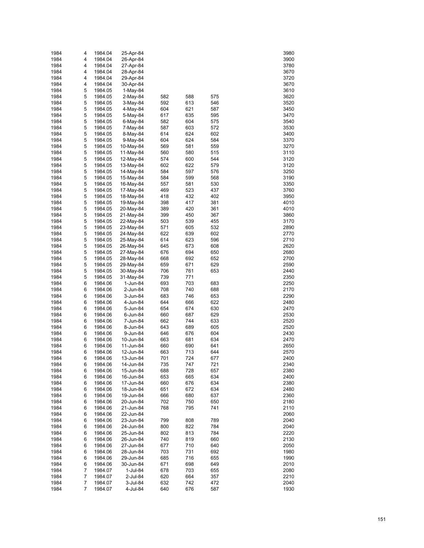| 1984         | 4              | 1984.04            | 25-Apr-84              |            |            |            | 3980         |
|--------------|----------------|--------------------|------------------------|------------|------------|------------|--------------|
| 1984         | 4              | 1984.04            | 26-Apr-84              |            |            |            | 3900         |
| 1984         | 4              | 1984.04            | 27-Apr-84              |            |            |            | 3780         |
| 1984         | 4              | 1984.04            | 28-Apr-84              |            |            |            | 3670         |
| 1984         | 4              | 1984.04            | 29-Apr-84              |            |            |            | 3720         |
| 1984         | 4<br>5         | 1984.04            | 30-Apr-84              |            |            |            | 3670         |
| 1984<br>1984 | 5              | 1984.05<br>1984.05 | $1-May-84$<br>2-May-84 | 582        | 588        | 575        | 3610<br>3620 |
| 1984         | 5              | 1984.05            | 3-May-84               | 592        | 613        | 546        | 3520         |
| 1984         | 5              | 1984.05            | 4-May-84               | 604        | 621        | 587        | 3450         |
| 1984         | 5              | 1984.05            | 5-May-84               | 617        | 635        | 595        | 3470         |
| 1984         | 5              | 1984.05            | 6-May-84               | 582        | 604        | 575        | 3540         |
| 1984         | 5              | 1984.05            | 7-May-84               | 587        | 603        | 572        | 3530         |
| 1984         | 5              | 1984.05            | 8-May-84               | 614        | 624        | 602        | 3400         |
| 1984         | 5              | 1984.05            | 9-May-84               | 604        | 624        | 584        | 3370         |
| 1984         | 5              | 1984.05            | 10-May-84              | 569        | 581        | 559        | 3270         |
| 1984         | 5              | 1984.05            | 11-May-84              | 560        | 580        | 515        | 3110         |
| 1984         | 5              | 1984.05            | 12-May-84              | 574        | 600        | 544        | 3120         |
| 1984<br>1984 | 5<br>5         | 1984.05<br>1984.05 | 13-May-84              | 602<br>584 | 622<br>597 | 579<br>576 | 3120<br>3250 |
| 1984         | 5              | 1984.05            | 14-May-84<br>15-May-84 | 584        | 599        | 568        | 3190         |
| 1984         | 5              | 1984.05            | 16-May-84              | 557        | 581        | 530        | 3350         |
| 1984         | 5              | 1984.05            | 17-May-84              | 469        | 523        | 437        | 3760         |
| 1984         | 5              | 1984.05            | 18-May-84              | 418        | 432        | 402        | 3950         |
| 1984         | 5              | 1984.05            | 19-May-84              | 398        | 417        | 381        | 4010         |
| 1984         | 5              | 1984.05            | 20-May-84              | 389        | 420        | 361        | 4010         |
| 1984         | 5              | 1984.05            | 21-May-84              | 399        | 450        | 367        | 3860         |
| 1984         | 5              | 1984.05            | 22-May-84              | 503        | 539        | 455        | 3170         |
| 1984         | 5              | 1984.05            | 23-May-84              | 571        | 605        | 532        | 2890         |
| 1984         | 5              | 1984.05            | 24-May-84              | 622        | 639        | 602        | 2770         |
| 1984         | 5              | 1984.05            | 25-May-84              | 614        | 623        | 596        | 2710         |
| 1984<br>1984 | 5<br>5         | 1984.05            | 26-May-84              | 645<br>676 | 673<br>694 | 608<br>650 | 2620<br>2680 |
| 1984         | 5              | 1984.05<br>1984.05 | 27-May-84<br>28-May-84 | 668        | 692        | 652        | 2700         |
| 1984         | 5              | 1984.05            | 29-May-84              | 659        | 671        | 629        | 2590         |
| 1984         | 5              | 1984.05            | 30-May-84              | 706        | 761        | 653        | 2440         |
| 1984         | 5              | 1984.05            | 31-May-84              | 739        | 771        |            | 2350         |
| 1984         | 6              | 1984.06            | 1-Jun-84               | 693        | 703        | 683        | 2250         |
| 1984         | 6              | 1984.06            | 2-Jun-84               | 708        | 740        | 688        | 2170         |
| 1984         | 6              | 1984.06            | 3-Jun-84               | 683        | 746        | 653        | 2290         |
| 1984         | 6              | 1984.06            | 4-Jun-84               | 644        | 666        | 622        | 2480         |
| 1984         | 6              | 1984.06            | 5-Jun-84               | 654        | 674        | 630        | 2470         |
| 1984         | 6              | 1984.06            | 6-Jun-84               | 660        | 687        | 629        | 2530         |
| 1984<br>1984 | 6<br>6         | 1984.06            | 7-Jun-84               | 662<br>643 | 744<br>689 | 633<br>605 | 2520<br>2520 |
| 1984         | 6              | 1984.06<br>1984.06 | 8-Jun-84<br>9-Jun-84   | 646        | 676        | 604        | 2430         |
| 1984         | 6              | 1984.06            | 10-Jun-84              | 663        | 681        | 634        | 2470         |
| 1984         | 6              | 1984.06            | 11-Jun-84              | 660        | 690        | 641        | 2650         |
| 1984         | 6              | 1984.06            | 12-Jun-84              | 663        | 713        | 644        | 2570         |
| 1984         | 6              | 1984.06            | 13-Jun-84              | 701        | 724        | 677        | 2400         |
| 1984         | 6              | 1984.06            | 14-Jun-84              | 735        | 747        | 721        | 2340         |
| 1984         | 6              | 1984.06            | 15-Jun-84              | 688        | 728        | 657        | 2380         |
| 1984         | 6              | 1984.06            | 16-Jun-84              | 653        | 665        | 634        | 2400         |
| 1984         | 6              | 1984.06            | 17-Jun-84              | 660        | 676        | 634        | 2380         |
| 1984         | 6              | 1984.06            | 18-Jun-84              | 651        | 672        | 634        | 2480         |
| 1984<br>1984 | 6<br>6         | 1984.06<br>1984.06 | 19-Jun-84<br>20-Jun-84 | 666<br>702 | 680<br>750 | 637<br>650 | 2360<br>2180 |
| 1984         | 6              | 1984.06            | 21-Jun-84              | 768        | 795        | 741        | 2110         |
| 1984         | 6              | 1984.06            | 22-Jun-84              |            |            |            | 2060         |
| 1984         | 6              | 1984.06            | 23-Jun-84              | 799        | 808        | 789        | 2040         |
| 1984         | 6              | 1984.06            | 24-Jun-84              | 800        | 822        | 784        | 2040         |
| 1984         | 6              | 1984.06            | 25-Jun-84              | 802        | 813        | 784        | 2220         |
| 1984         | 6              | 1984.06            | 26-Jun-84              | 740        | 819        | 660        | 2130         |
| 1984         | 6              | 1984.06            | 27-Jun-84              | 677        | 710        | 640        | 2050         |
| 1984         | 6              | 1984.06            | 28-Jun-84              | 703        | 731        | 692        | 1980         |
| 1984         | 6              | 1984.06            | 29-Jun-84              | 685        | 716        | 655        | 1990         |
| 1984         | 6              | 1984.06            | 30-Jun-84              | 671        | 698        | 649        | 2010         |
| 1984<br>1984 | 7<br>7         | 1984.07            | 1-Jul-84               | 678<br>620 | 703<br>664 | 655<br>357 | 2080<br>2210 |
| 1984         | 7              | 1984.07<br>1984.07 | 2-Jul-84<br>3-Jul-84   | 632        | 742        | 472        | 2040         |
| 1984         | $\overline{7}$ | 1984.07            | 4-Jul-84               | 640        | 676        | 587        | 1930         |
|              |                |                    |                        |            |            |            |              |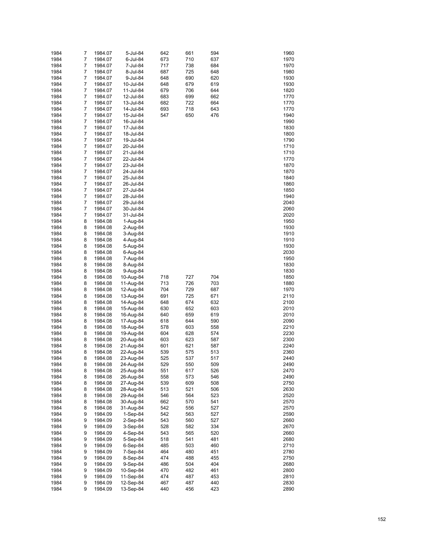| 1984         | 7                   | 1984.07            | 5-Jul-84               | 642        | 661        | 594        | 1960         |
|--------------|---------------------|--------------------|------------------------|------------|------------|------------|--------------|
| 1984         | $\overline{7}$      | 1984.07            | 6-Jul-84               | 673        | 710        | 637        | 1970         |
| 1984         | 7                   | 1984.07            | 7-Jul-84               | 717        | 738        | 684        | 1970         |
| 1984         | $\overline{7}$      | 1984.07            | 8-Jul-84               | 687        | 725        | 648        | 1980         |
| 1984         | 7                   | 1984.07            | 9-Jul-84               | 648        | 690        | 620        | 1930         |
| 1984         | $\overline{7}$      | 1984.07            | 10-Jul-84              | 648        | 679        | 619        | 1930         |
| 1984         | 7                   | 1984.07            | 11-Jul-84              | 679        | 706        | 644        | 1820         |
| 1984         | $\overline{7}$      | 1984.07            | 12-Jul-84              | 683        | 699        | 662        | 1770         |
| 1984         | 7                   | 1984.07            | 13-Jul-84              | 682        | 722        | 664        | 1770         |
| 1984         | $\overline{7}$      | 1984.07            | 14-Jul-84              | 693        | 718        | 643        | 1770         |
| 1984         | 7                   | 1984.07            | 15-Jul-84              | 547        | 650        | 476        | 1940         |
| 1984         | $\overline{7}$      | 1984.07            | 16-Jul-84              |            |            |            | 1990         |
| 1984         | 7                   | 1984.07            | 17-Jul-84              |            |            |            | 1830         |
| 1984         | $\overline{7}$      | 1984.07            | 18-Jul-84              |            |            |            | 1800         |
| 1984         | 7                   | 1984.07            | 19-Jul-84              |            |            |            | 1790         |
| 1984         | $\overline{7}$      | 1984.07            | 20-Jul-84              |            |            |            | 1710         |
| 1984         | 7                   | 1984.07            | 21-Jul-84              |            |            |            | 1710         |
| 1984         | $\overline{7}$<br>7 | 1984.07            | 22-Jul-84              |            |            |            | 1770         |
| 1984         | $\overline{7}$      | 1984.07            | 23-Jul-84              |            |            |            | 1870<br>1870 |
| 1984<br>1984 | 7                   | 1984.07<br>1984.07 | 24-Jul-84<br>25-Jul-84 |            |            |            | 1840         |
| 1984         | $\overline{7}$      | 1984.07            | 26-Jul-84              |            |            |            | 1860         |
| 1984         | 7                   | 1984.07            | 27-Jul-84              |            |            |            | 1850         |
| 1984         | $\overline{7}$      | 1984.07            | 28-Jul-84              |            |            |            | 1940         |
| 1984         | 7                   | 1984.07            | 29-Jul-84              |            |            |            | 2040         |
| 1984         | $\overline{7}$      | 1984.07            | 30-Jul-84              |            |            |            | 2060         |
| 1984         | 7                   | 1984.07            | 31-Jul-84              |            |            |            | 2020         |
| 1984         | 8                   | 1984.08            | 1-Aug-84               |            |            |            | 1950         |
| 1984         | 8                   | 1984.08            | 2-Aug-84               |            |            |            | 1930         |
| 1984         | 8                   | 1984.08            | 3-Aug-84               |            |            |            | 1910         |
| 1984         | 8                   | 1984.08            | 4-Aug-84               |            |            |            | 1910         |
| 1984         | 8                   | 1984.08            | 5-Aug-84               |            |            |            | 1930         |
| 1984         | 8                   | 1984.08            | 6-Aug-84               |            |            |            | 2030         |
| 1984         | 8                   | 1984.08            | 7-Aug-84               |            |            |            | 1950         |
| 1984         | 8                   | 1984.08            | 8-Aug-84               |            |            |            | 1830         |
| 1984         | 8                   | 1984.08            | 9-Aug-84               |            |            |            | 1830         |
| 1984         | 8                   | 1984.08            | 10-Aug-84              | 718        | 727        | 704        | 1850         |
| 1984         | 8                   | 1984.08            | 11-Aug-84              | 713        | 726        | 703        | 1880         |
| 1984         | 8                   | 1984.08            | 12-Aug-84              | 704        | 729        | 687        | 1970         |
| 1984         | 8                   | 1984.08            | 13-Aug-84              | 691        | 725        | 671        | 2110         |
| 1984         | 8                   | 1984.08            | 14-Aug-84              | 648        | 674        | 632        | 2100         |
| 1984         | 8                   | 1984.08            | 15-Aug-84              | 630        | 652        | 603        | 2010         |
| 1984         | 8                   | 1984.08            | 16-Aug-84              | 640        | 659        | 619        | 2010         |
| 1984         | 8                   | 1984.08            | 17-Aug-84              | 618        | 644        | 590        | 2090         |
| 1984         | 8                   | 1984.08            | 18-Aug-84              | 578        | 603        | 558        | 2210         |
| 1984         | 8                   | 1984.08            | 19-Aug-84              | 604        | 628        | 574        | 2230         |
| 1984         | 8                   | 1984.08            | 20-Aug-84              | 603        | 623<br>621 | 587        | 2300<br>2240 |
| 1984<br>1984 | 8<br>8              | 1984.08<br>1984.08 | 21-Aug-84<br>22-Aug-84 | 601<br>539 | 575        | 587<br>513 | 2360         |
| 1984         | 8                   | 1984.08            | 23-Aug-84              | 525        | 537        | 517        | 2440         |
| 1984         | 8                   | 1984.08            | 24-Aug-84              | 529        | 550        | 509        | 2490         |
| 1984         | 8                   | 1984.08            | 25-Aug-84              | 551        | 617        | 526        | 2470         |
| 1984         | 8                   | 1984.08            | 26-Aug-84              | 558        | 573        | 546        | 2490         |
| 1984         | 8                   | 1984.08            | 27-Aug-84              | 539        | 609        | 508        | 2750         |
| 1984         | 8                   | 1984.08            | 28-Aug-84              | 513        | 521        | 506        | 2630         |
| 1984         | 8                   | 1984.08            | 29-Aug-84              | 546        | 564        | 523        | 2520         |
| 1984         | 8                   | 1984.08            | 30-Aug-84              | 662        | 570        | 541        | 2570         |
| 1984         | 8                   | 1984.08            | 31-Aug-84              | 542        | 556        | 527        | 2570         |
| 1984         | 9                   | 1984.09            | $1-Sep-84$             | 542        | 563        | 527        | 2590         |
| 1984         | 9                   | 1984.09            | $2-Sep-84$             | 543        | 560        | 527        | 2660         |
| 1984         | 9                   | 1984.09            | 3-Sep-84               | 528        | 582        | 334        | 2670         |
| 1984         | 9                   | 1984.09            | 4-Sep-84               | 543        | 565        | 520        | 2660         |
| 1984         | 9                   | 1984.09            | 5-Sep-84               | 518        | 541        | 481        | 2680         |
| 1984         | 9                   | 1984.09            | 6-Sep-84               | 485        | 503        | 460        | 2710         |
| 1984         | 9                   | 1984.09            | 7-Sep-84               | 464        | 480        | 451        | 2780         |
| 1984         | 9                   | 1984.09            | 8-Sep-84               | 474        | 488        | 455        | 2750         |
| 1984         | 9                   | 1984.09            | 9-Sep-84               | 486        | 504        | 404        | 2680         |
| 1984         | 9                   | 1984.09            | 10-Sep-84              | 470        | 482        | 461        | 2800         |
| 1984         | 9                   | 1984.09            | 11-Sep-84              | 474        | 487        | 453        | 2810         |
| 1984         | 9                   | 1984.09            | 12-Sep-84              | 467        | 487        | 440        | 2830         |
| 1984         | 9                   | 1984.09            | 13-Sep-84              | 440        | 456        | 423        | 2890         |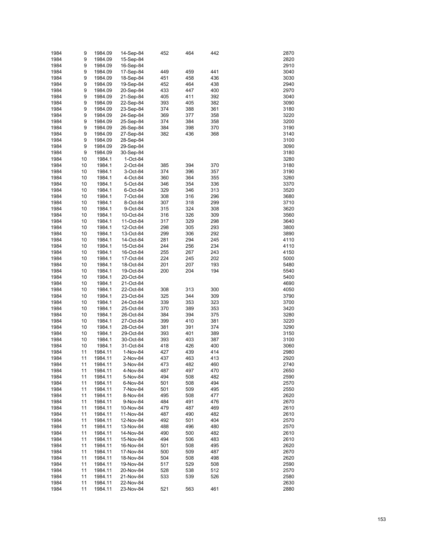| 1984         | 9        | 1984.09            | 14-Sep-84              | 452        | 464        | 442        | 2870         |
|--------------|----------|--------------------|------------------------|------------|------------|------------|--------------|
| 1984         | 9        | 1984.09            | 15-Sep-84              |            |            |            | 2820         |
| 1984         | 9        | 1984.09            | 16-Sep-84              |            |            |            | 2910         |
| 1984         | 9        | 1984.09            | 17-Sep-84              | 449        | 459        | 441        | 3040         |
| 1984         | 9        | 1984.09            | 18-Sep-84              | 451        | 458        | 436        | 3030         |
| 1984         | 9        | 1984.09            | 19-Sep-84              | 452        | 464        | 438        | 2940         |
| 1984         | 9        | 1984.09            | 20-Sep-84              | 433        | 447        | 400        | 2970         |
| 1984         | 9        | 1984.09            | 21-Sep-84              | 405        | 411        | 392        | 3040         |
| 1984         | 9        | 1984.09            | 22-Sep-84              | 393        | 405        | 382        | 3090         |
| 1984         | 9        | 1984.09            | 23-Sep-84              | 374        | 388        | 361        | 3180         |
| 1984         | 9        | 1984.09            | 24-Sep-84              | 369        | 377        | 358        | 3220         |
| 1984         | 9        | 1984.09            | 25-Sep-84              | 374        | 384        | 358        | 3200         |
| 1984<br>1984 | 9<br>9   | 1984.09<br>1984.09 | 26-Sep-84<br>27-Sep-84 | 384<br>382 | 398<br>436 | 370<br>368 | 3190<br>3140 |
| 1984         | 9        | 1984.09            | 28-Sep-84              |            |            |            | 3100         |
| 1984         | 9        | 1984.09            | 29-Sep-84              |            |            |            | 3090         |
| 1984         | 9        | 1984.09            | 30-Sep-84              |            |            |            | 3180         |
| 1984         | 10       | 1984.1             | 1-Oct-84               |            |            |            | 3280         |
| 1984         | 10       | 1984.1             | 2-Oct-84               | 385        | 394        | 370        | 3180         |
| 1984         | 10       | 1984.1             | 3-Oct-84               | 374        | 396        | 357        | 3190         |
| 1984         | 10       | 1984.1             | 4-Oct-84               | 360        | 364        | 355        | 3260         |
| 1984         | 10       | 1984.1             | 5-Oct-84               | 346        | 354        | 336        | 3370         |
| 1984         | 10       | 1984.1             | 6-Oct-84               | 329        | 346        | 313        | 3520         |
| 1984         | 10       | 1984.1             | 7-Oct-84               | 308        | 316        | 296        | 3680         |
| 1984         | 10       | 1984.1             | 8-Oct-84               | 307        | 318        | 299        | 3710         |
| 1984         | 10       | 1984.1             | 9-Oct-84               | 315        | 324        | 308        | 3620         |
| 1984         | 10       | 1984.1             | 10-Oct-84              | 316        | 326        | 309        | 3560         |
| 1984         | 10       | 1984.1             | 11-Oct-84              | 317        | 329        | 298        | 3640         |
| 1984         | 10       | 1984.1             | 12-Oct-84              | 298        | 305        | 293        | 3800         |
| 1984         | 10       | 1984.1             | 13-Oct-84              | 299        | 306        | 292        | 3890         |
| 1984         | 10       | 1984.1             | 14-Oct-84              | 281        | 294        | 245        | 4110         |
| 1984         | 10       | 1984.1             | 15-Oct-84              | 244        | 256        | 234        | 4110         |
| 1984         | 10       | 1984.1             | 16-Oct-84              | 255        | 267        | 243        | 4150         |
| 1984<br>1984 | 10<br>10 | 1984.1<br>1984.1   | 17-Oct-84              | 224<br>201 | 245<br>207 | 202<br>193 | 5000<br>5480 |
| 1984         | 10       | 1984.1             | 18-Oct-84<br>19-Oct-84 | 200        | 204        | 194        | 5540         |
| 1984         | 10       | 1984.1             | 20-Oct-84              |            |            |            | 5400         |
| 1984         | 10       | 1984.1             | 21-Oct-84              |            |            |            | 4690         |
| 1984         | 10       | 1984.1             | 22-Oct-84              | 308        | 313        | 300        | 4050         |
| 1984         | 10       | 1984.1             | 23-Oct-84              | 325        | 344        | 309        | 3790         |
| 1984         | 10       | 1984.1             | 24-Oct-84              | 339        | 353        | 323        | 3700         |
| 1984         | 10       | 1984.1             | 25-Oct-84              | 370        | 389        | 353        | 3420         |
| 1984         | 10       | 1984.1             | 26-Oct-84              | 384        | 394        | 375        | 3280         |
| 1984         | 10       | 1984.1             | 27-Oct-84              | 399        | 410        | 381        | 3220         |
| 1984         | 10       | 1984.1             | 28-Oct-84              | 381        | 391        | 374        | 3290         |
| 1984         | 10       | 1984.1             | 29-Oct-84              | 393        | 401        | 389        | 3150         |
| 1984         | 10       | 1984.1             | 30-Oct-84              | 393        | 403        | 387        | 3100         |
| 1984         | 10       | 1984.1             | 31-Oct-84              | 418        | 426        | 400        | 3060         |
| 1984         | 11       | 1984.11            | 1-Nov-84               | 427        | 439        | 414        | 2980         |
| 1984         | 11       | 1984.11            | 2-Nov-84               | 437        | 463        | 413        | 2920         |
| 1984         | 11       | 1984.11            | 3-Nov-84               | 473        | 482        | 460        | 2740         |
| 1984         | 11       | 1984.11            | 4-Nov-84               | 487        | 497        | 470        | 2650         |
| 1984         | 11       | 1984.11<br>1984.11 | 5-Nov-84               | 494        | 508        | 482        | 2590         |
| 1984<br>1984 | 11<br>11 | 1984.11            | 6-Nov-84<br>7-Nov-84   | 501<br>501 | 508<br>509 | 494<br>495 | 2570<br>2550 |
| 1984         | 11       | 1984.11            | 8-Nov-84               | 495        | 508        | 477        | 2620         |
| 1984         | 11       | 1984.11            | 9-Nov-84               | 484        | 491        | 476        | 2670         |
| 1984         | 11       | 1984.11            | 10-Nov-84              | 479        | 487        | 469        | 2610         |
| 1984         | 11       | 1984.11            | 11-Nov-84              | 487        | 490        | 482        | 2610         |
| 1984         | 11       | 1984.11            | 12-Nov-84              | 492        | 501        | 404        | 2570         |
| 1984         | 11       | 1984.11            | 13-Nov-84              | 488        | 496        | 480        | 2570         |
| 1984         | 11       | 1984.11            | 14-Nov-84              | 490        | 500        | 482        | 2610         |
| 1984         | 11       | 1984.11            | 15-Nov-84              | 494        | 506        | 483        | 2610         |
| 1984         | 11       | 1984.11            | 16-Nov-84              | 501        | 508        | 495        | 2620         |
| 1984         | 11       | 1984.11            | 17-Nov-84              | 500        | 509        | 487        | 2670         |
| 1984         | 11       | 1984.11            | 18-Nov-84              | 504        | 508        | 498        | 2620         |
| 1984         | 11       | 1984.11            | 19-Nov-84              | 517        | 529        | 508        | 2590         |
| 1984         | 11       | 1984.11            | 20-Nov-84              | 528        | 538        | 512        | 2570         |
| 1984         | 11       | 1984.11            | 21-Nov-84              | 533        | 539        | 526        | 2580         |
| 1984         | 11       | 1984.11            | 22-Nov-84              |            |            |            | 2630         |
| 1984         | 11       | 1984.11            | 23-Nov-84              | 521        | 563        | 461        | 2880         |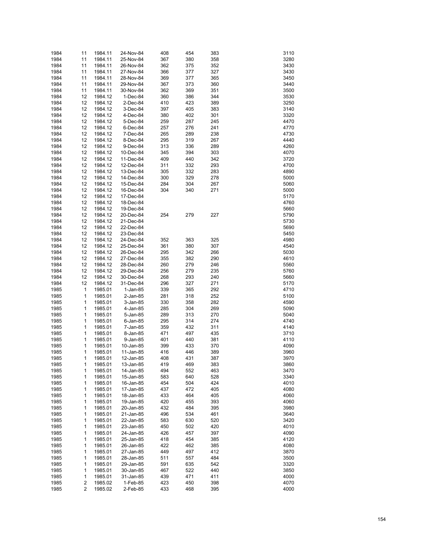| 1984 | 11                      | 1984.11 | 24-Nov-84 | 408 | 454 | 383 | 3110 |
|------|-------------------------|---------|-----------|-----|-----|-----|------|
| 1984 | 11                      | 1984.11 | 25-Nov-84 | 367 | 380 | 358 | 3280 |
|      |                         |         |           |     |     |     |      |
| 1984 | 11                      | 1984.11 | 26-Nov-84 | 362 | 375 | 352 | 3430 |
| 1984 | 11                      | 1984.11 | 27-Nov-84 | 366 | 377 | 327 | 3430 |
| 1984 | 11                      | 1984.11 | 28-Nov-84 | 369 | 377 | 365 | 3450 |
| 1984 | 11                      | 1984.11 | 29-Nov-84 | 367 | 373 | 360 | 3440 |
| 1984 | 11                      | 1984.11 | 30-Nov-84 | 362 | 369 | 351 | 3500 |
|      |                         |         |           |     |     |     |      |
| 1984 | 12                      | 1984.12 | 1-Dec-84  | 360 | 386 | 344 | 3530 |
| 1984 | 12                      | 1984.12 | 2-Dec-84  | 410 | 423 | 389 | 3250 |
| 1984 | 12                      | 1984.12 | 3-Dec-84  | 397 | 405 | 383 | 3140 |
| 1984 | 12                      | 1984.12 | 4-Dec-84  | 380 | 402 | 301 | 3320 |
|      |                         |         |           |     |     |     |      |
| 1984 | 12                      | 1984.12 | 5-Dec-84  | 259 | 287 | 245 | 4470 |
| 1984 | 12                      | 1984.12 | 6-Dec-84  | 257 | 276 | 241 | 4770 |
| 1984 | 12                      | 1984.12 | 7-Dec-84  | 265 | 289 | 238 | 4730 |
| 1984 | 12                      | 1984.12 | 8-Dec-84  | 295 | 319 | 267 | 4440 |
| 1984 | 12                      | 1984.12 | 9-Dec-84  | 313 | 336 | 289 | 4260 |
|      |                         |         |           |     |     |     |      |
| 1984 | 12                      | 1984.12 | 10-Dec-84 | 345 | 394 | 303 | 4070 |
| 1984 | 12                      | 1984.12 | 11-Dec-84 | 409 | 440 | 342 | 3720 |
| 1984 | 12                      | 1984.12 | 12-Dec-84 | 311 | 332 | 293 | 4700 |
| 1984 | 12                      | 1984.12 | 13-Dec-84 | 305 | 332 | 283 | 4890 |
| 1984 | 12                      | 1984.12 |           | 300 | 329 | 278 | 5000 |
|      |                         |         | 14-Dec-84 |     |     |     |      |
| 1984 | 12                      | 1984.12 | 15-Dec-84 | 284 | 304 | 267 | 5060 |
| 1984 | 12                      | 1984.12 | 16-Dec-84 | 304 | 340 | 271 | 5000 |
| 1984 | 12                      | 1984.12 | 17-Dec-84 |     |     |     | 5170 |
| 1984 | 12                      | 1984.12 | 18-Dec-84 |     |     |     | 4760 |
|      |                         |         |           |     |     |     |      |
| 1984 | 12                      | 1984.12 | 19-Dec-84 |     |     |     | 5660 |
| 1984 | 12                      | 1984.12 | 20-Dec-84 | 254 | 279 | 227 | 5790 |
| 1984 | 12                      | 1984.12 | 21-Dec-84 |     |     |     | 5730 |
| 1984 | 12                      | 1984.12 | 22-Dec-84 |     |     |     | 5690 |
|      |                         |         |           |     |     |     |      |
| 1984 | 12                      | 1984.12 | 23-Dec-84 |     |     |     | 5450 |
| 1984 | 12                      | 1984.12 | 24-Dec-84 | 352 | 363 | 325 | 4980 |
| 1984 | 12                      | 1984.12 | 25-Dec-84 | 361 | 380 | 307 | 4540 |
| 1984 | 12                      | 1984.12 | 26-Dec-84 | 295 | 342 | 266 | 5030 |
| 1984 | 12                      | 1984.12 | 27-Dec-84 | 355 | 382 | 290 | 4610 |
|      |                         |         |           |     |     |     |      |
| 1984 | 12                      | 1984.12 | 28-Dec-84 | 260 | 279 | 246 | 5560 |
| 1984 | 12                      | 1984.12 | 29-Dec-84 | 256 | 279 | 235 | 5760 |
| 1984 | 12                      | 1984.12 | 30-Dec-84 | 268 | 293 | 240 | 5660 |
| 1984 | 12                      | 1984.12 | 31-Dec-84 | 296 | 327 | 271 | 5170 |
| 1985 | 1                       | 1985.01 | 1-Jan-85  | 339 | 365 | 292 | 4710 |
|      |                         |         |           |     |     |     |      |
| 1985 | 1                       | 1985.01 | 2-Jan-85  | 281 | 318 | 252 | 5100 |
| 1985 | 1                       | 1985.01 | 3-Jan-85  | 330 | 358 | 282 | 4590 |
| 1985 | 1                       | 1985.01 | 4-Jan-85  | 285 | 304 | 269 | 5090 |
| 1985 | 1                       | 1985.01 | 5-Jan-85  | 289 | 313 | 270 | 5040 |
| 1985 | 1                       | 1985.01 | 6-Jan-85  | 295 | 314 | 274 | 4740 |
|      |                         |         |           |     |     |     |      |
| 1985 | 1                       | 1985.01 | 7-Jan-85  | 359 | 432 | 311 | 4140 |
| 1985 | 1                       | 1985.01 | 8-Jan-85  | 471 | 497 | 435 | 3710 |
| 1985 | 1                       | 1985.01 | 9-Jan-85  | 401 | 440 | 381 | 4110 |
| 1985 | 1                       | 1985.01 | 10-Jan-85 | 399 | 433 | 370 | 4090 |
| 1985 | 1                       | 1985.01 | 11-Jan-85 | 416 | 446 | 389 | 3960 |
|      |                         |         |           |     |     |     |      |
| 1985 | 1                       | 1985.01 | 12-Jan-85 | 408 | 431 | 387 | 3970 |
| 1985 | 1                       | 1985.01 | 13-Jan-85 | 419 | 469 | 383 | 3860 |
| 1985 | 1                       | 1985.01 | 14-Jan-85 | 494 | 552 | 463 | 3470 |
| 1985 | 1                       | 1985.01 | 15-Jan-85 | 583 | 640 | 528 | 3340 |
|      | 1                       |         |           |     |     | 424 | 4010 |
| 1985 |                         | 1985.01 | 16-Jan-85 | 454 | 504 |     |      |
| 1985 | 1                       | 1985.01 | 17-Jan-85 | 437 | 472 | 405 | 4080 |
| 1985 | 1                       | 1985.01 | 18-Jan-85 | 433 | 464 | 405 | 4060 |
| 1985 | 1                       | 1985.01 | 19-Jan-85 | 420 | 455 | 393 | 4060 |
| 1985 | 1                       | 1985.01 | 20-Jan-85 | 432 | 484 | 395 | 3980 |
|      |                         |         |           |     |     |     |      |
| 1985 | 1                       | 1985.01 | 21-Jan-85 | 496 | 534 | 461 | 3640 |
| 1985 | 1                       | 1985.01 | 22-Jan-85 | 583 | 630 | 520 | 3420 |
| 1985 | 1                       | 1985.01 | 23-Jan-85 | 450 | 502 | 420 | 4010 |
| 1985 | 1                       | 1985.01 | 24-Jan-85 | 426 | 457 | 397 | 4090 |
| 1985 | 1                       | 1985.01 | 25-Jan-85 | 418 | 454 | 385 | 4120 |
|      |                         |         |           |     |     |     |      |
| 1985 | 1                       | 1985.01 | 26-Jan-85 | 422 | 462 | 385 | 4080 |
| 1985 | 1                       | 1985.01 | 27-Jan-85 | 449 | 497 | 412 | 3870 |
| 1985 | 1                       | 1985.01 | 28-Jan-85 | 511 | 557 | 484 | 3500 |
| 1985 | 1                       | 1985.01 | 29-Jan-85 | 591 | 635 | 542 | 3320 |
| 1985 | 1                       | 1985.01 | 30-Jan-85 | 467 | 522 | 440 | 3850 |
|      | $\mathbf{1}$            |         |           |     |     |     |      |
| 1985 |                         | 1985.01 | 31-Jan-85 | 439 | 471 | 411 | 4000 |
| 1985 | 2                       | 1985.02 | 1-Feb-85  | 423 | 450 | 398 | 4070 |
| 1985 | $\overline{\mathbf{c}}$ | 1985.02 | 2-Feb-85  | 433 | 468 | 395 | 4000 |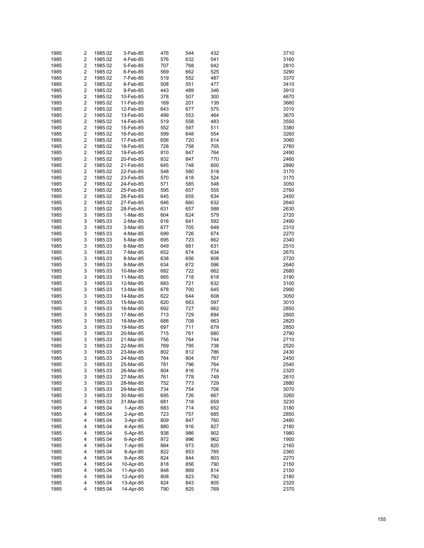| 1985 | 2                       | 1985.02 | 3-Feb-85  | 476 | 544 | 432 | 3710 |
|------|-------------------------|---------|-----------|-----|-----|-----|------|
|      | $\overline{\mathbf{c}}$ |         |           |     |     |     |      |
| 1985 |                         | 1985.02 | 4-Feb-85  | 576 | 632 | 541 | 3160 |
| 1985 | $\overline{\mathbf{c}}$ | 1985.02 | 5-Feb-85  | 707 | 768 | 642 | 2810 |
| 1985 | $\overline{\mathbf{c}}$ | 1985.02 | 6-Feb-85  | 569 | 662 | 525 | 3290 |
| 1985 | $\overline{\mathbf{c}}$ | 1985.02 | 7-Feb-85  | 519 | 552 | 487 | 3370 |
| 1985 | $\overline{\mathbf{c}}$ | 1985.02 | 8-Feb-85  | 508 | 551 | 477 | 3410 |
| 1985 | $\overline{\mathbf{c}}$ | 1985.02 | 9-Feb-85  | 443 | 489 | 346 | 3910 |
| 1985 | $\overline{\mathbf{c}}$ | 1985.02 | 10-Feb-85 | 378 | 507 | 300 | 4670 |
| 1985 | $\overline{\mathbf{c}}$ | 1985.02 | 11-Feb-85 | 169 | 201 | 139 | 3660 |
|      | $\overline{\mathbf{c}}$ |         |           |     |     |     |      |
| 1985 |                         | 1985.02 | 12-Feb-85 | 643 | 677 | 575 | 3310 |
| 1985 | $\overline{\mathbf{c}}$ | 1985.02 | 13-Feb-85 | 499 | 553 | 464 | 3670 |
| 1985 | $\overline{\mathbf{c}}$ | 1985.02 | 14-Feb-85 | 519 | 558 | 483 | 3550 |
| 1985 | $\overline{\mathbf{c}}$ | 1985.02 | 15-Feb-85 | 552 | 597 | 511 | 3380 |
| 1985 | $\overline{\mathbf{c}}$ | 1985.02 | 16-Feb-85 | 599 | 648 | 554 | 3260 |
| 1985 | $\overline{\mathbf{c}}$ | 1985.02 | 17-Feb-85 | 656 | 720 | 614 | 3060 |
| 1985 | $\overline{\mathbf{c}}$ | 1985.02 | 18-Feb-85 | 728 | 758 | 705 | 2760 |
| 1985 | $\overline{\mathbf{c}}$ | 1985.02 | 19-Feb-85 | 810 | 847 | 764 | 2490 |
| 1985 | $\overline{\mathbf{c}}$ | 1985.02 | 20-Feb-85 | 832 | 847 | 770 | 2460 |
| 1985 | $\overline{\mathbf{c}}$ | 1985.02 | 21-Feb-85 | 645 | 748 | 600 | 2890 |
|      | $\overline{\mathbf{c}}$ |         |           |     |     |     |      |
| 1985 |                         | 1985.02 | 22-Feb-85 | 548 | 580 | 518 | 3170 |
| 1985 | $\overline{\mathbf{c}}$ | 1985.02 | 23-Feb-85 | 570 | 618 | 524 | 3170 |
| 1985 | $\overline{\mathbf{c}}$ | 1985.02 | 24-Feb-85 | 571 | 585 | 548 | 3050 |
| 1985 | $\overline{\mathbf{c}}$ | 1985.02 | 25-Feb-85 | 595 | 657 | 555 | 2760 |
| 1985 | $\overline{\mathbf{c}}$ | 1985.02 | 26-Feb-85 | 645 | 655 | 634 | 2450 |
| 1985 | $\overline{\mathbf{c}}$ | 1985.02 | 27-Feb-85 | 646 | 660 | 632 | 2640 |
| 1985 | $\overline{\mathbf{c}}$ | 1985.02 | 28-Feb-85 | 631 | 657 | 588 | 2630 |
| 1985 | 3                       | 1985.03 | 1-Mar-85  | 604 | 624 | 579 | 2720 |
| 1985 | 3                       | 1985.03 | 2-Mar-85  | 616 | 641 | 592 | 2490 |
| 1985 | 3                       | 1985.03 | 3-Mar-85  | 677 | 705 | 649 | 2310 |
|      |                         |         |           |     |     |     |      |
| 1985 | 3                       | 1985.03 | 4-Mar-85  | 699 | 726 | 674 | 2270 |
| 1985 | 3                       | 1985.03 | 5-Mar-85  | 695 | 723 | 662 | 2340 |
| 1985 | 3                       | 1985.03 | 6-Mar-85  | 649 | 661 | 631 | 2510 |
| 1985 | 3                       | 1985.03 | 7-Mar-85  | 652 | 674 | 634 | 2670 |
| 1985 | 3                       | 1985.03 | 8-Mar-85  | 638 | 656 | 608 | 2720 |
| 1985 | 3                       | 1985.03 | 9-Mar-85  | 634 | 672 | 596 | 2640 |
| 1985 | 3                       | 1985.03 | 10-Mar-85 | 682 | 722 | 662 | 2680 |
| 1985 | 3                       | 1985.03 | 11-Mar-85 | 665 | 718 | 618 | 3190 |
| 1985 | 3                       | 1985.03 | 12-Mar-85 | 683 | 721 | 632 | 3100 |
| 1985 | 3                       | 1985.03 | 13-Mar-85 | 678 | 700 | 645 | 2990 |
| 1985 | 3                       | 1985.03 | 14-Mar-85 | 622 | 644 | 608 | 3050 |
| 1985 | 3                       | 1985.03 | 15-Mar-85 | 620 | 663 | 597 | 3010 |
| 1985 | 3                       | 1985.03 | 16-Mar-85 | 692 | 727 | 662 | 2850 |
| 1985 | 3                       | 1985.03 | 17-Mar-85 | 713 | 729 | 694 | 2800 |
|      | 3                       |         |           |     |     |     |      |
| 1985 |                         | 1985.03 | 18-Mar-85 | 688 | 708 | 663 | 2820 |
| 1985 | 3                       | 1985.03 | 19-Mar-85 | 697 | 711 | 679 | 2850 |
| 1985 | 3                       | 1985.03 | 20-Mar-85 | 715 | 761 | 680 | 2790 |
| 1985 | 3                       | 1985.03 | 21-Mar-85 | 756 | 764 | 744 | 2710 |
| 1985 | 3                       | 1985.03 | 22-Mar-85 | 769 | 795 | 738 | 2520 |
| 1985 | 3                       | 1985.03 | 23-Mar-85 | 802 | 812 | 786 | 2430 |
| 1985 | 3                       | 1985.03 | 24-Mar-85 | 784 | 804 | 767 | 2450 |
| 1985 | 3                       | 1985.03 | 25-Mar-85 | 781 | 796 | 764 | 2540 |
| 1985 | 3                       | 1985.03 | 26-Mar-85 | 804 | 816 | 774 | 2320 |
| 1985 | 3                       | 1985.03 | 27-Mar-85 | 761 | 778 | 749 | 2610 |
| 1985 | 3                       | 1985.03 |           | 752 | 773 | 729 | 2880 |
|      |                         |         | 28-Mar-85 |     |     |     |      |
| 1985 | 3                       | 1985.03 | 29-Mar-85 | 734 | 754 | 706 | 3070 |
| 1985 | 3                       | 1985.03 | 30-Mar-85 | 695 | 726 | 667 | 3260 |
| 1985 | 3                       | 1985.03 | 31-Mar-85 | 681 | 718 | 659 | 3230 |
| 1985 | 4                       | 1985.04 | 1-Apr-85  | 683 | 714 | 652 | 3180 |
| 1985 | 4                       | 1985.04 | 2-Apr-85  | 723 | 757 | 685 | 2850 |
| 1985 | 4                       | 1985.04 | 3-Apr-85  | 809 | 847 | 760 | 2480 |
| 1985 | 4                       | 1985.04 | 4-Apr-85  | 880 | 916 | 827 | 2180 |
| 1985 | 4                       | 1985.04 | 5-Apr-85  | 938 | 986 | 902 | 1980 |
| 1985 | 4                       | 1985.04 | 6-Apr-85  | 972 | 996 | 962 | 1900 |
| 1985 | 4                       | 1985.04 | 7-Apr-85  | 884 | 973 | 820 | 2160 |
| 1985 | 4                       | 1985.04 | 8-Apr-85  | 822 | 853 | 785 | 2360 |
| 1985 | 4                       | 1985.04 | 9-Apr-85  | 824 | 844 | 803 | 2270 |
| 1985 | 4                       | 1985.04 | 10-Apr-85 | 818 | 856 | 790 | 2150 |
| 1985 | 4                       | 1985.04 | 11-Apr-85 | 848 | 869 | 814 | 2150 |
| 1985 |                         |         |           |     |     |     | 2180 |
|      | 4                       | 1985.04 | 12-Apr-85 | 808 | 823 | 792 |      |
| 1985 | 4                       | 1985.04 | 13-Apr-85 | 824 | 843 | 805 | 2320 |
| 1985 | 4                       | 1985.04 | 14-Apr-85 | 790 | 825 | 769 | 2370 |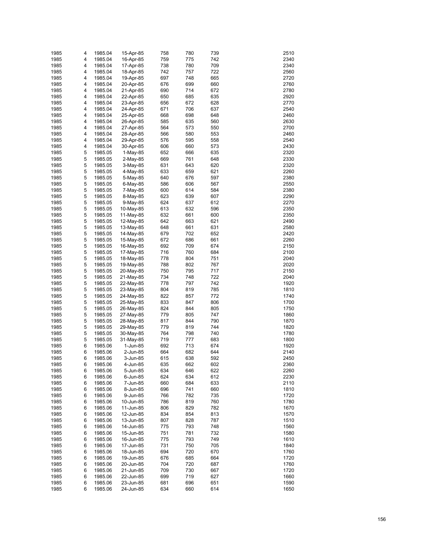| 1985 | 4 | 1985.04 | 15-Apr-85 | 758 | 780 | 739 | 2510 |
|------|---|---------|-----------|-----|-----|-----|------|
| 1985 | 4 | 1985.04 | 16-Apr-85 | 759 | 775 | 742 | 2340 |
| 1985 | 4 | 1985.04 | 17-Apr-85 | 738 | 780 | 709 | 2340 |
| 1985 | 4 | 1985.04 | 18-Apr-85 | 742 | 757 | 722 | 2560 |
| 1985 | 4 | 1985.04 | 19-Apr-85 | 697 | 748 | 665 | 2720 |
|      |   |         |           |     |     |     |      |
| 1985 | 4 | 1985.04 | 20-Apr-85 | 676 | 699 | 660 | 2760 |
| 1985 | 4 | 1985.04 | 21-Apr-85 | 690 | 714 | 672 | 2780 |
| 1985 | 4 | 1985.04 | 22-Apr-85 | 650 | 685 | 635 | 2920 |
| 1985 | 4 | 1985.04 | 23-Apr-85 | 656 | 672 | 628 | 2770 |
| 1985 | 4 | 1985.04 | 24-Apr-85 | 671 | 706 | 637 | 2540 |
| 1985 | 4 | 1985.04 | 25-Apr-85 | 668 | 698 | 648 | 2460 |
| 1985 | 4 | 1985.04 | 26-Apr-85 | 585 | 635 | 560 | 2630 |
| 1985 | 4 | 1985.04 | 27-Apr-85 | 564 | 573 | 550 | 2700 |
| 1985 | 4 | 1985.04 | 28-Apr-85 | 566 | 580 | 553 | 2460 |
| 1985 | 4 | 1985.04 | 29-Apr-85 | 576 | 595 | 558 | 2540 |
| 1985 | 4 | 1985.04 | 30-Apr-85 | 606 | 660 | 573 | 2430 |
| 1985 | 5 | 1985.05 | 1-May-85  | 652 | 666 | 635 | 2320 |
| 1985 | 5 | 1985.05 | 2-May-85  | 669 | 761 | 648 | 2330 |
| 1985 | 5 | 1985.05 | 3-May-85  | 631 | 643 | 620 | 2320 |
| 1985 | 5 | 1985.05 | 4-May-85  | 633 | 659 | 621 | 2260 |
| 1985 | 5 | 1985.05 | 5-May-85  | 640 | 676 | 597 | 2380 |
| 1985 | 5 | 1985.05 |           | 586 | 606 | 567 | 2550 |
|      |   |         | 6-May-85  |     |     |     |      |
| 1985 | 5 | 1985.05 | 7-May-85  | 600 | 614 | 584 | 2380 |
| 1985 | 5 | 1985.05 | 8-May-85  | 623 | 639 | 607 | 2290 |
| 1985 | 5 | 1985.05 | 9-May-85  | 624 | 637 | 612 | 2270 |
| 1985 | 5 | 1985.05 | 10-May-85 | 613 | 632 | 596 | 2350 |
| 1985 | 5 | 1985.05 | 11-May-85 | 632 | 661 | 600 | 2350 |
| 1985 | 5 | 1985.05 | 12-May-85 | 642 | 663 | 621 | 2490 |
| 1985 | 5 | 1985.05 | 13-May-85 | 648 | 661 | 631 | 2580 |
| 1985 | 5 | 1985.05 | 14-May-85 | 679 | 702 | 652 | 2420 |
| 1985 | 5 | 1985.05 | 15-May-85 | 672 | 686 | 661 | 2260 |
| 1985 | 5 | 1985.05 | 16-May-85 | 692 | 709 | 674 | 2150 |
| 1985 | 5 | 1985.05 | 17-May-85 | 716 | 760 | 684 | 2100 |
| 1985 | 5 | 1985.05 | 18-May-85 | 778 | 804 | 751 | 2040 |
| 1985 | 5 | 1985.05 | 19-May-85 | 788 | 802 | 767 | 2020 |
| 1985 | 5 | 1985.05 | 20-May-85 | 750 | 795 | 717 | 2150 |
| 1985 | 5 | 1985.05 | 21-May-85 | 734 | 748 | 722 | 2040 |
| 1985 | 5 |         |           | 778 | 797 | 742 | 1920 |
|      | 5 | 1985.05 | 22-May-85 |     |     |     |      |
| 1985 |   | 1985.05 | 23-May-85 | 804 | 819 | 785 | 1810 |
| 1985 | 5 | 1985.05 | 24-May-85 | 822 | 857 | 772 | 1740 |
| 1985 | 5 | 1985.05 | 25-May-85 | 833 | 847 | 806 | 1700 |
| 1985 | 5 | 1985.05 | 26-May-85 | 824 | 844 | 805 | 1750 |
| 1985 | 5 | 1985.05 | 27-May-85 | 779 | 805 | 747 | 1860 |
| 1985 | 5 | 1985.05 | 28-May-85 | 817 | 844 | 790 | 1870 |
| 1985 | 5 | 1985.05 | 29-May-85 | 779 | 819 | 744 | 1820 |
| 1985 | 5 | 1985.05 | 30-May-85 | 764 | 798 | 740 | 1780 |
| 1985 | 5 | 1985.05 | 31-May-85 | 719 | 777 | 683 | 1800 |
| 1985 | 6 | 1985.06 | 1-Jun-85  | 692 | 713 | 674 | 1920 |
| 1985 | 6 | 1985.06 | 2-Jun-85  | 664 | 682 | 644 | 2140 |
| 1985 | 6 | 1985.06 | 3-Jun-85  | 615 | 638 | 592 | 2450 |
| 1985 | 6 | 1985.06 | 4-Jun-85  | 635 | 662 | 602 | 2360 |
| 1985 | 6 | 1985.06 | 5-Jun-85  | 634 | 646 | 622 | 2260 |
| 1985 | 6 | 1985.06 | 6-Jun-85  | 624 | 634 | 612 | 2230 |
| 1985 | 6 | 1985.06 | 7-Jun-85  | 660 | 684 | 633 | 2110 |
| 1985 | 6 | 1985.06 | 8-Jun-85  | 696 | 741 | 660 | 1810 |
| 1985 | 6 | 1985.06 | 9-Jun-85  | 766 | 782 | 735 | 1720 |
| 1985 | 6 | 1985.06 | 10-Jun-85 | 786 | 819 | 760 | 1780 |
|      |   |         |           |     |     |     |      |
| 1985 | 6 | 1985.06 | 11-Jun-85 | 806 | 829 | 782 | 1670 |
| 1985 | 6 | 1985.06 | 12-Jun-85 | 834 | 854 | 813 | 1570 |
| 1985 | 6 | 1985.06 | 13-Jun-85 | 807 | 828 | 787 | 1510 |
| 1985 | 6 | 1985.06 | 14-Jun-85 | 775 | 793 | 748 | 1560 |
| 1985 | 6 | 1985.06 | 15-Jun-85 | 751 | 781 | 732 | 1580 |
| 1985 | 6 | 1985.06 | 16-Jun-85 | 775 | 793 | 749 | 1610 |
| 1985 | 6 | 1985.06 | 17-Jun-85 | 731 | 750 | 705 | 1840 |
| 1985 | 6 | 1985.06 | 18-Jun-85 | 694 | 720 | 670 | 1760 |
| 1985 | 6 | 1985.06 | 19-Jun-85 | 676 | 685 | 664 | 1720 |
| 1985 | 6 | 1985.06 | 20-Jun-85 | 704 | 720 | 687 | 1760 |
| 1985 | 6 | 1985.06 | 21-Jun-85 | 709 | 730 | 667 | 1720 |
| 1985 | 6 | 1985.06 | 22-Jun-85 | 699 | 719 | 627 | 1660 |
| 1985 | 6 | 1985.06 | 23-Jun-85 | 681 | 696 | 651 | 1590 |
| 1985 | 6 | 1985.06 | 24-Jun-85 | 634 | 660 | 614 | 1650 |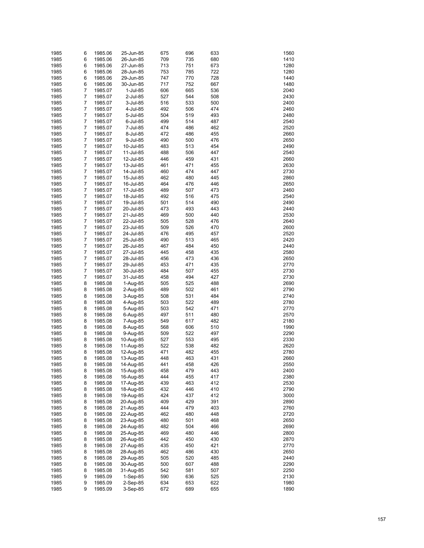| 1985 | 6 | 1985.06 | 25-Jun-85 | 675 | 696 | 633 | 1560 |
|------|---|---------|-----------|-----|-----|-----|------|
| 1985 | 6 | 1985.06 | 26-Jun-85 | 709 | 735 | 680 | 1410 |
| 1985 | 6 | 1985.06 | 27-Jun-85 | 713 | 751 | 673 | 1280 |
| 1985 | 6 | 1985.06 | 28-Jun-85 | 753 | 785 | 722 | 1280 |
|      | 6 |         |           |     |     |     | 1440 |
| 1985 |   | 1985.06 | 29-Jun-85 | 747 | 770 | 728 |      |
| 1985 | 6 | 1985.06 | 30-Jun-85 | 717 | 752 | 667 | 1480 |
| 1985 | 7 | 1985.07 | 1-Jul-85  | 606 | 665 | 536 | 2040 |
| 1985 | 7 | 1985.07 | 2-Jul-85  | 527 | 544 | 508 | 2430 |
| 1985 | 7 | 1985.07 | 3-Jul-85  | 516 | 533 | 500 | 2400 |
| 1985 | 7 | 1985.07 | 4-Jul-85  | 492 | 506 | 474 | 2460 |
| 1985 | 7 | 1985.07 | 5-Jul-85  | 504 | 519 | 493 | 2480 |
| 1985 | 7 | 1985.07 | 6-Jul-85  | 499 | 514 | 487 | 2540 |
| 1985 | 7 | 1985.07 | 7-Jul-85  | 474 | 486 | 462 | 2520 |
| 1985 | 7 | 1985.07 | 8-Jul-85  | 472 | 486 | 455 | 2660 |
| 1985 | 7 | 1985.07 | 9-Jul-85  | 490 | 500 | 476 | 2650 |
| 1985 | 7 | 1985.07 | 10-Jul-85 | 483 | 513 | 454 | 2490 |
| 1985 | 7 | 1985.07 | 11-Jul-85 | 488 | 506 | 447 | 2540 |
| 1985 | 7 | 1985.07 | 12-Jul-85 | 446 | 459 | 431 | 2660 |
| 1985 | 7 | 1985.07 | 13-Jul-85 | 461 | 471 | 455 | 2630 |
| 1985 | 7 | 1985.07 | 14-Jul-85 | 460 | 474 | 447 | 2730 |
|      | 7 |         |           |     | 480 | 445 |      |
| 1985 |   | 1985.07 | 15-Jul-85 | 462 |     |     | 2860 |
| 1985 | 7 | 1985.07 | 16-Jul-85 | 464 | 476 | 446 | 2650 |
| 1985 | 7 | 1985.07 | 17-Jul-85 | 489 | 507 | 473 | 2460 |
| 1985 | 7 | 1985.07 | 18-Jul-85 | 492 | 516 | 475 | 2540 |
| 1985 | 7 | 1985.07 | 19-Jul-85 | 501 | 514 | 490 | 2490 |
| 1985 | 7 | 1985.07 | 20-Jul-85 | 473 | 493 | 443 | 2440 |
| 1985 | 7 | 1985.07 | 21-Jul-85 | 469 | 500 | 440 | 2530 |
| 1985 | 7 | 1985.07 | 22-Jul-85 | 505 | 528 | 476 | 2640 |
| 1985 | 7 | 1985.07 | 23-Jul-85 | 509 | 526 | 470 | 2600 |
| 1985 | 7 | 1985.07 | 24-Jul-85 | 476 | 495 | 457 | 2520 |
| 1985 | 7 | 1985.07 | 25-Jul-85 | 490 | 513 | 465 | 2420 |
| 1985 | 7 | 1985.07 | 26-Jul-85 | 467 | 484 | 450 | 2440 |
| 1985 | 7 | 1985.07 | 27-Jul-85 | 445 | 458 | 435 | 2580 |
| 1985 | 7 | 1985.07 | 28-Jul-85 | 456 | 473 | 436 | 2650 |
| 1985 | 7 | 1985.07 | 29-Jul-85 | 453 | 471 | 435 | 2770 |
| 1985 | 7 | 1985.07 | 30-Jul-85 | 484 | 507 | 455 | 2730 |
|      | 7 |         |           |     | 494 | 427 |      |
| 1985 |   | 1985.07 | 31-Jul-85 | 458 |     |     | 2730 |
| 1985 | 8 | 1985.08 | 1-Aug-85  | 505 | 525 | 488 | 2690 |
| 1985 | 8 | 1985.08 | 2-Aug-85  | 489 | 502 | 461 | 2790 |
| 1985 | 8 | 1985.08 | 3-Aug-85  | 508 | 531 | 484 | 2740 |
| 1985 | 8 | 1985.08 | 4-Aug-85  | 503 | 522 | 489 | 2780 |
| 1985 | 8 | 1985.08 | 5-Aug-85  | 503 | 542 | 471 | 2770 |
| 1985 | 8 | 1985.08 | 6-Aug-85  | 497 | 511 | 480 | 2570 |
| 1985 | 8 | 1985.08 | 7-Aug-85  | 549 | 617 | 482 | 2180 |
| 1985 | 8 | 1985.08 | 8-Aug-85  | 568 | 606 | 510 | 1990 |
| 1985 | 8 | 1985.08 | 9-Aug-85  | 509 | 522 | 497 | 2290 |
| 1985 | 8 | 1985.08 | 10-Aug-85 | 527 | 553 | 495 | 2330 |
| 1985 | 8 | 1985.08 | 11-Aug-85 | 522 | 538 | 482 | 2620 |
| 1985 | 8 | 1985.08 | 12-Aug-85 | 471 | 482 | 455 | 2780 |
| 1985 | 8 | 1985.08 | 13-Aug-85 | 448 | 463 | 431 | 2660 |
| 1985 | 8 | 1985.08 | 14-Aug-85 | 441 | 458 | 426 | 2550 |
| 1985 | 8 | 1985.08 | 15-Aug-85 | 458 | 479 | 443 | 2400 |
| 1985 | 8 | 1985.08 | 16-Aug-85 | 444 | 455 | 417 | 2380 |
| 1985 | 8 | 1985.08 |           | 439 | 463 | 412 | 2530 |
|      |   |         | 17-Aug-85 |     |     |     |      |
| 1985 | 8 | 1985.08 | 18-Aug-85 | 432 | 446 | 410 | 2790 |
| 1985 | 8 | 1985.08 | 19-Aug-85 | 424 | 437 | 412 | 3000 |
| 1985 | 8 | 1985.08 | 20-Aug-85 | 409 | 429 | 391 | 2890 |
| 1985 | 8 | 1985.08 | 21-Aug-85 | 444 | 479 | 403 | 2760 |
| 1985 | 8 | 1985.08 | 22-Aug-85 | 462 | 480 | 448 | 2720 |
| 1985 | 8 | 1985.08 | 23-Aug-85 | 480 | 501 | 468 | 2650 |
| 1985 | 8 | 1985.08 | 24-Aug-85 | 482 | 504 | 466 | 2690 |
| 1985 | 8 | 1985.08 | 25-Aug-85 | 469 | 480 | 446 | 2800 |
| 1985 | 8 | 1985.08 | 26-Aug-85 | 442 | 450 | 430 | 2870 |
| 1985 | 8 | 1985.08 | 27-Aug-85 | 435 | 450 | 421 | 2770 |
| 1985 | 8 | 1985.08 | 28-Aug-85 | 462 | 486 | 430 | 2650 |
| 1985 | 8 | 1985.08 | 29-Aug-85 | 505 | 520 | 485 | 2440 |
| 1985 | 8 | 1985.08 | 30-Aug-85 | 500 | 607 | 488 | 2290 |
| 1985 | 8 | 1985.08 | 31-Aug-85 | 542 | 581 | 507 | 2250 |
| 1985 | 9 | 1985.09 | 1-Sep-85  | 590 | 636 | 525 | 2130 |
| 1985 | 9 | 1985.09 | 2-Sep-85  | 634 | 653 | 622 | 1980 |
| 1985 | 9 |         |           |     | 689 |     | 1890 |
|      |   | 1985.09 | 3-Sep-85  | 672 |     | 655 |      |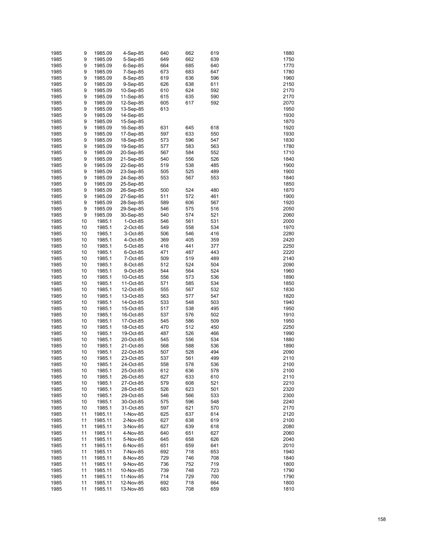| 1985 | 9  | 1985.09 | 4-Sep-85  | 640 | 662 | 619 | 1880 |
|------|----|---------|-----------|-----|-----|-----|------|
| 1985 | 9  | 1985.09 | 5-Sep-85  | 649 | 662 | 639 | 1750 |
| 1985 | 9  | 1985.09 | 6-Sep-85  | 664 | 685 | 640 | 1770 |
| 1985 | 9  | 1985.09 | 7-Sep-85  | 673 | 683 | 647 | 1780 |
| 1985 | 9  | 1985.09 | 8-Sep-85  | 619 | 636 | 596 | 1960 |
| 1985 | 9  | 1985.09 | 9-Sep-85  | 626 | 638 | 611 | 2150 |
| 1985 | 9  | 1985.09 | 10-Sep-85 | 610 | 624 | 592 | 2170 |
| 1985 | 9  | 1985.09 | 11-Sep-85 | 615 | 635 | 590 | 2170 |
| 1985 | 9  | 1985.09 | 12-Sep-85 | 605 | 617 | 592 | 2070 |
| 1985 | 9  | 1985.09 | 13-Sep-85 | 613 |     |     | 1950 |
| 1985 | 9  | 1985.09 | 14-Sep-85 |     |     |     | 1930 |
| 1985 | 9  | 1985.09 | 15-Sep-85 |     |     |     | 1870 |
| 1985 | 9  | 1985.09 | 16-Sep-85 | 631 | 645 | 618 | 1920 |
| 1985 | 9  | 1985.09 | 17-Sep-85 | 597 | 633 | 550 | 1930 |
| 1985 | 9  | 1985.09 | 18-Sep-85 | 573 | 596 | 547 | 1830 |
| 1985 | 9  | 1985.09 | 19-Sep-85 | 577 | 583 | 563 | 1780 |
| 1985 | 9  | 1985.09 | 20-Sep-85 | 567 | 584 | 552 | 1710 |
| 1985 | 9  | 1985.09 | 21-Sep-85 | 540 | 556 | 526 | 1840 |
| 1985 | 9  | 1985.09 | 22-Sep-85 | 519 | 538 | 485 | 1900 |
| 1985 | 9  | 1985.09 | 23-Sep-85 | 505 | 525 | 489 | 1900 |
| 1985 | 9  | 1985.09 | 24-Sep-85 | 553 | 567 | 553 | 1840 |
| 1985 | 9  | 1985.09 | 25-Sep-85 |     |     |     | 1850 |
| 1985 | 9  | 1985.09 | 26-Sep-85 | 500 | 524 | 480 | 1870 |
| 1985 | 9  | 1985.09 | 27-Sep-85 | 511 | 572 | 461 | 1900 |
| 1985 | 9  | 1985.09 | 28-Sep-85 | 589 | 606 | 567 | 1920 |
| 1985 | 9  | 1985.09 | 29-Sep-85 | 546 | 575 | 516 | 2050 |
| 1985 | 9  | 1985.09 | 30-Sep-85 | 540 | 574 | 521 | 2060 |
| 1985 | 10 | 1985.1  | 1-Oct-85  | 546 | 561 | 531 | 2000 |
| 1985 | 10 | 1985.1  | 2-Oct-85  | 549 | 558 | 534 | 1970 |
| 1985 | 10 | 1985.1  | 3-Oct-85  | 506 | 546 | 416 | 2280 |
| 1985 | 10 | 1985.1  | 4-Oct-85  | 369 | 405 | 359 | 2420 |
| 1985 | 10 | 1985.1  | 5-Oct-85  | 416 | 441 | 377 | 2250 |
| 1985 | 10 | 1985.1  | 6-Oct-85  | 471 | 487 | 443 | 2220 |
| 1985 | 10 | 1985.1  | 7-Oct-85  | 509 | 519 | 489 | 2140 |
| 1985 | 10 | 1985.1  | 8-Oct-85  | 512 | 524 | 504 | 2090 |
| 1985 | 10 | 1985.1  | 9-Oct-85  | 544 | 564 | 524 | 1960 |
| 1985 | 10 | 1985.1  | 10-Oct-85 | 556 | 573 | 536 | 1890 |
| 1985 | 10 | 1985.1  | 11-Oct-85 | 571 | 585 | 534 | 1850 |
| 1985 | 10 | 1985.1  | 12-Oct-85 | 555 | 567 | 532 | 1830 |
| 1985 | 10 | 1985.1  | 13-Oct-85 | 563 | 577 | 547 | 1820 |
| 1985 | 10 | 1985.1  | 14-Oct-85 | 533 | 548 | 503 | 1940 |
| 1985 | 10 | 1985.1  | 15-Oct-85 | 517 | 538 | 495 | 1950 |
| 1985 | 10 | 1985.1  | 16-Oct-85 | 537 | 576 | 502 | 1910 |
| 1985 | 10 | 1985.1  | 17-Oct-85 | 545 | 586 | 509 | 1950 |
| 1985 | 10 | 1985.1  | 18-Oct-85 | 470 | 512 | 450 | 2250 |
| 1985 | 10 | 1985.1  | 19-Oct-85 | 487 | 526 | 466 | 1990 |
| 1985 | 10 | 1985.1  | 20-Oct-85 | 545 | 556 | 534 | 1880 |
| 1985 | 10 | 1985.1  | 21-Oct-85 | 568 | 588 | 536 | 1890 |
| 1985 | 10 | 1985.1  | 22-Oct-85 | 507 | 528 | 494 | 2090 |
| 1985 | 10 | 1985.1  | 23-Oct-85 | 537 | 561 | 499 | 2110 |
| 1985 | 10 | 1985.1  | 24-Oct-85 | 558 | 578 | 536 | 2100 |
| 1985 | 10 | 1985.1  | 25-Oct-85 | 612 | 636 | 578 | 2100 |
| 1985 | 10 | 1985.1  | 26-Oct-85 | 627 | 633 | 610 | 2110 |
| 1985 | 10 | 1985.1  | 27-Oct-85 | 579 | 608 | 521 | 2210 |
| 1985 | 10 | 1985.1  | 28-Oct-85 | 526 | 623 | 501 | 2320 |
| 1985 | 10 | 1985.1  | 29-Oct-85 | 546 | 566 | 533 | 2300 |
| 1985 | 10 | 1985.1  | 30-Oct-85 | 575 | 596 | 548 | 2240 |
| 1985 | 10 | 1985.1  | 31-Oct-85 | 597 | 621 | 570 | 2170 |
| 1985 | 11 | 1985.11 | 1-Nov-85  | 625 | 637 | 614 | 2120 |
| 1985 | 11 | 1985.11 | 2-Nov-85  | 627 | 638 | 619 | 2100 |
| 1985 | 11 | 1985.11 | 3-Nov-85  | 627 | 639 | 618 | 2080 |
| 1985 | 11 | 1985.11 | 4-Nov-85  | 640 | 651 | 627 | 2060 |
| 1985 | 11 | 1985.11 | 5-Nov-85  | 645 | 658 | 626 | 2040 |
| 1985 | 11 | 1985.11 | 6-Nov-85  | 651 | 659 | 641 | 2010 |
| 1985 | 11 | 1985.11 | 7-Nov-85  | 692 | 718 | 653 | 1940 |
| 1985 | 11 | 1985.11 | 8-Nov-85  | 729 | 746 | 708 | 1840 |
| 1985 | 11 | 1985.11 | 9-Nov-85  | 736 | 752 | 719 | 1800 |
| 1985 | 11 | 1985.11 | 10-Nov-85 | 739 | 748 | 723 | 1790 |
| 1985 | 11 | 1985.11 | 11-Nov-85 | 714 | 729 | 700 | 1790 |
| 1985 | 11 | 1985.11 | 12-Nov-85 | 692 | 718 | 664 | 1800 |
| 1985 | 11 | 1985.11 | 13-Nov-85 | 683 | 708 | 659 | 1810 |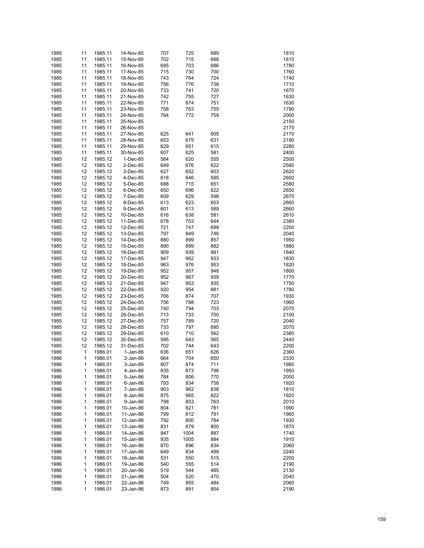| 1985 | 11 | 1985.11 | 14-Nov-85  | 707 | 725  | 689 | 1810 |
|------|----|---------|------------|-----|------|-----|------|
| 1985 | 11 | 1985.11 | 15-Nov-85  | 702 | 715  | 688 | 1810 |
| 1985 | 11 | 1985.11 | 16-Nov-85  | 695 | 703  | 686 | 1780 |
| 1985 | 11 | 1985.11 | 17-Nov-85  | 715 | 730  | 700 | 1760 |
| 1985 | 11 | 1985.11 |            | 743 | 764  | 724 | 1740 |
|      |    |         | 18-Nov-85  |     |      |     |      |
| 1985 | 11 | 1985.11 | 19-Nov-85  | 756 | 776  | 738 | 1710 |
| 1985 | 11 | 1985.11 | 20-Nov-85  | 733 | 741  | 720 | 1670 |
| 1985 | 11 | 1985.11 | 21-Nov-85  | 742 | 755  | 727 | 1630 |
| 1985 | 11 | 1985.11 | 22-Nov-85  | 771 | 874  | 751 | 1630 |
| 1985 | 11 | 1985.11 | 23-Nov-85  | 758 | 763  | 755 | 1790 |
| 1985 | 11 | 1985.11 | 24-Nov-85  | 764 | 772  | 759 | 2000 |
| 1985 | 11 | 1985.11 | 25-Nov-85  |     |      |     | 2150 |
| 1985 | 11 | 1985.11 | 26-Nov-85  |     |      |     | 2170 |
| 1985 | 11 | 1985.11 | 27-Nov-85  | 625 | 641  | 605 | 2170 |
| 1985 | 11 | 1985.11 | 28-Nov-85  | 653 | 675  | 631 | 2190 |
| 1985 | 11 | 1985.11 | 29-Nov-85  | 629 | 651  | 615 | 2280 |
| 1985 | 11 | 1985.11 | 30-Nov-85  | 607 | 625  | 581 | 2400 |
| 1985 | 12 | 1985.12 |            | 584 | 620  | 555 | 2500 |
|      |    |         | 1-Dec-85   |     |      |     | 2580 |
| 1985 | 12 | 1985.12 | 2-Dec-85   | 649 | 676  | 622 |      |
| 1985 | 12 | 1985.12 | 3-Dec-85   | 627 | 652  | 603 | 2620 |
| 1985 | 12 | 1985.12 | 4-Dec-85   | 618 | 646  | 595 | 2600 |
| 1985 | 12 | 1985.12 | 5-Dec-85   | 688 | 715  | 651 | 2580 |
| 1985 | 12 | 1985.12 | 6-Dec-85   | 650 | 696  | 622 | 2650 |
| 1985 | 12 | 1985.12 | 7-Dec-85   | 609 | 629  | 598 | 2670 |
| 1985 | 12 | 1985.12 | 8-Dec-85   | 613 | 623  | 603 | 2660 |
| 1985 | 12 | 1985.12 | 9-Dec-85   | 601 | 613  | 589 | 2660 |
| 1985 | 12 | 1985.12 | 10-Dec-85  | 616 | 638  | 591 | 2610 |
| 1985 | 12 | 1985.12 | 11-Dec-85  | 678 | 703  | 644 | 2380 |
| 1985 | 12 | 1985.12 | 12-Dec-85  | 721 | 747  | 699 | 2200 |
| 1985 | 12 | 1985.12 |            | 797 | 849  | 746 | 2040 |
|      |    |         | 13-Dec-85  |     |      |     |      |
| 1985 | 12 | 1985.12 | 14-Dec-85  | 880 | 899  | 857 | 1950 |
| 1985 | 12 | 1985.12 | 15-Dec-85  | 890 | 899  | 882 | 1880 |
| 1985 | 12 | 1985.12 | 16-Dec-85  | 909 | 939  | 881 | 1840 |
| 1985 | 12 | 1985.12 | 17-Dec-85  | 947 | 962  | 933 | 1830 |
| 1985 | 12 | 1985.12 | 18-Dec-85  | 963 | 976  | 953 | 1820 |
| 1985 | 12 | 1985.12 | 19-Dec-85  | 952 | 957  | 948 | 1800 |
| 1985 | 12 | 1985.12 | 20-Dec-85  | 952 | 967  | 939 | 1770 |
| 1985 | 12 | 1985.12 | 21-Dec-85  | 947 | 953  | 935 | 1750 |
| 1985 | 12 | 1985.12 | 22-Dec-85  | 920 | 954  | 881 | 1780 |
| 1985 | 12 | 1985.12 | 23-Dec-85  | 766 | 874  | 707 | 1930 |
| 1985 | 12 | 1985.12 | 24-Dec-85  | 756 | 788  | 723 | 1960 |
| 1985 | 12 | 1985.12 | 25-Dec-85  | 740 | 794  | 703 | 2070 |
| 1985 | 12 | 1985.12 |            | 713 | 733  | 700 | 2100 |
|      |    |         | 26-Dec-85  |     |      |     |      |
| 1985 | 12 | 1985.12 | 27-Dec-85  | 757 | 789  | 720 | 2040 |
| 1985 | 12 | 1985.12 | 28-Dec-85  | 733 | 797  | 695 | 2070 |
| 1985 | 12 | 1985.12 | 29-Dec-85  | 610 | 710  | 562 | 2380 |
| 1985 | 12 | 1985.12 | 30-Dec-85  | 595 | 643  | 565 | 2440 |
| 1985 | 12 | 1985.12 | 31-Dec-85  | 702 | 744  | 643 | 2200 |
| 1986 | 1  | 1986.01 | $1-Jan-86$ | 636 | 651  | 626 | 2360 |
| 1986 | 1  | 1986.01 | 2-Jan-86   | 664 | 704  | 650 | 2330 |
| 1986 | 1  | 1986.01 | 3-Jan-86   | 807 | 874  | 711 | 1980 |
| 1986 | 1  | 1986.01 | 4-Jan-86   | 835 | 873  | 796 | 1950 |
| 1986 | 1  | 1986.01 | 5-Jan-86   | 784 | 806  | 770 | 2000 |
| 1986 | 1  | 1986.01 | 6-Jan-86   | 793 | 834  | 758 | 1920 |
| 1986 | 1  | 1986.01 | 7-Jan-86   | 903 | 962  | 838 | 1810 |
| 1986 | 1  | 1986.01 | 8-Jan-86   | 875 | 965  | 822 | 1920 |
|      |    |         |            |     |      |     | 2010 |
| 1986 | 1  | 1986.01 | 9-Jan-86   | 798 | 853  | 763 |      |
| 1986 | 1  | 1986.01 | 10-Jan-86  | 804 | 821  | 781 | 1990 |
| 1986 | 1  | 1986.01 | 11-Jan-86  | 799 | 812  | 791 | 1960 |
| 1986 | 1  | 1986.01 | 12-Jan-86  | 792 | 800  | 784 | 1930 |
| 1986 | 1  | 1986.01 | 13-Jan-86  | 831 | 879  | 800 | 1870 |
| 1986 | 1  | 1986.01 | 14-Jan-86  | 947 | 1004 | 887 | 1740 |
| 1986 | 1  | 1986.01 | 15-Jan-86  | 935 | 1005 | 884 | 1910 |
| 1986 | 1  | 1986.01 | 16-Jan-86  | 870 | 896  | 834 | 2060 |
| 1986 | 1  | 1986.01 | 17-Jan-86  | 649 | 834  | 499 | 2240 |
| 1986 | 1  | 1986.01 | 18-Jan-86  | 531 | 550  | 515 | 2200 |
| 1986 | 1  | 1986.01 | 19-Jan-86  | 540 | 555  | 514 | 2190 |
| 1986 | 1  | 1986.01 | 20-Jan-86  | 519 | 544  | 485 | 2130 |
| 1986 | 1  | 1986.01 | 21-Jan-86  | 504 | 520  | 470 | 2040 |
| 1986 | 1  | 1986.01 | 22-Jan-86  | 749 | 955  | 484 | 2060 |
|      |    |         |            |     |      |     |      |
| 1986 | 1  | 1986.01 | 23-Jan-86  | 873 | 891  | 854 | 2190 |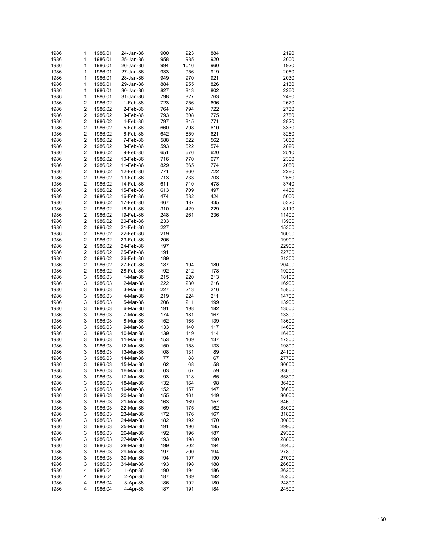| 1986 | 1                       | 1986.01 | 24-Jan-86 | 900 | 923  | 884 | 2190  |
|------|-------------------------|---------|-----------|-----|------|-----|-------|
| 1986 | 1                       | 1986.01 | 25-Jan-86 | 958 | 985  | 920 | 2000  |
| 1986 | 1                       | 1986.01 | 26-Jan-86 | 994 | 1016 | 960 | 1920  |
| 1986 | 1                       | 1986.01 | 27-Jan-86 | 933 | 956  | 919 | 2050  |
| 1986 | 1                       | 1986.01 | 28-Jan-86 | 949 | 970  | 921 | 2030  |
| 1986 | 1                       | 1986.01 | 29-Jan-86 | 884 | 955  | 826 | 2130  |
| 1986 | 1                       | 1986.01 | 30-Jan-86 | 827 | 843  | 802 | 2260  |
| 1986 | 1                       | 1986.01 | 31-Jan-86 | 798 | 827  | 763 | 2480  |
| 1986 | 2                       | 1986.02 | 1-Feb-86  | 723 | 756  | 696 | 2670  |
| 1986 | $\overline{\mathbf{c}}$ | 1986.02 | 2-Feb-86  | 764 | 794  | 722 | 2730  |
| 1986 | $\overline{\mathbf{c}}$ | 1986.02 | 3-Feb-86  | 793 | 808  | 775 | 2780  |
| 1986 | $\overline{\mathbf{c}}$ | 1986.02 | 4-Feb-86  | 797 | 815  | 771 | 2820  |
| 1986 | $\overline{\mathbf{c}}$ | 1986.02 | 5-Feb-86  | 660 | 798  | 610 | 3330  |
| 1986 | $\overline{\mathbf{c}}$ | 1986.02 | 6-Feb-86  | 642 | 659  | 621 | 3260  |
| 1986 | $\overline{\mathbf{c}}$ | 1986.02 | 7-Feb-86  | 588 | 622  | 562 | 3060  |
| 1986 | $\overline{\mathbf{c}}$ | 1986.02 | 8-Feb-86  | 593 | 622  | 574 | 2820  |
| 1986 | $\overline{\mathbf{c}}$ | 1986.02 | 9-Feb-86  | 651 | 676  | 620 | 2510  |
| 1986 | $\overline{\mathbf{c}}$ | 1986.02 | 10-Feb-86 | 716 | 770  | 677 | 2300  |
| 1986 | $\overline{\mathbf{c}}$ | 1986.02 | 11-Feb-86 | 829 | 865  | 774 | 2080  |
| 1986 | $\overline{\mathbf{c}}$ | 1986.02 | 12-Feb-86 | 771 | 860  | 722 | 2280  |
| 1986 | $\overline{\mathbf{c}}$ | 1986.02 | 13-Feb-86 | 713 | 733  | 703 | 2550  |
| 1986 | $\overline{\mathbf{c}}$ | 1986.02 | 14-Feb-86 | 611 | 710  | 478 | 3740  |
| 1986 | $\overline{\mathbf{c}}$ | 1986.02 | 15-Feb-86 | 613 | 709  | 497 | 4460  |
| 1986 | $\overline{\mathbf{c}}$ | 1986.02 | 16-Feb-86 | 474 | 582  | 424 | 5000  |
| 1986 | $\overline{\mathbf{c}}$ | 1986.02 | 17-Feb-86 | 467 | 487  | 435 | 5320  |
| 1986 | $\overline{\mathbf{c}}$ | 1986.02 | 18-Feb-86 | 310 | 429  | 229 | 8110  |
| 1986 | $\overline{\mathbf{c}}$ | 1986.02 | 19-Feb-86 | 248 | 261  | 236 | 11400 |
| 1986 | $\overline{\mathbf{c}}$ | 1986.02 | 20-Feb-86 | 233 |      |     | 13900 |
| 1986 | $\overline{\mathbf{c}}$ | 1986.02 | 21-Feb-86 | 227 |      |     | 15300 |
| 1986 | $\overline{\mathbf{c}}$ | 1986.02 | 22-Feb-86 | 219 |      |     | 16000 |
| 1986 | $\overline{\mathbf{c}}$ | 1986.02 | 23-Feb-86 | 206 |      |     | 19900 |
| 1986 | $\overline{\mathbf{c}}$ | 1986.02 | 24-Feb-86 | 197 |      |     | 22900 |
| 1986 | $\overline{\mathbf{c}}$ | 1986.02 | 25-Feb-86 | 191 |      |     | 22700 |
| 1986 | $\overline{\mathbf{c}}$ | 1986.02 | 26-Feb-86 | 189 |      |     | 21300 |
| 1986 | $\overline{\mathbf{c}}$ | 1986.02 | 27-Feb-86 | 187 | 194  | 180 | 20400 |
| 1986 | $\overline{\mathbf{c}}$ | 1986.02 | 28-Feb-86 | 192 | 212  | 178 | 19200 |
| 1986 | 3                       | 1986.03 | 1-Mar-86  | 215 | 220  | 213 | 18100 |
| 1986 | 3                       | 1986.03 | 2-Mar-86  | 222 | 230  | 216 | 16900 |
| 1986 | 3                       | 1986.03 | 3-Mar-86  | 227 | 243  | 216 | 15800 |
| 1986 | 3                       | 1986.03 | 4-Mar-86  | 219 | 224  | 211 | 14700 |
| 1986 | 3                       | 1986.03 | 5-Mar-86  | 206 | 211  | 199 | 13900 |
| 1986 | 3                       | 1986.03 | 6-Mar-86  | 191 | 198  | 182 | 13500 |
| 1986 | 3                       | 1986.03 | 7-Mar-86  | 174 | 181  | 167 | 13300 |
| 1986 | 3                       | 1986.03 | 8-Mar-86  | 152 | 165  | 139 | 13600 |
| 1986 | 3                       | 1986.03 | 9-Mar-86  | 133 | 140  | 117 | 14600 |
| 1986 | 3                       | 1986.03 | 10-Mar-86 | 139 | 149  | 114 | 16400 |
| 1986 | 3                       | 1986.03 | 11-Mar-86 | 153 | 169  | 137 | 17300 |
| 1986 | 3                       | 1986.03 | 12-Mar-86 | 150 | 158  | 133 | 19800 |
| 1986 | 3                       | 1986.03 | 13-Mar-86 | 108 | 131  | 89  | 24100 |
| 1986 | 3                       | 1986.03 | 14-Mar-86 | 77  | 88   | 67  | 27700 |
| 1986 | 3                       | 1986.03 | 15-Mar-86 | 62  | 68   | 58  | 30600 |
| 1986 | 3                       | 1986.03 | 16-Mar-86 | 63  | 67   | 59  | 33000 |
| 1986 | 3                       | 1986.03 | 17-Mar-86 | 93  | 118  | 65  | 35800 |
| 1986 | 3                       | 1986.03 | 18-Mar-86 | 132 | 164  | 98  | 36400 |
| 1986 | 3                       | 1986.03 | 19-Mar-86 | 152 | 157  | 147 | 36600 |
| 1986 | 3                       | 1986.03 | 20-Mar-86 | 155 | 161  | 149 | 36000 |
| 1986 | 3                       | 1986.03 | 21-Mar-86 | 163 | 169  | 157 | 34600 |
| 1986 | 3                       | 1986.03 | 22-Mar-86 | 169 | 175  | 162 | 33000 |
| 1986 | 3                       | 1986.03 | 23-Mar-86 | 172 | 176  | 167 | 31800 |
| 1986 | 3                       | 1986.03 | 24-Mar-86 | 182 | 192  | 170 | 30800 |
| 1986 | 3                       | 1986.03 | 25-Mar-86 | 191 | 196  | 185 | 29900 |
| 1986 | 3                       | 1986.03 | 26-Mar-86 | 192 | 196  | 187 | 29300 |
| 1986 | 3                       | 1986.03 | 27-Mar-86 | 193 | 198  | 190 | 28800 |
| 1986 | 3                       | 1986.03 | 28-Mar-86 | 199 | 202  | 194 | 28400 |
| 1986 | 3                       | 1986.03 | 29-Mar-86 | 197 | 200  | 194 | 27800 |
| 1986 | 3                       | 1986.03 | 30-Mar-86 | 194 | 197  | 190 | 27000 |
| 1986 | 3                       | 1986.03 | 31-Mar-86 | 193 | 198  | 188 | 26600 |
| 1986 | 4                       | 1986.04 | 1-Apr-86  | 190 | 194  | 186 | 26200 |
| 1986 | 4                       | 1986.04 | 2-Apr-86  | 187 | 189  | 182 | 25300 |
| 1986 | 4                       | 1986.04 | 3-Apr-86  | 186 | 192  | 180 | 24800 |
| 1986 | 4                       | 1986.04 | 4-Apr-86  | 187 | 191  | 184 | 24500 |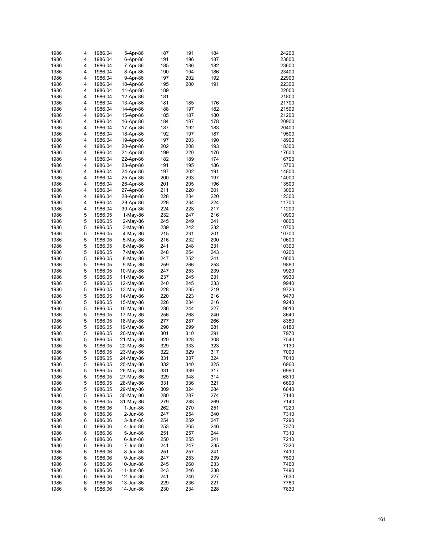| 1986 | 4 | 1986.04 | 5-Apr-86   | 187 | 191 | 184 | 24200 |
|------|---|---------|------------|-----|-----|-----|-------|
| 1986 | 4 | 1986.04 | 6-Apr-86   | 191 | 196 | 187 | 23800 |
| 1986 | 4 | 1986.04 | 7-Apr-86   | 185 | 186 | 182 | 23600 |
| 1986 | 4 | 1986.04 | 8-Apr-86   | 190 | 194 | 186 | 23400 |
| 1986 | 4 | 1986.04 | 9-Apr-86   | 197 | 202 | 192 | 22900 |
|      |   |         |            |     |     |     |       |
| 1986 | 4 | 1986.04 | 10-Apr-86  | 195 | 200 | 191 | 22300 |
| 1986 | 4 | 1986.04 | 11-Apr-86  | 189 |     |     | 22000 |
| 1986 | 4 | 1986.04 | 12-Apr-86  | 181 |     |     | 21800 |
| 1986 | 4 | 1986.04 | 13-Apr-86  | 181 | 185 | 176 | 21700 |
| 1986 | 4 | 1986.04 | 14-Apr-86  | 188 | 197 | 182 | 21500 |
| 1986 | 4 | 1986.04 | 15-Apr-86  | 185 | 187 | 180 | 21200 |
| 1986 | 4 | 1986.04 | 16-Apr-86  | 184 | 187 | 178 | 20900 |
| 1986 | 4 | 1986.04 | 17-Apr-86  | 187 | 192 | 183 | 20400 |
| 1986 | 4 | 1986.04 | 18-Apr-86  | 192 | 197 | 187 | 19500 |
| 1986 | 4 | 1986.04 | 19-Apr-86  | 197 | 203 | 190 | 18900 |
| 1986 | 4 | 1986.04 | 20-Apr-86  | 202 | 208 | 193 | 18300 |
| 1986 | 4 | 1986.04 | 21-Apr-86  | 199 | 220 | 176 | 17600 |
| 1986 | 4 | 1986.04 | 22-Apr-86  | 182 | 189 | 174 | 16700 |
| 1986 | 4 | 1986.04 | 23-Apr-86  | 191 | 195 | 186 | 15700 |
| 1986 | 4 | 1986.04 | 24-Apr-86  | 197 | 202 | 191 | 14800 |
| 1986 | 4 | 1986.04 | 25-Apr-86  | 200 | 203 | 197 | 14000 |
| 1986 | 4 | 1986.04 | 26-Apr-86  | 201 | 205 | 196 | 13500 |
|      | 4 | 1986.04 | 27-Apr-86  | 211 | 220 |     | 13000 |
| 1986 |   |         |            |     |     | 201 |       |
| 1986 | 4 | 1986.04 | 28-Apr-86  | 228 | 234 | 220 | 12300 |
| 1986 | 4 | 1986.04 | 29-Apr-86  | 228 | 234 | 224 | 11700 |
| 1986 | 4 | 1986.04 | 30-Apr-86  | 224 | 228 | 217 | 11200 |
| 1986 | 5 | 1986.05 | $1-May-86$ | 232 | 247 | 216 | 10900 |
| 1986 | 5 | 1986.05 | 2-May-86   | 245 | 249 | 241 | 10800 |
| 1986 | 5 | 1986.05 | 3-May-86   | 239 | 242 | 232 | 10700 |
| 1986 | 5 | 1986.05 | 4-May-86   | 215 | 231 | 201 | 10700 |
| 1986 | 5 | 1986.05 | 5-May-86   | 216 | 232 | 200 | 10600 |
| 1986 | 5 | 1986.05 | 6-May-86   | 241 | 248 | 231 | 10300 |
| 1986 | 5 | 1986.05 | 7-May-86   | 248 | 254 | 243 | 10200 |
| 1986 | 5 | 1986.05 | 8-May-86   | 247 | 252 | 241 | 10000 |
| 1986 | 5 | 1986.05 | 9-May-86   | 259 | 266 | 253 | 9860  |
| 1986 | 5 | 1986.05 | 10-May-86  | 247 | 253 | 239 | 9920  |
| 1986 | 5 | 1986.05 | 11-May-86  | 237 | 245 | 231 | 9930  |
| 1986 | 5 | 1986.05 | 12-May-86  | 240 | 245 | 233 | 9940  |
| 1986 | 5 | 1986.05 | 13-May-86  | 228 | 235 | 219 | 9720  |
| 1986 | 5 | 1986.05 | 14-May-86  | 220 | 223 | 216 | 9470  |
| 1986 | 5 |         |            | 226 | 234 | 216 | 9240  |
|      |   | 1986.05 | 15-May-86  |     |     |     |       |
| 1986 | 5 | 1986.05 | 16-May-86  | 236 | 244 | 227 | 9010  |
| 1986 | 5 | 1986.05 | 17-May-86  | 256 | 268 | 240 | 8640  |
| 1986 | 5 | 1986.05 | 18-May-86  | 277 | 287 | 266 | 8350  |
| 1986 | 5 | 1986.05 | 19-May-86  | 290 | 299 | 281 | 8180  |
| 1986 | 5 | 1986.05 | 20-May-86  | 301 | 310 | 291 | 7970  |
| 1986 | 5 | 1986.05 | 21-May-86  | 320 | 328 | 308 | 7540  |
| 1986 | 5 | 1986.05 | 22-May-86  | 329 | 333 | 323 | 7130  |
| 1986 | 5 | 1986.05 | 23-May-86  | 322 | 329 | 317 | 7000  |
| 1986 | 5 | 1986.05 | 24-May-86  | 331 | 337 | 324 | 7010  |
| 1986 | 5 | 1986.05 | 25-May-86  | 332 | 340 | 325 | 6960  |
| 1986 | 5 | 1986.05 | 26-May-86  | 331 | 339 | 317 | 6990  |
| 1986 | 5 | 1986.05 | 27-May-86  | 329 | 348 | 314 | 6810  |
| 1986 | 5 | 1986.05 | 28-May-86  | 331 | 336 | 321 | 6690  |
| 1986 | 5 | 1986.05 | 29-May-86  | 309 | 324 | 284 | 6840  |
| 1986 | 5 | 1986.05 | 30-May-86  | 280 | 287 | 274 | 7140  |
| 1986 | 5 | 1986.05 | 31-May-86  | 279 | 288 | 269 | 7140  |
| 1986 | 6 | 1986.06 | 1-Jun-86   | 262 | 270 | 251 | 7220  |
| 1986 |   |         |            | 247 | 254 | 240 | 7310  |
| 1986 | 6 | 1986.06 | 2-Jun-86   | 254 | 259 | 247 | 7290  |
|      | 6 | 1986.06 | 3-Jun-86   |     |     |     |       |
| 1986 | 6 | 1986.06 | 4-Jun-86   | 253 | 265 | 246 | 7370  |
| 1986 | 6 | 1986.06 | 5-Jun-86   | 251 | 257 | 244 | 7310  |
| 1986 | 6 | 1986.06 | 6-Jun-86   | 250 | 255 | 241 | 7210  |
| 1986 | 6 | 1986.06 | 7-Jun-86   | 241 | 247 | 235 | 7320  |
| 1986 | 6 | 1986.06 | 8-Jun-86   | 251 | 257 | 241 | 7410  |
| 1986 | 6 | 1986.06 | 9-Jun-86   | 247 | 253 | 239 | 7500  |
| 1986 | 6 | 1986.06 | 10-Jun-86  | 245 | 260 | 233 | 7460  |
| 1986 | 6 | 1986.06 | 11-Jun-86  | 243 | 246 | 238 | 7490  |
| 1986 | 6 | 1986.06 | 12-Jun-86  | 241 | 246 | 227 | 7630  |
| 1986 | 6 | 1986.06 | 13-Jun-86  | 229 | 236 | 221 | 7780  |
| 1986 | 6 | 1986.06 | 14-Jun-86  | 230 | 234 | 228 | 7830  |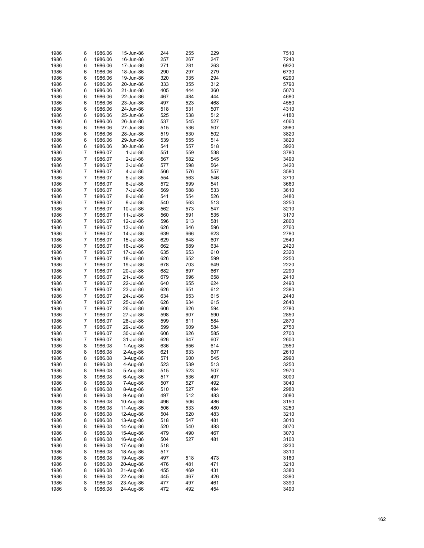| 1986 | 6              | 1986.06 | 15-Jun-86 | 244 | 255 | 229 | 7510         |
|------|----------------|---------|-----------|-----|-----|-----|--------------|
| 1986 | 6              | 1986.06 | 16-Jun-86 | 257 | 267 | 247 | 7240         |
| 1986 | 6              | 1986.06 | 17-Jun-86 | 271 | 281 | 263 | 6920         |
| 1986 | 6              | 1986.06 | 18-Jun-86 | 290 | 297 | 279 | 6730         |
| 1986 | 6              | 1986.06 |           | 320 | 335 | 294 | 6290         |
|      |                |         | 19-Jun-86 |     |     |     |              |
| 1986 | 6              | 1986.06 | 20-Jun-86 | 333 | 355 | 312 | 5790         |
| 1986 | 6              | 1986.06 | 21-Jun-86 | 405 | 444 | 360 | 5070         |
| 1986 | 6              | 1986.06 | 22-Jun-86 | 467 | 484 | 444 | 4680         |
| 1986 | 6              | 1986.06 | 23-Jun-86 | 497 | 523 | 468 | 4550         |
| 1986 | 6              | 1986.06 | 24-Jun-86 | 518 | 531 | 507 | 4310         |
| 1986 | 6              | 1986.06 | 25-Jun-86 | 525 | 538 | 512 | 4180         |
| 1986 | 6              | 1986.06 | 26-Jun-86 | 537 | 545 | 527 | 4060         |
| 1986 | 6              | 1986.06 | 27-Jun-86 | 515 | 536 | 507 | 3980         |
| 1986 | 6              | 1986.06 | 28-Jun-86 | 519 | 530 | 502 | 3820         |
| 1986 | 6              | 1986.06 | 29-Jun-86 | 539 | 555 | 514 | 3820         |
| 1986 | 6              | 1986.06 | 30-Jun-86 | 541 | 557 | 518 | 3920         |
| 1986 | 7              | 1986.07 | 1-Jul-86  | 551 | 559 | 538 | 3780         |
| 1986 | 7              | 1986.07 | 2-Jul-86  | 567 | 582 | 545 | 3490         |
| 1986 | $\overline{7}$ | 1986.07 | 3-Jul-86  | 577 | 598 | 564 | 3420         |
| 1986 | 7              | 1986.07 | 4-Jul-86  | 566 | 576 | 557 | 3580         |
| 1986 | $\overline{7}$ | 1986.07 | 5-Jul-86  | 554 | 563 | 546 | 3710         |
| 1986 | 7              | 1986.07 |           | 572 | 599 | 541 | 3660         |
|      | $\overline{7}$ |         | 6-Jul-86  |     |     |     |              |
| 1986 |                | 1986.07 | 7-Jul-86  | 569 | 588 | 533 | 3610         |
| 1986 | 7              | 1986.07 | 8-Jul-86  | 541 | 554 | 526 | 3480         |
| 1986 | $\overline{7}$ | 1986.07 | 9-Jul-86  | 540 | 563 | 513 | 3250         |
| 1986 | 7              | 1986.07 | 10-Jul-86 | 562 | 573 | 547 | 3210         |
| 1986 | $\overline{7}$ | 1986.07 | 11-Jul-86 | 560 | 591 | 535 | 3170         |
| 1986 | 7              | 1986.07 | 12-Jul-86 | 596 | 613 | 581 | 2860         |
| 1986 | $\overline{7}$ | 1986.07 | 13-Jul-86 | 626 | 646 | 596 | 2760         |
| 1986 | 7              | 1986.07 | 14-Jul-86 | 639 | 666 | 623 | 2780         |
| 1986 | $\overline{7}$ | 1986.07 | 15-Jul-86 | 629 | 648 | 607 | 2540         |
| 1986 | 7              | 1986.07 | 16-Jul-86 | 662 | 689 | 634 | 2420         |
| 1986 | $\overline{7}$ | 1986.07 | 17-Jul-86 | 635 | 653 | 610 | 2320         |
| 1986 | 7              | 1986.07 | 18-Jul-86 | 626 | 652 | 599 | 2250         |
| 1986 | $\overline{7}$ | 1986.07 | 19-Jul-86 | 678 | 703 | 649 | 2220         |
| 1986 | 7              | 1986.07 | 20-Jul-86 | 682 | 697 | 667 | 2290         |
| 1986 | $\overline{7}$ | 1986.07 | 21-Jul-86 | 679 | 696 | 658 | 2410         |
| 1986 | 7              | 1986.07 | 22-Jul-86 | 640 | 655 | 624 | 2490         |
| 1986 | $\overline{7}$ | 1986.07 | 23-Jul-86 | 626 | 651 | 612 | 2380         |
| 1986 | 7              |         |           | 634 | 653 | 615 | 2440         |
|      | $\overline{7}$ | 1986.07 | 24-Jul-86 |     |     |     |              |
| 1986 |                | 1986.07 | 25-Jul-86 | 626 | 634 | 615 | 2640         |
| 1986 | 7              | 1986.07 | 26-Jul-86 | 606 | 626 | 594 | 2780         |
| 1986 | $\overline{7}$ | 1986.07 | 27-Jul-86 | 598 | 607 | 590 | 2850         |
| 1986 | 7              | 1986.07 | 28-Jul-86 | 599 | 611 | 584 | 2870         |
| 1986 | $\overline{7}$ | 1986.07 | 29-Jul-86 | 599 | 609 | 584 | 2750         |
| 1986 | 7              | 1986.07 | 30-Jul-86 | 606 | 626 | 585 | 2700         |
| 1986 | $\overline{7}$ | 1986.07 | 31-Jul-86 | 626 | 647 | 607 | 2600         |
| 1986 | 8              | 1986.08 | 1-Aug-86  | 636 | 656 | 614 | 2550         |
| 1986 | 8              | 1986.08 | 2-Aug-86  | 621 | 633 | 607 | 2610         |
| 1986 | 8              | 1986.08 | 3-Aug-86  | 571 | 600 | 545 | 2990         |
| 1986 | 8              | 1986.08 | 4-Aug-86  | 523 | 539 | 513 | 3250         |
| 1986 | 8              | 1986.08 | 5-Aug-86  | 515 | 523 | 507 | 2970         |
| 1986 | 8              | 1986.08 | 6-Aug-86  | 517 | 536 | 497 | 3000         |
| 1986 | 8              | 1986.08 | 7-Aug-86  | 507 | 527 | 492 | 3040         |
| 1986 | 8              | 1986.08 | 8-Aug-86  | 510 | 527 | 494 | 2980         |
| 1986 | 8              | 1986.08 | 9-Aug-86  | 497 | 512 | 483 | 3080         |
| 1986 | 8              | 1986.08 | 10-Aug-86 | 496 | 506 | 486 | 3150         |
| 1986 | 8              | 1986.08 | 11-Aug-86 | 506 | 533 | 480 | 3250         |
|      |                |         |           |     |     |     |              |
| 1986 | 8              | 1986.08 | 12-Aug-86 | 504 | 520 | 483 | 3210<br>3010 |
| 1986 | 8              | 1986.08 | 13-Aug-86 | 518 | 547 | 481 |              |
| 1986 | 8              | 1986.08 | 14-Aug-86 | 520 | 540 | 483 | 3070         |
| 1986 | 8              | 1986.08 | 15-Aug-86 | 479 | 490 | 467 | 3070         |
| 1986 | 8              | 1986.08 | 16-Aug-86 | 504 | 527 | 481 | 3100         |
| 1986 | 8              | 1986.08 | 17-Aug-86 | 518 |     |     | 3230         |
| 1986 | 8              | 1986.08 | 18-Aug-86 | 517 |     |     | 3310         |
| 1986 | 8              | 1986.08 | 19-Aug-86 | 497 | 518 | 473 | 3160         |
| 1986 | 8              | 1986.08 | 20-Aug-86 | 476 | 481 | 471 | 3210         |
| 1986 | 8              | 1986.08 | 21-Aug-86 | 455 | 469 | 431 | 3380         |
| 1986 | 8              | 1986.08 | 22-Aug-86 | 445 | 467 | 426 | 3390         |
| 1986 | 8              | 1986.08 | 23-Aug-86 | 477 | 497 | 461 | 3390         |
| 1986 | 8              | 1986.08 | 24-Aug-86 | 472 | 492 | 454 | 3490         |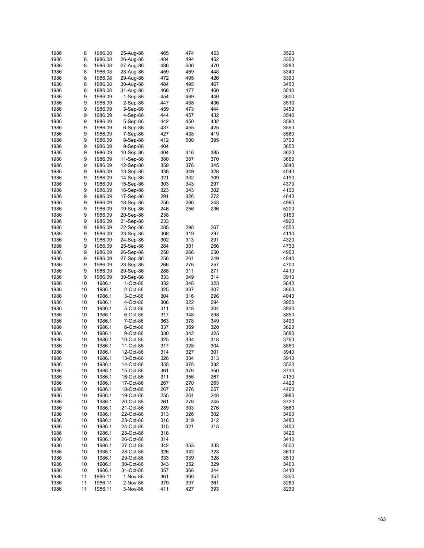| 1986 | 8  | 1986.08 | 25-Aug-86  | 465        | 474 | 453 | 3520         |
|------|----|---------|------------|------------|-----|-----|--------------|
| 1986 | 8  | 1986.08 | 26-Aug-86  | 484        | 494 | 452 | 3300         |
| 1986 | 8  | 1986.08 | 27-Aug-86  | 486        | 506 | 470 | 3280         |
| 1986 | 8  | 1986.08 | 28-Aug-86  | 459        | 469 | 448 | 3340         |
| 1986 | 8  | 1986.08 | 29-Aug-86  | 472        | 495 | 426 | 3390         |
| 1986 | 8  | 1986.08 | 30-Aug-86  | 484        | 495 | 467 | 3450         |
| 1986 | 8  | 1986.08 | 31-Aug-86  | 468        | 477 | 460 | 3510         |
| 1986 | 9  | 1986.09 | $1-Sep-86$ | 454        | 469 | 440 | 3600         |
| 1986 | 9  | 1986.09 | $2-Sep-86$ | 447        | 458 | 436 | 3510         |
| 1986 | 9  | 1986.09 | 3-Sep-86   | 459        | 473 | 444 | 3450         |
| 1986 | 9  | 1986.09 | 4-Sep-86   | 444        | 457 | 432 | 3540         |
| 1986 | 9  | 1986.09 | 5-Sep-86   | 442        | 450 | 432 | 3580         |
| 1986 | 9  | 1986.09 | $6-Sep-86$ | 437        | 455 | 425 | 3550         |
| 1986 | 9  | 1986.09 | 7-Sep-86   | 427        | 438 | 419 | 3560         |
| 1986 | 9  | 1986.09 | 8-Sep-86   | 412        | 500 | 395 | 3790         |
| 1986 | 9  | 1986.09 | 9-Sep-86   | 404        |     |     | 3650         |
| 1986 | 9  | 1986.09 | 10-Sep-86  | 404        | 416 | 385 | 3620         |
| 1986 | 9  | 1986.09 | 11-Sep-86  | 380        | 387 | 370 | 3660         |
| 1986 | 9  | 1986.09 | 12-Sep-86  | 359        | 376 | 345 | 3840         |
| 1986 | 9  | 1986.09 | 13-Sep-86  | 338        | 349 | 328 | 4040         |
| 1986 | 9  | 1986.09 | 14-Sep-86  | 321        | 332 | 309 | 4190         |
| 1986 | 9  | 1986.09 | 15-Sep-86  | 303        | 343 | 297 | 4370         |
| 1986 | 9  | 1986.09 | 16-Sep-86  | 323        | 343 | 302 | 4100         |
| 1986 | 9  | 1986.09 | 17-Sep-86  | 291        | 326 | 272 | 4640         |
| 1986 | 9  | 1986.09 | 18-Sep-86  | 256        | 266 | 243 | 4980         |
| 1986 | 9  | 1986.09 | 19-Sep-86  | 246        | 256 | 236 | 5200         |
| 1986 | 9  | 1986.09 | 20-Sep-86  | 238        |     |     | 5160         |
| 1986 | 9  | 1986.09 | 21-Sep-86  | 233        |     |     | 4920         |
| 1986 | 9  |         |            | 285        | 298 | 267 | 4550         |
| 1986 | 9  | 1986.09 | 22-Sep-86  | 308        | 319 | 297 | 4110         |
| 1986 | 9  | 1986.09 | 23-Sep-86  | 302        | 313 | 291 | 4320         |
| 1986 | 9  | 1986.09 | 24-Sep-86  | 284        | 301 |     | 4730         |
|      |    | 1986.09 | 25-Sep-86  |            |     | 266 |              |
| 1986 | 9  | 1986.09 | 26-Sep-86  | 258        | 266 | 250 | 4900         |
| 1986 | 9  | 1986.09 | 27-Sep-86  | 256        | 261 | 249 | 4840         |
| 1986 | 9  | 1986.09 | 28-Sep-86  | 266        | 276 | 257 | 4700         |
| 1986 | 9  | 1986.09 | 29-Sep-86  | 288        | 311 | 271 | 4410         |
| 1986 | 9  | 1986.09 | 30-Sep-86  | 333        | 349 | 314 | 3910         |
| 1986 | 10 | 1986.1  | 1-Oct-86   | 332        | 348 | 323 | 3840         |
| 1986 | 10 | 1986.1  | 2-Oct-86   | 325        | 337 | 307 | 3860         |
| 1986 | 10 | 1986.1  | 3-Oct-86   | 304        | 316 | 296 | 4040         |
| 1986 | 10 | 1986.1  | 4-Oct-86   | 306        | 322 | 294 | 3950         |
| 1986 | 10 | 1986.1  | 5-Oct-86   | 311        | 318 | 304 | 3930         |
| 1986 | 10 | 1986.1  | 6-Oct-86   | 317        | 348 | 298 | 3850         |
| 1986 | 10 | 1986.1  | 7-Oct-86   | 363<br>337 | 378 | 349 | 3490         |
| 1986 | 10 | 1986.1  | 8-Oct-86   |            | 369 | 320 | 3620         |
| 1986 | 10 | 1986.1  | 9-Oct-86   | 330        | 342 | 325 | 3680         |
| 1986 | 10 | 1986.1  | 10-Oct-86  | 325        | 334 | 318 | 3760         |
| 1986 | 10 | 1986.1  | 11-Oct-86  | 317        | 328 | 304 | 3850         |
| 1986 | 10 | 1986.1  | 12-Oct-86  | 314        | 327 | 301 | 3940         |
| 1986 | 10 | 1986.1  | 13-Oct-86  | 326        | 334 | 313 | 3910         |
| 1986 | 10 | 1986.1  | 14-Oct-86  | 355        | 378 | 332 | 3520         |
| 1986 | 10 | 1986.1  | 15-Oct-86  | 361        | 376 | 350 | 3730         |
| 1986 | 10 | 1986.1  | 16-Oct-86  | 311        | 356 | 267 | 4130<br>4420 |
| 1986 | 10 | 1986.1  | 17-Oct-86  | 267        | 270 | 263 |              |
| 1986 | 10 | 1986.1  | 18-Oct-86  | 267        | 276 | 257 | 4460         |
| 1986 | 10 | 1986.1  | 19-Oct-86  | 255        | 261 | 248 | 3980         |
| 1986 | 10 | 1986.1  | 20-Oct-86  | 261        | 276 | 245 | 3720         |
| 1986 | 10 | 1986.1  | 21-Oct-86  | 289        | 303 | 276 | 3560         |
| 1986 | 10 | 1986.1  | 22-Oct-86  | 313        | 326 | 302 | 3490         |
| 1986 | 10 | 1986.1  | 23-Oct-86  | 316        | 319 | 312 | 3480         |
| 1986 | 10 | 1986.1  | 24-Oct-86  | 315        | 321 | 313 | 3450         |
| 1986 | 10 | 1986.1  | 25-Oct-86  | 318        |     |     | 3420         |
| 1986 | 10 | 1986.1  | 26-Oct-86  | 314        |     |     | 3410         |
| 1986 | 10 | 1986.1  | 27-Oct-86  | 342        | 353 | 333 | 3500         |
| 1986 | 10 | 1986.1  | 28-Oct-86  | 326        | 332 | 323 | 3610         |
| 1986 | 10 | 1986.1  | 29-Oct-86  | 333        | 339 | 328 | 3510         |
| 1986 | 10 | 1986.1  | 30-Oct-86  | 343        | 352 | 329 | 3460         |
| 1986 | 10 | 1986.1  | 31-Oct-86  | 357        | 368 | 344 | 3410         |
| 1986 | 11 | 1986.11 | 1-Nov-86   | 361        | 366 | 357 | 3350         |
| 1986 | 11 | 1986.11 | 2-Nov-86   | 379        | 397 | 361 | 3280         |
| 1986 | 11 | 1986.11 | 3-Nov-86   | 411        | 427 | 393 | 3230         |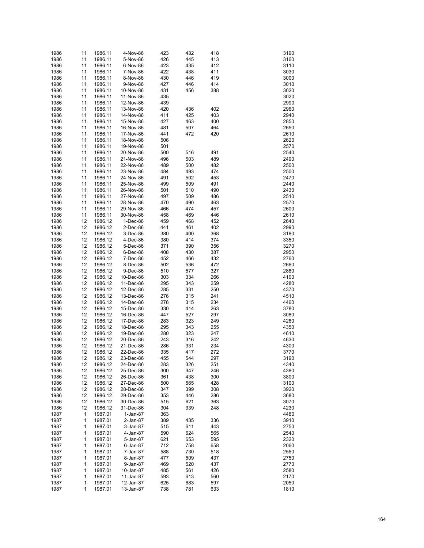| 1986 | 11 | 1986.11 | 4-Nov-86  | 423 | 432 | 418 | 3190 |
|------|----|---------|-----------|-----|-----|-----|------|
| 1986 | 11 | 1986.11 | 5-Nov-86  | 426 | 445 | 413 | 3160 |
|      |    |         |           | 423 |     |     | 3110 |
| 1986 | 11 | 1986.11 | 6-Nov-86  |     | 435 | 412 |      |
| 1986 | 11 | 1986.11 | 7-Nov-86  | 422 | 438 | 411 | 3030 |
| 1986 | 11 | 1986.11 | 8-Nov-86  | 430 | 446 | 419 | 3000 |
| 1986 | 11 | 1986.11 | 9-Nov-86  | 427 | 446 | 414 | 3010 |
| 1986 | 11 | 1986.11 | 10-Nov-86 | 431 | 456 | 388 | 3020 |
| 1986 | 11 | 1986.11 | 11-Nov-86 | 435 |     |     | 3020 |
| 1986 | 11 | 1986.11 | 12-Nov-86 | 439 |     |     | 2990 |
| 1986 | 11 | 1986.11 | 13-Nov-86 | 420 | 436 | 402 | 2960 |
| 1986 | 11 | 1986.11 | 14-Nov-86 | 411 | 425 | 403 | 2940 |
| 1986 | 11 | 1986.11 | 15-Nov-86 | 427 | 463 | 400 | 2850 |
| 1986 | 11 | 1986.11 | 16-Nov-86 | 481 | 507 | 464 | 2650 |
| 1986 | 11 | 1986.11 | 17-Nov-86 | 441 | 472 | 420 | 2610 |
|      |    |         |           |     |     |     | 2620 |
| 1986 | 11 | 1986.11 | 18-Nov-86 | 506 |     |     |      |
| 1986 | 11 | 1986.11 | 19-Nov-86 | 501 |     |     | 2570 |
| 1986 | 11 | 1986.11 | 20-Nov-86 | 500 | 516 | 491 | 2540 |
| 1986 | 11 | 1986.11 | 21-Nov-86 | 496 | 503 | 489 | 2490 |
| 1986 | 11 | 1986.11 | 22-Nov-86 | 489 | 500 | 482 | 2500 |
| 1986 | 11 | 1986.11 | 23-Nov-86 | 484 | 493 | 474 | 2500 |
| 1986 | 11 | 1986.11 | 24-Nov-86 | 491 | 502 | 453 | 2470 |
| 1986 | 11 | 1986.11 | 25-Nov-86 | 499 | 509 | 491 | 2440 |
| 1986 | 11 | 1986.11 | 26-Nov-86 | 501 | 510 | 490 | 2430 |
| 1986 | 11 | 1986.11 | 27-Nov-86 | 497 | 509 | 486 | 2510 |
| 1986 | 11 | 1986.11 | 28-Nov-86 | 470 | 490 | 463 | 2570 |
|      |    |         |           |     |     |     |      |
| 1986 | 11 | 1986.11 | 29-Nov-86 | 466 | 474 | 457 | 2600 |
| 1986 | 11 | 1986.11 | 30-Nov-86 | 458 | 469 | 446 | 2610 |
| 1986 | 12 | 1986.12 | 1-Dec-86  | 459 | 468 | 452 | 2640 |
| 1986 | 12 | 1986.12 | 2-Dec-86  | 441 | 461 | 402 | 2990 |
| 1986 | 12 | 1986.12 | 3-Dec-86  | 380 | 400 | 368 | 3180 |
| 1986 | 12 | 1986.12 | 4-Dec-86  | 380 | 414 | 374 | 3350 |
| 1986 | 12 | 1986.12 | 5-Dec-86  | 371 | 390 | 356 | 3270 |
| 1986 | 12 | 1986.12 | 6-Dec-86  | 408 | 430 | 387 | 2950 |
| 1986 | 12 | 1986.12 | 7-Dec-86  | 452 | 466 | 432 | 2760 |
| 1986 | 12 | 1986.12 | 8-Dec-86  | 502 | 536 | 472 | 2660 |
| 1986 | 12 |         |           | 510 | 577 | 327 | 2880 |
|      |    | 1986.12 | 9-Dec-86  |     |     |     |      |
| 1986 | 12 | 1986.12 | 10-Dec-86 | 303 | 334 | 266 | 4100 |
| 1986 | 12 | 1986.12 | 11-Dec-86 | 295 | 343 | 259 | 4280 |
| 1986 | 12 | 1986.12 | 12-Dec-86 | 285 | 331 | 250 | 4370 |
| 1986 | 12 | 1986.12 | 13-Dec-86 | 276 | 315 | 241 | 4510 |
| 1986 | 12 | 1986.12 | 14-Dec-86 | 276 | 315 | 234 | 4460 |
| 1986 | 12 | 1986.12 | 15-Dec-86 | 330 | 414 | 263 | 3780 |
| 1986 | 12 | 1986.12 | 16-Dec-86 | 447 | 527 | 297 | 3080 |
| 1986 | 12 | 1986.12 | 17-Dec-86 | 283 | 323 | 249 | 4260 |
| 1986 | 12 | 1986.12 | 18-Dec-86 | 295 | 343 | 255 | 4350 |
| 1986 | 12 | 1986.12 | 19-Dec-86 | 280 | 323 | 247 | 4610 |
| 1986 | 12 | 1986.12 | 20-Dec-86 | 243 | 316 | 242 | 4630 |
|      |    |         |           |     |     |     |      |
| 1986 | 12 | 1986.12 | 21-Dec-86 | 286 | 331 | 234 | 4300 |
| 1986 | 12 | 1986.12 | 22-Dec-86 | 335 | 417 | 272 | 3770 |
| 1986 | 12 | 1986.12 | 23-Dec-86 | 455 | 544 | 297 | 3190 |
| 1986 | 12 | 1986.12 | 24-Dec-86 | 283 | 326 | 251 | 4340 |
| 1986 | 12 | 1986.12 | 25-Dec-86 | 300 | 347 | 246 | 4380 |
| 1986 | 12 | 1986.12 | 26-Dec-86 | 361 | 438 | 300 | 3800 |
| 1986 | 12 | 1986.12 | 27-Dec-86 | 500 | 565 | 428 | 3100 |
| 1986 | 12 | 1986.12 | 28-Dec-86 | 347 | 399 | 308 | 3920 |
| 1986 | 12 | 1986.12 | 29-Dec-86 | 353 | 446 | 286 | 3680 |
| 1986 | 12 | 1986.12 | 30-Dec-86 | 515 | 621 | 363 | 3070 |
| 1986 |    |         |           |     | 339 |     | 4230 |
|      | 12 | 1986.12 | 31-Dec-86 | 304 |     | 248 |      |
| 1987 | 1  | 1987.01 | 1-Jan-87  | 363 |     |     | 4480 |
| 1987 | 1  | 1987.01 | 2-Jan-87  | 389 | 435 | 336 | 3910 |
| 1987 | 1  | 1987.01 | 3-Jan-87  | 515 | 611 | 443 | 2750 |
| 1987 | 1  | 1987.01 | 4-Jan-87  | 590 | 624 | 565 | 2540 |
| 1987 | 1  | 1987.01 | 5-Jan-87  | 621 | 653 | 595 | 2320 |
| 1987 | 1  | 1987.01 | 6-Jan-87  | 712 | 758 | 658 | 2060 |
| 1987 | 1  | 1987.01 | 7-Jan-87  | 588 | 730 | 518 | 2550 |
| 1987 | 1  | 1987.01 | 8-Jan-87  | 477 | 509 | 437 | 2750 |
| 1987 | 1  | 1987.01 | 9-Jan-87  | 469 | 520 | 437 | 2770 |
| 1987 | 1  | 1987.01 |           | 485 | 561 | 426 | 2580 |
|      |    |         | 10-Jan-87 |     |     |     |      |
| 1987 | 1  | 1987.01 | 11-Jan-87 | 593 | 613 | 560 | 2170 |
| 1987 | 1  | 1987.01 | 12-Jan-87 | 625 | 683 | 597 | 2050 |
| 1987 | 1  | 1987.01 | 13-Jan-87 | 738 | 781 | 633 | 1810 |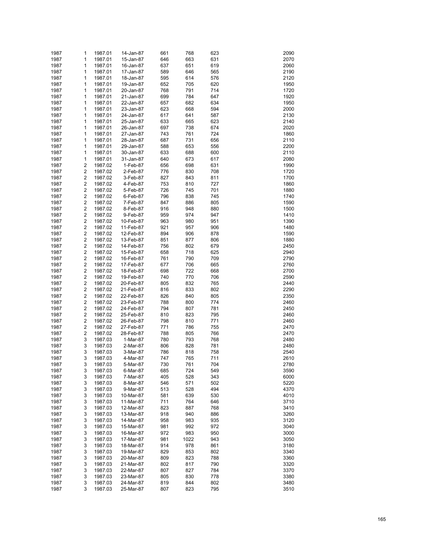| 1987 | 1                       | 1987.01 | 14-Jan-87 | 661 | 768  | 623 | 2090 |
|------|-------------------------|---------|-----------|-----|------|-----|------|
| 1987 | 1                       | 1987.01 | 15-Jan-87 | 646 | 663  | 631 | 2070 |
|      |                         |         |           |     |      |     |      |
| 1987 | 1                       | 1987.01 | 16-Jan-87 | 637 | 651  | 619 | 2060 |
| 1987 | 1                       | 1987.01 | 17-Jan-87 | 589 | 646  | 565 | 2190 |
| 1987 | 1                       | 1987.01 | 18-Jan-87 | 595 | 614  | 576 | 2120 |
| 1987 | 1                       | 1987.01 | 19-Jan-87 | 652 | 705  | 620 | 1950 |
| 1987 | 1                       | 1987.01 | 20-Jan-87 | 768 | 791  | 714 | 1720 |
| 1987 | 1                       | 1987.01 | 21-Jan-87 | 699 | 784  | 647 | 1920 |
| 1987 | 1                       | 1987.01 | 22-Jan-87 | 657 | 682  | 634 | 1950 |
| 1987 | 1                       | 1987.01 | 23-Jan-87 | 623 | 668  | 594 | 2000 |
| 1987 | 1                       | 1987.01 | 24-Jan-87 | 617 | 641  | 587 | 2130 |
| 1987 | 1                       | 1987.01 | 25-Jan-87 | 633 | 665  | 623 | 2140 |
| 1987 | 1                       | 1987.01 | 26-Jan-87 | 697 | 738  | 674 | 2020 |
|      |                         |         |           |     |      |     |      |
| 1987 | 1                       | 1987.01 | 27-Jan-87 | 743 | 761  | 724 | 1860 |
| 1987 | 1                       | 1987.01 | 28-Jan-87 | 687 | 731  | 656 | 2110 |
| 1987 | 1                       | 1987.01 | 29-Jan-87 | 588 | 653  | 556 | 2200 |
| 1987 | 1                       | 1987.01 | 30-Jan-87 | 633 | 688  | 600 | 2110 |
| 1987 | 1                       | 1987.01 | 31-Jan-87 | 640 | 673  | 617 | 2080 |
| 1987 | $\overline{\mathbf{c}}$ | 1987.02 | 1-Feb-87  | 656 | 698  | 631 | 1990 |
| 1987 | $\overline{\mathbf{c}}$ | 1987.02 | 2-Feb-87  | 776 | 830  | 708 | 1720 |
| 1987 | $\overline{\mathbf{c}}$ | 1987.02 | 3-Feb-87  | 827 | 843  | 811 | 1700 |
| 1987 | $\overline{\mathbf{c}}$ | 1987.02 | 4-Feb-87  | 753 | 810  | 727 | 1860 |
| 1987 | $\overline{\mathbf{c}}$ | 1987.02 | 5-Feb-87  | 726 | 745  | 701 | 1880 |
| 1987 | $\overline{\mathbf{c}}$ | 1987.02 | 6-Feb-87  | 796 | 838  | 745 | 1740 |
|      |                         |         |           |     |      |     |      |
| 1987 | $\overline{\mathbf{c}}$ | 1987.02 | 7-Feb-87  | 847 | 886  | 805 | 1590 |
| 1987 | $\overline{\mathbf{c}}$ | 1987.02 | 8-Feb-87  | 916 | 948  | 880 | 1500 |
| 1987 | $\overline{\mathbf{c}}$ | 1987.02 | 9-Feb-87  | 959 | 974  | 947 | 1410 |
| 1987 | $\overline{\mathbf{c}}$ | 1987.02 | 10-Feb-87 | 963 | 980  | 951 | 1390 |
| 1987 | $\overline{\mathbf{c}}$ | 1987.02 | 11-Feb-87 | 921 | 957  | 906 | 1480 |
| 1987 | $\overline{\mathbf{c}}$ | 1987.02 | 12-Feb-87 | 894 | 906  | 878 | 1590 |
| 1987 | $\overline{\mathbf{c}}$ | 1987.02 | 13-Feb-87 | 851 | 877  | 806 | 1880 |
| 1987 | $\overline{\mathbf{c}}$ | 1987.02 | 14-Feb-87 | 756 | 802  | 679 | 2450 |
| 1987 | $\overline{\mathbf{c}}$ | 1987.02 | 15-Feb-87 | 658 | 718  | 625 | 2940 |
| 1987 | $\overline{\mathbf{c}}$ | 1987.02 | 16-Feb-87 | 761 | 790  | 709 | 2790 |
|      |                         |         |           |     |      |     |      |
| 1987 | $\overline{\mathbf{c}}$ | 1987.02 | 17-Feb-87 | 677 | 706  | 665 | 2760 |
| 1987 | $\overline{\mathbf{c}}$ | 1987.02 | 18-Feb-87 | 698 | 722  | 668 | 2700 |
| 1987 | $\overline{\mathbf{c}}$ | 1987.02 | 19-Feb-87 | 740 | 770  | 706 | 2590 |
| 1987 | $\overline{\mathbf{c}}$ | 1987.02 | 20-Feb-87 | 805 | 832  | 765 | 2440 |
| 1987 | $\overline{\mathbf{c}}$ | 1987.02 | 21-Feb-87 | 816 | 833  | 802 | 2290 |
| 1987 | $\overline{\mathbf{c}}$ | 1987.02 | 22-Feb-87 | 826 | 840  | 805 | 2350 |
| 1987 | $\overline{\mathbf{c}}$ | 1987.02 | 23-Feb-87 | 788 | 800  | 774 | 2460 |
| 1987 | $\overline{\mathbf{c}}$ | 1987.02 | 24-Feb-87 | 794 | 807  | 781 | 2450 |
| 1987 | $\overline{\mathbf{c}}$ | 1987.02 | 25-Feb-87 | 810 | 823  | 795 | 2460 |
| 1987 | $\overline{\mathbf{c}}$ | 1987.02 | 26-Feb-87 | 798 | 810  | 771 | 2460 |
|      | $\overline{\mathbf{c}}$ | 1987.02 |           |     |      |     |      |
| 1987 |                         |         | 27-Feb-87 | 771 | 786  | 755 | 2470 |
| 1987 | $\overline{\mathbf{c}}$ | 1987.02 | 28-Feb-87 | 788 | 805  | 766 | 2470 |
| 1987 | 3                       | 1987.03 | 1-Mar-87  | 780 | 793  | 768 | 2480 |
| 1987 | 3                       | 1987.03 | 2-Mar-87  | 806 | 828  | 781 | 2480 |
| 1987 | 3                       | 1987.03 | 3-Mar-87  | 786 | 818  | 758 | 2540 |
| 1987 | 3                       | 1987.03 | 4-Mar-87  | 747 | 765  | 711 | 2610 |
| 1987 | 3                       | 1987.03 | 5-Mar-87  | 730 | 761  | 704 | 2780 |
| 1987 | 3                       | 1987.03 | 6-Mar-87  | 685 | 724  | 549 | 3590 |
| 1987 | 3                       | 1987.03 | 7-Mar-87  | 405 | 528  | 343 | 6000 |
| 1987 | 3                       | 1987.03 | 8-Mar-87  | 546 | 571  | 502 | 5220 |
| 1987 | 3                       |         |           |     | 528  | 494 | 4370 |
|      |                         | 1987.03 | 9-Mar-87  | 513 |      |     |      |
| 1987 | 3                       | 1987.03 | 10-Mar-87 | 581 | 639  | 530 | 4010 |
| 1987 | 3                       | 1987.03 | 11-Mar-87 | 711 | 764  | 646 | 3710 |
| 1987 | 3                       | 1987.03 | 12-Mar-87 | 823 | 887  | 768 | 3410 |
| 1987 | 3                       | 1987.03 | 13-Mar-87 | 918 | 940  | 886 | 3260 |
| 1987 | 3                       | 1987.03 | 14-Mar-87 | 958 | 983  | 935 | 3120 |
| 1987 | 3                       | 1987.03 | 15-Mar-87 | 981 | 992  | 972 | 3040 |
| 1987 | 3                       | 1987.03 | 16-Mar-87 | 972 | 983  | 950 | 3000 |
| 1987 | 3                       | 1987.03 | 17-Mar-87 | 981 | 1022 | 943 | 3050 |
| 1987 | 3                       | 1987.03 | 18-Mar-87 | 914 | 978  | 861 | 3180 |
|      |                         |         |           |     |      |     |      |
| 1987 | 3                       | 1987.03 | 19-Mar-87 | 829 | 853  | 802 | 3340 |
| 1987 | 3                       | 1987.03 | 20-Mar-87 | 809 | 823  | 788 | 3360 |
| 1987 | 3                       | 1987.03 | 21-Mar-87 | 802 | 817  | 790 | 3320 |
| 1987 | 3                       | 1987.03 | 22-Mar-87 | 807 | 827  | 784 | 3370 |
| 1987 | 3                       | 1987.03 | 23-Mar-87 | 805 | 830  | 778 | 3380 |
| 1987 | 3                       | 1987.03 | 24-Mar-87 | 819 | 844  | 802 | 3480 |
| 1987 | 3                       | 1987.03 | 25-Mar-87 | 807 | 823  | 795 | 3510 |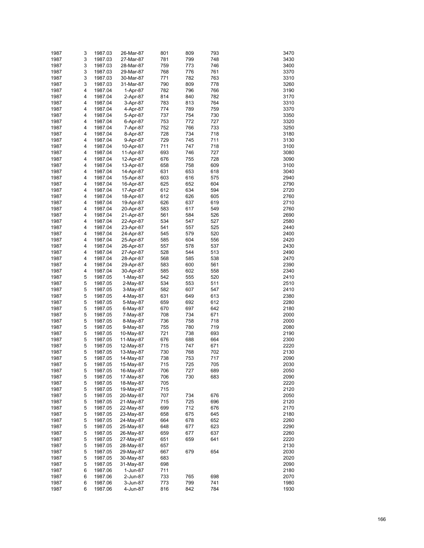| 1987 | 3 | 1987.03 | 26-Mar-87 | 801 | 809 | 793 | 3470 |
|------|---|---------|-----------|-----|-----|-----|------|
| 1987 | 3 | 1987.03 | 27-Mar-87 | 781 | 799 | 748 | 3430 |
| 1987 | 3 | 1987.03 | 28-Mar-87 | 759 | 773 | 746 | 3400 |
|      |   |         |           |     |     |     |      |
| 1987 | 3 | 1987.03 | 29-Mar-87 | 768 | 776 | 761 | 3370 |
| 1987 | 3 | 1987.03 | 30-Mar-87 | 771 | 782 | 763 | 3310 |
| 1987 | 3 | 1987.03 | 31-Mar-87 | 790 | 809 | 778 | 3260 |
| 1987 | 4 | 1987.04 | 1-Apr-87  | 782 | 796 | 766 | 3190 |
| 1987 | 4 | 1987.04 | 2-Apr-87  | 814 | 840 | 782 | 3170 |
| 1987 | 4 | 1987.04 | 3-Apr-87  | 783 | 813 | 764 | 3310 |
| 1987 | 4 | 1987.04 | 4-Apr-87  | 774 | 789 | 759 | 3370 |
| 1987 | 4 | 1987.04 | 5-Apr-87  | 737 | 754 | 730 | 3350 |
| 1987 | 4 | 1987.04 | 6-Apr-87  | 753 | 772 | 727 | 3320 |
| 1987 | 4 | 1987.04 | 7-Apr-87  | 752 | 766 | 733 | 3250 |
| 1987 | 4 | 1987.04 | 8-Apr-87  | 728 | 734 | 718 | 3180 |
| 1987 | 4 | 1987.04 | 9-Apr-87  | 729 | 745 | 711 | 3130 |
|      |   |         |           |     |     |     | 3100 |
| 1987 | 4 | 1987.04 | 10-Apr-87 | 711 | 747 | 718 |      |
| 1987 | 4 | 1987.04 | 11-Apr-87 | 693 | 746 | 727 | 3080 |
| 1987 | 4 | 1987.04 | 12-Apr-87 | 676 | 755 | 728 | 3090 |
| 1987 | 4 | 1987.04 | 13-Apr-87 | 658 | 758 | 609 | 3100 |
| 1987 | 4 | 1987.04 | 14-Apr-87 | 631 | 653 | 618 | 3040 |
| 1987 | 4 | 1987.04 | 15-Apr-87 | 603 | 616 | 575 | 2940 |
| 1987 | 4 | 1987.04 | 16-Apr-87 | 625 | 652 | 604 | 2790 |
| 1987 | 4 | 1987.04 | 17-Apr-87 | 612 | 634 | 594 | 2720 |
| 1987 | 4 | 1987.04 | 18-Apr-87 | 612 | 626 | 605 | 2760 |
| 1987 | 4 | 1987.04 | 19-Apr-87 | 626 | 637 | 619 | 2710 |
| 1987 | 4 |         | 20-Apr-87 |     | 617 |     | 2760 |
|      |   | 1987.04 |           | 583 |     | 549 |      |
| 1987 | 4 | 1987.04 | 21-Apr-87 | 561 | 584 | 526 | 2690 |
| 1987 | 4 | 1987.04 | 22-Apr-87 | 534 | 547 | 527 | 2580 |
| 1987 | 4 | 1987.04 | 23-Apr-87 | 541 | 557 | 525 | 2440 |
| 1987 | 4 | 1987.04 | 24-Apr-87 | 545 | 579 | 520 | 2400 |
| 1987 | 4 | 1987.04 | 25-Apr-87 | 585 | 604 | 556 | 2420 |
| 1987 | 4 | 1987.04 | 26-Apr-87 | 557 | 578 | 537 | 2430 |
| 1987 | 4 | 1987.04 | 27-Apr-87 | 528 | 544 | 513 | 2490 |
| 1987 | 4 | 1987.04 | 28-Apr-87 | 568 | 585 | 538 | 2470 |
| 1987 | 4 | 1987.04 | 29-Apr-87 | 583 | 600 | 561 | 2390 |
| 1987 | 4 | 1987.04 | 30-Apr-87 | 585 | 602 | 558 | 2340 |
|      |   |         |           |     |     |     |      |
| 1987 | 5 | 1987.05 | 1-May-87  | 542 | 555 | 520 | 2410 |
| 1987 | 5 | 1987.05 | 2-May-87  | 534 | 553 | 511 | 2510 |
| 1987 | 5 | 1987.05 | 3-May-87  | 582 | 607 | 547 | 2410 |
| 1987 | 5 | 1987.05 | 4-May-87  | 631 | 649 | 613 | 2380 |
| 1987 | 5 | 1987.05 | 5-May-87  | 659 | 692 | 612 | 2280 |
| 1987 | 5 | 1987.05 | 6-May-87  | 670 | 697 | 642 | 2180 |
| 1987 | 5 | 1987.05 | 7-May-87  | 708 | 734 | 671 | 2000 |
| 1987 | 5 | 1987.05 | 8-May-87  | 736 | 758 | 718 | 2000 |
| 1987 | 5 | 1987.05 | 9-May-87  | 755 | 780 | 719 | 2080 |
| 1987 | 5 | 1987.05 |           | 721 | 738 | 693 | 2190 |
|      |   |         | 10-May-87 |     |     |     |      |
| 1987 | 5 | 1987.05 | 11-May-87 | 676 | 688 | 664 | 2300 |
| 1987 | 5 | 1987.05 | 12-May-87 | 715 | 747 | 671 | 2220 |
| 1987 | 5 | 1987.05 | 13-May-87 | 730 | 768 | 702 | 2130 |
| 1987 | 5 | 1987.05 | 14-May-87 | 738 | 753 | 717 | 2090 |
| 1987 | 5 | 1987.05 | 15-May-87 | 715 | 725 | 705 | 2030 |
| 1987 | 5 | 1987.05 | 16-May-87 | 706 | 727 | 689 | 2050 |
| 1987 | 5 | 1987.05 | 17-May-87 | 706 | 730 | 683 | 2090 |
| 1987 | 5 | 1987.05 | 18-May-87 | 705 |     |     | 2220 |
| 1987 | 5 | 1987.05 | 19-May-87 | 715 |     |     | 2120 |
| 1987 | 5 | 1987.05 | 20-May-87 | 707 | 734 | 676 | 2050 |
| 1987 | 5 |         | 21-May-87 | 715 | 725 | 696 | 2120 |
|      |   | 1987.05 |           |     |     |     |      |
| 1987 | 5 | 1987.05 | 22-May-87 | 699 | 712 | 676 | 2170 |
| 1987 | 5 | 1987.05 | 23-May-87 | 658 | 675 | 645 | 2180 |
| 1987 | 5 | 1987.05 | 24-May-87 | 664 | 678 | 652 | 2260 |
| 1987 | 5 | 1987.05 | 25-May-87 | 648 | 677 | 623 | 2290 |
| 1987 | 5 | 1987.05 | 26-May-87 | 659 | 677 | 637 | 2260 |
| 1987 | 5 | 1987.05 | 27-May-87 | 651 | 659 | 641 | 2220 |
| 1987 | 5 | 1987.05 | 28-May-87 | 657 |     |     | 2130 |
| 1987 | 5 | 1987.05 | 29-May-87 | 667 | 679 | 654 | 2030 |
| 1987 | 5 | 1987.05 | 30-May-87 | 683 |     |     | 2020 |
| 1987 | 5 | 1987.05 | 31-May-87 | 698 |     |     | 2090 |
|      |   |         |           |     |     |     |      |
| 1987 | 6 | 1987.06 | 1-Jun-87  | 711 |     |     | 2180 |
| 1987 | 6 | 1987.06 | 2-Jun-87  | 733 | 765 | 698 | 2070 |
| 1987 | 6 | 1987.06 | 3-Jun-87  | 773 | 799 | 741 | 1980 |
| 1987 | 6 | 1987.06 | 4-Jun-87  | 816 | 842 | 784 | 1930 |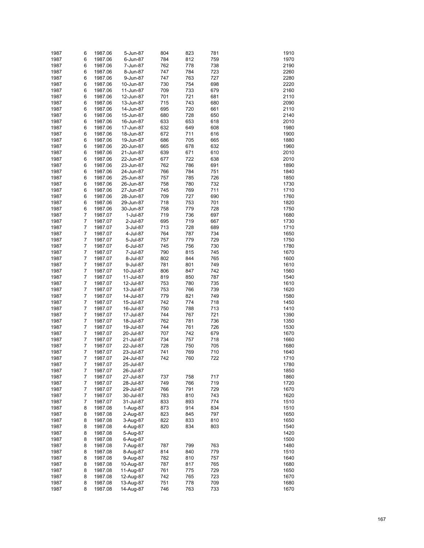| 1987 | 6              | 1987.06 | 5-Jun-87  | 804 | 823 | 781 | 1910 |
|------|----------------|---------|-----------|-----|-----|-----|------|
| 1987 | 6              | 1987.06 | 6-Jun-87  | 784 | 812 | 759 | 1970 |
|      |                |         |           |     |     |     |      |
| 1987 | 6              | 1987.06 | 7-Jun-87  | 762 | 778 | 738 | 2190 |
| 1987 | 6              | 1987.06 | 8-Jun-87  | 747 | 784 | 723 | 2260 |
| 1987 | 6              | 1987.06 | 9-Jun-87  | 747 | 763 | 727 | 2280 |
| 1987 | 6              | 1987.06 | 10-Jun-87 | 730 | 754 | 698 | 2220 |
| 1987 | 6              | 1987.06 | 11-Jun-87 | 709 | 733 | 679 | 2160 |
| 1987 | 6              | 1987.06 | 12-Jun-87 | 701 | 721 | 681 | 2110 |
| 1987 | 6              | 1987.06 | 13-Jun-87 | 715 | 743 | 680 | 2090 |
| 1987 | 6              | 1987.06 | 14-Jun-87 | 695 | 720 | 661 | 2110 |
| 1987 | 6              | 1987.06 | 15-Jun-87 | 680 | 728 | 650 | 2140 |
| 1987 | 6              | 1987.06 | 16-Jun-87 | 633 | 653 | 618 | 2010 |
| 1987 | 6              | 1987.06 | 17-Jun-87 | 632 | 649 | 608 | 1980 |
|      |                |         | 18-Jun-87 |     | 711 |     | 1900 |
| 1987 | 6              | 1987.06 |           | 672 |     | 616 |      |
| 1987 | 6              | 1987.06 | 19-Jun-87 | 686 | 705 | 665 | 1880 |
| 1987 | 6              | 1987.06 | 20-Jun-87 | 665 | 678 | 632 | 1960 |
| 1987 | 6              | 1987.06 | 21-Jun-87 | 639 | 671 | 610 | 2010 |
| 1987 | 6              | 1987.06 | 22-Jun-87 | 677 | 722 | 638 | 2010 |
| 1987 | 6              | 1987.06 | 23-Jun-87 | 762 | 786 | 691 | 1890 |
| 1987 | 6              | 1987.06 | 24-Jun-87 | 766 | 784 | 751 | 1840 |
| 1987 | 6              | 1987.06 | 25-Jun-87 | 757 | 785 | 726 | 1850 |
| 1987 | 6              | 1987.06 | 26-Jun-87 | 758 | 780 | 732 | 1730 |
| 1987 | 6              | 1987.06 | 27-Jun-87 | 745 | 769 | 711 | 1710 |
| 1987 | 6              | 1987.06 | 28-Jun-87 | 709 | 727 | 690 | 1760 |
| 1987 | 6              | 1987.06 | 29-Jun-87 | 718 | 753 | 701 | 1820 |
|      |                |         |           |     |     |     |      |
| 1987 | 6              | 1987.06 | 30-Jun-87 | 758 | 779 | 728 | 1750 |
| 1987 | 7              | 1987.07 | 1-Jul-87  | 719 | 736 | 697 | 1680 |
| 1987 | 7              | 1987.07 | 2-Jul-87  | 695 | 719 | 667 | 1730 |
| 1987 | 7              | 1987.07 | 3-Jul-87  | 713 | 728 | 689 | 1710 |
| 1987 | 7              | 1987.07 | 4-Jul-87  | 764 | 787 | 734 | 1650 |
| 1987 | 7              | 1987.07 | 5-Jul-87  | 757 | 779 | 729 | 1750 |
| 1987 | 7              | 1987.07 | 6-Jul-87  | 745 | 756 | 730 | 1780 |
| 1987 | 7              | 1987.07 | 7-Jul-87  | 790 | 815 | 745 | 1670 |
| 1987 | 7              | 1987.07 | 8-Jul-87  | 802 | 844 | 765 | 1600 |
| 1987 | 7              | 1987.07 | 9-Jul-87  | 781 | 801 | 749 | 1610 |
| 1987 | 7              | 1987.07 | 10-Jul-87 | 806 | 847 | 742 | 1560 |
|      |                |         |           |     |     |     |      |
| 1987 | 7              | 1987.07 | 11-Jul-87 | 819 | 850 | 787 | 1540 |
| 1987 | 7              | 1987.07 | 12-Jul-87 | 753 | 780 | 735 | 1610 |
| 1987 | 7              | 1987.07 | 13-Jul-87 | 753 | 766 | 739 | 1620 |
| 1987 | 7              | 1987.07 | 14-Jul-87 | 779 | 821 | 749 | 1580 |
| 1987 | 7              | 1987.07 | 15-Jul-87 | 742 | 774 | 718 | 1450 |
| 1987 | 7              | 1987.07 | 16-Jul-87 | 750 | 788 | 713 | 1410 |
| 1987 | 7              | 1987.07 | 17-Jul-87 | 744 | 767 | 721 | 1390 |
| 1987 | 7              | 1987.07 | 18-Jul-87 | 762 | 781 | 736 | 1350 |
| 1987 | 7              | 1987.07 | 19-Jul-87 | 744 | 761 | 726 | 1530 |
| 1987 | $\overline{7}$ | 1987.07 | 20-Jul-87 | 707 | 742 | 679 | 1670 |
|      | 7              |         |           |     |     |     |      |
| 1987 |                | 1987.07 | 21-Jul-87 | 734 | 757 | 718 | 1660 |
| 1987 | 7              | 1987.07 | 22-Jul-87 | 728 | 750 | 705 | 1680 |
| 1987 | 7              | 1987.07 | 23-Jul-87 | 741 | 769 | 710 | 1640 |
| 1987 | 7              | 1987.07 | 24-Jul-87 | 742 | 760 | 722 | 1710 |
| 1987 | 7              | 1987.07 | 25-Jul-87 |     |     |     | 1780 |
| 1987 | 7              | 1987.07 | 26-Jul-87 |     |     |     | 1850 |
| 1987 | 7              | 1987.07 | 27-Jul-87 | 737 | 758 | 717 | 1860 |
| 1987 | 7              | 1987.07 | 28-Jul-87 | 749 | 766 | 719 | 1720 |
| 1987 | 7              | 1987.07 | 29-Jul-87 | 766 | 791 | 729 | 1670 |
| 1987 | $\overline{7}$ | 1987.07 | 30-Jul-87 | 783 | 810 | 743 | 1620 |
|      |                |         |           |     |     |     |      |
| 1987 | 7              | 1987.07 | 31-Jul-87 | 833 | 893 | 774 | 1510 |
| 1987 | 8              | 1987.08 | 1-Aug-87  | 873 | 914 | 834 | 1510 |
| 1987 | 8              | 1987.08 | 2-Aug-87  | 823 | 845 | 797 | 1650 |
| 1987 | 8              | 1987.08 | 3-Aug-87  | 822 | 833 | 810 | 1650 |
| 1987 | 8              | 1987.08 | 4-Aug-87  | 820 | 834 | 803 | 1540 |
| 1987 | 8              | 1987.08 | 5-Aug-87  |     |     |     | 1420 |
| 1987 | 8              | 1987.08 | 6-Aug-87  |     |     |     | 1500 |
| 1987 | 8              | 1987.08 | 7-Aug-87  | 787 | 799 | 763 | 1480 |
| 1987 | 8              | 1987.08 | 8-Aug-87  | 814 | 840 | 779 | 1510 |
| 1987 | 8              | 1987.08 | 9-Aug-87  | 782 | 810 | 757 | 1640 |
| 1987 | 8              | 1987.08 |           | 787 | 817 | 765 | 1680 |
|      |                |         | 10-Aug-87 |     |     |     |      |
| 1987 | 8              | 1987.08 | 11-Aug-87 | 761 | 775 | 729 | 1650 |
| 1987 | 8              | 1987.08 | 12-Aug-87 | 742 | 765 | 723 | 1670 |
| 1987 | 8              | 1987.08 | 13-Aug-87 | 751 | 778 | 709 | 1680 |
| 1987 | 8              | 1987.08 | 14-Aug-87 | 746 | 763 | 733 | 1670 |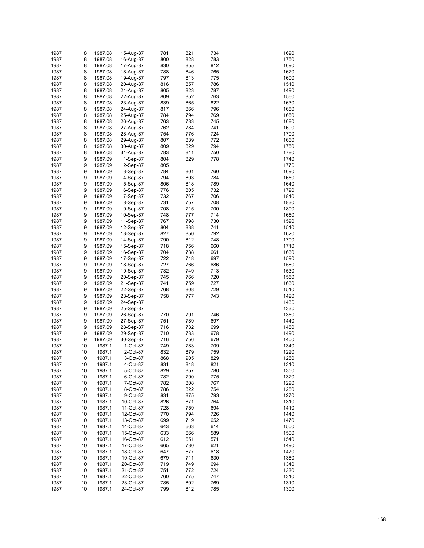| 1987 | 8  | 1987.08 | 15-Aug-87 | 781 | 821 | 734 | 1690 |
|------|----|---------|-----------|-----|-----|-----|------|
| 1987 | 8  | 1987.08 | 16-Aug-87 | 800 | 828 | 783 | 1750 |
| 1987 | 8  | 1987.08 | 17-Aug-87 | 830 | 855 | 812 | 1690 |
| 1987 | 8  | 1987.08 | 18-Aug-87 | 788 | 846 | 765 | 1670 |
| 1987 | 8  | 1987.08 | 19-Aug-87 | 797 | 813 | 775 | 1600 |
| 1987 | 8  | 1987.08 | 20-Aug-87 | 816 | 857 | 786 | 1510 |
| 1987 | 8  | 1987.08 | 21-Aug-87 | 805 | 823 | 787 | 1490 |
| 1987 | 8  | 1987.08 | 22-Aug-87 | 809 | 852 | 763 | 1560 |
| 1987 | 8  | 1987.08 | 23-Aug-87 | 839 | 865 | 822 | 1630 |
| 1987 | 8  | 1987.08 | 24-Aug-87 | 817 | 866 | 796 | 1680 |
| 1987 | 8  | 1987.08 | 25-Aug-87 | 784 | 794 | 769 | 1650 |
| 1987 | 8  | 1987.08 | 26-Aug-87 | 763 | 783 | 745 | 1680 |
| 1987 | 8  | 1987.08 | 27-Aug-87 | 762 | 784 | 741 | 1690 |
| 1987 | 8  | 1987.08 | 28-Aug-87 | 754 | 776 | 724 | 1700 |
| 1987 | 8  | 1987.08 | 29-Aug-87 | 807 | 839 | 772 | 1660 |
| 1987 | 8  | 1987.08 | 30-Aug-87 | 809 | 829 | 794 | 1750 |
| 1987 | 8  | 1987.08 | 31-Aug-87 | 783 | 811 | 750 | 1780 |
| 1987 | 9  | 1987.09 | 1-Sep-87  | 804 | 829 | 778 | 1740 |
| 1987 | 9  | 1987.09 | 2-Sep-87  | 805 |     |     | 1770 |
| 1987 | 9  | 1987.09 | 3-Sep-87  | 784 | 801 | 760 | 1690 |
| 1987 | 9  | 1987.09 | 4-Sep-87  | 794 | 803 | 784 | 1650 |
| 1987 | 9  | 1987.09 | 5-Sep-87  | 806 | 818 | 789 | 1640 |
| 1987 | 9  | 1987.09 | 6-Sep-87  | 776 | 805 | 732 | 1790 |
| 1987 | 9  | 1987.09 | 7-Sep-87  | 732 | 767 | 706 | 1840 |
| 1987 | 9  | 1987.09 | 8-Sep-87  | 731 | 757 | 708 | 1830 |
| 1987 | 9  | 1987.09 | 9-Sep-87  | 708 | 715 | 700 | 1800 |
| 1987 | 9  | 1987.09 | 10-Sep-87 | 748 | 777 | 714 | 1660 |
| 1987 | 9  | 1987.09 | 11-Sep-87 | 767 | 798 | 730 | 1590 |
| 1987 | 9  | 1987.09 | 12-Sep-87 | 804 | 838 | 741 | 1510 |
| 1987 | 9  | 1987.09 | 13-Sep-87 | 827 | 850 | 792 | 1620 |
| 1987 | 9  | 1987.09 | 14-Sep-87 | 790 | 812 | 748 | 1700 |
| 1987 | 9  | 1987.09 | 15-Sep-87 | 718 | 756 | 660 | 1710 |
| 1987 | 9  | 1987.09 | 16-Sep-87 | 704 | 738 | 661 | 1630 |
| 1987 | 9  | 1987.09 | 17-Sep-87 | 722 | 748 | 697 | 1590 |
| 1987 | 9  | 1987.09 | 18-Sep-87 | 727 | 766 | 686 | 1580 |
| 1987 | 9  | 1987.09 | 19-Sep-87 | 732 | 749 | 713 | 1530 |
| 1987 | 9  | 1987.09 | 20-Sep-87 | 745 | 766 | 720 | 1550 |
| 1987 | 9  | 1987.09 | 21-Sep-87 | 741 | 759 | 727 | 1630 |
| 1987 | 9  | 1987.09 | 22-Sep-87 | 768 | 808 | 729 | 1510 |
| 1987 | 9  | 1987.09 | 23-Sep-87 | 758 | 777 | 743 | 1420 |
| 1987 | 9  | 1987.09 | 24-Sep-87 |     |     |     | 1430 |
| 1987 | 9  | 1987.09 | 25-Sep-87 |     |     |     | 1330 |
| 1987 | 9  | 1987.09 | 26-Sep-87 | 770 | 791 | 746 | 1350 |
| 1987 | 9  | 1987.09 | 27-Sep-87 | 751 | 789 | 697 | 1440 |
| 1987 | 9  | 1987.09 | 28-Sep-87 | 716 | 732 | 699 | 1480 |
| 1987 | 9  | 1987.09 | 29-Sep-87 | 710 | 733 | 678 | 1490 |
| 1987 | 9  | 1987.09 | 30-Sep-87 | 716 | 756 | 679 | 1400 |
| 1987 | 10 | 1987.1  | 1-Oct-87  | 749 | 783 | 709 | 1340 |
| 1987 | 10 | 1987.1  | 2-Oct-87  | 832 | 879 | 759 | 1220 |
| 1987 | 10 | 1987.1  | 3-Oct-87  | 868 | 905 | 829 | 1250 |
| 1987 | 10 | 1987.1  | 4-Oct-87  | 831 | 848 | 821 | 1310 |
| 1987 | 10 | 1987.1  | 5-Oct-87  | 829 | 857 | 780 | 1350 |
| 1987 | 10 | 1987.1  | 6-Oct-87  | 782 | 790 | 775 | 1320 |
| 1987 | 10 | 1987.1  | 7-Oct-87  | 782 | 808 | 767 | 1290 |
| 1987 | 10 | 1987.1  | 8-Oct-87  | 786 | 822 | 754 | 1280 |
| 1987 | 10 | 1987.1  | 9-Oct-87  | 831 | 875 | 793 | 1270 |
| 1987 | 10 | 1987.1  | 10-Oct-87 | 826 | 871 | 764 | 1310 |
| 1987 | 10 | 1987.1  | 11-Oct-87 | 728 | 759 | 694 | 1410 |
| 1987 | 10 | 1987.1  | 12-Oct-87 | 770 | 794 | 726 | 1440 |
| 1987 | 10 | 1987.1  | 13-Oct-87 | 699 | 719 | 652 | 1470 |
| 1987 | 10 | 1987.1  | 14-Oct-87 | 643 | 663 | 614 | 1500 |
| 1987 | 10 | 1987.1  | 15-Oct-87 | 633 | 666 | 589 | 1500 |
| 1987 | 10 | 1987.1  | 16-Oct-87 | 612 | 651 | 571 | 1540 |
| 1987 | 10 | 1987.1  | 17-Oct-87 | 665 | 730 | 621 | 1490 |
| 1987 | 10 | 1987.1  | 18-Oct-87 | 647 | 677 | 618 | 1470 |
| 1987 | 10 | 1987.1  | 19-Oct-87 | 679 | 711 | 630 | 1380 |
| 1987 | 10 | 1987.1  | 20-Oct-87 | 719 | 749 | 694 | 1340 |
| 1987 | 10 | 1987.1  | 21-Oct-87 | 751 | 772 | 724 | 1330 |
| 1987 | 10 | 1987.1  | 22-Oct-87 | 760 | 775 | 747 | 1310 |
| 1987 | 10 | 1987.1  | 23-Oct-87 | 785 | 802 | 769 | 1310 |
| 1987 | 10 | 1987.1  | 24-Oct-87 | 799 | 812 | 785 | 1300 |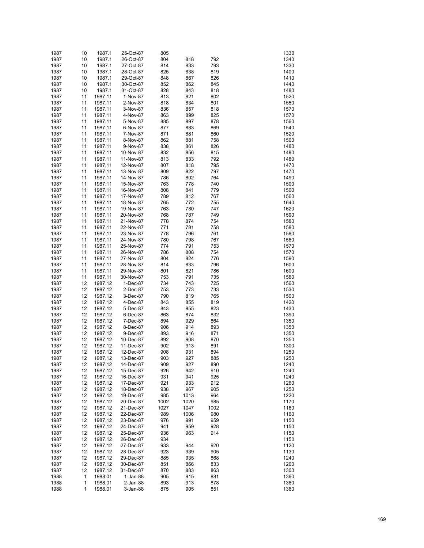| 1987         | 10       | 1987.1             | 25-Oct-87              | 805        |            |            | 1330         |
|--------------|----------|--------------------|------------------------|------------|------------|------------|--------------|
| 1987         | 10       | 1987.1             | 26-Oct-87              | 804        | 818        | 792        | 1340         |
| 1987         | 10       | 1987.1             | 27-Oct-87              | 814        | 833        | 793        | 1330         |
| 1987         | 10       | 1987.1             | 28-Oct-87              | 825        | 838        | 819        | 1400         |
| 1987         | 10       | 1987.1             | 29-Oct-87              | 848        | 867        | 826        | 1410         |
| 1987         | 10       | 1987.1             | 30-Oct-87              | 852        | 862        | 845        | 1440         |
| 1987         | 10       | 1987.1             | 31-Oct-87              | 828        | 843        | 818        | 1480         |
| 1987         | 11       | 1987.11            | 1-Nov-87               | 813        | 821        | 802        | 1520         |
| 1987         | 11       | 1987.11            | 2-Nov-87               | 818        | 834        | 801        | 1550         |
| 1987         | 11       | 1987.11            | 3-Nov-87               | 836        | 857        | 818        | 1570         |
| 1987         | 11       | 1987.11            | 4-Nov-87               | 863        | 899        | 825        | 1570         |
| 1987         | 11       | 1987.11            | 5-Nov-87               | 885        | 897        | 878        | 1560         |
| 1987         | 11       | 1987.11            | 6-Nov-87               | 877        | 883        | 869        | 1540         |
| 1987         | 11       | 1987.11            | 7-Nov-87               | 871        | 881        | 860        | 1520         |
| 1987         | 11       | 1987.11            | 8-Nov-87               | 862        | 881        | 758        | 1500         |
| 1987         | 11       | 1987.11            | 9-Nov-87               | 838        | 861        | 826        | 1480         |
| 1987<br>1987 | 11<br>11 | 1987.11<br>1987.11 | 10-Nov-87              | 832<br>813 | 856<br>833 | 815<br>792 | 1480<br>1480 |
| 1987         | 11       | 1987.11            | 11-Nov-87<br>12-Nov-87 | 807        | 818        | 795        | 1470         |
| 1987         | 11       | 1987.11            | 13-Nov-87              | 809        | 822        | 797        | 1470         |
| 1987         | 11       | 1987.11            | 14-Nov-87              | 786        | 802        | 764        | 1490         |
| 1987         | 11       | 1987.11            | 15-Nov-87              | 763        | 778        | 740        | 1500         |
| 1987         | 11       | 1987.11            | 16-Nov-87              | 808        | 841        | 779        | 1500         |
| 1987         | 11       | 1987.11            | 17-Nov-87              | 789        | 812        | 767        | 1560         |
| 1987         | 11       | 1987.11            | 18-Nov-87              | 765        | 772        | 755        | 1640         |
| 1987         | 11       | 1987.11            | 19-Nov-87              | 763        | 780        | 747        | 1620         |
| 1987         | 11       | 1987.11            | 20-Nov-87              | 768        | 787        | 749        | 1590         |
| 1987         | 11       | 1987.11            | 21-Nov-87              | 778        | 874        | 754        | 1580         |
| 1987         | 11       | 1987.11            | 22-Nov-87              | 771        | 781        | 758        | 1580         |
| 1987         | 11       | 1987.11            | 23-Nov-87              | 778        | 796        | 761        | 1580         |
| 1987         | 11       | 1987.11            | 24-Nov-87              | 780        | 798        | 767        | 1580         |
| 1987         | 11       | 1987.11            | 25-Nov-87              | 774        | 791        | 753        | 1570         |
| 1987         | 11       | 1987.11            | 26-Nov-87              | 786        | 808        | 754        | 1570         |
| 1987         | 11       | 1987.11            | 27-Nov-87              | 804        | 824        | 776        | 1590         |
| 1987         | 11       | 1987.11            | 28-Nov-87              | 814        | 833        | 796        | 1600         |
| 1987         | 11       | 1987.11            | 29-Nov-87              | 801        | 821        | 786        | 1600         |
| 1987         | 11       | 1987.11            | 30-Nov-87              | 753        | 791        | 735        | 1580         |
| 1987         | 12       | 1987.12            | 1-Dec-87               | 734        | 743        | 725        | 1560         |
| 1987         | 12       | 1987.12            | 2-Dec-87               | 753        | 773        | 733        | 1530         |
| 1987         | 12       | 1987.12            | 3-Dec-87               | 790        | 819        | 765        | 1500         |
| 1987         | 12       | 1987.12            | 4-Dec-87               | 843        | 855        | 819        | 1420         |
| 1987         | 12       | 1987.12            | 5-Dec-87               | 843        | 855        | 823        | 1430         |
| 1987<br>1987 | 12<br>12 | 1987.12<br>1987.12 | 6-Dec-87               | 863<br>894 | 874<br>929 | 832<br>864 | 1390<br>1350 |
| 1987         | 12       | 1987.12            | 7-Dec-87<br>8-Dec-87   | 906        | 914        | 893        | 1350         |
| 1987         | 12       | 1987.12            | 9-Dec-87               | 893        | 916        | 871        | 1350         |
| 1987         | 12       | 1987.12            | 10-Dec-87              | 892        | 908        | 870        | 1350         |
| 1987         | 12       | 1987.12            | 11-Dec-87              | 902        | 913        | 891        | 1300         |
| 1987         | 12       | 1987.12            | 12-Dec-87              | 908        | 931        | 894        | 1250         |
| 1987         | 12       | 1987.12            | 13-Dec-87              | 903        | 927        | 885        | 1250         |
| 1987         | 12       | 1987.12            | 14-Dec-87              | 909        | 927        | 890        | 1240         |
| 1987         | 12       | 1987.12            | 15-Dec-87              | 926        | 942        | 910        | 1240         |
| 1987         | 12       | 1987.12            | 16-Dec-87              | 931        | 941        | 925        | 1240         |
| 1987         | 12       | 1987.12            | 17-Dec-87              | 921        | 933        | 912        | 1260         |
| 1987         | 12       | 1987.12            | 18-Dec-87              | 938        | 967        | 905        | 1250         |
| 1987         | 12       | 1987.12            | 19-Dec-87              | 985        | 1013       | 964        | 1220         |
| 1987         | 12       | 1987.12            | 20-Dec-87              | 1002       | 1020       | 985        | 1170         |
| 1987         | 12       | 1987.12            | 21-Dec-87              | 1027       | 1047       | 1002       | 1160         |
| 1987         | 12       | 1987.12            | 22-Dec-87              | 989        | 1006       | 980        | 1160         |
| 1987         | 12       | 1987.12            | 23-Dec-87              | 976        | 991        | 959        | 1150         |
| 1987         | 12       | 1987.12            | 24-Dec-87              | 941        | 959        | 928        | 1150         |
| 1987         | 12       | 1987.12            | 25-Dec-87              | 936        | 963        | 914        | 1150         |
| 1987         | 12       | 1987.12            | 26-Dec-87              | 934        |            |            | 1150         |
| 1987         | 12       | 1987.12            | 27-Dec-87              | 933        | 944        | 920        | 1120         |
| 1987<br>1987 | 12<br>12 | 1987.12<br>1987.12 | 28-Dec-87<br>29-Dec-87 | 923<br>885 | 939<br>935 | 905<br>868 | 1130<br>1240 |
| 1987         | 12       | 1987.12            | 30-Dec-87              | 851        | 866        | 833        | 1260         |
| 1987         | 12       | 1987.12            | 31-Dec-87              | 870        | 883        | 863        | 1300         |
| 1988         | 1        | 1988.01            | 1-Jan-88               | 905        | 915        | 881        | 1360         |
| 1988         | 1        | 1988.01            | 2-Jan-88               | 893        | 913        | 878        | 1380         |
| 1988         | 1        | 1988.01            | 3-Jan-88               | 875        | 905        | 851        | 1360         |
|              |          |                    |                        |            |            |            |              |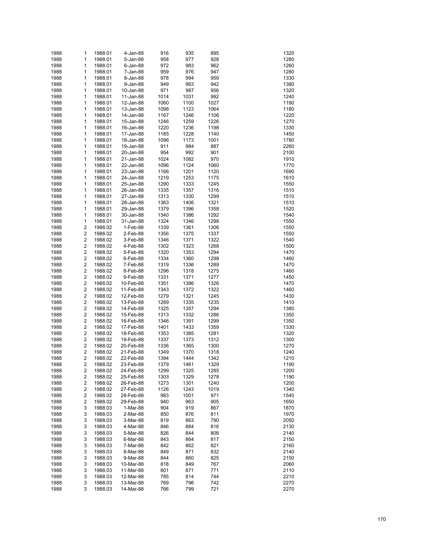| 1988 | 1                       | 1988.01 | 4-Jan-88    | 916  | 935  | 895  | 1320 |
|------|-------------------------|---------|-------------|------|------|------|------|
| 1988 | 1                       | 1988.01 | 5-Jan-88    | 958  | 977  | 928  | 1280 |
| 1988 | 1                       | 1988.01 | $6$ -Jan-88 | 972  | 983  | 962  | 1260 |
| 1988 | 1                       | 1988.01 | 7-Jan-88    | 959  | 976  | 947  | 1280 |
| 1988 | 1                       | 1988.01 | 8-Jan-88    | 978  | 994  | 959  | 1330 |
| 1988 | 1                       | 1988.01 | 9-Jan-88    | 949  | 963  | 942  | 1380 |
| 1988 | 1                       | 1988.01 | 10-Jan-88   | 971  | 987  | 956  | 1320 |
| 1988 | 1                       | 1988.01 | 11-Jan-88   | 1014 | 1031 | 992  | 1240 |
| 1988 | 1                       | 1988.01 | 12-Jan-88   | 1060 | 1100 | 1027 | 1190 |
| 1988 | 1                       | 1988.01 | 13-Jan-88   | 1098 | 1123 | 1064 | 1180 |
| 1988 | 1                       | 1988.01 | 14-Jan-88   | 1167 | 1246 | 1106 | 1220 |
| 1988 | 1                       | 1988.01 | 15-Jan-88   | 1246 | 1259 | 1226 | 1270 |
| 1988 | 1                       | 1988.01 | 16-Jan-88   | 1220 | 1236 | 1198 | 1330 |
| 1988 | 1                       | 1988.01 | 17-Jan-88   | 1185 | 1228 | 1140 | 1450 |
| 1988 | 1                       | 1988.01 | 18-Jan-88   | 1096 | 1173 | 1001 | 1780 |
| 1988 | 1                       | 1988.01 | 19-Jan-88   | 911  | 984  | 887  | 2260 |
| 1988 | 1                       | 1988.01 | 20-Jan-88   | 954  | 992  | 901  | 2100 |
| 1988 | 1                       | 1988.01 | 21-Jan-88   | 1024 | 1082 | 970  | 1910 |
| 1988 | 1                       | 1988.01 | 22-Jan-88   | 1096 | 1124 | 1060 | 1770 |
| 1988 | 1                       | 1988.01 | 23-Jan-88   | 1166 | 1201 | 1120 | 1690 |
| 1988 | 1                       | 1988.01 | 24-Jan-88   | 1219 | 1253 | 1175 | 1610 |
| 1988 | 1                       | 1988.01 | 25-Jan-88   | 1290 | 1333 | 1245 | 1550 |
| 1988 | 1                       | 1988.01 | 26-Jan-88   | 1335 | 1357 | 1316 | 1510 |
| 1988 | 1                       | 1988.01 | 27-Jan-88   | 1313 | 1330 | 1299 | 1510 |
| 1988 | 1                       | 1988.01 | 28-Jan-88   | 1363 | 1406 | 1321 | 1510 |
| 1988 | 1                       | 1988.01 | 29-Jan-88   | 1379 | 1396 | 1358 | 1520 |
| 1988 | 1                       | 1988.01 | 30-Jan-88   | 1340 | 1386 | 1292 | 1540 |
| 1988 | 1                       | 1988.01 | 31-Jan-88   | 1324 | 1346 | 1298 | 1550 |
| 1988 | 2                       | 1988.02 | 1-Feb-88    | 1339 | 1361 | 1306 | 1550 |
| 1988 | $\overline{\mathbf{c}}$ | 1988.02 | 2-Feb-88    | 1356 | 1375 | 1337 | 1550 |
| 1988 | $\overline{\mathbf{c}}$ | 1988.02 | 3-Feb-88    | 1346 | 1371 | 1322 | 1540 |
| 1988 | $\overline{\mathbf{c}}$ | 1988.02 | 4-Feb-88    | 1302 | 1323 | 1268 | 1500 |
| 1988 | $\overline{\mathbf{c}}$ | 1988.02 | 5-Feb-88    | 1320 | 1353 | 1294 | 1470 |
| 1988 | $\overline{\mathbf{c}}$ | 1988.02 | 6-Feb-88    | 1334 | 1360 | 1298 | 1460 |
| 1988 | $\overline{\mathbf{c}}$ | 1988.02 | 7-Feb-88    | 1319 | 1336 | 1289 | 1470 |
| 1988 | $\overline{\mathbf{c}}$ | 1988.02 | 8-Feb-88    | 1296 | 1318 | 1275 | 1460 |
| 1988 | $\overline{\mathbf{c}}$ | 1988.02 | 9-Feb-88    | 1331 | 1371 | 1277 | 1450 |
| 1988 | $\overline{\mathbf{c}}$ | 1988.02 | 10-Feb-88   | 1351 | 1386 | 1326 | 1470 |
| 1988 | $\overline{\mathbf{c}}$ | 1988.02 | 11-Feb-88   | 1343 | 1372 | 1322 | 1460 |
| 1988 | $\overline{\mathbf{c}}$ | 1988.02 | 12-Feb-88   | 1279 | 1321 | 1245 | 1430 |
| 1988 | $\overline{\mathbf{c}}$ | 1988.02 | 13-Feb-88   | 1289 | 1335 | 1235 | 1410 |
| 1988 | $\overline{\mathbf{c}}$ | 1988.02 | 14-Feb-88   | 1325 | 1357 | 1294 | 1380 |
| 1988 | $\overline{\mathbf{c}}$ | 1988.02 | 15-Feb-88   | 1313 | 1332 | 1286 | 1350 |
| 1988 | $\overline{\mathbf{c}}$ | 1988.02 | 16-Feb-88   | 1346 | 1391 | 1299 | 1350 |
| 1988 | $\overline{\mathbf{c}}$ | 1988.02 | 17-Feb-88   | 1401 | 1433 | 1359 | 1330 |
| 1988 | $\overline{\mathbf{c}}$ | 1988.02 | 18-Feb-88   | 1353 | 1385 | 1281 | 1320 |
| 1988 | $\overline{\mathbf{c}}$ | 1988.02 | 19-Feb-88   | 1337 | 1373 | 1312 | 1300 |
| 1988 | $\overline{\mathbf{c}}$ | 1988.02 | 20-Feb-88   | 1336 | 1365 | 1300 | 1270 |
| 1988 | 2                       | 1988.02 | 21-Feb-88   | 1349 | 1370 | 1318 | 1240 |
| 1988 | 2                       | 1988.02 | 22-Feb-88   | 1394 | 1444 | 1342 | 1210 |
| 1988 | 2                       | 1988.02 | 23-Feb-88   | 1379 | 1461 | 1329 | 1190 |
| 1988 | 2                       | 1988.02 | 24-Feb-88   | 1299 | 1325 | 1285 | 1200 |
| 1988 | 2                       | 1988.02 | 25-Feb-88   | 1303 | 1329 | 1278 | 1190 |
| 1988 | 2                       | 1988.02 | 26-Feb-88   | 1273 | 1301 | 1240 | 1200 |
| 1988 | 2                       | 1988.02 | 27-Feb-88   | 1126 | 1243 | 1019 | 1340 |
| 1988 | 2                       | 1988.02 | 28-Feb-88   | 983  | 1001 | 971  | 1540 |
| 1988 | 2                       | 1988.02 | 29-Feb-88   | 940  | 963  | 905  | 1650 |
| 1988 | 3                       | 1988.03 | 1-Mar-88    | 904  | 919  | 867  | 1870 |
| 1988 | 3                       | 1988.03 | 2-Mar-88    | 850  | 876  | 811  | 1970 |
| 1988 | 3                       | 1988.03 | 3-Mar-88    | 819  | 863  | 790  | 2050 |
| 1988 | 3                       | 1988.03 | 4-Mar-88    | 846  | 884  | 816  | 2130 |
| 1988 | 3                       | 1988.03 | 5-Mar-88    | 826  | 844  | 808  | 2140 |
| 1988 | 3                       | 1988.03 | 6-Mar-88    | 843  | 864  | 817  | 2150 |
| 1988 | 3                       | 1988.03 | 7-Mar-88    | 842  | 862  | 821  | 2160 |
| 1988 | 3                       | 1988.03 | 8-Mar-88    | 849  | 871  | 832  | 2140 |
| 1988 | 3                       | 1988.03 | 9-Mar-88    | 844  | 860  | 825  | 2150 |
| 1988 | 3                       | 1988.03 | 10-Mar-88   | 818  | 849  | 767  | 2060 |
| 1988 | 3                       | 1988.03 | 11-Mar-88   | 801  | 871  | 771  | 2110 |
| 1988 | 3                       | 1988.03 | 12-Mar-88   | 785  | 814  | 744  | 2210 |
| 1988 | 3                       | 1988.03 | 13-Mar-88   | 769  | 796  | 742  | 2270 |
| 1988 | 3                       | 1988.03 | 14-Mar-88   | 766  | 799  | 721  | 2270 |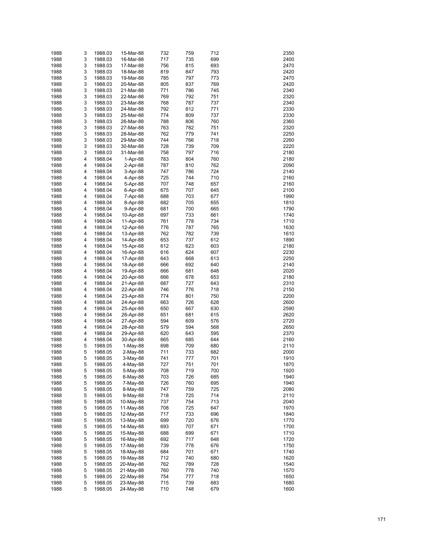| 1988 | 3 | 1988.03 | 15-Mar-88 | 732 | 759 | 712 | 2350 |
|------|---|---------|-----------|-----|-----|-----|------|
| 1988 | 3 | 1988.03 | 16-Mar-88 | 717 | 735 | 699 | 2400 |
|      |   |         |           |     |     |     |      |
| 1988 | 3 | 1988.03 | 17-Mar-88 | 756 | 815 | 693 | 2470 |
| 1988 | 3 | 1988.03 | 18-Mar-88 | 819 | 847 | 793 | 2420 |
| 1988 | 3 | 1988.03 | 19-Mar-88 | 785 | 797 | 773 | 2470 |
| 1988 | 3 | 1988.03 | 20-Mar-88 | 805 | 837 | 769 | 2420 |
| 1988 | 3 | 1988.03 | 21-Mar-88 | 771 | 786 | 745 | 2340 |
| 1988 | 3 | 1988.03 | 22-Mar-88 | 769 | 792 | 751 | 2320 |
| 1988 | 3 | 1988.03 | 23-Mar-88 | 768 | 787 | 737 | 2340 |
| 1988 | 3 | 1988.03 | 24-Mar-88 | 792 | 812 | 771 | 2330 |
|      |   |         |           |     |     |     |      |
| 1988 | 3 | 1988.03 | 25-Mar-88 | 774 | 809 | 737 | 2330 |
| 1988 | 3 | 1988.03 | 26-Mar-88 | 788 | 806 | 760 | 2360 |
| 1988 | 3 | 1988.03 | 27-Mar-88 | 763 | 782 | 751 | 2320 |
| 1988 | 3 | 1988.03 | 28-Mar-88 | 762 | 779 | 741 | 2250 |
| 1988 | 3 | 1988.03 | 29-Mar-88 | 744 | 766 | 718 | 2260 |
| 1988 | 3 | 1988.03 | 30-Mar-88 | 728 | 739 | 709 | 2220 |
| 1988 | 3 | 1988.03 | 31-Mar-88 | 758 | 797 | 716 | 2180 |
| 1988 | 4 | 1988.04 | 1-Apr-88  | 783 | 804 | 760 | 2180 |
| 1988 | 4 | 1988.04 | 2-Apr-88  | 787 | 810 | 762 | 2090 |
|      |   |         |           |     |     |     |      |
| 1988 | 4 | 1988.04 | 3-Apr-88  | 747 | 786 | 724 | 2140 |
| 1988 | 4 | 1988.04 | 4-Apr-88  | 725 | 744 | 710 | 2160 |
| 1988 | 4 | 1988.04 | 5-Apr-88  | 707 | 748 | 657 | 2160 |
| 1988 | 4 | 1988.04 | 6-Apr-88  | 675 | 707 | 645 | 2100 |
| 1988 | 4 | 1988.04 | 7-Apr-88  | 688 | 703 | 677 | 1990 |
| 1988 | 4 | 1988.04 | 8-Apr-88  | 682 | 705 | 655 | 1810 |
| 1988 | 4 | 1988.04 | 9-Apr-88  | 681 | 700 | 665 | 1790 |
| 1988 | 4 | 1988.04 | 10-Apr-88 | 697 | 733 | 661 | 1740 |
| 1988 |   |         |           |     |     |     |      |
|      | 4 | 1988.04 | 11-Apr-88 | 761 | 778 | 734 | 1710 |
| 1988 | 4 | 1988.04 | 12-Apr-88 | 776 | 787 | 765 | 1630 |
| 1988 | 4 | 1988.04 | 13-Apr-88 | 762 | 782 | 739 | 1610 |
| 1988 | 4 | 1988.04 | 14-Apr-88 | 653 | 737 | 612 | 1890 |
| 1988 | 4 | 1988.04 | 15-Apr-88 | 612 | 623 | 603 | 2180 |
| 1988 | 4 | 1988.04 | 16-Apr-88 | 616 | 624 | 607 | 2230 |
| 1988 | 4 | 1988.04 | 17-Apr-88 | 643 | 668 | 613 | 2250 |
| 1988 | 4 | 1988.04 | 18-Apr-88 | 666 | 692 | 640 | 2140 |
| 1988 | 4 | 1988.04 | 19-Apr-88 | 666 | 681 | 648 | 2020 |
|      |   |         |           |     |     |     |      |
| 1988 | 4 | 1988.04 | 20-Apr-88 | 666 | 678 | 653 | 2180 |
| 1988 | 4 | 1988.04 | 21-Apr-88 | 687 | 727 | 643 | 2310 |
| 1988 | 4 | 1988.04 | 22-Apr-88 | 746 | 776 | 718 | 2150 |
| 1988 | 4 | 1988.04 | 23-Apr-88 | 774 | 801 | 750 | 2200 |
| 1988 | 4 | 1988.04 | 24-Apr-88 | 663 | 726 | 628 | 2600 |
| 1988 | 4 | 1988.04 | 25-Apr-88 | 650 | 667 | 630 | 2590 |
| 1988 | 4 | 1988.04 | 26-Apr-88 | 651 | 681 | 615 | 2620 |
| 1988 | 4 | 1988.04 | 27-Apr-88 | 594 | 609 | 576 | 2720 |
| 1988 | 4 | 1988.04 | 28-Apr-88 | 579 | 594 | 568 | 2650 |
| 1988 | 4 | 1988.04 | 29-Apr-88 | 620 | 643 | 595 | 2370 |
|      |   |         |           |     |     |     |      |
| 1988 | 4 | 1988.04 | 30-Apr-88 | 665 | 685 | 644 | 2160 |
| 1988 | 5 | 1988.05 | 1-May-88  | 698 | 709 | 680 | 2110 |
| 1988 | 5 | 1988.05 | 2-May-88  | 711 | 733 | 682 | 2000 |
| 1988 | 5 | 1988.05 | 3-May-88  | 741 | 777 | 701 | 1910 |
| 1988 | 5 | 1988.05 | 4-May-88  | 727 | 751 | 701 | 1870 |
| 1988 | 5 | 1988.05 | 5-May-88  | 708 | 719 | 700 | 1920 |
| 1988 | 5 | 1988.05 | 6-May-88  | 703 | 726 | 685 | 1940 |
| 1988 | 5 | 1988.05 | 7-May-88  | 726 | 760 | 695 | 1940 |
| 1988 | 5 | 1988.05 | 8-May-88  | 747 | 759 | 725 | 2080 |
| 1988 | 5 | 1988.05 |           | 718 | 725 | 714 | 2110 |
|      |   |         | 9-May-88  |     |     |     |      |
| 1988 | 5 | 1988.05 | 10-May-88 | 737 | 754 | 713 | 2040 |
| 1988 | 5 | 1988.05 | 11-May-88 | 708 | 725 | 647 | 1970 |
| 1988 | 5 | 1988.05 | 12-May-88 | 717 | 733 | 696 | 1840 |
| 1988 | 5 | 1988.05 | 13-May-88 | 699 | 720 | 676 | 1770 |
| 1988 | 5 | 1988.05 | 14-May-88 | 693 | 707 | 671 | 1700 |
| 1988 | 5 | 1988.05 | 15-May-88 | 688 | 699 | 671 | 1710 |
| 1988 | 5 | 1988.05 | 16-May-88 | 692 | 717 | 648 | 1720 |
| 1988 | 5 | 1988.05 | 17-May-88 | 739 | 778 | 676 | 1750 |
| 1988 | 5 | 1988.05 | 18-May-88 | 684 | 701 | 671 | 1740 |
|      |   |         |           |     |     |     |      |
| 1988 | 5 | 1988.05 | 19-May-88 | 712 | 740 | 680 | 1620 |
| 1988 | 5 | 1988.05 | 20-May-88 | 762 | 789 | 728 | 1540 |
| 1988 | 5 | 1988.05 | 21-May-88 | 760 | 778 | 740 | 1570 |
| 1988 | 5 | 1988.05 | 22-May-88 | 754 | 777 | 718 | 1650 |
| 1988 | 5 | 1988.05 | 23-May-88 | 715 | 739 | 683 | 1680 |
| 1988 | 5 | 1988.05 | 24-May-88 | 710 | 748 | 679 | 1600 |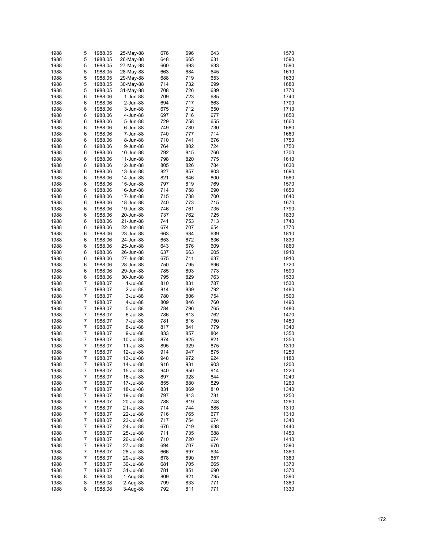| 1988 | 5              | 1988.05 | 25-May-88 | 676 | 696 | 643 | 1570 |
|------|----------------|---------|-----------|-----|-----|-----|------|
| 1988 | 5              | 1988.05 | 26-May-88 | 648 | 665 | 631 | 1590 |
|      |                |         |           |     |     |     |      |
| 1988 | 5              | 1988.05 | 27-May-88 | 660 | 693 | 633 | 1590 |
| 1988 | 5              | 1988.05 | 28-May-88 | 663 | 684 | 645 | 1610 |
| 1988 | 5              | 1988.05 | 29-May-88 | 688 | 719 | 653 | 1630 |
| 1988 | 5              | 1988.05 | 30-May-88 | 714 | 732 | 699 | 1680 |
| 1988 | 5              | 1988.05 | 31-May-88 | 708 | 726 | 689 | 1770 |
| 1988 | 6              | 1988.06 | 1-Jun-88  | 709 | 723 | 685 | 1740 |
| 1988 | 6              | 1988.06 | 2-Jun-88  | 694 | 717 | 663 | 1700 |
| 1988 | 6              | 1988.06 | 3-Jun-88  | 675 | 712 | 650 | 1710 |
| 1988 | 6              | 1988.06 | 4-Jun-88  | 697 | 716 | 677 | 1650 |
| 1988 | 6              | 1988.06 | 5-Jun-88  | 729 | 758 | 655 | 1660 |
| 1988 | 6              | 1988.06 | 6-Jun-88  | 749 | 780 | 730 | 1680 |
|      |                |         |           |     | 777 | 714 |      |
| 1988 | 6              | 1988.06 | 7-Jun-88  | 740 |     |     | 1660 |
| 1988 | 6              | 1988.06 | 8-Jun-88  | 710 | 741 | 676 | 1750 |
| 1988 | 6              | 1988.06 | 9-Jun-88  | 764 | 802 | 724 | 1750 |
| 1988 | 6              | 1988.06 | 10-Jun-88 | 792 | 815 | 766 | 1700 |
| 1988 | 6              | 1988.06 | 11-Jun-88 | 798 | 820 | 775 | 1610 |
| 1988 | 6              | 1988.06 | 12-Jun-88 | 805 | 826 | 784 | 1630 |
| 1988 | 6              | 1988.06 | 13-Jun-88 | 827 | 857 | 803 | 1690 |
| 1988 | 6              | 1988.06 | 14-Jun-88 | 821 | 846 | 800 | 1580 |
| 1988 | 6              | 1988.06 | 15-Jun-88 | 797 | 819 | 769 | 1570 |
| 1988 | 6              | 1988.06 | 16-Jun-88 | 714 | 758 | 690 | 1650 |
| 1988 | 6              | 1988.06 | 17-Jun-88 | 715 | 738 | 700 | 1640 |
|      | 6              |         |           |     |     | 715 |      |
| 1988 |                | 1988.06 | 18-Jun-88 | 740 | 773 |     | 1670 |
| 1988 | 6              | 1988.06 | 19-Jun-88 | 746 | 761 | 735 | 1790 |
| 1988 | 6              | 1988.06 | 20-Jun-88 | 737 | 762 | 725 | 1830 |
| 1988 | 6              | 1988.06 | 21-Jun-88 | 741 | 753 | 713 | 1740 |
| 1988 | 6              | 1988.06 | 22-Jun-88 | 674 | 707 | 654 | 1770 |
| 1988 | 6              | 1988.06 | 23-Jun-88 | 663 | 684 | 639 | 1810 |
| 1988 | 6              | 1988.06 | 24-Jun-88 | 653 | 672 | 636 | 1830 |
| 1988 | 6              | 1988.06 | 25-Jun-88 | 643 | 676 | 609 | 1860 |
| 1988 | 6              | 1988.06 | 26-Jun-88 | 637 | 663 | 605 | 1910 |
| 1988 | 6              | 1988.06 | 27-Jun-88 | 675 | 711 | 637 | 1910 |
| 1988 | 6              | 1988.06 | 28-Jun-88 | 750 | 795 | 696 | 1720 |
|      |                |         |           |     |     |     |      |
| 1988 | 6              | 1988.06 | 29-Jun-88 | 785 | 803 | 773 | 1590 |
| 1988 | 6              | 1988.06 | 30-Jun-88 | 795 | 829 | 763 | 1530 |
| 1988 | 7              | 1988.07 | 1-Jul-88  | 810 | 831 | 787 | 1530 |
| 1988 | 7              | 1988.07 | 2-Jul-88  | 814 | 839 | 792 | 1480 |
| 1988 | 7              | 1988.07 | 3-Jul-88  | 780 | 806 | 754 | 1500 |
| 1988 | 7              | 1988.07 | 4-Jul-88  | 809 | 846 | 760 | 1490 |
| 1988 | $\overline{7}$ | 1988.07 | 5-Jul-88  | 784 | 796 | 765 | 1480 |
| 1988 | 7              | 1988.07 | 6-Jul-88  | 786 | 813 | 762 | 1470 |
| 1988 | 7              | 1988.07 | 7-Jul-88  | 781 | 816 | 750 | 1450 |
| 1988 | 7              | 1988.07 | 8-Jul-88  | 817 | 841 | 779 | 1340 |
| 1988 | $\overline{7}$ | 1988.07 | 9-Jul-88  | 833 | 857 | 804 | 1350 |
|      | 7              |         |           |     |     |     |      |
| 1988 |                | 1988.07 | 10-Jul-88 | 874 | 925 | 821 | 1350 |
| 1988 | 7              | 1988.07 | 11-Jul-88 | 895 | 929 | 875 | 1310 |
| 1988 | 7              | 1988.07 | 12-Jul-88 | 914 | 947 | 875 | 1250 |
| 1988 | 7              | 1988.07 | 13-Jul-88 | 948 | 972 | 924 | 1180 |
| 1988 | 7              | 1988.07 | 14-Jul-88 | 916 | 931 | 903 | 1200 |
| 1988 | 7              | 1988.07 | 15-Jul-88 | 940 | 950 | 914 | 1220 |
| 1988 | 7              | 1988.07 | 16-Jul-88 | 897 | 928 | 844 | 1240 |
| 1988 | 7              | 1988.07 | 17-Jul-88 | 855 | 880 | 829 | 1260 |
| 1988 | 7              | 1988.07 | 18-Jul-88 | 831 | 869 | 810 | 1340 |
| 1988 | 7              | 1988.07 | 19-Jul-88 | 797 | 813 | 781 | 1250 |
| 1988 | 7              | 1988.07 | 20-Jul-88 | 788 | 819 | 748 | 1260 |
|      |                |         |           |     |     |     |      |
| 1988 | 7              | 1988.07 | 21-Jul-88 | 714 | 744 | 685 | 1310 |
| 1988 | 7              | 1988.07 | 22-Jul-88 | 716 | 765 | 677 | 1310 |
| 1988 | 7              | 1988.07 | 23-Jul-88 | 717 | 754 | 674 | 1340 |
| 1988 | 7              | 1988.07 | 24-Jul-88 | 676 | 719 | 638 | 1440 |
| 1988 | 7              | 1988.07 | 25-Jul-88 | 711 | 735 | 688 | 1450 |
| 1988 | 7              | 1988.07 | 26-Jul-88 | 710 | 720 | 674 | 1410 |
| 1988 | 7              | 1988.07 | 27-Jul-88 | 694 | 707 | 676 | 1390 |
| 1988 | 7              | 1988.07 | 28-Jul-88 | 666 | 697 | 634 | 1360 |
| 1988 | 7              | 1988.07 | 29-Jul-88 | 678 | 690 | 657 | 1360 |
| 1988 | 7              | 1988.07 | 30-Jul-88 | 681 | 705 | 665 | 1370 |
| 1988 | 7              |         |           | 781 | 851 | 690 | 1370 |
|      |                | 1988.07 | 31-Jul-88 |     |     |     |      |
| 1988 | 8              | 1988.08 | 1-Aug-88  | 809 | 821 | 795 | 1390 |
| 1988 | 8              | 1988.08 | 2-Aug-88  | 799 | 833 | 771 | 1360 |
| 1988 | 8              | 1988.08 | 3-Aug-88  | 792 | 811 | 771 | 1330 |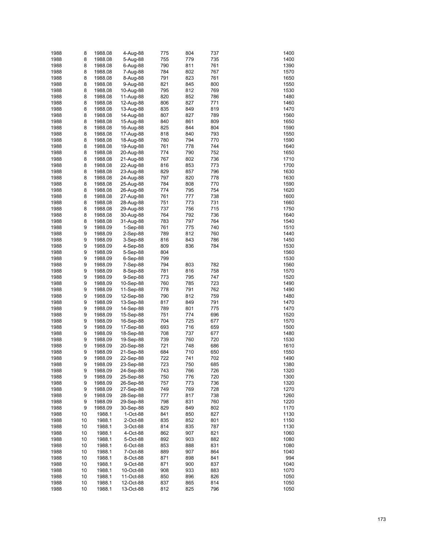| 1988 | 8  | 1988.08 | 4-Aug-88   | 775 | 804 | 737 | 1400 |
|------|----|---------|------------|-----|-----|-----|------|
| 1988 | 8  | 1988.08 | 5-Aug-88   | 755 | 779 | 735 | 1400 |
| 1988 | 8  | 1988.08 | 6-Aug-88   | 790 | 811 | 761 | 1390 |
| 1988 | 8  | 1988.08 | 7-Aug-88   | 784 | 802 | 767 | 1570 |
| 1988 | 8  | 1988.08 | 8-Aug-88   | 791 | 823 | 761 | 1650 |
| 1988 | 8  | 1988.08 | 9-Aug-88   | 821 | 845 | 800 | 1550 |
| 1988 | 8  | 1988.08 | 10-Aug-88  | 795 | 812 | 769 | 1530 |
| 1988 | 8  | 1988.08 | 11-Aug-88  | 820 | 852 | 786 | 1480 |
|      |    |         |            |     |     |     |      |
| 1988 | 8  | 1988.08 | 12-Aug-88  | 806 | 827 | 771 | 1460 |
| 1988 | 8  | 1988.08 | 13-Aug-88  | 835 | 849 | 819 | 1470 |
| 1988 | 8  | 1988.08 | 14-Aug-88  | 807 | 827 | 789 | 1560 |
| 1988 | 8  | 1988.08 | 15-Aug-88  | 840 | 861 | 809 | 1650 |
| 1988 | 8  | 1988.08 | 16-Aug-88  | 825 | 844 | 804 | 1590 |
| 1988 | 8  | 1988.08 | 17-Aug-88  | 818 | 840 | 793 | 1550 |
| 1988 | 8  | 1988.08 | 18-Aug-88  | 780 | 794 | 770 | 1590 |
| 1988 | 8  | 1988.08 | 19-Aug-88  | 761 | 778 | 744 | 1640 |
| 1988 | 8  | 1988.08 | 20-Aug-88  | 774 | 790 | 752 | 1650 |
| 1988 | 8  | 1988.08 | 21-Aug-88  | 767 | 802 | 736 | 1710 |
| 1988 | 8  | 1988.08 | 22-Aug-88  | 816 | 853 | 773 | 1700 |
| 1988 | 8  | 1988.08 | 23-Aug-88  | 829 | 857 | 796 | 1630 |
| 1988 | 8  | 1988.08 | 24-Aug-88  | 797 | 820 | 778 | 1630 |
| 1988 | 8  | 1988.08 | 25-Aug-88  | 784 | 808 | 770 | 1590 |
| 1988 | 8  | 1988.08 | 26-Aug-88  | 774 | 795 | 754 | 1620 |
| 1988 | 8  | 1988.08 | 27-Aug-88  | 761 | 777 | 738 | 1600 |
| 1988 | 8  | 1988.08 | 28-Aug-88  | 751 | 773 | 731 | 1660 |
| 1988 | 8  | 1988.08 | 29-Aug-88  | 737 | 756 | 715 | 1750 |
| 1988 | 8  | 1988.08 | 30-Aug-88  | 764 | 792 | 736 | 1640 |
| 1988 | 8  | 1988.08 | 31-Aug-88  | 783 | 797 | 764 | 1540 |
| 1988 | 9  | 1988.09 | $1-Sep-88$ | 761 | 775 | 740 | 1510 |
| 1988 | 9  | 1988.09 | 2-Sep-88   | 789 | 812 | 760 | 1440 |
| 1988 | 9  | 1988.09 | 3-Sep-88   | 816 | 843 | 786 | 1450 |
| 1988 | 9  | 1988.09 | 4-Sep-88   | 809 | 836 | 784 | 1530 |
| 1988 | 9  | 1988.09 | 5-Sep-88   | 804 |     |     | 1560 |
| 1988 | 9  | 1988.09 | $6-Sep-88$ | 799 |     |     | 1530 |
| 1988 | 9  | 1988.09 | 7-Sep-88   | 794 | 803 | 782 | 1560 |
| 1988 | 9  | 1988.09 | 8-Sep-88   | 781 | 816 | 758 | 1570 |
| 1988 | 9  | 1988.09 | 9-Sep-88   | 773 | 795 | 747 | 1520 |
| 1988 | 9  |         |            | 760 | 785 | 723 | 1490 |
|      | 9  | 1988.09 | 10-Sep-88  |     | 791 |     | 1490 |
| 1988 |    | 1988.09 | 11-Sep-88  | 778 |     | 762 |      |
| 1988 | 9  | 1988.09 | 12-Sep-88  | 790 | 812 | 759 | 1480 |
| 1988 | 9  | 1988.09 | 13-Sep-88  | 817 | 849 | 791 | 1470 |
| 1988 | 9  | 1988.09 | 14-Sep-88  | 789 | 801 | 775 | 1470 |
| 1988 | 9  | 1988.09 | 15-Sep-88  | 751 | 774 | 696 | 1520 |
| 1988 | 9  | 1988.09 | 16-Sep-88  | 704 | 725 | 677 | 1570 |
| 1988 | 9  | 1988.09 | 17-Sep-88  | 693 | 716 | 659 | 1500 |
| 1988 | 9  | 1988.09 | 18-Sep-88  | 708 | 737 | 677 | 1480 |
| 1988 | 9  | 1988.09 | 19-Sep-88  | 739 | 760 | 720 | 1530 |
| 1988 | 9  | 1988.09 | 20-Sep-88  | 721 | 748 | 686 | 1610 |
| 1988 | 9  | 1988.09 | 21-Sep-88  | 684 | 710 | 650 | 1550 |
| 1988 | 9  | 1988.09 | 22-Sep-88  | 722 | 741 | 702 | 1490 |
| 1988 | 9  | 1988.09 | 23-Sep-88  | 723 | 750 | 685 | 1380 |
| 1988 | 9  | 1988.09 | 24-Sep-88  | 743 | 766 | 726 | 1320 |
| 1988 | 9  | 1988.09 | 25-Sep-88  | 750 | 776 | 720 | 1300 |
| 1988 | 9  | 1988.09 | 26-Sep-88  | 757 | 773 | 736 | 1320 |
| 1988 | 9  | 1988.09 | 27-Sep-88  | 749 | 769 | 728 | 1270 |
| 1988 | 9  | 1988.09 | 28-Sep-88  | 777 | 817 | 738 | 1260 |
| 1988 | 9  | 1988.09 | 29-Sep-88  | 798 | 831 | 760 | 1220 |
| 1988 | 9  | 1988.09 | 30-Sep-88  | 829 | 849 | 802 | 1170 |
| 1988 | 10 | 1988.1  | 1-Oct-88   | 841 | 850 | 827 | 1130 |
| 1988 | 10 | 1988.1  | 2-Oct-88   | 835 | 852 | 801 | 1150 |
| 1988 | 10 | 1988.1  | 3-Oct-88   | 814 | 835 | 787 | 1130 |
| 1988 | 10 | 1988.1  | 4-Oct-88   | 862 | 907 | 821 | 1060 |
| 1988 | 10 | 1988.1  | 5-Oct-88   | 892 | 903 | 882 | 1080 |
| 1988 | 10 | 1988.1  | 6-Oct-88   | 853 | 888 | 831 | 1080 |
| 1988 | 10 | 1988.1  | 7-Oct-88   | 889 | 907 | 864 | 1040 |
| 1988 | 10 | 1988.1  | 8-Oct-88   | 871 | 898 | 841 | 994  |
| 1988 | 10 | 1988.1  | 9-Oct-88   | 871 | 900 | 837 | 1040 |
| 1988 | 10 | 1988.1  | 10-Oct-88  | 908 | 933 | 883 | 1070 |
| 1988 | 10 | 1988.1  | 11-Oct-88  | 850 | 896 | 826 | 1050 |
| 1988 | 10 | 1988.1  | 12-Oct-88  | 837 | 865 | 814 | 1050 |
| 1988 | 10 | 1988.1  | 13-Oct-88  | 812 | 825 | 796 | 1050 |
|      |    |         |            |     |     |     |      |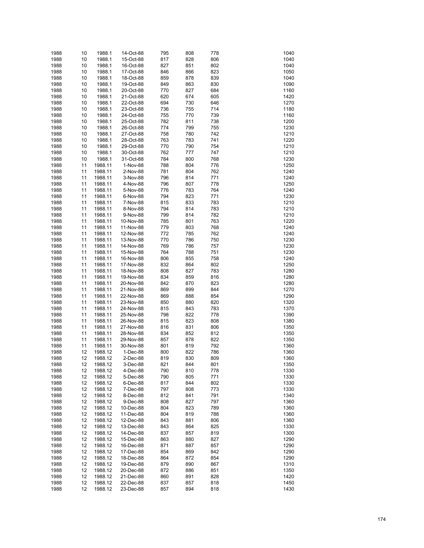| 1988 | 10 | 1988.1  | 14-Oct-88   | 795 | 808 | 778 | 1040 |
|------|----|---------|-------------|-----|-----|-----|------|
| 1988 | 10 | 1988.1  | 15-Oct-88   | 817 | 828 | 806 | 1040 |
| 1988 | 10 | 1988.1  | 16-Oct-88   | 827 | 851 | 802 | 1040 |
|      |    |         |             |     |     |     |      |
| 1988 | 10 | 1988.1  | 17-Oct-88   | 846 | 866 | 823 | 1050 |
| 1988 | 10 | 1988.1  | 18-Oct-88   | 859 | 878 | 839 | 1040 |
| 1988 | 10 | 1988.1  | 19-Oct-88   | 849 | 863 | 830 | 1090 |
| 1988 | 10 | 1988.1  | 20-Oct-88   | 770 | 827 | 684 | 1160 |
| 1988 | 10 | 1988.1  | 21-Oct-88   | 620 | 674 | 605 | 1420 |
| 1988 | 10 | 1988.1  | 22-Oct-88   | 694 | 730 | 646 | 1270 |
| 1988 | 10 | 1988.1  | 23-Oct-88   | 736 | 755 | 714 | 1180 |
| 1988 | 10 | 1988.1  | 24-Oct-88   | 755 | 770 | 739 | 1160 |
| 1988 | 10 | 1988.1  | 25-Oct-88   | 782 | 811 | 738 | 1200 |
| 1988 | 10 | 1988.1  | 26-Oct-88   | 774 | 799 | 755 | 1230 |
| 1988 | 10 | 1988.1  | 27-Oct-88   | 758 | 780 | 742 | 1210 |
| 1988 | 10 | 1988.1  | 28-Oct-88   | 763 | 783 | 741 | 1220 |
| 1988 | 10 | 1988.1  |             | 770 | 790 | 754 | 1210 |
|      |    |         | 29-Oct-88   |     |     |     |      |
| 1988 | 10 | 1988.1  | 30-Oct-88   | 762 | 777 | 747 | 1210 |
| 1988 | 10 | 1988.1  | 31-Oct-88   | 784 | 800 | 768 | 1230 |
| 1988 | 11 | 1988.11 | 1-Nov-88    | 788 | 804 | 776 | 1250 |
| 1988 | 11 | 1988.11 | 2-Nov-88    | 781 | 804 | 762 | 1240 |
| 1988 | 11 | 1988.11 | 3-Nov-88    | 796 | 814 | 771 | 1240 |
| 1988 | 11 | 1988.11 | 4-Nov-88    | 796 | 807 | 778 | 1250 |
| 1988 | 11 | 1988.11 | 5-Nov-88    | 776 | 783 | 764 | 1240 |
| 1988 | 11 | 1988.11 | 6-Nov-88    | 794 | 823 | 771 | 1230 |
| 1988 | 11 | 1988.11 | 7-Nov-88    | 815 | 833 | 783 | 1210 |
| 1988 | 11 | 1988.11 | 8-Nov-88    | 794 | 814 | 783 | 1210 |
| 1988 | 11 | 1988.11 | 9-Nov-88    | 799 | 814 | 782 | 1210 |
| 1988 | 11 | 1988.11 | 10-Nov-88   | 785 | 801 | 763 | 1220 |
|      |    |         |             |     |     |     |      |
| 1988 | 11 | 1988.11 | 11-Nov-88   | 779 | 803 | 768 | 1240 |
| 1988 | 11 | 1988.11 | 12-Nov-88   | 772 | 785 | 762 | 1240 |
| 1988 | 11 | 1988.11 | 13-Nov-88   | 770 | 786 | 750 | 1230 |
| 1988 | 11 | 1988.11 | 14-Nov-88   | 769 | 786 | 757 | 1230 |
| 1988 | 11 | 1988.11 | 15-Nov-88   | 764 | 788 | 751 | 1230 |
| 1988 | 11 | 1988.11 | 16-Nov-88   | 806 | 855 | 758 | 1240 |
| 1988 | 11 | 1988.11 | 17-Nov-88   | 832 | 864 | 802 | 1250 |
| 1988 | 11 | 1988.11 | 18-Nov-88   | 808 | 827 | 783 | 1280 |
| 1988 | 11 | 1988.11 | 19-Nov-88   | 834 | 859 | 816 | 1280 |
| 1988 | 11 | 1988.11 | 20-Nov-88   | 842 | 870 | 823 | 1280 |
| 1988 | 11 | 1988.11 | 21-Nov-88   | 869 | 899 | 844 | 1270 |
| 1988 | 11 | 1988.11 | 22-Nov-88   | 869 | 888 | 854 | 1290 |
|      |    |         | 23-Nov-88   |     | 880 |     | 1320 |
| 1988 | 11 | 1988.11 |             | 850 |     | 820 |      |
| 1988 | 11 | 1988.11 | 24-Nov-88   | 815 | 843 | 783 | 1370 |
| 1988 | 11 | 1988.11 | 25-Nov-88   | 798 | 822 | 778 | 1390 |
| 1988 | 11 | 1988.11 | 26-Nov-88   | 815 | 823 | 808 | 1380 |
| 1988 | 11 | 1988.11 | 27-Nov-88   | 816 | 831 | 806 | 1350 |
| 1988 | 11 | 1988.11 | 28-Nov-88   | 834 | 852 | 812 | 1350 |
| 1988 | 11 | 1988.11 | 29-Nov-88   | 857 | 878 | 822 | 1350 |
| 1988 | 11 | 1988.11 | 30-Nov-88   | 801 | 819 | 792 | 1360 |
| 1988 | 12 | 1988.12 | 1-Dec-88    | 800 | 822 | 786 | 1360 |
| 1988 | 12 | 1988.12 | $2$ -Dec-88 | 819 | 830 | 809 | 1360 |
| 1988 | 12 | 1988.12 | 3-Dec-88    | 821 | 844 | 801 | 1350 |
| 1988 | 12 | 1988.12 | 4-Dec-88    | 790 | 810 | 778 | 1330 |
| 1988 | 12 | 1988.12 | 5-Dec-88    | 790 | 805 | 771 | 1330 |
|      |    |         |             |     |     |     |      |
| 1988 | 12 | 1988.12 | 6-Dec-88    | 817 | 844 | 802 | 1330 |
| 1988 | 12 | 1988.12 | 7-Dec-88    | 797 | 808 | 773 | 1330 |
| 1988 | 12 | 1988.12 | 8-Dec-88    | 812 | 841 | 791 | 1340 |
| 1988 | 12 | 1988.12 | 9-Dec-88    | 808 | 827 | 797 | 1360 |
| 1988 | 12 | 1988.12 | 10-Dec-88   | 804 | 823 | 789 | 1360 |
| 1988 | 12 | 1988.12 | 11-Dec-88   | 804 | 819 | 788 | 1360 |
| 1988 | 12 | 1988.12 | 12-Dec-88   | 843 | 881 | 806 | 1360 |
| 1988 | 12 | 1988.12 | 13-Dec-88   | 843 | 864 | 825 | 1330 |
| 1988 | 12 | 1988.12 | 14-Dec-88   | 837 | 857 | 819 | 1300 |
| 1988 | 12 | 1988.12 | 15-Dec-88   | 863 | 880 | 827 | 1290 |
| 1988 | 12 | 1988.12 | 16-Dec-88   | 871 | 887 | 857 | 1290 |
| 1988 | 12 | 1988.12 | 17-Dec-88   | 854 | 869 | 842 | 1290 |
|      |    |         |             |     |     |     | 1290 |
| 1988 | 12 | 1988.12 | 18-Dec-88   | 864 | 872 | 854 |      |
| 1988 | 12 | 1988.12 | 19-Dec-88   | 879 | 890 | 867 | 1310 |
| 1988 | 12 | 1988.12 | 20-Dec-88   | 872 | 886 | 851 | 1350 |
| 1988 | 12 | 1988.12 | 21-Dec-88   | 860 | 891 | 828 | 1420 |
| 1988 | 12 | 1988.12 | 22-Dec-88   | 837 | 857 | 818 | 1450 |
| 1988 | 12 | 1988.12 | 23-Dec-88   | 857 | 894 | 818 | 1430 |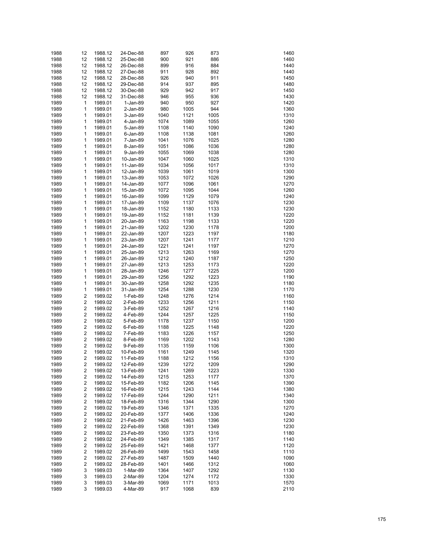| 1988 | 12                      | 1988.12 | 24-Dec-88 | 897  | 926  | 873  | 1460 |
|------|-------------------------|---------|-----------|------|------|------|------|
| 1988 | 12                      | 1988.12 | 25-Dec-88 | 900  | 921  | 886  | 1460 |
| 1988 | 12                      | 1988.12 | 26-Dec-88 | 899  | 916  | 884  | 1440 |
| 1988 | 12                      | 1988.12 | 27-Dec-88 | 911  | 928  | 892  | 1440 |
| 1988 | 12                      | 1988.12 | 28-Dec-88 | 926  | 940  | 911  | 1450 |
| 1988 | 12                      | 1988.12 | 29-Dec-88 | 914  | 937  | 895  | 1480 |
| 1988 | 12                      | 1988.12 | 30-Dec-88 | 929  | 942  | 917  | 1450 |
| 1988 | 12                      | 1988.12 | 31-Dec-88 | 946  | 955  | 936  | 1430 |
| 1989 | 1                       | 1989.01 | 1-Jan-89  | 940  | 950  | 927  | 1420 |
| 1989 | 1                       | 1989.01 | 2-Jan-89  | 980  | 1005 | 944  | 1360 |
| 1989 | 1                       | 1989.01 | 3-Jan-89  | 1040 | 1121 | 1005 | 1310 |
| 1989 | 1                       | 1989.01 | 4-Jan-89  | 1074 | 1089 | 1055 | 1260 |
| 1989 | 1                       | 1989.01 | 5-Jan-89  | 1108 | 1140 | 1090 | 1240 |
| 1989 | 1                       | 1989.01 | 6-Jan-89  | 1108 | 1138 | 1081 | 1260 |
| 1989 | 1                       | 1989.01 | 7-Jan-89  | 1041 | 1076 | 1025 | 1280 |
| 1989 | 1                       | 1989.01 | 8-Jan-89  | 1051 | 1086 | 1036 | 1280 |
| 1989 | 1                       | 1989.01 | 9-Jan-89  | 1055 | 1069 | 1038 | 1280 |
| 1989 | 1                       | 1989.01 | 10-Jan-89 | 1047 | 1060 | 1025 | 1310 |
| 1989 | 1                       | 1989.01 | 11-Jan-89 | 1034 | 1056 | 1017 | 1310 |
| 1989 | 1                       | 1989.01 | 12-Jan-89 | 1039 | 1061 | 1019 | 1300 |
| 1989 | 1                       | 1989.01 | 13-Jan-89 | 1053 | 1072 | 1026 | 1290 |
| 1989 | 1                       | 1989.01 | 14-Jan-89 | 1077 | 1096 | 1061 | 1270 |
| 1989 | 1                       | 1989.01 | 15-Jan-89 | 1072 | 1095 | 1044 | 1260 |
| 1989 | 1                       | 1989.01 | 16-Jan-89 | 1099 | 1129 | 1079 | 1240 |
| 1989 | 1                       | 1989.01 | 17-Jan-89 | 1109 | 1137 | 1076 | 1230 |
| 1989 | 1                       | 1989.01 | 18-Jan-89 | 1152 | 1180 | 1133 | 1230 |
| 1989 | 1                       | 1989.01 | 19-Jan-89 | 1152 | 1181 | 1139 | 1220 |
| 1989 | 1                       | 1989.01 | 20-Jan-89 | 1163 | 1198 | 1133 | 1220 |
| 1989 | 1                       | 1989.01 | 21-Jan-89 | 1202 | 1230 | 1178 | 1200 |
| 1989 | 1                       | 1989.01 | 22-Jan-89 | 1207 | 1223 | 1197 | 1180 |
| 1989 | 1                       | 1989.01 | 23-Jan-89 | 1207 | 1241 | 1177 | 1210 |
| 1989 | 1                       | 1989.01 | 24-Jan-89 | 1221 | 1241 | 1197 | 1270 |
| 1989 | 1                       | 1989.01 | 25-Jan-89 | 1213 | 1263 | 1169 | 1270 |
| 1989 | 1                       | 1989.01 | 26-Jan-89 | 1212 | 1240 | 1187 | 1250 |
| 1989 | 1                       | 1989.01 | 27-Jan-89 | 1213 | 1253 | 1173 | 1220 |
| 1989 | 1                       | 1989.01 | 28-Jan-89 | 1246 | 1277 | 1225 | 1200 |
| 1989 | 1                       | 1989.01 | 29-Jan-89 | 1256 | 1292 | 1223 | 1190 |
| 1989 | 1                       | 1989.01 | 30-Jan-89 | 1258 | 1292 | 1235 | 1180 |
| 1989 | 1                       | 1989.01 | 31-Jan-89 | 1254 | 1288 | 1230 | 1170 |
| 1989 | 2                       | 1989.02 | 1-Feb-89  | 1248 | 1276 | 1214 | 1160 |
| 1989 | $\overline{\mathbf{c}}$ | 1989.02 | 2-Feb-89  | 1233 | 1256 | 1211 | 1150 |
| 1989 | $\overline{\mathbf{c}}$ | 1989.02 | 3-Feb-89  | 1252 | 1267 | 1216 | 1140 |
| 1989 | $\overline{\mathbf{c}}$ | 1989.02 | 4-Feb-89  | 1244 | 1257 | 1225 | 1150 |
| 1989 | $\overline{\mathbf{c}}$ | 1989.02 | 5-Feb-89  | 1178 | 1237 | 1150 | 1200 |
| 1989 | $\overline{\mathbf{c}}$ | 1989.02 | 6-Feb-89  | 1188 | 1225 | 1148 | 1220 |
| 1989 | $\overline{\mathbf{c}}$ | 1989.02 | 7-Feb-89  | 1183 | 1226 | 1157 | 1250 |
| 1989 | $\overline{\mathbf{c}}$ | 1989.02 | 8-Feb-89  | 1169 | 1202 | 1143 | 1280 |
| 1989 | 2                       | 1989.02 | 9-Feb-89  | 1135 | 1159 | 1106 | 1300 |
| 1989 | 2                       | 1989.02 | 10-Feb-89 | 1161 | 1249 | 1145 | 1320 |
| 1989 | 2                       | 1989.02 | 11-Feb-89 | 1188 | 1212 | 1156 | 1310 |
| 1989 | 2                       | 1989.02 | 12-Feb-89 | 1239 | 1272 | 1209 | 1290 |
| 1989 | 2                       | 1989.02 | 13-Feb-89 | 1241 | 1269 | 1223 | 1330 |
| 1989 | 2                       | 1989.02 | 14-Feb-89 | 1215 | 1253 | 1177 | 1370 |
| 1989 | 2                       | 1989.02 | 15-Feb-89 | 1182 | 1206 | 1145 | 1390 |
| 1989 | 2                       | 1989.02 | 16-Feb-89 | 1215 | 1243 | 1144 | 1380 |
| 1989 | 2                       | 1989.02 | 17-Feb-89 | 1244 | 1290 | 1211 | 1340 |
| 1989 | 2                       | 1989.02 | 18-Feb-89 | 1316 | 1344 | 1290 | 1300 |
| 1989 | 2                       | 1989.02 | 19-Feb-89 | 1346 | 1371 | 1335 | 1270 |
| 1989 | 2                       | 1989.02 | 20-Feb-89 | 1377 | 1406 | 1336 | 1240 |
| 1989 | 2                       | 1989.02 | 21-Feb-89 | 1426 | 1463 | 1396 | 1230 |
| 1989 | 2                       | 1989.02 | 22-Feb-89 | 1368 | 1391 | 1349 | 1230 |
| 1989 | 2                       | 1989.02 | 23-Feb-89 | 1350 | 1373 | 1316 | 1180 |
| 1989 | 2                       | 1989.02 | 24-Feb-89 | 1349 | 1385 | 1317 | 1140 |
| 1989 | 2                       | 1989.02 | 25-Feb-89 | 1421 | 1468 | 1377 | 1120 |
| 1989 | 2                       | 1989.02 | 26-Feb-89 | 1499 | 1543 | 1458 | 1110 |
| 1989 | 2                       | 1989.02 | 27-Feb-89 | 1487 | 1509 | 1440 | 1090 |
| 1989 | 2                       | 1989.02 | 28-Feb-89 | 1401 | 1466 | 1312 | 1060 |
| 1989 | 3                       | 1989.03 | 1-Mar-89  | 1364 | 1407 | 1292 | 1130 |
| 1989 | 3                       | 1989.03 | 2-Mar-89  | 1204 | 1274 | 1172 | 1330 |
| 1989 | 3                       | 1989.03 | 3-Mar-89  | 1069 | 1171 | 1013 | 1570 |
| 1989 | 3                       | 1989.03 | 4-Mar-89  | 917  | 1068 | 839  | 2110 |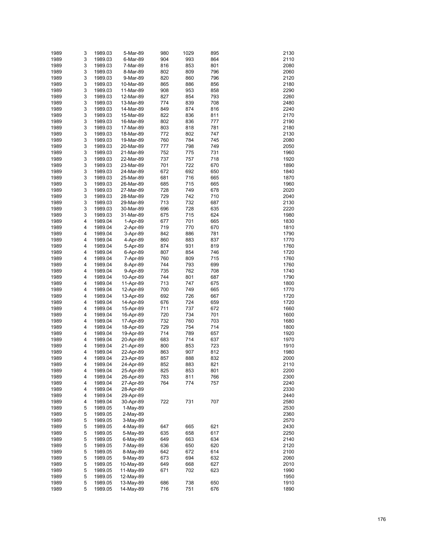| 1989 | 3 | 1989.03 | 5-Mar-89   | 980 | 1029 | 895 | 2130 |
|------|---|---------|------------|-----|------|-----|------|
| 1989 | 3 | 1989.03 | 6-Mar-89   | 904 | 993  | 864 | 2110 |
| 1989 | 3 | 1989.03 | 7-Mar-89   | 816 | 853  | 801 | 2080 |
| 1989 | 3 | 1989.03 | 8-Mar-89   | 802 | 809  | 796 | 2060 |
| 1989 | 3 | 1989.03 | 9-Mar-89   | 820 | 860  | 796 | 2120 |
| 1989 | 3 | 1989.03 | 10-Mar-89  | 865 | 886  | 856 | 2180 |
| 1989 | 3 | 1989.03 | 11-Mar-89  | 908 | 953  | 858 | 2290 |
| 1989 | 3 | 1989.03 | 12-Mar-89  | 827 | 854  | 793 | 2260 |
| 1989 | 3 | 1989.03 | 13-Mar-89  | 774 | 839  | 708 | 2480 |
| 1989 | 3 | 1989.03 | 14-Mar-89  | 849 | 874  | 816 | 2240 |
| 1989 | 3 | 1989.03 | 15-Mar-89  | 822 | 836  | 811 | 2170 |
| 1989 | 3 | 1989.03 | 16-Mar-89  | 802 | 836  | 777 | 2190 |
| 1989 | 3 | 1989.03 | 17-Mar-89  | 803 | 818  | 781 | 2180 |
| 1989 | 3 | 1989.03 | 18-Mar-89  | 772 | 802  | 747 | 2130 |
| 1989 | 3 | 1989.03 | 19-Mar-89  | 760 | 784  | 745 | 2080 |
| 1989 | 3 | 1989.03 | 20-Mar-89  | 777 | 798  | 749 | 2050 |
| 1989 | 3 | 1989.03 | 21-Mar-89  | 752 | 775  | 731 | 1960 |
| 1989 | 3 | 1989.03 | 22-Mar-89  | 737 | 757  | 718 | 1920 |
| 1989 | 3 | 1989.03 | 23-Mar-89  | 701 | 722  | 670 | 1890 |
| 1989 | 3 | 1989.03 | 24-Mar-89  | 672 | 692  | 650 | 1840 |
| 1989 | 3 | 1989.03 | 25-Mar-89  | 681 | 716  | 665 | 1870 |
| 1989 | 3 | 1989.03 | 26-Mar-89  | 685 | 715  | 665 | 1960 |
| 1989 | 3 | 1989.03 | 27-Mar-89  | 728 | 749  | 678 | 2020 |
| 1989 | 3 | 1989.03 | 28-Mar-89  | 729 | 742  | 710 | 2040 |
| 1989 | 3 | 1989.03 | 29-Mar-89  | 713 | 732  | 687 | 2130 |
| 1989 | 3 | 1989.03 | 30-Mar-89  | 696 | 728  | 635 | 2220 |
| 1989 | 3 | 1989.03 | 31-Mar-89  | 675 | 715  | 624 | 1980 |
| 1989 | 4 | 1989.04 | 1-Apr-89   | 677 | 701  | 665 | 1830 |
| 1989 | 4 | 1989.04 | 2-Apr-89   | 719 | 770  | 670 | 1810 |
| 1989 | 4 | 1989.04 | 3-Apr-89   | 842 | 886  | 781 | 1790 |
| 1989 | 4 | 1989.04 | 4-Apr-89   | 860 | 883  | 837 | 1770 |
| 1989 | 4 | 1989.04 | 5-Apr-89   | 874 | 931  | 819 | 1760 |
| 1989 | 4 | 1989.04 | 6-Apr-89   | 807 | 854  | 746 | 1720 |
| 1989 | 4 | 1989.04 | 7-Apr-89   | 760 | 809  | 715 | 1760 |
| 1989 | 4 | 1989.04 | 8-Apr-89   | 744 | 793  | 699 | 1760 |
| 1989 | 4 | 1989.04 | 9-Apr-89   | 735 | 762  | 708 | 1740 |
| 1989 | 4 | 1989.04 | 10-Apr-89  | 744 | 801  | 687 | 1790 |
| 1989 | 4 | 1989.04 | 11-Apr-89  | 713 | 747  | 675 | 1800 |
| 1989 | 4 | 1989.04 | 12-Apr-89  | 700 | 749  | 665 | 1770 |
| 1989 | 4 | 1989.04 | 13-Apr-89  | 692 | 726  | 667 | 1720 |
| 1989 | 4 | 1989.04 | 14-Apr-89  | 676 | 724  | 659 | 1720 |
| 1989 | 4 | 1989.04 | 15-Apr-89  | 711 | 737  | 672 | 1660 |
| 1989 | 4 | 1989.04 | 16-Apr-89  | 720 | 734  | 701 | 1600 |
| 1989 | 4 | 1989.04 | 17-Apr-89  | 732 | 760  | 703 | 1680 |
| 1989 | 4 | 1989.04 | 18-Apr-89  | 729 | 754  | 714 | 1800 |
| 1989 | 4 | 1989.04 | 19-Apr-89  | 714 | 789  | 657 | 1920 |
| 1989 | 4 | 1989.04 | 20-Apr-89  | 683 | 714  | 637 | 1970 |
| 1989 | 4 | 1989.04 | 21-Apr-89  | 800 | 853  | 723 | 1910 |
| 1989 | 4 | 1989.04 | 22-Apr-89  | 863 | 907  | 812 | 1980 |
| 1989 | 4 | 1989.04 | 23-Apr-89  | 857 | 888  | 832 | 2000 |
| 1989 | 4 | 1989.04 | 24-Apr-89  | 852 | 883  | 821 | 2110 |
| 1989 | 4 | 1989.04 | 25-Apr-89  | 825 | 853  | 801 | 2200 |
| 1989 | 4 | 1989.04 | 26-Apr-89  | 783 | 811  | 766 | 2300 |
| 1989 | 4 | 1989.04 | 27-Apr-89  | 764 | 774  | 757 | 2240 |
| 1989 | 4 | 1989.04 | 28-Apr-89  |     |      |     | 2330 |
| 1989 | 4 | 1989.04 | 29-Apr-89  |     |      |     | 2440 |
| 1989 | 4 | 1989.04 | 30-Apr-89  | 722 | 731  | 707 | 2580 |
| 1989 | 5 | 1989.05 | $1-May-89$ |     |      |     | 2530 |
| 1989 | 5 | 1989.05 | 2-May-89   |     |      |     | 2360 |
| 1989 | 5 | 1989.05 | 3-May-89   |     |      |     | 2570 |
| 1989 | 5 | 1989.05 | 4-May-89   | 647 | 665  | 621 | 2430 |
| 1989 | 5 | 1989.05 | 5-May-89   | 635 | 658  | 617 | 2250 |
| 1989 | 5 | 1989.05 | 6-May-89   | 649 | 663  | 634 | 2140 |
| 1989 | 5 | 1989.05 | 7-May-89   | 636 | 650  | 620 | 2120 |
| 1989 | 5 | 1989.05 | 8-May-89   | 642 | 672  | 614 | 2100 |
| 1989 | 5 | 1989.05 | 9-May-89   | 673 | 694  | 632 | 2060 |
| 1989 | 5 | 1989.05 | 10-May-89  | 649 | 668  | 627 | 2010 |
| 1989 | 5 | 1989.05 | 11-May-89  | 671 | 702  | 623 | 1990 |
| 1989 | 5 | 1989.05 | 12-May-89  |     |      |     | 1950 |
| 1989 | 5 | 1989.05 | 13-May-89  | 686 | 738  | 650 | 1910 |
| 1989 | 5 | 1989.05 | 14-May-89  | 716 | 751  | 676 | 1890 |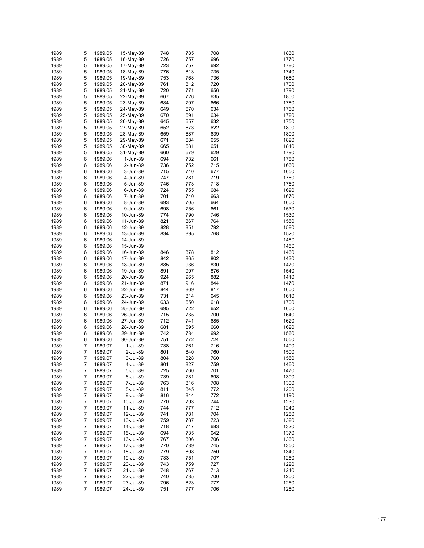| 1989 | 5 | 1989.05 | 15-May-89 | 748 | 785 | 708 | 1830 |
|------|---|---------|-----------|-----|-----|-----|------|
| 1989 | 5 | 1989.05 |           | 726 | 757 | 696 | 1770 |
|      |   |         | 16-May-89 |     |     |     |      |
| 1989 | 5 | 1989.05 | 17-May-89 | 723 | 757 | 692 | 1780 |
| 1989 | 5 | 1989.05 | 18-May-89 | 776 | 813 | 735 | 1740 |
| 1989 | 5 | 1989.05 | 19-May-89 | 753 | 768 | 736 | 1680 |
| 1989 | 5 | 1989.05 | 20-May-89 | 761 | 812 | 720 | 1700 |
| 1989 | 5 | 1989.05 | 21-May-89 | 720 | 771 | 656 | 1790 |
| 1989 | 5 | 1989.05 | 22-May-89 | 667 | 726 | 635 | 1800 |
| 1989 | 5 | 1989.05 | 23-May-89 | 684 | 707 | 666 | 1780 |
| 1989 | 5 | 1989.05 |           | 649 | 670 | 634 | 1760 |
|      |   |         | 24-May-89 |     |     |     |      |
| 1989 | 5 | 1989.05 | 25-May-89 | 670 | 691 | 634 | 1720 |
| 1989 | 5 | 1989.05 | 26-May-89 | 645 | 657 | 632 | 1750 |
| 1989 | 5 | 1989.05 | 27-May-89 | 652 | 673 | 622 | 1800 |
| 1989 | 5 | 1989.05 | 28-May-89 | 659 | 687 | 639 | 1800 |
| 1989 | 5 | 1989.05 | 29-May-89 | 671 | 684 | 655 | 1820 |
| 1989 | 5 | 1989.05 | 30-May-89 | 665 | 681 | 651 | 1810 |
| 1989 | 5 | 1989.05 | 31-May-89 | 660 | 679 | 629 | 1790 |
| 1989 | 6 | 1989.06 | 1-Jun-89  | 694 | 732 | 661 | 1780 |
|      | 6 |         |           |     | 752 |     |      |
| 1989 |   | 1989.06 | 2-Jun-89  | 736 |     | 715 | 1660 |
| 1989 | 6 | 1989.06 | 3-Jun-89  | 715 | 740 | 677 | 1650 |
| 1989 | 6 | 1989.06 | 4-Jun-89  | 747 | 781 | 719 | 1760 |
| 1989 | 6 | 1989.06 | 5-Jun-89  | 746 | 773 | 718 | 1760 |
| 1989 | 6 | 1989.06 | 6-Jun-89  | 724 | 755 | 684 | 1690 |
| 1989 | 6 | 1989.06 | 7-Jun-89  | 701 | 740 | 663 | 1670 |
| 1989 | 6 | 1989.06 | 8-Jun-89  | 693 | 705 | 664 | 1600 |
| 1989 | 6 | 1989.06 | 9-Jun-89  | 698 | 756 | 661 | 1530 |
|      |   |         |           |     |     |     |      |
| 1989 | 6 | 1989.06 | 10-Jun-89 | 774 | 790 | 746 | 1530 |
| 1989 | 6 | 1989.06 | 11-Jun-89 | 821 | 867 | 764 | 1550 |
| 1989 | 6 | 1989.06 | 12-Jun-89 | 828 | 851 | 792 | 1580 |
| 1989 | 6 | 1989.06 | 13-Jun-89 | 834 | 895 | 768 | 1520 |
| 1989 | 6 | 1989.06 | 14-Jun-89 |     |     |     | 1480 |
| 1989 | 6 | 1989.06 | 15-Jun-89 |     |     |     | 1450 |
| 1989 | 6 | 1989.06 | 16-Jun-89 | 846 | 878 | 812 | 1460 |
| 1989 | 6 | 1989.06 | 17-Jun-89 | 842 | 865 | 802 | 1430 |
| 1989 | 6 | 1989.06 | 18-Jun-89 | 885 | 936 | 830 | 1470 |
|      |   |         |           |     |     |     |      |
| 1989 | 6 | 1989.06 | 19-Jun-89 | 891 | 907 | 876 | 1540 |
| 1989 | 6 | 1989.06 | 20-Jun-89 | 924 | 965 | 882 | 1410 |
| 1989 | 6 | 1989.06 | 21-Jun-89 | 871 | 916 | 844 | 1470 |
| 1989 | 6 | 1989.06 | 22-Jun-89 | 844 | 869 | 817 | 1600 |
| 1989 | 6 | 1989.06 | 23-Jun-89 | 731 | 814 | 645 | 1610 |
| 1989 | 6 | 1989.06 | 24-Jun-89 | 633 | 650 | 618 | 1700 |
| 1989 | 6 | 1989.06 | 25-Jun-89 | 695 | 722 | 652 | 1600 |
| 1989 | 6 | 1989.06 | 26-Jun-89 | 715 | 735 | 700 | 1640 |
| 1989 | 6 | 1989.06 | 27-Jun-89 | 712 | 741 | 685 | 1620 |
|      |   |         |           |     |     |     |      |
| 1989 | 6 | 1989.06 | 28-Jun-89 | 681 | 695 | 660 | 1620 |
| 1989 | 6 | 1989.06 | 29-Jun-89 | 742 | 784 | 692 | 1560 |
| 1989 | 6 | 1989.06 | 30-Jun-89 | 751 | 772 | 724 | 1550 |
| 1989 | 7 | 1989.07 | 1-Jul-89  | 738 | 761 | 716 | 1490 |
| 1989 | 7 | 1989.07 | 2-Jul-89  | 801 | 840 | 760 | 1500 |
| 1989 | 7 | 1989.07 | 3-Jul-89  | 804 | 828 | 760 | 1550 |
| 1989 | 7 | 1989.07 | 4-Jul-89  | 801 | 827 | 759 | 1460 |
| 1989 | 7 | 1989.07 | 5-Jul-89  | 725 | 760 | 701 | 1470 |
| 1989 | 7 | 1989.07 | 6-Jul-89  | 739 | 781 | 698 | 1390 |
|      |   |         |           |     |     |     |      |
| 1989 | 7 | 1989.07 | 7-Jul-89  | 763 | 816 | 708 | 1300 |
| 1989 | 7 | 1989.07 | 8-Jul-89  | 811 | 845 | 772 | 1200 |
| 1989 | 7 | 1989.07 | 9-Jul-89  | 816 | 844 | 772 | 1190 |
| 1989 | 7 | 1989.07 | 10-Jul-89 | 770 | 793 | 744 | 1230 |
| 1989 | 7 | 1989.07 | 11-Jul-89 | 744 | 777 | 712 | 1240 |
| 1989 | 7 | 1989.07 | 12-Jul-89 | 741 | 781 | 704 | 1280 |
| 1989 | 7 | 1989.07 | 13-Jul-89 | 759 | 787 | 723 | 1320 |
| 1989 | 7 | 1989.07 | 14-Jul-89 | 718 | 747 | 683 | 1320 |
| 1989 | 7 | 1989.07 | 15-Jul-89 | 694 | 735 | 642 | 1370 |
| 1989 | 7 | 1989.07 |           | 767 | 806 | 706 | 1360 |
|      |   |         | 16-Jul-89 |     |     |     |      |
| 1989 | 7 | 1989.07 | 17-Jul-89 | 770 | 789 | 745 | 1350 |
| 1989 | 7 | 1989.07 | 18-Jul-89 | 779 | 808 | 750 | 1340 |
| 1989 | 7 | 1989.07 | 19-Jul-89 | 733 | 751 | 707 | 1250 |
| 1989 | 7 | 1989.07 | 20-Jul-89 | 743 | 759 | 727 | 1220 |
| 1989 | 7 | 1989.07 | 21-Jul-89 | 748 | 767 | 713 | 1210 |
| 1989 | 7 | 1989.07 | 22-Jul-89 | 740 | 785 | 700 | 1200 |
| 1989 | 7 | 1989.07 | 23-Jul-89 | 796 | 823 | 777 | 1250 |
| 1989 | 7 | 1989.07 | 24-Jul-89 | 751 | 777 | 706 | 1280 |
|      |   |         |           |     |     |     |      |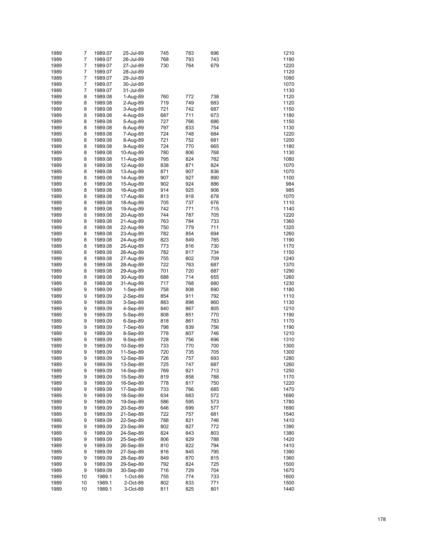| 1989 | 7              | 1989.07 | 25-Jul-89  | 745 | 783 | 696 | 1210 |
|------|----------------|---------|------------|-----|-----|-----|------|
| 1989 | 7              | 1989.07 | 26-Jul-89  | 768 | 793 | 743 | 1190 |
| 1989 | 7              | 1989.07 | 27-Jul-89  | 730 | 764 | 679 | 1220 |
| 1989 | 7              | 1989.07 | 28-Jul-89  |     |     |     | 1120 |
| 1989 | $\overline{7}$ | 1989.07 | 29-Jul-89  |     |     |     | 1090 |
| 1989 | $\overline{7}$ |         | 30-Jul-89  |     |     |     | 1070 |
|      | $\overline{7}$ | 1989.07 |            |     |     |     |      |
| 1989 |                | 1989.07 | 31-Jul-89  |     |     |     | 1130 |
| 1989 | 8              | 1989.08 | 1-Aug-89   | 760 | 772 | 738 | 1120 |
| 1989 | 8              | 1989.08 | 2-Aug-89   | 719 | 749 | 683 | 1120 |
| 1989 | 8              | 1989.08 | 3-Aug-89   | 721 | 742 | 687 | 1150 |
| 1989 | 8              | 1989.08 | 4-Aug-89   | 687 | 711 | 673 | 1180 |
| 1989 | 8              | 1989.08 | 5-Aug-89   | 727 | 766 | 686 | 1150 |
| 1989 | 8              | 1989.08 | 6-Aug-89   | 797 | 833 | 754 | 1130 |
| 1989 | 8              | 1989.08 | 7-Aug-89   | 724 | 748 | 684 | 1220 |
| 1989 | 8              | 1989.08 | 8-Aug-89   | 721 | 752 | 681 | 1200 |
| 1989 | 8              | 1989.08 | 9-Aug-89   | 724 | 770 | 665 | 1180 |
| 1989 | 8              | 1989.08 | 10-Aug-89  | 780 | 806 | 768 | 1130 |
| 1989 | 8              | 1989.08 | 11-Aug-89  | 795 | 824 | 782 | 1080 |
| 1989 | 8              | 1989.08 | 12-Aug-89  | 838 | 871 | 824 | 1070 |
| 1989 | 8              | 1989.08 | 13-Aug-89  | 871 | 907 | 836 | 1070 |
| 1989 | 8              | 1989.08 | 14-Aug-89  | 907 | 927 | 890 | 1100 |
| 1989 | 8              | 1989.08 | 15-Aug-89  | 902 | 924 | 886 | 984  |
| 1989 | 8              |         |            | 914 | 925 | 906 | 985  |
|      |                | 1989.08 | 16-Aug-89  |     |     |     |      |
| 1989 | 8              | 1989.08 | 17-Aug-89  | 813 | 918 | 678 | 1070 |
| 1989 | 8              | 1989.08 | 18-Aug-89  | 705 | 737 | 676 | 1110 |
| 1989 | 8              | 1989.08 | 19-Aug-89  | 742 | 771 | 715 | 1140 |
| 1989 | 8              | 1989.08 | 20-Aug-89  | 744 | 787 | 705 | 1220 |
| 1989 | 8              | 1989.08 | 21-Aug-89  | 763 | 784 | 733 | 1360 |
| 1989 | 8              | 1989.08 | 22-Aug-89  | 750 | 779 | 711 | 1320 |
| 1989 | 8              | 1989.08 | 23-Aug-89  | 782 | 854 | 694 | 1260 |
| 1989 | 8              | 1989.08 | 24-Aug-89  | 823 | 849 | 785 | 1190 |
| 1989 | 8              | 1989.08 | 25-Aug-89  | 773 | 816 | 730 | 1170 |
| 1989 | 8              | 1989.08 | 26-Aug-89  | 782 | 817 | 734 | 1150 |
| 1989 | 8              | 1989.08 | 27-Aug-89  | 755 | 802 | 709 | 1240 |
| 1989 | 8              | 1989.08 | 28-Aug-89  | 722 | 763 | 687 | 1370 |
| 1989 | 8              | 1989.08 | 29-Aug-89  | 701 | 720 | 687 | 1290 |
| 1989 | 8              | 1989.08 | 30-Aug-89  | 688 | 714 | 655 | 1260 |
| 1989 | 8              | 1989.08 | 31-Aug-89  | 717 | 768 | 680 | 1230 |
| 1989 | 9              | 1989.09 | $1-Sep-89$ | 758 | 808 | 690 | 1180 |
| 1989 | 9              | 1989.09 | $2-Sep-89$ | 854 | 911 | 792 | 1110 |
|      |                |         |            |     |     |     |      |
| 1989 | 9              | 1989.09 | 3-Sep-89   | 883 | 898 | 860 | 1130 |
| 1989 | 9              | 1989.09 | 4-Sep-89   | 840 | 867 | 805 | 1210 |
| 1989 | 9              | 1989.09 | 5-Sep-89   | 808 | 851 | 770 | 1190 |
| 1989 | 9              | 1989.09 | $6-Sep-89$ | 818 | 861 | 783 | 1170 |
| 1989 | 9              | 1989.09 | 7-Sep-89   | 798 | 839 | 756 | 1190 |
| 1989 | 9              | 1989.09 | 8-Sep-89   | 778 | 807 | 746 | 1210 |
| 1989 | 9              | 1989.09 | 9-Sep-89   | 728 | 756 | 696 | 1310 |
| 1989 | 9              | 1989.09 | 10-Sep-89  | 733 | 770 | 700 | 1300 |
| 1989 | 9              | 1989.09 | 11-Sep-89  | 720 | 735 | 705 | 1300 |
| 1989 | 9              | 1989.09 | 12-Sep-89  | 726 | 757 | 693 | 1280 |
| 1989 | 9              | 1989.09 | 13-Sep-89  | 725 | 747 | 687 | 1260 |
| 1989 | 9              | 1989.09 | 14-Sep-89  | 769 | 821 | 713 | 1250 |
| 1989 | 9              | 1989.09 | 15-Sep-89  | 819 | 858 | 788 | 1170 |
| 1989 | 9              | 1989.09 | 16-Sep-89  | 778 | 817 | 750 | 1220 |
| 1989 | 9              | 1989.09 | 17-Sep-89  | 733 | 766 | 685 | 1470 |
| 1989 | 9              | 1989.09 | 18-Sep-89  | 634 | 683 | 572 | 1690 |
| 1989 | 9              | 1989.09 | 19-Sep-89  | 586 | 595 | 573 | 1780 |
| 1989 | 9              | 1989.09 | 20-Sep-89  | 646 | 699 | 577 | 1690 |
| 1989 | 9              | 1989.09 | 21-Sep-89  | 722 | 757 | 681 | 1540 |
| 1989 | 9              | 1989.09 | 22-Sep-89  | 788 | 821 | 746 | 1410 |
|      |                |         |            |     |     |     |      |
| 1989 | 9              | 1989.09 | 23-Sep-89  | 802 | 827 | 772 | 1390 |
| 1989 | 9              | 1989.09 | 24-Sep-89  | 824 | 843 | 803 | 1380 |
| 1989 | 9              | 1989.09 | 25-Sep-89  | 806 | 829 | 788 | 1420 |
| 1989 | 9              | 1989.09 | 26-Sep-89  | 810 | 822 | 794 | 1410 |
| 1989 | 9              | 1989.09 | 27-Sep-89  | 816 | 845 | 795 | 1390 |
| 1989 | 9              | 1989.09 | 28-Sep-89  | 849 | 870 | 815 | 1360 |
| 1989 | 9              | 1989.09 | 29-Sep-89  | 792 | 824 | 725 | 1500 |
| 1989 | 9              | 1989.09 | 30-Sep-89  | 716 | 729 | 704 | 1670 |
| 1989 | 10             | 1989.1  | 1-Oct-89   | 755 | 774 | 733 | 1600 |
| 1989 | 10             | 1989.1  | 2-Oct-89   | 802 | 833 | 771 | 1500 |
| 1989 | 10             | 1989.1  | 3-Oct-89   | 811 | 825 | 801 | 1440 |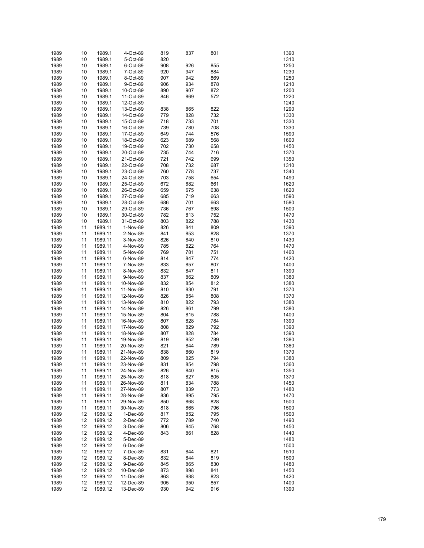| 1989 | 10 | 1989.1  | 4-Oct-89  | 819 | 837 | 801 | 1390 |
|------|----|---------|-----------|-----|-----|-----|------|
| 1989 | 10 | 1989.1  | 5-Oct-89  | 820 |     |     | 1310 |
| 1989 | 10 | 1989.1  | 6-Oct-89  | 908 | 926 | 855 | 1250 |
| 1989 | 10 | 1989.1  | 7-Oct-89  | 920 | 947 | 884 | 1230 |
| 1989 |    | 1989.1  |           | 907 | 942 | 869 | 1250 |
|      | 10 |         | 8-Oct-89  |     |     |     |      |
| 1989 | 10 | 1989.1  | 9-Oct-89  | 906 | 934 | 878 | 1210 |
| 1989 | 10 | 1989.1  | 10-Oct-89 | 890 | 907 | 872 | 1200 |
| 1989 | 10 | 1989.1  | 11-Oct-89 | 846 | 869 | 572 | 1220 |
| 1989 | 10 | 1989.1  | 12-Oct-89 |     |     |     | 1240 |
| 1989 | 10 | 1989.1  | 13-Oct-89 | 838 | 865 | 822 | 1290 |
| 1989 | 10 | 1989.1  | 14-Oct-89 | 779 | 828 | 732 | 1330 |
| 1989 | 10 | 1989.1  | 15-Oct-89 | 718 | 733 | 701 | 1330 |
| 1989 | 10 | 1989.1  | 16-Oct-89 | 739 | 780 | 708 | 1330 |
| 1989 | 10 | 1989.1  | 17-Oct-89 | 649 | 744 | 576 | 1590 |
| 1989 | 10 | 1989.1  | 18-Oct-89 | 623 | 689 | 568 | 1600 |
| 1989 | 10 | 1989.1  | 19-Oct-89 | 702 | 730 | 658 | 1450 |
| 1989 | 10 | 1989.1  |           | 735 | 744 | 716 | 1370 |
|      |    |         | 20-Oct-89 |     |     |     |      |
| 1989 | 10 | 1989.1  | 21-Oct-89 | 721 | 742 | 699 | 1350 |
| 1989 | 10 | 1989.1  | 22-Oct-89 | 708 | 732 | 687 | 1310 |
| 1989 | 10 | 1989.1  | 23-Oct-89 | 760 | 778 | 737 | 1340 |
| 1989 | 10 | 1989.1  | 24-Oct-89 | 703 | 758 | 654 | 1490 |
| 1989 | 10 | 1989.1  | 25-Oct-89 | 672 | 682 | 661 | 1620 |
| 1989 | 10 | 1989.1  | 26-Oct-89 | 659 | 675 | 638 | 1620 |
| 1989 | 10 | 1989.1  | 27-Oct-89 | 685 | 719 | 663 | 1590 |
| 1989 | 10 | 1989.1  | 28-Oct-89 | 686 | 701 | 663 | 1580 |
| 1989 | 10 | 1989.1  | 29-Oct-89 | 736 | 767 | 698 | 1500 |
| 1989 | 10 | 1989.1  | 30-Oct-89 | 782 | 813 | 752 | 1470 |
| 1989 | 10 | 1989.1  |           | 803 | 822 | 788 | 1430 |
|      |    |         | 31-Oct-89 |     |     |     |      |
| 1989 | 11 | 1989.11 | 1-Nov-89  | 826 | 841 | 809 | 1390 |
| 1989 | 11 | 1989.11 | 2-Nov-89  | 841 | 853 | 828 | 1370 |
| 1989 | 11 | 1989.11 | 3-Nov-89  | 826 | 840 | 810 | 1430 |
| 1989 | 11 | 1989.11 | 4-Nov-89  | 785 | 822 | 764 | 1470 |
| 1989 | 11 | 1989.11 | 5-Nov-89  | 769 | 781 | 751 | 1460 |
| 1989 | 11 | 1989.11 | 6-Nov-89  | 814 | 847 | 774 | 1420 |
| 1989 | 11 | 1989.11 | 7-Nov-89  | 833 | 857 | 807 | 1400 |
| 1989 | 11 | 1989.11 | 8-Nov-89  | 832 | 847 | 811 | 1390 |
| 1989 | 11 | 1989.11 | 9-Nov-89  | 837 | 862 | 809 | 1380 |
| 1989 | 11 | 1989.11 | 10-Nov-89 | 832 | 854 | 812 | 1380 |
| 1989 | 11 | 1989.11 |           | 810 | 830 | 791 | 1370 |
|      |    |         | 11-Nov-89 |     |     |     |      |
| 1989 | 11 | 1989.11 | 12-Nov-89 | 826 | 854 | 808 | 1370 |
| 1989 | 11 | 1989.11 | 13-Nov-89 | 810 | 822 | 793 | 1380 |
| 1989 | 11 | 1989.11 | 14-Nov-89 | 826 | 861 | 799 | 1380 |
| 1989 | 11 | 1989.11 | 15-Nov-89 | 804 | 815 | 788 | 1400 |
| 1989 | 11 | 1989.11 | 16-Nov-89 | 807 | 828 | 784 | 1390 |
| 1989 | 11 | 1989.11 | 17-Nov-89 | 808 | 829 | 792 | 1390 |
| 1989 | 11 | 1989.11 | 18-Nov-89 | 807 | 828 | 784 | 1390 |
| 1989 | 11 | 1989.11 | 19-Nov-89 | 819 | 852 | 789 | 1380 |
| 1989 | 11 | 1989.11 | 20-Nov-89 | 821 | 844 | 789 | 1360 |
| 1989 | 11 | 1989.11 | 21-Nov-89 | 838 | 860 | 819 | 1370 |
| 1989 |    |         |           | 809 |     |     |      |
|      | 11 | 1989.11 | 22-Nov-89 |     | 825 | 794 | 1380 |
| 1989 | 11 | 1989.11 | 23-Nov-89 | 831 | 854 | 798 | 1360 |
| 1989 | 11 | 1989.11 | 24-Nov-89 | 826 | 840 | 815 | 1350 |
| 1989 | 11 | 1989.11 | 25-Nov-89 | 818 | 827 | 805 | 1370 |
| 1989 | 11 | 1989.11 | 26-Nov-89 | 811 | 834 | 788 | 1450 |
| 1989 | 11 | 1989.11 | 27-Nov-89 | 807 | 839 | 773 | 1480 |
| 1989 | 11 | 1989.11 | 28-Nov-89 | 836 | 895 | 795 | 1470 |
| 1989 | 11 | 1989.11 | 29-Nov-89 | 850 | 868 | 828 | 1500 |
| 1989 | 11 | 1989.11 | 30-Nov-89 | 818 | 865 | 796 | 1500 |
| 1989 | 12 | 1989.12 | 1-Dec-89  | 817 | 852 | 795 | 1500 |
| 1989 | 12 | 1989.12 | 2-Dec-89  | 772 | 789 | 740 | 1490 |
|      |    |         |           |     |     |     |      |
| 1989 | 12 | 1989.12 | 3-Dec-89  | 806 | 845 | 768 | 1450 |
| 1989 | 12 | 1989.12 | 4-Dec-89  | 843 | 861 | 828 | 1440 |
| 1989 | 12 | 1989.12 | 5-Dec-89  |     |     |     | 1480 |
| 1989 | 12 | 1989.12 | 6-Dec-89  |     |     |     | 1500 |
| 1989 | 12 | 1989.12 | 7-Dec-89  | 831 | 844 | 821 | 1510 |
| 1989 | 12 | 1989.12 | 8-Dec-89  | 832 | 844 | 819 | 1500 |
| 1989 | 12 | 1989.12 | 9-Dec-89  | 845 | 865 | 830 | 1480 |
| 1989 | 12 | 1989.12 | 10-Dec-89 | 873 | 898 | 841 | 1450 |
| 1989 | 12 | 1989.12 | 11-Dec-89 | 863 | 888 | 823 | 1420 |
| 1989 | 12 | 1989.12 | 12-Dec-89 | 905 | 950 | 857 | 1400 |
| 1989 | 12 | 1989.12 | 13-Dec-89 | 930 | 942 | 916 | 1390 |
|      |    |         |           |     |     |     |      |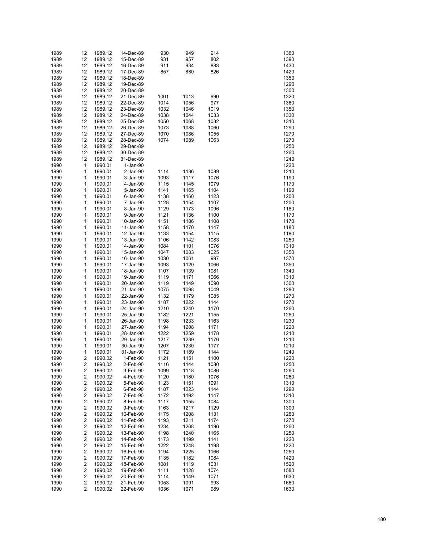| 1989 | 12                      | 1989.12 | 14-Dec-89 | 930  | 949  | 914  | 1380 |
|------|-------------------------|---------|-----------|------|------|------|------|
| 1989 | 12                      | 1989.12 | 15-Dec-89 | 931  | 957  | 802  | 1390 |
| 1989 | 12                      | 1989.12 | 16-Dec-89 | 911  | 934  | 883  | 1430 |
| 1989 | 12                      | 1989.12 | 17-Dec-89 | 857  | 880  | 826  | 1420 |
| 1989 | 12                      | 1989.12 | 18-Dec-89 |      |      |      | 1350 |
| 1989 | 12                      | 1989.12 | 19-Dec-89 |      |      |      | 1290 |
| 1989 |                         |         |           |      |      |      | 1300 |
|      | 12                      | 1989.12 | 20-Dec-89 |      |      |      |      |
| 1989 | 12                      | 1989.12 | 21-Dec-89 | 1001 | 1013 | 990  | 1320 |
| 1989 | 12                      | 1989.12 | 22-Dec-89 | 1014 | 1056 | 977  | 1360 |
| 1989 | 12                      | 1989.12 | 23-Dec-89 | 1032 | 1046 | 1019 | 1350 |
| 1989 | 12                      | 1989.12 | 24-Dec-89 | 1038 | 1044 | 1033 | 1330 |
| 1989 | 12                      | 1989.12 | 25-Dec-89 | 1050 | 1068 | 1032 | 1310 |
| 1989 | 12                      | 1989.12 | 26-Dec-89 | 1073 | 1088 | 1060 | 1290 |
| 1989 | 12                      | 1989.12 | 27-Dec-89 | 1070 | 1086 | 1055 | 1270 |
| 1989 | 12                      | 1989.12 | 28-Dec-89 | 1074 | 1089 | 1063 | 1270 |
| 1989 | 12                      | 1989.12 | 29-Dec-89 |      |      |      | 1250 |
| 1989 | 12                      | 1989.12 | 30-Dec-89 |      |      |      | 1260 |
| 1989 | 12                      | 1989.12 | 31-Dec-89 |      |      |      | 1240 |
| 1990 | $\mathbf{1}$            | 1990.01 | 1-Jan-90  |      |      |      | 1220 |
| 1990 | 1                       | 1990.01 | 2-Jan-90  | 1114 | 1136 | 1089 | 1210 |
| 1990 | 1                       | 1990.01 | 3-Jan-90  | 1093 | 1117 | 1076 | 1190 |
| 1990 | 1                       | 1990.01 | 4-Jan-90  | 1115 | 1145 | 1079 | 1170 |
| 1990 | 1                       | 1990.01 | 5-Jan-90  | 1141 | 1165 | 1104 | 1190 |
|      | 1                       |         |           |      |      |      | 1200 |
| 1990 |                         | 1990.01 | 6-Jan-90  | 1138 | 1160 | 1123 |      |
| 1990 | 1                       | 1990.01 | 7-Jan-90  | 1128 | 1154 | 1107 | 1200 |
| 1990 | 1                       | 1990.01 | 8-Jan-90  | 1129 | 1173 | 1096 | 1180 |
| 1990 | 1                       | 1990.01 | 9-Jan-90  | 1121 | 1136 | 1100 | 1170 |
| 1990 | 1                       | 1990.01 | 10-Jan-90 | 1151 | 1186 | 1108 | 1170 |
| 1990 | 1                       | 1990.01 | 11-Jan-90 | 1158 | 1170 | 1147 | 1180 |
| 1990 | 1                       | 1990.01 | 12-Jan-90 | 1133 | 1154 | 1115 | 1180 |
| 1990 | 1                       | 1990.01 | 13-Jan-90 | 1106 | 1142 | 1083 | 1250 |
| 1990 | 1                       | 1990.01 | 14-Jan-90 | 1084 | 1101 | 1076 | 1310 |
| 1990 | 1                       | 1990.01 | 15-Jan-90 | 1047 | 1083 | 1025 | 1350 |
| 1990 | 1                       | 1990.01 | 16-Jan-90 | 1030 | 1061 | 997  | 1370 |
| 1990 | 1                       | 1990.01 | 17-Jan-90 | 1093 | 1120 | 1066 | 1350 |
| 1990 | 1                       | 1990.01 | 18-Jan-90 | 1107 | 1139 | 1081 | 1340 |
| 1990 | 1                       | 1990.01 | 19-Jan-90 | 1119 | 1171 | 1066 | 1310 |
| 1990 | 1                       | 1990.01 | 20-Jan-90 | 1119 | 1149 | 1090 | 1300 |
| 1990 | 1                       | 1990.01 | 21-Jan-90 | 1075 | 1098 | 1049 | 1280 |
| 1990 | 1                       | 1990.01 | 22-Jan-90 | 1132 | 1179 | 1085 | 1270 |
| 1990 | 1                       | 1990.01 | 23-Jan-90 | 1187 | 1222 | 1144 | 1270 |
|      |                         |         |           |      |      |      |      |
| 1990 | 1                       | 1990.01 | 24-Jan-90 | 1210 | 1240 | 1170 | 1260 |
| 1990 | 1                       | 1990.01 | 25-Jan-90 | 1182 | 1221 | 1155 | 1260 |
| 1990 | 1                       | 1990.01 | 26-Jan-90 | 1198 | 1233 | 1163 | 1230 |
| 1990 | 1                       | 1990.01 | 27-Jan-90 | 1194 | 1208 | 1171 | 1220 |
| 1990 | 1                       | 1990.01 | 28-Jan-90 | 1222 | 1259 | 1178 | 1210 |
| 1990 | 1                       | 1990.01 | 29-Jan-90 | 1217 | 1239 | 1176 | 1210 |
| 1990 | 1                       | 1990.01 | 30-Jan-90 | 1207 | 1230 | 1177 | 1210 |
| 1990 | 1                       | 1990.01 | 31-Jan-90 | 1172 | 1189 | 1144 | 1240 |
| 1990 | 2                       | 1990.02 | 1-Feb-90  | 1121 | 1151 | 1100 | 1220 |
| 1990 | 2                       | 1990.02 | 2-Feb-90  | 1116 | 1144 | 1080 | 1250 |
| 1990 | $\overline{\mathbf{c}}$ | 1990.02 | 3-Feb-90  | 1099 | 1118 | 1086 | 1260 |
| 1990 | $\overline{\mathbf{c}}$ | 1990.02 | 4-Feb-90  | 1120 | 1180 | 1076 | 1260 |
| 1990 | $\overline{\mathbf{c}}$ | 1990.02 | 5-Feb-90  | 1123 | 1151 | 1091 | 1310 |
| 1990 | $\overline{\mathbf{c}}$ | 1990.02 | 6-Feb-90  | 1187 | 1223 | 1144 | 1290 |
| 1990 | $\overline{\mathbf{c}}$ | 1990.02 | 7-Feb-90  | 1172 | 1192 | 1147 | 1310 |
| 1990 | $\overline{\mathbf{c}}$ | 1990.02 | 8-Feb-90  | 1117 | 1155 | 1084 | 1300 |
| 1990 | $\overline{\mathbf{c}}$ | 1990.02 | 9-Feb-90  | 1163 | 1217 | 1129 | 1300 |
| 1990 | $\overline{\mathbf{c}}$ | 1990.02 | 10-Feb-90 | 1175 | 1208 | 1131 | 1280 |
|      | $\overline{\mathbf{c}}$ | 1990.02 |           |      |      |      |      |
| 1990 | $\overline{\mathbf{c}}$ |         | 11-Feb-90 | 1193 | 1211 | 1174 | 1270 |
| 1990 |                         | 1990.02 | 12-Feb-90 | 1234 | 1268 | 1196 | 1260 |
| 1990 | $\overline{\mathbf{c}}$ | 1990.02 | 13-Feb-90 | 1198 | 1240 | 1165 | 1250 |
| 1990 | $\overline{\mathbf{c}}$ | 1990.02 | 14-Feb-90 | 1173 | 1199 | 1141 | 1220 |
| 1990 | $\overline{\mathbf{c}}$ | 1990.02 | 15-Feb-90 | 1222 | 1248 | 1198 | 1220 |
| 1990 | $\overline{\mathbf{c}}$ | 1990.02 | 16-Feb-90 | 1194 | 1225 | 1166 | 1250 |
| 1990 | $\overline{\mathbf{c}}$ | 1990.02 | 17-Feb-90 | 1135 | 1182 | 1084 | 1420 |
| 1990 | $\overline{\mathbf{c}}$ | 1990.02 | 18-Feb-90 | 1081 | 1119 | 1031 | 1520 |
| 1990 | $\overline{\mathbf{c}}$ | 1990.02 | 19-Feb-90 | 1111 | 1128 | 1074 | 1580 |
| 1990 | $\overline{\mathbf{c}}$ | 1990.02 | 20-Feb-90 | 1114 | 1149 | 1071 | 1630 |
| 1990 | $\overline{\mathbf{c}}$ | 1990.02 | 21-Feb-90 | 1053 | 1091 | 993  | 1660 |
| 1990 | 2                       | 1990.02 | 22-Feb-90 | 1036 | 1071 | 989  | 1630 |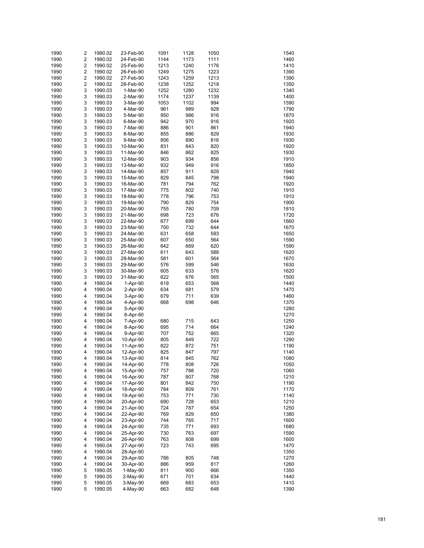| 1990 | 2                       | 1990.02 | 23-Feb-90  | 1091 | 1128 | 1050 | 1540 |
|------|-------------------------|---------|------------|------|------|------|------|
| 1990 | 2                       | 1990.02 | 24-Feb-90  | 1144 | 1173 | 1111 | 1460 |
| 1990 | $\overline{\mathbf{c}}$ | 1990.02 | 25-Feb-90  | 1213 | 1240 | 1176 | 1410 |
| 1990 | $\overline{\mathbf{c}}$ | 1990.02 | 26-Feb-90  | 1249 | 1275 | 1223 | 1390 |
| 1990 | $\overline{\mathbf{c}}$ | 1990.02 | 27-Feb-90  | 1243 | 1259 | 1213 | 1390 |
|      | $\overline{\mathbf{c}}$ |         |            |      |      |      |      |
| 1990 |                         | 1990.02 | 28-Feb-90  | 1238 | 1252 | 1218 | 1350 |
| 1990 | 3                       | 1990.03 | 1-Mar-90   | 1252 | 1280 | 1232 | 1340 |
| 1990 | 3                       | 1990.03 | 2-Mar-90   | 1174 | 1237 | 1139 | 1400 |
| 1990 | 3                       | 1990.03 | 3-Mar-90   | 1053 | 1102 | 994  | 1590 |
| 1990 | 3                       | 1990.03 | 4-Mar-90   | 961  | 989  | 928  | 1790 |
| 1990 | 3                       | 1990.03 | 5-Mar-90   | 950  | 986  | 916  | 1870 |
| 1990 | 3                       | 1990.03 | 6-Mar-90   | 942  | 970  | 916  | 1920 |
| 1990 | 3                       | 1990.03 | 7-Mar-90   | 886  | 901  | 861  | 1940 |
| 1990 | 3                       | 1990.03 | 8-Mar-90   | 855  | 886  | 829  | 1930 |
| 1990 | 3                       | 1990.03 | 9-Mar-90   | 856  | 890  | 816  | 1930 |
| 1990 | 3                       | 1990.03 | 10-Mar-90  | 831  | 843  | 820  | 1920 |
| 1990 | 3                       | 1990.03 | 11-Mar-90  | 846  | 862  | 825  | 1930 |
| 1990 | 3                       | 1990.03 | 12-Mar-90  | 903  | 934  | 856  | 1910 |
| 1990 | 3                       | 1990.03 | 13-Mar-90  | 932  | 949  | 916  | 1850 |
| 1990 | 3                       | 1990.03 | 14-Mar-90  | 857  | 911  | 829  | 1940 |
| 1990 | 3                       | 1990.03 | 15-Mar-90  | 829  | 845  | 798  | 1940 |
|      | 3                       |         |            |      | 794  |      |      |
| 1990 |                         | 1990.03 | 16-Mar-90  | 781  |      | 762  | 1920 |
| 1990 | 3                       | 1990.03 | 17-Mar-90  | 775  | 802  | 740  | 1910 |
| 1990 | 3                       | 1990.03 | 18-Mar-90  | 778  | 796  | 753  | 1910 |
| 1990 | 3                       | 1990.03 | 19-Mar-90  | 790  | 829  | 754  | 1900 |
| 1990 | 3                       | 1990.03 | 20-Mar-90  | 755  | 780  | 709  | 1810 |
| 1990 | 3                       | 1990.03 | 21-Mar-90  | 698  | 723  | 676  | 1720 |
| 1990 | 3                       | 1990.03 | 22-Mar-90  | 677  | 699  | 644  | 1660 |
| 1990 | 3                       | 1990.03 | 23-Mar-90  | 700  | 732  | 644  | 1670 |
| 1990 | 3                       | 1990.03 | 24-Mar-90  | 631  | 658  | 593  | 1650 |
| 1990 | 3                       | 1990.03 | 25-Mar-90  | 607  | 650  | 564  | 1590 |
| 1990 | 3                       | 1990.03 | 26-Mar-90  | 642  | 669  | 620  | 1590 |
| 1990 | 3                       | 1990.03 | 27-Mar-90  | 611  | 643  | 588  | 1620 |
| 1990 | 3                       | 1990.03 | 28-Mar-90  | 581  | 601  | 564  | 1670 |
| 1990 | 3                       | 1990.03 | 29-Mar-90  | 576  | 599  | 546  | 1630 |
| 1990 | 3                       | 1990.03 | 30-Mar-90  | 605  | 633  | 576  | 1620 |
|      | 3                       |         |            |      |      |      | 1500 |
| 1990 |                         | 1990.03 | 31-Mar-90  | 622  | 676  | 565  |      |
| 1990 | 4                       | 1990.04 | 1-Apr-90   | 619  | 653  | 568  | 1440 |
| 1990 | 4                       | 1990.04 | 2-Apr-90   | 634  | 681  | 579  | 1470 |
| 1990 | 4                       | 1990.04 | 3-Apr-90   | 679  | 711  | 639  | 1460 |
| 1990 | 4                       | 1990.04 | 4-Apr-90   | 668  | 698  | 646  | 1370 |
| 1990 | 4                       | 1990.04 | 5-Apr-90   |      |      |      | 1280 |
| 1990 | 4                       | 1990.04 | 6-Apr-90   |      |      |      | 1270 |
| 1990 | 4                       | 1990.04 | 7-Apr-90   | 680  | 715  | 643  | 1250 |
| 1990 | 4                       | 1990.04 | 8-Apr-90   | 695  | 714  | 664  | 1240 |
| 1990 | 4                       | 1990.04 | 9-Apr-90   | 707  | 752  | 665  | 1320 |
| 1990 | 4                       | 1990.04 | 10-Apr-90  | 805  | 849  | 722  | 1290 |
| 1990 | 4                       | 1990.04 | 11-Apr-90  | 822  | 872  | 751  | 1190 |
| 1990 | 4                       | 1990.04 | 12-Apr-90  | 825  | 847  | 797  | 1140 |
| 1990 | 4                       | 1990.04 | 13-Apr-90  | 814  | 845  | 762  | 1080 |
| 1990 | 4                       | 1990.04 | 14-Apr-90  | 778  | 808  | 726  | 1050 |
| 1990 | 4                       | 1990.04 | 15-Apr-90  | 757  | 788  | 720  | 1060 |
| 1990 | 4                       | 1990.04 | 16-Apr-90  | 787  | 807  | 768  | 1210 |
|      |                         |         |            |      |      |      |      |
| 1990 | 4                       | 1990.04 | 17-Apr-90  | 801  | 842  | 750  | 1190 |
| 1990 | 4                       | 1990.04 | 18-Apr-90  | 784  | 809  | 761  | 1170 |
| 1990 | 4                       | 1990.04 | 19-Apr-90  | 753  | 771  | 730  | 1140 |
| 1990 | 4                       | 1990.04 | 20-Apr-90  | 690  | 728  | 653  | 1210 |
| 1990 | 4                       | 1990.04 | 21-Apr-90  | 724  | 787  | 654  | 1250 |
| 1990 | 4                       | 1990.04 | 22-Apr-90  | 769  | 829  | 650  | 1380 |
| 1990 | 4                       | 1990.04 | 23-Apr-90  | 744  | 765  | 717  | 1600 |
| 1990 | 4                       | 1990.04 | 24-Apr-90  | 735  | 771  | 693  | 1680 |
| 1990 | 4                       | 1990.04 | 25-Apr-90  | 730  | 763  | 697  | 1590 |
| 1990 | 4                       | 1990.04 | 26-Apr-90  | 763  | 808  | 699  | 1600 |
| 1990 | 4                       | 1990.04 | 27-Apr-90  | 723  | 743  | 695  | 1470 |
| 1990 | 4                       | 1990.04 | 28-Apr-90  |      |      |      | 1350 |
| 1990 | 4                       | 1990.04 | 29-Apr-90  | 786  | 805  | 748  | 1270 |
| 1990 | 4                       | 1990.04 | 30-Apr-90  | 886  | 959  | 817  | 1260 |
| 1990 | 5                       | 1990.05 | $1-May-90$ | 811  | 900  | 666  | 1350 |
| 1990 | 5                       | 1990.05 | 2-May-90   | 671  | 701  | 634  | 1440 |
| 1990 | 5                       | 1990.05 |            | 669  | 683  | 653  | 1410 |
|      |                         |         | 3-May-90   |      |      |      |      |
| 1990 | 5                       | 1990.05 | 4-May-90   | 663  | 682  | 648  | 1390 |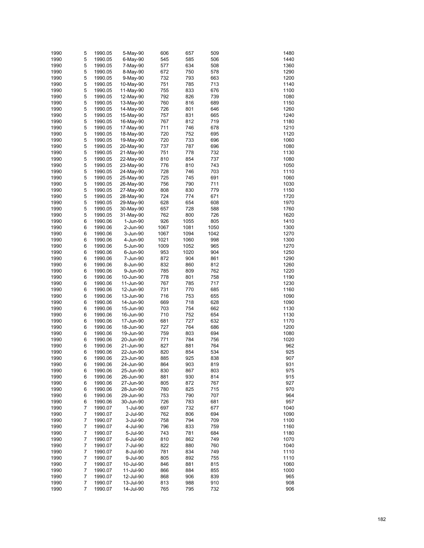| 1990 | 5 | 1990.05 | 5-May-90  | 606  | 657  | 509  | 1480 |
|------|---|---------|-----------|------|------|------|------|
| 1990 | 5 | 1990.05 | 6-May-90  | 545  | 585  | 506  | 1440 |
| 1990 | 5 | 1990.05 | 7-May-90  | 577  | 634  | 508  | 1360 |
| 1990 | 5 | 1990.05 | 8-May-90  | 672  | 750  | 578  | 1290 |
| 1990 | 5 | 1990.05 | 9-May-90  | 732  | 793  | 663  | 1200 |
| 1990 | 5 | 1990.05 | 10-May-90 | 751  | 785  | 713  | 1140 |
| 1990 | 5 | 1990.05 | 11-May-90 | 755  | 833  | 676  | 1100 |
| 1990 | 5 | 1990.05 | 12-May-90 | 792  | 826  | 739  | 1080 |
| 1990 | 5 | 1990.05 | 13-May-90 | 760  | 816  | 689  | 1150 |
| 1990 | 5 | 1990.05 | 14-May-90 | 726  | 801  | 646  | 1260 |
| 1990 | 5 | 1990.05 | 15-May-90 | 757  | 831  | 665  | 1240 |
| 1990 | 5 | 1990.05 | 16-May-90 | 767  | 812  | 719  | 1180 |
| 1990 | 5 | 1990.05 | 17-May-90 | 711  | 746  | 678  | 1210 |
| 1990 | 5 | 1990.05 | 18-May-90 | 720  | 752  | 695  | 1120 |
| 1990 | 5 | 1990.05 | 19-May-90 | 720  | 733  | 696  | 1060 |
| 1990 | 5 | 1990.05 | 20-May-90 | 737  | 787  | 696  | 1080 |
| 1990 | 5 | 1990.05 | 21-May-90 | 751  | 778  | 732  | 1130 |
| 1990 | 5 | 1990.05 | 22-May-90 | 810  | 854  | 737  | 1080 |
| 1990 | 5 | 1990.05 | 23-May-90 | 776  | 810  | 743  | 1050 |
| 1990 | 5 | 1990.05 | 24-May-90 | 728  | 746  | 703  | 1110 |
| 1990 | 5 | 1990.05 | 25-May-90 | 725  | 745  | 691  | 1060 |
| 1990 | 5 | 1990.05 | 26-May-90 | 756  | 790  | 711  | 1030 |
| 1990 | 5 |         | 27-May-90 | 808  | 830  | 779  | 1150 |
|      | 5 | 1990.05 |           | 724  | 774  |      | 1720 |
| 1990 |   | 1990.05 | 28-May-90 |      |      | 671  |      |
| 1990 | 5 | 1990.05 | 29-May-90 | 628  | 654  | 608  | 1970 |
| 1990 | 5 | 1990.05 | 30-May-90 | 657  | 728  | 588  | 1760 |
| 1990 | 5 | 1990.05 | 31-May-90 | 762  | 800  | 726  | 1620 |
| 1990 | 6 | 1990.06 | 1-Jun-90  | 926  | 1055 | 805  | 1410 |
| 1990 | 6 | 1990.06 | 2-Jun-90  | 1067 | 1081 | 1050 | 1300 |
| 1990 | 6 | 1990.06 | 3-Jun-90  | 1067 | 1094 | 1042 | 1270 |
| 1990 | 6 | 1990.06 | 4-Jun-90  | 1021 | 1060 | 998  | 1300 |
| 1990 | 6 | 1990.06 | 5-Jun-90  | 1009 | 1052 | 965  | 1270 |
| 1990 | 6 | 1990.06 | 6-Jun-90  | 953  | 1020 | 904  | 1250 |
| 1990 | 6 | 1990.06 | 7-Jun-90  | 872  | 904  | 861  | 1290 |
| 1990 | 6 | 1990.06 | 8-Jun-90  | 832  | 860  | 812  | 1260 |
| 1990 | 6 | 1990.06 | 9-Jun-90  | 785  | 809  | 762  | 1220 |
| 1990 | 6 | 1990.06 | 10-Jun-90 | 778  | 801  | 758  | 1190 |
| 1990 | 6 | 1990.06 | 11-Jun-90 | 767  | 785  | 717  | 1230 |
| 1990 | 6 | 1990.06 | 12-Jun-90 | 731  | 770  | 685  | 1160 |
| 1990 | 6 | 1990.06 | 13-Jun-90 | 716  | 753  | 655  | 1090 |
| 1990 | 6 | 1990.06 | 14-Jun-90 | 669  | 718  | 628  | 1090 |
| 1990 | 6 | 1990.06 | 15-Jun-90 | 703  | 754  | 662  | 1130 |
| 1990 | 6 | 1990.06 | 16-Jun-90 | 710  | 752  | 654  | 1130 |
| 1990 | 6 | 1990.06 | 17-Jun-90 | 681  | 727  | 632  | 1170 |
| 1990 | 6 | 1990.06 | 18-Jun-90 | 727  | 764  | 686  | 1200 |
| 1990 | 6 | 1990.06 | 19-Jun-90 | 759  | 803  | 694  | 1080 |
| 1990 | 6 | 1990.06 | 20-Jun-90 | 771  | 784  | 756  | 1020 |
| 1990 | 6 | 1990.06 | 21-Jun-90 | 827  | 881  | 764  | 962  |
| 1990 | 6 | 1990.06 | 22-Jun-90 | 820  | 854  | 534  | 925  |
| 1990 | 6 | 1990.06 | 23-Jun-90 | 885  | 925  | 838  | 907  |
| 1990 | 6 | 1990.06 | 24-Jun-90 | 864  | 903  | 819  | 931  |
| 1990 | 6 | 1990.06 | 25-Jun-90 | 830  | 867  | 803  | 975  |
| 1990 | 6 | 1990.06 | 26-Jun-90 | 881  | 930  | 814  | 915  |
| 1990 | 6 | 1990.06 | 27-Jun-90 | 805  | 872  | 767  | 927  |
| 1990 | 6 | 1990.06 | 28-Jun-90 | 780  | 825  | 715  | 970  |
| 1990 | 6 | 1990.06 | 29-Jun-90 | 753  | 790  | 707  | 964  |
| 1990 | 6 | 1990.06 | 30-Jun-90 | 726  | 783  | 681  | 957  |
| 1990 | 7 | 1990.07 | 1-Jul-90  | 697  | 732  | 677  | 1040 |
| 1990 | 7 | 1990.07 | 2-Jul-90  | 762  | 806  | 694  | 1090 |
| 1990 | 7 | 1990.07 | 3-Jul-90  | 758  | 794  | 709  | 1100 |
| 1990 | 7 | 1990.07 | 4-Jul-90  | 796  | 833  | 759  | 1160 |
| 1990 | 7 | 1990.07 | 5-Jul-90  | 743  | 781  | 684  | 1180 |
| 1990 | 7 | 1990.07 | 6-Jul-90  | 810  | 862  | 749  | 1070 |
| 1990 | 7 | 1990.07 | 7-Jul-90  | 822  | 880  | 760  | 1040 |
| 1990 | 7 | 1990.07 | 8-Jul-90  | 781  | 834  | 749  | 1110 |
| 1990 | 7 | 1990.07 | 9-Jul-90  | 805  | 892  | 755  | 1110 |
| 1990 | 7 | 1990.07 | 10-Jul-90 | 846  | 881  | 815  | 1060 |
| 1990 | 7 | 1990.07 | 11-Jul-90 | 866  | 884  | 855  | 1000 |
| 1990 | 7 | 1990.07 | 12-Jul-90 | 868  | 906  | 839  | 965  |
| 1990 | 7 | 1990.07 | 13-Jul-90 | 813  | 988  | 910  | 908  |
| 1990 | 7 | 1990.07 | 14-Jul-90 | 765  | 795  | 732  | 906  |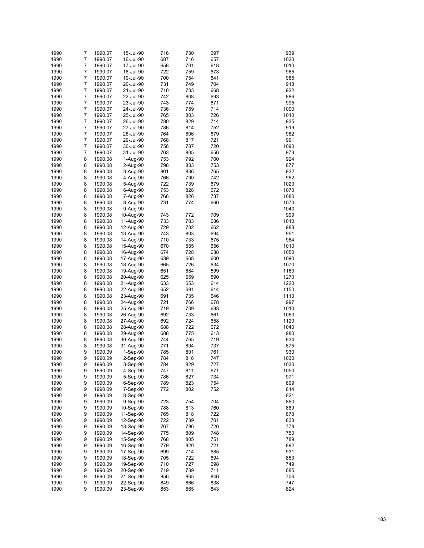| 1990 | 7 | 1990.07 | 15-Jul-90  | 716 | 730 | 697 | 939  |
|------|---|---------|------------|-----|-----|-----|------|
| 1990 | 7 | 1990.07 | 16-Jul-90  | 687 | 716 | 657 | 1020 |
|      | 7 |         |            | 658 | 701 |     | 1010 |
| 1990 |   | 1990.07 | 17-Jul-90  |     |     | 618 |      |
| 1990 | 7 | 1990.07 | 18-Jul-90  | 722 | 759 | 673 | 965  |
| 1990 | 7 | 1990.07 | 19-Jul-90  | 700 | 754 | 641 | 985  |
| 1990 | 7 | 1990.07 | 20-Jul-90  | 731 | 749 | 704 | 918  |
| 1990 | 7 | 1990.07 | 21-Jul-90  | 710 | 733 | 668 | 922  |
| 1990 | 7 | 1990.07 | 22-Jul-90  | 742 | 808 | 693 | 886  |
| 1990 | 7 | 1990.07 | 23-Jul-90  | 743 | 774 | 671 | 995  |
| 1990 | 7 | 1990.07 | 24-Jul-90  | 736 | 759 | 714 | 1000 |
| 1990 | 7 | 1990.07 | 25-Jul-90  | 765 | 803 | 726 | 1010 |
| 1990 | 7 | 1990.07 | 26-Jul-90  | 780 | 829 | 714 | 935  |
| 1990 | 7 | 1990.07 | 27-Jul-90  | 786 | 814 | 752 | 919  |
| 1990 | 7 | 1990.07 | 28-Jul-90  | 764 | 806 | 679 | 982  |
| 1990 | 7 | 1990.07 | 29-Jul-90  | 768 | 817 | 721 | 991  |
| 1990 | 7 | 1990.07 | 30-Jul-90  | 756 | 787 | 720 | 1090 |
|      | 7 |         |            |     |     |     | 973  |
| 1990 |   | 1990.07 | 31-Jul-90  | 763 | 805 | 656 |      |
| 1990 | 8 | 1990.08 | 1-Aug-90   | 753 | 792 | 700 | 924  |
| 1990 | 8 | 1990.08 | 2-Aug-90   | 798 | 833 | 753 | 877  |
| 1990 | 8 | 1990.08 | 3-Aug-90   | 801 | 836 | 765 | 932  |
| 1990 | 8 | 1990.08 | 4-Aug-90   | 766 | 790 | 742 | 952  |
| 1990 | 8 | 1990.08 | 5-Aug-90   | 722 | 739 | 679 | 1020 |
| 1990 | 8 | 1990.08 | 6-Aug-90   | 753 | 828 | 672 | 1070 |
| 1990 | 8 | 1990.08 | 7-Aug-90   | 766 | 826 | 737 | 1080 |
| 1990 | 8 | 1990.08 | 8-Aug-90   | 731 | 774 | 666 | 1070 |
| 1990 | 8 | 1990.08 | 9-Aug-90   |     |     |     | 1040 |
| 1990 | 8 | 1990.08 | 10-Aug-90  | 743 | 772 | 709 | 999  |
| 1990 | 8 | 1990.08 | 11-Aug-90  | 733 | 783 | 686 | 1010 |
|      | 8 |         |            |     | 782 |     | 983  |
| 1990 |   | 1990.08 | 12-Aug-90  | 729 |     | 662 |      |
| 1990 | 8 | 1990.08 | 13-Aug-90  | 743 | 803 | 694 | 951  |
| 1990 | 8 | 1990.08 | 14-Aug-90  | 710 | 733 | 675 | 964  |
| 1990 | 8 | 1990.08 | 15-Aug-90  | 670 | 685 | 656 | 1010 |
| 1990 | 8 | 1990.08 | 16-Aug-90  | 674 | 728 | 638 | 1050 |
| 1990 | 8 | 1990.08 | 17-Aug-90  | 639 | 668 | 600 | 1090 |
| 1990 | 8 | 1990.08 | 18-Aug-90  | 665 | 726 | 634 | 1070 |
| 1990 | 8 | 1990.08 | 19-Aug-90  | 651 | 684 | 599 | 1160 |
| 1990 | 8 | 1990.08 | 20-Aug-90  | 625 | 659 | 590 | 1270 |
| 1990 | 8 | 1990.08 | 21-Aug-90  | 633 | 653 | 614 | 1220 |
| 1990 | 8 | 1990.08 | 22-Aug-90  | 652 | 691 | 614 | 1150 |
| 1990 | 8 | 1990.08 | 23-Aug-90  | 691 | 735 | 646 | 1110 |
| 1990 | 8 | 1990.08 | 24-Aug-90  | 721 | 766 | 678 | 997  |
| 1990 | 8 | 1990.08 |            | 719 | 739 | 683 | 1010 |
|      |   |         | 25-Aug-90  |     |     |     |      |
| 1990 | 8 | 1990.08 | 26-Aug-90  | 692 | 733 | 661 | 1060 |
| 1990 | 8 | 1990.08 | 27-Aug-90  | 692 | 724 | 658 | 1120 |
| 1990 | 8 | 1990.08 | 28-Aug-90  | 688 | 722 | 672 | 1040 |
| 1990 | 8 | 1990.08 | 29-Aug-90  | 688 | 775 | 613 | 980  |
| 1990 | 8 | 1990.08 | 30-Aug-90  | 744 | 765 | 719 | 934  |
| 1990 | 8 | 1990.08 | 31-Aug-90  | 771 | 804 | 737 | 875  |
| 1990 | 9 | 1990.09 | $1-Sep-90$ | 785 | 801 | 761 | 930  |
| 1990 | 9 | 1990.09 | 2-Sep-90   | 784 | 816 | 747 | 1030 |
| 1990 | 9 | 1990.09 | 3-Sep-90   | 784 | 829 | 727 | 1030 |
| 1990 | 9 | 1990.09 | 4-Sep-90   | 747 | 811 | 671 | 1050 |
| 1990 | 9 | 1990.09 | 5-Sep-90   | 786 | 827 | 734 | 971  |
| 1990 | 9 | 1990.09 | 6-Sep-90   | 789 | 823 | 754 | 899  |
|      |   |         |            |     |     |     |      |
| 1990 | 9 | 1990.09 | 7-Sep-90   | 772 | 802 | 752 | 814  |
| 1990 | 9 | 1990.09 | 8-Sep-90   |     |     |     | 821  |
| 1990 | 9 | 1990.09 | 9-Sep-90   | 723 | 754 | 704 | 860  |
| 1990 | 9 | 1990.09 | 10-Sep-90  | 788 | 813 | 760 | 889  |
| 1990 | 9 | 1990.09 | 11-Sep-90  | 765 | 818 | 722 | 873  |
| 1990 | 9 | 1990.09 | 12-Sep-90  | 722 | 739 | 701 | 833  |
| 1990 | 9 | 1990.09 | 13-Sep-90  | 767 | 796 | 726 | 778  |
| 1990 | 9 | 1990.09 | 14-Sep-90  | 775 | 809 | 748 | 750  |
| 1990 | 9 | 1990.09 | 15-Sep-90  | 768 | 805 | 751 | 789  |
| 1990 | 9 | 1990.09 | 16-Sep-90  | 779 | 820 | 721 | 892  |
| 1990 | 9 | 1990.09 | 17-Sep-90  | 699 | 714 | 685 | 931  |
| 1990 | 9 | 1990.09 | 18-Sep-90  | 705 | 722 | 694 | 853  |
| 1990 | 9 | 1990.09 | 19-Sep-90  | 710 | 727 | 698 | 749  |
|      |   |         |            |     |     |     |      |
| 1990 | 9 | 1990.09 | 20-Sep-90  | 719 | 739 | 711 | 685  |
| 1990 | 9 | 1990.09 | 21-Sep-90  | 856 | 865 | 846 | 706  |
| 1990 | 9 | 1990.09 | 22-Sep-90  | 849 | 866 | 838 | 747  |
| 1990 | 9 | 1990.09 | 23-Sep-90  | 853 | 865 | 843 | 824  |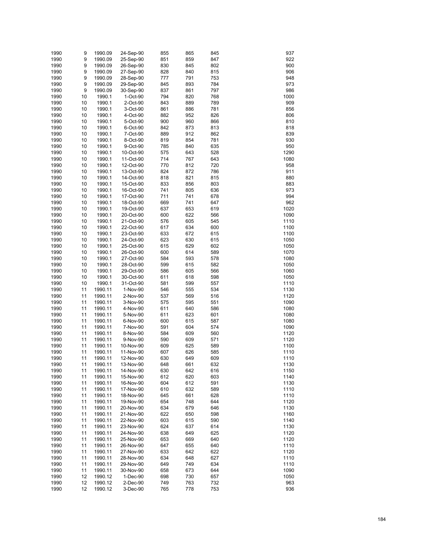| 1990 | 9  | 1990.09 | 24-Sep-90 | 855 | 865 | 845 | 937  |
|------|----|---------|-----------|-----|-----|-----|------|
| 1990 | 9  | 1990.09 | 25-Sep-90 | 851 | 859 | 847 | 922  |
| 1990 | 9  | 1990.09 | 26-Sep-90 | 830 | 845 | 802 | 900  |
| 1990 | 9  | 1990.09 | 27-Sep-90 | 828 | 840 | 815 | 906  |
| 1990 | 9  | 1990.09 | 28-Sep-90 | 777 | 791 | 753 | 948  |
|      |    |         |           |     |     |     |      |
| 1990 | 9  | 1990.09 | 29-Sep-90 | 845 | 893 | 784 | 973  |
| 1990 | 9  | 1990.09 | 30-Sep-90 | 837 | 861 | 797 | 986  |
| 1990 | 10 | 1990.1  | 1-Oct-90  | 794 | 820 | 768 | 1000 |
| 1990 | 10 | 1990.1  | 2-Oct-90  | 843 | 889 | 789 | 909  |
| 1990 | 10 | 1990.1  | 3-Oct-90  | 861 | 886 | 781 | 856  |
| 1990 | 10 | 1990.1  | 4-Oct-90  | 882 | 952 | 826 | 806  |
| 1990 | 10 | 1990.1  | 5-Oct-90  | 900 | 960 | 866 | 810  |
| 1990 | 10 | 1990.1  | 6-Oct-90  | 842 | 873 | 813 | 818  |
| 1990 | 10 | 1990.1  | 7-Oct-90  | 889 | 912 | 862 | 839  |
| 1990 | 10 | 1990.1  | 8-Oct-90  | 819 | 854 | 781 | 930  |
| 1990 | 10 | 1990.1  | 9-Oct-90  | 785 | 840 | 635 | 950  |
| 1990 | 10 | 1990.1  | 10-Oct-90 | 575 | 643 | 528 | 1290 |
| 1990 | 10 | 1990.1  | 11-Oct-90 | 714 | 767 | 643 | 1080 |
| 1990 | 10 | 1990.1  | 12-Oct-90 | 770 | 812 | 720 | 958  |
| 1990 | 10 | 1990.1  | 13-Oct-90 | 824 | 872 | 786 | 911  |
| 1990 | 10 | 1990.1  | 14-Oct-90 | 818 | 821 | 815 | 880  |
| 1990 | 10 | 1990.1  | 15-Oct-90 | 833 | 856 | 803 | 883  |
| 1990 |    | 1990.1  |           | 741 | 805 |     | 973  |
|      | 10 |         | 16-Oct-90 |     |     | 636 |      |
| 1990 | 10 | 1990.1  | 17-Oct-90 | 711 | 741 | 678 | 994  |
| 1990 | 10 | 1990.1  | 18-Oct-90 | 669 | 741 | 647 | 962  |
| 1990 | 10 | 1990.1  | 19-Oct-90 | 637 | 653 | 619 | 1020 |
| 1990 | 10 | 1990.1  | 20-Oct-90 | 600 | 622 | 566 | 1090 |
| 1990 | 10 | 1990.1  | 21-Oct-90 | 576 | 605 | 545 | 1110 |
| 1990 | 10 | 1990.1  | 22-Oct-90 | 617 | 634 | 600 | 1100 |
| 1990 | 10 | 1990.1  | 23-Oct-90 | 633 | 672 | 615 | 1100 |
| 1990 | 10 | 1990.1  | 24-Oct-90 | 623 | 630 | 615 | 1050 |
| 1990 | 10 | 1990.1  | 25-Oct-90 | 615 | 629 | 602 | 1050 |
| 1990 | 10 | 1990.1  | 26-Oct-90 | 600 | 614 | 589 | 1070 |
| 1990 | 10 | 1990.1  | 27-Oct-90 | 584 | 593 | 578 | 1080 |
| 1990 | 10 | 1990.1  | 28-Oct-90 | 599 | 615 | 582 | 1050 |
| 1990 | 10 | 1990.1  | 29-Oct-90 | 586 | 605 | 566 | 1060 |
| 1990 | 10 | 1990.1  | 30-Oct-90 | 611 | 618 | 598 | 1050 |
| 1990 | 10 | 1990.1  | 31-Oct-90 | 581 | 599 | 557 | 1110 |
| 1990 | 11 | 1990.11 | 1-Nov-90  | 546 | 555 | 534 | 1130 |
| 1990 | 11 | 1990.11 | 2-Nov-90  | 537 | 569 | 516 | 1120 |
| 1990 | 11 | 1990.11 | 3-Nov-90  | 575 | 595 | 551 | 1090 |
| 1990 |    |         |           | 611 | 640 | 586 | 1080 |
|      | 11 | 1990.11 | 4-Nov-90  |     |     |     |      |
| 1990 | 11 | 1990.11 | 5-Nov-90  | 611 | 623 | 601 | 1080 |
| 1990 | 11 | 1990.11 | 6-Nov-90  | 600 | 615 | 587 | 1080 |
| 1990 | 11 | 1990.11 | 7-Nov-90  | 591 | 604 | 574 | 1090 |
| 1990 | 11 | 1990.11 | 8-Nov-90  | 584 | 609 | 560 | 1120 |
| 1990 | 11 | 1990.11 | 9-Nov-90  | 590 | 609 | 571 | 1120 |
| 1990 | 11 | 1990.11 | 10-Nov-90 | 609 | 625 | 589 | 1100 |
| 1990 | 11 | 1990.11 | 11-Nov-90 | 607 | 626 | 585 | 1110 |
| 1990 | 11 | 1990.11 | 12-Nov-90 | 630 | 649 | 609 | 1110 |
| 1990 | 11 | 1990.11 | 13-Nov-90 | 648 | 661 | 632 | 1130 |
| 1990 | 11 | 1990.11 | 14-Nov-90 | 630 | 642 | 616 | 1150 |
| 1990 | 11 | 1990.11 | 15-Nov-90 | 612 | 620 | 603 | 1140 |
| 1990 | 11 | 1990.11 | 16-Nov-90 | 604 | 612 | 591 | 1130 |
| 1990 | 11 | 1990.11 | 17-Nov-90 | 610 | 632 | 589 | 1110 |
| 1990 | 11 | 1990.11 | 18-Nov-90 | 645 | 661 | 628 | 1110 |
| 1990 | 11 | 1990.11 | 19-Nov-90 | 654 | 748 | 644 | 1120 |
| 1990 | 11 | 1990.11 | 20-Nov-90 | 634 | 679 | 646 | 1130 |
| 1990 | 11 | 1990.11 | 21-Nov-90 | 622 | 650 | 598 | 1160 |
| 1990 | 11 | 1990.11 | 22-Nov-90 | 603 | 615 | 590 | 1140 |
| 1990 | 11 | 1990.11 |           | 624 | 637 | 614 | 1130 |
| 1990 | 11 | 1990.11 | 23-Nov-90 | 638 | 649 | 625 | 1120 |
|      |    |         | 24-Nov-90 |     |     |     |      |
| 1990 | 11 | 1990.11 | 25-Nov-90 | 653 | 669 | 640 | 1120 |
| 1990 | 11 | 1990.11 | 26-Nov-90 | 647 | 655 | 640 | 1110 |
| 1990 | 11 | 1990.11 | 27-Nov-90 | 633 | 642 | 622 | 1120 |
| 1990 | 11 | 1990.11 | 28-Nov-90 | 634 | 648 | 627 | 1110 |
| 1990 | 11 | 1990.11 | 29-Nov-90 | 649 | 749 | 634 | 1110 |
| 1990 | 11 | 1990.11 | 30-Nov-90 | 658 | 673 | 644 | 1090 |
| 1990 | 12 | 1990.12 | 1-Dec-90  | 698 | 730 | 657 | 1050 |
| 1990 | 12 | 1990.12 | 2-Dec-90  | 749 | 763 | 732 | 963  |
| 1990 | 12 | 1990.12 | 3-Dec-90  | 765 | 778 | 753 | 936  |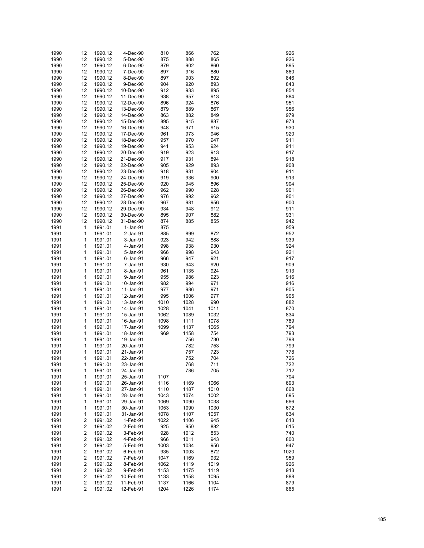| 1990 | 12                      | 1990.12 | 4-Dec-90   | 810  | 866  | 762  | 926  |
|------|-------------------------|---------|------------|------|------|------|------|
|      |                         |         |            |      |      |      |      |
| 1990 | 12                      | 1990.12 | 5-Dec-90   | 875  | 888  | 865  | 926  |
| 1990 | 12                      | 1990.12 | 6-Dec-90   | 879  | 902  | 860  | 895  |
| 1990 | 12                      | 1990.12 | 7-Dec-90   | 897  | 916  | 880  | 860  |
| 1990 | 12                      | 1990.12 | 8-Dec-90   | 897  | 903  | 892  | 846  |
| 1990 | 12                      | 1990.12 | 9-Dec-90   | 904  | 920  | 893  | 843  |
|      |                         |         |            | 912  | 933  |      |      |
| 1990 | 12                      | 1990.12 | 10-Dec-90  |      |      | 895  | 854  |
| 1990 | 12                      | 1990.12 | 11-Dec-90  | 938  | 957  | 913  | 884  |
| 1990 | 12                      | 1990.12 | 12-Dec-90  | 896  | 924  | 876  | 951  |
| 1990 | 12                      | 1990.12 | 13-Dec-90  | 879  | 889  | 867  | 956  |
| 1990 | 12                      | 1990.12 | 14-Dec-90  | 863  | 882  | 849  | 979  |
| 1990 | 12                      | 1990.12 | 15-Dec-90  | 895  | 915  | 887  | 973  |
|      |                         |         |            |      |      |      |      |
| 1990 | 12                      | 1990.12 | 16-Dec-90  | 948  | 971  | 915  | 930  |
| 1990 | 12                      | 1990.12 | 17-Dec-90  | 961  | 973  | 946  | 920  |
| 1990 | 12                      | 1990.12 | 18-Dec-90  | 957  | 970  | 947  | 911  |
| 1990 | 12                      | 1990.12 | 19-Dec-90  | 941  | 953  | 924  | 911  |
| 1990 | 12                      | 1990.12 | 20-Dec-90  | 919  | 923  | 913  | 917  |
| 1990 | 12                      | 1990.12 | 21-Dec-90  | 917  | 931  | 894  | 918  |
|      |                         |         |            |      | 929  |      |      |
| 1990 | 12                      | 1990.12 | 22-Dec-90  | 905  |      | 893  | 908  |
| 1990 | 12                      | 1990.12 | 23-Dec-90  | 918  | 931  | 904  | 911  |
| 1990 | 12                      | 1990.12 | 24-Dec-90  | 919  | 936  | 900  | 913  |
| 1990 | 12                      | 1990.12 | 25-Dec-90  | 920  | 945  | 896  | 904  |
| 1990 | 12                      | 1990.12 | 26-Dec-90  | 962  | 990  | 928  | 901  |
| 1990 | 12                      | 1990.12 | 27-Dec-90  | 976  | 992  | 962  | 901  |
|      |                         |         |            |      |      |      |      |
| 1990 | 12                      | 1990.12 | 28-Dec-90  | 967  | 981  | 956  | 900  |
| 1990 | 12                      | 1990.12 | 29-Dec-90  | 934  | 948  | 912  | 911  |
| 1990 | 12                      | 1990.12 | 30-Dec-90  | 895  | 907  | 882  | 931  |
| 1990 | 12                      | 1990.12 | 31-Dec-90  | 874  | 885  | 855  | 942  |
| 1991 | $\mathbf{1}$            | 1991.01 | $1-Jan-91$ | 875  |      |      | 959  |
| 1991 | 1                       | 1991.01 | 2-Jan-91   | 885  | 899  | 872  | 952  |
|      |                         |         |            |      |      |      |      |
| 1991 | 1                       | 1991.01 | 3-Jan-91   | 923  | 942  | 888  | 939  |
| 1991 | 1                       | 1991.01 | 4-Jan-91   | 998  | 938  | 930  | 924  |
| 1991 | 1                       | 1991.01 | 5-Jan-91   | 966  | 998  | 943  | 921  |
| 1991 | 1                       | 1991.01 | 6-Jan-91   | 966  | 947  | 921  | 917  |
| 1991 | 1                       | 1991.01 | 7-Jan-91   | 930  | 943  | 920  | 909  |
| 1991 | 1                       | 1991.01 | 8-Jan-91   | 961  | 1135 | 924  | 913  |
|      |                         |         |            |      |      |      |      |
| 1991 | 1                       | 1991.01 | 9-Jan-91   | 955  | 986  | 923  | 916  |
| 1991 | 1                       | 1991.01 | 10-Jan-91  | 982  | 994  | 971  | 916  |
| 1991 | 1                       | 1991.01 | 11-Jan-91  | 977  | 986  | 971  | 905  |
| 1991 | 1                       | 1991.01 | 12-Jan-91  | 995  | 1006 | 977  | 905  |
| 1991 | 1                       | 1991.01 | 13-Jan-91  | 1010 | 1028 | 990  | 882  |
| 1991 | 1                       | 1991.01 | 14-Jan-91  | 1028 | 1041 | 1011 | 870  |
|      |                         |         |            |      |      |      |      |
| 1991 | 1                       | 1991.01 | 15-Jan-91  | 1062 | 1089 | 1032 | 834  |
| 1991 | 1                       | 1991.01 | 16-Jan-91  | 1098 | 1111 | 1078 | 789  |
| 1991 | 1                       | 1991.01 | 17-Jan-91  | 1099 | 1137 | 1065 | 794  |
| 1991 | 1                       | 1991.01 | 18-Jan-91  | 969  | 1158 | 754  | 793  |
| 1991 | 1                       | 1991.01 | 19-Jan-91  |      | 756  | 730  | 798  |
| 1991 | 1                       | 1991.01 | 20-Jan-91  |      | 782  | 753  | 799  |
| 1991 | 1                       | 1991.01 | 21-Jan-91  |      | 757  | 723  | 778  |
|      |                         |         |            |      |      |      |      |
| 1991 | 1                       | 1991.01 | 22-Jan-91  |      | 752  | 704  | 726  |
| 1991 | 1                       | 1991.01 | 23-Jan-91  |      | 768  | 711  | 722  |
| 1991 | 1                       | 1991.01 | 24-Jan-91  |      | 786  | 705  | 712  |
| 1991 | 1                       | 1991.01 | 25-Jan-91  | 1107 |      |      | 704  |
| 1991 | 1                       | 1991.01 | 26-Jan-91  | 1116 | 1169 | 1066 | 693  |
| 1991 | 1                       | 1991.01 | 27-Jan-91  | 1110 | 1187 | 1010 | 668  |
|      |                         |         |            |      |      |      |      |
| 1991 | 1                       | 1991.01 | 28-Jan-91  | 1043 | 1074 | 1002 | 695  |
| 1991 | 1                       | 1991.01 | 29-Jan-91  | 1069 | 1090 | 1038 | 666  |
| 1991 | 1                       | 1991.01 | 30-Jan-91  | 1053 | 1090 | 1030 | 672  |
| 1991 | 1                       | 1991.01 | 31-Jan-91  | 1078 | 1107 | 1057 | 634  |
| 1991 | 2                       | 1991.02 | 1-Feb-91   | 1022 | 1106 | 945  | 613  |
| 1991 | 2                       | 1991.02 | 2-Feb-91   | 925  | 950  | 882  | 615  |
|      |                         |         |            |      |      |      |      |
| 1991 | 2                       | 1991.02 | 3-Feb-91   | 928  | 1012 | 853  | 740  |
| 1991 | 2                       | 1991.02 | 4-Feb-91   | 966  | 1011 | 943  | 800  |
| 1991 | 2                       | 1991.02 | 5-Feb-91   | 1003 | 1034 | 956  | 947  |
| 1991 | 2                       | 1991.02 | 6-Feb-91   | 935  | 1003 | 872  | 1020 |
| 1991 | 2                       | 1991.02 | 7-Feb-91   | 1047 | 1169 | 932  | 959  |
| 1991 | 2                       | 1991.02 | 8-Feb-91   | 1062 | 1119 | 1019 | 926  |
| 1991 | 2                       | 1991.02 | 9-Feb-91   |      | 1175 | 1119 | 913  |
|      |                         |         |            | 1153 |      |      |      |
| 1991 | 2                       | 1991.02 | 10-Feb-91  | 1133 | 1158 | 1095 | 888  |
| 1991 | $\overline{\mathbf{c}}$ | 1991.02 | 11-Feb-91  | 1137 | 1166 | 1104 | 879  |
| 1991 | 2                       | 1991.02 | 12-Feb-91  | 1204 | 1226 | 1174 | 865  |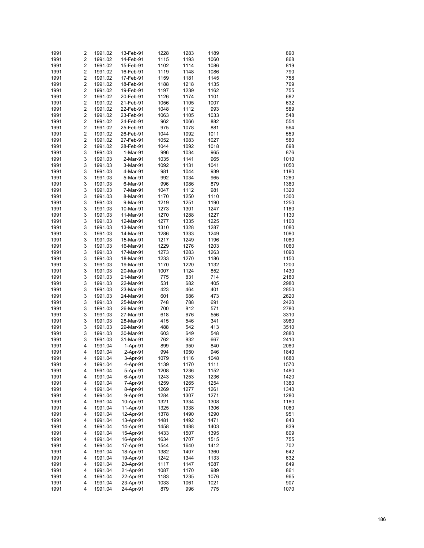| 1991 | 2                       | 1991.02 | 13-Feb-91 | 1228 | 1283 | 1189 | 890  |
|------|-------------------------|---------|-----------|------|------|------|------|
|      |                         |         |           |      |      |      |      |
| 1991 | $\overline{\mathbf{c}}$ | 1991.02 | 14-Feb-91 | 1115 | 1193 | 1060 | 868  |
| 1991 | 2                       | 1991.02 | 15-Feb-91 | 1102 | 1114 | 1086 | 819  |
| 1991 | $\overline{\mathbf{c}}$ | 1991.02 | 16-Feb-91 | 1119 | 1148 | 1086 | 790  |
| 1991 | $\overline{\mathbf{c}}$ | 1991.02 | 17-Feb-91 | 1159 | 1181 | 1145 | 758  |
| 1991 | $\overline{\mathbf{c}}$ | 1991.02 | 18-Feb-91 | 1188 | 1218 | 1135 | 769  |
| 1991 | $\overline{\mathbf{c}}$ | 1991.02 | 19-Feb-91 | 1197 | 1239 | 1162 | 755  |
|      |                         |         |           |      |      |      |      |
| 1991 | $\overline{\mathbf{c}}$ | 1991.02 | 20-Feb-91 | 1126 | 1174 | 1101 | 682  |
| 1991 | $\overline{\mathbf{c}}$ | 1991.02 | 21-Feb-91 | 1056 | 1105 | 1007 | 632  |
| 1991 | $\overline{\mathbf{c}}$ | 1991.02 | 22-Feb-91 | 1048 | 1112 | 993  | 589  |
| 1991 | $\overline{\mathbf{c}}$ | 1991.02 | 23-Feb-91 | 1063 | 1105 | 1033 | 548  |
| 1991 | $\overline{\mathbf{c}}$ | 1991.02 | 24-Feb-91 | 962  | 1066 | 882  | 554  |
|      |                         |         |           |      |      |      |      |
| 1991 | $\overline{\mathbf{c}}$ | 1991.02 | 25-Feb-91 | 975  | 1078 | 881  | 564  |
| 1991 | $\overline{\mathbf{c}}$ | 1991.02 | 26-Feb-91 | 1044 | 1092 | 1011 | 559  |
| 1991 | $\overline{\mathbf{c}}$ | 1991.02 | 27-Feb-91 | 1052 | 1083 | 1027 | 580  |
| 1991 | $\overline{\mathbf{c}}$ | 1991.02 | 28-Feb-91 | 1044 | 1092 | 1018 | 698  |
| 1991 | 3                       | 1991.03 | 1-Mar-91  | 996  | 1034 | 965  | 876  |
| 1991 | 3                       |         |           | 1035 | 1141 | 965  | 1010 |
|      |                         | 1991.03 | 2-Mar-91  |      |      |      |      |
| 1991 | 3                       | 1991.03 | 3-Mar-91  | 1092 | 1131 | 1041 | 1050 |
| 1991 | 3                       | 1991.03 | 4-Mar-91  | 981  | 1044 | 939  | 1180 |
| 1991 | 3                       | 1991.03 | 5-Mar-91  | 992  | 1034 | 965  | 1280 |
| 1991 | 3                       | 1991.03 | 6-Mar-91  | 996  | 1086 | 879  | 1380 |
| 1991 | 3                       | 1991.03 | 7-Mar-91  | 1047 | 1112 | 981  | 1320 |
|      |                         |         |           |      |      |      |      |
| 1991 | 3                       | 1991.03 | 8-Mar-91  | 1170 | 1250 | 1110 | 1300 |
| 1991 | 3                       | 1991.03 | 9-Mar-91  | 1219 | 1251 | 1190 | 1250 |
| 1991 | 3                       | 1991.03 | 10-Mar-91 | 1273 | 1301 | 1247 | 1180 |
| 1991 | 3                       | 1991.03 | 11-Mar-91 | 1270 | 1288 | 1227 | 1130 |
| 1991 | 3                       | 1991.03 | 12-Mar-91 | 1277 | 1335 | 1225 | 1100 |
|      |                         |         |           |      |      |      |      |
| 1991 | 3                       | 1991.03 | 13-Mar-91 | 1310 | 1328 | 1287 | 1080 |
| 1991 | 3                       | 1991.03 | 14-Mar-91 | 1286 | 1333 | 1249 | 1080 |
| 1991 | 3                       | 1991.03 | 15-Mar-91 | 1217 | 1249 | 1196 | 1080 |
| 1991 | 3                       | 1991.03 | 16-Mar-91 | 1229 | 1276 | 1203 | 1060 |
| 1991 | 3                       | 1991.03 | 17-Mar-91 | 1273 | 1283 | 1263 | 1090 |
| 1991 | 3                       |         |           | 1233 | 1270 |      | 1150 |
|      |                         | 1991.03 | 18-Mar-91 |      |      | 1186 |      |
| 1991 | 3                       | 1991.03 | 19-Mar-91 | 1170 | 1220 | 1132 | 1200 |
| 1991 | 3                       | 1991.03 | 20-Mar-91 | 1007 | 1124 | 852  | 1430 |
| 1991 | 3                       | 1991.03 | 21-Mar-91 | 775  | 831  | 714  | 2180 |
| 1991 | 3                       | 1991.03 | 22-Mar-91 | 531  | 682  | 405  | 2980 |
| 1991 | 3                       | 1991.03 | 23-Mar-91 | 423  | 464  |      | 2850 |
|      |                         |         |           |      |      | 401  |      |
| 1991 | 3                       | 1991.03 | 24-Mar-91 | 601  | 686  | 473  | 2620 |
| 1991 | 3                       | 1991.03 | 25-Mar-91 | 748  | 788  | 691  | 2420 |
| 1991 | 3                       | 1991.03 | 26-Mar-91 | 700  | 812  | 571  | 2780 |
| 1991 | 3                       | 1991.03 | 27-Mar-91 | 618  | 676  | 556  | 3310 |
| 1991 | 3                       | 1991.03 | 28-Mar-91 | 415  | 546  | 341  | 3980 |
|      |                         |         |           |      |      |      |      |
| 1991 | 3                       | 1991.03 | 29-Mar-91 | 488  | 542  | 413  | 3510 |
| 1991 | 3                       | 1991.03 | 30-Mar-91 | 603  | 649  | 548  | 2880 |
| 1991 | 3                       | 1991.03 | 31-Mar-91 | 762  | 832  | 667  | 2410 |
| 1991 | 4                       | 1991.04 | 1-Apr-91  | 899  | 950  | 840  | 2080 |
| 1991 | 4                       | 1991.04 | 2-Apr-91  | 994  | 1050 | 946  | 1840 |
|      |                         |         |           |      |      |      |      |
| 1991 | 4                       | 1991.04 | 3-Apr-91  | 1079 | 1116 | 1048 | 1680 |
| 1991 | 4                       | 1991.04 | 4-Apr-91  | 1139 | 1170 | 1111 | 1570 |
| 1991 | 4                       | 1991.04 | 5-Apr-91  | 1208 | 1236 | 1152 | 1480 |
| 1991 | 4                       | 1991.04 | 6-Apr-91  | 1243 | 1253 | 1236 | 1420 |
| 1991 | 4                       | 1991.04 | 7-Apr-91  | 1259 | 1265 | 1254 | 1380 |
|      | 4                       |         |           |      |      |      |      |
| 1991 |                         | 1991.04 | 8-Apr-91  | 1269 | 1277 | 1261 | 1340 |
| 1991 | 4                       | 1991.04 | 9-Apr-91  | 1284 | 1307 | 1271 | 1280 |
| 1991 | 4                       | 1991.04 | 10-Apr-91 | 1321 | 1334 | 1308 | 1180 |
| 1991 | 4                       | 1991.04 | 11-Apr-91 | 1325 | 1338 | 1306 | 1060 |
| 1991 | 4                       | 1991.04 | 12-Apr-91 | 1378 | 1490 | 1290 | 951  |
| 1991 | 4                       |         | 13-Apr-91 | 1481 | 1492 | 1471 | 843  |
|      |                         | 1991.04 |           |      |      |      |      |
| 1991 | 4                       | 1991.04 | 14-Apr-91 | 1458 | 1488 | 1403 | 839  |
| 1991 | 4                       | 1991.04 | 15-Apr-91 | 1433 | 1507 | 1395 | 809  |
| 1991 | 4                       | 1991.04 | 16-Apr-91 | 1634 | 1707 | 1515 | 755  |
| 1991 | 4                       | 1991.04 | 17-Apr-91 | 1544 | 1640 | 1412 | 702  |
| 1991 | 4                       | 1991.04 | 18-Apr-91 | 1382 | 1407 | 1360 | 642  |
|      |                         |         |           |      |      |      |      |
| 1991 | 4                       | 1991.04 | 19-Apr-91 | 1242 | 1344 | 1133 | 632  |
| 1991 | 4                       | 1991.04 | 20-Apr-91 | 1117 | 1147 | 1087 | 649  |
| 1991 | 4                       | 1991.04 | 21-Apr-91 | 1087 | 1170 | 989  | 861  |
| 1991 | 4                       | 1991.04 | 22-Apr-91 | 1183 | 1235 | 1076 | 965  |
| 1991 | 4                       | 1991.04 | 23-Apr-91 | 1033 | 1061 | 1021 | 907  |
|      |                         |         |           |      |      |      |      |
| 1991 | 4                       | 1991.04 | 24-Apr-91 | 879  | 996  | 775  | 1070 |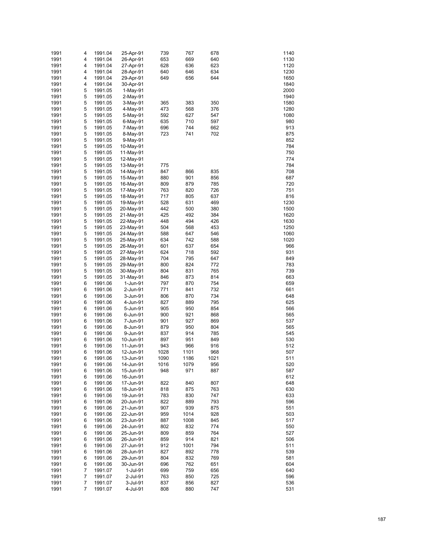| 1991 | 4              | 1991.04 | 25-Apr-91  | 739  | 767  | 678  | 1140 |
|------|----------------|---------|------------|------|------|------|------|
| 1991 | 4              | 1991.04 | 26-Apr-91  | 653  | 669  | 640  | 1130 |
|      |                |         |            |      |      |      |      |
| 1991 | 4              | 1991.04 | 27-Apr-91  | 628  | 636  | 623  | 1120 |
| 1991 | 4              | 1991.04 | 28-Apr-91  | 640  | 646  | 634  | 1230 |
| 1991 | 4              | 1991.04 | 29-Apr-91  | 649  | 656  | 644  | 1650 |
| 1991 | 4              | 1991.04 | 30-Apr-91  |      |      |      | 1840 |
| 1991 | 5              | 1991.05 | $1-May-91$ |      |      |      | 2000 |
|      | 5              |         |            |      |      |      | 1940 |
| 1991 |                | 1991.05 | 2-May-91   |      |      |      |      |
| 1991 | 5              | 1991.05 | 3-May-91   | 365  | 383  | 350  | 1580 |
| 1991 | 5              | 1991.05 | 4-May-91   | 473  | 568  | 376  | 1280 |
| 1991 | 5              | 1991.05 | 5-May-91   | 592  | 627  | 547  | 1080 |
| 1991 | 5              | 1991.05 | 6-May-91   | 635  | 710  | 597  | 980  |
| 1991 | 5              | 1991.05 | 7-May-91   | 696  | 744  | 662  | 913  |
|      |                |         |            |      |      |      |      |
| 1991 | 5              | 1991.05 | 8-May-91   | 723  | 741  | 702  | 875  |
| 1991 | 5              | 1991.05 | 9-May-91   |      |      |      | 852  |
| 1991 | 5              | 1991.05 | 10-May-91  |      |      |      | 784  |
| 1991 | 5              | 1991.05 | 11-May-91  |      |      |      | 750  |
| 1991 | 5              | 1991.05 | 12-May-91  |      |      |      | 774  |
|      |                |         |            |      |      |      |      |
| 1991 | 5              | 1991.05 | 13-May-91  | 775  |      |      | 784  |
| 1991 | 5              | 1991.05 | 14-May-91  | 847  | 866  | 835  | 708  |
| 1991 | 5              | 1991.05 | 15-May-91  | 880  | 901  | 856  | 687  |
| 1991 | 5              | 1991.05 | 16-May-91  | 809  | 879  | 785  | 720  |
| 1991 | 5              | 1991.05 | 17-May-91  | 763  | 820  | 726  | 751  |
| 1991 | 5              | 1991.05 | 18-May-91  | 717  | 805  | 637  | 816  |
|      |                |         |            |      |      |      |      |
| 1991 | 5              | 1991.05 | 19-May-91  | 528  | 631  | 469  | 1230 |
| 1991 | 5              | 1991.05 | 20-May-91  | 442  | 500  | 380  | 1500 |
| 1991 | 5              | 1991.05 | 21-May-91  | 425  | 492  | 384  | 1620 |
| 1991 | 5              | 1991.05 | 22-May-91  | 448  | 494  | 426  | 1630 |
| 1991 | 5              | 1991.05 | 23-May-91  | 504  | 568  | 453  | 1250 |
|      |                |         |            |      |      |      |      |
| 1991 | 5              | 1991.05 | 24-May-91  | 588  | 647  | 546  | 1060 |
| 1991 | 5              | 1991.05 | 25-May-91  | 634  | 742  | 588  | 1020 |
| 1991 | 5              | 1991.05 | 26-May-91  | 601  | 637  | 654  | 966  |
| 1991 | 5              | 1991.05 | 27-May-91  | 624  | 718  | 592  | 931  |
| 1991 | 5              | 1991.05 | 28-May-91  | 704  | 795  | 647  | 849  |
|      |                |         |            |      |      |      |      |
| 1991 | 5              | 1991.05 | 29-May-91  | 800  | 824  | 772  | 783  |
| 1991 | 5              | 1991.05 | 30-May-91  | 804  | 831  | 765  | 739  |
| 1991 | 5              | 1991.05 | 31-May-91  | 846  | 873  | 814  | 663  |
| 1991 | 6              | 1991.06 | 1-Jun-91   | 797  | 870  | 754  | 659  |
| 1991 | 6              | 1991.06 | 2-Jun-91   | 771  | 841  | 732  | 661  |
| 1991 | 6              | 1991.06 | 3-Jun-91   | 806  | 870  | 734  | 648  |
|      |                |         |            |      |      |      |      |
| 1991 | 6              | 1991.06 | 4-Jun-91   | 827  | 889  | 795  | 625  |
| 1991 | 6              | 1991.06 | 5-Jun-91   | 905  | 950  | 854  | 566  |
| 1991 | 6              | 1991.06 | 6-Jun-91   | 900  | 921  | 868  | 565  |
| 1991 | 6              | 1991.06 | 7-Jun-91   | 901  | 927  | 869  | 537  |
| 1991 | 6              | 1991.06 | 8-Jun-91   | 879  | 950  | 804  | 565  |
|      |                |         |            |      |      |      |      |
| 1991 | 6              | 1991.06 | 9-Jun-91   | 837  | 914  | 785  | 545  |
| 1991 | 6              | 1991.06 | 10-Jun-91  | 897  | 951  | 849  | 530  |
| 1991 | 6              | 1991.06 | 11-Jun-91  | 943  | 966  | 916  | 512  |
| 1991 | 6              | 1991.06 | 12-Jun-91  | 1028 | 1101 | 968  | 507  |
| 1991 | 6              | 1991.06 | 13-Jun-91  | 1090 | 1186 | 1021 | 511  |
| 1991 |                | 1991.06 | 14-Jun-91  | 1016 | 1079 | 956  |      |
|      | 6              |         |            |      |      |      | 520  |
| 1991 | 6              | 1991.06 | 15-Jun-91  | 948  | 971  | 887  | 587  |
| 1991 | 6              | 1991.06 | 16-Jun-91  |      |      |      | 612  |
| 1991 | 6              | 1991.06 | 17-Jun-91  | 822  | 840  | 807  | 648  |
| 1991 | 6              | 1991.06 | 18-Jun-91  | 818  | 875  | 763  | 630  |
| 1991 | 6              | 1991.06 | 19-Jun-91  | 783  | 830  | 747  | 633  |
|      |                |         |            |      |      |      |      |
| 1991 | 6              | 1991.06 | 20-Jun-91  | 822  | 889  | 793  | 596  |
| 1991 | 6              | 1991.06 | 21-Jun-91  | 907  | 939  | 875  | 551  |
| 1991 | 6              | 1991.06 | 22-Jun-91  | 959  | 1014 | 928  | 503  |
| 1991 | 6              | 1991.06 | 23-Jun-91  | 887  | 1008 | 845  | 517  |
| 1991 | 6              | 1991.06 | 24-Jun-91  | 802  | 832  | 774  | 550  |
|      |                |         |            |      |      |      |      |
| 1991 | 6              | 1991.06 | 25-Jun-91  | 809  | 859  | 764  | 527  |
| 1991 | 6              | 1991.06 | 26-Jun-91  | 859  | 914  | 821  | 506  |
| 1991 | 6              | 1991.06 | 27-Jun-91  | 912  | 1001 | 794  | 511  |
| 1991 | 6              | 1991.06 | 28-Jun-91  | 827  | 892  | 778  | 539  |
| 1991 | 6              | 1991.06 | 29-Jun-91  | 804  | 832  | 769  | 581  |
| 1991 | 6              | 1991.06 | 30-Jun-91  | 696  | 762  | 651  | 604  |
|      |                |         |            |      |      |      |      |
| 1991 | $\overline{7}$ | 1991.07 | 1-Jul-91   | 699  | 759  | 656  | 640  |
| 1991 | 7              | 1991.07 | 2-Jul-91   | 763  | 850  | 725  | 596  |
| 1991 | 7              | 1991.07 | 3-Jul-91   | 837  | 856  | 827  | 536  |
| 1991 | 7              | 1991.07 | 4-Jul-91   | 808  | 880  | 747  | 531  |
|      |                |         |            |      |      |      |      |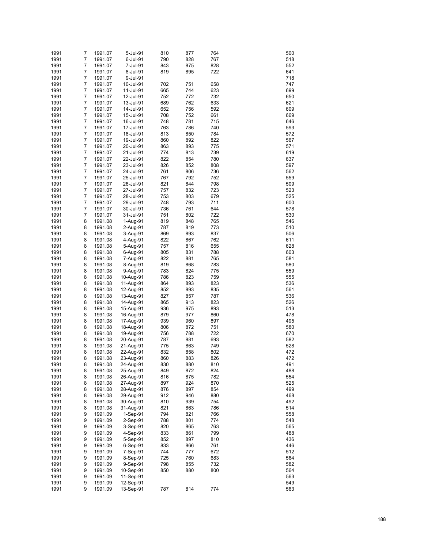|      | 7 | 1991.07 | 5-Jul-91  |     |     |     |     |
|------|---|---------|-----------|-----|-----|-----|-----|
| 1991 |   |         |           | 810 | 877 | 764 | 500 |
| 1991 | 7 | 1991.07 | 6-Jul-91  | 790 | 828 | 767 | 518 |
| 1991 | 7 | 1991.07 | 7-Jul-91  | 843 | 875 | 828 | 552 |
| 1991 | 7 | 1991.07 | 8-Jul-91  | 819 | 895 | 722 | 641 |
| 1991 | 7 | 1991.07 | 9-Jul-91  |     |     |     | 718 |
| 1991 | 7 |         |           |     | 751 | 658 | 747 |
|      |   | 1991.07 | 10-Jul-91 | 702 |     |     |     |
| 1991 | 7 | 1991.07 | 11-Jul-91 | 665 | 744 | 623 | 699 |
| 1991 | 7 | 1991.07 | 12-Jul-91 | 752 | 772 | 732 | 650 |
| 1991 | 7 | 1991.07 | 13-Jul-91 | 689 | 762 | 633 | 621 |
| 1991 | 7 | 1991.07 | 14-Jul-91 | 652 | 756 | 592 | 609 |
|      |   |         |           |     |     |     |     |
| 1991 | 7 | 1991.07 | 15-Jul-91 | 708 | 752 | 661 | 669 |
| 1991 | 7 | 1991.07 | 16-Jul-91 | 748 | 781 | 715 | 646 |
| 1991 | 7 | 1991.07 | 17-Jul-91 | 763 | 786 | 740 | 593 |
| 1991 | 7 | 1991.07 | 18-Jul-91 | 813 | 850 | 784 | 572 |
| 1991 | 7 | 1991.07 | 19-Jul-91 | 860 | 892 | 822 | 567 |
|      | 7 |         |           |     |     |     |     |
| 1991 |   | 1991.07 | 20-Jul-91 | 863 | 893 | 775 | 571 |
| 1991 | 7 | 1991.07 | 21-Jul-91 | 774 | 813 | 739 | 619 |
| 1991 | 7 | 1991.07 | 22-Jul-91 | 822 | 854 | 780 | 637 |
| 1991 | 7 | 1991.07 | 23-Jul-91 | 826 | 852 | 808 | 597 |
| 1991 | 7 | 1991.07 | 24-Jul-91 | 761 | 806 | 736 | 562 |
|      | 7 |         |           |     |     |     |     |
| 1991 |   | 1991.07 | 25-Jul-91 | 767 | 792 | 752 | 559 |
| 1991 | 7 | 1991.07 | 26-Jul-91 | 821 | 844 | 798 | 509 |
| 1991 | 7 | 1991.07 | 27-Jul-91 | 757 | 832 | 723 | 523 |
| 1991 | 7 | 1991.07 | 28-Jul-91 | 753 | 803 | 679 | 525 |
| 1991 | 7 | 1991.07 | 29-Jul-91 | 748 | 793 | 711 | 600 |
|      |   |         |           |     |     |     |     |
| 1991 | 7 | 1991.07 | 30-Jul-91 | 736 | 761 | 644 | 578 |
| 1991 | 7 | 1991.07 | 31-Jul-91 | 751 | 802 | 722 | 530 |
| 1991 | 8 | 1991.08 | 1-Aug-91  | 819 | 848 | 765 | 546 |
| 1991 | 8 | 1991.08 | 2-Aug-91  | 787 | 819 | 773 | 510 |
| 1991 | 8 | 1991.08 | 3-Aug-91  | 869 | 893 | 837 | 506 |
|      |   |         |           |     |     |     |     |
| 1991 | 8 | 1991.08 | 4-Aug-91  | 822 | 867 | 762 | 611 |
| 1991 | 8 | 1991.08 | 5-Aug-91  | 757 | 816 | 655 | 628 |
| 1991 | 8 | 1991.08 | 6-Aug-91  | 805 | 831 | 788 | 603 |
| 1991 | 8 | 1991.08 | 7-Aug-91  | 822 | 881 | 765 | 581 |
| 1991 | 8 | 1991.08 | 8-Aug-91  | 819 | 868 | 783 | 580 |
| 1991 | 8 |         |           | 783 | 824 | 775 | 559 |
|      |   | 1991.08 | 9-Aug-91  |     |     |     |     |
| 1991 | 8 | 1991.08 | 10-Aug-91 | 786 | 823 | 759 | 555 |
| 1991 | 8 | 1991.08 | 11-Aug-91 | 864 | 893 | 823 | 536 |
| 1991 | 8 | 1991.08 | 12-Aug-91 | 852 | 893 | 835 | 561 |
| 1991 | 8 | 1991.08 | 13-Aug-91 | 827 | 857 | 787 | 536 |
| 1991 | 8 | 1991.08 | 14-Aug-91 | 865 | 913 | 823 | 526 |
|      |   |         |           |     |     |     |     |
| 1991 | 8 | 1991.08 | 15-Aug-91 | 936 | 975 | 893 | 513 |
| 1991 | 8 | 1991.08 | 16-Aug-91 | 879 | 977 | 860 | 478 |
| 1991 | 8 | 1991.08 | 17-Aug-91 | 939 | 960 | 897 | 495 |
| 1991 | 8 | 1991.08 | 18-Aug-91 | 806 | 872 | 751 | 580 |
| 1991 | 8 | 1991.08 | 19-Aug-91 | 756 | 788 | 722 | 670 |
|      |   |         |           |     |     |     |     |
| 1991 | 8 | 1991.08 | 20-Aug-91 | 787 | 881 | 693 | 582 |
| 1991 | 8 | 1991.08 | 21-Aug-91 | 775 | 863 | 749 | 528 |
| 1991 | 8 | 1991.08 | 22-Aug-91 | 832 | 858 | 802 | 472 |
| 1991 | 8 | 1991.08 | 23-Aug-91 | 860 | 883 | 826 | 472 |
| 1991 | 8 | 1991.08 | 24-Aug-91 | 830 | 880 | 810 | 491 |
|      |   |         |           |     |     |     |     |
| 1991 | 8 | 1991.08 | 25-Aug-91 | 849 | 872 | 824 | 488 |
| 1991 | 8 | 1991.08 | 26-Aug-91 | 816 | 875 | 782 | 554 |
| 1991 | 8 | 1991.08 | 27-Aug-91 | 897 | 924 | 870 | 525 |
| 1991 | 8 | 1991.08 | 28-Aug-91 | 876 | 897 | 854 | 499 |
| 1991 | 8 | 1991.08 | 29-Aug-91 | 912 | 946 | 880 | 468 |
|      |   |         |           |     |     |     |     |
| 1991 | 8 | 1991.08 | 30-Aug-91 | 810 | 939 | 754 | 492 |
| 1991 | 8 | 1991.08 | 31-Aug-91 | 821 | 863 | 786 | 514 |
| 1991 | 9 | 1991.09 | 1-Sep-91  | 794 | 821 | 766 | 558 |
| 1991 | 9 | 1991.09 | 2-Sep-91  | 788 | 801 | 774 | 548 |
| 1991 | 9 | 1991.09 | 3-Sep-91  | 820 | 865 | 763 | 565 |
|      |   |         |           |     |     |     |     |
| 1991 | 9 | 1991.09 | 4-Sep-91  | 833 | 861 | 799 | 488 |
| 1991 | 9 | 1991.09 | 5-Sep-91  | 852 | 897 | 810 | 436 |
| 1991 | 9 | 1991.09 | 6-Sep-91  | 833 | 866 | 761 | 446 |
| 1991 | 9 | 1991.09 | 7-Sep-91  | 744 | 777 | 672 | 512 |
| 1991 | 9 | 1991.09 | 8-Sep-91  | 725 | 760 | 683 | 564 |
|      |   |         |           |     |     | 732 |     |
| 1991 | 9 | 1991.09 | 9-Sep-91  | 798 | 855 |     | 582 |
| 1991 | 9 | 1991.09 | 10-Sep-91 | 850 | 880 | 800 | 564 |
| 1991 | 9 | 1991.09 | 11-Sep-91 |     |     |     | 563 |
| 1991 | 9 | 1991.09 | 12-Sep-91 |     |     |     | 549 |
| 1991 | 9 | 1991.09 | 13-Sep-91 | 787 | 814 | 774 | 563 |
|      |   |         |           |     |     |     |     |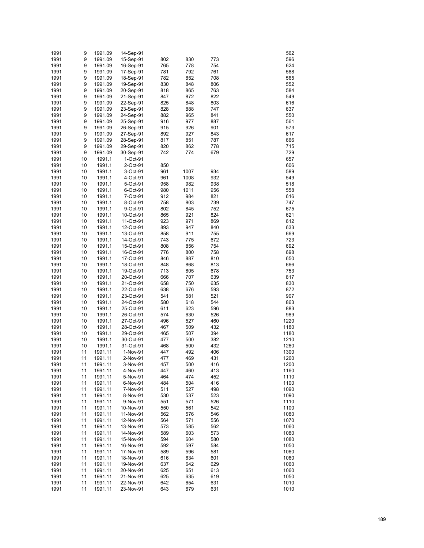| 1991         | 9        | 1991.09            | 14-Sep-91              |            |            |            |              | 562        |
|--------------|----------|--------------------|------------------------|------------|------------|------------|--------------|------------|
| 1991         | 9        | 1991.09            | 15-Sep-91              | 802        | 830        | 773        |              | 596        |
| 1991         | 9        | 1991.09            | 16-Sep-91              | 765        | 778        | 754        |              | 624        |
| 1991         | 9        | 1991.09            | 17-Sep-91              | 781        | 792        | 761        |              | 588        |
| 1991         | 9        | 1991.09            | 18-Sep-91              | 782        | 852        | 708        |              | 565        |
| 1991         | 9        | 1991.09            | 19-Sep-91              | 830        | 848        | 806        |              | 552        |
| 1991<br>1991 | 9        | 1991.09<br>1991.09 | 20-Sep-91<br>21-Sep-91 | 818<br>847 | 865        | 763        |              | 584<br>549 |
| 1991         | 9<br>9   | 1991.09            | 22-Sep-91              | 825        | 872<br>848 | 822<br>803 |              | 616        |
| 1991         | 9        | 1991.09            | 23-Sep-91              | 828        | 888        | 747        |              | 637        |
| 1991         | 9        | 1991.09            | 24-Sep-91              | 882        | 965        | 841        |              | 550        |
| 1991         | 9        | 1991.09            | 25-Sep-91              | 916        | 977        | 887        |              | 561        |
| 1991         | 9        | 1991.09            | 26-Sep-91              | 915        | 926        | 901        |              | 573        |
| 1991         | 9        | 1991.09            | 27-Sep-91              | 892        | 927        | 843        |              | 617        |
| 1991         | 9        | 1991.09            | 28-Sep-91              | 817        | 851        | 787        |              | 666        |
| 1991         | 9        | 1991.09            | 29-Sep-91              | 820        | 862        | 778        |              | 715        |
| 1991         | 9        | 1991.09            | 30-Sep-91              | 742        | 774        | 679        |              | 729        |
| 1991         | 10       | 1991.1             | 1-Oct-91               |            |            |            |              | 657        |
| 1991         | 10       | 1991.1             | 2-Oct-91               | 850        |            |            |              | 606        |
| 1991         | 10       | 1991.1             | 3-Oct-91               | 961        | 1007       | 934        |              | 589        |
| 1991         | 10       | 1991.1             | 4-Oct-91               | 961        | 1008       | 932        |              | 549        |
| 1991         | 10       | 1991.1             | 5-Oct-91               | 958        | 982        | 938        |              | 518        |
| 1991         | 10       | 1991.1             | 6-Oct-91               | 980        | 1011       | 956        |              | 558        |
| 1991<br>1991 | 10<br>10 | 1991.1<br>1991.1   | 7-Oct-91               | 912        | 984<br>803 | 821<br>739 |              | 616<br>747 |
| 1991         | 10       | 1991.1             | 8-Oct-91<br>9-Oct-91   | 758<br>802 | 845        | 752        |              | 675        |
| 1991         | 10       | 1991.1             | 10-Oct-91              | 865        | 921        | 824        |              | 621        |
| 1991         | 10       | 1991.1             | 11-Oct-91              | 923        | 971        | 869        |              | 612        |
| 1991         | 10       | 1991.1             | 12-Oct-91              | 893        | 947        | 840        |              | 633        |
| 1991         | 10       | 1991.1             | 13-Oct-91              | 858        | 911        | 755        |              | 669        |
| 1991         | 10       | 1991.1             | 14-Oct-91              | 743        | 775        | 672        |              | 723        |
| 1991         | 10       | 1991.1             | 15-Oct-91              | 808        | 856        | 754        |              | 692        |
| 1991         | 10       | 1991.1             | 16-Oct-91              | 776        | 800        | 758        |              | 698        |
| 1991         | 10       | 1991.1             | 17-Oct-91              | 846        | 887        | 810        |              | 650        |
| 1991         | 10       | 1991.1             | 18-Oct-91              | 848        | 868        | 813        |              | 666        |
| 1991         | 10       | 1991.1             | 19-Oct-91              | 713        | 805        | 678        |              | 753        |
| 1991         | 10       | 1991.1             | 20-Oct-91              | 666        | 707        | 639        |              | 817        |
| 1991         | 10       | 1991.1             | 21-Oct-91              | 658        | 750        | 635        |              | 830        |
| 1991         | 10       | 1991.1             | 22-Oct-91              | 638        | 676        | 593        |              | 872        |
| 1991         | 10       | 1991.1             | 23-Oct-91              | 541<br>580 | 581        | 521        |              | 907        |
| 1991<br>1991 | 10<br>10 | 1991.1<br>1991.1   | 24-Oct-91<br>25-Oct-91 | 611        | 618<br>623 | 544<br>596 |              | 863<br>883 |
| 1991         | 10       | 1991.1             | 26-Oct-91              | 574        | 630        | 526        |              | 989        |
| 1991         | 10       | 1991.1             | 27-Oct-91              | 496        | 527        | 460        | 1220         |            |
| 1991         | 10       | 1991.1             | 28-Oct-91              | 467        | 509        | 432        | 1180         |            |
| 1991         | 10       | 1991.1             | 29-Oct-91              | 465        | 507        | 394        | 1180         |            |
| 1991         | 10       | 1991.1             | 30-Oct-91              | 477        | 500        | 382        | 1210         |            |
| 1991         | 10       | 1991.1             | 31-Oct-91              | 468        | 500        | 432        | 1260         |            |
| 1991         | 11       | 1991.11            | 1-Nov-91               | 447        | 492        | 406        | 1300         |            |
| 1991         | 11       | 1991.11            | 2-Nov-91               | 477        | 469        | 431        | 1260         |            |
| 1991         | 11       | 1991.11            | 3-Nov-91               | 457        | 500        | 416        | 1200         |            |
| 1991         | 11       | 1991.11            | 4-Nov-91               | 447        | 460        | 413        | 1160         |            |
| 1991         | 11       | 1991.11            | 5-Nov-91               | 464        | 474        | 452        | 1110         |            |
| 1991         | 11       | 1991.11            | 6-Nov-91               | 484        | 504        | 416        | 1100         |            |
| 1991         | 11       | 1991.11            | 7-Nov-91               | 511        | 527        | 498        | 1090         |            |
| 1991         | 11       | 1991.11            | 8-Nov-91               | 530        | 537        | 523        | 1090         |            |
| 1991<br>1991 | 11<br>11 | 1991.11<br>1991.11 | 9-Nov-91<br>10-Nov-91  | 551<br>550 | 571<br>561 | 526        | 1110<br>1100 |            |
| 1991         | 11       | 1991.11            | 11-Nov-91              | 562        | 576        | 542<br>546 | 1080         |            |
| 1991         | 11       | 1991.11            | 12-Nov-91              | 564        | 571        | 556        | 1070         |            |
| 1991         | 11       | 1991.11            | 13-Nov-91              | 573        | 585        | 562        | 1060         |            |
| 1991         | 11       | 1991.11            | 14-Nov-91              | 589        | 603        | 573        | 1080         |            |
| 1991         | 11       | 1991.11            | 15-Nov-91              | 594        | 604        | 580        | 1080         |            |
| 1991         | 11       | 1991.11            | 16-Nov-91              | 592        | 597        | 584        | 1050         |            |
| 1991         | 11       | 1991.11            | 17-Nov-91              | 589        | 596        | 581        | 1060         |            |
| 1991         | 11       | 1991.11            | 18-Nov-91              | 616        | 634        | 601        | 1060         |            |
| 1991         | 11       | 1991.11            | 19-Nov-91              | 637        | 642        | 629        | 1060         |            |
| 1991         | 11       | 1991.11            | 20-Nov-91              | 625        | 651        | 613        | 1060         |            |
| 1991         | 11       | 1991.11            | 21-Nov-91              | 625        | 635        | 619        | 1050         |            |
| 1991         | 11       | 1991.11            | 22-Nov-91              | 642        | 654        | 631        | 1010         |            |
| 1991         | 11       | 1991.11            | 23-Nov-91              | 643        | 679        | 631        | 1010         |            |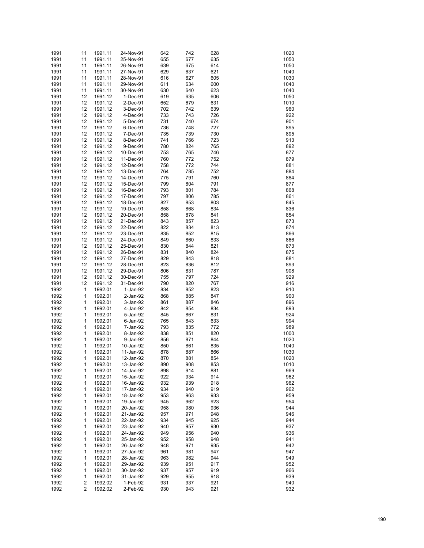| 1991 | 11 | 1991.11 | 24-Nov-91 | 642 | 742 | 628 | 1020 |
|------|----|---------|-----------|-----|-----|-----|------|
| 1991 | 11 | 1991.11 | 25-Nov-91 | 655 | 677 | 635 | 1050 |
| 1991 | 11 | 1991.11 | 26-Nov-91 | 639 | 675 | 614 | 1050 |
| 1991 | 11 | 1991.11 | 27-Nov-91 | 629 | 637 | 621 | 1040 |
| 1991 | 11 | 1991.11 | 28-Nov-91 | 616 | 627 | 605 | 1030 |
|      |    |         |           |     |     |     | 1040 |
| 1991 | 11 | 1991.11 | 29-Nov-91 | 611 | 634 | 600 |      |
| 1991 | 11 | 1991.11 | 30-Nov-91 | 630 | 640 | 623 | 1040 |
| 1991 | 12 | 1991.12 | 1-Dec-91  | 619 | 635 | 606 | 1050 |
| 1991 | 12 | 1991.12 | 2-Dec-91  | 652 | 679 | 631 | 1010 |
| 1991 | 12 | 1991.12 | 3-Dec-91  | 702 | 742 | 639 | 960  |
| 1991 | 12 | 1991.12 | 4-Dec-91  | 733 | 743 | 726 | 922  |
| 1991 | 12 | 1991.12 | 5-Dec-91  | 731 | 740 | 674 | 901  |
| 1991 | 12 | 1991.12 | 6-Dec-91  | 736 | 748 | 727 | 895  |
| 1991 | 12 | 1991.12 | 7-Dec-91  | 735 | 739 | 730 | 895  |
| 1991 | 12 | 1991.12 | 8-Dec-91  | 741 | 766 | 723 | 913  |
| 1991 | 12 | 1991.12 | 9-Dec-91  | 780 | 824 | 765 | 892  |
| 1991 | 12 | 1991.12 | 10-Dec-91 | 753 | 765 | 746 | 877  |
| 1991 | 12 | 1991.12 | 11-Dec-91 | 760 | 772 | 752 | 879  |
| 1991 | 12 | 1991.12 | 12-Dec-91 | 758 | 772 | 744 | 881  |
|      |    |         |           |     |     |     |      |
| 1991 | 12 | 1991.12 | 13-Dec-91 | 764 | 785 | 752 | 884  |
| 1991 | 12 | 1991.12 | 14-Dec-91 | 775 | 791 | 760 | 884  |
| 1991 | 12 | 1991.12 | 15-Dec-91 | 799 | 804 | 791 | 877  |
| 1991 | 12 | 1991.12 | 16-Dec-91 | 793 | 801 | 784 | 868  |
| 1991 | 12 | 1991.12 | 17-Dec-91 | 797 | 806 | 785 | 861  |
| 1991 | 12 | 1991.12 | 18-Dec-91 | 827 | 853 | 803 | 845  |
| 1991 | 12 | 1991.12 | 19-Dec-91 | 858 | 868 | 834 | 836  |
| 1991 | 12 | 1991.12 | 20-Dec-91 | 858 | 878 | 841 | 854  |
| 1991 | 12 | 1991.12 | 21-Dec-91 | 843 | 857 | 823 | 873  |
| 1991 | 12 | 1991.12 | 22-Dec-91 | 822 | 834 | 813 | 874  |
| 1991 | 12 | 1991.12 | 23-Dec-91 | 835 | 852 | 815 | 866  |
| 1991 | 12 | 1991.12 | 24-Dec-91 | 849 | 860 | 833 | 866  |
|      |    |         |           |     |     |     |      |
| 1991 | 12 | 1991.12 | 25-Dec-91 | 830 | 844 | 821 | 873  |
| 1991 | 12 | 1991.12 | 26-Dec-91 | 831 | 840 | 824 | 875  |
| 1991 | 12 | 1991.12 | 27-Dec-91 | 829 | 843 | 818 | 881  |
| 1991 | 12 | 1991.12 | 28-Dec-91 | 823 | 836 | 812 | 893  |
| 1991 | 12 | 1991.12 | 29-Dec-91 | 806 | 831 | 787 | 908  |
| 1991 | 12 | 1991.12 | 30-Dec-91 | 755 | 797 | 724 | 929  |
| 1991 | 12 | 1991.12 | 31-Dec-91 | 790 | 820 | 767 | 916  |
| 1992 | 1  | 1992.01 | 1-Jan-92  | 834 | 852 | 823 | 910  |
| 1992 | 1  | 1992.01 | 2-Jan-92  | 868 | 885 | 847 | 900  |
| 1992 | 1  | 1992.01 | 3-Jan-92  | 861 | 887 | 846 | 896  |
| 1992 | 1  | 1992.01 | 4-Jan-92  | 842 | 854 | 834 | 893  |
| 1992 | 1  | 1992.01 | 5-Jan-92  | 845 | 867 | 831 | 924  |
| 1992 | 1  | 1992.01 | 6-Jan-92  | 765 | 843 | 633 | 994  |
|      | 1  | 1992.01 |           |     |     |     |      |
| 1992 |    |         | 7-Jan-92  | 793 | 835 | 772 | 989  |
| 1992 | 1  | 1992.01 | 8-Jan-92  | 838 | 851 | 820 | 1000 |
| 1992 | 1  | 1992.01 | 9-Jan-92  | 856 | 871 | 844 | 1020 |
| 1992 | 1  | 1992.01 | 10-Jan-92 | 850 | 861 | 835 | 1040 |
| 1992 | 1  | 1992.01 | 11-Jan-92 | 878 | 887 | 866 | 1030 |
| 1992 | 1  | 1992.01 | 12-Jan-92 | 870 | 881 | 854 | 1020 |
| 1992 | 1  | 1992.01 | 13-Jan-92 | 890 | 908 | 853 | 1010 |
| 1992 | 1  | 1992.01 | 14-Jan-92 | 898 | 914 | 881 | 969  |
| 1992 | 1  | 1992.01 | 15-Jan-92 | 922 | 934 | 914 | 962  |
| 1992 | 1  | 1992.01 | 16-Jan-92 | 932 | 939 | 918 | 962  |
| 1992 | 1  | 1992.01 | 17-Jan-92 | 934 | 940 | 919 | 962  |
| 1992 | 1  | 1992.01 | 18-Jan-92 | 953 | 963 | 933 | 959  |
| 1992 | 1  | 1992.01 | 19-Jan-92 | 945 | 962 | 923 | 954  |
| 1992 |    | 1992.01 |           |     |     |     |      |
|      | 1  |         | 20-Jan-92 | 958 | 980 | 936 | 944  |
| 1992 | 1  | 1992.01 | 21-Jan-92 | 957 | 971 | 948 | 946  |
| 1992 | 1  | 1992.01 | 22-Jan-92 | 934 | 945 | 925 | 944  |
| 1992 | 1  | 1992.01 | 23-Jan-92 | 940 | 957 | 930 | 937  |
| 1992 | 1  | 1992.01 | 24-Jan-92 | 949 | 956 | 940 | 936  |
| 1992 | 1  | 1992.01 | 25-Jan-92 | 952 | 958 | 948 | 941  |
| 1992 | 1  | 1992.01 | 26-Jan-92 | 948 | 971 | 935 | 942  |
| 1992 | 1  | 1992.01 | 27-Jan-92 | 961 | 981 | 947 | 947  |
| 1992 | 1  | 1992.01 | 28-Jan-92 | 963 | 982 | 944 | 949  |
| 1992 | 1  | 1992.01 | 29-Jan-92 | 939 | 951 | 917 | 952  |
| 1992 | 1  | 1992.01 | 30-Jan-92 | 937 | 957 | 919 | 966  |
| 1992 | 1  | 1992.01 | 31-Jan-92 | 929 | 955 | 918 | 939  |
| 1992 | 2  | 1992.02 | 1-Feb-92  | 931 | 937 | 921 | 940  |
| 1992 | 2  | 1992.02 | 2-Feb-92  | 930 | 943 | 921 | 932  |
|      |    |         |           |     |     |     |      |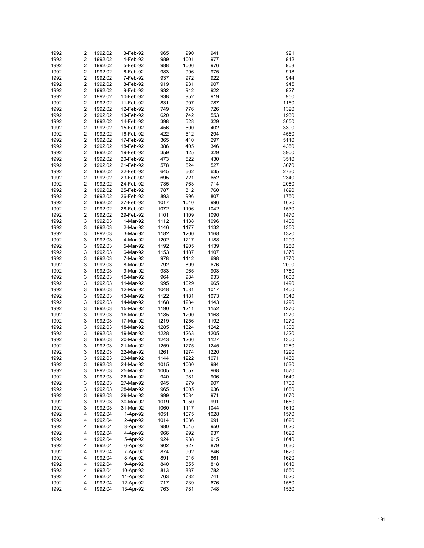| 1992 | 2                       | 1992.02            | 3-Feb-92  | 965  | 990  | 941  | 921  |
|------|-------------------------|--------------------|-----------|------|------|------|------|
| 1992 | $\overline{\mathbf{c}}$ | 1992.02            | 4-Feb-92  | 989  | 1001 | 977  | 912  |
| 1992 | 2                       | 1992.02            | 5-Feb-92  | 988  | 1006 | 976  | 903  |
| 1992 | $\overline{\mathbf{c}}$ | 1992.02            | 6-Feb-92  | 983  | 996  | 975  | 918  |
| 1992 | $\overline{\mathbf{c}}$ | 1992.02            | 7-Feb-92  | 937  | 972  | 922  | 944  |
|      |                         | 1992.02            |           |      |      |      |      |
| 1992 | $\overline{\mathbf{c}}$ |                    | 8-Feb-92  | 919  | 931  | 907  | 945  |
| 1992 | $\overline{\mathbf{c}}$ | 1992.02            | 9-Feb-92  | 932  | 942  | 922  | 927  |
| 1992 | $\overline{\mathbf{c}}$ | 1992.02            | 10-Feb-92 | 938  | 952  | 919  | 950  |
| 1992 | $\overline{\mathbf{c}}$ | 1992.02            | 11-Feb-92 | 831  | 907  | 787  | 1150 |
| 1992 | $\overline{\mathbf{c}}$ | 1992.02            | 12-Feb-92 | 749  | 776  | 726  | 1320 |
| 1992 | $\overline{\mathbf{c}}$ | 1992.02            | 13-Feb-92 | 620  | 742  | 553  | 1930 |
| 1992 | $\overline{\mathbf{c}}$ | 1992.02            | 14-Feb-92 | 398  | 528  | 329  | 3650 |
| 1992 | $\overline{\mathbf{c}}$ | 1992.02            | 15-Feb-92 | 456  | 500  | 402  | 3390 |
| 1992 | $\overline{\mathbf{c}}$ | 1992.02            | 16-Feb-92 | 422  | 512  | 294  | 4550 |
| 1992 | $\overline{\mathbf{c}}$ | 1992.02            | 17-Feb-92 | 365  | 410  | 297  | 5110 |
| 1992 | $\overline{\mathbf{c}}$ | 1992.02            | 18-Feb-92 | 386  | 405  | 346  | 4350 |
| 1992 | $\overline{\mathbf{c}}$ | 1992.02            | 19-Feb-92 | 359  | 425  | 329  | 3900 |
| 1992 | $\overline{\mathbf{c}}$ | 1992.02            | 20-Feb-92 | 473  | 522  | 430  | 3510 |
| 1992 | $\overline{\mathbf{c}}$ | 1992.02            | 21-Feb-92 | 578  | 624  | 527  | 3070 |
| 1992 | $\overline{\mathbf{c}}$ | 1992.02            | 22-Feb-92 | 645  | 662  | 635  | 2730 |
| 1992 | $\overline{\mathbf{c}}$ |                    |           |      | 721  |      | 2340 |
|      |                         | 1992.02<br>1992.02 | 23-Feb-92 | 695  |      | 652  |      |
| 1992 | $\overline{\mathbf{c}}$ |                    | 24-Feb-92 | 735  | 763  | 714  | 2080 |
| 1992 | $\overline{\mathbf{c}}$ | 1992.02            | 25-Feb-92 | 787  | 812  | 760  | 1890 |
| 1992 | $\overline{\mathbf{c}}$ | 1992.02            | 26-Feb-92 | 893  | 996  | 807  | 1750 |
| 1992 | $\overline{\mathbf{c}}$ | 1992.02            | 27-Feb-92 | 1017 | 1040 | 996  | 1620 |
| 1992 | $\overline{\mathbf{c}}$ | 1992.02            | 28-Feb-92 | 1072 | 1106 | 1042 | 1530 |
| 1992 | $\overline{\mathbf{c}}$ | 1992.02            | 29-Feb-92 | 1101 | 1109 | 1090 | 1470 |
| 1992 | 3                       | 1992.03            | 1-Mar-92  | 1112 | 1138 | 1096 | 1400 |
| 1992 | 3                       | 1992.03            | 2-Mar-92  | 1146 | 1177 | 1132 | 1350 |
| 1992 | 3                       | 1992.03            | 3-Mar-92  | 1182 | 1200 | 1168 | 1320 |
| 1992 | 3                       | 1992.03            | 4-Mar-92  | 1202 | 1217 | 1188 | 1290 |
| 1992 | 3                       | 1992.03            | 5-Mar-92  | 1192 | 1205 | 1139 | 1280 |
| 1992 | 3                       | 1992.03            | 6-Mar-92  | 1153 | 1187 | 1107 | 1370 |
| 1992 | 3                       | 1992.03            | 7-Mar-92  | 978  | 1112 | 698  | 1770 |
| 1992 | 3                       | 1992.03            | 8-Mar-92  | 792  | 899  | 676  | 2090 |
| 1992 | 3                       | 1992.03            | 9-Mar-92  | 933  | 965  | 903  | 1760 |
| 1992 | 3                       | 1992.03            | 10-Mar-92 | 964  | 984  | 933  | 1600 |
| 1992 | 3                       | 1992.03            | 11-Mar-92 | 995  | 1029 | 965  | 1490 |
|      | 3                       |                    |           |      |      |      | 1400 |
| 1992 |                         | 1992.03            | 12-Mar-92 | 1048 | 1081 | 1017 |      |
| 1992 | 3                       | 1992.03            | 13-Mar-92 | 1122 | 1181 | 1073 | 1340 |
| 1992 | 3                       | 1992.03            | 14-Mar-92 | 1168 | 1234 | 1143 | 1290 |
| 1992 | 3                       | 1992.03            | 15-Mar-92 | 1190 | 1211 | 1152 | 1270 |
| 1992 | 3                       | 1992.03            | 16-Mar-92 | 1185 | 1200 | 1168 | 1270 |
| 1992 | 3                       | 1992.03            | 17-Mar-92 | 1219 | 1256 | 1192 | 1270 |
| 1992 | 3                       | 1992.03            | 18-Mar-92 | 1285 | 1324 | 1242 | 1300 |
| 1992 | 3                       | 1992.03            | 19-Mar-92 | 1228 | 1263 | 1205 | 1320 |
| 1992 | 3                       | 1992.03            | 20-Mar-92 | 1243 | 1266 | 1127 | 1300 |
| 1992 | 3                       | 1992.03            | 21-Mar-92 | 1259 | 1275 | 1245 | 1280 |
| 1992 | 3                       | 1992.03            | 22-Mar-92 | 1261 | 1274 | 1220 | 1290 |
| 1992 | 3                       | 1992.03            | 23-Mar-92 | 1144 | 1222 | 1071 | 1460 |
| 1992 | 3                       | 1992.03            | 24-Mar-92 | 1015 | 1060 | 984  | 1530 |
| 1992 | 3                       | 1992.03            | 25-Mar-92 | 1005 | 1057 | 968  | 1570 |
| 1992 | 3                       | 1992.03            | 26-Mar-92 | 940  | 981  | 906  | 1640 |
| 1992 | 3                       | 1992.03            | 27-Mar-92 | 945  | 979  | 907  | 1700 |
| 1992 | 3                       | 1992.03            | 28-Mar-92 | 965  | 1005 | 936  | 1680 |
| 1992 | 3                       | 1992.03            | 29-Mar-92 | 999  | 1034 | 971  | 1670 |
| 1992 | 3                       | 1992.03            | 30-Mar-92 | 1019 | 1050 | 991  | 1650 |
|      |                         |                    |           |      |      |      |      |
| 1992 | 3                       | 1992.03            | 31-Mar-92 | 1060 | 1117 | 1044 | 1610 |
| 1992 | 4                       | 1992.04            | 1-Apr-92  | 1051 | 1075 | 1028 | 1570 |
| 1992 | 4                       | 1992.04            | 2-Apr-92  | 1014 | 1036 | 991  | 1620 |
| 1992 | 4                       | 1992.04            | 3-Apr-92  | 980  | 1015 | 950  | 1620 |
| 1992 | 4                       | 1992.04            | 4-Apr-92  | 966  | 992  | 937  | 1620 |
| 1992 | 4                       | 1992.04            | 5-Apr-92  | 924  | 938  | 915  | 1640 |
| 1992 | 4                       | 1992.04            | 6-Apr-92  | 902  | 927  | 879  | 1630 |
| 1992 | 4                       | 1992.04            | 7-Apr-92  | 874  | 902  | 846  | 1620 |
| 1992 | 4                       | 1992.04            | 8-Apr-92  | 891  | 915  | 861  | 1620 |
| 1992 | 4                       | 1992.04            | 9-Apr-92  | 840  | 855  | 818  | 1610 |
| 1992 | 4                       | 1992.04            | 10-Apr-92 | 813  | 837  | 782  | 1550 |
| 1992 | 4                       | 1992.04            | 11-Apr-92 | 763  | 782  | 741  | 1520 |
| 1992 | 4                       | 1992.04            | 12-Apr-92 | 717  | 739  | 676  | 1580 |
| 1992 | 4                       | 1992.04            | 13-Apr-92 | 763  | 781  | 748  | 1530 |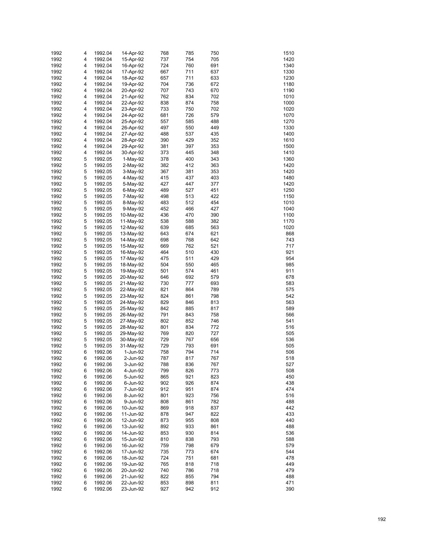| 1992 | 4 | 1992.04 | 14-Apr-92  | 768 | 785 | 750 | 1510 |
|------|---|---------|------------|-----|-----|-----|------|
| 1992 | 4 | 1992.04 | 15-Apr-92  | 737 | 754 | 705 | 1420 |
| 1992 | 4 | 1992.04 | 16-Apr-92  | 724 | 760 | 691 | 1340 |
| 1992 | 4 | 1992.04 | 17-Apr-92  | 667 | 711 | 637 | 1330 |
| 1992 | 4 | 1992.04 | 18-Apr-92  | 657 | 711 | 633 | 1230 |
|      |   |         |            |     |     |     |      |
| 1992 | 4 | 1992.04 | 19-Apr-92  | 704 | 736 | 672 | 1180 |
| 1992 | 4 | 1992.04 | 20-Apr-92  | 707 | 743 | 670 | 1190 |
| 1992 | 4 | 1992.04 | 21-Apr-92  | 762 | 834 | 702 | 1010 |
| 1992 | 4 | 1992.04 | 22-Apr-92  | 838 | 874 | 758 | 1000 |
| 1992 | 4 | 1992.04 | 23-Apr-92  | 733 | 750 | 702 | 1020 |
| 1992 | 4 | 1992.04 | 24-Apr-92  | 681 | 726 | 579 | 1070 |
| 1992 | 4 | 1992.04 | 25-Apr-92  | 557 | 585 | 488 | 1270 |
| 1992 | 4 | 1992.04 | 26-Apr-92  | 497 | 550 | 449 | 1330 |
| 1992 | 4 | 1992.04 | 27-Apr-92  | 488 | 537 | 435 | 1400 |
| 1992 | 4 | 1992.04 | 28-Apr-92  | 390 | 429 | 352 | 1610 |
| 1992 | 4 | 1992.04 | 29-Apr-92  | 381 | 397 | 353 | 1500 |
| 1992 | 4 | 1992.04 | 30-Apr-92  | 373 | 445 | 348 | 1410 |
| 1992 | 5 | 1992.05 | $1-May-92$ | 378 | 400 | 343 | 1360 |
| 1992 | 5 | 1992.05 | 2-May-92   | 382 | 412 | 363 | 1420 |
| 1992 | 5 | 1992.05 | 3-May-92   | 367 | 381 | 353 | 1420 |
| 1992 | 5 | 1992.05 | 4-May-92   | 415 | 437 | 403 | 1480 |
|      | 5 |         |            |     |     |     |      |
| 1992 |   | 1992.05 | 5-May-92   | 427 | 447 | 377 | 1420 |
| 1992 | 5 | 1992.05 | 6-May-92   | 489 | 527 | 451 | 1250 |
| 1992 | 5 | 1992.05 | 7-May-92   | 498 | 513 | 422 | 1150 |
| 1992 | 5 | 1992.05 | 8-May-92   | 483 | 512 | 454 | 1010 |
| 1992 | 5 | 1992.05 | 9-May-92   | 452 | 466 | 427 | 1040 |
| 1992 | 5 | 1992.05 | 10-May-92  | 436 | 470 | 390 | 1100 |
| 1992 | 5 | 1992.05 | 11-May-92  | 538 | 588 | 382 | 1170 |
| 1992 | 5 | 1992.05 | 12-May-92  | 639 | 685 | 563 | 1020 |
| 1992 | 5 | 1992.05 | 13-May-92  | 643 | 674 | 621 | 868  |
| 1992 | 5 | 1992.05 | 14-May-92  | 698 | 768 | 642 | 743  |
| 1992 | 5 | 1992.05 | 15-May-92  | 669 | 762 | 521 | 717  |
| 1992 | 5 | 1992.05 | 16-May-92  | 464 | 510 | 430 | 921  |
| 1992 | 5 | 1992.05 | 17-May-92  | 475 | 511 | 429 | 954  |
| 1992 | 5 | 1992.05 | 18-May-92  | 504 | 550 | 465 | 985  |
|      | 5 |         |            |     | 574 | 461 |      |
| 1992 |   | 1992.05 | 19-May-92  | 501 |     |     | 911  |
| 1992 | 5 | 1992.05 | 20-May-92  | 646 | 692 | 579 | 678  |
| 1992 | 5 | 1992.05 | 21-May-92  | 730 | 777 | 693 | 583  |
| 1992 | 5 | 1992.05 | 22-May-92  | 821 | 864 | 789 | 575  |
| 1992 | 5 | 1992.05 | 23-May-92  | 824 | 861 | 798 | 542  |
| 1992 | 5 | 1992.05 | 24-May-92  | 829 | 846 | 813 | 563  |
| 1992 | 5 | 1992.05 | 25-May-92  | 842 | 885 | 817 | 589  |
| 1992 | 5 | 1992.05 | 26-May-92  | 791 | 843 | 758 | 566  |
| 1992 | 5 | 1992.05 | 27-May-92  | 802 | 852 | 746 | 541  |
| 1992 | 5 | 1992.05 | 28-May-92  | 801 | 834 | 772 | 516  |
| 1992 | 5 | 1992.05 | 29-May-92  | 769 | 820 | 727 | 505  |
| 1992 | 5 | 1992.05 | 30-May-92  | 729 | 767 | 656 | 536  |
| 1992 | 5 | 1992.05 | 31-May-92  | 729 | 793 | 691 | 505  |
| 1992 | 6 | 1992.06 | 1-Jun-92   | 758 | 794 | 714 | 506  |
| 1992 | 6 | 1992.06 | 2-Jun-92   | 787 | 817 | 767 | 518  |
| 1992 | 6 | 1992.06 | 3-Jun-92   | 788 | 836 | 767 | 527  |
| 1992 | 6 | 1992.06 | 4-Jun-92   | 799 | 826 | 773 | 508  |
|      |   |         |            |     |     |     |      |
| 1992 | 6 | 1992.06 | 5-Jun-92   | 865 | 921 | 823 | 450  |
| 1992 | 6 | 1992.06 | 6-Jun-92   | 902 | 926 | 874 | 438  |
| 1992 | 6 | 1992.06 | 7-Jun-92   | 912 | 951 | 874 | 474  |
| 1992 | 6 | 1992.06 | 8-Jun-92   | 801 | 923 | 756 | 516  |
| 1992 | 6 | 1992.06 | 9-Jun-92   | 808 | 861 | 782 | 488  |
| 1992 | 6 | 1992.06 | 10-Jun-92  | 869 | 918 | 837 | 442  |
| 1992 | 6 | 1992.06 | 11-Jun-92  | 878 | 947 | 822 | 433  |
| 1992 | 6 | 1992.06 | 12-Jun-92  | 873 | 955 | 808 | 440  |
| 1992 | 6 | 1992.06 | 13-Jun-92  | 892 | 933 | 861 | 488  |
| 1992 | 6 | 1992.06 | 14-Jun-92  | 853 | 930 | 814 | 536  |
| 1992 | 6 | 1992.06 | 15-Jun-92  | 810 | 838 | 793 | 588  |
| 1992 | 6 | 1992.06 | 16-Jun-92  | 759 | 798 | 679 | 579  |
| 1992 | 6 | 1992.06 | 17-Jun-92  | 735 | 773 | 674 | 544  |
| 1992 | 6 | 1992.06 | 18-Jun-92  | 724 | 751 | 681 | 478  |
| 1992 | 6 | 1992.06 | 19-Jun-92  | 765 | 818 | 718 | 449  |
| 1992 | 6 | 1992.06 | 20-Jun-92  | 740 | 786 | 718 | 479  |
| 1992 | 6 | 1992.06 | 21-Jun-92  | 822 | 855 | 794 | 488  |
| 1992 | 6 | 1992.06 |            |     | 898 |     | 471  |
|      |   |         | 22-Jun-92  | 853 |     | 811 |      |
| 1992 | 6 | 1992.06 | 23-Jun-92  | 927 | 942 | 912 | 390  |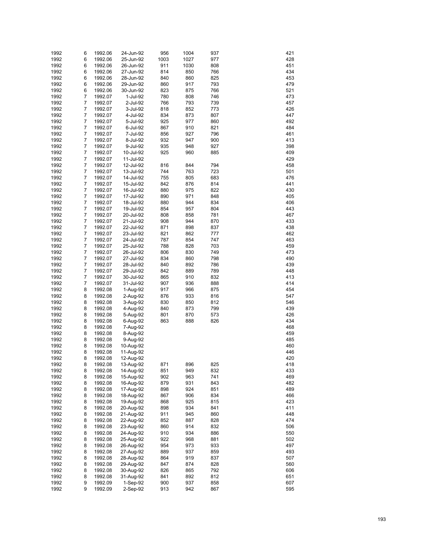| 1992 | 6              | 1992.06 | 24-Jun-92 | 956  | 1004 | 937 | 421 |
|------|----------------|---------|-----------|------|------|-----|-----|
|      |                |         |           |      |      |     |     |
| 1992 | 6              | 1992.06 | 25-Jun-92 | 1003 | 1027 | 977 | 428 |
| 1992 | 6              | 1992.06 | 26-Jun-92 | 911  | 1030 | 808 | 451 |
| 1992 | 6              | 1992.06 | 27-Jun-92 | 814  | 850  | 766 | 434 |
| 1992 | 6              | 1992.06 | 28-Jun-92 | 840  | 860  | 825 | 453 |
| 1992 | 6              | 1992.06 | 29-Jun-92 | 860  | 917  | 793 | 479 |
|      |                |         |           |      |      |     |     |
| 1992 | 6              | 1992.06 | 30-Jun-92 | 823  | 875  | 766 | 521 |
| 1992 | 7              | 1992.07 | 1-Jul-92  | 780  | 808  | 746 | 473 |
| 1992 | 7              | 1992.07 | 2-Jul-92  | 766  | 793  | 739 | 457 |
| 1992 | 7              | 1992.07 | 3-Jul-92  | 818  | 852  | 773 | 426 |
| 1992 | 7              | 1992.07 | 4-Jul-92  | 834  | 873  | 807 | 447 |
|      |                |         |           |      |      |     |     |
| 1992 | 7              | 1992.07 | 5-Jul-92  | 925  | 977  | 860 | 492 |
| 1992 | 7              | 1992.07 | 6-Jul-92  | 867  | 910  | 821 | 484 |
| 1992 | 7              | 1992.07 | 7-Jul-92  | 856  | 927  | 796 | 461 |
| 1992 | 7              | 1992.07 | 8-Jul-92  | 932  | 947  | 900 | 413 |
| 1992 | 7              | 1992.07 | 9-Jul-92  | 935  | 948  | 927 | 398 |
|      |                |         |           |      |      |     |     |
| 1992 | 7              | 1992.07 | 10-Jul-92 | 925  | 960  | 885 | 409 |
| 1992 | 7              | 1992.07 | 11-Jul-92 |      |      |     | 429 |
| 1992 | 7              | 1992.07 | 12-Jul-92 | 816  | 844  | 794 | 458 |
| 1992 | 7              | 1992.07 | 13-Jul-92 | 744  | 763  | 723 | 501 |
| 1992 | 7              | 1992.07 | 14-Jul-92 | 755  | 805  | 683 | 476 |
|      |                |         |           |      |      |     |     |
| 1992 | 7              | 1992.07 | 15-Jul-92 | 842  | 876  | 814 | 441 |
| 1992 | 7              | 1992.07 | 16-Jul-92 | 880  | 975  | 822 | 430 |
| 1992 | 7              | 1992.07 | 17-Jul-92 | 890  | 971  | 848 | 405 |
| 1992 | 7              | 1992.07 | 18-Jul-92 | 880  | 944  | 834 | 406 |
| 1992 | 7              | 1992.07 | 19-Jul-92 | 854  | 957  | 804 | 443 |
|      |                |         |           |      |      |     |     |
| 1992 | 7              | 1992.07 | 20-Jul-92 | 808  | 858  | 781 | 467 |
| 1992 | 7              | 1992.07 | 21-Jul-92 | 908  | 944  | 870 | 433 |
| 1992 | 7              | 1992.07 | 22-Jul-92 | 871  | 898  | 837 | 438 |
| 1992 | 7              | 1992.07 | 23-Jul-92 | 821  | 862  | 777 | 462 |
| 1992 | 7              | 1992.07 | 24-Jul-92 | 787  | 854  | 747 | 463 |
| 1992 | 7              |         |           | 788  | 828  | 703 |     |
|      |                | 1992.07 | 25-Jul-92 |      |      |     | 459 |
| 1992 | 7              | 1992.07 | 26-Jul-92 | 806  | 830  | 749 | 473 |
| 1992 | 7              | 1992.07 | 27-Jul-92 | 834  | 860  | 798 | 490 |
| 1992 | 7              | 1992.07 | 28-Jul-92 | 840  | 892  | 786 | 439 |
| 1992 | 7              | 1992.07 | 29-Jul-92 | 842  | 889  | 789 | 448 |
|      | 7              |         |           |      |      |     |     |
| 1992 |                | 1992.07 | 30-Jul-92 | 865  | 910  | 832 | 413 |
| 1992 | $\overline{7}$ | 1992.07 | 31-Jul-92 | 907  | 936  | 888 | 414 |
| 1992 | 8              | 1992.08 | 1-Aug-92  | 917  | 966  | 875 | 454 |
| 1992 | 8              | 1992.08 | 2-Aug-92  | 876  | 933  | 816 | 547 |
| 1992 | 8              | 1992.08 | 3-Aug-92  | 830  | 850  | 812 | 546 |
| 1992 | 8              | 1992.08 | 4-Aug-92  | 840  | 873  | 799 | 439 |
|      |                |         |           |      |      |     |     |
| 1992 | 8              | 1992.08 | 5-Aug-92  | 801  | 870  | 573 | 426 |
| 1992 | 8              | 1992.08 | 6-Aug-92  | 863  | 888  | 826 | 434 |
| 1992 | 8              | 1992.08 | 7-Aug-92  |      |      |     | 468 |
| 1992 | 8              | 1992.08 |           |      |      |     |     |
| 1992 | 8              |         |           |      |      |     |     |
|      |                |         | 8-Aug-92  |      |      |     | 459 |
| 1992 |                | 1992.08 | 9-Aug-92  |      |      |     | 485 |
| 1992 | 8              | 1992.08 | 10-Aug-92 |      |      |     | 460 |
| 1992 | 8              | 1992.08 | 11-Aug-92 |      |      |     | 446 |
|      | 8              |         | 12-Aug-92 |      |      |     | 420 |
|      |                | 1992.08 |           |      |      |     |     |
| 1992 | 8              | 1992.08 | 13-Aug-92 | 871  | 896  | 825 | 418 |
| 1992 | 8              | 1992.08 | 14-Aug-92 | 851  | 949  | 832 | 433 |
| 1992 | 8              | 1992.08 | 15-Aug-92 | 902  | 963  | 741 | 469 |
| 1992 | 8              | 1992.08 | 16-Aug-92 | 879  | 931  | 843 | 482 |
| 1992 | 8              | 1992.08 |           |      | 924  | 851 | 489 |
|      |                |         | 17-Aug-92 | 898  |      |     |     |
| 1992 | 8              | 1992.08 | 18-Aug-92 | 867  | 906  | 834 | 466 |
| 1992 | 8              | 1992.08 | 19-Aug-92 | 868  | 925  | 815 | 423 |
| 1992 | 8              | 1992.08 | 20-Aug-92 | 898  | 934  | 841 | 411 |
| 1992 | 8              | 1992.08 | 21-Aug-92 | 911  | 945  | 860 | 448 |
| 1992 | 8              | 1992.08 | 22-Aug-92 | 852  | 887  | 828 | 474 |
|      |                |         |           |      |      |     |     |
| 1992 | 8              | 1992.08 | 23-Aug-92 | 860  | 914  | 832 | 506 |
| 1992 | 8              | 1992.08 | 24-Aug-92 | 910  | 934  | 886 | 550 |
| 1992 | 8              | 1992.08 | 25-Aug-92 | 922  | 968  | 881 | 502 |
| 1992 | 8              | 1992.08 | 26-Aug-92 | 954  | 973  | 933 | 497 |
| 1992 | 8              | 1992.08 | 27-Aug-92 | 889  | 937  | 859 | 493 |
|      |                |         |           |      |      |     |     |
| 1992 | 8              | 1992.08 | 28-Aug-92 | 864  | 919  | 837 | 507 |
| 1992 | 8              | 1992.08 | 29-Aug-92 | 847  | 874  | 828 | 560 |
| 1992 | 8              | 1992.08 | 30-Aug-92 | 826  | 865  | 792 | 606 |
| 1992 | 8              | 1992.08 | 31-Aug-92 | 841  | 892  | 812 | 651 |
| 1992 | 9              | 1992.09 | 1-Sep-92  | 900  | 937  | 858 | 607 |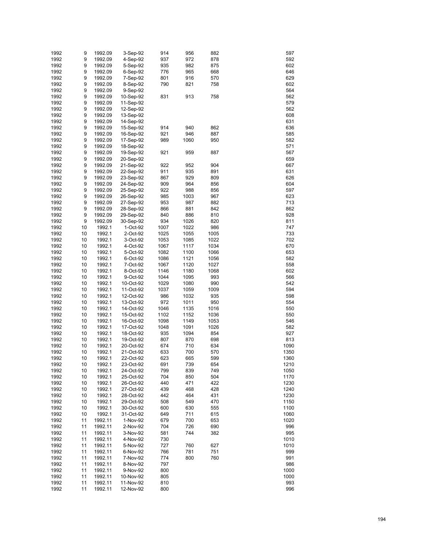| 1992 | 9  | 1992.09 | 3-Sep-92  | 914  | 956  | 882  | 597  |
|------|----|---------|-----------|------|------|------|------|
|      |    |         |           |      |      |      |      |
| 1992 | 9  | 1992.09 | 4-Sep-92  | 937  | 972  | 878  | 592  |
| 1992 | 9  | 1992.09 | 5-Sep-92  | 935  | 982  | 875  | 602  |
| 1992 | 9  | 1992.09 | 6-Sep-92  | 776  | 965  | 668  | 646  |
| 1992 | 9  | 1992.09 | 7-Sep-92  | 801  | 916  | 570  | 629  |
| 1992 | 9  | 1992.09 | 8-Sep-92  | 790  | 821  | 758  | 602  |
| 1992 | 9  | 1992.09 |           |      |      |      | 564  |
|      |    |         | 9-Sep-92  |      |      |      |      |
| 1992 | 9  | 1992.09 | 10-Sep-92 | 831  | 913  | 758  | 562  |
| 1992 | 9  | 1992.09 | 11-Sep-92 |      |      |      | 579  |
| 1992 | 9  | 1992.09 | 12-Sep-92 |      |      |      | 562  |
| 1992 | 9  | 1992.09 | 13-Sep-92 |      |      |      | 608  |
| 1992 | 9  | 1992.09 | 14-Sep-92 |      |      |      | 631  |
| 1992 | 9  | 1992.09 |           | 914  | 940  | 862  | 636  |
|      |    |         | 15-Sep-92 |      |      |      |      |
| 1992 | 9  | 1992.09 | 16-Sep-92 | 921  | 946  | 887  | 585  |
| 1992 | 9  | 1992.09 | 17-Sep-92 | 989  | 1060 | 950  | 582  |
| 1992 | 9  | 1992.09 | 18-Sep-92 |      |      |      | 571  |
| 1992 | 9  | 1992.09 | 19-Sep-92 | 921  | 959  | 887  | 567  |
| 1992 | 9  | 1992.09 | 20-Sep-92 |      |      |      | 659  |
| 1992 | 9  | 1992.09 | 21-Sep-92 | 922  | 952  | 904  | 667  |
|      |    |         |           |      |      |      |      |
| 1992 | 9  | 1992.09 | 22-Sep-92 | 911  | 935  | 891  | 631  |
| 1992 | 9  | 1992.09 | 23-Sep-92 | 867  | 929  | 809  | 626  |
| 1992 | 9  | 1992.09 | 24-Sep-92 | 909  | 964  | 856  | 604  |
| 1992 | 9  | 1992.09 | 25-Sep-92 | 922  | 988  | 856  | 597  |
| 1992 | 9  | 1992.09 | 26-Sep-92 | 985  | 1003 | 967  | 623  |
| 1992 | 9  | 1992.09 | 27-Sep-92 | 953  | 987  | 882  | 713  |
|      |    |         |           |      |      |      |      |
| 1992 | 9  | 1992.09 | 28-Sep-92 | 866  | 881  | 842  | 862  |
| 1992 | 9  | 1992.09 | 29-Sep-92 | 840  | 886  | 810  | 928  |
| 1992 | 9  | 1992.09 | 30-Sep-92 | 934  | 1026 | 820  | 811  |
| 1992 | 10 | 1992.1  | 1-Oct-92  | 1007 | 1022 | 986  | 747  |
| 1992 | 10 | 1992.1  | 2-Oct-92  | 1025 | 1055 | 1005 | 733  |
| 1992 | 10 | 1992.1  | 3-Oct-92  | 1053 | 1085 | 1022 | 702  |
|      |    |         |           |      |      |      |      |
| 1992 | 10 | 1992.1  | 4-Oct-92  | 1067 | 1117 | 1034 | 670  |
| 1992 | 10 | 1992.1  | 5-Oct-92  | 1082 | 1100 | 1066 | 653  |
| 1992 | 10 | 1992.1  | 6-Oct-92  | 1086 | 1121 | 1056 | 582  |
| 1992 | 10 | 1992.1  | 7-Oct-92  | 1067 | 1120 | 1027 | 558  |
| 1992 | 10 | 1992.1  | 8-Oct-92  | 1146 | 1180 | 1068 | 602  |
| 1992 | 10 | 1992.1  | 9-Oct-92  | 1044 | 1095 | 993  | 566  |
|      |    |         |           |      |      |      | 542  |
| 1992 | 10 | 1992.1  | 10-Oct-92 | 1029 | 1080 | 990  |      |
| 1992 | 10 | 1992.1  | 11-Oct-92 | 1037 | 1059 | 1009 | 594  |
| 1992 | 10 | 1992.1  | 12-Oct-92 | 986  | 1032 | 935  | 598  |
| 1992 | 10 | 1992.1  | 13-Oct-92 | 972  | 1011 | 950  | 554  |
| 1992 | 10 | 1992.1  | 14-Oct-92 | 1046 | 1135 | 1016 | 550  |
| 1992 | 10 | 1992.1  | 15-Oct-92 | 1102 | 1152 | 1036 | 550  |
| 1992 | 10 | 1992.1  | 16-Oct-92 | 1098 | 1149 | 1053 | 546  |
|      |    |         |           |      |      |      |      |
| 1992 | 10 | 1992.1  | 17-Oct-92 | 1048 | 1091 | 1026 | 582  |
| 1992 | 10 | 1992.1  | 18-Oct-92 | 935  | 1094 | 854  | 927  |
| 1992 | 10 | 1992.1  | 19-Oct-92 | 807  | 870  | 698  | 813  |
| 1992 | 10 | 1992.1  | 20-Oct-92 | 674  | 710  | 634  | 1090 |
| 1992 | 10 | 1992.1  | 21-Oct-92 | 633  | 700  | 570  | 1350 |
| 1992 | 10 | 1992.1  | 22-Oct-92 | 623  | 665  | 599  | 1360 |
|      |    |         | 23-Oct-92 |      |      |      |      |
| 1992 | 10 | 1992.1  |           | 691  | 739  | 654  | 1210 |
| 1992 | 10 | 1992.1  | 24-Oct-92 | 799  | 839  | 749  | 1050 |
| 1992 | 10 | 1992.1  | 25-Oct-92 | 704  | 850  | 504  | 1170 |
| 1992 | 10 | 1992.1  | 26-Oct-92 | 440  | 471  | 422  | 1230 |
| 1992 | 10 | 1992.1  | 27-Oct-92 | 439  | 468  | 428  | 1240 |
| 1992 | 10 | 1992.1  | 28-Oct-92 | 442  | 464  | 431  | 1230 |
| 1992 | 10 | 1992.1  |           | 508  | 549  | 470  | 1150 |
|      |    |         | 29-Oct-92 |      |      |      |      |
| 1992 | 10 | 1992.1  | 30-Oct-92 | 600  | 630  | 555  | 1100 |
| 1992 | 10 | 1992.1  | 31-Oct-92 | 649  | 711  | 615  | 1060 |
| 1992 | 11 | 1992.11 | 1-Nov-92  | 679  | 700  | 653  | 1020 |
| 1992 | 11 | 1992.11 | 2-Nov-92  | 704  | 726  | 690  | 996  |
| 1992 | 11 | 1992.11 | 3-Nov-92  | 581  | 744  | 382  | 995  |
| 1992 | 11 | 1992.11 | 4-Nov-92  | 730  |      |      | 1010 |
|      |    |         |           |      |      |      |      |
| 1992 | 11 | 1992.11 | 5-Nov-92  | 727  | 760  | 627  | 1010 |
| 1992 | 11 | 1992.11 | 6-Nov-92  | 766  | 781  | 751  | 999  |
| 1992 | 11 | 1992.11 | 7-Nov-92  | 774  | 800  | 760  | 991  |
| 1992 | 11 | 1992.11 | 8-Nov-92  | 797  |      |      | 986  |
| 1992 | 11 | 1992.11 | 9-Nov-92  | 800  |      |      | 1000 |
| 1992 | 11 | 1992.11 | 10-Nov-92 | 805  |      |      | 1000 |
|      |    |         |           |      |      |      |      |
| 1992 | 11 | 1992.11 | 11-Nov-92 | 810  |      |      | 993  |
| 1992 | 11 | 1992.11 | 12-Nov-92 | 800  |      |      | 996  |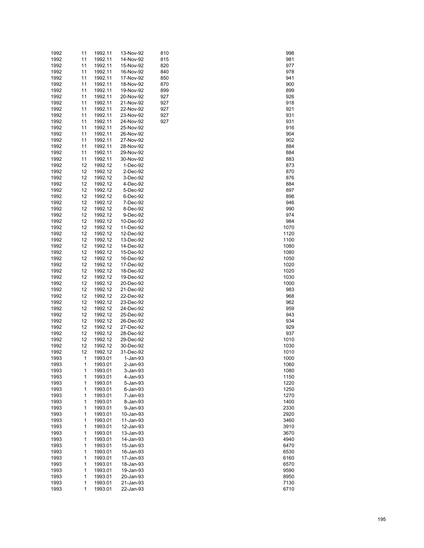| 1992 | 11           | 1992.11 | 13-Nov-92 | 810 | 998  |
|------|--------------|---------|-----------|-----|------|
| 1992 | 11           | 1992.11 | 14-Nov-92 | 815 | 981  |
| 1992 | 11           | 1992.11 | 15-Nov-92 | 820 | 977  |
|      |              |         |           |     |      |
| 1992 | 11           | 1992.11 | 16-Nov-92 | 840 | 978  |
| 1992 | 11           | 1992.11 | 17-Nov-92 | 850 | 941  |
| 1992 | 11           | 1992.11 | 18-Nov-92 | 870 | 900  |
| 1992 | 11           | 1992.11 | 19-Nov-92 | 899 | 899  |
| 1992 | 11           | 1992.11 | 20-Nov-92 | 927 | 926  |
| 1992 |              |         |           | 927 |      |
|      | 11           | 1992.11 | 21-Nov-92 |     | 918  |
| 1992 | 11           | 1992.11 | 22-Nov-92 | 927 | 921  |
| 1992 | 11           | 1992.11 | 23-Nov-92 | 927 | 931  |
| 1992 | 11           | 1992.11 | 24-Nov-92 | 927 | 931  |
| 1992 | 11           | 1992.11 | 25-Nov-92 |     | 916  |
| 1992 | 11           | 1992.11 | 26-Nov-92 |     | 904  |
|      |              |         |           |     |      |
| 1992 | 11           | 1992.11 | 27-Nov-92 |     | 902  |
| 1992 | 11           | 1992.11 | 28-Nov-92 |     | 884  |
| 1992 | 11           | 1992.11 | 29-Nov-92 |     | 884  |
| 1992 | 11           | 1992.11 | 30-Nov-92 |     | 883  |
| 1992 | 12           | 1992.12 | 1-Dec-92  |     | 873  |
| 1992 | 12           | 1992.12 | 2-Dec-92  |     | 870  |
|      |              |         |           |     |      |
| 1992 | 12           | 1992.12 | 3-Dec-92  |     | 876  |
| 1992 | 12           | 1992.12 | 4-Dec-92  |     | 884  |
| 1992 | 12           | 1992.12 | 5-Dec-92  |     | 897  |
| 1992 | 12           | 1992.12 | 6-Dec-92  |     | 898  |
| 1992 | 12           | 1992.12 | 7-Dec-92  |     | 946  |
| 1992 | 12           | 1992.12 | 8-Dec-92  |     | 990  |
|      |              |         |           |     |      |
| 1992 | 12           | 1992.12 | 9-Dec-92  |     | 974  |
| 1992 | 12           | 1992.12 | 10-Dec-92 |     | 984  |
| 1992 | 12           | 1992.12 | 11-Dec-92 |     | 1070 |
| 1992 | 12           | 1992.12 | 12-Dec-92 |     | 1120 |
| 1992 | 12           | 1992.12 | 13-Dec-92 |     | 1100 |
| 1992 | 12           | 1992.12 | 14-Dec-92 |     | 1080 |
|      |              |         |           |     |      |
| 1992 | 12           | 1992.12 | 15-Dec-92 |     | 1080 |
| 1992 | 12           | 1992.12 | 16-Dec-92 |     | 1050 |
| 1992 | 12           | 1992.12 | 17-Dec-92 |     | 1020 |
| 1992 | 12           | 1992.12 | 18-Dec-92 |     | 1020 |
| 1992 | 12           | 1992.12 | 19-Dec-92 |     | 1030 |
| 1992 | 12           | 1992.12 | 20-Dec-92 |     | 1000 |
|      |              |         |           |     |      |
| 1992 | 12           | 1992.12 | 21-Dec-92 |     | 983  |
| 1992 | 12           | 1992.12 | 22-Dec-92 |     | 968  |
| 1992 | 12           | 1992.12 | 23-Dec-92 |     | 962  |
| 1992 | 12           | 1992.12 | 24-Dec-92 |     | 959  |
| 1992 | 12           | 1992.12 | 25-Dec-92 |     | 943  |
| 1992 | 12           | 1992.12 | 26-Dec-92 |     | 934  |
|      |              |         |           |     |      |
| 1992 | 12           | 1992.12 | 27-Dec-92 |     | 929  |
| 1992 | 12           | 1992.12 | 28-Dec-92 |     | 937  |
| 1992 | 12           | 1992.12 | 29-Dec-92 |     | 1010 |
| 1992 | 12           | 1992.12 | 30-Dec-92 |     | 1030 |
| 1992 | 12           | 1992.12 | 31-Dec-92 |     | 1010 |
| 1993 | 1            | 1993.01 | 1-Jan-93  |     | 1000 |
|      | 1            |         |           |     |      |
| 1993 |              | 1993.01 | 2-Jan-93  |     | 1060 |
| 1993 | 1            | 1993.01 | 3-Jan-93  |     | 1080 |
| 1993 | 1            | 1993.01 | 4-Jan-93  |     | 1150 |
| 1993 | 1            | 1993.01 | 5-Jan-93  |     | 1220 |
| 1993 | 1            | 1993.01 | 6-Jan-93  |     | 1250 |
| 1993 | 1            | 1993.01 | 7-Jan-93  |     | 1270 |
|      |              |         |           |     |      |
| 1993 | 1            | 1993.01 | 8-Jan-93  |     | 1400 |
| 1993 | 1            | 1993.01 | 9-Jan-93  |     | 2330 |
| 1993 | 1            | 1993.01 | 10-Jan-93 |     | 2920 |
| 1993 | 1            | 1993.01 | 11-Jan-93 |     | 3460 |
| 1993 | 1            | 1993.01 | 12-Jan-93 |     | 3910 |
| 1993 | 1            | 1993.01 | 13-Jan-93 |     | 3670 |
|      |              |         |           |     |      |
| 1993 | 1            | 1993.01 | 14-Jan-93 |     | 4940 |
| 1993 | 1            | 1993.01 | 15-Jan-93 |     | 6470 |
| 1993 | 1            | 1993.01 | 16-Jan-93 |     | 6530 |
| 1993 | 1            | 1993.01 | 17-Jan-93 |     | 6160 |
| 1993 | 1            | 1993.01 | 18-Jan-93 |     | 6570 |
| 1993 | 1            | 1993.01 | 19-Jan-93 |     | 9590 |
|      |              |         |           |     |      |
| 1993 | 1            | 1993.01 | 20-Jan-93 |     | 8950 |
| 1993 | $\mathbf{1}$ | 1993.01 | 21-Jan-93 |     | 7130 |
| 1993 | 1            | 1993.01 | 22-Jan-93 |     | 6710 |

| 998          |  |
|--------------|--|
| 981<br>977   |  |
| 978<br>941   |  |
| 900          |  |
| 899<br>926   |  |
| 918<br>921   |  |
| 931          |  |
| 931<br>916   |  |
| 904          |  |
| 902<br>884   |  |
| 884<br>883   |  |
| 873          |  |
| 870<br>876   |  |
| 884<br>897   |  |
| 898          |  |
| 946<br>990   |  |
| 974<br>984   |  |
| 1070         |  |
| 1120<br>1100 |  |
| 1080<br>1080 |  |
| 1050         |  |
| 1020<br>1020 |  |
| 1030<br>1000 |  |
| 983          |  |
| 968<br>962   |  |
| 959<br>943   |  |
| 934          |  |
| 929<br>937   |  |
| 1010<br>1030 |  |
| 1010         |  |
| 1000<br>1060 |  |
| 1080<br>1150 |  |
| 1220         |  |
| 1250<br>1270 |  |
| 1400<br>2330 |  |
| 2920         |  |
| 3460<br>3910 |  |
| 3670<br>4940 |  |
| 6470         |  |
| 6530<br>6160 |  |
| 6570<br>9590 |  |
| 8950         |  |
| 7130<br>6710 |  |
|              |  |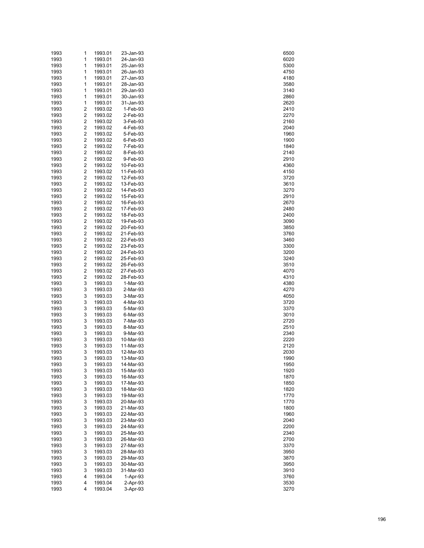| 1993 | 1                       | 1993.01 | 23-Jan-93 | 6500 |
|------|-------------------------|---------|-----------|------|
| 1993 | 1                       | 1993.01 | 24-Jan-93 | 6020 |
| 1993 | 1                       | 1993.01 | 25-Jan-93 | 5300 |
| 1993 | 1                       | 1993.01 | 26-Jan-93 | 4750 |
| 1993 | 1                       | 1993.01 | 27-Jan-93 | 4180 |
| 1993 | 1                       | 1993.01 | 28-Jan-93 | 3580 |
| 1993 | 1                       | 1993.01 | 29-Jan-93 | 3140 |
| 1993 | 1                       | 1993.01 | 30-Jan-93 | 2860 |
| 1993 | 1                       | 1993.01 | 31-Jan-93 | 2620 |
| 1993 | 2                       | 1993.02 | 1-Feb-93  | 2410 |
| 1993 | 2                       | 1993.02 | 2-Feb-93  | 2270 |
| 1993 | 2                       | 1993.02 | 3-Feb-93  | 2160 |
| 1993 | 2                       | 1993.02 | 4-Feb-93  | 2040 |
| 1993 | 2                       | 1993.02 | 5-Feb-93  | 1960 |
| 1993 | 2                       | 1993.02 | 6-Feb-93  | 1900 |
| 1993 | 2                       | 1993.02 | 7-Feb-93  | 1840 |
| 1993 | 2                       | 1993.02 | 8-Feb-93  | 2140 |
| 1993 | 2                       | 1993.02 | 9-Feb-93  | 2910 |
| 1993 | 2                       | 1993.02 | 10-Feb-93 | 4360 |
| 1993 | 2                       | 1993.02 | 11-Feb-93 | 4150 |
| 1993 | 2                       | 1993.02 | 12-Feb-93 | 3720 |
| 1993 | 2                       | 1993.02 | 13-Feb-93 | 3610 |
| 1993 | 2                       | 1993.02 | 14-Feb-93 | 3270 |
| 1993 | 2                       | 1993.02 | 15-Feb-93 | 2910 |
| 1993 | 2                       | 1993.02 | 16-Feb-93 | 2670 |
| 1993 | 2                       | 1993.02 | 17-Feb-93 | 2480 |
| 1993 | 2                       | 1993.02 | 18-Feb-93 | 2400 |
| 1993 | 2                       | 1993.02 | 19-Feb-93 | 3090 |
| 1993 | 2                       | 1993.02 | 20-Feb-93 | 3850 |
| 1993 | 2                       | 1993.02 | 21-Feb-93 | 3760 |
| 1993 | 2                       | 1993.02 | 22-Feb-93 | 3460 |
| 1993 | 2                       | 1993.02 | 23-Feb-93 | 3300 |
| 1993 | $\overline{c}$          | 1993.02 | 24-Feb-93 | 3200 |
| 1993 | 2                       | 1993.02 | 25-Feb-93 | 3240 |
| 1993 | 2                       | 1993.02 | 26-Feb-93 | 3510 |
| 1993 | 2                       | 1993.02 | 27-Feb-93 | 4070 |
| 1993 | $\overline{\mathbf{c}}$ | 1993.02 | 28-Feb-93 | 4310 |
| 1993 | 3                       | 1993.03 | 1-Mar-93  | 4380 |
| 1993 | 3                       | 1993.03 | 2-Mar-93  | 4270 |
| 1993 | 3                       | 1993.03 | 3-Mar-93  | 4050 |
| 1993 | 3                       | 1993.03 | 4-Mar-93  | 3720 |
| 1993 | 3                       | 1993.03 | 5-Mar-93  | 3370 |
| 1993 | 3                       | 1993.03 | 6-Mar-93  | 3010 |
| 1993 | 3                       | 1993.03 | 7-Mar-93  | 2720 |
| 1993 | 3                       | 1993.03 | 8-Mar-93  | 2510 |
| 1993 | 3                       | 1993.03 | 9-Mar-93  | 2340 |
| 1993 | 3                       | 1993.03 | 10-Mar-93 | 2220 |
| 1993 | 3                       | 1993.03 | 11-Mar-93 | 2120 |
| 1993 | 3                       | 1993.03 | 12-Mar-93 | 2030 |
| 1993 | 3                       | 1993.03 | 13-Mar-93 | 1990 |
| 1993 | 3                       | 1993.03 | 14-Mar-93 | 1950 |
| 1993 | 3                       | 1993.03 | 15-Mar-93 | 1920 |
| 1993 | 3                       | 1993.03 | 16-Mar-93 | 1870 |
| 1993 | 3                       | 1993.03 | 17-Mar-93 | 1850 |
| 1993 | 3                       | 1993.03 | 18-Mar-93 | 1820 |
| 1993 | 3                       | 1993.03 | 19-Mar-93 | 1770 |
| 1993 | 3                       | 1993.03 | 20-Mar-93 | 1770 |
| 1993 | 3                       | 1993.03 | 21-Mar-93 | 1800 |
| 1993 | 3                       | 1993.03 | 22-Mar-93 | 1960 |
| 1993 | 3                       | 1993.03 | 23-Mar-93 | 2040 |
| 1993 | 3                       | 1993.03 | 24-Mar-93 | 2200 |
| 1993 | 3                       | 1993.03 | 25-Mar-93 | 2340 |
| 1993 | 3                       | 1993.03 | 26-Mar-93 | 2700 |
| 1993 | 3                       | 1993.03 | 27-Mar-93 | 3370 |
| 1993 | 3                       | 1993.03 | 28-Mar-93 | 3950 |
| 1993 | 3                       | 1993.03 | 29-Mar-93 | 3870 |
| 1993 | 3                       | 1993.03 | 30-Mar-93 | 3950 |
| 1993 | 3                       | 1993.03 | 31-Mar-93 | 3910 |
| 1993 | 4                       | 1993.04 | 1-Apr-93  | 3760 |
| 1993 | 4                       | 1993.04 | 2-Apr-93  | 3530 |
| 1993 | 4                       | 1993.04 | 3-Apr-93  | 3270 |

| 6500           |  |
|----------------|--|
|                |  |
| 6020           |  |
|                |  |
| 5300           |  |
| 4750           |  |
|                |  |
| 4180           |  |
| 3580           |  |
|                |  |
| 3140           |  |
|                |  |
| 2860           |  |
|                |  |
| 2620           |  |
| 2410           |  |
|                |  |
| 2270           |  |
|                |  |
| 2160           |  |
|                |  |
| 2040           |  |
| 1960           |  |
|                |  |
| 1900           |  |
|                |  |
| 1840           |  |
| 2140           |  |
|                |  |
| 2910           |  |
|                |  |
| 4360           |  |
| 4150           |  |
|                |  |
| 3720           |  |
|                |  |
| 3610           |  |
|                |  |
| 3270           |  |
| 2910           |  |
|                |  |
| 2670           |  |
|                |  |
| 2480           |  |
| 2400           |  |
|                |  |
| 3090           |  |
|                |  |
| 3850           |  |
|                |  |
| 3760           |  |
| 3460           |  |
|                |  |
| 3300           |  |
|                |  |
| 3200           |  |
| 3240           |  |
|                |  |
| 3510           |  |
|                |  |
| 4070           |  |
| 4310           |  |
|                |  |
| 4380           |  |
|                |  |
| 4270           |  |
|                |  |
| 4050           |  |
| 3720           |  |
|                |  |
| 3370           |  |
|                |  |
| 3010           |  |
| 2720           |  |
|                |  |
| 2510           |  |
|                |  |
| 2340           |  |
| 2220           |  |
|                |  |
| 2120           |  |
|                |  |
| 2030           |  |
| ١¢<br>19<br>J( |  |
|                |  |
| 1950           |  |
| 1920           |  |
|                |  |
| 1870           |  |
|                |  |
| 1850           |  |
|                |  |
| 1820           |  |
| 1770           |  |
|                |  |
| 1770           |  |
| 1800           |  |
|                |  |
| 1960           |  |
|                |  |
| 2040           |  |
|                |  |
| 2200           |  |
| 2340           |  |
|                |  |
| 2700           |  |
|                |  |
| 3370           |  |
| 3950           |  |
|                |  |
| 3870           |  |
|                |  |
| 3950           |  |
| 3910           |  |
|                |  |
| 3760           |  |
|                |  |
|                |  |
| 3530           |  |
| 3270           |  |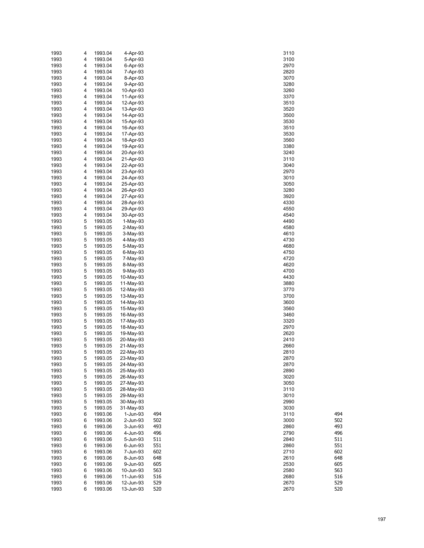| 1993 | 4 | 1993.04 | 4-Apr-93   |     | 3110        |
|------|---|---------|------------|-----|-------------|
| 1993 | 4 | 1993.04 | 5-Apr-93   |     | 3100        |
| 1993 | 4 | 1993.04 | 6-Apr-93   |     | 2970        |
| 1993 | 4 | 1993.04 | 7-Apr-93   |     | 2820        |
| 1993 | 4 | 1993.04 | 8-Apr-93   |     | 3070        |
| 1993 | 4 | 1993.04 | 9-Apr-93   |     | 3280        |
|      |   |         |            |     |             |
| 1993 | 4 | 1993.04 | 10-Apr-93  |     | 3260        |
| 1993 | 4 | 1993.04 | 11-Apr-93  |     | 3370        |
| 1993 | 4 | 1993.04 | 12-Apr-93  |     | 3510        |
| 1993 | 4 | 1993.04 | 13-Apr-93  |     | 3520        |
| 1993 | 4 | 1993.04 | 14-Apr-93  |     | 3500        |
| 1993 | 4 | 1993.04 | 15-Apr-93  |     | 3530        |
| 1993 | 4 | 1993.04 | 16-Apr-93  |     | 3510        |
| 1993 | 4 | 1993.04 | 17-Apr-93  |     | 3530        |
| 1993 | 4 | 1993.04 | 18-Apr-93  |     | 3560        |
| 1993 | 4 | 1993.04 | 19-Apr-93  |     | 3380        |
| 1993 | 4 | 1993.04 | 20-Apr-93  |     | 3240        |
| 1993 | 4 | 1993.04 | 21-Apr-93  |     | 3110        |
| 1993 | 4 | 1993.04 | 22-Apr-93  |     | 3040        |
| 1993 | 4 | 1993.04 | 23-Apr-93  |     | 2970        |
| 1993 | 4 | 1993.04 | 24-Apr-93  |     | 3010        |
| 1993 | 4 | 1993.04 | 25-Apr-93  |     | 3050        |
| 1993 | 4 | 1993.04 | 26-Apr-93  |     | 3280        |
| 1993 | 4 | 1993.04 | 27-Apr-93  |     | 3920        |
|      |   |         |            |     |             |
| 1993 | 4 | 1993.04 | 28-Apr-93  |     | 4330        |
| 1993 | 4 | 1993.04 | 29-Apr-93  |     | 4550        |
| 1993 | 4 | 1993.04 | 30-Apr-93  |     | 4540        |
| 1993 | 5 | 1993.05 | $1-May-93$ |     | 4490        |
| 1993 | 5 | 1993.05 | $2-May-93$ |     | 4580        |
| 1993 | 5 | 1993.05 | $3-May-93$ |     | 4610        |
| 1993 | 5 | 1993.05 | 4-May-93   |     | 4730        |
| 1993 | 5 | 1993.05 | 5-May-93   |     | 4680        |
| 1993 | 5 | 1993.05 | 6-May-93   |     | 4750        |
| 1993 | 5 | 1993.05 | 7-May-93   |     | 4720        |
| 1993 | 5 | 1993.05 | 8-May-93   |     | 4620        |
| 1993 | 5 | 1993.05 | 9-May-93   |     | 4700        |
| 1993 | 5 | 1993.05 | 10-May-93  |     | 4430        |
| 1993 | 5 | 1993.05 | 11-May-93  |     | 3880        |
| 1993 | 5 | 1993.05 | 12-May-93  |     | 3770        |
| 1993 | 5 | 1993.05 | 13-May-93  |     | 3700        |
| 1993 | 5 | 1993.05 | 14-May-93  |     | 3600        |
| 1993 | 5 | 1993.05 | 15-May-93  |     | 3560        |
| 1993 | 5 | 1993.05 | 16-May-93  |     | 3460        |
| 1993 | 5 | 1993.05 | 17-May-93  |     | 3320        |
| 1993 | 5 |         | 18-May-93  |     | 2970        |
|      |   | 1993.05 |            |     |             |
| 1993 | 5 | 1993.05 | 19-May-93  |     | 2620        |
| 1993 | 5 | 1993.05 | 20-May-93  |     | 2410        |
| 1993 | 5 | 1993.05 | 21-May-93  |     | 2660        |
| 1993 | 5 | 1993.05 | 22-May-93  |     | 2810        |
| 1993 | 5 | 1993.05 | 23-May-93  |     | 2870        |
| 1993 | 5 | 1993.05 | 24-May-93  |     | 2870        |
| 1993 | 5 | 1993.05 | 25-May-93  |     | 2890        |
| 1993 | 5 | 1993.05 | 26-May-93  |     | 3020        |
| 1993 | 5 | 1993.05 | 27-May-93  |     | 3050        |
| 1993 | 5 | 1993.05 | 28-May-93  |     | 3110        |
| 1993 | 5 | 1993.05 | 29-May-93  |     | 3010        |
| 1993 | 5 | 1993.05 | 30-May-93  |     | 2990        |
| 1993 | 5 | 1993.05 | 31-May-93  |     | 3030        |
| 1993 | 6 | 1993.06 | 1-Jun-93   | 494 | 494<br>3110 |
| 1993 | 6 | 1993.06 | 2-Jun-93   | 502 | 502<br>3000 |
| 1993 | 6 | 1993.06 | 3-Jun-93   | 493 | 493<br>2860 |
| 1993 | 6 | 1993.06 | 4-Jun-93   | 496 | 496<br>2790 |
| 1993 | 6 | 1993.06 | 5-Jun-93   | 511 | 2840<br>511 |
| 1993 | 6 | 1993.06 | 6-Jun-93   | 551 | 2860<br>551 |
|      |   |         |            | 602 |             |
| 1993 | 6 | 1993.06 | 7-Jun-93   |     | 2710<br>602 |
| 1993 | 6 | 1993.06 | 8-Jun-93   | 648 | 648<br>2610 |
| 1993 | 6 | 1993.06 | 9-Jun-93   | 605 | 2530<br>605 |
| 1993 | 6 | 1993.06 | 10-Jun-93  | 563 | 2580<br>563 |
| 1993 | 6 | 1993.06 | 11-Jun-93  | 516 | 2680<br>516 |
| 1993 | 6 | 1993.06 | 12-Jun-93  | 529 | 2670<br>529 |
| 1993 | 6 | 1993.06 | 13-Jun-93  | 520 | 520<br>2670 |

| 110 |  |      |
|-----|--|------|
|     |  |      |
| 100 |  |      |
| 970 |  |      |
| 820 |  |      |
|     |  |      |
| 070 |  |      |
| 280 |  |      |
| 260 |  |      |
|     |  |      |
| 370 |  |      |
| 510 |  |      |
| 520 |  |      |
| 500 |  |      |
|     |  |      |
| 530 |  |      |
| 510 |  |      |
| 530 |  |      |
|     |  |      |
| 560 |  |      |
| 380 |  |      |
| 240 |  |      |
|     |  |      |
| 110 |  |      |
| 040 |  |      |
| 970 |  |      |
|     |  |      |
| 010 |  |      |
| 050 |  |      |
| 280 |  |      |
|     |  |      |
| 920 |  |      |
| 330 |  |      |
| 550 |  |      |
|     |  |      |
| 540 |  |      |
| 490 |  |      |
| 580 |  |      |
|     |  |      |
| 610 |  |      |
| 730 |  |      |
| 680 |  |      |
|     |  |      |
| 750 |  |      |
| 720 |  |      |
| 620 |  |      |
| 700 |  |      |
|     |  |      |
| 430 |  |      |
| 880 |  |      |
| 770 |  |      |
|     |  |      |
| 700 |  |      |
| 600 |  |      |
| 560 |  |      |
|     |  |      |
| 460 |  |      |
| 320 |  |      |
| 970 |  |      |
|     |  |      |
| 620 |  |      |
| 410 |  |      |
| 660 |  |      |
|     |  |      |
| 810 |  |      |
| 870 |  |      |
| 870 |  |      |
| 890 |  |      |
|     |  |      |
| 020 |  |      |
| 050 |  |      |
| 110 |  |      |
|     |  |      |
| 010 |  |      |
| 990 |  |      |
| 030 |  |      |
| 110 |  |      |
|     |  |      |
| 000 |  |      |
| 860 |  |      |
| 790 |  |      |
|     |  | ֚֚֚֬ |
| 840 |  |      |
| 860 |  |      |
| 710 |  |      |
|     |  |      |
| 610 |  |      |
| 530 |  |      |
| 580 |  |      |
|     |  |      |
| 680 |  |      |
| 670 |  |      |
| 670 |  |      |
|     |  |      |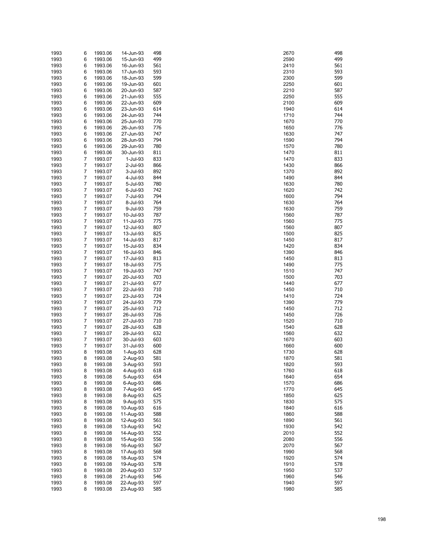| 1993 | 6 | 1993.06 | 14-Jun-93 | 498 | 2670 | 498 |
|------|---|---------|-----------|-----|------|-----|
| 1993 | 6 | 1993.06 | 15-Jun-93 | 499 | 2590 | 499 |
|      | 6 | 1993.06 | 16-Jun-93 | 561 | 2410 | 561 |
| 1993 |   |         |           |     |      |     |
| 1993 | 6 | 1993.06 | 17-Jun-93 | 593 | 2310 | 593 |
| 1993 | 6 | 1993.06 | 18-Jun-93 | 599 | 2300 | 599 |
| 1993 | 6 | 1993.06 | 19-Jun-93 | 601 | 2250 | 601 |
| 1993 | 6 | 1993.06 | 20-Jun-93 | 587 | 2210 | 587 |
| 1993 | 6 | 1993.06 | 21-Jun-93 | 555 | 2250 | 555 |
| 1993 | 6 | 1993.06 | 22-Jun-93 | 609 | 2100 | 609 |
| 1993 | 6 | 1993.06 | 23-Jun-93 | 614 | 1940 | 614 |
|      |   |         |           | 744 |      |     |
| 1993 | 6 | 1993.06 | 24-Jun-93 |     | 1710 | 744 |
| 1993 | 6 | 1993.06 | 25-Jun-93 | 770 | 1670 | 770 |
| 1993 | 6 | 1993.06 | 26-Jun-93 | 776 | 1650 | 776 |
| 1993 | 6 | 1993.06 | 27-Jun-93 | 747 | 1630 | 747 |
| 1993 | 6 | 1993.06 | 28-Jun-93 | 794 | 1590 | 794 |
| 1993 | 6 | 1993.06 | 29-Jun-93 | 780 | 1570 | 780 |
| 1993 | 6 | 1993.06 | 30-Jun-93 | 811 | 1470 | 811 |
| 1993 | 7 | 1993.07 | 1-Jul-93  | 833 | 1470 | 833 |
| 1993 | 7 | 1993.07 | 2-Jul-93  | 866 | 1430 | 866 |
|      | 7 |         |           | 892 | 1370 | 892 |
| 1993 |   | 1993.07 | 3-Jul-93  |     |      |     |
| 1993 | 7 | 1993.07 | 4-Jul-93  | 844 | 1490 | 844 |
| 1993 | 7 | 1993.07 | 5-Jul-93  | 780 | 1630 | 780 |
| 1993 | 7 | 1993.07 | 6-Jul-93  | 742 | 1620 | 742 |
| 1993 | 7 | 1993.07 | 7-Jul-93  | 794 | 1600 | 794 |
| 1993 | 7 | 1993.07 | 8-Jul-93  | 764 | 1630 | 764 |
| 1993 | 7 | 1993.07 | 9-Jul-93  | 759 | 1630 | 759 |
| 1993 | 7 | 1993.07 | 10-Jul-93 | 787 | 1560 | 787 |
| 1993 | 7 | 1993.07 | 11-Jul-93 | 775 | 1560 | 775 |
| 1993 | 7 | 1993.07 | 12-Jul-93 | 807 | 1560 | 807 |
| 1993 | 7 | 1993.07 | 13-Jul-93 | 825 | 1500 | 825 |
| 1993 | 7 | 1993.07 | 14-Jul-93 | 817 | 1450 | 817 |
|      |   |         |           |     | 1420 | 834 |
| 1993 | 7 | 1993.07 | 15-Jul-93 | 834 |      |     |
| 1993 | 7 | 1993.07 | 16-Jul-93 | 846 | 1390 | 846 |
| 1993 | 7 | 1993.07 | 17-Jul-93 | 813 | 1450 | 813 |
| 1993 | 7 | 1993.07 | 18-Jul-93 | 775 | 1490 | 775 |
| 1993 | 7 | 1993.07 | 19-Jul-93 | 747 | 1510 | 747 |
| 1993 | 7 | 1993.07 | 20-Jul-93 | 703 | 1500 | 703 |
| 1993 | 7 | 1993.07 | 21-Jul-93 | 677 | 1440 | 677 |
| 1993 | 7 | 1993.07 | 22-Jul-93 | 710 | 1450 | 710 |
| 1993 | 7 | 1993.07 | 23-Jul-93 | 724 | 1410 | 724 |
| 1993 | 7 | 1993.07 | 24-Jul-93 | 779 | 1390 | 779 |
| 1993 | 7 | 1993.07 | 25-Jul-93 | 712 | 1450 | 712 |
| 1993 | 7 | 1993.07 | 26-Jul-93 | 726 | 1450 | 726 |
| 1993 | 7 | 1993.07 | 27-Jul-93 | 710 | 1520 | 710 |
| 1993 | 7 | 1993.07 | 28-Jul-93 | 628 | 1540 | 628 |
|      |   |         |           | 632 |      |     |
| 1993 | 7 | 1993.07 | 29-Jul-93 |     | 1560 | 632 |
| 1993 | 7 | 1993.07 | 30-Jul-93 | 603 | 1670 | 603 |
| 1993 | 7 | 1993.07 | 31-Jul-93 | 600 | 1660 | 600 |
| 1993 | 8 | 1993.08 | 1-Aug-93  | 628 | 1730 | 628 |
| 1993 | 8 | 1993.08 | 2-Aug-93  | 581 | 1870 | 581 |
| 1993 | 8 | 1993.08 | 3-Aug-93  | 593 | 1820 | 593 |
| 1993 | 8 | 1993.08 | 4-Aug-93  | 618 | 1760 | 618 |
| 1993 | 8 | 1993.08 | 5-Aug-93  | 654 | 1640 | 654 |
| 1993 | 8 | 1993.08 | 6-Aug-93  | 686 | 1570 | 686 |
| 1993 | 8 | 1993.08 | 7-Aug-93  | 645 | 1770 | 645 |
| 1993 | 8 | 1993.08 | 8-Aug-93  | 625 | 1850 | 625 |
|      |   |         |           | 575 |      | 575 |
| 1993 | 8 | 1993.08 | 9-Aug-93  |     | 1830 |     |
| 1993 | 8 | 1993.08 | 10-Aug-93 | 616 | 1840 | 616 |
| 1993 | 8 | 1993.08 | 11-Aug-93 | 588 | 1860 | 588 |
| 1993 | 8 | 1993.08 | 12-Aug-93 | 561 | 1890 | 561 |
| 1993 | 8 | 1993.08 | 13-Aug-93 | 542 | 1930 | 542 |
| 1993 | 8 | 1993.08 | 14-Aug-93 | 552 | 2010 | 552 |
| 1993 | 8 | 1993.08 | 15-Aug-93 | 556 | 2080 | 556 |
| 1993 | 8 | 1993.08 | 16-Aug-93 | 567 | 2070 | 567 |
| 1993 | 8 | 1993.08 | 17-Aug-93 | 568 | 1990 | 568 |
| 1993 | 8 | 1993.08 | 18-Aug-93 | 574 | 1920 | 574 |
| 1993 | 8 | 1993.08 | 19-Aug-93 | 578 | 1910 | 578 |
| 1993 | 8 | 1993.08 | 20-Aug-93 | 537 | 1950 | 537 |
| 1993 | 8 | 1993.08 | 21-Aug-93 | 546 | 1960 | 546 |
| 1993 | 8 | 1993.08 | 22-Aug-93 | 597 | 1940 | 597 |
| 1993 | 8 | 1993.08 | 23-Aug-93 | 585 | 1980 | 585 |
|      |   |         |           |     |      |     |

| 2670         | 49       |
|--------------|----------|
| 2590         | 49<br>56 |
| 2410<br>2310 | 59       |
| 2300         | 59       |
| 2250         | 60       |
| 210          | 58       |
| 250          | 55       |
| 2100<br>940  | 60<br>61 |
| 710          | 74       |
| 670          | 77       |
| 650          | 77       |
| 630<br>590   | 74<br>79 |
| 570          | 78       |
| 1470         | 81       |
| 1470         | 83       |
| 430          | 86       |
| 370<br>490   | 89<br>84 |
| 630          | 78       |
| 620          | 74       |
| 600          | 79       |
| 630          | 76       |
| 630<br>560   | 75<br>78 |
| 560          | 77       |
| 560          | 80       |
| 500          | 82       |
| 450          | 81       |
| 420<br>390   | 83<br>84 |
| 450          | 81       |
| 490          | 77       |
| 510          | 74       |
| 500          | 70       |
| 440          | 67       |
| 450<br>1410  | 71<br>72 |
| 390          | 77       |
| 450          | 71       |
| 450          | 72       |
| 520<br>540   | 71<br>62 |
| 560          | 63       |
| 670          | 60       |
| 660          | 60       |
| 730          | 62       |
| 870<br>820   | 58       |
| 760          | 59<br>61 |
| 640          | 65       |
| 570          | 68       |
| 770          | 64       |
| 850          | 62       |
| 830<br>840   | 57<br>61 |
| 860          | 58       |
| 890          | 56       |
| 930          | 54       |
| 2010         | 55       |
| 2080<br>2070 | 55<br>56 |
| 990          | 56       |
| 920          | 57       |
| 1910         | 57       |
| 950          | 53       |
| 960          | 54       |
| 940<br>980   | 59<br>58 |
|              |          |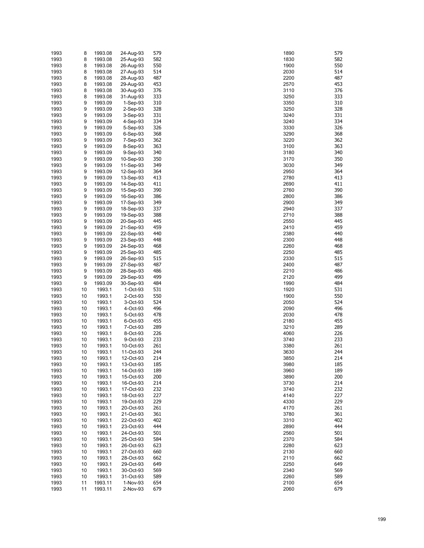| 1993         | 8        | 1993.08            | 24-Aug-93              | 579        | 579<br>1890                |
|--------------|----------|--------------------|------------------------|------------|----------------------------|
| 1993         | 8        | 1993.08            | 25-Aug-93              | 582        | 582<br>1830                |
| 1993         | 8        | 1993.08            | 26-Aug-93              | 550        | 1900<br>550                |
| 1993         | 8        | 1993.08            | 27-Aug-93              | 514        | 2030<br>514                |
| 1993         | 8        | 1993.08            | 28-Aug-93              | 487        | 487<br>2200                |
| 1993         | 8        | 1993.08            | 29-Aug-93              | 453        | 2570<br>453                |
| 1993         | 8        | 1993.08            | 30-Aug-93              | 376        | 3110<br>376                |
| 1993         | 8        | 1993.08            | 31-Aug-93              | 333        | 3250<br>333                |
| 1993         | 9        | 1993.09            | $1-Sep-93$             | 310        | 3350<br>310                |
| 1993         | 9        | 1993.09            | $2-Sep-93$             | 328<br>331 | 3250<br>328                |
| 1993<br>1993 | 9<br>9   | 1993.09<br>1993.09 | $3-Sep-93$<br>4-Sep-93 | 334        | 331<br>3240<br>3240<br>334 |
| 1993         | 9        | 1993.09            | 5-Sep-93               | 326        | 326<br>3330                |
| 1993         | 9        | 1993.09            | $6-Sep-93$             | 368        | 3290<br>368                |
| 1993         | 9        | 1993.09            | 7-Sep-93               | 362        | 3220<br>362                |
| 1993         | 9        | 1993.09            | 8-Sep-93               | 363        | 3100<br>363                |
| 1993         | 9        | 1993.09            | 9-Sep-93               | 340        | 340<br>3180                |
| 1993         | 9        | 1993.09            | 10-Sep-93              | 350        | 350<br>3170                |
| 1993         | 9        | 1993.09            | 11-Sep-93              | 349        | 349<br>3030                |
| 1993         | 9        | 1993.09            | 12-Sep-93              | 364        | 2950<br>364                |
| 1993         | 9        | 1993.09            | 13-Sep-93              | 413        | 413<br>2780                |
| 1993         | 9        | 1993.09            | 14-Sep-93              | 411        | 2690<br>411                |
| 1993         | 9        | 1993.09            | 15-Sep-93              | 390        | 2760<br>390                |
| 1993         | 9        | 1993.09            | 16-Sep-93              | 386        | 2800<br>386                |
| 1993         | 9        | 1993.09            | 17-Sep-93              | 349        | 349<br>2900                |
| 1993         | 9        | 1993.09            | 18-Sep-93              | 337        | 337<br>2940                |
| 1993         | 9        | 1993.09            | 19-Sep-93              | 388        | 388<br>2710                |
| 1993         | 9        | 1993.09            | 20-Sep-93              | 445        | 445<br>2550                |
| 1993         | 9        | 1993.09            | 21-Sep-93              | 459        | 459<br>2410                |
| 1993         | 9        | 1993.09            | 22-Sep-93              | 440        | 440<br>2380                |
| 1993         | 9        | 1993.09            | 23-Sep-93              | 448        | 448<br>2300                |
| 1993         | 9        | 1993.09            | 24-Sep-93              | 468        | 2260<br>468                |
| 1993         | 9        | 1993.09            | 25-Sep-93              | 485        | 485<br>2250                |
| 1993         | 9        | 1993.09            | 26-Sep-93              | 515        | 2330<br>515                |
| 1993         | 9        | 1993.09            | 27-Sep-93              | 487        | 2400<br>487<br>486         |
| 1993<br>1993 | 9<br>9   | 1993.09<br>1993.09 | 28-Sep-93<br>29-Sep-93 | 486<br>499 | 2210<br>499<br>2120        |
| 1993         | 9        | 1993.09            | 30-Sep-93              | 484        | 484<br>1990                |
| 1993         | 10       | 1993.1             | 1-Oct-93               | 531        | 1920<br>531                |
| 1993         | 10       | 1993.1             | 2-Oct-93               | 550        | 1900<br>550                |
| 1993         | 10       | 1993.1             | 3-Oct-93               | 524        | 2050<br>524                |
| 1993         | 10       | 1993.1             | 4-Oct-93               | 496        | 2090<br>496                |
| 1993         | 10       | 1993.1             | 5-Oct-93               | 478        | 478<br>2030                |
| 1993         | 10       | 1993.1             | 6-Oct-93               | 455        | 2180<br>455                |
| 1993         | 10       | 1993.1             | 7-Oct-93               | 289        | 289<br>3210                |
| 1993         | 10       | 1993.1             | 8-Oct-93               | 226        | 226<br>4060                |
| 1993         | 10       | 1993.1             | 9-Oct-93               | 233        | 233<br>3740                |
| 1993         | 10       | 1993.1             | 10-Oct-93              | 261        | 3380<br>261                |
| 1993         | 10       | 1993.1             | 11-Oct-93              | 244        | 3630<br>244                |
| 1993         | 10       | 1993.1             | 12-Oct-93              | 214        | 3850<br>214                |
| 1993         | 10       | 1993.1             | 13-Oct-93              | 185        | 3980<br>185                |
| 1993         | 10       | 1993.1             | 14-Oct-93              | 189        | 189<br>3960                |
| 1993         | 10       | 1993.1             | 15-Oct-93              | 200        | 3890<br>200                |
| 1993         | 10       | 1993.1             | 16-Oct-93              | 214        | 3730<br>214                |
| 1993         | 10       | 1993.1             | 17-Oct-93              | 232        | 3740<br>232                |
| 1993         | 10       | 1993.1             | 18-Oct-93              | 227        | 4140<br>227                |
| 1993         | 10       | 1993.1             | 19-Oct-93              | 229        | 4330<br>229                |
| 1993<br>1993 | 10       | 1993.1             | 20-Oct-93<br>21-Oct-93 | 261        | 4170<br>261                |
| 1993         | 10<br>10 | 1993.1<br>1993.1   | 22-Oct-93              | 361<br>402 | 3780<br>361<br>402<br>3310 |
| 1993         | 10       | 1993.1             | 23-Oct-93              | 444        | 444<br>2890                |
| 1993         | 10       | 1993.1             | 24-Oct-93              | 501        | 2560<br>501                |
| 1993         | 10       | 1993.1             | 25-Oct-93              | 584        | 584<br>2370                |
| 1993         | 10       | 1993.1             | 26-Oct-93              | 623        | 623<br>2280                |
| 1993         | 10       | 1993.1             | 27-Oct-93              | 660        | 660<br>2130                |
| 1993         | 10       | 1993.1             | 28-Oct-93              | 662        | 2110<br>662                |
| 1993         | 10       | 1993.1             | 29-Oct-93              | 649        | 649<br>2250                |
| 1993         | 10       | 1993.1             | 30-Oct-93              | 569        | 569<br>2340                |
| 1993         | 10       | 1993.1             | 31-Oct-93              | 589        | 589<br>2260                |
| 1993         | 11       | 1993.11            | 1-Nov-93               | 654        | 654<br>2100                |
| 1993         | 11       | 1993.11            | 2-Nov-93               | 679        | 679<br>2060                |

| 890               | 57                    |
|-------------------|-----------------------|
| 830               | 58.                   |
| 900<br>030        | 55<br>51 <sup>°</sup> |
| 200:              | 48                    |
| :570              | 45.                   |
| 110               | 37                    |
| 3250              | 33.                   |
| 1350<br>250ء      | 31<br>32              |
| 240ء              | 33.                   |
| 240ء              | 33,                   |
| 1330              | 32                    |
| 290ء              | 36¦                   |
| <b>220</b><br>100 | 36.<br>36.            |
| 180ء              | 34                    |
| 170ء              | 35                    |
| 030               | 34                    |
| :950              | 36۰                   |
| :780<br>:690      | 41.<br>41             |
| :760              | 39                    |
| :800              | 38                    |
| 900               | 34                    |
| 940               | 33                    |
| .710              | 38<br>44              |
| :550<br>2410      | 45                    |
| :380              | 44                    |
| :300              | 44¦                   |
| 260               | 46¦                   |
| 250               | 48                    |
| 330<br>2400       | 51.<br>48.            |
| 210               | 48                    |
| 120               | 49                    |
| 990               | 48                    |
| 920               | 53                    |
| 900<br>:050       | 55<br>52,             |
| :090              | 49                    |
| 030               | 47                    |
| :180              | 45                    |
| 210               | 28                    |
| 060               | 22                    |
| 740ء<br>380       | 23.<br>26             |
| 630               | 24                    |
| 850               | 21 <sup>°</sup>       |
| 1980              | 18                    |
| 960ء              | 18                    |
| 890<br>1730       | 20<br>21.             |
| 740ء              | 23.                   |
| 140               | 22                    |
| 330               | 22!                   |
| 170               | 26                    |
| 3780<br>310       | 36<br>40.             |
| 890               | 44                    |
| :560              | 50.                   |
| 370               | 58                    |
| 280               | 62.                   |
| :130<br>:110      | 66<br>66.             |
| 250               | 64                    |
| :340              | 56                    |
| 260               | 58!                   |
| 100               | 65,                   |
| 060               | 67                    |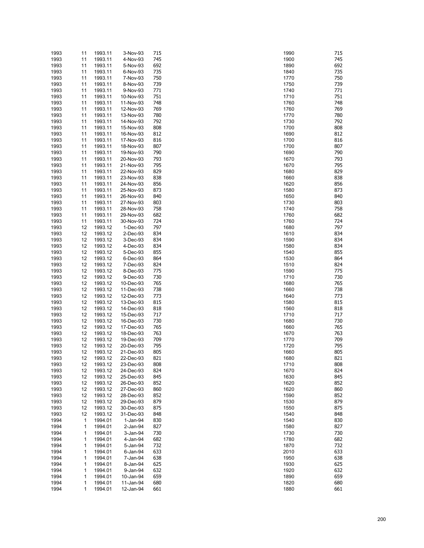| 1993 | 11 | 1993.11 | 3-Nov-93       | 715 | 1990 | 715 |
|------|----|---------|----------------|-----|------|-----|
| 1993 | 11 | 1993.11 | 4-Nov-93       | 745 | 1900 | 745 |
| 1993 | 11 | 1993.11 | 5-Nov-93       | 692 | 1890 | 692 |
| 1993 | 11 | 1993.11 | 6-Nov-93       | 735 | 1840 | 735 |
| 1993 | 11 | 1993.11 | 7-Nov-93       | 750 | 1770 | 750 |
| 1993 | 11 | 1993.11 | 8-Nov-93       | 739 | 1750 | 739 |
|      |    |         | 9-Nov-93       | 771 | 1740 | 771 |
| 1993 | 11 | 1993.11 |                |     |      |     |
| 1993 | 11 | 1993.11 | 10-Nov-93      | 751 | 1710 | 751 |
| 1993 | 11 | 1993.11 | 11-Nov-93      | 748 | 1760 | 748 |
| 1993 | 11 | 1993.11 | 12-Nov-93      | 769 | 1760 | 769 |
| 1993 | 11 | 1993.11 | 13-Nov-93      | 780 | 1770 | 780 |
| 1993 | 11 | 1993.11 | 14-Nov-93      | 792 | 1730 | 792 |
| 1993 | 11 | 1993.11 | 15-Nov-93      | 808 | 1700 | 808 |
| 1993 | 11 | 1993.11 | 16-Nov-93      | 812 | 1690 | 812 |
| 1993 | 11 | 1993.11 | 17-Nov-93      | 816 | 1700 | 816 |
| 1993 | 11 | 1993.11 | 18-Nov-93      | 807 | 1700 | 807 |
|      |    |         |                |     |      |     |
| 1993 | 11 | 1993.11 | 19-Nov-93      | 790 | 1690 | 790 |
| 1993 | 11 | 1993.11 | 20-Nov-93      | 793 | 1670 | 793 |
| 1993 | 11 | 1993.11 | 21-Nov-93      | 795 | 1670 | 795 |
| 1993 | 11 | 1993.11 | 22-Nov-93      | 829 | 1680 | 829 |
| 1993 | 11 | 1993.11 | 23-Nov-93      | 838 | 1660 | 838 |
| 1993 | 11 | 1993.11 | 24-Nov-93      | 856 | 1620 | 856 |
| 1993 | 11 | 1993.11 | 25-Nov-93      | 873 | 1580 | 873 |
| 1993 | 11 | 1993.11 | 26-Nov-93      | 840 | 1650 | 840 |
| 1993 | 11 | 1993.11 | 27-Nov-93      | 803 | 1730 | 803 |
|      |    |         |                |     |      |     |
| 1993 | 11 | 1993.11 | 28-Nov-93      | 758 | 1740 | 758 |
| 1993 | 11 | 1993.11 | 29-Nov-93      | 682 | 1760 | 682 |
| 1993 | 11 | 1993.11 | 30-Nov-93      | 724 | 1760 | 724 |
| 1993 | 12 | 1993.12 | 1-Dec-93       | 797 | 1680 | 797 |
| 1993 | 12 | 1993.12 | 2-Dec-93       | 834 | 1610 | 834 |
| 1993 | 12 | 1993.12 | 3-Dec-93       | 834 | 1590 | 834 |
| 1993 | 12 | 1993.12 | 4-Dec-93       | 834 | 1580 | 834 |
| 1993 | 12 | 1993.12 | 5-Dec-93       | 855 | 1540 | 855 |
| 1993 | 12 | 1993.12 | 6-Dec-93       | 864 | 1530 | 864 |
|      |    |         |                |     |      |     |
| 1993 | 12 | 1993.12 | 7-Dec-93       | 824 | 1510 | 824 |
| 1993 | 12 | 1993.12 | 8-Dec-93       | 775 | 1590 | 775 |
| 1993 | 12 | 1993.12 | 9-Dec-93       | 730 | 1710 | 730 |
| 1993 | 12 | 1993.12 | 10-Dec-93      | 765 | 1680 | 765 |
| 1993 | 12 | 1993.12 | 11-Dec-93      | 738 | 1660 | 738 |
| 1993 | 12 | 1993.12 | 12-Dec-93      | 773 | 1640 | 773 |
| 1993 | 12 | 1993.12 | 13-Dec-93      | 815 | 1580 | 815 |
| 1993 | 12 | 1993.12 | 14-Dec-93      | 818 | 1560 | 818 |
| 1993 | 12 | 1993.12 | 15-Dec-93      | 717 | 1710 | 717 |
|      |    |         |                |     |      |     |
| 1993 | 12 | 1993.12 | 16-Dec-93      | 730 | 1680 | 730 |
| 1993 | 12 | 1993.12 | 17-Dec-93      | 765 | 1660 | 765 |
| 1993 | 12 | 1993.12 | 18-Dec-93      | 763 | 1670 | 763 |
| 1993 | 12 | 1993.12 | 19-Dec-93      | 709 | 1770 | 709 |
| 1993 | 12 | 1993.12 | 20-Dec-93      | 795 | 1720 | 795 |
| 1993 | 12 | 1993.12 | 21-Dec-93      | 805 | 1660 | 805 |
| 1993 | 12 | 1993.12 | 22-Dec-93      | 821 | 1680 | 821 |
| 1993 | 12 | 1993.12 | 23-Dec-93      | 808 | 1710 | 808 |
| 1993 | 12 | 1993.12 | 24-Dec-93      | 824 | 1670 | 824 |
|      |    |         |                |     |      | 845 |
| 1993 | 12 | 1993.12 | 25-Dec-93      | 845 | 1630 |     |
| 1993 | 12 | 1993.12 | 26-Dec-93      | 852 | 1620 | 852 |
| 1993 | 12 | 1993.12 | 27-Dec-93      | 860 | 1620 | 860 |
| 1993 | 12 | 1993.12 | 28-Dec-93      | 852 | 1590 | 852 |
| 1993 | 12 | 1993.12 | 29-Dec-93      | 879 | 1530 | 879 |
| 1993 | 12 | 1993.12 | 30-Dec-93      | 875 | 1550 | 875 |
| 1993 | 12 | 1993.12 | 31-Dec-93      | 848 | 1540 | 848 |
| 1994 | 1  | 1994.01 | 1-Jan-94       | 830 | 1540 | 830 |
|      | 1  |         | $2$ -Jan- $94$ |     |      |     |
| 1994 |    | 1994.01 |                | 827 | 1580 | 827 |
| 1994 | 1  | 1994.01 | 3-Jan-94       | 730 | 1730 | 730 |
| 1994 | 1  | 1994.01 | 4-Jan-94       | 682 | 1780 | 682 |
| 1994 | 1  | 1994.01 | 5-Jan-94       | 732 | 1870 | 732 |
| 1994 | 1  | 1994.01 | 6-Jan-94       | 633 | 2010 | 633 |
| 1994 | 1  | 1994.01 | 7-Jan-94       | 638 | 1950 | 638 |
| 1994 | 1  | 1994.01 | 8-Jan-94       | 625 | 1930 | 625 |
| 1994 | 1  | 1994.01 | 9-Jan-94       | 632 | 1920 | 632 |
| 1994 | 1  | 1994.01 | 10-Jan-94      | 659 | 1890 | 659 |
|      | 1  |         |                | 680 |      | 680 |
| 1994 |    | 1994.01 | 11-Jan-94      |     | 1820 |     |
| 1994 | 1  | 1994.01 | 12-Jan-94      | 661 | 1880 | 661 |

| 990          | 71       |
|--------------|----------|
| 900          | 74       |
| 890          | 69       |
| 840          | 73       |
| 770          | 75       |
| 750          | 73       |
| 740          | 77       |
| 1710         | 75       |
| 760<br> 760  | 74<br>76 |
| 770          | 78       |
| 730          | 79       |
| 700          | 80       |
| 690          | 81       |
| 700          | 81       |
| 700          | 80       |
| 690          | 79       |
| 670          | 79       |
| 670          | 79       |
| 680          | 82       |
| 660          | 83       |
| 620<br>580   | 85       |
| 650          | 87<br>84 |
| 730          | 80       |
| 740          | 75       |
| 760          | 68       |
| 760          | 72       |
| 680          | 79       |
| 610          | 83       |
| 590          | 83       |
| 580          | 83       |
| 540          | 85       |
| 530          | 86       |
| 510          | 82       |
| 590<br>710   | 77<br>73 |
| 680          | 76       |
| 660          | 73       |
| 640          | 77       |
| 580          | 81       |
| 560          | 81       |
| 1710         | 71       |
| 680          | 73       |
| 660          | 76       |
| 670          | 76       |
| 770          | 70       |
| 720          | 79       |
| 660<br>680   | 80<br>82 |
| 710          | 80       |
| 670          | 82       |
| 630          | 84       |
| 620          | 85       |
| 620          | 86       |
| 590          | 85       |
| 530          | 87       |
| 550          | 87       |
| 540          | 84       |
| 540          | 83       |
| 580          | 82       |
| 730          | 73       |
| 780          | 68<br>73 |
| 1870<br>2010 | 63       |
| 950          | 63       |
| 930          | 62       |
| 920          | 63       |
| 890          | 65       |
| 820          | 68       |
| 880          | 66       |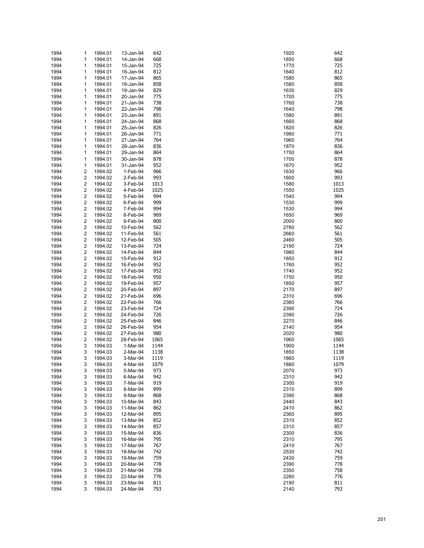| 1994 | 1                       | 1994.01 | 13-Jan-94 | 642  | 1920 | 642  |
|------|-------------------------|---------|-----------|------|------|------|
| 1994 | 1                       | 1994.01 | 14-Jan-94 | 668  | 1850 | 668  |
| 1994 | 1                       |         | 15-Jan-94 | 725  | 1770 | 725  |
|      |                         | 1994.01 |           |      |      |      |
| 1994 | 1                       | 1994.01 | 16-Jan-94 | 812  | 1640 | 812  |
| 1994 | 1                       | 1994.01 | 17-Jan-94 | 865  | 1580 | 865  |
| 1994 | 1                       | 1994.01 | 18-Jan-94 | 858  | 1580 | 858  |
| 1994 | 1                       | 1994.01 | 19-Jan-94 | 829  | 1630 | 829  |
| 1994 | 1                       | 1994.01 | 20-Jan-94 | 775  | 1700 | 775  |
| 1994 | 1                       | 1994.01 | 21-Jan-94 | 738  | 1760 | 738  |
|      |                         |         |           |      |      |      |
| 1994 | 1                       | 1994.01 | 22-Jan-94 | 798  | 1640 | 798  |
| 1994 | 1                       | 1994.01 | 23-Jan-94 | 891  | 1580 | 891  |
| 1994 | 1                       | 1994.01 | 24-Jan-94 | 868  | 1660 | 868  |
| 1994 | 1                       | 1994.01 | 25-Jan-94 | 826  | 1820 | 826  |
| 1994 | 1                       | 1994.01 | 26-Jan-94 | 771  | 1980 | 771  |
|      |                         |         |           |      |      |      |
| 1994 | 1                       | 1994.01 | 27-Jan-94 | 764  | 1960 | 764  |
| 1994 | 1                       | 1994.01 | 28-Jan-94 | 836  | 1870 | 836  |
| 1994 | 1                       | 1994.01 | 29-Jan-94 | 864  | 1750 | 864  |
| 1994 | 1                       | 1994.01 | 30-Jan-94 | 878  | 1700 | 878  |
| 1994 | 1                       | 1994.01 | 31-Jan-94 | 952  | 1670 | 952  |
| 1994 | 2                       | 1994.02 | 1-Feb-94  | 966  | 1630 | 966  |
|      |                         |         |           |      |      |      |
| 1994 | 2                       | 1994.02 | 2-Feb-94  | 993  | 1600 | 993  |
| 1994 | 2                       | 1994.02 | 3-Feb-94  | 1013 | 1580 | 1013 |
| 1994 | $\overline{\mathbf{c}}$ | 1994.02 | 4-Feb-94  | 1025 | 1550 | 1025 |
| 1994 | 2                       | 1994.02 | 5-Feb-94  | 994  | 1540 | 994  |
| 1994 | 2                       | 1994.02 | 6-Feb-94  | 999  | 1530 | 999  |
|      |                         |         |           |      |      | 994  |
| 1994 | 2                       | 1994.02 | 7-Feb-94  | 994  | 1530 |      |
| 1994 | $\overline{\mathbf{c}}$ | 1994.02 | 8-Feb-94  | 969  | 1650 | 969  |
| 1994 | 2                       | 1994.02 | 9-Feb-94  | 800  | 2000 | 800  |
| 1994 | 2                       | 1994.02 | 10-Feb-94 | 562  | 2780 | 562  |
| 1994 | 2                       | 1994.02 | 11-Feb-94 | 561  | 2660 | 561  |
| 1994 | $\overline{\mathbf{c}}$ | 1994.02 | 12-Feb-94 | 505  | 2460 | 505  |
|      |                         |         |           |      |      |      |
| 1994 | 2                       | 1994.02 | 13-Feb-94 | 724  | 2190 | 724  |
| 1994 | 2                       | 1994.02 | 14-Feb-94 | 844  | 1980 | 844  |
| 1994 | 2                       | 1994.02 | 15-Feb-94 | 912  | 1850 | 912  |
| 1994 | $\overline{\mathbf{c}}$ | 1994.02 | 16-Feb-94 | 952  | 1760 | 952  |
| 1994 | 2                       | 1994.02 | 17-Feb-94 | 952  | 1740 | 952  |
|      |                         |         |           |      |      |      |
| 1994 | 2                       | 1994.02 | 18-Feb-94 | 950  | 1750 | 950  |
| 1994 | 2                       | 1994.02 | 19-Feb-94 | 957  | 1850 | 957  |
| 1994 | $\overline{\mathbf{c}}$ | 1994.02 | 20-Feb-94 | 897  | 2170 | 897  |
| 1994 | 2                       | 1994.02 | 21-Feb-94 | 696  | 2310 | 696  |
| 1994 | 2                       | 1994.02 | 22-Feb-94 | 766  | 2360 | 766  |
|      |                         |         |           |      |      | 724  |
| 1994 | 2                       | 1994.02 | 23-Feb-94 | 724  | 2390 |      |
| 1994 | $\overline{\mathbf{c}}$ | 1994.02 | 24-Feb-94 | 726  | 2390 | 726  |
| 1994 | 2                       | 1994.02 | 25-Feb-94 | 846  | 2270 | 846  |
| 1994 | 2                       | 1994.02 | 26-Feb-94 | 954  | 2140 | 954  |
| 1994 | 2                       | 1994.02 | 27-Feb-94 | 980  | 2020 | 980  |
|      | 2                       | 1994.02 | 28-Feb-94 |      | 1960 | 1065 |
| 1994 |                         |         |           | 1065 |      |      |
| 1994 | 3                       | 1994.03 | 1-Mar-94  | 1144 | 1900 | 1144 |
| 1994 | 3                       | 1994.03 | 2-Mar-94  | 1138 | 1850 | 1138 |
| 1994 | 3                       | 1994.03 | 3-Mar-94  | 1119 | 1860 | 1119 |
| 1994 | 3                       | 1994.03 | 4-Mar-94  | 1079 | 1880 | 1079 |
| 1994 | 3                       | 1994.03 | 5-Mar-94  | 973  | 2070 | 973  |
|      |                         |         |           |      |      |      |
| 1994 | 3                       | 1994.03 | 6-Mar-94  | 942  | 2310 | 942  |
| 1994 | 3                       | 1994.03 | 7-Mar-94  | 919  | 2300 | 919  |
| 1994 | 3                       | 1994.03 | 8-Mar-94  | 899  | 2310 | 899  |
| 1994 | 3                       | 1994.03 | 9-Mar-94  | 868  | 2390 | 868  |
| 1994 | 3                       | 1994.03 | 10-Mar-94 | 843  | 2440 | 843  |
|      |                         |         |           | 862  |      |      |
| 1994 | 3                       | 1994.03 | 11-Mar-94 |      | 2410 | 862  |
| 1994 | 3                       | 1994.03 | 12-Mar-94 | 895  | 2360 | 895  |
| 1994 | 3                       | 1994.03 | 13-Mar-94 | 852  | 2310 | 852  |
| 1994 | 3                       | 1994.03 | 14-Mar-94 | 857  | 2310 | 857  |
| 1994 | 3                       | 1994.03 | 15-Mar-94 | 836  | 2300 | 836  |
| 1994 | 3                       | 1994.03 | 16-Mar-94 | 795  | 2310 | 795  |
|      |                         |         |           |      |      |      |
| 1994 | 3                       | 1994.03 | 17-Mar-94 | 767  | 2410 | 767  |
| 1994 | 3                       | 1994.03 | 18-Mar-94 | 742  | 2530 | 742  |
| 1994 | 3                       | 1994.03 | 19-Mar-94 | 759  | 2430 | 759  |
| 1994 | 3                       | 1994.03 | 20-Mar-94 | 778  | 2390 | 778  |
| 1994 | 3                       | 1994.03 | 21-Mar-94 | 758  | 2350 | 758  |
|      | 3                       |         |           | 776  | 2280 | 776  |
| 1994 |                         | 1994.03 | 22-Mar-94 |      |      |      |
| 1994 | 3                       | 1994.03 | 23-Mar-94 | 811  | 2190 | 811  |
| 1994 | 3                       | 1994.03 | 24-Mar-94 | 793  | 2140 | 793  |

| 920  | 64           |
|------|--------------|
| 850  | 66           |
| 770  | 72           |
| 640  | 81           |
| 580  | 86           |
|      |              |
| 580  | 85           |
| 630  | 82           |
| 700  | 77           |
| 760  | 73           |
| 640  | 79           |
|      |              |
| 580  | 89           |
| 660  | 86           |
| 820  | 82           |
| 980  | 77           |
| 960  | 76           |
| 1870 | 83           |
|      |              |
| 750  | 86           |
| 700  | 87           |
| 670  | 95           |
| 630  | 96           |
| 600  | 99           |
| 580  | 10:          |
|      |              |
| 550  | 102          |
| 540  | 99           |
| 530  | 99           |
| 530  | 99           |
| 650  | 96           |
| 2000 | 80           |
|      |              |
| 2780 | 56           |
| 2660 | 56           |
| 2460 | 50           |
| 190  | 72           |
| 980  | 84           |
| 850  | 91           |
|      |              |
| 1760 | 95           |
| 740  | 95           |
| 750  | 95           |
| 850  | 95           |
| 2170 | 89           |
| 2310 | 69           |
|      |              |
| 2360 | 76           |
| 2390 | 72           |
| 2390 | 72           |
| 270  | 84           |
| 140' | 95           |
| 2020 | 98           |
|      |              |
| 960  | 106          |
| 900  | 114          |
| 850  | 113          |
| 860  | $11^{\circ}$ |
| 880  | 107          |
| 2070 | 97           |
|      |              |
| 2310 | 94           |
| 2300 | 91           |
| 2310 | 89           |
| 2390 | 86           |
| 440  | 84           |
|      |              |
| 2410 | 86           |
| 2360 | 89           |
| 2310 | 85           |
| 2310 | 85           |
| 2300 | 83           |
|      |              |
| 2310 | 79           |
| 2410 | 76           |
| 2530 | 74           |
| 2430 | 75           |
| 2390 | 77           |
| 2350 | 75           |
|      |              |
| 2280 | 77           |
| 190  | 81           |
| 140  | 79           |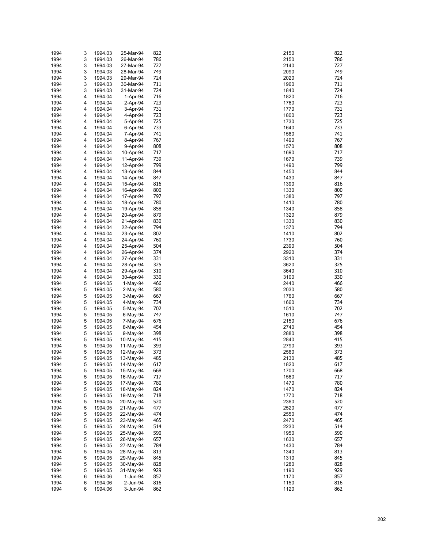| 1994 | 3 | 1994.03 | 25-Mar-94  | 822 | 2150 | 822 |
|------|---|---------|------------|-----|------|-----|
| 1994 | 3 | 1994.03 | 26-Mar-94  | 786 | 2150 | 786 |
| 1994 | 3 | 1994.03 | 27-Mar-94  | 727 | 2140 | 727 |
| 1994 | 3 | 1994.03 | 28-Mar-94  | 749 | 2090 | 749 |
| 1994 | 3 | 1994.03 | 29-Mar-94  | 724 | 2020 | 724 |
| 1994 | 3 | 1994.03 | 30-Mar-94  | 711 | 1960 | 711 |
|      |   |         |            |     |      |     |
| 1994 | 3 | 1994.03 | 31-Mar-94  | 724 | 1840 | 724 |
| 1994 | 4 | 1994.04 | 1-Apr-94   | 716 | 1820 | 716 |
| 1994 | 4 | 1994.04 | 2-Apr-94   | 723 | 1760 | 723 |
| 1994 | 4 | 1994.04 | 3-Apr-94   | 731 | 1770 | 731 |
| 1994 | 4 | 1994.04 | 4-Apr-94   | 723 | 1800 | 723 |
| 1994 | 4 | 1994.04 | 5-Apr-94   | 725 | 1730 | 725 |
|      |   |         |            |     |      |     |
| 1994 | 4 | 1994.04 | 6-Apr-94   | 733 | 1640 | 733 |
| 1994 | 4 | 1994.04 | 7-Apr-94   | 741 | 1580 | 741 |
| 1994 | 4 | 1994.04 | 8-Apr-94   | 767 | 1490 | 767 |
| 1994 | 4 | 1994.04 | 9-Apr-94   | 808 | 1570 | 808 |
| 1994 | 4 | 1994.04 | 10-Apr-94  | 717 | 1690 | 717 |
| 1994 | 4 | 1994.04 | 11-Apr-94  | 739 | 1670 | 739 |
| 1994 | 4 | 1994.04 | 12-Apr-94  | 799 | 1490 | 799 |
|      |   |         |            |     |      |     |
| 1994 | 4 | 1994.04 | 13-Apr-94  | 844 | 1450 | 844 |
| 1994 | 4 | 1994.04 | 14-Apr-94  | 847 | 1430 | 847 |
| 1994 | 4 | 1994.04 | 15-Apr-94  | 816 | 1390 | 816 |
| 1994 | 4 | 1994.04 | 16-Apr-94  | 800 | 1330 | 800 |
| 1994 | 4 | 1994.04 | 17-Apr-94  | 797 | 1380 | 797 |
| 1994 | 4 | 1994.04 | 18-Apr-94  | 780 | 1410 | 780 |
| 1994 | 4 | 1994.04 | 19-Apr-94  | 858 | 1340 | 858 |
|      |   |         |            |     |      |     |
| 1994 | 4 | 1994.04 | 20-Apr-94  | 879 | 1320 | 879 |
| 1994 | 4 | 1994.04 | 21-Apr-94  | 830 | 1330 | 830 |
| 1994 | 4 | 1994.04 | 22-Apr-94  | 794 | 1370 | 794 |
| 1994 | 4 | 1994.04 | 23-Apr-94  | 802 | 1410 | 802 |
| 1994 | 4 | 1994.04 | 24-Apr-94  | 760 | 1730 | 760 |
| 1994 | 4 | 1994.04 | 25-Apr-94  | 504 | 2390 | 504 |
|      |   |         |            | 374 |      |     |
| 1994 | 4 | 1994.04 | 26-Apr-94  |     | 2920 | 374 |
| 1994 | 4 | 1994.04 | 27-Apr-94  | 331 | 3310 | 331 |
| 1994 | 4 | 1994.04 | 28-Apr-94  | 325 | 3620 | 325 |
| 1994 | 4 | 1994.04 | 29-Apr-94  | 310 | 3640 | 310 |
| 1994 | 4 | 1994.04 | 30-Apr-94  | 330 | 3100 | 330 |
| 1994 | 5 | 1994.05 | $1-May-94$ | 466 | 2440 | 466 |
| 1994 | 5 | 1994.05 | 2-May-94   | 580 | 2030 | 580 |
|      | 5 |         |            | 667 |      |     |
| 1994 |   | 1994.05 | 3-May-94   |     | 1760 | 667 |
| 1994 | 5 | 1994.05 | 4-May-94   | 734 | 1660 | 734 |
| 1994 | 5 | 1994.05 | 5-May-94   | 702 | 1510 | 702 |
| 1994 | 5 | 1994.05 | 6-May-94   | 747 | 1610 | 747 |
| 1994 | 5 | 1994.05 | 7-May-94   | 676 | 2150 | 676 |
| 1994 | 5 | 1994.05 | 8-May-94   | 454 | 2740 | 454 |
| 1994 | 5 | 1994.05 | 9-May-94   | 398 | 2880 | 398 |
|      |   |         |            |     |      |     |
| 1994 | 5 | 1994.05 | 10-May-94  | 415 | 2840 | 415 |
| 1994 | 5 | 1994.05 | 11-May-94  | 393 | 2790 | 393 |
| 1994 | 5 | 1994.05 | 12-May-94  | 373 | 2560 | 373 |
| 1994 | 5 | 1994.05 | 13-May-94  | 485 | 2130 | 485 |
| 1994 | 5 | 1994.05 | 14-May-94  | 617 | 1820 | 617 |
| 1994 | 5 | 1994.05 | 15-May-94  | 668 | 1700 | 668 |
| 1994 | 5 | 1994.05 | 16-May-94  | 717 | 1560 | 717 |
|      | 5 |         |            | 780 | 1470 | 780 |
| 1994 |   | 1994.05 | 17-May-94  |     |      |     |
| 1994 | 5 | 1994.05 | 18-May-94  | 824 | 1470 | 824 |
| 1994 | 5 | 1994.05 | 19-May-94  | 718 | 1770 | 718 |
| 1994 | 5 | 1994.05 | 20-May-94  | 520 | 2360 | 520 |
| 1994 | 5 | 1994.05 | 21-May-94  | 477 | 2520 | 477 |
| 1994 | 5 | 1994.05 | 22-May-94  | 474 | 2550 | 474 |
| 1994 | 5 | 1994.05 | 23-May-94  | 465 | 2470 | 465 |
|      |   |         |            |     |      |     |
| 1994 | 5 | 1994.05 | 24-May-94  | 514 | 2230 | 514 |
| 1994 | 5 | 1994.05 | 25-May-94  | 590 | 1950 | 590 |
| 1994 | 5 | 1994.05 | 26-May-94  | 657 | 1630 | 657 |
| 1994 | 5 | 1994.05 | 27-May-94  | 784 | 1430 | 784 |
| 1994 | 5 | 1994.05 | 28-May-94  | 813 | 1340 | 813 |
| 1994 | 5 | 1994.05 | 29-May-94  | 845 | 1310 | 845 |
| 1994 | 5 | 1994.05 | 30-May-94  | 828 | 1280 | 828 |
|      |   |         |            |     |      | 929 |
| 1994 | 5 | 1994.05 | 31-May-94  | 929 | 1190 |     |
| 1994 | 6 | 1994.06 | 1-Jun-94   | 857 | 1170 | 857 |
| 1994 | 6 | 1994.06 | 2-Jun-94   | 816 | 1150 | 816 |
| 1994 | 6 | 1994.06 | 3-Jun-94   | 862 | 1120 | 862 |

| 2150         | 82       |
|--------------|----------|
| 2150         | 78<br>72 |
| 2140<br>2090 | 74       |
| 2020         | 72       |
| 1960         | 71       |
| 1840         | 72       |
| 1820<br>1760 | 71<br>72 |
| 1770         | 73       |
| 1800         | 72       |
| 1730         | 72       |
| 1640<br>1580 | 73<br>74 |
| 1490         | 76       |
| 1570         | 80       |
| 1690         | 71       |
| 1670<br>1490 | 73<br>79 |
| 1450         | 84       |
| 1430         | 84       |
| 1390         | 81       |
| 1330         | 80       |
| 1380<br>1410 | 79<br>78 |
| 1340         | 85       |
| 1320         | 87       |
| 1330         | 83       |
| 1370<br>1410 | 79<br>80 |
| 1730         | 76       |
| 2390         | 50       |
| 2920         | 37       |
| 3310<br>3620 | 33<br>32 |
| 3640         | 31       |
| 3100         | 33       |
| 2440         | 46<br>58 |
| 2030<br>1760 | 66       |
| 1660         | 73       |
| 1510         | 70       |
| 1610<br>2150 | 74<br>67 |
| 2740         | 45       |
| 2880         | 39       |
| 2840         | 41       |
| 2790         | 39<br>37 |
| 2560<br>2130 | 48       |
| 1820         | 61       |
| 1700         | 66       |
| 1560         | 71       |
| 1470<br>1470 | 78<br>82 |
| 1770         | 71       |
| 2360         | 52       |
| 2520         | 47       |
| 2550<br>2470 | 47<br>46 |
| 2230         | 51       |
| 1950         | 59       |
| 1630         | 65       |
| 1430<br>1340 | 78<br>81 |
| 1310         | 84       |
| 1280         | 82       |
| 1190         | 92       |
| 1170<br>1150 | 85<br>81 |
| 1120         | 86       |
|              |          |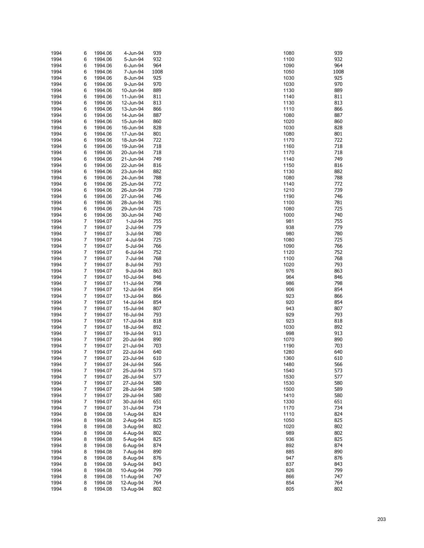| 1994 | 6 | 1994.06 | 4-Jun-94  | 939  | 1080 | 939  |
|------|---|---------|-----------|------|------|------|
| 1994 | 6 | 1994.06 | 5-Jun-94  | 932  | 1100 | 932  |
| 1994 | 6 | 1994.06 | 6-Jun-94  | 964  | 1090 | 964  |
| 1994 | 6 | 1994.06 | 7-Jun-94  | 1008 | 1050 | 1008 |
| 1994 | 6 | 1994.06 | 8-Jun-94  | 925  | 1030 | 925  |
| 1994 | 6 | 1994.06 | 9-Jun-94  | 970  | 1030 | 970  |
| 1994 | 6 | 1994.06 | 10-Jun-94 | 889  | 1130 | 889  |
| 1994 | 6 | 1994.06 | 11-Jun-94 | 811  | 1140 | 811  |
| 1994 | 6 | 1994.06 | 12-Jun-94 | 813  | 1130 | 813  |
| 1994 | 6 | 1994.06 | 13-Jun-94 | 866  | 1110 | 866  |
| 1994 | 6 | 1994.06 | 14-Jun-94 | 887  | 1080 | 887  |
|      |   |         |           | 860  |      | 860  |
| 1994 | 6 | 1994.06 | 15-Jun-94 |      | 1020 |      |
| 1994 | 6 | 1994.06 | 16-Jun-94 | 828  | 1030 | 828  |
| 1994 | 6 | 1994.06 | 17-Jun-94 | 801  | 1080 | 801  |
| 1994 | 6 | 1994.06 | 18-Jun-94 | 722  | 1170 | 722  |
| 1994 | 6 | 1994.06 | 19-Jun-94 | 718  | 1160 | 718  |
| 1994 | 6 | 1994.06 | 20-Jun-94 | 718  | 1170 | 718  |
| 1994 | 6 | 1994.06 | 21-Jun-94 | 749  | 1140 | 749  |
| 1994 | 6 | 1994.06 | 22-Jun-94 | 816  | 1150 | 816  |
| 1994 | 6 | 1994.06 | 23-Jun-94 | 882  | 1130 | 882  |
| 1994 | 6 | 1994.06 | 24-Jun-94 | 788  | 1080 | 788  |
| 1994 | 6 | 1994.06 | 25-Jun-94 | 772  | 1140 | 772  |
| 1994 | 6 | 1994.06 | 26-Jun-94 | 739  | 1210 | 739  |
| 1994 | 6 | 1994.06 | 27-Jun-94 | 746  | 1190 | 746  |
|      |   |         | 28-Jun-94 |      | 1100 | 781  |
| 1994 | 6 | 1994.06 |           | 781  |      |      |
| 1994 | 6 | 1994.06 | 29-Jun-94 | 725  | 1080 | 725  |
| 1994 | 6 | 1994.06 | 30-Jun-94 | 740  | 1000 | 740  |
| 1994 | 7 | 1994.07 | 1-Jul-94  | 755  | 981  | 755  |
| 1994 | 7 | 1994.07 | 2-Jul-94  | 779  | 938  | 779  |
| 1994 | 7 | 1994.07 | 3-Jul-94  | 780  | 980  | 780  |
| 1994 | 7 | 1994.07 | 4-Jul-94  | 725  | 1080 | 725  |
| 1994 | 7 | 1994.07 | 5-Jul-94  | 766  | 1090 | 766  |
| 1994 | 7 | 1994.07 | 6-Jul-94  | 752  | 1120 | 752  |
| 1994 | 7 | 1994.07 | 7-Jul-94  | 768  | 1100 | 768  |
| 1994 | 7 | 1994.07 | 8-Jul-94  | 793  | 1020 | 793  |
| 1994 | 7 | 1994.07 | 9-Jul-94  | 863  | 976  | 863  |
| 1994 | 7 | 1994.07 | 10-Jul-94 | 846  | 964  | 846  |
| 1994 | 7 | 1994.07 | 11-Jul-94 | 798  | 986  | 798  |
| 1994 | 7 | 1994.07 | 12-Jul-94 | 854  | 906  | 854  |
|      |   |         |           |      |      |      |
| 1994 | 7 | 1994.07 | 13-Jul-94 | 866  | 923  | 866  |
| 1994 | 7 | 1994.07 | 14-Jul-94 | 854  | 920  | 854  |
| 1994 | 7 | 1994.07 | 15-Jul-94 | 807  | 943  | 807  |
| 1994 | 7 | 1994.07 | 16-Jul-94 | 793  | 929  | 793  |
| 1994 | 7 | 1994.07 | 17-Jul-94 | 818  | 923  | 818  |
| 1994 | 7 | 1994.07 | 18-Jul-94 | 892  | 1030 | 892  |
| 1994 | 7 | 1994.07 | 19-Jul-94 | 913  | 998  | 913  |
| 1994 | 7 | 1994.07 | 20-Jul-94 | 890  | 1070 | 890  |
| 1994 | 7 | 1994.07 | 21-Jul-94 | 703  | 1190 | 703  |
| 1994 | 7 | 1994.07 | 22-Jul-94 | 640  | 1280 | 640  |
| 1994 | 7 | 1994.07 | 23-Jul-94 | 610  | 1360 | 610  |
| 1994 | 7 | 1994.07 | 24-Jul-94 | 566  | 1480 | 566  |
| 1994 | 7 | 1994.07 | 25-Jul-94 | 573  | 1540 | 573  |
| 1994 | 7 | 1994.07 | 26-Jul-94 | 577  | 1530 | 577  |
| 1994 | 7 | 1994.07 | 27-Jul-94 | 580  | 1530 | 580  |
|      |   |         |           | 589  |      | 589  |
| 1994 | 7 | 1994.07 | 28-Jul-94 |      | 1500 |      |
| 1994 | 7 | 1994.07 | 29-Jul-94 | 580  | 1410 | 580  |
| 1994 | 7 | 1994.07 | 30-Jul-94 | 651  | 1330 | 651  |
| 1994 | 7 | 1994.07 | 31-Jul-94 | 734  | 1170 | 734  |
| 1994 | 8 | 1994.08 | 1-Aug-94  | 824  | 1110 | 824  |
| 1994 | 8 | 1994.08 | 2-Aug-94  | 825  | 1050 | 825  |
| 1994 | 8 | 1994.08 | 3-Aug-94  | 802  | 1020 | 802  |
| 1994 | 8 | 1994.08 | 4-Aug-94  | 802  | 989  | 802  |
| 1994 | 8 | 1994.08 | 5-Aug-94  | 825  | 936  | 825  |
| 1994 | 8 | 1994.08 | 6-Aug-94  | 874  | 892  | 874  |
| 1994 | 8 | 1994.08 | 7-Aug-94  | 890  | 885  | 890  |
| 1994 | 8 | 1994.08 | 8-Aug-94  | 876  | 947  | 876  |
| 1994 | 8 | 1994.08 | 9-Aug-94  | 843  | 837  | 843  |
| 1994 | 8 | 1994.08 | 10-Aug-94 | 799  | 826  | 799  |
| 1994 | 8 | 1994.08 | 11-Aug-94 | 747  | 866  | 747  |
| 1994 | 8 | 1994.08 | 12-Aug-94 | 764  | 854  | 764  |
|      |   |         |           |      |      |      |
| 1994 | 8 | 1994.08 | 13-Aug-94 | 802  | 805  | 802  |

| 080        | 93       |
|------------|----------|
| 100        | 93       |
| 090<br>050 | 96<br>10 |
| 030        | 92       |
| 030        | 97       |
| 130        | 88       |
| 140        | 81       |
| 130        | 81       |
| 110        | 86       |
| 080        | 88       |
| 020        | 86       |
| 030        | 82       |
| 080<br>170 | 80<br>72 |
| 160        | 71       |
| 170        | 71       |
| 140        | 74       |
| 150        | 81       |
| 130        | 88       |
| 080        | 78       |
| 140        | 77       |
| 210        | 73       |
| 190        | 74       |
| 100<br>080 | 78<br>72 |
| 000        | 74       |
| 981        | 75       |
| 938        | 77       |
| 980        | 78       |
| 080        | 72       |
| 090        | 76       |
| 120        | 75       |
| 100        | 76       |
| 020<br>976 | 79<br>86 |
| 964        | 84       |
| 986        | 79       |
| 906        | 85       |
| 923        | 86       |
| 920        | 85       |
| 943        | 80       |
| 929        | 79       |
| 923        | 81<br>89 |
| 030<br>998 | 91       |
| 070        | 89       |
| 190        | 70       |
| 280        | 64       |
| 360        | 61       |
| 480        | 56       |
| 540        | 57       |
| 530        | 57       |
| 530        | 58       |
| 500        | 58       |
| 410<br>330 | 58<br>65 |
| 170        | 73       |
| 110        | 82       |
| 050        | 82       |
| 020        | 80       |
| 989        | 80       |
| 936        | 82       |
| 392        | 87       |
| 885        | 89       |
| 947        | 87       |
| 337<br>826 | 84<br>79 |
| 866        | 74       |
| 854        | 76       |
| 805        | 80       |
|            |          |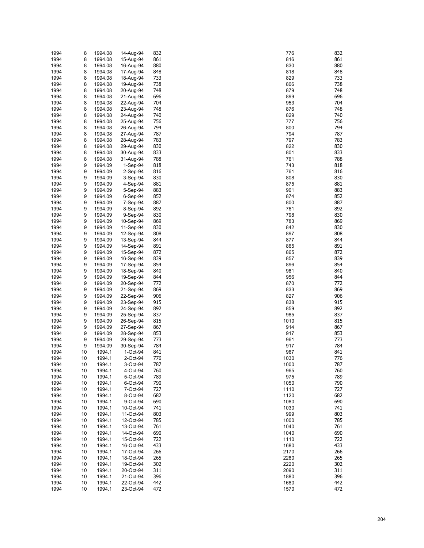| 1994<br>1994<br>1994 |    |         |            |            | 776  | 832        |
|----------------------|----|---------|------------|------------|------|------------|
|                      | 8  | 1994.08 | 14-Aug-94  | 832        |      |            |
|                      | 8  | 1994.08 | 15-Aug-94  | 861        | 816  | 861        |
|                      | 8  | 1994.08 | 16-Aug-94  | 880        | 830  | 880        |
| 1994                 | 8  | 1994.08 | 17-Aug-94  | 848        | 818  | 848        |
|                      |    |         |            |            |      |            |
| 1994                 | 8  | 1994.08 | 18-Aug-94  | 733        | 829  | 733        |
| 1994                 | 8  | 1994.08 | 19-Aug-94  | 738        | 806  | 738        |
| 1994                 | 8  | 1994.08 | 20-Aug-94  | 748        | 879  | 748        |
| 1994                 | 8  | 1994.08 | 21-Aug-94  | 696        | 899  | 696        |
|                      |    |         |            |            |      |            |
| 1994                 | 8  | 1994.08 | 22-Aug-94  | 704        | 953  | 704        |
| 1994                 | 8  | 1994.08 | 23-Aug-94  | 748        | 876  | 748        |
| 1994                 | 8  | 1994.08 | 24-Aug-94  | 740        | 829  | 740        |
| 1994                 | 8  | 1994.08 | 25-Aug-94  | 756        | 777  | 756        |
|                      |    |         |            |            |      |            |
| 1994                 | 8  | 1994.08 | 26-Aug-94  | 794        | 800  | 794        |
| 1994                 | 8  | 1994.08 | 27-Aug-94  | 787        | 794  | 787        |
| 1994                 | 8  | 1994.08 | 28-Aug-94  | 783        | 797  | 783        |
| 1994                 | 8  | 1994.08 | 29-Aug-94  | 830        | 822  | 830        |
|                      |    |         |            |            |      |            |
| 1994                 | 8  | 1994.08 | 30-Aug-94  | 833        | 801  | 833        |
| 1994                 | 8  | 1994.08 | 31-Aug-94  | 788        | 761  | 788        |
| 1994                 | 9  | 1994.09 | $1-Sep-94$ | 818        | 743  | 818        |
| 1994                 | 9  | 1994.09 | $2-Sep-94$ | 816        | 761  | 816        |
|                      |    |         |            |            |      |            |
| 1994                 | 9  | 1994.09 | 3-Sep-94   | 830        | 808  | 830        |
| 1994                 | 9  | 1994.09 | 4-Sep-94   | 881        | 875  | 881        |
| 1994                 | 9  | 1994.09 | 5-Sep-94   | 883        | 901  | 883        |
| 1994                 | 9  | 1994.09 | $6-Sep-94$ | 852        | 874  | 852        |
|                      |    |         |            |            |      |            |
| 1994                 | 9  | 1994.09 | 7-Sep-94   | 887        | 800  | 887        |
| 1994                 | 9  | 1994.09 | 8-Sep-94   | 892        | 761  | 892        |
| 1994                 | 9  | 1994.09 | 9-Sep-94   | 830        | 798  | 830        |
|                      |    |         | 10-Sep-94  |            |      |            |
| 1994                 | 9  | 1994.09 |            | 869        | 783  | 869        |
| 1994                 | 9  | 1994.09 | 11-Sep-94  | 830        | 842  | 830        |
| 1994                 | 9  | 1994.09 | 12-Sep-94  | 808        | 897  | 808        |
| 1994                 | 9  | 1994.09 | 13-Sep-94  | 844        | 877  | 844        |
|                      |    |         |            |            |      |            |
| 1994                 | 9  | 1994.09 | 14-Sep-94  | 891        | 865  | 891        |
| 1994                 | 9  | 1994.09 | 15-Sep-94  | 872        | 865  | 872        |
| 1994                 | 9  | 1994.09 | 16-Sep-94  | 839        | 857  | 839        |
| 1994                 | 9  | 1994.09 | 17-Sep-94  | 854        | 896  | 854        |
|                      |    |         |            |            |      | 840        |
| 1994                 | 9  | 1994.09 | 18-Sep-94  | 840        | 981  |            |
| 1994                 | 9  | 1994.09 | 19-Sep-94  | 844        | 956  | 844        |
| 1994                 | 9  | 1994.09 | 20-Sep-94  | 772        | 870  | 772        |
| 1994                 | 9  | 1994.09 | 21-Sep-94  | 869        | 833  | 869        |
|                      |    |         |            |            |      |            |
| 1994                 | 9  | 1994.09 | 22-Sep-94  | 906        | 827  | 906        |
| 1994                 | 9  | 1994.09 | 23-Sep-94  | 915        | 838  | 915        |
| 1994                 | 9  | 1994.09 | 24-Sep-94  | 892        | 859  | 892        |
| 1994                 | 9  | 1994.09 | 25-Sep-94  | 837        | 985  | 837        |
|                      |    | 1994.09 |            |            |      |            |
| 1994                 | 9  |         | 26-Sep-94  | 815        | 1010 | 815        |
|                      |    |         |            |            | 914  |            |
| 1994                 | 9  | 1994.09 | 27-Sep-94  | 867        |      | 867        |
|                      |    |         | 28-Sep-94  |            |      |            |
| 1994                 | 9  | 1994.09 |            | 853        | 917  | 853        |
| 1994                 | 9  | 1994.09 | 29-Sep-94  | 773        | 961  | 773        |
| 1994                 | 9  | 1994.09 | 30-Sep-94  | 784        | 917  | 784        |
| 1994                 | 10 | 1994.1  | 1-Oct-94   | 841        | 967  | 841        |
| 1994                 | 10 | 1994.1  | 2-Oct-94   | 776        | 1030 | 776        |
|                      |    |         |            |            |      |            |
| 1994                 | 10 | 1994.1  | 3-Oct-94   | 787        | 1000 | 787        |
| 1994                 | 10 | 1994.1  | 4-Oct-94   | 760        | 965  | 760        |
| 1994                 | 10 | 1994.1  | 5-Oct-94   | 789        | 975  | 789        |
| 1994                 | 10 | 1994.1  | 6-Oct-94   | 790        | 1050 | 790        |
|                      |    |         |            |            |      |            |
| 1994                 | 10 | 1994.1  | 7-Oct-94   | 727        | 1110 | 727        |
| 1994                 | 10 | 1994.1  | 8-Oct-94   | 682        | 1120 | 682        |
| 1994                 | 10 | 1994.1  | 9-Oct-94   | 690        | 1080 | 690        |
| 1994                 | 10 | 1994.1  | 10-Oct-94  | 741        | 1030 | 741        |
|                      |    |         |            |            |      |            |
| 1994                 | 10 | 1994.1  | 11-Oct-94  | 803        | 999  | 803        |
| 1994                 | 10 | 1994.1  | 12-Oct-94  | 785        | 1000 | 785        |
| 1994                 | 10 | 1994.1  | 13-Oct-94  | 761        | 1040 | 761        |
| 1994                 | 10 | 1994.1  | 14-Oct-94  | 690        | 1040 | 690        |
|                      |    |         |            |            |      |            |
| 1994                 | 10 | 1994.1  | 15-Oct-94  | 722        | 1110 | 722        |
| 1994                 | 10 | 1994.1  | 16-Oct-94  | 433        | 1680 | 433        |
| 1994                 | 10 | 1994.1  | 17-Oct-94  | 266        | 2170 | 266        |
| 1994                 | 10 | 1994.1  | 18-Oct-94  | 265        | 2280 | 265        |
|                      |    |         |            |            |      |            |
| 1994                 | 10 | 1994.1  | 19-Oct-94  | 302        | 2220 | 302        |
| 1994                 | 10 | 1994.1  | 20-Oct-94  | 311        | 2090 | 311        |
| 1994                 | 10 | 1994.1  | 21-Oct-94  | 396        | 1880 | 396        |
| 1994                 | 10 | 1994.1  | 22-Oct-94  | 442<br>472 | 1680 | 442<br>472 |

| 76         | 83             |
|------------|----------------|
| 316<br>30  | 86<br>88       |
| 318        | 84             |
| 329        | 73             |
| 806        | 73             |
| 379        | 74             |
| 399        | 69             |
| 953<br>376 | 70<br>74       |
| 329        | 74             |
| 77         | 75             |
| 800        | 79             |
| '94        | 78             |
| '97        | 78             |
| 322<br>801 | 83<br>83       |
| 51         | 78             |
| '43        | 81             |
| '61        | 81             |
| 808        | 83             |
| 375        | 88             |
| 10<br>374  | 88<br>85       |
| 800        | 88             |
| '61        | 89             |
| '98        | 83             |
| '83        | 86             |
| 342        | 83             |
| 397<br>377 | 80<br>84       |
| 865        | 89             |
| 865        | $\overline{8}$ |
| 357        | 83             |
| 396        | 85             |
| 181        | 84             |
| 956<br>370 | 84<br>77       |
| 333        | 86             |
| 327        | 90             |
| 338        | 91             |
| 359        | 89             |
| 85<br>10   | 83<br>81       |
| 14         | 86             |
| 917        | 85             |
| 16         | 77             |
| 17         | 78             |
| 967        | 84             |
| )30<br>)00 | 77<br>78       |
| 065        | 76             |
| 975        | 78             |
| 050        | 79             |
| 10         | 72             |
| 20         | 68             |
| 180<br>)30 | 69<br>74       |
| 99         | 80             |
| )00        | 78             |
| 40         | 76             |
| 40         | 69             |
| 10         | 72             |
| 80<br> 70  | 43<br>26       |
| 80'        | 26             |
| 20         | 30             |
| )90        | 31             |
| 80         | 39             |
| 80 s       | 44             |
| 570        | 47             |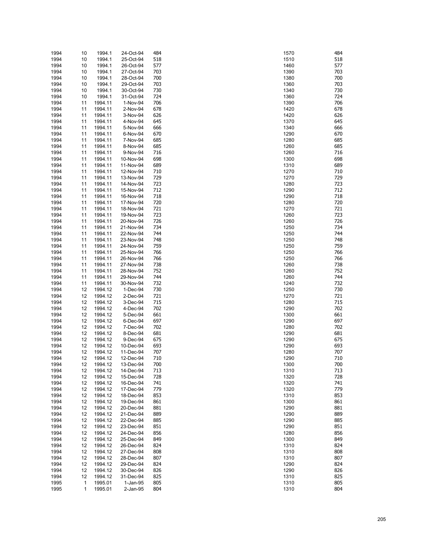| 1994 | 10           | 1994.1  | 24-Oct-94 | 484 | 1570 | 484 |
|------|--------------|---------|-----------|-----|------|-----|
| 1994 | 10           | 1994.1  | 25-Oct-94 | 518 | 1510 | 518 |
| 1994 | 10           | 1994.1  | 26-Oct-94 | 577 | 1460 | 577 |
| 1994 | 10           | 1994.1  | 27-Oct-94 | 703 | 1390 | 703 |
| 1994 | 10           | 1994.1  | 28-Oct-94 | 700 | 1380 | 700 |
| 1994 | 10           | 1994.1  | 29-Oct-94 | 703 | 1360 | 703 |
|      |              |         |           |     |      |     |
| 1994 | 10           | 1994.1  | 30-Oct-94 | 730 | 1340 | 730 |
| 1994 | 10           | 1994.1  | 31-Oct-94 | 724 | 1360 | 724 |
| 1994 | 11           | 1994.11 | 1-Nov-94  | 706 | 1390 | 706 |
| 1994 | 11           | 1994.11 | 2-Nov-94  | 678 | 1420 | 678 |
| 1994 | 11           | 1994.11 | 3-Nov-94  | 626 | 1420 | 626 |
| 1994 |              |         |           | 645 | 1370 | 645 |
|      | 11           | 1994.11 | 4-Nov-94  |     |      |     |
| 1994 | 11           | 1994.11 | 5-Nov-94  | 666 | 1340 | 666 |
| 1994 | 11           | 1994.11 | 6-Nov-94  | 670 | 1290 | 670 |
| 1994 | 11           | 1994.11 | 7-Nov-94  | 685 | 1280 | 685 |
| 1994 | 11           | 1994.11 | 8-Nov-94  | 685 | 1260 | 685 |
| 1994 | 11           | 1994.11 | 9-Nov-94  | 716 | 1260 | 716 |
| 1994 | 11           | 1994.11 | 10-Nov-94 | 698 | 1300 | 698 |
|      |              |         |           |     |      | 689 |
| 1994 | 11           | 1994.11 | 11-Nov-94 | 689 | 1310 |     |
| 1994 | 11           | 1994.11 | 12-Nov-94 | 710 | 1270 | 710 |
| 1994 | 11           | 1994.11 | 13-Nov-94 | 729 | 1270 | 729 |
| 1994 | 11           | 1994.11 | 14-Nov-94 | 723 | 1280 | 723 |
| 1994 | 11           | 1994.11 | 15-Nov-94 | 712 | 1290 | 712 |
| 1994 | 11           | 1994.11 | 16-Nov-94 | 718 | 1290 | 718 |
| 1994 | 11           | 1994.11 | 17-Nov-94 | 720 | 1280 | 720 |
|      |              |         |           |     |      |     |
| 1994 | 11           | 1994.11 | 18-Nov-94 | 721 | 1270 | 721 |
| 1994 | 11           | 1994.11 | 19-Nov-94 | 723 | 1260 | 723 |
| 1994 | 11           | 1994.11 | 20-Nov-94 | 726 | 1260 | 726 |
| 1994 | 11           | 1994.11 | 21-Nov-94 | 734 | 1250 | 734 |
| 1994 | 11           | 1994.11 | 22-Nov-94 | 744 | 1250 | 744 |
| 1994 | 11           | 1994.11 | 23-Nov-94 | 748 | 1250 | 748 |
|      |              |         |           |     |      |     |
| 1994 | 11           | 1994.11 | 24-Nov-94 | 759 | 1250 | 759 |
| 1994 | 11           | 1994.11 | 25-Nov-94 | 766 | 1250 | 766 |
| 1994 | 11           | 1994.11 | 26-Nov-94 | 766 | 1250 | 766 |
| 1994 | 11           | 1994.11 | 27-Nov-94 | 738 | 1260 | 738 |
| 1994 | 11           | 1994.11 | 28-Nov-94 | 752 | 1260 | 752 |
| 1994 | 11           | 1994.11 | 29-Nov-94 | 744 | 1260 | 744 |
|      |              |         |           | 732 | 1240 | 732 |
| 1994 | 11           | 1994.11 | 30-Nov-94 |     |      |     |
| 1994 | 12           | 1994.12 | 1-Dec-94  | 730 | 1250 | 730 |
| 1994 | 12           | 1994.12 | 2-Dec-94  | 721 | 1270 | 721 |
| 1994 | 12           | 1994.12 | 3-Dec-94  | 715 | 1280 | 715 |
| 1994 | 12           | 1994.12 | 4-Dec-94  | 702 | 1290 | 702 |
| 1994 | 12           | 1994.12 | 5-Dec-94  | 661 | 1300 | 661 |
| 1994 | 12           | 1994.12 | 6-Dec-94  | 697 | 1290 | 697 |
|      |              |         |           |     |      |     |
| 1994 | 12           | 1994.12 | 7-Dec-94  | 702 | 1280 | 702 |
| 1994 | 12           | 1994.12 | 8-Dec-94  | 681 | 1290 | 681 |
| 1994 | 12           | 1994.12 | 9-Dec-94  | 675 | 1290 | 675 |
| 1994 | 12           | 1994.12 | 10-Dec-94 | 693 | 1290 | 693 |
| 1994 | 12           | 1994.12 | 11-Dec-94 | 707 | 1280 | 707 |
| 1994 | 12           | 1994.12 | 12-Dec-94 | 710 | 1290 | 710 |
| 1994 | 12           | 1994.12 | 13-Dec-94 | 700 | 1300 | 700 |
|      |              |         |           |     |      |     |
| 1994 | 12           | 1994.12 | 14-Dec-94 | 713 | 1310 | 713 |
| 1994 | 12           | 1994.12 | 15-Dec-94 | 728 | 1320 | 728 |
| 1994 | 12           | 1994.12 | 16-Dec-94 | 741 | 1320 | 741 |
| 1994 | 12           | 1994.12 | 17-Dec-94 | 779 | 1320 | 779 |
| 1994 | 12           | 1994.12 | 18-Dec-94 | 853 | 1310 | 853 |
| 1994 | 12           | 1994.12 | 19-Dec-94 | 861 | 1300 | 861 |
|      |              |         | 20-Dec-94 |     |      |     |
| 1994 | 12           | 1994.12 |           | 881 | 1290 | 881 |
| 1994 | 12           | 1994.12 | 21-Dec-94 | 889 | 1290 | 889 |
| 1994 | 12           | 1994.12 | 22-Dec-94 | 885 | 1290 | 885 |
| 1994 | 12           | 1994.12 | 23-Dec-94 | 851 | 1290 | 851 |
| 1994 | 12           | 1994.12 | 24-Dec-94 | 856 | 1280 | 856 |
| 1994 | 12           | 1994.12 | 25-Dec-94 | 849 | 1300 | 849 |
|      |              | 1994.12 | 26-Dec-94 |     |      | 824 |
| 1994 | 12           |         |           | 824 | 1310 |     |
| 1994 | 12           | 1994.12 | 27-Dec-94 | 808 | 1310 | 808 |
| 1994 | 12           | 1994.12 | 28-Dec-94 | 807 | 1310 | 807 |
| 1994 | 12           | 1994.12 | 29-Dec-94 | 824 | 1290 | 824 |
| 1994 | 12           | 1994.12 | 30-Dec-94 | 826 | 1290 | 826 |
| 1994 | 12           | 1994.12 | 31-Dec-94 | 825 | 1310 | 825 |
| 1995 | 1            | 1995.01 | 1-Jan-95  | 805 | 1310 | 805 |
| 1995 | $\mathbf{1}$ | 1995.01 | 2-Jan-95  | 804 | 1310 | 804 |
|      |              |         |           |     |      |     |

| 570         | 48<br>51 |
|-------------|----------|
| 510<br>460  | 57       |
| 390         | 70       |
| 380         | 70       |
| 360<br>340  | 70<br>73 |
| 360         | 72       |
| 390         | 70       |
| 420         | 67       |
| 420<br>370  | 62<br>64 |
| 340         | 66       |
| 290         | 67       |
| 280<br>260  | 68<br>68 |
| 260         | 71       |
| 300         | 69       |
| 310         | 68       |
| 270<br> 270 | 71<br>72 |
| 280         | 72       |
| 290         | 71       |
| 290         | 71       |
| 280<br> 270 | 72<br>72 |
| 260         | 72       |
| 260         | 72       |
| 250<br> 250 | 73<br>74 |
| 250         | 74       |
| 250         | 75       |
| 250         | 76       |
| 250<br>260  | 76<br>73 |
| 260         | 75       |
| 260         | 74       |
| 240         | 73       |
| 250<br> 270 | 73<br>72 |
| 280         | 71       |
| 290         | 70       |
| 300         | 66       |
| 290<br>280  | 69<br>70 |
| 290         | 68       |
| 290         | 67       |
| 290<br>280  | 69<br>70 |
| 290         | 71       |
| 300         | 70       |
| 310         | 71       |
| 320<br>320  | 72<br>74 |
| 320         | 77       |
| 310         | 85       |
| 300         | 86       |
| 290<br>290  | 88<br>88 |
| 290         | 88       |
| 290         | 85       |
| 280         | 85       |
| 300<br>310  | 84<br>82 |
| 310         | 80       |
| 310         | 80       |
| 290<br>290  | 82<br>82 |
| 310         | 82       |
| 310         | 80       |
| 310         | 80       |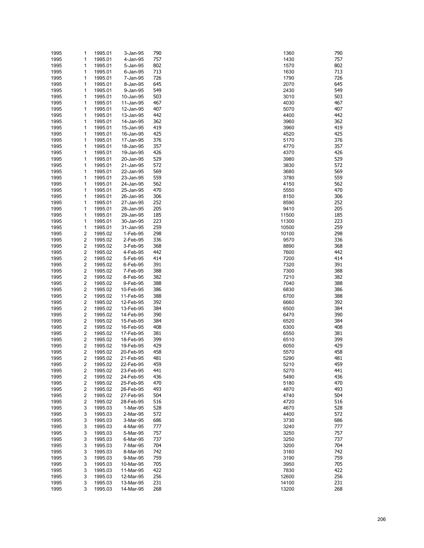| 1995 | 1                       | 1995.01            | 3-Jan-95               | 790 | 1360  | 790        |
|------|-------------------------|--------------------|------------------------|-----|-------|------------|
| 1995 | 1                       | 1995.01            | 4-Jan-95               | 757 | 1430  | 757        |
| 1995 | 1                       | 1995.01            | 5-Jan-95               | 802 | 1570  | 802        |
| 1995 | 1                       | 1995.01            | 6-Jan-95               | 713 | 1630  | 713        |
| 1995 | 1                       | 1995.01            | 7-Jan-95               | 726 | 1790  | 726        |
| 1995 | 1                       | 1995.01            | 8-Jan-95               | 645 | 2070  | 645        |
| 1995 | 1                       | 1995.01            | 9-Jan-95               | 549 | 2430  | 549        |
| 1995 | 1                       | 1995.01            | 10-Jan-95              | 503 | 3010  | 503        |
| 1995 | 1                       | 1995.01            | 11-Jan-95              | 467 | 4030  | 467        |
| 1995 | 1                       | 1995.01            | 12-Jan-95              | 407 | 5070  | 407        |
| 1995 | 1                       | 1995.01            | 13-Jan-95              | 442 | 4400  | 442        |
| 1995 | 1                       | 1995.01            | 14-Jan-95              | 362 | 3960  | 362        |
| 1995 | 1                       | 1995.01            | 15-Jan-95              | 419 | 3960  | 419        |
| 1995 | 1                       | 1995.01            | 16-Jan-95              | 425 | 4520  | 425        |
| 1995 | 1                       | 1995.01            | 17-Jan-95              | 376 | 5170  | 376        |
| 1995 | 1                       | 1995.01            | 18-Jan-95              | 357 | 4770  | 357        |
| 1995 | 1                       | 1995.01            | 19-Jan-95              | 426 | 4370  | 426        |
| 1995 | 1                       | 1995.01            | 20-Jan-95              | 529 | 3980  | 529        |
| 1995 | 1                       | 1995.01            | 21-Jan-95              | 572 | 3830  | 572        |
| 1995 | 1                       | 1995.01            | 22-Jan-95              | 569 | 3680  | 569        |
| 1995 | 1                       | 1995.01            | 23-Jan-95              | 559 | 3780  | 559        |
| 1995 | 1                       | 1995.01            | 24-Jan-95              | 562 | 4150  | 562        |
| 1995 | 1                       | 1995.01            | 25-Jan-95              | 470 | 5550  | 470        |
| 1995 | 1                       | 1995.01            | 26-Jan-95              | 306 | 8150  | 306        |
| 1995 | 1                       | 1995.01            | 27-Jan-95              | 252 | 8590  | 252        |
| 1995 | 1                       | 1995.01            | 28-Jan-95              | 205 | 9410  | 205        |
| 1995 | 1                       | 1995.01            | 29-Jan-95              | 185 | 11500 | 185        |
|      | 1                       |                    |                        | 223 | 11300 | 223        |
| 1995 | 1                       | 1995.01<br>1995.01 | 30-Jan-95<br>31-Jan-95 | 259 | 10500 | 259        |
| 1995 |                         |                    |                        |     | 10100 | 298        |
| 1995 | 2<br>2                  | 1995.02            | 1-Feb-95               | 298 |       |            |
| 1995 |                         | 1995.02            | 2-Feb-95               | 336 | 9570  | 336        |
| 1995 | $\overline{\mathbf{c}}$ | 1995.02            | 3-Feb-95               | 368 | 8890  | 368<br>442 |
| 1995 | 2                       | 1995.02            | 4-Feb-95               | 442 | 7600  |            |
| 1995 | 2                       | 1995.02            | 5-Feb-95               | 414 | 7200  | 414        |
| 1995 | 2                       | 1995.02            | 6-Feb-95               | 391 | 7320  | 391        |
| 1995 | 2                       | 1995.02            | 7-Feb-95               | 388 | 7300  | 388        |
| 1995 | 2                       | 1995.02            | 8-Feb-95               | 382 | 7210  | 382        |
| 1995 | $\overline{\mathbf{c}}$ | 1995.02            | 9-Feb-95               | 388 | 7040  | 388        |
| 1995 | 2                       | 1995.02            | 10-Feb-95              | 386 | 6830  | 386        |
| 1995 | $\overline{\mathbf{c}}$ | 1995.02            | 11-Feb-95              | 388 | 6700  | 388        |
| 1995 | 2                       | 1995.02            | 12-Feb-95              | 392 | 6660  | 392        |
| 1995 | $\overline{\mathbf{c}}$ | 1995.02            | 13-Feb-95              | 384 | 6500  | 384        |
| 1995 | 2                       | 1995.02            | 14-Feb-95              | 390 | 6470  | 390        |
| 1995 | $\overline{\mathbf{c}}$ | 1995.02            | 15-Feb-95              | 384 | 6520  | 384        |
| 1995 | 2                       | 1995.02            | 16-Feb-95              | 408 | 6300  | 408        |
| 1995 | $\overline{\mathbf{c}}$ | 1995.02            | 17-Feb-95              | 381 | 6550  | 381        |
| 1995 | 2                       | 1995.02            | 18-Feb-95              | 399 | 6510  | 399        |
| 1995 | $\overline{\mathbf{c}}$ | 1995.02            | 19-Feb-95              | 429 | 6050  | 429        |
| 1995 | 2                       | 1995.02            | 20-Feb-95              | 458 | 5570  | 458        |
| 1995 | $\overline{2}$          | 1995.02            | 21-Feb-95              | 481 | 5290  | 481        |
| 1995 | 2                       | 1995.02            | 22-Feb-95              | 459 | 5210  | 459        |
| 1995 | $\overline{\mathbf{c}}$ | 1995.02            | 23-Feb-95              | 441 | 5270  | 441        |
| 1995 | 2                       | 1995.02            | 24-Feb-95              | 436 | 5490  | 436        |
| 1995 | 2                       | 1995.02            | 25-Feb-95              | 470 | 5180  | 470        |
| 1995 | 2                       | 1995.02            | 26-Feb-95              | 493 | 4870  | 493        |
| 1995 | 2                       | 1995.02            | 27-Feb-95              | 504 | 4740  | 504        |
| 1995 | 2                       | 1995.02            | 28-Feb-95              | 516 | 4720  | 516        |
| 1995 | 3                       | 1995.03            | 1-Mar-95               | 528 | 4670  | 528        |
| 1995 | 3                       | 1995.03            | 2-Mar-95               | 572 | 4400  | 572        |
| 1995 | 3                       | 1995.03            | 3-Mar-95               | 686 | 3730  | 686        |
| 1995 | 3                       | 1995.03            | 4-Mar-95               | 777 | 3240  | 777        |
| 1995 | 3                       | 1995.03            | 5-Mar-95               | 757 | 3250  | 757        |
| 1995 | 3                       | 1995.03            | 6-Mar-95               | 737 | 3250  | 737        |
| 1995 | 3                       | 1995.03            | 7-Mar-95               | 704 | 3200  | 704        |
| 1995 | 3                       | 1995.03            | 8-Mar-95               | 742 | 3160  | 742        |
| 1995 | 3                       | 1995.03            | 9-Mar-95               | 759 | 3190  | 759        |
| 1995 | 3                       | 1995.03            | 10-Mar-95              | 705 | 3950  | 705        |
| 1995 | 3                       | 1995.03            | 11-Mar-95              | 422 | 7830  | 422        |
| 1995 | 3                       | 1995.03            | 12-Mar-95              | 256 | 12600 | 256        |
| 1995 | 3                       | 1995.03            | 13-Mar-95              | 231 | 14100 | 231        |
| 1995 | 3                       | 1995.03            | 14-Mar-95              | 268 | 13200 | 268        |

| 1360         | 79       |
|--------------|----------|
| 1430         | 75       |
| 1570<br>1630 | 80<br>71 |
| 1790         | 72       |
| 2070         | 64       |
| 2430         | 54       |
| 3010         | 50       |
| 4030         | 46       |
| 5070<br>4400 | 40       |
| 3960         | 44<br>36 |
| 3960         | 41       |
| 4520         | 42       |
| 5170         | 37       |
| 4770         | 35       |
| 4370         | 42<br>52 |
| 3980<br>3830 | 57       |
| 3680         | 56       |
| 3780         | 55       |
| 4150         | 56       |
| 5550         | 47       |
| 3150         | 30       |
| 3590<br>9410 | 25<br>20 |
| 1500         | 18       |
| 1300         | 22       |
| 0500         | 25       |
| 0100         | 29       |
| 9570         | 33       |
| 3890<br>7600 | 36<br>44 |
| 7200         | 41       |
| 7320         | 39       |
| 7300         | 38       |
| 7210         | 38       |
| 7040         | 38       |
| 3830<br>6700 | 38<br>38 |
| 6660         | 39       |
| 3500         | 38       |
| 3470         | 39       |
| 6520         | 38       |
| 3300<br>3550 | 40       |
| 6510         | 38<br>39 |
| 6050         | 42       |
| 5570         | 45       |
| 5290         | 48       |
| 5210         | 45       |
| 5270         | 44       |
| 5490<br>5180 | 43<br>47 |
| 4870         | 49       |
| 4740         | 50       |
| 4720         | 51       |
| 4670         | 52       |
| 4400         | 57       |
| 3730<br>3240 | 68<br>77 |
| 3250         | 75       |
| 3250         | 73       |
| 3200         | 70       |
| 3160         | 74       |
| 3190         | 75       |
| 3950<br>7830 | 70<br>42 |
| 2600         | 25       |
| 4100         | 23       |
| 3200         | 26       |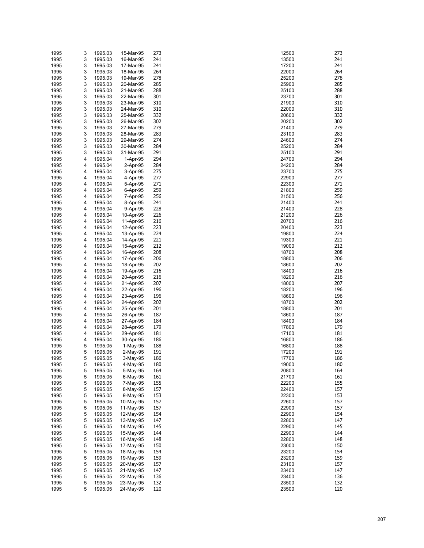| 1995 | 3 | 1995.03 | 15-Mar-95  | 273 | 273<br>12500          |
|------|---|---------|------------|-----|-----------------------|
| 1995 | 3 | 1995.03 | 16-Mar-95  | 241 | 13500<br>241          |
| 1995 | 3 | 1995.03 | 17-Mar-95  | 241 | 17200<br>241          |
| 1995 | 3 | 1995.03 | 18-Mar-95  | 264 | 22000<br>264          |
| 1995 | 3 | 1995.03 | 19-Mar-95  | 278 | 278<br>25200          |
|      |   |         |            |     |                       |
| 1995 | 3 | 1995.03 | 20-Mar-95  | 285 | 25900<br>285          |
| 1995 | 3 | 1995.03 | 21-Mar-95  | 288 | 288<br>25100          |
| 1995 | 3 | 1995.03 | 22-Mar-95  | 301 | 23700<br>301          |
| 1995 | 3 | 1995.03 | 23-Mar-95  | 310 | 310<br>21900          |
| 1995 | 3 | 1995.03 | 24-Mar-95  | 310 | 22000<br>310          |
| 1995 | 3 | 1995.03 | 25-Mar-95  | 332 | 332<br>20600          |
| 1995 | 3 | 1995.03 | 26-Mar-95  | 302 | 20200<br>302          |
| 1995 | 3 | 1995.03 | 27-Mar-95  | 279 | 279<br>21400          |
| 1995 | 3 | 1995.03 | 28-Mar-95  | 283 | 283<br>23100          |
| 1995 | 3 | 1995.03 | 29-Mar-95  | 274 | 274<br>24600          |
| 1995 | 3 | 1995.03 | 30-Mar-95  | 284 | 284<br>25200          |
|      | 3 |         |            | 291 | 291                   |
| 1995 |   | 1995.03 | 31-Mar-95  |     | 25100                 |
| 1995 | 4 | 1995.04 | 1-Apr-95   | 294 | 24700<br>294          |
| 1995 | 4 | 1995.04 | 2-Apr-95   | 284 | 24200<br>284          |
| 1995 | 4 | 1995.04 | 3-Apr-95   | 275 | 23700<br>275          |
| 1995 | 4 | 1995.04 | 4-Apr-95   | 277 | 22900<br>277          |
| 1995 | 4 | 1995.04 | 5-Apr-95   | 271 | 22300<br>271          |
| 1995 | 4 | 1995.04 | 6-Apr-95   | 259 | 259<br>21800          |
| 1995 | 4 | 1995.04 | 7-Apr-95   | 256 | 256<br>21500          |
| 1995 | 4 | 1995.04 | 8-Apr-95   | 241 | 241<br>21400          |
| 1995 | 4 | 1995.04 | 9-Apr-95   | 228 | 228<br>21400          |
| 1995 | 4 | 1995.04 | 10-Apr-95  | 226 | 21200<br>226          |
|      | 4 | 1995.04 | 11-Apr-95  | 216 | 20700<br>216          |
| 1995 |   |         |            |     |                       |
| 1995 | 4 | 1995.04 | 12-Apr-95  | 223 | 223<br>20400          |
| 1995 | 4 | 1995.04 | 13-Apr-95  | 224 | 19800<br>224          |
| 1995 | 4 | 1995.04 | 14-Apr-95  | 221 | 19300<br>221          |
| 1995 | 4 | 1995.04 | 15-Apr-95  | 212 | 19000<br>212          |
| 1995 | 4 | 1995.04 | 16-Apr-95  | 208 | 18700<br>208          |
| 1995 | 4 | 1995.04 | 17-Apr-95  | 206 | 206<br>18800          |
| 1995 | 4 | 1995.04 | 18-Apr-95  | 202 | 202<br>18600          |
| 1995 | 4 | 1995.04 | 19-Apr-95  | 216 | 216<br>18400          |
| 1995 | 4 | 1995.04 | 20-Apr-95  | 216 | 18200<br>216          |
| 1995 | 4 | 1995.04 | 21-Apr-95  | 207 | 207<br>18000          |
|      | 4 |         |            | 196 | 18200<br>196          |
| 1995 |   | 1995.04 | 22-Apr-95  |     |                       |
| 1995 | 4 | 1995.04 | 23-Apr-95  | 196 | 196<br>18600          |
| 1995 | 4 | 1995.04 | 24-Apr-95  | 202 | 18700<br>202          |
| 1995 | 4 | 1995.04 | 25-Apr-95  | 201 | 201<br>18800          |
| 1995 | 4 | 1995.04 | 26-Apr-95  | 187 | 187<br>18600          |
| 1995 | 4 | 1995.04 | 27-Apr-95  | 184 | 184<br>18400          |
| 1995 | 4 | 1995.04 | 28-Apr-95  | 179 | 179<br>17800          |
| 1995 | 4 | 1995.04 | 29-Apr-95  | 181 | 17100<br>181          |
| 1995 | 4 | 1995.04 | 30-Apr-95  | 186 | 186<br>16800          |
| 1995 | 5 | 1995.05 | $1-May-95$ | 188 | 188<br>16800          |
| 1995 | 5 | 1995.05 | $2-Mav-95$ | 191 | 17200<br>191          |
| 1995 | 5 | 1995.05 | 3-May-95   | 186 | 186<br>17700          |
|      |   |         |            |     | 180                   |
| 1995 | 5 | 1995.05 | 4-May-95   | 180 | 19000<br>164<br>20800 |
| 1995 | 5 | 1995.05 | 5-May-95   | 164 |                       |
| 1995 | 5 | 1995.05 | 6-May-95   | 161 | 161<br>21700          |
| 1995 | 5 | 1995.05 | 7-May-95   | 155 | 155<br>22200          |
| 1995 | 5 | 1995.05 | 8-May-95   | 157 | 157<br>22400          |
| 1995 | 5 | 1995.05 | 9-May-95   | 153 | 22300<br>153          |
| 1995 | 5 | 1995.05 | 10-May-95  | 157 | 22600<br>157          |
| 1995 | 5 | 1995.05 | 11-May-95  | 157 | 22900<br>157          |
| 1995 | 5 | 1995.05 | 12-May-95  | 154 | 154<br>22900          |
| 1995 | 5 | 1995.05 | 13-May-95  | 147 | 22800<br>147          |
| 1995 | 5 | 1995.05 | 14-May-95  | 145 | 145<br>22900          |
| 1995 | 5 | 1995.05 | 15-May-95  | 144 | 144<br>22900          |
|      |   |         |            |     | 148                   |
| 1995 | 5 | 1995.05 | 16-May-95  | 148 | 22800                 |
| 1995 | 5 | 1995.05 | 17-May-95  | 150 | 23000<br>150          |
| 1995 | 5 | 1995.05 | 18-May-95  | 154 | 154<br>23200          |
| 1995 | 5 | 1995.05 | 19-May-95  | 159 | 159<br>23200          |
| 1995 | 5 | 1995.05 | 20-May-95  | 157 | 157<br>23100          |
| 1995 | 5 | 1995.05 | 21-May-95  | 147 | 147<br>23400          |
| 1995 | 5 | 1995.05 | 22-May-95  | 136 | 136<br>23400          |
| 1995 | 5 | 1995.05 | 23-May-95  | 132 | 23500<br>132          |
| 1995 | 5 | 1995.05 | 24-May-95  | 120 | 120<br>23500          |

| 2500         | 27.                    |
|--------------|------------------------|
| 3500<br>7200 | 24<br>24               |
| 2000         | 26                     |
| 5200         | 27                     |
| 5900         | 28.                    |
| 5100         | 28¦                    |
| 3700<br>1900 | 30<br>31               |
| 2000         | 31                     |
| 0600         | 33.                    |
| 0200         | 30.                    |
| 1400         | 27 <sub>2</sub><br>28. |
| 3100<br>4600 | 27,                    |
| 5200         | 28                     |
| 5100         | 29                     |
| 4700         | 29<br>28٠              |
| 4200<br>3700 | 27.                    |
| 2900         | 27                     |
| 2300         | 27                     |
| 1800         | 25                     |
| 1500<br>1400 | 25<br>24               |
| 1400         | 22                     |
| 1200         | 22                     |
| 0700         | 21                     |
| 0400<br>9800 | 22.<br>22,             |
| 9300         | 22                     |
| 9000         | 21                     |
| 8700         | 20i                    |
| 8800         | 20                     |
| 8600<br>8400 | 20.<br>21              |
| 8200         | 21(                    |
| 8000         | 20                     |
| 8200         | 19                     |
| 8600<br>8700 | 19<br>20.              |
| 8800         | 20                     |
| 8600         | 18                     |
| 8400         | 18                     |
| 7800<br>7100 | 17 <sub>2</sub><br>18  |
| 6800         | 18                     |
| 6800         | 18                     |
| 7200         | 19                     |
| 7700<br>9000 | 18<br>18               |
| 0800         | 16                     |
| 1700         | 16                     |
| 2200         | 15.                    |
| 2400<br>2300 | 15<br>15               |
| 2600         | 15                     |
| 2900         | 15 <sup>2</sup>        |
| 2900         | 15 <sup>6</sup>        |
| 2800<br>2900 | 14<br>14               |
| 2900         | 14                     |
| 2800         | 14                     |
| 3000         | 15                     |
| 3200         | 15 <sup>6</sup>        |
| 3200<br>3100 | 15<br>15 <sup>2</sup>  |
| 3400         | 14                     |
| 3400         | 13                     |
| 3500         | 13.                    |
| 3500         | 12                     |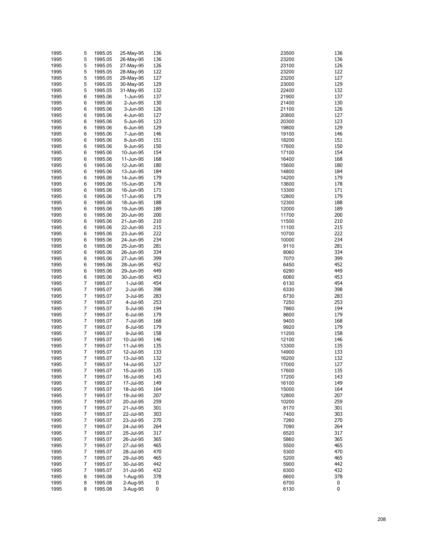| 1995         | 5      | 1995.05            | 25-May-95              | 136        | 23500          | 136        |
|--------------|--------|--------------------|------------------------|------------|----------------|------------|
| 1995         | 5      | 1995.05            | 26-May-95              | 136        | 23200          | 136        |
| 1995         | 5      | 1995.05            | 27-May-95              | 126        | 23100          | 126        |
| 1995         | 5      | 1995.05            | 28-May-95              | 122        | 23200          | 122        |
| 1995         | 5      | 1995.05            | 29-May-95              | 127        | 23200          | 127        |
| 1995         | 5      | 1995.05            | 30-May-95              | 129        | 23000          | 129        |
| 1995         | 5      | 1995.05            | 31-May-95              | 132        | 22400          | 132        |
| 1995         | 6      | 1995.06            | 1-Jun-95               | 137        | 21900          | 137        |
| 1995         | 6      | 1995.06            | 2-Jun-95               | 130        | 21400          | 130        |
| 1995         | 6      | 1995.06            | 3-Jun-95               | 126        | 21100          | 126        |
| 1995         | 6      | 1995.06            | 4-Jun-95               | 127        | 20800          | 127        |
| 1995         | 6      | 1995.06            | 5-Jun-95               | 123        | 20300          | 123<br>129 |
| 1995         | 6      | 1995.06            | 6-Jun-95               | 129        | 19800          | 146        |
| 1995<br>1995 | 6<br>6 | 1995.06<br>1995.06 | 7-Jun-95<br>8-Jun-95   | 146<br>151 | 19100<br>18200 | 151        |
| 1995         | 6      | 1995.06            | 9-Jun-95               | 150        | 17600          | 150        |
| 1995         | 6      | 1995.06            | 10-Jun-95              | 154        | 17100          | 154        |
| 1995         | 6      | 1995.06            | 11-Jun-95              | 168        | 16400          | 168        |
| 1995         | 6      | 1995.06            | 12-Jun-95              | 180        | 15600          | 180        |
| 1995         | 6      | 1995.06            | 13-Jun-95              | 184        | 14800          | 184        |
| 1995         | 6      | 1995.06            | 14-Jun-95              | 179        | 14200          | 179        |
| 1995         | 6      | 1995.06            | 15-Jun-95              | 178        | 13600          | 178        |
| 1995         | 6      | 1995.06            | 16-Jun-95              | 171        | 13300          | 171        |
| 1995         | 6      | 1995.06            | 17-Jun-95              | 179        | 12800          | 179        |
| 1995         | 6      | 1995.06            | 18-Jun-95              | 188        | 12300          | 188        |
| 1995         | 6      | 1995.06            | 19-Jun-95              | 189        | 12000          | 189        |
| 1995         | 6      | 1995.06            | 20-Jun-95              | 200        | 11700          | 200        |
| 1995         | 6      | 1995.06            | 21-Jun-95              | 210        | 11500          | 210        |
| 1995         | 6      | 1995.06            | 22-Jun-95              | 215        | 11100          | 215        |
| 1995         | 6      | 1995.06            | 23-Jun-95              | 222        | 10700          | 222        |
| 1995         | 6      | 1995.06            | 24-Jun-95              | 234        | 10000          | 234        |
| 1995         | 6      | 1995.06            | 25-Jun-95              | 281        | 9110           | 281        |
| 1995         | 6      | 1995.06            | 26-Jun-95              | 334        | 8060           | 334        |
| 1995         | 6      | 1995.06            | 27-Jun-95              | 399        | 7070           | 399        |
| 1995         | 6      | 1995.06            | 28-Jun-95              | 452        | 6450           | 452        |
| 1995         | 6      | 1995.06            | 29-Jun-95              | 449        | 6290           | 449        |
| 1995         | 6<br>7 | 1995.06            | 30-Jun-95              | 453        | 6060           | 453<br>454 |
| 1995<br>1995 | 7      | 1995.07<br>1995.07 | 1-Jul-95<br>2-Jul-95   | 454<br>398 | 6130<br>6330   | 398        |
| 1995         | 7      | 1995.07            | 3-Jul-95               | 283        | 6730           | 283        |
| 1995         | 7      | 1995.07            | 4-Jul-95               | 253        | 7250           | 253        |
| 1995         | 7      | 1995.07            | 5-Jul-95               | 194        | 7860           | 194        |
| 1995         | 7      | 1995.07            | 6-Jul-95               | 179        | 8600           | 179        |
| 1995         | 7      | 1995.07            | 7-Jul-95               | 168        | 9400           | 168        |
| 1995         | 7      | 1995.07            | 8-Jul-95               | 179        | 9920           | 179        |
| 1995         | 7      | 1995.07            | 9-Jul-95               | 158        | 11200          | 158        |
| 1995         | 7      | 1995.07            | 10-Jul-95              | 146        | 12100          | 146        |
| 1995         | 7      | 1995.07            | 11-Jul-95              | 135        | 13300          | 135        |
| 1995         | 7      | 1995.07            | 12-Jul-95              | 133        | 14900          | 133        |
| 1995         | 7      | 1995.07            | 13-Jul-95              | 132        | 16200          | 132        |
| 1995         | 7      | 1995.07            | 14-Jul-95              | 127        | 17000          | 127        |
| 1995         | 7      | 1995.07            | 15-Jul-95              | 135        | 17600          | 135        |
| 1995         | 7      | 1995.07            | 16-Jul-95              | 143        | 17200          | 143        |
| 1995         | 7      | 1995.07            | 17-Jul-95              | 149        | 16100          | 149        |
| 1995         | 7      | 1995.07            | 18-Jul-95              | 164        | 15000          | 164        |
| 1995         | 7      | 1995.07            | 19-Jul-95              | 207        | 12800          | 207        |
| 1995         | 7      | 1995.07            | 20-Jul-95              | 259        | 10200          | 259        |
| 1995         | 7      | 1995.07            | 21-Jul-95              | 301        | 8170           | 301        |
| 1995         | 7      | 1995.07            | 22-Jul-95              | 303        | 7400           | 303        |
| 1995         | 7      | 1995.07            | 23-Jul-95              | 270        | 7260           | 270        |
| 1995<br>1995 | 7<br>7 | 1995.07<br>1995.07 | 24-Jul-95<br>25-Jul-95 | 264<br>317 | 7090<br>6520   | 264<br>317 |
| 1995         | 7      | 1995.07            | 26-Jul-95              | 365        | 5860           | 365        |
| 1995         | 7      | 1995.07            | 27-Jul-95              | 465        | 5500           | 465        |
| 1995         | 7      | 1995.07            | 28-Jul-95              | 470        | 5300           | 470        |
| 1995         | 7      | 1995.07            | 29-Jul-95              | 465        | 5200           | 465        |
| 1995         | 7      | 1995.07            | 30-Jul-95              | 442        | 5900           | 442        |
| 1995         | 7      | 1995.07            | 31-Jul-95              | 432        | 6300           | 432        |
| 1995         | 8      | 1995.08            | 1-Aug-95               | 378        | 6600           | 378        |
| 1995         | 8      | 1995.08            | 2-Aug-95               | 0          | 6700           | 0          |
| 1995         | 8      | 1995.08            | 3-Aug-95               | 0          | 6130           | $\pmb{0}$  |

| 36       | 23500          | 13        |
|----------|----------------|-----------|
| 36       | 23200          | 13        |
| 26       | 23100          | 12        |
| 22       | 23200          | 12        |
| 27       | 23200          | 12        |
| 29       | 23000          | 12        |
| 32       | 22400          | 13        |
| 37       | 21900          | 13        |
| 30       | 21400          | 13        |
| 26       | 21100          | 12        |
| 27<br>23 | 20800          | 12        |
| 29       | 20300<br>19800 | 12<br>12  |
| 46       | 19100          | 14        |
| 51       | 18200          | 15        |
| 50       | 17600          | 15        |
| 54       | 17100          | 15        |
| 68       | 16400          | 16        |
| 80       | 15600          | 18        |
| 84       | 14800          | 18        |
| 79       | 14200          | 17        |
| 78       | 13600          | 17        |
| 71       | 13300          | 17        |
| 79       | 12800          | 17        |
| 88       | 12300          | 18        |
| 89       | 12000          | 18        |
| 00       | 11700          | 20        |
| 10       | 11500          | 21        |
| 15       | 11100          | 21        |
| 22       | 10700          | 22        |
| 34       | 10000          | $23-$     |
| 81       | 9110           | 28        |
| 34       | 8060           | 33        |
| 99       | 7070           | 39        |
| 52<br>49 | 6450<br>6290   | 45<br>44  |
| 53       | 6060           | 45        |
| 54       | 6130           | 45        |
| 98       | 6330           | 39        |
| 83       | 6730           | 28        |
| 53       | 7250           | 25        |
| 94       | 7860           | 19        |
| 79       | 8600           | 17        |
| 68       | 9400           | 16        |
| 79       | 9920           | 17        |
| 58       | 11200          | 15        |
| 46       | 12100          | 14        |
| 35       | 13300          | 13        |
| 33       | 14900          | 13        |
| 32       | 16200          | 13        |
| 27       | 17000          | 12        |
| 35       | 17600          | 13        |
| 43<br>49 | 17200<br>16100 | 14<br>14  |
| 64       | 15000          | 16        |
| 07       | 12800          | 20        |
| 59       | 10200          | 25        |
| 01       | 8170           | 30        |
| 03       | 7400           | 30        |
| 70       | 7260           | 27        |
| 64       | 7090           | 26        |
| 17       | 6520           | 31        |
| 65       | 5860           | 36        |
| 65       | 5500           | 46        |
| 70       | 5300           | 47        |
| 65       | 5200           | 46        |
| 42       | 5900           | 44        |
| 32       | 6300           | 43        |
| 78       | 6600           | 37        |
| 0        | 6700           | 0         |
| 0        | 6130           | $\pmb{0}$ |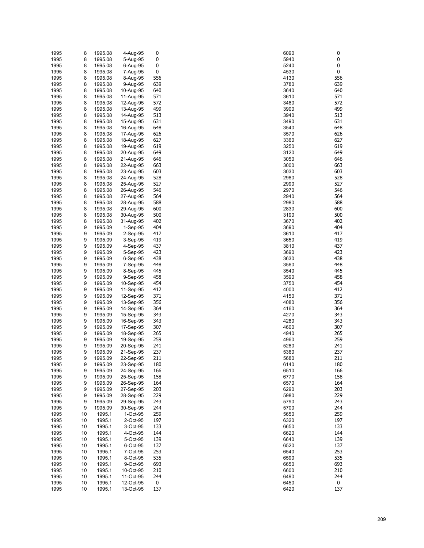| 1995         | 8        | 1995.08            | 4-Aug-95               | 0          | 6090         | 0          |
|--------------|----------|--------------------|------------------------|------------|--------------|------------|
| 1995         | 8        | 1995.08            | 5-Aug-95               | 0          | 5940         | $\pmb{0}$  |
| 1995         | 8        | 1995.08            | 6-Aug-95               | 0          | 5240         | 0          |
| 1995         | 8        | 1995.08            | 7-Aug-95               | 0          | 4530         | 0          |
| 1995         | 8        | 1995.08            | 8-Aug-95               | 556        | 4130         | 556        |
| 1995         | 8        | 1995.08            | 9-Aug-95               | 639        | 3780         | 639        |
| 1995         | 8        | 1995.08            | 10-Aug-95              | 640        | 3640         | 640        |
| 1995         | 8        | 1995.08            | 11-Aug-95              | 571        | 3610         | 571        |
| 1995         | 8        | 1995.08            | 12-Aug-95              | 572        | 3480         | 572        |
| 1995         | 8        | 1995.08            | 13-Aug-95              | 499        | 3900         | 499        |
| 1995         | 8        | 1995.08            | 14-Aug-95              | 513        | 3940         | 513        |
| 1995         | 8        | 1995.08            | 15-Aug-95              | 631        | 3490         | 631<br>648 |
| 1995         | 8        | 1995.08            | 16-Aug-95              | 648        | 3540         |            |
| 1995<br>1995 | 8<br>8   | 1995.08<br>1995.08 | 17-Aug-95<br>18-Aug-95 | 626<br>627 | 3570<br>3360 | 626<br>627 |
| 1995         | 8        | 1995.08            | 19-Aug-95              | 619        | 3250         | 619        |
| 1995         | 8        | 1995.08            | 20-Aug-95              | 649        | 3120         | 649        |
| 1995         | 8        | 1995.08            | 21-Aug-95              | 646        | 3050         | 646        |
| 1995         | 8        | 1995.08            | 22-Aug-95              | 663        | 3000         | 663        |
| 1995         | 8        | 1995.08            | 23-Aug-95              | 603        | 3030         | 603        |
| 1995         | 8        | 1995.08            | 24-Aug-95              | 528        | 2980         | 528        |
| 1995         | 8        | 1995.08            | 25-Aug-95              | 527        | 2990         | 527        |
| 1995         | 8        | 1995.08            | 26-Aug-95              | 546        | 2970         | 546        |
| 1995         | 8        | 1995.08            | 27-Aug-95              | 564        | 2940         | 564        |
| 1995         | 8        | 1995.08            | 28-Aug-95              | 588        | 2980         | 588        |
| 1995         | 8        | 1995.08            | 29-Aug-95              | 600        | 2830         | 600        |
| 1995         | 8        | 1995.08            | 30-Aug-95              | 500        | 3190         | 500        |
| 1995         | 8        | 1995.08            | 31-Aug-95              | 402        | 3670         | 402        |
| 1995         | 9        | 1995.09            | $1-Sep-95$             | 404        | 3690         | 404        |
| 1995         | 9        | 1995.09            | $2-Sep-95$             | 417        | 3610         | 417        |
| 1995         | 9        | 1995.09            | 3-Sep-95               | 419        | 3650         | 419        |
| 1995         | 9        | 1995.09            | 4-Sep-95               | 437        | 3810         | 437        |
| 1995         | 9        | 1995.09            | 5-Sep-95               | 423        | 3690         | 423        |
| 1995         | 9        | 1995.09            | $6-Sep-95$             | 438        | 3630         | 438<br>448 |
| 1995<br>1995 | 9<br>9   | 1995.09<br>1995.09 | 7-Sep-95<br>8-Sep-95   | 448<br>445 | 3560<br>3540 | 445        |
| 1995         | 9        | 1995.09            | 9-Sep-95               | 458        | 3590         | 458        |
| 1995         | 9        | 1995.09            | 10-Sep-95              | 454        | 3750         | 454        |
| 1995         | 9        | 1995.09            | 11-Sep-95              | 412        | 4000         | 412        |
| 1995         | 9        | 1995.09            | 12-Sep-95              | 371        | 4150         | 371        |
| 1995         | 9        | 1995.09            | 13-Sep-95              | 356        | 4080         | 356        |
| 1995         | 9        | 1995.09            | 14-Sep-95              | 364        | 4160         | 364        |
| 1995         | 9        | 1995.09            | 15-Sep-95              | 343        | 4270         | 343        |
| 1995         | 9        | 1995.09            | 16-Sep-95              | 343        | 4280         | 343        |
| 1995         | 9        | 1995.09            | 17-Sep-95              | 307        | 4600         | 307        |
| 1995         | 9        | 1995.09            | 18-Sep-95              | 265        | 4940         | 265        |
| 1995         | 9        | 1995.09            | 19-Sep-95              | 259        | 4960         | 259        |
| 1995         | 9        | 1995.09            | 20-Sep-95              | 241        | 5280         | 241        |
| 1995         | 9        | 1995.09            | 21-Sep-95              | 237        | 5360         | 237        |
| 1995         | 9        | 1995.09            | 22-Sep-95              | 211        | 5680         | 211        |
| 1995         | 9        | 1995.09            | 23-Sep-95              | 180        | 6140         | 180<br>166 |
| 1995<br>1995 | 9<br>9   | 1995.09<br>1995.09 | 24-Sep-95<br>25-Sep-95 | 166<br>158 | 6510<br>6770 | 158        |
| 1995         | 9        | 1995.09            | 26-Sep-95              | 164        | 6570         | 164        |
| 1995         | 9        | 1995.09            | 27-Sep-95              | 203        | 6290         | 203        |
| 1995         | 9        | 1995.09            | 28-Sep-95              | 229        | 5980         | 229        |
| 1995         | 9        | 1995.09            | 29-Sep-95              | 243        | 5790         | 243        |
| 1995         | 9        | 1995.09            | 30-Sep-95              | 244        | 5700         | 244        |
| 1995         | 10       | 1995.1             | 1-Oct-95               | 259        | 5650         | 259        |
| 1995         | 10       | 1995.1             | 2-Oct-95               | 197        | 6320         | 197        |
| 1995         | 10       | 1995.1             | 3-Oct-95               | 133        | 6650         | 133        |
| 1995         | 10       | 1995.1             | 4-Oct-95               | 144        | 6620         | 144        |
| 1995         | 10       | 1995.1             | 5-Oct-95               | 139        | 6640         | 139        |
| 1995         | 10       | 1995.1             | 6-Oct-95               | 137        | 6520         | 137        |
| 1995         | 10       | 1995.1             | 7-Oct-95               | 253        | 6540         | 253        |
| 1995         | 10       | 1995.1             | 8-Oct-95               | 535        | 6590         | 535        |
| 1995         | 10       | 1995.1             | 9-Oct-95               | 693        | 6650         | 693        |
| 1995         | 10       | 1995.1             | 10-Oct-95              | 210        | 6600         | 210        |
| 1995<br>1995 | 10<br>10 | 1995.1<br>1995.1   | 11-Oct-95<br>12-Oct-95 | 244<br>0   | 6490<br>6450 | 244<br>0   |
| 1995         | 10       | 1995.1             | 13-Oct-95              | 137        | 6420         | 137        |
|              |          |                    |                        |            |              |            |

| 6090         | 0               |
|--------------|-----------------|
| 5940<br>5240 | 0<br>0          |
| 1530         | 0               |
| 1130         | 55              |
| 3780<br>3640 | 63<br>64        |
| 3610         | 57              |
| 3480         | 57              |
| 3900         | 49              |
| 3940         | 51              |
| 3490<br>3540 | 63<br>64        |
| 3570         | 62              |
| 3360         | 62              |
| 3250         | 61              |
| 3120<br>3050 | 64<br>64        |
| 3000         | 66              |
| 3030         | 60              |
| 2980         | 52              |
| 2990<br>2970 | 52<br>54        |
| 2940         | 56              |
| 2980         | 58              |
| 2830         | 60              |
| 3190         | 50              |
| 3670<br>3690 | 40<br>40        |
| 3610         | 41              |
| 3650         | 41              |
| 3810         | 43<br>42        |
| 3690<br>3630 | 43              |
| 3560         | 44              |
| 3540         | 44              |
| 3590<br>3750 | 45<br>45        |
| 1000         | 41              |
| 1150         | 37              |
| 1080         | 35              |
| 1160<br>1270 | 36<br>34        |
| 1280         | 34              |
| 1600         | 30              |
| 1940         | 26              |
| 1960<br>5280 | 25<br>24        |
| 5360         | 23              |
| 5680         | $\overline{21}$ |
| 140ۃ         | 18              |
| 3510<br>3770 | 16<br>15        |
| 6570         | 16              |
| 3290         | 20              |
| 5980         | 22              |
| 5790         | 24<br>24        |
| 5700<br>5650 | 25              |
| 3320         | 19              |
| 650          | 13              |
| 620<br>640   | 14<br>13        |
| 3520         | 13              |
| 3540         | 25              |
| 3590         | 53              |
| 6650<br>600  | 69<br>21        |
| 3490         | 24              |
| 6450         | 0               |
| 6420         | 13              |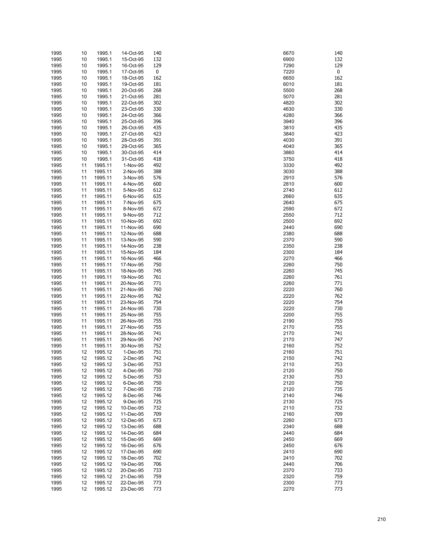| 1995 | 10 | 1995.1             | 14-Oct-95 | 140 | 6670         | 140 |
|------|----|--------------------|-----------|-----|--------------|-----|
| 1995 | 10 | 1995.1             | 15-Oct-95 | 132 | 6900         | 132 |
| 1995 | 10 | 1995.1             | 16-Oct-95 | 129 | 7290         | 129 |
| 1995 | 10 | 1995.1             | 17-Oct-95 | 0   | 7220         | 0   |
| 1995 | 10 | 1995.1             | 18-Oct-95 | 162 | 6650         | 162 |
| 1995 | 10 | 1995.1             | 19-Oct-95 | 181 | 6010         | 181 |
| 1995 | 10 | 1995.1             | 20-Oct-95 | 268 | 5500         | 268 |
| 1995 | 10 | 1995.1             | 21-Oct-95 | 281 | 5070         | 281 |
| 1995 | 10 | 1995.1             | 22-Oct-95 | 302 | 4820         | 302 |
| 1995 | 10 | 1995.1             | 23-Oct-95 | 330 | 4630         | 330 |
| 1995 | 10 | 1995.1             | 24-Oct-95 | 366 | 4280         | 366 |
| 1995 | 10 | 1995.1             | 25-Oct-95 | 396 | 3940         | 396 |
| 1995 | 10 | 1995.1             | 26-Oct-95 | 435 | 3810         | 435 |
| 1995 | 10 | 1995.1             | 27-Oct-95 | 423 | 3840         | 423 |
| 1995 | 10 | 1995.1             | 28-Oct-95 | 391 | 4030         | 391 |
| 1995 | 10 | 1995.1             | 29-Oct-95 | 365 | 4040         | 365 |
| 1995 | 10 | 1995.1             | 30-Oct-95 | 414 | 3860         | 414 |
| 1995 | 10 | 1995.1             | 31-Oct-95 | 418 | 3750         | 418 |
| 1995 | 11 | 1995.11            | 1-Nov-95  | 492 | 3330         | 492 |
| 1995 | 11 | 1995.11            | 2-Nov-95  | 388 | 3030         | 388 |
| 1995 | 11 | 1995.11            | 3-Nov-95  | 576 | 2910         | 576 |
| 1995 | 11 | 1995.11            | 4-Nov-95  | 600 | 2810         | 600 |
| 1995 | 11 | 1995.11            | 5-Nov-95  | 612 | 2740         | 612 |
| 1995 | 11 | 1995.11            | 6-Nov-95  | 635 | 2660         | 635 |
| 1995 | 11 | 1995.11            | 7-Nov-95  | 675 | 2640         | 675 |
| 1995 | 11 | 1995.11            | 8-Nov-95  | 672 | 2590         | 672 |
| 1995 | 11 | 1995.11            | 9-Nov-95  | 712 | 2550         | 712 |
| 1995 | 11 | 1995.11            | 10-Nov-95 | 692 | 2500         | 692 |
| 1995 | 11 | 1995.11            | 11-Nov-95 | 690 | 2440         | 690 |
| 1995 | 11 | 1995.11            | 12-Nov-95 | 688 | 2380         | 688 |
| 1995 | 11 | 1995.11            | 13-Nov-95 | 590 | 2370         | 590 |
| 1995 | 11 | 1995.11            | 14-Nov-95 | 238 | 2350         | 238 |
| 1995 | 11 | 1995.11            | 15-Nov-95 | 184 | 2300         | 184 |
| 1995 | 11 | 1995.11            | 16-Nov-95 | 466 | 2270         | 466 |
| 1995 | 11 | 1995.11            | 17-Nov-95 | 750 | 2260         | 750 |
|      |    |                    |           | 745 | 2260         | 745 |
| 1995 | 11 | 1995.11<br>1995.11 | 18-Nov-95 | 761 | 2260         | 761 |
| 1995 | 11 |                    | 19-Nov-95 |     |              | 771 |
| 1995 | 11 | 1995.11            | 20-Nov-95 | 771 | 2260         |     |
| 1995 | 11 | 1995.11            | 21-Nov-95 | 760 | 2220         | 760 |
| 1995 | 11 | 1995.11            | 22-Nov-95 | 762 | 2220<br>2220 | 762 |
| 1995 | 11 | 1995.11            | 23-Nov-95 | 754 |              | 754 |
| 1995 | 11 | 1995.11            | 24-Nov-95 | 730 | 2220         | 730 |
| 1995 | 11 | 1995.11            | 25-Nov-95 | 755 | 2200         | 755 |
| 1995 | 11 | 1995.11            | 26-Nov-95 | 755 | 2190         | 755 |
| 1995 | 11 | 1995.11            | 27-Nov-95 | 755 | 2170         | 755 |
| 1995 | 11 | 1995.11            | 28-Nov-95 | 741 | 2170         | 741 |
| 1995 | 11 | 1995.11            | 29-Nov-95 | 747 | 2170         | 747 |
| 1995 | 11 | 1995.11            | 30-Nov-95 | 752 | 2160         | 752 |
| 1995 | 12 | 1995.12            | 1-Dec-95  | 751 | 2160         | 751 |
| 1995 | 12 | 1995.12            | 2-Dec-95  | 742 | 2150         | 742 |
| 1995 | 12 | 1995.12            | 3-Dec-95  | 753 | 2110         | 753 |
| 1995 | 12 | 1995.12            | 4-Dec-95  | 750 | 2120         | 750 |
| 1995 | 12 | 1995.12            | 5-Dec-95  | 753 | 2130         | 753 |
| 1995 | 12 | 1995.12            | 6-Dec-95  | 750 | 2120         | 750 |
| 1995 | 12 | 1995.12            | 7-Dec-95  | 735 | 2120         | 735 |
| 1995 | 12 | 1995.12            | 8-Dec-95  | 746 | 2140         | 746 |
| 1995 | 12 | 1995.12            | 9-Dec-95  | 725 | 2130         | 725 |
| 1995 | 12 | 1995.12            | 10-Dec-95 | 732 | 2110         | 732 |
| 1995 | 12 | 1995.12            | 11-Dec-95 | 709 | 2160         | 709 |
| 1995 | 12 | 1995.12            | 12-Dec-95 | 673 | 2260         | 673 |
| 1995 | 12 | 1995.12            | 13-Dec-95 | 688 | 2340         | 688 |
| 1995 | 12 | 1995.12            | 14-Dec-95 | 684 | 2440         | 684 |
| 1995 | 12 | 1995.12            | 15-Dec-95 | 669 | 2450         | 669 |
| 1995 | 12 | 1995.12            | 16-Dec-95 | 676 | 2450         | 676 |
| 1995 | 12 | 1995.12            | 17-Dec-95 | 690 | 2410         | 690 |
| 1995 | 12 | 1995.12            | 18-Dec-95 | 702 | 2410         | 702 |
| 1995 | 12 | 1995.12            | 19-Dec-95 | 706 | 2440         | 706 |
| 1995 | 12 | 1995.12            | 20-Dec-95 | 733 | 2370         | 733 |
| 1995 | 12 | 1995.12            | 21-Dec-95 | 759 | 2320         | 759 |
| 1995 | 12 | 1995.12            | 22-Dec-95 | 773 | 2300         | 773 |
| 1995 | 12 | 1995.12            | 23-Dec-95 | 773 | 2270         | 773 |

| 6670         | 140        |
|--------------|------------|
| 6900<br>7290 | 132<br>129 |
| 7220         | 0          |
| 6650         | 162        |
| 6010         | 181        |
| 5500         | 268        |
| 5070         | 281        |
| 4820<br>4630 | 302<br>330 |
| 4280         | 366        |
| 3940         | 396        |
| 3810         | 435        |
| 3840         | 423        |
| 4030         | 391        |
| 4040         | 365        |
| 3860<br>3750 | 414<br>418 |
| 3330         | 492        |
| 3030         | 388        |
| 2910         | 576        |
| 2810         | 600        |
| 2740         | 612        |
| 2660         | 635        |
| 2640<br>2590 | 675<br>672 |
| 2550         | 712        |
| 2500         | 692        |
| 2440         | 690        |
| 2380         | 688        |
| 2370         | 590        |
| 2350<br>2300 | 238<br>184 |
| 2270         | 466        |
| 2260         | 750        |
| 2260         | 745        |
| 2260         | 761        |
| 2260         | 771        |
| 2220         | 760        |
| 2220<br>2220 | 762<br>754 |
| 2220         | 730        |
| 2200         | 755        |
| 2190         | 755        |
| 2170         | 755        |
| 2170         | 741        |
| 2170         | 747<br>752 |
| 2160<br>2160 | 751        |
| 2150         | 742        |
| 2110         | 753        |
| 2120         | 750        |
| 2130         | 753        |
| 2120         | 750        |
| 2120<br>2140 | 735<br>746 |
| 2130         | 725        |
| 2110         | 732        |
| 2160         | 709        |
| 2260         | 673        |
| 2340         | 688        |
| 2440         | 684        |
| 2450<br>2450 | 669<br>676 |
| 2410         | 690        |
| 2410         | 702        |
| 2440         | 706        |
| 2370         | 733        |
| 2320         | 759        |
| 2300         | 773        |
| 2270         | 773        |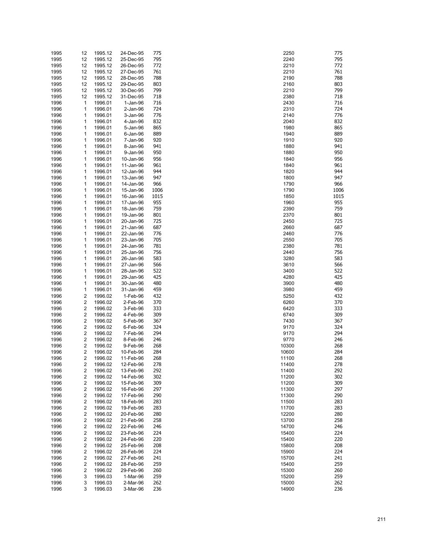| 1995 | 12 | 1995.12 | 24-Dec-95  | 775  | 2250  | 775  |
|------|----|---------|------------|------|-------|------|
| 1995 | 12 | 1995.12 | 25-Dec-95  | 795  | 2240  | 795  |
|      |    |         |            |      |       | 772  |
| 1995 | 12 | 1995.12 | 26-Dec-95  | 772  | 2210  |      |
| 1995 | 12 | 1995.12 | 27-Dec-95  | 761  | 2210  | 761  |
| 1995 | 12 | 1995.12 | 28-Dec-95  | 788  | 2190  | 788  |
| 1995 | 12 | 1995.12 | 29-Dec-95  | 803  | 2160  | 803  |
| 1995 | 12 | 1995.12 | 30-Dec-95  | 799  | 2210  | 799  |
| 1995 | 12 | 1995.12 | 31-Dec-95  | 718  | 2380  | 718  |
|      |    |         |            |      |       |      |
| 1996 | 1  | 1996.01 | $1-Jan-96$ | 716  | 2430  | 716  |
| 1996 | 1  | 1996.01 | 2-Jan-96   | 724  | 2310  | 724  |
| 1996 | 1  | 1996.01 | 3-Jan-96   | 776  | 2140  | 776  |
| 1996 | 1  | 1996.01 | 4-Jan-96   | 832  | 2040  | 832  |
| 1996 | 1  | 1996.01 | 5-Jan-96   | 865  | 1980  | 865  |
|      |    |         |            |      |       | 889  |
| 1996 | 1  | 1996.01 | 6-Jan-96   | 889  | 1940  |      |
| 1996 | 1  | 1996.01 | 7-Jan-96   | 920  | 1910  | 920  |
| 1996 | 1  | 1996.01 | 8-Jan-96   | 941  | 1880  | 941  |
| 1996 | 1  | 1996.01 | 9-Jan-96   | 950  | 1880  | 950  |
| 1996 | 1  | 1996.01 | 10-Jan-96  | 956  | 1840  | 956  |
| 1996 | 1  | 1996.01 | 11-Jan-96  | 961  | 1840  | 961  |
|      |    |         |            |      |       | 944  |
| 1996 | 1  | 1996.01 | 12-Jan-96  | 944  | 1820  |      |
| 1996 | 1  | 1996.01 | 13-Jan-96  | 947  | 1800  | 947  |
| 1996 | 1  | 1996.01 | 14-Jan-96  | 966  | 1790  | 966  |
| 1996 | 1  | 1996.01 | 15-Jan-96  | 1006 | 1790  | 1006 |
| 1996 | 1  | 1996.01 | 16-Jan-96  | 1015 | 1850  | 1015 |
| 1996 | 1  | 1996.01 | 17-Jan-96  | 955  | 1960  | 955  |
|      |    |         |            |      |       |      |
| 1996 | 1  | 1996.01 | 18-Jan-96  | 759  | 2390  | 759  |
| 1996 | 1  | 1996.01 | 19-Jan-96  | 801  | 2370  | 801  |
| 1996 | 1  | 1996.01 | 20-Jan-96  | 725  | 2450  | 725  |
| 1996 | 1  | 1996.01 | 21-Jan-96  | 687  | 2660  | 687  |
| 1996 | 1  | 1996.01 | 22-Jan-96  | 776  | 2460  | 776  |
|      |    |         |            |      |       |      |
| 1996 | 1  | 1996.01 | 23-Jan-96  | 705  | 2550  | 705  |
| 1996 | 1  | 1996.01 | 24-Jan-96  | 781  | 2380  | 781  |
| 1996 | 1  | 1996.01 | 25-Jan-96  | 756  | 2440  | 756  |
| 1996 | 1  | 1996.01 | 26-Jan-96  | 583  | 3280  | 583  |
| 1996 | 1  | 1996.01 | 27-Jan-96  | 566  | 3610  | 566  |
|      | 1  |         |            | 522  | 3400  | 522  |
| 1996 |    | 1996.01 | 28-Jan-96  |      |       |      |
| 1996 | 1  | 1996.01 | 29-Jan-96  | 425  | 4280  | 425  |
| 1996 | 1  | 1996.01 | 30-Jan-96  | 480  | 3900  | 480  |
| 1996 | 1  | 1996.01 | 31-Jan-96  | 459  | 3980  | 459  |
| 1996 | 2  | 1996.02 | 1-Feb-96   | 432  | 5250  | 432  |
| 1996 | 2  | 1996.02 | 2-Feb-96   | 370  | 6260  | 370  |
|      |    |         |            |      |       |      |
| 1996 | 2  | 1996.02 | 3-Feb-96   | 333  | 6420  | 333  |
| 1996 | 2  | 1996.02 | 4-Feb-96   | 309  | 6740  | 309  |
| 1996 | 2  | 1996.02 | 5-Feb-96   | 367  | 7430  | 367  |
| 1996 | 2  | 1996.02 | 6-Feb-96   | 324  | 9170  | 324  |
| 1996 | 2  | 1996.02 | 7-Feb-96   | 294  | 9170  | 294  |
| 1996 | 2  | 1996.02 | 8-Feb-96   | 246  | 9770  | 246  |
|      |    |         |            |      |       |      |
| 1996 | 2  | 1996.02 | 9-Feb-96   | 268  | 10300 | 268  |
| 1996 | 2  | 1996.02 | 10-Feb-96  | 284  | 10600 | 284  |
| 1996 | 2  | 1996.02 | 11-Feb-96  | 268  | 11100 | 268  |
| 1996 | 2  | 1996.02 | 12-Feb-96  | 278  | 11400 | 278  |
| 1996 | 2  | 1996.02 | 13-Feb-96  | 292  | 11400 | 292  |
|      |    |         |            | 302  |       | 302  |
| 1996 | 2  | 1996.02 | 14-Feb-96  |      | 11200 |      |
| 1996 | 2  | 1996.02 | 15-Feb-96  | 309  | 11200 | 309  |
| 1996 | 2  | 1996.02 | 16-Feb-96  | 297  | 11300 | 297  |
| 1996 | 2  | 1996.02 | 17-Feb-96  | 290  | 11300 | 290  |
| 1996 | 2  | 1996.02 | 18-Feb-96  | 283  | 11500 | 283  |
| 1996 | 2  | 1996.02 | 19-Feb-96  | 283  | 11700 | 283  |
|      |    |         |            |      |       |      |
| 1996 | 2  | 1996.02 | 20-Feb-96  | 280  | 12200 | 280  |
| 1996 | 2  | 1996.02 | 21-Feb-96  | 258  | 13700 | 258  |
| 1996 | 2  | 1996.02 | 22-Feb-96  | 246  | 14700 | 246  |
| 1996 | 2  | 1996.02 | 23-Feb-96  | 224  | 15400 | 224  |
| 1996 | 2  | 1996.02 | 24-Feb-96  | 220  | 15400 | 220  |
|      |    |         |            |      |       |      |
| 1996 | 2  | 1996.02 | 25-Feb-96  | 208  | 15800 | 208  |
| 1996 | 2  | 1996.02 | 26-Feb-96  | 224  | 15900 | 224  |
| 1996 | 2  | 1996.02 | 27-Feb-96  | 241  | 15700 | 241  |
| 1996 | 2  | 1996.02 | 28-Feb-96  | 259  | 15400 | 259  |
| 1996 | 2  | 1996.02 | 29-Feb-96  | 260  | 15300 | 260  |
| 1996 | 3  | 1996.03 | 1-Mar-96   | 259  | 15200 | 259  |
|      |    |         |            |      |       |      |
| 1996 | 3  | 1996.03 | 2-Mar-96   | 262  | 15000 | 262  |
| 1996 | 3  | 1996.03 | 3-Mar-96   | 236  | 14900 | 236  |

| 2250 | 77  |
|------|-----|
| 2240 | 79  |
| 2210 | 77. |
| 2210 | 76  |
| 2190 | 78  |
| 2160 | 80  |
|      |     |
| 2210 | 79  |
| 2380 | 71  |
| 2430 | 71  |
| 2310 | 72  |
| 2140 | 77  |
| 2040 | 83. |
| 1980 | 86  |
| 1940 | 88  |
| 1910 | 92  |
| 1880 | 94  |
| 1880 | 95  |
|      |     |
| 1840 | 95  |
| 1840 | 96  |
| 1820 | 94  |
| 1800 | 94  |
| 1790 | 96  |
| 1790 | 100 |
| 1850 | 101 |
| 1960 | 95  |
| 2390 | 75  |
| 2370 | 80  |
|      |     |
| 2450 | 72  |
| 2660 | 68  |
| 2460 | 77  |
| 2550 | 70  |
| 2380 | 78  |
| 2440 | 75  |
| 3280 | 58  |
| 3610 | 56  |
| 3400 | 52  |
| 4280 | 42  |
| 3900 | 48  |
|      |     |
| 3980 | 45  |
| 5250 | 43  |
| 3260 | 37  |
| 3420 | 33. |
| 3740 | 30  |
| 7430 | 36  |
| 9170 | 32  |
| 9170 | 29  |
| 9770 | 24  |
| 0300 | 26  |
|      |     |
| 0000 | 28  |
| 1100 | 26  |
| 1400 | 27  |
| 1400 | 29  |
| 1200 | 30  |
| 1200 | 30  |
| 1300 | 29  |
| 1300 | 29  |
| 1500 | 28  |
|      |     |
| 1700 | 28  |
| 2200 | 28  |
| 3700 | 25  |
| 4700 | 24  |
| 5400 | 22  |
| 5400 | 22  |
| 5800 | 20  |
| 5900 | 22  |
| 5700 | 24  |
| 5400 | 25  |
|      |     |
| 5300 | 26  |
| 5200 | 25  |
| 5000 | 26  |
| 4900 | 23  |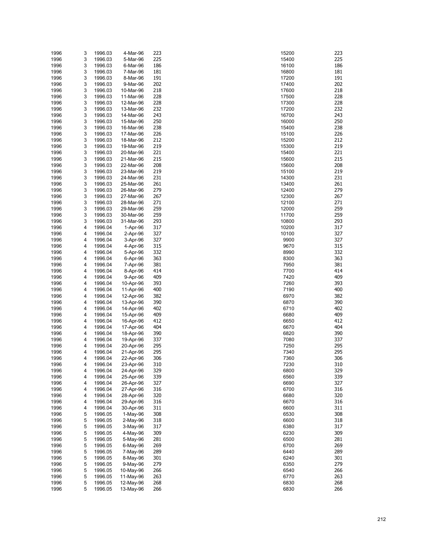| 1996 | 3 | 1996.03 | 4-Mar-96   | 223 | 15200 | 223 |
|------|---|---------|------------|-----|-------|-----|
| 1996 | 3 | 1996.03 | 5-Mar-96   | 225 | 15400 | 225 |
| 1996 | 3 | 1996.03 | 6-Mar-96   | 186 | 16100 | 186 |
| 1996 | 3 | 1996.03 | 7-Mar-96   | 181 | 16800 | 181 |
| 1996 | 3 | 1996.03 | 8-Mar-96   | 191 | 17200 | 191 |
|      |   |         |            |     |       |     |
| 1996 | 3 | 1996.03 | 9-Mar-96   | 202 | 17400 | 202 |
| 1996 | 3 | 1996.03 | 10-Mar-96  | 218 | 17600 | 218 |
| 1996 | 3 | 1996.03 | 11-Mar-96  | 228 | 17500 | 228 |
| 1996 | 3 | 1996.03 | 12-Mar-96  | 228 | 17300 | 228 |
| 1996 | 3 | 1996.03 | 13-Mar-96  | 232 | 17200 | 232 |
| 1996 | 3 | 1996.03 | 14-Mar-96  | 243 | 16700 | 243 |
| 1996 | 3 | 1996.03 | 15-Mar-96  | 250 | 16000 | 250 |
| 1996 | 3 | 1996.03 | 16-Mar-96  | 238 | 15400 | 238 |
| 1996 | 3 | 1996.03 | 17-Mar-96  | 226 | 15100 | 226 |
| 1996 | 3 | 1996.03 | 18-Mar-96  | 212 | 15200 | 212 |
| 1996 | 3 | 1996.03 | 19-Mar-96  | 219 | 15300 | 219 |
|      | 3 |         |            | 221 |       | 221 |
| 1996 |   | 1996.03 | 20-Mar-96  |     | 15400 |     |
| 1996 | 3 | 1996.03 | 21-Mar-96  | 215 | 15600 | 215 |
| 1996 | 3 | 1996.03 | 22-Mar-96  | 208 | 15600 | 208 |
| 1996 | 3 | 1996.03 | 23-Mar-96  | 219 | 15100 | 219 |
| 1996 | 3 | 1996.03 | 24-Mar-96  | 231 | 14300 | 231 |
| 1996 | 3 | 1996.03 | 25-Mar-96  | 261 | 13400 | 261 |
| 1996 | 3 | 1996.03 | 26-Mar-96  | 279 | 12400 | 279 |
| 1996 | 3 | 1996.03 | 27-Mar-96  | 267 | 12300 | 267 |
| 1996 | 3 | 1996.03 | 28-Mar-96  | 271 | 12100 | 271 |
| 1996 | 3 | 1996.03 | 29-Mar-96  | 259 | 12000 | 259 |
| 1996 | 3 | 1996.03 | 30-Mar-96  | 259 | 11700 | 259 |
|      | 3 |         |            | 293 | 10800 | 293 |
| 1996 |   | 1996.03 | 31-Mar-96  |     |       |     |
| 1996 | 4 | 1996.04 | 1-Apr-96   | 317 | 10200 | 317 |
| 1996 | 4 | 1996.04 | 2-Apr-96   | 327 | 10100 | 327 |
| 1996 | 4 | 1996.04 | 3-Apr-96   | 327 | 9900  | 327 |
| 1996 | 4 | 1996.04 | 4-Apr-96   | 315 | 9670  | 315 |
| 1996 | 4 | 1996.04 | 5-Apr-96   | 332 | 8990  | 332 |
| 1996 | 4 | 1996.04 | 6-Apr-96   | 363 | 8300  | 363 |
| 1996 | 4 | 1996.04 | 7-Apr-96   | 381 | 7950  | 381 |
| 1996 | 4 | 1996.04 | 8-Apr-96   | 414 | 7700  | 414 |
| 1996 | 4 | 1996.04 | 9-Apr-96   | 409 | 7420  | 409 |
| 1996 | 4 | 1996.04 | 10-Apr-96  | 393 | 7260  | 393 |
| 1996 | 4 | 1996.04 |            | 400 | 7190  | 400 |
|      |   |         | 11-Apr-96  |     |       |     |
| 1996 | 4 | 1996.04 | 12-Apr-96  | 382 | 6970  | 382 |
| 1996 | 4 | 1996.04 | 13-Apr-96  | 390 | 6870  | 390 |
| 1996 | 4 | 1996.04 | 14-Apr-96  | 402 | 6710  | 402 |
| 1996 | 4 | 1996.04 | 15-Apr-96  | 409 | 6680  | 409 |
| 1996 | 4 | 1996.04 | 16-Apr-96  | 412 | 6650  | 412 |
| 1996 | 4 | 1996.04 | 17-Apr-96  | 404 | 6670  | 404 |
| 1996 | 4 | 1996.04 | 18-Apr-96  | 390 | 6820  | 390 |
| 1996 | 4 | 1996.04 | 19-Apr-96  | 337 | 7080  | 337 |
| 1996 | 4 | 1996.04 | 20-Apr-96  | 295 | 7250  | 295 |
| 1996 | 4 | 1996.04 | 21-Apr-96  | 295 | 7340  | 295 |
| 1996 | 4 | 1996.04 | 22-Apr-96  | 306 | 7360  | 306 |
| 1996 | 4 | 1996.04 | 23-Apr-96  | 310 | 7230  | 310 |
|      |   |         |            |     |       |     |
| 1996 | 4 | 1996.04 | 24-Apr-96  | 329 | 6800  | 329 |
| 1996 | 4 | 1996.04 | 25-Apr-96  | 339 | 6560  | 339 |
| 1996 | 4 | 1996.04 | 26-Apr-96  | 327 | 6690  | 327 |
| 1996 | 4 | 1996.04 | 27-Apr-96  | 316 | 6700  | 316 |
| 1996 | 4 | 1996.04 | 28-Apr-96  | 320 | 6680  | 320 |
| 1996 | 4 | 1996.04 | 29-Apr-96  | 316 | 6670  | 316 |
| 1996 | 4 | 1996.04 | 30-Apr-96  | 311 | 6600  | 311 |
| 1996 | 5 | 1996.05 | 1-May-96   | 308 | 6530  | 308 |
| 1996 | 5 | 1996.05 | $2-May-96$ | 318 | 6600  | 318 |
| 1996 | 5 | 1996.05 | 3-May-96   | 317 | 6380  | 317 |
| 1996 | 5 | 1996.05 | 4-May-96   | 309 | 6230  | 309 |
|      | 5 |         |            | 281 | 6500  | 281 |
| 1996 |   | 1996.05 | 5-May-96   |     |       |     |
| 1996 | 5 | 1996.05 | 6-May-96   | 269 | 6700  | 269 |
| 1996 | 5 | 1996.05 | 7-May-96   | 289 | 6440  | 289 |
| 1996 | 5 | 1996.05 | 8-May-96   | 301 | 6240  | 301 |
| 1996 | 5 | 1996.05 | 9-May-96   | 279 | 6350  | 279 |
| 1996 | 5 | 1996.05 | 10-May-96  | 266 | 6540  | 266 |
| 1996 | 5 | 1996.05 | 11-May-96  | 263 | 6770  | 263 |
| 1996 | 5 | 1996.05 | 12-May-96  | 268 | 6830  | 268 |
| 1996 | 5 | 1996.05 | 13-May-96  | 266 | 6830  | 266 |

| 5200         | 22       |
|--------------|----------|
| 5400         | 22       |
| 100          | 18       |
| 800ء         | 18       |
| 7200<br>7400 | 19<br>20 |
| 7600         | 21       |
| 7500         | 22       |
| 7300         | 22       |
| 7200         | 23.      |
| 3700         | 24       |
| 6000         | 25       |
| 5400         | 23       |
| 5100         | 22       |
| 5200         | 21       |
| 5300         | 21       |
| 5400         | 22       |
| 5600         | 21       |
| 5600         | 20       |
| 5100         | 21       |
| 1300         | 23       |
| 3400         | 26       |
| 2400         | 27       |
| 2300         | 26       |
| 2100         | 27<br>25 |
| 2000<br>1700 | 25       |
| 0080         | 29       |
| )200         | 31       |
| )100         | 32       |
| 9900         | 32       |
| 9670         | 31       |
| 3990         | 33.      |
| 3300         | 36       |
| 7950         | 38       |
| 7700         | 41       |
| 7420         | 40       |
| 7260         | 39       |
| 190          | 40       |
| 3970         | 38       |
| 3870         | 39       |
| 3710         | 40       |
| 680          | 40       |
| 6650         | 41       |
| 670          | 40       |
| 6820         | 39       |
| 7080<br>7250 | 33<br>29 |
| 7340         | 29       |
| 7360         | 30       |
| 7230         | 31       |
| 800ء         | 32       |
| 6560         | 33       |
| 690          | 32       |
| 3700         | 31       |
| 680          | 32       |
| 6670         | 31       |
| 600          | 31       |
| 6530         | 30       |
| 600          | 31       |
| 3380         | 31       |
| 3230         | 30       |
| 6500         | 28       |
| 6700         | 26       |
| 3440         | 28       |
| 3240         | 30       |
| 3350         | 27       |
| 3540         | 26       |
| 3770         | 26       |
| 3830         | 26       |
| 6830         | 26       |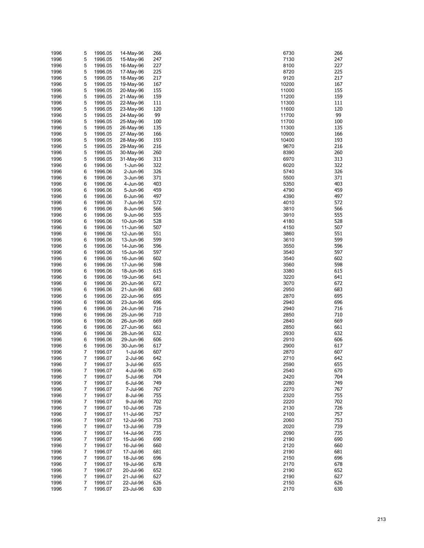| 1996         | 5      | 1996.05            | 14-May-96              | 266        | 6730           | 266        |
|--------------|--------|--------------------|------------------------|------------|----------------|------------|
| 1996         | 5      | 1996.05            | 15-May-96              | 247        | 7130           | 247        |
| 1996         | 5      | 1996.05            | 16-May-96              | 227        | 8100           | 227        |
| 1996         | 5      | 1996.05            | 17-May-96              | 225        | 8720           | 225        |
| 1996         | 5      | 1996.05            | 18-May-96              | 217        | 9120           | 217        |
| 1996         | 5      | 1996.05            | 19-May-96              | 167        | 10200          | 167        |
| 1996         | 5      | 1996.05            | 20-May-96              | 155        | 11000          | 155        |
| 1996         | 5      | 1996.05            | 21-May-96              | 159        | 11200          | 159        |
| 1996         | 5      | 1996.05            | 22-May-96              | 111        | 11300          | 111        |
| 1996         | 5      | 1996.05            | 23-May-96              | 120        | 11600          | 120        |
| 1996         | 5      | 1996.05            | 24-May-96              | 99         | 11700          | 99         |
| 1996         | 5<br>5 | 1996.05<br>1996.05 | 25-May-96              | 100        | 11700          | 100        |
| 1996         | 5      |                    | 26-May-96              | 135<br>166 | 11300<br>10900 | 135<br>166 |
| 1996<br>1996 | 5      | 1996.05<br>1996.05 | 27-May-96<br>28-May-96 | 193        | 10400          | 193        |
| 1996         | 5      | 1996.05            | 29-May-96              | 216        | 9670           | 216        |
| 1996         | 5      | 1996.05            | 30-May-96              | 260        | 8390           | 260        |
| 1996         | 5      | 1996.05            | 31-May-96              | 313        | 6970           | 313        |
| 1996         | 6      | 1996.06            | 1-Jun-96               | 322        | 6020           | 322        |
| 1996         | 6      | 1996.06            | 2-Jun-96               | 326        | 5740           | 326        |
| 1996         | 6      | 1996.06            | 3-Jun-96               | 371        | 5500           | 371        |
| 1996         | 6      | 1996.06            | 4-Jun-96               | 403        | 5350           | 403        |
| 1996         | 6      | 1996.06            | 5-Jun-96               | 459        | 4790           | 459        |
| 1996         | 6      | 1996.06            | 6-Jun-96               | 497        | 4390           | 497        |
| 1996         | 6      | 1996.06            | 7-Jun-96               | 572        | 4010           | 572        |
| 1996         | 6      | 1996.06            | 8-Jun-96               | 566        | 3810           | 566        |
| 1996         | 6      | 1996.06            | 9-Jun-96               | 555        | 3910           | 555        |
| 1996         | 6      | 1996.06            | 10-Jun-96              | 528        | 4180           | 528        |
| 1996         | 6      | 1996.06            | 11-Jun-96              | 507        | 4150           | 507        |
| 1996         | 6      | 1996.06            | 12-Jun-96              | 551        | 3860           | 551        |
| 1996         | 6      | 1996.06            | 13-Jun-96              | 599        | 3610           | 599        |
| 1996         | 6      | 1996.06            | 14-Jun-96              | 596        | 3550           | 596        |
| 1996         | 6      | 1996.06            | 15-Jun-96              | 597        | 3540           | 597        |
| 1996         | 6      | 1996.06            | 16-Jun-96              | 602        | 3540           | 602        |
| 1996         | 6      | 1996.06            | 17-Jun-96              | 598        | 3560           | 598        |
| 1996         | 6      | 1996.06            | 18-Jun-96              | 615        | 3380           | 615        |
| 1996         | 6      | 1996.06            | 19-Jun-96              | 641        | 3220           | 641        |
| 1996         | 6      | 1996.06            | 20-Jun-96              | 672        | 3070           | 672        |
| 1996<br>1996 | 6<br>6 | 1996.06<br>1996.06 | 21-Jun-96<br>22-Jun-96 | 683<br>695 | 2950<br>2870   | 683<br>695 |
| 1996         | 6      | 1996.06            | 23-Jun-96              | 696        | 2940           | 696        |
| 1996         | 6      | 1996.06            | 24-Jun-96              | 716        | 2940           | 716        |
| 1996         | 6      | 1996.06            | 25-Jun-96              | 710        | 2850           | 710        |
| 1996         | 6      | 1996.06            | 26-Jun-96              | 669        | 2840           | 669        |
| 1996         | 6      | 1996.06            | 27-Jun-96              | 661        | 2850           | 661        |
| 1996         | 6      | 1996.06            | 28-Jun-96              | 632        | 2930           | 632        |
| 1996         | 6      | 1996.06            | 29-Jun-96              | 606        | 2910           | 606        |
| 1996         | 6      | 1996.06            | 30-Jun-96              | 617        | 2900           | 617        |
| 1996         | 7      | 1996.07            | 1-Jul-96               | 607        | 2870           | 607        |
| 1996         | 7      | 1996.07            | 2-Jul-96               | 642        | 2710           | 642        |
| 1996         | 7      | 1996.07            | 3-Jul-96               | 655        | 2590           | 655        |
| 1996         | 7      | 1996.07            | 4-Jul-96               | 670        | 2540           | 670        |
| 1996         | 7      | 1996.07            | 5-Jul-96               | 704        | 2420           | 704        |
| 1996         | 7      | 1996.07            | 6-Jul-96               | 749        | 2280           | 749        |
| 1996         | 7      | 1996.07            | 7-Jul-96               | 767        | 2270           | 767        |
| 1996         | 7      | 1996.07            | 8-Jul-96               | 755        | 2320           | 755        |
| 1996         | 7      | 1996.07            | 9-Jul-96               | 702        | 2220           | 702        |
| 1996         | 7      | 1996.07            | 10-Jul-96              | 726        | 2130           | 726        |
| 1996         | 7      | 1996.07            | 11-Jul-96              | 757        | 2100           | 757        |
| 1996         | 7      | 1996.07            | 12-Jul-96              | 753<br>739 | 2060           | 753        |
| 1996         | 7      | 1996.07<br>1996.07 | 13-Jul-96              | 735        | 2020           | 739        |
| 1996         | 7      |                    | 14-Jul-96<br>15-Jul-96 | 690        | 2090           | 735<br>690 |
| 1996<br>1996 | 7<br>7 | 1996.07<br>1996.07 | 16-Jul-96              | 660        | 2190<br>2120   | 660        |
| 1996         | 7      | 1996.07            | 17-Jul-96              | 681        | 2190           | 681        |
| 1996         | 7      | 1996.07            | 18-Jul-96              | 696        | 2150           | 696        |
| 1996         | 7      | 1996.07            | 19-Jul-96              | 678        | 2170           | 678        |
| 1996         | 7      | 1996.07            | 20-Jul-96              | 652        | 2190           | 652        |
| 1996         | 7      | 1996.07            | 21-Jul-96              | 627        | 2190           | 627        |
| 1996         | 7      | 1996.07            | 22-Jul-96              | 626        | 2150           | 626        |
| 1996         | 7      | 1996.07            | 23-Jul-96              | 630        | 2170           | 630        |

| 6730 | 26 |
|------|----|
| 7130 | 24 |
| 8100 | 22 |
|      |    |
| 8720 | 22 |
| 9120 | 21 |
| 0200 | 16 |
|      |    |
| 1000 | 15 |
| 1200 | 15 |
| 1300 | 11 |
|      |    |
| 1600 | 12 |
| 1700 | 99 |
| 1700 | 10 |
|      |    |
| 1300 | 13 |
| 0900 | 16 |
| 0400 | 19 |
|      |    |
| 9670 | 21 |
| 8390 | 26 |
|      |    |
| 6970 | 31 |
| 6020 | 32 |
| 5740 | 32 |
|      |    |
| 5500 | 37 |
| 5350 | 40 |
| 4790 | 45 |
|      |    |
| 4390 | 49 |
| 4010 | 57 |
| 3810 | 56 |
|      |    |
| 3910 | 55 |
| 4180 | 52 |
| 4150 | 50 |
|      |    |
| 3860 | 55 |
| 3610 | 59 |
|      |    |
| 3550 | 59 |
| 3540 | 59 |
| 3540 | 60 |
|      |    |
| 3560 | 59 |
| 3380 | 61 |
| 3220 | 64 |
|      |    |
| 3070 | 67 |
| 2950 | 68 |
| 2870 | 69 |
|      |    |
| 2940 | 69 |
| 2940 | 71 |
|      |    |
| 2850 | 71 |
| 2840 | 66 |
| 2850 | 66 |
|      |    |
| 2930 | 63 |
| 2910 | 60 |
| 2900 | 61 |
|      |    |
| 2870 | 60 |
| 2710 | 64 |
| 2590 | 65 |
|      |    |
| 2540 | 67 |
| 2420 | 70 |
|      |    |
| 2280 | 74 |
| 2270 | 76 |
| 2320 | 75 |
|      |    |
| 2220 | 70 |
| 2130 | 72 |
| 2100 | 75 |
|      |    |
| 2060 | 75 |
| 2020 | 73 |
| 2090 | 73 |
|      |    |
| 2190 | 69 |
| 2120 | 66 |
|      |    |
| 2190 | 68 |
| 2150 | 69 |
| 2170 | 67 |
|      |    |
| 2190 | 65 |
| 2190 | 62 |
| 2150 | 62 |
|      |    |
| 2170 | 63 |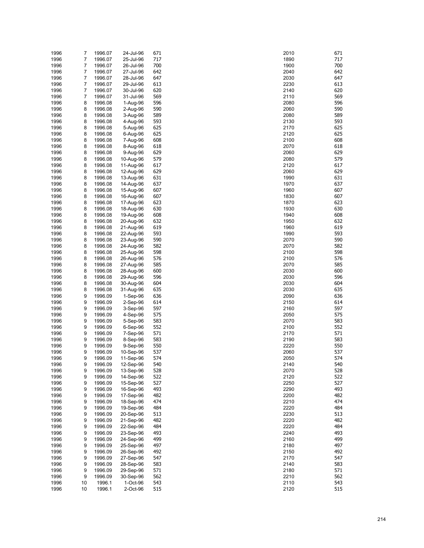| 1996 | 7  | 1996.07 | 24-Jul-96  | 671 | 2010 | 671 |
|------|----|---------|------------|-----|------|-----|
|      |    |         |            |     |      |     |
| 1996 | 7  | 1996.07 | 25-Jul-96  | 717 | 1890 | 717 |
| 1996 | 7  | 1996.07 | 26-Jul-96  | 700 | 1900 | 700 |
| 1996 | 7  | 1996.07 | 27-Jul-96  | 642 | 2040 | 642 |
| 1996 | 7  | 1996.07 | 28-Jul-96  | 647 | 2030 | 647 |
| 1996 | 7  | 1996.07 | 29-Jul-96  | 613 | 2230 | 613 |
|      |    |         |            |     |      |     |
| 1996 | 7  | 1996.07 | 30-Jul-96  | 620 | 2140 | 620 |
| 1996 | 7  | 1996.07 | 31-Jul-96  | 569 | 2110 | 569 |
| 1996 | 8  | 1996.08 | 1-Aug-96   | 596 | 2080 | 596 |
| 1996 | 8  | 1996.08 | 2-Aug-96   | 590 | 2060 | 590 |
| 1996 | 8  | 1996.08 | 3-Aug-96   | 589 | 2080 | 589 |
|      |    |         |            |     |      |     |
| 1996 | 8  | 1996.08 | 4-Aug-96   | 593 | 2130 | 593 |
| 1996 | 8  | 1996.08 | 5-Aug-96   | 625 | 2170 | 625 |
| 1996 | 8  | 1996.08 | 6-Aug-96   | 625 | 2120 | 625 |
| 1996 | 8  | 1996.08 | 7-Aug-96   | 608 | 2100 | 608 |
|      |    |         |            |     |      |     |
| 1996 | 8  | 1996.08 | 8-Aug-96   | 618 | 2070 | 618 |
| 1996 | 8  | 1996.08 | 9-Aug-96   | 629 | 2060 | 629 |
| 1996 | 8  | 1996.08 | 10-Aug-96  | 579 | 2080 | 579 |
| 1996 | 8  | 1996.08 | 11-Aug-96  | 617 | 2120 | 617 |
|      |    |         |            |     |      | 629 |
| 1996 | 8  | 1996.08 | 12-Aug-96  | 629 | 2060 |     |
| 1996 | 8  | 1996.08 | 13-Aug-96  | 631 | 1990 | 631 |
| 1996 | 8  | 1996.08 | 14-Aug-96  | 637 | 1970 | 637 |
| 1996 | 8  | 1996.08 | 15-Aug-96  | 607 | 1960 | 607 |
| 1996 | 8  | 1996.08 | 16-Aug-96  | 607 | 1830 | 607 |
|      |    |         |            |     |      |     |
| 1996 | 8  | 1996.08 | 17-Aug-96  | 623 | 1870 | 623 |
| 1996 | 8  | 1996.08 | 18-Aug-96  | 630 | 1930 | 630 |
| 1996 | 8  | 1996.08 | 19-Aug-96  | 608 | 1940 | 608 |
| 1996 | 8  | 1996.08 | 20-Aug-96  | 632 | 1950 | 632 |
|      |    |         |            |     |      |     |
| 1996 | 8  | 1996.08 | 21-Aug-96  | 619 | 1960 | 619 |
| 1996 | 8  | 1996.08 | 22-Aug-96  | 593 | 1990 | 593 |
| 1996 | 8  | 1996.08 | 23-Aug-96  | 590 | 2070 | 590 |
| 1996 | 8  | 1996.08 | 24-Aug-96  | 582 | 2070 | 582 |
|      | 8  |         |            | 598 | 2100 | 598 |
| 1996 |    | 1996.08 | 25-Aug-96  |     |      |     |
| 1996 | 8  | 1996.08 | 26-Aug-96  | 576 | 2100 | 576 |
| 1996 | 8  | 1996.08 | 27-Aug-96  | 585 | 2070 | 585 |
| 1996 | 8  | 1996.08 | 28-Aug-96  | 600 | 2030 | 600 |
| 1996 | 8  | 1996.08 | 29-Aug-96  | 596 | 2030 | 596 |
|      |    |         |            |     |      |     |
| 1996 | 8  | 1996.08 | 30-Aug-96  | 604 | 2030 | 604 |
| 1996 | 8  | 1996.08 | 31-Aug-96  | 635 | 2030 | 635 |
| 1996 | 9  | 1996.09 | $1-Sep-96$ | 636 | 2090 | 636 |
| 1996 | 9  | 1996.09 | $2-Sep-96$ | 614 | 2150 | 614 |
|      | 9  |         |            | 597 |      | 597 |
| 1996 |    | 1996.09 | $3-Sep-96$ |     | 2160 |     |
| 1996 | 9  | 1996.09 | 4-Sep-96   | 575 | 2050 | 575 |
| 1996 | 9  | 1996.09 | 5-Sep-96   | 583 | 2070 | 583 |
| 1996 | 9  | 1996.09 | $6-Sep-96$ | 552 | 2100 | 552 |
| 1996 | 9  | 1996.09 | 7-Sep-96   | 571 | 2170 | 571 |
|      |    |         |            |     |      |     |
| 1996 | 9  | 1996.09 | 8-Sep-96   | 583 | 2190 | 583 |
| 1996 | 9  | 1996.09 | 9-Sep-96   | 550 | 2220 | 550 |
| 1996 | 9  | 1996.09 | 10-Sep-96  | 537 | 2060 | 537 |
| 1996 | 9  | 1996.09 | 11-Sep-96  | 574 | 2050 | 574 |
| 1996 | 9  | 1996.09 | 12-Sep-96  | 540 | 2140 | 540 |
|      |    |         |            |     |      |     |
| 1996 | 9  | 1996.09 | 13-Sep-96  | 528 | 2070 | 528 |
| 1996 | 9  | 1996.09 | 14-Sep-96  | 522 | 2120 | 522 |
| 1996 | 9  | 1996.09 | 15-Sep-96  | 527 | 2250 | 527 |
| 1996 | 9  | 1996.09 | 16-Sep-96  | 493 | 2290 | 493 |
| 1996 | 9  | 1996.09 | 17-Sep-96  | 482 | 2200 | 482 |
|      |    |         |            |     |      |     |
| 1996 | 9  | 1996.09 | 18-Sep-96  | 474 | 2210 | 474 |
| 1996 | 9  | 1996.09 | 19-Sep-96  | 484 | 2220 | 484 |
| 1996 | 9  | 1996.09 | 20-Sep-96  | 513 | 2230 | 513 |
| 1996 | 9  | 1996.09 | 21-Sep-96  | 482 | 2220 | 482 |
| 1996 | 9  | 1996.09 | 22-Sep-96  | 484 | 2220 | 484 |
|      |    |         |            |     |      |     |
| 1996 | 9  | 1996.09 | 23-Sep-96  | 493 | 2240 | 493 |
| 1996 | 9  | 1996.09 | 24-Sep-96  | 499 | 2160 | 499 |
| 1996 | 9  | 1996.09 | 25-Sep-96  | 497 | 2180 | 497 |
| 1996 | 9  | 1996.09 | 26-Sep-96  | 492 | 2150 | 492 |
|      |    |         |            |     |      |     |
| 1996 | 9  | 1996.09 | 27-Sep-96  | 547 | 2170 | 547 |
| 1996 | 9  | 1996.09 | 28-Sep-96  | 583 | 2140 | 583 |
| 1996 | 9  | 1996.09 | 29-Sep-96  | 571 | 2180 | 571 |
| 1996 | 9  | 1996.09 | 30-Sep-96  | 562 | 2210 | 562 |
| 1996 | 10 | 1996.1  | 1-Oct-96   | 543 | 2110 | 543 |
|      |    |         |            |     |      |     |
| 1996 | 10 | 1996.1  | 2-Oct-96   | 515 | 2120 | 515 |

| 2010 | 67 |
|------|----|
| 1890 | 71 |
|      |    |
| 1900 | 70 |
| 2040 | 64 |
| 2030 | 64 |
|      |    |
| 2230 | 61 |
| 2140 | 62 |
| 2110 | 56 |
|      |    |
| 2080 | 59 |
| 2060 | 59 |
| 2080 | 58 |
|      |    |
| 2130 | 59 |
| 2170 | 62 |
| 2120 | 62 |
|      |    |
| 2100 | 60 |
| 2070 | 61 |
| 2060 | 62 |
|      |    |
| 2080 | 57 |
| 2120 | 61 |
| 2060 | 62 |
|      |    |
| 1990 | 63 |
| 1970 | 63 |
| 1960 | 60 |
|      |    |
| 1830 | 60 |
| 1870 | 62 |
|      | 63 |
| 1930 |    |
| 1940 | 60 |
| 1950 | 63 |
|      |    |
| 1960 | 61 |
| 1990 | 59 |
| 2070 | 59 |
|      |    |
| 2070 | 58 |
| 2100 | 59 |
| 2100 | 57 |
|      |    |
| 2070 | 58 |
| 2030 | 60 |
| 2030 | 59 |
|      |    |
| 2030 | 60 |
| 2030 | 63 |
|      |    |
| 2090 | 63 |
| 2150 | 61 |
| 2160 | 59 |
| 2050 | 57 |
|      |    |
| 2070 | 58 |
| 2100 | 55 |
|      |    |
| 2170 | 57 |
| 2190 | 58 |
| 2220 | 55 |
|      | 53 |
| 2060 |    |
| 2050 | 57 |
| 2140 | 54 |
|      |    |
| 2070 | 52 |
| 2120 | 52 |
| 2250 | 52 |
|      |    |
| 2290 | 49 |
| 2200 | 48 |
| 2210 | 47 |
|      |    |
| 2220 | 48 |
| 2230 | 51 |
| 2220 | 48 |
|      |    |
| 2220 | 48 |
| 2240 | 49 |
| 2160 | 49 |
|      |    |
| 2180 | 49 |
| 2150 | 49 |
| 2170 | 54 |
|      |    |
| 2140 | 58 |
| 2180 | 57 |
| 2210 | 56 |
|      |    |
| 2110 | 54 |
| 2120 | 51 |
|      |    |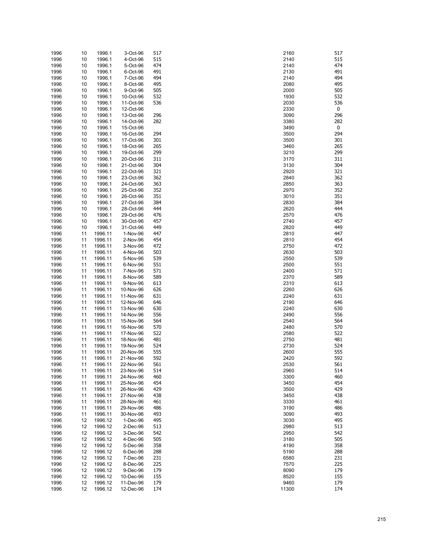| 1996 | 10 | 1996.1  | 3-Oct-96  | 517 | 2160  | 517 |
|------|----|---------|-----------|-----|-------|-----|
| 1996 | 10 | 1996.1  | 4-Oct-96  | 515 | 2140  | 515 |
| 1996 | 10 | 1996.1  | 5-Oct-96  | 474 | 2140  | 474 |
| 1996 | 10 | 1996.1  | 6-Oct-96  | 491 | 2130  | 491 |
| 1996 | 10 | 1996.1  | 7-Oct-96  | 494 | 2140  | 494 |
| 1996 | 10 | 1996.1  | 8-Oct-96  | 495 | 2080  | 495 |
|      |    |         |           |     |       |     |
| 1996 | 10 | 1996.1  | 9-Oct-96  | 505 | 2000  | 505 |
| 1996 | 10 | 1996.1  | 10-Oct-96 | 532 | 1930  | 532 |
| 1996 | 10 | 1996.1  | 11-Oct-96 | 536 | 2030  | 536 |
| 1996 | 10 | 1996.1  | 12-Oct-96 |     | 2330  | 0   |
| 1996 | 10 | 1996.1  | 13-Oct-96 | 296 | 3090  | 296 |
|      |    |         |           |     |       |     |
| 1996 | 10 | 1996.1  | 14-Oct-96 | 282 | 3380  | 282 |
| 1996 | 10 | 1996.1  | 15-Oct-96 |     | 3490  | 0   |
| 1996 | 10 | 1996.1  | 16-Oct-96 | 294 | 3500  | 294 |
| 1996 | 10 | 1996.1  | 17-Oct-96 | 301 | 3500  | 301 |
| 1996 | 10 | 1996.1  | 18-Oct-96 | 265 | 3460  | 265 |
| 1996 | 10 | 1996.1  | 19-Oct-96 | 299 | 3210  | 299 |
|      |    |         |           |     |       |     |
| 1996 | 10 | 1996.1  | 20-Oct-96 | 311 | 3170  | 311 |
| 1996 | 10 | 1996.1  | 21-Oct-96 | 304 | 3130  | 304 |
| 1996 | 10 | 1996.1  | 22-Oct-96 | 321 | 2920  | 321 |
| 1996 | 10 | 1996.1  | 23-Oct-96 | 362 | 2840  | 362 |
| 1996 | 10 | 1996.1  | 24-Oct-96 | 363 | 2850  | 363 |
| 1996 | 10 | 1996.1  | 25-Oct-96 | 352 | 2970  | 352 |
|      |    |         |           |     |       |     |
| 1996 | 10 | 1996.1  | 26-Oct-96 | 351 | 3010  | 351 |
| 1996 | 10 | 1996.1  | 27-Oct-96 | 384 | 2830  | 384 |
| 1996 | 10 | 1996.1  | 28-Oct-96 | 444 | 2620  | 444 |
| 1996 | 10 | 1996.1  | 29-Oct-96 | 476 | 2570  | 476 |
| 1996 | 10 | 1996.1  | 30-Oct-96 | 457 | 2740  | 457 |
| 1996 | 10 | 1996.1  | 31-Oct-96 | 449 | 2820  | 449 |
|      |    |         |           |     |       |     |
| 1996 | 11 | 1996.11 | 1-Nov-96  | 447 | 2810  | 447 |
| 1996 | 11 | 1996.11 | 2-Nov-96  | 454 | 2810  | 454 |
| 1996 | 11 | 1996.11 | 3-Nov-96  | 472 | 2750  | 472 |
| 1996 | 11 | 1996.11 | 4-Nov-96  | 503 | 2630  | 503 |
| 1996 | 11 | 1996.11 | 5-Nov-96  | 539 | 2550  | 539 |
|      |    |         |           | 551 | 2500  | 551 |
| 1996 | 11 | 1996.11 | 6-Nov-96  |     |       |     |
| 1996 | 11 | 1996.11 | 7-Nov-96  | 571 | 2400  | 571 |
| 1996 | 11 | 1996.11 | 8-Nov-96  | 589 | 2370  | 589 |
| 1996 | 11 | 1996.11 | 9-Nov-96  | 613 | 2310  | 613 |
| 1996 | 11 | 1996.11 | 10-Nov-96 | 626 | 2260  | 626 |
| 1996 | 11 | 1996.11 | 11-Nov-96 | 631 | 2240  | 631 |
|      |    |         |           |     | 2190  | 646 |
| 1996 | 11 | 1996.11 | 12-Nov-96 | 646 |       |     |
| 1996 | 11 | 1996.11 | 13-Nov-96 | 630 | 2240  | 630 |
| 1996 | 11 | 1996.11 | 14-Nov-96 | 556 | 2490  | 556 |
| 1996 | 11 | 1996.11 | 15-Nov-96 | 564 | 2540  | 564 |
| 1996 | 11 | 1996.11 | 16-Nov-96 | 570 | 2480  | 570 |
| 1996 | 11 | 1996.11 | 17-Nov-96 | 522 | 2580  | 522 |
|      |    |         |           |     |       |     |
| 1996 | 11 | 1996.11 | 18-Nov-96 | 481 | 2750  | 481 |
| 1996 | 11 | 1996.11 | 19-Nov-96 | 524 | 2730  | 524 |
| 1996 | 11 | 1996.11 | 20-Nov-96 | 555 | 2600  | 555 |
| 1996 | 11 | 1996.11 | 21-Nov-96 | 592 | 2420  | 592 |
| 1996 | 11 | 1996.11 | 22-Nov-96 | 561 | 2530  | 561 |
| 1996 | 11 | 1996.11 | 23-Nov-96 | 514 | 2960  | 514 |
|      |    |         |           |     |       |     |
| 1996 | 11 | 1996.11 | 24-Nov-96 | 460 | 3300  | 460 |
| 1996 | 11 | 1996.11 | 25-Nov-96 | 454 | 3450  | 454 |
| 1996 | 11 | 1996.11 | 26-Nov-96 | 429 | 3500  | 429 |
| 1996 | 11 | 1996.11 | 27-Nov-96 | 438 | 3450  | 438 |
| 1996 | 11 | 1996.11 | 28-Nov-96 | 461 | 3330  | 461 |
|      |    |         |           | 486 | 3190  | 486 |
| 1996 | 11 | 1996.11 | 29-Nov-96 |     |       |     |
| 1996 | 11 | 1996.11 | 30-Nov-96 | 493 | 3090  | 493 |
| 1996 | 12 | 1996.12 | 1-Dec-96  | 495 | 3030  | 495 |
| 1996 | 12 | 1996.12 | 2-Dec-96  | 513 | 2980  | 513 |
| 1996 | 12 | 1996.12 | 3-Dec-96  | 542 | 2950  | 542 |
| 1996 | 12 | 1996.12 | 4-Dec-96  | 505 | 3180  | 505 |
|      |    |         |           |     |       |     |
| 1996 | 12 | 1996.12 | 5-Dec-96  | 358 | 4190  | 358 |
| 1996 | 12 | 1996.12 | 6-Dec-96  | 288 | 5190  | 288 |
| 1996 | 12 | 1996.12 | 7-Dec-96  | 231 | 6580  | 231 |
| 1996 | 12 | 1996.12 | 8-Dec-96  | 225 | 7570  | 225 |
| 1996 | 12 | 1996.12 | 9-Dec-96  | 179 | 8090  | 179 |
| 1996 | 12 | 1996.12 | 10-Dec-96 | 155 | 8520  | 155 |
|      |    |         |           | 179 | 9460  | 179 |
| 1996 | 12 | 1996.12 | 11-Dec-96 |     |       |     |
| 1996 | 12 | 1996.12 | 12-Dec-96 | 174 | 11300 | 174 |

| 2160         | 51       |
|--------------|----------|
| 2140         | 51       |
| 2140         | 47       |
| 2130<br>2140 | 49<br>49 |
| 2080         | 49       |
| 2000         | 50       |
| 1930         | 53.      |
| 2030         | 53       |
| 2330         | 0        |
| 3090         | 29       |
| 3380         | 28       |
| 3490         | 0        |
| 3500         | 29       |
| 3500         | 30       |
| 3460         | 26       |
| 3210         | 29       |
| 3170         | 31       |
| 3130         | 30       |
| 2920         | 32       |
| 2840         | 36       |
| 2850         | 36<br>35 |
| 2970         | 35       |
| 3010<br>2830 | 38       |
| 2620         | 44       |
| 2570         | 47       |
| 2740         | 45       |
| 2820         | 44       |
| 2810         | 44       |
| 2810         | 45       |
| 2750         | 47       |
| 2630         | 50       |
| 2550         | 53       |
| 2500         | 55       |
| 2400         | 57       |
| 2370         | 58       |
| 2310         | 61       |
| 2260         | 62       |
| 2240         | 63       |
| 2190         | 64       |
| 2240         | 63       |
| 2490         | 55       |
| 2540         | 56<br>57 |
| 2480<br>2580 | 52       |
| 2750         | 48       |
| 2730         | 52       |
| 2600         | 55       |
| 2420         | 59       |
| 2530         | 56       |
| 2960         | 51.      |
| 3300         | 46       |
| 3450         | 45       |
| 3500         | 42       |
| 3450         | 43       |
| 3330         | 46       |
| 3190         | 48       |
| 3090         | 49       |
| 3030         | 49       |
| 2980         | 51       |
| 2950         | 54       |
| 3180         | 50       |
| 1190         | 35       |
| 5190         | 28       |
| 3580         | 23       |
| 7570         | 22       |
| 3090         | 17<br>15 |
| 3520<br>9460 | 17       |
| 1300         | 17       |
|              |          |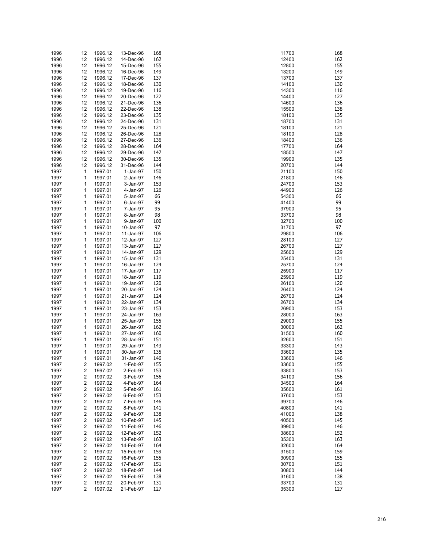| 1996 | 12                      | 1996.12 | 13-Dec-96 | 168 | 168<br>11700        |
|------|-------------------------|---------|-----------|-----|---------------------|
| 1996 | 12                      | 1996.12 | 14-Dec-96 | 162 | 162<br>12400        |
| 1996 | 12                      | 1996.12 | 15-Dec-96 | 155 | 155<br>12800        |
| 1996 | 12                      | 1996.12 | 16-Dec-96 | 149 | 149<br>13200        |
| 1996 | 12                      | 1996.12 | 17-Dec-96 | 137 | 13700<br>137        |
| 1996 | 12                      | 1996.12 | 18-Dec-96 | 130 | 14100<br>130        |
| 1996 | 12                      | 1996.12 | 19-Dec-96 | 116 | 116<br>14300        |
| 1996 | 12                      | 1996.12 | 20-Dec-96 | 127 | 127<br>14400        |
| 1996 | 12                      | 1996.12 | 21-Dec-96 | 136 | 14600<br>136        |
| 1996 | 12                      | 1996.12 | 22-Dec-96 | 138 | 15500<br>138        |
| 1996 | 12                      | 1996.12 | 23-Dec-96 | 135 | 135<br>18100        |
| 1996 | 12                      | 1996.12 | 24-Dec-96 | 131 | 18700<br>131        |
| 1996 | 12                      | 1996.12 | 25-Dec-96 | 121 | 121<br>18100        |
| 1996 | 12                      | 1996.12 | 26-Dec-96 | 128 | 128<br>18100        |
| 1996 | 12                      | 1996.12 | 27-Dec-96 | 136 | 136<br>18400        |
| 1996 | 12                      | 1996.12 | 28-Dec-96 | 164 | 17700<br>164        |
| 1996 | 12                      | 1996.12 | 29-Dec-96 | 147 | 147<br>18500        |
| 1996 | 12                      | 1996.12 | 30-Dec-96 | 135 | 19900<br>135        |
| 1996 | 12                      | 1996.12 | 31-Dec-96 | 144 | 20700<br>144        |
| 1997 | $\mathbf 1$             | 1997.01 | 1-Jan-97  | 150 | 21100<br>150        |
| 1997 | 1                       | 1997.01 | 2-Jan-97  | 146 | 146<br>21800        |
| 1997 | 1                       | 1997.01 | 3-Jan-97  | 153 | 24700<br>153        |
| 1997 | 1                       | 1997.01 | 4-Jan-97  | 126 | 44900<br>126        |
| 1997 | 1                       | 1997.01 | 5-Jan-97  | 66  | 66<br>54300         |
| 1997 | 1                       | 1997.01 | 6-Jan-97  | 99  | 99<br>41400         |
| 1997 | 1                       | 1997.01 | 7-Jan-97  | 95  | 95<br>37900         |
| 1997 | 1                       | 1997.01 | 8-Jan-97  | 98  | 98<br>33700         |
| 1997 | 1                       | 1997.01 | 9-Jan-97  | 100 | 32700<br>100        |
| 1997 | 1                       | 1997.01 | 10-Jan-97 | 97  | 97<br>31700         |
| 1997 | 1                       | 1997.01 | 11-Jan-97 | 106 | 106<br>29800        |
| 1997 | 1                       | 1997.01 | 12-Jan-97 | 127 | 127<br>28100        |
| 1997 | 1                       | 1997.01 | 13-Jan-97 | 127 | 26700<br>127        |
| 1997 | 1                       | 1997.01 | 14-Jan-97 | 129 | 129<br>25600        |
|      | 1                       |         | 15-Jan-97 | 131 | 131                 |
| 1997 |                         | 1997.01 |           | 124 | 25400               |
| 1997 | 1                       | 1997.01 | 16-Jan-97 |     | 25700<br>124        |
| 1997 | 1                       | 1997.01 | 17-Jan-97 | 117 | 25900<br>117<br>119 |
| 1997 | 1                       | 1997.01 | 18-Jan-97 | 119 | 25900               |
| 1997 | 1                       | 1997.01 | 19-Jan-97 | 120 | 26100<br>120        |
| 1997 | 1                       | 1997.01 | 20-Jan-97 | 124 | 124<br>26400        |
| 1997 | 1                       | 1997.01 | 21-Jan-97 | 124 | 26700<br>124        |
| 1997 | 1                       | 1997.01 | 22-Jan-97 | 134 | 134<br>26700        |
| 1997 | 1                       | 1997.01 | 23-Jan-97 | 153 | 26900<br>153        |
| 1997 | 1                       | 1997.01 | 24-Jan-97 | 163 | 163<br>28000        |
| 1997 | 1                       | 1997.01 | 25-Jan-97 | 155 | 29000<br>155        |
| 1997 | 1                       | 1997.01 | 26-Jan-97 | 162 | 30000<br>162        |
| 1997 | 1                       | 1997.01 | 27-Jan-97 | 160 | 31500<br>160        |
| 1997 | 1                       | 1997.01 | 28-Jan-97 | 151 | 151<br>32600        |
| 1997 | 1                       | 1997.01 | 29-Jan-97 | 143 | 143<br>33300        |
| 1997 | 1                       | 1997.01 | 30-Jan-97 | 135 | 33600<br>135        |
| 1997 | $\mathbf{1}$            | 1997.01 | 31-Jan-97 | 146 | 33600<br>146        |
| 1997 | 2                       | 1997.02 | 1-Feb-97  | 155 | 33600<br>155        |
| 1997 | $\overline{\mathbf{c}}$ | 1997.02 | 2-Feb-97  | 153 | 153<br>33800        |
| 1997 | 2                       | 1997.02 | 3-Feb-97  | 156 | 34100<br>156        |
| 1997 | 2                       | 1997.02 | 4-Feb-97  | 164 | 34500<br>164        |
| 1997 | 2                       | 1997.02 | 5-Feb-97  | 161 | 161<br>35600        |
| 1997 | 2                       | 1997.02 | 6-Feb-97  | 153 | 37600<br>153        |
| 1997 | 2                       | 1997.02 | 7-Feb-97  | 146 | 146<br>39700        |
| 1997 | 2                       | 1997.02 | 8-Feb-97  | 141 | 40800<br>141        |
| 1997 | 2                       | 1997.02 | 9-Feb-97  | 138 | 138<br>41000        |
| 1997 | 2                       | 1997.02 | 10-Feb-97 | 145 | 145<br>40500        |
| 1997 | 2                       | 1997.02 | 11-Feb-97 | 146 | 39900<br>146        |
| 1997 | 2                       | 1997.02 | 12-Feb-97 | 152 | 38600<br>152        |
| 1997 | 2                       | 1997.02 | 13-Feb-97 | 163 | 35300<br>163        |
| 1997 | 2                       | 1997.02 | 14-Feb-97 | 164 | 32600<br>164        |
| 1997 | 2                       | 1997.02 | 15-Feb-97 | 159 | 159<br>31500        |
| 1997 | 2                       | 1997.02 | 16-Feb-97 | 155 | 155<br>30900        |
| 1997 | 2                       | 1997.02 | 17-Feb-97 | 151 | 30700<br>151        |
| 1997 | 2                       | 1997.02 | 18-Feb-97 | 144 | 30800<br>144        |
| 1997 | $\overline{\mathbf{c}}$ | 1997.02 | 19-Feb-97 | 138 | 138<br>31600        |
| 1997 | 2                       | 1997.02 | 20-Feb-97 | 131 | 33700<br>131        |
| 1997 | $\overline{\mathbf{c}}$ | 1997.02 | 21-Feb-97 | 127 | 127<br>35300        |

| 1700<br>2400 | 16<br>16.             |
|--------------|-----------------------|
| 2800         | 15                    |
| 3200         | 14 <sub>2</sub>       |
| 3700<br>4100 | 13 <sup>°</sup><br>13 |
| 4300         | 11(                   |
| 4400<br>4600 | 12<br>13              |
| 5500         | 13                    |
| 8100<br>8700 | 13<br>13              |
| 8100         | $12 \overline{)}$     |
| 8100<br>8400 | 12i                   |
| 7700         | 13<br>16              |
| 8500         | 14                    |
| 9900<br>0700 | 13<br>14              |
| 1100         | 15                    |
| 1800<br>4700 | 14<br>15              |
| 4900         | 12                    |
| 4300<br>1400 | 66<br>99              |
| 7900         | 95                    |
| 3700         | 98<br>10              |
| 2700<br>1700 | 97                    |
| 9800         | 10                    |
| 8100<br>6700 | 12<br>12              |
| 5600         | 12 <sub>2</sub>       |
| 5400<br>5700 | 13<br>12              |
| 5900         | $11\,$                |
| 5900<br>6100 | 11!<br>12             |
| 6400         | 12                    |
| 6700<br>6700 | 12<br>13              |
| 6900         | 15 <sup>°</sup>       |
| 8000<br>9000 | 16<br>15              |
| 0000         | 16.                   |
| 1500         | 16<br>15 <sub>1</sub> |
| 2600<br>3300 | 14                    |
| 3600         | 13.                   |
| 3600<br>3600 | 14<br>15 <sup>2</sup> |
| 3800         | 15 <sub>l</sub>       |
| 4100<br>4500 | 15<br>16              |
| 5600         | 16                    |
| 7600<br>9700 | 15<br>14              |
| 0800         | 14                    |
| 1000         | 13<br>14              |
| 0500<br>9900 | 14                    |
| 8600         | 15.                   |
| 5300<br>2600 | 16<br>16              |
| 1500         | 15                    |
| 0900<br>0700 | 15<br>15              |
| 0800         | 14                    |
| 1600<br>3700 | 13<br>13              |
| 5300         | $12^{n}$              |
|              |                       |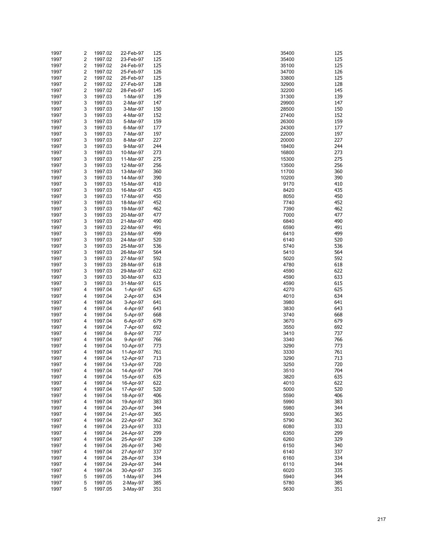| 1997 | 2                       | 1997.02 | 22-Feb-97 | 125 | 35400 | 125 |
|------|-------------------------|---------|-----------|-----|-------|-----|
| 1997 | $\overline{\mathbf{c}}$ | 1997.02 | 23-Feb-97 | 125 | 35400 | 125 |
| 1997 | $\overline{\mathbf{c}}$ | 1997.02 | 24-Feb-97 | 125 | 35100 | 125 |
| 1997 | 2                       | 1997.02 | 25-Feb-97 | 126 | 34700 | 126 |
| 1997 | $\overline{\mathbf{c}}$ | 1997.02 | 26-Feb-97 | 125 | 33800 | 125 |
| 1997 | 2                       | 1997.02 | 27-Feb-97 | 128 | 32900 | 128 |
| 1997 | $\overline{\mathbf{c}}$ | 1997.02 | 28-Feb-97 | 145 | 32200 | 145 |
| 1997 | 3                       | 1997.03 | 1-Mar-97  | 139 | 31300 | 139 |
| 1997 | 3                       | 1997.03 | 2-Mar-97  | 147 | 29900 | 147 |
| 1997 | 3                       | 1997.03 | 3-Mar-97  | 150 | 28500 | 150 |
| 1997 | 3                       | 1997.03 | 4-Mar-97  | 152 | 27400 | 152 |
| 1997 | 3                       | 1997.03 | 5-Mar-97  | 159 | 26300 | 159 |
| 1997 | 3                       | 1997.03 | 6-Mar-97  | 177 | 24300 | 177 |
| 1997 | 3                       | 1997.03 | 7-Mar-97  | 197 | 22000 | 197 |
| 1997 | 3                       | 1997.03 | 8-Mar-97  | 227 | 20000 | 227 |
| 1997 | 3                       | 1997.03 | 9-Mar-97  | 244 | 18400 | 244 |
| 1997 | 3                       | 1997.03 | 10-Mar-97 | 273 | 16800 | 273 |
| 1997 | 3                       | 1997.03 | 11-Mar-97 | 275 | 15300 | 275 |
| 1997 | 3                       | 1997.03 | 12-Mar-97 | 256 | 13500 | 256 |
| 1997 | 3                       | 1997.03 | 13-Mar-97 | 360 | 11700 | 360 |
| 1997 | 3                       | 1997.03 | 14-Mar-97 | 390 | 10200 | 390 |
| 1997 | 3                       | 1997.03 | 15-Mar-97 | 410 | 9170  | 410 |
|      | 3                       |         |           | 435 | 8420  | 435 |
| 1997 |                         | 1997.03 | 16-Mar-97 |     |       |     |
| 1997 | 3                       | 1997.03 | 17-Mar-97 | 450 | 8050  | 450 |
| 1997 | 3                       | 1997.03 | 18-Mar-97 | 452 | 7740  | 452 |
| 1997 | 3                       | 1997.03 | 19-Mar-97 | 462 | 7390  | 462 |
| 1997 | 3                       | 1997.03 | 20-Mar-97 | 477 | 7000  | 477 |
| 1997 | 3                       | 1997.03 | 21-Mar-97 | 490 | 6840  | 490 |
| 1997 | 3                       | 1997.03 | 22-Mar-97 | 491 | 6590  | 491 |
| 1997 | 3                       | 1997.03 | 23-Mar-97 | 499 | 6410  | 499 |
| 1997 | 3                       | 1997.03 | 24-Mar-97 | 520 | 6140  | 520 |
| 1997 | 3                       | 1997.03 | 25-Mar-97 | 536 | 5740  | 536 |
| 1997 | 3                       | 1997.03 | 26-Mar-97 | 564 | 5410  | 564 |
| 1997 | 3                       | 1997.03 | 27-Mar-97 | 592 | 5020  | 592 |
| 1997 | 3                       | 1997.03 | 28-Mar-97 | 618 | 4780  | 618 |
| 1997 | 3                       | 1997.03 | 29-Mar-97 | 622 | 4590  | 622 |
| 1997 | 3                       | 1997.03 | 30-Mar-97 | 633 | 4590  | 633 |
| 1997 | 3                       | 1997.03 | 31-Mar-97 | 615 | 4590  | 615 |
| 1997 | 4                       | 1997.04 | 1-Apr-97  | 625 | 4270  | 625 |
| 1997 | 4                       | 1997.04 | 2-Apr-97  | 634 | 4010  | 634 |
| 1997 | 4                       | 1997.04 | 3-Apr-97  | 641 | 3980  | 641 |
| 1997 | 4                       | 1997.04 | 4-Apr-97  | 643 | 3830  | 643 |
| 1997 | 4                       | 1997.04 | 5-Apr-97  | 668 | 3740  | 668 |
| 1997 | 4                       | 1997.04 | 6-Apr-97  | 679 | 3670  | 679 |
| 1997 | 4                       | 1997.04 | 7-Apr-97  | 692 | 3550  | 692 |
| 1997 | 4                       | 1997.04 | 8-Apr-97  | 737 | 3410  | 737 |
| 1997 | 4                       | 1997.04 | 9-Apr-97  | 766 | 3340  | 766 |
| 1997 | 4                       | 1997.04 | 10-Apr-97 | 773 | 3290  | 773 |
| 1997 | 4                       | 1997.04 | 11-Apr-97 | 761 | 3330  | 761 |
| 1997 | 4                       | 1997.04 | 12-Apr-97 | 713 | 3290  | 713 |
| 1997 | 4                       | 1997.04 | 13-Apr-97 | 720 | 3250  | 720 |
| 1997 | 4                       | 1997.04 | 14-Apr-97 | 704 | 3510  | 704 |
| 1997 | 4                       | 1997.04 | 15-Apr-97 | 635 | 3820  | 635 |
| 1997 | 4                       | 1997.04 | 16-Apr-97 | 622 | 4010  | 622 |
| 1997 | 4                       | 1997.04 | 17-Apr-97 | 520 | 5000  | 520 |
| 1997 | 4                       | 1997.04 | 18-Apr-97 | 406 | 5590  | 406 |
| 1997 | 4                       | 1997.04 | 19-Apr-97 | 383 | 5990  | 383 |
| 1997 | 4                       | 1997.04 | 20-Apr-97 | 344 | 5980  | 344 |
|      | 4                       | 1997.04 |           | 365 | 5930  | 365 |
| 1997 |                         |         | 21-Apr-97 |     |       |     |
| 1997 | 4                       | 1997.04 | 22-Apr-97 | 362 | 5790  | 362 |
| 1997 | 4                       | 1997.04 | 23-Apr-97 | 333 | 6080  | 333 |
| 1997 | 4                       | 1997.04 | 24-Apr-97 | 299 | 6350  | 299 |
| 1997 | 4                       | 1997.04 | 25-Apr-97 | 329 | 6260  | 329 |
| 1997 | 4                       | 1997.04 | 26-Apr-97 | 340 | 6150  | 340 |
| 1997 | 4                       | 1997.04 | 27-Apr-97 | 337 | 6140  | 337 |
| 1997 | 4                       | 1997.04 | 28-Apr-97 | 334 | 6160  | 334 |
| 1997 | 4                       | 1997.04 | 29-Apr-97 | 344 | 6110  | 344 |
| 1997 | 4                       | 1997.04 | 30-Apr-97 | 335 | 6020  | 335 |
| 1997 | 5                       | 1997.05 | 1-May-97  | 344 | 5940  | 344 |
| 1997 | 5                       | 1997.05 | 2-May-97  | 385 | 5780  | 385 |
| 1997 | 5                       | 1997.05 | 3-May-97  | 351 | 5630  | 351 |

| 5400         | 12       |
|--------------|----------|
| 5400         | 12       |
|              | 12       |
| 5100         |          |
| 4700         | 12       |
| 3800         | 12       |
| 2900         |          |
|              | 12       |
| 2200         | 14       |
| 1300         | 13       |
|              |          |
| 9900         | 14       |
| 8500         | 15       |
| 7400         | 15       |
|              |          |
| 6300         | 15       |
| 4300         | 17       |
| 2000         | 19       |
|              |          |
| 0000         | 22       |
| 8400         | 24       |
| 6800         | 27       |
|              |          |
| 5300         | 27       |
| 3500         | 25       |
| 1700         | 36       |
|              |          |
| 0200         | 39       |
| 9170         | 41       |
| 8420         | 43       |
|              |          |
| 8050         | 45       |
| 7740         | 45       |
|              |          |
| 7390         | 46       |
| 7000         | 47       |
| 6840         | 49       |
|              |          |
| 6590         | 49       |
| 6410         | 49       |
| 6140         | 52       |
|              |          |
| 5740         | 53       |
| 5410         | 56       |
| 5020         | 59       |
|              |          |
| 4780         | 61       |
| 4590         | 62       |
|              |          |
| 4590         | 63       |
| 4590         | 61       |
| 4270         | 62       |
|              |          |
| 4010         | 63       |
| 3980         | 64       |
| 3830         | 64       |
|              |          |
| 3740         | 66       |
| 3670         | 67       |
| 3550         | 69       |
|              |          |
| 3410         | 73       |
| 3340         | 76       |
|              | 77       |
| 3290         |          |
| 3330         | 76       |
| 3290         | 71       |
|              |          |
| 3250         | 72       |
| 3510         | 70       |
| 3820         | 63       |
|              |          |
| 4010         | 62       |
| 5000         | 52       |
| 5590         | 40       |
|              |          |
| 5990         | 38       |
| 5980         | 34       |
|              | 36       |
| 5930         |          |
| 5790         | 36       |
| 6080         | 33       |
|              |          |
| 6350         | 29       |
| 6260         | 32       |
| 6150         | 34       |
|              |          |
| 6140         | 33       |
| 6160         | 33       |
| 6110         | 34       |
|              |          |
| 6020         | 33       |
| 5940         |          |
|              | 34       |
|              |          |
| 5780<br>5630 | 38<br>35 |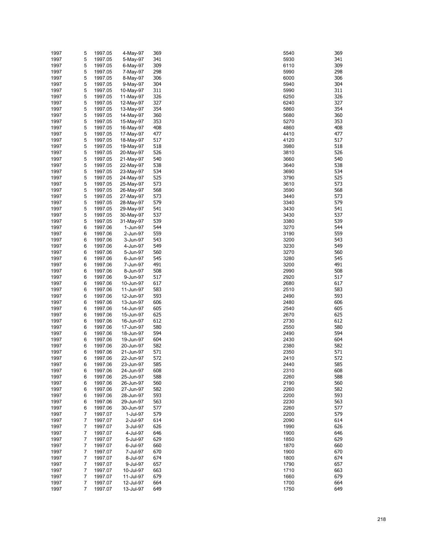|        |                                                                                                                                                                                            |                                                                                                                                                                                                                                                                                                                                                                                    |                                                                                                                                                                                                                                                                                                                                                                                                                                              |                                                                                                                                                                                                                                                                                                     | 369                                                                                                                                                                                                                                                                                                          |
|--------|--------------------------------------------------------------------------------------------------------------------------------------------------------------------------------------------|------------------------------------------------------------------------------------------------------------------------------------------------------------------------------------------------------------------------------------------------------------------------------------------------------------------------------------------------------------------------------------|----------------------------------------------------------------------------------------------------------------------------------------------------------------------------------------------------------------------------------------------------------------------------------------------------------------------------------------------------------------------------------------------------------------------------------------------|-----------------------------------------------------------------------------------------------------------------------------------------------------------------------------------------------------------------------------------------------------------------------------------------------------|--------------------------------------------------------------------------------------------------------------------------------------------------------------------------------------------------------------------------------------------------------------------------------------------------------------|
| 5      | 1997.05                                                                                                                                                                                    | 4-May-97                                                                                                                                                                                                                                                                                                                                                                           | 369                                                                                                                                                                                                                                                                                                                                                                                                                                          | 5540                                                                                                                                                                                                                                                                                                |                                                                                                                                                                                                                                                                                                              |
| 5      | 1997.05                                                                                                                                                                                    | 5-May-97                                                                                                                                                                                                                                                                                                                                                                           | 341                                                                                                                                                                                                                                                                                                                                                                                                                                          | 5930                                                                                                                                                                                                                                                                                                | 341                                                                                                                                                                                                                                                                                                          |
| 5      | 1997.05                                                                                                                                                                                    | 6-May-97                                                                                                                                                                                                                                                                                                                                                                           | 309                                                                                                                                                                                                                                                                                                                                                                                                                                          | 6110                                                                                                                                                                                                                                                                                                | 309                                                                                                                                                                                                                                                                                                          |
|        |                                                                                                                                                                                            |                                                                                                                                                                                                                                                                                                                                                                                    |                                                                                                                                                                                                                                                                                                                                                                                                                                              |                                                                                                                                                                                                                                                                                                     | 298                                                                                                                                                                                                                                                                                                          |
|        |                                                                                                                                                                                            |                                                                                                                                                                                                                                                                                                                                                                                    |                                                                                                                                                                                                                                                                                                                                                                                                                                              |                                                                                                                                                                                                                                                                                                     | 306                                                                                                                                                                                                                                                                                                          |
|        |                                                                                                                                                                                            |                                                                                                                                                                                                                                                                                                                                                                                    |                                                                                                                                                                                                                                                                                                                                                                                                                                              |                                                                                                                                                                                                                                                                                                     |                                                                                                                                                                                                                                                                                                              |
|        |                                                                                                                                                                                            |                                                                                                                                                                                                                                                                                                                                                                                    |                                                                                                                                                                                                                                                                                                                                                                                                                                              |                                                                                                                                                                                                                                                                                                     | 304                                                                                                                                                                                                                                                                                                          |
|        |                                                                                                                                                                                            |                                                                                                                                                                                                                                                                                                                                                                                    |                                                                                                                                                                                                                                                                                                                                                                                                                                              |                                                                                                                                                                                                                                                                                                     | 311                                                                                                                                                                                                                                                                                                          |
| 5      | 1997.05                                                                                                                                                                                    | 11-May-97                                                                                                                                                                                                                                                                                                                                                                          | 326                                                                                                                                                                                                                                                                                                                                                                                                                                          | 6250                                                                                                                                                                                                                                                                                                | 326                                                                                                                                                                                                                                                                                                          |
|        |                                                                                                                                                                                            |                                                                                                                                                                                                                                                                                                                                                                                    |                                                                                                                                                                                                                                                                                                                                                                                                                                              |                                                                                                                                                                                                                                                                                                     | 327                                                                                                                                                                                                                                                                                                          |
|        |                                                                                                                                                                                            |                                                                                                                                                                                                                                                                                                                                                                                    |                                                                                                                                                                                                                                                                                                                                                                                                                                              |                                                                                                                                                                                                                                                                                                     | 354                                                                                                                                                                                                                                                                                                          |
|        |                                                                                                                                                                                            |                                                                                                                                                                                                                                                                                                                                                                                    |                                                                                                                                                                                                                                                                                                                                                                                                                                              |                                                                                                                                                                                                                                                                                                     |                                                                                                                                                                                                                                                                                                              |
|        |                                                                                                                                                                                            |                                                                                                                                                                                                                                                                                                                                                                                    |                                                                                                                                                                                                                                                                                                                                                                                                                                              |                                                                                                                                                                                                                                                                                                     | 360                                                                                                                                                                                                                                                                                                          |
|        |                                                                                                                                                                                            |                                                                                                                                                                                                                                                                                                                                                                                    |                                                                                                                                                                                                                                                                                                                                                                                                                                              |                                                                                                                                                                                                                                                                                                     | 353                                                                                                                                                                                                                                                                                                          |
|        |                                                                                                                                                                                            |                                                                                                                                                                                                                                                                                                                                                                                    |                                                                                                                                                                                                                                                                                                                                                                                                                                              |                                                                                                                                                                                                                                                                                                     | 408                                                                                                                                                                                                                                                                                                          |
|        |                                                                                                                                                                                            |                                                                                                                                                                                                                                                                                                                                                                                    |                                                                                                                                                                                                                                                                                                                                                                                                                                              |                                                                                                                                                                                                                                                                                                     | 477                                                                                                                                                                                                                                                                                                          |
|        |                                                                                                                                                                                            |                                                                                                                                                                                                                                                                                                                                                                                    |                                                                                                                                                                                                                                                                                                                                                                                                                                              |                                                                                                                                                                                                                                                                                                     |                                                                                                                                                                                                                                                                                                              |
|        |                                                                                                                                                                                            |                                                                                                                                                                                                                                                                                                                                                                                    |                                                                                                                                                                                                                                                                                                                                                                                                                                              |                                                                                                                                                                                                                                                                                                     | 517                                                                                                                                                                                                                                                                                                          |
|        |                                                                                                                                                                                            |                                                                                                                                                                                                                                                                                                                                                                                    |                                                                                                                                                                                                                                                                                                                                                                                                                                              |                                                                                                                                                                                                                                                                                                     | 518                                                                                                                                                                                                                                                                                                          |
|        | 1997.05                                                                                                                                                                                    | 20-May-97                                                                                                                                                                                                                                                                                                                                                                          |                                                                                                                                                                                                                                                                                                                                                                                                                                              |                                                                                                                                                                                                                                                                                                     | 526                                                                                                                                                                                                                                                                                                          |
|        |                                                                                                                                                                                            |                                                                                                                                                                                                                                                                                                                                                                                    |                                                                                                                                                                                                                                                                                                                                                                                                                                              |                                                                                                                                                                                                                                                                                                     | 540                                                                                                                                                                                                                                                                                                          |
|        |                                                                                                                                                                                            |                                                                                                                                                                                                                                                                                                                                                                                    |                                                                                                                                                                                                                                                                                                                                                                                                                                              |                                                                                                                                                                                                                                                                                                     | 538                                                                                                                                                                                                                                                                                                          |
|        |                                                                                                                                                                                            |                                                                                                                                                                                                                                                                                                                                                                                    |                                                                                                                                                                                                                                                                                                                                                                                                                                              |                                                                                                                                                                                                                                                                                                     |                                                                                                                                                                                                                                                                                                              |
|        |                                                                                                                                                                                            |                                                                                                                                                                                                                                                                                                                                                                                    |                                                                                                                                                                                                                                                                                                                                                                                                                                              |                                                                                                                                                                                                                                                                                                     | 534                                                                                                                                                                                                                                                                                                          |
|        |                                                                                                                                                                                            |                                                                                                                                                                                                                                                                                                                                                                                    |                                                                                                                                                                                                                                                                                                                                                                                                                                              |                                                                                                                                                                                                                                                                                                     | 525                                                                                                                                                                                                                                                                                                          |
| 5      | 1997.05                                                                                                                                                                                    | 25-May-97                                                                                                                                                                                                                                                                                                                                                                          | 573                                                                                                                                                                                                                                                                                                                                                                                                                                          | 3610                                                                                                                                                                                                                                                                                                | 573                                                                                                                                                                                                                                                                                                          |
|        |                                                                                                                                                                                            |                                                                                                                                                                                                                                                                                                                                                                                    |                                                                                                                                                                                                                                                                                                                                                                                                                                              |                                                                                                                                                                                                                                                                                                     | 568                                                                                                                                                                                                                                                                                                          |
|        |                                                                                                                                                                                            |                                                                                                                                                                                                                                                                                                                                                                                    |                                                                                                                                                                                                                                                                                                                                                                                                                                              |                                                                                                                                                                                                                                                                                                     | 573                                                                                                                                                                                                                                                                                                          |
|        |                                                                                                                                                                                            |                                                                                                                                                                                                                                                                                                                                                                                    |                                                                                                                                                                                                                                                                                                                                                                                                                                              |                                                                                                                                                                                                                                                                                                     |                                                                                                                                                                                                                                                                                                              |
|        |                                                                                                                                                                                            |                                                                                                                                                                                                                                                                                                                                                                                    |                                                                                                                                                                                                                                                                                                                                                                                                                                              |                                                                                                                                                                                                                                                                                                     | 579                                                                                                                                                                                                                                                                                                          |
|        |                                                                                                                                                                                            |                                                                                                                                                                                                                                                                                                                                                                                    |                                                                                                                                                                                                                                                                                                                                                                                                                                              |                                                                                                                                                                                                                                                                                                     | 541                                                                                                                                                                                                                                                                                                          |
| 5      | 1997.05                                                                                                                                                                                    | 30-May-97                                                                                                                                                                                                                                                                                                                                                                          | 537                                                                                                                                                                                                                                                                                                                                                                                                                                          | 3430                                                                                                                                                                                                                                                                                                | 537                                                                                                                                                                                                                                                                                                          |
|        |                                                                                                                                                                                            |                                                                                                                                                                                                                                                                                                                                                                                    |                                                                                                                                                                                                                                                                                                                                                                                                                                              |                                                                                                                                                                                                                                                                                                     | 539                                                                                                                                                                                                                                                                                                          |
|        |                                                                                                                                                                                            |                                                                                                                                                                                                                                                                                                                                                                                    |                                                                                                                                                                                                                                                                                                                                                                                                                                              |                                                                                                                                                                                                                                                                                                     | 544                                                                                                                                                                                                                                                                                                          |
|        |                                                                                                                                                                                            |                                                                                                                                                                                                                                                                                                                                                                                    |                                                                                                                                                                                                                                                                                                                                                                                                                                              |                                                                                                                                                                                                                                                                                                     |                                                                                                                                                                                                                                                                                                              |
|        |                                                                                                                                                                                            |                                                                                                                                                                                                                                                                                                                                                                                    |                                                                                                                                                                                                                                                                                                                                                                                                                                              |                                                                                                                                                                                                                                                                                                     | 559                                                                                                                                                                                                                                                                                                          |
|        | 1997.06                                                                                                                                                                                    | 3-Jun-97                                                                                                                                                                                                                                                                                                                                                                           |                                                                                                                                                                                                                                                                                                                                                                                                                                              |                                                                                                                                                                                                                                                                                                     | 543                                                                                                                                                                                                                                                                                                          |
|        |                                                                                                                                                                                            |                                                                                                                                                                                                                                                                                                                                                                                    |                                                                                                                                                                                                                                                                                                                                                                                                                                              |                                                                                                                                                                                                                                                                                                     | 549                                                                                                                                                                                                                                                                                                          |
|        |                                                                                                                                                                                            |                                                                                                                                                                                                                                                                                                                                                                                    |                                                                                                                                                                                                                                                                                                                                                                                                                                              |                                                                                                                                                                                                                                                                                                     | 560                                                                                                                                                                                                                                                                                                          |
|        |                                                                                                                                                                                            |                                                                                                                                                                                                                                                                                                                                                                                    |                                                                                                                                                                                                                                                                                                                                                                                                                                              |                                                                                                                                                                                                                                                                                                     | 545                                                                                                                                                                                                                                                                                                          |
|        |                                                                                                                                                                                            |                                                                                                                                                                                                                                                                                                                                                                                    |                                                                                                                                                                                                                                                                                                                                                                                                                                              |                                                                                                                                                                                                                                                                                                     |                                                                                                                                                                                                                                                                                                              |
|        |                                                                                                                                                                                            |                                                                                                                                                                                                                                                                                                                                                                                    |                                                                                                                                                                                                                                                                                                                                                                                                                                              |                                                                                                                                                                                                                                                                                                     | 491                                                                                                                                                                                                                                                                                                          |
|        | 1997.06                                                                                                                                                                                    | 8-Jun-97                                                                                                                                                                                                                                                                                                                                                                           | 508                                                                                                                                                                                                                                                                                                                                                                                                                                          |                                                                                                                                                                                                                                                                                                     | 508                                                                                                                                                                                                                                                                                                          |
|        |                                                                                                                                                                                            |                                                                                                                                                                                                                                                                                                                                                                                    |                                                                                                                                                                                                                                                                                                                                                                                                                                              |                                                                                                                                                                                                                                                                                                     | 517                                                                                                                                                                                                                                                                                                          |
|        |                                                                                                                                                                                            |                                                                                                                                                                                                                                                                                                                                                                                    |                                                                                                                                                                                                                                                                                                                                                                                                                                              |                                                                                                                                                                                                                                                                                                     | 617                                                                                                                                                                                                                                                                                                          |
|        |                                                                                                                                                                                            |                                                                                                                                                                                                                                                                                                                                                                                    |                                                                                                                                                                                                                                                                                                                                                                                                                                              |                                                                                                                                                                                                                                                                                                     |                                                                                                                                                                                                                                                                                                              |
|        |                                                                                                                                                                                            |                                                                                                                                                                                                                                                                                                                                                                                    |                                                                                                                                                                                                                                                                                                                                                                                                                                              |                                                                                                                                                                                                                                                                                                     | 583                                                                                                                                                                                                                                                                                                          |
|        |                                                                                                                                                                                            |                                                                                                                                                                                                                                                                                                                                                                                    |                                                                                                                                                                                                                                                                                                                                                                                                                                              |                                                                                                                                                                                                                                                                                                     | 593                                                                                                                                                                                                                                                                                                          |
|        | 1997.06                                                                                                                                                                                    | 13-Jun-97                                                                                                                                                                                                                                                                                                                                                                          |                                                                                                                                                                                                                                                                                                                                                                                                                                              |                                                                                                                                                                                                                                                                                                     | 606                                                                                                                                                                                                                                                                                                          |
|        |                                                                                                                                                                                            |                                                                                                                                                                                                                                                                                                                                                                                    |                                                                                                                                                                                                                                                                                                                                                                                                                                              |                                                                                                                                                                                                                                                                                                     | 605                                                                                                                                                                                                                                                                                                          |
|        |                                                                                                                                                                                            |                                                                                                                                                                                                                                                                                                                                                                                    |                                                                                                                                                                                                                                                                                                                                                                                                                                              |                                                                                                                                                                                                                                                                                                     | 625                                                                                                                                                                                                                                                                                                          |
|        |                                                                                                                                                                                            |                                                                                                                                                                                                                                                                                                                                                                                    |                                                                                                                                                                                                                                                                                                                                                                                                                                              |                                                                                                                                                                                                                                                                                                     |                                                                                                                                                                                                                                                                                                              |
|        |                                                                                                                                                                                            |                                                                                                                                                                                                                                                                                                                                                                                    |                                                                                                                                                                                                                                                                                                                                                                                                                                              |                                                                                                                                                                                                                                                                                                     | 612                                                                                                                                                                                                                                                                                                          |
|        |                                                                                                                                                                                            |                                                                                                                                                                                                                                                                                                                                                                                    |                                                                                                                                                                                                                                                                                                                                                                                                                                              | 2550                                                                                                                                                                                                                                                                                                | 580                                                                                                                                                                                                                                                                                                          |
| 6      |                                                                                                                                                                                            |                                                                                                                                                                                                                                                                                                                                                                                    |                                                                                                                                                                                                                                                                                                                                                                                                                                              |                                                                                                                                                                                                                                                                                                     |                                                                                                                                                                                                                                                                                                              |
|        | 1997.06                                                                                                                                                                                    | 18-Jun-97                                                                                                                                                                                                                                                                                                                                                                          | 594                                                                                                                                                                                                                                                                                                                                                                                                                                          | 2490                                                                                                                                                                                                                                                                                                | 594                                                                                                                                                                                                                                                                                                          |
|        |                                                                                                                                                                                            |                                                                                                                                                                                                                                                                                                                                                                                    |                                                                                                                                                                                                                                                                                                                                                                                                                                              |                                                                                                                                                                                                                                                                                                     |                                                                                                                                                                                                                                                                                                              |
| 6      | 1997.06                                                                                                                                                                                    | 19-Jun-97                                                                                                                                                                                                                                                                                                                                                                          | 604                                                                                                                                                                                                                                                                                                                                                                                                                                          | 2430                                                                                                                                                                                                                                                                                                | 604                                                                                                                                                                                                                                                                                                          |
| 6      | 1997.06                                                                                                                                                                                    | 20-Jun-97                                                                                                                                                                                                                                                                                                                                                                          | 582                                                                                                                                                                                                                                                                                                                                                                                                                                          | 2380                                                                                                                                                                                                                                                                                                | 582                                                                                                                                                                                                                                                                                                          |
| 6      | 1997.06                                                                                                                                                                                    | 21-Jun-97                                                                                                                                                                                                                                                                                                                                                                          | 571                                                                                                                                                                                                                                                                                                                                                                                                                                          | 2350                                                                                                                                                                                                                                                                                                | 571                                                                                                                                                                                                                                                                                                          |
| 6      | 1997.06                                                                                                                                                                                    | 22-Jun-97                                                                                                                                                                                                                                                                                                                                                                          | 572                                                                                                                                                                                                                                                                                                                                                                                                                                          | 2410                                                                                                                                                                                                                                                                                                | 572                                                                                                                                                                                                                                                                                                          |
| 6      | 1997.06                                                                                                                                                                                    | 23-Jun-97                                                                                                                                                                                                                                                                                                                                                                          | 585                                                                                                                                                                                                                                                                                                                                                                                                                                          | 2440                                                                                                                                                                                                                                                                                                | 585                                                                                                                                                                                                                                                                                                          |
| 6      | 1997.06                                                                                                                                                                                    | 24-Jun-97                                                                                                                                                                                                                                                                                                                                                                          | 608                                                                                                                                                                                                                                                                                                                                                                                                                                          | 2310                                                                                                                                                                                                                                                                                                | 608                                                                                                                                                                                                                                                                                                          |
|        |                                                                                                                                                                                            |                                                                                                                                                                                                                                                                                                                                                                                    |                                                                                                                                                                                                                                                                                                                                                                                                                                              |                                                                                                                                                                                                                                                                                                     |                                                                                                                                                                                                                                                                                                              |
| 6      | 1997.06                                                                                                                                                                                    | 25-Jun-97                                                                                                                                                                                                                                                                                                                                                                          | 588                                                                                                                                                                                                                                                                                                                                                                                                                                          | 2260                                                                                                                                                                                                                                                                                                | 588                                                                                                                                                                                                                                                                                                          |
| 6      | 1997.06                                                                                                                                                                                    | 26-Jun-97                                                                                                                                                                                                                                                                                                                                                                          | 560                                                                                                                                                                                                                                                                                                                                                                                                                                          | 2190                                                                                                                                                                                                                                                                                                | 560                                                                                                                                                                                                                                                                                                          |
| 6      | 1997.06                                                                                                                                                                                    | 27-Jun-97                                                                                                                                                                                                                                                                                                                                                                          | 582                                                                                                                                                                                                                                                                                                                                                                                                                                          | 2260                                                                                                                                                                                                                                                                                                | 582                                                                                                                                                                                                                                                                                                          |
| 6      | 1997.06                                                                                                                                                                                    | 28-Jun-97                                                                                                                                                                                                                                                                                                                                                                          | 593                                                                                                                                                                                                                                                                                                                                                                                                                                          | 2200                                                                                                                                                                                                                                                                                                | 593                                                                                                                                                                                                                                                                                                          |
|        |                                                                                                                                                                                            |                                                                                                                                                                                                                                                                                                                                                                                    |                                                                                                                                                                                                                                                                                                                                                                                                                                              |                                                                                                                                                                                                                                                                                                     |                                                                                                                                                                                                                                                                                                              |
| 6      | 1997.06                                                                                                                                                                                    | 29-Jun-97                                                                                                                                                                                                                                                                                                                                                                          | 563                                                                                                                                                                                                                                                                                                                                                                                                                                          | 2230                                                                                                                                                                                                                                                                                                | 563                                                                                                                                                                                                                                                                                                          |
| 6      | 1997.06                                                                                                                                                                                    | 30-Jun-97                                                                                                                                                                                                                                                                                                                                                                          | 577                                                                                                                                                                                                                                                                                                                                                                                                                                          | 2260                                                                                                                                                                                                                                                                                                | 577                                                                                                                                                                                                                                                                                                          |
| 7      | 1997.07                                                                                                                                                                                    | 1-Jul-97                                                                                                                                                                                                                                                                                                                                                                           | 579                                                                                                                                                                                                                                                                                                                                                                                                                                          | 2200                                                                                                                                                                                                                                                                                                | 579                                                                                                                                                                                                                                                                                                          |
| 7      | 1997.07                                                                                                                                                                                    | 2-Jul-97                                                                                                                                                                                                                                                                                                                                                                           | 614                                                                                                                                                                                                                                                                                                                                                                                                                                          | 2090                                                                                                                                                                                                                                                                                                | 614                                                                                                                                                                                                                                                                                                          |
| 7      | 1997.07                                                                                                                                                                                    | 3-Jul-97                                                                                                                                                                                                                                                                                                                                                                           | 626                                                                                                                                                                                                                                                                                                                                                                                                                                          | 1990                                                                                                                                                                                                                                                                                                | 626                                                                                                                                                                                                                                                                                                          |
| 7      | 1997.07                                                                                                                                                                                    | 4-Jul-97                                                                                                                                                                                                                                                                                                                                                                           | 646                                                                                                                                                                                                                                                                                                                                                                                                                                          | 1900                                                                                                                                                                                                                                                                                                | 646                                                                                                                                                                                                                                                                                                          |
|        |                                                                                                                                                                                            |                                                                                                                                                                                                                                                                                                                                                                                    |                                                                                                                                                                                                                                                                                                                                                                                                                                              |                                                                                                                                                                                                                                                                                                     |                                                                                                                                                                                                                                                                                                              |
| 7      | 1997.07                                                                                                                                                                                    | 5-Jul-97                                                                                                                                                                                                                                                                                                                                                                           | 629                                                                                                                                                                                                                                                                                                                                                                                                                                          | 1850                                                                                                                                                                                                                                                                                                | 629                                                                                                                                                                                                                                                                                                          |
| 7      | 1997.07                                                                                                                                                                                    | 6-Jul-97                                                                                                                                                                                                                                                                                                                                                                           | 660                                                                                                                                                                                                                                                                                                                                                                                                                                          | 1870                                                                                                                                                                                                                                                                                                | 660                                                                                                                                                                                                                                                                                                          |
| 7      | 1997.07                                                                                                                                                                                    | 7-Jul-97                                                                                                                                                                                                                                                                                                                                                                           | 670                                                                                                                                                                                                                                                                                                                                                                                                                                          | 1900                                                                                                                                                                                                                                                                                                | 670                                                                                                                                                                                                                                                                                                          |
| 7      | 1997.07                                                                                                                                                                                    | 8-Jul-97                                                                                                                                                                                                                                                                                                                                                                           | 674                                                                                                                                                                                                                                                                                                                                                                                                                                          | 1800                                                                                                                                                                                                                                                                                                | 674                                                                                                                                                                                                                                                                                                          |
|        |                                                                                                                                                                                            |                                                                                                                                                                                                                                                                                                                                                                                    |                                                                                                                                                                                                                                                                                                                                                                                                                                              |                                                                                                                                                                                                                                                                                                     |                                                                                                                                                                                                                                                                                                              |
| 7      | 1997.07                                                                                                                                                                                    | 9-Jul-97                                                                                                                                                                                                                                                                                                                                                                           | 657                                                                                                                                                                                                                                                                                                                                                                                                                                          | 1790                                                                                                                                                                                                                                                                                                | 657                                                                                                                                                                                                                                                                                                          |
| 7      | 1997.07                                                                                                                                                                                    | 10-Jul-97                                                                                                                                                                                                                                                                                                                                                                          | 663                                                                                                                                                                                                                                                                                                                                                                                                                                          | 1710                                                                                                                                                                                                                                                                                                | 663                                                                                                                                                                                                                                                                                                          |
| 7      | 1997.07                                                                                                                                                                                    | 11-Jul-97                                                                                                                                                                                                                                                                                                                                                                          | 679                                                                                                                                                                                                                                                                                                                                                                                                                                          | 1660                                                                                                                                                                                                                                                                                                | 679                                                                                                                                                                                                                                                                                                          |
| 7<br>7 | 1997.07<br>1997.07                                                                                                                                                                         | 12-Jul-97<br>13-Jul-97                                                                                                                                                                                                                                                                                                                                                             | 664<br>649                                                                                                                                                                                                                                                                                                                                                                                                                                   | 1700<br>1750                                                                                                                                                                                                                                                                                        | 664<br>649                                                                                                                                                                                                                                                                                                   |
|        | 5<br>5<br>5<br>5<br>5<br>5<br>5<br>5<br>5<br>5<br>5<br>5<br>5<br>5<br>5<br>5<br>5<br>5<br>5<br>5<br>5<br>5<br>6<br>6<br>6<br>6<br>6<br>6<br>6<br>6<br>6<br>6<br>6<br>6<br>6<br>6<br>6<br>6 | 1997.05<br>1997.05<br>1997.05<br>1997.05<br>1997.05<br>1997.05<br>1997.05<br>1997.05<br>1997.05<br>1997.05<br>1997.05<br>1997.05<br>1997.05<br>1997.05<br>1997.05<br>1997.05<br>1997.05<br>1997.05<br>1997.05<br>1997.05<br>1997.05<br>1997.06<br>1997.06<br>1997.06<br>1997.06<br>1997.06<br>1997.06<br>1997.06<br>1997.06<br>1997.06<br>1997.06<br>1997.06<br>1997.06<br>1997.06 | 7-May-97<br>8-May-97<br>9-May-97<br>10-May-97<br>12-May-97<br>13-May-97<br>14-May-97<br>15-May-97<br>16-May-97<br>17-May-97<br>18-May-97<br>19-May-97<br>21-May-97<br>22-May-97<br>23-May-97<br>24-May-97<br>26-May-97<br>27-May-97<br>28-May-97<br>29-May-97<br>31-May-97<br>1-Jun-97<br>2-Jun-97<br>4-Jun-97<br>5-Jun-97<br>6-Jun-97<br>7-Jun-97<br>9-Jun-97<br>10-Jun-97<br>11-Jun-97<br>12-Jun-97<br>14-Jun-97<br>15-Jun-97<br>16-Jun-97 | 298<br>306<br>304<br>311<br>327<br>354<br>360<br>353<br>408<br>477<br>517<br>518<br>526<br>540<br>538<br>534<br>525<br>568<br>573<br>579<br>541<br>539<br>544<br>559<br>543<br>549<br>560<br>545<br>491<br>517<br>617<br>583<br>593<br>606<br>605<br>625<br>612<br>6<br>580<br>1997.06<br>17-Jun-97 | 5990<br>6000<br>5940<br>5990<br>6240<br>5860<br>5680<br>5270<br>4860<br>4410<br>4120<br>3980<br>3810<br>3660<br>3640<br>3690<br>3790<br>3590<br>3440<br>3340<br>3430<br>3380<br>3270<br>3190<br>3200<br>3230<br>3270<br>3280<br>3200<br>2990<br>2920<br>2680<br>2510<br>2490<br>2480<br>2540<br>2670<br>2730 |

| 5540         | 36       |
|--------------|----------|
| 5930<br>3110 | 34<br>30 |
| 5990         | 29       |
| 6000         | 30       |
| 5940         | 30       |
| 5990<br>3250 | 31<br>32 |
| 3240         | 32       |
| 5860         | 35       |
| 5680         | 36<br>35 |
| 5270<br>1860 | 40       |
| 1410         | 47       |
| 1120         | 51       |
| 3980<br>3810 | 51<br>52 |
| 3660         | 54       |
| 3640         | 53       |
| 3690         | 53       |
| 3790<br>3610 | 52<br>57 |
| 3590         | 56       |
| 3440         | 57       |
| 3340         | 57       |
| 3430<br>3430 | 54<br>53 |
| 3380         | 53       |
| 3270         | 54       |
| 3190         | 55       |
| 3200<br>3230 | 54<br>54 |
| 3270         | 56       |
| 3280         | 54       |
| 3200         | 49       |
| 2990<br>2920 | 50<br>51 |
| 2680         | 61       |
| 2510         | 58       |
| 2490         | 59       |
| 2480<br>2540 | 60<br>60 |
| 2670         | 62       |
| 2730         | 61       |
| 2550<br>2490 | 58<br>59 |
| 2430         | 60       |
| 2380         | 58       |
| 2350         | 57       |
| 2410<br>2440 | 57<br>58 |
| 2310         | 60       |
| 2260         | 58       |
| 2190         | 56       |
| 2260<br>2200 | 58<br>59 |
| 2230         | 56       |
| 2260         | 57       |
| 2200         | 57       |
| 2090<br>1990 | 61<br>62 |
| 1900         | 64       |
| 1850         | 62       |
| 1870         | 66       |
| 1900<br>1800 | 67<br>67 |
| 1790         | 65       |
| 1710         | 66       |
| 1660         | 67       |
| 1700<br>1750 | 66<br>64 |
|              |          |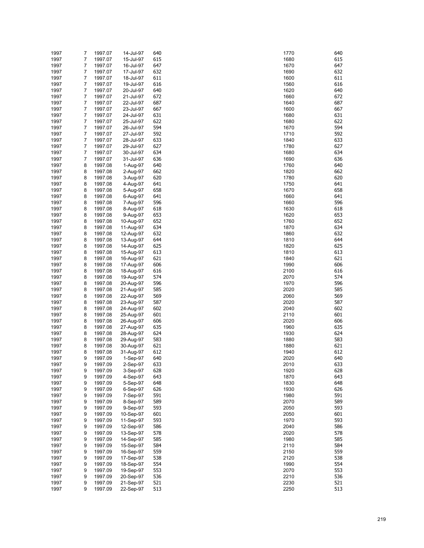| 1997 | 7              | 1997.07 | 14-Jul-97 | 640 | 1770 | 640 |
|------|----------------|---------|-----------|-----|------|-----|
|      |                |         |           |     |      |     |
| 1997 | $\overline{7}$ | 1997.07 | 15-Jul-97 | 615 | 1680 | 615 |
| 1997 | 7              | 1997.07 | 16-Jul-97 | 647 | 1670 | 647 |
| 1997 | 7              | 1997.07 | 17-Jul-97 | 632 | 1690 | 632 |
| 1997 | 7              | 1997.07 | 18-Jul-97 | 611 | 1600 | 611 |
| 1997 | 7              | 1997.07 | 19-Jul-97 | 616 | 1560 | 616 |
|      |                |         |           |     |      |     |
| 1997 | 7              | 1997.07 | 20-Jul-97 | 640 | 1620 | 640 |
| 1997 | 7              | 1997.07 | 21-Jul-97 | 672 | 1660 | 672 |
| 1997 | 7              | 1997.07 | 22-Jul-97 | 687 | 1640 | 687 |
| 1997 | 7              | 1997.07 | 23-Jul-97 | 667 | 1600 | 667 |
| 1997 | 7              | 1997.07 | 24-Jul-97 | 631 | 1680 | 631 |
|      |                |         |           |     |      |     |
| 1997 | 7              | 1997.07 | 25-Jul-97 | 622 | 1680 | 622 |
| 1997 | 7              | 1997.07 | 26-Jul-97 | 594 | 1670 | 594 |
| 1997 | 7              | 1997.07 | 27-Jul-97 | 592 | 1710 | 592 |
| 1997 | 7              | 1997.07 | 28-Jul-97 | 633 | 1840 | 633 |
|      | 7              |         | 29-Jul-97 | 627 | 1780 | 627 |
| 1997 |                | 1997.07 |           |     |      |     |
| 1997 | 7              | 1997.07 | 30-Jul-97 | 634 | 1680 | 634 |
| 1997 | 7              | 1997.07 | 31-Jul-97 | 636 | 1690 | 636 |
| 1997 | 8              | 1997.08 | 1-Aug-97  | 640 | 1760 | 640 |
| 1997 | 8              | 1997.08 | 2-Aug-97  | 662 | 1820 | 662 |
| 1997 | 8              | 1997.08 | 3-Aug-97  | 620 | 1780 | 620 |
|      |                |         |           |     |      |     |
| 1997 | 8              | 1997.08 | 4-Aug-97  | 641 | 1750 | 641 |
| 1997 | 8              | 1997.08 | 5-Aug-97  | 658 | 1670 | 658 |
| 1997 | 8              | 1997.08 | 6-Aug-97  | 641 | 1660 | 641 |
| 1997 | 8              | 1997.08 | 7-Aug-97  | 596 | 1660 | 596 |
| 1997 | 8              | 1997.08 | 8-Aug-97  | 618 | 1630 | 618 |
|      |                |         |           |     |      |     |
| 1997 | 8              | 1997.08 | 9-Aug-97  | 653 | 1620 | 653 |
| 1997 | 8              | 1997.08 | 10-Aug-97 | 652 | 1760 | 652 |
| 1997 | 8              | 1997.08 | 11-Aug-97 | 634 | 1870 | 634 |
| 1997 | 8              | 1997.08 | 12-Aug-97 | 632 | 1860 | 632 |
| 1997 | 8              | 1997.08 | 13-Aug-97 | 644 | 1810 | 644 |
|      |                |         |           |     |      |     |
| 1997 | 8              | 1997.08 | 14-Aug-97 | 625 | 1820 | 625 |
| 1997 | 8              | 1997.08 | 15-Aug-97 | 613 | 1810 | 613 |
| 1997 | 8              | 1997.08 | 16-Aug-97 | 621 | 1840 | 621 |
| 1997 | 8              | 1997.08 | 17-Aug-97 | 606 | 1990 | 606 |
| 1997 | 8              | 1997.08 | 18-Aug-97 | 616 | 2100 | 616 |
|      |                |         |           |     |      |     |
| 1997 | 8              | 1997.08 | 19-Aug-97 | 574 | 2070 | 574 |
| 1997 | 8              | 1997.08 | 20-Aug-97 | 596 | 1970 | 596 |
| 1997 | 8              | 1997.08 | 21-Aug-97 | 585 | 2020 | 585 |
| 1997 | 8              | 1997.08 | 22-Aug-97 | 569 | 2060 | 569 |
| 1997 | 8              | 1997.08 | 23-Aug-97 | 587 | 2020 | 587 |
|      |                |         |           |     |      |     |
| 1997 | 8              | 1997.08 | 24-Aug-97 | 602 | 2040 | 602 |
| 1997 | 8              | 1997.08 | 25-Aug-97 | 601 | 2110 | 601 |
| 1997 | 8              | 1997.08 | 26-Aug-97 | 606 | 2020 | 606 |
| 1997 | 8              | 1997.08 | 27-Aug-97 | 635 | 1960 | 635 |
| 1997 | 8              | 1997.08 | 28-Aug-97 | 624 | 1930 | 624 |
|      |                |         |           |     |      |     |
| 1997 | 8              | 1997.08 | 29-Aug-97 | 583 | 1880 | 583 |
| 1997 | 8              | 1997.08 | 30-Aug-97 | 621 | 1880 | 621 |
| 1997 | 8              | 1997.08 | 31-Aug-97 | 612 | 1940 | 612 |
| 1997 | 9              | 1997.09 | 1-Sep-97  | 640 | 2020 | 640 |
| 1997 | 9              | 1997.09 | 2-Sep-97  | 633 | 2010 | 633 |
|      |                |         |           | 628 |      | 628 |
| 1997 | 9              | 1997.09 | 3-Sep-97  |     | 1920 |     |
| 1997 | 9              | 1997.09 | 4-Sep-97  | 643 | 1870 | 643 |
| 1997 | 9              | 1997.09 | 5-Sep-97  | 648 | 1830 | 648 |
| 1997 | 9              | 1997.09 | 6-Sep-97  | 626 | 1930 | 626 |
| 1997 | 9              | 1997.09 | 7-Sep-97  | 591 | 1980 | 591 |
|      |                |         |           | 589 |      | 589 |
| 1997 | 9              | 1997.09 | 8-Sep-97  |     | 2070 |     |
| 1997 | 9              | 1997.09 | 9-Sep-97  | 593 | 2050 | 593 |
| 1997 | 9              | 1997.09 | 10-Sep-97 | 601 | 2050 | 601 |
| 1997 | 9              | 1997.09 | 11-Sep-97 | 593 | 1970 | 593 |
| 1997 | 9              | 1997.09 | 12-Sep-97 | 586 | 2040 | 586 |
|      |                |         |           |     |      |     |
| 1997 | 9              | 1997.09 | 13-Sep-97 | 578 | 2020 | 578 |
| 1997 | 9              | 1997.09 | 14-Sep-97 | 585 | 1980 | 585 |
| 1997 | 9              | 1997.09 | 15-Sep-97 | 584 | 2110 | 584 |
| 1997 | 9              | 1997.09 | 16-Sep-97 | 559 | 2150 | 559 |
| 1997 | 9              | 1997.09 | 17-Sep-97 | 538 | 2120 | 538 |
|      |                |         |           |     |      |     |
| 1997 | 9              | 1997.09 | 18-Sep-97 | 554 | 1990 | 554 |
| 1997 | 9              | 1997.09 | 19-Sep-97 | 553 | 2070 | 553 |
| 1997 | 9              | 1997.09 | 20-Sep-97 | 536 | 2210 | 536 |
| 1997 | 9              | 1997.09 | 21-Sep-97 | 521 | 2230 | 521 |
| 1997 | 9              | 1997.09 | 22-Sep-97 | 513 | 2250 | 513 |
|      |                |         |           |     |      |     |

| 1770         | 64       |
|--------------|----------|
| 1680         | 61       |
| 1670         | 64       |
| 1690         | 63       |
| 1600         | 61       |
| 1560         | 61       |
| 1620         | 64       |
| 1660         | 67       |
| 1640         | 68       |
| 1600         | 66       |
| 1680         | 63       |
| 1680         | 62       |
| 1670         | 59       |
| 1710         | 59       |
| 1840         | 63       |
| 1780         | 62       |
| 1680         | 63       |
| 1690         | 63       |
| 1760         | 64       |
| 1820         | 66       |
| 1780         | 62       |
| 1750         | 64       |
| 1670         | 65       |
| 1660         | 64       |
| 1660         | 59       |
| 1630         | 61       |
| 1620         | 65       |
| 1760         | 65       |
| 1870         | 63       |
| 1860         | 63       |
| 1810         | 64       |
| 1820         | 62       |
| 1810         | 61       |
| 1840         | 62       |
| 1990         | 60       |
| 2100         | 61       |
| 2070         | 57       |
| 1970         | 59       |
| 2020         | 58       |
| 2060         | 56       |
| 2020         | 58       |
| 2040         | 60       |
| 2110         | 60<br>60 |
| 2020<br>1960 | 63       |
| 1930         | 62       |
| 1880         | 58       |
| 1880         | 62       |
| 1940         | 61       |
| 2020         | 64       |
| 2010         | 63       |
| 1920         | 62       |
| 1870         | 64       |
| 1830         | 64       |
| 1930         | 62       |
| 1980         | 59       |
| 2070         | 58       |
| 2050         | 59       |
| 2050         | 60       |
| 1970         | 59       |
| 2040         | 58       |
| 2020         | 57       |
| 1980         | 58       |
| 2110         | 58       |
| 2150         | 55       |
| 2120         | 53       |
| 1990         | 55       |
| 2070         | 55       |
| 2210         | 53       |
| 2230         | 52       |
| 2250         | 51       |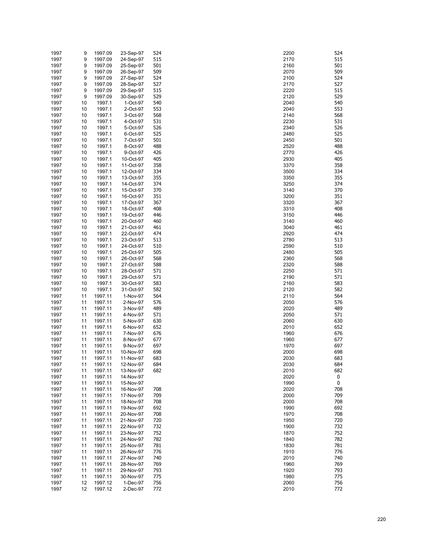| 1997 | 9  | 1997.09 | 23-Sep-97 | 524 | 2200 | 524 |
|------|----|---------|-----------|-----|------|-----|
| 1997 | 9  | 1997.09 | 24-Sep-97 | 515 | 2170 | 515 |
| 1997 | 9  | 1997.09 | 25-Sep-97 | 501 | 2160 | 501 |
|      |    |         |           |     |      |     |
| 1997 | 9  | 1997.09 | 26-Sep-97 | 509 | 2070 | 509 |
| 1997 | 9  | 1997.09 | 27-Sep-97 | 524 | 2100 | 524 |
| 1997 | 9  | 1997.09 | 28-Sep-97 | 527 | 2170 | 527 |
|      |    |         |           |     |      |     |
| 1997 | 9  | 1997.09 | 29-Sep-97 | 515 | 2220 | 515 |
| 1997 | 9  | 1997.09 | 30-Sep-97 | 529 | 2120 | 529 |
| 1997 | 10 | 1997.1  | 1-Oct-97  | 540 | 2040 | 540 |
|      |    |         |           |     |      | 553 |
| 1997 | 10 | 1997.1  | 2-Oct-97  | 553 | 2040 |     |
| 1997 | 10 | 1997.1  | 3-Oct-97  | 568 | 2140 | 568 |
| 1997 | 10 | 1997.1  | 4-Oct-97  | 531 | 2230 | 531 |
| 1997 | 10 | 1997.1  | 5-Oct-97  | 526 | 2340 | 526 |
|      |    |         |           |     |      |     |
| 1997 | 10 | 1997.1  | 6-Oct-97  | 525 | 2480 | 525 |
| 1997 | 10 | 1997.1  | 7-Oct-97  | 501 | 2450 | 501 |
| 1997 | 10 | 1997.1  | 8-Oct-97  | 488 | 2520 | 488 |
| 1997 | 10 | 1997.1  | 9-Oct-97  | 426 | 2770 | 426 |
|      |    |         |           |     |      |     |
| 1997 | 10 | 1997.1  | 10-Oct-97 | 405 | 2930 | 405 |
| 1997 | 10 | 1997.1  | 11-Oct-97 | 358 | 3370 | 358 |
| 1997 | 10 | 1997.1  | 12-Oct-97 | 334 | 3500 | 334 |
| 1997 | 10 | 1997.1  | 13-Oct-97 | 355 | 3350 | 355 |
|      |    |         |           |     |      |     |
| 1997 | 10 | 1997.1  | 14-Oct-97 | 374 | 3250 | 374 |
| 1997 | 10 | 1997.1  | 15-Oct-97 | 370 | 3140 | 370 |
| 1997 | 10 | 1997.1  | 16-Oct-97 | 351 | 3200 | 351 |
| 1997 | 10 | 1997.1  | 17-Oct-97 | 367 | 3320 | 367 |
|      |    |         |           |     |      |     |
| 1997 | 10 | 1997.1  | 18-Oct-97 | 408 | 3310 | 408 |
| 1997 | 10 | 1997.1  | 19-Oct-97 | 446 | 3150 | 446 |
| 1997 | 10 | 1997.1  | 20-Oct-97 | 460 | 3140 | 460 |
| 1997 | 10 | 1997.1  | 21-Oct-97 | 461 | 3040 | 461 |
|      |    |         |           |     |      |     |
| 1997 | 10 | 1997.1  | 22-Oct-97 | 474 | 2920 | 474 |
| 1997 | 10 | 1997.1  | 23-Oct-97 | 513 | 2780 | 513 |
| 1997 | 10 | 1997.1  | 24-Oct-97 | 510 | 2590 | 510 |
| 1997 | 10 | 1997.1  | 25-Oct-97 | 505 | 2480 | 505 |
|      |    |         |           |     |      |     |
| 1997 | 10 | 1997.1  | 26-Oct-97 | 568 | 2360 | 568 |
| 1997 | 10 | 1997.1  | 27-Oct-97 | 588 | 2320 | 588 |
| 1997 | 10 | 1997.1  | 28-Oct-97 | 571 | 2250 | 571 |
| 1997 | 10 | 1997.1  | 29-Oct-97 | 571 | 2190 | 571 |
|      |    |         |           |     |      |     |
| 1997 | 10 | 1997.1  | 30-Oct-97 | 583 | 2160 | 583 |
| 1997 | 10 | 1997.1  | 31-Oct-97 | 582 | 2120 | 582 |
| 1997 | 11 | 1997.11 | 1-Nov-97  | 564 | 2110 | 564 |
| 1997 | 11 | 1997.11 | 2-Nov-97  | 576 | 2050 | 576 |
|      |    |         |           |     |      |     |
| 1997 | 11 | 1997.11 | 3-Nov-97  | 489 | 2020 | 489 |
| 1997 | 11 | 1997.11 | 4-Nov-97  | 571 | 2050 | 571 |
| 1997 | 11 | 1997.11 | 5-Nov-97  | 630 | 2060 | 630 |
|      | 11 |         |           |     |      |     |
| 1997 |    | 1997.11 | 6-Nov-97  | 652 | 2010 | 652 |
| 1997 | 11 | 1997.11 | 7-Nov-97  | 676 | 1960 | 676 |
| 1997 | 11 | 1997.11 | 8-Nov-97  | 677 | 1960 | 677 |
| 1997 | 11 | 1997.11 | 9-Nov-97  | 697 | 1970 | 697 |
|      |    |         |           | 698 |      | 698 |
| 1997 | 11 | 1997.11 | 10-Nov-97 |     | 2000 |     |
| 1997 | 11 | 1997.11 | 11-Nov-97 | 683 | 2030 | 683 |
| 1997 | 11 | 1997.11 | 12-Nov-97 | 684 | 2030 | 684 |
| 1997 | 11 | 1997.11 | 13-Nov-97 | 682 | 2010 | 682 |
|      |    |         |           |     | 2020 | 0   |
| 1997 | 11 | 1997.11 | 14-Nov-97 |     |      |     |
| 1997 | 11 | 1997.11 | 15-Nov-97 |     | 1990 | 0   |
| 1997 | 11 | 1997.11 | 16-Nov-97 | 708 | 2020 | 708 |
| 1997 | 11 | 1997.11 | 17-Nov-97 | 709 | 2000 | 709 |
|      |    |         |           |     | 2000 | 708 |
| 1997 | 11 | 1997.11 | 18-Nov-97 | 708 |      |     |
| 1997 | 11 | 1997.11 | 19-Nov-97 | 692 | 1990 | 692 |
| 1997 | 11 | 1997.11 | 20-Nov-97 | 708 | 1970 | 708 |
| 1997 | 11 | 1997.11 | 21-Nov-97 | 720 | 1950 | 720 |
|      |    |         |           |     | 1900 | 732 |
| 1997 | 11 | 1997.11 | 22-Nov-97 | 732 |      |     |
| 1997 | 11 | 1997.11 | 23-Nov-97 | 752 | 1870 | 752 |
| 1997 | 11 | 1997.11 | 24-Nov-97 | 782 | 1840 | 782 |
| 1997 | 11 | 1997.11 | 25-Nov-97 | 781 | 1830 | 781 |
|      |    |         |           |     |      | 776 |
| 1997 | 11 | 1997.11 | 26-Nov-97 | 776 | 1910 |     |
| 1997 | 11 | 1997.11 | 27-Nov-97 | 740 | 2010 | 740 |
| 1997 | 11 | 1997.11 | 28-Nov-97 | 769 | 1960 | 769 |
| 1997 | 11 | 1997.11 | 29-Nov-97 | 793 | 1920 | 793 |
| 1997 | 11 | 1997.11 | 30-Nov-97 | 775 | 1980 | 775 |
|      |    |         |           |     |      |     |
| 1997 | 12 | 1997.12 | 1-Dec-97  | 756 | 2060 | 756 |
| 1997 | 12 | 1997.12 | 2-Dec-97  | 772 | 2010 | 772 |

| 200        | 52       |
|------------|----------|
| 170        | 51       |
| 160        | 50       |
| 070        | 50       |
| 100        | 52       |
| 170        | 52       |
| 220        | 51       |
| 120        | 52       |
| 040<br>040 | 54<br>55 |
| 140        | 56       |
| 230        | 53       |
| 340        | 52       |
| 480        | 52       |
| 450        | 50       |
| 520        | 48       |
| 770        | 42       |
| 930        | 40       |
| 370        | 35       |
| 500        | 33       |
| 350        | 35       |
| 250        | 37       |
| 140<br>200 | 37<br>35 |
| 320        | 36       |
| 310        | 40       |
| 150        | 44       |
| 140        | 46       |
| 040        | 46       |
| 920        | 47       |
| 780        | 51       |
| 590        | 51       |
| 480        | 50       |
| 360        | 56       |
| 320        | 58       |
| 250        | 57       |
| 190<br>160 | 57<br>58 |
| 120        | 58       |
| 110        | 56       |
| 050        | 57       |
| 020        | 48       |
| 050        | 57       |
| 060        | 63       |
| 010        | 65       |
| 960        | 67       |
| 960        | 67       |
| 970        | 69       |
| 000        | 69       |
| 030        | 68       |
| 030        | 68       |
| 010<br>020 | 68<br>0  |
| 990        | 0        |
| 020        | 70       |
| 000        | 70       |
| 000        | 70       |
| 990        | 69       |
| 970        | 70       |
| 950        | 72       |
| 900        | 73       |
| 870        | 75       |
| 840        | 78       |
| 830        | 78       |
| 910        | 77       |
| 010        | 74       |
| 960        | 76       |
| 920<br>980 | 79<br>77 |
| 060        | 75       |
| 010        | 77       |
|            |          |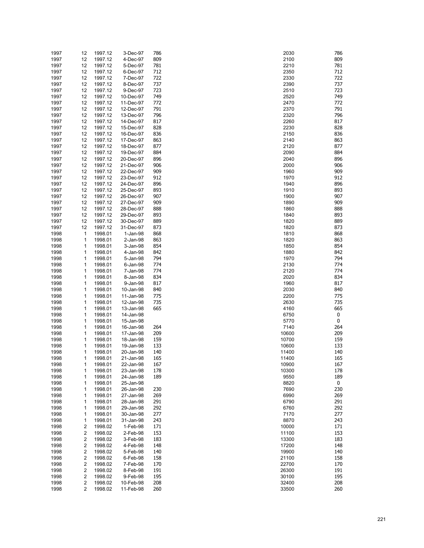| 1997         | 12                  | 1997.12            | 3-Dec-97               | 786        | 2030           | 786        |
|--------------|---------------------|--------------------|------------------------|------------|----------------|------------|
| 1997         | 12                  | 1997.12            | 4-Dec-97               | 809        | 2100           | 809        |
| 1997         | 12                  | 1997.12            | 5-Dec-97               | 781        | 2210           | 781        |
| 1997         | 12                  | 1997.12            | 6-Dec-97               | 712        | 2350           | 712        |
| 1997         | 12                  | 1997.12            | 7-Dec-97               | 722        | 2330           | 722        |
| 1997         | 12                  | 1997.12            | 8-Dec-97               | 737        | 2390           | 737        |
| 1997         | 12                  | 1997.12            | 9-Dec-97               | 723        | 2510           | 723        |
| 1997         | 12                  | 1997.12            | 10-Dec-97              | 749        | 2520           | 749        |
| 1997         | 12                  | 1997.12            | 11-Dec-97              | 772        | 2470           | 772        |
| 1997         | 12                  | 1997.12            | 12-Dec-97              | 791        | 2370           | 791        |
| 1997         | 12                  | 1997.12            | 13-Dec-97              | 796        | 2320           | 796        |
| 1997         | 12<br>12            | 1997.12            | 14-Dec-97              | 817<br>828 | 2260<br>2230   | 817<br>828 |
| 1997<br>1997 | 12                  | 1997.12<br>1997.12 | 15-Dec-97<br>16-Dec-97 | 836        | 2150           | 836        |
| 1997         | 12                  | 1997.12            | 17-Dec-97              | 863        | 2140           | 863        |
| 1997         | 12                  | 1997.12            | 18-Dec-97              | 877        | 2120           | 877        |
| 1997         | 12                  | 1997.12            | 19-Dec-97              | 884        | 2090           | 884        |
| 1997         | 12                  | 1997.12            | 20-Dec-97              | 896        | 2040           | 896        |
| 1997         | 12                  | 1997.12            | 21-Dec-97              | 906        | 2000           | 906        |
| 1997         | 12                  | 1997.12            | 22-Dec-97              | 909        | 1960           | 909        |
| 1997         | 12                  | 1997.12            | 23-Dec-97              | 912        | 1970           | 912        |
| 1997         | 12                  | 1997.12            | 24-Dec-97              | 896        | 1940           | 896        |
| 1997         | 12                  | 1997.12            | 25-Dec-97              | 893        | 1910           | 893        |
| 1997         | 12                  | 1997.12            | 26-Dec-97              | 907        | 1900           | 907        |
| 1997         | 12                  | 1997.12            | 27-Dec-97              | 909        | 1890           | 909        |
| 1997         | 12                  | 1997.12            | 28-Dec-97              | 888        | 1860           | 888        |
| 1997         | 12                  | 1997.12            | 29-Dec-97              | 893        | 1840           | 893        |
| 1997         | 12                  | 1997.12            | 30-Dec-97              | 889        | 1820           | 889        |
| 1997         | 12                  | 1997.12            | 31-Dec-97              | 873        | 1820           | 873        |
| 1998         | 1                   | 1998.01            | 1-Jan-98               | 868        | 1810           | 868        |
| 1998         | 1                   | 1998.01            | 2-Jan-98               | 863        | 1820           | 863        |
| 1998         | 1                   | 1998.01            | 3-Jan-98               | 854        | 1850           | 854        |
| 1998         | 1                   | 1998.01            | 4-Jan-98               | 842        | 1880           | 842        |
| 1998         | 1                   | 1998.01            | 5-Jan-98               | 794        | 1970           | 794        |
| 1998         | 1                   | 1998.01            | 6-Jan-98               | 774        | 2130           | 774        |
| 1998         | 1<br>1              | 1998.01            | 7-Jan-98               | 774<br>834 | 2120<br>2020   | 774<br>834 |
| 1998<br>1998 | 1                   | 1998.01<br>1998.01 | 8-Jan-98<br>9-Jan-98   | 817        | 1960           | 817        |
| 1998         | 1                   | 1998.01            | 10-Jan-98              | 840        | 2030           | 840        |
| 1998         | 1                   | 1998.01            | 11-Jan-98              | 775        | 2200           | 775        |
| 1998         | 1                   | 1998.01            | 12-Jan-98              | 735        | 2630           | 735        |
| 1998         | 1                   | 1998.01            | 13-Jan-98              | 665        | 4160           | 665        |
| 1998         | 1                   | 1998.01            | 14-Jan-98              |            | 6750           | 0          |
| 1998         | 1                   | 1998.01            | 15-Jan-98              |            | 5770           | 0          |
| 1998         | 1                   | 1998.01            | 16-Jan-98              | 264        | 7140           | 264        |
| 1998         | 1                   | 1998.01            | 17-Jan-98              | 209        | 10600          | 209        |
| 1998         | 1                   | 1998.01            | 18-Jan-98              | 159        | 10700          | 159        |
| 1998         | 1                   | 1998.01            | 19-Jan-98              | 133        | 10600          | 133        |
| 1998         | 1                   | 1998.01            | 20-Jan-98              | 140        | 11400          | 140        |
| 1998         | 1                   | 1998.01            | 21-Jan-98              | 165        | 11400          | 165        |
| 1998         | 1                   | 1998.01            | 22-Jan-98              | 167        | 10900          | 167        |
| 1998         | 1                   | 1998.01            | 23-Jan-98              | 178        | 10300          | 178        |
| 1998         | 1                   | 1998.01            | 24-Jan-98              | 189        | 9550           | 189        |
| 1998         | 1                   | 1998.01            | 25-Jan-98              |            | 8820           | 0          |
| 1998         | 1                   | 1998.01            | 26-Jan-98              | 230        | 7690           | 230        |
| 1998         | 1                   | 1998.01            | 27-Jan-98              | 269        | 6990           | 269        |
| 1998         | 1                   | 1998.01            | 28-Jan-98              | 291        | 6790           | 291        |
| 1998         | 1                   | 1998.01            | 29-Jan-98              | 292        | 6760           | 292        |
| 1998         | 1                   | 1998.01            | 30-Jan-98              | 277        | 7170           | 277        |
| 1998         | 1                   | 1998.01            | 31-Jan-98              | 243        | 8870           | 243        |
| 1998         | 2                   | 1998.02            | 1-Feb-98               | 171        | 10000<br>11100 | 171        |
| 1998<br>1998 | $\overline{2}$<br>2 | 1998.02<br>1998.02 | 2-Feb-98<br>3-Feb-98   | 153<br>183 | 13300          | 153<br>183 |
| 1998         | $\overline{2}$      | 1998.02            | 4-Feb-98               | 148        | 17200          | 148        |
| 1998         | 2                   | 1998.02            | 5-Feb-98               | 140        | 19900          | 140        |
| 1998         | 2                   | 1998.02            | 6-Feb-98               | 158        | 21100          | 158        |
| 1998         | 2                   | 1998.02            | 7-Feb-98               | 170        | 22700          | 170        |
| 1998         | 2                   | 1998.02            | 8-Feb-98               | 191        | 26300          | 191        |
| 1998         | 2                   | 1998.02            | 9-Feb-98               | 195        | 30100          | 195        |
| 1998         | $\overline{2}$      | 1998.02            | 10-Feb-98              | 208        | 32400          | 208        |
| 1998         | $\overline{2}$      | 1998.02            | 11-Feb-98              | 260        | 33500          | 260        |

| 2030         | 786        |
|--------------|------------|
| 2100<br>2210 | 809<br>781 |
| 2350         | 712        |
| 2330         | 722        |
| 2390<br>2510 | 737<br>723 |
| 2520         | 749        |
| 2470         | 772        |
| 2370         | 791        |
| 2320<br>2260 | 796<br>817 |
| 2230         | 828        |
| 2150         | 836        |
| 2140         | 863        |
| 2120<br>2090 | 877<br>884 |
| 2040         | 896        |
| 2000         | 906        |
| 1960         | 909<br>912 |
| 1970<br>1940 | 896        |
| 1910         | 893        |
| 1900         | 907        |
| 1890<br>1860 | 909<br>888 |
| 1840         | 893        |
| 1820         | 889        |
| 1820         | 873        |
| 1810<br>1820 | 868<br>863 |
| 1850         | 854        |
| 1880         | 842        |
| 1970         | 794        |
| 2130<br>2120 | 774<br>774 |
| 2020         | 834        |
| 1960         | 817        |
| 2030<br>2200 | 840        |
| 2630         | 775<br>735 |
| 4160         | 665        |
| 6750         | 0          |
| 5770<br>7140 | 0<br>264   |
| 0600         | 209        |
| 0700         | 159        |
| 0600         | 133        |
| 1400<br>1400 | 140<br>165 |
| 0900         | 167        |
| 0300         | 178        |
| 9550         | 189        |
| 8820<br>7690 | 0<br>230   |
| 6990         | 269        |
| 6790         | 291        |
| 6760         | 292        |
| 7170<br>8870 | 277<br>243 |
| 0000         | 171        |
| 1100         | 153        |
| 3300         | 183        |
| 7200<br>9900 | 148<br>140 |
| 1100!        | 158        |
| 2700         | 170        |
| :6300        | 191        |
| 0100<br>2400 | 195<br>208 |
| 3500         | 260        |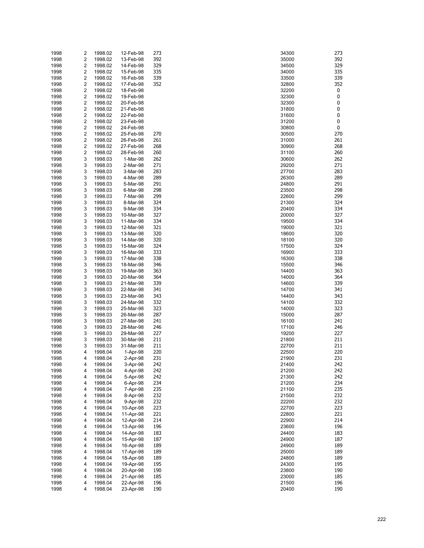| 1998<br>1998<br>1998<br>1998<br>1998<br>1998 | 2 | $\overline{\mathbf{c}}$<br>2 | 1998.02<br>1998.02 | 13-Feb-98<br>14-Feb-98 | 392<br>329 | 35000<br>34500 | 392       |
|----------------------------------------------|---|------------------------------|--------------------|------------------------|------------|----------------|-----------|
|                                              |   |                              |                    |                        |            |                |           |
|                                              |   |                              |                    |                        |            |                | 329       |
|                                              |   |                              | 1998.02            | 15-Feb-98              | 335        | 34000          | 335       |
|                                              |   | 2                            | 1998.02            | 16-Feb-98              | 339        | 33500          | 339       |
|                                              |   | 2                            | 1998.02            | 17-Feb-98              | 352        | 32800          | 352       |
|                                              |   | 2                            | 1998.02            | 18-Feb-98              |            | 32200          | 0         |
| 1998                                         |   | 2                            | 1998.02            | 19-Feb-98              |            | 32300          | 0         |
| 1998                                         |   | 2                            | 1998.02            | 20-Feb-98              |            | 32300          | $\pmb{0}$ |
| 1998                                         |   | 2                            | 1998.02            | 21-Feb-98              |            | 31800          | $\pmb{0}$ |
| 1998                                         |   | 2                            | 1998.02            | 22-Feb-98              |            | 31600          | $\pmb{0}$ |
| 1998                                         |   | 2                            | 1998.02            | 23-Feb-98              |            | 31200          | 0         |
| 1998                                         |   | 2                            | 1998.02            | 24-Feb-98              |            | 30800          | 0         |
| 1998                                         |   | 2                            | 1998.02            | 25-Feb-98              | 270        | 30500          | 270       |
| 1998                                         |   | 2                            | 1998.02            | 26-Feb-98              | 261        | 31000          | 261       |
| 1998                                         |   | 2                            | 1998.02            | 27-Feb-98              | 268        | 30900          | 268       |
| 1998                                         |   | 2                            | 1998.02            | 28-Feb-98              | 260        | 31100          | 260       |
| 1998                                         |   | 3                            | 1998.03            | 1-Mar-98               | 262        | 30600          | 262       |
| 1998                                         |   | 3                            | 1998.03            | 2-Mar-98               | 271        | 29200          | 271       |
| 1998                                         |   | 3                            | 1998.03            | 3-Mar-98               | 283        | 27700          | 283       |
| 1998                                         |   | 3                            | 1998.03            | 4-Mar-98               | 289        | 26300          | 289       |
| 1998                                         |   | 3                            | 1998.03            | 5-Mar-98               | 291        | 24800          | 291       |
| 1998                                         |   | 3                            | 1998.03            | 6-Mar-98               | 298        | 23500          | 298       |
| 1998                                         |   | 3                            | 1998.03            | 7-Mar-98               | 299        | 22600          | 299       |
| 1998                                         |   | 3                            | 1998.03            | 8-Mar-98               | 324        | 21300          | 324       |
| 1998                                         |   | 3                            | 1998.03            | 9-Mar-98               | 334        | 20400          | 334       |
| 1998                                         |   | 3                            | 1998.03            | 10-Mar-98              | 327        | 20000          | 327       |
| 1998                                         |   | 3                            | 1998.03            | 11-Mar-98              | 334        | 19500          | 334       |
| 1998                                         |   | 3                            | 1998.03            | 12-Mar-98              | 321        | 19000          | 321       |
| 1998                                         |   | 3                            | 1998.03            | 13-Mar-98              | 320        | 18600          | 320       |
| 1998                                         |   | 3                            | 1998.03            | 14-Mar-98              | 320        | 18100          | 320       |
| 1998                                         |   | 3                            | 1998.03            | 15-Mar-98              | 324        | 17500          | 324       |
| 1998                                         |   | 3                            | 1998.03            | 16-Mar-98              | 333        | 16900          | 333       |
| 1998                                         |   | 3                            | 1998.03            | 17-Mar-98              | 338        | 16300          | 338       |
| 1998                                         |   | 3                            | 1998.03            | 18-Mar-98              | 346        | 15500          | 346       |
| 1998                                         |   | 3                            | 1998.03            | 19-Mar-98              | 363        | 14400          | 363       |
| 1998                                         |   | 3                            | 1998.03            | 20-Mar-98              | 364        | 14000          | 364       |
| 1998                                         |   | 3                            | 1998.03            | 21-Mar-98              | 339        | 14600          | 339       |
| 1998                                         |   | 3                            | 1998.03            | 22-Mar-98              | 341        | 14700          | 341       |
| 1998                                         |   | 3                            | 1998.03            | 23-Mar-98              | 343        | 14400          | 343       |
| 1998                                         |   | 3                            | 1998.03            | 24-Mar-98              | 332        | 14100          | 332       |
| 1998                                         |   | 3                            | 1998.03            | 25-Mar-98              | 323        | 14000          | 323       |
| 1998                                         |   | 3                            | 1998.03            | 26-Mar-98              | 287        | 15000          | 287       |
| 1998                                         |   | 3                            | 1998.03            | 27-Mar-98              | 241        | 16100          | 241       |
| 1998                                         |   | 3                            | 1998.03            | 28-Mar-98              | 246        | 17100          | 246       |
| 1998                                         |   | 3                            | 1998.03            | 29-Mar-98              | 227        | 19200          | 227       |
| 1998                                         |   | 3                            | 1998.03            | 30-Mar-98              | 211        | 21800          | 211       |
| 1998                                         |   | 3                            | 1998.03            | 31-Mar-98              | 211        | 22700          | 211       |
| 1998                                         |   | 4                            | 1998.04            | 1-Apr-98               | 220        | 22500          | 220       |
| 1998                                         |   | 4                            | 1998.04            | 2-Apr-98               | 231        | 21900          | 231       |
| 1998                                         |   | 4                            | 1998.04            | 3-Apr-98               | 242        | 21400          | 242       |
| 1998                                         |   | 4                            | 1998.04            | 4-Apr-98               | 242        | 21200          | 242       |
| 1998                                         |   | 4                            | 1998.04            | 5-Apr-98               | 242        | 21300          | 242       |
| 1998                                         |   | 4                            | 1998.04            | 6-Apr-98               | 234        | 21200          | 234       |
| 1998                                         |   | 4                            | 1998.04            | 7-Apr-98               | 235        | 21100          | 235       |
| 1998                                         |   | 4                            | 1998.04            | 8-Apr-98               | 232        | 21500          | 232       |
| 1998                                         |   | 4                            | 1998.04            | 9-Apr-98               | 232        | 22200          | 232       |
| 1998                                         |   | 4                            | 1998.04            | 10-Apr-98              | 223        | 22700          | 223       |
| 1998                                         |   | 4                            | 1998.04            | 11-Apr-98              | 221        | 22800          | 221       |
| 1998                                         |   | 4                            | 1998.04            | 12-Apr-98              | 214        | 22900          | 214       |
| 1998                                         |   | 4                            | 1998.04            | 13-Apr-98              | 196        | 23600          | 196       |
| 1998                                         |   | 4                            | 1998.04            | 14-Apr-98              | 183        | 24400          | 183       |
| 1998                                         |   | 4                            | 1998.04            | 15-Apr-98              | 187        | 24900          | 187       |
| 1998                                         |   | 4                            | 1998.04            | 16-Apr-98              | 189        | 24900          | 189       |
| 1998                                         |   | 4                            | 1998.04            | 17-Apr-98              | 189        | 25000          | 189       |
| 1998                                         |   | 4                            | 1998.04            | 18-Apr-98              | 189        | 24800          | 189       |
| 1998                                         |   | 4                            | 1998.04            | 19-Apr-98              | 195        | 24300          | 195       |
|                                              |   | 4                            | 1998.04            | 20-Apr-98              | 190        | 23800          | 190       |
|                                              |   | 4                            | 1998.04            | 21-Apr-98              | 185        | 23000          | 185       |
| 1998                                         |   |                              |                    |                        |            |                | 196       |
| 1998<br>1998                                 |   | 4                            | 1998.04            | 22-Apr-98              | 196        | 21500          |           |

| 4300  | 273 |
|-------|-----|
| 5000  | 392 |
| 4500  | 329 |
|       |     |
| 4000  | 335 |
| 3500  | 339 |
| 2800  | 352 |
|       |     |
| 2200  | 0   |
| 2300  | 0   |
|       |     |
| 2300  | 0   |
| 1800  | 0   |
| 1600  | 0   |
|       |     |
| 1200  | 0   |
| 0800  | 0   |
| 0500  | 270 |
|       |     |
| 1000  | 261 |
| 0900  | 268 |
| 1100  | 260 |
|       |     |
| 0600  | 262 |
| 9200  | 271 |
| 7700  | 283 |
|       |     |
| 6300  | 289 |
| 4800  | 291 |
| :3500 | 298 |
|       |     |
| 2600  | 299 |
| 1300  | 324 |
|       |     |
| 0400  | 334 |
| 0000  | 327 |
| 9500  | 334 |
|       |     |
| 9000  | 321 |
| 8600  | 320 |
| 8100  | 320 |
|       |     |
| 7500  | 324 |
| 6900  | 333 |
| 6300  | 338 |
|       |     |
| 5500  | 346 |
| 4400  | 363 |
| 4000  | 364 |
|       |     |
| 4600  | 339 |
| 4700  | 341 |
| 4400  | 343 |
|       |     |
| 4100  | 332 |
| 4000  | 323 |
|       |     |
| 5000  | 287 |
| 6100  | 241 |
| 7100  | 246 |
|       |     |
| 9200  | 227 |
| 1800  | 211 |
| 2700  | 211 |
|       |     |
| 2500  | 220 |
| 1900  | 231 |
| 1400  | 242 |
|       |     |
| 1200  | 242 |
| 1300  | 242 |
| 1200  | 234 |
|       |     |
| :1100 | 235 |
| 1500  | 232 |
| 2200  | 232 |
|       |     |
| 2700  | 223 |
| 2800  | 221 |
|       | 214 |
| 2900  |     |
| :3600 | 196 |
| 4400  | 183 |
|       |     |
| 4900  | 187 |
| 4900  | 189 |
| 5000  | 189 |
|       |     |
| 4800  | 189 |
| 4300  | 195 |
| :3800 | 190 |
|       |     |
| :3000 | 185 |
| 1500  | 196 |
| 0400  | 190 |
|       |     |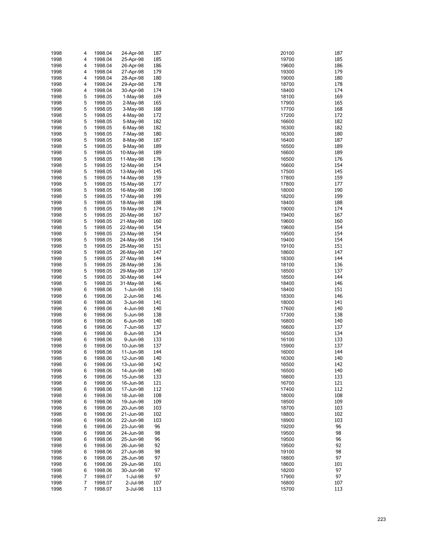| 1998 | 4 | 1998.04 | 24-Apr-98  | 187 | 187<br>20100 |
|------|---|---------|------------|-----|--------------|
|      |   |         |            |     |              |
| 1998 | 4 | 1998.04 | 25-Apr-98  | 185 | 185<br>19700 |
| 1998 | 4 | 1998.04 | 26-Apr-98  | 186 | 186<br>19600 |
| 1998 | 4 | 1998.04 | 27-Apr-98  | 179 | 179<br>19300 |
| 1998 | 4 | 1998.04 | 28-Apr-98  | 180 | 180<br>19000 |
| 1998 | 4 | 1998.04 | 29-Apr-98  | 178 | 178<br>18700 |
|      |   |         |            |     |              |
| 1998 | 4 | 1998.04 | 30-Apr-98  | 174 | 174<br>18400 |
| 1998 | 5 | 1998.05 | $1-May-98$ | 169 | 169<br>18100 |
| 1998 | 5 | 1998.05 | $2-May-98$ | 165 | 165<br>17900 |
| 1998 | 5 | 1998.05 | $3-May-98$ | 168 | 17700<br>168 |
|      | 5 |         |            | 172 | 172          |
| 1998 |   | 1998.05 | 4-May-98   |     | 17200        |
| 1998 | 5 | 1998.05 | 5-May-98   | 182 | 182<br>16600 |
| 1998 | 5 | 1998.05 | 6-May-98   | 182 | 182<br>16300 |
| 1998 | 5 | 1998.05 | 7-May-98   | 180 | 180<br>16300 |
| 1998 | 5 | 1998.05 | 8-May-98   | 187 | 187<br>16400 |
|      |   |         |            |     |              |
| 1998 | 5 | 1998.05 | 9-May-98   | 189 | 189<br>16500 |
| 1998 | 5 | 1998.05 | 10-May-98  | 189 | 189<br>16600 |
| 1998 | 5 | 1998.05 | 11-May-98  | 176 | 176<br>16500 |
| 1998 | 5 | 1998.05 | 12-May-98  | 154 | 154<br>16600 |
| 1998 | 5 | 1998.05 | 13-May-98  | 145 | 145<br>17500 |
|      |   |         |            |     |              |
| 1998 | 5 | 1998.05 | 14-May-98  | 159 | 17800<br>159 |
| 1998 | 5 | 1998.05 | 15-May-98  | 177 | 17800<br>177 |
| 1998 | 5 | 1998.05 | 16-May-98  | 190 | 190<br>18000 |
| 1998 | 5 | 1998.05 | 17-May-98  | 199 | 199<br>18200 |
|      | 5 |         |            | 188 | 188<br>18400 |
| 1998 |   | 1998.05 | 18-May-98  |     |              |
| 1998 | 5 | 1998.05 | 19-May-98  | 174 | 174<br>19000 |
| 1998 | 5 | 1998.05 | 20-May-98  | 167 | 167<br>19400 |
| 1998 | 5 | 1998.05 | 21-May-98  | 160 | 160<br>19600 |
| 1998 | 5 | 1998.05 | 22-May-98  | 154 | 154<br>19600 |
|      |   |         |            |     |              |
| 1998 | 5 | 1998.05 | 23-May-98  | 154 | 154<br>19500 |
| 1998 | 5 | 1998.05 | 24-May-98  | 154 | 154<br>19400 |
| 1998 | 5 | 1998.05 | 25-May-98  | 151 | 151<br>19100 |
| 1998 | 5 | 1998.05 | 26-May-98  | 147 | 147<br>18600 |
| 1998 | 5 | 1998.05 | 27-May-98  | 144 | 144<br>18300 |
|      |   |         |            |     |              |
| 1998 | 5 | 1998.05 | 28-May-98  | 136 | 136<br>18100 |
| 1998 | 5 | 1998.05 | 29-May-98  | 137 | 18500<br>137 |
| 1998 | 5 | 1998.05 | 30-May-98  | 144 | 144<br>18500 |
| 1998 | 5 | 1998.05 | 31-May-98  | 146 | 146<br>18400 |
| 1998 | 6 | 1998.06 | 1-Jun-98   | 151 | 151<br>18400 |
|      |   |         |            |     |              |
| 1998 | 6 | 1998.06 | 2-Jun-98   | 146 | 146<br>18300 |
| 1998 | 6 | 1998.06 | 3-Jun-98   | 141 | 141<br>18000 |
| 1998 | 6 | 1998.06 | 4-Jun-98   | 140 | 140<br>17600 |
| 1998 | 6 | 1998.06 | 5-Jun-98   | 138 | 138<br>17300 |
| 1998 | 6 | 1998.06 | 6-Jun-98   | 140 | 16800<br>140 |
|      |   |         |            |     |              |
| 1998 | 6 | 1998.06 | 7-Jun-98   | 137 | 16600<br>137 |
| 1998 | 6 | 1998.06 | 8-Jun-98   | 134 | 134<br>16500 |
| 1998 | 6 | 1998.06 | 9-Jun-98   | 133 | 133<br>16100 |
| 1998 | 6 | 1998.06 | 10-Jun-98  | 137 | 15900<br>137 |
| 1998 | 6 | 1998.06 | 11-Jun-98  | 144 | 144<br>16000 |
|      |   |         |            |     |              |
| 1998 | 6 | 1998.06 | 12-Jun-98  | 140 | 140<br>16300 |
| 1998 | 6 | 1998.06 | 13-Jun-98  | 142 | 142<br>16500 |
| 1998 | 6 | 1998.06 | 14-Jun-98  | 140 | 140<br>16500 |
| 1998 | 6 | 1998.06 | 15-Jun-98  | 133 | 16600<br>133 |
| 1998 | 6 | 1998.06 | 16-Jun-98  | 121 | 16700<br>121 |
|      |   |         |            |     |              |
| 1998 | 6 | 1998.06 | 17-Jun-98  | 112 | 17400<br>112 |
| 1998 | 6 | 1998.06 | 18-Jun-98  | 108 | 108<br>18000 |
| 1998 | 6 | 1998.06 | 19-Jun-98  | 109 | 109<br>18500 |
| 1998 | 6 | 1998.06 | 20-Jun-98  | 103 | 103<br>18700 |
| 1998 | 6 | 1998.06 | 21-Jun-98  | 102 | 102<br>18800 |
|      |   |         |            |     |              |
| 1998 | 6 | 1998.06 | 22-Jun-98  | 103 | 103<br>18900 |
| 1998 | 6 | 1998.06 | 23-Jun-98  | 96  | 96<br>19200  |
| 1998 | 6 | 1998.06 | 24-Jun-98  | 98  | 98<br>19500  |
| 1998 | 6 | 1998.06 | 25-Jun-98  | 96  | 96<br>19500  |
| 1998 | 6 | 1998.06 | 26-Jun-98  | 92  | 92<br>19500  |
|      |   |         |            |     |              |
| 1998 | 6 | 1998.06 | 27-Jun-98  | 98  | 98<br>19100  |
| 1998 | 6 | 1998.06 | 28-Jun-98  | 97  | 97<br>18800  |
| 1998 | 6 | 1998.06 | 29-Jun-98  | 101 | 18600<br>101 |
| 1998 | 6 | 1998.06 | 30-Jun-98  | 97  | 97<br>18200  |
| 1998 | 7 | 1998.07 | 1-Jul-98   | 97  | 97<br>17900  |
|      |   |         |            |     |              |
| 1998 | 7 | 1998.07 | 2-Jul-98   | 107 | 16800<br>107 |
| 1998 | 7 | 1998.07 | 3-Jul-98   | 113 | 113<br>15700 |

| 0100         | 18       |
|--------------|----------|
| 9700<br>9600 | 18<br>18 |
| 9300         | 17       |
| 9000         | 18       |
| 8700<br>8400 | 17<br>17 |
| 8100         | 16       |
| 7900         | 16       |
| 7700<br>7200 | 16<br>17 |
| 6600         | 18       |
| 6300<br>6300 | 18<br>18 |
| 6400         | 18       |
| 6500         | 18       |
| 6600<br>6500 | 18<br>17 |
| 6600         | 15       |
| 7500         | 14       |
| 7800<br>7800 | 15<br>17 |
| 8000         | 19       |
| 8200         | 19       |
| 8400<br>9000 | 18<br>17 |
| 9400         | 16       |
| 9600<br>9600 | 16<br>15 |
| 9500         | 15       |
| 9400         | 15       |
| 9100<br>8600 | 15<br>14 |
| 8300         | 14       |
| 8100         | 13       |
| 8500<br>8500 | 13<br>14 |
| 8400         | 14       |
| 8400         | 15       |
| 8300<br>8000 | 14<br>14 |
| 7600         | 14       |
| 7300<br>6800 | 13<br>14 |
| 6600         | 13       |
| 6500         | 13       |
| 6100<br>5900 | 13<br>13 |
| 6000         | 14       |
| 6300         | 14       |
| 6500<br>6500 | 14<br>14 |
| 6600         | 13       |
| 6700<br>7400 | 12<br>11 |
| 8000         | 10       |
| 8500         | 10       |
| 8700<br>8800 | 10<br>10 |
| 8900         | 10       |
| 9200         | 96       |
| 9500<br>9500 | 98<br>96 |
| 9500         | 92       |
| 9100         | 98       |
| 8800<br>8600 | 97<br>10 |
| 8200         | 97       |
| 7900<br>6800 | 97<br>10 |
| 5700         | 11       |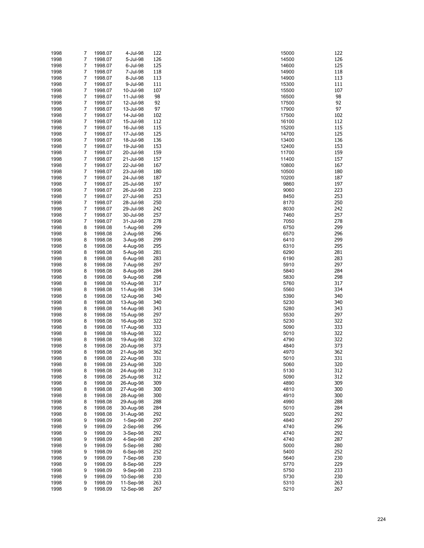| 1998 | 7              | 1998.07 | 4-Jul-98   | 122 | 15000 | 122 |
|------|----------------|---------|------------|-----|-------|-----|
| 1998 | $\overline{7}$ | 1998.07 | 5-Jul-98   | 126 | 14500 | 126 |
|      |                |         |            |     |       | 125 |
| 1998 | 7              | 1998.07 | 6-Jul-98   | 125 | 14600 |     |
| 1998 | 7              | 1998.07 | 7-Jul-98   | 118 | 14900 | 118 |
| 1998 | 7              | 1998.07 | 8-Jul-98   | 113 | 14900 | 113 |
| 1998 | 7              | 1998.07 | 9-Jul-98   | 111 | 15300 | 111 |
| 1998 | 7              | 1998.07 | 10-Jul-98  | 107 | 15500 | 107 |
| 1998 | 7              | 1998.07 | 11-Jul-98  | 98  | 16500 | 98  |
| 1998 | 7              | 1998.07 | 12-Jul-98  | 92  | 17500 | 92  |
| 1998 | 7              | 1998.07 | 13-Jul-98  | 97  | 17900 | 97  |
| 1998 | 7              | 1998.07 | 14-Jul-98  | 102 | 17500 | 102 |
| 1998 | 7              | 1998.07 | 15-Jul-98  | 112 | 16100 | 112 |
|      |                |         |            |     |       |     |
| 1998 | 7              | 1998.07 | 16-Jul-98  | 115 | 15200 | 115 |
| 1998 | 7              | 1998.07 | 17-Jul-98  | 125 | 14700 | 125 |
| 1998 | 7              | 1998.07 | 18-Jul-98  | 136 | 13400 | 136 |
| 1998 | 7              | 1998.07 | 19-Jul-98  | 153 | 12400 | 153 |
| 1998 | 7              | 1998.07 | 20-Jul-98  | 159 | 11700 | 159 |
| 1998 | 7              | 1998.07 | 21-Jul-98  | 157 | 11400 | 157 |
| 1998 | 7              | 1998.07 | 22-Jul-98  | 167 | 10800 | 167 |
| 1998 | 7              | 1998.07 | 23-Jul-98  | 180 | 10500 | 180 |
| 1998 | 7              | 1998.07 | 24-Jul-98  | 187 | 10200 | 187 |
| 1998 | 7              | 1998.07 | 25-Jul-98  | 197 | 9860  | 197 |
|      | 7              |         |            | 223 |       | 223 |
| 1998 |                | 1998.07 | 26-Jul-98  |     | 9060  |     |
| 1998 | 7              | 1998.07 | 27-Jul-98  | 253 | 8450  | 253 |
| 1998 | 7              | 1998.07 | 28-Jul-98  | 250 | 8170  | 250 |
| 1998 | 7              | 1998.07 | 29-Jul-98  | 242 | 8030  | 242 |
| 1998 | 7              | 1998.07 | 30-Jul-98  | 257 | 7460  | 257 |
| 1998 | 7              | 1998.07 | 31-Jul-98  | 278 | 7050  | 278 |
| 1998 | 8              | 1998.08 | 1-Aug-98   | 299 | 6750  | 299 |
| 1998 | 8              | 1998.08 | 2-Aug-98   | 296 | 6570  | 296 |
| 1998 | 8              | 1998.08 | 3-Aug-98   | 299 | 6410  | 299 |
| 1998 | 8              | 1998.08 | 4-Aug-98   | 295 | 6310  | 295 |
|      |                |         |            |     |       |     |
| 1998 | 8              | 1998.08 | 5-Aug-98   | 281 | 6290  | 281 |
| 1998 | 8              | 1998.08 | 6-Aug-98   | 283 | 6190  | 283 |
| 1998 | 8              | 1998.08 | 7-Aug-98   | 297 | 5910  | 297 |
| 1998 | 8              | 1998.08 | 8-Aug-98   | 284 | 5840  | 284 |
| 1998 | 8              | 1998.08 | 9-Aug-98   | 298 | 5830  | 298 |
| 1998 | 8              | 1998.08 | 10-Aug-98  | 317 | 5760  | 317 |
| 1998 | 8              | 1998.08 | 11-Aug-98  | 334 | 5560  | 334 |
| 1998 | 8              | 1998.08 | 12-Aug-98  | 340 | 5390  | 340 |
| 1998 | 8              | 1998.08 | 13-Aug-98  | 340 | 5230  | 340 |
| 1998 | 8              | 1998.08 | 14-Aug-98  | 343 | 5280  | 343 |
| 1998 | 8              | 1998.08 | 15-Aug-98  | 297 | 5530  | 297 |
|      |                |         |            |     |       |     |
| 1998 | 8              | 1998.08 | 16-Aug-98  | 322 | 5230  | 322 |
| 1998 | 8              | 1998.08 | 17-Aug-98  | 333 | 5090  | 333 |
| 1998 | 8              | 1998.08 | 18-Aug-98  | 322 | 5010  | 322 |
| 1998 | 8              | 1998.08 | 19-Aug-98  | 322 | 4790  | 322 |
| 1998 | 8              | 1998.08 | 20-Aug-98  | 373 | 4840  | 373 |
| 1998 | 8              | 1998.08 | 21-Aug-98  | 362 | 4970  | 362 |
| 1998 | 8              | 1998.08 | 22-Aug-98  | 331 | 5010  | 331 |
| 1998 | 8              | 1998.08 | 23-Aug-98  | 320 | 5060  | 320 |
| 1998 | 8              | 1998.08 | 24-Aug-98  | 312 | 5130  | 312 |
| 1998 | 8              | 1998.08 | 25-Aug-98  | 312 | 5090  | 312 |
|      |                |         | 26-Aug-98  |     |       | 309 |
| 1998 | 8              | 1998.08 |            | 309 | 4890  |     |
| 1998 | 8              | 1998.08 | 27-Aug-98  | 300 | 4810  | 300 |
| 1998 | 8              | 1998.08 | 28-Aug-98  | 300 | 4910  | 300 |
| 1998 | 8              | 1998.08 | 29-Aug-98  | 288 | 4990  | 288 |
| 1998 | 8              | 1998.08 | 30-Aug-98  | 284 | 5010  | 284 |
| 1998 | 8              | 1998.08 | 31-Aug-98  | 292 | 5020  | 292 |
| 1998 | 9              | 1998.09 | $1-Sep-98$ | 297 | 4840  | 297 |
| 1998 | 9              | 1998.09 | $2-Sep-98$ | 296 | 4740  | 296 |
| 1998 | 9              | 1998.09 | 3-Sep-98   | 292 | 4740  | 292 |
| 1998 | 9              | 1998.09 | 4-Sep-98   | 287 | 4740  | 287 |
| 1998 | 9              | 1998.09 | 5-Sep-98   | 280 | 5000  | 280 |
|      |                |         |            |     |       |     |
| 1998 | 9              | 1998.09 | $6-Sep-98$ | 252 | 5400  | 252 |
| 1998 | 9              | 1998.09 | 7-Sep-98   | 230 | 5640  | 230 |
| 1998 | 9              | 1998.09 | 8-Sep-98   | 229 | 5770  | 229 |
| 1998 | 9              | 1998.09 | 9-Sep-98   | 233 | 5750  | 233 |
| 1998 | 9              | 1998.09 | 10-Sep-98  | 230 | 5730  | 230 |
| 1998 | 9              | 1998.09 | 11-Sep-98  | 263 | 5310  | 263 |
| 1998 | 9              | 1998.09 | 12-Sep-98  | 267 | 5210  | 267 |

| 5000         | 12       |
|--------------|----------|
| 1500         | 12       |
| 1600<br>1900 | 12<br>11 |
| 1900         | 11       |
| 5300         | 11       |
| 5500         | 10       |
| 6500         | 98       |
| 7500<br>7900 | 92<br>9, |
| 7500         | 10       |
| 6100         | 11       |
| 5200         | 11       |
| 1700<br>3400 | 12<br>13 |
| 2400         | 15       |
| 1700         | 15       |
| 1400         | 15       |
| 0080         | 16       |
| )500<br>)200 | 18<br>18 |
| 9860         | 19       |
| 9060         | 22       |
| 3450         | 25       |
| 3170         | 25       |
| 3030<br>7460 | 24<br>25 |
| 7050         | 27       |
| 3750         | 29       |
| 6570         | 29       |
| 6410         | 29<br>29 |
| 310<br>3290  | 28       |
| 6190         | 28       |
| 5910         | 29       |
| 5840         | 28       |
| 5830<br>5760 | 29<br>31 |
| 5560         | 33       |
| 5390         | 34       |
| 5230         | 34       |
| 5280         | 34       |
| 5530<br>5230 | 29<br>32 |
| 5090         | 33       |
| 5010         | 32       |
| 1790         | 32       |
| 1840<br>1970 | 37<br>36 |
| 5010         | 33       |
| 5060         | 32       |
| 5130         | 31       |
| 5090         | 31       |
| 1890<br>1810 | 30<br>30 |
| 1910         | 30       |
| 1990         | 28       |
| 5010         | 28       |
| 5020         | 29       |
| 1840<br>1740 | 29<br>29 |
| 1740         | 29       |
| 1740         | 28       |
| 5000         | 28       |
| 5400         | 25<br>23 |
| 5640<br>5770 | 22       |
| 5750         | 23       |
| 5730         | 23       |
| 5310         | 26       |
| 5210         | 26       |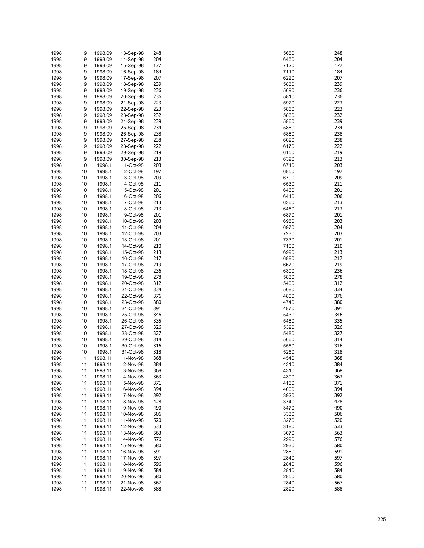| 1998 | 9  | 1998.09 | 13-Sep-98 | 248 | 5680 | 248 |
|------|----|---------|-----------|-----|------|-----|
|      |    |         |           |     |      | 204 |
| 1998 | 9  | 1998.09 | 14-Sep-98 | 204 | 6450 |     |
| 1998 | 9  | 1998.09 | 15-Sep-98 | 177 | 7120 | 177 |
| 1998 | 9  | 1998.09 | 16-Sep-98 | 184 | 7110 | 184 |
| 1998 | 9  | 1998.09 | 17-Sep-98 | 207 | 6220 | 207 |
| 1998 | 9  | 1998.09 | 18-Sep-98 | 239 | 5830 | 239 |
| 1998 | 9  | 1998.09 | 19-Sep-98 | 236 | 5690 | 236 |
| 1998 | 9  | 1998.09 | 20-Sep-98 | 236 | 5810 | 236 |
|      |    |         |           |     |      |     |
| 1998 | 9  | 1998.09 | 21-Sep-98 | 223 | 5920 | 223 |
| 1998 | 9  | 1998.09 | 22-Sep-98 | 223 | 5860 | 223 |
| 1998 | 9  | 1998.09 | 23-Sep-98 | 232 | 5860 | 232 |
| 1998 | 9  | 1998.09 | 24-Sep-98 | 239 | 5860 | 239 |
| 1998 | 9  | 1998.09 | 25-Sep-98 | 234 | 5860 | 234 |
| 1998 | 9  | 1998.09 | 26-Sep-98 | 238 | 5880 | 238 |
|      |    |         |           |     |      |     |
| 1998 | 9  | 1998.09 | 27-Sep-98 | 238 | 6020 | 238 |
| 1998 | 9  | 1998.09 | 28-Sep-98 | 222 | 6170 | 222 |
| 1998 | 9  | 1998.09 | 29-Sep-98 | 219 | 6150 | 219 |
| 1998 | 9  | 1998.09 | 30-Sep-98 | 213 | 6390 | 213 |
| 1998 | 10 | 1998.1  | 1-Oct-98  | 203 | 6710 | 203 |
| 1998 | 10 | 1998.1  | 2-Oct-98  | 197 | 6850 | 197 |
|      |    |         |           |     |      | 209 |
| 1998 | 10 | 1998.1  | 3-Oct-98  | 209 | 6790 |     |
| 1998 | 10 | 1998.1  | 4-Oct-98  | 211 | 6530 | 211 |
| 1998 | 10 | 1998.1  | 5-Oct-98  | 201 | 6460 | 201 |
| 1998 | 10 | 1998.1  | 6-Oct-98  | 206 | 6410 | 206 |
| 1998 | 10 | 1998.1  | 7-Oct-98  | 213 | 6360 | 213 |
| 1998 | 10 | 1998.1  | 8-Oct-98  | 213 | 6460 | 213 |
| 1998 | 10 | 1998.1  | 9-Oct-98  | 201 | 6870 | 201 |
|      |    |         |           |     |      |     |
| 1998 | 10 | 1998.1  | 10-Oct-98 | 203 | 6950 | 203 |
| 1998 | 10 | 1998.1  | 11-Oct-98 | 204 | 6970 | 204 |
| 1998 | 10 | 1998.1  | 12-Oct-98 | 203 | 7230 | 203 |
| 1998 | 10 | 1998.1  | 13-Oct-98 | 201 | 7330 | 201 |
| 1998 | 10 | 1998.1  | 14-Oct-98 | 210 | 7100 | 210 |
| 1998 | 10 | 1998.1  | 15-Oct-98 | 213 | 6990 | 213 |
|      |    |         |           |     |      |     |
| 1998 | 10 | 1998.1  | 16-Oct-98 | 217 | 6880 | 217 |
| 1998 | 10 | 1998.1  | 17-Oct-98 | 219 | 6670 | 219 |
| 1998 | 10 | 1998.1  | 18-Oct-98 | 236 | 6300 | 236 |
| 1998 | 10 | 1998.1  | 19-Oct-98 | 278 | 5830 | 278 |
| 1998 | 10 | 1998.1  | 20-Oct-98 | 312 | 5400 | 312 |
| 1998 | 10 | 1998.1  | 21-Oct-98 | 334 | 5080 | 334 |
| 1998 | 10 | 1998.1  | 22-Oct-98 | 376 | 4800 | 376 |
|      |    |         |           |     |      |     |
| 1998 | 10 | 1998.1  | 23-Oct-98 | 380 | 4740 | 380 |
| 1998 | 10 | 1998.1  | 24-Oct-98 | 391 | 4870 | 391 |
| 1998 | 10 | 1998.1  | 25-Oct-98 | 346 | 5430 | 346 |
| 1998 | 10 | 1998.1  | 26-Oct-98 | 335 | 5480 | 335 |
| 1998 | 10 | 1998.1  | 27-Oct-98 | 326 | 5320 | 326 |
| 1998 | 10 | 1998.1  | 28-Oct-98 | 327 | 5480 | 327 |
|      |    |         |           |     |      |     |
| 1998 | 10 | 1998.1  | 29-Oct-98 | 314 | 5660 | 314 |
| 1998 | 10 | 1998.1  | 30-Oct-98 | 316 | 5550 | 316 |
| 1998 | 10 | 1998.1  | 31-Oct-98 | 318 | 5250 | 318 |
| 1998 | 11 | 1998.11 | 1-Nov-98  | 368 | 4540 | 368 |
| 1998 | 11 | 1998.11 | 2-Nov-98  | 384 | 4310 | 384 |
| 1998 | 11 | 1998.11 | 3-Nov-98  | 368 | 4310 | 368 |
|      |    |         |           |     |      |     |
| 1998 | 11 | 1998.11 | 4-Nov-98  | 363 | 4300 | 363 |
| 1998 | 11 | 1998.11 | 5-Nov-98  | 371 | 4160 | 371 |
| 1998 | 11 | 1998.11 | 6-Nov-98  | 394 | 4000 | 394 |
| 1998 | 11 | 1998.11 | 7-Nov-98  | 392 | 3920 | 392 |
| 1998 | 11 | 1998.11 | 8-Nov-98  | 428 | 3740 | 428 |
| 1998 | 11 | 1998.11 | 9-Nov-98  | 490 | 3470 | 490 |
| 1998 | 11 | 1998.11 | 10-Nov-98 | 506 | 3330 | 506 |
|      |    |         |           |     |      |     |
| 1998 | 11 | 1998.11 | 11-Nov-98 | 520 | 3270 | 520 |
| 1998 | 11 | 1998.11 | 12-Nov-98 | 533 | 3180 | 533 |
| 1998 | 11 | 1998.11 | 13-Nov-98 | 563 | 3070 | 563 |
| 1998 | 11 | 1998.11 | 14-Nov-98 | 576 | 2990 | 576 |
| 1998 | 11 | 1998.11 | 15-Nov-98 | 580 | 2930 | 580 |
| 1998 | 11 | 1998.11 | 16-Nov-98 | 591 | 2880 | 591 |
|      |    |         |           | 597 |      | 597 |
| 1998 | 11 | 1998.11 | 17-Nov-98 |     | 2840 |     |
| 1998 | 11 | 1998.11 | 18-Nov-98 | 596 | 2840 | 596 |
| 1998 | 11 | 1998.11 | 19-Nov-98 | 584 | 2840 | 584 |
| 1998 | 11 | 1998.11 | 20-Nov-98 | 580 | 2850 | 580 |
| 1998 | 11 | 1998.11 | 21-Nov-98 | 567 | 2840 | 567 |
| 1998 | 11 | 1998.11 | 22-Nov-98 | 588 | 2890 | 588 |
|      |    |         |           |     |      |     |

| 5680         | 24       |
|--------------|----------|
| 3450         | 20       |
| 120          | 17       |
| 7110         | 18       |
| 6220         | 20       |
| 5830         | 23       |
| 5690         | 23       |
| 5810         | 23<br>22 |
| 5920<br>5860 | 22       |
| 5860         | 23       |
| 5860         | 23       |
| 5860         | 23       |
| 5880         | 23       |
| 6020         | 23       |
| 6170         | 22       |
| 6150         | 21       |
| 3390         | 21       |
| 6710         | 20       |
| 3850         | 19       |
| 3790         | 20       |
| 3530         | 21       |
| 6460         | 20       |
| 6410         | 20       |
| 3360         | 21<br>21 |
| 3460<br>6870 | 20       |
| 3950         | 20       |
| 3970         | 20       |
| 7230         | 20       |
| 7330         | 20       |
| 7100         | 21       |
| 990ء         | 21       |
| 6880         | 21       |
| 670          | 21       |
| 300          | 23       |
| 5830         | 27       |
| 5400         | 31       |
| 5080         | 33       |
| 1800         | 37       |
| 1740         | 38       |
| 1870         | 39       |
| 5430<br>5480 | 34<br>33 |
| 5320         | 32       |
| 5480         | 32       |
| 5660         | 31       |
| 5550         | 31       |
| 5250         | 31       |
| 1540         | 36       |
| 1310         | 38       |
| 1310         | 36       |
| 1300         | 36       |
| 1160         | 37       |
| 1000         | 39       |
| 3920         | 39       |
| 3740         | 42       |
| 3470         | 49       |
| 3330         | 50       |
| 3270         | 52       |
| 3180         | 53       |
| 3070         | 56       |
| 2990         | 57       |
| 2930         | 58       |
| 2880         | 59       |
| 2840         | 59       |
| 2840<br>2840 | 59<br>58 |
| 2850         | 58       |
| 2840         | 56       |
| 2890         | 58       |
|              |          |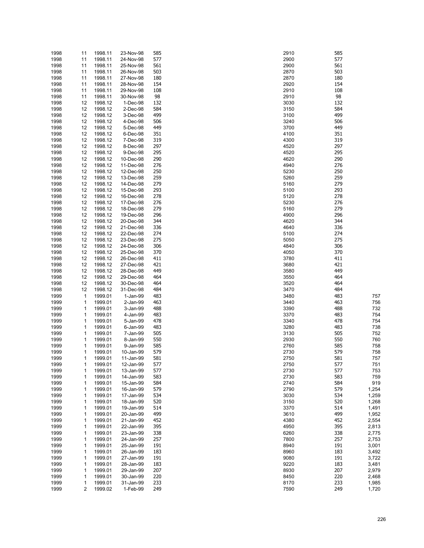| 1998 | 11                      | 1998.11 | 23-Nov-98 | 585 | 2910 | 585 |       |
|------|-------------------------|---------|-----------|-----|------|-----|-------|
| 1998 | 11                      | 1998.11 | 24-Nov-98 | 577 | 2900 | 577 |       |
| 1998 | 11                      | 1998.11 | 25-Nov-98 | 561 | 2900 | 561 |       |
| 1998 | 11                      | 1998.11 | 26-Nov-98 | 503 | 2870 | 503 |       |
|      |                         |         |           |     |      |     |       |
| 1998 | 11                      | 1998.11 | 27-Nov-98 | 180 | 2870 | 180 |       |
| 1998 | 11                      | 1998.11 | 28-Nov-98 | 154 | 2920 | 154 |       |
| 1998 | 11                      | 1998.11 | 29-Nov-98 | 108 | 2910 | 108 |       |
| 1998 | 11                      | 1998.11 | 30-Nov-98 | 98  | 2910 | 98  |       |
|      |                         |         |           |     |      |     |       |
| 1998 | 12                      | 1998.12 | 1-Dec-98  | 132 | 3030 | 132 |       |
| 1998 | 12                      | 1998.12 | 2-Dec-98  | 584 | 3150 | 584 |       |
| 1998 | 12                      | 1998.12 | 3-Dec-98  | 499 | 3100 | 499 |       |
|      | 12                      | 1998.12 |           | 506 | 3240 | 506 |       |
| 1998 |                         |         | 4-Dec-98  |     |      |     |       |
| 1998 | 12                      | 1998.12 | 5-Dec-98  | 449 | 3700 | 449 |       |
| 1998 | 12                      | 1998.12 | 6-Dec-98  | 351 | 4100 | 351 |       |
| 1998 | 12                      | 1998.12 | 7-Dec-98  | 319 | 4300 | 319 |       |
|      | 12                      |         |           | 297 | 4520 | 297 |       |
| 1998 |                         | 1998.12 | 8-Dec-98  |     |      |     |       |
| 1998 | 12                      | 1998.12 | 9-Dec-98  | 295 | 4520 | 295 |       |
| 1998 | 12                      | 1998.12 | 10-Dec-98 | 290 | 4620 | 290 |       |
| 1998 | 12                      | 1998.12 | 11-Dec-98 | 276 | 4940 | 276 |       |
|      |                         |         |           |     |      |     |       |
| 1998 | 12                      | 1998.12 | 12-Dec-98 | 250 | 5230 | 250 |       |
| 1998 | 12                      | 1998.12 | 13-Dec-98 | 259 | 5260 | 259 |       |
| 1998 | 12                      | 1998.12 | 14-Dec-98 | 279 | 5160 | 279 |       |
| 1998 | 12                      | 1998.12 | 15-Dec-98 | 293 | 5100 | 293 |       |
|      |                         |         |           |     |      |     |       |
| 1998 | 12                      | 1998.12 | 16-Dec-98 | 278 | 5120 | 278 |       |
| 1998 | 12                      | 1998.12 | 17-Dec-98 | 276 | 5230 | 276 |       |
| 1998 | 12                      | 1998.12 | 18-Dec-98 | 279 | 5160 | 279 |       |
|      | 12                      | 1998.12 | 19-Dec-98 | 296 | 4900 | 296 |       |
| 1998 |                         |         |           |     |      |     |       |
| 1998 | 12                      | 1998.12 | 20-Dec-98 | 344 | 4620 | 344 |       |
| 1998 | 12                      | 1998.12 | 21-Dec-98 | 336 | 4640 | 336 |       |
| 1998 | 12                      | 1998.12 | 22-Dec-98 | 274 | 5100 | 274 |       |
|      |                         | 1998.12 |           |     |      | 275 |       |
| 1998 | 12                      |         | 23-Dec-98 | 275 | 5050 |     |       |
| 1998 | 12                      | 1998.12 | 24-Dec-98 | 306 | 4840 | 306 |       |
| 1998 | 12                      | 1998.12 | 25-Dec-98 | 370 | 4050 | 370 |       |
| 1998 | 12                      | 1998.12 | 26-Dec-98 | 411 | 3780 | 411 |       |
|      |                         |         |           |     |      | 421 |       |
| 1998 | 12                      | 1998.12 | 27-Dec-98 | 421 | 3680 |     |       |
| 1998 | 12                      | 1998.12 | 28-Dec-98 | 449 | 3580 | 449 |       |
| 1998 | 12                      | 1998.12 | 29-Dec-98 | 464 | 3550 | 464 |       |
| 1998 | 12                      | 1998.12 | 30-Dec-98 | 464 | 3520 | 464 |       |
|      |                         |         |           |     |      | 484 |       |
| 1998 | 12                      | 1998.12 | 31-Dec-98 | 484 | 3470 |     |       |
| 1999 | $\mathbf 1$             | 1999.01 | 1-Jan-99  | 483 | 3480 | 483 | 757   |
| 1999 | $\mathbf 1$             | 1999.01 | 2-Jan-99  | 463 | 3440 | 463 | 756   |
| 1999 | 1                       | 1999.01 | 3-Jan-99  | 488 | 3390 | 488 | 732   |
|      |                         |         |           |     |      |     |       |
| 1999 | 1                       | 1999.01 | 4-Jan-99  | 483 | 3370 | 483 | 754   |
| 1999 | 1                       | 1999.01 | 5-Jan-99  | 478 | 3340 | 478 | 754   |
| 1999 | $\mathbf 1$             | 1999.01 | 6-Jan-99  | 483 | 3280 | 483 | 738   |
| 1999 | 1                       | 1999.01 | 7-Jan-99  | 505 | 3130 | 505 | 752   |
|      |                         |         |           |     |      |     |       |
| 1999 | 1                       | 1999.01 | 8-Jan-99  | 550 | 2930 | 550 | 760   |
| 1999 | 1                       | 1999.01 | 9-Jan-99  | 585 | 2760 | 585 | 758   |
| 1999 | 1                       | 1999.01 | 10-Jan-99 | 579 | 2730 | 579 | 758   |
| 1999 | $\mathbf{1}$            | 1999.01 | 11-Jan-99 | 581 | 2750 | 581 | 757   |
|      |                         |         |           |     |      |     |       |
| 1999 | 1                       | 1999.01 | 12-Jan-99 | 577 | 2750 | 577 | 751   |
| 1999 | 1                       | 1999.01 | 13-Jan-99 | 577 | 2730 | 577 | 753   |
| 1999 | 1                       | 1999.01 | 14-Jan-99 | 583 | 2730 | 583 | 759   |
| 1999 | 1                       | 1999.01 | 15-Jan-99 | 584 | 2740 | 584 | 919   |
|      |                         |         |           |     |      |     |       |
| 1999 | 1                       | 1999.01 | 16-Jan-99 | 579 | 2790 | 579 | 1,254 |
| 1999 | 1                       | 1999.01 | 17-Jan-99 | 534 | 3030 | 534 | 1,259 |
| 1999 | 1                       | 1999.01 | 18-Jan-99 | 520 | 3150 | 520 | 1,268 |
| 1999 | 1                       | 1999.01 | 19-Jan-99 | 514 | 3370 | 514 | 1,491 |
|      |                         |         |           |     |      |     |       |
| 1999 | 1                       | 1999.01 | 20-Jan-99 | 499 | 3610 | 499 | 1,952 |
| 1999 | 1                       | 1999.01 | 21-Jan-99 | 452 | 4380 | 452 | 2,554 |
| 1999 | 1                       | 1999.01 | 22-Jan-99 | 395 | 4950 | 395 | 2,813 |
| 1999 | 1                       | 1999.01 | 23-Jan-99 | 338 | 6260 | 338 | 2,775 |
|      |                         |         |           |     |      |     |       |
| 1999 | 1                       | 1999.01 | 24-Jan-99 | 257 | 7800 | 257 | 2,753 |
| 1999 | 1                       | 1999.01 | 25-Jan-99 | 191 | 8940 | 191 | 3,001 |
| 1999 | 1                       | 1999.01 | 26-Jan-99 | 183 | 8960 | 183 | 3,492 |
| 1999 | 1                       | 1999.01 | 27-Jan-99 | 191 | 9080 | 191 | 3,722 |
|      |                         |         |           |     |      |     |       |
| 1999 | 1                       | 1999.01 | 28-Jan-99 | 183 | 9220 | 183 | 3,481 |
| 1999 | 1                       | 1999.01 | 29-Jan-99 | 207 | 8930 | 207 | 2,979 |
| 1999 | 1                       | 1999.01 | 30-Jan-99 | 220 | 8450 | 220 | 2,468 |
|      | 1                       | 1999.01 |           | 233 |      | 233 |       |
| 1999 |                         |         | 31-Jan-99 |     | 8170 |     | 1,985 |
| 1999 | $\overline{\mathbf{c}}$ | 1999.02 | 1-Feb-99  | 249 | 7590 | 249 | 1,720 |

| 10 | 585 |      |
|----|-----|------|
| 00 | 577 |      |
| 00 | 561 |      |
| 70 | 503 |      |
| 70 | 180 |      |
| 20 | 154 |      |
| 10 | 108 |      |
| 10 | 98  |      |
| 30 | 132 |      |
| 50 | 584 |      |
|    |     |      |
| 00 | 499 |      |
| 40 | 506 |      |
| 00 | 449 |      |
| 00 | 351 |      |
| 00 | 319 |      |
| 20 | 297 |      |
| 20 | 295 |      |
| 20 | 290 |      |
| 40 | 276 |      |
| 30 | 250 |      |
| 60 | 259 |      |
| 60 | 279 |      |
|    | 293 |      |
| 00 |     |      |
| 20 | 278 |      |
| 30 | 276 |      |
| 60 | 279 |      |
| 00 | 296 |      |
| 20 | 344 |      |
| 40 | 336 |      |
| 00 | 274 |      |
| 50 | 275 |      |
| 40 | 306 |      |
| 50 | 370 |      |
|    |     |      |
| 80 | 411 |      |
| 80 | 421 |      |
| 80 | 449 |      |
| 50 | 464 |      |
| 20 | 464 |      |
| 70 | 484 |      |
| 80 | 483 | 75   |
| 40 | 463 | 75   |
| 90 | 488 | 73   |
| 70 | 483 | 75   |
| 40 | 478 | 75   |
|    |     | 73   |
| 80 | 483 |      |
| 30 | 505 | 75   |
| 30 | 550 | 76   |
| 60 | 585 | 75   |
| 30 | 579 | 75   |
| 50 | 581 | 75   |
| 50 | 577 | 75   |
| 30 | 577 | 75   |
| 30 | 583 | 75   |
| 40 | 584 | 91   |
| 90 | 579 | 1,25 |
| 30 | 534 |      |
|    |     | 1,25 |
| 50 | 520 | 1,26 |
| 70 | 514 | 1,49 |
| 10 | 499 | 1,95 |
| 80 | 452 | 2,55 |
| 50 | 395 | 2,81 |
| 60 | 338 | 2,77 |
| 00 | 257 | 2,75 |
| 40 | 191 | 3,00 |
| 60 | 183 | 3,49 |
| 80 | 191 | 3,72 |
|    |     |      |
| 20 | 183 | 3,48 |
| 30 | 207 | 2,97 |
| 50 | 220 | 2,46 |
| 70 | 233 | 1,98 |
| 90 | 249 | 1,72 |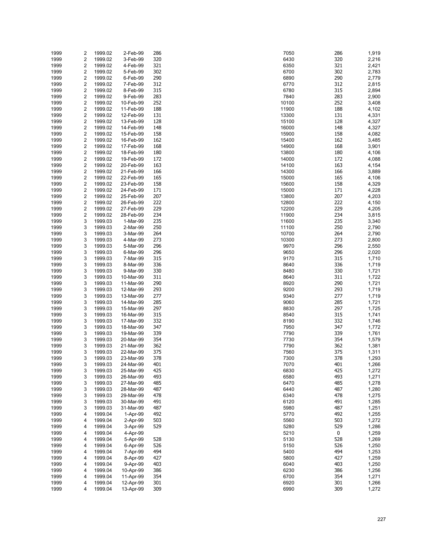| 1999 | 2                       | 1999.02 | 2-Feb-99  | 286 | 7050  | 286       | 1,919 |
|------|-------------------------|---------|-----------|-----|-------|-----------|-------|
| 1999 | $\overline{\mathbf{c}}$ | 1999.02 | 3-Feb-99  | 320 | 6430  | 320       | 2,216 |
| 1999 | 2                       | 1999.02 | 4-Feb-99  | 321 | 6350  | 321       | 2,421 |
| 1999 | 2                       | 1999.02 | 5-Feb-99  | 302 | 6700  | 302       | 2,783 |
| 1999 | 2                       | 1999.02 | 6-Feb-99  | 290 | 6890  | 290       | 2,779 |
|      |                         |         |           |     |       |           |       |
| 1999 | 2                       | 1999.02 | 7-Feb-99  | 312 | 6770  | 312       | 2,815 |
| 1999 | 2                       | 1999.02 | 8-Feb-99  | 315 | 6780  | 315       | 2,894 |
| 1999 | 2                       | 1999.02 | 9-Feb-99  | 283 | 7840  | 283       | 2,900 |
| 1999 | 2                       | 1999.02 | 10-Feb-99 | 252 | 10100 | 252       | 3,408 |
| 1999 | 2                       | 1999.02 | 11-Feb-99 | 188 | 11900 | 188       | 4,102 |
| 1999 | 2                       | 1999.02 | 12-Feb-99 | 131 | 13300 | 131       | 4,331 |
| 1999 | 2                       | 1999.02 | 13-Feb-99 | 128 | 15100 | 128       | 4,327 |
| 1999 | 2                       | 1999.02 | 14-Feb-99 | 148 | 16000 | 148       | 4,327 |
| 1999 | 2                       | 1999.02 | 15-Feb-99 | 158 | 15900 | 158       | 4,082 |
| 1999 | 2                       | 1999.02 | 16-Feb-99 | 162 | 15400 | 162       | 3,485 |
| 1999 | 2                       | 1999.02 | 17-Feb-99 | 168 | 14900 | 168       |       |
|      |                         |         |           |     |       |           | 3,901 |
| 1999 | 2                       | 1999.02 | 18-Feb-99 | 180 | 13800 | 180       | 4,106 |
| 1999 | 2                       | 1999.02 | 19-Feb-99 | 172 | 14000 | 172       | 4,088 |
| 1999 | 2                       | 1999.02 | 20-Feb-99 | 163 | 14100 | 163       | 4,154 |
| 1999 | 2                       | 1999.02 | 21-Feb-99 | 166 | 14300 | 166       | 3,889 |
| 1999 | 2                       | 1999.02 | 22-Feb-99 | 165 | 15000 | 165       | 4,106 |
| 1999 | 2                       | 1999.02 | 23-Feb-99 | 158 | 15600 | 158       | 4,329 |
| 1999 | 2                       | 1999.02 | 24-Feb-99 | 171 | 15000 | 171       | 4,228 |
| 1999 | 2                       | 1999.02 | 25-Feb-99 | 207 | 13800 | 207       | 4,203 |
| 1999 | 2                       | 1999.02 | 26-Feb-99 | 222 | 12800 | 222       | 4,150 |
| 1999 | 2                       | 1999.02 | 27-Feb-99 | 229 | 12200 | 229       | 4,205 |
| 1999 | 2                       | 1999.02 | 28-Feb-99 | 234 | 11900 | 234       | 3,815 |
|      |                         |         |           |     |       |           |       |
| 1999 | 3                       | 1999.03 | 1-Mar-99  | 235 | 11600 | 235       | 3,340 |
| 1999 | 3                       | 1999.03 | 2-Mar-99  | 250 | 11100 | 250       | 2,790 |
| 1999 | 3                       | 1999.03 | 3-Mar-99  | 264 | 10700 | 264       | 2,790 |
| 1999 | 3                       | 1999.03 | 4-Mar-99  | 273 | 10300 | 273       | 2,800 |
| 1999 | 3                       | 1999.03 | 5-Mar-99  | 296 | 9970  | 296       | 2,550 |
| 1999 | 3                       | 1999.03 | 6-Mar-99  | 296 | 9650  | 296       | 2,020 |
| 1999 | 3                       | 1999.03 | 7-Mar-99  | 315 | 9170  | 315       | 1,710 |
| 1999 | 3                       | 1999.03 | 8-Mar-99  | 336 | 8640  | 336       | 1,719 |
| 1999 | 3                       | 1999.03 | 9-Mar-99  | 330 | 8480  | 330       | 1,721 |
| 1999 | 3                       | 1999.03 | 10-Mar-99 | 311 | 8640  | 311       | 1,722 |
| 1999 | 3                       | 1999.03 | 11-Mar-99 | 290 | 8920  | 290       | 1,721 |
| 1999 | 3                       | 1999.03 | 12-Mar-99 | 293 | 9200  | 293       | 1,719 |
|      |                         |         |           |     |       |           |       |
| 1999 | 3                       | 1999.03 | 13-Mar-99 | 277 | 9340  | 277       | 1,719 |
| 1999 | 3                       | 1999.03 | 14-Mar-99 | 285 | 9060  | 285       | 1,721 |
| 1999 | 3                       | 1999.03 | 15-Mar-99 | 297 | 8830  | 297       | 1,725 |
| 1999 | 3                       | 1999.03 | 16-Mar-99 | 315 | 8540  | 315       | 1,741 |
| 1999 | 3                       | 1999.03 | 17-Mar-99 | 332 | 8190  | 332       | 1,746 |
| 1999 | 3                       | 1999.03 | 18-Mar-99 | 347 | 7950  | 347       | 1,772 |
| 1999 | 3                       | 1999.03 | 19-Mar-99 | 339 | 7790  | 339       | 1,761 |
| 1999 | 3                       | 1999.03 | 20-Mar-99 | 354 | 7730  | 354       | 1,579 |
| 1999 | 3                       | 1999.03 | 21-Mar-99 | 362 | 7790  | 362       | 1,381 |
| 1999 | 3                       | 1999.03 | 22-Mar-99 | 375 | 7560  | 375       | 1,311 |
| 1999 | 3                       | 1999.03 | 23-Mar-99 | 378 | 7300  | 378       | 1,293 |
| 1999 | 3                       | 1999.03 | 24-Mar-99 | 401 | 7070  | 401       | 1,266 |
| 1999 | 3                       | 1999.03 | 25-Mar-99 | 425 | 6830  | 425       | 1,272 |
|      |                         |         |           |     |       | 493       |       |
| 1999 | 3                       | 1999.03 | 26-Mar-99 | 493 | 6580  |           | 1,271 |
| 1999 | 3                       | 1999.03 | 27-Mar-99 | 485 | 6470  | 485       | 1,278 |
| 1999 | 3                       | 1999.03 | 28-Mar-99 | 487 | 6440  | 487       | 1,280 |
| 1999 | 3                       | 1999.03 | 29-Mar-99 | 478 | 6340  | 478       | 1,275 |
| 1999 | 3                       | 1999.03 | 30-Mar-99 | 491 | 6120  | 491       | 1,285 |
| 1999 | 3                       | 1999.03 | 31-Mar-99 | 487 | 5980  | 487       | 1,251 |
| 1999 | 4                       | 1999.04 | 1-Apr-99  | 492 | 5770  | 492       | 1,255 |
| 1999 | 4                       | 1999.04 | 2-Apr-99  | 503 | 5560  | 503       | 1,272 |
| 1999 | 4                       | 1999.04 | 3-Apr-99  | 529 | 5280  | 529       | 1,286 |
| 1999 | 4                       | 1999.04 | 4-Apr-99  |     | 5210  | $\pmb{0}$ | 1,259 |
| 1999 | 4                       | 1999.04 | 5-Apr-99  | 528 | 5130  | 528       | 1,269 |
|      | 4                       |         |           | 526 | 5150  | 526       |       |
| 1999 |                         | 1999.04 | 6-Apr-99  |     |       |           | 1,250 |
| 1999 | 4                       | 1999.04 | 7-Apr-99  | 494 | 5400  | 494       | 1,253 |
| 1999 | 4                       | 1999.04 | 8-Apr-99  | 427 | 5800  | 427       | 1,259 |
| 1999 | 4                       | 1999.04 | 9-Apr-99  | 403 | 6040  | 403       | 1,250 |
| 1999 | 4                       | 1999.04 | 10-Apr-99 | 386 | 6230  | 386       | 1,256 |
| 1999 | 4                       | 1999.04 | 11-Apr-99 | 354 | 6700  | 354       | 1,271 |
| 1999 | 4                       | 1999.04 | 12-Apr-99 | 301 | 6920  | 301       | 1,266 |
| 1999 | 4                       | 1999.04 | 13-Apr-99 | 309 | 6990  | 309       | 1,272 |

| 50       | 286        | 1,919          |
|----------|------------|----------------|
| 30<br>50 | 320<br>321 | 2,216<br>2,421 |
| 00       | 302        | 2,783          |
| 90       | 290        | 2,779          |
| 70<br>80 | 312<br>315 | 2,815<br>2,894 |
| 40       | 283        | 2,900          |
| 00       | 252        | 3,408          |
| 00       | 188        | 4,102          |
| 00<br>00 | 131<br>128 | 4,331<br>4,327 |
| 00       | 148        | 4,327          |
| 00       | 158        | 4,082          |
| 00<br>00 | 162<br>168 | 3,485<br>3,901 |
| 00       | 180        | 4,106          |
| 00       | 172        | 4,088          |
| 00       | 163        | 4,154          |
| 00<br>00 | 166<br>165 | 3,889<br>4,106 |
| 00       | 158        | 4,329          |
| 00       | 171        | 4,228          |
| 00<br>00 | 207<br>222 | 4,203<br>4,150 |
| 00       | 229        | 4,205          |
| 00       | 234        | 3,815          |
| 00       | 235<br>250 | 3,340<br>2,790 |
| 00<br>00 | 264        | 2,790          |
| 00       | 273        | 2,800          |
| 70       | 296        | 2,550          |
| 50<br>70 | 296<br>315 | 2,020<br>1,710 |
| 40       | 336        | 1,719          |
| 80       | 330        | 1,721          |
| 40<br>20 | 311<br>290 | 1,722<br>1,721 |
| 00       | 293        | 1,719          |
| 40       | 277        | 1,719          |
| 60       | 285        | 1,721          |
| 30<br>40 | 297<br>315 | 1,725<br>1,741 |
| 90       | 332        | 1,746          |
| 50       | 347        | 1,772          |
| 90<br>30 | 339<br>354 | 1,761<br>1,579 |
| 90       | 362        | 1,381          |
| 60       | 375        | 1,311          |
| 00<br>70 | 378<br>401 | 1,293<br>1,266 |
| 30       | 425        | 1,272          |
| 80       | 493        | 1,271          |
| 70       | 485        | 1,278          |
| 40<br>40 | 487<br>478 | 1,280<br>1,275 |
| 20       | 491        | 1,285          |
| 80       | 487        | 1,251          |
| 70<br>60 | 492<br>503 | 1,255<br>1,272 |
| 80       | 529        | 1,286          |
| 10       | 0          | 1,259          |
| 30       | 528        | 1,269          |
| 50<br>00 | 526<br>494 | 1,250<br>1,253 |
| 00       | 427        | 1,259          |
| 40       | 403        | 1,250          |
| 30<br>00 | 386<br>354 | 1,256<br>1,271 |
| 20       | 301        | 1,266          |
| 90       | 309        | 1,272          |
|          |            |                |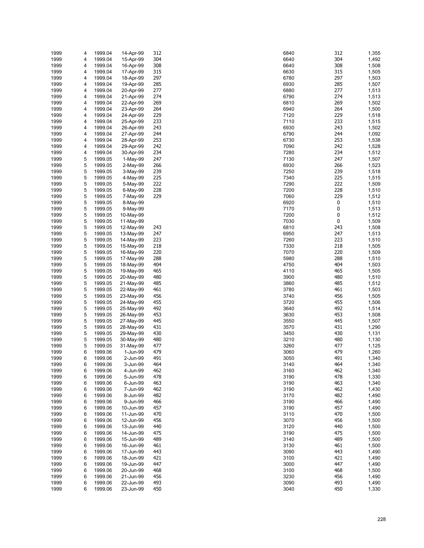| 1999 | 4 | 1999.04 | 14-Apr-99 | 312 | 6840 | 312<br>1,355 |
|------|---|---------|-----------|-----|------|--------------|
| 1999 | 4 | 1999.04 | 15-Apr-99 | 304 | 6640 | 304<br>1,492 |
|      |   |         |           |     |      | 308          |
| 1999 | 4 | 1999.04 | 16-Apr-99 | 308 | 6640 | 1,508        |
| 1999 | 4 | 1999.04 | 17-Apr-99 | 315 | 6630 | 315<br>1,505 |
| 1999 | 4 | 1999.04 | 18-Apr-99 | 297 | 6780 | 297<br>1,503 |
| 1999 | 4 | 1999.04 | 19-Apr-99 | 285 | 6930 | 285<br>1,507 |
| 1999 | 4 | 1999.04 | 20-Apr-99 | 277 | 6880 | 277<br>1,513 |
| 1999 | 4 | 1999.04 | 21-Apr-99 | 274 | 6790 | 274<br>1,513 |
|      |   |         |           |     |      | 269          |
| 1999 | 4 | 1999.04 | 22-Apr-99 | 269 | 6810 | 1,502        |
| 1999 | 4 | 1999.04 | 23-Apr-99 | 264 | 6940 | 264<br>1,500 |
| 1999 | 4 | 1999.04 | 24-Apr-99 | 229 | 7120 | 229<br>1,518 |
| 1999 | 4 | 1999.04 | 25-Apr-99 | 233 | 7110 | 233<br>1,515 |
| 1999 | 4 | 1999.04 | 26-Apr-99 | 243 | 6930 | 243<br>1,502 |
| 1999 | 4 | 1999.04 | 27-Apr-99 | 244 | 6790 | 244<br>1,092 |
|      |   |         |           |     |      |              |
| 1999 | 4 | 1999.04 | 28-Apr-99 | 253 | 6730 | 253<br>1,538 |
| 1999 | 4 | 1999.04 | 29-Apr-99 | 242 | 7090 | 242<br>1,528 |
| 1999 | 4 | 1999.04 | 30-Apr-99 | 234 | 7280 | 234<br>1,512 |
| 1999 | 5 | 1999.05 | 1-May-99  | 247 | 7130 | 247<br>1,507 |
| 1999 | 5 | 1999.05 | 2-May-99  | 266 | 6930 | 266<br>1,523 |
| 1999 | 5 | 1999.05 | 3-May-99  | 239 | 7250 | 239<br>1,518 |
|      |   |         |           |     |      |              |
| 1999 | 5 | 1999.05 | 4-May-99  | 225 | 7340 | 225<br>1,515 |
| 1999 | 5 | 1999.05 | 5-May-99  | 222 | 7290 | 222<br>1,509 |
| 1999 | 5 | 1999.05 | 6-May-99  | 228 | 7200 | 228<br>1,510 |
| 1999 | 5 | 1999.05 | 7-May-99  | 229 | 7060 | 229<br>1,512 |
| 1999 | 5 | 1999.05 | 8-May-99  |     | 6920 | 0<br>1,510   |
|      |   |         |           |     |      |              |
| 1999 | 5 | 1999.05 | 9-May-99  |     | 7170 | 0<br>1,513   |
| 1999 | 5 | 1999.05 | 10-May-99 |     | 7200 | 0<br>1,512   |
| 1999 | 5 | 1999.05 | 11-May-99 |     | 7030 | 0<br>1,509   |
| 1999 | 5 | 1999.05 | 12-May-99 | 243 | 6810 | 243<br>1,508 |
| 1999 | 5 | 1999.05 | 13-May-99 | 247 | 6950 | 247<br>1,513 |
|      | 5 |         |           | 223 | 7260 | 223          |
| 1999 |   | 1999.05 | 14-May-99 |     |      | 1,510        |
| 1999 | 5 | 1999.05 | 15-May-99 | 218 | 7330 | 218<br>1,505 |
| 1999 | 5 | 1999.05 | 16-May-99 | 220 | 7070 | 220<br>1,509 |
| 1999 | 5 | 1999.05 | 17-May-99 | 288 | 5980 | 288<br>1,510 |
| 1999 | 5 | 1999.05 | 18-May-99 | 404 | 4750 | 404<br>1,503 |
| 1999 | 5 | 1999.05 | 19-May-99 | 465 | 4110 | 465<br>1,505 |
|      |   |         |           |     |      |              |
| 1999 | 5 | 1999.05 | 20-May-99 | 480 | 3900 | 480<br>1,510 |
| 1999 | 5 | 1999.05 | 21-May-99 | 485 | 3860 | 485<br>1,512 |
| 1999 | 5 | 1999.05 | 22-May-99 | 461 | 3780 | 461<br>1,503 |
| 1999 | 5 | 1999.05 | 23-May-99 | 456 | 3740 | 456<br>1,505 |
| 1999 | 5 | 1999.05 | 24-May-99 | 455 | 3720 | 455<br>1,506 |
| 1999 | 5 | 1999.05 |           | 492 | 3640 | 492          |
|      |   |         | 25-May-99 |     |      | 1,514        |
| 1999 | 5 | 1999.05 | 26-May-99 | 453 | 3630 | 453<br>1,508 |
| 1999 | 5 | 1999.05 | 27-May-99 | 445 | 3550 | 445<br>1,507 |
| 1999 | 5 | 1999.05 | 28-May-99 | 431 | 3570 | 431<br>1,290 |
| 1999 | 5 | 1999.05 | 29-May-99 | 430 | 3450 | 430<br>1,131 |
| 1999 | 5 | 1999.05 |           | 480 | 3210 | 480          |
|      |   |         | 30-May-99 |     |      | 1,130        |
| 1999 | 5 | 1999.05 | 31-May-99 | 477 | 3260 | 477<br>1,125 |
| 1999 | 6 | 1999.06 | 1-Jun-99  | 479 | 3060 | 479<br>1,260 |
| 1999 | 6 | 1999.06 | 2-Jun-99  | 491 | 3050 | 491<br>1,340 |
| 1999 | 6 | 1999.06 | 3-Jun-99  | 464 | 3140 | 464<br>1,340 |
| 1999 | 6 | 1999.06 | 4-Jun-99  | 462 | 3160 | 462<br>1,340 |
|      |   |         |           |     |      | 478          |
| 1999 | 6 | 1999.06 | 5-Jun-99  | 478 | 3190 | 1,330        |
| 1999 | 6 | 1999.06 | 6-Jun-99  | 463 | 3190 | 463<br>1,340 |
| 1999 | 6 | 1999.06 | 7-Jun-99  | 462 | 3190 | 462<br>1,430 |
| 1999 | 6 | 1999.06 | 8-Jun-99  | 482 | 3170 | 482<br>1,490 |
| 1999 | 6 | 1999.06 | 9-Jun-99  | 466 | 3190 | 466<br>1,490 |
| 1999 | 6 | 1999.06 | 10-Jun-99 | 457 | 3190 | 457<br>1,490 |
|      |   |         |           |     |      |              |
| 1999 | 6 | 1999.06 | 11-Jun-99 | 470 | 3110 | 470<br>1,500 |
| 1999 | 6 | 1999.06 | 12-Jun-99 | 456 | 3070 | 456<br>1,500 |
| 1999 | 6 | 1999.06 | 13-Jun-99 | 440 | 3120 | 440<br>1,500 |
| 1999 | 6 | 1999.06 | 14-Jun-99 | 475 | 3190 | 475<br>1,500 |
| 1999 | 6 | 1999.06 | 15-Jun-99 | 489 | 3140 | 489<br>1,500 |
|      |   | 1999.06 |           |     |      |              |
| 1999 | 6 |         | 16-Jun-99 | 461 | 3130 | 461<br>1,500 |
| 1999 | 6 | 1999.06 | 17-Jun-99 | 443 | 3090 | 443<br>1,490 |
| 1999 | 6 | 1999.06 | 18-Jun-99 | 421 | 3100 | 421<br>1,490 |
| 1999 | 6 | 1999.06 | 19-Jun-99 | 447 | 3000 | 447<br>1,490 |
| 1999 | 6 | 1999.06 | 20-Jun-99 | 468 | 3100 | 468<br>1,500 |
| 1999 | 6 | 1999.06 | 21-Jun-99 | 456 | 3230 | 456<br>1,490 |
|      | 6 |         |           | 493 | 3090 | 493          |
| 1999 |   | 1999.06 | 22-Jun-99 |     |      | 1,490        |
| 1999 | 6 | 1999.06 | 23-Jun-99 | 450 | 3040 | 450<br>1,330 |

| 0      | 312        | 1,355          |
|--------|------------|----------------|
| 0      | 304        | 1,492          |
| 0<br>0 | 308<br>315 | 1,508<br>1,505 |
| 0      | 297        | 1,503          |
| 0      | 285        | 1,507          |
| 0      | 277        | 1,513          |
| 0      | 274        | 1,513          |
| 0      | 269        | 1,502          |
| 0      | 264        | 1,500          |
| 0      | 229        | 1,518          |
| 0<br>0 | 233<br>243 | 1,515<br>1,502 |
| 0      | 244        | 1,092          |
| 0      | 253        | 1,538          |
| 0      | 242        | 1,528          |
| 0      | 234        | 1,512          |
| 0      | 247        | 1,507          |
| 0      | 266        | 1,523          |
| 0      | 239        | 1,518          |
| 0      | 225        | 1,515          |
| 0<br>0 | 222<br>228 | 1,509<br>1,510 |
| 0      | 229        | 1,512          |
| 0      | 0          | 1,510          |
| Ό      | 0          | 1,513          |
| 0      | 0          | 1,512          |
| 0      | 0          | 1,509          |
| 0      | 243        | 1,508          |
| 0      | 247        | 1,513          |
| 0      | 223        | 1,510          |
| 0<br>Ό | 218<br>220 | 1,505<br>1,509 |
| 0      | 288        | 1,510          |
| O      | 404        | 1,503          |
| 0      | 465        | 1,505          |
| 0      | 480        | 1,510          |
| 0      | 485        | 1,512          |
| 0      | 461        | 1,503          |
| 0      | 456        | 1,505          |
| 0<br>0 | 455<br>492 | 1,506          |
| 0      | 453        | 1,514<br>1,508 |
| 0      | 445        | 1,507          |
| 0      | 431        | 1,290          |
| 0      | 430        | 1,131          |
| 0      | 480        | 1,130          |
| 0      | 477        | 1,125          |
| 0      | 479        | 1,260          |
| O      | 491        | 1,340          |
| 0<br>0 | 464<br>462 | 1,340<br>1,340 |
| 0      | 478        | 1,330          |
| 0      | 463        | 1,340          |
| 0      | 462        | 1,430          |
| Ό      | 482        | 1,490          |
| 0      | 466        | 1,490          |
| 0      | 457        | 1,490          |
| 0      | 470        | 1,500          |
| Ό      | 456        | 1,500          |
| 0<br>0 | 440<br>475 | 1,500<br>1,500 |
| 0      | 489        | 1,500          |
| 0      | 461        | 1,500          |
| 0      | 443        | 1,490          |
| 0      | 421        | 1,490          |
| 0      | 447        | 1,490          |
| 0      | 468        | 1,500          |
| 0      | 456        | 1,490          |
| 0      | 493        | 1,490          |
| 0      | 450        | 1,330          |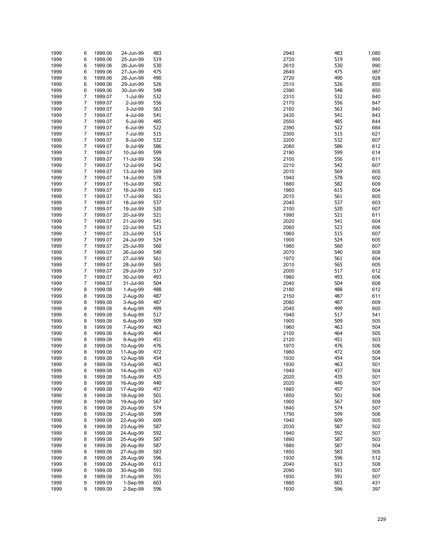| 1999 | 6 | 1999.06 | 24-Jun-99 | 483 | 2940 | 483 | 1,080 |
|------|---|---------|-----------|-----|------|-----|-------|
|      |   |         |           | 519 |      | 519 |       |
| 1999 | 6 | 1999.06 | 25-Jun-99 |     | 2720 |     | 995   |
| 1999 | 6 | 1999.06 | 26-Jun-99 | 530 | 2610 | 530 | 990   |
| 1999 | 6 | 1999.06 | 27-Jun-99 | 475 | 2640 | 475 | 987   |
| 1999 | 6 | 1999.06 | 28-Jun-99 | 490 | 2720 | 490 | 928   |
|      |   |         |           |     |      | 526 |       |
| 1999 | 6 | 1999.06 | 29-Jun-99 | 526 | 2510 |     | 850   |
| 1999 | 6 | 1999.06 | 30-Jun-99 | 548 | 2390 | 548 | 850   |
| 1999 | 7 | 1999.07 | 1-Jul-99  | 532 | 2310 | 532 | 840   |
| 1999 | 7 | 1999.07 | 2-Jul-99  | 556 | 2170 | 556 | 847   |
|      |   |         |           |     |      |     |       |
| 1999 | 7 | 1999.07 | 3-Jul-99  | 563 | 2160 | 563 | 840   |
| 1999 | 7 | 1999.07 | 4-Jul-99  | 541 | 2430 | 541 | 843   |
| 1999 | 7 | 1999.07 | 5-Jul-99  | 485 | 2550 | 485 | 844   |
| 1999 | 7 | 1999.07 | 6-Jul-99  | 522 | 2390 | 522 | 684   |
|      |   |         |           |     |      |     |       |
| 1999 | 7 | 1999.07 | 7-Jul-99  | 515 | 2300 | 515 | 621   |
| 1999 | 7 | 1999.07 | 8-Jul-99  | 532 | 2200 | 532 | 607   |
| 1999 | 7 | 1999.07 | 9-Jul-99  | 586 | 2080 | 586 | 612   |
| 1999 | 7 | 1999.07 | 10-Jul-99 | 599 | 2190 | 599 | 614   |
|      |   |         |           |     |      |     |       |
| 1999 | 7 | 1999.07 | 11-Jul-99 | 556 | 2100 | 556 | 611   |
| 1999 | 7 | 1999.07 | 12-Jul-99 | 542 | 2210 | 542 | 607   |
| 1999 | 7 | 1999.07 | 13-Jul-99 | 569 | 2010 | 569 | 605   |
| 1999 | 7 | 1999.07 | 14-Jul-99 | 578 | 1940 | 578 | 602   |
|      |   |         |           | 582 |      |     |       |
| 1999 | 7 | 1999.07 | 15-Jul-99 |     | 1880 | 582 | 609   |
| 1999 | 7 | 1999.07 | 16-Jul-99 | 615 | 1860 | 615 | 604   |
| 1999 | 7 | 1999.07 | 17-Jul-99 | 561 | 2010 | 561 | 605   |
| 1999 | 7 | 1999.07 | 18-Jul-99 | 537 | 2040 | 537 | 603   |
|      |   |         |           | 520 |      |     |       |
| 1999 | 7 | 1999.07 | 19-Jul-99 |     | 2100 | 520 | 607   |
| 1999 | 7 | 1999.07 | 20-Jul-99 | 521 | 1990 | 521 | 611   |
| 1999 | 7 | 1999.07 | 21-Jul-99 | 541 | 2020 | 541 | 604   |
| 1999 | 7 | 1999.07 | 22-Jul-99 | 523 | 2060 | 523 | 606   |
|      |   |         |           | 515 |      | 515 |       |
| 1999 | 7 | 1999.07 | 23-Jul-99 |     | 1960 |     | 607   |
| 1999 | 7 | 1999.07 | 24-Jul-99 | 524 | 1900 | 524 | 605   |
| 1999 | 7 | 1999.07 | 25-Jul-99 | 560 | 1980 | 560 | 607   |
| 1999 | 7 | 1999.07 | 26-Jul-99 | 540 | 2070 | 540 | 608   |
|      |   |         |           |     |      | 561 |       |
| 1999 | 7 | 1999.07 | 27-Jul-99 | 561 | 1970 |     | 604   |
| 1999 | 7 | 1999.07 | 28-Jul-99 | 565 | 2010 | 565 | 605   |
| 1999 | 7 | 1999.07 | 29-Jul-99 | 517 | 2000 | 517 | 612   |
| 1999 | 7 | 1999.07 | 30-Jul-99 | 493 | 1980 | 493 | 606   |
| 1999 | 7 |         |           | 504 | 2040 | 504 | 608   |
|      |   | 1999.07 | 31-Jul-99 |     |      |     |       |
| 1999 | 8 | 1999.08 | 1-Aug-99  | 488 | 2180 | 488 | 612   |
| 1999 | 8 | 1999.08 | 2-Aug-99  | 487 | 2150 | 487 | 611   |
| 1999 | 8 | 1999.08 | 3-Aug-99  | 487 | 2080 | 487 | 609   |
| 1999 | 8 |         |           | 499 | 2040 | 499 | 600   |
|      |   | 1999.08 | 4-Aug-99  |     |      |     |       |
| 1999 | 8 | 1999.08 | 5-Aug-99  | 517 | 1940 | 517 | 541   |
| 1999 | 8 | 1999.08 | 6-Aug-99  | 509 | 1900 | 509 | 505   |
| 1999 | 8 | 1999.08 | 7-Aug-99  | 463 | 1960 | 463 | 504   |
| 1999 | 8 | 1999.08 |           | 464 | 2100 | 464 | 505   |
|      |   |         | 8-Aug-99  |     |      |     |       |
| 1999 | 8 | 1999.08 | 9-Aug-99  | 451 | 2120 | 451 | 503   |
| 1999 | 8 | 1999.08 | 10-Aug-99 | 476 | 1970 | 476 | 506   |
| 1999 | 8 | 1999.08 | 11-Aug-99 | 472 | 1980 | 472 | 508   |
| 1999 | 8 | 1999.08 | 12-Aug-99 | 454 | 1930 | 454 | 504   |
|      |   |         |           |     |      |     |       |
| 1999 | 8 | 1999.08 | 13-Aug-99 | 463 | 1930 | 463 | 501   |
| 1999 | 8 | 1999.08 | 14-Aug-99 | 437 | 1940 | 437 | 504   |
| 1999 | 8 | 1999.08 | 15-Aug-99 | 435 | 2020 | 435 | 501   |
| 1999 | 8 | 1999.08 | 16-Aug-99 | 440 | 2020 | 440 | 507   |
|      |   |         |           |     |      |     |       |
| 1999 | 8 | 1999.08 | 17-Aug-99 | 457 | 1880 | 457 | 504   |
| 1999 | 8 | 1999.08 | 18-Aug-99 | 501 | 1850 | 501 | 506   |
| 1999 | 8 | 1999.08 | 19-Aug-99 | 567 | 1900 | 567 | 509   |
| 1999 | 8 | 1999.08 | 20-Aug-99 | 574 | 1840 | 574 | 507   |
| 1999 | 8 | 1999.08 |           | 599 | 1790 | 599 | 506   |
|      |   |         | 21-Aug-99 |     |      |     |       |
| 1999 | 8 | 1999.08 | 22-Aug-99 | 609 | 1940 | 609 | 505   |
| 1999 | 8 | 1999.08 | 23-Aug-99 | 587 | 2030 | 587 | 502   |
| 1999 | 8 | 1999.08 | 24-Aug-99 | 592 | 1940 | 592 | 507   |
| 1999 | 8 | 1999.08 |           | 587 | 1890 | 587 | 503   |
|      |   |         | 25-Aug-99 |     |      |     |       |
| 1999 | 8 | 1999.08 | 26-Aug-99 | 587 | 1880 | 587 | 504   |
| 1999 | 8 | 1999.08 | 27-Aug-99 | 583 | 1850 | 583 | 505   |
| 1999 | 8 | 1999.08 | 28-Aug-99 | 596 | 1930 | 596 | 512   |
| 1999 | 8 | 1999.08 | 29-Aug-99 | 613 | 2040 | 613 | 508   |
|      |   |         |           |     |      |     |       |
| 1999 | 8 | 1999.08 | 30-Aug-99 | 591 | 2090 | 591 | 507   |
| 1999 | 8 | 1999.08 | 31-Aug-99 | 591 | 1930 | 591 | 507   |
| 1999 | 9 | 1999.09 | 1-Sep-99  | 603 | 1880 | 603 | 431   |
| 1999 | 9 | 1999.09 | 2-Sep-99  | 596 | 1930 | 596 | 397   |
|      |   |         |           |     |      |     |       |

| ŧυ<br>20 | ႷႣჂ<br>519 | 1,080<br>995 |
|----------|------------|--------------|
| ۱0       | 530        | 990          |
| 10       | 475        | 987          |
| 20       | 490        | 928          |
| 10       | 526        | 850          |
| ю        | 548        | 850          |
| 10       | 532        | 840          |
| 70       | 556        | 847          |
| 60       | 563        | 840          |
| 30<br>50 | 541<br>485 | 843<br>844   |
| 90       | 522        | 684          |
| 00       | 515        | 621          |
| )0       | 532        | 607          |
| 80       | 586        | 612          |
| 90       | 599        | 614          |
| )0       | 556        | 611          |
| 10       | 542        | 607          |
| 10<br>10 | 569<br>578 | 605<br>602   |
| 30       | 582        | 609          |
| 60       | 615        | 604          |
| 10       | 561        | 605          |
| 10       | 537        | 603          |
| )0       | 520        | 607          |
| 90       | 521        | 611          |
| 20       | 541        | 604          |
| 60<br>òб | 523<br>515 | 606          |
| )0       | 524        | 607<br>605   |
| 30       | 560        | 607          |
| 70       | 540        | 608          |
| 70       | 561        | 604          |
| 10       | 565        | 605          |
| )0       | 517        | 612          |
| 30       | 493        | 606          |
| 10       | 504<br>488 | 608<br>612   |
| 30<br>50 | 487        | 611          |
| 30       | 487        | 609          |
| 10       | 499        | 600          |
| 10       | 517        | 541          |
| )0       | 509        | 505          |
| 60       | 463        | 504          |
| )0       | 464        | 505          |
| 20<br>0' | 451<br>476 | 503          |
| 30       | 472        | 506<br>508   |
| 30       | 454        | 504          |
| 30       | 463        | 501          |
| 10       | 437        | 504          |
| 20       | 435        | 501          |
| 20       | 440        | 507          |
| 30       | 457        | 504          |
| 50       | 501        | 506          |
| )0<br>10 | 567<br>574 | 509<br>507   |
| 90       | 599        | 506          |
| 10       | 609        | 505          |
| 30       | 587        | 502          |
| 10       | 592        | 507          |
| 90       | 587        | 503          |
| 30       | 587        | 504          |
| 50       | 583        | 505          |
| 30       | 596        | 512          |
| 10       | 613        | 508          |
| 90<br>30 | 591<br>591 | 507<br>507   |
| 30       | 603        | 431          |
| 30       | 596        | 397          |
|          |            |              |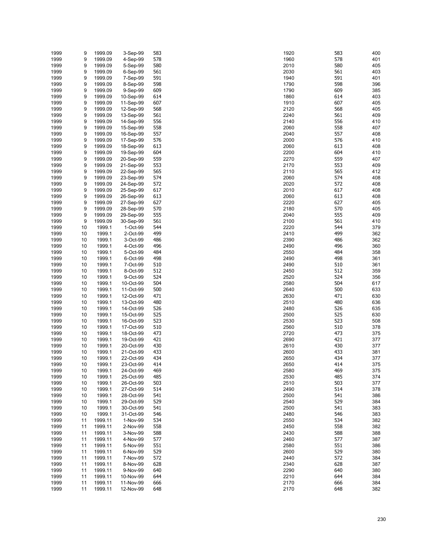| 1999 | 9  | 1999.09 | 3-Sep-99  | 583 | 1920 | 583 | 400 |
|------|----|---------|-----------|-----|------|-----|-----|
| 1999 | 9  | 1999.09 | 4-Sep-99  | 578 | 1960 | 578 | 401 |
| 1999 | 9  | 1999.09 | 5-Sep-99  | 580 | 2010 | 580 | 405 |
| 1999 | 9  | 1999.09 | 6-Sep-99  | 561 | 2030 | 561 | 403 |
| 1999 | 9  | 1999.09 | 7-Sep-99  | 591 | 1940 | 591 | 401 |
|      |    |         |           |     |      |     |     |
| 1999 | 9  | 1999.09 | 8-Sep-99  | 598 | 1790 | 598 | 396 |
| 1999 | 9  | 1999.09 | 9-Sep-99  | 609 | 1790 | 609 | 385 |
| 1999 | 9  | 1999.09 | 10-Sep-99 | 614 | 1860 | 614 | 403 |
| 1999 | 9  | 1999.09 | 11-Sep-99 | 607 | 1910 | 607 | 405 |
| 1999 | 9  | 1999.09 | 12-Sep-99 | 568 | 2120 | 568 | 405 |
| 1999 | 9  |         |           | 561 | 2240 | 561 | 409 |
|      |    | 1999.09 | 13-Sep-99 |     |      |     |     |
| 1999 | 9  | 1999.09 | 14-Sep-99 | 556 | 2140 | 556 | 410 |
| 1999 | 9  | 1999.09 | 15-Sep-99 | 558 | 2060 | 558 | 407 |
| 1999 | 9  | 1999.09 | 16-Sep-99 | 557 | 2040 | 557 | 408 |
| 1999 | 9  | 1999.09 | 17-Sep-99 | 576 | 2000 | 576 | 410 |
| 1999 | 9  | 1999.09 | 18-Sep-99 | 613 | 2060 | 613 | 408 |
|      |    |         | 19-Sep-99 |     |      | 604 |     |
| 1999 | 9  | 1999.09 |           | 604 | 2200 |     | 410 |
| 1999 | 9  | 1999.09 | 20-Sep-99 | 559 | 2270 | 559 | 407 |
| 1999 | 9  | 1999.09 | 21-Sep-99 | 553 | 2170 | 553 | 409 |
| 1999 | 9  | 1999.09 | 22-Sep-99 | 565 | 2110 | 565 | 412 |
| 1999 | 9  | 1999.09 | 23-Sep-99 | 574 | 2060 | 574 | 408 |
| 1999 | 9  | 1999.09 | 24-Sep-99 | 572 | 2020 | 572 | 408 |
|      |    |         |           |     |      |     |     |
| 1999 | 9  | 1999.09 | 25-Sep-99 | 617 | 2010 | 617 | 408 |
| 1999 | 9  | 1999.09 | 26-Sep-99 | 613 | 2060 | 613 | 408 |
| 1999 | 9  | 1999.09 | 27-Sep-99 | 627 | 2220 | 627 | 405 |
| 1999 | 9  | 1999.09 | 28-Sep-99 | 570 | 2180 | 570 | 405 |
| 1999 | 9  | 1999.09 | 29-Sep-99 | 555 | 2040 | 555 | 409 |
| 1999 | 9  | 1999.09 | 30-Sep-99 | 561 | 2100 | 561 | 410 |
|      |    |         |           |     |      |     |     |
| 1999 | 10 | 1999.1  | 1-Oct-99  | 544 | 2220 | 544 | 379 |
| 1999 | 10 | 1999.1  | 2-Oct-99  | 499 | 2410 | 499 | 362 |
| 1999 | 10 | 1999.1  | 3-Oct-99  | 486 | 2390 | 486 | 362 |
| 1999 | 10 | 1999.1  | 4-Oct-99  | 496 | 2490 | 496 | 360 |
| 1999 | 10 | 1999.1  | 5-Oct-99  | 484 | 2550 | 484 | 358 |
|      |    |         |           | 498 | 2490 | 498 |     |
| 1999 | 10 | 1999.1  | 6-Oct-99  |     |      |     | 361 |
| 1999 | 10 | 1999.1  | 7-Oct-99  | 510 | 2490 | 510 | 361 |
| 1999 | 10 | 1999.1  | 8-Oct-99  | 512 | 2450 | 512 | 359 |
| 1999 | 10 | 1999.1  | 9-Oct-99  | 524 | 2520 | 524 | 356 |
| 1999 | 10 | 1999.1  | 10-Oct-99 | 504 | 2580 | 504 | 617 |
| 1999 | 10 | 1999.1  | 11-Oct-99 | 500 | 2640 | 500 | 633 |
|      |    |         |           |     |      | 471 |     |
| 1999 | 10 | 1999.1  | 12-Oct-99 | 471 | 2630 |     | 630 |
| 1999 | 10 | 1999.1  | 13-Oct-99 | 480 | 2510 | 480 | 636 |
| 1999 | 10 | 1999.1  | 14-Oct-99 | 526 | 2480 | 526 | 635 |
| 1999 | 10 | 1999.1  | 15-Oct-99 | 525 | 2500 | 525 | 630 |
| 1999 | 10 | 1999.1  | 16-Oct-99 | 523 | 2530 | 523 | 508 |
| 1999 | 10 | 1999.1  | 17-Oct-99 | 510 | 2560 | 510 | 378 |
|      |    |         |           |     |      | 473 |     |
| 1999 | 10 | 1999.1  | 18-Oct-99 | 473 | 2720 |     | 375 |
| 1999 | 10 | 1999.1  | 19-Oct-99 | 421 | 2690 | 421 | 377 |
| 1999 | 10 | 1999.1  | 20-Oct-99 | 430 | 2610 | 430 | 377 |
| 1999 | 10 | 1999.1  | 21-Oct-99 | 433 | 2600 | 433 | 381 |
| 1999 | 10 | 1999.1  | 22-Oct-99 | 434 | 2650 | 434 | 377 |
| 1999 | 10 | 1999.1  | 23-Oct-99 | 414 | 2650 | 414 | 375 |
| 1999 | 10 |         |           | 469 | 2580 | 469 | 375 |
|      |    | 1999.1  | 24-Oct-99 |     |      |     |     |
| 1999 | 10 | 1999.1  | 25-Oct-99 | 485 | 2530 | 485 | 374 |
| 1999 | 10 | 1999.1  | 26-Oct-99 | 503 | 2510 | 503 | 377 |
| 1999 | 10 | 1999.1  | 27-Oct-99 | 514 | 2490 | 514 | 378 |
| 1999 | 10 | 1999.1  | 28-Oct-99 | 541 | 2500 | 541 | 386 |
| 1999 | 10 | 1999.1  | 29-Oct-99 | 529 | 2540 | 529 | 384 |
|      |    |         |           | 541 | 2500 | 541 | 383 |
| 1999 | 10 | 1999.1  | 30-Oct-99 |     |      |     |     |
| 1999 | 10 | 1999.1  | 31-Oct-99 | 546 | 2480 | 546 | 383 |
| 1999 | 11 | 1999.11 | 1-Nov-99  | 534 | 2550 | 534 | 382 |
| 1999 | 11 | 1999.11 | 2-Nov-99  | 558 | 2450 | 558 | 382 |
| 1999 | 11 | 1999.11 | 3-Nov-99  | 588 | 2430 | 588 | 388 |
| 1999 | 11 | 1999.11 | 4-Nov-99  | 577 | 2460 | 577 | 387 |
|      |    |         |           |     |      |     |     |
| 1999 | 11 | 1999.11 | 5-Nov-99  | 551 | 2580 | 551 | 386 |
| 1999 | 11 | 1999.11 | 6-Nov-99  | 529 | 2600 | 529 | 380 |
| 1999 | 11 | 1999.11 | 7-Nov-99  | 572 | 2440 | 572 | 384 |
| 1999 | 11 | 1999.11 | 8-Nov-99  | 628 | 2340 | 628 | 387 |
| 1999 | 11 | 1999.11 | 9-Nov-99  | 640 | 2290 | 640 | 380 |
| 1999 | 11 | 1999.11 | 10-Nov-99 | 644 | 2210 | 644 | 384 |
|      |    |         |           | 666 |      |     |     |
| 1999 | 11 | 1999.11 | 11-Nov-99 |     | 2170 | 666 | 384 |
| 1999 | 11 | 1999.11 | 12-Nov-99 | 648 | 2170 | 648 | 382 |

| 583 | 400                                                                                                                                                                                                                                               |
|-----|---------------------------------------------------------------------------------------------------------------------------------------------------------------------------------------------------------------------------------------------------|
|     | 401<br>405                                                                                                                                                                                                                                        |
| 561 | 403                                                                                                                                                                                                                                               |
|     | 401<br>396                                                                                                                                                                                                                                        |
| 609 | 385                                                                                                                                                                                                                                               |
| 614 | 403                                                                                                                                                                                                                                               |
|     | 405<br>405                                                                                                                                                                                                                                        |
| 561 | 409                                                                                                                                                                                                                                               |
|     | 410<br>407                                                                                                                                                                                                                                        |
| 557 | 408                                                                                                                                                                                                                                               |
| 576 | 410                                                                                                                                                                                                                                               |
| 604 | 408<br>410                                                                                                                                                                                                                                        |
| 559 | 407                                                                                                                                                                                                                                               |
|     | 409<br>412                                                                                                                                                                                                                                        |
| 574 | 408                                                                                                                                                                                                                                               |
| 572 | 408                                                                                                                                                                                                                                               |
|     | 408<br>408                                                                                                                                                                                                                                        |
| 627 | 405                                                                                                                                                                                                                                               |
|     | 405<br>409                                                                                                                                                                                                                                        |
| 561 | 410                                                                                                                                                                                                                                               |
| 544 | 379                                                                                                                                                                                                                                               |
| 486 | 362<br>362                                                                                                                                                                                                                                        |
| 496 | 360                                                                                                                                                                                                                                               |
|     | 358<br>361                                                                                                                                                                                                                                        |
| 510 | 361                                                                                                                                                                                                                                               |
| 512 | 359                                                                                                                                                                                                                                               |
| 504 | 356<br>617                                                                                                                                                                                                                                        |
| 500 | 633                                                                                                                                                                                                                                               |
|     | 630<br>636                                                                                                                                                                                                                                        |
| 526 | 635                                                                                                                                                                                                                                               |
|     | 630<br>508                                                                                                                                                                                                                                        |
| 510 | 378                                                                                                                                                                                                                                               |
| 473 | 375                                                                                                                                                                                                                                               |
|     | 377<br>377                                                                                                                                                                                                                                        |
| 433 | 381                                                                                                                                                                                                                                               |
|     | 377<br>375                                                                                                                                                                                                                                        |
| 469 | 375                                                                                                                                                                                                                                               |
| 485 | 374                                                                                                                                                                                                                                               |
|     | 377<br>378                                                                                                                                                                                                                                        |
| 541 | 386                                                                                                                                                                                                                                               |
| 529 | 384<br>383                                                                                                                                                                                                                                        |
| 546 | 383                                                                                                                                                                                                                                               |
| 534 | 382                                                                                                                                                                                                                                               |
|     | 382<br>388                                                                                                                                                                                                                                        |
| 577 | 387                                                                                                                                                                                                                                               |
| 551 | 386                                                                                                                                                                                                                                               |
| 572 | 380<br>384                                                                                                                                                                                                                                        |
| 628 | 387                                                                                                                                                                                                                                               |
|     | 380<br>384                                                                                                                                                                                                                                        |
| 666 | 384                                                                                                                                                                                                                                               |
| 648 | 382                                                                                                                                                                                                                                               |
|     | 578<br>580<br>591<br>598<br>607<br>568<br>556<br>558<br>613<br>553<br>565<br>617<br>613<br>570<br>555<br>499<br>484<br>498<br>524<br>471<br>480<br>525<br>523<br>421<br>430<br>434<br>414<br>503<br>514<br>541<br>558<br>588<br>529<br>640<br>644 |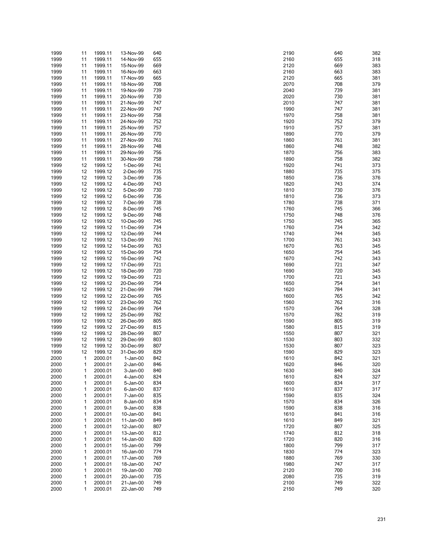| 1999 | 11           | 1999.11 | 13-Nov-99   | 640 | 2190 | 640<br>382 |
|------|--------------|---------|-------------|-----|------|------------|
| 1999 | 11           | 1999.11 | 14-Nov-99   | 655 | 2160 | 655<br>318 |
| 1999 | 11           | 1999.11 | 15-Nov-99   | 669 | 2120 | 669<br>383 |
| 1999 | 11           | 1999.11 | 16-Nov-99   | 663 | 2160 | 663<br>383 |
| 1999 | 11           | 1999.11 | 17-Nov-99   | 665 | 2120 | 665<br>381 |
|      |              |         |             | 708 | 2070 | 708<br>379 |
| 1999 | 11           | 1999.11 | 18-Nov-99   |     |      |            |
| 1999 | 11           | 1999.11 | 19-Nov-99   | 739 | 2040 | 739<br>381 |
| 1999 | 11           | 1999.11 | 20-Nov-99   | 730 | 2020 | 730<br>381 |
| 1999 | 11           | 1999.11 | 21-Nov-99   | 747 | 2010 | 747<br>381 |
| 1999 | 11           | 1999.11 | 22-Nov-99   | 747 | 1990 | 747<br>381 |
| 1999 | 11           | 1999.11 | 23-Nov-99   | 758 | 1970 | 758<br>381 |
|      |              |         | 24-Nov-99   | 752 | 1920 | 752        |
| 1999 | 11           | 1999.11 |             |     |      | 379        |
| 1999 | 11           | 1999.11 | 25-Nov-99   | 757 | 1910 | 757<br>381 |
| 1999 | 11           | 1999.11 | 26-Nov-99   | 770 | 1890 | 770<br>379 |
| 1999 | 11           | 1999.11 | 27-Nov-99   | 761 | 1860 | 761<br>381 |
| 1999 | 11           | 1999.11 | 28-Nov-99   | 748 | 1860 | 748<br>382 |
| 1999 | 11           | 1999.11 | 29-Nov-99   | 756 | 1870 | 756<br>383 |
|      |              |         |             | 758 | 1890 | 758<br>382 |
| 1999 | 11           | 1999.11 | 30-Nov-99   |     |      |            |
| 1999 | 12           | 1999.12 | 1-Dec-99    | 741 | 1920 | 741<br>373 |
| 1999 | 12           | 1999.12 | 2-Dec-99    | 735 | 1880 | 735<br>375 |
| 1999 | 12           | 1999.12 | 3-Dec-99    | 736 | 1850 | 736<br>376 |
| 1999 | 12           | 1999.12 | 4-Dec-99    | 743 | 1820 | 743<br>374 |
| 1999 | 12           | 1999.12 | 5-Dec-99    | 730 | 1810 | 730<br>376 |
|      | 12           | 1999.12 | 6-Dec-99    | 736 | 1810 | 736<br>373 |
| 1999 |              |         |             |     |      |            |
| 1999 | 12           | 1999.12 | 7-Dec-99    | 738 | 1780 | 738<br>371 |
| 1999 | 12           | 1999.12 | 8-Dec-99    | 745 | 1760 | 745<br>366 |
| 1999 | 12           | 1999.12 | 9-Dec-99    | 748 | 1750 | 748<br>376 |
| 1999 | 12           | 1999.12 | 10-Dec-99   | 745 | 1750 | 745<br>365 |
| 1999 | 12           | 1999.12 | 11-Dec-99   | 734 | 1760 | 734<br>342 |
|      | 12           |         |             | 744 |      | 744<br>345 |
| 1999 |              | 1999.12 | 12-Dec-99   |     | 1740 |            |
| 1999 | 12           | 1999.12 | 13-Dec-99   | 761 | 1700 | 761<br>343 |
| 1999 | 12           | 1999.12 | 14-Dec-99   | 763 | 1670 | 763<br>345 |
| 1999 | 12           | 1999.12 | 15-Dec-99   | 754 | 1650 | 754<br>345 |
| 1999 | 12           | 1999.12 | 16-Dec-99   | 742 | 1670 | 742<br>343 |
| 1999 | 12           | 1999.12 | 17-Dec-99   | 721 | 1690 | 721<br>347 |
| 1999 | 12           | 1999.12 | 18-Dec-99   | 720 | 1690 | 720<br>345 |
|      |              |         |             |     |      |            |
| 1999 | 12           | 1999.12 | 19-Dec-99   | 721 | 1700 | 721<br>343 |
| 1999 | 12           | 1999.12 | 20-Dec-99   | 754 | 1650 | 754<br>341 |
| 1999 | 12           | 1999.12 | 21-Dec-99   | 784 | 1620 | 784<br>341 |
| 1999 | 12           | 1999.12 | 22-Dec-99   | 765 | 1600 | 765<br>342 |
| 1999 | 12           | 1999.12 | 23-Dec-99   | 762 | 1560 | 762<br>316 |
| 1999 | 12           | 1999.12 | 24-Dec-99   | 764 | 1570 | 764<br>328 |
|      | 12           | 1999.12 |             | 782 | 1570 | 782<br>319 |
| 1999 |              |         | 25-Dec-99   |     |      |            |
| 1999 | 12           | 1999.12 | 26-Dec-99   | 805 | 1590 | 805<br>319 |
| 1999 | 12           | 1999.12 | 27-Dec-99   | 815 | 1580 | 815<br>319 |
| 1999 | 12           | 1999.12 | 28-Dec-99   | 807 | 1550 | 807<br>321 |
| 1999 | 12           | 1999.12 | 29-Dec-99   | 803 | 1530 | 803<br>332 |
| 1999 | 12           | 1999.12 | 30-Dec-99   | 807 | 1530 | 807<br>323 |
| 1999 | 12           | 1999.12 | 31-Dec-99   | 829 | 1590 | 829<br>323 |
|      |              |         |             |     |      |            |
| 2000 | $\mathbf{1}$ | 2000.01 | $1-Jan-00$  | 842 | 1610 | 842<br>321 |
| 2000 | 1            | 2000.01 | $2$ -Jan-00 | 846 | 1620 | 846<br>320 |
| 2000 | 1            | 2000.01 | 3-Jan-00    | 840 | 1630 | 840<br>324 |
| 2000 | 1            | 2000.01 | 4-Jan-00    | 824 | 1610 | 824<br>327 |
| 2000 | 1            | 2000.01 | 5-Jan-00    | 834 | 1600 | 834<br>317 |
| 2000 | 1            | 2000.01 | 6-Jan-00    | 837 | 1610 | 837<br>317 |
|      |              | 2000.01 |             | 835 | 1590 | 835        |
| 2000 | 1            |         | 7-Jan-00    |     |      | 324        |
| 2000 | 1            | 2000.01 | 8-Jan-00    | 834 | 1570 | 834<br>326 |
| 2000 | 1            | 2000.01 | 9-Jan-00    | 838 | 1590 | 838<br>316 |
| 2000 | 1            | 2000.01 | 10-Jan-00   | 841 | 1610 | 841<br>316 |
| 2000 | 1            | 2000.01 | 11-Jan-00   | 849 | 1610 | 849<br>321 |
| 2000 | 1            | 2000.01 | 12-Jan-00   | 807 | 1720 | 807<br>325 |
| 2000 | 1            | 2000.01 | 13-Jan-00   | 812 | 1740 | 812<br>318 |
|      |              |         |             |     |      |            |
| 2000 | 1            | 2000.01 | 14-Jan-00   | 820 | 1720 | 820<br>316 |
| 2000 | 1            | 2000.01 | 15-Jan-00   | 799 | 1800 | 799<br>317 |
| 2000 | 1            | 2000.01 | 16-Jan-00   | 774 | 1830 | 774<br>323 |
| 2000 | 1            | 2000.01 | 17-Jan-00   | 769 | 1880 | 769<br>330 |
| 2000 | 1            | 2000.01 | 18-Jan-00   | 747 | 1980 | 747<br>317 |
| 2000 | 1            | 2000.01 | 19-Jan-00   | 700 | 2120 | 700<br>316 |
|      |              |         |             |     |      |            |
| 2000 | 1            | 2000.01 | 20-Jan-00   | 735 | 2080 | 735<br>319 |
| 2000 | 1            | 2000.01 | 21-Jan-00   | 749 | 2100 | 749<br>322 |
| 2000 | 1            | 2000.01 | 22-Jan-00   | 749 | 2150 | 749<br>320 |

| Ю        | 640        | 382        |
|----------|------------|------------|
| òб<br>20 | 655<br>669 | 318<br>383 |
| 60       | 663        | 383        |
| 20       | 665        | 381        |
| 70       | 708        | 379        |
| ŀ٥<br>20 | 739<br>730 | 381<br>381 |
| 10       | 747        | 381        |
| 90       | 747        | 381        |
| 70       | 758        | 381        |
| 20       | 752        | 379        |
| 10<br>90 | 757<br>770 | 381<br>379 |
| 60       | 761        | 381        |
| 60       | 748        | 382        |
| 0'       | 756        | 383        |
| 90<br>20 | 758<br>741 | 382<br>373 |
| 30       | 735        | 375        |
| 50       | 736        | 376        |
| 20       | 743        | 374        |
| 10<br>10 | 730<br>736 | 376<br>373 |
| 30       | 738        | 371        |
| 60       | 745        | 366        |
| 50       | 748        | 376        |
| 50<br>60 | 745<br>734 | 365<br>342 |
| 10       | 744        | 345        |
| )0       | 761        | 343        |
| 0'       | 763        | 345        |
| 50<br>70 | 754<br>742 | 345<br>343 |
| ю        | 721        | 347        |
| ю        | 720        | 345        |
| )0       | 721        | 343        |
| 50<br>20 | 754<br>784 | 341<br>341 |
| )0       | 765        | 342        |
| 60       | 762        | 316        |
| 0'       | 764        | 328        |
| 0'<br>ю  | 782<br>805 | 319<br>319 |
| 30       | 815        | 319        |
| 50       | 807        | 321        |
| 30       | 803        | 332        |
| 30       | 807        | 323        |
| ю<br>10  | 829<br>842 | 323<br>321 |
| 20       | 846        | 320        |
| 30       | 840        | 324        |
| ۱0       | 824        | 327        |
| )0<br>10 | 834<br>837 | 317<br>317 |
| 90       | 835        | 324        |
| 70       | 834        | 326        |
| 90       | 838        | 316        |
| 10<br>۱0 | 841<br>849 | 316<br>321 |
| 20       | 807        | 325        |
| ١O       | 812        | 318        |
| 20       | 820        | 316        |
| )0       | 799        | 317        |
| 30<br>30 | 774<br>769 | 323<br>330 |
| 30       | 747        | 317        |
| 20       | 700        | 316        |
| 30       | 735        | 319        |
| )0<br>50 | 749<br>749 | 322<br>320 |
|          |            |            |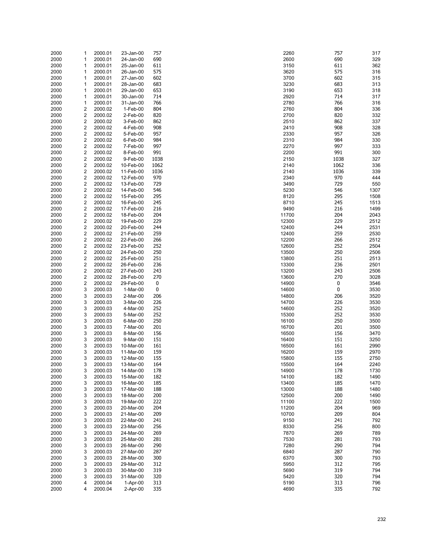| 2000 | 1                       | 2000.01 | 23-Jan-00  | 757  | 2260  | 757      | 317  |
|------|-------------------------|---------|------------|------|-------|----------|------|
|      |                         |         |            | 690  |       | 690      |      |
| 2000 | 1                       | 2000.01 | 24-Jan-00  |      | 2600  |          | 329  |
| 2000 | 1                       | 2000.01 | 25-Jan-00  | 611  | 3150  | 611      | 362  |
| 2000 | 1                       | 2000.01 | 26-Jan-00  | 575  | 3620  | 575      | 316  |
| 2000 | 1                       | 2000.01 | 27-Jan-00  | 602  | 3700  | 602      | 315  |
|      |                         |         |            |      |       |          |      |
| 2000 | 1                       | 2000.01 | 28-Jan-00  | 683  | 3230  | 683      | 313  |
| 2000 | 1                       | 2000.01 | 29-Jan-00  | 653  | 3190  | 653      | 318  |
| 2000 | 1                       | 2000.01 | 30-Jan-00  | 714  | 2920  | 714      | 317  |
| 2000 | 1                       | 2000.01 | 31-Jan-00  | 766  | 2780  | 766      | 316  |
|      |                         |         |            |      |       |          |      |
| 2000 | 2                       | 2000.02 | 1-Feb-00   | 804  | 2760  | 804      | 336  |
| 2000 | 2                       | 2000.02 | 2-Feb-00   | 820  | 2700  | 820      | 332  |
| 2000 | $\overline{\mathbf{c}}$ | 2000.02 | 3-Feb-00   | 862  | 2510  | 862      | 337  |
| 2000 | 2                       | 2000.02 | 4-Feb-00   | 908  | 2410  | 908      | 328  |
|      |                         |         |            |      |       |          |      |
| 2000 | 2                       | 2000.02 | 5-Feb-00   | 957  | 2330  | 957      | 326  |
| 2000 | $\overline{\mathbf{c}}$ | 2000.02 | 6-Feb-00   | 984  | 2310  | 984      | 330  |
| 2000 | 2                       | 2000.02 | 7-Feb-00   | 997  | 2270  | 997      | 333  |
| 2000 | $\overline{\mathbf{c}}$ | 2000.02 | 8-Feb-00   | 991  | 2200  | 991      | 300  |
|      |                         |         |            |      |       |          |      |
| 2000 | 2                       | 2000.02 | 9-Feb-00   | 1038 | 2150  | 1038     | 327  |
| 2000 | $\overline{\mathbf{c}}$ | 2000.02 | 10-Feb-00  | 1062 | 2140  | 1062     | 336  |
| 2000 | $\overline{\mathbf{c}}$ | 2000.02 | 11-Feb-00  | 1036 | 2140  | 1036     | 339  |
| 2000 | 2                       | 2000.02 | 12-Feb-00  | 970  | 2340  | 970      | 444  |
|      |                         |         |            |      |       |          |      |
| 2000 | $\overline{\mathbf{c}}$ | 2000.02 | 13-Feb-00  | 729  | 3490  | 729      | 550  |
| 2000 | 2                       | 2000.02 | 14-Feb-00  | 546  | 5230  | 546      | 1307 |
| 2000 | $\overline{\mathbf{c}}$ | 2000.02 | 15-Feb-00  | 295  | 8120  | 295      | 1508 |
|      | 2                       |         |            | 245  | 8710  | 245      | 1513 |
| 2000 |                         | 2000.02 | 16-Feb-00  |      |       |          |      |
| 2000 | $\overline{\mathbf{c}}$ | 2000.02 | 17-Feb-00  | 216  | 9490  | 216      | 1499 |
| 2000 | $\overline{\mathbf{c}}$ | 2000.02 | 18-Feb-00  | 204  | 11700 | 204      | 2043 |
| 2000 | 2                       | 2000.02 | 19-Feb-00  | 229  | 12300 | 229      | 2512 |
|      |                         |         |            |      |       |          |      |
| 2000 | $\overline{\mathbf{c}}$ | 2000.02 | 20-Feb-00  | 244  | 12400 | 244      | 2531 |
| 2000 | 2                       | 2000.02 | 21-Feb-00  | 259  | 12400 | 259      | 2530 |
| 2000 | $\overline{\mathbf{c}}$ | 2000.02 | 22-Feb-00  | 266  | 12200 | 266      | 2512 |
| 2000 | $\overline{\mathbf{c}}$ | 2000.02 | 23-Feb-00  | 252  | 12600 | 252      | 2504 |
|      |                         |         |            |      |       |          |      |
| 2000 | 2                       | 2000.02 | 24-Feb-00  | 250  | 13500 | 250      | 2506 |
| 2000 | $\overline{\mathbf{c}}$ | 2000.02 | 25-Feb-00  | 251  | 13800 | 251      | 2513 |
| 2000 | 2                       | 2000.02 | 26-Feb-00  | 236  | 13300 | 236      | 2501 |
| 2000 | $\overline{\mathbf{c}}$ | 2000.02 | 27-Feb-00  | 243  | 13200 | 243      | 2506 |
|      |                         |         |            |      |       |          |      |
| 2000 | 2                       | 2000.02 | 28-Feb-00  | 270  | 13600 | 270      | 3028 |
| 2000 | $\overline{\mathbf{c}}$ | 2000.02 | 29-Feb-00  | 0    | 14900 | $\bf{0}$ | 3546 |
| 2000 | 3                       | 2000.03 | 1-Mar-00   | 0    | 14600 | $\bf{0}$ | 3530 |
| 2000 | 3                       | 2000.03 | 2-Mar-00   | 206  | 14800 | 206      | 3520 |
|      |                         |         |            |      |       |          |      |
| 2000 | 3                       | 2000.03 | 3-Mar-00   | 226  | 14700 | 226      | 3530 |
| 2000 | 3                       | 2000.03 | 4-Mar-00   | 252  | 14600 | 252      | 3520 |
| 2000 | 3                       | 2000.03 | 5-Mar-00   | 252  | 15300 | 252      | 3530 |
| 2000 | 3                       | 2000.03 | 6-Mar-00   | 250  | 16100 | 250      | 3500 |
|      |                         |         |            |      |       |          |      |
| 2000 | 3                       | 2000.03 | 7-Mar-00   | 201  | 16700 | 201      | 3500 |
| 2000 | 3                       | 2000.03 | 8-Mar-00   | 156  | 16500 | 156      | 3470 |
| 2000 | 3                       | 2000.03 | 9-Mar-00   | 151  | 16400 | 151      | 3250 |
| 2000 | 3                       | 2000.03 | 10-Mar-00  | 161  | 16500 | 161      | 2990 |
|      |                         |         |            |      |       |          |      |
| 2000 | 3                       | 2000.03 | 11-Mar-00  | 159  | 16200 | 159      | 2970 |
| 2000 | 3                       | 2000.03 | 12-Mar-00  | 155  | 15800 | 155      | 2750 |
| 2000 | 3                       | 2000.03 | 13-Mar-00  | 164  | 15500 | 164      | 2240 |
| 2000 | 3                       | 2000.03 | 14-Mar-00  | 178  | 14900 | 178      | 1730 |
|      |                         |         |            |      |       |          |      |
| 2000 | 3                       | 2000.03 | 15-Mar-00  | 182  | 14100 | 182      | 1490 |
| 2000 | 3                       | 2000.03 | 16-Mar-00  | 185  | 13400 | 185      | 1470 |
| 2000 | 3                       | 2000.03 | 17-Mar-00  | 188  | 13000 | 188      | 1480 |
| 2000 | 3                       | 2000.03 | 18-Mar-00  | 200  | 12500 | 200      | 1490 |
|      |                         |         |            |      |       |          |      |
| 2000 | 3                       | 2000.03 | 19-Mar-00  | 222  | 11100 | 222      | 1500 |
| 2000 | 3                       | 2000.03 | 20-Mar-00  | 204  | 11200 | 204      | 969  |
| 2000 | 3                       | 2000.03 | 21-Mar-00  | 209  | 10700 | 209      | 804  |
|      | 3                       |         |            | 241  | 9150  | 241      | 792  |
| 2000 |                         | 2000.03 | 22-Mar-00  |      |       |          |      |
| 2000 | 3                       | 2000.03 | 23-Mar-00  | 256  | 8330  | 256      | 800  |
| 2000 | 3                       | 2000.03 | 24-Mar-00  | 269  | 7870  | 269      | 789  |
| 2000 | 3                       | 2000.03 | 25-Mar-00  | 281  | 7530  | 281      | 793  |
|      | 3                       |         |            | 290  | 7280  | 290      |      |
| 2000 |                         | 2000.03 | 26-Mar-00  |      |       |          | 794  |
| 2000 | 3                       | 2000.03 | 27-Mar-00  | 287  | 6840  | 287      | 790  |
| 2000 | 3                       | 2000.03 | 28-Mar-00  | 300  | 6370  | 300      | 793  |
| 2000 | 3                       | 2000.03 | 29-Mar-00  | 312  | 5950  | 312      | 795  |
| 2000 | 3                       | 2000.03 | 30-Mar-00  | 319  | 5690  | 319      | 794  |
|      |                         |         |            |      |       |          |      |
| 2000 | 3                       | 2000.03 | 31-Mar-00  | 320  | 5420  | 320      | 794  |
| 2000 | 4                       | 2000.04 | 1-Apr-00   | 313  | 5190  | 313      | 796  |
| 2000 | 4                       | 2000.04 | $2-Apr-00$ | 335  | 4690  | 335      | 792  |
|      |                         |         |            |      |       |          |      |

| 60       | 757        | 317          |
|----------|------------|--------------|
| 00<br>50 | 690<br>611 | 329<br>362   |
| 20       | 575        | 316          |
| 00       | 602        | 315          |
| 30<br>90 | 683        | 313<br>318   |
| 20       | 653<br>714 | 317          |
| 30       | 766        | 316          |
| 60       | 804        | 336          |
| 00<br>10 | 820<br>862 | 332<br>337   |
| 10       | 908        | 328          |
| 30       | 957        | 326          |
| 10       | 984        | 330          |
| 70<br>00 | 997<br>991 | 333<br>300   |
| 50       | 1038       | 327          |
| 40       | 1062       | 336          |
| 40       | 1036       | 339          |
| 40<br>90 | 970<br>729 | 444<br>550   |
| 30       | 546        | 1307         |
| 20       | 295        | 1508         |
| 10<br>90 | 245<br>216 | 1513<br>1499 |
| 00       | 204        | 2043         |
| 00       | 229        | 2512         |
| 00       | 244        | 2531         |
| 00<br>00 | 259<br>266 | 2530<br>2512 |
| 00       | 252        | 2504         |
| 00       | 250        | 2506         |
| 00       | 251        | 2513         |
| 00<br>00 | 236<br>243 | 2501<br>2506 |
| 00       | 270        | 3028         |
| 00       | 0          | 3546         |
| 00<br>00 | 0<br>206   | 3530<br>3520 |
| 00       | 226        | 3530         |
| 00       | 252        | 3520         |
| 00       | 252        | 3530         |
| 00<br>00 | 250<br>201 | 3500<br>3500 |
| 00       | 156        | 3470         |
| 00       | 151        | 3250         |
| 00       | 161        | 2990         |
| 00<br>00 | 159<br>155 | 2970<br>2750 |
| 00       | 164        | 2240         |
| 00       | 178        | 1730         |
| 00<br>00 | 182<br>185 | 1490<br>1470 |
| 00       | 188        | 1480         |
| 00       | 200        | 1490         |
| 00       | 222        | 1500         |
| 00<br>00 | 204<br>209 | 969<br>804   |
| 50       | 241        | 792          |
| 30       | 256        | 800          |
| 70       | 269        | 789          |
| 30<br>30 | 281<br>290 | 793<br>794   |
| 40       | 287        | 790          |
| 70       | 300        | 793          |
| 50       | 312        | 795          |
| 90<br>20 | 319<br>320 | 794<br>794   |
| 90       | 313        | 796          |
| 90       | 335        | 792          |
|          |            |              |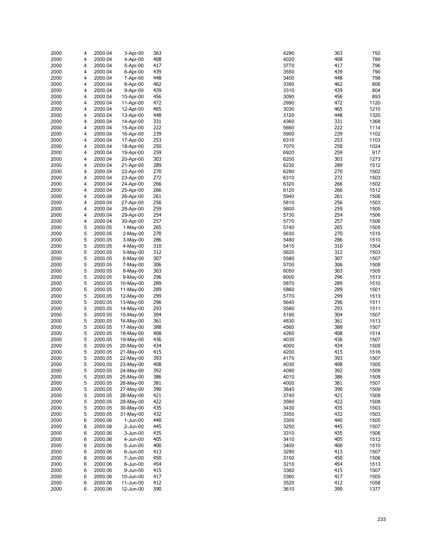| 2000 | 4 | 2000.04 | 3-Apr-00   | 363 | 4290 | 363 | 792  |
|------|---|---------|------------|-----|------|-----|------|
| 2000 | 4 | 2000.04 | 4-Apr-00   | 408 | 4020 | 408 | 789  |
|      |   |         |            |     |      |     |      |
| 2000 | 4 | 2000.04 | 5-Apr-00   | 417 | 3770 | 417 | 796  |
| 2000 | 4 | 2000.04 | 6-Apr-00   | 439 | 3550 | 439 | 790  |
| 2000 | 4 | 2000.04 | 7-Apr-00   | 448 | 3400 | 448 | 798  |
|      |   |         |            |     |      | 462 |      |
| 2000 | 4 | 2000.04 | 8-Apr-00   | 462 | 3390 |     | 806  |
| 2000 | 4 | 2000.04 | 9-Apr-00   | 439 | 3310 | 439 | 804  |
| 2000 | 4 | 2000.04 | 10-Apr-00  | 456 | 3090 | 456 | 893  |
| 2000 | 4 | 2000.04 | 11-Apr-00  | 472 | 2990 | 472 | 1120 |
|      |   |         |            |     |      |     |      |
| 2000 | 4 | 2000.04 | 12-Apr-00  | 465 | 3030 | 465 | 1210 |
| 2000 | 4 | 2000.04 | 13-Apr-00  | 448 | 3120 | 448 | 1320 |
| 2000 | 4 | 2000.04 | 14-Apr-00  | 331 | 4360 | 331 | 1368 |
|      |   |         |            |     |      |     |      |
| 2000 | 4 | 2000.04 | 15-Apr-00  | 222 | 5660 | 222 | 1114 |
| 2000 | 4 | 2000.04 | 16-Apr-00  | 239 | 5900 | 239 | 1102 |
| 2000 | 4 | 2000.04 | 17-Apr-00  | 253 | 6310 | 253 | 1103 |
| 2000 | 4 |         | 18-Apr-00  | 250 | 7070 | 250 | 1024 |
|      |   | 2000.04 |            |     |      |     |      |
| 2000 | 4 | 2000.04 | 19-Apr-00  | 259 | 6920 | 259 | 917  |
| 2000 | 4 | 2000.04 | 20-Apr-00  | 303 | 6200 | 303 | 1273 |
| 2000 | 4 | 2000.04 | 21-Apr-00  | 289 | 6230 | 289 | 1512 |
|      |   |         |            |     |      |     |      |
| 2000 | 4 | 2000.04 | 22-Apr-00  | 270 | 6290 | 270 | 1502 |
| 2000 | 4 | 2000.04 | 23-Apr-00  | 272 | 6310 | 272 | 1503 |
| 2000 | 4 | 2000.04 | 24-Apr-00  | 266 | 6320 | 266 | 1502 |
|      |   |         |            |     |      |     |      |
| 2000 | 4 | 2000.04 | 25-Apr-00  | 266 | 6120 | 266 | 1512 |
| 2000 | 4 | 2000.04 | 26-Apr-00  | 261 | 5940 | 261 | 1506 |
| 2000 | 4 | 2000.04 | 27-Apr-00  | 256 | 5810 | 256 | 1503 |
|      |   |         |            |     |      | 259 |      |
| 2000 | 4 | 2000.04 | 28-Apr-00  | 259 | 5600 |     | 1505 |
| 2000 | 4 | 2000.04 | 29-Apr-00  | 254 | 5730 | 254 | 1506 |
| 2000 | 4 | 2000.04 | 30-Apr-00  | 257 | 5770 | 257 | 1506 |
| 2000 | 5 | 2000.05 | 1-May-00   | 265 | 5740 | 265 | 1505 |
|      |   |         |            |     |      |     |      |
| 2000 | 5 | 2000.05 | $2-May-00$ | 270 | 5630 | 270 | 1515 |
| 2000 | 5 | 2000.05 | 3-May-00   | 286 | 5480 | 286 | 1510 |
| 2000 | 5 | 2000.05 | 4-May-00   | 310 | 5410 | 310 | 1504 |
|      |   |         |            |     |      |     |      |
| 2000 | 5 | 2000.05 | 5-May-00   | 312 | 5620 | 312 | 1503 |
| 2000 | 5 | 2000.05 | 6-May-00   | 307 | 5580 | 307 | 1507 |
| 2000 | 5 | 2000.05 | 7-May-00   | 306 | 5700 | 306 | 1508 |
|      | 5 |         |            | 303 | 6050 | 303 |      |
| 2000 |   | 2000.05 | 8-May-00   |     |      |     | 1505 |
| 2000 | 5 | 2000.05 | 9-May-00   | 296 | 6000 | 296 | 1513 |
| 2000 | 5 | 2000.05 | 10-May-00  | 289 | 5870 | 289 | 1510 |
| 2000 | 5 | 2000.05 | 11-May-00  | 289 | 5860 | 289 | 1501 |
|      |   |         |            |     |      |     |      |
| 2000 | 5 | 2000.05 | 12-May-00  | 299 | 5770 | 299 | 1513 |
| 2000 | 5 | 2000.05 | 13-May-00  | 296 | 5640 | 296 | 1511 |
| 2000 | 5 | 2000.05 | 14-May-00  | 293 | 5580 | 293 | 1511 |
|      |   |         |            |     |      |     |      |
| 2000 | 5 | 2000.05 | 15-May-00  | 304 | 5190 | 304 | 1507 |
| 2000 | 5 | 2000.05 | 16-May-00  | 361 | 4830 | 361 | 1513 |
| 2000 | 5 | 2000.05 | 17-May-00  | 388 | 4560 | 388 | 1507 |
|      | 5 |         |            |     |      | 408 |      |
| 2000 |   | 2000.05 | 18-May-00  | 408 | 4260 |     | 1514 |
| 2000 | 5 | 2000.05 | 19-May-00  | 436 | 4030 | 436 | 1507 |
| 2000 | 5 | 2000.05 | 20-May-00  | 434 | 4000 | 434 | 1505 |
| 2000 | 5 | 2000.05 | 21-May-00  | 415 | 4200 | 415 | 1516 |
|      |   |         |            |     |      |     |      |
| 2000 | 5 | 2000.05 | 22-May-00  | 393 | 4170 | 393 | 1507 |
| 2000 | 5 | 2000.05 | 23-May-00  | 408 | 4030 | 408 | 1505 |
| 2000 | 5 | 2000.05 | 24-May-00  | 392 | 4090 | 392 | 1509 |
|      | 5 | 2000.05 |            | 386 | 4010 | 386 | 1508 |
| 2000 |   |         | 25-May-00  |     |      |     |      |
| 2000 | 5 | 2000.05 | 26-May-00  | 381 | 4000 | 381 | 1507 |
| 2000 | 5 | 2000.05 | 27-May-00  | 390 | 3840 | 390 | 1509 |
| 2000 | 5 | 2000.05 | 28-May-00  | 421 | 3740 | 421 | 1509 |
|      |   |         |            |     |      |     |      |
| 2000 | 5 | 2000.05 | 29-May-00  | 422 | 3560 | 422 | 1508 |
| 2000 | 5 | 2000.05 | 30-May-00  | 435 | 3430 | 435 | 1503 |
| 2000 | 5 | 2000.05 | 31-May-00  | 432 | 3350 | 432 | 1503 |
|      |   |         |            |     |      |     |      |
| 2000 | 6 | 2000.06 | 1-Jun-00   | 440 | 3300 | 440 | 1505 |
| 2000 | 6 | 2000.06 | 2-Jun-00   | 445 | 3250 | 445 | 1507 |
| 2000 | 6 | 2000.06 | 3-Jun-00   | 435 | 3310 | 435 | 1506 |
|      |   |         |            |     |      |     |      |
| 2000 | 6 | 2000.06 | 4-Jun-00   | 405 | 3410 | 405 | 1512 |
| 2000 | 6 | 2000.06 | 5-Jun-00   | 400 | 3400 | 400 | 1510 |
| 2000 | 6 | 2000.06 | 6-Jun-00   | 413 | 3290 | 413 | 1507 |
| 2000 | 6 | 2000.06 | 7-Jun-00   | 450 | 3150 | 450 | 1506 |
|      |   |         |            |     |      |     |      |
| 2000 | 6 | 2000.06 | 8-Jun-00   | 454 | 3210 | 454 | 1513 |
| 2000 | 6 | 2000.06 | 9-Jun-00   | 415 | 3360 | 415 | 1507 |
| 2000 | 6 | 2000.06 | 10-Jun-00  | 417 | 3360 | 417 | 1505 |
|      | 6 |         |            | 412 | 3520 | 412 | 1058 |
| 2000 |   | 2000.06 | 11-Jun-00  |     |      |     |      |
| 2000 | 6 | 2000.06 | 12-Jun-00  | 390 | 3610 | 390 | 1377 |

| 90       | 363        | 792          |
|----------|------------|--------------|
| 20       | 408        | 789          |
| 70<br>50 | 417<br>439 | 796<br>790   |
| 00       | 448        | 798          |
| 90       | 462        | 806          |
| 10       | 439        | 804          |
| 90       | 456        | 893          |
| 90<br>30 | 472<br>465 | 1120         |
| 20       | 448        | 1210<br>1320 |
| 50       | 331        | 1368         |
| 50       | 222        | 1114         |
| 00       | 239        | 1102         |
| 10<br>70 | 253<br>250 | 1103<br>1024 |
| 20       | 259        | 917          |
| 00       | 303        | 1273         |
| 30       | 289        | 1512         |
| 90       | 270        | 1502         |
| 10<br>20 | 272<br>266 | 1503<br>1502 |
| 20       | 266        | 1512         |
| 40       | 261        | 1506         |
| 10       | 256        | 1503         |
| 00       | 259        | 1505         |
| 30<br>70 | 254<br>257 | 1506<br>1506 |
| 40       | 265        | 1505         |
| 30       | 270        | 1515         |
| 30       | 286        | 1510         |
| 10       | 310        | 1504         |
| 20<br>30 | 312<br>307 | 1503<br>1507 |
| 00       | 306        | 1508         |
| 50       | 303        | 1505         |
| 00       | 296        | 1513         |
| 70       | 289<br>289 | 1510         |
| 50<br>70 | 299        | 1501<br>1513 |
| 40       | 296        | 1511         |
| 30       | 293        | 1511         |
| 90       | 304        | 1507         |
| 30<br>50 | 361<br>388 | 1513<br>1507 |
| 50       | 408        | 1514         |
| 30       | 436        | 1507         |
| 00       | 434        | 1505         |
| 00       | 415        | 1516         |
| 70<br>30 | 393<br>408 | 1507<br>1505 |
| 90       | 392        | 1509         |
| 10       | 386        | 1508         |
| 00       | 381        | 1507         |
| 40       | 390        | 1509         |
| 40<br>50 | 421<br>422 | 1509<br>1508 |
| 30       | 435        | 1503         |
| 50       | 432        | 1503         |
| 00       | 440        | 1505         |
| 50       | 445<br>435 | 1507         |
| 10<br>10 | 405        | 1506<br>1512 |
| 00       | 400        | 1510         |
| 90       | 413        | 1507         |
| 50       | 450        | 1506         |
| 10       | 454        | 1513         |
| 50<br>50 | 415<br>417 | 1507<br>1505 |
| 20       | 412        | 1058         |
| 10       | 390        | 1377         |
|          |            |              |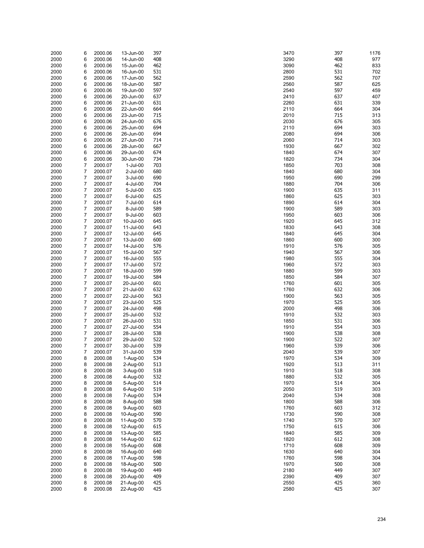| 2000 | 6              | 2000.06 | 13-Jun-00  | 397 | 3470 | 397 | 1176 |
|------|----------------|---------|------------|-----|------|-----|------|
| 2000 | 6              | 2000.06 | 14-Jun-00  | 408 | 3290 | 408 | 977  |
|      | 6              |         |            |     |      | 462 |      |
| 2000 |                | 2000.06 | 15-Jun-00  | 462 | 3090 |     | 833  |
| 2000 | 6              | 2000.06 | 16-Jun-00  | 531 | 2800 | 531 | 702  |
| 2000 | 6              | 2000.06 | 17-Jun-00  | 562 | 2590 | 562 | 707  |
| 2000 | 6              | 2000.06 | 18-Jun-00  | 587 | 2560 | 587 | 625  |
| 2000 | 6              | 2000.06 | 19-Jun-00  | 597 | 2540 | 597 | 459  |
| 2000 | 6              | 2000.06 | 20-Jun-00  | 637 | 2410 | 637 | 407  |
|      |                |         |            | 631 |      | 631 |      |
| 2000 | 6              | 2000.06 | 21-Jun-00  |     | 2260 |     | 339  |
| 2000 | 6              | 2000.06 | 22-Jun-00  | 664 | 2110 | 664 | 304  |
| 2000 | 6              | 2000.06 | 23-Jun-00  | 715 | 2010 | 715 | 313  |
| 2000 | 6              | 2000.06 | 24-Jun-00  | 676 | 2030 | 676 | 305  |
| 2000 | 6              | 2000.06 | 25-Jun-00  | 694 | 2110 | 694 | 303  |
| 2000 | 6              | 2000.06 | 26-Jun-00  | 694 | 2080 | 694 | 306  |
|      |                |         |            |     |      |     |      |
| 2000 | 6              | 2000.06 | 27-Jun-00  | 714 | 2060 | 714 | 303  |
| 2000 | 6              | 2000.06 | 28-Jun-00  | 667 | 1930 | 667 | 302  |
| 2000 | 6              | 2000.06 | 29-Jun-00  | 674 | 1840 | 674 | 307  |
| 2000 | 6              | 2000.06 | 30-Jun-00  | 734 | 1820 | 734 | 304  |
| 2000 | 7              | 2000.07 | 1-Jul-00   | 703 | 1850 | 703 | 308  |
| 2000 | 7              | 2000.07 | 2-Jul-00   | 680 | 1840 | 680 | 304  |
|      |                |         |            | 690 | 1950 | 690 |      |
| 2000 | 7              | 2000.07 | 3-Jul-00   |     |      |     | 299  |
| 2000 | 7              | 2000.07 | 4-Jul-00   | 704 | 1880 | 704 | 306  |
| 2000 | 7              | 2000.07 | 5-Jul-00   | 635 | 1900 | 635 | 311  |
| 2000 | 7              | 2000.07 | 6-Jul-00   | 625 | 1860 | 625 | 303  |
| 2000 | 7              | 2000.07 | 7-Jul-00   | 614 | 1890 | 614 | 304  |
| 2000 | 7              | 2000.07 | 8-Jul-00   | 589 | 1900 | 589 | 303  |
|      |                |         |            |     |      |     |      |
| 2000 | 7              | 2000.07 | 9-Jul-00   | 603 | 1950 | 603 | 306  |
| 2000 | 7              | 2000.07 | 10-Jul-00  | 645 | 1920 | 645 | 312  |
| 2000 | 7              | 2000.07 | 11-Jul-00  | 643 | 1830 | 643 | 308  |
| 2000 | 7              | 2000.07 | 12-Jul-00  | 645 | 1840 | 645 | 304  |
| 2000 | 7              | 2000.07 | 13-Jul-00  | 600 | 1860 | 600 | 300  |
| 2000 | 7              | 2000.07 |            | 576 | 1910 | 576 | 305  |
|      |                |         | 14-Jul-00  |     |      |     |      |
| 2000 | 7              | 2000.07 | 15-Jul-00  | 567 | 1940 | 567 | 306  |
| 2000 | 7              | 2000.07 | 16-Jul-00  | 555 | 1980 | 555 | 304  |
| 2000 | 7              | 2000.07 | 17-Jul-00  | 572 | 1960 | 572 | 303  |
| 2000 | 7              | 2000.07 | 18-Jul-00  | 599 | 1880 | 599 | 303  |
| 2000 | 7              | 2000.07 | 19-Jul-00  | 584 | 1850 | 584 | 307  |
|      | 7              |         |            |     |      |     |      |
| 2000 |                | 2000.07 | 20-Jul-00  | 601 | 1760 | 601 | 305  |
| 2000 | 7              | 2000.07 | 21-Jul-00  | 632 | 1760 | 632 | 306  |
| 2000 | 7              | 2000.07 | 22-Jul-00  | 563 | 1900 | 563 | 305  |
| 2000 | 7              | 2000.07 | 23-Jul-00  | 525 | 1970 | 525 | 305  |
| 2000 | 7              | 2000.07 | 24-Jul-00  | 498 | 2000 | 498 | 306  |
| 2000 | 7              | 2000.07 | 25-Jul-00  | 532 | 1910 | 532 | 303  |
|      |                |         |            | 531 |      | 531 |      |
| 2000 | 7              | 2000.07 | 26-Jul-00  |     | 1850 |     | 306  |
| 2000 | 7              | 2000.07 | 27-Jul-00  | 554 | 1910 | 554 | 303  |
| 2000 | 7              | 2000.07 | 28-Jul-00  | 538 | 1900 | 538 | 308  |
| 2000 | 7              | 2000.07 | 29-Jul-00  | 522 | 1900 | 522 | 307  |
| 2000 | 7              | 2000.07 | 30-Jul-00  | 539 | 1960 | 539 | 306  |
| 2000 | $\overline{7}$ | 2000.07 | 31-Jul-00  | 539 | 2040 | 539 | 307  |
|      |                |         |            |     |      |     |      |
| 2000 | 8              | 2000.08 | $1-Auq-00$ | 534 | 1970 | 534 | 309  |
| 2000 | 8              | 2000.08 | 2-Aug-00   | 513 | 1920 | 513 | 311  |
| 2000 | 8              | 2000.08 | 3-Aug-00   | 518 | 1910 | 518 | 308  |
| 2000 | 8              | 2000.08 | 4-Aug-00   | 532 | 1880 | 532 | 305  |
| 2000 | 8              | 2000.08 | 5-Aug-00   | 514 | 1970 | 514 | 304  |
| 2000 | 8              | 2000.08 | 6-Aug-00   | 519 | 2050 | 519 | 303  |
|      |                |         |            |     |      |     |      |
| 2000 | 8              | 2000.08 | 7-Aug-00   | 534 | 2040 | 534 | 308  |
| 2000 | 8              | 2000.08 | 8-Aug-00   | 588 | 1800 | 588 | 306  |
| 2000 | 8              | 2000.08 | 9-Aug-00   | 603 | 1760 | 603 | 312  |
| 2000 | 8              | 2000.08 | 10-Aug-00  | 590 | 1730 | 590 | 308  |
| 2000 | 8              | 2000.08 | 11-Aug-00  | 570 | 1740 | 570 | 307  |
| 2000 | 8              | 2000.08 | 12-Aug-00  | 615 | 1750 | 615 | 306  |
|      |                |         |            |     |      |     |      |
| 2000 | 8              | 2000.08 | 13-Aug-00  | 585 | 1840 | 585 | 309  |
| 2000 | 8              | 2000.08 | 14-Aug-00  | 612 | 1820 | 612 | 308  |
| 2000 | 8              | 2000.08 | 15-Aug-00  | 608 | 1710 | 608 | 309  |
| 2000 | 8              | 2000.08 | 16-Aug-00  | 640 | 1630 | 640 | 304  |
| 2000 | 8              | 2000.08 | 17-Aug-00  | 598 | 1760 | 598 | 304  |
| 2000 | 8              | 2000.08 | 18-Aug-00  | 500 | 1970 | 500 | 308  |
|      |                |         |            |     |      |     |      |
| 2000 | 8              | 2000.08 | 19-Aug-00  | 449 | 2180 | 449 | 307  |
| 2000 | 8              | 2000.08 | 20-Aug-00  | 409 | 2390 | 409 | 307  |
| 2000 | 8              | 2000.08 | 21-Aug-00  | 425 | 2550 | 425 | 360  |
| 2000 | 8              | 2000.08 | 22-Aug-00  | 425 | 2580 | 425 | 307  |

| 70       | 397        | 1176       |
|----------|------------|------------|
| 90       | 408        | 977        |
| 90<br>)0 | 462<br>531 | 833<br>702 |
| 90       | 562        | 707        |
| 50       | 587        | 625        |
| 10       | 597        | 459        |
| 10<br>60 | 637        | 407        |
| 10       | 631<br>664 | 339<br>304 |
| 10       | 715        | 313        |
| 30       | 676        | 305        |
| 10       | 694        | 303        |
| 30<br>50 | 694<br>714 | 306        |
| 30       | 667        | 303<br>302 |
| 10       | 674        | 307        |
| 20       | 734        | 304        |
| 50       | 703        | 308        |
| 10<br>50 | 680<br>690 | 304<br>299 |
| 30       | 704        | 306        |
| 00       | 635        | 311        |
| 50       | 625        | 303        |
| 90       | 614        | 304        |
| )0<br>50 | 589<br>603 | 303<br>306 |
| 20       | 645        | 312        |
| 30       | 643        | 308        |
| 10       | 645        | 304        |
| 50       | 600        | 300        |
| 10<br>10 | 576<br>567 | 305<br>306 |
| 30       | 555        | 304        |
| 50       | 572        | 303        |
| 30       | 599        | 303        |
| 50       | 584        | 307        |
| 50<br>50 | 601<br>632 | 305<br>306 |
| )0       | 563        | 305        |
| 70       | 525        | 305        |
| 00       | 498        | 306        |
| 10       | 532        | 303<br>306 |
| 50<br>10 | 531<br>554 | 303        |
| )0       | 538        | 308        |
| )0       | 522        | 307        |
| 50       | 539        | 306        |
| 10<br>70 | 539<br>534 | 307<br>309 |
| 20       | 513        | 311        |
| 10       | 518        | 308        |
| 30       | 532        | 305        |
| 70       | 514        | 304        |
| 50<br>10 | 519<br>534 | 303<br>308 |
| )0       | 588        | 306        |
| 50       | 603        | 312        |
| 30       | 590        | 308        |
| 10       | 570        | 307        |
| 50<br>10 | 615<br>585 | 306<br>309 |
| 20       | 612        | 308        |
| 10       | 608        | 309        |
| 30       | 640        | 304        |
| 50       | 598        | 304        |
| 70<br>30 | 500<br>449 | 308<br>307 |
| 90       | 409        | 307        |
| 50       | 425        | 360        |
| 30       | 425        | 307        |
|          |            |            |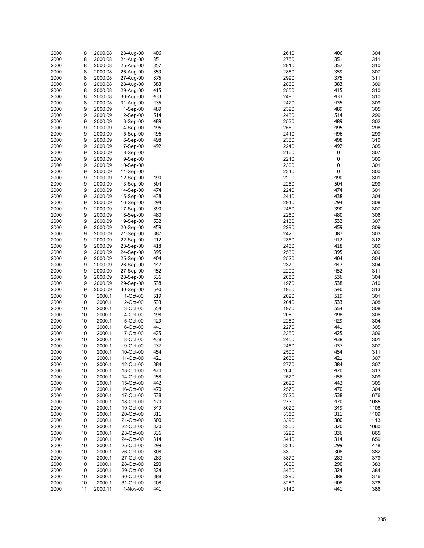| 2000 | 8  | 2000.08 | 23-Aug-00  | 406 | 2610 | 406      | 304  |
|------|----|---------|------------|-----|------|----------|------|
| 2000 | 8  | 2000.08 | 24-Aug-00  | 351 | 2750 | 351      | 311  |
| 2000 | 8  | 2000.08 | 25-Aug-00  | 357 | 2810 | 357      | 310  |
|      |    |         |            |     |      |          |      |
| 2000 | 8  | 2000.08 | 26-Aug-00  | 359 | 2860 | 359      | 307  |
| 2000 | 8  | 2000.08 | 27-Aug-00  | 375 | 2990 | 375      | 311  |
| 2000 | 8  | 2000.08 | 28-Aug-00  | 383 | 2860 | 383      | 309  |
| 2000 | 8  | 2000.08 | 29-Aug-00  | 415 | 2550 | 415      | 310  |
| 2000 | 8  | 2000.08 | 30-Aug-00  | 433 | 2490 | 433      | 310  |
|      |    |         |            |     |      |          |      |
| 2000 | 8  | 2000.08 | 31-Aug-00  | 435 | 2420 | 435      | 309  |
| 2000 | 9  | 2000.09 | $1-Sep-00$ | 489 | 2320 | 489      | 305  |
| 2000 | 9  | 2000.09 | $2-Sep-00$ | 514 | 2430 | 514      | 299  |
| 2000 | 9  | 2000.09 | $3-Sep-00$ | 489 | 2530 | 489      | 302  |
| 2000 | 9  | 2000.09 | 4-Sep-00   | 495 | 2550 | 495      | 298  |
|      |    |         |            |     |      |          |      |
| 2000 | 9  | 2000.09 | 5-Sep-00   | 496 | 2410 | 496      | 299  |
| 2000 | 9  | 2000.09 | $6-Sep-00$ | 498 | 2330 | 498      | 310  |
| 2000 | 9  | 2000.09 | $7-Sep-00$ | 492 | 2240 | 492      | 305  |
| 2000 | 9  | 2000.09 | 8-Sep-00   |     | 2160 | 0        | 307  |
| 2000 | 9  | 2000.09 | $9-Sep-00$ |     | 2210 | $\bf{0}$ | 306  |
|      | 9  |         |            |     | 2300 | 0        |      |
| 2000 |    | 2000.09 | 10-Sep-00  |     |      |          | 301  |
| 2000 | 9  | 2000.09 | 11-Sep-00  |     | 2340 | 0        | 300  |
| 2000 | 9  | 2000.09 | 12-Sep-00  | 490 | 2290 | 490      | 301  |
| 2000 | 9  | 2000.09 | 13-Sep-00  | 504 | 2250 | 504      | 299  |
| 2000 | 9  | 2000.09 | 14-Sep-00  | 474 | 2240 | 474      | 301  |
| 2000 | 9  | 2000.09 | 15-Sep-00  | 438 | 2410 | 438      | 304  |
|      |    |         |            |     |      |          |      |
| 2000 | 9  | 2000.09 | 16-Sep-00  | 294 | 2940 | 294      | 308  |
| 2000 | 9  | 2000.09 | 17-Sep-00  | 390 | 2450 | 390      | 307  |
| 2000 | 9  | 2000.09 | 18-Sep-00  | 480 | 2250 | 480      | 306  |
| 2000 | 9  | 2000.09 | 19-Sep-00  | 532 | 2130 | 532      | 307  |
| 2000 | 9  | 2000.09 | 20-Sep-00  | 459 | 2290 | 459      | 309  |
|      |    |         |            |     |      |          |      |
| 2000 | 9  | 2000.09 | 21-Sep-00  | 387 | 2420 | 387      | 303  |
| 2000 | 9  | 2000.09 | 22-Sep-00  | 412 | 2350 | 412      | 312  |
| 2000 | 9  | 2000.09 | 23-Sep-00  | 418 | 2460 | 418      | 306  |
| 2000 | 9  | 2000.09 | 24-Sep-00  | 395 | 2530 | 395      | 306  |
| 2000 | 9  | 2000.09 | 25-Sep-00  | 404 | 2520 | 404      | 304  |
|      |    |         |            |     |      |          |      |
| 2000 | 9  | 2000.09 | 26-Sep-00  | 447 | 2370 | 447      | 304  |
| 2000 | 9  | 2000.09 | 27-Sep-00  | 452 | 2200 | 452      | 311  |
| 2000 | 9  | 2000.09 | 28-Sep-00  | 536 | 2050 | 536      | 304  |
| 2000 | 9  | 2000.09 | 29-Sep-00  | 538 | 1970 | 538      | 310  |
| 2000 | 9  | 2000.09 | 30-Sep-00  | 540 | 1960 | 540      | 313  |
|      |    |         |            |     |      |          |      |
| 2000 | 10 | 2000.1  | 1-Oct-00   | 519 | 2020 | 519      | 301  |
| 2000 | 10 | 2000.1  | 2-Oct-00   | 533 | 2040 | 533      | 308  |
| 2000 | 10 | 2000.1  | 3-Oct-00   | 554 | 1970 | 554      | 308  |
| 2000 | 10 | 2000.1  | 4-Oct-00   | 498 | 2080 | 498      | 306  |
| 2000 | 10 | 2000.1  | 5-Oct-00   | 429 | 2250 | 429      | 304  |
|      |    |         |            |     |      |          |      |
| 2000 | 10 | 2000.1  | 6-Oct-00   | 441 | 2270 | 441      | 305  |
| 2000 | 10 | 2000.1  | 7-Oct-00   | 425 | 2350 | 425      | 306  |
| 2000 | 10 | 2000.1  | 8-Oct-00   | 438 | 2450 | 438      | 301  |
| 2000 | 10 | 2000.1  | 9-Oct-00   | 437 | 2450 | 437      | 307  |
| 2000 | 10 | 2000.1  | 10-Oct-00  | 454 | 2500 | 454      | 311  |
|      |    |         |            |     |      |          |      |
| 2000 | 10 | 2000.1  | 11-Oct-00  | 421 | 2630 | 421      | 307  |
| 2000 | 10 | 2000.1  | 12-Oct-00  | 384 | 2770 | 384      | 307  |
| 2000 | 10 | 2000.1  | 13-Oct-00  | 420 | 2640 | 420      | 313  |
| 2000 | 10 | 2000.1  | 14-Oct-00  | 458 | 2570 | 458      | 309  |
| 2000 | 10 | 2000.1  | 15-Oct-00  | 442 | 2620 | 442      | 305  |
|      |    |         |            |     |      |          |      |
| 2000 | 10 | 2000.1  | 16-Oct-00  | 470 | 2570 | 470      | 304  |
| 2000 | 10 | 2000.1  | 17-Oct-00  | 538 | 2520 | 538      | 676  |
| 2000 | 10 | 2000.1  | 18-Oct-00  | 470 | 2730 | 470      | 1085 |
| 2000 | 10 | 2000.1  | 19-Oct-00  | 349 | 3020 | 349      | 1108 |
| 2000 | 10 | 2000.1  | 20-Oct-00  | 311 | 3350 | 311      | 1109 |
|      |    |         |            |     |      |          |      |
| 2000 | 10 | 2000.1  | 21-Oct-00  | 300 | 3390 | 300      | 1113 |
| 2000 | 10 | 2000.1  | 22-Oct-00  | 320 | 3300 | 320      | 1060 |
| 2000 | 10 | 2000.1  | 23-Oct-00  | 336 | 3290 | 336      | 865  |
| 2000 | 10 | 2000.1  | 24-Oct-00  | 314 | 3410 | 314      | 659  |
| 2000 | 10 | 2000.1  | 25-Oct-00  | 299 | 3340 | 299      | 478  |
|      |    |         |            |     |      |          |      |
| 2000 | 10 | 2000.1  | 26-Oct-00  | 308 | 3390 | 308      | 382  |
| 2000 | 10 | 2000.1  | 27-Oct-00  | 283 | 3870 | 283      | 379  |
| 2000 | 10 | 2000.1  | 28-Oct-00  | 290 | 3800 | 290      | 383  |
| 2000 | 10 | 2000.1  | 29-Oct-00  | 324 | 3450 | 324      | 384  |
| 2000 | 10 | 2000.1  | 30-Oct-00  | 388 | 3290 | 388      | 376  |
| 2000 | 10 | 2000.1  | 31-Oct-00  | 408 | 3280 | 408      | 376  |
|      |    |         |            |     |      |          |      |
| 2000 | 11 | 2000.11 | 1-Nov-00   | 441 | 3140 | 441      | 386  |

| 0              | 406        | 304          |
|----------------|------------|--------------|
| i0             | 351        | 311          |
| 0              | 357        | 310          |
| iО<br>Ю        | 359<br>375 | 307<br>311   |
| iО             | 383        | 309          |
| ١O             | 415        | 310          |
| Ю              | 433        | 310          |
| 0              | 435        | 309          |
| 0              | 489        | 305          |
| ١О             | 514        | 299          |
| ٥،             | 489        | 302          |
| i0<br>0        | 495<br>496 | 298<br>299   |
| ٥،             | 498        | 310          |
| ٥.             | 492        | 305          |
| i0             | 0          | 307          |
| 0              | 0          | 306          |
| Ю              | 0          | 301          |
| ٥.             | 0          | 300          |
| Ю<br>i0        | 490<br>504 | 301<br>299   |
| $\overline{0}$ | 474        | 301          |
| 0              | 438        | 304          |
| ٥.             | 294        | 308          |
| i0             | 390        | 307          |
| i0             | 480        | 306          |
| ٥،             | 532        | 307          |
| 0              | 459        | 309          |
| 0<br>i0        | 387<br>412 | 303<br>312   |
| iО             | 418        | 306          |
| ١О             | 395        | 306          |
| 0              | 404        | 304          |
| Ό              | 447        | 304          |
| Ю              | 452        | 311          |
| ١O             | 536        | 304          |
| Ό              | 538        | 310          |
| i0             | 540        | 313          |
| 0<br>0         | 519<br>533 | 301<br>308   |
| Ό              | 554        | 308          |
| $\overline{0}$ | 498        | 306          |
| i0             | 429        | 304          |
| Ό              | 441        | 305          |
| i0             | 425        | 306          |
| ١O             | 438        | 301          |
| i0             | 437<br>454 | 307          |
| Ю<br>١Ο        | 421        | 311<br>307   |
| $\overline{0}$ | 384        | 307          |
| ٥.             | 420        | 313          |
| Ό              | 458        | 309          |
| 0              | 442        | 305          |
| Ό              | 470        | 304          |
| 0              | 538        | 676          |
| ١Ο<br>0        | 470<br>349 | 1085<br>1108 |
| i0             | 311        | 1109         |
| Ю              | 300        | 1113         |
| Ι0             | 320        | 1060         |
| Ю              | 336        | 865          |
| 0              | 314        | 659          |
| ٥.             | 299        | 478          |
| 0              | 308        | 382          |
| Ό              | 283        | 379          |
| Ю<br>i0        | 290<br>324 | 383<br>384   |
| Ι0             | 388        | 376          |
| ١Ο             | 408        | 376          |
| 0              | 441        | 386          |
|                |            |              |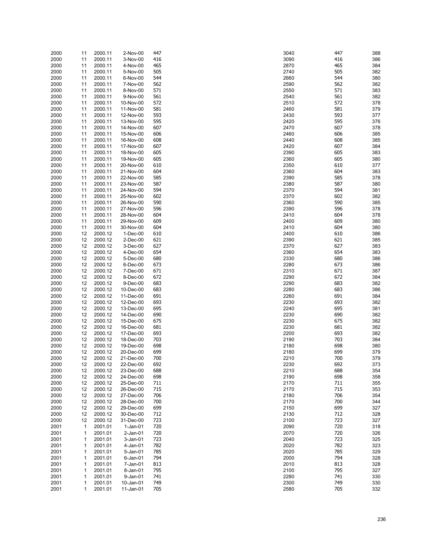| 2000 | 11           | 2000.11 | 2-Nov-00     | 447 | 3040 | 447 | 388 |
|------|--------------|---------|--------------|-----|------|-----|-----|
| 2000 | 11           | 2000.11 | 3-Nov-00     | 416 | 3090 | 416 | 386 |
| 2000 | 11           | 2000.11 | 4-Nov-00     | 465 | 2870 | 465 | 384 |
| 2000 | 11           | 2000.11 | 5-Nov-00     | 505 | 2740 | 505 | 382 |
|      |              |         |              |     |      | 544 |     |
| 2000 | 11           | 2000.11 | 6-Nov-00     | 544 | 2660 |     | 380 |
| 2000 | 11           | 2000.11 | 7-Nov-00     | 562 | 2590 | 562 | 382 |
| 2000 | 11           | 2000.11 | 8-Nov-00     | 571 | 2550 | 571 | 383 |
| 2000 | 11           | 2000.11 | 9-Nov-00     | 561 | 2540 | 561 | 382 |
| 2000 | 11           | 2000.11 | 10-Nov-00    | 572 | 2510 | 572 | 378 |
|      |              |         |              |     |      |     |     |
| 2000 | 11           | 2000.11 | 11-Nov-00    | 581 | 2460 | 581 | 379 |
| 2000 | 11           | 2000.11 | 12-Nov-00    | 593 | 2430 | 593 | 377 |
| 2000 | 11           | 2000.11 | 13-Nov-00    | 595 | 2420 | 595 | 376 |
| 2000 | 11           | 2000.11 | 14-Nov-00    | 607 | 2470 | 607 | 378 |
| 2000 | 11           | 2000.11 | 15-Nov-00    | 606 | 2460 | 606 | 385 |
|      |              | 2000.11 |              |     |      | 608 |     |
| 2000 | 11           |         | 16-Nov-00    | 608 | 2440 |     | 385 |
| 2000 | 11           | 2000.11 | 17-Nov-00    | 607 | 2420 | 607 | 384 |
| 2000 | 11           | 2000.11 | 18-Nov-00    | 605 | 2390 | 605 | 383 |
| 2000 | 11           | 2000.11 | 19-Nov-00    | 605 | 2360 | 605 | 380 |
| 2000 | 11           | 2000.11 | 20-Nov-00    | 610 | 2350 | 610 | 377 |
| 2000 | 11           | 2000.11 | 21-Nov-00    | 604 | 2360 | 604 | 383 |
|      |              |         |              |     |      |     |     |
| 2000 | 11           | 2000.11 | 22-Nov-00    | 585 | 2390 | 585 | 378 |
| 2000 | 11           | 2000.11 | 23-Nov-00    | 587 | 2380 | 587 | 380 |
| 2000 | 11           | 2000.11 | 24-Nov-00    | 594 | 2370 | 594 | 381 |
| 2000 | 11           | 2000.11 | 25-Nov-00    | 602 | 2370 | 602 | 382 |
| 2000 |              |         | 26-Nov-00    | 590 | 2360 | 590 | 385 |
|      | 11           | 2000.11 |              |     |      |     |     |
| 2000 | 11           | 2000.11 | 27-Nov-00    | 596 | 2390 | 596 | 378 |
| 2000 | 11           | 2000.11 | 28-Nov-00    | 604 | 2410 | 604 | 378 |
| 2000 | 11           | 2000.11 | 29-Nov-00    | 609 | 2400 | 609 | 380 |
| 2000 | 11           | 2000.11 | 30-Nov-00    | 604 | 2410 | 604 | 380 |
|      | 12           |         | 1-Dec-00     | 610 | 2400 | 610 | 386 |
| 2000 |              | 2000.12 |              |     |      |     |     |
| 2000 | 12           | 2000.12 | 2-Dec-00     | 621 | 2390 | 621 | 385 |
| 2000 | 12           | 2000.12 | 3-Dec-00     | 627 | 2370 | 627 | 383 |
| 2000 | 12           | 2000.12 | 4-Dec-00     | 654 | 2360 | 654 | 383 |
| 2000 | 12           | 2000.12 | 5-Dec-00     | 680 | 2330 | 680 | 386 |
| 2000 | 12           | 2000.12 | 6-Dec-00     | 673 | 2280 | 673 | 386 |
|      |              |         |              |     |      |     |     |
| 2000 | 12           | 2000.12 | 7-Dec-00     | 671 | 2310 | 671 | 387 |
| 2000 | 12           | 2000.12 | 8-Dec-00     | 672 | 2290 | 672 | 384 |
| 2000 | 12           | 2000.12 | 9-Dec-00     | 683 | 2290 | 683 | 382 |
| 2000 | 12           | 2000.12 | 10-Dec-00    | 683 | 2280 | 683 | 386 |
| 2000 | 12           | 2000.12 | 11-Dec-00    | 691 | 2260 | 691 | 384 |
|      |              |         |              |     |      |     |     |
| 2000 | 12           | 2000.12 | 12-Dec-00    | 693 | 2230 | 693 | 382 |
| 2000 | 12           | 2000.12 | 13-Dec-00    | 695 | 2240 | 695 | 381 |
| 2000 | 12           | 2000.12 | 14-Dec-00    | 690 | 2230 | 690 | 382 |
| 2000 | 12           | 2000.12 | 15-Dec-00    | 675 | 2230 | 675 | 382 |
| 2000 | 12           | 2000.12 | 16-Dec-00    | 681 | 2230 | 681 | 382 |
|      |              |         |              |     |      |     |     |
| 2000 | 12           | 2000.12 | 17-Dec-00    | 693 | 2200 | 693 | 382 |
| 2000 | 12           | 2000.12 | 18-Dec-00    | 703 | 2190 | 703 | 384 |
| 2000 | 12           | 2000.12 | 19-Dec-00    | 698 | 2180 | 698 | 380 |
| 2000 | 12           | 2000.12 | 20-Dec-00    | 699 | 2180 | 699 | 379 |
| 2000 | 12           | 2000.12 | 21-Dec-00    | 700 | 2210 | 700 | 379 |
|      |              |         |              |     |      |     |     |
| 2000 | 12           | 2000.12 | 22-Dec-00    | 692 | 2230 | 692 | 373 |
| 2000 | 12           | 2000.12 | 23-Dec-00    | 688 | 2210 | 688 | 354 |
| 2000 | 12           | 2000.12 | 24-Dec-00    | 698 | 2190 | 698 | 358 |
| 2000 | 12           | 2000.12 | 25-Dec-00    | 711 | 2170 | 711 | 355 |
| 2000 | 12           | 2000.12 | 26-Dec-00    | 715 | 2170 | 715 | 353 |
|      |              |         |              |     |      |     |     |
| 2000 | 12           | 2000.12 | 27-Dec-00    | 706 | 2180 | 706 | 354 |
| 2000 | 12           | 2000.12 | 28-Dec-00    | 700 | 2170 | 700 | 344 |
| 2000 | 12           | 2000.12 | 29-Dec-00    | 699 | 2150 | 699 | 327 |
| 2000 | 12           | 2000.12 | 30-Dec-00    | 712 | 2130 | 712 | 328 |
| 2000 | 12           | 2000.12 | 31-Dec-00    | 723 | 2100 | 723 | 327 |
|      |              |         |              |     |      |     |     |
| 2001 | $\mathbf{1}$ | 2001.01 | $1-Jan-01$   | 720 | 2090 | 720 | 318 |
| 2001 | 1            | 2001.01 | $2$ -Jan-01  | 720 | 2070 | 720 | 326 |
| 2001 | 1            | 2001.01 | $3 - Jan-01$ | 723 | 2040 | 723 | 325 |
| 2001 | 1            | 2001.01 | 4-Jan-01     | 782 | 2020 | 782 | 323 |
| 2001 | 1            | 2001.01 | 5-Jan-01     | 785 | 2020 | 785 | 329 |
|      |              |         |              |     |      |     |     |
| 2001 | 1            | 2001.01 | 6-Jan-01     | 794 | 2000 | 794 | 328 |
| 2001 | 1            | 2001.01 | 7-Jan-01     | 813 | 2010 | 813 | 328 |
| 2001 | 1            | 2001.01 | 8-Jan-01     | 795 | 2100 | 795 | 327 |
| 2001 | 1            | 2001.01 | 9-Jan-01     | 741 | 2280 | 741 | 330 |
| 2001 | 1            | 2001.01 | 10-Jan-01    | 749 | 2300 | 749 | 330 |
|      | 1            |         |              | 705 | 2580 | 705 |     |
| 2001 |              | 2001.01 | 11-Jan-01    |     |      |     | 332 |

| 10       | 447        | 388        |
|----------|------------|------------|
| ЭO       | 416        | 386        |
| 70<br>10 | 465<br>505 | 384<br>382 |
| 60       | 544        | 380        |
| 90       | 562        | 382        |
| 50<br>10 | 571<br>561 | 383<br>382 |
| 10       | 572        | 378        |
| 50       | 581        | 379        |
| 30       | 593        | 377        |
| 20<br>70 | 595<br>607 | 376<br>378 |
| 50       | 606        | 385        |
| 10       | 608        | 385        |
| 20       | 607        | 384        |
| 90<br>50 | 605<br>605 | 383<br>380 |
| 50       | 610        | 377        |
| 50       | 604        | 383        |
| 90       | 585<br>587 | 378        |
| 30<br>70 | 594        | 380<br>381 |
| 70       | 602        | 382        |
| 50       | 590        | 385        |
| 90<br>10 | 596<br>604 | 378<br>378 |
| 00       | 609        | 380        |
| 10       | 604        | 380        |
| )0       | 610        | 386        |
| 90<br>70 | 621<br>627 | 385<br>383 |
| 60       | 654        | 383        |
| 30       | 680        | 386        |
| 30       | 673<br>671 | 386        |
| 10<br>90 | 672        | 387<br>384 |
| 90       | 683        | 382        |
| 30       | 683        | 386        |
| 50<br>30 | 691<br>693 | 384<br>382 |
| 10       | 695        | 381        |
| 30       | 690        | 382        |
| 30       | 675        | 382        |
| 30<br>)0 | 681<br>693 | 382<br>382 |
| 90       | 703        | 384        |
| 30       | 698        | 380        |
| 30<br>10 | 699<br>700 | 379<br>379 |
| 30       | 692        | 373        |
| 10       | 688        | 354        |
| 90       | 698        | 358        |
| 70<br>70 | 711<br>715 | 355<br>353 |
| 30       | 706        | 354        |
| 70       | 700        | 344        |
| 50       | 699        | 327        |
| 30<br>)0 | 712<br>723 | 328<br>327 |
| 90       | 720        | 318        |
| 70       | 720        | 326        |
| 10       | 723        | 325<br>323 |
| 20<br>20 | 782<br>785 | 329        |
| )0       | 794        | 328        |
| 10       | 813        | 328        |
| )0       | 795        | 327        |
| 30<br>)0 | 741<br>749 | 330<br>330 |
| 30       | 705        | 332        |
|          |            |            |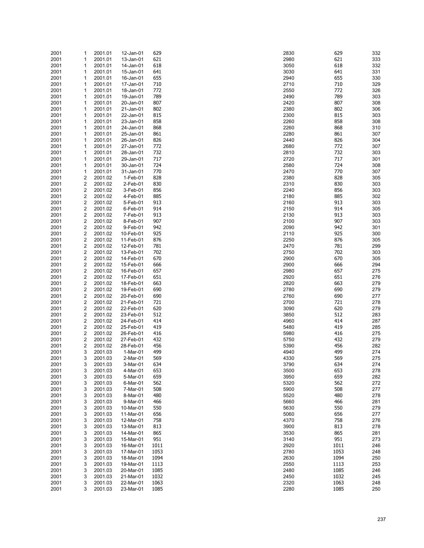| 2001<br>2001<br>2001<br>2001<br>2001<br>2001<br>2001<br>2001<br>2001<br>2001 | 1<br>1<br>1             | 2001.01<br>2001.01<br>2001.01 | 12-Jan-01<br>13-Jan-01<br>14-Jan-01 | 629<br>621<br>618 | 2830<br>2980 | 629<br>621<br>618 | 332<br>333<br>332 |
|------------------------------------------------------------------------------|-------------------------|-------------------------------|-------------------------------------|-------------------|--------------|-------------------|-------------------|
|                                                                              |                         |                               |                                     |                   |              |                   |                   |
|                                                                              |                         |                               |                                     |                   | 3050         |                   |                   |
|                                                                              |                         |                               | 15-Jan-01                           | 641               | 3030         | 641               | 331               |
|                                                                              |                         | 2001.01                       |                                     |                   |              |                   |                   |
|                                                                              | 1                       | 2001.01                       | 16-Jan-01                           | 655               | 2940         | 655               | 330               |
|                                                                              | 1                       | 2001.01                       | 17-Jan-01                           | 710               | 2710         | 710               | 329               |
|                                                                              | 1                       | 2001.01                       | 18-Jan-01                           | 772               | 2550         | 772               | 326               |
|                                                                              | 1                       | 2001.01                       | 19-Jan-01                           | 789               | 2490         | 789               | 303               |
|                                                                              | 1                       | 2001.01                       | 20-Jan-01                           | 807               | 2420         | 807               | 308               |
|                                                                              | 1                       | 2001.01                       | 21-Jan-01                           | 802               | 2380         | 802               | 306               |
| 2001                                                                         | 1                       | 2001.01                       | 22-Jan-01                           | 815               | 2300         | 815               | 303               |
| 2001                                                                         | 1                       | 2001.01                       | 23-Jan-01                           | 858               | 2260         | 858               | 308               |
| 2001                                                                         | 1                       | 2001.01                       | 24-Jan-01                           | 868               | 2260         | 868               | 310               |
| 2001                                                                         | 1                       | 2001.01                       | 25-Jan-01                           | 861               | 2280         | 861               | 307               |
|                                                                              |                         |                               |                                     |                   |              |                   |                   |
| 2001                                                                         | 1                       | 2001.01                       | 26-Jan-01                           | 826               | 2440         | 826               | 304               |
| 2001                                                                         | 1                       | 2001.01                       | 27-Jan-01                           | 772               | 2680         | 772               | 307               |
| 2001                                                                         | 1                       | 2001.01                       | 28-Jan-01                           | 732               | 2810         | 732               | 303               |
| 2001                                                                         | 1                       | 2001.01                       | 29-Jan-01                           | 717               | 2720         | 717               | 301               |
| 2001                                                                         | 1                       | 2001.01                       | 30-Jan-01                           | 724               | 2580         | 724               | 308               |
| 2001                                                                         | 1                       | 2001.01                       | 31-Jan-01                           | 770               | 2470         | 770               | 307               |
| 2001                                                                         | 2                       | 2001.02                       | 1-Feb-01                            | 828               | 2380         | 828               | 305               |
| 2001                                                                         | $\overline{\mathbf{c}}$ | 2001.02                       | 2-Feb-01                            | 830               | 2310         | 830               | 303               |
| 2001                                                                         | 2                       | 2001.02                       | 3-Feb-01                            | 856               | 2240         | 856               | 303               |
| 2001                                                                         | $\overline{\mathbf{c}}$ | 2001.02                       | 4-Feb-01                            | 885               | 2180         | 885               | 302               |
|                                                                              | 2                       |                               |                                     | 913               | 2160         | 913               | 303               |
| 2001                                                                         |                         | 2001.02                       | 5-Feb-01                            |                   |              |                   |                   |
| 2001                                                                         | 2                       | 2001.02                       | 6-Feb-01                            | 914               | 2150         | 914               | 305               |
| 2001                                                                         | $\overline{\mathbf{c}}$ | 2001.02                       | 7-Feb-01                            | 913               | 2130         | 913               | 303               |
| 2001                                                                         | 2                       | 2001.02                       | 8-Feb-01                            | 907               | 2100         | 907               | 303               |
| 2001                                                                         | $\overline{\mathbf{c}}$ | 2001.02                       | 9-Feb-01                            | 942               | 2090         | 942               | 301               |
| 2001                                                                         | 2                       | 2001.02                       | 10-Feb-01                           | 925               | 2110         | 925               | 300               |
| 2001                                                                         | 2                       | 2001.02                       | 11-Feb-01                           | 876               | 2250         | 876               | 305               |
| 2001                                                                         | $\overline{\mathbf{c}}$ | 2001.02                       | 12-Feb-01                           | 781               | 2470         | 781               | 299               |
| 2001                                                                         | 2                       | 2001.02                       | 13-Feb-01                           | 702               | 2750         | 702               | 303               |
| 2001                                                                         | $\overline{\mathbf{c}}$ | 2001.02                       | 14-Feb-01                           | 670               | 2900         | 670               | 305               |
|                                                                              | 2                       | 2001.02                       | 15-Feb-01                           | 666               | 2900         | 666               | 294               |
| 2001                                                                         |                         |                               |                                     |                   |              |                   |                   |
| 2001                                                                         | $\overline{\mathbf{c}}$ | 2001.02                       | 16-Feb-01                           | 657               | 2980         | 657               | 275               |
| 2001                                                                         | 2                       | 2001.02                       | 17-Feb-01                           | 651               | 2920         | 651               | 276               |
| 2001                                                                         | $\overline{\mathbf{c}}$ | 2001.02                       | 18-Feb-01                           | 663               | 2820         | 663               | 279               |
| 2001                                                                         | $\overline{\mathbf{c}}$ | 2001.02                       | 19-Feb-01                           | 690               | 2780         | 690               | 279               |
| 2001                                                                         | 2                       | 2001.02                       | 20-Feb-01                           | 690               | 2760         | 690               | 277               |
| 2001                                                                         | $\overline{\mathbf{c}}$ | 2001.02                       | 21-Feb-01                           | 721               | 2700         | 721               | 278               |
| 2001                                                                         | 2                       | 2001.02                       | 22-Feb-01                           | 620               | 3090         | 620               | 279               |
| 2001                                                                         | $\overline{\mathbf{c}}$ | 2001.02                       | 23-Feb-01                           | 512               | 3850         | 512               | 283               |
| 2001                                                                         | 2                       | 2001.02                       | 24-Feb-01                           | 414               | 4960         | 414               | 287               |
|                                                                              | 2                       | 2001.02                       | 25-Feb-01                           | 419               | 5480         | 419               | 285               |
| 2001                                                                         |                         |                               |                                     |                   |              |                   |                   |
| 2001                                                                         | $\overline{\mathbf{c}}$ | 2001.02                       | 26-Feb-01                           | 416               | 5980         | 416               | 275               |
| 2001                                                                         | 2                       | 2001.02                       | 27-Feb-01                           | 432               | 5750         | 432               | 279               |
| 2001                                                                         | $\overline{\mathbf{c}}$ | 2001.02                       | 28-Feb-01                           | 456               | 5390         | 456               | 282               |
| 2001                                                                         | 3                       | 2001.03                       | 1-Mar-01                            | 499               | 4940         | 499               | 274               |
| 2001                                                                         | 3                       | 2001.03                       | 2-Mar-01                            | 569               | 4330         | 569               | 275               |
| 2001                                                                         | 3                       | 2001.03                       | 3-Mar-01                            | 634               | 3790         | 634               | 274               |
| 2001                                                                         | 3                       | 2001.03                       | 4-Mar-01                            | 653               | 3500         | 653               | 278               |
| 2001                                                                         | 3                       | 2001.03                       | 5-Mar-01                            | 659               | 3950         | 659               | 282               |
| 2001                                                                         | 3                       | 2001.03                       | 6-Mar-01                            | 562               | 5320         | 562               | 272               |
|                                                                              | 3                       | 2001.03                       | 7-Mar-01                            | 508               | 5900         | 508               | 277               |
| 2001                                                                         |                         |                               |                                     |                   |              |                   |                   |
| 2001                                                                         | 3                       | 2001.03                       | 8-Mar-01                            | 480               | 5520         | 480               | 278               |
| 2001                                                                         | 3                       | 2001.03                       | 9-Mar-01                            | 466               | 5660         | 466               | 281               |
| 2001                                                                         | 3                       | 2001.03                       | 10-Mar-01                           | 550               | 5630         | 550               | 279               |
| 2001                                                                         | 3                       | 2001.03                       | 11-Mar-01                           | 656               | 5060         | 656               | 277               |
| 2001                                                                         | 3                       | 2001.03                       | 12-Mar-01                           | 758               | 4370         | 758               | 276               |
| 2001                                                                         | 3                       | 2001.03                       | 13-Mar-01                           | 813               | 3900         | 813               | 278               |
| 2001                                                                         | 3                       | 2001.03                       | 14-Mar-01                           | 865               | 3530         | 865               | 281               |
| 2001                                                                         | 3                       | 2001.03                       | 15-Mar-01                           | 951               | 3140         | 951               | 273               |
| 2001                                                                         | 3                       | 2001.03                       | 16-Mar-01                           | 1011              | 2920         | 1011              | 246               |
|                                                                              |                         |                               |                                     |                   |              |                   |                   |
| 2001                                                                         | 3                       | 2001.03                       | 17-Mar-01                           | 1053              | 2780         | 1053              | 248               |
| 2001                                                                         | 3                       | 2001.03                       | 18-Mar-01                           | 1094              | 2630         | 1094              | 250               |
| 2001                                                                         | 3                       | 2001.03                       | 19-Mar-01                           | 1113              | 2550         | 1113              | 253               |
|                                                                              | 3                       | 2001.03                       | 20-Mar-01                           | 1085              | 2480         | 1085              | 246               |
| 2001                                                                         | 3                       | 2001.03                       | 21-Mar-01                           | 1032              | 2450         | 1032              | 245               |
| 2001                                                                         | 3                       | 2001.03                       | 22-Mar-01                           | 1063              | 2320         | 1063              | 248               |
| 2001                                                                         |                         |                               |                                     | 1085              | 2280         | 1085              |                   |

| 30       | 629          | 332        |
|----------|--------------|------------|
| 80       | 621          | 333        |
| 50       | 618          | 332        |
| 30<br>40 | 641<br>655   | 331<br>330 |
| 10       | 710          | 329        |
| 50       | 772          | 326        |
| 90       | 789          | 303        |
| 20       | 807          | 308        |
| 80       | 802          | 306        |
| 00       | 815          | 303        |
| 60       | 858          | 308        |
| 60<br>80 | 868<br>861   | 310<br>307 |
| 40       | 826          | 304        |
| 80       | 772          | 307        |
| 10       | 732          | 303        |
| 20       | 717          | 301        |
| 80       | 724          | 308        |
| 70       | 770          | 307        |
| 80       | 828          | 305        |
| 10<br>40 | 830<br>856   | 303<br>303 |
| 80       | 885          | 302        |
| 60       | 913          | 303        |
| 50       | 914          | 305        |
| 30       | 913          | 303        |
| 00       | 907          | 303        |
| 90       | 942          | 301        |
| 10       | 925          | 300        |
| 50<br>70 | 876<br>781   | 305<br>299 |
| 50       | 702          | 303        |
| 00       | 670          | 305        |
| 00       | 666          | 294        |
| 80       | 657          | 275        |
| 20       | 651          | 276        |
| 20       | 663          | 279        |
| 80       | 690<br>690   | 279        |
| 60<br>00 | 721          | 277<br>278 |
| 90       | 620          | 279        |
| 50       | 512          | 283        |
| 60       | 414          | 287        |
| 80       | 419          | 285        |
| 80       | 416          | 275        |
| 50       | 432          | 279        |
| 90       | 456<br>499   | 282<br>274 |
| 40<br>30 | 569          | 275        |
| 90       | 634          | 274        |
| 00       | 653          | 278        |
| 50       | 659          | 282        |
| 20       | 562          | 272        |
| 00       | 508          | 277        |
| 20       | 480          | 278        |
| 60       | 466<br>550   | 281<br>279 |
| 30<br>60 | 656          | 277        |
| 70       | 758          | 276        |
| 00       | 813          | 278        |
| 30       | 865          | 281        |
| 40       | 951          | 273        |
| 20       | 1011         | 246        |
| 80       | 1053         | 248        |
| 30       | 1094         | 250        |
| 50<br>80 | 1113<br>1085 | 253<br>246 |
| 50       | 1032         | 245        |
| 20       | 1063         | 248        |
| 80       | 1085         | 250        |
|          |              |            |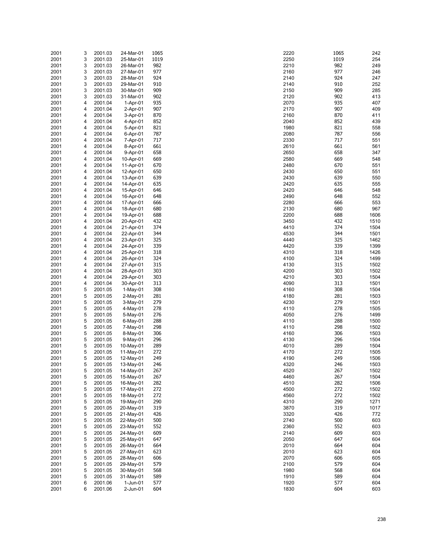| 2001 | 3 | 2001.03 | 24-Mar-01  | 1065 | 2220 | 1065 | 242  |
|------|---|---------|------------|------|------|------|------|
|      |   |         |            |      |      |      |      |
| 2001 | 3 | 2001.03 | 25-Mar-01  | 1019 | 2250 | 1019 | 254  |
| 2001 | 3 | 2001.03 | 26-Mar-01  | 982  | 2210 | 982  | 249  |
|      | 3 | 2001.03 | 27-Mar-01  | 977  | 2160 | 977  | 246  |
| 2001 |   |         |            |      |      |      |      |
| 2001 | 3 | 2001.03 | 28-Mar-01  | 924  | 2140 | 924  | 247  |
| 2001 | 3 | 2001.03 | 29-Mar-01  | 910  | 2140 | 910  | 252  |
|      |   |         |            | 909  |      | 909  |      |
| 2001 | 3 | 2001.03 | 30-Mar-01  |      | 2150 |      | 285  |
| 2001 | 3 | 2001.03 | 31-Mar-01  | 902  | 2120 | 902  | 413  |
| 2001 | 4 | 2001.04 | $1-Apr-01$ | 935  | 2070 | 935  | 407  |
|      |   |         |            |      |      | 907  |      |
| 2001 | 4 | 2001.04 | $2-Apr-01$ | 907  | 2170 |      | 409  |
| 2001 | 4 | 2001.04 | 3-Apr-01   | 870  | 2160 | 870  | 411  |
| 2001 | 4 | 2001.04 | 4-Apr-01   | 852  | 2040 | 852  | 439  |
|      |   |         |            |      |      |      |      |
| 2001 | 4 | 2001.04 | 5-Apr-01   | 821  | 1980 | 821  | 558  |
| 2001 | 4 | 2001.04 | 6-Apr-01   | 787  | 2080 | 787  | 556  |
| 2001 | 4 | 2001.04 | 7-Apr-01   | 717  | 2330 | 717  | 551  |
| 2001 | 4 | 2001.04 | 8-Apr-01   | 661  | 2610 | 661  | 561  |
|      |   |         |            |      |      |      |      |
| 2001 | 4 | 2001.04 | 9-Apr-01   | 658  | 2650 | 658  | 347  |
| 2001 | 4 | 2001.04 | 10-Apr-01  | 669  | 2580 | 669  | 548  |
| 2001 | 4 | 2001.04 |            | 670  | 2480 | 670  | 551  |
|      |   |         | 11-Apr-01  |      |      |      |      |
| 2001 | 4 | 2001.04 | 12-Apr-01  | 650  | 2430 | 650  | 551  |
| 2001 | 4 | 2001.04 | 13-Apr-01  | 639  | 2430 | 639  | 550  |
| 2001 | 4 | 2001.04 | 14-Apr-01  | 635  | 2420 | 635  | 555  |
|      |   |         |            |      |      |      |      |
| 2001 | 4 | 2001.04 | 15-Apr-01  | 646  | 2420 | 646  | 548  |
| 2001 | 4 | 2001.04 | 16-Apr-01  | 648  | 2490 | 648  | 552  |
| 2001 | 4 | 2001.04 | 17-Apr-01  | 666  | 2280 | 666  | 553  |
|      |   |         |            |      |      |      |      |
| 2001 | 4 | 2001.04 | 18-Apr-01  | 680  | 2130 | 680  | 967  |
| 2001 | 4 | 2001.04 | 19-Apr-01  | 688  | 2200 | 688  | 1606 |
| 2001 | 4 | 2001.04 |            | 432  | 3450 | 432  | 1510 |
|      |   |         | 20-Apr-01  |      |      |      |      |
| 2001 | 4 | 2001.04 | 21-Apr-01  | 374  | 4410 | 374  | 1504 |
| 2001 | 4 | 2001.04 | 22-Apr-01  | 344  | 4530 | 344  | 1501 |
| 2001 | 4 | 2001.04 |            | 325  | 4440 | 325  | 1462 |
|      |   |         | 23-Apr-01  |      |      |      |      |
| 2001 | 4 | 2001.04 | 24-Apr-01  | 339  | 4420 | 339  | 1399 |
| 2001 | 4 | 2001.04 | 25-Apr-01  | 318  | 4310 | 318  | 1426 |
| 2001 | 4 | 2001.04 | 26-Apr-01  | 324  | 4100 | 324  | 1499 |
|      |   |         |            |      |      |      |      |
| 2001 | 4 | 2001.04 | 27-Apr-01  | 315  | 4130 | 315  | 1502 |
| 2001 | 4 | 2001.04 | 28-Apr-01  | 303  | 4200 | 303  | 1502 |
| 2001 | 4 | 2001.04 | 29-Apr-01  | 303  | 4210 | 303  | 1504 |
|      |   |         |            |      |      |      |      |
| 2001 | 4 | 2001.04 | 30-Apr-01  | 313  | 4090 | 313  | 1501 |
| 2001 | 5 | 2001.05 | $1-May-01$ | 308  | 4160 | 308  | 1504 |
| 2001 | 5 | 2001.05 | 2-May-01   | 281  | 4180 | 281  | 1503 |
|      |   |         |            |      |      |      |      |
| 2001 | 5 | 2001.05 | 3-May-01   | 279  | 4230 | 279  | 1501 |
| 2001 | 5 | 2001.05 | 4-May-01   | 278  | 4110 | 278  | 1505 |
| 2001 | 5 | 2001.05 | 5-May-01   | 276  | 4050 | 276  | 1499 |
|      |   |         |            |      |      |      |      |
| 2001 | 5 | 2001.05 | 6-May-01   | 288  | 4110 | 288  | 1500 |
| 2001 | 5 | 2001.05 | 7-May-01   | 298  | 4110 | 298  | 1502 |
| 2001 | 5 | 2001.05 | 8-May-01   | 306  | 4160 | 306  | 1503 |
|      |   |         |            |      |      |      |      |
| 2001 | 5 | 2001.05 | 9-May-01   | 296  | 4130 | 296  | 1504 |
| 2001 | 5 | 2001.05 | 10-May-01  | 289  | 4010 | 289  | 1504 |
| 2001 | 5 | 2001.05 | 11-May-01  | 272  | 4170 | 272  | 1505 |
| 2001 | 5 | 2001.05 | 12-May-01  | 249  | 4190 | 249  | 1506 |
|      |   |         |            |      |      |      |      |
| 2001 | 5 | 2001.05 | 13-May-01  | 246  | 4320 | 246  | 1503 |
| 2001 | 5 | 2001.05 | 14-May-01  | 267  | 4520 | 267  | 1502 |
| 2001 | 5 | 2001.05 | 15-May-01  | 267  | 4460 | 267  | 1504 |
|      |   |         |            |      |      |      |      |
| 2001 | 5 | 2001.05 | 16-May-01  | 282  | 4510 | 282  | 1506 |
| 2001 | 5 | 2001.05 | 17-May-01  | 272  | 4500 | 272  | 1502 |
| 2001 | 5 | 2001.05 | 18-May-01  | 272  | 4560 | 272  | 1502 |
|      |   |         |            |      |      |      |      |
| 2001 | 5 | 2001.05 | 19-May-01  | 290  | 4310 | 290  | 1271 |
| 2001 | 5 | 2001.05 | 20-May-01  | 319  | 3870 | 319  | 1017 |
| 2001 | 5 | 2001.05 | 21-May-01  | 426  | 3320 | 426  | 772  |
|      |   |         |            |      |      |      |      |
| 2001 | 5 | 2001.05 | 22-May-01  | 500  | 2740 | 500  | 603  |
| 2001 | 5 | 2001.05 | 23-May-01  | 552  | 2360 | 552  | 603  |
| 2001 | 5 | 2001.05 | 24-May-01  | 609  | 2140 | 609  | 603  |
|      |   |         |            |      |      |      |      |
| 2001 | 5 | 2001.05 | 25-May-01  | 647  | 2050 | 647  | 604  |
| 2001 | 5 | 2001.05 | 26-May-01  | 664  | 2010 | 664  | 604  |
| 2001 | 5 | 2001.05 | 27-May-01  | 623  | 2010 | 623  | 604  |
| 2001 | 5 | 2001.05 | 28-May-01  | 606  | 2070 | 606  | 605  |
|      |   |         |            |      |      |      |      |
| 2001 | 5 | 2001.05 | 29-May-01  | 579  | 2100 | 579  | 604  |
| 2001 | 5 | 2001.05 | 30-May-01  | 568  | 1980 | 568  | 604  |
| 2001 | 5 | 2001.05 | 31-May-01  | 589  | 1910 | 589  | 604  |
|      |   |         |            |      |      |      |      |
| 2001 | 6 | 2001.06 | 1-Jun-01   | 577  | 1920 | 577  | 604  |
| 2001 | 6 | 2001.06 | 2-Jun-01   | 604  | 1830 | 604  | 603  |

| 20              | 1065        | 242          |
|-----------------|-------------|--------------|
| 50<br>10        | 1019<br>982 | 254<br>249   |
| 30              | 977         | 246          |
| 40              | 924         | 247          |
| 40<br>50        | 910<br>909  | 252<br>285   |
| 20              | 902         | 413          |
| 70              | 935         | 407          |
| 70              | 907         | 409          |
| 30<br>40        | 870<br>852  | 411<br>439   |
| 30              | 821         | 558          |
| 30              | 787         | 556          |
| 30<br>10        | 717         | 551<br>561   |
| 50              | 661<br>658  | 347          |
| 30              | 669         | 548          |
| 30              | 670         | 551          |
| 30<br>30        | 650<br>639  | 551<br>550   |
| 20              | 635         | 555          |
| 20              | 646         | 548          |
| 90              | 648         | 552          |
| 30<br>30        | 666<br>680  | 553<br>967   |
| 00              | 688         | 1606         |
| 50              | 432         | 1510         |
| 10<br>30        | 374<br>344  | 1504<br>1501 |
| 40              | 325         | 1462         |
| 20              | 339         | 1399         |
| 10              | 318         | 1426         |
| 00<br>30        | 324<br>315  | 1499<br>1502 |
| 00              | 303         | 1502         |
| 10              | 303         | 1504         |
| 90              | 313         | 1501         |
| 50<br>30        | 308<br>281  | 1504<br>1503 |
| 30              | 279         | 1501         |
| 10              | 278         | 1505         |
| 50<br>10        | 276<br>288  | 1499<br>1500 |
| 10              | 298         | 1502         |
| 30              | 306         | 1503         |
| 30              | 296         | 1504         |
| 10<br>70        | 289<br>272  | 1504<br>1505 |
| 90              | 249         | 1506         |
| $\overline{20}$ | 246         | 1503         |
| 20<br>50        | 267<br>267  | 1502<br>1504 |
| 10              | 282         | 1506         |
| 00              | 272         | 1502         |
| 50              | 272         | 1502         |
| 10<br>70        | 290<br>319  | 1271<br>1017 |
| 20              | 426         | 772          |
| 40              | 500         | 603          |
| 30              | 552<br>609  | 603<br>603   |
| 40<br>50        | 647         | 604          |
| 10              | 664         | 604          |
| 10              | 623         | 604          |
| 70<br>00        | 606<br>579  | 605<br>604   |
| 30              | 568         | 604          |
| 10              | 589         | 604          |
| 20              | 577         | 604          |
| 30              | 604         | 603          |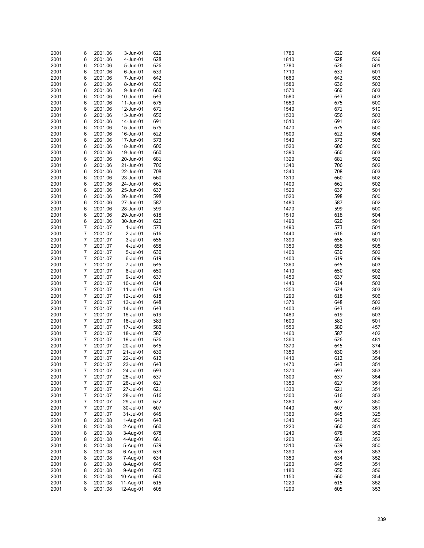| 2001 | 6 | 2001.06 | 3-Jun-01    | 620 | 1780 | 620<br>604 |
|------|---|---------|-------------|-----|------|------------|
| 2001 | 6 | 2001.06 | 4-Jun-01    | 628 | 1810 | 628<br>536 |
| 2001 | 6 | 2001.06 | 5-Jun-01    | 626 | 1780 | 626<br>501 |
| 2001 | 6 | 2001.06 | 6-Jun-01    | 633 | 1710 | 633<br>501 |
| 2001 | 6 | 2001.06 | 7-Jun-01    | 642 | 1660 | 642<br>503 |
| 2001 | 6 | 2001.06 | 8-Jun-01    | 636 | 1580 | 636<br>503 |
|      |   |         |             |     |      |            |
| 2001 | 6 | 2001.06 | 9-Jun-01    | 660 | 1570 | 660<br>503 |
| 2001 | 6 | 2001.06 | 10-Jun-01   | 643 | 1580 | 643<br>503 |
| 2001 | 6 | 2001.06 | 11-Jun-01   | 675 | 1550 | 675<br>500 |
| 2001 | 6 | 2001.06 | 12-Jun-01   | 671 | 1540 | 671<br>510 |
| 2001 | 6 | 2001.06 | 13-Jun-01   | 656 | 1530 | 656<br>503 |
| 2001 | 6 | 2001.06 | 14-Jun-01   | 691 | 1510 | 691<br>502 |
|      |   |         |             |     |      |            |
| 2001 | 6 | 2001.06 | 15-Jun-01   | 675 | 1470 | 675<br>500 |
| 2001 | 6 | 2001.06 | 16-Jun-01   | 622 | 1500 | 622<br>504 |
| 2001 | 6 | 2001.06 | 17-Jun-01   | 573 | 1540 | 573<br>503 |
| 2001 | 6 | 2001.06 | 18-Jun-01   | 606 | 1520 | 606<br>500 |
| 2001 | 6 | 2001.06 | 19-Jun-01   | 660 | 1390 | 660<br>503 |
| 2001 | 6 | 2001.06 | 20-Jun-01   | 681 | 1320 | 681<br>502 |
| 2001 | 6 | 2001.06 | 21-Jun-01   | 706 | 1340 | 706<br>502 |
|      |   |         |             |     |      |            |
| 2001 | 6 | 2001.06 | 22-Jun-01   | 708 | 1340 | 708<br>503 |
| 2001 | 6 | 2001.06 | 23-Jun-01   | 660 | 1310 | 660<br>502 |
| 2001 | 6 | 2001.06 | 24-Jun-01   | 661 | 1400 | 661<br>502 |
| 2001 | 6 | 2001.06 | 25-Jun-01   | 637 | 1520 | 637<br>501 |
| 2001 | 6 | 2001.06 | 26-Jun-01   | 598 | 1520 | 598<br>500 |
| 2001 | 6 | 2001.06 | 27-Jun-01   | 587 | 1480 | 587<br>502 |
|      | 6 | 2001.06 |             | 599 | 1470 | 599<br>500 |
| 2001 |   |         | 28-Jun-01   |     |      |            |
| 2001 | 6 | 2001.06 | 29-Jun-01   | 618 | 1510 | 618<br>504 |
| 2001 | 6 | 2001.06 | 30-Jun-01   | 620 | 1490 | 620<br>501 |
| 2001 | 7 | 2001.07 | $1-Jul-01$  | 573 | 1490 | 573<br>501 |
| 2001 | 7 | 2001.07 | $2$ -Jul-01 | 616 | 1440 | 616<br>501 |
| 2001 | 7 | 2001.07 | 3-Jul-01    | 656 | 1390 | 656<br>501 |
| 2001 | 7 | 2001.07 | 4-Jul-01    | 658 | 1350 | 658<br>505 |
|      |   |         |             |     |      | 630        |
| 2001 | 7 | 2001.07 | 5-Jul-01    | 630 | 1400 | 502        |
| 2001 | 7 | 2001.07 | 6-Jul-01    | 619 | 1400 | 619<br>509 |
| 2001 | 7 | 2001.07 | 7-Jul-01    | 645 | 1360 | 645<br>503 |
| 2001 | 7 | 2001.07 | 8-Jul-01    | 650 | 1410 | 650<br>502 |
| 2001 | 7 | 2001.07 | 9-Jul-01    | 637 | 1450 | 637<br>502 |
| 2001 | 7 | 2001.07 | 10-Jul-01   | 614 | 1440 | 614<br>503 |
| 2001 | 7 | 2001.07 | 11-Jul-01   | 624 | 1350 | 624<br>303 |
|      |   |         |             |     |      | 618        |
| 2001 | 7 | 2001.07 | 12-Jul-01   | 618 | 1290 | 506        |
| 2001 | 7 | 2001.07 | 13-Jul-01   | 648 | 1370 | 648<br>502 |
| 2001 | 7 | 2001.07 | 14-Jul-01   | 643 | 1400 | 643<br>493 |
| 2001 | 7 | 2001.07 | 15-Jul-01   | 619 | 1480 | 619<br>503 |
| 2001 | 7 | 2001.07 | 16-Jul-01   | 583 | 1600 | 583<br>501 |
| 2001 | 7 | 2001.07 | 17-Jul-01   | 580 | 1550 | 580<br>457 |
| 2001 | 7 | 2001.07 | 18-Jul-01   | 587 | 1460 | 587<br>402 |
|      |   |         |             |     |      | 626        |
| 2001 | 7 | 2001.07 | 19-Jul-01   | 626 | 1360 | 481        |
| 2001 | 7 | 2001.07 | 20-Jul-01   | 645 | 1370 | 645<br>374 |
| 2001 | 7 | 2001.07 | 21-Jul-01   | 630 | 1350 | 630<br>351 |
| 2001 | 7 | 2001.07 | 22-Jul-01   | 612 | 1410 | 612<br>354 |
| 2001 | 7 | 2001.07 | 23-Jul-01   | 643 | 1470 | 643<br>351 |
| 2001 | 7 | 2001.07 | 24-Jul-01   | 693 | 1370 | 693<br>353 |
| 2001 | 7 | 2001.07 | 25-Jul-01   | 637 | 1300 | 637<br>354 |
|      |   |         |             |     |      |            |
| 2001 | 7 | 2001.07 | 26-Jul-01   | 627 | 1350 | 627<br>351 |
| 2001 | 7 | 2001.07 | 27-Jul-01   | 621 | 1330 | 621<br>351 |
| 2001 | 7 | 2001.07 | 28-Jul-01   | 616 | 1300 | 616<br>353 |
| 2001 | 7 | 2001.07 | 29-Jul-01   | 622 | 1360 | 622<br>350 |
| 2001 | 7 | 2001.07 | 30-Jul-01   | 607 | 1440 | 607<br>351 |
| 2001 | 7 | 2001.07 | 31-Jul-01   | 645 | 1360 | 645<br>325 |
| 2001 | 8 | 2001.08 | 1-Aug-01    | 643 | 1340 | 643<br>350 |
|      |   |         |             | 660 |      |            |
| 2001 | 8 | 2001.08 | 2-Aug-01    |     | 1220 | 660<br>351 |
| 2001 | 8 | 2001.08 | 3-Aug-01    | 678 | 1240 | 678<br>352 |
| 2001 | 8 | 2001.08 | 4-Aug-01    | 661 | 1260 | 661<br>352 |
| 2001 | 8 | 2001.08 | 5-Aug-01    | 639 | 1310 | 639<br>350 |
| 2001 | 8 | 2001.08 | 6-Aug-01    | 634 | 1390 | 634<br>353 |
| 2001 | 8 | 2001.08 | 7-Aug-01    | 634 | 1350 | 634<br>352 |
| 2001 | 8 | 2001.08 | 8-Aug-01    | 645 | 1260 | 645<br>351 |
|      |   |         |             | 650 |      |            |
| 2001 | 8 | 2001.08 | 9-Aug-01    |     | 1180 | 650<br>356 |
| 2001 | 8 | 2001.08 | 10-Aug-01   | 660 | 1150 | 660<br>354 |
| 2001 | 8 | 2001.08 | 11-Aug-01   | 615 | 1220 | 615<br>352 |
| 2001 | 8 | 2001.08 | 12-Aug-01   | 605 | 1290 | 605<br>353 |

| 0      | 620        | 604        |
|--------|------------|------------|
| 0      | 628        | 536        |
| 0<br>0 | 626<br>633 | 501<br>501 |
| 0      | 642        | 503        |
| 0      | 636        | 503        |
| 0      | 660        | 503        |
| 0      | 643        | 503        |
| 0      | 675        | 500        |
| 0<br>0 | 671<br>656 | 510<br>503 |
| 0      | 691        | 502        |
| 0      | 675        | 500        |
| 0      | 622        | 504        |
| 0      | 573        | 503        |
| 0      | 606        | 500        |
| 0<br>0 | 660<br>681 | 503<br>502 |
| 0      | 706        | 502        |
| 0      | 708        | 503        |
| 0      | 660        | 502        |
| 0      | 661        | 502        |
| 0      | 637        | 501        |
| 0      | 598<br>587 | 500        |
| 0<br>0 | 599        | 502<br>500 |
| 0      | 618        | 504        |
| 0      | 620        | 501        |
| 0      | 573        | 501        |
| 0      | 616        | 501        |
| 0      | 656<br>658 | 501<br>505 |
| 0<br>0 | 630        | 502        |
| 0      | 619        | 509        |
| 0      | 645        | 503        |
| 0      | 650        | 502        |
| 0      | 637        | 502        |
| 0      | 614        | 503        |
| 0<br>0 | 624<br>618 | 303<br>506 |
| 0      | 648        | 502        |
| 0      | 643        | 493        |
| 0      | 619        | 503        |
| 0      | 583        | 501        |
| 0<br>0 | 580<br>587 | 457<br>402 |
| 0      | 626        | 481        |
| 0      | 645        | 374        |
| 0      | 630        | 351        |
| 0      | 612        | 354        |
| 0      | 643        | 351        |
| 0<br>0 | 693<br>637 | 353<br>354 |
| 0      | 627        | 351        |
| 0      | 621        | 351        |
| 0      | 616        | 353        |
| 0      | 622        | 350        |
| 0      | 607        | 351        |
| 0<br>0 | 645<br>643 | 325<br>350 |
| 0      | 660        | 351        |
| 0      | 678        | 352        |
| 0      | 661        | 352        |
| 0      | 639        | 350        |
| 0      | 634        | 353        |
| 0      | 634        | 352        |
| 0<br>0 | 645<br>650 | 351<br>356 |
| 0      | 660        | 354        |
| 0      | 615        | 352        |
| 0      | 605        | 353        |
|        |            |            |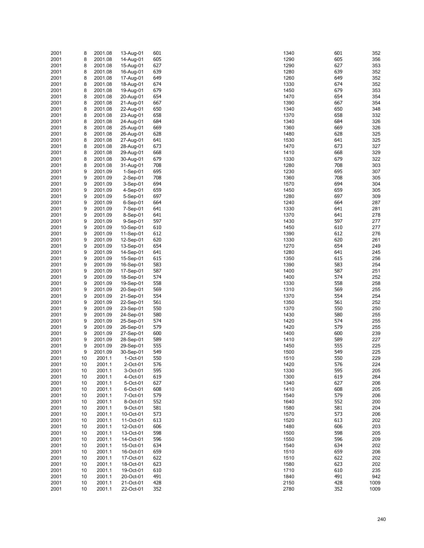| 2001 | 8  | 2001.08 | 13-Aug-01  | 601 | 1340 | 601 | 352  |
|------|----|---------|------------|-----|------|-----|------|
| 2001 | 8  | 2001.08 | 14-Aug-01  | 605 | 1290 | 605 | 356  |
|      | 8  |         |            | 627 | 1290 | 627 | 353  |
| 2001 |    | 2001.08 | 15-Aug-01  |     |      |     |      |
| 2001 | 8  | 2001.08 | 16-Aug-01  | 639 | 1280 | 639 | 352  |
| 2001 | 8  | 2001.08 | 17-Aug-01  | 649 | 1260 | 649 | 352  |
| 2001 | 8  | 2001.08 | 18-Aug-01  | 674 | 1330 | 674 | 352  |
| 2001 | 8  | 2001.08 | 19-Aug-01  | 679 | 1450 | 679 | 353  |
| 2001 | 8  | 2001.08 | 20-Aug-01  | 654 | 1470 | 654 | 354  |
|      |    |         |            |     |      | 667 |      |
| 2001 | 8  | 2001.08 | 21-Aug-01  | 667 | 1390 |     | 354  |
| 2001 | 8  | 2001.08 | 22-Aug-01  | 650 | 1340 | 650 | 348  |
| 2001 | 8  | 2001.08 | 23-Aug-01  | 658 | 1370 | 658 | 332  |
| 2001 | 8  | 2001.08 | 24-Aug-01  | 684 | 1340 | 684 | 326  |
| 2001 | 8  | 2001.08 | 25-Aug-01  | 669 | 1360 | 669 | 326  |
| 2001 | 8  | 2001.08 | 26-Aug-01  | 628 | 1480 | 628 | 325  |
|      |    |         |            |     |      |     |      |
| 2001 | 8  | 2001.08 | 27-Aug-01  | 641 | 1530 | 641 | 325  |
| 2001 | 8  | 2001.08 | 28-Aug-01  | 673 | 1470 | 673 | 327  |
| 2001 | 8  | 2001.08 | 29-Aug-01  | 668 | 1410 | 668 | 329  |
| 2001 | 8  | 2001.08 | 30-Aug-01  | 679 | 1330 | 679 | 322  |
| 2001 | 8  | 2001.08 | 31-Aug-01  | 708 | 1280 | 708 | 303  |
| 2001 | 9  | 2001.09 | $1-Sep-01$ | 695 | 1230 | 695 | 307  |
|      |    |         |            |     |      |     |      |
| 2001 | 9  | 2001.09 | $2-Sep-01$ | 708 | 1360 | 708 | 305  |
| 2001 | 9  | 2001.09 | $3-Sep-01$ | 694 | 1570 | 694 | 304  |
| 2001 | 9  | 2001.09 | 4-Sep-01   | 659 | 1450 | 659 | 305  |
| 2001 | 9  | 2001.09 | 5-Sep-01   | 697 | 1280 | 697 | 309  |
| 2001 | 9  | 2001.09 | $6-Sep-01$ | 664 | 1240 | 664 | 287  |
| 2001 | 9  | 2001.09 | 7-Sep-01   | 641 | 1330 | 641 | 281  |
|      |    |         |            |     |      |     |      |
| 2001 | 9  | 2001.09 | 8-Sep-01   | 641 | 1370 | 641 | 278  |
| 2001 | 9  | 2001.09 | 9-Sep-01   | 597 | 1430 | 597 | 277  |
| 2001 | 9  | 2001.09 | 10-Sep-01  | 610 | 1450 | 610 | 277  |
| 2001 | 9  | 2001.09 | 11-Sep-01  | 612 | 1390 | 612 | 276  |
| 2001 | 9  | 2001.09 | 12-Sep-01  | 620 | 1330 | 620 | 261  |
| 2001 | 9  | 2001.09 | 13-Sep-01  | 654 | 1270 | 654 | 249  |
|      |    |         |            |     |      |     |      |
| 2001 | 9  | 2001.09 | 14-Sep-01  | 641 | 1280 | 641 | 245  |
| 2001 | 9  | 2001.09 | 15-Sep-01  | 615 | 1350 | 615 | 256  |
| 2001 | 9  | 2001.09 | 16-Sep-01  | 583 | 1390 | 583 | 254  |
| 2001 | 9  | 2001.09 | 17-Sep-01  | 587 | 1400 | 587 | 251  |
| 2001 | 9  | 2001.09 | 18-Sep-01  | 574 | 1400 | 574 | 252  |
| 2001 | 9  | 2001.09 | 19-Sep-01  | 558 | 1330 | 558 | 258  |
|      |    |         |            |     |      |     |      |
| 2001 | 9  | 2001.09 | 20-Sep-01  | 569 | 1310 | 569 | 255  |
| 2001 | 9  | 2001.09 | 21-Sep-01  | 554 | 1370 | 554 | 254  |
| 2001 | 9  | 2001.09 | 22-Sep-01  | 561 | 1350 | 561 | 252  |
| 2001 | 9  | 2001.09 | 23-Sep-01  | 550 | 1370 | 550 | 250  |
| 2001 | 9  | 2001.09 | 24-Sep-01  | 580 | 1430 | 580 | 255  |
|      | 9  |         |            | 574 | 1420 | 574 | 255  |
| 2001 |    | 2001.09 | 25-Sep-01  |     |      |     |      |
| 2001 | 9  | 2001.09 | 26-Sep-01  | 579 | 1420 | 579 | 255  |
| 2001 | 9  | 2001.09 | 27-Sep-01  | 600 | 1400 | 600 | 239  |
| 2001 | 9  | 2001.09 | 28-Sep-01  | 589 | 1410 | 589 | 227  |
| 2001 | 9  | 2001.09 | 29-Sep-01  | 555 | 1450 | 555 | 225  |
| 2001 | 9  | 2001.09 | 30-Sep-01  | 549 | 1500 | 549 | 225  |
| 2001 | 10 | 2001.1  | 1-Oct-01   | 550 | 1510 | 550 | 229  |
|      |    |         |            |     |      |     |      |
| 2001 | 10 | 2001.1  | 2-Oct-01   | 576 | 1420 | 576 | 224  |
| 2001 | 10 | 2001.1  | 3-Oct-01   | 595 | 1330 | 595 | 205  |
| 2001 | 10 | 2001.1  | 4-Oct-01   | 619 | 1300 | 619 | 264  |
| 2001 | 10 | 2001.1  | 5-Oct-01   | 627 | 1340 | 627 | 206  |
| 2001 | 10 | 2001.1  | 6-Oct-01   | 608 | 1410 | 608 | 205  |
| 2001 | 10 | 2001.1  | 7-Oct-01   | 579 | 1540 | 579 | 206  |
|      |    |         |            |     |      |     |      |
| 2001 | 10 | 2001.1  | 8-Oct-01   | 552 | 1640 | 552 | 200  |
| 2001 | 10 | 2001.1  | 9-Oct-01   | 581 | 1580 | 581 | 204  |
| 2001 | 10 | 2001.1  | 10-Oct-01  | 573 | 1570 | 573 | 206  |
| 2001 | 10 | 2001.1  | 11-Oct-01  | 613 | 1520 | 613 | 202  |
| 2001 | 10 | 2001.1  | 12-Oct-01  | 606 | 1480 | 606 | 203  |
| 2001 | 10 | 2001.1  | 13-Oct-01  | 598 | 1500 | 598 | 205  |
|      |    |         |            |     |      |     |      |
| 2001 | 10 | 2001.1  | 14-Oct-01  | 596 | 1550 | 596 | 209  |
| 2001 | 10 | 2001.1  | 15-Oct-01  | 634 | 1540 | 634 | 202  |
| 2001 | 10 | 2001.1  | 16-Oct-01  | 659 | 1510 | 659 | 206  |
| 2001 | 10 | 2001.1  | 17-Oct-01  | 622 | 1510 | 622 | 202  |
| 2001 | 10 | 2001.1  | 18-Oct-01  | 623 | 1580 | 623 | 202  |
| 2001 | 10 | 2001.1  | 19-Oct-01  | 610 | 1710 | 610 | 235  |
|      |    |         |            |     |      |     |      |
| 2001 | 10 | 2001.1  | 20-Oct-01  | 491 | 1840 | 491 | 942  |
| 2001 | 10 | 2001.1  | 21-Oct-01  | 428 | 2150 | 428 | 1009 |
| 2001 | 10 | 2001.1  | 22-Oct-01  | 352 | 2780 | 352 | 1009 |

| ۰0             | 601        | 352        |
|----------------|------------|------------|
| 0              | 605        | 356        |
| Ю<br>Ο         | 627<br>639 | 353<br>352 |
| i0             | 649        | 352        |
| ٥،             | 674        | 352        |
| i0             | 679        | 353        |
| Ό              | 654        | 354        |
| Ю              | 667        | 354        |
| ٥.             | 650        | 348        |
| Ό<br>٥.        | 658<br>684 | 332<br>326 |
| i0             | 669        | 326        |
| ٥              | 628        | 325        |
| ٥،             | 641        | 325        |
| Ό              | 673        | 327        |
| 0              | 668        | 329        |
| ١Ο             | 679        | 322        |
| ٥،<br>١Ο       | 708<br>695 | 303<br>307 |
| i0             | 708        | 305        |
| Ό              | 694        | 304        |
| ١O             | 659        | 305        |
| ٥              | 697        | 309        |
| 0              | 664        | 287        |
| ٥،             | 641        | 281        |
| Ό<br>٥،        | 641<br>597 | 278<br>277 |
| i0             | 610        | 277        |
| Ю              | 612        | 276        |
| ٥،             | 620        | 261        |
| Ό              | 654        | 249        |
| ٥              | 641        | 245        |
| i0             | 615        | 256        |
| Ю<br>Ю         | 583<br>587 | 254<br>251 |
| Ю              | 574        | 252        |
| ١Ο             | 558        | 258        |
| 0              | 569        | 255        |
| Ό              | 554        | 254        |
| i0             | 561        | 252        |
| Ό<br>٥،        | 550<br>580 | 250<br>255 |
| 0              | 574        | 255        |
| 0              | 579        | 255        |
| Ю              | 600        | 239        |
| 0              | 589        | 227        |
| ١O             | 555        | 225        |
| Ю              | 549        | 225        |
| 0<br>0         | 550<br>576 | 229<br>224 |
| ١Ο             | 595        | 205        |
| Ι0             | 619        | 264        |
| 0              | 627        | 206        |
| 0              | 608        | 205        |
| 0              | 579        | 206        |
| 0              | 552        | 200        |
| Ο<br>Ό         | 581<br>573 | 204<br>206 |
| 0              | 613        | 202        |
| Ο              | 606        | 203        |
| Ι0             | 598        | 205        |
| i0             | 596        | 209        |
| 0              | 634        | 202        |
| 0              | 659        | 206        |
| 0<br>0         | 622<br>623 | 202<br>202 |
| 0              | 610        | 235        |
| $\overline{0}$ | 491        | 942        |
| i0             | 428        | 1009       |
| Ο              | 352        | 1009       |
|                |            |            |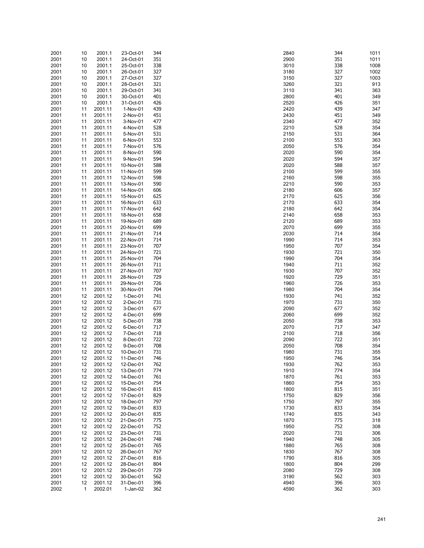| 2001 | 10 | 2001.1  | 23-Oct-01  | 344 | 2840 | 344 | 1011 |
|------|----|---------|------------|-----|------|-----|------|
| 2001 | 10 | 2001.1  | 24-Oct-01  | 351 | 2900 | 351 | 1011 |
| 2001 | 10 | 2001.1  | 25-Oct-01  | 338 | 3010 | 338 | 1008 |
| 2001 | 10 | 2001.1  | 26-Oct-01  | 327 | 3180 | 327 | 1002 |
| 2001 | 10 | 2001.1  | 27-Oct-01  | 327 | 3150 | 327 | 1003 |
|      |    |         |            |     |      |     |      |
| 2001 | 10 | 2001.1  | 28-Oct-01  | 321 | 3260 | 321 | 913  |
| 2001 | 10 | 2001.1  | 29-Oct-01  | 341 | 3110 | 341 | 363  |
| 2001 | 10 | 2001.1  | 30-Oct-01  | 401 | 2800 | 401 | 349  |
| 2001 | 10 | 2001.1  | 31-Oct-01  | 426 | 2520 | 426 | 351  |
| 2001 | 11 | 2001.11 | 1-Nov-01   | 439 | 2420 | 439 | 347  |
|      |    |         |            | 451 | 2430 | 451 | 349  |
| 2001 | 11 | 2001.11 | 2-Nov-01   |     |      |     |      |
| 2001 | 11 | 2001.11 | 3-Nov-01   | 477 | 2340 | 477 | 352  |
| 2001 | 11 | 2001.11 | 4-Nov-01   | 528 | 2210 | 528 | 354  |
| 2001 | 11 | 2001.11 | 5-Nov-01   | 531 | 2150 | 531 | 364  |
| 2001 | 11 | 2001.11 | 6-Nov-01   | 553 | 2100 | 553 | 363  |
| 2001 | 11 | 2001.11 | 7-Nov-01   | 576 | 2050 | 576 | 354  |
|      |    |         |            |     |      |     |      |
| 2001 | 11 | 2001.11 | 8-Nov-01   | 590 | 2020 | 590 | 354  |
| 2001 | 11 | 2001.11 | 9-Nov-01   | 594 | 2020 | 594 | 357  |
| 2001 | 11 | 2001.11 | 10-Nov-01  | 588 | 2020 | 588 | 357  |
| 2001 | 11 | 2001.11 | 11-Nov-01  | 599 | 2100 | 599 | 355  |
| 2001 | 11 | 2001.11 | 12-Nov-01  | 598 | 2160 | 598 | 355  |
|      |    |         |            |     |      | 590 |      |
| 2001 | 11 | 2001.11 | 13-Nov-01  | 590 | 2210 |     | 353  |
| 2001 | 11 | 2001.11 | 14-Nov-01  | 606 | 2180 | 606 | 357  |
| 2001 | 11 | 2001.11 | 15-Nov-01  | 625 | 2170 | 625 | 356  |
| 2001 | 11 | 2001.11 | 16-Nov-01  | 633 | 2170 | 633 | 354  |
| 2001 | 11 | 2001.11 | 17-Nov-01  | 642 | 2180 | 642 | 354  |
|      |    | 2001.11 |            |     |      |     |      |
| 2001 | 11 |         | 18-Nov-01  | 658 | 2140 | 658 | 353  |
| 2001 | 11 | 2001.11 | 19-Nov-01  | 689 | 2120 | 689 | 353  |
| 2001 | 11 | 2001.11 | 20-Nov-01  | 699 | 2070 | 699 | 355  |
| 2001 | 11 | 2001.11 | 21-Nov-01  | 714 | 2030 | 714 | 354  |
| 2001 | 11 | 2001.11 | 22-Nov-01  | 714 | 1990 | 714 | 353  |
|      | 11 | 2001.11 |            | 707 | 1950 | 707 | 354  |
| 2001 |    |         | 23-Nov-01  |     |      |     |      |
| 2001 | 11 | 2001.11 | 24-Nov-01  | 721 | 1930 | 721 | 350  |
| 2001 | 11 | 2001.11 | 25-Nov-01  | 704 | 1990 | 704 | 354  |
| 2001 | 11 | 2001.11 | 26-Nov-01  | 711 | 1940 | 711 | 352  |
| 2001 | 11 | 2001.11 | 27-Nov-01  | 707 | 1930 | 707 | 352  |
| 2001 | 11 | 2001.11 | 28-Nov-01  | 729 | 1920 | 729 | 351  |
|      |    |         |            |     |      |     |      |
| 2001 | 11 | 2001.11 | 29-Nov-01  | 726 | 1960 | 726 | 353  |
| 2001 | 11 | 2001.11 | 30-Nov-01  | 704 | 1980 | 704 | 354  |
| 2001 | 12 | 2001.12 | 1-Dec-01   | 741 | 1930 | 741 | 352  |
| 2001 | 12 | 2001.12 | 2-Dec-01   | 731 | 1970 | 731 | 350  |
| 2001 | 12 | 2001.12 | 3-Dec-01   | 677 | 2090 | 677 | 352  |
|      |    |         |            |     |      |     |      |
| 2001 | 12 | 2001.12 | 4-Dec-01   | 699 | 2060 | 699 | 352  |
| 2001 | 12 | 2001.12 | 5-Dec-01   | 738 | 2050 | 738 | 353  |
| 2001 | 12 | 2001.12 | 6-Dec-01   | 717 | 2070 | 717 | 347  |
| 2001 | 12 | 2001.12 | 7-Dec-01   | 718 | 2100 | 718 | 356  |
| 2001 | 12 | 2001.12 | 8-Dec-01   | 722 | 2090 | 722 | 351  |
|      |    |         |            |     |      |     |      |
| 2001 | 12 | 2001.12 | 9-Dec-01   | 708 | 2050 | 708 | 354  |
| 2001 | 12 | 2001.12 | 10-Dec-01  | 731 | 1980 | 731 | 355  |
| 2001 | 12 | 2001.12 | 11-Dec-01  | 746 | 1950 | 746 | 354  |
| 2001 | 12 | 2001.12 | 12-Dec-01  | 762 | 1930 | 762 | 353  |
| 2001 | 12 | 2001.12 | 13-Dec-01  | 774 | 1910 | 774 | 354  |
|      |    |         |            |     |      |     |      |
| 2001 | 12 | 2001.12 | 14-Dec-01  | 761 | 1870 | 761 | 353  |
| 2001 | 12 | 2001.12 | 15-Dec-01  | 754 | 1860 | 754 | 353  |
| 2001 | 12 | 2001.12 | 16-Dec-01  | 815 | 1800 | 815 | 351  |
| 2001 | 12 | 2001.12 | 17-Dec-01  | 829 | 1750 | 829 | 356  |
| 2001 | 12 | 2001.12 | 18-Dec-01  | 797 | 1750 | 797 | 355  |
|      |    |         |            |     |      |     |      |
| 2001 | 12 | 2001.12 | 19-Dec-01  | 833 | 1730 | 833 | 354  |
| 2001 | 12 | 2001.12 | 20-Dec-01  | 835 | 1740 | 835 | 343  |
| 2001 | 12 | 2001.12 | 21-Dec-01  | 775 | 1870 | 775 | 318  |
| 2001 | 12 | 2001.12 | 22-Dec-01  | 752 | 1950 | 752 | 308  |
| 2001 | 12 | 2001.12 | 23-Dec-01  | 731 | 2020 | 731 | 306  |
|      |    | 2001.12 |            |     |      |     |      |
| 2001 | 12 |         | 24-Dec-01  | 748 | 1940 | 748 | 305  |
| 2001 | 12 | 2001.12 | 25-Dec-01  | 765 | 1880 | 765 | 308  |
| 2001 | 12 | 2001.12 | 26-Dec-01  | 767 | 1830 | 767 | 308  |
| 2001 | 12 | 2001.12 | 27-Dec-01  | 816 | 1790 | 816 | 305  |
| 2001 | 12 | 2001.12 | 28-Dec-01  | 804 | 1800 | 804 | 299  |
|      | 12 |         |            | 729 | 2080 | 729 | 308  |
| 2001 |    | 2001.12 | 29-Dec-01  |     |      |     |      |
| 2001 | 12 | 2001.12 | 30-Dec-01  | 562 | 3190 | 562 | 303  |
| 2001 | 12 | 2001.12 | 31-Dec-01  | 396 | 4940 | 396 | 303  |
| 2002 | 1  | 2002.01 | $1-Jan-02$ | 362 | 4590 | 362 | 303  |

| 10       | 344        | 1011         |
|----------|------------|--------------|
| )0<br>10 | 351<br>338 | 1011<br>1008 |
| 30       | 327        | 1002         |
| 50       | 327        | 1003         |
| 60       | 321        | 913          |
| 10<br>)0 | 341<br>401 | 363<br>349   |
| 20       | 426        | 351          |
| 20       | 439        | 347          |
| 30       | 451        | 349          |
| 10       | 477        | 352          |
| 10<br>50 | 528<br>531 | 354<br>364   |
| )0       | 553        | 363          |
| 50       | 576        | 354          |
| 20       | 590        | 354          |
| 20<br>20 | 594<br>588 | 357<br>357   |
| )0       | 599        | 355          |
| 60       | 598        | 355          |
| 10       | 590        | 353          |
| 30<br>70 | 606<br>625 | 357<br>356   |
| 0'       | 633        | 354          |
| 30       | 642        | 354          |
| 10       | 658        | 353          |
| 20       | 689        | 353          |
| 0'<br>30 | 699<br>714 | 355<br>354   |
| Ю        | 714        | 353          |
| 50       | 707        | 354          |
| 30       | 721        | 350          |
| 90<br>ŀ0 | 704<br>711 | 354<br>352   |
| 30       | 707        | 352          |
| 20       | 729        | 351          |
| 60       | 726        | 353          |
| 30<br>30 | 704<br>741 | 354<br>352   |
| 0'       | 731        | 350          |
| 90       | 677        | 352          |
| 60       | 699        | 352          |
| 50<br>0' | 738<br>717 | 353<br>347   |
| )0       | 718        | 356          |
| ю        | 722        | 351          |
| 50       | 708        | 354          |
| 30<br>50 | 731<br>746 | 355<br>354   |
| 30       | 762        | 353          |
| ۱0       | 774        | 354          |
| 70       | 761        | 353          |
| 60<br>)0 | 754<br>815 | 353<br>351   |
| 50       | 829        | 356          |
| 50       | 797        | 355          |
| 30       | 833        | 354          |
| ١O<br>70 | 835<br>775 | 343<br>318   |
| 50       | 752        | 308          |
| 20       | 731        | 306          |
| 10       | 748        | 305          |
| 30       | 765        | 308          |
| 30<br>90 | 767<br>816 | 308<br>305   |
| )0       | 804        | 299          |
| 30       | 729        | 308          |
| 90       | 562        | 303          |
| ١O<br>90 | 396<br>362 | 303<br>303   |
|          |            |              |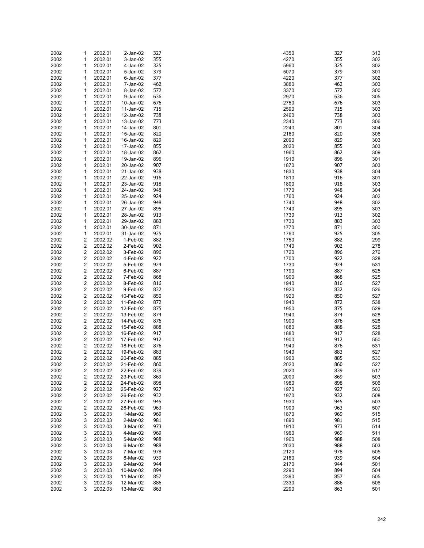| 2002 | 1                       | 2002.01 | 2-Jan-02  | 327 | 4350 | 327 | 312 |
|------|-------------------------|---------|-----------|-----|------|-----|-----|
| 2002 | 1                       | 2002.01 | 3-Jan-02  | 355 | 4270 | 355 | 302 |
| 2002 | 1                       | 2002.01 | 4-Jan-02  | 325 | 5960 | 325 | 302 |
|      |                         |         |           | 379 |      |     |     |
| 2002 | 1                       | 2002.01 | 5-Jan-02  |     | 5070 | 379 | 301 |
| 2002 | 1                       | 2002.01 | 6-Jan-02  | 377 | 4220 | 377 | 302 |
| 2002 | 1                       | 2002.01 | 7-Jan-02  | 462 | 3880 | 462 | 303 |
| 2002 | 1                       | 2002.01 | 8-Jan-02  | 572 | 3370 | 572 | 300 |
| 2002 | 1                       |         |           | 636 | 2970 | 636 |     |
|      |                         | 2002.01 | 9-Jan-02  |     |      |     | 305 |
| 2002 | 1                       | 2002.01 | 10-Jan-02 | 676 | 2750 | 676 | 303 |
| 2002 | 1                       | 2002.01 | 11-Jan-02 | 715 | 2590 | 715 | 303 |
| 2002 | 1                       | 2002.01 | 12-Jan-02 | 738 | 2460 | 738 | 303 |
|      |                         |         |           |     |      |     |     |
| 2002 | 1                       | 2002.01 | 13-Jan-02 | 773 | 2340 | 773 | 306 |
| 2002 | 1                       | 2002.01 | 14-Jan-02 | 801 | 2240 | 801 | 304 |
| 2002 | 1                       | 2002.01 | 15-Jan-02 | 820 | 2160 | 820 | 306 |
| 2002 | 1                       | 2002.01 | 16-Jan-02 | 829 | 2090 | 829 | 303 |
| 2002 | 1                       | 2002.01 | 17-Jan-02 | 855 | 2020 | 855 | 303 |
|      |                         |         |           |     |      |     |     |
| 2002 | 1                       | 2002.01 | 18-Jan-02 | 862 | 1960 | 862 | 309 |
| 2002 | 1                       | 2002.01 | 19-Jan-02 | 896 | 1910 | 896 | 301 |
| 2002 | 1                       | 2002.01 | 20-Jan-02 | 907 | 1870 | 907 | 303 |
| 2002 | 1                       | 2002.01 | 21-Jan-02 | 938 | 1830 | 938 | 304 |
|      |                         |         |           |     |      |     |     |
| 2002 | 1                       | 2002.01 | 22-Jan-02 | 916 | 1810 | 916 | 301 |
| 2002 | 1                       | 2002.01 | 23-Jan-02 | 918 | 1800 | 918 | 303 |
| 2002 | 1                       | 2002.01 | 24-Jan-02 | 948 | 1770 | 948 | 304 |
| 2002 | 1                       | 2002.01 | 25-Jan-02 | 924 | 1760 | 924 | 302 |
| 2002 | 1                       |         |           | 948 | 1740 | 948 | 302 |
|      |                         | 2002.01 | 26-Jan-02 |     |      |     |     |
| 2002 | 1                       | 2002.01 | 27-Jan-02 | 895 | 1740 | 895 | 303 |
| 2002 | 1                       | 2002.01 | 28-Jan-02 | 913 | 1730 | 913 | 302 |
| 2002 | 1                       | 2002.01 | 29-Jan-02 | 883 | 1730 | 883 | 303 |
| 2002 | 1                       | 2002.01 | 30-Jan-02 | 871 | 1770 | 871 | 300 |
|      |                         |         |           |     |      |     |     |
| 2002 | 1                       | 2002.01 | 31-Jan-02 | 925 | 1760 | 925 | 305 |
| 2002 | 2                       | 2002.02 | 1-Feb-02  | 882 | 1750 | 882 | 299 |
| 2002 | $\overline{\mathbf{c}}$ | 2002.02 | 2-Feb-02  | 902 | 1740 | 902 | 278 |
| 2002 | 2                       | 2002.02 | 3-Feb-02  | 896 | 1720 | 896 | 276 |
|      |                         |         |           |     |      |     |     |
| 2002 | $\overline{\mathbf{c}}$ | 2002.02 | 4-Feb-02  | 922 | 1700 | 922 | 328 |
| 2002 | 2                       | 2002.02 | 5-Feb-02  | 924 | 1730 | 924 | 531 |
| 2002 | 2                       | 2002.02 | 6-Feb-02  | 887 | 1790 | 887 | 525 |
| 2002 | $\overline{\mathbf{c}}$ | 2002.02 | 7-Feb-02  | 868 | 1900 | 868 | 525 |
|      |                         |         |           |     |      |     |     |
| 2002 | $\overline{\mathbf{c}}$ | 2002.02 | 8-Feb-02  | 816 | 1940 | 816 | 527 |
| 2002 | $\overline{c}$          | 2002.02 | 9-Feb-02  | 832 | 1920 | 832 | 526 |
| 2002 | 2                       | 2002.02 | 10-Feb-02 | 850 | 1920 | 850 | 527 |
| 2002 | $\overline{c}$          | 2002.02 | 11-Feb-02 | 872 | 1940 | 872 | 538 |
|      |                         |         |           |     |      |     |     |
| 2002 | 2                       | 2002.02 | 12-Feb-02 | 875 | 1950 | 875 | 529 |
| 2002 | $\overline{c}$          | 2002.02 | 13-Feb-02 | 874 | 1940 | 874 | 528 |
| 2002 | $\overline{\mathbf{c}}$ | 2002.02 | 14-Feb-02 | 876 | 1900 | 876 | 528 |
| 2002 | 2                       | 2002.02 | 15-Feb-02 | 888 | 1880 | 888 | 528 |
| 2002 | $\overline{\mathbf{c}}$ | 2002.02 | 16-Feb-02 | 917 | 1880 | 917 | 528 |
|      |                         |         |           |     |      |     |     |
| 2002 | 2                       | 2002.02 | 17-Feb-02 | 912 | 1900 | 912 | 550 |
| 2002 | $\overline{\mathbf{c}}$ | 2002.02 | 18-Feb-02 | 876 | 1940 | 876 | 531 |
| 2002 | $\overline{\mathbf{c}}$ | 2002.02 | 19-Feb-02 | 883 | 1940 | 883 | 527 |
| 2002 | $\overline{2}$          | 2002.02 | 20-Feb-02 | 885 | 1960 | 885 | 530 |
| 2002 | $\overline{c}$          | 2002.02 |           | 860 | 2020 | 860 | 527 |
|      |                         |         | 21-Feb-02 |     |      |     |     |
| 2002 | $\overline{\mathbf{c}}$ | 2002.02 | 22-Feb-02 | 839 | 2020 | 839 | 517 |
| 2002 | $\overline{\mathbf{c}}$ | 2002.02 | 23-Feb-02 | 869 | 2000 | 869 | 503 |
| 2002 | $\overline{\mathbf{c}}$ | 2002.02 | 24-Feb-02 | 898 | 1980 | 898 | 506 |
| 2002 | $\overline{\mathbf{c}}$ | 2002.02 | 25-Feb-02 | 927 | 1970 | 927 | 502 |
|      | $\overline{\mathbf{c}}$ | 2002.02 |           | 932 | 1970 | 932 | 508 |
| 2002 |                         |         | 26-Feb-02 |     |      |     |     |
| 2002 | $\overline{\mathbf{c}}$ | 2002.02 | 27-Feb-02 | 945 | 1930 | 945 | 503 |
| 2002 | $\overline{\mathbf{c}}$ | 2002.02 | 28-Feb-02 | 963 | 1900 | 963 | 507 |
| 2002 | 3                       | 2002.03 | 1-Mar-02  | 969 | 1870 | 969 | 515 |
| 2002 | 3                       | 2002.03 | 2-Mar-02  | 981 | 1890 | 981 | 515 |
|      |                         |         |           |     |      |     |     |
| 2002 | 3                       | 2002.03 | 3-Mar-02  | 973 | 1910 | 973 | 514 |
| 2002 | 3                       | 2002.03 | 4-Mar-02  | 969 | 1960 | 969 | 511 |
| 2002 | 3                       | 2002.03 | 5-Mar-02  | 988 | 1960 | 988 | 508 |
| 2002 | 3                       | 2002.03 | 6-Mar-02  | 988 | 2030 | 988 | 503 |
|      |                         |         |           |     |      |     |     |
| 2002 | 3                       | 2002.03 | 7-Mar-02  | 978 | 2120 | 978 | 505 |
| 2002 | 3                       | 2002.03 | 8-Mar-02  | 939 | 2160 | 939 | 504 |
| 2002 | 3                       | 2002.03 | 9-Mar-02  | 944 | 2170 | 944 | 501 |
| 2002 | 3                       | 2002.03 | 10-Mar-02 | 894 | 2290 | 894 | 504 |
| 2002 | 3                       | 2002.03 | 11-Mar-02 | 857 | 2390 | 857 | 505 |
|      |                         |         |           |     |      |     |     |
| 2002 | 3                       | 2002.03 | 12-Mar-02 | 886 | 2330 | 886 | 506 |
| 2002 | 3                       | 2002.03 | 13-Mar-02 | 863 | 2290 | 863 | 501 |

| 50       | 327        | 312        |
|----------|------------|------------|
| 70       | 355        | 302        |
| 50       | 325        | 302        |
| 70       | 379        | 301        |
| 20<br>30 | 377<br>462 | 302<br>303 |
| 70       | 572        | 300        |
| 70       | 636        | 305        |
| 50       | 676        | 303        |
| 90       | 715        | 303        |
| 50       | 738        | 303        |
| 10       | 773        | 306        |
| 40       | 801        | 304        |
| 50<br>90 | 820<br>829 | 306<br>303 |
| 20       | 855        | 303        |
| 50       | 862        | 309        |
| 10       | 896        | 301        |
| 70       | 907        | 303        |
| 30       | 938        | 304        |
| 10       | 916        | 301        |
| 00<br>70 | 918<br>948 | 303<br>304 |
| 50       | 924        | 302        |
| 40       | 948        | 302        |
| 40       | 895        | 303        |
| 30       | 913        | 302        |
| 30       | 883        | 303        |
| 70       | 871        | 300        |
| 50       | 925        | 305        |
| 50<br>40 | 882<br>902 | 299<br>278 |
| 20       | 896        | 276        |
| 00       | 922        | 328        |
| 30       | 924        | 531        |
| 90       | 887        | 525        |
| 50       | 868        | 525        |
| 40       | 816        | 527        |
| 20<br>20 | 832<br>850 | 526<br>527 |
| 40       | 872        | 538        |
| 50       | 875        | 529        |
| 40       | 874        | 528        |
| 00       | 876        | 528        |
| 30       | 888        | 528        |
| 30       | 917        | 528        |
| 00<br>40 | 912<br>876 | 550<br>531 |
| 40       | 883        | 527        |
| 50       | 885        | 530        |
| 20       | 860        | 527        |
| 20       | 839        | 517        |
| 00       | 869        | 503        |
| 30       | 898        | 506        |
| 70<br>70 | 927<br>932 | 502<br>508 |
| 30       | 945        | 503        |
| 00       | 963        | 507        |
| 70       | 969        | 515        |
| 90       | 981        | 515        |
| 10       | 973        | 514        |
| 50       | 969        | 511        |
| 50       | 988        | 508        |
| 30<br>20 | 988        | 503        |
| 50       | 978<br>939 | 505<br>504 |
| 70       | 944        | 501        |
| 90       | 894        | 504        |
| 90       | 857        | 505        |
| 30       | 886        | 506        |
| 90       | 863        | 501        |
|          |            |            |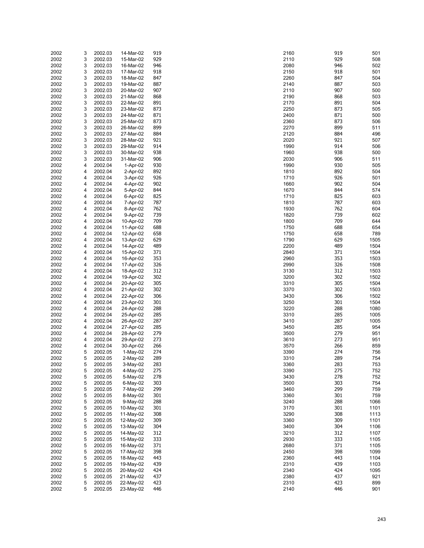| 2002 | 3 | 2002.03 | 14-Mar-02 | 919 | 2160 | 919 | 501  |
|------|---|---------|-----------|-----|------|-----|------|
|      |   |         |           |     |      |     |      |
| 2002 | 3 | 2002.03 | 15-Mar-02 | 929 | 2110 | 929 | 508  |
| 2002 | 3 | 2002.03 | 16-Mar-02 | 946 | 2080 | 946 | 502  |
|      |   |         |           |     |      |     |      |
| 2002 | 3 | 2002.03 | 17-Mar-02 | 918 | 2150 | 918 | 501  |
| 2002 | 3 | 2002.03 | 18-Mar-02 | 847 | 2260 | 847 | 504  |
| 2002 | 3 | 2002.03 | 19-Mar-02 | 887 | 2140 | 887 | 503  |
|      |   |         |           |     |      |     |      |
| 2002 | 3 | 2002.03 | 20-Mar-02 | 907 | 2110 | 907 | 500  |
| 2002 | 3 | 2002.03 | 21-Mar-02 | 868 | 2190 | 868 | 503  |
| 2002 | 3 | 2002.03 | 22-Mar-02 | 891 | 2170 | 891 | 504  |
|      |   |         |           |     |      |     |      |
| 2002 | 3 | 2002.03 | 23-Mar-02 | 873 | 2250 | 873 | 505  |
| 2002 | 3 | 2002.03 | 24-Mar-02 | 871 | 2400 | 871 | 500  |
|      |   |         |           |     |      |     |      |
| 2002 | 3 | 2002.03 | 25-Mar-02 | 873 | 2360 | 873 | 506  |
| 2002 | 3 | 2002.03 | 26-Mar-02 | 899 | 2270 | 899 | 511  |
| 2002 | 3 | 2002.03 | 27-Mar-02 | 884 | 2120 | 884 | 496  |
|      |   |         |           |     |      |     |      |
| 2002 | 3 | 2002.03 | 28-Mar-02 | 921 | 2020 | 921 | 507  |
| 2002 | 3 | 2002.03 | 29-Mar-02 | 914 | 1990 | 914 | 506  |
|      | 3 |         |           | 938 | 1960 | 938 |      |
| 2002 |   | 2002.03 | 30-Mar-02 |     |      |     | 500  |
| 2002 | 3 | 2002.03 | 31-Mar-02 | 906 | 2030 | 906 | 511  |
| 2002 | 4 | 2002.04 | 1-Apr-02  | 930 | 1990 | 930 | 505  |
|      |   |         |           |     |      |     |      |
| 2002 | 4 | 2002.04 | 2-Apr-02  | 892 | 1810 | 892 | 504  |
| 2002 | 4 | 2002.04 | 3-Apr-02  | 926 | 1710 | 926 | 501  |
| 2002 | 4 | 2002.04 | 4-Apr-02  | 902 | 1660 | 902 | 504  |
|      |   |         |           |     |      |     |      |
| 2002 | 4 | 2002.04 | 5-Apr-02  | 844 | 1670 | 844 | 574  |
| 2002 | 4 | 2002.04 | 6-Apr-02  | 825 | 1710 | 825 | 603  |
|      |   |         |           |     |      | 787 |      |
| 2002 | 4 | 2002.04 | 7-Apr-02  | 787 | 1810 |     | 603  |
| 2002 | 4 | 2002.04 | 8-Apr-02  | 762 | 1930 | 762 | 604  |
| 2002 | 4 | 2002.04 | 9-Apr-02  | 739 | 1820 | 739 | 602  |
|      |   |         |           |     |      |     |      |
| 2002 | 4 | 2002.04 | 10-Apr-02 | 709 | 1800 | 709 | 644  |
| 2002 | 4 | 2002.04 | 11-Apr-02 | 688 | 1750 | 688 | 654  |
|      |   |         |           |     |      |     |      |
| 2002 | 4 | 2002.04 | 12-Apr-02 | 658 | 1750 | 658 | 789  |
| 2002 | 4 | 2002.04 | 13-Apr-02 | 629 | 1790 | 629 | 1505 |
| 2002 | 4 | 2002.04 | 14-Apr-02 | 489 | 2200 | 489 | 1504 |
|      |   |         |           |     |      |     |      |
| 2002 | 4 | 2002.04 | 15-Apr-02 | 371 | 2840 | 371 | 1504 |
| 2002 | 4 | 2002.04 | 16-Apr-02 | 353 | 2960 | 353 | 1503 |
| 2002 | 4 | 2002.04 | 17-Apr-02 | 326 | 2990 | 326 | 1508 |
|      |   |         |           |     |      |     |      |
| 2002 | 4 | 2002.04 | 18-Apr-02 | 312 | 3130 | 312 | 1503 |
| 2002 | 4 | 2002.04 | 19-Apr-02 | 302 | 3200 | 302 | 1502 |
|      |   |         |           |     |      |     |      |
| 2002 | 4 | 2002.04 | 20-Apr-02 | 305 | 3310 | 305 | 1504 |
| 2002 | 4 | 2002.04 | 21-Apr-02 | 302 | 3370 | 302 | 1503 |
| 2002 | 4 | 2002.04 | 22-Apr-02 | 306 | 3430 | 306 | 1502 |
|      |   |         |           |     |      |     |      |
| 2002 | 4 | 2002.04 | 23-Apr-02 | 301 | 3250 | 301 | 1504 |
| 2002 | 4 | 2002.04 | 24-Apr-02 | 288 | 3220 | 288 | 1080 |
| 2002 | 4 | 2002.04 |           | 285 | 3310 | 285 | 1005 |
|      |   |         | 25-Apr-02 |     |      |     |      |
| 2002 | 4 | 2002.04 | 26-Apr-02 | 287 | 3410 | 287 | 1005 |
| 2002 | 4 | 2002.04 | 27-Apr-02 | 285 | 3450 | 285 | 954  |
|      |   |         |           |     |      |     |      |
| 2002 | 4 | 2002.04 | 28-Apr-02 | 279 | 3500 | 279 | 951  |
| 2002 | 4 | 2002.04 | 29-Apr-02 | 273 | 3610 | 273 | 951  |
| 2002 | 4 | 2002.04 | 30-Apr-02 | 266 | 3570 | 266 | 859  |
|      |   |         |           |     |      |     |      |
| 2002 | 5 | 2002.05 | 1-May-02  | 274 | 3390 | 274 | 756  |
| 2002 | 5 | 2002.05 | 2-May-02  | 289 | 3310 | 289 | 754  |
|      |   |         |           |     |      |     |      |
| 2002 | 5 | 2002.05 | 3-May-02  | 283 | 3360 | 283 | 753  |
| 2002 | 5 | 2002.05 | 4-May-02  | 275 | 3390 | 275 | 752  |
| 2002 | 5 | 2002.05 | 5-May-02  | 278 | 3430 | 278 | 752  |
|      |   |         |           |     |      |     |      |
| 2002 | 5 | 2002.05 | 6-May-02  | 303 | 3500 | 303 | 754  |
| 2002 | 5 | 2002.05 | 7-May-02  | 299 | 3460 | 299 | 759  |
| 2002 | 5 | 2002.05 | 8-May-02  | 301 | 3360 | 301 | 759  |
|      |   |         |           |     |      |     |      |
| 2002 | 5 | 2002.05 | 9-May-02  | 288 | 3240 | 288 | 1066 |
| 2002 | 5 | 2002.05 | 10-May-02 | 301 | 3170 | 301 | 1101 |
|      | 5 | 2002.05 | 11-May-02 | 308 | 3290 | 308 |      |
| 2002 |   |         |           |     |      |     | 1113 |
| 2002 | 5 | 2002.05 | 12-May-02 | 309 | 3360 | 309 | 1101 |
| 2002 | 5 | 2002.05 | 13-May-02 | 304 | 3400 | 304 | 1106 |
|      |   |         |           |     |      |     |      |
| 2002 | 5 | 2002.05 | 14-May-02 | 312 | 3210 | 312 | 1107 |
| 2002 | 5 | 2002.05 | 15-May-02 | 333 | 2930 | 333 | 1105 |
|      | 5 | 2002.05 |           | 371 | 2680 | 371 |      |
| 2002 |   |         | 16-May-02 |     |      |     | 1105 |
| 2002 | 5 | 2002.05 | 17-May-02 | 398 | 2450 | 398 | 1099 |
| 2002 | 5 | 2002.05 | 18-May-02 | 443 | 2360 | 443 | 1104 |
|      |   |         |           |     |      |     |      |
| 2002 | 5 | 2002.05 | 19-May-02 | 439 | 2310 | 439 | 1103 |
| 2002 | 5 | 2002.05 | 20-May-02 | 424 | 2340 | 424 | 1095 |
| 2002 | 5 | 2002.05 | 21-May-02 | 437 | 2380 | 437 | 921  |
|      |   |         |           |     |      |     |      |
| 2002 | 5 | 2002.05 | 22-May-02 | 423 | 2310 | 423 | 899  |
| 2002 | 5 | 2002.05 | 23-May-02 | 446 | 2140 | 446 | 901  |

| 60       | 919        | 501          |
|----------|------------|--------------|
| 0<br>80  | 929<br>946 | 508<br>502   |
| 50       | 918        | 501          |
| 60       | 847        | 504          |
| ŀ0<br>0  | 887<br>907 | 503<br>500   |
| ю        | 868        | 503          |
| Ό        | 891        | 504          |
| 50       | 873        | 505          |
| )0<br>60 | 871<br>873 | 500<br>506   |
| Ό        | 899        | 511          |
| 0.       | 884        | 496          |
| 20       | 921        | 507          |
| ю<br>60  | 914<br>938 | 506<br>500   |
| 80       | 906        | 511          |
| Ю        | 930        | 505          |
| 0        | 892        | 504          |
| 0<br>60  | 926<br>902 | 501<br>504   |
| Ό        | 844        | 574          |
| 0        | 825        | 603          |
| 0        | 787        | 603          |
| 80<br>20 | 762<br>739 | 604<br>602   |
| )0       | 709        | 644          |
| 50       | 688        | 654          |
| 50       | 658        | 789          |
| Ю<br>)0  | 629<br>489 | 1505<br>1504 |
| ŀ0       | 371        | 1504         |
| 60       | 353        | 1503         |
| Ю        | 326        | 1508         |
| 80<br>)0 | 312<br>302 | 1503<br>1502 |
| 0        | 305        | 1504         |
| Ό        | 302        | 1503         |
| 80       | 306<br>301 | 1502         |
| 50<br>0. | 288        | 1504<br>1080 |
| 0        | 285        | 1005         |
| 0        | 287        | 1005         |
| 50       | 285<br>279 | 954          |
| )0<br>0  | 273        | 951<br>951   |
| Ό        | 266        | 859          |
| Ю        | 274        | 756          |
| 0<br>60  | 289<br>283 | 754<br>753   |
| Ю        | 275        | 752          |
| 80       | 278        | 752          |
| Ю        | 303        | 754          |
| 60<br>60 | 299<br>301 | 759<br>759   |
| ŀ0       | 288        | 1066         |
| Ό        | 301        | 1101         |
| Ю        | 308        | 1113         |
| 60<br>)0 | 309<br>304 | 1101<br>1106 |
| 0        | 312        | 1107         |
| 80       | 333        | 1105         |
| 80       | 371        | 1105         |
| 50<br>60 | 398<br>443 | 1099<br>1104 |
| 0        | 439        | 1103         |
| ŀ0       | 424        | 1095         |
| 80       | 437        | 921          |
| 0<br>ŀО  | 423<br>446 | 899<br>901   |
|          |            |              |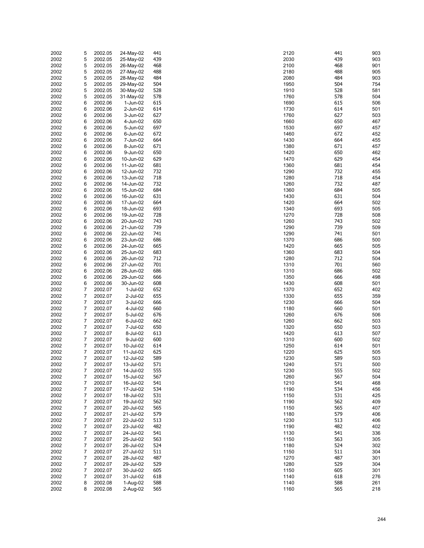| 2002 | 5              | 2002.05 | 24-May-02 | 441 | 441<br>2120 | 903        |
|------|----------------|---------|-----------|-----|-------------|------------|
| 2002 | 5              | 2002.05 | 25-May-02 | 439 | 2030        | 439<br>903 |
|      |                |         |           |     |             |            |
| 2002 | 5              | 2002.05 | 26-May-02 | 468 | 2100        | 468<br>901 |
| 2002 | 5              | 2002.05 | 27-May-02 | 488 | 2180        | 488<br>905 |
| 2002 | 5              | 2002.05 | 28-May-02 | 484 | 2080        | 484<br>903 |
| 2002 | 5              | 2002.05 | 29-May-02 | 504 | 1950        | 504<br>754 |
|      |                |         |           |     |             |            |
| 2002 | 5              | 2002.05 | 30-May-02 | 528 | 1910        | 528<br>581 |
| 2002 | 5              | 2002.05 | 31-May-02 | 578 | 1760        | 578<br>504 |
| 2002 | 6              | 2002.06 | 1-Jun-02  | 615 | 1690        | 615<br>506 |
| 2002 | 6              | 2002.06 | 2-Jun-02  | 614 | 1730        | 614<br>501 |
|      |                |         |           |     |             |            |
| 2002 | 6              | 2002.06 | 3-Jun-02  | 627 | 1760        | 627<br>503 |
| 2002 | 6              | 2002.06 | 4-Jun-02  | 650 | 1660        | 650<br>467 |
| 2002 | 6              | 2002.06 | 5-Jun-02  | 697 | 1530        | 697<br>457 |
| 2002 | 6              |         | 6-Jun-02  | 672 | 1460        | 672<br>452 |
|      |                | 2002.06 |           |     |             |            |
| 2002 | 6              | 2002.06 | 7-Jun-02  | 664 | 1430        | 664<br>455 |
| 2002 | 6              | 2002.06 | 8-Jun-02  | 671 | 1380        | 671<br>457 |
| 2002 | 6              | 2002.06 | 9-Jun-02  | 650 | 1420        | 650<br>462 |
| 2002 | 6              | 2002.06 | 10-Jun-02 | 629 | 1470        | 629<br>454 |
|      |                |         |           |     |             |            |
| 2002 | 6              | 2002.06 | 11-Jun-02 | 681 | 1360        | 681<br>454 |
| 2002 | 6              | 2002.06 | 12-Jun-02 | 732 | 1290        | 732<br>455 |
| 2002 | 6              | 2002.06 | 13-Jun-02 | 718 | 1280        | 718<br>454 |
| 2002 | 6              | 2002.06 | 14-Jun-02 | 732 | 1260        | 732<br>487 |
|      |                |         |           |     |             |            |
| 2002 | 6              | 2002.06 | 15-Jun-02 | 684 | 1360        | 684<br>505 |
| 2002 | 6              | 2002.06 | 16-Jun-02 | 631 | 1430        | 631<br>504 |
| 2002 | 6              | 2002.06 | 17-Jun-02 | 664 | 1420        | 664<br>502 |
| 2002 | 6              | 2002.06 |           | 693 | 1340        | 693<br>505 |
|      |                |         | 18-Jun-02 |     |             |            |
| 2002 | 6              | 2002.06 | 19-Jun-02 | 728 | 1270        | 728<br>508 |
| 2002 | 6              | 2002.06 | 20-Jun-02 | 743 | 1260        | 743<br>502 |
| 2002 | 6              | 2002.06 | 21-Jun-02 | 739 | 1290        | 739<br>509 |
|      |                |         |           |     |             |            |
| 2002 | 6              | 2002.06 | 22-Jun-02 | 741 | 1290        | 741<br>501 |
| 2002 | 6              | 2002.06 | 23-Jun-02 | 686 | 1370        | 686<br>500 |
| 2002 | 6              | 2002.06 | 24-Jun-02 | 665 | 1420        | 665<br>505 |
| 2002 | 6              | 2002.06 | 25-Jun-02 | 683 | 1360        | 683<br>504 |
|      |                |         |           |     |             | 712        |
| 2002 | 6              | 2002.06 | 26-Jun-02 | 712 | 1280        | 504        |
| 2002 | 6              | 2002.06 | 27-Jun-02 | 701 | 701<br>1310 | 560        |
| 2002 | 6              | 2002.06 | 28-Jun-02 | 686 | 1310        | 686<br>502 |
| 2002 | 6              | 2002.06 | 29-Jun-02 | 666 | 1350        | 666<br>498 |
| 2002 | 6              |         |           | 608 | 1430        | 608        |
|      |                | 2002.06 | 30-Jun-02 |     |             | 501        |
| 2002 | $\overline{7}$ | 2002.07 | 1-Jul-02  | 652 | 1370        | 652<br>402 |
| 2002 | 7              | 2002.07 | 2-Jul-02  | 655 | 1330        | 655<br>359 |
| 2002 | 7              | 2002.07 | 3-Jul-02  | 666 | 1230        | 666<br>504 |
| 2002 | 7              |         |           | 660 | 1180        | 660        |
|      |                | 2002.07 | 4-Jul-02  |     |             | 501        |
| 2002 | 7              | 2002.07 | 5-Jul-02  | 676 | 1260        | 676<br>506 |
| 2002 | 7              | 2002.07 | 6-Jul-02  | 662 | 1260        | 662<br>503 |
| 2002 | 7              | 2002.07 | 7-Jul-02  | 650 | 1320        | 650<br>503 |
| 2002 | 7              | 2002.07 | 8-Jul-02  | 613 | 1420        | 613<br>507 |
|      |                |         |           |     |             |            |
| 2002 | 7              | 2002.07 | 9-Jul-02  | 600 | 1310        | 600<br>502 |
| 2002 | 7              | 2002.07 | 10-Jul-02 | 614 | 1250        | 614<br>501 |
| 2002 | 7              | 2002.07 | 11-Jul-02 | 625 | 1220<br>625 | 505        |
| 2002 | $\overline{7}$ | 2002.07 | 12-Jul-02 | 589 | 589<br>1230 | 503        |
|      |                |         |           |     |             |            |
| 2002 | 7              | 2002.07 | 13-Jul-02 | 571 | 571<br>1240 | 500        |
| 2002 | $\overline{7}$ | 2002.07 | 14-Jul-02 | 555 | 1230        | 555<br>502 |
| 2002 | 7              | 2002.07 | 15-Jul-02 | 567 | 567<br>1260 | 504        |
| 2002 | 7              | 2002.07 | 16-Jul-02 | 541 | 541<br>1210 | 468        |
|      |                |         |           |     |             |            |
| 2002 | 7              | 2002.07 | 17-Jul-02 | 534 | 1190        | 534<br>456 |
| 2002 | 7              | 2002.07 | 18-Jul-02 | 531 | 531<br>1150 | 425        |
| 2002 | $\overline{7}$ | 2002.07 | 19-Jul-02 | 562 | 1190        | 562<br>409 |
| 2002 | 7              | 2002.07 | 20-Jul-02 | 565 | 565<br>1150 | 407        |
|      |                |         |           | 579 |             |            |
| 2002 | 7              | 2002.07 | 21-Jul-02 |     | 579<br>1180 | 406        |
| 2002 | 7              | 2002.07 | 22-Jul-02 | 513 | 1230        | 513<br>406 |
| 2002 | 7              | 2002.07 | 23-Jul-02 | 482 | 1190        | 482<br>402 |
| 2002 | 7              | 2002.07 | 24-Jul-02 | 541 | 1130<br>541 | 336        |
|      |                |         | 25-Jul-02 | 563 | 563         |            |
| 2002 | 7              | 2002.07 |           |     | 1150        | 305        |
| 2002 | 7              | 2002.07 | 26-Jul-02 | 524 | 1180        | 524<br>302 |
| 2002 | 7              | 2002.07 | 27-Jul-02 | 511 | 511<br>1150 | 304        |
| 2002 | 7              | 2002.07 | 28-Jul-02 | 487 | 1270        | 487<br>301 |
| 2002 | 7              | 2002.07 | 29-Jul-02 | 529 | 529<br>1280 | 304        |
|      |                |         |           |     |             |            |
| 2002 | 7              | 2002.07 | 30-Jul-02 | 605 | 1150        | 605<br>301 |
| 2002 | $\overline{7}$ | 2002.07 | 31-Jul-02 | 618 | 1140        | 618<br>276 |
| 2002 | 8              | 2002.08 | 1-Aug-02  | 588 | 1140        | 588<br>261 |
| 2002 | 8              | 2002.08 | 2-Aug-02  | 565 | 1160        | 565<br>218 |
|      |                |         |           |     |             |            |

| 0              | 441        | 903        |
|----------------|------------|------------|
| ١Ο             | 439        | 903        |
| Ι0<br>١Ο       | 468<br>488 | 901<br>905 |
| ٥              | 484        | 903        |
| i0             | 504        | 754        |
| 0              | 528        | 581        |
| iО             | 578        | 504        |
| Ю<br>٥،        | 615<br>614 | 506<br>501 |
| iО             | 627        | 503        |
| iО             | 650        | 467        |
| ٥،             | 697        | 457        |
| iО             | 672        | 452        |
| ٥،<br>٥        | 664<br>671 | 455<br>457 |
| 0              | 650        | 462        |
| $\overline{0}$ | 629        | 454        |
| iО             | 681        | 454        |
| Ю              | 732        | 455        |
| ٥،             | 718        | 454        |
| iО<br>iО       | 732<br>684 | 487<br>505 |
| ٥،             | 631        | 504        |
| 0              | 664        | 502        |
| ٥.             | 693        | 505        |
| Ό              | 728        | 508        |
| iО<br>Ю        | 743<br>739 | 502<br>509 |
| Ю              | 741        | 501        |
| Ό              | 686        | 500        |
| 0              | 665        | 505        |
| iО             | 683        | 504        |
| ٥<br>0         | 712<br>701 | 504<br>560 |
| 0              | 686        | 502        |
| i0             | 666        | 498        |
| ٥،             | 608        | 501        |
| Ό              | 652        | 402        |
| ٥،             | 655        | 359        |
| ٥،<br>٥        | 666<br>660 | 504<br>501 |
| iО             | 676        | 506        |
| iО             | 662        | 503        |
| 0              | 650        | 503        |
| 0              | 613        | 507        |
| 0<br>i0        | 600<br>614 | 502<br>501 |
| 0              | 625        | 505        |
| ٥،             | 589        | 503        |
| ٥.             | 571        | 50C        |
| ١Ο             | 555        | 502        |
| i0<br>0        | 567<br>541 | 504<br>468 |
| 0              | 534        | 456        |
| i0             | 531        | 425        |
| Ι0             | 562        | 409        |
| i0             | 565        | 407        |
| Ο              | 579        | 406        |
| ١Ο<br>Ι0       | 513<br>482 | 406<br>402 |
| ١Ο             | 541        | 336        |
| i0             | 563        | 305        |
| ١Ο             | 524        | 302        |
| i0             | 511        | 304        |
| Ό<br>١Ο        | 487<br>529 | 301<br>304 |
| i0             | 605        | 301        |
| ٥.             | 618        | 276        |
| ٥.             | 588        | 261        |
| i0             | 565        | 218        |
|                |            |            |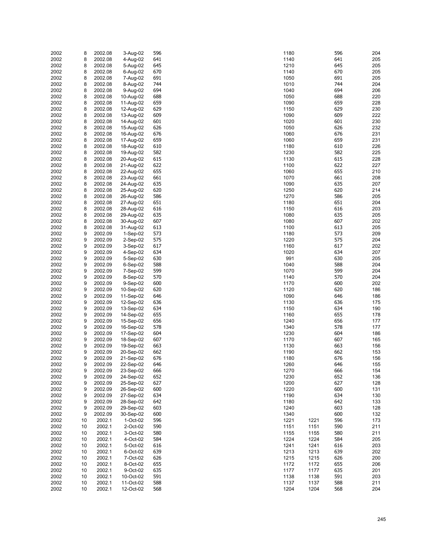| 2002 | 8  | 2002.08 | 3-Aug-02   | 596 | 1180 | 596         | 204 |
|------|----|---------|------------|-----|------|-------------|-----|
| 2002 | 8  | 2002.08 | 4-Aug-02   | 641 | 1140 | 641         | 205 |
| 2002 | 8  | 2002.08 | 5-Aug-02   | 645 | 1210 | 645         | 205 |
|      |    |         |            |     |      |             |     |
| 2002 | 8  | 2002.08 | 6-Aug-02   | 670 | 1140 | 670         | 205 |
| 2002 | 8  | 2002.08 | 7-Aug-02   | 691 | 1050 | 691         | 205 |
| 2002 | 8  | 2002.08 | 8-Aug-02   | 744 | 1010 | 744         | 204 |
| 2002 | 8  | 2002.08 | 9-Aug-02   | 694 | 1040 | 694         | 206 |
| 2002 | 8  | 2002.08 | 10-Aug-02  | 688 | 1050 | 688         | 220 |
|      |    |         |            |     |      |             |     |
| 2002 | 8  | 2002.08 | 11-Aug-02  | 659 | 1090 | 659         | 228 |
| 2002 | 8  | 2002.08 | 12-Aug-02  | 629 | 1150 | 629         | 230 |
| 2002 | 8  | 2002.08 | 13-Aug-02  | 609 | 1090 | 609         | 222 |
| 2002 | 8  | 2002.08 | 14-Aug-02  | 601 | 1020 | 601         | 230 |
|      |    |         |            |     |      |             |     |
| 2002 | 8  | 2002.08 | 15-Aug-02  | 626 | 1050 | 626         | 232 |
| 2002 | 8  | 2002.08 | 16-Aug-02  | 676 | 1060 | 676         | 231 |
| 2002 | 8  | 2002.08 | 17-Aug-02  | 659 | 1060 | 659         | 231 |
| 2002 | 8  | 2002.08 | 18-Aug-02  | 610 | 1180 | 610         | 226 |
|      |    |         |            |     |      | 582         |     |
| 2002 | 8  | 2002.08 | 19-Aug-02  | 582 | 1230 |             | 225 |
| 2002 | 8  | 2002.08 | 20-Aug-02  | 615 | 1130 | 615         | 228 |
| 2002 | 8  | 2002.08 | 21-Aug-02  | 622 | 1100 | 622         | 227 |
| 2002 | 8  | 2002.08 | 22-Aug-02  | 655 | 1060 | 655         | 210 |
| 2002 | 8  | 2002.08 | 23-Aug-02  | 661 | 1070 | 661         | 208 |
|      |    |         |            |     |      |             |     |
| 2002 | 8  | 2002.08 | 24-Aug-02  | 635 | 1090 | 635         | 207 |
| 2002 | 8  | 2002.08 | 25-Aug-02  | 620 | 1250 | 620         | 214 |
| 2002 | 8  | 2002.08 | 26-Aug-02  | 586 | 1270 | 586         | 205 |
| 2002 | 8  | 2002.08 | 27-Aug-02  | 651 | 1180 | 651         | 204 |
|      |    |         |            |     |      | 616         |     |
| 2002 | 8  | 2002.08 | 28-Aug-02  | 616 | 1150 |             | 203 |
| 2002 | 8  | 2002.08 | 29-Aug-02  | 635 | 1080 | 635         | 205 |
| 2002 | 8  | 2002.08 | 30-Aug-02  | 607 | 1080 | 607         | 202 |
| 2002 | 8  | 2002.08 | 31-Aug-02  | 613 | 1100 | 613         | 205 |
| 2002 | 9  | 2002.09 | $1-Sep-02$ | 573 | 1180 | 573         | 209 |
|      |    |         |            |     |      |             |     |
| 2002 | 9  | 2002.09 | 2-Sep-02   | 575 | 1220 | 575         | 204 |
| 2002 | 9  | 2002.09 | 3-Sep-02   | 617 | 1160 | 617         | 202 |
| 2002 | 9  | 2002.09 | 4-Sep-02   | 634 | 1020 | 634         | 207 |
| 2002 | 9  | 2002.09 | 5-Sep-02   | 630 | 991  | 630         | 205 |
|      |    |         |            | 588 |      | 588         | 204 |
| 2002 | 9  | 2002.09 | 6-Sep-02   |     | 1040 |             |     |
| 2002 | 9  | 2002.09 | 7-Sep-02   | 599 | 1070 | 599         | 204 |
| 2002 | 9  | 2002.09 | 8-Sep-02   | 570 | 1140 | 570         | 204 |
| 2002 | 9  | 2002.09 | 9-Sep-02   | 600 | 1170 | 600         | 202 |
| 2002 | 9  | 2002.09 | 10-Sep-02  | 620 | 1120 | 620         | 186 |
|      |    |         |            |     |      |             |     |
| 2002 | 9  | 2002.09 | 11-Sep-02  | 646 | 1090 | 646         | 186 |
| 2002 | 9  | 2002.09 | 12-Sep-02  | 636 | 1130 | 636         | 175 |
| 2002 | 9  | 2002.09 | 13-Sep-02  | 634 | 1150 | 634         | 190 |
| 2002 | 9  | 2002.09 | 14-Sep-02  | 655 | 1160 | 655         | 178 |
| 2002 | 9  | 2002.09 | 15-Sep-02  | 656 | 1240 | 656         | 177 |
|      |    |         |            |     |      |             |     |
| 2002 | 9  | 2002.09 | 16-Sep-02  | 578 | 1340 | 578         | 177 |
| 2002 | 9  | 2002.09 | 17-Sep-02  | 604 | 1230 | 604         | 186 |
| 2002 | 9  | 2002.09 | 18-Sep-02  | 607 | 1170 | 607         | 165 |
| 2002 | 9  | 2002.09 | 19-Sep-02  | 663 | 1130 | 663         | 156 |
| 2002 | 9  | 2002.09 | 20-Sep-02  | 662 | 1190 | 662         | 153 |
|      |    |         |            |     |      |             |     |
| 2002 | 9  | 2002.09 | 21-Sep-02  | 676 | 1180 | 676         | 156 |
| 2002 | 9  | 2002.09 | 22-Sep-02  | 646 | 1260 | 646         | 155 |
| 2002 | 9  | 2002.09 | 23-Sep-02  | 666 | 1270 | 666         | 154 |
| 2002 | 9  | 2002.09 | 24-Sep-02  | 652 | 1230 | 652         | 136 |
| 2002 | 9  | 2002.09 | 25-Sep-02  | 627 | 1200 | 627         | 128 |
|      |    |         |            |     |      |             |     |
| 2002 | 9  | 2002.09 | 26-Sep-02  | 600 | 1220 | 600         | 131 |
| 2002 | 9  | 2002.09 | 27-Sep-02  | 634 | 1190 | 634         | 130 |
| 2002 | 9  | 2002.09 | 28-Sep-02  | 642 | 1180 | 642         | 133 |
| 2002 | 9  | 2002.09 | 29-Sep-02  | 603 | 1240 | 603         | 128 |
|      |    |         |            |     |      |             |     |
| 2002 | 9  | 2002.09 | 30-Sep-02  | 600 | 1340 | 600         | 132 |
| 2002 | 10 | 2002.1  | 1-Oct-02   | 596 | 1221 | 596<br>1221 | 173 |
| 2002 | 10 | 2002.1  | 2-Oct-02   | 590 | 1151 | 590<br>1151 | 211 |
| 2002 | 10 | 2002.1  | 3-Oct-02   | 580 | 1155 | 580<br>1155 | 211 |
| 2002 | 10 | 2002.1  | 4-Oct-02   | 584 | 1224 | 584<br>1224 | 205 |
|      |    |         |            |     |      |             |     |
| 2002 | 10 | 2002.1  | 5-Oct-02   | 616 | 1241 | 1241<br>616 | 203 |
| 2002 | 10 | 2002.1  | 6-Oct-02   | 639 | 1213 | 639<br>1213 | 202 |
| 2002 | 10 | 2002.1  | 7-Oct-02   | 626 | 1215 | 626<br>1215 | 200 |
| 2002 | 10 | 2002.1  | 8-Oct-02   | 655 | 1172 | 655<br>1172 | 206 |
| 2002 | 10 | 2002.1  | 9-Oct-02   | 635 | 1177 | 635<br>1177 | 201 |
|      |    |         |            |     |      |             |     |
| 2002 | 10 | 2002.1  | 10-Oct-02  | 591 | 1138 | 591<br>1138 | 203 |
| 2002 | 10 | 2002.1  | 11-Oct-02  | 588 | 1137 | 588<br>1137 | 211 |
| 2002 | 10 | 2002.1  | 12-Oct-02  | 568 | 1204 | 1204<br>568 | 204 |
|      |    |         |            |     |      |             |     |

| 180        |              | 596        | 204        |
|------------|--------------|------------|------------|
| 140        |              | 641        | 205        |
| 210        |              | 645        | 205        |
| 140        |              | 670        | 205        |
| )50<br>)10 |              | 691<br>744 | 205<br>204 |
| )40        |              | 694        | 206        |
| )50        |              | 688        | 220        |
| )90        |              | 659        | 228        |
| 150        |              | 629        | 230        |
| )90        |              | 609        | 222        |
| )20        |              | 601        | 230        |
| )50<br>060 |              | 626<br>676 | 232<br>231 |
| 060        |              | 659        | 231        |
| 180        |              | 610        | 226        |
| 230        |              | 582        | 225        |
| 130        |              | 615        | 228        |
| 100        |              | 622        | 227        |
| 060        |              | 655        | 210        |
| )70<br>)90 |              | 661<br>635 | 208<br>207 |
| 250        |              | 620        | 214        |
| 270        |              | 586        | 205        |
| 180        |              | 651        | 204        |
| 150        |              | 616        | 203        |
| 080        |              | 635        | 205        |
| 080        |              | 607<br>613 | 202        |
| 100<br>180 |              | 573        | 205<br>209 |
| 220        |              | 575        | 204        |
| 160        |              | 617        | 202        |
| )20        |              | 634        | 207        |
| 991        |              | 630        | 205        |
| )40        |              | 588        | 204        |
| )70        |              | 599<br>570 | 204<br>204 |
| 140<br>170 |              | 600        | 202        |
| 120        |              | 620        | 186        |
| )90        |              | 646        | 186        |
| 130        |              | 636        | 175        |
| 150        |              | 634        | 190        |
| 160        |              | 655        | 178        |
| 240<br>340 |              | 656<br>578 | 177<br>177 |
| 230        |              | 604        | 186        |
| 170        |              | 607        | 165        |
| 130        |              | 663        | 156        |
| 190        |              | 662        | 153        |
| 180        |              | 676        | 156        |
| 260        |              | 646        | 155        |
| 270<br>230 |              | 666<br>652 | 154<br>136 |
| 200        |              | 627        | 128        |
| 220        |              | 600        | 131        |
| 190        |              | 634        | 130        |
| 180        |              | 642        | 133        |
| 240        |              | 603        | 128        |
| 340<br>221 |              | 600        | 132<br>173 |
| 151        | 1221<br>1151 | 596<br>590 | 211        |
| 155        | 1155         | 580        | 211        |
| 224        | 1224         | 584        | 205        |
| 241        | 1241         | 616        | 203        |
| 213        | 1213         | 639        | 202        |
| 215        | 1215         | 626        | 200        |
| 172<br>177 | 1172<br>1177 | 655<br>635 | 206<br>201 |
| 138        | 1138         | 591        | 203        |
| 137        | 1137         | 588        | 211        |
| 204        | 1204         | 568        | 204        |
|            |              |            |            |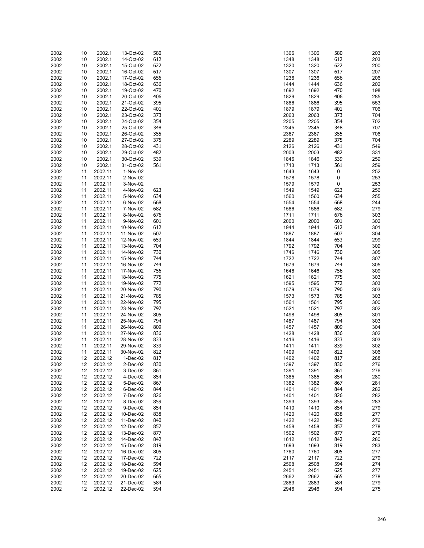| 2002 | 10 | 2002.1  | 13-Oct-02 | 580 | 1306 | 1306 | 580 | 203 |
|------|----|---------|-----------|-----|------|------|-----|-----|
|      |    |         |           |     |      |      |     |     |
| 2002 | 10 | 2002.1  | 14-Oct-02 | 612 | 1348 | 1348 | 612 | 203 |
| 2002 | 10 | 2002.1  | 15-Oct-02 | 622 | 1320 | 1320 | 622 | 200 |
| 2002 | 10 | 2002.1  | 16-Oct-02 | 617 | 1307 | 1307 | 617 | 207 |
|      |    |         |           |     |      |      |     |     |
| 2002 | 10 | 2002.1  | 17-Oct-02 | 656 | 1236 | 1236 | 656 | 206 |
| 2002 | 10 | 2002.1  | 18-Oct-02 | 636 | 1444 | 1444 | 636 | 202 |
| 2002 | 10 | 2002.1  | 19-Oct-02 | 470 | 1692 | 1692 | 470 | 198 |
|      |    |         |           |     |      |      |     |     |
| 2002 | 10 | 2002.1  | 20-Oct-02 | 406 | 1829 | 1829 | 406 | 285 |
| 2002 | 10 | 2002.1  | 21-Oct-02 | 395 | 1886 | 1886 | 395 | 553 |
|      |    |         |           |     |      |      |     |     |
| 2002 | 10 | 2002.1  | 22-Oct-02 | 401 | 1879 | 1879 | 401 | 706 |
| 2002 | 10 | 2002.1  | 23-Oct-02 | 373 | 2063 | 2063 | 373 | 704 |
| 2002 | 10 |         |           | 354 | 2205 | 2205 | 354 | 702 |
|      |    | 2002.1  | 24-Oct-02 |     |      |      |     |     |
| 2002 | 10 | 2002.1  | 25-Oct-02 | 348 | 2345 | 2345 | 348 | 707 |
| 2002 | 10 | 2002.1  | 26-Oct-02 | 355 | 2367 | 2367 | 355 | 706 |
|      |    |         |           |     |      |      |     |     |
| 2002 | 10 | 2002.1  | 27-Oct-02 | 375 | 2289 | 2289 | 375 | 704 |
| 2002 | 10 | 2002.1  | 28-Oct-02 | 431 | 2126 | 2126 | 431 | 549 |
| 2002 | 10 | 2002.1  | 29-Oct-02 | 482 | 2003 | 2003 | 482 | 331 |
|      |    |         |           |     |      |      |     |     |
| 2002 | 10 | 2002.1  | 30-Oct-02 | 539 | 1846 | 1846 | 539 | 259 |
| 2002 | 10 | 2002.1  | 31-Oct-02 | 561 | 1713 | 1713 | 561 | 259 |
| 2002 | 11 | 2002.11 |           |     | 1643 |      | 0   | 252 |
|      |    |         | 1-Nov-02  |     |      | 1643 |     |     |
| 2002 | 11 | 2002.11 | 2-Nov-02  |     | 1578 | 1578 | 0   | 253 |
| 2002 | 11 | 2002.11 | 3-Nov-02  |     | 1579 | 1579 | 0   | 253 |
|      |    |         |           |     |      |      |     |     |
| 2002 | 11 | 2002.11 | 4-Nov-02  | 623 | 1549 | 1549 | 623 | 256 |
| 2002 | 11 | 2002.11 | 5-Nov-02  | 634 | 1560 | 1560 | 634 | 255 |
| 2002 | 11 | 2002.11 | 6-Nov-02  | 668 | 1554 | 1554 | 668 | 244 |
|      |    |         |           |     |      |      |     |     |
| 2002 | 11 | 2002.11 | 7-Nov-02  | 682 | 1586 | 1586 | 682 | 279 |
| 2002 | 11 | 2002.11 | 8-Nov-02  | 676 | 1711 | 1711 | 676 | 303 |
|      |    |         |           |     | 2000 |      |     |     |
| 2002 | 11 | 2002.11 | 9-Nov-02  | 601 |      | 2000 | 601 | 302 |
| 2002 | 11 | 2002.11 | 10-Nov-02 | 612 | 1944 | 1944 | 612 | 301 |
| 2002 | 11 | 2002.11 | 11-Nov-02 | 607 | 1887 | 1887 | 607 | 304 |
|      |    |         |           |     |      |      |     |     |
| 2002 | 11 | 2002.11 | 12-Nov-02 | 653 | 1844 | 1844 | 653 | 299 |
| 2002 | 11 | 2002.11 | 13-Nov-02 | 704 | 1792 | 1792 | 704 | 309 |
|      |    |         |           |     |      |      |     |     |
| 2002 | 11 | 2002.11 | 14-Nov-02 | 730 | 1746 | 1746 | 730 | 305 |
| 2002 | 11 | 2002.11 | 15-Nov-02 | 744 | 1722 | 1722 | 744 | 307 |
| 2002 | 11 | 2002.11 | 16-Nov-02 | 744 | 1679 | 1679 | 744 | 305 |
|      |    |         |           |     |      |      |     |     |
| 2002 | 11 | 2002.11 | 17-Nov-02 | 756 | 1646 | 1646 | 756 | 309 |
| 2002 | 11 | 2002.11 | 18-Nov-02 | 775 | 1621 | 1621 | 775 | 303 |
| 2002 | 11 | 2002.11 | 19-Nov-02 | 772 | 1595 | 1595 | 772 | 303 |
|      |    |         |           |     |      |      |     |     |
| 2002 | 11 | 2002.11 | 20-Nov-02 | 790 | 1579 | 1579 | 790 | 303 |
| 2002 | 11 | 2002.11 | 21-Nov-02 | 785 | 1573 | 1573 | 785 | 303 |
|      |    |         |           |     |      |      |     |     |
| 2002 | 11 | 2002.11 | 22-Nov-02 | 795 | 1561 | 1561 | 795 | 300 |
| 2002 | 11 | 2002.11 | 23-Nov-02 | 797 | 1521 | 1521 | 797 | 302 |
| 2002 | 11 | 2002.11 | 24-Nov-02 | 805 | 1498 | 1498 | 805 | 301 |
|      |    |         |           |     |      |      |     |     |
| 2002 | 11 | 2002.11 | 25-Nov-02 | 794 | 1487 | 1487 | 794 | 303 |
| 2002 | 11 | 2002.11 | 26-Nov-02 | 809 | 1457 | 1457 | 809 | 304 |
|      |    |         |           |     | 1428 |      |     |     |
| 2002 | 11 | 2002.11 | 27-Nov-02 | 836 |      | 1428 | 836 | 302 |
| 2002 | 11 | 2002.11 | 28-Nov-02 | 833 | 1416 | 1416 | 833 | 303 |
| 2002 | 11 | 2002.11 | 29-Nov-02 | 839 | 1411 | 1411 | 839 | 302 |
|      |    |         |           |     |      |      |     |     |
| 2002 | 11 | 2002.11 | 30-Nov-02 | 822 | 1409 | 1409 | 822 | 306 |
| 2002 | 12 | 2002.12 | 1-Dec-02  | 817 | 1402 | 1402 | 817 | 288 |
| 2002 | 12 | 2002.12 | 2-Dec-02  | 830 | 1397 | 1397 | 830 | 276 |
|      |    |         |           |     |      |      |     |     |
| 2002 | 12 | 2002.12 | 3-Dec-02  | 861 | 1391 | 1391 | 861 | 276 |
| 2002 | 12 | 2002.12 | 4-Dec-02  | 854 | 1385 | 1385 | 854 | 280 |
|      |    |         |           | 867 |      |      |     |     |
| 2002 | 12 | 2002.12 | 5-Dec-02  |     | 1382 | 1382 | 867 | 281 |
| 2002 | 12 | 2002.12 | 6-Dec-02  | 844 | 1401 | 1401 | 844 | 282 |
| 2002 | 12 | 2002.12 | 7-Dec-02  | 826 | 1401 | 1401 | 826 | 282 |
|      |    |         |           |     |      |      |     |     |
| 2002 | 12 | 2002.12 | 8-Dec-02  | 859 | 1393 | 1393 | 859 | 283 |
| 2002 | 12 | 2002.12 | 9-Dec-02  | 854 | 1410 | 1410 | 854 | 279 |
| 2002 | 12 | 2002.12 | 10-Dec-02 | 838 | 1420 | 1420 | 838 | 277 |
|      |    |         |           |     |      |      |     |     |
| 2002 | 12 | 2002.12 | 11-Dec-02 | 840 | 1422 | 1422 | 840 | 276 |
| 2002 | 12 | 2002.12 | 12-Dec-02 | 857 | 1458 | 1458 | 857 | 278 |
|      |    |         |           |     |      |      |     |     |
| 2002 | 12 | 2002.12 | 13-Dec-02 | 877 | 1502 | 1502 | 877 | 279 |
| 2002 | 12 | 2002.12 | 14-Dec-02 | 842 | 1612 | 1612 | 842 | 280 |
| 2002 | 12 | 2002.12 | 15-Dec-02 | 819 | 1693 | 1693 | 819 | 283 |
|      |    |         |           |     |      |      |     |     |
| 2002 | 12 | 2002.12 | 16-Dec-02 | 805 | 1760 | 1760 | 805 | 277 |
| 2002 | 12 | 2002.12 | 17-Dec-02 | 722 | 2117 | 2117 | 722 | 279 |
|      |    |         |           | 594 | 2508 |      | 594 |     |
| 2002 | 12 | 2002.12 | 18-Dec-02 |     |      | 2508 |     | 274 |
| 2002 | 12 | 2002.12 | 19-Dec-02 | 625 | 2451 | 2451 | 625 | 277 |
| 2002 | 12 | 2002.12 | 20-Dec-02 | 665 | 2662 | 2662 | 665 | 278 |
|      |    |         |           |     |      |      |     |     |
| 2002 | 12 | 2002.12 | 21-Dec-02 | 584 | 2883 | 2883 | 584 | 279 |
| 2002 | 12 | 2002.12 | 22-Dec-02 | 594 | 2946 | 2946 | 594 | 275 |
|      |    |         |           |     |      |      |     |     |

| 306  | 1306 | 580 | 203 |
|------|------|-----|-----|
| 348  | 1348 | 612 | 203 |
| 320  | 1320 | 622 | 200 |
|      |      |     |     |
| 307  | 1307 | 617 | 207 |
| 236  | 1236 | 656 | 206 |
| 444  | 1444 | 636 | 202 |
|      |      |     |     |
| 692  | 1692 | 470 | 198 |
| 829  | 1829 | 406 | 285 |
| 886  | 1886 | 395 | 553 |
|      |      |     |     |
| 879  | 1879 | 401 | 706 |
| :063 | 2063 | 373 | 704 |
| 205  | 2205 | 354 | 702 |
|      |      |     |     |
| :345 | 2345 | 348 | 707 |
| 367  | 2367 | 355 | 706 |
| 289  | 2289 | 375 | 704 |
|      |      |     |     |
| 126  | 2126 | 431 | 549 |
| :003 | 2003 | 482 | 331 |
| 846  | 1846 | 539 | 259 |
|      |      | 561 |     |
| 713  | 1713 |     | 259 |
| 643  | 1643 | 0   | 252 |
| 578  | 1578 | 0   | 253 |
| 579  | 1579 | 0   | 253 |
|      |      |     |     |
| 549  | 1549 | 623 | 256 |
| 560  | 1560 | 634 | 255 |
| 554  | 1554 | 668 | 244 |
|      |      |     |     |
| 586  | 1586 | 682 | 279 |
| 711  | 1711 | 676 | 303 |
| :000 | 2000 | 601 | 302 |
| 944  | 1944 | 612 | 301 |
|      |      |     |     |
| 887  | 1887 | 607 | 304 |
| 844  | 1844 | 653 | 299 |
| 792  | 1792 | 704 | 309 |
| 746  | 1746 | 730 | 305 |
|      |      |     |     |
| 722  | 1722 | 744 | 307 |
| 679  | 1679 | 744 | 305 |
| 646  | 1646 | 756 | 309 |
| 621  | 1621 | 775 | 303 |
|      |      |     |     |
| 595  | 1595 | 772 | 303 |
| 579  | 1579 | 790 | 303 |
| 573  | 1573 | 785 | 303 |
| 561  | 1561 | 795 | 300 |
|      |      |     |     |
| 521  | 1521 | 797 | 302 |
| 498  | 1498 | 805 | 301 |
| 487  | 1487 | 794 | 303 |
| 457  | 1457 | 809 | 304 |
| 428  |      | 836 | 302 |
|      | 1428 |     |     |
| 416  | 1416 | 833 | 303 |
| 411  | 1411 | 839 | 302 |
| 409  | 1409 | 822 | 306 |
| 402  | 1402 | 817 | 288 |
|      |      |     |     |
| 397  | 1397 | 830 | 276 |
| 391  | 1391 | 861 | 276 |
| 385  | 1385 | 854 | 280 |
| 382  | 1382 | 867 | 281 |
|      |      |     |     |
| 401  | 1401 | 844 | 282 |
| 401  | 1401 | 826 | 282 |
| 393  | 1393 | 859 | 283 |
| 410  | 1410 | 854 | 279 |
|      |      |     |     |
| 420  | 1420 | 838 | 277 |
| 422  | 1422 | 840 | 276 |
| 458  | 1458 | 857 | 278 |
| 502  | 1502 | 877 | 279 |
|      |      |     |     |
| 612  | 1612 | 842 | 280 |
| 693  | 1693 | 819 | 283 |
| 760  | 1760 | 805 | 277 |
| :117 | 2117 | 722 | 279 |
|      |      |     |     |
| 508  | 2508 | 594 | 274 |
| '451 | 2451 | 625 | 277 |
| :662 | 2662 | 665 | 278 |
| 883! | 2883 | 584 | 279 |
|      |      |     |     |
| 946  | 2946 | 594 | 275 |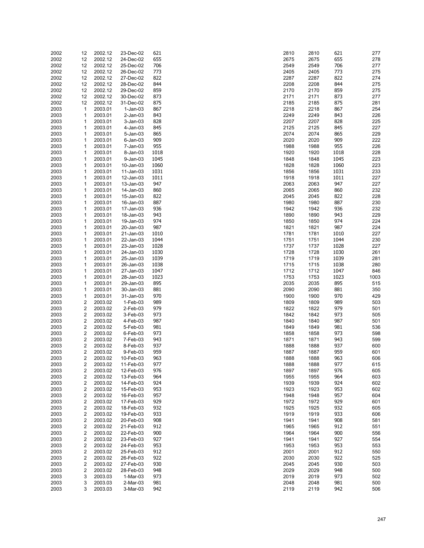| 2002 | 12                      | 2002.12 | 23-Dec-02   | 621  | 2810 | 2810 | 621  | 277  |
|------|-------------------------|---------|-------------|------|------|------|------|------|
| 2002 | 12                      | 2002.12 | 24-Dec-02   | 655  | 2675 | 2675 | 655  | 278  |
|      |                         |         |             |      |      |      |      |      |
| 2002 | 12                      | 2002.12 | 25-Dec-02   | 706  | 2549 | 2549 | 706  | 277  |
| 2002 | 12                      | 2002.12 | 26-Dec-02   | 773  | 2405 | 2405 | 773  | 275  |
| 2002 | 12                      | 2002.12 | 27-Dec-02   | 822  | 2287 | 2287 | 822  | 274  |
| 2002 | 12                      | 2002.12 | 28-Dec-02   | 844  | 2208 | 2208 | 844  | 275  |
|      |                         |         |             |      |      |      |      |      |
| 2002 | 12                      | 2002.12 | 29-Dec-02   | 859  | 2170 | 2170 | 859  | 275  |
| 2002 | 12                      | 2002.12 | 30-Dec-02   | 873  | 2171 | 2171 | 873  | 277  |
| 2002 | 12                      | 2002.12 | 31-Dec-02   | 875  | 2185 | 2185 | 875  | 281  |
| 2003 | $\mathbf{1}$            | 2003.01 | $1-Jan-03$  | 867  | 2218 | 2218 | 867  | 254  |
|      |                         |         |             |      |      |      |      |      |
| 2003 | 1                       | 2003.01 | $2$ -Jan-03 | 843  | 2249 | 2249 | 843  | 226  |
| 2003 | 1                       | 2003.01 | 3-Jan-03    | 828  | 2207 | 2207 | 828  | 225  |
| 2003 | 1                       | 2003.01 | 4-Jan-03    | 845  | 2125 | 2125 | 845  | 227  |
| 2003 | 1                       | 2003.01 | 5-Jan-03    | 865  | 2074 | 2074 | 865  | 229  |
|      |                         |         |             |      |      |      |      |      |
| 2003 | 1                       | 2003.01 | $6$ -Jan-03 | 909  | 2020 | 2020 | 909  | 222  |
| 2003 | 1                       | 2003.01 | 7-Jan-03    | 955  | 1988 | 1988 | 955  | 226  |
| 2003 | 1                       | 2003.01 | 8-Jan-03    | 1018 | 1920 | 1920 | 1018 | 228  |
| 2003 | 1                       | 2003.01 | 9-Jan-03    | 1045 | 1848 | 1848 | 1045 | 223  |
|      |                         |         |             |      |      |      |      |      |
| 2003 | 1                       | 2003.01 | 10-Jan-03   | 1060 | 1828 | 1828 | 1060 | 223  |
| 2003 | 1                       | 2003.01 | 11-Jan-03   | 1031 | 1856 | 1856 | 1031 | 233  |
| 2003 | 1                       | 2003.01 | 12-Jan-03   | 1011 | 1918 | 1918 | 1011 | 227  |
| 2003 | 1                       | 2003.01 | 13-Jan-03   | 947  | 2063 | 2063 | 947  | 227  |
|      |                         |         |             |      |      |      |      |      |
| 2003 | 1                       | 2003.01 | 14-Jan-03   | 860  | 2065 | 2065 | 860  | 232  |
| 2003 | 1                       | 2003.01 | 15-Jan-03   | 822  | 2045 | 2045 | 822  | 228  |
| 2003 | 1                       | 2003.01 | 16-Jan-03   | 887  | 1980 | 1980 | 887  | 230  |
| 2003 | 1                       | 2003.01 | 17-Jan-03   | 936  | 1942 | 1942 | 936  | 232  |
|      |                         |         |             |      |      |      |      |      |
| 2003 | 1                       | 2003.01 | 18-Jan-03   | 943  | 1890 | 1890 | 943  | 229  |
| 2003 | 1                       | 2003.01 | 19-Jan-03   | 974  | 1850 | 1850 | 974  | 224  |
| 2003 | 1                       | 2003.01 | 20-Jan-03   | 987  | 1821 | 1821 | 987  | 224  |
| 2003 | 1                       | 2003.01 | 21-Jan-03   | 1010 | 1781 | 1781 | 1010 | 227  |
|      |                         |         |             |      |      |      |      |      |
| 2003 | 1                       | 2003.01 | 22-Jan-03   | 1044 | 1751 | 1751 | 1044 | 230  |
| 2003 | 1                       | 2003.01 | 23-Jan-03   | 1028 | 1737 | 1737 | 1028 | 227  |
| 2003 | 1                       | 2003.01 | 24-Jan-03   | 1030 | 1728 | 1728 | 1030 | 261  |
| 2003 | 1                       | 2003.01 | 25-Jan-03   | 1039 | 1719 | 1719 | 1039 | 281  |
|      |                         |         |             |      |      |      |      |      |
| 2003 | 1                       | 2003.01 | 26-Jan-03   | 1038 | 1715 | 1715 | 1038 | 280  |
| 2003 | 1                       | 2003.01 | 27-Jan-03   | 1047 | 1712 | 1712 | 1047 | 846  |
| 2003 | 1                       | 2003.01 | 28-Jan-03   | 1023 | 1753 | 1753 | 1023 | 1003 |
| 2003 | 1                       | 2003.01 | 29-Jan-03   | 895  | 2035 | 2035 | 895  | 515  |
|      |                         |         |             |      |      |      |      |      |
| 2003 | 1                       | 2003.01 | 30-Jan-03   | 881  | 2090 | 2090 | 881  | 350  |
| 2003 | 1                       | 2003.01 | 31-Jan-03   | 970  | 1900 | 1900 | 970  | 429  |
| 2003 | 2                       | 2003.02 | 1-Feb-03    | 989  | 1809 | 1809 | 989  | 503  |
| 2003 | 2                       | 2003.02 | 2-Feb-03    | 979  | 1822 | 1822 | 979  | 501  |
|      |                         |         |             |      |      |      |      |      |
| 2003 | 2                       | 2003.02 | 3-Feb-03    | 973  | 1842 | 1842 | 973  | 505  |
| 2003 | $\overline{\mathbf{c}}$ | 2003.02 | 4-Feb-03    | 987  | 1840 | 1840 | 987  | 501  |
| 2003 | 2                       | 2003.02 | 5-Feb-03    | 981  | 1849 | 1849 | 981  | 536  |
| 2003 | $\overline{\mathbf{c}}$ | 2003.02 | 6-Feb-03    | 973  | 1858 | 1858 | 973  | 598  |
|      |                         |         |             |      |      |      |      |      |
| 2003 | 2                       | 2003.02 | 7-Feb-03    | 943  | 1871 | 1871 | 943  | 599  |
| 2003 | 2                       | 2003.02 | 8-Feb-03    | 937  | 1888 | 1888 | 937  | 600  |
| 2003 | $\overline{\mathbf{c}}$ | 2003.02 | 9-Feb-03    | 959  | 1887 | 1887 | 959  | 601  |
| 2003 | $\overline{2}$          | 2003.02 | 10-Feb-03   | 963  | 1888 | 1888 | 963  | 606  |
| 2003 | 2                       | 2003.02 | 11-Feb-03   | 977  | 1888 | 1888 | 977  | 615  |
|      |                         |         |             |      |      |      |      |      |
| 2003 | 2                       | 2003.02 | 12-Feb-03   | 976  | 1897 | 1897 | 976  | 605  |
| 2003 | 2                       | 2003.02 | 13-Feb-03   | 964  | 1955 | 1955 | 964  | 603  |
| 2003 | 2                       | 2003.02 | 14-Feb-03   | 924  | 1939 | 1939 | 924  | 602  |
| 2003 | 2                       | 2003.02 | 15-Feb-03   | 953  | 1923 | 1923 | 953  | 602  |
|      |                         |         |             |      |      |      |      |      |
| 2003 | $\overline{\mathbf{c}}$ | 2003.02 | 16-Feb-03   | 957  | 1948 | 1948 | 957  | 604  |
| 2003 | 2                       | 2003.02 | 17-Feb-03   | 929  | 1972 | 1972 | 929  | 601  |
| 2003 | $\overline{\mathbf{c}}$ | 2003.02 | 18-Feb-03   | 932  | 1925 | 1925 | 932  | 605  |
| 2003 | 2                       | 2003.02 | 19-Feb-03   | 933  | 1919 | 1919 | 933  | 606  |
|      |                         |         |             |      |      |      |      |      |
| 2003 | $\overline{\mathbf{c}}$ | 2003.02 | 20-Feb-03   | 908  | 1941 | 1941 | 908  | 581  |
| 2003 | 2                       | 2003.02 | 21-Feb-03   | 912  | 1965 | 1965 | 912  | 551  |
| 2003 | 2                       | 2003.02 | 22-Feb-03   | 900  | 1964 | 1964 | 900  | 556  |
| 2003 | 2                       | 2003.02 | 23-Feb-03   | 927  | 1941 | 1941 | 927  | 554  |
|      |                         |         |             |      |      |      |      |      |
| 2003 | 2                       | 2003.02 | 24-Feb-03   | 953  | 1953 | 1953 | 953  | 553  |
| 2003 | 2                       | 2003.02 | 25-Feb-03   | 912  | 2001 | 2001 | 912  | 550  |
| 2003 | 2                       | 2003.02 | 26-Feb-03   | 922  | 2030 | 2030 | 922  | 525  |
| 2003 | 2                       | 2003.02 | 27-Feb-03   | 930  | 2045 | 2045 | 930  | 503  |
| 2003 | $\overline{\mathbf{c}}$ | 2003.02 | 28-Feb-03   | 948  | 2029 | 2029 | 948  | 500  |
|      |                         |         |             |      |      |      |      |      |
| 2003 | 3                       | 2003.03 | 1-Mar-03    | 973  | 2019 | 2019 | 973  | 502  |
| 2003 | 3                       | 2003.03 | 2-Mar-03    | 981  | 2048 | 2048 | 981  | 500  |
| 2003 | 3                       | 2003.03 | 3-Mar-03    | 942  | 2119 | 2119 | 942  | 506  |
|      |                         |         |             |      |      |      |      |      |

| 2002 | 12 | 2002.12 | 23-Dec-02   | 621  | 2810 | 2810 | 621  | 277  |
|------|----|---------|-------------|------|------|------|------|------|
| 2002 | 12 | 2002.12 | 24-Dec-02   | 655  | 2675 | 2675 | 655  | 278  |
| 2002 | 12 | 2002.12 | 25-Dec-02   | 706  | 2549 | 2549 | 706  | 277  |
|      |    |         |             |      |      |      |      |      |
| 2002 | 12 | 2002.12 | 26-Dec-02   | 773  | 2405 | 2405 | 773  | 275  |
| 2002 | 12 | 2002.12 | 27-Dec-02   | 822  | 2287 | 2287 | 822  | 274  |
| 2002 | 12 | 2002.12 | 28-Dec-02   | 844  | 2208 | 2208 | 844  | 275  |
| 2002 | 12 | 2002.12 | 29-Dec-02   | 859  | 2170 | 2170 | 859  | 275  |
| 2002 | 12 | 2002.12 | 30-Dec-02   | 873  | 2171 | 2171 | 873  | 277  |
|      | 12 | 2002.12 |             | 875  | 2185 | 2185 | 875  |      |
| 2002 |    |         | 31-Dec-02   |      |      |      |      | 281  |
| 2003 | 1  | 2003.01 | $1-Jan-03$  | 867  | 2218 | 2218 | 867  | 254  |
| 2003 | 1  | 2003.01 | $2$ -Jan-03 | 843  | 2249 | 2249 | 843  | 226  |
| 2003 | 1  | 2003.01 | $3-Jan-03$  | 828  | 2207 | 2207 | 828  | 225  |
| 2003 | 1  | 2003.01 | $4$ -Jan-03 | 845  | 2125 | 2125 | 845  | 227  |
| 2003 | 1  | 2003.01 | 5-Jan-03    | 865  | 2074 | 2074 | 865  | 229  |
|      |    |         |             |      |      |      | 909  |      |
| 2003 | 1  | 2003.01 | $6$ -Jan-03 | 909  | 2020 | 2020 |      | 222  |
| 2003 | 1  | 2003.01 | 7-Jan-03    | 955  | 1988 | 1988 | 955  | 226  |
| 2003 | 1  | 2003.01 | 8-Jan-03    | 1018 | 1920 | 1920 | 1018 | 228  |
| 2003 | 1  | 2003.01 | 9-Jan-03    | 1045 | 1848 | 1848 | 1045 | 223  |
| 2003 | 1  | 2003.01 | 10-Jan-03   | 1060 | 1828 | 1828 | 1060 | 223  |
| 2003 | 1  | 2003.01 | 11-Jan-03   | 1031 | 1856 | 1856 | 1031 | 233  |
|      | 1  | 2003.01 | 12-Jan-03   | 1011 | 1918 | 1918 | 1011 | 227  |
| 2003 |    |         |             |      |      |      |      |      |
| 2003 | 1  | 2003.01 | 13-Jan-03   | 947  | 2063 | 2063 | 947  | 227  |
| 2003 | 1  | 2003.01 | 14-Jan-03   | 860  | 2065 | 2065 | 860  | 232  |
| 2003 | 1  | 2003.01 | 15-Jan-03   | 822  | 2045 | 2045 | 822  | 228  |
| 2003 | 1  | 2003.01 | 16-Jan-03   | 887  | 1980 | 1980 | 887  | 230  |
| 2003 | 1  | 2003.01 | 17-Jan-03   | 936  | 1942 | 1942 | 936  | 232  |
|      |    |         |             |      |      |      |      |      |
| 2003 | 1  | 2003.01 | 18-Jan-03   | 943  | 1890 | 1890 | 943  | 229  |
| 2003 | 1  | 2003.01 | 19-Jan-03   | 974  | 1850 | 1850 | 974  | 224  |
| 2003 | 1  | 2003.01 | 20-Jan-03   | 987  | 1821 | 1821 | 987  | 224  |
| 2003 | 1  | 2003.01 | 21-Jan-03   | 1010 | 1781 | 1781 | 1010 | 227  |
| 2003 | 1  | 2003.01 | 22-Jan-03   | 1044 | 1751 | 1751 | 1044 | 230  |
| 2003 | 1  | 2003.01 | 23-Jan-03   | 1028 | 1737 | 1737 | 1028 | 227  |
|      |    |         |             |      |      |      |      |      |
| 2003 | 1  | 2003.01 | 24-Jan-03   | 1030 | 1728 | 1728 | 1030 | 261  |
| 2003 | 1  | 2003.01 | 25-Jan-03   | 1039 | 1719 | 1719 | 1039 | 281  |
| 2003 | 1  | 2003.01 | 26-Jan-03   | 1038 | 1715 | 1715 | 1038 | 280  |
| 2003 | 1  | 2003.01 | 27-Jan-03   | 1047 | 1712 | 1712 | 1047 | 846  |
| 2003 | 1  | 2003.01 | 28-Jan-03   | 1023 | 1753 | 1753 | 1023 | 1003 |
| 2003 | 1  | 2003.01 | 29-Jan-03   | 895  | 2035 | 2035 | 895  | 515  |
|      |    |         |             |      |      |      | 881  |      |
| 2003 | 1  | 2003.01 | 30-Jan-03   | 881  | 2090 | 2090 |      | 350  |
| 2003 | 1  | 2003.01 | 31-Jan-03   | 970  | 1900 | 1900 | 970  | 429  |
| 2003 | 2  | 2003.02 | 1-Feb-03    | 989  | 1809 | 1809 | 989  | 503  |
| 2003 | 2  | 2003.02 | 2-Feb-03    | 979  | 1822 | 1822 | 979  | 501  |
| 2003 | 2  | 2003.02 | 3-Feb-03    | 973  | 1842 | 1842 | 973  | 505  |
| 2003 | 2  | 2003.02 | 4-Feb-03    | 987  | 1840 | 1840 | 987  | 501  |
|      |    |         |             |      |      |      |      |      |
| 2003 | 2  | 2003.02 | 5-Feb-03    | 981  | 1849 | 1849 | 981  | 536  |
| 2003 | 2  | 2003.02 | 6-Feb-03    | 973  | 1858 | 1858 | 973  | 598  |
| 2003 | 2  | 2003.02 | 7-Feb-03    | 943  | 1871 | 1871 | 943  | 599  |
| 2003 | 2  | 2003.02 | 8-Feb-03    | 937  | 1888 | 1888 | 937  | 600  |
| 2003 | 2  | 2003.02 | 9-Feb-03    | 959  | 1887 | 1887 | 959  | 601  |
| 2003 | 2  | 2003.02 | 10-Feb-03   | 963  | 1888 | 1888 | 963  | 606  |
|      |    |         |             |      |      |      |      |      |
| 2003 | 2  | 2003.02 | 11-Feb-03   | 977  | 1888 | 1888 | 977  | 615  |
| 2003 | 2  | 2003.02 | 12-Feb-03   | 976  | 1897 | 1897 | 976  | 605  |
| 2003 | 2  | 2003.02 | 13-Feb-03   | 964  | 1955 | 1955 | 964  | 603  |
| 2003 | 2  | 2003.02 | 14-Feb-03   | 924  | 1939 | 1939 | 924  | 602  |
| 2003 | 2  | 2003.02 | 15-Feb-03   | 953  | 1923 | 1923 | 953  | 602  |
| 2003 | 2  | 2003.02 | 16-Feb-03   | 957  | 1948 | 1948 | 957  | 604  |
|      |    |         |             |      |      |      | 929  |      |
| 2003 | 2  | 2003.02 | 17-Feb-03   | 929  | 1972 | 1972 |      | 601  |
| 2003 | 2  | 2003.02 | 18-Feb-03   | 932  | 1925 | 1925 | 932  | 605  |
| 2003 | 2  | 2003.02 | 19-Feb-03   | 933  | 1919 | 1919 | 933  | 606  |
| 2003 | 2  | 2003.02 | 20-Feb-03   | 908  | 1941 | 1941 | 908  | 581  |
| 2003 | 2  | 2003.02 | 21-Feb-03   | 912  | 1965 | 1965 | 912  | 551  |
| 2003 | 2  | 2003.02 | 22-Feb-03   | 900  | 1964 | 1964 | 900  | 556  |
|      |    |         |             |      |      |      |      |      |
| 2003 | 2  | 2003.02 | 23-Feb-03   | 927  | 1941 | 1941 | 927  | 554  |
| 2003 | 2  | 2003.02 | 24-Feb-03   | 953  | 1953 | 1953 | 953  | 553  |
| 2003 | 2  | 2003.02 | 25-Feb-03   | 912  | 2001 | 2001 | 912  | 550  |
| 2003 | 2  | 2003.02 | 26-Feb-03   | 922  | 2030 | 2030 | 922  | 525  |
| 2003 | 2  | 2003.02 | 27-Feb-03   | 930  | 2045 | 2045 | 930  | 503  |
| 2003 | 2  | 2003.02 | 28-Feb-03   | 948  | 2029 | 2029 | 948  | 500  |
|      |    |         |             |      |      |      |      |      |
| 2003 | 3  | 2003.03 | 1-Mar-03    | 973  | 2019 | 2019 | 973  | 502  |
| 2003 | 3  | 2003.03 | 2-Mar-03    | 981  | 2048 | 2048 | 981  | 500  |
| 2003 | 3  | 2003.03 | 3-Mar-03    | 942  | 2119 | 2119 | 942  | 506  |
|      |    |         |             |      |      |      |      |      |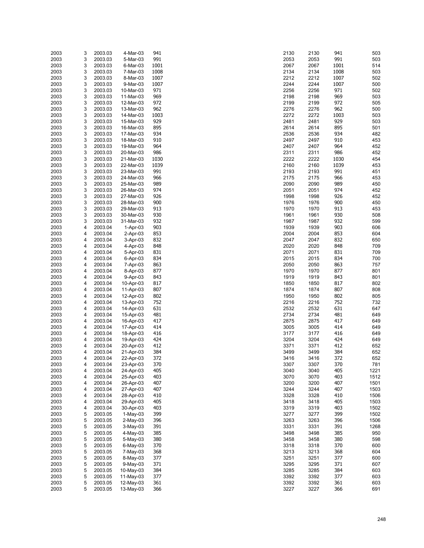| 2003 | 3 | 2003.03 | 4-Mar-03   | 941  | 2130 | 2130 | 941  | 503  |
|------|---|---------|------------|------|------|------|------|------|
|      |   |         |            |      |      |      |      |      |
| 2003 | 3 | 2003.03 | 5-Mar-03   | 991  | 2053 | 2053 | 991  | 503  |
| 2003 | 3 | 2003.03 | 6-Mar-03   | 1001 | 2067 | 2067 | 1001 | 514  |
| 2003 | 3 | 2003.03 | 7-Mar-03   | 1008 | 2134 | 2134 | 1008 | 503  |
|      |   |         |            |      |      |      |      |      |
| 2003 | 3 | 2003.03 | 8-Mar-03   | 1007 | 2212 | 2212 | 1007 | 502  |
| 2003 | 3 | 2003.03 | 9-Mar-03   | 1007 | 2244 | 2244 | 1007 | 500  |
|      |   |         |            |      |      |      |      |      |
| 2003 | 3 | 2003.03 | 10-Mar-03  | 971  | 2256 | 2256 | 971  | 502  |
| 2003 | 3 | 2003.03 | 11-Mar-03  | 969  | 2198 | 2198 | 969  | 503  |
| 2003 | 3 | 2003.03 | 12-Mar-03  | 972  | 2199 | 2199 | 972  | 505  |
|      |   |         |            |      |      |      |      |      |
| 2003 | 3 | 2003.03 | 13-Mar-03  | 962  | 2276 | 2276 | 962  | 500  |
| 2003 | 3 | 2003.03 | 14-Mar-03  | 1003 | 2272 | 2272 | 1003 | 503  |
|      |   |         | 15-Mar-03  |      |      |      | 929  |      |
| 2003 | 3 | 2003.03 |            | 929  | 2481 | 2481 |      | 503  |
| 2003 | 3 | 2003.03 | 16-Mar-03  | 895  | 2614 | 2614 | 895  | 501  |
| 2003 | 3 | 2003.03 | 17-Mar-03  | 934  | 2536 | 2536 | 934  | 482  |
|      |   |         |            |      |      |      |      |      |
| 2003 | 3 | 2003.03 | 18-Mar-03  | 910  | 2497 | 2497 | 910  | 453  |
| 2003 | 3 | 2003.03 | 19-Mar-03  | 964  | 2407 | 2407 | 964  | 452  |
| 2003 | 3 | 2003.03 | 20-Mar-03  | 986  | 2311 | 2311 | 986  | 452  |
|      |   |         |            |      |      |      |      |      |
| 2003 | 3 | 2003.03 | 21-Mar-03  | 1030 | 2222 | 2222 | 1030 | 454  |
| 2003 | 3 | 2003.03 | 22-Mar-03  | 1039 | 2160 | 2160 | 1039 | 453  |
| 2003 | 3 | 2003.03 | 23-Mar-03  | 991  | 2193 | 2193 | 991  | 451  |
|      |   |         |            |      |      |      |      |      |
| 2003 | 3 | 2003.03 | 24-Mar-03  | 966  | 2175 | 2175 | 966  | 453  |
| 2003 | 3 | 2003.03 | 25-Mar-03  | 989  | 2090 | 2090 | 989  | 450  |
|      |   |         |            |      |      |      |      |      |
| 2003 | 3 | 2003.03 | 26-Mar-03  | 974  | 2051 | 2051 | 974  | 452  |
| 2003 | 3 | 2003.03 | 27-Mar-03  | 926  | 1998 | 1998 | 926  | 452  |
| 2003 | 3 | 2003.03 | 28-Mar-03  | 900  | 1976 | 1976 | 900  | 450  |
|      |   |         |            |      |      |      |      |      |
| 2003 | 3 | 2003.03 | 29-Mar-03  | 913  | 1970 | 1970 | 913  | 453  |
| 2003 | 3 | 2003.03 | 30-Mar-03  | 930  | 1961 | 1961 | 930  | 508  |
|      |   |         |            |      |      |      |      |      |
| 2003 | 3 | 2003.03 | 31-Mar-03  | 932  | 1987 | 1987 | 932  | 599  |
| 2003 | 4 | 2003.04 | $1-Apr-03$ | 903  | 1939 | 1939 | 903  | 606  |
| 2003 | 4 | 2003.04 | $2-Apr-03$ | 853  | 2004 | 2004 | 853  | 604  |
|      |   |         |            |      |      |      |      |      |
| 2003 | 4 | 2003.04 | 3-Apr-03   | 832  | 2047 | 2047 | 832  | 650  |
| 2003 | 4 | 2003.04 | 4-Apr-03   | 848  | 2020 | 2020 | 848  | 709  |
|      |   |         |            |      |      |      | 831  |      |
| 2003 | 4 | 2003.04 | 5-Apr-03   | 831  | 2071 | 2071 |      | 709  |
| 2003 | 4 | 2003.04 | 6-Apr-03   | 834  | 2015 | 2015 | 834  | 700  |
| 2003 | 4 | 2003.04 | 7-Apr-03   | 863  | 2050 | 2050 | 863  | 757  |
|      |   |         |            |      |      |      |      |      |
| 2003 | 4 | 2003.04 | 8-Apr-03   | 877  | 1970 | 1970 | 877  | 801  |
| 2003 | 4 | 2003.04 | 9-Apr-03   | 843  | 1919 | 1919 | 843  | 801  |
| 2003 | 4 | 2003.04 | 10-Apr-03  | 817  | 1850 | 1850 | 817  | 802  |
|      |   |         |            |      |      |      |      |      |
| 2003 | 4 | 2003.04 | 11-Apr-03  | 807  | 1874 | 1874 | 807  | 808  |
| 2003 | 4 | 2003.04 | 12-Apr-03  | 802  | 1950 | 1950 | 802  | 805  |
|      |   |         |            |      |      |      |      |      |
| 2003 | 4 | 2003.04 | 13-Apr-03  | 752  | 2216 | 2216 | 752  | 732  |
| 2003 | 4 | 2003.04 | 14-Apr-03  | 631  | 2532 | 2532 | 631  | 647  |
| 2003 | 4 | 2003.04 | 15-Apr-03  | 481  | 2734 | 2734 | 481  | 649  |
|      |   |         |            |      |      |      |      |      |
| 2003 | 4 | 2003.04 | 16-Apr-03  | 417  | 2875 | 2875 | 417  | 649  |
| 2003 | 4 | 2003.04 | 17-Apr-03  | 414  | 3005 | 3005 | 414  | 649  |
|      |   |         |            |      |      |      |      |      |
| 2003 | 4 | 2003.04 | 18-Apr-03  | 416  | 3177 | 3177 | 416  | 649  |
| 2003 | 4 | 2003.04 | 19-Apr-03  | 424  | 3204 | 3204 | 424  | 649  |
| 2003 | 4 | 2003.04 | 20-Apr-03  | 412  | 3371 | 3371 | 412  | 652  |
|      |   |         |            |      |      |      |      |      |
| 2003 | 4 | 2003.04 | 21-Apr-03  | 384  | 3499 | 3499 | 384  | 652  |
| 2003 | 4 | 2003.04 | 22-Apr-03  | 372  | 3416 | 3416 | 372  | 652  |
| 2003 | 4 | 2003.04 | 23-Apr-03  | 370  | 3307 | 3307 | 370  | 781  |
|      |   |         |            |      |      |      |      |      |
| 2003 | 4 | 2003.04 | 24-Apr-03  | 405  | 3040 | 3040 | 405  | 1221 |
| 2003 | 4 | 2003.04 | 25-Apr-03  | 403  | 3070 | 3070 | 403  | 1512 |
| 2003 | 4 |         |            | 407  | 3200 | 3200 | 407  | 1501 |
|      |   | 2003.04 | 26-Apr-03  |      |      |      |      |      |
| 2003 | 4 | 2003.04 | 27-Apr-03  | 407  | 3244 | 3244 | 407  | 1503 |
| 2003 | 4 | 2003.04 | 28-Apr-03  | 410  | 3328 | 3328 | 410  | 1506 |
|      |   |         |            |      |      |      |      |      |
| 2003 | 4 | 2003.04 | 29-Apr-03  | 405  | 3418 | 3418 | 405  | 1503 |
| 2003 | 4 | 2003.04 | 30-Apr-03  | 403  | 3319 | 3319 | 403  | 1502 |
| 2003 | 5 | 2003.05 | $1-May-03$ | 399  | 3277 | 3277 | 399  | 1502 |
|      |   |         |            |      |      |      |      |      |
| 2003 | 5 | 2003.05 | $2-May-03$ | 396  | 3263 | 3263 | 396  | 1506 |
| 2003 | 5 | 2003.05 | 3-May-03   | 391  | 3331 | 3331 | 391  | 1268 |
|      | 5 | 2003.05 |            | 385  | 3498 | 3498 | 385  | 950  |
| 2003 |   |         | 4-May-03   |      |      |      |      |      |
| 2003 | 5 | 2003.05 | 5-May-03   | 380  | 3458 | 3458 | 380  | 598  |
| 2003 | 5 | 2003.05 | 6-May-03   | 370  | 3318 | 3318 | 370  | 600  |
|      |   |         |            |      |      |      |      |      |
| 2003 | 5 | 2003.05 | 7-May-03   | 368  | 3213 | 3213 | 368  | 604  |
| 2003 | 5 | 2003.05 | 8-May-03   | 377  | 3251 | 3251 | 377  | 600  |
| 2003 | 5 | 2003.05 | 9-May-03   | 371  | 3295 | 3295 | 371  | 607  |
|      |   |         |            |      |      |      |      |      |
| 2003 | 5 | 2003.05 | 10-May-03  | 384  | 3285 | 3285 | 384  | 603  |
| 2003 | 5 | 2003.05 | 11-May-03  | 377  | 3392 | 3392 | 377  | 603  |
|      | 5 | 2003.05 |            | 361  | 3392 |      | 361  | 603  |
| 2003 |   |         | 12-May-03  |      |      | 3392 |      |      |
| 2003 | 5 | 2003.05 | 13-May-03  | 366  | 3227 | 3227 | 366  | 691  |

| :130         | 2130         | 941         | 503          |
|--------------|--------------|-------------|--------------|
| :053<br>:067 | 2053<br>2067 | 991<br>1001 | 503<br>514   |
| :134         | 2134         | 1008        | 503          |
| 212          | 2212         | 1007        | 502          |
| 244:         | 2244         | 1007<br>971 | 500          |
| 256<br>:198  | 2256<br>2198 | 969         | 502<br>503   |
| :199         | 2199         | 972         | 505          |
| 276          | 2276         | 962         | 500          |
| 272<br>'481  | 2272<br>2481 | 1003<br>929 | 503<br>503   |
| '614         | 2614         | 895         | 501          |
| :536         | 2536         | 934         | 482          |
| 497          | 2497         | 910         | 453          |
| :407<br>:311 | 2407<br>2311 | 964<br>986  | 452<br>452   |
| 222          | 2222         | 1030        | 454          |
| :160         | 2160         | 1039        | 453          |
| :193<br>:175 | 2193<br>2175 | 991<br>966  | 451<br>453   |
| :090         | 2090         | 989         | 450          |
| .051         | 2051         | 974         | 452          |
| 998          | 1998         | 926         | 452          |
| 976<br>970   | 1976<br>1970 | 900<br>913  | 450<br>453   |
| 961          | 1961         | 930         | 508          |
| 987          | 1987         | 932         | 599          |
| 939<br>:004  | 1939<br>2004 | 903<br>853  | 606<br>604   |
| :047         | 2047         | 832         | 650          |
| 20           | 2020         | 848         | 709          |
| 071:         | 2071         | 831         | 709          |
| :015<br>:050 | 2015<br>2050 | 834<br>863  | 700<br>757   |
| 970          | 1970         | 877         | 801          |
| 919          | 1919         | 843         | 801          |
| 850<br>874   | 1850<br>1874 | 817<br>807  | 802<br>808   |
| 950          | 1950         | 802         | 805          |
| 216          | 2216         | 752         | 732          |
| :532         | 2532         | 631         | 647          |
| :734<br>875  | 2734<br>2875 | 481<br>417  | 649<br>649   |
| 005          | 3005         | 414         | 649          |
| :177         | 3177         | 416         | 649          |
| 204<br>:371  | 3204<br>3371 | 424<br>412  | 649<br>652   |
| 499          | 3499         | 384         | 652          |
| 416          | 3416         | 372         | 652          |
| :307         | 3307         | 370         | 781          |
| 040<br>070   | 3040<br>3070 | 405<br>403  | 1221<br>1512 |
| 200          | 3200         | 407         | 1501         |
| 244          | 3244         | 407         | 1503         |
| 328<br>418   | 3328<br>3418 | 410<br>405  | 1506<br>1503 |
| 319          | 3319         | 403         | 1502         |
| 277          | 3277         | 399         | 1502         |
| 263          | 3263         | 396         | 1506         |
| :331<br>498  | 3331<br>3498 | 391<br>385  | 1268<br>950  |
| 458          | 3458         | 380         | 598          |
| 318          | 3318         | 370         | 600          |
| 213<br>251   | 3213<br>3251 | 368<br>377  | 604<br>600   |
| 295          | 3295         | 371         | 607          |
| 285          | 3285         | 384         | 603          |
| :392         | 3392         | 377         | 603          |
| 392<br>227   | 3392<br>3227 | 361<br>366  | 603<br>691   |
|              |              |             |              |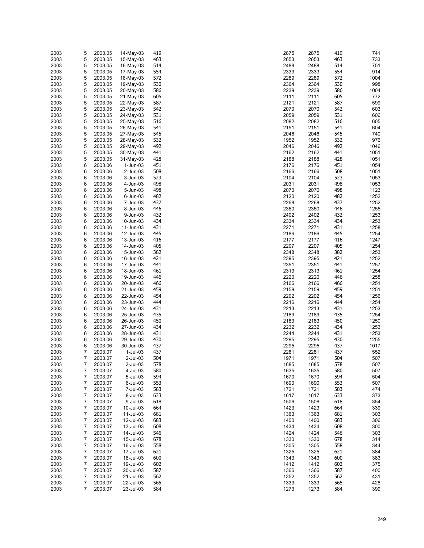| 2003 | 5              | 2003.05 | 14-May-03   | 419 | 2875 | 2875 | 419 | 741  |
|------|----------------|---------|-------------|-----|------|------|-----|------|
|      |                |         |             |     |      |      |     |      |
| 2003 | 5              | 2003.05 | 15-May-03   | 463 | 2653 | 2653 | 463 | 733  |
| 2003 | 5              | 2003.05 | 16-May-03   | 514 | 2488 | 2488 | 514 | 751  |
|      |                |         |             |     |      |      |     |      |
| 2003 | 5              | 2003.05 | 17-May-03   | 554 | 2333 | 2333 | 554 | 914  |
| 2003 | 5              | 2003.05 | 18-May-03   | 572 | 2289 | 2289 | 572 | 1004 |
|      |                |         |             |     |      |      | 530 |      |
| 2003 | 5              | 2003.05 | 19-May-03   | 530 | 2364 | 2364 |     | 998  |
| 2003 | 5              | 2003.05 | 20-May-03   | 586 | 2239 | 2239 | 586 | 1004 |
| 2003 | 5              | 2003.05 | 21-May-03   | 605 | 2111 | 2111 | 605 | 772  |
|      |                |         |             |     |      |      |     |      |
| 2003 | 5              | 2003.05 | 22-May-03   | 587 | 2121 | 2121 | 587 | 599  |
| 2003 | 5              | 2003.05 | 23-May-03   | 542 | 2070 | 2070 | 542 | 603  |
|      |                |         |             | 531 |      |      |     |      |
| 2003 | 5              | 2003.05 | 24-May-03   |     | 2059 | 2059 | 531 | 606  |
| 2003 | 5              | 2003.05 | 25-May-03   | 516 | 2082 | 2082 | 516 | 605  |
| 2003 | 5              | 2003.05 | 26-May-03   | 541 | 2151 | 2151 | 541 | 604  |
|      |                |         |             |     |      |      |     |      |
| 2003 | 5              | 2003.05 | 27-May-03   | 545 | 2046 | 2046 | 545 | 740  |
| 2003 | 5              | 2003.05 | 28-May-03   | 532 | 1952 | 1952 | 532 | 976  |
| 2003 | 5              | 2003.05 | 29-May-03   | 492 | 2046 | 2046 | 492 | 1046 |
|      |                |         |             |     |      |      |     |      |
| 2003 | 5              | 2003.05 | 30-May-03   | 441 | 2162 | 2162 | 441 | 1051 |
| 2003 | 5              | 2003.05 | 31-May-03   | 428 | 2188 | 2188 | 428 | 1051 |
|      |                |         |             |     |      |      |     |      |
| 2003 | 6              | 2003.06 | 1-Jun-03    | 451 | 2176 | 2176 | 451 | 1054 |
| 2003 | 6              | 2003.06 | 2-Jun-03    | 508 | 2166 | 2166 | 508 | 1051 |
| 2003 | 6              | 2003.06 | 3-Jun-03    | 523 | 2104 | 2104 | 523 | 1053 |
|      |                |         |             |     |      |      |     |      |
| 2003 | 6              | 2003.06 | 4-Jun-03    | 498 | 2031 | 2031 | 498 | 1053 |
| 2003 | 6              | 2003.06 | 5-Jun-03    | 498 | 2070 | 2070 | 498 | 1123 |
|      |                |         |             |     |      |      |     |      |
| 2003 | 6              | 2003.06 | 6-Jun-03    | 482 | 2120 | 2120 | 482 | 1252 |
| 2003 | 6              | 2003.06 | 7-Jun-03    | 437 | 2268 | 2268 | 437 | 1252 |
| 2003 | 6              | 2003.06 | 8-Jun-03    | 446 | 2350 | 2350 | 446 | 1255 |
|      |                |         |             |     |      |      |     |      |
| 2003 | 6              | 2003.06 | 9-Jun-03    | 432 | 2402 | 2402 | 432 | 1253 |
| 2003 | 6              | 2003.06 | 10-Jun-03   | 434 | 2334 | 2334 | 434 | 1253 |
|      |                |         |             |     |      |      |     |      |
| 2003 | 6              | 2003.06 | 11-Jun-03   | 431 | 2271 | 2271 | 431 | 1258 |
| 2003 | 6              | 2003.06 | 12-Jun-03   | 445 | 2186 | 2186 | 445 | 1254 |
| 2003 | 6              | 2003.06 | 13-Jun-03   | 416 | 2177 | 2177 | 416 | 1247 |
|      |                |         |             |     |      |      |     |      |
| 2003 | 6              | 2003.06 | 14-Jun-03   | 405 | 2207 | 2207 | 405 | 1254 |
| 2003 | 6              | 2003.06 | 15-Jun-03   | 382 | 2348 | 2348 | 382 | 1253 |
|      |                |         |             | 421 |      |      |     |      |
| 2003 | 6              | 2003.06 | 16-Jun-03   |     | 2395 | 2395 | 421 | 1252 |
| 2003 | 6              | 2003.06 | 17-Jun-03   | 441 | 2351 | 2351 | 441 | 1257 |
| 2003 | 6              | 2003.06 | 18-Jun-03   | 461 | 2313 | 2313 | 461 | 1254 |
|      |                |         |             |     |      |      |     |      |
| 2003 | 6              | 2003.06 | 19-Jun-03   | 446 | 2220 | 2220 | 446 | 1258 |
| 2003 | 6              | 2003.06 | 20-Jun-03   | 466 | 2166 | 2166 | 466 | 1251 |
| 2003 | 6              | 2003.06 | 21-Jun-03   | 459 | 2159 | 2159 | 459 | 1251 |
|      |                |         |             |     |      |      |     |      |
| 2003 | 6              | 2003.06 | 22-Jun-03   | 454 | 2202 | 2202 | 454 | 1256 |
| 2003 | 6              | 2003.06 | 23-Jun-03   | 444 | 2216 | 2216 | 444 | 1254 |
|      |                |         |             |     |      |      |     |      |
| 2003 | 6              | 2003.06 | 24-Jun-03   | 431 | 2213 | 2213 | 431 | 1253 |
| 2003 | 6              | 2003.06 | 25-Jun-03   | 435 | 2189 | 2189 | 435 | 1254 |
| 2003 | 6              | 2003.06 | 26-Jun-03   | 450 | 2183 | 2183 | 450 | 1250 |
|      |                |         |             |     |      |      |     |      |
| 2003 | 6              | 2003.06 | 27-Jun-03   | 434 | 2232 | 2232 | 434 | 1253 |
| 2003 | 6              | 2003.06 | 28-Jun-03   | 431 | 2244 | 2244 | 431 | 1253 |
|      |                |         | 29-Jun-03   |     |      |      |     |      |
| 2003 | 6              | 2003.06 |             | 430 | 2295 | 2295 | 430 | 1255 |
| 2003 | 6              | 2003.06 | 30-Jun-03   | 437 | 2295 | 2295 | 437 | 1017 |
| 2003 | 7              | 2003.07 | $1$ -Jul-03 | 437 | 2281 | 2281 | 437 | 552  |
|      |                |         |             |     |      |      |     |      |
| 2003 | $\overline{7}$ | 2003.07 | 2-Jul-03    | 504 | 1971 | 1971 | 504 | 507  |
| 2003 | 7              | 2003.07 | 3-Jul-03    | 578 | 1685 | 1685 | 578 | 507  |
| 2003 | 7              | 2003.07 | 4-Jul-03    | 580 | 1635 | 1635 | 580 | 507  |
|      |                |         |             |     |      |      |     |      |
| 2003 | 7              | 2003.07 | 5-Jul-03    | 594 | 1670 | 1670 | 594 | 504  |
| 2003 | 7              | 2003.07 | 6-Jul-03    | 553 | 1690 | 1690 | 553 | 507  |
|      |                |         |             |     |      |      |     |      |
| 2003 | 7              | 2003.07 | 7-Jul-03    | 583 | 1721 | 1721 | 583 | 474  |
| 2003 | 7              | 2003.07 | 8-Jul-03    | 633 | 1617 | 1617 | 633 | 373  |
| 2003 | 7              | 2003.07 | 9-Jul-03    | 618 | 1506 | 1506 | 618 | 354  |
|      |                |         |             |     |      |      |     |      |
| 2003 | 7              | 2003.07 | 10-Jul-03   | 664 | 1423 | 1423 | 664 | 339  |
| 2003 | 7              | 2003.07 | 11-Jul-03   | 681 | 1363 | 1363 | 681 | 303  |
| 2003 | 7              | 2003.07 |             | 683 | 1400 | 1400 | 683 | 306  |
|      |                |         | 12-Jul-03   |     |      |      |     |      |
| 2003 | 7              | 2003.07 | 13-Jul-03   | 608 | 1434 | 1434 | 608 | 300  |
| 2003 | 7              | 2003.07 | 14-Jul-03   | 546 | 1424 | 1424 | 546 | 303  |
|      |                |         |             |     |      |      |     |      |
| 2003 | 7              | 2003.07 | 15-Jul-03   | 678 | 1330 | 1330 | 678 | 314  |
| 2003 | 7              | 2003.07 | 16-Jul-03   | 558 | 1305 | 1305 | 558 | 344  |
|      | 7              | 2003.07 | 17-Jul-03   | 621 | 1325 | 1325 | 621 | 384  |
| 2003 |                |         |             |     |      |      |     |      |
| 2003 | 7              | 2003.07 | 18-Jul-03   | 600 | 1343 | 1343 | 600 | 383  |
| 2003 | 7              | 2003.07 | 19-Jul-03   | 602 | 1412 | 1412 | 602 | 375  |
|      |                |         |             |     |      |      |     |      |
| 2003 | 7              | 2003.07 | 20-Jul-03   | 587 | 1366 | 1366 | 587 | 400  |
| 2003 | 7              | 2003.07 | 21-Jul-03   | 562 | 1352 | 1352 | 562 | 431  |
| 2003 | 7              | 2003.07 | 22-Jul-03   | 565 | 1333 | 1333 | 565 | 428  |
|      |                |         |             |     |      |      |     |      |
| 2003 | $\overline{7}$ | 2003.07 | 23-Jul-03   | 584 | 1273 | 1273 | 584 | 399  |

| :875         | 2875         | 419        | 741          |
|--------------|--------------|------------|--------------|
| :653         | 2653         | 463        | 733          |
| 2488         | 2488         | 514        | 751          |
| :333         | 2333         | 554        | 914          |
| 289          | 2289         | 572        | 1004         |
| :364<br>239  | 2364<br>2239 | 530        | 998<br>1004  |
| !111         | 2111         | 586<br>605 | 772          |
| 121          | 2121         | 587        | 599          |
| :070         | 2070         | 542        | 603          |
| :059         | 2059         | 531        | 606          |
| :082         | 2082         | 516        | 605          |
| 151          | 2151         | 541        | 604          |
| :046         | 2046         | 545        | 740          |
| 952          | 1952         | 532        | 976          |
| :046         | 2046         | 492        | 1046         |
| 162          | 2162         | 441        | 1051         |
| !188         | 2188         | 428        | 1051         |
| 176          | 2176         | 451        | 1054         |
| 166<br>104   | 2166<br>2104 | 508<br>523 | 1051<br>1053 |
| 031          | 2031         | 498        | 1053         |
| :070         | 2070         | 498        | 1123         |
| 120؛         | 2120         | 482        | 1252         |
| 268          | 2268         | 437        | 1252         |
| :350         | 2350         | 446        | 1255         |
| :402         | 2402         | 432        | 1253         |
| 334          | 2334         | 434        | 1253         |
| 271          | 2271         | 431        | 1258         |
| 186          | 2186         | 445        | 1254         |
| 2177         | 2177         | 416        | 1247         |
| 207          | 2207         | 405        | 1254         |
| :348<br>:395 | 2348<br>2395 | 382<br>421 | 1253<br>1252 |
| :351         | 2351         | 441        | 1257         |
| :313         | 2313         | 461        | 1254         |
| 220          | 2220         | 446        | 1258         |
| :166         | 2166         | 466        | 1251         |
| 159          | 2159         | 459        | 1251         |
| 202          | 2202         | 454        | 1256         |
| 216          | 2216         | 444        | 1254         |
| 213:         | 2213         | 431        | 1253         |
| :189         | 2189         | 435        | 1254         |
| 183          | 2183         | 450        | 1250         |
| 232<br>244:  | 2232<br>2244 | 434<br>431 | 1253<br>1253 |
| 295          | 2295         | 430        | 1255         |
| 295'         | 2295         | 437        | 1017         |
| 281          | 2281         | 437        | 552          |
| 971          | 1971         | 504        | 507          |
| 685          | 1685         | 578        | 507          |
| 635          | 1635         | 580        | 507          |
| 670          | 1670         | 594        | 504          |
| 690          | 1690         | 553        | 507          |
| 721          | 1721         | 583        | 474          |
| 617          | 1617         | 633        | 373          |
| 506          | 1506<br>1423 | 618        | 354          |
| 423<br>363   | 1363         | 664<br>681 | 339<br>303   |
| 400          | 1400         | 683        | 306          |
| 434          | 1434         | 608        | 300          |
| 424          | 1424         | 546        | 303          |
| 330          | 1330         | 678        | 314          |
| 305          | 1305         | 558        | 344          |
| 325          | 1325         | 621        | 384          |
| 343          | 1343         | 600        | 383          |
| 412          | 1412         | 602        | 375          |
| 366          | 1366         | 587        | 400          |
| 352          | 1352         | 562        | 431          |
| 333          | 1333         | 565<br>584 | 428          |
| 273          | 1273         |            | 399          |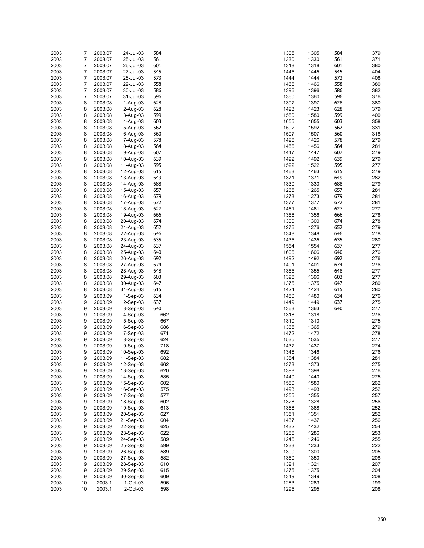| 2003 | 7              | 2003.07 | 24-Jul-03   | 584 | 1305 | 1305 | 584 | 379 |
|------|----------------|---------|-------------|-----|------|------|-----|-----|
| 2003 | 7              | 2003.07 | 25-Jul-03   | 561 | 1330 | 1330 | 561 | 371 |
| 2003 | $\overline{7}$ | 2003.07 | 26-Jul-03   | 601 | 1318 | 1318 | 601 | 380 |
| 2003 | 7              | 2003.07 | 27-Jul-03   | 545 | 1445 | 1445 | 545 | 404 |
| 2003 | 7              | 2003.07 | 28-Jul-03   | 573 | 1444 | 1444 | 573 | 408 |
| 2003 | 7              | 2003.07 | 29-Jul-03   | 558 | 1466 | 1466 | 558 | 380 |
| 2003 | 7              | 2003.07 |             | 586 | 1396 |      | 586 | 382 |
|      |                |         | 30-Jul-03   |     |      | 1396 |     |     |
| 2003 | 7              | 2003.07 | 31-Jul-03   | 596 | 1360 | 1360 | 596 | 376 |
| 2003 | 8              | 2003.08 | 1-Aug-03    | 628 | 1397 | 1397 | 628 | 380 |
| 2003 | 8              | 2003.08 | $2-Auq-03$  | 628 | 1423 | 1423 | 628 | 379 |
| 2003 | 8              | 2003.08 | 3-Aug-03    | 599 | 1580 | 1580 | 599 | 400 |
| 2003 | 8              | 2003.08 | 4-Aug-03    | 603 | 1655 | 1655 | 603 | 358 |
| 2003 | 8              | 2003.08 | 5-Aug-03    | 562 | 1592 | 1592 | 562 | 331 |
| 2003 | 8              | 2003.08 | 6-Aug-03    | 560 | 1507 | 1507 | 560 | 318 |
| 2003 | 8              | 2003.08 | 7-Aug-03    | 578 | 1426 | 1426 | 578 | 279 |
| 2003 | 8              | 2003.08 | 8-Aug-03    | 564 | 1456 | 1456 | 564 | 281 |
| 2003 | 8              | 2003.08 |             | 607 | 1447 | 1447 | 607 | 279 |
|      |                |         | 9-Aug-03    |     |      |      |     |     |
| 2003 | 8              | 2003.08 | 10-Aug-03   | 639 | 1492 | 1492 | 639 | 279 |
| 2003 | 8              | 2003.08 | 11-Aug-03   | 595 | 1522 | 1522 | 595 | 277 |
| 2003 | 8              | 2003.08 | 12-Aug-03   | 615 | 1463 | 1463 | 615 | 279 |
| 2003 | 8              | 2003.08 | 13-Aug-03   | 649 | 1371 | 1371 | 649 | 282 |
| 2003 | 8              | 2003.08 | 14-Aug-03   | 688 | 1330 | 1330 | 688 | 279 |
| 2003 | 8              | 2003.08 | 15-Aug-03   | 657 | 1265 | 1265 | 657 | 281 |
| 2003 | 8              | 2003.08 | 16-Aug-03   | 679 | 1273 | 1273 | 679 | 281 |
| 2003 | 8              | 2003.08 | 17-Aug-03   | 672 | 1377 | 1377 | 672 | 281 |
| 2003 | 8              | 2003.08 | 18-Aug-03   | 627 | 1461 | 1461 | 627 | 277 |
|      | 8              | 2003.08 |             |     |      |      | 666 |     |
| 2003 |                |         | 19-Aug-03   | 666 | 1356 | 1356 |     | 278 |
| 2003 | 8              | 2003.08 | 20-Aug-03   | 674 | 1300 | 1300 | 674 | 278 |
| 2003 | 8              | 2003.08 | 21-Aug-03   | 652 | 1276 | 1276 | 652 | 279 |
| 2003 | 8              | 2003.08 | 22-Aug-03   | 646 | 1348 | 1348 | 646 | 278 |
| 2003 | 8              | 2003.08 | 23-Aug-03   | 635 | 1435 | 1435 | 635 | 280 |
| 2003 | 8              | 2003.08 | 24-Aug-03   | 637 | 1554 | 1554 | 637 | 277 |
| 2003 | 8              | 2003.08 | 25-Aug-03   | 640 | 1606 | 1606 | 640 | 276 |
| 2003 | 8              | 2003.08 | 26-Aug-03   | 692 | 1492 | 1492 | 692 | 276 |
| 2003 | 8              | 2003.08 | 27-Aug-03   | 674 | 1401 | 1401 | 674 | 276 |
| 2003 | 8              | 2003.08 | 28-Aug-03   | 648 | 1355 | 1355 | 648 | 277 |
|      | 8              |         |             |     |      |      | 603 |     |
| 2003 |                | 2003.08 | 29-Aug-03   | 603 | 1396 | 1396 |     | 277 |
| 2003 | 8              | 2003.08 | 30-Aug-03   | 647 | 1375 | 1375 | 647 | 280 |
| 2003 | 8              | 2003.08 | 31-Aug-03   | 615 | 1424 | 1424 | 615 | 280 |
| 2003 | 9              | 2003.09 | $1-Sep-03$  | 634 | 1480 | 1480 | 634 | 276 |
| 2003 | 9              | 2003.09 | $2-Sep-03$  | 637 | 1449 | 1449 | 637 | 275 |
| 2003 | 9              | 2003.09 | $3-Sep-03$  | 640 | 1363 | 1363 | 640 | 277 |
| 2003 | 9              | 2003.09 | $4-Sep-03$  | 662 | 1318 | 1318 |     | 276 |
| 2003 | 9              | 2003.09 | 5-Sep-03    | 667 | 1310 | 1310 |     | 275 |
| 2003 | 9              | 2003.09 | $6-Sep-03$  | 686 | 1365 | 1365 |     | 279 |
| 2003 | 9              | 2003.09 | $7-Sep-03$  | 671 | 1472 | 1472 |     | 278 |
| 2003 | 9              | 2003.09 | 8-Sep-03    | 624 | 1535 | 1535 |     | 277 |
|      |                |         |             |     |      |      |     |     |
| 2003 | 9              | 2003.09 | $9-Sep-03$  | 718 | 1437 | 1437 |     | 274 |
| 2003 | 9              | 2003.09 | 10-Sep-03   | 692 | 1346 | 1346 |     | 276 |
| 2003 | 9              | 2003.09 | 11-Sep-03   | 682 | 1384 | 1384 |     | 281 |
| 2003 | 9              | 2003.09 | 12-Sep-03   | 662 | 1373 | 1373 |     | 275 |
| 2003 | 9              | 2003.09 | 13-Sep-03   | 620 | 1398 | 1398 |     | 276 |
| 2003 | 9              | 2003.09 | 14-Sep-03   | 585 | 1440 | 1440 |     | 275 |
| 2003 | 9              | 2003.09 | 15-Sep-03   | 602 | 1580 | 1580 |     | 262 |
| 2003 | 9              | 2003.09 | 16-Sep-03   | 575 | 1493 | 1493 |     | 252 |
| 2003 | 9              | 2003.09 | 17-Sep-03   | 577 | 1355 | 1355 |     | 257 |
| 2003 | 9              | 2003.09 | 18-Sep-03   | 602 | 1328 | 1328 |     | 256 |
| 2003 | 9              | 2003.09 | 19-Sep-03   | 613 | 1368 | 1368 |     | 252 |
|      |                |         |             |     |      |      |     |     |
| 2003 | 9              | 2003.09 | 20-Sep-03   | 627 | 1351 | 1351 |     | 252 |
| 2003 | 9              | 2003.09 | 21-Sep-03   | 604 | 1437 | 1437 |     | 256 |
| 2003 | 9              | 2003.09 | 22-Sep-03   | 625 | 1432 | 1432 |     | 254 |
| 2003 | 9              | 2003.09 | 23-Sep-03   | 622 | 1286 | 1286 |     | 253 |
| 2003 | 9              | 2003.09 | 24-Sep-03   | 589 | 1246 | 1246 |     | 255 |
| 2003 | 9              | 2003.09 | 25-Sep-03   | 599 | 1233 | 1233 |     | 222 |
| 2003 | 9              | 2003.09 | 26-Sep-03   | 589 | 1300 | 1300 |     | 205 |
| 2003 | 9              | 2003.09 | 27-Sep-03   | 582 | 1350 | 1350 |     | 208 |
| 2003 | 9              | 2003.09 | 28-Sep-03   | 610 | 1321 | 1321 |     | 207 |
|      |                |         |             |     |      |      |     |     |
| 2003 | 9              | 2003.09 | 29-Sep-03   | 615 | 1375 | 1375 |     | 204 |
| 2003 | 9              | 2003.09 | 30-Sep-03   | 609 | 1349 | 1349 |     | 208 |
| 2003 | 10             | 2003.1  | $1$ -Oct-03 | 596 | 1283 | 1283 |     | 199 |
| 2003 | 10             | 2003.1  | 2-Oct-03    | 598 | 1295 | 1295 |     | 208 |

| 305        | 1305         | 584 | 379        |
|------------|--------------|-----|------------|
| 330        | 1330         | 561 | 371        |
|            |              |     |            |
| 318        | 1318         | 601 | 380        |
| 445        | 1445         | 545 | 404        |
| 444        | 1444         | 573 | 408        |
|            |              |     |            |
| 466        | 1466         | 558 | 380        |
| 396        | 1396         | 586 | 382        |
|            |              |     |            |
| 360        | 1360         | 596 | 376        |
| 397        | 1397         | 628 | 380        |
| 423        | 1423         | 628 | 379        |
|            |              |     |            |
| 580        | 1580         | 599 | 400        |
| 655        | 1655         | 603 | 358        |
|            | 1592         | 562 |            |
| 592        |              |     | 331        |
| 507        | 1507         | 560 | 318        |
| 426        | 1426         | 578 | 279        |
|            |              |     |            |
| 456        | 1456         | 564 | 281        |
| 447        | 1447         | 607 | 279        |
| 492        | 1492         | 639 | 279        |
|            |              |     |            |
| 522        | 1522         | 595 | 277        |
| 463        | 1463         | 615 | 279        |
| 371        | 1371         | 649 | 282        |
|            |              |     |            |
| 330        | 1330         | 688 | 279        |
| 265        | 1265         | 657 | 281        |
| 273        | 1273         | 679 | 281        |
|            |              |     |            |
| 377        | 1377         | 672 | 281        |
| 461        | 1461         | 627 | 277        |
| 356        | 1356         | 666 | 278        |
|            |              |     |            |
| 300        | 1300         | 674 | 278        |
| 276        | 1276         | 652 | 279        |
|            |              | 646 |            |
| 348        | 1348         |     | 278        |
| 435        | 1435         | 635 | 280        |
| 554        | 1554         | 637 | 277        |
|            |              |     |            |
| 606        | 1606         | 640 | 276        |
| 492        | 1492         | 692 | 276        |
| 401        | 1401         | 674 | 276        |
|            |              |     |            |
| 355        | 1355         | 648 | 277        |
| 396        | 1396         | 603 | 277        |
| 375        | 1375         | 647 | 280        |
|            |              |     |            |
| 424        | 1424         | 615 | 280        |
| 480        | 1480         | 634 | 276        |
| 449        | 1449         | 637 | 275        |
|            |              |     |            |
| 363        | 1363         | 640 | 277        |
| 318        | 1318         |     | 276        |
| 310        | 1310         |     | 275        |
|            |              |     |            |
| 365        | 1365         |     | 279        |
| 472        | 1472         |     | 278        |
| 535        | 1535         |     | 277        |
|            |              |     |            |
| 437        | 1437         |     | 274        |
| 346        | 1346         |     | 276        |
| 384        | 1384         |     | 281        |
|            |              |     |            |
| 373        | 1373         |     | 275        |
| 398        | 1398         |     | 276        |
| 440        | 1440         |     | 275        |
|            |              |     |            |
| 580        | 1580         |     | 262        |
| 493        | 1493         |     | 252        |
| 355        | 1355         |     | 257        |
|            |              |     |            |
| 328        | 1328         |     | 256        |
| 368        | 1368         |     | 252        |
|            |              |     |            |
| 351        | 1351         |     | 252        |
| 437        | 1437         |     | 256        |
| 432        | 1432         |     | 254        |
|            |              |     |            |
| 286        | 1286         |     | 253        |
| 246        | 1246         |     | 255        |
| 233        | 1233         |     | 222        |
|            |              |     |            |
| 300        | 1300         |     | 205        |
| 350        | 1350         |     | 208        |
| 321        |              |     | 207        |
| 375        |              |     |            |
|            | 1321         |     |            |
|            | 1375         |     | 204        |
| 349        | 1349         |     | 208        |
|            |              |     |            |
| 283<br>295 | 1283<br>1295 |     | 199<br>208 |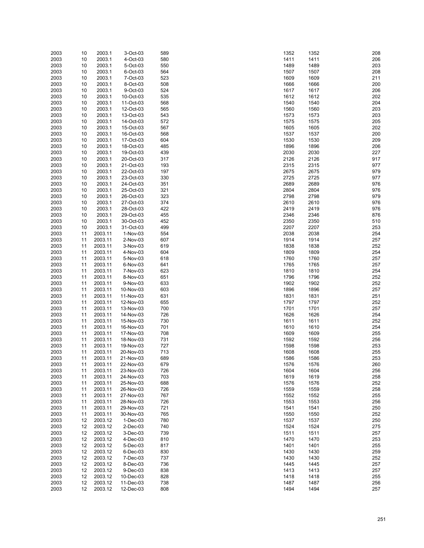| 2003 | 10 | 2003.1  | 3-Oct-03    | 589 | 1352 | 1352 | 208 |
|------|----|---------|-------------|-----|------|------|-----|
| 2003 | 10 | 2003.1  | 4-Oct-03    | 580 | 1411 | 1411 | 206 |
| 2003 | 10 | 2003.1  | 5-Oct-03    | 550 | 1489 | 1489 | 203 |
|      |    |         |             |     |      |      |     |
| 2003 | 10 | 2003.1  | 6-Oct-03    | 564 | 1507 | 1507 | 208 |
| 2003 | 10 | 2003.1  | 7-Oct-03    | 523 | 1609 | 1609 | 211 |
|      |    |         |             |     |      |      |     |
| 2003 | 10 | 2003.1  | 8-Oct-03    | 508 | 1666 | 1666 | 200 |
| 2003 | 10 | 2003.1  | 9-Oct-03    | 524 | 1617 | 1617 | 206 |
| 2003 | 10 | 2003.1  | 10-Oct-03   | 535 | 1612 | 1612 | 202 |
|      |    |         |             |     |      |      |     |
| 2003 | 10 | 2003.1  | 11-Oct-03   | 568 | 1540 | 1540 | 204 |
| 2003 | 10 | 2003.1  | 12-Oct-03   | 565 | 1560 | 1560 | 203 |
| 2003 | 10 | 2003.1  | 13-Oct-03   | 543 | 1573 | 1573 | 203 |
|      |    |         |             |     |      |      |     |
| 2003 | 10 | 2003.1  | 14-Oct-03   | 572 | 1575 | 1575 | 205 |
| 2003 | 10 | 2003.1  | 15-Oct-03   | 567 | 1605 | 1605 | 202 |
| 2003 | 10 | 2003.1  | 16-Oct-03   | 568 | 1537 | 1537 | 200 |
|      |    |         |             |     |      |      |     |
| 2003 | 10 | 2003.1  | 17-Oct-03   | 604 | 1530 | 1530 | 209 |
| 2003 | 10 | 2003.1  | 18-Oct-03   | 485 | 1896 | 1896 | 206 |
| 2003 | 10 | 2003.1  | 19-Oct-03   | 439 | 2030 | 2030 | 227 |
|      |    |         |             |     |      |      |     |
| 2003 | 10 | 2003.1  | 20-Oct-03   | 317 | 2126 | 2126 | 917 |
| 2003 | 10 | 2003.1  | 21-Oct-03   | 193 | 2315 | 2315 | 977 |
| 2003 | 10 | 2003.1  | 22-Oct-03   | 197 | 2675 | 2675 | 979 |
|      |    |         |             |     |      |      |     |
| 2003 | 10 | 2003.1  | 23-Oct-03   | 330 | 2725 | 2725 | 977 |
| 2003 | 10 | 2003.1  | 24-Oct-03   | 351 | 2689 | 2689 | 976 |
| 2003 | 10 | 2003.1  | 25-Oct-03   | 321 | 2804 | 2804 | 976 |
|      |    |         |             |     |      |      |     |
| 2003 | 10 | 2003.1  | 26-Oct-03   | 323 | 2798 | 2798 | 979 |
| 2003 | 10 | 2003.1  | 27-Oct-03   | 374 | 2610 | 2610 | 976 |
| 2003 |    | 2003.1  |             | 422 | 2419 | 2419 | 976 |
|      | 10 |         | 28-Oct-03   |     |      |      |     |
| 2003 | 10 | 2003.1  | 29-Oct-03   | 455 | 2346 | 2346 | 876 |
| 2003 | 10 | 2003.1  | 30-Oct-03   | 452 | 2350 | 2350 | 510 |
| 2003 |    | 2003.1  | 31-Oct-03   |     | 2207 | 2207 |     |
|      | 10 |         |             | 499 |      |      | 253 |
| 2003 | 11 | 2003.11 | 1-Nov-03    | 554 | 2038 | 2038 | 254 |
| 2003 | 11 | 2003.11 | 2-Nov-03    | 607 | 1914 | 1914 | 257 |
|      |    |         |             |     |      |      |     |
| 2003 | 11 | 2003.11 | 3-Nov-03    | 619 | 1838 | 1838 | 252 |
| 2003 | 11 | 2003.11 | 4-Nov-03    | 604 | 1809 | 1809 | 254 |
| 2003 | 11 | 2003.11 | 5-Nov-03    | 618 | 1760 | 1760 | 257 |
|      |    |         |             |     |      |      |     |
| 2003 | 11 | 2003.11 | 6-Nov-03    | 641 | 1765 | 1765 | 257 |
| 2003 | 11 | 2003.11 | 7-Nov-03    | 623 | 1810 | 1810 | 254 |
| 2003 | 11 | 2003.11 | 8-Nov-03    | 651 | 1796 | 1796 | 252 |
|      |    |         |             |     |      |      |     |
| 2003 | 11 | 2003.11 | 9-Nov-03    | 633 | 1902 | 1902 | 252 |
| 2003 | 11 | 2003.11 | 10-Nov-03   | 603 | 1896 | 1896 | 257 |
| 2003 | 11 | 2003.11 | 11-Nov-03   | 631 | 1831 | 1831 | 251 |
|      |    |         |             |     |      |      |     |
| 2003 | 11 | 2003.11 | 12-Nov-03   | 655 | 1797 | 1797 | 252 |
| 2003 | 11 | 2003.11 | 13-Nov-03   | 700 | 1701 | 1701 | 257 |
| 2003 | 11 | 2003.11 | 14-Nov-03   | 726 | 1626 | 1626 | 254 |
|      |    |         |             |     |      |      |     |
| 2003 | 11 | 2003.11 | 15-Nov-03   | 730 | 1611 | 1611 | 252 |
| 2003 | 11 | 2003.11 | 16-Nov-03   | 701 | 1610 | 1610 | 254 |
| 2003 | 11 | 2003.11 | 17-Nov-03   | 708 | 1609 | 1609 | 255 |
|      |    |         |             |     |      |      |     |
| 2003 | 11 | 2003.11 | 18-Nov-03   | 731 | 1592 | 1592 | 256 |
| 2003 | 11 | 2003.11 | 19-Nov-03   | 727 | 1598 | 1598 | 253 |
| 2003 | 11 | 2003.11 | 20-Nov-03   | 713 | 1608 | 1608 | 255 |
|      |    |         |             |     |      |      |     |
| 2003 | 11 | 2003.11 | 21-Nov-03   | 689 | 1586 | 1586 | 253 |
| 2003 | 11 | 2003.11 | 22-Nov-03   | 679 | 1576 | 1576 | 260 |
| 2003 | 11 | 2003.11 | 23-Nov-03   | 726 | 1604 | 1604 | 256 |
| 2003 | 11 | 2003.11 | 24-Nov-03   | 703 | 1619 | 1619 | 258 |
|      |    |         |             |     |      |      |     |
| 2003 | 11 | 2003.11 | 25-Nov-03   | 688 | 1576 | 1576 | 252 |
| 2003 | 11 | 2003.11 | 26-Nov-03   | 726 | 1559 | 1559 | 258 |
|      |    | 2003.11 |             |     |      |      |     |
| 2003 | 11 |         | 27-Nov-03   | 767 | 1552 | 1552 | 255 |
| 2003 | 11 | 2003.11 | 28-Nov-03   | 726 | 1553 | 1553 | 256 |
| 2003 | 11 | 2003.11 | 29-Nov-03   | 721 | 1541 | 1541 | 250 |
| 2003 | 11 | 2003.11 | 30-Nov-03   | 765 | 1550 | 1550 | 252 |
|      |    |         |             |     |      |      |     |
| 2003 | 12 | 2003.12 | $1-Dec-03$  | 780 | 1537 | 1537 | 250 |
| 2003 | 12 | 2003.12 | $2$ -Dec-03 | 740 | 1524 | 1524 | 275 |
| 2003 | 12 | 2003.12 | 3-Dec-03    | 739 | 1511 | 1511 | 257 |
|      |    |         |             |     |      |      |     |
| 2003 | 12 | 2003.12 | 4-Dec-03    | 810 | 1470 | 1470 | 253 |
| 2003 | 12 | 2003.12 | 5-Dec-03    | 817 | 1401 | 1401 | 255 |
| 2003 | 12 | 2003.12 |             | 830 | 1430 | 1430 | 259 |
|      |    |         | 6-Dec-03    |     |      |      |     |
| 2003 | 12 | 2003.12 | 7-Dec-03    | 737 | 1430 | 1430 | 252 |
| 2003 | 12 | 2003.12 | 8-Dec-03    | 736 | 1445 | 1445 | 257 |
|      |    | 2003.12 |             |     |      |      |     |
| 2003 | 12 |         | 9-Dec-03    | 838 | 1413 | 1413 | 257 |
| 2003 | 12 | 2003.12 | 10-Dec-03   | 828 | 1418 | 1418 | 255 |
| 2003 | 12 | 2003.12 | 11-Dec-03   | 738 | 1487 | 1487 | 256 |
|      | 12 |         |             |     | 1494 | 1494 |     |
| 2003 |    | 2003.12 | 12-Dec-03   | 808 |      |      | 257 |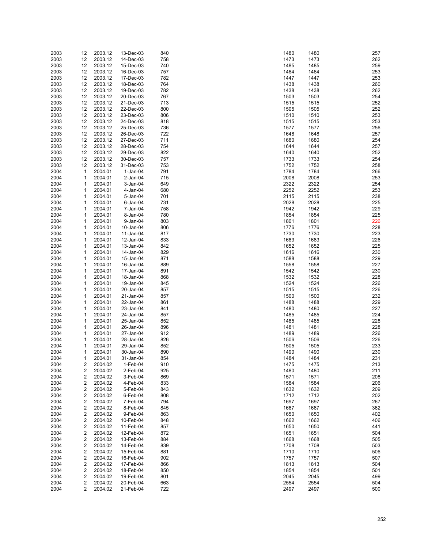| 2003 | 12 | 2003.12 | 13-Dec-03   | 840 | 1480 | 1480 | 257 |
|------|----|---------|-------------|-----|------|------|-----|
| 2003 | 12 | 2003.12 | 14-Dec-03   | 758 | 1473 | 1473 | 262 |
|      |    |         |             |     |      |      |     |
| 2003 | 12 | 2003.12 | 15-Dec-03   | 740 | 1485 | 1485 | 259 |
| 2003 | 12 | 2003.12 | 16-Dec-03   | 757 | 1464 | 1464 | 253 |
| 2003 | 12 | 2003.12 | 17-Dec-03   | 782 | 1447 | 1447 | 253 |
| 2003 | 12 | 2003.12 | 18-Dec-03   | 764 | 1438 | 1438 | 260 |
| 2003 |    | 2003.12 | 19-Dec-03   | 782 | 1438 |      | 262 |
|      | 12 |         |             |     |      | 1438 |     |
| 2003 | 12 | 2003.12 | 20-Dec-03   | 767 | 1503 | 1503 | 254 |
| 2003 | 12 | 2003.12 | 21-Dec-03   | 713 | 1515 | 1515 | 252 |
| 2003 | 12 | 2003.12 | 22-Dec-03   | 800 | 1505 | 1505 | 252 |
| 2003 | 12 | 2003.12 | 23-Dec-03   | 806 | 1510 | 1510 | 253 |
|      |    |         |             |     |      |      |     |
| 2003 | 12 | 2003.12 | 24-Dec-03   | 818 | 1515 | 1515 | 253 |
| 2003 | 12 | 2003.12 | 25-Dec-03   | 736 | 1577 | 1577 | 256 |
| 2003 | 12 | 2003.12 | 26-Dec-03   | 722 | 1648 | 1648 | 257 |
| 2003 | 12 | 2003.12 | 27-Dec-03   | 711 | 1680 | 1680 | 254 |
| 2003 | 12 | 2003.12 | 28-Dec-03   | 754 | 1644 | 1644 | 257 |
|      |    |         |             |     |      |      |     |
| 2003 | 12 | 2003.12 | 29-Dec-03   | 822 | 1640 | 1640 | 252 |
| 2003 | 12 | 2003.12 | 30-Dec-03   | 757 | 1733 | 1733 | 254 |
| 2003 | 12 | 2003.12 | 31-Dec-03   | 753 | 1752 | 1752 | 258 |
| 2004 | 1  | 2004.01 | $1-Jan-04$  | 791 | 1784 | 1784 | 266 |
|      |    |         |             |     | 2008 |      | 253 |
| 2004 | 1  | 2004.01 | $2$ -Jan-04 | 715 |      | 2008 |     |
| 2004 | 1  | 2004.01 | 3-Jan-04    | 649 | 2322 | 2322 | 254 |
| 2004 | 1  | 2004.01 | $4$ -Jan-04 | 680 | 2252 | 2252 | 253 |
| 2004 | 1  | 2004.01 | 5-Jan-04    | 701 | 2115 | 2115 | 238 |
| 2004 | 1  | 2004.01 | $6$ -Jan-04 | 731 | 2028 | 2028 | 225 |
|      |    |         |             |     |      |      |     |
| 2004 | 1  | 2004.01 | 7-Jan-04    | 758 | 1942 | 1942 | 229 |
| 2004 | 1  | 2004.01 | 8-Jan-04    | 780 | 1854 | 1854 | 225 |
| 2004 | 1  | 2004.01 | 9-Jan-04    | 803 | 1801 | 1801 | 226 |
| 2004 | 1  | 2004.01 | 10-Jan-04   | 806 | 1776 | 1776 | 228 |
| 2004 | 1  | 2004.01 | 11-Jan-04   | 817 | 1730 | 1730 | 223 |
|      |    |         |             |     |      |      |     |
| 2004 | 1  | 2004.01 | 12-Jan-04   | 833 | 1683 | 1683 | 226 |
| 2004 | 1  | 2004.01 | 13-Jan-04   | 842 | 1652 | 1652 | 225 |
| 2004 | 1  | 2004.01 | 14-Jan-04   | 829 | 1616 | 1616 | 230 |
| 2004 | 1  | 2004.01 | 15-Jan-04   | 871 | 1588 | 1588 | 229 |
| 2004 | 1  | 2004.01 | 16-Jan-04   | 889 | 1558 | 1558 | 227 |
|      |    |         |             |     |      |      |     |
| 2004 | 1  | 2004.01 | 17-Jan-04   | 891 | 1542 | 1542 | 230 |
| 2004 | 1  | 2004.01 | 18-Jan-04   | 868 | 1532 | 1532 | 228 |
| 2004 | 1  | 2004.01 | 19-Jan-04   | 845 | 1524 | 1524 | 226 |
| 2004 | 1  | 2004.01 | 20-Jan-04   | 857 | 1515 | 1515 | 226 |
| 2004 | 1  | 2004.01 | 21-Jan-04   | 857 | 1500 | 1500 | 232 |
|      |    |         |             |     |      |      |     |
| 2004 | 1  | 2004.01 | 22-Jan-04   | 861 | 1488 | 1488 | 229 |
| 2004 | 1  | 2004.01 | 23-Jan-04   | 841 | 1480 | 1480 | 227 |
| 2004 | 1  | 2004.01 | 24-Jan-04   | 857 | 1485 | 1485 | 224 |
| 2004 | 1  | 2004.01 | 25-Jan-04   | 852 | 1485 | 1485 | 228 |
| 2004 | 1  | 2004.01 | 26-Jan-04   | 896 | 1481 | 1481 | 228 |
|      |    |         |             |     |      |      |     |
| 2004 | 1  | 2004.01 | 27-Jan-04   | 912 | 1489 | 1489 | 226 |
| 2004 | 1  | 2004.01 | 28-Jan-04   | 826 | 1506 | 1506 | 226 |
| 2004 | 1  | 2004.01 | 29-Jan-04   | 852 | 1505 | 1505 | 233 |
| 2004 | 1  | 2004.01 | 30-Jan-04   | 890 | 1490 | 1490 | 230 |
| 2004 | 1  | 2004.01 | 31-Jan-04   | 854 | 1484 | 1484 | 231 |
|      |    |         |             |     |      |      |     |
| 2004 | 2  | 2004.02 | 1-Feb-04    | 910 | 1475 | 1475 | 213 |
| 2004 | 2  | 2004.02 | 2-Feb-04    | 925 | 1480 | 1480 | 211 |
| 2004 | 2  | 2004.02 | 3-Feb-04    | 869 | 1571 | 1571 | 208 |
| 2004 | 2  | 2004.02 | 4-Feb-04    | 833 | 1584 | 1584 | 206 |
| 2004 | 2  | 2004.02 | 5-Feb-04    | 843 | 1632 | 1632 | 209 |
|      |    |         |             |     |      |      |     |
| 2004 | 2  | 2004.02 | 6-Feb-04    | 808 | 1712 | 1712 | 202 |
| 2004 | 2  | 2004.02 | 7-Feb-04    | 794 | 1697 | 1697 | 267 |
| 2004 | 2  | 2004.02 | 8-Feb-04    | 845 | 1667 | 1667 | 362 |
| 2004 | 2  | 2004.02 | 9-Feb-04    | 863 | 1650 | 1650 | 402 |
| 2004 | 2  | 2004.02 | 10-Feb-04   | 848 | 1662 | 1662 | 406 |
|      |    |         |             |     | 1650 |      |     |
| 2004 | 2  | 2004.02 | 11-Feb-04   | 857 |      | 1650 | 441 |
| 2004 | 2  | 2004.02 | 12-Feb-04   | 872 | 1651 | 1651 | 504 |
| 2004 | 2  | 2004.02 | 13-Feb-04   | 884 | 1668 | 1668 | 505 |
| 2004 | 2  | 2004.02 | 14-Feb-04   | 839 | 1708 | 1708 | 503 |
| 2004 | 2  | 2004.02 | 15-Feb-04   | 881 | 1710 | 1710 | 506 |
|      |    |         |             |     |      |      | 507 |
| 2004 | 2  | 2004.02 | 16-Feb-04   | 902 | 1757 | 1757 |     |
| 2004 | 2  | 2004.02 | 17-Feb-04   | 866 | 1813 | 1813 | 504 |
| 2004 | 2  | 2004.02 | 18-Feb-04   | 850 | 1854 | 1854 | 501 |
| 2004 | 2  | 2004.02 | 19-Feb-04   | 801 | 2045 | 2045 | 499 |
| 2004 | 2  | 2004.02 | 20-Feb-04   | 663 | 2554 | 2554 | 504 |
| 2004 | 2  | 2004.02 | 21-Feb-04   | 722 | 2497 | 2497 | 500 |
|      |    |         |             |     |      |      |     |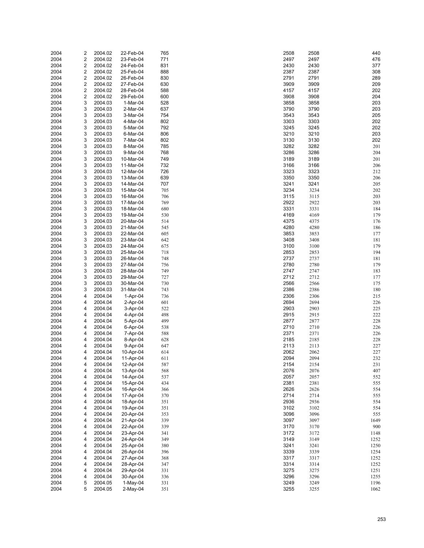| 2004 | 2                       | 2004.02 | 22-Feb-04  | 765 | 2508 | 2508 | 440  |
|------|-------------------------|---------|------------|-----|------|------|------|
| 2004 | 2                       | 2004.02 | 23-Feb-04  | 771 | 2497 | 2497 | 476  |
| 2004 | $\overline{\mathbf{c}}$ | 2004.02 | 24-Feb-04  | 831 | 2430 | 2430 | 377  |
| 2004 | $\overline{\mathbf{c}}$ | 2004.02 | 25-Feb-04  | 888 | 2387 | 2387 | 308  |
|      |                         |         |            |     |      |      |      |
| 2004 | 2                       | 2004.02 | 26-Feb-04  | 830 | 2791 | 2791 | 289  |
| 2004 | $\overline{\mathbf{c}}$ | 2004.02 | 27-Feb-04  | 630 | 3909 | 3909 | 209  |
| 2004 | 2                       | 2004.02 | 28-Feb-04  | 588 | 4157 | 4157 | 202  |
| 2004 | $\overline{\mathbf{c}}$ | 2004.02 | 29-Feb-04  | 600 | 3908 | 3908 | 204  |
| 2004 | 3                       | 2004.03 | 1-Mar-04   | 528 | 3858 | 3858 | 203  |
| 2004 | 3                       | 2004.03 | $2-Mar-04$ | 637 | 3790 | 3790 | 203  |
| 2004 | 3                       | 2004.03 | 3-Mar-04   | 754 | 3543 | 3543 | 205  |
| 2004 | 3                       | 2004.03 | 4-Mar-04   | 802 | 3303 | 3303 | 202  |
| 2004 | 3                       | 2004.03 | 5-Mar-04   | 792 | 3245 | 3245 | 202  |
| 2004 | 3                       | 2004.03 | 6-Mar-04   | 806 | 3210 | 3210 | 203  |
| 2004 | 3                       | 2004.03 | 7-Mar-04   | 802 | 3130 | 3130 | 202  |
|      |                         |         |            |     |      |      |      |
| 2004 | 3                       | 2004.03 | 8-Mar-04   | 785 | 3282 | 3282 | 201  |
| 2004 | 3                       | 2004.03 | 9-Mar-04   | 768 | 3286 | 3286 | 204  |
| 2004 | 3                       | 2004.03 | 10-Mar-04  | 749 | 3189 | 3189 | 201  |
| 2004 | 3                       | 2004.03 | 11-Mar-04  | 732 | 3166 | 3166 | 206  |
| 2004 | 3                       | 2004.03 | 12-Mar-04  | 726 | 3323 | 3323 | 212  |
| 2004 | 3                       | 2004.03 | 13-Mar-04  | 639 | 3350 | 3350 | 206  |
| 2004 | 3                       | 2004.03 | 14-Mar-04  | 707 | 3241 | 3241 | 205  |
| 2004 | 3                       | 2004.03 | 15-Mar-04  | 705 | 3234 | 3234 | 202  |
| 2004 | 3                       | 2004.03 | 16-Mar-04  | 706 | 3115 | 3115 | 203  |
| 2004 | 3                       | 2004.03 | 17-Mar-04  | 769 | 2922 | 2922 | 203  |
| 2004 | 3                       | 2004.03 | 18-Mar-04  | 680 | 3331 | 3331 | 184  |
|      |                         |         |            |     |      |      |      |
| 2004 | 3                       | 2004.03 | 19-Mar-04  | 530 | 4169 | 4169 | 179  |
| 2004 | 3                       | 2004.03 | 20-Mar-04  | 514 | 4375 | 4375 | 176  |
| 2004 | 3                       | 2004.03 | 21-Mar-04  | 545 | 4280 | 4280 | 186  |
| 2004 | 3                       | 2004.03 | 22-Mar-04  | 605 | 3853 | 3853 | 177  |
| 2004 | 3                       | 2004.03 | 23-Mar-04  | 642 | 3408 | 3408 | 181  |
| 2004 | 3                       | 2004.03 | 24-Mar-04  | 675 | 3100 | 3100 | 179  |
| 2004 | 3                       | 2004.03 | 25-Mar-04  | 718 | 2853 | 2853 | 194  |
| 2004 | 3                       | 2004.03 | 26-Mar-04  | 748 | 2737 | 2737 | 181  |
| 2004 | 3                       | 2004.03 | 27-Mar-04  | 756 | 2780 | 2780 | 179  |
| 2004 | 3                       | 2004.03 | 28-Mar-04  | 749 | 2747 | 2747 | 183  |
| 2004 | 3                       | 2004.03 | 29-Mar-04  | 727 | 2712 | 2712 | 177  |
|      |                         |         |            |     |      |      |      |
| 2004 | 3                       | 2004.03 | 30-Mar-04  | 730 | 2566 | 2566 | 175  |
| 2004 | 3                       | 2004.03 | 31-Mar-04  | 743 | 2386 | 2386 | 180  |
| 2004 | 4                       | 2004.04 | 1-Apr-04   | 736 | 2306 | 2306 | 215  |
| 2004 | 4                       | 2004.04 | 2-Apr-04   | 601 | 2694 | 2694 | 226  |
| 2004 | 4                       | 2004.04 | 3-Apr-04   | 522 | 2903 | 2903 | 225  |
| 2004 | 4                       | 2004.04 | 4-Apr-04   | 498 | 2915 | 2915 | 222  |
| 2004 | 4                       | 2004.04 | 5-Apr-04   | 499 | 2877 | 2877 | 228  |
| 2004 | 4                       | 2004.04 | 6-Apr-04   | 538 | 2710 | 2710 | 226  |
| 2004 | 4                       | 2004.04 | 7-Apr-04   | 588 | 2371 | 2371 | 226  |
| 2004 | 4                       | 2004.04 | 8-Apr-04   | 628 | 2185 | 2185 | 228  |
| 2004 | 4                       | 2004.04 | 9-Apr-04   | 647 | 2113 | 2113 | 227  |
|      |                         | 2004.04 |            |     |      |      |      |
| 2004 | 4                       |         | 10-Apr-04  | 614 | 2062 | 2062 | 227  |
| 2004 | 4                       | 2004.04 | 11-Apr-04  | 611 | 2094 | 2094 | 232  |
| 2004 | 4                       | 2004.04 | 12-Apr-04  | 587 | 2154 | 2154 | 231  |
| 2004 | 4                       | 2004.04 | 13-Apr-04  | 568 | 2076 | 2076 | 407  |
| 2004 | 4                       | 2004.04 | 14-Apr-04  | 537 | 2057 | 2057 | 552  |
| 2004 | 4                       | 2004.04 | 15-Apr-04  | 434 | 2381 | 2381 | 555  |
| 2004 | 4                       | 2004.04 | 16-Apr-04  | 366 | 2626 | 2626 | 554  |
| 2004 | 4                       | 2004.04 | 17-Apr-04  | 370 | 2714 | 2714 | 555  |
| 2004 | 4                       | 2004.04 | 18-Apr-04  | 351 | 2936 | 2936 | 554  |
| 2004 | 4                       | 2004.04 | 19-Apr-04  | 351 | 3102 | 3102 | 554  |
| 2004 | 4                       | 2004.04 | 20-Apr-04  | 353 | 3096 | 3096 | 555  |
| 2004 | 4                       | 2004.04 |            | 339 | 3097 | 3097 | 1649 |
|      |                         |         | 21-Apr-04  |     |      |      |      |
| 2004 | 4                       | 2004.04 | 22-Apr-04  | 339 | 3170 | 3170 | 900  |
| 2004 | 4                       | 2004.04 | 23-Apr-04  | 341 | 3172 | 3172 | 1148 |
| 2004 | 4                       | 2004.04 | 24-Apr-04  | 349 | 3149 | 3149 | 1252 |
| 2004 | 4                       | 2004.04 | 25-Apr-04  | 380 | 3241 | 3241 | 1250 |
| 2004 | 4                       | 2004.04 | 26-Apr-04  | 396 | 3339 | 3339 | 1254 |
| 2004 | 4                       | 2004.04 | 27-Apr-04  | 368 | 3317 | 3317 | 1252 |
| 2004 | 4                       | 2004.04 | 28-Apr-04  | 347 | 3314 | 3314 | 1252 |
| 2004 | 4                       | 2004.04 | 29-Apr-04  | 331 | 3275 | 3275 | 1251 |
| 2004 | 4                       | 2004.04 | 30-Apr-04  | 336 | 3296 | 3296 | 1255 |
| 2004 | 5                       | 2004.05 | 1-May-04   | 331 | 3249 | 3249 | 1196 |
| 2004 | 5                       | 2004.05 | 2-May-04   | 351 | 3255 | 3255 | 1062 |
|      |                         |         |            |     |      |      |      |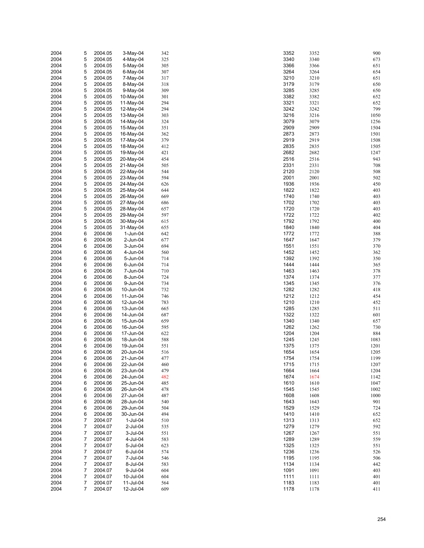| 2004 | 5              | 2004.05 | $3-May-04$  | 342 | 3352 | 3352 | 900  |
|------|----------------|---------|-------------|-----|------|------|------|
| 2004 | 5              | 2004.05 | 4-May-04    | 325 | 3340 | 3340 | 673  |
| 2004 | 5              | 2004.05 | 5-May-04    | 305 | 3366 | 3366 | 651  |
| 2004 | 5              | 2004.05 | $6$ -May-04 | 307 | 3264 | 3264 | 654  |
|      |                |         |             |     |      |      |      |
| 2004 | 5              | 2004.05 | 7-May-04    | 317 | 3210 | 3210 | 651  |
| 2004 | 5              | 2004.05 | 8-May-04    | 318 | 3179 | 3179 | 650  |
| 2004 | 5              | 2004.05 | 9-May-04    | 309 | 3285 | 3285 | 650  |
| 2004 | 5              | 2004.05 | 10-May-04   | 301 | 3382 | 3382 | 652  |
| 2004 | 5              | 2004.05 | 11-May-04   | 294 | 3321 | 3321 | 652  |
| 2004 | 5              | 2004.05 | 12-May-04   | 294 | 3242 | 3242 | 799  |
| 2004 | 5              | 2004.05 | 13-May-04   | 303 | 3216 | 3216 | 1050 |
| 2004 | 5              | 2004.05 | 14-May-04   | 324 | 3079 | 3079 | 1256 |
| 2004 | 5              | 2004.05 | 15-May-04   | 351 | 2909 | 2909 | 1504 |
| 2004 | 5              | 2004.05 | 16-May-04   | 362 | 2873 | 2873 | 1501 |
| 2004 | 5              | 2004.05 |             | 379 | 2919 | 2919 | 1508 |
|      |                |         | 17-May-04   |     |      |      |      |
| 2004 | 5              | 2004.05 | 18-May-04   | 412 | 2835 | 2835 | 1505 |
| 2004 | 5              | 2004.05 | 19-May-04   | 421 | 2682 | 2682 | 1247 |
| 2004 | 5              | 2004.05 | 20-May-04   | 454 | 2516 | 2516 | 943  |
| 2004 | 5              | 2004.05 | 21-May-04   | 505 | 2331 | 2331 | 708  |
| 2004 | 5              | 2004.05 | 22-May-04   | 544 | 2120 | 2120 | 508  |
| 2004 | 5              | 2004.05 | 23-May-04   | 594 | 2001 | 2001 | 502  |
| 2004 | 5              | 2004.05 | 24-May-04   | 626 | 1936 | 1936 | 450  |
| 2004 | 5              | 2004.05 | 25-May-04   | 644 | 1822 | 1822 | 403  |
| 2004 | 5              | 2004.05 | 26-May-04   | 669 | 1740 | 1740 | 403  |
| 2004 | 5              | 2004.05 | 27-May-04   | 686 | 1702 | 1702 | 403  |
| 2004 | 5              | 2004.05 | 28-May-04   | 657 | 1720 | 1720 | 403  |
|      |                |         |             |     | 1722 |      |      |
| 2004 | 5              | 2004.05 | 29-May-04   | 597 |      | 1722 | 402  |
| 2004 | 5              | 2004.05 | 30-May-04   | 615 | 1792 | 1792 | 400  |
| 2004 | 5              | 2004.05 | 31-May-04   | 655 | 1840 | 1840 | 404  |
| 2004 | 6              | 2004.06 | 1-Jun-04    | 642 | 1772 | 1772 | 388  |
| 2004 | 6              | 2004.06 | 2-Jun-04    | 677 | 1647 | 1647 | 379  |
| 2004 | 6              | 2004.06 | 3-Jun-04    | 694 | 1551 | 1551 | 370  |
| 2004 | 6              | 2004.06 | 4-Jun-04    | 560 | 1452 | 1452 | 362  |
| 2004 | 6              | 2004.06 | 5-Jun-04    | 714 | 1392 | 1392 | 350  |
| 2004 | 6              | 2004.06 | 6-Jun-04    | 714 | 1444 | 1444 | 365  |
| 2004 | 6              | 2004.06 | 7-Jun-04    | 710 | 1463 | 1463 | 378  |
| 2004 | 6              | 2004.06 | 8-Jun-04    | 724 | 1374 | 1374 | 377  |
|      |                |         |             |     |      |      |      |
| 2004 | 6              | 2004.06 | 9-Jun-04    | 734 | 1345 | 1345 | 376  |
| 2004 | 6              | 2004.06 | 10-Jun-04   | 732 | 1282 | 1282 | 418  |
| 2004 | 6              | 2004.06 | 11-Jun-04   | 746 | 1212 | 1212 | 454  |
| 2004 | 6              | 2004.06 | 12-Jun-04   | 783 | 1210 | 1210 | 452  |
| 2004 | 6              | 2004.06 | 13-Jun-04   | 665 | 1285 | 1285 | 511  |
| 2004 | 6              | 2004.06 | 14-Jun-04   | 687 | 1322 | 1322 | 601  |
| 2004 | 6              | 2004.06 | 15-Jun-04   | 659 | 1340 | 1340 | 657  |
| 2004 | 6              | 2004.06 | 16-Jun-04   | 595 | 1262 | 1262 | 730  |
| 2004 | 6              | 2004.06 | 17-Jun-04   | 622 | 1204 | 1204 | 884  |
| 2004 | 6              | 2004.06 | 18-Jun-04   | 588 | 1245 | 1245 | 1083 |
| 2004 | 6              | 2004.06 | 19-Jun-04   | 551 | 1375 | 1375 | 1201 |
| 2004 | 6              | 2004.06 | 20-Jun-04   | 516 | 1654 | 1654 | 1205 |
|      | 6              |         |             |     |      |      | 1199 |
| 2004 |                | 2004.06 | 21-Jun-04   | 477 | 1754 | 1754 |      |
| 2004 | 6              | 2004.06 | 22-Jun-04   | 460 | 1715 | 1715 | 1207 |
| 2004 | 6              | 2004.06 | 23-Jun-04   | 479 | 1664 | 1664 | 1204 |
| 2004 | 6              | 2004.06 | 24-Jun-04   | 482 | 1674 | 1674 | 1142 |
| 2004 | 6              | 2004.06 | 25-Jun-04   | 485 | 1610 | 1610 | 1047 |
| 2004 | 6              | 2004.06 | 26-Jun-04   | 478 | 1545 | 1545 | 1002 |
| 2004 | 6              | 2004.06 | 27-Jun-04   | 487 | 1608 | 1608 | 1000 |
| 2004 | 6              | 2004.06 | 28-Jun-04   | 540 | 1643 | 1643 | 901  |
| 2004 | 6              | 2004.06 | 29-Jun-04   | 504 | 1529 | 1529 | 724  |
| 2004 | 6              | 2004.06 | 30-Jun-04   | 494 | 1410 | 1410 | 652  |
| 2004 | 7              | 2004.07 | 1-Jul-04    | 510 | 1313 | 1313 | 652  |
| 2004 | 7              | 2004.07 | 2-Jul-04    |     | 1279 |      | 592  |
|      |                |         |             | 535 |      | 1279 |      |
| 2004 | 7              | 2004.07 | 3-Jul-04    | 551 | 1267 | 1267 | 551  |
| 2004 | 7              | 2004.07 | 4-Jul-04    | 583 | 1289 | 1289 | 559  |
| 2004 | 7              | 2004.07 | 5-Jul-04    | 623 | 1325 | 1325 | 551  |
| 2004 | $\overline{7}$ | 2004.07 | 6-Jul-04    | 574 | 1236 | 1236 | 526  |
| 2004 | 7              | 2004.07 | 7-Jul-04    | 546 | 1195 | 1195 | 506  |
| 2004 | $\overline{7}$ | 2004.07 | 8-Jul-04    | 583 | 1134 | 1134 | 442  |
| 2004 | 7              | 2004.07 | 9-Jul-04    | 604 | 1091 | 1091 | 403  |
| 2004 | $\overline{7}$ | 2004.07 | 10-Jul-04   | 604 | 1111 | 1111 | 401  |
| 2004 | 7              | 2004.07 | 11-Jul-04   | 564 | 1183 | 1183 | 401  |
| 2004 | $\overline{7}$ | 2004.07 | 12-Jul-04   | 609 | 1178 | 1178 | 411  |
|      |                |         |             |     |      |      |      |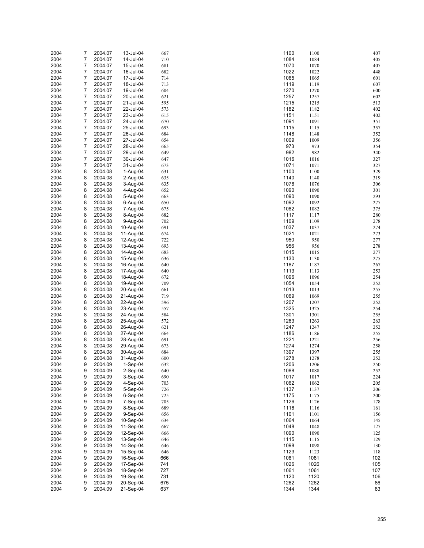| 2004 | 7              | 2004.07 | 13-Jul-04  | 667 | 1100<br>1100 | 407 |
|------|----------------|---------|------------|-----|--------------|-----|
| 2004 | $\overline{7}$ | 2004.07 | 14-Jul-04  | 710 | 1084<br>1084 | 405 |
| 2004 | $\overline{7}$ | 2004.07 | 15-Jul-04  | 681 | 1070<br>1070 | 407 |
| 2004 | 7              | 2004.07 | 16-Jul-04  | 682 | 1022<br>1022 | 448 |
| 2004 | $\overline{7}$ |         |            |     | 1065<br>1065 |     |
|      |                | 2004.07 | 17-Jul-04  | 714 |              | 601 |
| 2004 | 7              | 2004.07 | 18-Jul-04  | 713 | 1119<br>1119 | 607 |
| 2004 | $\overline{7}$ | 2004.07 | 19-Jul-04  | 604 | 1270<br>1270 | 600 |
| 2004 | 7              | 2004.07 | 20-Jul-04  | 621 | 1257<br>1257 | 602 |
| 2004 | $\overline{7}$ | 2004.07 | 21-Jul-04  | 595 | 1215<br>1215 | 513 |
| 2004 | 7              | 2004.07 | 22-Jul-04  | 573 | 1182<br>1182 | 402 |
| 2004 | 7              | 2004.07 | 23-Jul-04  | 615 | 1151<br>1151 | 402 |
| 2004 | $\overline{7}$ | 2004.07 | 24-Jul-04  | 670 | 1091<br>1091 | 351 |
| 2004 | 7              | 2004.07 | 25-Jul-04  | 693 | 1115<br>1115 | 357 |
| 2004 | $\overline{7}$ | 2004.07 | 26-Jul-04  | 684 | 1148<br>1148 | 352 |
| 2004 | 7              | 2004.07 | 27-Jul-04  | 654 | 1009<br>1009 | 356 |
| 2004 | 7              | 2004.07 | 28-Jul-04  | 665 | 973<br>973   | 354 |
| 2004 | $\overline{7}$ |         |            |     | 982          |     |
|      |                | 2004.07 | 29-Jul-04  | 649 | 982          | 340 |
| 2004 | 7              | 2004.07 | 30-Jul-04  | 647 | 1016<br>1016 | 327 |
| 2004 | $\overline{7}$ | 2004.07 | 31-Jul-04  | 673 | 1071<br>1071 | 327 |
| 2004 | 8              | 2004.08 | 1-Aug-04   | 631 | 1100<br>1100 | 329 |
| 2004 | 8              | 2004.08 | 2-Aug-04   | 635 | 1140<br>1140 | 319 |
| 2004 | 8              | 2004.08 | 3-Aug-04   | 635 | 1076<br>1076 | 306 |
| 2004 | 8              | 2004.08 | 4-Aug-04   | 652 | 1090<br>1090 | 301 |
| 2004 | 8              | 2004.08 | 5-Aug-04   | 663 | 1090<br>1090 | 293 |
| 2004 | 8              | 2004.08 | 6-Aug-04   | 650 | 1092<br>1092 | 277 |
| 2004 | 8              | 2004.08 | 7-Aug-04   | 675 | 1082<br>1082 | 375 |
| 2004 | 8              | 2004.08 | 8-Aug-04   | 682 | 1117<br>1117 | 280 |
|      |                |         |            |     |              |     |
| 2004 | 8              | 2004.08 | 9-Aug-04   | 702 | 1109<br>1109 | 278 |
| 2004 | 8              | 2004.08 | 10-Aug-04  | 691 | 1037<br>1037 | 274 |
| 2004 | 8              | 2004.08 | 11-Aug-04  | 674 | 1021<br>1021 | 273 |
| 2004 | 8              | 2004.08 | 12-Aug-04  | 722 | 950<br>950   | 277 |
| 2004 | 8              | 2004.08 | 13-Aug-04  | 693 | 956<br>956   | 278 |
| 2004 | 8              | 2004.08 | 14-Aug-04  | 683 | 1015<br>1015 | 277 |
| 2004 | 8              | 2004.08 | 15-Aug-04  | 636 | 1130<br>1130 | 275 |
| 2004 | 8              | 2004.08 | 16-Aug-04  | 640 | 1187<br>1187 | 267 |
| 2004 | 8              | 2004.08 | 17-Aug-04  | 640 | 1113<br>1113 | 253 |
| 2004 | 8              | 2004.08 | 18-Aug-04  | 672 | 1096<br>1096 | 254 |
| 2004 | 8              | 2004.08 | 19-Aug-04  | 709 | 1054<br>1054 | 252 |
|      |                |         | 20-Aug-04  |     | 1013         |     |
| 2004 | 8              | 2004.08 |            | 661 | 1013         | 255 |
| 2004 | 8              | 2004.08 | 21-Aug-04  | 719 | 1069<br>1069 | 255 |
| 2004 | 8              | 2004.08 | 22-Aug-04  | 596 | 1207<br>1207 | 252 |
| 2004 | 8              | 2004.08 | 23-Aug-04  | 557 | 1325<br>1325 | 254 |
| 2004 | 8              | 2004.08 | 24-Aug-04  | 584 | 1301<br>1301 | 255 |
| 2004 | 8              | 2004.08 | 25-Aug-04  | 572 | 1263<br>1263 | 263 |
| 2004 | 8              | 2004.08 | 26-Aug-04  | 621 | 1247<br>1247 | 252 |
| 2004 | 8              | 2004.08 | 27-Aug-04  | 664 | 1186<br>1186 | 255 |
| 2004 | 8              | 2004.08 | 28-Aug-04  | 691 | 1221<br>1221 | 256 |
| 2004 | 8              | 2004.08 | 29-Aug-04  | 673 | 1274<br>1274 | 258 |
| 2004 | 8              | 2004.08 | 30-Aug-04  | 684 | 1397<br>1397 | 255 |
| 2004 | 8              | 2004.08 | 31-Aug-04  | 600 | 1278<br>1278 | 252 |
| 2004 | 9              | 2004.09 | 1-Sep-04   | 632 | 1206<br>1206 | 250 |
| 2004 | 9              | 2004.09 | 2-Sep-04   | 640 | 1088<br>1088 | 252 |
|      |                |         |            |     |              |     |
| 2004 | 9              | 2004.09 | 3-Sep-04   | 690 | 1017<br>1017 | 224 |
| 2004 | 9              | 2004.09 | 4-Sep-04   | 703 | 1062<br>1062 | 205 |
| 2004 | 9              | 2004.09 | 5-Sep-04   | 726 | 1137<br>1137 | 206 |
| 2004 | 9              | 2004.09 | $6-Sep-04$ | 725 | 1175<br>1175 | 200 |
| 2004 | 9              | 2004.09 | 7-Sep-04   | 705 | 1126<br>1126 | 178 |
| 2004 | 9              | 2004.09 | 8-Sep-04   | 689 | 1116<br>1116 | 161 |
| 2004 | 9              | 2004.09 | 9-Sep-04   | 656 | 1101<br>1101 | 156 |
| 2004 | 9              | 2004.09 | 10-Sep-04  | 634 | 1064<br>1064 | 145 |
| 2004 | 9              | 2004.09 | 11-Sep-04  | 667 | 1048<br>1048 | 127 |
| 2004 | 9              | 2004.09 | 12-Sep-04  | 666 | 1090<br>1090 | 125 |
| 2004 | 9              | 2004.09 | 13-Sep-04  | 646 | 1115<br>1115 | 129 |
|      |                |         | 14-Sep-04  |     |              |     |
| 2004 | 9              | 2004.09 |            | 646 | 1098<br>1098 | 130 |
| 2004 | 9              | 2004.09 | 15-Sep-04  | 646 | 1123<br>1123 | 118 |
| 2004 | 9              | 2004.09 | 16-Sep-04  | 666 | 1081<br>1081 | 102 |
| 2004 | 9              | 2004.09 | 17-Sep-04  | 741 | 1026<br>1026 | 105 |
| 2004 | 9              | 2004.09 | 18-Sep-04  | 727 | 1061<br>1061 | 107 |
| 2004 | 9              | 2004.09 | 19-Sep-04  | 731 | 1120<br>1120 | 106 |
| 2004 | 9              | 2004.09 | 20-Sep-04  | 675 | 1262<br>1262 | 86  |
| 2004 | 9              | 2004.09 | 21-Sep-04  | 637 | 1344<br>1344 | 83  |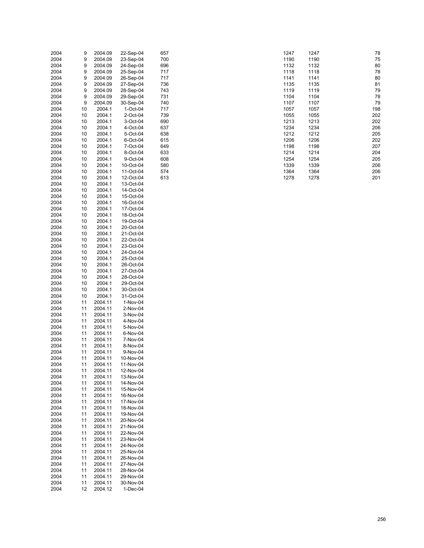| 2004 | 9  | 2004.09 | 22-Sep-04 | 657 |  | 1247 | 1247 | 78  |
|------|----|---------|-----------|-----|--|------|------|-----|
| 2004 | 9  | 2004.09 | 23-Sep-04 | 700 |  | 1190 | 1190 | 75  |
|      |    |         |           |     |  |      |      |     |
| 2004 | 9  | 2004.09 | 24-Sep-04 | 696 |  | 1132 | 1132 | 80  |
| 2004 | 9  | 2004.09 | 25-Sep-04 | 717 |  | 1118 | 1118 | 78  |
| 2004 | 9  | 2004.09 | 26-Sep-04 | 717 |  | 1141 | 1141 | 80  |
| 2004 | 9  | 2004.09 | 27-Sep-04 | 736 |  | 1135 | 1135 | 81  |
|      |    |         |           |     |  |      |      |     |
| 2004 | 9  | 2004.09 | 28-Sep-04 | 743 |  | 1119 | 1119 | 79  |
| 2004 | 9  | 2004.09 | 29-Sep-04 | 731 |  | 1104 | 1104 | 78  |
| 2004 | 9  | 2004.09 | 30-Sep-04 | 740 |  | 1107 | 1107 | 79  |
| 2004 | 10 | 2004.1  | 1-Oct-04  | 717 |  | 1057 | 1057 | 198 |
|      |    |         |           |     |  |      |      |     |
| 2004 | 10 | 2004.1  | 2-Oct-04  | 739 |  | 1055 | 1055 | 202 |
| 2004 | 10 | 2004.1  | 3-Oct-04  | 690 |  | 1213 | 1213 | 202 |
| 2004 | 10 | 2004.1  | 4-Oct-04  | 637 |  | 1234 | 1234 | 206 |
| 2004 | 10 | 2004.1  | 5-Oct-04  | 638 |  | 1212 | 1212 | 205 |
| 2004 |    | 2004.1  |           | 615 |  | 1206 | 1206 | 202 |
|      | 10 |         | 6-Oct-04  |     |  |      |      |     |
| 2004 | 10 | 2004.1  | 7-Oct-04  | 649 |  | 1198 | 1198 | 207 |
| 2004 | 10 | 2004.1  | 8-Oct-04  | 633 |  | 1214 | 1214 | 204 |
| 2004 | 10 | 2004.1  | 9-Oct-04  | 608 |  | 1254 | 1254 | 205 |
| 2004 | 10 | 2004.1  | 10-Oct-04 | 580 |  | 1339 | 1339 | 206 |
|      |    |         |           |     |  |      |      |     |
| 2004 | 10 | 2004.1  | 11-Oct-04 | 574 |  | 1364 | 1364 | 206 |
| 2004 | 10 | 2004.1  | 12-Oct-04 | 613 |  | 1278 | 1278 | 201 |
| 2004 | 10 | 2004.1  | 13-Oct-04 |     |  |      |      |     |
| 2004 | 10 | 2004.1  | 14-Oct-04 |     |  |      |      |     |
|      |    |         |           |     |  |      |      |     |
| 2004 | 10 | 2004.1  | 15-Oct-04 |     |  |      |      |     |
| 2004 | 10 | 2004.1  | 16-Oct-04 |     |  |      |      |     |
| 2004 | 10 | 2004.1  | 17-Oct-04 |     |  |      |      |     |
| 2004 | 10 | 2004.1  | 18-Oct-04 |     |  |      |      |     |
| 2004 | 10 | 2004.1  | 19-Oct-04 |     |  |      |      |     |
|      |    |         |           |     |  |      |      |     |
| 2004 | 10 | 2004.1  | 20-Oct-04 |     |  |      |      |     |
| 2004 | 10 | 2004.1  | 21-Oct-04 |     |  |      |      |     |
| 2004 | 10 | 2004.1  | 22-Oct-04 |     |  |      |      |     |
| 2004 | 10 | 2004.1  | 23-Oct-04 |     |  |      |      |     |
|      |    |         |           |     |  |      |      |     |
| 2004 | 10 | 2004.1  | 24-Oct-04 |     |  |      |      |     |
| 2004 | 10 | 2004.1  | 25-Oct-04 |     |  |      |      |     |
| 2004 | 10 | 2004.1  | 26-Oct-04 |     |  |      |      |     |
| 2004 | 10 | 2004.1  | 27-Oct-04 |     |  |      |      |     |
| 2004 |    | 2004.1  | 28-Oct-04 |     |  |      |      |     |
|      | 10 |         |           |     |  |      |      |     |
| 2004 | 10 | 2004.1  | 29-Oct-04 |     |  |      |      |     |
| 2004 | 10 | 2004.1  | 30-Oct-04 |     |  |      |      |     |
| 2004 | 10 | 2004.1  | 31-Oct-04 |     |  |      |      |     |
| 2004 | 11 | 2004.11 | 1-Nov-04  |     |  |      |      |     |
|      |    |         |           |     |  |      |      |     |
| 2004 | 11 | 2004.11 | 2-Nov-04  |     |  |      |      |     |
| 2004 | 11 | 2004.11 | 3-Nov-04  |     |  |      |      |     |
| 2004 | 11 | 2004.11 | 4-Nov-04  |     |  |      |      |     |
| 2004 | 11 | 2004.11 | 5-Nov-04  |     |  |      |      |     |
| 2004 | 11 | 2004.11 | 6-Nov-04  |     |  |      |      |     |
|      |    |         |           |     |  |      |      |     |
| 2004 | 11 | 2004.11 | 7-Nov-04  |     |  |      |      |     |
| 2004 | 11 | 2004.11 | 8-Nov-04  |     |  |      |      |     |
| 2004 | 11 | 2004.11 | 9-Nov-04  |     |  |      |      |     |
| 2004 | 11 | 2004.11 | 10-Nov-04 |     |  |      |      |     |
|      |    | 2004.11 |           |     |  |      |      |     |
| 2004 | 11 |         | 11-Nov-04 |     |  |      |      |     |
| 2004 | 11 | 2004.11 | 12-Nov-04 |     |  |      |      |     |
| 2004 | 11 | 2004.11 | 13-Nov-04 |     |  |      |      |     |
| 2004 | 11 | 2004.11 | 14-Nov-04 |     |  |      |      |     |
| 2004 | 11 | 2004.11 | 15-Nov-04 |     |  |      |      |     |
|      |    |         |           |     |  |      |      |     |
| 2004 | 11 | 2004.11 | 16-Nov-04 |     |  |      |      |     |
| 2004 | 11 | 2004.11 | 17-Nov-04 |     |  |      |      |     |
| 2004 | 11 | 2004.11 | 18-Nov-04 |     |  |      |      |     |
| 2004 | 11 | 2004.11 | 19-Nov-04 |     |  |      |      |     |
|      |    |         |           |     |  |      |      |     |
| 2004 | 11 | 2004.11 | 20-Nov-04 |     |  |      |      |     |
| 2004 | 11 | 2004.11 | 21-Nov-04 |     |  |      |      |     |
| 2004 | 11 | 2004.11 | 22-Nov-04 |     |  |      |      |     |
| 2004 | 11 | 2004.11 | 23-Nov-04 |     |  |      |      |     |
| 2004 | 11 | 2004.11 | 24-Nov-04 |     |  |      |      |     |
|      |    |         |           |     |  |      |      |     |
| 2004 | 11 | 2004.11 | 25-Nov-04 |     |  |      |      |     |
| 2004 | 11 | 2004.11 | 26-Nov-04 |     |  |      |      |     |
| 2004 | 11 | 2004.11 | 27-Nov-04 |     |  |      |      |     |
| 2004 | 11 | 2004.11 | 28-Nov-04 |     |  |      |      |     |
| 2004 | 11 | 2004.11 | 29-Nov-04 |     |  |      |      |     |
|      |    |         |           |     |  |      |      |     |
| 2004 | 11 | 2004.11 | 30-Nov-04 |     |  |      |      |     |
| 2004 | 12 | 2004.12 | 1-Dec-04  |     |  |      |      |     |

| 1247 | 1247 | 78  |
|------|------|-----|
| 1190 | 1190 | 75  |
| 1132 | 1132 | 80  |
| 1118 | 1118 | 78  |
| 1141 | 1141 | 80  |
| 1135 | 1135 | 81  |
| 1119 | 1119 | 79  |
| 1104 | 1104 | 78  |
| 1107 | 1107 | 79  |
| 1057 | 1057 | 198 |
| 1055 | 1055 | 202 |
| 1213 | 1213 | 202 |
| 1234 | 1234 | 206 |
| 1212 | 1212 | 205 |
| 1206 | 1206 | 202 |
| 1198 | 1198 | 207 |
| 1214 | 1214 | 204 |
| 1254 | 1254 | 205 |
| 1339 | 1339 | 206 |
| 1364 | 1364 | 206 |
| 1278 | 1278 | 201 |